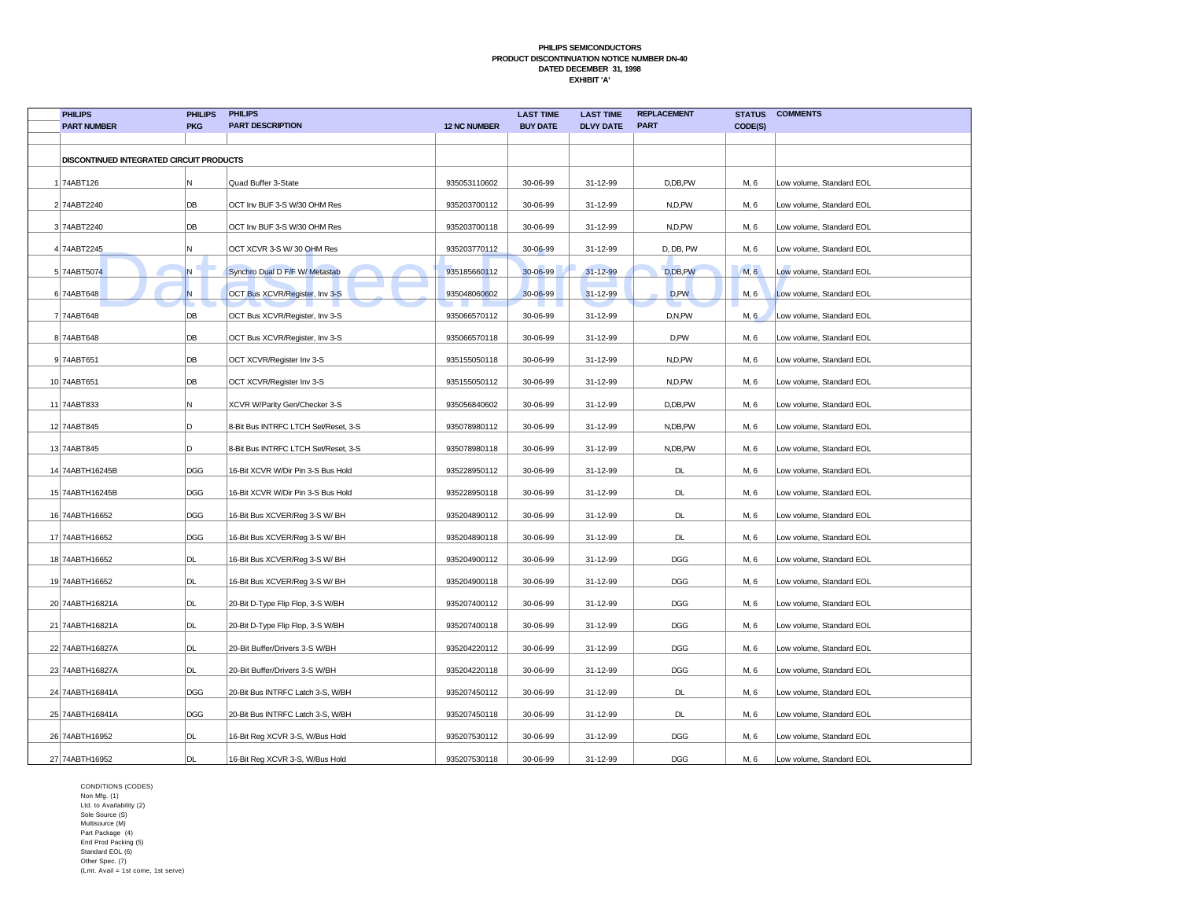| <b>PHILIPS</b><br><b>PART NUMBER</b>                                                                                                                                                                                          | <b>PHILIPS</b><br><b>PKG</b> | <b>PHILIPS</b><br><b>PART DESCRIPTION</b> | <b>12 NC NUMBER</b> | <b>LAST TIME</b><br><b>BUY DATE</b> | <b>LAST TIME</b><br><b>DLVY DATE</b> | <b>REPLACEMENT</b><br><b>PART</b> |         | <b>STATUS COMMENTS</b>   |  |
|-------------------------------------------------------------------------------------------------------------------------------------------------------------------------------------------------------------------------------|------------------------------|-------------------------------------------|---------------------|-------------------------------------|--------------------------------------|-----------------------------------|---------|--------------------------|--|
|                                                                                                                                                                                                                               |                              |                                           |                     |                                     |                                      |                                   | CODE(S) |                          |  |
| DISCONTINUED INTEGRATED CIRCUIT PRODUCTS                                                                                                                                                                                      |                              |                                           |                     |                                     |                                      |                                   |         |                          |  |
| 1 74ABT126                                                                                                                                                                                                                    | N.                           | Quad Buffer 3-State                       | 935053110602        | 30-06-99                            | 31-12-99                             | D,DB,PW                           | M, 6    | Low volume, Standard EOL |  |
| 2 74ABT2240                                                                                                                                                                                                                   | DB                           | OCT Inv BUF 3-S W/30 OHM Res              | 935203700112        | 30-06-99                            | 31-12-99                             | N,D,PW                            | M, 6    | Low volume, Standard EOL |  |
| 3 74ABT2240                                                                                                                                                                                                                   | DB                           | OCT Inv BUF 3-S W/30 OHM Res              | 935203700118        | 30-06-99                            | 31-12-99                             | N,D,PW                            | M, 6    | Low volume, Standard EOL |  |
| 4 74ABT2245                                                                                                                                                                                                                   | N.                           | OCT XCVR 3-S W/30 OHM Res                 | 935203770112        | 30-06-99                            | 31-12-99                             | D, DB, PW                         | M, 6    | Low volume, Standard EOL |  |
| 5 74ABT5074                                                                                                                                                                                                                   | N.                           | Synchro Dual D F/F W/ Metastab            | 935185660112        | 30-06-99                            | 31-12-99                             | D,DB,PW                           | M, 6    | Low volume, Standard EOL |  |
| 6 74ABT648                                                                                                                                                                                                                    | N                            | OCT Bus XCVR/Register, Inv 3-S            | 935048060602        | 30-06-99                            | 31-12-99                             | D,PW                              | M, 6    | Low volume, Standard EOL |  |
| 7 74ABT648                                                                                                                                                                                                                    | DB                           | OCT Bus XCVR/Register, Inv 3-S            | 935066570112        | 30-06-99                            | 31-12-99                             | D,N,PW                            | M, 6    | Low volume, Standard EOL |  |
| 8 74ABT648                                                                                                                                                                                                                    | DB                           | OCT Bus XCVR/Register, Inv 3-S            | 935066570118        | 30-06-99                            | 31-12-99                             | D,PW                              | M, 6    | Low volume, Standard EOL |  |
| 9 74ABT651                                                                                                                                                                                                                    | DB                           | OCT XCVR/Register Inv 3-S                 | 935155050118        | 30-06-99                            | 31-12-99                             | N,D,PW                            | M, 6    | Low volume, Standard EOL |  |
| 10 74ABT651                                                                                                                                                                                                                   | DB                           | OCT XCVR/Register Inv 3-S                 | 935155050112        | 30-06-99                            | 31-12-99                             | N,D,PW                            | M, 6    | Low volume, Standard EOL |  |
| 11 74ABT833                                                                                                                                                                                                                   | N.                           | XCVR W/Parity Gen/Checker 3-S             | 935056840602        | 30-06-99                            | 31-12-99                             | D,DB,PW                           | M, 6    | Low volume, Standard EOL |  |
| 12 74ABT845                                                                                                                                                                                                                   | D.                           | 8-Bit Bus INTRFC LTCH Set/Reset, 3-S      | 935078980112        | 30-06-99                            | 31-12-99                             | N,DB,PW                           | M, 6    | Low volume, Standard EOL |  |
| 13 74ABT845                                                                                                                                                                                                                   | ID.                          | 8-Bit Bus INTRFC LTCH Set/Reset, 3-S      | 935078980118        | 30-06-99                            | 31-12-99                             | N,DB,PW                           | M, 6    | Low volume, Standard EOL |  |
| 14 74ABTH16245B                                                                                                                                                                                                               | DGG                          | 16-Bit XCVR W/Dir Pin 3-S Bus Hold        | 935228950112        | 30-06-99                            | 31-12-99                             | DL                                | M, 6    | Low volume, Standard EOL |  |
| 15 74ABTH16245B                                                                                                                                                                                                               | DGG                          | 16-Bit XCVR W/Dir Pin 3-S Bus Hold        | 935228950118        | 30-06-99                            | 31-12-99                             | DL                                | M, 6    | Low volume, Standard EOL |  |
| 16 74ABTH16652                                                                                                                                                                                                                | DGG                          | 16-Bit Bus XCVER/Reg 3-S W/ BH            | 935204890112        | 30-06-99                            | 31-12-99                             | DL                                | M, 6    | Low volume, Standard EOL |  |
| 17 74ABTH16652                                                                                                                                                                                                                | DGG                          | 16-Bit Bus XCVER/Reg 3-S W/ BH            | 935204890118        | 30-06-99                            | 31-12-99                             | DL                                | M, 6    | Low volume, Standard EOL |  |
| 18 74ABTH16652                                                                                                                                                                                                                | DL                           | 16-Bit Bus XCVER/Reg 3-S W/ BH            | 935204900112        | 30-06-99                            | 31-12-99                             | DGG                               | M, 6    | Low volume, Standard EOL |  |
| 19 74ABTH16652                                                                                                                                                                                                                | DL                           | 16-Bit Bus XCVER/Reg 3-S W/ BH            | 935204900118        | 30-06-99                            | 31-12-99                             | <b>DGG</b>                        | M, 6    | Low volume, Standard EOL |  |
| 20 74ABTH16821A                                                                                                                                                                                                               | DL                           | 20-Bit D-Type Flip Flop, 3-S W/BH         | 935207400112        | 30-06-99                            | 31-12-99                             | <b>DGG</b>                        | M, 6    | Low volume, Standard EOL |  |
| 21 74ABTH16821A                                                                                                                                                                                                               | DL                           | 20-Bit D-Type Flip Flop, 3-S W/BH         | 935207400118        | 30-06-99                            | 31-12-99                             | <b>DGG</b>                        | M, 6    | Low volume, Standard EOL |  |
| 22 74ABTH16827A                                                                                                                                                                                                               | DL                           | 20-Bit Buffer/Drivers 3-S W/BH            | 935204220112        | 30-06-99                            | 31-12-99                             | <b>DGG</b>                        | M, 6    | Low volume, Standard EOL |  |
| 23 74ABTH16827A                                                                                                                                                                                                               | DL                           | 20-Bit Buffer/Drivers 3-S W/BH            | 935204220118        | 30-06-99                            | 31-12-99                             | <b>DGG</b>                        | M, 6    | Low volume, Standard EOL |  |
| 24 74ABTH16841A                                                                                                                                                                                                               | DGG                          | 20-Bit Bus INTRFC Latch 3-S, W/BH         | 935207450112        | 30-06-99                            | 31-12-99                             | DL                                | M, 6    | Low volume, Standard EOL |  |
| 25 74ABTH16841A                                                                                                                                                                                                               | DGG                          | 20-Bit Bus INTRFC Latch 3-S, W/BH         | 935207450118        | 30-06-99                            | 31-12-99                             | DL                                | M, 6    | Low volume, Standard EOL |  |
| 26 74ABTH16952                                                                                                                                                                                                                | DL                           | 16-Bit Reg XCVR 3-S, W/Bus Hold           | 935207530112        | 30-06-99                            | 31-12-99                             | DGG                               | M, 6    | Low volume, Standard EOL |  |
| 27 74ABTH16952                                                                                                                                                                                                                | DL                           | 16-Bit Reg XCVR 3-S, W/Bus Hold           | 935207530118        | 30-06-99                            | 31-12-99                             | <b>DGG</b>                        | M, 6    | Low volume, Standard EOL |  |
| CONDITIONS (CODES)<br>Non Mfg. (1)<br>Ltd. to Availability (2)<br>Sole Source (S)<br>Multisource (M)<br>Part Package (4)<br>End Prod Packing (5)<br>Standard EOL (6)<br>Other Spec. (7)<br>(Lmt. Avail = 1st come. 1st serve) |                              |                                           |                     |                                     |                                      |                                   |         |                          |  |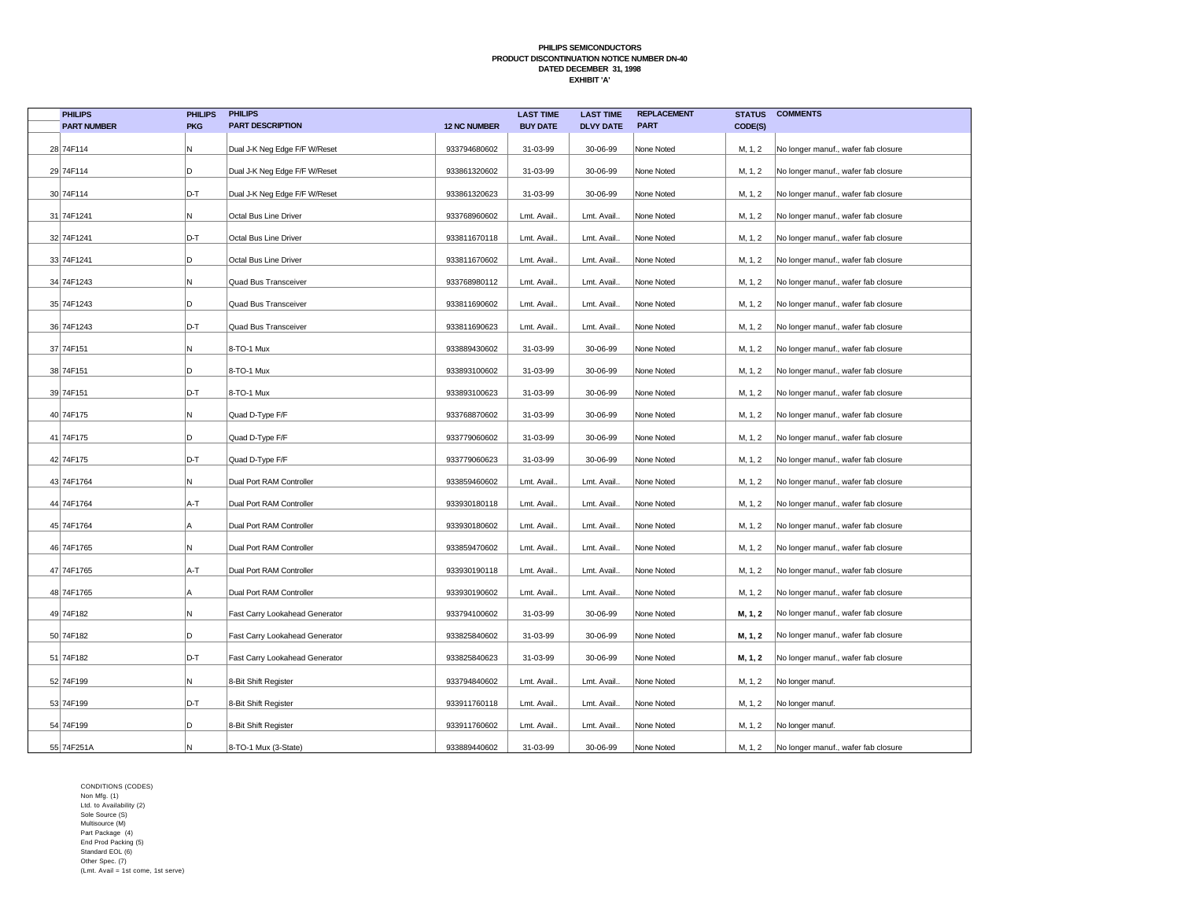| <b>PHILIPS</b>     | <b>PHILIPS</b> | <b>PHILIPS</b>                 |                     | <b>LAST TIME</b> | <b>LAST TIME</b> | <b>REPLACEMENT</b> | <b>STATUS</b> | <b>COMMENTS</b>                     |
|--------------------|----------------|--------------------------------|---------------------|------------------|------------------|--------------------|---------------|-------------------------------------|
| <b>PART NUMBER</b> | <b>PKG</b>     | <b>PART DESCRIPTION</b>        | <b>12 NC NUMBER</b> | <b>BUY DATE</b>  | <b>DLVY DATE</b> | <b>PART</b>        | CODE(S)       |                                     |
| 28 74F114          | N              | Dual J-K Neg Edge F/F W/Reset  | 933794680602        | 31-03-99         | 30-06-99         | None Noted         | M, 1, 2       | No longer manuf., wafer fab closure |
| 29 74F114          | D              | Dual J-K Neg Edge F/F W/Reset  | 933861320602        | 31-03-99         | 30-06-99         | None Noted         | M, 1, 2       | No longer manuf., wafer fab closure |
| 30 74F114          | D-T            | Dual J-K Neg Edge F/F W/Reset  | 933861320623        | 31-03-99         | 30-06-99         | None Noted         | M, 1, 2       | No longer manuf., wafer fab closure |
| 31 74F1241         | N              | Octal Bus Line Driver          | 933768960602        | Lmt. Avail.      | Lmt. Avail.      | None Noted         | M, 1, 2       | No longer manuf., wafer fab closure |
| 32 74F1241         | D-T            | Octal Bus Line Driver          | 933811670118        | Lmt. Avail       | Lmt. Avail.      | None Noted         | M, 1, 2       | No longer manuf., wafer fab closure |
| 33 74F1241         | D              | Octal Bus Line Driver          | 933811670602        | Lmt. Avail.      | Lmt. Avail.      | None Noted         | M, 1, 2       | No longer manuf., wafer fab closure |
| 34 74F1243         | N              | Quad Bus Transceiver           | 933768980112        | Lmt. Avail.      | Lmt. Avail.      | None Noted         | M, 1, 2       | No longer manuf., wafer fab closure |
| 35 74F1243         | D              | Quad Bus Transceiver           | 933811690602        | Lmt. Avail.      | Lmt. Avail.      | None Noted         | M, 1, 2       | No longer manuf., wafer fab closure |
| 36 74F1243         | D-T            | Quad Bus Transceiver           | 933811690623        | Lmt. Avail       | Lmt. Avail.      | None Noted         | M, 1, 2       | No longer manuf., wafer fab closure |
| 37 74F151          | N              | 8-TO-1 Mux                     | 933889430602        | 31-03-99         | 30-06-99         | None Noted         | M, 1, 2       | No longer manuf., wafer fab closure |
| 38 74F151          | D              | 8-TO-1 Mux                     | 933893100602        | 31-03-99         | 30-06-99         | None Noted         | M, 1, 2       | No longer manuf., wafer fab closure |
| 39 74F151          | D-T            | 8-TO-1 Mux                     | 933893100623        | 31-03-99         | 30-06-99         | None Noted         | M, 1, 2       | No longer manuf., wafer fab closure |
| 40 74F175          | N              | Quad D-Type F/F                | 933768870602        | 31-03-99         | 30-06-99         | None Noted         | M, 1, 2       | No longer manuf., wafer fab closure |
| 41 74F175          | D              | Quad D-Type F/F                | 933779060602        | 31-03-99         | 30-06-99         | None Noted         | M, 1, 2       | No longer manuf., wafer fab closure |
| 42 74F175          | D-T            | Quad D-Type F/F                | 933779060623        | 31-03-99         | 30-06-99         | None Noted         | M, 1, 2       | No longer manuf., wafer fab closure |
| 43 74F1764         | N              | Dual Port RAM Controller       | 933859460602        | Lmt. Avail.      | Lmt. Avail.      | None Noted         | M, 1, 2       | No longer manuf., wafer fab closure |
| 44 74F1764         | A-T            | Dual Port RAM Controller       | 933930180118        | Lmt. Avail.      | Lmt. Avail.      | None Noted         | M, 1, 2       | No longer manuf., wafer fab closure |
| 45 74F1764         | A              | Dual Port RAM Controller       | 933930180602        | Lmt. Avail       | Lmt. Avail.      | None Noted         | M, 1, 2       | No longer manuf., wafer fab closure |
| 46 74F1765         | N              | Dual Port RAM Controller       | 933859470602        | Lmt. Avail.      | Lmt. Avail.      | None Noted         | M, 1, 2       | No longer manuf., wafer fab closure |
| 47 74F1765         | A-T            | Dual Port RAM Controller       | 933930190118        | Lmt. Avail       | Lmt. Avail.      | None Noted         | M, 1, 2       | No longer manuf., wafer fab closure |
| 48 74F1765         | A              | Dual Port RAM Controller       | 933930190602        | Lmt. Avail.      | Lmt. Avail.      | None Noted         | M, 1, 2       | No longer manuf., wafer fab closure |
| 49 74F182          | N              | Fast Carry Lookahead Generator | 933794100602        | 31-03-99         | 30-06-99         | None Noted         | M, 1, 2       | No longer manuf., wafer fab closure |
| 50 74F182          | D              | Fast Carry Lookahead Generator | 933825840602        | 31-03-99         | 30-06-99         | None Noted         | M, 1, 2       | No longer manuf., wafer fab closure |
| 51 74F182          | D-T            | Fast Carry Lookahead Generator | 933825840623        | 31-03-99         | 30-06-99         | None Noted         | M, 1, 2       | No longer manuf., wafer fab closure |
| 52 74F199          | N              | 8-Bit Shift Register           | 933794840602        | Lmt. Avail.      | Lmt. Avail.      | None Noted         | M, 1, 2       | No longer manuf.                    |
| 53 74F199          | D-T            | 8-Bit Shift Register           | 933911760118        | Lmt. Avail.      | Lmt. Avail.      | None Noted         | M, 1, 2       | No longer manuf.                    |
| 54 74F199          | D              | 8-Bit Shift Register           | 933911760602        | Lmt. Avail.      | Lmt. Avail.      | None Noted         | M, 1, 2       | No longer manuf.                    |
| 55 74F251A         | N              | 8-TO-1 Mux (3-State)           | 933889440602        | 31-03-99         | 30-06-99         | None Noted         | M, 1, 2       | No longer manuf., wafer fab closure |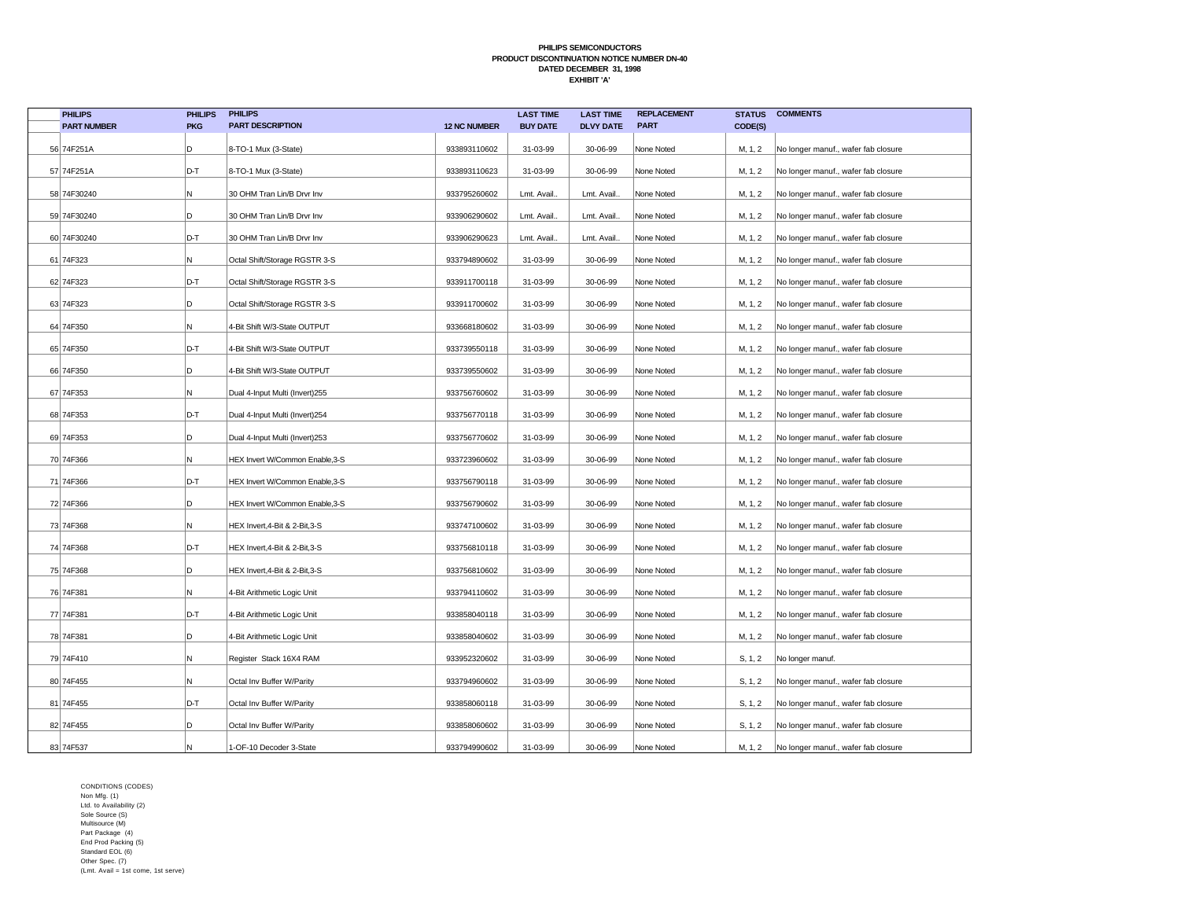| <b>PHILIPS</b>     | <b>PHILIPS</b> | <b>PHILIPS</b>                  |                     | <b>LAST TIME</b> | <b>LAST TIME</b> | <b>REPLACEMENT</b> | <b>STATUS</b> | <b>COMMENTS</b>                     |
|--------------------|----------------|---------------------------------|---------------------|------------------|------------------|--------------------|---------------|-------------------------------------|
| <b>PART NUMBER</b> | <b>PKG</b>     | <b>PART DESCRIPTION</b>         | <b>12 NC NUMBER</b> | <b>BUY DATE</b>  | <b>DLVY DATE</b> | <b>PART</b>        | CODE(S)       |                                     |
| 56 74F251A         | D              | 8-TO-1 Mux (3-State)            | 933893110602        | 31-03-99         | 30-06-99         | None Noted         | M, 1, 2       | No longer manuf., wafer fab closure |
| 57 74F251A         | D-T            | 8-TO-1 Mux (3-State)            | 933893110623        | 31-03-99         | 30-06-99         | None Noted         | M, 1, 2       | No longer manuf., wafer fab closure |
| 58 74F30240        | N.             | 30 OHM Tran Lin/B Drvr Inv      | 933795260602        | Lmt. Avail.      | Lmt. Avail.      | None Noted         | M, 1, 2       | No longer manuf., wafer fab closure |
| 59 74F30240        | D.             | 30 OHM Tran Lin/B Drvr Inv      | 933906290602        | Lmt. Avail.      | Lmt. Avail.      | None Noted         | M, 1, 2       | No longer manuf., wafer fab closure |
| 60 74F30240        | D-T            | 30 OHM Tran Lin/B Drvr Inv      | 933906290623        | Lmt. Avail.      | Lmt. Avail.      | None Noted         | M, 1, 2       | No longer manuf., wafer fab closure |
| 61 74F323          | N.             | Octal Shift/Storage RGSTR 3-S   | 933794890602        | 31-03-99         | 30-06-99         | None Noted         | M, 1, 2       | No longer manuf., wafer fab closure |
| 62 74F323          | D-T            | Octal Shift/Storage RGSTR 3-S   | 933911700118        | 31-03-99         | 30-06-99         | None Noted         | M, 1, 2       | No longer manuf., wafer fab closure |
| 63 74F323          | D              | Octal Shift/Storage RGSTR 3-S   | 933911700602        | 31-03-99         | 30-06-99         | None Noted         | M, 1, 2       | No longer manuf., wafer fab closure |
| 64 74F350          | N.             | 4-Bit Shift W/3-State OUTPUT    | 933668180602        | 31-03-99         | 30-06-99         | None Noted         | M, 1, 2       | No longer manuf., wafer fab closure |
| 65 74F350          | D-T            | 4-Bit Shift W/3-State OUTPUT    | 933739550118        | 31-03-99         | 30-06-99         | None Noted         | M, 1, 2       | No longer manuf., wafer fab closure |
| 66 74F350          | D              | 4-Bit Shift W/3-State OUTPUT    | 933739550602        | 31-03-99         | 30-06-99         | None Noted         | M, 1, 2       | No longer manuf., wafer fab closure |
| 67 74F353          | N.             | Dual 4-Input Multi (Invert)255  | 933756760602        | 31-03-99         | 30-06-99         | None Noted         | M, 1, 2       | No longer manuf., wafer fab closure |
| 68 74F353          | D-T            | Dual 4-Input Multi (Invert)254  | 933756770118        | 31-03-99         | 30-06-99         | None Noted         | M, 1, 2       | No longer manuf., wafer fab closure |
| 69 74F353          | D              | Dual 4-Input Multi (Invert)253  | 933756770602        | 31-03-99         | 30-06-99         | None Noted         | M, 1, 2       | No longer manuf., wafer fab closure |
| 70 74F366          | N.             | HEX Invert W/Common Enable, 3-S | 933723960602        | 31-03-99         | 30-06-99         | None Noted         | M, 1, 2       | No longer manuf., wafer fab closure |
| 71 74F366          | D-T            | HEX Invert W/Common Enable, 3-S | 933756790118        | 31-03-99         | 30-06-99         | None Noted         | M, 1, 2       | No longer manuf., wafer fab closure |
| 72 74F366          | ID.            | HEX Invert W/Common Enable, 3-S | 933756790602        | 31-03-99         | 30-06-99         | None Noted         | M, 1, 2       | No longer manuf., wafer fab closure |
| 73 74F368          | Ν              | HEX Invert, 4-Bit & 2-Bit, 3-S  | 933747100602        | 31-03-99         | 30-06-99         | None Noted         | M, 1, 2       | No longer manuf., wafer fab closure |
| 74 74 F 368        | D-T            | HEX Invert, 4-Bit & 2-Bit, 3-S  | 933756810118        | 31-03-99         | 30-06-99         | None Noted         | M, 1, 2       | No longer manuf., wafer fab closure |
| 75 74F368          | D              | HEX Invert, 4-Bit & 2-Bit, 3-S  | 933756810602        | 31-03-99         | 30-06-99         | None Noted         | M, 1, 2       | No longer manuf., wafer fab closure |
| 76 74F381          | N.             | 4-Bit Arithmetic Logic Unit     | 933794110602        | 31-03-99         | 30-06-99         | None Noted         | M, 1, 2       | No longer manuf., wafer fab closure |
| 77 74F381          | D-T            | 4-Bit Arithmetic Logic Unit     | 933858040118        | 31-03-99         | 30-06-99         | None Noted         | M, 1, 2       | No longer manuf., wafer fab closure |
| 78 74F381          | D              | 4-Bit Arithmetic Logic Unit     | 933858040602        | 31-03-99         | 30-06-99         | None Noted         | M, 1, 2       | No longer manuf., wafer fab closure |
| 79 74F410          | N.             | Register Stack 16X4 RAM         | 933952320602        | 31-03-99         | 30-06-99         | None Noted         | S, 1, 2       | No longer manuf.                    |
| 80 74F455          | Ν              | Octal Inv Buffer W/Parity       | 933794960602        | 31-03-99         | 30-06-99         | None Noted         | S, 1, 2       | No longer manuf., wafer fab closure |
| 81 74F455          | D-T            | Octal Inv Buffer W/Parity       | 933858060118        | 31-03-99         | 30-06-99         | None Noted         | S, 1, 2       | No longer manuf., wafer fab closure |
| 82 74F455          | D.             | Octal Inv Buffer W/Parity       | 933858060602        | 31-03-99         | 30-06-99         | None Noted         | S, 1, 2       | No longer manuf., wafer fab closure |
| 83 74F537          | M              | 1-OF-10 Decoder 3-State         | 933794990602        | 31-03-99         | 30-06-99         | None Noted         | M, 1, 2       | No longer manuf., wafer fab closure |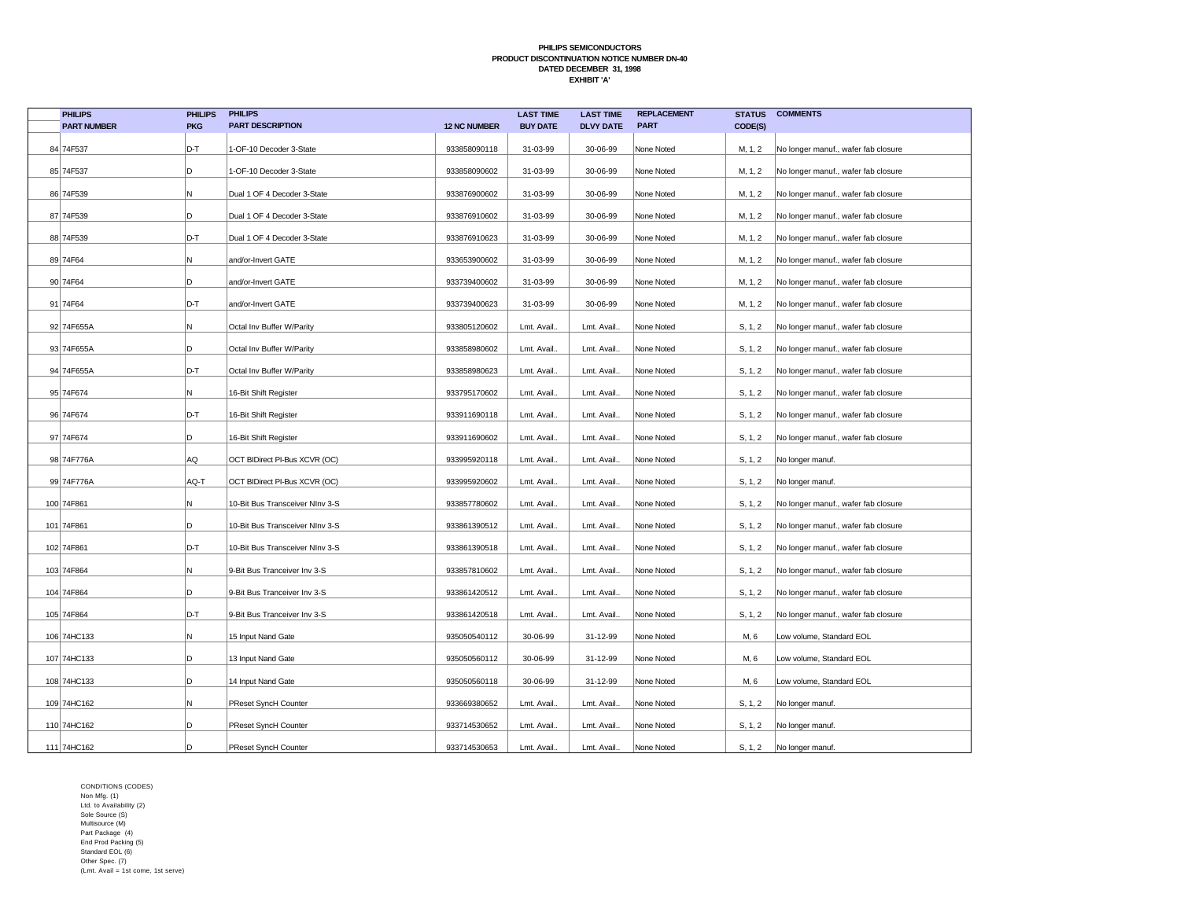| <b>PHILIPS</b>     | <b>PHILIPS</b> | <b>PHILIPS</b>                  |                     | <b>LAST TIME</b> | <b>LAST TIME</b> | <b>REPLACEMENT</b> | <b>STATUS</b> | <b>COMMENTS</b>                     |
|--------------------|----------------|---------------------------------|---------------------|------------------|------------------|--------------------|---------------|-------------------------------------|
| <b>PART NUMBER</b> | <b>PKG</b>     | <b>PART DESCRIPTION</b>         | <b>12 NC NUMBER</b> | <b>BUY DATE</b>  | <b>DLVY DATE</b> | <b>PART</b>        | CODE(S)       |                                     |
| 84 74F537          | D-T            | 1-OF-10 Decoder 3-State         | 933858090118        | 31-03-99         | 30-06-99         | None Noted         | M, 1, 2       | No longer manuf., wafer fab closure |
| 85 74F537          | D              | 1-OF-10 Decoder 3-State         | 933858090602        | 31-03-99         | 30-06-99         | None Noted         | M, 1, 2       | No longer manuf., wafer fab closure |
| 86 74F539          | N              | Dual 1 OF 4 Decoder 3-State     | 933876900602        | 31-03-99         | 30-06-99         | None Noted         | M, 1, 2       | No longer manuf., wafer fab closure |
| 87 74F539          | D              | Dual 1 OF 4 Decoder 3-State     | 933876910602        | 31-03-99         | 30-06-99         | None Noted         | M, 1, 2       | No longer manuf., wafer fab closure |
| 88 74F539          | D-T            | Dual 1 OF 4 Decoder 3-State     | 933876910623        | 31-03-99         | 30-06-99         | None Noted         | M, 1, 2       | No longer manuf., wafer fab closure |
| 89 74F64           | N              | and/or-Invert GATE              | 933653900602        | 31-03-99         | 30-06-99         | None Noted         | M, 1, 2       | No longer manuf., wafer fab closure |
| 90 74F64           | D              | and/or-Invert GATE              | 933739400602        | 31-03-99         | 30-06-99         | None Noted         | M, 1, 2       | No longer manuf., wafer fab closure |
| 91 74F64           | D-T            | and/or-Invert GATE              | 933739400623        | 31-03-99         | 30-06-99         | None Noted         | M, 1, 2       | No longer manuf., wafer fab closure |
| 92 74F655A         | N              | Octal Inv Buffer W/Parity       | 933805120602        | Lmt. Avail       | Lmt. Avail.      | None Noted         | S, 1, 2       | No longer manuf., wafer fab closure |
| 93 74F655A         | D              | Octal Inv Buffer W/Parity       | 933858980602        | Lmt. Avail.      | Lmt. Avail.      | None Noted         | S, 1, 2       | No longer manuf., wafer fab closure |
| 94 74F655A         | D-T            | Octal Inv Buffer W/Parity       | 933858980623        | Lmt. Avail.      | Lmt. Avail.      | None Noted         | S, 1, 2       | No longer manuf., wafer fab closure |
| 95 74F674          | N              | 16-Bit Shift Register           | 933795170602        | Lmt. Avail.      | Lmt. Avail.      | None Noted         | S, 1, 2       | No longer manuf., wafer fab closure |
| 96 74F674          | D-T            | 16-Bit Shift Register           | 933911690118        | Lmt. Avail.      | Lmt. Avail.      | None Noted         | S, 1, 2       | No longer manuf., wafer fab closure |
| 97 74F674          | D              | 16-Bit Shift Register           | 933911690602        | Lmt. Avail.      | Lmt. Avail.      | None Noted         | S, 1, 2       | No longer manuf., wafer fab closure |
| 98 74F776A         | AQ             | OCT BIDirect PI-Bus XCVR (OC)   | 933995920118        | Lmt. Avail       | Lmt. Avail.      | None Noted         | S, 1, 2       | No longer manuf.                    |
| 99 74F776A         | AQ-T           | OCT BIDirect PI-Bus XCVR (OC)   | 933995920602        | Lmt. Avail.      | Lmt. Avail.      | None Noted         | S, 1, 2       | No longer manuf.                    |
| 100 74F861         | N              | 10-Bit Bus Transceiver NInv 3-S | 933857780602        | Lmt. Avail.      | Lmt. Avail.      | None Noted         | S, 1, 2       | No longer manuf., wafer fab closure |
| 101 74F861         | D              | 10-Bit Bus Transceiver NInv 3-S | 933861390512        | Lmt. Avail       | Lmt. Avail.      | None Noted         | S, 1, 2       | No longer manuf., wafer fab closure |
| 102 74F861         | D-T            | 10-Bit Bus Transceiver NInv 3-S | 933861390518        | Lmt. Avail.      | Lmt. Avail.      | None Noted         | S, 1, 2       | No longer manuf., wafer fab closure |
| 103 74F864         | N              | 9-Bit Bus Tranceiver Inv 3-S    | 933857810602        | Lmt. Avail.      | Lmt. Avail.      | None Noted         | S, 1, 2       | No longer manuf., wafer fab closure |
| 104 74F864         | D              | 9-Bit Bus Tranceiver Inv 3-S    | 933861420512        | Lmt. Avail.      | Lmt. Avail.      | None Noted         | S, 1, 2       | No longer manuf., wafer fab closure |
| 105 74F864         | D-T            | 9-Bit Bus Tranceiver Inv 3-S    | 933861420518        | Lmt. Avail.      | Lmt. Avail.      | None Noted         | S, 1, 2       | No longer manuf., wafer fab closure |
| 106 74HC133        | N              | 15 Input Nand Gate              | 935050540112        | 30-06-99         | 31-12-99         | None Noted         | M, 6          | Low volume, Standard EOL            |
| 107 74HC133        | D              | 13 Input Nand Gate              | 935050560112        | 30-06-99         | 31-12-99         | None Noted         | M, 6          | Low volume, Standard EOL            |
| 108 74HC133        | D              | 14 Input Nand Gate              | 935050560118        | 30-06-99         | 31-12-99         | None Noted         | M, 6          | Low volume, Standard EOL            |
| 109 74HC162        | N              | PReset SyncH Counter            | 933669380652        | Lmt. Avail.      | Lmt. Avail.      | None Noted         | S, 1, 2       | No longer manuf.                    |
| 110 74HC162        | D              | PReset SyncH Counter            | 933714530652        | Lmt. Avail       | Lmt. Avail.      | None Noted         | S, 1, 2       | No longer manuf.                    |
| 111 74HC162        | D              | PReset SyncH Counter            | 933714530653        | Lmt. Avail.      | Lmt. Avail.      | None Noted         | S, 1, 2       | No longer manuf.                    |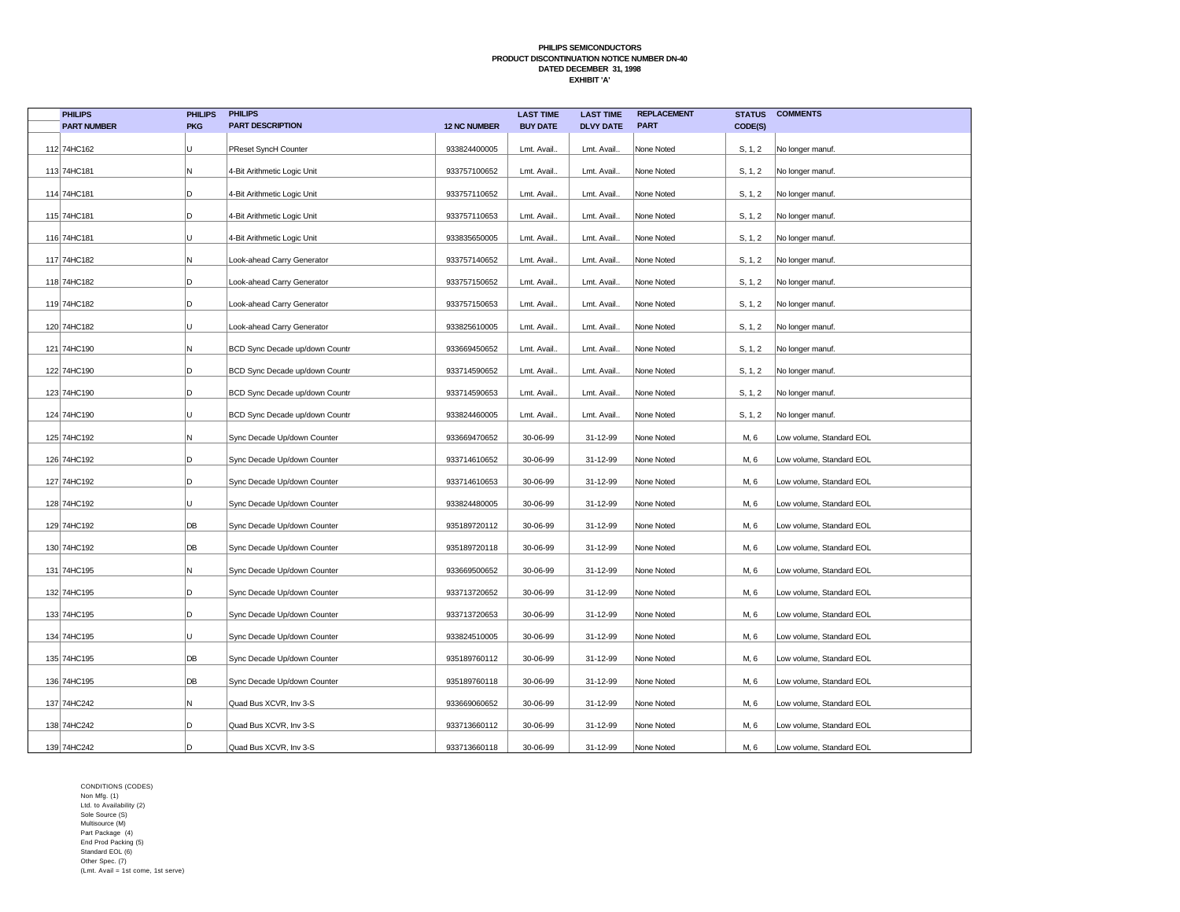| <b>PHILIPS</b>     | <b>PHILIPS</b> | <b>PHILIPS</b>                 |                     | <b>LAST TIME</b> | <b>LAST TIME</b> | <b>REPLACEMENT</b> | <b>STATUS</b> | <b>COMMENTS</b>          |
|--------------------|----------------|--------------------------------|---------------------|------------------|------------------|--------------------|---------------|--------------------------|
| <b>PART NUMBER</b> | <b>PKG</b>     | <b>PART DESCRIPTION</b>        | <b>12 NC NUMBER</b> | <b>BUY DATE</b>  | <b>DLVY DATE</b> | <b>PART</b>        | CODE(S)       |                          |
| 112 74HC162        | U              | PReset SyncH Counter           | 933824400005        | Lmt. Avail.      | Lmt. Avail.      | None Noted         | S, 1, 2       | No longer manuf.         |
| 113 74HC181        | N              | 4-Bit Arithmetic Logic Unit    | 933757100652        | Lmt. Avail.      | Lmt. Avail.      | None Noted         | S, 1, 2       | No longer manuf.         |
| 114 74HC181        | D              | 4-Bit Arithmetic Logic Unit    | 933757110652        | Lmt. Avail.      | Lmt. Avail.      | None Noted         | S, 1, 2       | No longer manuf.         |
| 115 74HC181        | D              | 4-Bit Arithmetic Logic Unit    | 933757110653        | Lmt. Avail.      | Lmt. Avail.      | None Noted         | S, 1, 2       | No longer manuf.         |
| 116 74HC181        | U              | 4-Bit Arithmetic Logic Unit    | 933835650005        | Lmt. Avail.      | Lmt. Avail.      | None Noted         | S, 1, 2       | No longer manuf.         |
| 117 74HC182        | N              | Look-ahead Carry Generator     | 933757140652        | Lmt. Avail.      | Lmt. Avail.      | None Noted         | S, 1, 2       | No longer manuf.         |
| 118 74HC182        | D              | Look-ahead Carry Generator     | 933757150652        | Lmt. Avail.      | Lmt. Avail.      | None Noted         | S, 1, 2       | No longer manuf.         |
| 119 74HC182        | D              | Look-ahead Carry Generator     | 933757150653        | Lmt. Avail.      | Lmt. Avail.      | None Noted         | S, 1, 2       | No longer manuf.         |
| 120 74HC182        | U              | Look-ahead Carry Generator     | 933825610005        | Lmt. Avail.      | Lmt. Avail.      | None Noted         | S, 1, 2       | No longer manuf.         |
| 121 74HC190        | N              | BCD Sync Decade up/down Countr | 933669450652        | Lmt. Avail.      | Lmt. Avail.      | None Noted         | S, 1, 2       | No longer manuf.         |
| 122 74HC190        | D              | BCD Sync Decade up/down Countr | 933714590652        | Lmt. Avail.      | Lmt. Avail       | None Noted         | S, 1, 2       | No longer manuf.         |
| 123 74HC190        | D              | BCD Sync Decade up/down Countr | 933714590653        | Lmt. Avail.      | Lmt. Avail.      | None Noted         | S, 1, 2       | No longer manuf.         |
| 124 74HC190        | U              | BCD Sync Decade up/down Countr | 933824460005        | Lmt. Avail.      | Lmt. Avail.      | None Noted         | S, 1, 2       | No longer manuf.         |
| 125 74HC192        | N              | Sync Decade Up/down Counter    | 933669470652        | 30-06-99         | 31-12-99         | None Noted         | M, 6          | Low volume, Standard EOL |
| 126 74HC192        | D              | Sync Decade Up/down Counter    | 933714610652        | 30-06-99         | 31-12-99         | None Noted         | M, 6          | Low volume, Standard EOL |
| 127 74HC192        | D              | Sync Decade Up/down Counter    | 933714610653        | 30-06-99         | 31-12-99         | None Noted         | M, 6          | Low volume, Standard EOL |
| 128 74HC192        | U              | Sync Decade Up/down Counter    | 933824480005        | 30-06-99         | 31-12-99         | None Noted         | M, 6          | Low volume, Standard EOL |
| 129 74HC192        | DB             | Sync Decade Up/down Counter    | 935189720112        | 30-06-99         | 31-12-99         | None Noted         | M, 6          | Low volume, Standard EOL |
| 130 74HC192        | DB             | Sync Decade Up/down Counter    | 935189720118        | 30-06-99         | 31-12-99         | None Noted         | M, 6          | Low volume, Standard EOL |
| 131 74HC195        | N              | Sync Decade Up/down Counter    | 933669500652        | 30-06-99         | 31-12-99         | None Noted         | M, 6          | Low volume, Standard EOL |
| 132 74HC195        | D              | Sync Decade Up/down Counter    | 933713720652        | 30-06-99         | 31-12-99         | None Noted         | M, 6          | Low volume, Standard EOL |
| 133 74HC195        | D              | Sync Decade Up/down Counter    | 933713720653        | 30-06-99         | 31-12-99         | None Noted         | M, 6          | Low volume, Standard EOL |
| 134 74HC195        | U              | Sync Decade Up/down Counter    | 933824510005        | 30-06-99         | 31-12-99         | None Noted         | M, 6          | Low volume, Standard EOL |
| 135 74HC195        | DB             | Sync Decade Up/down Counter    | 935189760112        | 30-06-99         | 31-12-99         | None Noted         | M, 6          | Low volume, Standard EOL |
| 136 74HC195        | DB             | Sync Decade Up/down Counter    | 935189760118        | 30-06-99         | 31-12-99         | None Noted         | M, 6          | Low volume, Standard EOL |
| 137 74HC242        | N              | Quad Bus XCVR, Inv 3-S         | 933669060652        | 30-06-99         | 31-12-99         | None Noted         | M, 6          | Low volume, Standard EOL |
| 138 74HC242        | D              | Quad Bus XCVR, Inv 3-S         | 933713660112        | 30-06-99         | 31-12-99         | None Noted         | M, 6          | Low volume, Standard EOL |
| 139 74HC242        | D              | Quad Bus XCVR, Inv 3-S         | 933713660118        | 30-06-99         | 31-12-99         | None Noted         | M, 6          | Low volume, Standard EOL |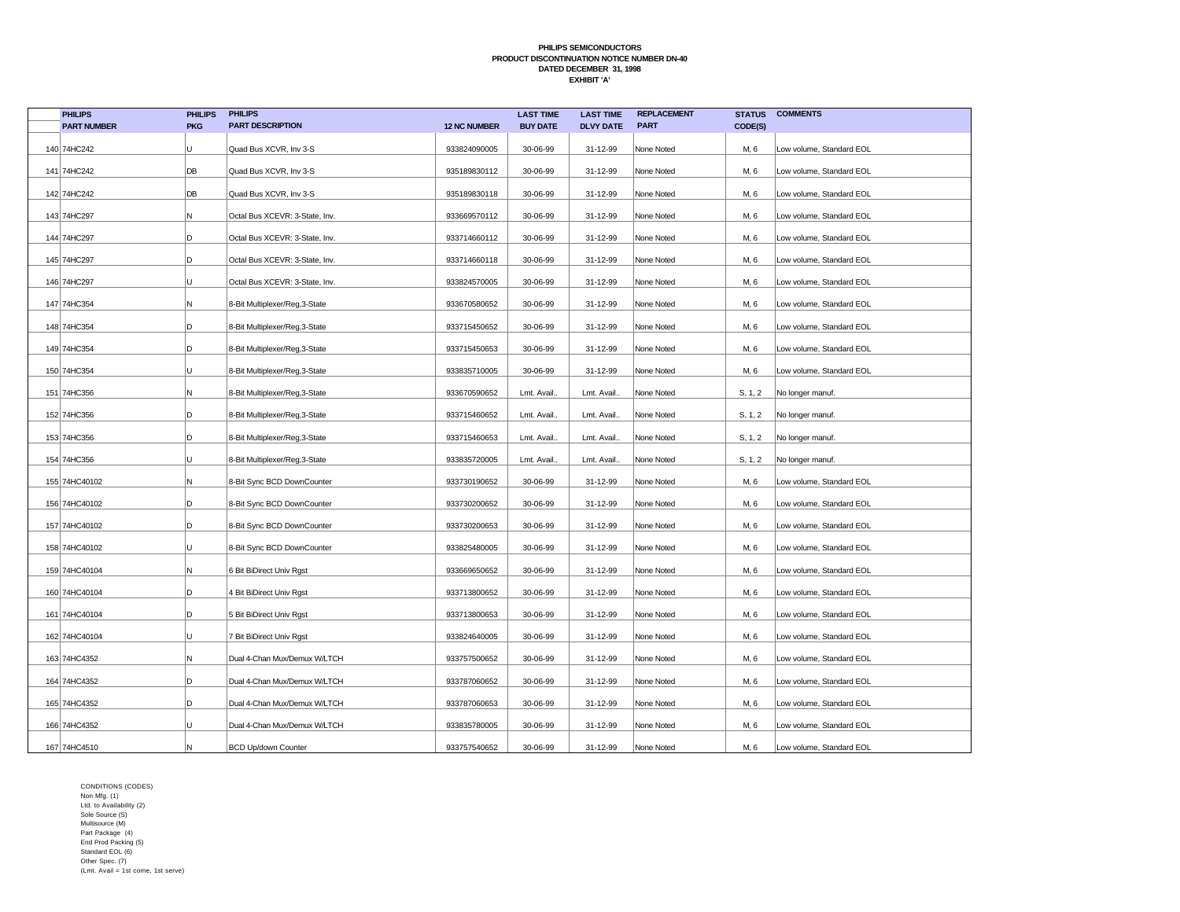| <b>PHILIPS</b>     | <b>PHILIPS</b> | <b>PHILIPS</b>                 |                     | <b>LAST TIME</b> | <b>LAST TIME</b> | <b>REPLACEMENT</b> | <b>STATUS</b> | <b>COMMENTS</b>          |
|--------------------|----------------|--------------------------------|---------------------|------------------|------------------|--------------------|---------------|--------------------------|
| <b>PART NUMBER</b> | <b>PKG</b>     | <b>PART DESCRIPTION</b>        | <b>12 NC NUMBER</b> | <b>BUY DATE</b>  | <b>DLVY DATE</b> | <b>PART</b>        | CODE(S)       |                          |
| 140 74HC242        | U              | Quad Bus XCVR, Inv 3-S         | 933824090005        | 30-06-99         | 31-12-99         | None Noted         | M, 6          | Low volume, Standard EOL |
| 141 74HC242        | DB             | Quad Bus XCVR, Inv 3-S         | 935189830112        | 30-06-99         | 31-12-99         | None Noted         | M, 6          | Low volume, Standard EOL |
| 142 74HC242        | DB             | Quad Bus XCVR, Inv 3-S         | 935189830118        | 30-06-99         | 31-12-99         | None Noted         | M, 6          | Low volume, Standard EOL |
| 143 74HC297        | N              | Octal Bus XCEVR: 3-State, Inv. | 933669570112        | 30-06-99         | 31-12-99         | None Noted         | M, 6          | Low volume, Standard EOL |
| 144 74HC297        | D              | Octal Bus XCEVR: 3-State, Inv. | 933714660112        | 30-06-99         | 31-12-99         | None Noted         | M, 6          | Low volume, Standard EOL |
| 145 74HC297        | D              | Octal Bus XCEVR: 3-State, Inv. | 933714660118        | 30-06-99         | 31-12-99         | None Noted         | M, 6          | Low volume, Standard EOL |
| 146 74HC297        | U              | Octal Bus XCEVR: 3-State, Inv. | 933824570005        | 30-06-99         | 31-12-99         | None Noted         | M, 6          | Low volume, Standard EOL |
| 147 74HC354        | Ν              | 8-Bit Multiplexer/Reg,3-State  | 933670580652        | 30-06-99         | 31-12-99         | None Noted         | M, 6          | Low volume, Standard EOL |
| 148 74HC354        | D              | 8-Bit Multiplexer/Reg,3-State  | 933715450652        | 30-06-99         | 31-12-99         | None Noted         | M, 6          | Low volume, Standard EOL |
| 149 74HC354        | D              | 8-Bit Multiplexer/Reg,3-State  | 933715450653        | 30-06-99         | 31-12-99         | None Noted         | M, 6          | Low volume, Standard EOL |
| 150 74HC354        | U              | 8-Bit Multiplexer/Reg,3-State  | 933835710005        | 30-06-99         | 31-12-99         | None Noted         | M, 6          | Low volume, Standard EOL |
| 151 74HC356        | N              | 8-Bit Multiplexer/Reg,3-State  | 933670590652        | Lmt. Avail.      | Lmt. Avail.      | None Noted         | S, 1, 2       | No longer manuf.         |
| 152 74HC356        | D              | 8-Bit Multiplexer/Reg,3-State  | 933715460652        | Lmt. Avail.      | Lmt. Avail.      | None Noted         | S, 1, 2       | No longer manuf.         |
| 153 74HC356        | D              | 8-Bit Multiplexer/Reg,3-State  | 933715460653        | Lmt. Avail.      | Lmt. Avail.      | None Noted         | S, 1, 2       | No longer manuf.         |
| 154 74HC356        | U              | 8-Bit Multiplexer/Reg,3-State  | 933835720005        | Lmt. Avail.      | Lmt. Avail.      | None Noted         | S, 1, 2       | No longer manuf.         |
| 155 74HC40102      | N              | 8-Bit Sync BCD DownCounter     | 933730190652        | 30-06-99         | 31-12-99         | None Noted         | M, 6          | Low volume, Standard EOL |
| 156 74HC40102      | D              | 8-Bit Sync BCD DownCounter     | 933730200652        | 30-06-99         | 31-12-99         | None Noted         | M, 6          | Low volume, Standard EOL |
| 157 74HC40102      | D              | 8-Bit Sync BCD DownCounter     | 933730200653        | 30-06-99         | 31-12-99         | None Noted         | M, 6          | Low volume, Standard EOL |
| 158 74HC40102      | U              | 8-Bit Sync BCD DownCounter     | 933825480005        | 30-06-99         | 31-12-99         | None Noted         | M, 6          | Low volume, Standard EOL |
| 159 74HC40104      | Ν              | 6 Bit BiDirect Univ Rgst       | 933669650652        | 30-06-99         | 31-12-99         | None Noted         | M, 6          | Low volume, Standard EOL |
| 160 74HC40104      | D              | 4 Bit BiDirect Univ Rgst       | 933713800652        | 30-06-99         | 31-12-99         | None Noted         | M, 6          | Low volume, Standard EOL |
| 161 74HC40104      | D              | 5 Bit BiDirect Univ Rgst       | 933713800653        | 30-06-99         | 31-12-99         | None Noted         | M, 6          | Low volume, Standard EOL |
| 162 74HC40104      | U              | 7 Bit BiDirect Univ Rgst       | 933824640005        | 30-06-99         | 31-12-99         | None Noted         | M, 6          | Low volume, Standard EOL |
| 163 74HC4352       | N              | Dual 4-Chan Mux/Demux W/LTCH   | 933757500652        | 30-06-99         | 31-12-99         | None Noted         | M, 6          | Low volume, Standard EOL |
| 164 74HC4352       | D              | Dual 4-Chan Mux/Demux W/LTCH   | 933787060652        | 30-06-99         | 31-12-99         | None Noted         | M, 6          | Low volume, Standard EOL |
| 165 74HC4352       | D              | Dual 4-Chan Mux/Demux W/LTCH   | 933787060653        | 30-06-99         | 31-12-99         | None Noted         | M, 6          | Low volume, Standard EOL |
| 166 74HC4352       | U              | Dual 4-Chan Mux/Demux W/LTCH   | 933835780005        | 30-06-99         | 31-12-99         | None Noted         | M, 6          | Low volume, Standard EOL |
| 167 74HC4510       | N              | <b>BCD Up/down Counter</b>     | 933757540652        | 30-06-99         | 31-12-99         | None Noted         | M, 6          | Low volume, Standard EOL |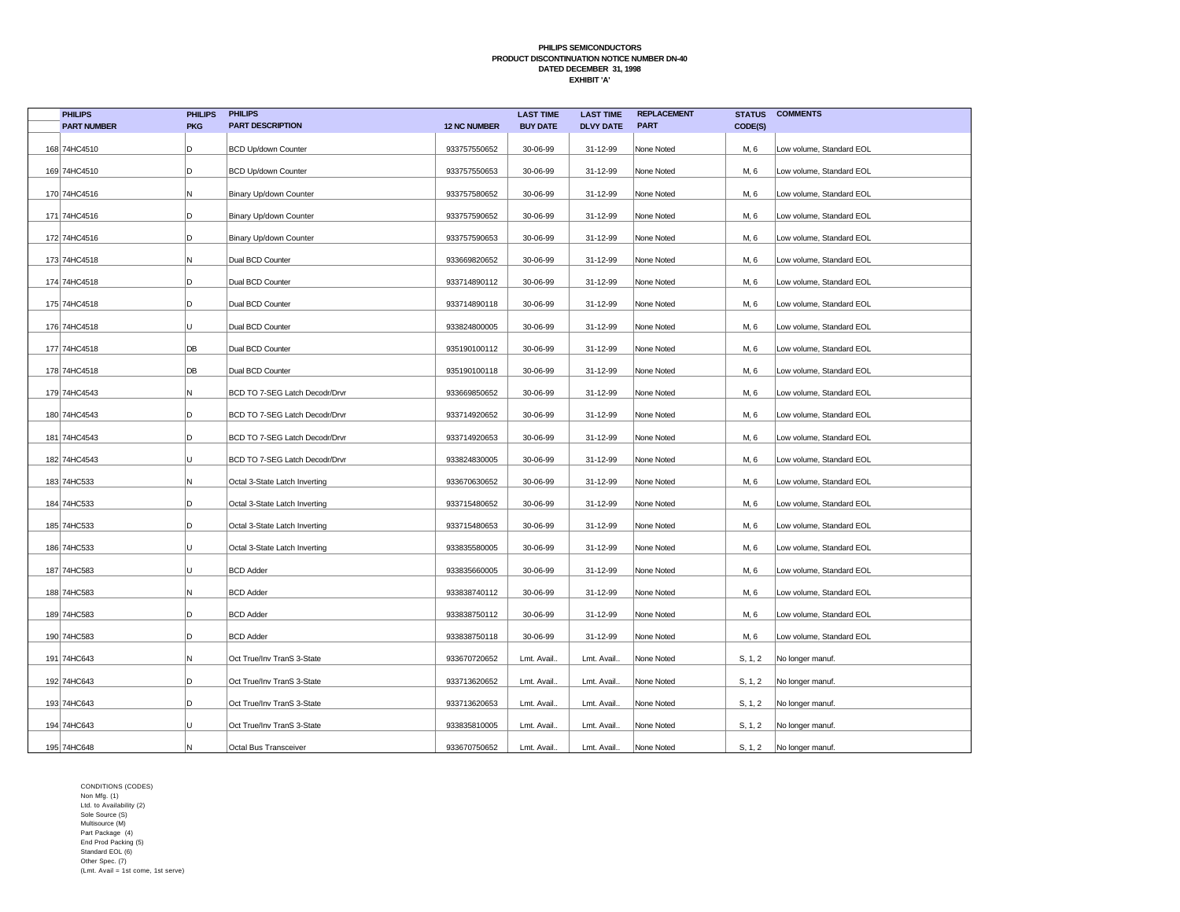| <b>PHILIPS</b>     | <b>PHILIPS</b> | <b>PHILIPS</b>                 |                     | <b>LAST TIME</b> | <b>LAST TIME</b> | <b>REPLACEMENT</b> | <b>STATUS</b> | <b>COMMENTS</b>          |
|--------------------|----------------|--------------------------------|---------------------|------------------|------------------|--------------------|---------------|--------------------------|
| <b>PART NUMBER</b> | <b>PKG</b>     | <b>PART DESCRIPTION</b>        | <b>12 NC NUMBER</b> | <b>BUY DATE</b>  | <b>DLVY DATE</b> | <b>PART</b>        | CODE(S)       |                          |
| 168 74HC4510       | D              | <b>BCD Up/down Counter</b>     | 933757550652        | 30-06-99         | 31-12-99         | None Noted         | M, 6          | Low volume, Standard EOL |
| 169 74HC4510       | D              | <b>BCD Up/down Counter</b>     | 933757550653        | 30-06-99         | 31-12-99         | None Noted         | M, 6          | Low volume, Standard EOL |
| 170 74HC4516       | Ν              | Binary Up/down Counter         | 933757580652        | 30-06-99         | 31-12-99         | None Noted         | M, 6          | Low volume, Standard EOL |
| 171 74HC4516       | D              | Binary Up/down Counter         | 933757590652        | 30-06-99         | 31-12-99         | None Noted         | M, 6          | Low volume, Standard EOL |
| 172 74HC4516       | D              | Binary Up/down Counter         | 933757590653        | 30-06-99         | 31-12-99         | None Noted         | M, 6          | Low volume, Standard EOL |
| 173 74HC4518       | Ν              | Dual BCD Counter               | 933669820652        | 30-06-99         | 31-12-99         | None Noted         | M, 6          | Low volume, Standard EOL |
| 174 74HC4518       | D              | Dual BCD Counter               | 933714890112        | 30-06-99         | 31-12-99         | None Noted         | M, 6          | Low volume, Standard EOL |
| 175 74HC4518       | D              | Dual BCD Counter               | 933714890118        | 30-06-99         | 31-12-99         | None Noted         | M, 6          | Low volume, Standard EOL |
| 176 74HC4518       | U              | Dual BCD Counter               | 933824800005        | 30-06-99         | 31-12-99         | None Noted         | M, 6          | Low volume, Standard EOL |
| 177 74HC4518       | DB             | Dual BCD Counter               | 935190100112        | 30-06-99         | 31-12-99         | None Noted         | M, 6          | Low volume, Standard EOL |
| 178 74HC4518       | DB             | Dual BCD Counter               | 935190100118        | 30-06-99         | 31-12-99         | None Noted         | M, 6          | Low volume, Standard EOL |
| 179 74HC4543       | Ν              | BCD TO 7-SEG Latch Decodr/Drvr | 933669850652        | 30-06-99         | 31-12-99         | None Noted         | M, 6          | Low volume, Standard EOL |
| 180 74HC4543       | D              | BCD TO 7-SEG Latch Decodr/Drvr | 933714920652        | 30-06-99         | 31-12-99         | None Noted         | M, 6          | Low volume, Standard EOL |
| 181 74HC4543       | D              | BCD TO 7-SEG Latch Decodr/Drvr | 933714920653        | 30-06-99         | 31-12-99         | None Noted         | M, 6          | Low volume, Standard EOL |
| 182 74HC4543       | U              | BCD TO 7-SEG Latch Decodr/Drvr | 933824830005        | 30-06-99         | 31-12-99         | None Noted         | M, 6          | Low volume, Standard EOL |
| 183 74HC533        | N              | Octal 3-State Latch Inverting  | 933670630652        | 30-06-99         | 31-12-99         | None Noted         | M, 6          | Low volume, Standard EOL |
| 184 74HC533        | D              | Octal 3-State Latch Inverting  | 933715480652        | 30-06-99         | 31-12-99         | None Noted         | M, 6          | Low volume, Standard EOL |
| 185 74HC533        | D              | Octal 3-State Latch Inverting  | 933715480653        | 30-06-99         | 31-12-99         | None Noted         | M, 6          | Low volume, Standard EOL |
| 186 74HC533        | U              | Octal 3-State Latch Inverting  | 933835580005        | 30-06-99         | 31-12-99         | None Noted         | M, 6          | Low volume, Standard EOL |
| 187 74HC583        | U              | <b>BCD Adder</b>               | 933835660005        | 30-06-99         | 31-12-99         | None Noted         | M, 6          | Low volume, Standard EOL |
| 188 74HC583        | Ν              | <b>BCD Adder</b>               | 933838740112        | 30-06-99         | 31-12-99         | None Noted         | M, 6          | Low volume, Standard EOL |
| 189 74HC583        | D              | <b>BCD Adder</b>               | 933838750112        | 30-06-99         | 31-12-99         | None Noted         | M, 6          | Low volume, Standard EOL |
| 190 74HC583        | D              | <b>BCD Adder</b>               | 933838750118        | 30-06-99         | 31-12-99         | None Noted         | M, 6          | Low volume, Standard EOL |
| 191 74HC643        | Ν              | Oct True/Inv TranS 3-State     | 933670720652        | Lmt. Avail.      | Lmt. Avail.      | None Noted         | S, 1, 2       | No longer manuf.         |
| 192 74HC643        | D              | Oct True/Inv TranS 3-State     | 933713620652        | Lmt. Avail.      | Lmt. Avail.      | None Noted         | S, 1, 2       | No longer manuf.         |
| 193 74HC643        | D              | Oct True/Inv TranS 3-State     | 933713620653        | Lmt. Avail.      | Lmt. Avail.      | None Noted         | S, 1, 2       | No longer manuf.         |
| 194 74HC643        | U              | Oct True/Inv TranS 3-State     | 933835810005        | Lmt. Avail.      | Lmt. Avail.      | None Noted         | S, 1, 2       | No longer manuf.         |
| 195 74HC648        | Ν              | Octal Bus Transceiver          | 933670750652        | Lmt. Avail.      | Lmt. Avail.      | None Noted         | S, 1, 2       | No longer manuf.         |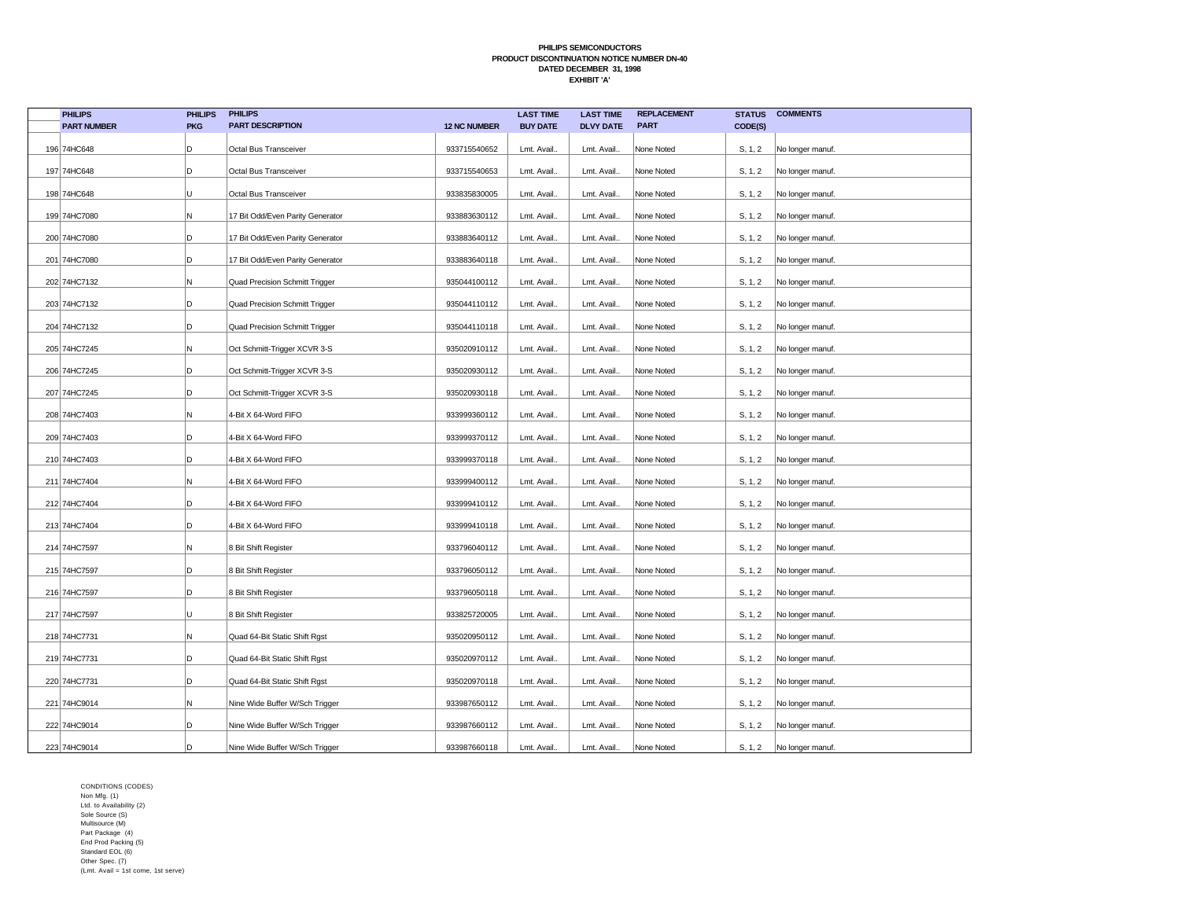| <b>PHILIPS</b>     | <b>PHILIPS</b> | <b>PHILIPS</b>                   |                     | <b>LAST TIME</b> | <b>LAST TIME</b> | <b>REPLACEMENT</b> | <b>STATUS</b> | <b>COMMENTS</b>  |
|--------------------|----------------|----------------------------------|---------------------|------------------|------------------|--------------------|---------------|------------------|
| <b>PART NUMBER</b> | <b>PKG</b>     | <b>PART DESCRIPTION</b>          | <b>12 NC NUMBER</b> | <b>BUY DATE</b>  | <b>DLVY DATE</b> | <b>PART</b>        | CODE(S)       |                  |
| 196 74HC648        | D              | Octal Bus Transceiver            | 933715540652        | Lmt. Avail.      | Lmt. Avail.      | None Noted         | S, 1, 2       | No longer manuf. |
| 197 74HC648        | D              | Octal Bus Transceiver            | 933715540653        | Lmt. Avail.      | Lmt. Avail.      | None Noted         | S, 1, 2       | No longer manuf. |
| 198 74HC648        | U              | Octal Bus Transceiver            | 933835830005        | Lmt. Avail.      | Lmt. Avail.      | None Noted         | S, 1, 2       | No longer manuf. |
| 199 74HC7080       | N              | 17 Bit Odd/Even Parity Generator | 933883630112        | Lmt. Avail.      | Lmt. Avail.      | None Noted         | S, 1, 2       | No longer manuf. |
| 200 74HC7080       | D              | 17 Bit Odd/Even Parity Generator | 933883640112        | Lmt. Avail.      | Lmt. Avail.      | None Noted         | S, 1, 2       | No longer manuf. |
| 201 74HC7080       | D              | 17 Bit Odd/Even Parity Generator | 933883640118        | Lmt. Avail.      | Lmt. Avail.      | None Noted         | S, 1, 2       | No longer manuf. |
| 202 74HC7132       | N              | Quad Precision Schmitt Trigger   | 935044100112        | Lmt. Avail.      | Lmt. Avail.      | None Noted         | S, 1, 2       | No longer manuf. |
| 203 74HC7132       | D              | Quad Precision Schmitt Trigger   | 935044110112        | Lmt. Avail.      | Lmt. Avail.      | None Noted         | S, 1, 2       | No longer manuf. |
| 204 74HC7132       | D              | Quad Precision Schmitt Trigger   | 935044110118        | Lmt. Avail.      | Lmt. Avail.      | None Noted         | S, 1, 2       | No longer manuf. |
| 205 74HC7245       | N              | Oct Schmitt-Trigger XCVR 3-S     | 935020910112        | Lmt. Avail.      | Lmt. Avail.      | None Noted         | S, 1, 2       | No longer manuf. |
| 206 74HC7245       | D              | Oct Schmitt-Trigger XCVR 3-S     | 935020930112        | Lmt. Avail.      | Lmt. Avail.      | None Noted         | S, 1, 2       | No longer manuf. |
| 207 74HC7245       | D              | Oct Schmitt-Trigger XCVR 3-S     | 935020930118        | Lmt. Avail.      | Lmt. Avail.      | None Noted         | S, 1, 2       | No longer manuf. |
| 208 74HC7403       | N              | 4-Bit X 64-Word FIFO             | 933999360112        | Lmt. Avail.      | Lmt. Avail.      | None Noted         | S, 1, 2       | No longer manuf. |
| 209 74HC7403       | D              | 4-Bit X 64-Word FIFO             | 933999370112        | Lmt. Avail.      | Lmt. Avail.      | None Noted         | S, 1, 2       | No longer manuf. |
| 210 74HC7403       | D              | 4-Bit X 64-Word FIFO             | 933999370118        | Lmt. Avail.      | Lmt. Avail.      | None Noted         | S, 1, 2       | No longer manuf. |
| 211 74HC7404       | N              | 4-Bit X 64-Word FIFO             | 933999400112        | Lmt. Avail.      | Lmt. Avail.      | None Noted         | S, 1, 2       | No longer manuf. |
| 212 74HC7404       | D              | 4-Bit X 64-Word FIFO             | 933999410112        | Lmt. Avail.      | Lmt. Avail.      | None Noted         | S, 1, 2       | No longer manuf. |
| 213 74HC7404       | D              | 4-Bit X 64-Word FIFO             | 933999410118        | Lmt. Avail.      | Lmt. Avail.      | None Noted         | S, 1, 2       | No longer manuf. |
| 214 74HC7597       | N              | 8 Bit Shift Register             | 933796040112        | Lmt. Avail.      | Lmt. Avail.      | None Noted         | S, 1, 2       | No longer manuf. |
| 215 74HC7597       | D              | 8 Bit Shift Register             | 933796050112        | Lmt. Avail.      | Lmt. Avail.      | None Noted         | S, 1, 2       | No longer manuf. |
| 216 74HC7597       | D              | 8 Bit Shift Register             | 933796050118        | Lmt. Avail.      | Lmt. Avail.      | None Noted         | S, 1, 2       | No longer manuf. |
| 217 74HC7597       | U              | 8 Bit Shift Register             | 933825720005        | Lmt. Avail.      | Lmt. Avail.      | None Noted         | S, 1, 2       | No longer manuf. |
| 218 74HC7731       | N              | Quad 64-Bit Static Shift Rgst    | 935020950112        | Lmt. Avail       | Lmt. Avail.      | None Noted         | S, 1, 2       | No longer manuf. |
| 219 74HC7731       | D              | Quad 64-Bit Static Shift Rgst    | 935020970112        | Lmt. Avail.      | Lmt. Avail.      | None Noted         | S, 1, 2       | No longer manuf. |
| 220 74HC7731       | D              | Quad 64-Bit Static Shift Rgst    | 935020970118        | Lmt. Avail.      | Lmt. Avail.      | None Noted         | S, 1, 2       | No longer manuf. |
| 221 74HC9014       | N              | Nine Wide Buffer W/Sch Trigger   | 933987650112        | Lmt. Avail.      | Lmt. Avail.      | None Noted         | S, 1, 2       | No longer manuf. |
| 222 74HC9014       | D              | Nine Wide Buffer W/Sch Trigger   | 933987660112        | Lmt. Avail.      | Lmt. Avail.      | None Noted         | S, 1, 2       | No longer manuf. |
| 223 74HC9014       | D              | Nine Wide Buffer W/Sch Trigger   | 933987660118        | Lmt. Avail       | Lmt. Avail.      | None Noted         | S, 1, 2       | No longer manuf. |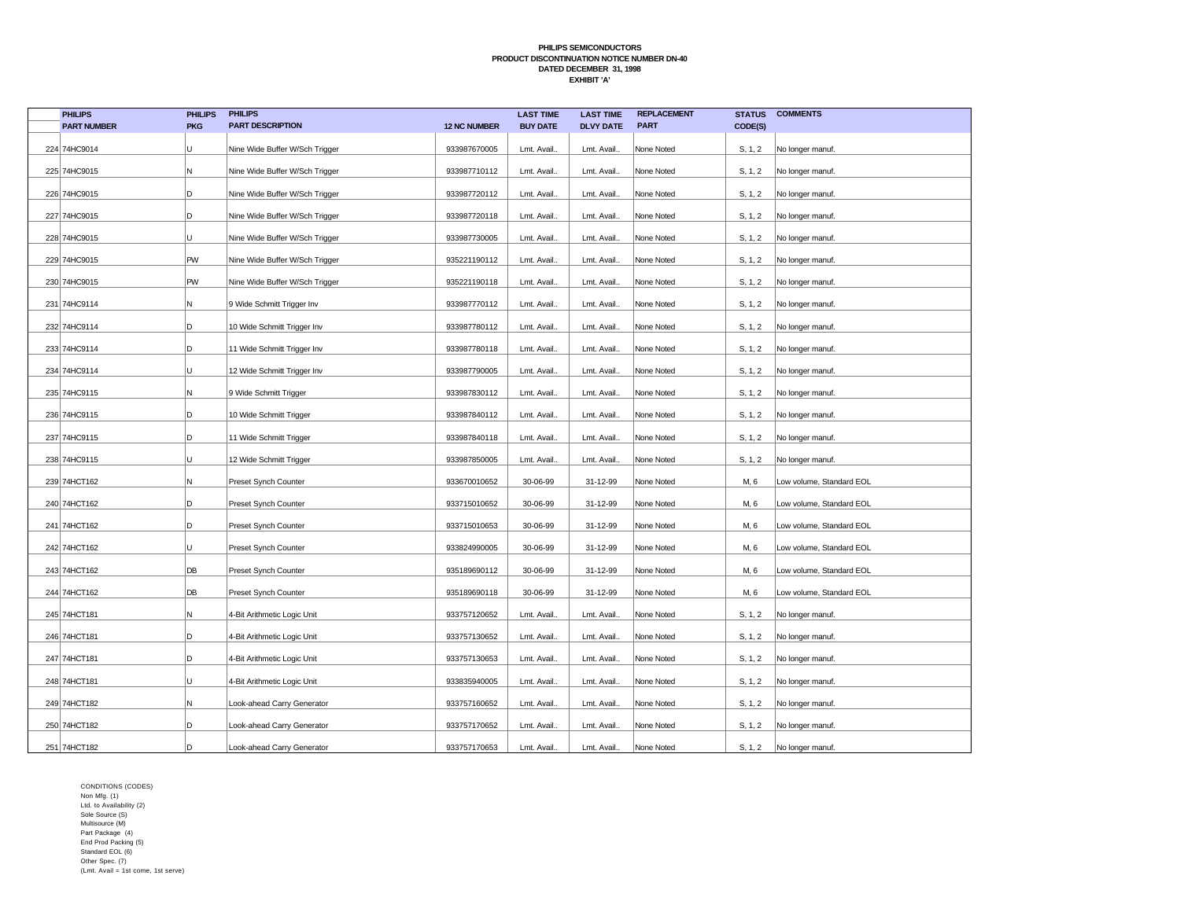| <b>PHILIPS</b>     | <b>PHILIPS</b> | <b>PHILIPS</b>                 |                     | <b>LAST TIME</b> | <b>LAST TIME</b> | <b>REPLACEMENT</b> | <b>STATUS</b> | <b>COMMENTS</b>          |
|--------------------|----------------|--------------------------------|---------------------|------------------|------------------|--------------------|---------------|--------------------------|
| <b>PART NUMBER</b> | <b>PKG</b>     | <b>PART DESCRIPTION</b>        | <b>12 NC NUMBER</b> | <b>BUY DATE</b>  | <b>DLVY DATE</b> | <b>PART</b>        | CODE(S)       |                          |
| 224 74HC9014       | U              | Nine Wide Buffer W/Sch Trigger | 933987670005        | Lmt. Avail.      | Lmt. Avail.      | None Noted         | S, 1, 2       | No longer manuf.         |
| 225 74HC9015       | Ν              | Nine Wide Buffer W/Sch Trigger | 933987710112        | Lmt. Avail.      | Lmt. Avail.      | None Noted         | S, 1, 2       | No longer manuf.         |
| 226 74HC9015       | D              | Nine Wide Buffer W/Sch Trigger | 933987720112        | Lmt. Avail.      | Lmt. Avail.      | None Noted         | S, 1, 2       | No longer manuf.         |
| 227 74HC9015       | D              | Nine Wide Buffer W/Sch Trigger | 933987720118        | Lmt. Avail.      | Lmt. Avail.      | None Noted         | S, 1, 2       | No longer manuf.         |
| 228 74HC9015       | U              | Nine Wide Buffer W/Sch Trigger | 933987730005        | Lmt. Avail.      | Lmt. Avail.      | None Noted         | S, 1, 2       | No longer manuf.         |
| 229 74HC9015       | PW             | Nine Wide Buffer W/Sch Trigger | 935221190112        | Lmt. Avail.      | Lmt. Avail.      | None Noted         | S, 1, 2       | No longer manuf.         |
| 230 74HC9015       | PW             | Nine Wide Buffer W/Sch Trigger | 935221190118        | Lmt. Avail.      | Lmt. Avail.      | None Noted         | S, 1, 2       | No longer manuf.         |
| 231 74HC9114       | Ν              | 9 Wide Schmitt Trigger Inv     | 933987770112        | Lmt. Avail.      | Lmt. Avail.      | None Noted         | S, 1, 2       | No longer manuf.         |
| 232 74HC9114       | D              | 10 Wide Schmitt Trigger Inv    | 933987780112        | Lmt. Avail.      | Lmt. Avail.      | None Noted         | S, 1, 2       | No longer manuf.         |
| 233 74HC9114       | D              | 11 Wide Schmitt Trigger Inv    | 933987780118        | Lmt. Avail.      | Lmt. Avail.      | None Noted         | S, 1, 2       | No longer manuf.         |
| 234 74HC9114       | U              | 12 Wide Schmitt Trigger Inv    | 933987790005        | Lmt. Avail.      | Lmt. Avail.      | None Noted         | S, 1, 2       | No longer manuf.         |
| 235 74HC9115       | Ν              | 9 Wide Schmitt Trigger         | 933987830112        | Lmt. Avail.      | Lmt. Avail.      | None Noted         | S, 1, 2       | No longer manuf.         |
| 236 74HC9115       | D              | 10 Wide Schmitt Trigger        | 933987840112        | Lmt. Avail.      | Lmt. Avail.      | None Noted         | S, 1, 2       | No longer manuf.         |
| 237 74HC9115       | D              | 11 Wide Schmitt Trigger        | 933987840118        | Lmt. Avail.      | Lmt. Avail.      | None Noted         | S, 1, 2       | No longer manuf.         |
| 238 74HC9115       | U              | 12 Wide Schmitt Trigger        | 933987850005        | Lmt. Avail.      | Lmt. Avail.      | None Noted         | S, 1, 2       | No longer manuf.         |
| 239 74HCT162       | Ν              | Preset Synch Counter           | 933670010652        | 30-06-99         | 31-12-99         | None Noted         | M, 6          | Low volume, Standard EOL |
| 240 74HCT162       | D              | Preset Synch Counter           | 933715010652        | 30-06-99         | 31-12-99         | None Noted         | M, 6          | Low volume, Standard EOL |
| 241 74HCT162       | D              | Preset Synch Counter           | 933715010653        | 30-06-99         | 31-12-99         | None Noted         | M, 6          | Low volume, Standard EOL |
| 242 74HCT162       | U              | Preset Synch Counter           | 933824990005        | 30-06-99         | 31-12-99         | None Noted         | M, 6          | Low volume, Standard EOL |
| 243 74HCT162       | DB             | Preset Synch Counter           | 935189690112        | 30-06-99         | 31-12-99         | None Noted         | M, 6          | Low volume, Standard EOL |
| 244 74HCT162       | DB             | Preset Synch Counter           | 935189690118        | 30-06-99         | 31-12-99         | None Noted         | M, 6          | Low volume, Standard EOL |
| 245 74HCT181       | Ν              | 4-Bit Arithmetic Logic Unit    | 933757120652        | Lmt. Avail.      | Lmt. Avail.      | None Noted         | S, 1, 2       | No longer manuf.         |
| 246 74HCT181       | D              | 4-Bit Arithmetic Logic Unit    | 933757130652        | Lmt. Avail.      | Lmt. Avail.      | None Noted         | S, 1, 2       | No longer manuf.         |
| 247 74HCT181       | D              | 4-Bit Arithmetic Logic Unit    | 933757130653        | Lmt. Avail.      | Lmt. Avail.      | None Noted         | S, 1, 2       | No longer manuf.         |
| 248 74HCT181       | U              | 4-Bit Arithmetic Logic Unit    | 933835940005        | Lmt. Avail.      | Lmt. Avail.      | None Noted         | S, 1, 2       | No longer manuf.         |
| 249 74HCT182       | N              | Look-ahead Carry Generator     | 933757160652        | Lmt. Avail.      | Lmt. Avail.      | None Noted         | S, 1, 2       | No longer manuf.         |
| 250 74HCT182       | D              | Look-ahead Carry Generator     | 933757170652        | Lmt. Avail.      | Lmt. Avail.      | None Noted         | S, 1, 2       | No longer manuf.         |
| 251 74HCT182       | D              | Look-ahead Carry Generator     | 933757170653        | Lmt. Avail       | Lmt. Avail.      | None Noted         | S, 1, 2       | No longer manuf.         |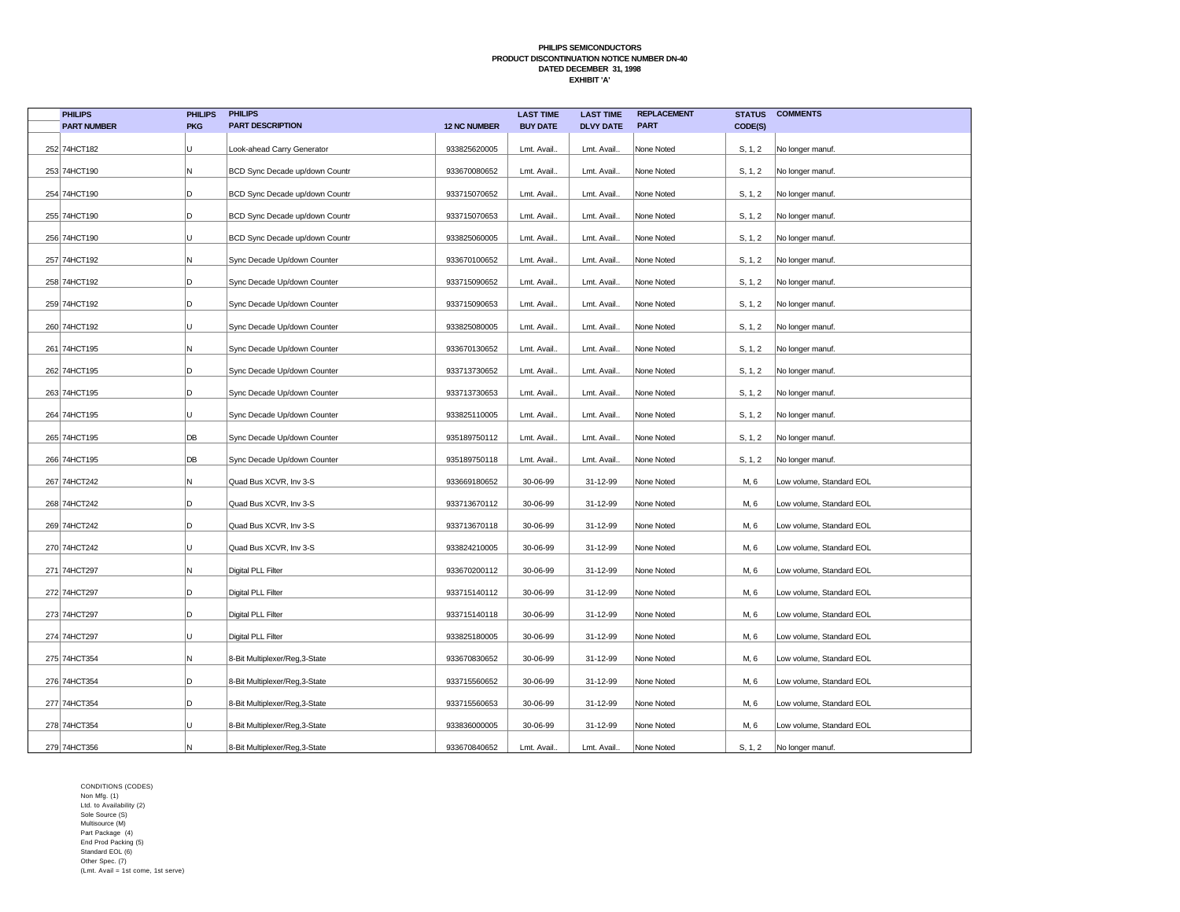| <b>PHILIPS</b>     | <b>PHILIPS</b> | <b>PHILIPS</b>                 |                     | <b>LAST TIME</b> | <b>LAST TIME</b> | <b>REPLACEMENT</b> | <b>STATUS</b> | <b>COMMENTS</b>          |
|--------------------|----------------|--------------------------------|---------------------|------------------|------------------|--------------------|---------------|--------------------------|
| <b>PART NUMBER</b> | <b>PKG</b>     | <b>PART DESCRIPTION</b>        | <b>12 NC NUMBER</b> | <b>BUY DATE</b>  | <b>DLVY DATE</b> | <b>PART</b>        | CODE(S)       |                          |
| 252 74HCT182       | U              | Look-ahead Carry Generator     | 933825620005        | Lmt. Avail.      | Lmt. Avail.      | None Noted         | S, 1, 2       | No longer manuf.         |
| 253 74HCT190       | Ν              | BCD Sync Decade up/down Countr | 933670080652        | Lmt. Avail.      | Lmt. Avail.      | None Noted         | S, 1, 2       | No longer manuf.         |
| 254 74HCT190       | D              | BCD Sync Decade up/down Countr | 933715070652        | Lmt. Avail.      | Lmt. Avail.      | None Noted         | S, 1, 2       | No longer manuf.         |
| 255 74HCT190       | D              | BCD Sync Decade up/down Countr | 933715070653        | Lmt. Avail.      | Lmt. Avail.      | None Noted         | S, 1, 2       | No longer manuf.         |
| 256 74HCT190       | U              | BCD Sync Decade up/down Countr | 933825060005        | Lmt. Avail.      | Lmt. Avail.      | None Noted         | S, 1, 2       | No longer manuf.         |
| 257 74HCT192       | Ν              | Sync Decade Up/down Counter    | 933670100652        | Lmt. Avail.      | Lmt. Avail.      | None Noted         | S, 1, 2       | No longer manuf.         |
| 258 74HCT192       | D              | Sync Decade Up/down Counter    | 933715090652        | Lmt. Avail.      | Lmt. Avail.      | None Noted         | S, 1, 2       | No longer manuf.         |
| 259 74HCT192       | D              | Sync Decade Up/down Counter    | 933715090653        | Lmt. Avail.      | Lmt. Avail.      | None Noted         | S, 1, 2       | No longer manuf.         |
| 260 74HCT192       | U              | Sync Decade Up/down Counter    | 933825080005        | Lmt. Avail.      | Lmt. Avail.      | None Noted         | S, 1, 2       | No longer manuf.         |
| 261 74HCT195       | Ν              | Sync Decade Up/down Counter    | 933670130652        | Lmt. Avail.      | Lmt. Avail.      | None Noted         | S, 1, 2       | No longer manuf.         |
| 262 74HCT195       | D              | Sync Decade Up/down Counter    | 933713730652        | Lmt. Avail.      | Lmt. Avail       | None Noted         | S, 1, 2       | No longer manuf.         |
| 263 74HCT195       | D              | Sync Decade Up/down Counter    | 933713730653        | Lmt. Avail.      | Lmt. Avail.      | None Noted         | S, 1, 2       | No longer manuf.         |
| 264 74HCT195       | U              | Sync Decade Up/down Counter    | 933825110005        | Lmt. Avail.      | Lmt. Avail.      | None Noted         | S, 1, 2       | No longer manuf.         |
| 265 74HCT195       | DB             | Sync Decade Up/down Counter    | 935189750112        | Lmt. Avail.      | Lmt. Avail.      | None Noted         | S, 1, 2       | No longer manuf.         |
| 266 74HCT195       | DB             | Sync Decade Up/down Counter    | 935189750118        | Lmt. Avail.      | Lmt. Avail       | None Noted         | S, 1, 2       | No longer manuf.         |
| 267 74HCT242       | Ν              | Quad Bus XCVR, Inv 3-S         | 933669180652        | 30-06-99         | 31-12-99         | None Noted         | M, 6          | Low volume, Standard EOL |
| 268 74HCT242       | D              | Quad Bus XCVR, Inv 3-S         | 933713670112        | 30-06-99         | 31-12-99         | None Noted         | M, 6          | Low volume, Standard EOL |
| 269 74HCT242       | D              | Quad Bus XCVR, Inv 3-S         | 933713670118        | 30-06-99         | 31-12-99         | None Noted         | M, 6          | Low volume, Standard EOL |
| 270 74HCT242       | U              | Quad Bus XCVR, Inv 3-S         | 933824210005        | 30-06-99         | 31-12-99         | None Noted         | M, 6          | Low volume, Standard EOL |
| 271 74HCT297       | Ν              | Digital PLL Filter             | 933670200112        | 30-06-99         | 31-12-99         | None Noted         | M, 6          | Low volume, Standard EOL |
| 272 74HCT297       | D              | Digital PLL Filter             | 933715140112        | 30-06-99         | 31-12-99         | None Noted         | M, 6          | Low volume, Standard EOL |
| 273 74HCT297       | D              | Digital PLL Filter             | 933715140118        | 30-06-99         | 31-12-99         | None Noted         | M, 6          | Low volume, Standard EOL |
| 274 74HCT297       | U              | Digital PLL Filter             | 933825180005        | 30-06-99         | 31-12-99         | None Noted         | M, 6          | Low volume, Standard EOL |
| 275 74HCT354       | Ν              | 8-Bit Multiplexer/Reg,3-State  | 933670830652        | 30-06-99         | 31-12-99         | None Noted         | M, 6          | Low volume, Standard EOL |
| 276 74HCT354       | D              | 8-Bit Multiplexer/Reg,3-State  | 933715560652        | 30-06-99         | 31-12-99         | None Noted         | M, 6          | Low volume, Standard EOL |
| 277 74HCT354       | D              | 8-Bit Multiplexer/Reg,3-State  | 933715560653        | 30-06-99         | 31-12-99         | None Noted         | M, 6          | Low volume, Standard EOL |
| 278 74HCT354       | U              | 8-Bit Multiplexer/Reg,3-State  | 933836000005        | 30-06-99         | 31-12-99         | None Noted         | M, 6          | Low volume, Standard EOL |
| 279 74HCT356       | Ν              | 8-Bit Multiplexer/Reg,3-State  | 933670840652        | Lmt. Avail.      | Lmt. Avail.      | None Noted         | S, 1, 2       | No longer manuf.         |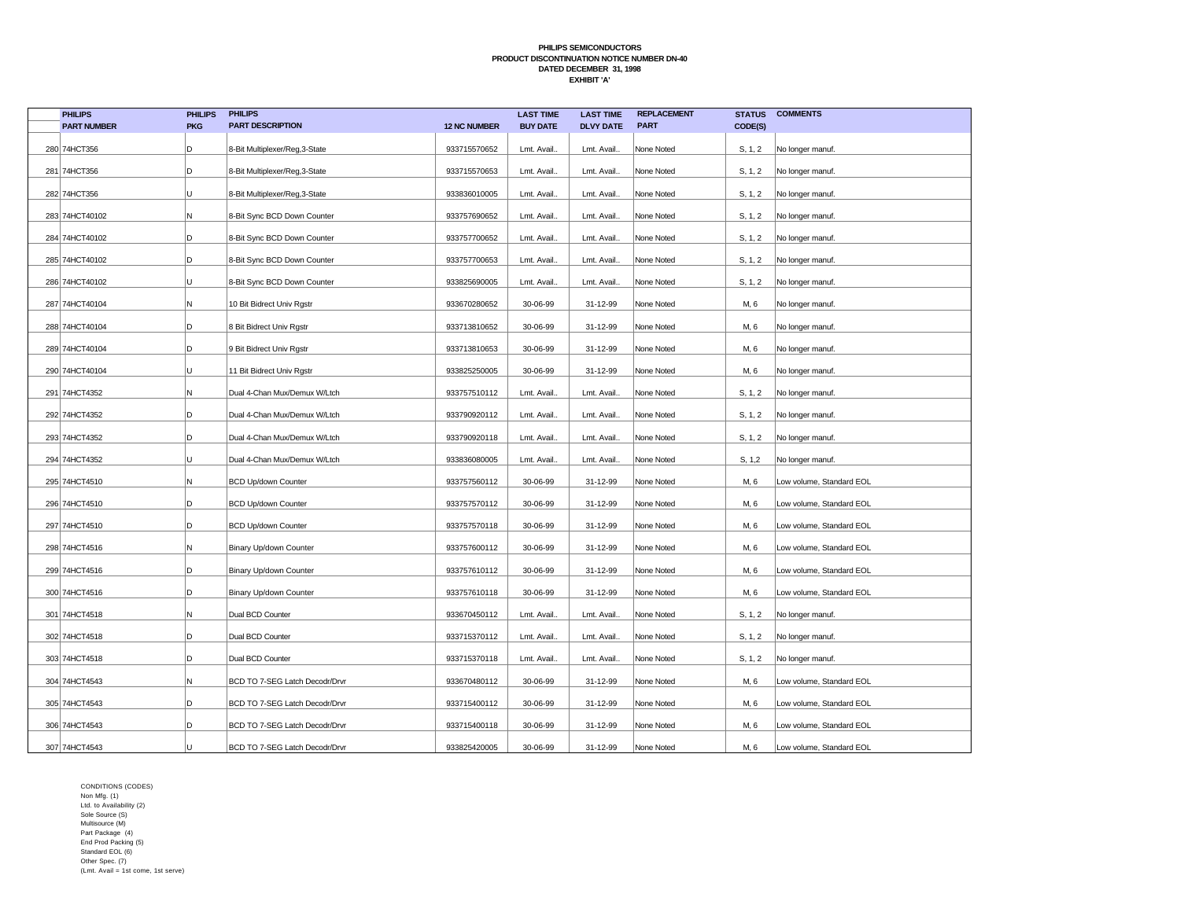| <b>PHILIPS</b>     | <b>PHILIPS</b> | <b>PHILIPS</b>                 |                     | <b>LAST TIME</b> | <b>LAST TIME</b> | <b>REPLACEMENT</b> | <b>STATUS</b> | <b>COMMENTS</b>          |
|--------------------|----------------|--------------------------------|---------------------|------------------|------------------|--------------------|---------------|--------------------------|
| <b>PART NUMBER</b> | <b>PKG</b>     | <b>PART DESCRIPTION</b>        | <b>12 NC NUMBER</b> | <b>BUY DATE</b>  | <b>DLVY DATE</b> | <b>PART</b>        | CODE(S)       |                          |
| 280 74HCT356       | D              | 8-Bit Multiplexer/Reg,3-State  | 933715570652        | Lmt. Avail.      | Lmt. Avail.      | None Noted         | S, 1, 2       | No longer manuf.         |
| 281 74HCT356       | D              | 8-Bit Multiplexer/Reg,3-State  | 933715570653        | Lmt. Avail.      | Lmt. Avail.      | None Noted         | S, 1, 2       | No longer manuf.         |
| 282 74HCT356       | U              | 8-Bit Multiplexer/Reg,3-State  | 933836010005        | Lmt. Avail.      | Lmt. Avail.      | None Noted         | S, 1, 2       | No longer manuf.         |
| 283 74HCT40102     | Ν              | 8-Bit Sync BCD Down Counter    | 933757690652        | Lmt. Avail.      | Lmt. Avail.      | None Noted         | S, 1, 2       | No longer manuf.         |
| 284 74HCT40102     | D              | 8-Bit Sync BCD Down Counter    | 933757700652        | Lmt. Avail.      | Lmt. Avail.      | None Noted         | S, 1, 2       | No longer manuf.         |
| 285 74HCT40102     | D              | 8-Bit Sync BCD Down Counter    | 933757700653        | Lmt. Avail.      | Lmt. Avail.      | None Noted         | S, 1, 2       | No longer manuf.         |
| 286 74HCT40102     | U              | 8-Bit Sync BCD Down Counter    | 933825690005        | Lmt. Avail.      | Lmt. Avail.      | None Noted         | S, 1, 2       | No longer manuf.         |
| 287 74HCT40104     | Ν              | 10 Bit Bidrect Univ Rgstr      | 933670280652        | 30-06-99         | 31-12-99         | None Noted         | M, 6          | No longer manuf.         |
| 288 74HCT40104     | D              | 8 Bit Bidrect Univ Rgstr       | 933713810652        | 30-06-99         | 31-12-99         | None Noted         | M, 6          | No longer manuf.         |
| 289 74HCT40104     | D              | 9 Bit Bidrect Univ Rgstr       | 933713810653        | 30-06-99         | 31-12-99         | None Noted         | M, 6          | No longer manuf.         |
| 290 74HCT40104     | U              | 11 Bit Bidrect Univ Rgstr      | 933825250005        | 30-06-99         | 31-12-99         | None Noted         | M, 6          | No longer manuf.         |
| 291 74HCT4352      | Ν              | Dual 4-Chan Mux/Demux W/Ltch   | 933757510112        | Lmt. Avail.      | Lmt. Avail.      | None Noted         | S, 1, 2       | No longer manuf.         |
| 292 74HCT4352      | D              | Dual 4-Chan Mux/Demux W/Ltch   | 933790920112        | Lmt. Avail.      | Lmt. Avail.      | None Noted         | S, 1, 2       | No longer manuf.         |
| 293 74HCT4352      | D              | Dual 4-Chan Mux/Demux W/Ltch   | 933790920118        | Lmt. Avail.      | Lmt. Avail.      | None Noted         | S, 1, 2       | No longer manuf.         |
| 294 74HCT4352      | U              | Dual 4-Chan Mux/Demux W/Ltch   | 933836080005        | Lmt. Avail.      | Lmt. Avail.      | None Noted         | S, 1, 2       | No longer manuf.         |
| 295 74HCT4510      | Ν              | <b>BCD Up/down Counter</b>     | 933757560112        | 30-06-99         | 31-12-99         | None Noted         | M, 6          | Low volume, Standard EOL |
| 296 74HCT4510      | D              | <b>BCD Up/down Counter</b>     | 933757570112        | 30-06-99         | 31-12-99         | None Noted         | M, 6          | Low volume, Standard EOL |
| 297 74HCT4510      | D              | <b>BCD Up/down Counter</b>     | 933757570118        | 30-06-99         | 31-12-99         | None Noted         | M, 6          | Low volume, Standard EOL |
| 298 74HCT4516      | Ν              | Binary Up/down Counter         | 933757600112        | 30-06-99         | 31-12-99         | None Noted         | M, 6          | Low volume, Standard EOL |
| 299 74HCT4516      | D              | Binary Up/down Counter         | 933757610112        | 30-06-99         | 31-12-99         | None Noted         | M, 6          | Low volume, Standard EOL |
| 300 74HCT4516      | D              | Binary Up/down Counter         | 933757610118        | 30-06-99         | 31-12-99         | None Noted         | M, 6          | Low volume, Standard EOL |
| 301 74HCT4518      | Ν              | Dual BCD Counter               | 933670450112        | Lmt. Avail.      | Lmt. Avail.      | None Noted         | S, 1, 2       | No longer manuf.         |
| 302 74HCT4518      | D              | Dual BCD Counter               | 933715370112        | Lmt. Avail.      | Lmt. Avail.      | None Noted         | S, 1, 2       | No longer manuf.         |
| 303 74HCT4518      | D              | Dual BCD Counter               | 933715370118        | Lmt. Avail.      | Lmt. Avail.      | None Noted         | S, 1, 2       | No longer manuf.         |
| 304 74HCT4543      | Ν              | BCD TO 7-SEG Latch Decodr/Drvr | 933670480112        | 30-06-99         | 31-12-99         | None Noted         | M, 6          | Low volume, Standard EOL |
| 305 74HCT4543      | D              | BCD TO 7-SEG Latch Decodr/Drvr | 933715400112        | 30-06-99         | 31-12-99         | None Noted         | M, 6          | Low volume, Standard EOL |
| 306 74HCT4543      | D              | BCD TO 7-SEG Latch Decodr/Drvr | 933715400118        | 30-06-99         | 31-12-99         | None Noted         | M, 6          | Low volume, Standard EOL |
| 307 74HCT4543      |                | BCD TO 7-SEG Latch Decodr/Drvr | 933825420005        | 30-06-99         | 31-12-99         | None Noted         | M, 6          | Low volume, Standard EOL |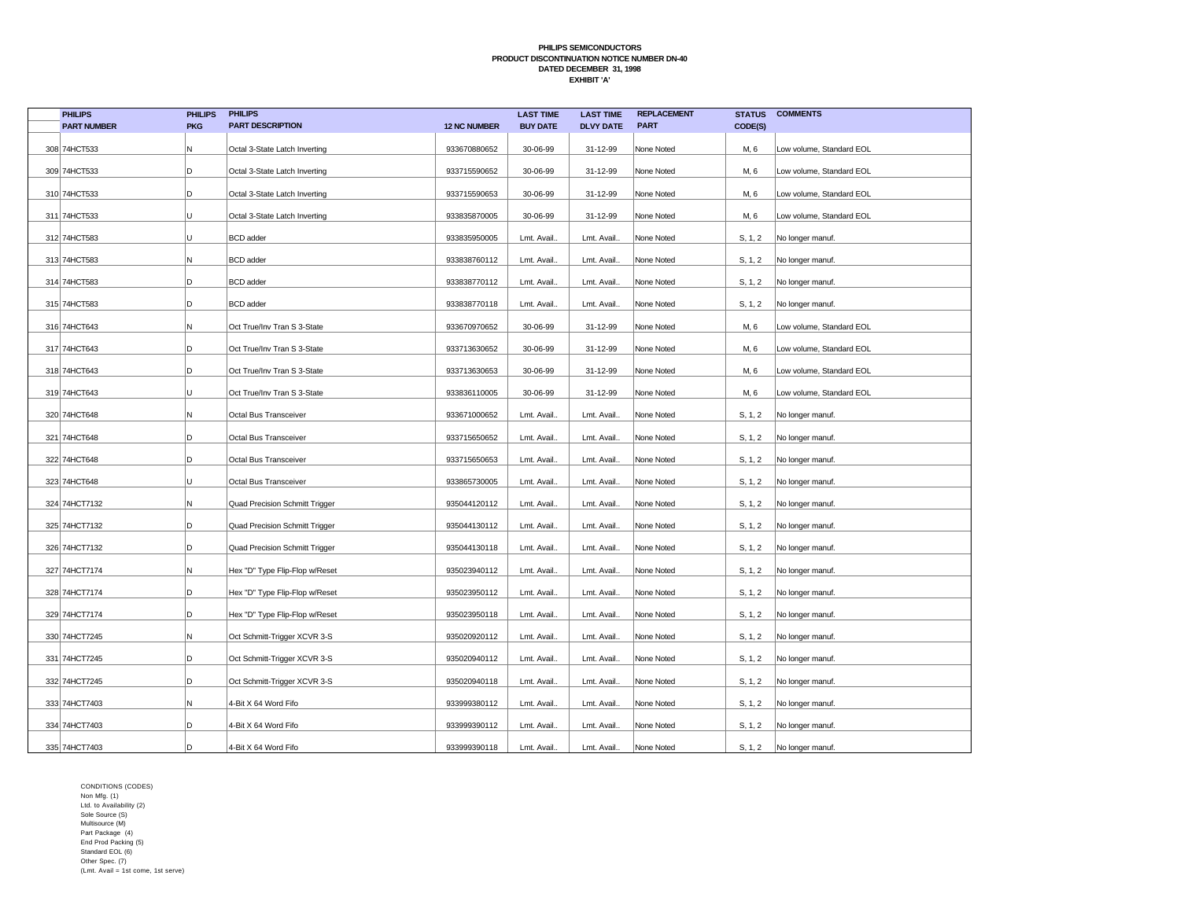| <b>PHILIPS</b>     | <b>PHILIPS</b> | <b>PHILIPS</b>                 |                     | <b>LAST TIME</b> | <b>LAST TIME</b> | <b>REPLACEMENT</b> | <b>STATUS</b> | <b>COMMENTS</b>          |
|--------------------|----------------|--------------------------------|---------------------|------------------|------------------|--------------------|---------------|--------------------------|
| <b>PART NUMBER</b> | <b>PKG</b>     | <b>PART DESCRIPTION</b>        | <b>12 NC NUMBER</b> | <b>BUY DATE</b>  | <b>DLVY DATE</b> | <b>PART</b>        | CODE(S)       |                          |
| 308 74HCT533       | N              | Octal 3-State Latch Inverting  | 933670880652        | 30-06-99         | 31-12-99         | None Noted         | M, 6          | Low volume, Standard EOL |
| 309 74HCT533       | D              | Octal 3-State Latch Inverting  | 933715590652        | 30-06-99         | 31-12-99         | None Noted         | M, 6          | Low volume, Standard EOL |
| 310 74HCT533       | D              | Octal 3-State Latch Inverting  | 933715590653        | 30-06-99         | 31-12-99         | None Noted         | M, 6          | Low volume, Standard EOL |
| 311 74HCT533       | Ü              | Octal 3-State Latch Inverting  | 933835870005        | 30-06-99         | 31-12-99         | None Noted         | M, 6          | Low volume, Standard EOL |
| 312 74HCT583       | Ü              | <b>BCD</b> adder               | 933835950005        | Lmt. Avail.      | Lmt. Avail.      | None Noted         | S, 1, 2       | No longer manuf.         |
| 313 74HCT583       | N              | <b>BCD</b> adder               | 933838760112        | Lmt. Avail.      | Lmt. Avail.      | None Noted         | S, 1, 2       | No longer manuf.         |
| 314 74HCT583       | D              | <b>BCD</b> adder               | 933838770112        | Lmt. Avail.      | Lmt. Avail.      | None Noted         | S, 1, 2       | No longer manuf.         |
| 315 74HCT583       | D              | <b>BCD</b> adder               | 933838770118        | Lmt. Avail       | Lmt. Avail.      | None Noted         | S, 1, 2       | No longer manuf.         |
| 316 74HCT643       | Ν              | Oct True/Inv Tran S 3-State    | 933670970652        | 30-06-99         | 31-12-99         | None Noted         | M, 6          | Low volume, Standard EOL |
| 317 74HCT643       | D              | Oct True/Inv Tran S 3-State    | 933713630652        | 30-06-99         | 31-12-99         | None Noted         | M, 6          | Low volume, Standard EOL |
| 318 74HCT643       | D              | Oct True/Inv Tran S 3-State    | 933713630653        | 30-06-99         | 31-12-99         | None Noted         | M, 6          | Low volume, Standard EOL |
| 319 74HCT643       | U              | Oct True/Inv Tran S 3-State    | 933836110005        | 30-06-99         | 31-12-99         | None Noted         | M, 6          | Low volume, Standard EOL |
| 320 74HCT648       | N              | Octal Bus Transceiver          | 933671000652        | Lmt. Avail.      | Lmt. Avail.      | None Noted         | S, 1, 2       | No longer manuf.         |
| 321 74HCT648       | D              | Octal Bus Transceiver          | 933715650652        | Lmt. Avail.      | Lmt. Avail.      | None Noted         | S, 1, 2       | No longer manuf.         |
| 322 74HCT648       | D              | Octal Bus Transceiver          | 933715650653        | Lmt. Avail       | Lmt. Avail.      | None Noted         | S, 1, 2       | No longer manuf.         |
| 323 74HCT648       | U              | Octal Bus Transceiver          | 933865730005        | Lmt. Avail.      | Lmt. Avail.      | None Noted         | S, 1, 2       | No longer manuf.         |
| 324 74HCT7132      | Ν              | Quad Precision Schmitt Trigger | 935044120112        | Lmt. Avail.      | Lmt. Avail.      | None Noted         | S, 1, 2       | No longer manuf.         |
| 325 74HCT7132      | D              | Quad Precision Schmitt Trigger | 935044130112        | Lmt. Avail       | Lmt. Avail.      | None Noted         | S, 1, 2       | No longer manuf.         |
| 326 74HCT7132      | D              | Quad Precision Schmitt Trigger | 935044130118        | Lmt. Avail.      | Lmt. Avail.      | None Noted         | S, 1, 2       | No longer manuf.         |
| 327 74HCT7174      | Ν              | Hex "D" Type Flip-Flop w/Reset | 935023940112        | Lmt. Avail.      | Lmt. Avail.      | None Noted         | S, 1, 2       | No longer manuf.         |
| 328 74HCT7174      | D              | Hex "D" Type Flip-Flop w/Reset | 935023950112        | Lmt. Avail.      | Lmt. Avail.      | None Noted         | S, 1, 2       | No longer manuf.         |
| 329 74HCT7174      | D              | Hex "D" Type Flip-Flop w/Reset | 935023950118        | Lmt. Avail.      | Lmt. Avail.      | None Noted         | S, 1, 2       | No longer manuf.         |
| 330 74HCT7245      | N              | Oct Schmitt-Trigger XCVR 3-S   | 935020920112        | Lmt. Avail.      | Lmt. Avail.      | None Noted         | S, 1, 2       | No longer manuf.         |
| 331 74HCT7245      | D              | Oct Schmitt-Trigger XCVR 3-S   | 935020940112        | Lmt. Avail.      | Lmt. Avail.      | None Noted         | S, 1, 2       | No longer manuf.         |
| 332 74HCT7245      | D              | Oct Schmitt-Trigger XCVR 3-S   | 935020940118        | Lmt. Avail.      | Lmt. Avail.      | None Noted         | S, 1, 2       | No longer manuf.         |
| 333 74HCT7403      | N              | 4-Bit X 64 Word Fifo           | 933999380112        | Lmt. Avail.      | Lmt. Avail.      | None Noted         | S, 1, 2       | No longer manuf.         |
| 334 74HCT7403      | D              | 4-Bit X 64 Word Fifo           | 933999390112        | Lmt. Avail.      | Lmt. Avail.      | None Noted         | S, 1, 2       | No longer manuf.         |
| 335 74HCT7403      | D              | 4-Bit X 64 Word Fifo           | 933999390118        | Lmt. Avail.      | Lmt. Avail.      | None Noted         | S, 1, 2       | No longer manuf.         |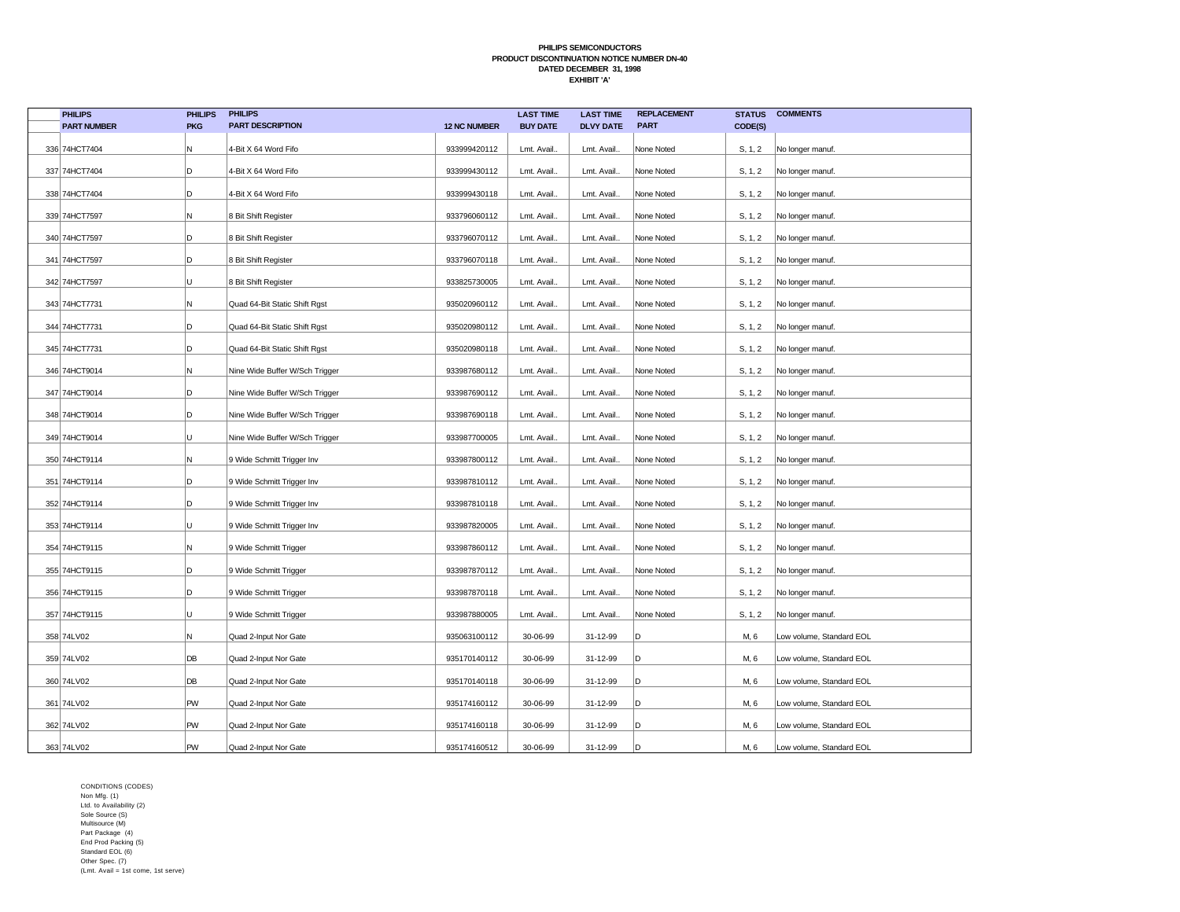| <b>PHILIPS</b>     | <b>PHILIPS</b> | <b>PHILIPS</b>                 |                     | <b>LAST TIME</b> | <b>LAST TIME</b> | <b>REPLACEMENT</b> | <b>STATUS</b> | <b>COMMENTS</b>          |
|--------------------|----------------|--------------------------------|---------------------|------------------|------------------|--------------------|---------------|--------------------------|
| <b>PART NUMBER</b> | <b>PKG</b>     | <b>PART DESCRIPTION</b>        | <b>12 NC NUMBER</b> | <b>BUY DATE</b>  | <b>DLVY DATE</b> | <b>PART</b>        | CODE(S)       |                          |
| 336 74HCT7404      | Ν              | 4-Bit X 64 Word Fifo           | 933999420112        | Lmt. Avail.      | Lmt. Avail.      | None Noted         | S, 1, 2       | No longer manuf.         |
| 337 74HCT7404      | D              | 4-Bit X 64 Word Fifo           | 933999430112        | Lmt. Avail.      | Lmt. Avail.      | None Noted         | S, 1, 2       | No longer manuf.         |
| 338 74HCT7404      | D              | 4-Bit X 64 Word Fifo           | 933999430118        | Lmt. Avail.      | Lmt. Avail.      | None Noted         | S, 1, 2       | No longer manuf.         |
| 339 74HCT7597      | Ν              | 8 Bit Shift Register           | 933796060112        | Lmt. Avail.      | Lmt. Avail.      | None Noted         | S, 1, 2       | No longer manuf.         |
| 340 74HCT7597      | D              | 8 Bit Shift Register           | 933796070112        | Lmt. Avail.      | Lmt. Avail.      | None Noted         | S, 1, 2       | No longer manuf.         |
| 341 74HCT7597      | D              | 8 Bit Shift Register           | 933796070118        | Lmt. Avail.      | Lmt. Avail.      | None Noted         | S, 1, 2       | No longer manuf.         |
| 342 74HCT7597      | U              | 8 Bit Shift Register           | 933825730005        | Lmt. Avail.      | Lmt. Avail.      | None Noted         | S, 1, 2       | No longer manuf.         |
| 343 74HCT7731      | Ν              | Quad 64-Bit Static Shift Rgst  | 935020960112        | Lmt. Avail.      | Lmt. Avail.      | None Noted         | S, 1, 2       | No longer manuf.         |
| 344 74HCT7731      | D              | Quad 64-Bit Static Shift Rgst  | 935020980112        | Lmt. Avail.      | Lmt. Avail.      | None Noted         | S, 1, 2       | No longer manuf.         |
| 345 74HCT7731      | D              | Quad 64-Bit Static Shift Rgst  | 935020980118        | Lmt. Avail       | Lmt. Avail.      | None Noted         | S, 1, 2       | No longer manuf.         |
| 346 74HCT9014      | N              | Nine Wide Buffer W/Sch Trigger | 933987680112        | Lmt. Avail.      | Lmt. Avail.      | None Noted         | S, 1, 2       | No longer manuf.         |
| 347 74HCT9014      | D              | Nine Wide Buffer W/Sch Trigger | 933987690112        | Lmt. Avail.      | Lmt. Avail.      | None Noted         | S, 1, 2       | No longer manuf.         |
| 348 74HCT9014      | D              | Nine Wide Buffer W/Sch Trigger | 933987690118        | Lmt. Avail.      | Lmt. Avail.      | None Noted         | S, 1, 2       | No longer manuf.         |
| 349 74HCT9014      | U              | Nine Wide Buffer W/Sch Trigger | 933987700005        | Lmt. Avail.      | Lmt. Avail.      | None Noted         | S, 1, 2       | No longer manuf.         |
| 350 74HCT9114      | Ν              | 9 Wide Schmitt Trigger Inv     | 933987800112        | Lmt. Avail.      | Lmt. Avail.      | None Noted         | S, 1, 2       | No longer manuf.         |
| 351 74HCT9114      | D              | 9 Wide Schmitt Trigger Inv     | 933987810112        | Lmt. Avail.      | Lmt. Avail.      | None Noted         | S, 1, 2       | No longer manuf.         |
| 352 74HCT9114      | D              | 9 Wide Schmitt Trigger Inv     | 933987810118        | Lmt. Avail.      | Lmt. Avail.      | None Noted         | S, 1, 2       | No longer manuf.         |
| 353 74HCT9114      | U              | 9 Wide Schmitt Trigger Inv     | 933987820005        | Lmt. Avail.      | Lmt. Avail.      | None Noted         | S, 1, 2       | No longer manuf.         |
| 354 74HCT9115      | Ν              | 9 Wide Schmitt Trigger         | 933987860112        | Lmt. Avail.      | Lmt. Avail.      | None Noted         | S, 1, 2       | No longer manuf.         |
| 355 74HCT9115      | D              | 9 Wide Schmitt Trigger         | 933987870112        | Lmt. Avail.      | Lmt. Avail.      | None Noted         | S, 1, 2       | No longer manuf.         |
| 356 74HCT9115      | D              | 9 Wide Schmitt Trigger         | 933987870118        | Lmt. Avail.      | Lmt. Avail.      | None Noted         | S, 1, 2       | No longer manuf.         |
| 357 74HCT9115      | U              | 9 Wide Schmitt Trigger         | 933987880005        | Lmt. Avail.      | Lmt. Avail.      | None Noted         | S, 1, 2       | No longer manuf.         |
| 358 74LV02         | Ν              | Quad 2-Input Nor Gate          | 935063100112        | 30-06-99         | 31-12-99         | D                  | M, 6          | Low volume, Standard EOL |
| 359 74LV02         | DB             | Quad 2-Input Nor Gate          | 935170140112        | 30-06-99         | 31-12-99         | D                  | M, 6          | Low volume, Standard EOL |
| 360 74LV02         | DB             | Quad 2-Input Nor Gate          | 935170140118        | 30-06-99         | 31-12-99         | lD                 | M, 6          | Low volume, Standard EOL |
| 361 74LV02         | PW             | Quad 2-Input Nor Gate          | 935174160112        | 30-06-99         | 31-12-99         | lD.                | M, 6          | Low volume, Standard EOL |
| 362 74LV02         | PW             | Quad 2-Input Nor Gate          | 935174160118        | 30-06-99         | 31-12-99         | lD                 | M, 6          | Low volume, Standard EOL |
| 363 74LV02         | PW             | Quad 2-Input Nor Gate          | 935174160512        | 30-06-99         | 31-12-99         | D)                 | M, 6          | Low volume, Standard EOL |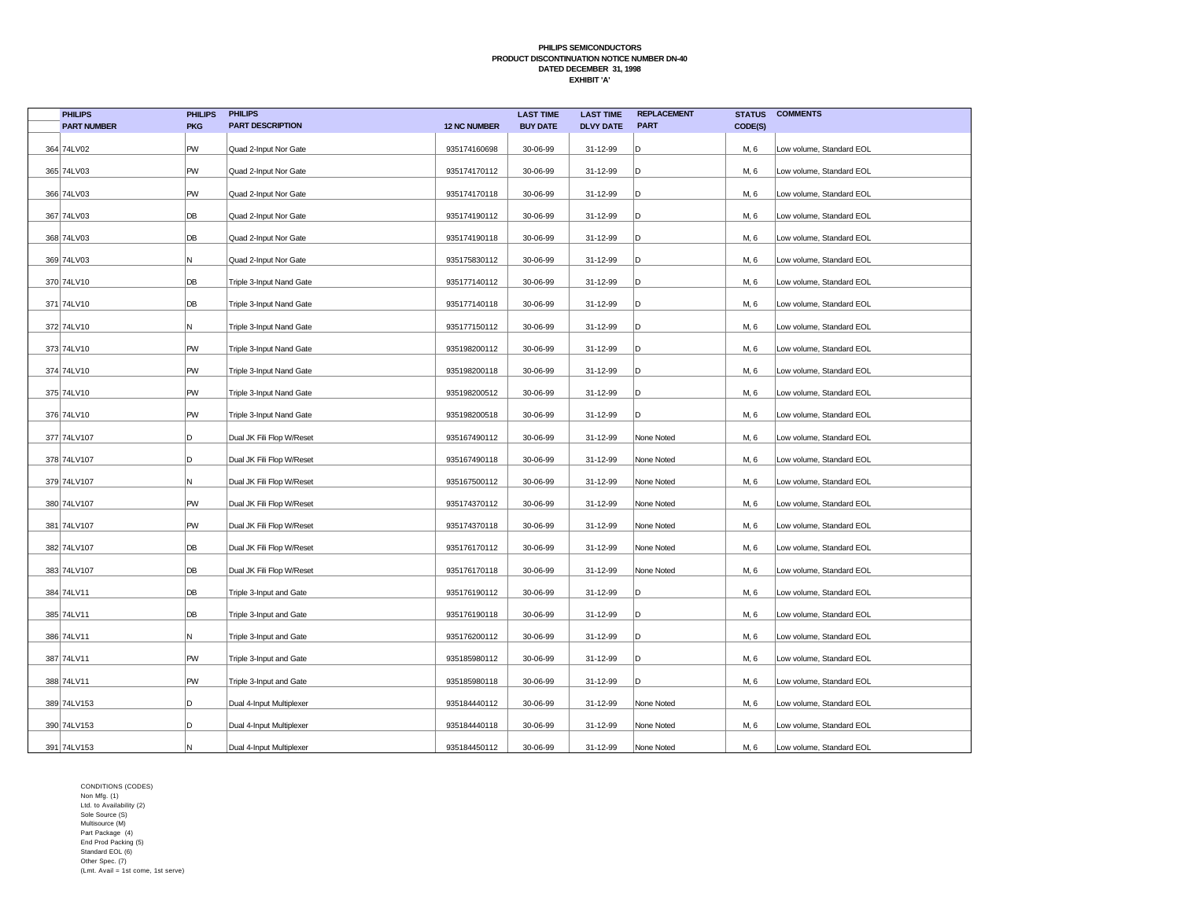| <b>PHILIPS</b>     | <b>PHILIPS</b> | <b>PHILIPS</b>            |                     | <b>LAST TIME</b> | <b>LAST TIME</b> | <b>REPLACEMENT</b> | <b>STATUS</b> | <b>COMMENTS</b>          |
|--------------------|----------------|---------------------------|---------------------|------------------|------------------|--------------------|---------------|--------------------------|
| <b>PART NUMBER</b> | <b>PKG</b>     | <b>PART DESCRIPTION</b>   | <b>12 NC NUMBER</b> | <b>BUY DATE</b>  | <b>DLVY DATE</b> | <b>PART</b>        | CODE(S)       |                          |
| 364 74LV02         | PW             | Quad 2-Input Nor Gate     | 935174160698        | 30-06-99         | 31-12-99         | D                  | M, 6          | Low volume, Standard EOL |
| 365 74LV03         | PW             | Quad 2-Input Nor Gate     | 935174170112        | 30-06-99         | 31-12-99         | D                  | M, 6          | Low volume, Standard EOL |
| 366 74LV03         | PW             | Quad 2-Input Nor Gate     | 935174170118        | 30-06-99         | 31-12-99         | D                  | M, 6          | Low volume, Standard EOL |
| 367 74LV03         | DB             | Quad 2-Input Nor Gate     | 935174190112        | 30-06-99         | 31-12-99         | D                  | M, 6          | Low volume, Standard EOL |
| 368 74LV03         | DB             | Quad 2-Input Nor Gate     | 935174190118        | 30-06-99         | 31-12-99         | D                  | M, 6          | Low volume, Standard EOL |
| 369 74LV03         | N              | Quad 2-Input Nor Gate     | 935175830112        | 30-06-99         | 31-12-99         | D                  | M, 6          | Low volume, Standard EOL |
| 370 74LV10         | DB             | Triple 3-Input Nand Gate  | 935177140112        | 30-06-99         | 31-12-99         | D                  | M, 6          | Low volume, Standard EOL |
| 371 74LV10         | DB             | Triple 3-Input Nand Gate  | 935177140118        | 30-06-99         | 31-12-99         | D                  | M, 6          | Low volume, Standard EOL |
| 372 74LV10         | N              | Triple 3-Input Nand Gate  | 935177150112        | 30-06-99         | 31-12-99         | D                  | M, 6          | Low volume, Standard EOL |
| 373 74LV10         | PW             | Triple 3-Input Nand Gate  | 935198200112        | 30-06-99         | 31-12-99         | D                  | M, 6          | Low volume, Standard EOL |
| 374 74LV10         | PW             | Triple 3-Input Nand Gate  | 935198200118        | 30-06-99         | 31-12-99         | D                  | M, 6          | Low volume, Standard EOL |
| 375 74LV10         | PW             | Triple 3-Input Nand Gate  | 935198200512        | 30-06-99         | 31-12-99         | D                  | M, 6          | Low volume, Standard EOL |
| 376 74LV10         | PW             | Triple 3-Input Nand Gate  | 935198200518        | 30-06-99         | 31-12-99         | D                  | M, 6          | Low volume, Standard EOL |
| 377 74LV107        | D              | Dual JK Fili Flop W/Reset | 935167490112        | 30-06-99         | 31-12-99         | None Noted         | M, 6          | Low volume, Standard EOL |
| 378 74LV107        | D              | Dual JK Fili Flop W/Reset | 935167490118        | 30-06-99         | 31-12-99         | None Noted         | M, 6          | Low volume, Standard EOL |
| 379 74LV107        | N              | Dual JK Fili Flop W/Reset | 935167500112        | 30-06-99         | 31-12-99         | None Noted         | M, 6          | Low volume, Standard EOL |
| 380 74LV107        | PW             | Dual JK Fili Flop W/Reset | 935174370112        | 30-06-99         | 31-12-99         | None Noted         | M, 6          | Low volume, Standard EOL |
| 381 74LV107        | PW             | Dual JK Fili Flop W/Reset | 935174370118        | 30-06-99         | 31-12-99         | None Noted         | M, 6          | Low volume, Standard EOL |
| 382 74LV107        | DB             | Dual JK Fili Flop W/Reset | 935176170112        | 30-06-99         | 31-12-99         | None Noted         | M, 6          | Low volume, Standard EOL |
| 383 74LV107        | DB             | Dual JK Fili Flop W/Reset | 935176170118        | 30-06-99         | 31-12-99         | None Noted         | M, 6          | Low volume, Standard EOL |
| 384 74LV11         | DB             | Triple 3-Input and Gate   | 935176190112        | 30-06-99         | 31-12-99         | D                  | M, 6          | Low volume, Standard EOL |
| 385 74LV11         | DB             | Triple 3-Input and Gate   | 935176190118        | 30-06-99         | 31-12-99         | D                  | M, 6          | Low volume, Standard EOL |
| 386 74LV11         | N              | Triple 3-Input and Gate   | 935176200112        | 30-06-99         | 31-12-99         | D                  | M, 6          | Low volume, Standard EOL |
| 387 74LV11         | PW             | Triple 3-Input and Gate   | 935185980112        | 30-06-99         | 31-12-99         | D                  | M, 6          | Low volume, Standard EOL |
| 388 74LV11         | PW             | Triple 3-Input and Gate   | 935185980118        | 30-06-99         | 31-12-99         | D                  | M, 6          | Low volume, Standard EOL |
| 389 74LV153        | D              | Dual 4-Input Multiplexer  | 935184440112        | 30-06-99         | 31-12-99         | None Noted         | M, 6          | Low volume, Standard EOL |
| 390 74LV153        | D              | Dual 4-Input Multiplexer  | 935184440118        | 30-06-99         | 31-12-99         | None Noted         | M, 6          | Low volume, Standard EOL |
| 391 74LV153        | N              | Dual 4-Input Multiplexer  | 935184450112        | 30-06-99         | 31-12-99         | None Noted         | M, 6          | Low volume, Standard EOL |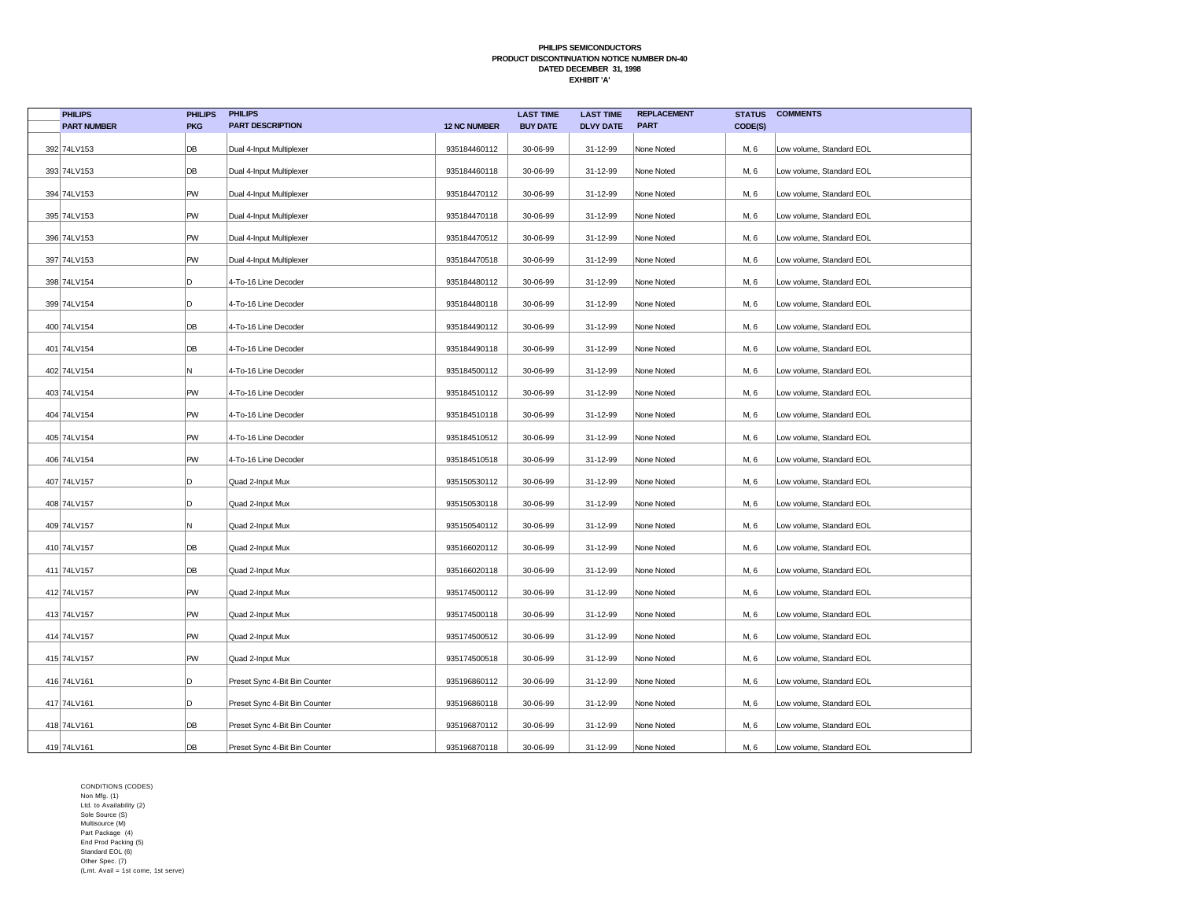| <b>PHILIPS</b>     | <b>PHILIPS</b> | <b>PHILIPS</b>                |                     | <b>LAST TIME</b> | <b>LAST TIME</b> | <b>REPLACEMENT</b> | <b>STATUS</b> | <b>COMMENTS</b>          |
|--------------------|----------------|-------------------------------|---------------------|------------------|------------------|--------------------|---------------|--------------------------|
| <b>PART NUMBER</b> | <b>PKG</b>     | <b>PART DESCRIPTION</b>       | <b>12 NC NUMBER</b> | <b>BUY DATE</b>  | <b>DLVY DATE</b> | <b>PART</b>        | CODE(S)       |                          |
| 392 74LV153        | DB             | Dual 4-Input Multiplexer      | 935184460112        | 30-06-99         | 31-12-99         | None Noted         | M, 6          | Low volume, Standard EOL |
| 393 74LV153        | DB             | Dual 4-Input Multiplexer      | 935184460118        | 30-06-99         | 31-12-99         | None Noted         | M, 6          | Low volume, Standard EOL |
| 394 74LV153        | PW             | Dual 4-Input Multiplexer      | 935184470112        | 30-06-99         | 31-12-99         | None Noted         | M, 6          | Low volume, Standard EOL |
| 395 74LV153        | PW             | Dual 4-Input Multiplexer      | 935184470118        | 30-06-99         | 31-12-99         | None Noted         | M, 6          | Low volume, Standard EOL |
| 396 74LV153        | PW             | Dual 4-Input Multiplexer      | 935184470512        | 30-06-99         | 31-12-99         | None Noted         | M, 6          | Low volume, Standard EOL |
| 397 74LV153        | PW             | Dual 4-Input Multiplexer      | 935184470518        | 30-06-99         | 31-12-99         | None Noted         | M, 6          | Low volume, Standard EOL |
| 398 74LV154        | D              | 4-To-16 Line Decoder          | 935184480112        | 30-06-99         | 31-12-99         | None Noted         | M, 6          | Low volume, Standard EOL |
| 399 74LV154        | D              | 4-To-16 Line Decoder          | 935184480118        | 30-06-99         | 31-12-99         | None Noted         | M, 6          | Low volume, Standard EOL |
| 400 74LV154        | DB             | 4-To-16 Line Decoder          | 935184490112        | 30-06-99         | 31-12-99         | None Noted         | M, 6          | Low volume, Standard EOL |
| 401 74LV154        | DB             | 4-To-16 Line Decoder          | 935184490118        | 30-06-99         | 31-12-99         | None Noted         | M, 6          | Low volume, Standard EOL |
| 402 74LV154        | Ν              | 4-To-16 Line Decoder          | 935184500112        | 30-06-99         | 31-12-99         | None Noted         | M, 6          | Low volume, Standard EOL |
| 403 74LV154        | PW             | 4-To-16 Line Decoder          | 935184510112        | 30-06-99         | 31-12-99         | None Noted         | M, 6          | Low volume, Standard EOL |
| 404 74LV154        | PW             | 4-To-16 Line Decoder          | 935184510118        | 30-06-99         | 31-12-99         | None Noted         | M, 6          | Low volume, Standard EOL |
| 405 74LV154        | PW             | 4-To-16 Line Decoder          | 935184510512        | 30-06-99         | 31-12-99         | None Noted         | M, 6          | Low volume, Standard EOL |
| 406 74LV154        | PW             | 4-To-16 Line Decoder          | 935184510518        | 30-06-99         | 31-12-99         | None Noted         | M, 6          | Low volume, Standard EOL |
| 407 74LV157        | D              | Quad 2-Input Mux              | 935150530112        | 30-06-99         | 31-12-99         | None Noted         | M, 6          | Low volume, Standard EOL |
| 408 74LV157        | D              | Quad 2-Input Mux              | 935150530118        | 30-06-99         | 31-12-99         | None Noted         | M, 6          | Low volume, Standard EOL |
| 409 74LV157        | Ν              | Quad 2-Input Mux              | 935150540112        | 30-06-99         | 31-12-99         | None Noted         | M, 6          | Low volume, Standard EOL |
| 410 74LV157        | DB             | Quad 2-Input Mux              | 935166020112        | 30-06-99         | 31-12-99         | None Noted         | M, 6          | Low volume, Standard EOL |
| 411 74LV157        | DB             | Quad 2-Input Mux              | 935166020118        | 30-06-99         | 31-12-99         | None Noted         | M, 6          | Low volume, Standard EOL |
| 412 74LV157        | PW             | Quad 2-Input Mux              | 935174500112        | 30-06-99         | 31-12-99         | None Noted         | M, 6          | Low volume, Standard EOL |
| 413 74LV157        | PW             | Quad 2-Input Mux              | 935174500118        | 30-06-99         | 31-12-99         | None Noted         | M, 6          | Low volume, Standard EOL |
| 414 74LV157        | PW             | Quad 2-Input Mux              | 935174500512        | 30-06-99         | 31-12-99         | None Noted         | M, 6          | Low volume, Standard EOL |
| 415 74LV157        | PW             | Quad 2-Input Mux              | 935174500518        | 30-06-99         | 31-12-99         | None Noted         | M, 6          | Low volume, Standard EOL |
| 416 74LV161        | D              | Preset Sync 4-Bit Bin Counter | 935196860112        | 30-06-99         | 31-12-99         | None Noted         | M, 6          | Low volume, Standard EOL |
| 417 74LV161        | D              | Preset Sync 4-Bit Bin Counter | 935196860118        | 30-06-99         | 31-12-99         | None Noted         | M, 6          | Low volume, Standard EOL |
| 418 74LV161        | DB             | Preset Sync 4-Bit Bin Counter | 935196870112        | 30-06-99         | 31-12-99         | None Noted         | M, 6          | Low volume, Standard EOL |
| 419 74LV161        | DB             | Preset Sync 4-Bit Bin Counter | 935196870118        | 30-06-99         | 31-12-99         | None Noted         | M, 6          | Low volume, Standard EOL |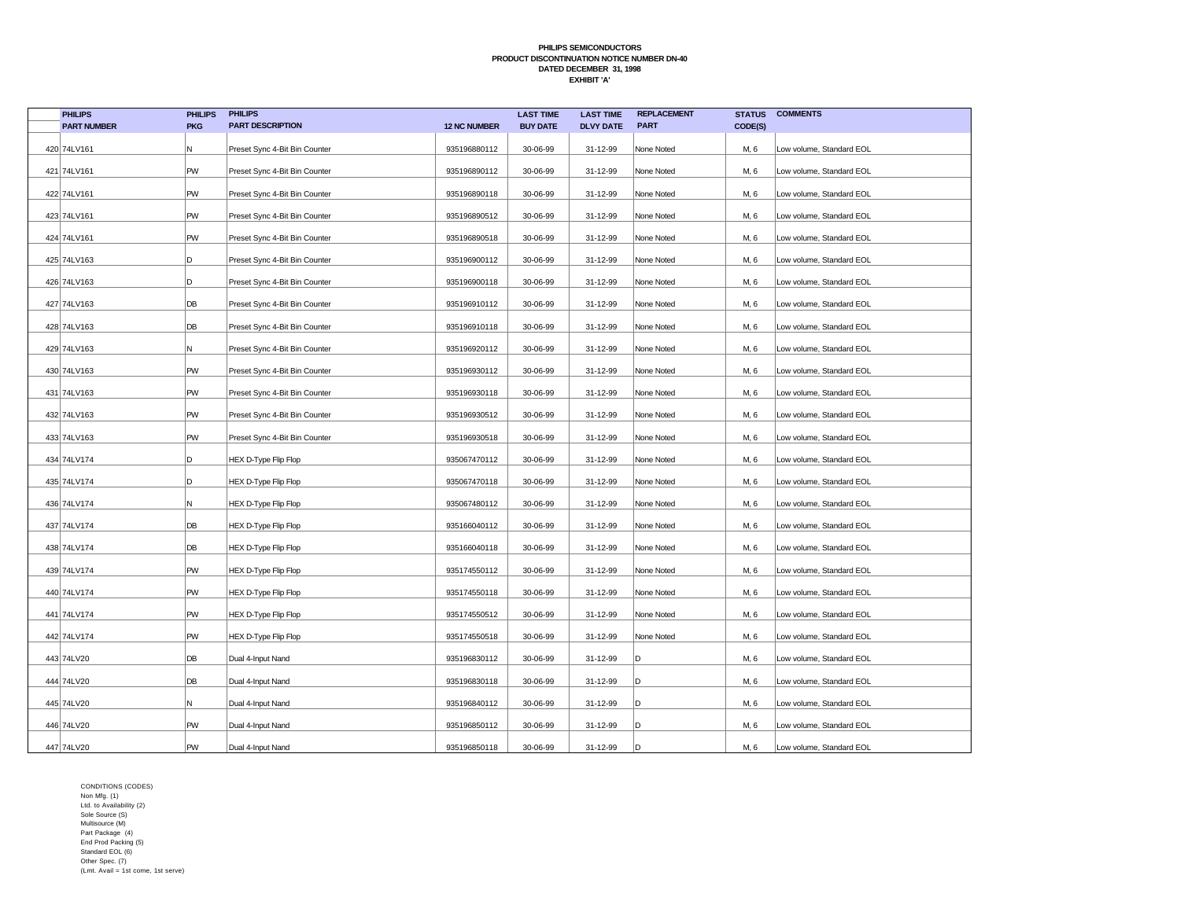| <b>PHILIPS</b>     | <b>PHILIPS</b> | <b>PHILIPS</b>                |                     | <b>LAST TIME</b> | <b>LAST TIME</b> | <b>REPLACEMENT</b> | <b>STATUS</b> | <b>COMMENTS</b>          |
|--------------------|----------------|-------------------------------|---------------------|------------------|------------------|--------------------|---------------|--------------------------|
| <b>PART NUMBER</b> | <b>PKG</b>     | <b>PART DESCRIPTION</b>       | <b>12 NC NUMBER</b> | <b>BUY DATE</b>  | <b>DLVY DATE</b> | <b>PART</b>        | CODE(S)       |                          |
| 420 74LV161        | Ν              | Preset Sync 4-Bit Bin Counter | 935196880112        | 30-06-99         | 31-12-99         | None Noted         | M, 6          | Low volume, Standard EOL |
| 421 74LV161        | PW             | Preset Sync 4-Bit Bin Counter | 935196890112        | 30-06-99         | 31-12-99         | None Noted         | M, 6          | Low volume, Standard EOL |
| 422 74LV161        | PW             | Preset Sync 4-Bit Bin Counter | 935196890118        | 30-06-99         | 31-12-99         | None Noted         | M, 6          | Low volume, Standard EOL |
| 423 74LV161        | PW             | Preset Sync 4-Bit Bin Counter | 935196890512        | 30-06-99         | 31-12-99         | None Noted         | M, 6          | Low volume, Standard EOL |
| 424 74LV161        | PW             | Preset Sync 4-Bit Bin Counter | 935196890518        | 30-06-99         | 31-12-99         | None Noted         | M, 6          | Low volume, Standard EOL |
| 425 74LV163        | D              | Preset Sync 4-Bit Bin Counter | 935196900112        | 30-06-99         | 31-12-99         | None Noted         | M, 6          | Low volume, Standard EOL |
| 426 74LV163        | D              | Preset Sync 4-Bit Bin Counter | 935196900118        | 30-06-99         | 31-12-99         | None Noted         | M, 6          | Low volume, Standard EOL |
| 427 74LV163        | DB             | Preset Sync 4-Bit Bin Counter | 935196910112        | 30-06-99         | 31-12-99         | None Noted         | M, 6          | Low volume, Standard EOL |
| 428 74LV163        | DB             | Preset Sync 4-Bit Bin Counter | 935196910118        | 30-06-99         | 31-12-99         | None Noted         | M, 6          | Low volume, Standard EOL |
| 429 74LV163        | Ν              | Preset Sync 4-Bit Bin Counter | 935196920112        | 30-06-99         | 31-12-99         | None Noted         | M, 6          | Low volume, Standard EOL |
| 430 74LV163        | PW             | Preset Sync 4-Bit Bin Counter | 935196930112        | 30-06-99         | 31-12-99         | None Noted         | M, 6          | Low volume, Standard EOL |
| 431 74LV163        | PW             | Preset Sync 4-Bit Bin Counter | 935196930118        | 30-06-99         | 31-12-99         | None Noted         | M, 6          | Low volume, Standard EOL |
| 432 74LV163        | PW             | Preset Sync 4-Bit Bin Counter | 935196930512        | 30-06-99         | 31-12-99         | None Noted         | M, 6          | Low volume, Standard EOL |
| 433 74LV163        | PW             | Preset Sync 4-Bit Bin Counter | 935196930518        | 30-06-99         | 31-12-99         | None Noted         | M, 6          | Low volume, Standard EOL |
| 434 74LV174        | D              | <b>HEX D-Type Flip Flop</b>   | 935067470112        | 30-06-99         | 31-12-99         | None Noted         | M, 6          | Low volume, Standard EOL |
| 435 74LV174        | D              | HEX D-Type Flip Flop          | 935067470118        | 30-06-99         | 31-12-99         | None Noted         | M, 6          | Low volume, Standard EOL |
| 436 74LV174        | N              | <b>HEX D-Type Flip Flop</b>   | 935067480112        | 30-06-99         | 31-12-99         | None Noted         | M, 6          | Low volume, Standard EOL |
| 437 74LV174        | DB             | <b>HEX D-Type Flip Flop</b>   | 935166040112        | 30-06-99         | 31-12-99         | None Noted         | M, 6          | Low volume, Standard EOL |
| 438 74LV174        | DB             | <b>HEX D-Type Flip Flop</b>   | 935166040118        | 30-06-99         | 31-12-99         | None Noted         | M, 6          | Low volume, Standard EOL |
| 439 74LV174        | PW             | <b>HEX D-Type Flip Flop</b>   | 935174550112        | 30-06-99         | 31-12-99         | None Noted         | M, 6          | Low volume, Standard EOL |
| 440 74LV174        | PW             | <b>HEX D-Type Flip Flop</b>   | 935174550118        | 30-06-99         | 31-12-99         | None Noted         | M, 6          | Low volume, Standard EOL |
| 441 74LV174        | PW             | <b>HEX D-Type Flip Flop</b>   | 935174550512        | 30-06-99         | 31-12-99         | None Noted         | M, 6          | Low volume, Standard EOL |
| 442 74LV174        | PW             | <b>HEX D-Type Flip Flop</b>   | 935174550518        | 30-06-99         | 31-12-99         | None Noted         | M, 6          | Low volume, Standard EOL |
| 443 74LV20         | DB             | Dual 4-Input Nand             | 935196830112        | 30-06-99         | 31-12-99         | D                  | M, 6          | Low volume, Standard EOL |
| 444 74LV20         | DB             | Dual 4-Input Nand             | 935196830118        | 30-06-99         | 31-12-99         | D                  | M, 6          | Low volume, Standard EOL |
| 445 74LV20         | Ν              | Dual 4-Input Nand             | 935196840112        | 30-06-99         | 31-12-99         | D                  | M, 6          | Low volume, Standard EOL |
| 446 74LV20         | PW             | Dual 4-Input Nand             | 935196850112        | 30-06-99         | 31-12-99         | D                  | M, 6          | Low volume, Standard EOL |
| 447 74LV20         | PW             | Dual 4-Input Nand             | 935196850118        | 30-06-99         | 31-12-99         | D                  | M, 6          | Low volume, Standard EOL |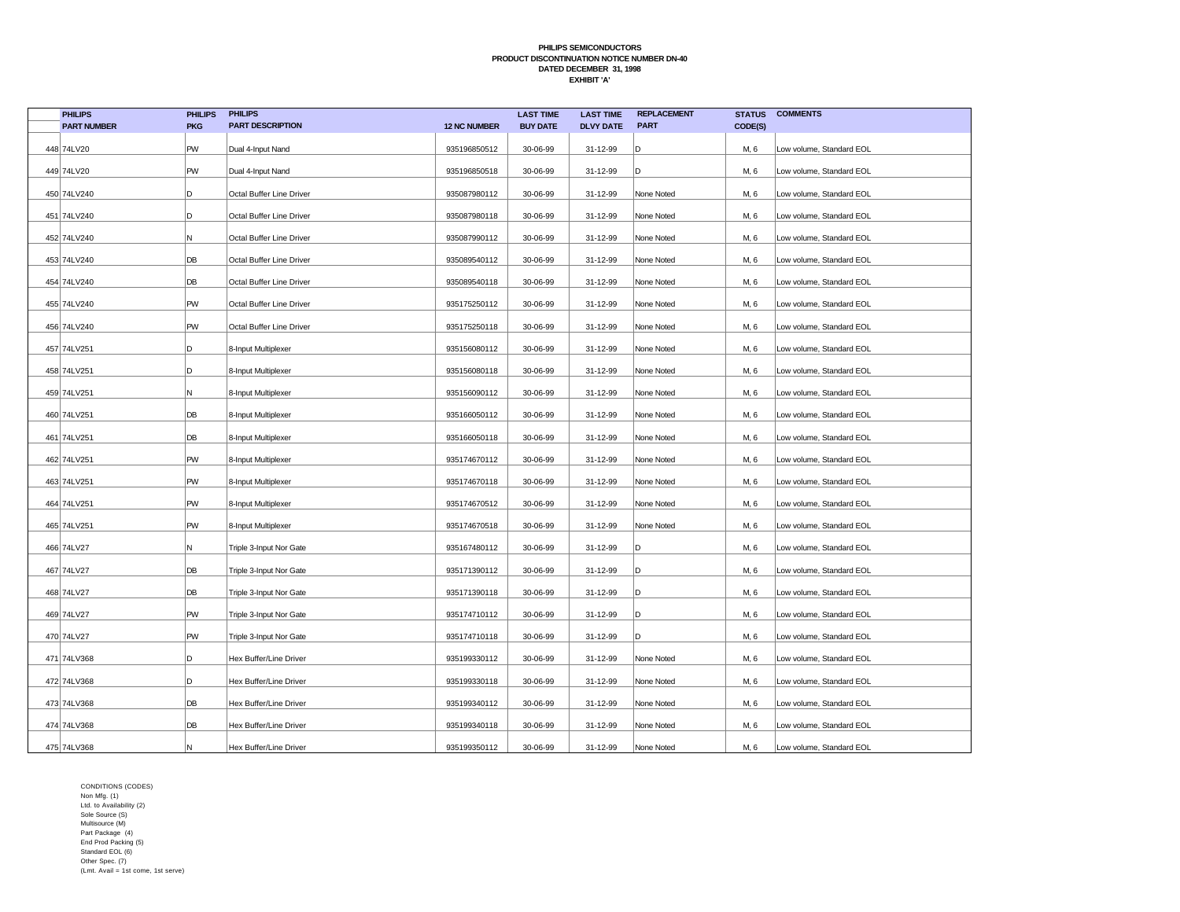| <b>PHILIPS</b>     | <b>PHILIPS</b> | <b>PHILIPS</b>           |                     | <b>LAST TIME</b> | <b>LAST TIME</b> | <b>REPLACEMENT</b> | <b>STATUS</b> | <b>COMMENTS</b>          |
|--------------------|----------------|--------------------------|---------------------|------------------|------------------|--------------------|---------------|--------------------------|
| <b>PART NUMBER</b> | <b>PKG</b>     | <b>PART DESCRIPTION</b>  | <b>12 NC NUMBER</b> | <b>BUY DATE</b>  | <b>DLVY DATE</b> | <b>PART</b>        | CODE(S)       |                          |
| 448 74LV20         | PW             | Dual 4-Input Nand        | 935196850512        | 30-06-99         | 31-12-99         | D                  | M, 6          | Low volume, Standard EOL |
| 449 74LV20         | PW             | Dual 4-Input Nand        | 935196850518        | 30-06-99         | 31-12-99         | D                  | M, 6          | Low volume, Standard EOL |
| 450 74LV240        | D              | Octal Buffer Line Driver | 935087980112        | 30-06-99         | 31-12-99         | None Noted         | M, 6          | Low volume, Standard EOL |
| 451 74LV240        | D              | Octal Buffer Line Driver | 935087980118        | 30-06-99         | 31-12-99         | None Noted         | M, 6          | Low volume, Standard EOL |
| 452 74LV240        | Ν              | Octal Buffer Line Driver | 935087990112        | 30-06-99         | 31-12-99         | None Noted         | M, 6          | Low volume, Standard EOL |
| 453 74LV240        | DB             | Octal Buffer Line Driver | 935089540112        | 30-06-99         | 31-12-99         | None Noted         | M, 6          | Low volume, Standard EOL |
| 454 74LV240        | DB             | Octal Buffer Line Driver | 935089540118        | 30-06-99         | 31-12-99         | None Noted         | M, 6          | Low volume, Standard EOL |
| 455 74LV240        | PW             | Octal Buffer Line Driver | 935175250112        | 30-06-99         | 31-12-99         | None Noted         | M, 6          | Low volume, Standard EOL |
| 456 74LV240        | PW             | Octal Buffer Line Driver | 935175250118        | 30-06-99         | 31-12-99         | None Noted         | M, 6          | Low volume, Standard EOL |
| 457 74LV251        | D              | 8-Input Multiplexer      | 935156080112        | 30-06-99         | 31-12-99         | None Noted         | M, 6          | Low volume, Standard EOL |
| 458 74LV251        | D              | 8-Input Multiplexer      | 935156080118        | 30-06-99         | 31-12-99         | None Noted         | M, 6          | Low volume, Standard EOL |
| 459 74LV251        | Ν              | 8-Input Multiplexer      | 935156090112        | 30-06-99         | 31-12-99         | None Noted         | M, 6          | Low volume, Standard EOL |
| 460 74LV251        | DB             | 8-Input Multiplexer      | 935166050112        | 30-06-99         | 31-12-99         | None Noted         | M, 6          | Low volume, Standard EOL |
| 461 74LV251        | DB             | 8-Input Multiplexer      | 935166050118        | 30-06-99         | 31-12-99         | None Noted         | M, 6          | Low volume, Standard EOL |
| 462 74LV251        | PW             | 8-Input Multiplexer      | 935174670112        | 30-06-99         | 31-12-99         | None Noted         | M, 6          | Low volume, Standard EOL |
| 463 74LV251        | PW             | 8-Input Multiplexer      | 935174670118        | 30-06-99         | 31-12-99         | None Noted         | M, 6          | Low volume, Standard EOL |
| 464 74LV251        | PW             | 8-Input Multiplexer      | 935174670512        | 30-06-99         | 31-12-99         | None Noted         | M, 6          | Low volume, Standard EOL |
| 465 74LV251        | PW             | 8-Input Multiplexer      | 935174670518        | 30-06-99         | 31-12-99         | None Noted         | M, 6          | Low volume, Standard EOL |
| 466 74LV27         | N              | Triple 3-Input Nor Gate  | 935167480112        | 30-06-99         | 31-12-99         | D                  | M, 6          | Low volume, Standard EOL |
| 467 74LV27         | DB             | Triple 3-Input Nor Gate  | 935171390112        | 30-06-99         | 31-12-99         | D                  | M, 6          | Low volume, Standard EOL |
| 468 74LV27         | DB             | Triple 3-Input Nor Gate  | 935171390118        | 30-06-99         | 31-12-99         | lD.                | M, 6          | Low volume, Standard EOL |
| 469 74LV27         | PW             | Triple 3-Input Nor Gate  | 935174710112        | 30-06-99         | 31-12-99         | ۱D                 | M, 6          | Low volume, Standard EOL |
| 470 74LV27         | PW             | Triple 3-Input Nor Gate  | 935174710118        | 30-06-99         | 31-12-99         | D                  | M, 6          | Low volume, Standard EOL |
| 471 74LV368        | D              | Hex Buffer/Line Driver   | 935199330112        | 30-06-99         | 31-12-99         | None Noted         | M, 6          | Low volume, Standard EOL |
| 472 74LV368        | D              | Hex Buffer/Line Driver   | 935199330118        | 30-06-99         | 31-12-99         | None Noted         | M, 6          | Low volume, Standard EOL |
| 473 74LV368        | DB             | Hex Buffer/Line Driver   | 935199340112        | 30-06-99         | 31-12-99         | None Noted         | M, 6          | Low volume, Standard EOL |
| 474 74LV368        | DB             | Hex Buffer/Line Driver   | 935199340118        | 30-06-99         | 31-12-99         | None Noted         | M, 6          | Low volume, Standard EOL |
| 475 74LV368        | Ν              | Hex Buffer/Line Driver   | 935199350112        | 30-06-99         | 31-12-99         | None Noted         | M, 6          | Low volume, Standard EOL |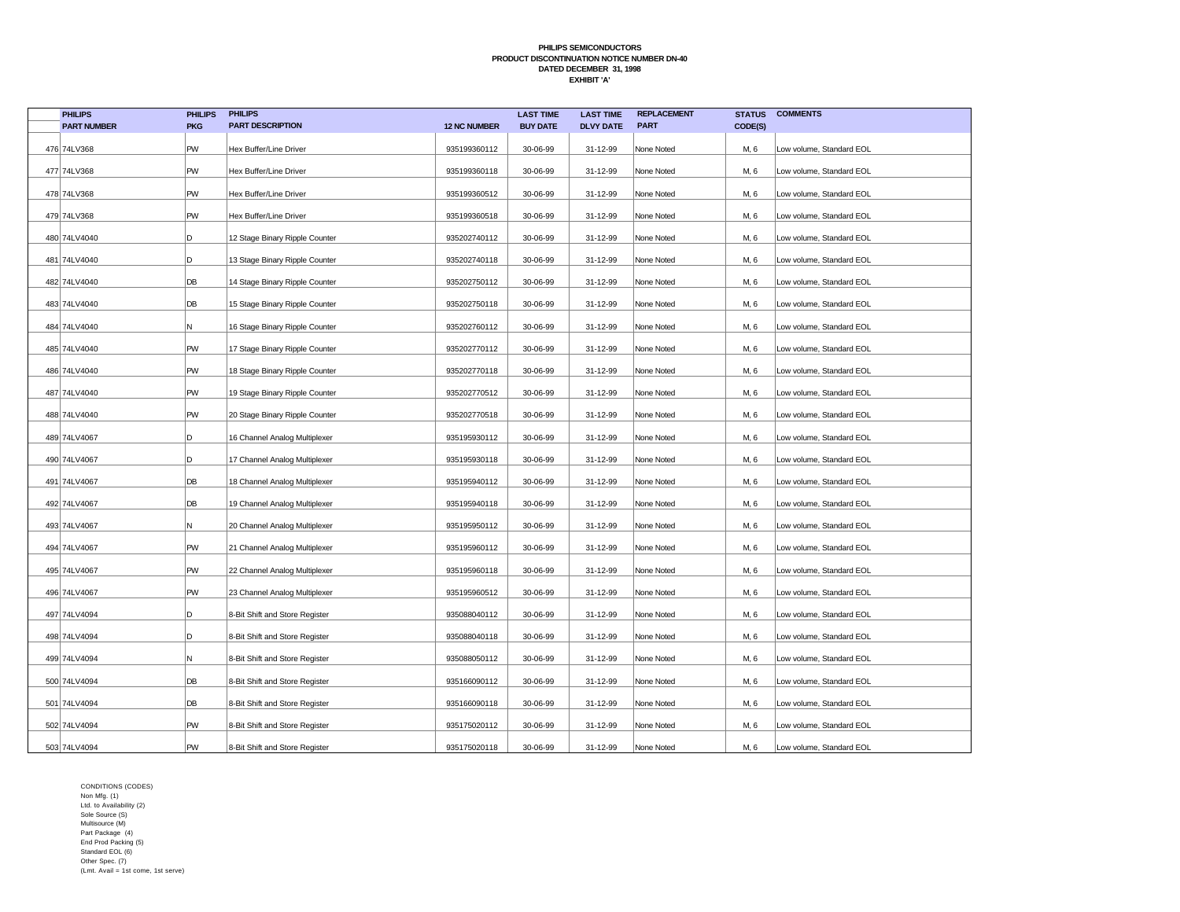| <b>PHILIPS</b>     | <b>PHILIPS</b> | <b>PHILIPS</b>                 |                     | <b>LAST TIME</b> | <b>LAST TIME</b> | <b>REPLACEMENT</b> | <b>STATUS</b> | <b>COMMENTS</b>          |
|--------------------|----------------|--------------------------------|---------------------|------------------|------------------|--------------------|---------------|--------------------------|
| <b>PART NUMBER</b> | <b>PKG</b>     | <b>PART DESCRIPTION</b>        | <b>12 NC NUMBER</b> | <b>BUY DATE</b>  | <b>DLVY DATE</b> | <b>PART</b>        | CODE(S)       |                          |
| 476 74LV368        | PW             | Hex Buffer/Line Driver         | 935199360112        | 30-06-99         | 31-12-99         | None Noted         | M, 6          | Low volume, Standard EOL |
| 477 74LV368        | PW             | Hex Buffer/Line Driver         | 935199360118        | 30-06-99         | 31-12-99         | None Noted         | M, 6          | Low volume, Standard EOL |
| 478 74LV368        | PW             | Hex Buffer/Line Driver         | 935199360512        | 30-06-99         | 31-12-99         | None Noted         | M, 6          | Low volume, Standard EOL |
| 479 74LV368        | PW             | Hex Buffer/Line Driver         | 935199360518        | 30-06-99         | 31-12-99         | None Noted         | M, 6          | Low volume, Standard EOL |
| 480 74LV4040       | D              | 12 Stage Binary Ripple Counter | 935202740112        | 30-06-99         | 31-12-99         | None Noted         | M, 6          | Low volume, Standard EOL |
| 481 74LV4040       | D              | 13 Stage Binary Ripple Counter | 935202740118        | 30-06-99         | 31-12-99         | None Noted         | M, 6          | Low volume, Standard EOL |
| 482 74LV4040       | DB             | 14 Stage Binary Ripple Counter | 935202750112        | 30-06-99         | 31-12-99         | None Noted         | M, 6          | Low volume, Standard EOL |
| 483 74LV4040       | DB             | 15 Stage Binary Ripple Counter | 935202750118        | 30-06-99         | 31-12-99         | None Noted         | M, 6          | Low volume, Standard EOL |
| 484 74LV4040       | N              | 16 Stage Binary Ripple Counter | 935202760112        | 30-06-99         | 31-12-99         | None Noted         | M, 6          | Low volume, Standard EOL |
| 485 74LV4040       | PW             | 17 Stage Binary Ripple Counter | 935202770112        | 30-06-99         | 31-12-99         | None Noted         | M, 6          | Low volume, Standard EOL |
| 486 74LV4040       | PW             | 18 Stage Binary Ripple Counter | 935202770118        | 30-06-99         | 31-12-99         | None Noted         | M, 6          | Low volume, Standard EOL |
| 487 74LV4040       | PW             | 19 Stage Binary Ripple Counter | 935202770512        | 30-06-99         | 31-12-99         | None Noted         | M, 6          | Low volume, Standard EOL |
| 488 74LV4040       | PW             | 20 Stage Binary Ripple Counter | 935202770518        | 30-06-99         | 31-12-99         | None Noted         | M, 6          | Low volume, Standard EOL |
| 489 74LV4067       | D              | 16 Channel Analog Multiplexer  | 935195930112        | 30-06-99         | 31-12-99         | None Noted         | M, 6          | Low volume, Standard EOL |
| 490 74LV4067       | D              | 17 Channel Analog Multiplexer  | 935195930118        | 30-06-99         | 31-12-99         | None Noted         | M, 6          | Low volume, Standard EOL |
| 491 74LV4067       | DB             | 18 Channel Analog Multiplexer  | 935195940112        | 30-06-99         | 31-12-99         | None Noted         | M, 6          | Low volume, Standard EOL |
| 492 74LV4067       | DB             | 19 Channel Analog Multiplexer  | 935195940118        | 30-06-99         | 31-12-99         | None Noted         | M, 6          | Low volume, Standard EOL |
| 493 74LV4067       | N              | 20 Channel Analog Multiplexer  | 935195950112        | 30-06-99         | 31-12-99         | None Noted         | M, 6          | Low volume, Standard EOL |
| 494 74LV4067       | PW             | 21 Channel Analog Multiplexer  | 935195960112        | 30-06-99         | 31-12-99         | None Noted         | M, 6          | Low volume, Standard EOL |
| 495 74LV4067       | PW             | 22 Channel Analog Multiplexer  | 935195960118        | 30-06-99         | 31-12-99         | None Noted         | M, 6          | Low volume, Standard EOL |
| 496 74LV4067       | PW             | 23 Channel Analog Multiplexer  | 935195960512        | 30-06-99         | 31-12-99         | None Noted         | M, 6          | Low volume, Standard EOL |
| 497 74LV4094       | D              | 8-Bit Shift and Store Register | 935088040112        | 30-06-99         | 31-12-99         | None Noted         | M, 6          | Low volume, Standard EOL |
| 498 74LV4094       | D              | 8-Bit Shift and Store Register | 935088040118        | 30-06-99         | 31-12-99         | None Noted         | M, 6          | Low volume, Standard EOL |
| 499 74LV4094       | N              | 8-Bit Shift and Store Register | 935088050112        | 30-06-99         | 31-12-99         | None Noted         | M, 6          | Low volume, Standard EOL |
| 500 74LV4094       | DB             | 8-Bit Shift and Store Register | 935166090112        | 30-06-99         | 31-12-99         | None Noted         | M, 6          | Low volume, Standard EOL |
| 501 74LV4094       | DB             | 8-Bit Shift and Store Register | 935166090118        | 30-06-99         | 31-12-99         | None Noted         | M, 6          | Low volume, Standard EOL |
| 502 74LV4094       | PW             | 8-Bit Shift and Store Register | 935175020112        | 30-06-99         | 31-12-99         | None Noted         | M, 6          | Low volume, Standard EOL |
| 503 74LV4094       | <b>PW</b>      | 8-Bit Shift and Store Register | 935175020118        | 30-06-99         | 31-12-99         | None Noted         | M, 6          | Low volume, Standard EOL |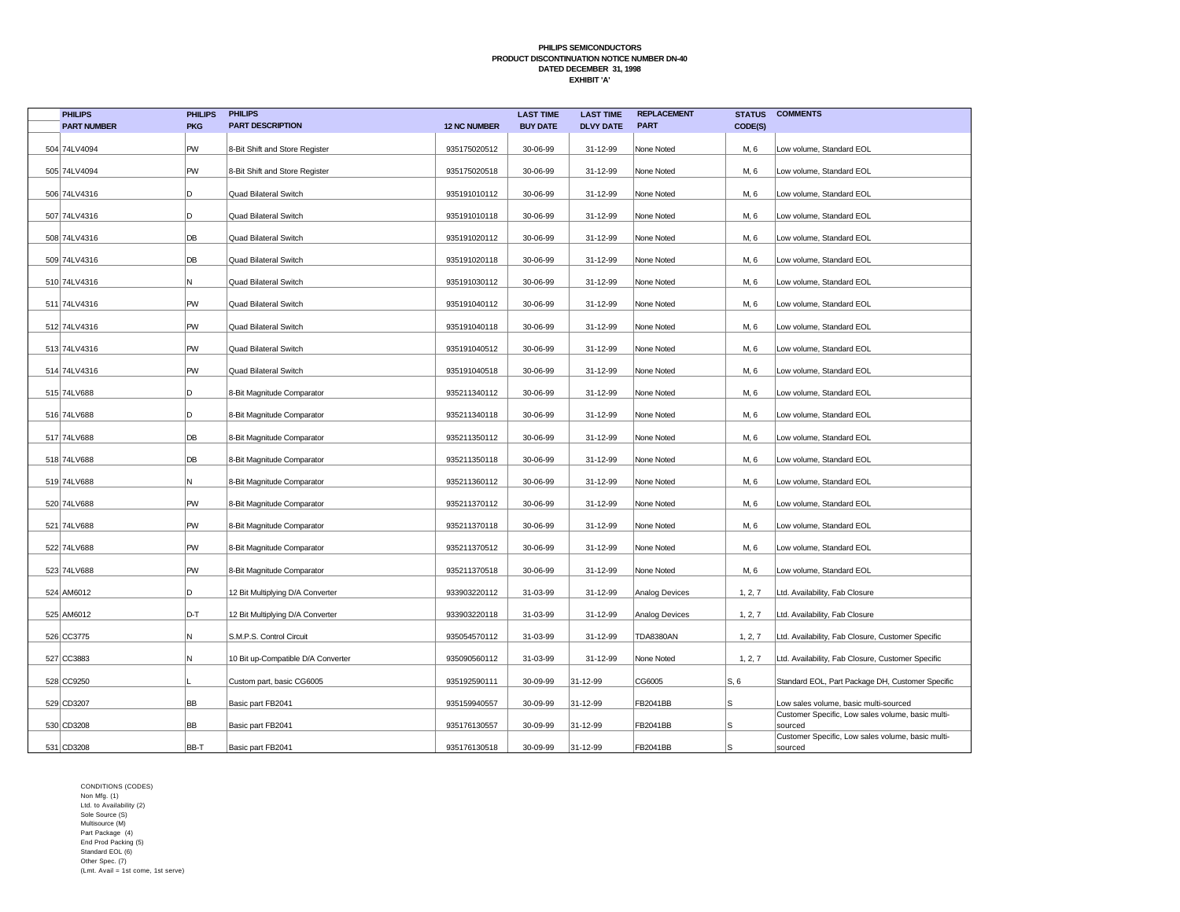| <b>PHILIPS</b>     | <b>PHILIPS</b> | <b>PHILIPS</b>                     |                     | <b>LAST TIME</b> | <b>LAST TIME</b> | <b>REPLACEMENT</b> | <b>STATUS</b> | <b>COMMENTS</b>                                              |
|--------------------|----------------|------------------------------------|---------------------|------------------|------------------|--------------------|---------------|--------------------------------------------------------------|
| <b>PART NUMBER</b> | <b>PKG</b>     | <b>PART DESCRIPTION</b>            | <b>12 NC NUMBER</b> | <b>BUY DATE</b>  | <b>DLVY DATE</b> | <b>PART</b>        | CODE(S)       |                                                              |
| 504 74LV4094       | PW             | 8-Bit Shift and Store Register     | 935175020512        | 30-06-99         | 31-12-99         | None Noted         | M, 6          | Low volume, Standard EOL                                     |
| 505 74LV4094       | PW             | 8-Bit Shift and Store Register     | 935175020518        | 30-06-99         | 31-12-99         | None Noted         | M, 6          | Low volume, Standard EOL                                     |
| 506 74LV4316       | D              | Quad Bilateral Switch              | 935191010112        | 30-06-99         | 31-12-99         | None Noted         | M, 6          | Low volume, Standard EOL                                     |
| 507 74LV4316       | D              | Quad Bilateral Switch              | 935191010118        | 30-06-99         | 31-12-99         | None Noted         | M, 6          | Low volume, Standard EOL                                     |
| 508 74LV4316       | DB             | Quad Bilateral Switch              | 935191020112        | 30-06-99         | 31-12-99         | None Noted         | M, 6          | Low volume, Standard EOL                                     |
| 509 74LV4316       | DB             | Quad Bilateral Switch              | 935191020118        | 30-06-99         | 31-12-99         | None Noted         | M, 6          | Low volume, Standard EOL                                     |
| 510 74LV4316       | Ν              | Quad Bilateral Switch              | 935191030112        | 30-06-99         | 31-12-99         | None Noted         | M, 6          | Low volume, Standard EOL                                     |
| 511 74LV4316       | PW             | <b>Quad Bilateral Switch</b>       | 935191040112        | 30-06-99         | 31-12-99         | None Noted         | M, 6          | Low volume, Standard EOL                                     |
| 512 74LV4316       | PW             | Quad Bilateral Switch              | 935191040118        | 30-06-99         | 31-12-99         | None Noted         | M, 6          | Low volume, Standard EOL                                     |
| 513 74LV4316       | PW             | Quad Bilateral Switch              | 935191040512        | 30-06-99         | 31-12-99         | None Noted         | M, 6          | Low volume, Standard EOL                                     |
| 514 74LV4316       | PW             | Quad Bilateral Switch              | 935191040518        | 30-06-99         | 31-12-99         | None Noted         | M, 6          | Low volume, Standard EOL                                     |
| 515 74LV688        | D              | 8-Bit Magnitude Comparator         | 935211340112        | 30-06-99         | 31-12-99         | None Noted         | M, 6          | Low volume, Standard EOL                                     |
| 516 74LV688        | D              | 8-Bit Magnitude Comparator         | 935211340118        | 30-06-99         | 31-12-99         | None Noted         | M, 6          | Low volume, Standard EOL                                     |
| 517 74LV688        | DB             | 8-Bit Magnitude Comparator         | 935211350112        | 30-06-99         | 31-12-99         | None Noted         | M, 6          | Low volume, Standard EOL                                     |
| 518 74LV688        | DB             | 8-Bit Magnitude Comparator         | 935211350118        | 30-06-99         | 31-12-99         | None Noted         | M, 6          | Low volume, Standard EOL                                     |
| 519 74LV688        | N              | 8-Bit Magnitude Comparator         | 935211360112        | 30-06-99         | 31-12-99         | None Noted         | M, 6          | Low volume, Standard EOL                                     |
| 520 74LV688        | PW             | 8-Bit Magnitude Comparator         | 935211370112        | 30-06-99         | 31-12-99         | None Noted         | M, 6          | Low volume, Standard EOL                                     |
| 521 74LV688        | PW             | 8-Bit Magnitude Comparator         | 935211370118        | 30-06-99         | 31-12-99         | None Noted         | M, 6          | Low volume, Standard EOL                                     |
| 522 74LV688        | PW             | 8-Bit Magnitude Comparator         | 935211370512        | 30-06-99         | 31-12-99         | None Noted         | M, 6          | Low volume, Standard EOL                                     |
| 523 74LV688        | PW             | 8-Bit Magnitude Comparator         | 935211370518        | 30-06-99         | 31-12-99         | None Noted         | M, 6          | Low volume, Standard EOL                                     |
| 524 AM6012         | D              | 12 Bit Multiplying D/A Converter   | 933903220112        | 31-03-99         | 31-12-99         | Analog Devices     | 1, 2, 7       | Ltd. Availability, Fab Closure                               |
| 525 AM6012         | D-T            | 12 Bit Multiplying D/A Converter   | 933903220118        | 31-03-99         | 31-12-99         | Analog Devices     | 1, 2, 7       | Ltd. Availability, Fab Closure                               |
| 526 CC3775         | Ν              | S.M.P.S. Control Circuit           | 935054570112        | 31-03-99         | 31-12-99         | <b>TDA8380AN</b>   | 1, 2, 7       | Ltd. Availability, Fab Closure, Customer Specific            |
| 527 CC3883         | Ν              | 10 Bit up-Compatible D/A Converter | 935090560112        | 31-03-99         | 31-12-99         | None Noted         | 1, 2, 7       | Ltd. Availability, Fab Closure, Customer Specific            |
| 528 CC9250         |                | Custom part, basic CG6005          | 935192590111        | 30-09-99         | 31-12-99         | CG6005             | S, 6          | Standard EOL, Part Package DH, Customer Specific             |
| 529 CD3207         | BB             | Basic part FB2041                  | 935159940557        | 30-09-99         | 31-12-99         | FB2041BB           | S             | Low sales volume, basic multi-sourced                        |
| 530 CD3208         | BB             | Basic part FB2041                  | 935176130557        | 30-09-99         | 31-12-99         | FB2041BB           | S             | Customer Specific, Low sales volume, basic multi-<br>sourced |
| 531 CD3208         | BB-T           | Basic part FB2041                  | 935176130518        | 30-09-99         | 31-12-99         | FB2041BB           | S             | Customer Specific, Low sales volume, basic multi-<br>sourced |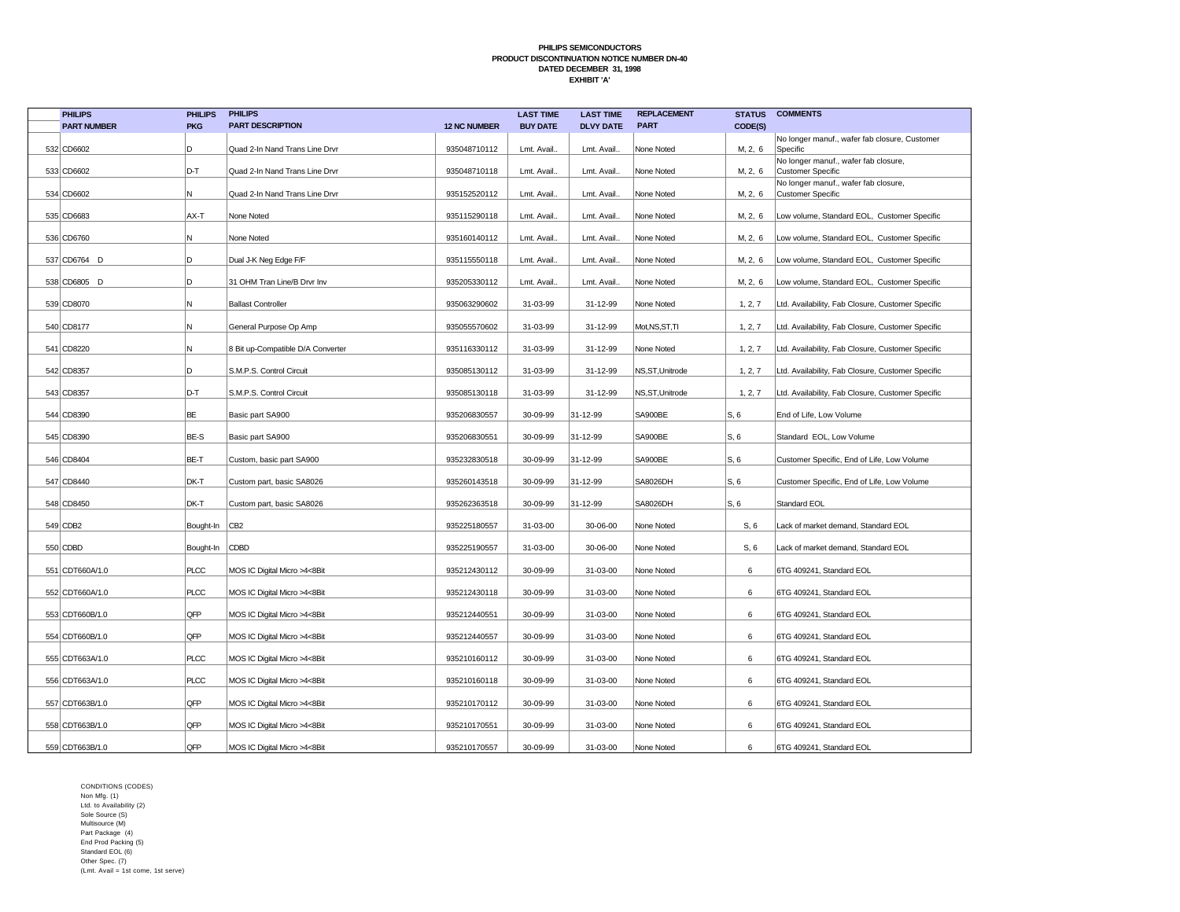| <b>PHILIPS</b>     | <b>PHILIPS</b> | <b>PHILIPS</b>                    |                     | <b>LAST TIME</b> | <b>LAST TIME</b> | <b>REPLACEMENT</b> | <b>STATUS</b> | <b>COMMENTS</b>                                           |
|--------------------|----------------|-----------------------------------|---------------------|------------------|------------------|--------------------|---------------|-----------------------------------------------------------|
| <b>PART NUMBER</b> | <b>PKG</b>     | <b>PART DESCRIPTION</b>           | <b>12 NC NUMBER</b> | <b>BUY DATE</b>  | <b>DLVY DATE</b> | <b>PART</b>        | CODE(S)       |                                                           |
| 532 CD6602         | D              | Quad 2-In Nand Trans Line Drvr    | 935048710112        | Lmt. Avail.      | Lmt. Avail.      | None Noted         | M, 2, 6       | No longer manuf., wafer fab closure, Customer<br>Specific |
| 533 CD6602         | D-T            | Quad 2-In Nand Trans Line Drvr    | 935048710118        | Lmt. Avail.      | Lmt. Avail.      | None Noted         | M, 2, 6       | No longer manuf., wafer fab closure,<br>Customer Specific |
| 534 CD6602         | N              | Quad 2-In Nand Trans Line Drvr    | 935152520112        | Lmt. Avail.      | Lmt. Avail.      | None Noted         | M, 2, 6       | No longer manuf., wafer fab closure,<br>Customer Specific |
| 535 CD6683         | AX-T           | None Noted                        | 935115290118        | Lmt. Avail.      | Lmt. Avail.      | None Noted         | M, 2, 6       | Low volume, Standard EOL, Customer Specific               |
| 536 CD6760         | N              | None Noted                        | 935160140112        | Lmt. Avail.      | Lmt. Avail.      | None Noted         | M, 2, 6       | Low volume, Standard EOL, Customer Specific               |
| 537 CD6764 D       | D              | Dual J-K Neg Edge F/F             | 935115550118        | Lmt. Avail.      | Lmt. Avail.      | None Noted         | M, 2, 6       | Low volume, Standard EOL, Customer Specific               |
| 538 CD6805 D       | D              | 31 OHM Tran Line/B Drvr Inv       | 935205330112        | Lmt. Avail.      | Lmt. Avail.      | None Noted         | M, 2, 6       | Low volume, Standard EOL, Customer Specific               |
| 539 CD8070         | N              | <b>Ballast Controller</b>         | 935063290602        | 31-03-99         | 31-12-99         | None Noted         | 1, 2, 7       | Ltd. Availability, Fab Closure, Customer Specific         |
| 540 CD8177         | N              | General Purpose Op Amp            | 935055570602        | 31-03-99         | 31-12-99         | Mot, NS, ST, TI    | 1, 2, 7       | Ltd. Availability, Fab Closure, Customer Specific         |
| 541 CD8220         | N              | 8 Bit up-Compatible D/A Converter | 935116330112        | 31-03-99         | 31-12-99         | None Noted         | 1, 2, 7       | Ltd. Availability, Fab Closure, Customer Specific         |
| 542 CD8357         | D              | S.M.P.S. Control Circuit          | 935085130112        | 31-03-99         | 31-12-99         | NS,ST,Unitrode     | 1, 2, 7       | Ltd. Availability, Fab Closure, Customer Specific         |
| 543 CD8357         | D-T            | S.M.P.S. Control Circuit          | 935085130118        | 31-03-99         | 31-12-99         | NS,ST,Unitrode     | 1, 2, 7       | Ltd. Availability, Fab Closure, Customer Specific         |
| 544 CD8390         | BE             | Basic part SA900                  | 935206830557        | 30-09-99         | 31-12-99         | SA900BE            | S, 6          | End of Life, Low Volume                                   |
| 545 CD8390         | BE-S           | Basic part SA900                  | 935206830551        | 30-09-99         | 31-12-99         | SA900BE            | S, 6          | Standard EOL, Low Volume                                  |
| 546 CD8404         | BE-T           | Custom, basic part SA900          | 935232830518        | 30-09-99         | 31-12-99         | SA900BE            | S, 6          | Customer Specific, End of Life, Low Volume                |
| 547 CD8440         | DK-T           | Custom part, basic SA8026         | 935260143518        | 30-09-99         | 31-12-99         | <b>SA8026DH</b>    | S, 6          | Customer Specific, End of Life, Low Volume                |
| 548 CD8450         | DK-T           | Custom part, basic SA8026         | 935262363518        | 30-09-99         | 31-12-99         | SA8026DH           | S, 6          | Standard EOL                                              |
| 549 CDB2           | Bought-In CB2  |                                   | 935225180557        | 31-03-00         | 30-06-00         | None Noted         | S, 6          | Lack of market demand, Standard EOL                       |
| 550 CDBD           | Bought-In CDBD |                                   | 935225190557        | 31-03-00         | 30-06-00         | None Noted         | S, 6          | Lack of market demand, Standard EOL                       |
| 551 CDT660A/1.0    | <b>PLCC</b>    | MOS IC Digital Micro >4<8Bit      | 935212430112        | 30-09-99         | 31-03-00         | None Noted         | 6             | 6TG 409241, Standard EOL                                  |
| 552 CDT660A/1.0    | <b>PLCC</b>    | MOS IC Digital Micro >4<8Bit      | 935212430118        | 30-09-99         | 31-03-00         | None Noted         | 6             | 6TG 409241, Standard EOL                                  |
| 553 CDT660B/1.0    | QFP            | MOS IC Digital Micro >4<8Bit      | 935212440551        | 30-09-99         | 31-03-00         | None Noted         | 6             | 6TG 409241, Standard EOL                                  |
| 554 CDT660B/1.0    | QFP            | MOS IC Digital Micro >4<8Bit      | 935212440557        | 30-09-99         | 31-03-00         | None Noted         | 6             | 6TG 409241, Standard EOL                                  |
| 555 CDT663A/1.0    | <b>PLCC</b>    | MOS IC Digital Micro >4<8Bit      | 935210160112        | 30-09-99         | 31-03-00         | None Noted         | 6             | 6TG 409241, Standard EOL                                  |
| 556 CDT663A/1.0    | <b>PLCC</b>    | MOS IC Digital Micro >4<8Bit      | 935210160118        | 30-09-99         | 31-03-00         | None Noted         | 6             | 6TG 409241, Standard EOL                                  |
| 557 CDT663B/1.0    | QFP            | MOS IC Digital Micro >4<8Bit      | 935210170112        | 30-09-99         | 31-03-00         | None Noted         | 6             | 6TG 409241, Standard EOL                                  |
| 558 CDT663B/1.0    | QFP            | MOS IC Digital Micro >4<8Bit      | 935210170551        | 30-09-99         | 31-03-00         | None Noted         | 6             | 6TG 409241, Standard EOL                                  |
| 559 CDT663B/1.0    | QFP            | MOS IC Digital Micro >4<8Bit      | 935210170557        | 30-09-99         | 31-03-00         | None Noted         | 6             | 6TG 409241, Standard EOL                                  |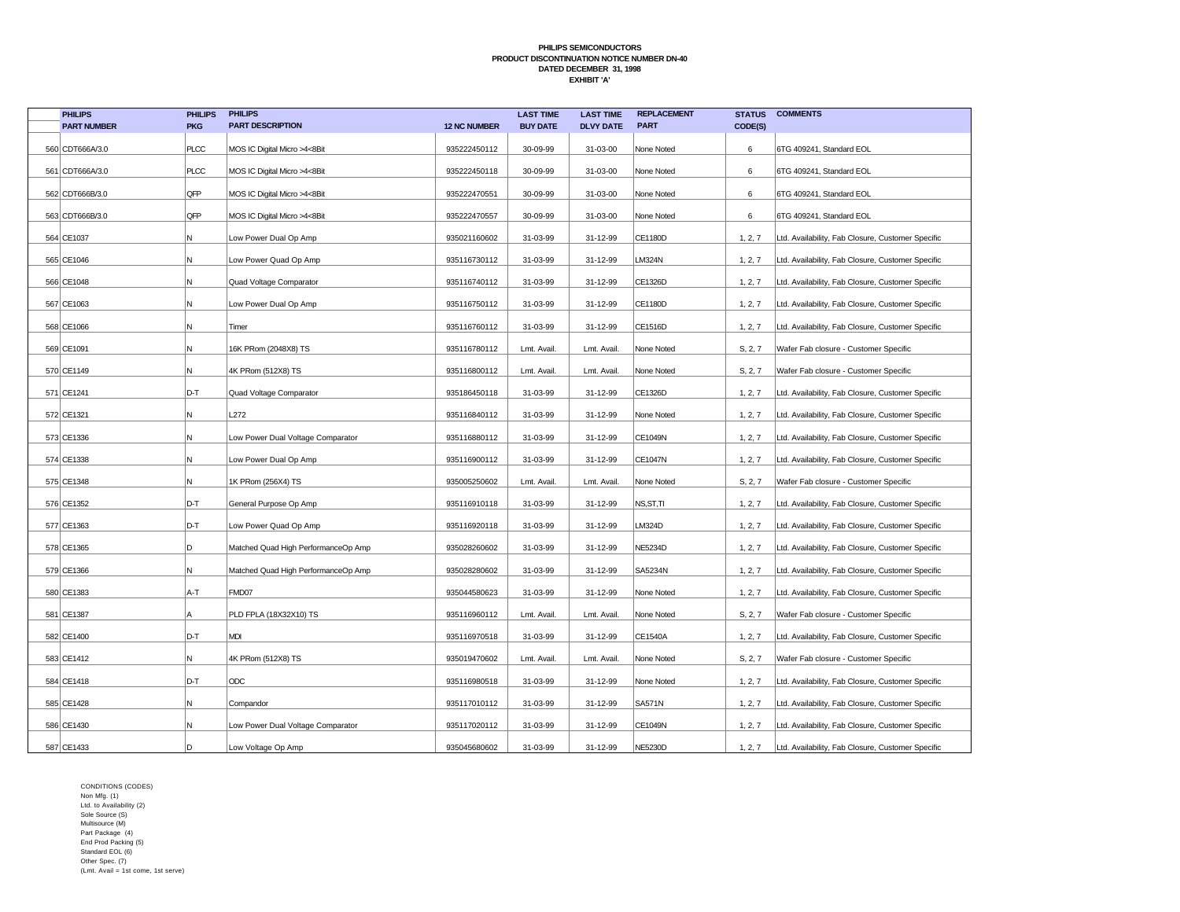| <b>PHILIPS</b>     | <b>PHILIPS</b> | <b>PHILIPS</b>                      |                     | <b>LAST TIME</b> | <b>LAST TIME</b> | <b>REPLACEMENT</b> | <b>STATUS</b> | <b>COMMENTS</b>                                   |
|--------------------|----------------|-------------------------------------|---------------------|------------------|------------------|--------------------|---------------|---------------------------------------------------|
| <b>PART NUMBER</b> | <b>PKG</b>     | <b>PART DESCRIPTION</b>             | <b>12 NC NUMBER</b> | <b>BUY DATE</b>  | <b>DLVY DATE</b> | <b>PART</b>        | CODE(S)       |                                                   |
| 560 CDT666A/3.0    | PLCC           | MOS IC Digital Micro >4<8Bit        | 935222450112        | 30-09-99         | 31-03-00         | None Noted         | 6             | 6TG 409241, Standard EOL                          |
| 561 CDT666A/3.0    | PLCC           | MOS IC Digital Micro >4<8Bit        | 935222450118        | 30-09-99         | 31-03-00         | None Noted         | 6             | 6TG 409241, Standard EOL                          |
| 562 CDT666B/3.0    | QFP            | MOS IC Digital Micro >4<8Bit        | 935222470551        | 30-09-99         | 31-03-00         | None Noted         | 6             | 6TG 409241, Standard EOL                          |
| 563 CDT666B/3.0    | QFP            | MOS IC Digital Micro >4<8Bit        | 935222470557        | 30-09-99         | 31-03-00         | None Noted         | 6             | 6TG 409241, Standard EOL                          |
| 564 CE1037         | Ν              | Low Power Dual Op Amp               | 935021160602        | 31-03-99         | 31-12-99         | <b>CE1180D</b>     | 1, 2, 7       | Ltd. Availability, Fab Closure, Customer Specific |
| 565 CE1046         | Ν              | Low Power Quad Op Amp               | 935116730112        | 31-03-99         | 31-12-99         | <b>LM324N</b>      | 1, 2, 7       | Ltd. Availability, Fab Closure, Customer Specific |
| 566 CE1048         | N              | Quad Voltage Comparator             | 935116740112        | 31-03-99         | 31-12-99         | CE1326D            | 1, 2, 7       | Ltd. Availability, Fab Closure, Customer Specific |
| 567 CE1063         | N              | Low Power Dual Op Amp               | 935116750112        | 31-03-99         | 31-12-99         | <b>CE1180D</b>     | 1, 2, 7       | Ltd. Availability, Fab Closure, Customer Specific |
| 568 CE1066         | N              | Timer                               | 935116760112        | 31-03-99         | 31-12-99         | CE1516D            | 1, 2, 7       | Ltd. Availability, Fab Closure, Customer Specific |
| 569 CE1091         | Ν              | 16K PRom (2048X8) TS                | 935116780112        | Lmt. Avail       | Lmt. Avail.      | None Noted         | S, 2, 7       | Wafer Fab closure - Customer Specific             |
| 570 CE1149         | Ν              | 4K PRom (512X8) TS                  | 935116800112        | Lmt. Avail.      | Lmt. Avail.      | None Noted         | S, 2, 7       | Wafer Fab closure - Customer Specific             |
| 571 CE1241         | D-T            | Quad Voltage Comparator             | 935186450118        | 31-03-99         | 31-12-99         | CE1326D            | 1, 2, 7       | Ltd. Availability, Fab Closure, Customer Specific |
| 572 CE1321         | Ν              | L272                                | 935116840112        | 31-03-99         | 31-12-99         | None Noted         | 1, 2, 7       | Ltd. Availability, Fab Closure, Customer Specific |
| 573 CE1336         | N              | Low Power Dual Voltage Comparator   | 935116880112        | 31-03-99         | 31-12-99         | CE1049N            | 1, 2, 7       | Ltd. Availability, Fab Closure, Customer Specific |
| 574 CE1338         | Ν              | Low Power Dual Op Amp               | 935116900112        | 31-03-99         | 31-12-99         | <b>CE1047N</b>     | 1, 2, 7       | Ltd. Availability, Fab Closure, Customer Specific |
| 575 CE1348         | Ν              | 1K PRom (256X4) TS                  | 935005250602        | Lmt. Avail       | Lmt. Avail       | None Noted         | S, 2, 7       | Wafer Fab closure - Customer Specific             |
| 576 CE1352         | D-T            | General Purpose Op Amp              | 935116910118        | 31-03-99         | 31-12-99         | NS, ST, TI         | 1, 2, 7       | Ltd. Availability, Fab Closure, Customer Specific |
| 577 CE1363         | D-T            | Low Power Quad Op Amp               | 935116920118        | 31-03-99         | 31-12-99         | LM324D             | 1, 2, 7       | Ltd. Availability, Fab Closure, Customer Specific |
| 578 CE1365         | D              | Matched Quad High PerformanceOp Amp | 935028260602        | 31-03-99         | 31-12-99         | <b>NE5234D</b>     | 1, 2, 7       | Ltd. Availability, Fab Closure, Customer Specific |
| 579 CE1366         | И              | Matched Quad High PerformanceOp Amp | 935028280602        | 31-03-99         | 31-12-99         | SA5234N            | 1, 2, 7       | Ltd. Availability, Fab Closure, Customer Specific |
| 580 CE1383         | A-T            | FMD07                               | 935044580623        | 31-03-99         | 31-12-99         | None Noted         | 1, 2, 7       | Ltd. Availability, Fab Closure, Customer Specific |
| 581 CE1387         | Α              | PLD FPLA (18X32X10) TS              | 935116960112        | Lmt. Avail.      | Lmt. Avail.      | None Noted         | S, 2, 7       | Wafer Fab closure - Customer Specific             |
| 582 CE1400         | D-T            | <b>MDI</b>                          | 935116970518        | 31-03-99         | 31-12-99         | CE1540A            | 1, 2, 7       | Ltd. Availability, Fab Closure, Customer Specific |
| 583 CE1412         | Ν              | 4K PRom (512X8) TS                  | 935019470602        | Lmt. Avail.      | Lmt. Avail.      | None Noted         | S, 2, 7       | Wafer Fab closure - Customer Specific             |
| 584 CE1418         | D-T            | ODC                                 | 935116980518        | 31-03-99         | 31-12-99         | None Noted         | 1, 2, 7       | Ltd. Availability, Fab Closure, Customer Specific |
| 585 CE1428         | N              | Compandor                           | 935117010112        | 31-03-99         | 31-12-99         | <b>SA571N</b>      | 1, 2, 7       | Ltd. Availability, Fab Closure, Customer Specific |
| 586 CE1430         | Ν              | Low Power Dual Voltage Comparator   | 935117020112        | 31-03-99         | 31-12-99         | CE1049N            | 1, 2, 7       | Ltd. Availability, Fab Closure, Customer Specific |
| 587 CE1433         | D              | Low Voltage Op Amp                  | 935045680602        | 31-03-99         | 31-12-99         | <b>NE5230D</b>     | 1, 2, 7       | Ltd. Availability, Fab Closure, Customer Specific |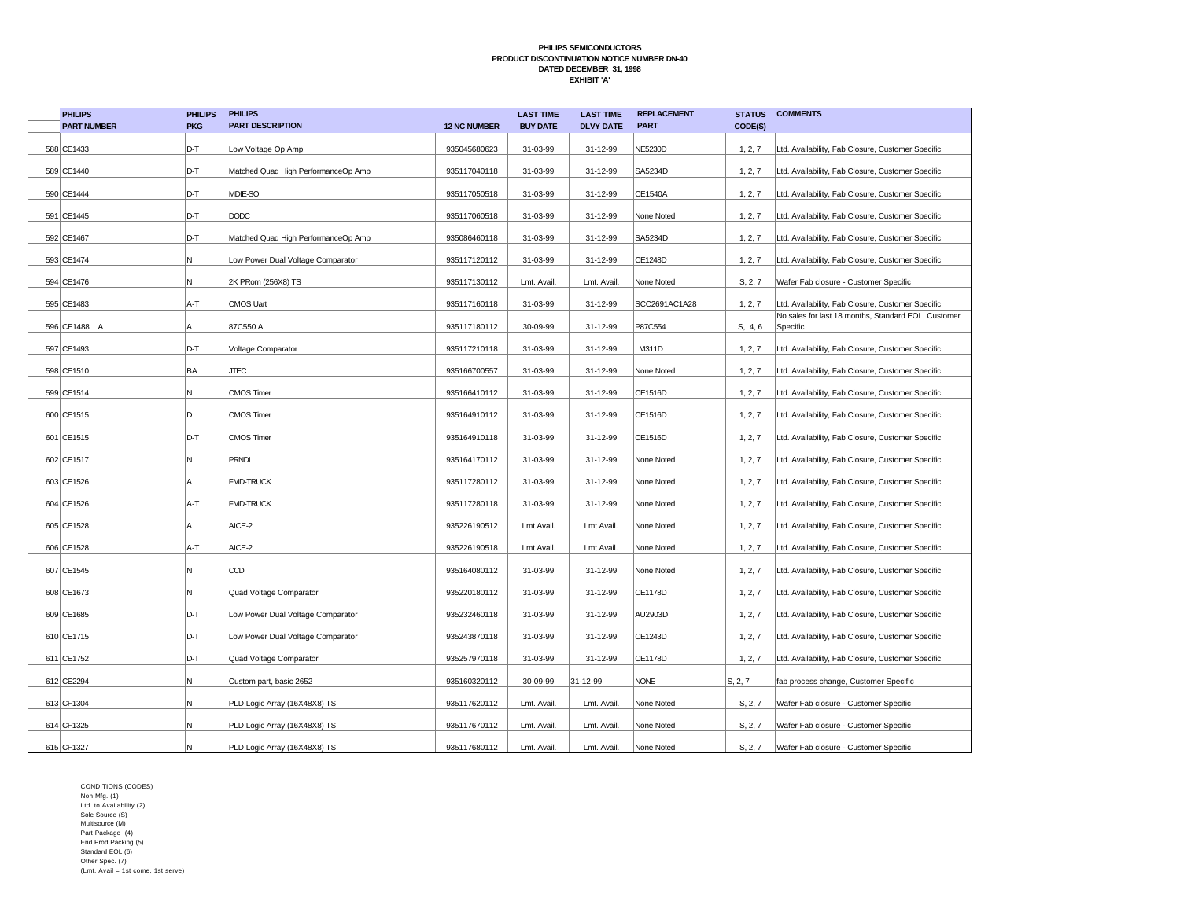| <b>PHILIPS</b>     | <b>PHILIPS</b> | <b>PHILIPS</b>                      |                     | <b>LAST TIME</b> | <b>LAST TIME</b> | <b>REPLACEMENT</b> | <b>STATUS</b> | <b>COMMENTS</b>                                                 |
|--------------------|----------------|-------------------------------------|---------------------|------------------|------------------|--------------------|---------------|-----------------------------------------------------------------|
| <b>PART NUMBER</b> | <b>PKG</b>     | <b>PART DESCRIPTION</b>             | <b>12 NC NUMBER</b> | <b>BUY DATE</b>  | <b>DLVY DATE</b> | <b>PART</b>        | CODE(S)       |                                                                 |
| 588 CE1433         | D-T            | Low Voltage Op Amp                  | 935045680623        | 31-03-99         | 31-12-99         | <b>NE5230D</b>     | 1, 2, 7       | Ltd. Availability, Fab Closure, Customer Specific               |
| 589 CE1440         | D-T            | Matched Quad High PerformanceOp Amp | 935117040118        | 31-03-99         | 31-12-99         | SA5234D            | 1, 2, 7       | Ltd. Availability, Fab Closure, Customer Specific               |
| 590 CE1444         | D-T            | MDIE-SO                             | 935117050518        | 31-03-99         | 31-12-99         | CE1540A            | 1, 2, 7       | Ltd. Availability, Fab Closure, Customer Specific               |
| 591 CE1445         | D-T            | <b>DODC</b>                         | 935117060518        | 31-03-99         | 31-12-99         | None Noted         | 1, 2, 7       | Ltd. Availability, Fab Closure, Customer Specific               |
| 592 CE1467         | D-T            | Matched Quad High PerformanceOp Amp | 935086460118        | 31-03-99         | 31-12-99         | SA5234D            | 1, 2, 7       | Ltd. Availability, Fab Closure, Customer Specific               |
| 593 CE1474         | Ν              | Low Power Dual Voltage Comparator   | 935117120112        | 31-03-99         | 31-12-99         | CE1248D            | 1, 2, 7       | Ltd. Availability, Fab Closure, Customer Specific               |
| 594 CE1476         | Ν              | 2K PRom (256X8) TS                  | 935117130112        | Lmt. Avail.      | Lmt. Avail       | None Noted         | S, 2, 7       | Wafer Fab closure - Customer Specific                           |
| 595 CE1483         | A-T            | <b>CMOS Uart</b>                    | 935117160118        | 31-03-99         | 31-12-99         | SCC2691AC1A28      | 1, 2, 7       | Ltd. Availability, Fab Closure, Customer Specific               |
| 596 CE1488 A       | А              | 87C550 A                            | 935117180112        | 30-09-99         | 31-12-99         | P87C554            | S, 4, 6       | No sales for last 18 months, Standard EOL, Customer<br>Specific |
|                    |                |                                     |                     |                  |                  |                    |               |                                                                 |
| 597 CE1493         | D-T            | Voltage Comparator                  | 935117210118        | 31-03-99         | 31-12-99         | LM311D             | 1, 2, 7       | Ltd. Availability, Fab Closure, Customer Specific               |
| 598 CE1510         | BA             | <b>JTEC</b>                         | 935166700557        | 31-03-99         | 31-12-99         | None Noted         | 1, 2, 7       | Ltd. Availability, Fab Closure, Customer Specific               |
| 599 CE1514         | Ν              | <b>CMOS Timer</b>                   | 935166410112        | 31-03-99         | 31-12-99         | CE1516D            | 1, 2, 7       | Ltd. Availability, Fab Closure, Customer Specific               |
| 600 CE1515         | D              | <b>CMOS Timer</b>                   | 935164910112        | 31-03-99         | 31-12-99         | CE1516D            | 1, 2, 7       | Ltd. Availability, Fab Closure, Customer Specific               |
| 601 CE1515         | D-T            | <b>CMOS Timer</b>                   | 935164910118        | 31-03-99         | 31-12-99         | CE1516D            | 1, 2, 7       | Ltd. Availability, Fab Closure, Customer Specific               |
| 602 CE1517         | Ν              | <b>PRNDL</b>                        | 935164170112        | 31-03-99         | 31-12-99         | None Noted         | 1, 2, 7       | Ltd. Availability, Fab Closure, Customer Specific               |
| 603 CE1526         | А              | <b>FMD-TRUCK</b>                    | 935117280112        | 31-03-99         | 31-12-99         | None Noted         | 1, 2, 7       | Ltd. Availability, Fab Closure, Customer Specific               |
| 604 CE1526         | A-T            | <b>FMD-TRUCK</b>                    | 935117280118        | 31-03-99         | 31-12-99         | None Noted         | 1, 2, 7       | Ltd. Availability, Fab Closure, Customer Specific               |
| 605 CE1528         | А              | AICE-2                              | 935226190512        | Lmt.Avail        | Lmt.Avail.       | None Noted         | 1, 2, 7       | Ltd. Availability, Fab Closure, Customer Specific               |
| 606 CE1528         | A-T            | AICE-2                              | 935226190518        | Lmt.Avail        | Lmt.Avail.       | None Noted         | 1, 2, 7       | Ltd. Availability, Fab Closure, Customer Specific               |
| 607 CE1545         | Ν              | CCD                                 | 935164080112        | 31-03-99         | 31-12-99         | None Noted         | 1, 2, 7       | Ltd. Availability, Fab Closure, Customer Specific               |
| 608 CE1673         | Ν              | Quad Voltage Comparator             | 935220180112        | 31-03-99         | 31-12-99         | CE1178D            | 1, 2, 7       | Ltd. Availability, Fab Closure, Customer Specific               |
| 609 CE1685         | D-T            | Low Power Dual Voltage Comparator   | 935232460118        | 31-03-99         | 31-12-99         | AU2903D            | 1, 2, 7       | Ltd. Availability, Fab Closure, Customer Specific               |
| 610 CE1715         | D-T            | Low Power Dual Voltage Comparator   | 935243870118        | 31-03-99         | 31-12-99         | CE1243D            | 1, 2, 7       | Ltd. Availability, Fab Closure, Customer Specific               |
| 611 CE1752         | D-T            | Quad Voltage Comparator             | 935257970118        | 31-03-99         | 31-12-99         | CE1178D            | 1, 2, 7       | Ltd. Availability, Fab Closure, Customer Specific               |
| 612 CE2294         | Ν              | Custom part, basic 2652             | 935160320112        | 30-09-99         | 31-12-99         | <b>NONE</b>        | S, 2, 7       | fab process change, Customer Specific                           |
| 613 CF1304         | Ν              | PLD Logic Array (16X48X8) TS        | 935117620112        | Lmt. Avail.      | Lmt. Avail.      | None Noted         | S, 2, 7       | Wafer Fab closure - Customer Specific                           |
| 614 CF1325         | И              | PLD Logic Array (16X48X8) TS        | 935117670112        | Lmt. Avail.      | Lmt. Avail       | None Noted         | S, 2, 7       | Wafer Fab closure - Customer Specific                           |
| 615 CF1327         | N              | PLD Logic Array (16X48X8) TS        | 935117680112        | Lmt. Avail.      | Lmt. Avail.      | None Noted         | S, 2, 7       | Wafer Fab closure - Customer Specific                           |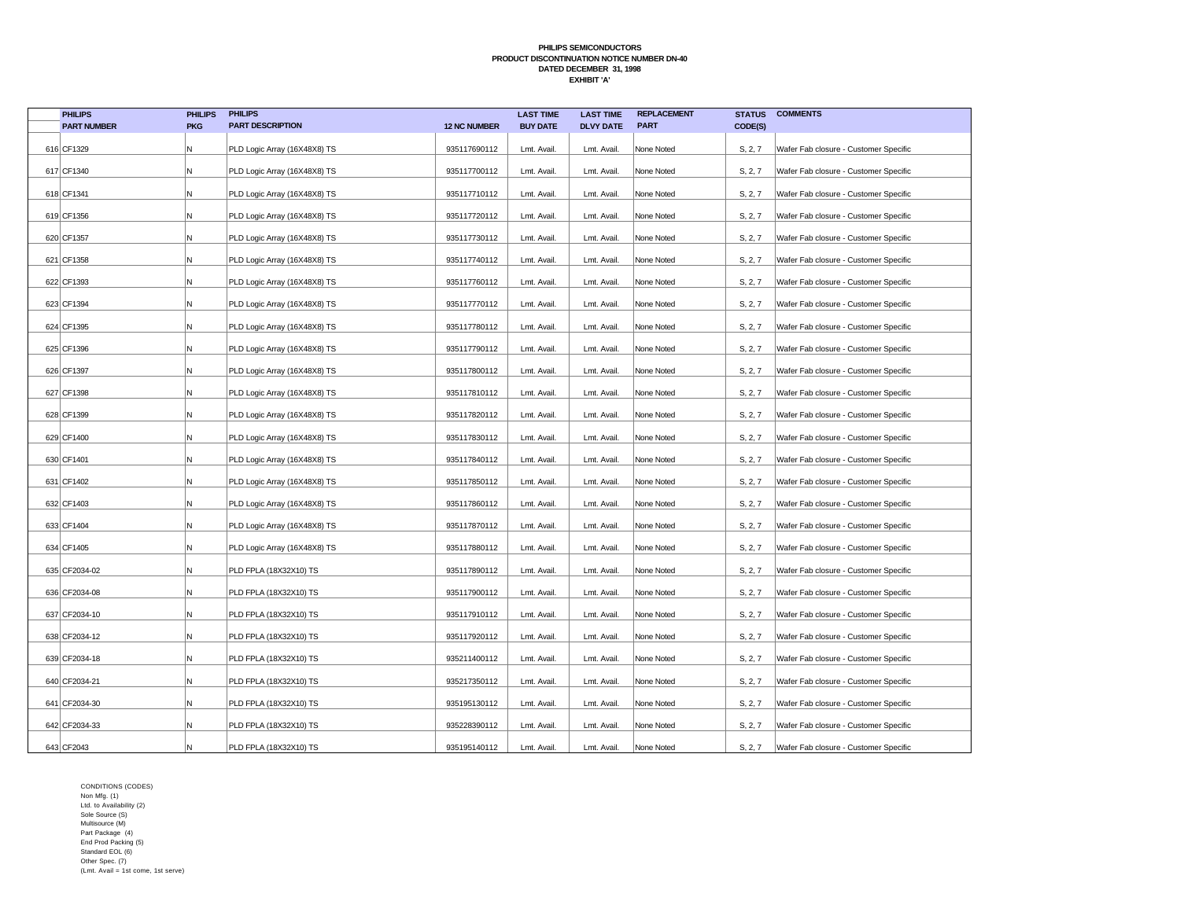| <b>PHILIPS</b>     | <b>PHILIPS</b> | <b>PHILIPS</b>               |                     | <b>LAST TIME</b> | <b>LAST TIME</b> | <b>REPLACEMENT</b> | <b>STATUS</b> | <b>COMMENTS</b>                       |
|--------------------|----------------|------------------------------|---------------------|------------------|------------------|--------------------|---------------|---------------------------------------|
| <b>PART NUMBER</b> | <b>PKG</b>     | <b>PART DESCRIPTION</b>      | <b>12 NC NUMBER</b> | <b>BUY DATE</b>  | <b>DLVY DATE</b> | <b>PART</b>        | CODE(S)       |                                       |
| 616 CF1329         | Ν              | PLD Logic Array (16X48X8) TS | 935117690112        | Lmt. Avail.      | Lmt. Avail.      | None Noted         | S, 2, 7       | Wafer Fab closure - Customer Specific |
| 617 CF1340         | N              | PLD Logic Array (16X48X8) TS | 935117700112        | Lmt. Avail.      | Lmt. Avail.      | None Noted         | S, 2, 7       | Wafer Fab closure - Customer Specific |
| 618 CF1341         | Ν              | PLD Logic Array (16X48X8) TS | 935117710112        | Lmt. Avail.      | Lmt. Avail.      | None Noted         | S, 2, 7       | Wafer Fab closure - Customer Specific |
| 619 CF1356         | Ν              | PLD Logic Array (16X48X8) TS | 935117720112        | Lmt. Avail.      | Lmt. Avail.      | None Noted         | S, 2, 7       | Wafer Fab closure - Customer Specific |
| 620 CF1357         | Ν              | PLD Logic Array (16X48X8) TS | 935117730112        | Lmt. Avail.      | Lmt. Avail       | None Noted         | S, 2, 7       | Wafer Fab closure - Customer Specific |
| 621 CF1358         | Ν              | PLD Logic Array (16X48X8) TS | 935117740112        | Lmt. Avail.      | Lmt. Avail.      | None Noted         | S, 2, 7       | Wafer Fab closure - Customer Specific |
| 622 CF1393         | Ν              | PLD Logic Array (16X48X8) TS | 935117760112        | Lmt. Avail.      | Lmt. Avail       | None Noted         | S, 2, 7       | Wafer Fab closure - Customer Specific |
| 623 CF1394         | Ν              | PLD Logic Array (16X48X8) TS | 935117770112        | Lmt. Avail.      | Lmt. Avail.      | None Noted         | S, 2, 7       | Wafer Fab closure - Customer Specific |
| 624 CF1395         | N              | PLD Logic Array (16X48X8) TS | 935117780112        | Lmt. Avail.      | Lmt. Avail.      | None Noted         | S, 2, 7       | Wafer Fab closure - Customer Specific |
| 625 CF1396         | N              | PLD Logic Array (16X48X8) TS | 935117790112        | Lmt. Avail.      | Lmt. Avail       | None Noted         | S, 2, 7       | Wafer Fab closure - Customer Specific |
| 626 CF1397         | Ν              | PLD Logic Array (16X48X8) TS | 935117800112        | Lmt. Avail.      | Lmt. Avail.      | None Noted         | S, 2, 7       | Wafer Fab closure - Customer Specific |
| 627 CF1398         | Ν              | PLD Logic Array (16X48X8) TS | 935117810112        | Lmt. Avail.      | Lmt. Avail.      | None Noted         | S, 2, 7       | Wafer Fab closure - Customer Specific |
| 628 CF1399         | Ν              | PLD Logic Array (16X48X8) TS | 935117820112        | Lmt. Avail.      | Lmt. Avail.      | None Noted         | S, 2, 7       | Wafer Fab closure - Customer Specific |
| 629 CF1400         | И              | PLD Logic Array (16X48X8) TS | 935117830112        | Lmt. Avail.      | Lmt. Avail.      | None Noted         | S, 2, 7       | Wafer Fab closure - Customer Specific |
| 630 CF1401         | Ν              | PLD Logic Array (16X48X8) TS | 935117840112        | Lmt. Avail.      | Lmt. Avail.      | None Noted         | S, 2, 7       | Wafer Fab closure - Customer Specific |
| 631 CF1402         | N              | PLD Logic Array (16X48X8) TS | 935117850112        | Lmt. Avail.      | Lmt. Avail       | None Noted         | S, 2, 7       | Wafer Fab closure - Customer Specific |
| 632 CF1403         | N              | PLD Logic Array (16X48X8) TS | 935117860112        | Lmt. Avail.      | Lmt. Avail.      | None Noted         | S, 2, 7       | Wafer Fab closure - Customer Specific |
| 633 CF1404         | N              | PLD Logic Array (16X48X8) TS | 935117870112        | Lmt. Avail.      | Lmt. Avail.      | None Noted         | S, 2, 7       | Wafer Fab closure - Customer Specific |
| 634 CF1405         | Ν              | PLD Logic Array (16X48X8) TS | 935117880112        | Lmt. Avail.      | Lmt. Avail.      | None Noted         | S, 2, 7       | Wafer Fab closure - Customer Specific |
| 635 CF2034-02      | Ν              | PLD FPLA (18X32X10) TS       | 935117890112        | Lmt. Avail.      | Lmt. Avail.      | None Noted         | S, 2, 7       | Wafer Fab closure - Customer Specific |
| 636 CF2034-08      | Ν              | PLD FPLA (18X32X10) TS       | 935117900112        | Lmt. Avail.      | Lmt. Avail.      | None Noted         | S, 2, 7       | Wafer Fab closure - Customer Specific |
| 637 CF2034-10      | Ν              | PLD FPLA (18X32X10) TS       | 935117910112        | Lmt. Avail.      | Lmt. Avail.      | None Noted         | S, 2, 7       | Wafer Fab closure - Customer Specific |
| 638 CF2034-12      | Ν              | PLD FPLA (18X32X10) TS       | 935117920112        | Lmt. Avail.      | Lmt. Avail.      | None Noted         | S, 2, 7       | Wafer Fab closure - Customer Specific |
| 639 CF2034-18      | Ν              | PLD FPLA (18X32X10) TS       | 935211400112        | Lmt. Avail.      | Lmt. Avail.      | None Noted         | S, 2, 7       | Wafer Fab closure - Customer Specific |
| 640 CF2034-21      | Ν              | PLD FPLA (18X32X10) TS       | 935217350112        | Lmt. Avail.      | Lmt. Avail.      | None Noted         | S, 2, 7       | Wafer Fab closure - Customer Specific |
| 641 CF2034-30      | Ν              | PLD FPLA (18X32X10) TS       | 935195130112        | Lmt. Avail.      | Lmt. Avail.      | None Noted         | S, 2, 7       | Wafer Fab closure - Customer Specific |
| 642 CF2034-33      | И              | PLD FPLA (18X32X10) TS       | 935228390112        | Lmt. Avail.      | Lmt. Avail       | None Noted         | S, 2, 7       | Wafer Fab closure - Customer Specific |
| 643 CF2043         | N              | PLD FPLA (18X32X10) TS       | 935195140112        | Lmt. Avail.      | Lmt. Avail.      | None Noted         | S, 2, 7       | Wafer Fab closure - Customer Specific |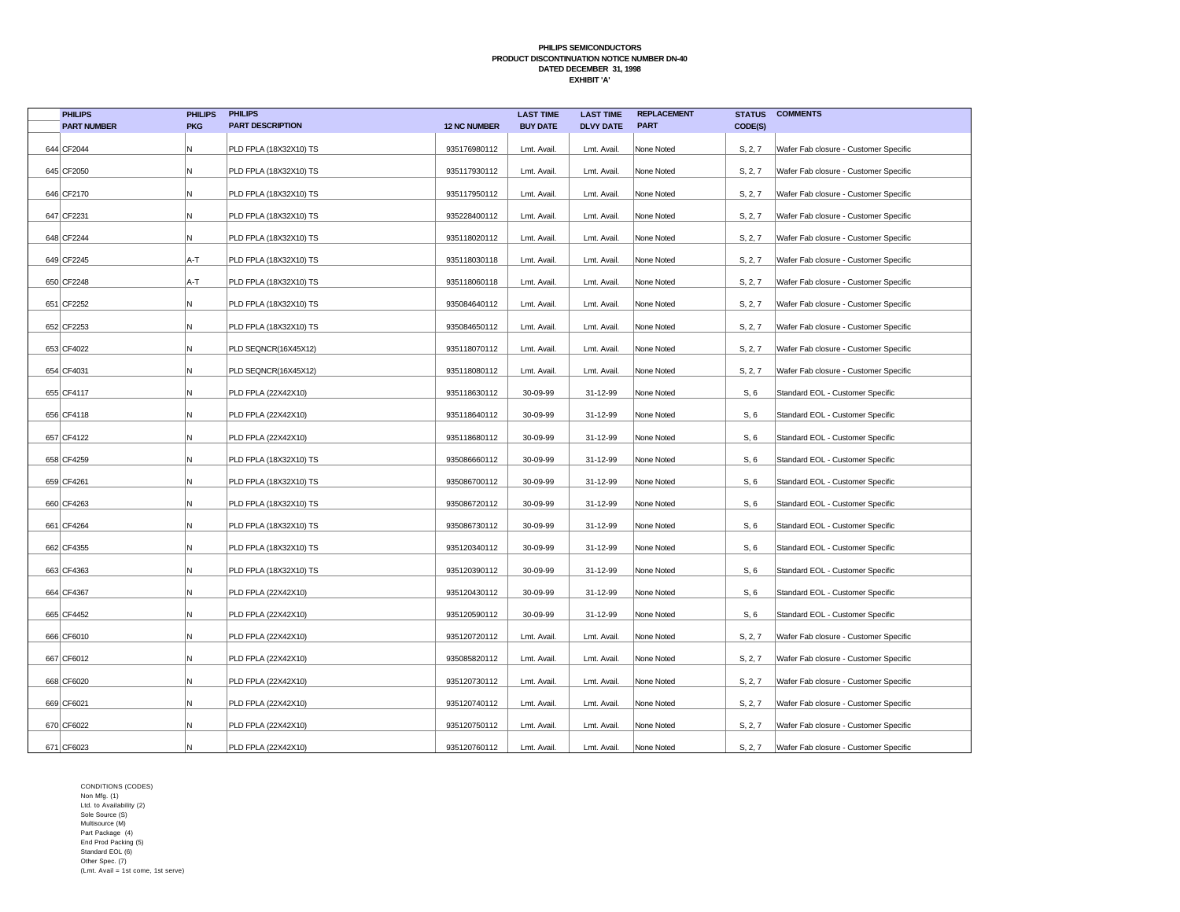| <b>PHILIPS</b>     | <b>PHILIPS</b> | <b>PHILIPS</b>          |                     | <b>LAST TIME</b> | <b>LAST TIME</b> | <b>REPLACEMENT</b> | <b>STATUS</b> | <b>COMMENTS</b>                       |
|--------------------|----------------|-------------------------|---------------------|------------------|------------------|--------------------|---------------|---------------------------------------|
| <b>PART NUMBER</b> | <b>PKG</b>     | <b>PART DESCRIPTION</b> | <b>12 NC NUMBER</b> | <b>BUY DATE</b>  | <b>DLVY DATE</b> | <b>PART</b>        | CODE(S)       |                                       |
| 644 CF2044         | Ν              | PLD FPLA (18X32X10) TS  | 935176980112        | Lmt. Avail.      | Lmt. Avail.      | None Noted         | S, 2, 7       | Wafer Fab closure - Customer Specific |
| 645 CF2050         | Ν              | PLD FPLA (18X32X10) TS  | 935117930112        | Lmt. Avail.      | Lmt. Avail.      | None Noted         | S, 2, 7       | Wafer Fab closure - Customer Specific |
| 646 CF2170         | Ν              | PLD FPLA (18X32X10) TS  | 935117950112        | Lmt. Avail.      | Lmt. Avail.      | None Noted         | S, 2, 7       | Wafer Fab closure - Customer Specific |
| 647 CF2231         | Ν              | PLD FPLA (18X32X10) TS  | 935228400112        | Lmt. Avail.      | Lmt. Avail.      | None Noted         | S, 2, 7       | Wafer Fab closure - Customer Specific |
| 648 CF2244         | Ν              | PLD FPLA (18X32X10) TS  | 935118020112        | Lmt. Avail.      | Lmt. Avail       | None Noted         | S, 2, 7       | Wafer Fab closure - Customer Specific |
| 649 CF2245         | A-T            | PLD FPLA (18X32X10) TS  | 935118030118        | Lmt. Avail.      | Lmt. Avail.      | None Noted         | S, 2, 7       | Wafer Fab closure - Customer Specific |
| 650 CF2248         | A-T            | PLD FPLA (18X32X10) TS  | 935118060118        | Lmt. Avail.      | Lmt. Avail.      | None Noted         | S, 2, 7       | Wafer Fab closure - Customer Specific |
| 651 CF2252         | Ν              | PLD FPLA (18X32X10) TS  | 935084640112        | Lmt. Avail.      | Lmt. Avail.      | None Noted         | S, 2, 7       | Wafer Fab closure - Customer Specific |
| 652 CF2253         | N              | PLD FPLA (18X32X10) TS  | 935084650112        | Lmt. Avail.      | Lmt. Avail.      | None Noted         | S, 2, 7       | Wafer Fab closure - Customer Specific |
| 653 CF4022         | N              | PLD SEQNCR(16X45X12)    | 935118070112        | Lmt. Avail.      | Lmt. Avail       | None Noted         | S, 2, 7       | Wafer Fab closure - Customer Specific |
| 654 CF4031         | N              | PLD SEQNCR(16X45X12)    | 935118080112        | Lmt. Avail.      | Lmt. Avail.      | None Noted         | S, 2, 7       | Wafer Fab closure - Customer Specific |
| 655 CF4117         | Ν              | PLD FPLA (22X42X10)     | 935118630112        | 30-09-99         | 31-12-99         | None Noted         | S, 6          | Standard EOL - Customer Specific      |
| 656 CF4118         | Ν              | PLD FPLA (22X42X10)     | 935118640112        | 30-09-99         | 31-12-99         | None Noted         | S, 6          | Standard EOL - Customer Specific      |
| 657 CF4122         | Ν              | PLD FPLA (22X42X10)     | 935118680112        | 30-09-99         | 31-12-99         | None Noted         | S, 6          | Standard EOL - Customer Specific      |
| 658 CF4259         | Ν              | PLD FPLA (18X32X10) TS  | 935086660112        | 30-09-99         | 31-12-99         | None Noted         | S, 6          | Standard EOL - Customer Specific      |
| 659 CF4261         | N              | PLD FPLA (18X32X10) TS  | 935086700112        | 30-09-99         | 31-12-99         | None Noted         | S, 6          | Standard EOL - Customer Specific      |
| 660 CF4263         | N              | PLD FPLA (18X32X10) TS  | 935086720112        | 30-09-99         | 31-12-99         | None Noted         | S, 6          | Standard EOL - Customer Specific      |
| 661 CF4264         | Ν              | PLD FPLA (18X32X10) TS  | 935086730112        | 30-09-99         | 31-12-99         | None Noted         | S, 6          | Standard EOL - Customer Specific      |
| 662 CF4355         | Ν              | PLD FPLA (18X32X10) TS  | 935120340112        | 30-09-99         | 31-12-99         | None Noted         | S, 6          | Standard EOL - Customer Specific      |
| 663 CF4363         | Ν              | PLD FPLA (18X32X10) TS  | 935120390112        | 30-09-99         | 31-12-99         | None Noted         | S, 6          | Standard EOL - Customer Specific      |
| 664 CF4367         | Ν              | PLD FPLA (22X42X10)     | 935120430112        | 30-09-99         | 31-12-99         | None Noted         | S, 6          | Standard EOL - Customer Specific      |
| 665 CF4452         | Ν              | PLD FPLA (22X42X10)     | 935120590112        | 30-09-99         | 31-12-99         | None Noted         | S, 6          | Standard EOL - Customer Specific      |
| 666 CF6010         | N              | PLD FPLA (22X42X10)     | 935120720112        | Lmt. Avail.      | Lmt. Avail.      | None Noted         | S, 2, 7       | Wafer Fab closure - Customer Specific |
| 667 CF6012         | Ν              | PLD FPLA (22X42X10)     | 935085820112        | Lmt. Avail.      | Lmt. Avail.      | None Noted         | S, 2, 7       | Wafer Fab closure - Customer Specific |
| 668 CF6020         | Ν              | PLD FPLA (22X42X10)     | 935120730112        | Lmt. Avail.      | Lmt. Avail.      | None Noted         | S, 2, 7       | Wafer Fab closure - Customer Specific |
| 669 CF6021         | Ν              | PLD FPLA (22X42X10)     | 935120740112        | Lmt. Avail.      | Lmt. Avail.      | None Noted         | S, 2, 7       | Wafer Fab closure - Customer Specific |
| 670 CF6022         | И              | PLD FPLA (22X42X10)     | 935120750112        | Lmt. Avail.      | Lmt. Avail       | None Noted         | S, 2, 7       | Wafer Fab closure - Customer Specific |
| 671 CF6023         | Ν              | PLD FPLA (22X42X10)     | 935120760112        | Lmt. Avail.      | Lmt. Avail.      | None Noted         | S, 2, 7       | Wafer Fab closure - Customer Specific |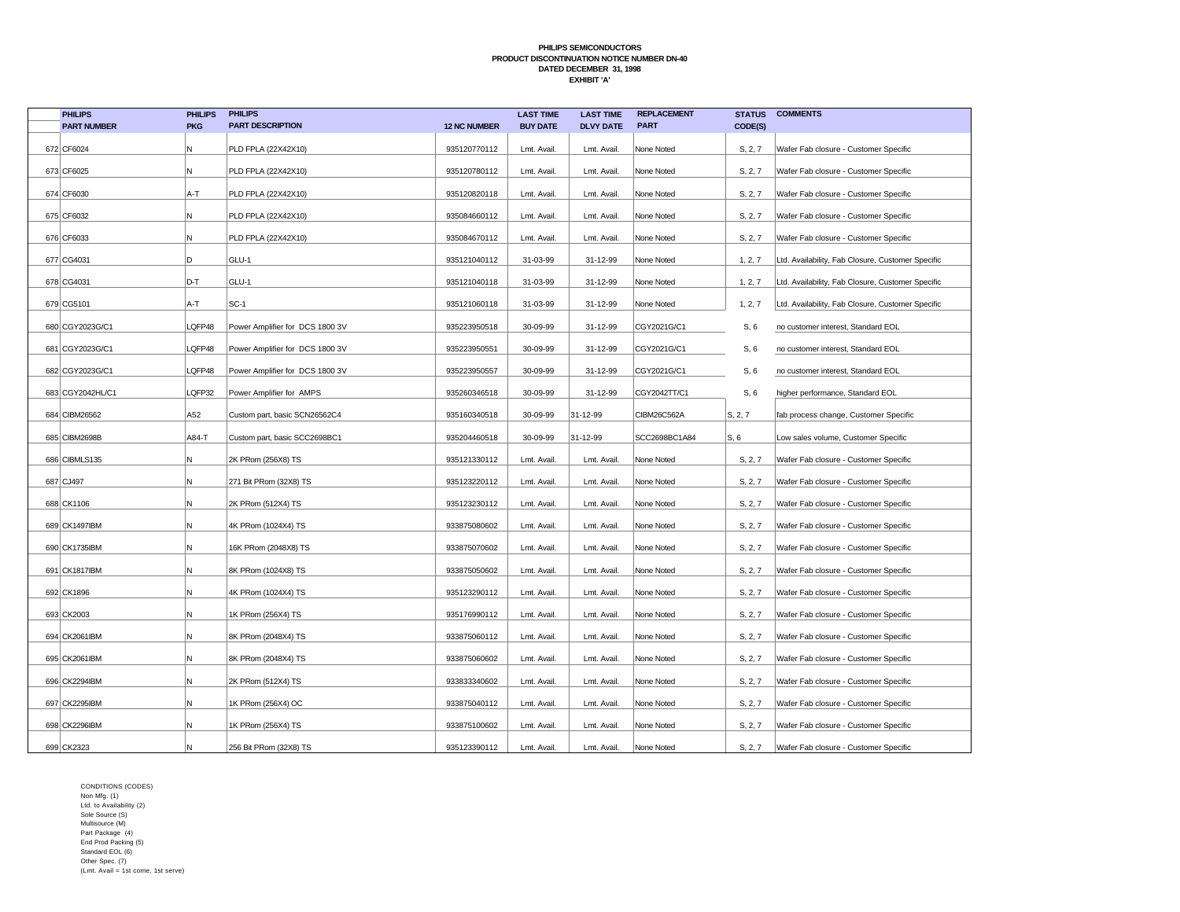| <b>PHILIPS</b>     | <b>PHILIPS</b> | <b>PHILIPS</b>                  |                     | <b>LAST TIME</b> | <b>LAST TIME</b> | <b>REPLACEMENT</b> | <b>STATUS</b> | <b>COMMENTS</b>                                   |
|--------------------|----------------|---------------------------------|---------------------|------------------|------------------|--------------------|---------------|---------------------------------------------------|
| <b>PART NUMBER</b> | <b>PKG</b>     | <b>PART DESCRIPTION</b>         | <b>12 NC NUMBER</b> | <b>BUY DATE</b>  | <b>DLVY DATE</b> | <b>PART</b>        | CODE(S)       |                                                   |
| 672 CF6024         | N              | PLD FPLA (22X42X10)             | 935120770112        | Lmt. Avail.      | Lmt. Avail.      | None Noted         | S, 2, 7       | Wafer Fab closure - Customer Specific             |
| 673 CF6025         | N              | PLD FPLA (22X42X10)             | 935120780112        | Lmt. Avail.      | Lmt. Avail.      | None Noted         | S, 2, 7       | Wafer Fab closure - Customer Specific             |
| 674 CF6030         | A-T            | PLD FPLA (22X42X10)             | 935120820118        | Lmt. Avail.      | Lmt. Avail.      | None Noted         | S, 2, 7       | Wafer Fab closure - Customer Specific             |
| 675 CF6032         | N.             | PLD FPLA (22X42X10)             | 935084660112        | Lmt. Avail.      | Lmt. Avail.      | None Noted         | S, 2, 7       | Wafer Fab closure - Customer Specific             |
| 676 CF6033         | N              | PLD FPLA (22X42X10)             | 935084670112        | Lmt. Avail.      | Lmt. Avail.      | None Noted         | S, 2, 7       | Wafer Fab closure - Customer Specific             |
| 677 CG4031         | D              | GLU-1                           | 935121040112        | 31-03-99         | 31-12-99         | None Noted         | 1, 2, 7       | Ltd. Availability, Fab Closure, Customer Specific |
| 678 CG4031         | D-T            | GLU-1                           | 935121040118        | 31-03-99         | 31-12-99         | None Noted         | 1, 2, 7       | Ltd. Availability, Fab Closure, Customer Specific |
| 679 CG5101         | A-T            | $SC-1$                          | 935121060118        | 31-03-99         | 31-12-99         | None Noted         | 1, 2, 7       | Ltd. Availability, Fab Closure, Customer Specific |
| 680 CGY2023G/C1    | LQFP48         | Power Amplifier for DCS 1800 3V | 935223950518        | 30-09-99         | 31-12-99         | CGY2021G/C1        | S, 6          | no customer interest, Standard EOL                |
| 681 CGY2023G/C1    | LQFP48         | Power Amplifier for DCS 1800 3V | 935223950551        | 30-09-99         | 31-12-99         | CGY2021G/C1        | S, 6          | no customer interest, Standard EOL                |
| 682 CGY2023G/C1    | LQFP48         | Power Amplifier for DCS 1800 3V | 935223950557        | 30-09-99         | 31-12-99         | CGY2021G/C1        | S, 6          | no customer interest, Standard EOL                |
| 683 CGY2042HL/C1   | LQFP32         | Power Amplifier for AMPS        | 935260346518        | 30-09-99         | 31-12-99         | CGY2042TT/C1       | S, 6          | higher performance, Standard EOL                  |
| 684 CIBM26562      | A52            | Custom part, basic SCN26562C4   | 935160340518        | 30-09-99         | 31-12-99         | CIBM26C562A        | S, 2, 7       | fab process change, Customer Specific             |
| 685 CIBM2698B      | A84-T          | Custom part, basic SCC2698BC1   | 935204460518        | 30-09-99         | 31-12-99         | SCC2698BC1A84      | S, 6          | Low sales volume, Customer Specific               |
| 686 CIBMLS135      | N.             | 2K PRom (256X8) TS              | 935121330112        | Lmt. Avail.      | Lmt. Avail.      | None Noted         | S, 2, 7       | Wafer Fab closure - Customer Specific             |
| 687 CJ497          | N              | 271 Bit PRom (32X8) TS          | 935123220112        | Lmt. Avail.      | Lmt. Avail       | None Noted         | S, 2, 7       | Wafer Fab closure - Customer Specific             |
| 688 CK1106         | N              | 2K PRom (512X4) TS              | 935123230112        | Lmt. Avail.      | Lmt. Avail.      | None Noted         | S, 2, 7       | Wafer Fab closure - Customer Specific             |
| 689 CK1497IBM      | Ν              | 4K PRom (1024X4) TS             | 933875080602        | Lmt. Avail.      | Lmt. Avail.      | None Noted         | S, 2, 7       | Wafer Fab closure - Customer Specific             |
| 690 CK1735IBM      | Ν              | 16K PRom (2048X8) TS            | 933875070602        | Lmt. Avail.      | Lmt. Avail.      | None Noted         | S, 2, 7       | Wafer Fab closure - Customer Specific             |
| 691 CK1817IBM      | Ν              | 8K PRom (1024X8) TS             | 933875050602        | Lmt. Avail.      | Lmt. Avail.      | None Noted         | S, 2, 7       | Wafer Fab closure - Customer Specific             |
| 692 CK1896         | Ν              | 4K PRom (1024X4) TS             | 935123290112        | Lmt. Avail.      | Lmt. Avail.      | None Noted         | S, 2, 7       | Wafer Fab closure - Customer Specific             |
| 693 CK2003         | Ν              | 1K PRom (256X4) TS              | 935176990112        | Lmt. Avail.      | Lmt. Avail.      | None Noted         | S, 2, 7       | Wafer Fab closure - Customer Specific             |
| 694 CK2061IBM      | Ν              | 8K PRom (2048X4) TS             | 933875060112        | Lmt. Avail.      | Lmt. Avail.      | None Noted         | S, 2, 7       | Wafer Fab closure - Customer Specific             |
| 695 CK2061IBM      | N              | 8K PRom (2048X4) TS             | 933875060602        | Lmt. Avail.      | Lmt. Avail.      | None Noted         | S, 2, 7       | Wafer Fab closure - Customer Specific             |
| 696 CK2294IBM      | N              | 2K PRom (512X4) TS              | 933833340602        | Lmt. Avail.      | Lmt. Avail.      | None Noted         | S, 2, 7       | Wafer Fab closure - Customer Specific             |
| 697 CK2295IBM      | N.             | 1K PRom (256X4) OC              | 933875040112        | Lmt. Avail.      | Lmt. Avail.      | None Noted         | S, 2, 7       | Wafer Fab closure - Customer Specific             |
| 698 CK2296IBM      | N              | 1K PRom (256X4) TS              | 933875100602        | Lmt. Avail.      | Lmt. Avail.      | None Noted         | S, 2, 7       | Wafer Fab closure - Customer Specific             |
| 699 CK2323         | N              | 256 Bit PRom (32X8) TS          | 935123390112        | Lmt. Avail.      | Lmt. Avail.      | None Noted         | S, 2, 7       | Wafer Fab closure - Customer Specific             |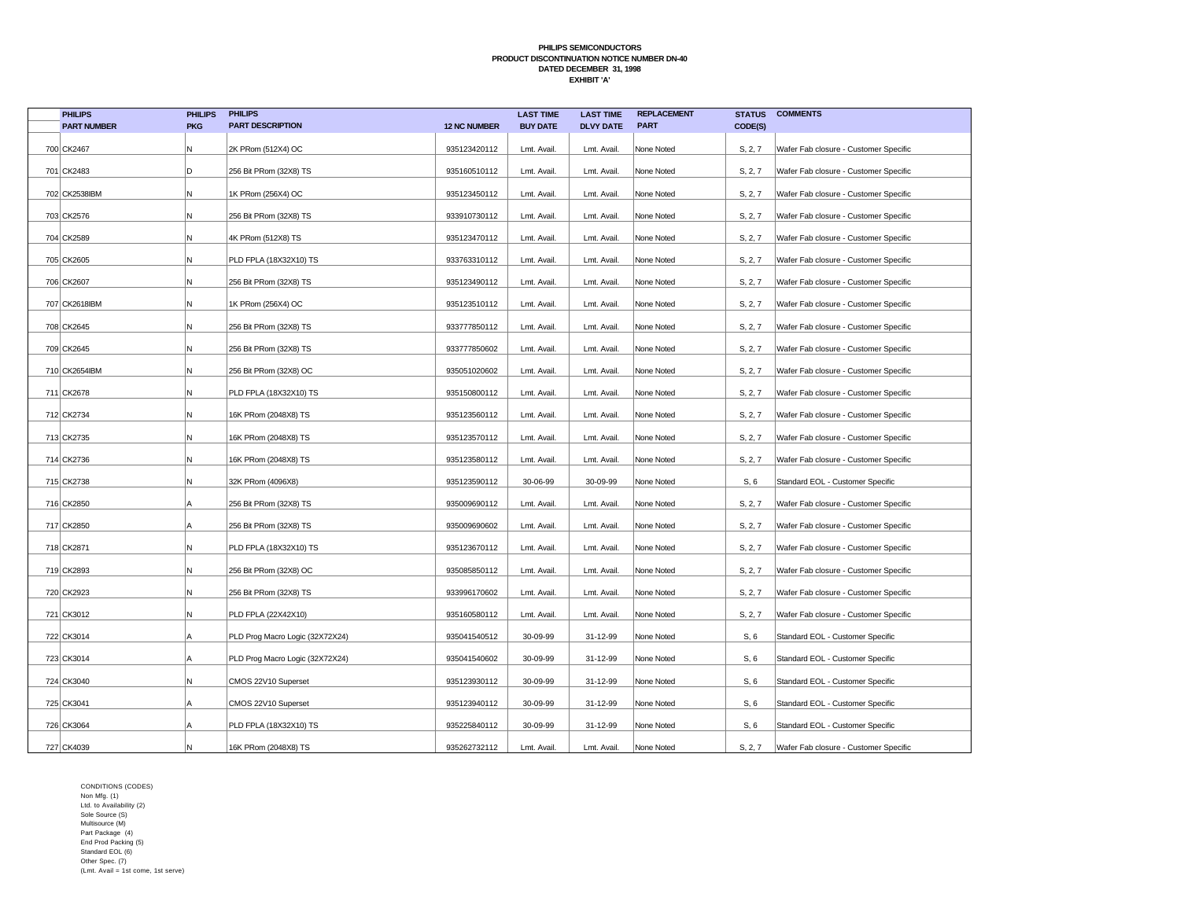| <b>PHILIPS</b>     | <b>PHILIPS</b> | <b>PHILIPS</b>                  |                     | <b>LAST TIME</b> | <b>LAST TIME</b> | <b>REPLACEMENT</b> | <b>STATUS</b> | <b>COMMENTS</b>                       |
|--------------------|----------------|---------------------------------|---------------------|------------------|------------------|--------------------|---------------|---------------------------------------|
| <b>PART NUMBER</b> | <b>PKG</b>     | <b>PART DESCRIPTION</b>         | <b>12 NC NUMBER</b> | <b>BUY DATE</b>  | <b>DLVY DATE</b> | <b>PART</b>        | CODE(S)       |                                       |
| 700 CK2467         | N              | 2K PRom (512X4) OC              | 935123420112        | Lmt. Avail.      | Lmt. Avail.      | None Noted         | S, 2, 7       | Wafer Fab closure - Customer Specific |
| 701 CK2483         | D              | 256 Bit PRom (32X8) TS          | 935160510112        | Lmt. Avail.      | Lmt. Avail.      | None Noted         | S, 2, 7       | Wafer Fab closure - Customer Specific |
| 702 CK2538IBM      | N              | 1K PRom (256X4) OC              | 935123450112        | Lmt. Avail.      | Lmt. Avail       | None Noted         | S, 2, 7       | Wafer Fab closure - Customer Specific |
| 703 CK2576         | N              | 256 Bit PRom (32X8) TS          | 933910730112        | Lmt. Avail.      | Lmt. Avail.      | None Noted         | S, 2, 7       | Wafer Fab closure - Customer Specific |
| 704 CK2589         | N              | 4K PRom (512X8) TS              | 935123470112        | Lmt. Avail.      | Lmt. Avail       | None Noted         | S, 2, 7       | Wafer Fab closure - Customer Specific |
| 705 CK2605         | N              | PLD FPLA (18X32X10) TS          | 933763310112        | Lmt. Avail.      | Lmt. Avail       | None Noted         | S, 2, 7       | Wafer Fab closure - Customer Specific |
| 706 CK2607         | N              | 256 Bit PRom (32X8) TS          | 935123490112        | Lmt. Avail.      | Lmt. Avail       | None Noted         | S, 2, 7       | Wafer Fab closure - Customer Specific |
| 707 CK2618IBM      | N              | 1K PRom (256X4) OC              | 935123510112        | Lmt. Avail.      | Lmt. Avail.      | None Noted         | S, 2, 7       | Wafer Fab closure - Customer Specific |
| 708 CK2645         | N              | 256 Bit PRom (32X8) TS          | 933777850112        | Lmt. Avail.      | Lmt. Avail.      | None Noted         | S, 2, 7       | Wafer Fab closure - Customer Specific |
| 709 CK2645         | N              | 256 Bit PRom (32X8) TS          | 933777850602        | Lmt. Avail.      | Lmt. Avail       | None Noted         | S, 2, 7       | Wafer Fab closure - Customer Specific |
| 710 CK2654IBM      | N              | 256 Bit PRom (32X8) OC          | 935051020602        | Lmt. Avail.      | Lmt. Avail.      | None Noted         | S, 2, 7       | Wafer Fab closure - Customer Specific |
| 711 CK2678         | N              | PLD FPLA (18X32X10) TS          | 935150800112        | Lmt. Avail.      | Lmt. Avail       | None Noted         | S, 2, 7       | Wafer Fab closure - Customer Specific |
| 712 CK2734         | N              | 16K PRom (2048X8) TS            | 935123560112        | Lmt. Avail.      | Lmt. Avail       | None Noted         | S, 2, 7       | Wafer Fab closure - Customer Specific |
| 713 CK2735         | N              | 16K PRom (2048X8) TS            | 935123570112        | Lmt. Avail.      | Lmt. Avail       | None Noted         | S, 2, 7       | Wafer Fab closure - Customer Specific |
| 714 CK2736         | N              | 16K PRom (2048X8) TS            | 935123580112        | Lmt. Avail.      | Lmt. Avail.      | None Noted         | S, 2, 7       | Wafer Fab closure - Customer Specific |
| 715 CK2738         | N              | 32K PRom (4096X8)               | 935123590112        | 30-06-99         | 30-09-99         | None Noted         | S, 6          | Standard EOL - Customer Specific      |
| 716 CK2850         | A              | 256 Bit PRom (32X8) TS          | 935009690112        | Lmt. Avail.      | Lmt. Avail       | None Noted         | S, 2, 7       | Wafer Fab closure - Customer Specific |
| 717 CK2850         | A              | 256 Bit PRom (32X8) TS          | 935009690602        | Lmt. Avail.      | Lmt. Avail.      | None Noted         | S, 2, 7       | Wafer Fab closure - Customer Specific |
| 718 CK2871         | N              | PLD FPLA (18X32X10) TS          | 935123670112        | Lmt. Avail.      | Lmt. Avail       | None Noted         | S, 2, 7       | Wafer Fab closure - Customer Specific |
| 719 CK2893         | N              | 256 Bit PRom (32X8) OC          | 935085850112        | Lmt. Avail.      | Lmt. Avail       | None Noted         | S, 2, 7       | Wafer Fab closure - Customer Specific |
| 720 CK2923         | N              | 256 Bit PRom (32X8) TS          | 933996170602        | Lmt. Avail.      | Lmt. Avail.      | None Noted         | S, 2, 7       | Wafer Fab closure - Customer Specific |
| 721 CK3012         | Ν              | PLD FPLA (22X42X10)             | 935160580112        | Lmt. Avail.      | Lmt. Avail.      | None Noted         | S, 2, 7       | Wafer Fab closure - Customer Specific |
| 722 CK3014         | A              | PLD Prog Macro Logic (32X72X24) | 935041540512        | 30-09-99         | 31-12-99         | None Noted         | S, 6          | Standard EOL - Customer Specific      |
| 723 CK3014         | ΙA             | PLD Prog Macro Logic (32X72X24) | 935041540602        | 30-09-99         | 31-12-99         | None Noted         | S, 6          | Standard EOL - Customer Specific      |
| 724 CK3040         | N              | CMOS 22V10 Superset             | 935123930112        | 30-09-99         | 31-12-99         | None Noted         | S, 6          | Standard EOL - Customer Specific      |
| 725 CK3041         | ΙA             | CMOS 22V10 Superset             | 935123940112        | 30-09-99         | 31-12-99         | None Noted         | S, 6          | Standard EOL - Customer Specific      |
| 726 CK3064         | Α              | PLD FPLA (18X32X10) TS          | 935225840112        | 30-09-99         | 31-12-99         | None Noted         | S, 6          | Standard EOL - Customer Specific      |
| 727 CK4039         | N              | 16K PRom (2048X8) TS            | 935262732112        | Lmt. Avail.      | Lmt. Avail.      | None Noted         | S, 2, 7       | Wafer Fab closure - Customer Specific |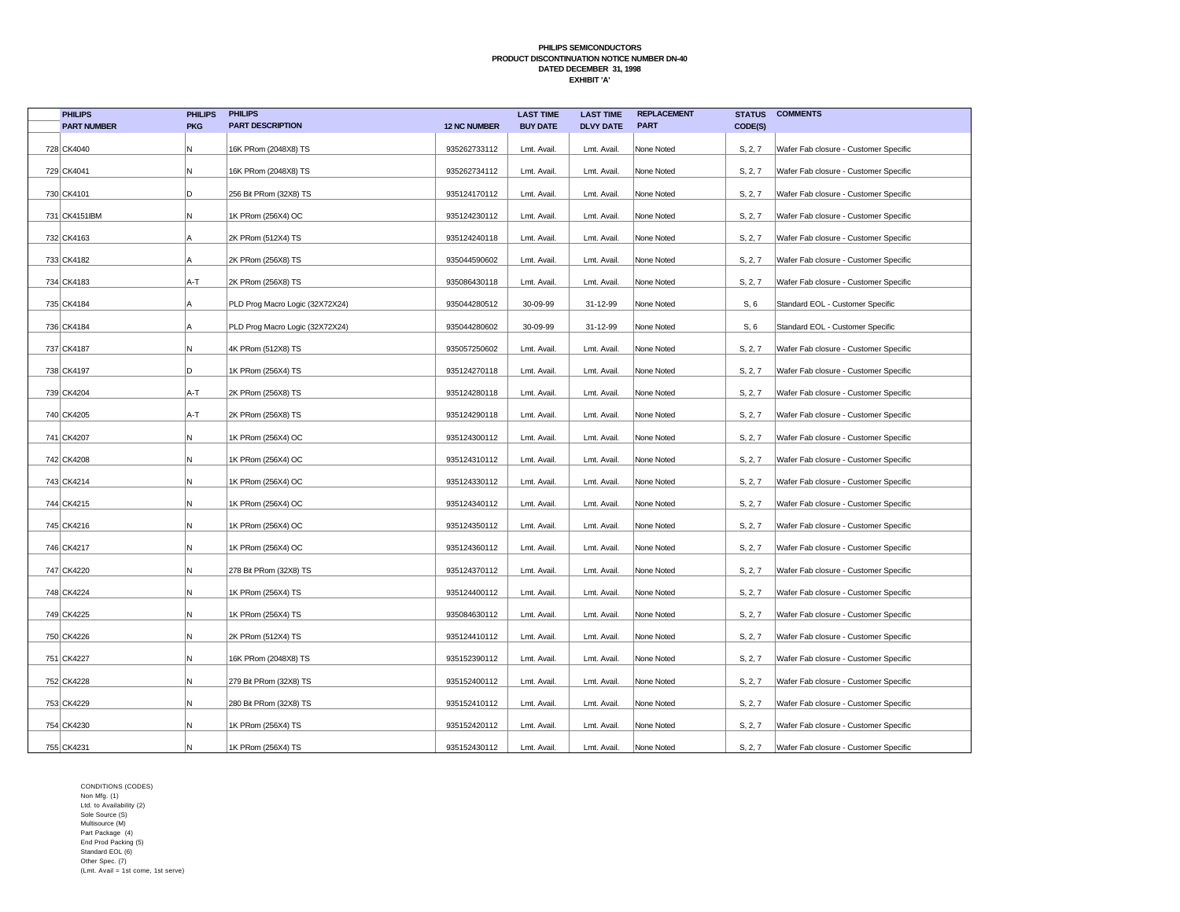| <b>PHILIPS</b>     | <b>PHILIPS</b> | <b>PHILIPS</b>                  |                     | <b>LAST TIME</b> | <b>LAST TIME</b> | <b>REPLACEMENT</b> | <b>STATUS</b> | <b>COMMENTS</b>                       |
|--------------------|----------------|---------------------------------|---------------------|------------------|------------------|--------------------|---------------|---------------------------------------|
| <b>PART NUMBER</b> | <b>PKG</b>     | <b>PART DESCRIPTION</b>         | <b>12 NC NUMBER</b> | <b>BUY DATE</b>  | <b>DLVY DATE</b> | <b>PART</b>        | CODE(S)       |                                       |
| 728 CK4040         | Ν              | 16K PRom (2048X8) TS            | 935262733112        | Lmt. Avail.      | Lmt. Avail.      | None Noted         | S, 2, 7       | Wafer Fab closure - Customer Specific |
| 729 CK4041         | N              | 16K PRom (2048X8) TS            | 935262734112        | Lmt. Avail.      | Lmt. Avail.      | None Noted         | S, 2, 7       | Wafer Fab closure - Customer Specific |
| 730 CK4101         | D              | 256 Bit PRom (32X8) TS          | 935124170112        | Lmt. Avail.      | Lmt. Avail.      | None Noted         | S, 2, 7       | Wafer Fab closure - Customer Specific |
| 731 CK4151IBM      | Ν              | 1K PRom (256X4) OC              | 935124230112        | Lmt. Avail.      | Lmt. Avail.      | None Noted         | S, 2, 7       | Wafer Fab closure - Customer Specific |
| 732 CK4163         | A              | 2K PRom (512X4) TS              | 935124240118        | Lmt. Avail.      | Lmt. Avail       | None Noted         | S, 2, 7       | Wafer Fab closure - Customer Specific |
| 733 CK4182         | А              | 2K PRom (256X8) TS              | 935044590602        | Lmt. Avail.      | Lmt. Avail.      | None Noted         | S, 2, 7       | Wafer Fab closure - Customer Specific |
| 734 CK4183         | A-T            | 2K PRom (256X8) TS              | 935086430118        | Lmt. Avail.      | Lmt. Avail       | None Noted         | S, 2, 7       | Wafer Fab closure - Customer Specific |
| 735 CK4184         | A              | PLD Prog Macro Logic (32X72X24) | 935044280512        | 30-09-99         | 31-12-99         | None Noted         | S, 6          | Standard EOL - Customer Specific      |
| 736 CK4184         | А              | PLD Prog Macro Logic (32X72X24) | 935044280602        | 30-09-99         | 31-12-99         | None Noted         | S, 6          | Standard EOL - Customer Specific      |
| 737 CK4187         | Ν              | 4K PRom (512X8) TS              | 935057250602        | Lmt. Avail.      | Lmt. Avail       | None Noted         | S, 2, 7       | Wafer Fab closure - Customer Specific |
| 738 CK4197         | D              | 1K PRom (256X4) TS              | 935124270118        | Lmt. Avail.      | Lmt. Avail.      | None Noted         | S, 2, 7       | Wafer Fab closure - Customer Specific |
| 739 CK4204         | A-T            | 2K PRom (256X8) TS              | 935124280118        | Lmt. Avail.      | Lmt. Avail.      | None Noted         | S, 2, 7       | Wafer Fab closure - Customer Specific |
| 740 CK4205         | A-T            | 2K PRom (256X8) TS              | 935124290118        | Lmt. Avail.      | Lmt. Avail.      | None Noted         | S, 2, 7       | Wafer Fab closure - Customer Specific |
| 741 CK4207         | Ν              | 1K PRom (256X4) OC              | 935124300112        | Lmt. Avail.      | Lmt. Avail.      | None Noted         | S, 2, 7       | Wafer Fab closure - Customer Specific |
| 742 CK4208         | Ν              | 1K PRom (256X4) OC              | 935124310112        | Lmt. Avail.      | Lmt. Avail.      | None Noted         | S, 2, 7       | Wafer Fab closure - Customer Specific |
| 743 CK4214         | Ν              | 1K PRom (256X4) OC              | 935124330112        | Lmt. Avail.      | Lmt. Avail       | None Noted         | S, 2, 7       | Wafer Fab closure - Customer Specific |
| 744 CK4215         | И              | 1K PRom (256X4) OC              | 935124340112        | Lmt. Avail.      | Lmt. Avail.      | None Noted         | S, 2, 7       | Wafer Fab closure - Customer Specific |
| 745 CK4216         | Ν              | 1K PRom (256X4) OC              | 935124350112        | Lmt. Avail.      | Lmt. Avail.      | None Noted         | S, 2, 7       | Wafer Fab closure - Customer Specific |
| 746 CK4217         | Ν              | 1K PRom (256X4) OC              | 935124360112        | Lmt. Avail.      | Lmt. Avail.      | None Noted         | S, 2, 7       | Wafer Fab closure - Customer Specific |
| 747 CK4220         | Ν              | 278 Bit PRom (32X8) TS          | 935124370112        | Lmt. Avail.      | Lmt. Avail.      | None Noted         | S, 2, 7       | Wafer Fab closure - Customer Specific |
| 748 CK4224         | N              | 1K PRom (256X4) TS              | 935124400112        | Lmt. Avail.      | Lmt. Avail.      | None Noted         | S, 2, 7       | Wafer Fab closure - Customer Specific |
| 749 CK4225         | Ν              | 1K PRom (256X4) TS              | 935084630112        | Lmt. Avail.      | Lmt. Avail.      | None Noted         | S, 2, 7       | Wafer Fab closure - Customer Specific |
| 750 CK4226         | Ν              | 2K PRom (512X4) TS              | 935124410112        | Lmt. Avail.      | Lmt. Avail.      | None Noted         | S, 2, 7       | Wafer Fab closure - Customer Specific |
| 751 CK4227         | Ν              | 16K PRom (2048X8) TS            | 935152390112        | Lmt. Avail.      | Lmt. Avail.      | None Noted         | S, 2, 7       | Wafer Fab closure - Customer Specific |
| 752 CK4228         | Ν              | 279 Bit PRom (32X8) TS          | 935152400112        | Lmt. Avail.      | Lmt. Avail.      | None Noted         | S, 2, 7       | Wafer Fab closure - Customer Specific |
| 753 CK4229         | N              | 280 Bit PRom (32X8) TS          | 935152410112        | Lmt. Avail.      | Lmt. Avail.      | None Noted         | S, 2, 7       | Wafer Fab closure - Customer Specific |
| 754 CK4230         | N              | 1K PRom (256X4) TS              | 935152420112        | Lmt. Avail.      | Lmt. Avail       | None Noted         | S, 2, 7       | Wafer Fab closure - Customer Specific |
| 755 CK4231         |                | 1K PRom (256X4) TS              | 935152430112        | Lmt. Avail.      | Lmt. Avail.      | None Noted         | S, 2, 7       | Wafer Fab closure - Customer Specific |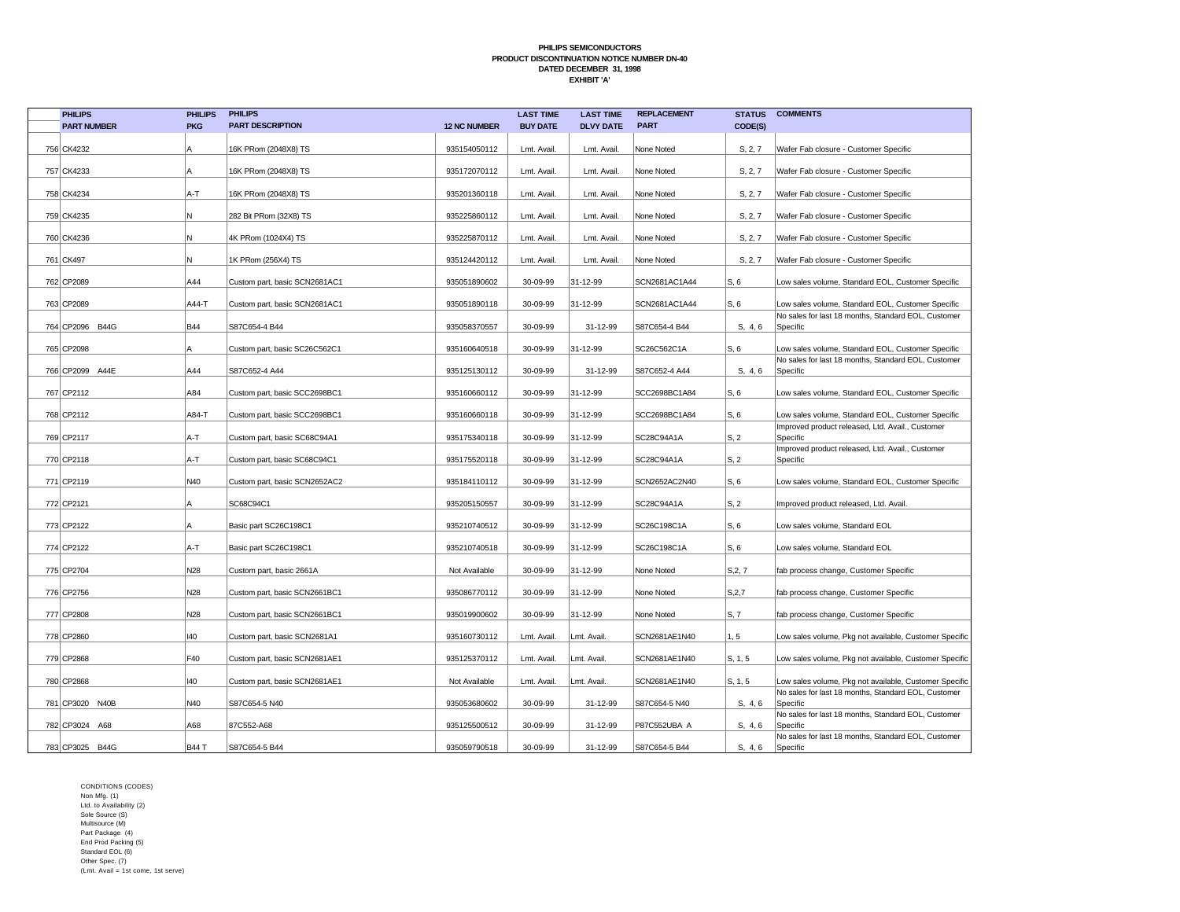| <b>PHILIPS</b>     | <b>PHILIPS</b> | <b>PHILIPS</b>                |                     | <b>LAST TIME</b> | <b>LAST TIME</b> | <b>REPLACEMENT</b> | <b>STATUS</b>   | <b>COMMENTS</b>                                                 |
|--------------------|----------------|-------------------------------|---------------------|------------------|------------------|--------------------|-----------------|-----------------------------------------------------------------|
| <b>PART NUMBER</b> | <b>PKG</b>     | <b>PART DESCRIPTION</b>       | <b>12 NC NUMBER</b> | <b>BUY DATE</b>  | <b>DLVY DATE</b> | <b>PART</b>        | CODE(S)         |                                                                 |
| 756 CK4232         | А              | 16K PRom (2048X8) TS          | 935154050112        | Lmt. Avail.      | Lmt. Avail.      | None Noted         | S, 2, 7         | Wafer Fab closure - Customer Specific                           |
| 757 CK4233         | A              | 16K PRom (2048X8) TS          | 935172070112        | Lmt. Avail.      | Lmt. Avail.      | None Noted         | S, 2, 7         | Wafer Fab closure - Customer Specific                           |
| 758 CK4234         | A-T            | 16K PRom (2048X8) TS          | 935201360118        | Lmt. Avail.      | Lmt. Avail       | None Noted         | S, 2, 7         | Wafer Fab closure - Customer Specific                           |
| 759 CK4235         | N              | 282 Bit PRom (32X8) TS        | 935225860112        | Lmt. Avail.      | Lmt. Avail.      | None Noted         | S, 2, 7         | Wafer Fab closure - Customer Specific                           |
| 760 CK4236         | N              | 4K PRom (1024X4) TS           | 935225870112        | Lmt. Avail.      | Lmt. Avail       | None Noted         | S, 2, 7         | Wafer Fab closure - Customer Specific                           |
| 761 CK497          | N              | 1K PRom (256X4) TS            | 935124420112        | Lmt. Avail.      | Lmt. Avail       | None Noted         | S, 2, 7         | Wafer Fab closure - Customer Specific                           |
| 762 CP2089         | A44            | Custom part, basic SCN2681AC1 | 935051890602        | 30-09-99         | 31-12-99         | SCN2681AC1A44      | S, 6            | Low sales volume, Standard EOL, Customer Specific               |
| 763 CP2089         | A44-T          | Custom part, basic SCN2681AC1 | 935051890118        | 30-09-99         | 31-12-99         | SCN2681AC1A44      | S, 6            | Low sales volume, Standard EOL, Customer Specific               |
| 764 CP2096 B44G    | <b>B44</b>     | S87C654-4 B44                 | 935058370557        | 30-09-99         | 31-12-99         | S87C654-4 B44      | S, 4, 6         | No sales for last 18 months, Standard EOL, Customer<br>Specific |
|                    |                |                               |                     |                  |                  |                    |                 |                                                                 |
| 765 CP2098         | A              | Custom part, basic SC26C562C1 | 935160640518        | 30-09-99         | 31-12-99         | SC26C562C1A        | S, 6            | Low sales volume, Standard EOL, Customer Specific               |
| 766 CP2099 A44E    | A44            | S87C652-4 A44                 | 935125130112        | 30-09-99         | 31-12-99         | S87C652-4 A44      | S, 4, 6         | No sales for last 18 months, Standard EOL, Customer<br>Specific |
| 767 CP2112         | A84            | Custom part, basic SCC2698BC1 | 935160660112        | 30-09-99         | 31-12-99         | SCC2698BC1A84      | S, 6            | Low sales volume, Standard EOL, Customer Specific               |
| 768 CP2112         | A84-T          | Custom part, basic SCC2698BC1 | 935160660118        | 30-09-99         | 31-12-99         | SCC2698BC1A84      | S, 6            | Low sales volume, Standard EOL, Customer Specific               |
| 769 CP2117         | A-T            | Custom part, basic SC68C94A1  | 935175340118        | 30-09-99         | 31-12-99         | SC28C94A1A         | S, 2            | Improved product released, Ltd. Avail., Customer<br>Specific    |
| 770 CP2118         | A-T            | Custom part, basic SC68C94C1  | 935175520118        | 30-09-99         | 31-12-99         | SC28C94A1A         | S, 2            | Improved product released, Ltd. Avail., Customer<br>Specific    |
| 771 CP2119         | N40            | Custom part, basic SCN2652AC2 | 935184110112        | 30-09-99         | 31-12-99         | SCN2652AC2N40      | S, 6            | Low sales volume, Standard EOL, Customer Specific               |
| 772 CP2121         | А              | SC68C94C1                     | 935205150557        | 30-09-99         | 31-12-99         | SC28C94A1A         | $\mathsf{S}, 2$ | Improved product released, Ltd. Avail.                          |
| 773 CP2122         | A              | Basic part SC26C198C1         | 935210740512        | 30-09-99         | 31-12-99         | SC26C198C1A        | S, 6            | Low sales volume, Standard EOL                                  |
| 774 CP2122         | A-T            | Basic part SC26C198C1         | 935210740518        | 30-09-99         | 31-12-99         | SC26C198C1A        | S, 6            | Low sales volume, Standard EOL                                  |
| 775 CP2704         | N28            | Custom part, basic 2661A      | Not Available       | 30-09-99         | 31-12-99         | None Noted         | S, 2, 7         | fab process change, Customer Specific                           |
| 776 CP2756         | N28            | Custom part, basic SCN2661BC1 | 935086770112        | 30-09-99         | 31-12-99         | None Noted         | S, 2, 7         | fab process change, Customer Specific                           |
| 777 CP2808         | N28            | Custom part, basic SCN2661BC1 | 935019900602        | 30-09-99         | 31-12-99         | None Noted         | S, 7            | fab process change, Customer Specific                           |
| 778 CP2860         | 140            | Custom part, basic SCN2681A1  | 935160730112        | Lmt. Avail       | Lmt. Avail       | SCN2681AE1N40      | 1, 5            | Low sales volume, Pkg not available, Customer Specific          |
| 779 CP2868         | F40            | Custom part, basic SCN2681AE1 | 935125370112        | Lmt. Avail.      | Lmt. Avail.      | SCN2681AE1N40      | S, 1, 5         | Low sales volume, Pkg not available, Customer Specific          |
| 780 CP2868         | 140            | Custom part, basic SCN2681AE1 | Not Available       | Lmt. Avail.      | Lmt. Avail.      | SCN2681AE1N40      | S, 1, 5         | Low sales volume, Pkg not available, Customer Specific          |
| 781 CP3020 N40B    | N40            | S87C654-5 N40                 | 935053680602        | 30-09-99         | 31-12-99         | S87C654-5 N40      | S, 4, 6         | No sales for last 18 months, Standard EOL, Customer<br>Specific |
| 782 CP3024 A68     | A68            | 87C552-A68                    | 935125500512        | 30-09-99         | 31-12-99         | P87C552UBA A       | S, 4, 6         | No sales for last 18 months, Standard EOL, Customer<br>Specific |
| 783 CP3025 B44G    | <b>B44 T</b>   | S87C654-5 B44                 | 935059790518        | 30-09-99         | 31-12-99         | S87C654-5 B44      | S, 4, 6         | No sales for last 18 months, Standard EOL, Customer<br>Specific |
|                    |                |                               |                     |                  |                  |                    |                 |                                                                 |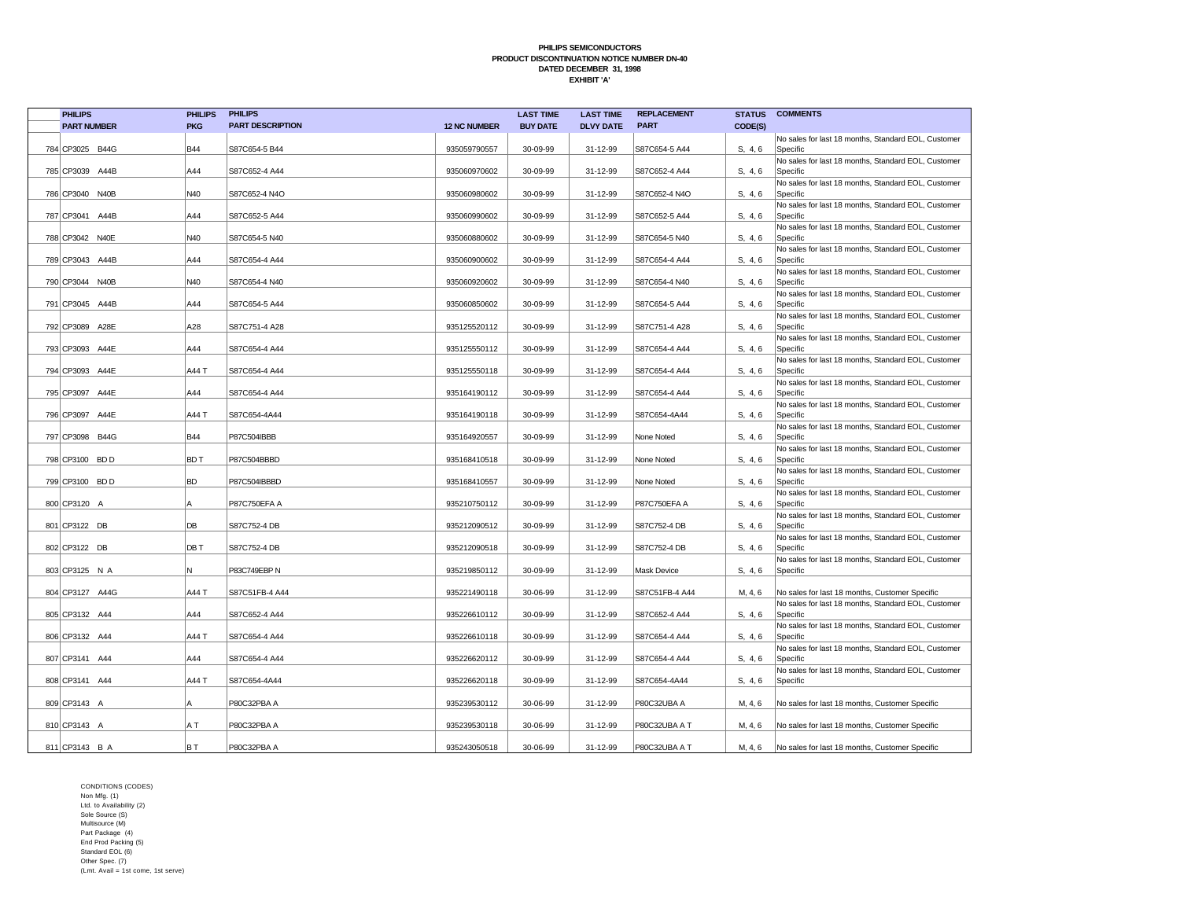| <b>PHILIPS</b>     | <b>PHILIPS</b> | <b>PHILIPS</b>          |                     | <b>LAST TIME</b> | <b>LAST TIME</b> | <b>REPLACEMENT</b>  | <b>STATUS</b> | <b>COMMENTS</b>                                                 |
|--------------------|----------------|-------------------------|---------------------|------------------|------------------|---------------------|---------------|-----------------------------------------------------------------|
| <b>PART NUMBER</b> | <b>PKG</b>     | <b>PART DESCRIPTION</b> | <b>12 NC NUMBER</b> | <b>BUY DATE</b>  | <b>DLVY DATE</b> | <b>PART</b>         | CODE(S)       |                                                                 |
|                    |                |                         |                     |                  |                  |                     |               | No sales for last 18 months, Standard EOL, Customer             |
| 784 CP3025 B44G    | <b>B44</b>     | S87C654-5 B44           | 935059790557        | 30-09-99         | 31-12-99         | S87C654-5 A44       | S. 4.6        | Specific                                                        |
|                    |                |                         |                     |                  |                  |                     |               | No sales for last 18 months, Standard EOL, Customer             |
| 785 CP3039 A44B    | A44            | S87C652-4 A44           | 935060970602        | 30-09-99         | 31-12-99         | S87C652-4 A44       | S, 4, 6       | Specific                                                        |
| 786 CP3040 N40B    | N40            | S87C652-4 N4O           | 935060980602        | 30-09-99         | 31-12-99         | S87C652-4 N4O       | S, 4, 6       | No sales for last 18 months, Standard EOL, Customer<br>Specific |
|                    |                |                         |                     |                  |                  |                     |               | No sales for last 18 months, Standard EOL, Customer             |
| 787 CP3041 A44B    | A44            | S87C652-5 A44           | 935060990602        | 30-09-99         | 31-12-99         | S87C652-5 A44       | S, 4, 6       | Specific                                                        |
|                    |                |                         |                     |                  |                  |                     |               | No sales for last 18 months, Standard EOL, Customer             |
| 788 CP3042 N40E    | N40            | S87C654-5 N40           | 935060880602        | 30-09-99         | 31-12-99         | S87C654-5 N40       | S, 4, 6       | Specific                                                        |
|                    |                |                         |                     |                  |                  |                     |               | No sales for last 18 months, Standard EOL, Customer             |
| 789 CP3043 A44B    | A44            | S87C654-4 A44           | 935060900602        | 30-09-99         | 31-12-99         | S87C654-4 A44       | S, 4, 6       | Specific                                                        |
|                    |                |                         |                     |                  |                  |                     |               | No sales for last 18 months, Standard EOL, Customer             |
| 790 CP3044 N40B    | N40            | S87C654-4 N40           | 935060920602        | 30-09-99         | 31-12-99         | S87C654-4 N40       | S, 4, 6       | Specific                                                        |
| 791 CP3045 A44B    | A44            | S87C654-5 A44           | 935060850602        | 30-09-99         | 31-12-99         | S87C654-5 A44       | S, 4, 6       | No sales for last 18 months, Standard EOL, Customer<br>Specific |
|                    |                |                         |                     |                  |                  |                     |               | No sales for last 18 months, Standard EOL, Customer             |
| 792 CP3089 A28E    | A28            | S87C751-4 A28           | 935125520112        | 30-09-99         | 31-12-99         | S87C751-4 A28       | S, 4, 6       | Specific                                                        |
|                    |                |                         |                     |                  |                  |                     |               | No sales for last 18 months, Standard EOL, Customer             |
| 793 CP3093 A44E    | A44            | S87C654-4 A44           | 935125550112        | 30-09-99         | 31-12-99         | S87C654-4 A44       | S. 4.6        | Specific                                                        |
|                    |                |                         |                     |                  |                  |                     |               | No sales for last 18 months, Standard EOL, Customer             |
| 794 CP3093 A44E    | A44 T          | S87C654-4 A44           | 935125550118        | 30-09-99         | 31-12-99         | S87C654-4 A44       | S, 4, 6       | Specific                                                        |
|                    |                |                         |                     |                  |                  |                     |               | No sales for last 18 months, Standard EOL, Customer             |
| 795   CP3097 A44E  | A44            | S87C654-4 A44           | 935164190112        | 30-09-99         | 31-12-99         | S87C654-4 A44       | S, 4, 6       | Specific                                                        |
|                    | A44 T          |                         |                     |                  |                  |                     |               | No sales for last 18 months, Standard EOL, Customer             |
| 796 CP3097 A44E    |                | S87C654-4A44            | 935164190118        | 30-09-99         | 31-12-99         | S87C654-4A44        | S. 4.6        | Specific<br>No sales for last 18 months, Standard EOL, Customer |
| 797 CP3098 B44G    | <b>B44</b>     | P87C504IBBB             | 935164920557        | 30-09-99         | 31-12-99         | None Noted          | S. 4.6        | Specific                                                        |
|                    |                |                         |                     |                  |                  |                     |               | No sales for last 18 months, Standard EOL, Customer             |
| 798 CP3100 BD D    | BD T           | P87C504BBBD             | 935168410518        | 30-09-99         | 31-12-99         | None Noted          | S, 4, 6       | Specific                                                        |
|                    |                |                         |                     |                  |                  |                     |               | No sales for last 18 months, Standard EOL, Customer             |
| 799 CP3100 BD D    | <b>BD</b>      | P87C504IBBBD            | 935168410557        | 30-09-99         | 31-12-99         | None Noted          | S, 4, 6       | Specific                                                        |
|                    |                |                         |                     |                  |                  |                     |               | No sales for last 18 months, Standard EOL, Customer             |
| 800 CP3120 A       | A              | P87C750EFA A            | 935210750112        | 30-09-99         | 31-12-99         | <b>P87C750EFA A</b> | S, 4, 6       | Specific                                                        |
|                    |                |                         |                     |                  |                  |                     |               | No sales for last 18 months, Standard EOL, Customer             |
| 801 CP3122 DB      | DB             | S87C752-4 DB            | 935212090512        | 30-09-99         | 31-12-99         | S87C752-4 DB        | S, 4, 6       | Specific<br>No sales for last 18 months, Standard EOL, Customer |
| 802 CP3122 DB      | DB T           | S87C752-4 DB            | 935212090518        | 30-09-99         | 31-12-99         | S87C752-4 DB        | S, 4, 6       | Specific                                                        |
|                    |                |                         |                     |                  |                  |                     |               | No sales for last 18 months, Standard EOL, Customer             |
| 803 CP3125 N A     | N              | P83C749EBP N            | 935219850112        | 30-09-99         | 31-12-99         | <b>Mask Device</b>  | S. 4.6        | Specific                                                        |
|                    |                |                         |                     |                  |                  |                     |               |                                                                 |
| 804 CP3127 A44G    | A44 T          | S87C51FB-4 A44          | 935221490118        | 30-06-99         | 31-12-99         | S87C51FB-4 A44      | M, 4, 6       | No sales for last 18 months, Customer Specific                  |
|                    |                |                         |                     |                  |                  |                     |               | No sales for last 18 months, Standard EOL, Customer             |
| 805 CP3132 A44     | A44            | S87C652-4 A44           | 935226610112        | 30-09-99         | 31-12-99         | S87C652-4 A44       | S, 4, 6       | Specific                                                        |
|                    |                |                         |                     |                  |                  |                     |               | No sales for last 18 months, Standard EOL, Customer             |
| 806 CP3132 A44     | A44 T          | S87C654-4 A44           | 935226610118        | 30-09-99         | 31-12-99         | S87C654-4 A44       | S, 4, 6       | Specific<br>No sales for last 18 months, Standard EOL, Customer |
| 807 CP3141 A44     | A44            | S87C654-4 A44           | 935226620112        | 30-09-99         | 31-12-99         | S87C654-4 A44       | S. 4.6        | Specific                                                        |
|                    |                |                         |                     |                  |                  |                     |               | No sales for last 18 months, Standard EOL, Customer             |
| 808 CP3141 A44     | A44 T          | S87C654-4A44            | 935226620118        | 30-09-99         | 31-12-99         | S87C654-4A44        | S, 4, 6       | Specific                                                        |
|                    |                |                         |                     |                  |                  |                     |               |                                                                 |
| 809 CP3143 A       | A              | P80C32PBA A             | 935239530112        | 30-06-99         | 31-12-99         | P80C32UBA A         | M, 4, 6       | No sales for last 18 months, Customer Specific                  |
|                    |                |                         |                     |                  |                  |                     |               |                                                                 |
| 810 CP3143 A       | ΑT             | P80C32PBA A             | 935239530118        | 30-06-99         | 31-12-99         | P80C32UBA A T       | M, 4, 6       | No sales for last 18 months, Customer Specific                  |
|                    |                |                         |                     |                  |                  |                     |               |                                                                 |
| 811 CP3143 B A     | ВT             | P80C32PBA A             | 935243050518        | 30-06-99         | 31-12-99         | P80C32UBA A T       | M, 4, 6       | No sales for last 18 months, Customer Specific                  |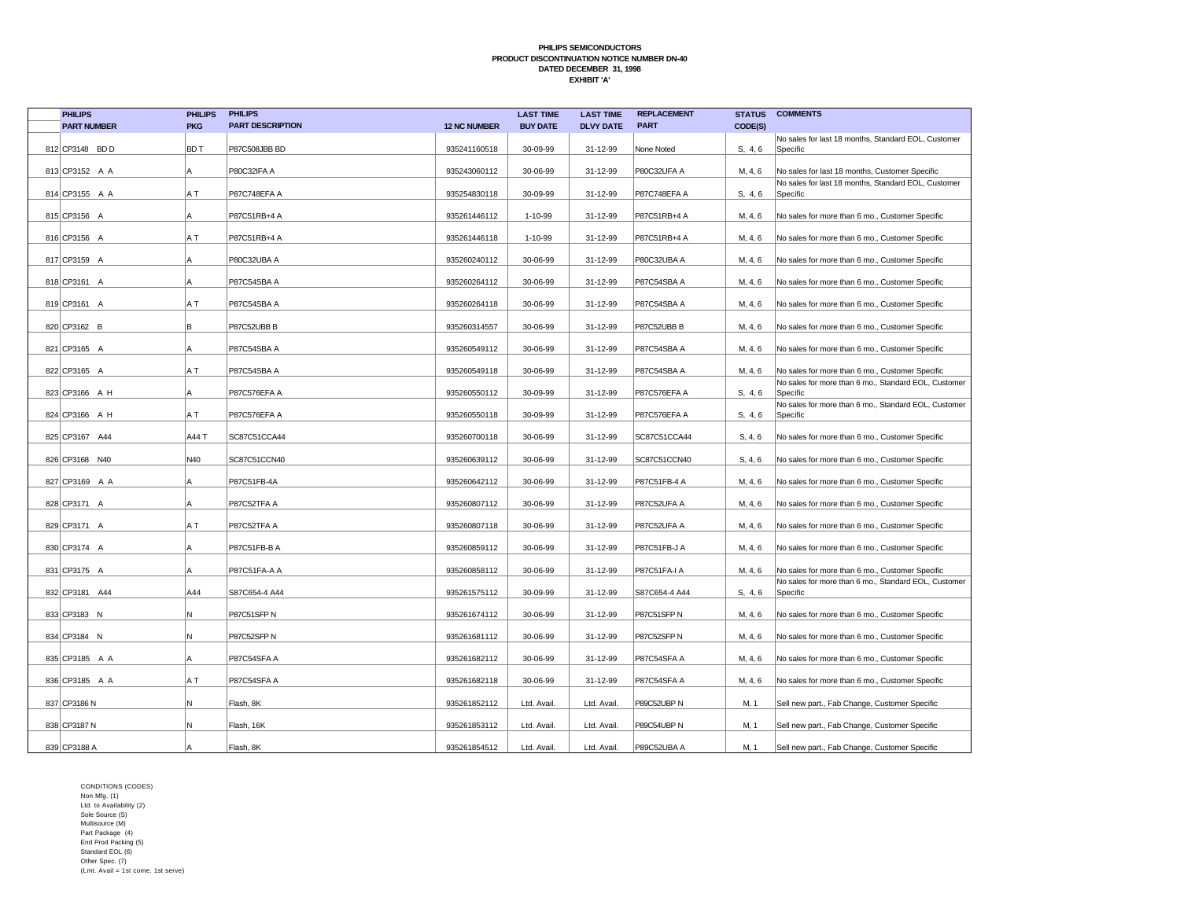| <b>PHILIPS</b>     | <b>PHILIPS</b> | <b>PHILIPS</b>          |                     | <b>LAST TIME</b> | <b>LAST TIME</b> | <b>REPLACEMENT</b> |         | <b>STATUS COMMENTS</b>                                                                                  |
|--------------------|----------------|-------------------------|---------------------|------------------|------------------|--------------------|---------|---------------------------------------------------------------------------------------------------------|
| <b>PART NUMBER</b> | <b>PKG</b>     | <b>PART DESCRIPTION</b> | <b>12 NC NUMBER</b> | <b>BUY DATE</b>  | <b>DLVY DATE</b> | <b>PART</b>        | CODE(S) |                                                                                                         |
| 812 CP3148 BDD     | BD T           | P87C508JBB BD           | 935241160518        | 30-09-99         | 31-12-99         | None Noted         | S, 4, 6 | No sales for last 18 months, Standard EOL, Customer<br>Specific                                         |
|                    |                |                         |                     |                  |                  |                    |         |                                                                                                         |
| 813 CP3152 A A     | Α              | P80C32IFA A             | 935243060112        | 30-06-99         | 31-12-99         | P80C32UFA A        | M, 4, 6 | No sales for last 18 months, Customer Specific                                                          |
| 814 CP3155 A A     | A T            | P87C748EFA A            | 935254830118        | 30-09-99         | 31-12-99         | P87C748EFA A       | S, 4, 6 | No sales for last 18 months, Standard EOL, Customer<br>Specific                                         |
|                    |                |                         |                     |                  |                  |                    |         |                                                                                                         |
| 815 CP3156 A       | Α              | P87C51RB+4 A            | 935261446112        | 1-10-99          | 31-12-99         | P87C51RB+4 A       | M, 4, 6 | No sales for more than 6 mo., Customer Specific                                                         |
| 816 CP3156 A       | ΑT             | P87C51RB+4 A            | 935261446118        | 1-10-99          | 31-12-99         | P87C51RB+4 A       | M, 4, 6 | No sales for more than 6 mo., Customer Specific                                                         |
|                    |                |                         |                     |                  |                  |                    |         |                                                                                                         |
| 817 CP3159 A       | Α              | P80C32UBA A             | 935260240112        | 30-06-99         | 31-12-99         | P80C32UBA A        | M, 4, 6 | No sales for more than 6 mo., Customer Specific                                                         |
| 818 CP3161 A       | А              | P87C54SBA A             | 935260264112        | 30-06-99         | 31-12-99         | P87C54SBA A        | M, 4, 6 | No sales for more than 6 mo., Customer Specific                                                         |
| 819 CP3161 A       | ΑT             | P87C54SBA A             | 935260264118        | 30-06-99         | 31-12-99         | P87C54SBA A        | M, 4, 6 | No sales for more than 6 mo., Customer Specific                                                         |
|                    |                |                         |                     |                  |                  |                    |         |                                                                                                         |
| 820 CP3162 B       | В              | P87C52UBB B             | 935260314557        | 30-06-99         | 31-12-99         | P87C52UBB B        | M, 4, 6 | No sales for more than 6 mo., Customer Specific                                                         |
| 821 CP3165 A       | A              | P87C54SBA A             | 935260549112        | 30-06-99         | 31-12-99         | P87C54SBA A        | M, 4, 6 | No sales for more than 6 mo., Customer Specific                                                         |
|                    |                |                         |                     |                  |                  |                    |         |                                                                                                         |
| 822 CP3165 A       | ΑT             | P87C54SBA A             | 935260549118        | 30-06-99         | 31-12-99         | P87C54SBA A        | M, 4, 6 | No sales for more than 6 mo., Customer Specific<br>No sales for more than 6 mo., Standard EOL, Customer |
| 823 CP3166 A H     | A              | P87C576EFA A            | 935260550112        | 30-09-99         | 31-12-99         | P87C576EFA A       | S. 4.6  | Specific                                                                                                |
|                    |                |                         |                     |                  |                  |                    |         | No sales for more than 6 mo., Standard EOL, Customer                                                    |
| 824 CP3166 A H     | A T            | P87C576EFA A            | 935260550118        | 30-09-99         | 31-12-99         | P87C576EFA A       | S, 4, 6 | Specific                                                                                                |
| 825 CP3167 A44     | A44 T          | SC87C51CCA44            | 935260700118        | 30-06-99         | 31-12-99         | SC87C51CCA44       | S, 4, 6 | No sales for more than 6 mo., Customer Specific                                                         |
| 826 CP3168 N40     | N40            | SC87C51CCN40            | 935260639112        | 30-06-99         | 31-12-99         | SC87C51CCN40       | S, 4, 6 | No sales for more than 6 mo., Customer Specific                                                         |
|                    |                |                         |                     |                  |                  |                    |         |                                                                                                         |
| 827 CP3169 A A     | A              | P87C51FB-4A             | 935260642112        | 30-06-99         | 31-12-99         | P87C51FB-4 A       | M, 4, 6 | No sales for more than 6 mo., Customer Specific                                                         |
| 828 CP3171 A       | А              | P87C52TFA A             | 935260807112        | 30-06-99         | 31-12-99         | P87C52UFA A        | M, 4, 6 | No sales for more than 6 mo., Customer Specific                                                         |
|                    |                |                         |                     |                  |                  |                    |         |                                                                                                         |
| 829 CP3171 A       | A T            | P87C52TFA A             | 935260807118        | 30-06-99         | 31-12-99         | P87C52UFA A        | M, 4, 6 | No sales for more than 6 mo., Customer Specific                                                         |
| 830 CP3174 A       | А              | P87C51FB-B A            | 935260859112        | 30-06-99         | 31-12-99         | P87C51FB-J A       | M, 4, 6 | No sales for more than 6 mo., Customer Specific                                                         |
|                    |                |                         |                     |                  |                  |                    |         |                                                                                                         |
| 831 CP3175 A       | А              | P87C51FA-A A            | 935260858112        | 30-06-99         | 31-12-99         | P87C51FA-I A       | M, 4, 6 | No sales for more than 6 mo., Customer Specific<br>No sales for more than 6 mo., Standard EOL, Customer |
| 832 CP3181 A44     | A44            | S87C654-4 A44           | 935261575112        | 30-09-99         | 31-12-99         | S87C654-4 A44      | S. 4.6  | Specific                                                                                                |
|                    | N              |                         |                     |                  |                  |                    |         |                                                                                                         |
| 833 CP3183 N       |                | P87C51SFP N             | 935261674112        | 30-06-99         | 31-12-99         | P87C51SFP N        | M, 4, 6 | No sales for more than 6 mo., Customer Specific                                                         |
| 834 CP3184 N       | N              | P87C52SFP N             | 935261681112        | 30-06-99         | 31-12-99         | P87C52SFP N        | M, 4, 6 | No sales for more than 6 mo., Customer Specific                                                         |
| 835 CP3185 A A     | A              | P87C54SFA A             | 935261682112        | 30-06-99         | 31-12-99         | P87C54SFA A        | M, 4, 6 | No sales for more than 6 mo., Customer Specific                                                         |
|                    |                |                         |                     |                  |                  |                    |         |                                                                                                         |
| 836 CP3185 A A     | A T            | P87C54SFA A             | 935261682118        | 30-06-99         | 31-12-99         | P87C54SFA A        | M, 4, 6 | No sales for more than 6 mo., Customer Specific                                                         |
| 837 CP3186 N       | N              | Flash, 8K               | 935261852112        | Ltd. Avail.      | Ltd. Avail.      | P89C52UBP N        | M, 1    | Sell new part., Fab Change, Customer Specific                                                           |
|                    |                |                         |                     |                  |                  |                    |         |                                                                                                         |
| 838 CP3187 N       | N              | Flash, 16K              | 935261853112        | Ltd. Avail.      | Ltd. Avail.      | P89C54UBP N        | M, 1    | Sell new part., Fab Change, Customer Specific                                                           |
| 839 CP3188 A       |                | Flash, 8K               | 935261854512        | Ltd. Avail.      | Ltd. Avail.      | P89C52UBA A        | M, 1    | Sell new part., Fab Change, Customer Specific                                                           |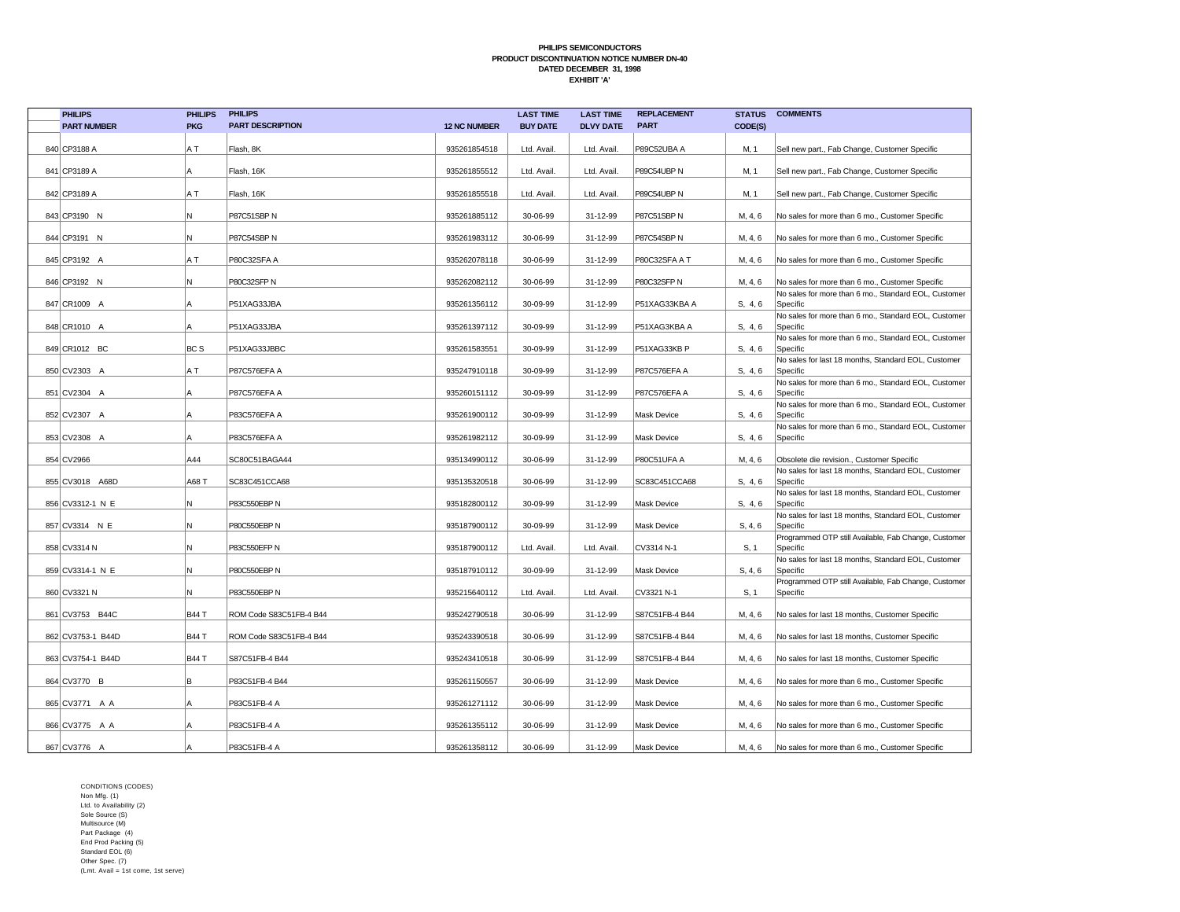| <b>PHILIPS</b>     | <b>PHILIPS</b>  | <b>PHILIPS</b>          |                     | <b>LAST TIME</b> | <b>LAST TIME</b> | <b>REPLACEMENT</b> | <b>STATUS</b> | <b>COMMENTS</b>                                                  |
|--------------------|-----------------|-------------------------|---------------------|------------------|------------------|--------------------|---------------|------------------------------------------------------------------|
| <b>PART NUMBER</b> | <b>PKG</b>      | <b>PART DESCRIPTION</b> | <b>12 NC NUMBER</b> | <b>BUY DATE</b>  | <b>DLVY DATE</b> | <b>PART</b>        | CODE(S)       |                                                                  |
| 840 CP3188 A       | ΑT              | Flash, 8K               | 935261854518        | Ltd. Avail.      | Ltd. Avail.      | P89C52UBA A        | M, 1          | Sell new part., Fab Change, Customer Specific                    |
| 841 CP3189 A       | l A             | Flash, 16K              | 935261855512        | Ltd. Avail.      | Ltd. Avail.      | P89C54UBP N        | M, 1          | Sell new part., Fab Change, Customer Specific                    |
| 842 CP3189 A       | ΑT              | Flash, 16K              | 935261855518        | Ltd. Avail.      | Ltd. Avail.      | P89C54UBP N        | M, 1          | Sell new part., Fab Change, Customer Specific                    |
| 843 CP3190 N       | N.              | P87C51SBP N             | 935261885112        | 30-06-99         | 31-12-99         | P87C51SBP N        | M, 4, 6       | No sales for more than 6 mo., Customer Specific                  |
| 844 CP3191 N       | N               | P87C54SBP N             | 935261983112        | 30-06-99         | 31-12-99         | P87C54SBP N        | M, 4, 6       | No sales for more than 6 mo., Customer Specific                  |
| 845 CP3192 A       | A T             | P80C32SFA A             | 935262078118        | 30-06-99         | 31-12-99         | P80C32SFA AT       | M, 4, 6       | No sales for more than 6 mo., Customer Specific                  |
| 846 CP3192 N       | N               | P80C32SFP N             | 935262082112        | 30-06-99         | 31-12-99         | P80C32SFP N        | M, 4, 6       | No sales for more than 6 mo., Customer Specific                  |
| 847 CR1009 A       | А               | P51XAG33JBA             | 935261356112        | 30-09-99         | 31-12-99         | P51XAG33KBA A      | S, 4, 6       | No sales for more than 6 mo., Standard EOL, Customer<br>Specific |
| 848 CR1010 A       | А               | P51XAG33JBA             | 935261397112        | 30-09-99         | 31-12-99         | P51XAG3KBA A       | S, 4, 6       | No sales for more than 6 mo., Standard EOL, Customer<br>Specific |
| 849 CR1012 BC      | BC <sub>S</sub> | P51XAG33JBBC            | 935261583551        | 30-09-99         | 31-12-99         | P51XAG33KB P       | S, 4, 6       | No sales for more than 6 mo., Standard EOL, Customer<br>Specific |
| 850 CV2303 A       | A T             | P87C576EFA A            | 935247910118        | 30-09-99         | 31-12-99         | P87C576EFA A       | S, 4, 6       | No sales for last 18 months, Standard EOL, Customer<br>Specific  |
| 851 CV2304 A       | l A             | P87C576EFA A            | 935260151112        | 30-09-99         | 31-12-99         | P87C576EFA A       | S, 4, 6       | No sales for more than 6 mo., Standard EOL, Customer<br>Specific |
| 852 CV2307 A       | l A             | P83C576EFA A            | 935261900112        | 30-09-99         | 31-12-99         | Mask Device        | S, 4, 6       | No sales for more than 6 mo., Standard EOL, Customer<br>Specific |
| 853 CV2308 A       | A               | P83C576EFA A            | 935261982112        | 30-09-99         | 31-12-99         | Mask Device        | S, 4, 6       | No sales for more than 6 mo., Standard EOL, Customer<br>Specific |
| 854 CV2966         | A44             | SC80C51BAGA44           | 935134990112        | 30-06-99         | 31-12-99         | P80C51UFA A        | M, 4, 6       | Obsolete die revision., Customer Specific                        |
| 855 CV3018 A68D    | A68 T           | SC83C451CCA68           | 935135320518        | 30-06-99         | 31-12-99         | SC83C451CCA68      | S, 4, 6       | No sales for last 18 months, Standard EOL, Customer<br>Specific  |
| 856 CV3312-1 N E   | N               | P83C550EBP N            | 935182800112        | 30-09-99         | 31-12-99         | <b>Mask Device</b> | S, 4, 6       | No sales for last 18 months, Standard EOL, Customer<br>Specific  |
| 857 CV3314 N E     | N               | P80C550EBP N            | 935187900112        | 30-09-99         | 31-12-99         | <b>Mask Device</b> | S, 4, 6       | No sales for last 18 months, Standard EOL, Customer<br>Specific  |
| 858 CV3314 N       | N               | P83C550EFP N            | 935187900112        | Ltd. Avail.      | Ltd. Avail       | CV3314 N-1         | S, 1          | Programmed OTP still Available, Fab Change, Customer<br>Specific |
| 859 CV3314-1 N E   | N               | P80C550EBP N            | 935187910112        | 30-09-99         | 31-12-99         | Mask Device        | S, 4, 6       | No sales for last 18 months, Standard EOL, Customer<br>Specific  |
| 860 CV3321 N       | N               | P83C550EBP N            | 935215640112        | Ltd. Avail.      | Ltd. Avail.      | CV3321 N-1         | S, 1          | Programmed OTP still Available, Fab Change, Customer<br>Specific |
| 861 CV3753 B44C    | <b>B44 T</b>    | ROM Code S83C51FB-4 B44 | 935242790518        | 30-06-99         | 31-12-99         | S87C51FB-4 B44     | M, 4, 6       | No sales for last 18 months, Customer Specific                   |
| 862 CV3753-1 B44D  | <b>B44 T</b>    | ROM Code S83C51FB-4 B44 | 935243390518        | 30-06-99         | 31-12-99         | S87C51FB-4 B44     | M, 4, 6       | No sales for last 18 months, Customer Specific                   |
| 863 CV3754-1 B44D  | <b>B44 T</b>    | S87C51FB-4 B44          | 935243410518        | 30-06-99         | 31-12-99         | S87C51FB-4 B44     | M, 4, 6       | No sales for last 18 months, Customer Specific                   |
| 864 CV3770 B       | в               | P83C51FB-4 B44          | 935261150557        | 30-06-99         | 31-12-99         | Mask Device        | M, 4, 6       | No sales for more than 6 mo., Customer Specific                  |
| 865 CV3771 A A     | A               | P83C51FB-4 A            | 935261271112        | 30-06-99         | 31-12-99         | Mask Device        | M, 4, 6       | No sales for more than 6 mo., Customer Specific                  |
| 866 CV3775 A A     | l A             | P83C51FB-4 A            | 935261355112        | 30-06-99         | 31-12-99         | <b>Mask Device</b> | M, 4, 6       | No sales for more than 6 mo., Customer Specific                  |
| 867 CV3776 A       |                 | P83C51FB-4 A            | 935261358112        | 30-06-99         | 31-12-99         | Mask Device        | M, 4, 6       | No sales for more than 6 mo., Customer Specific                  |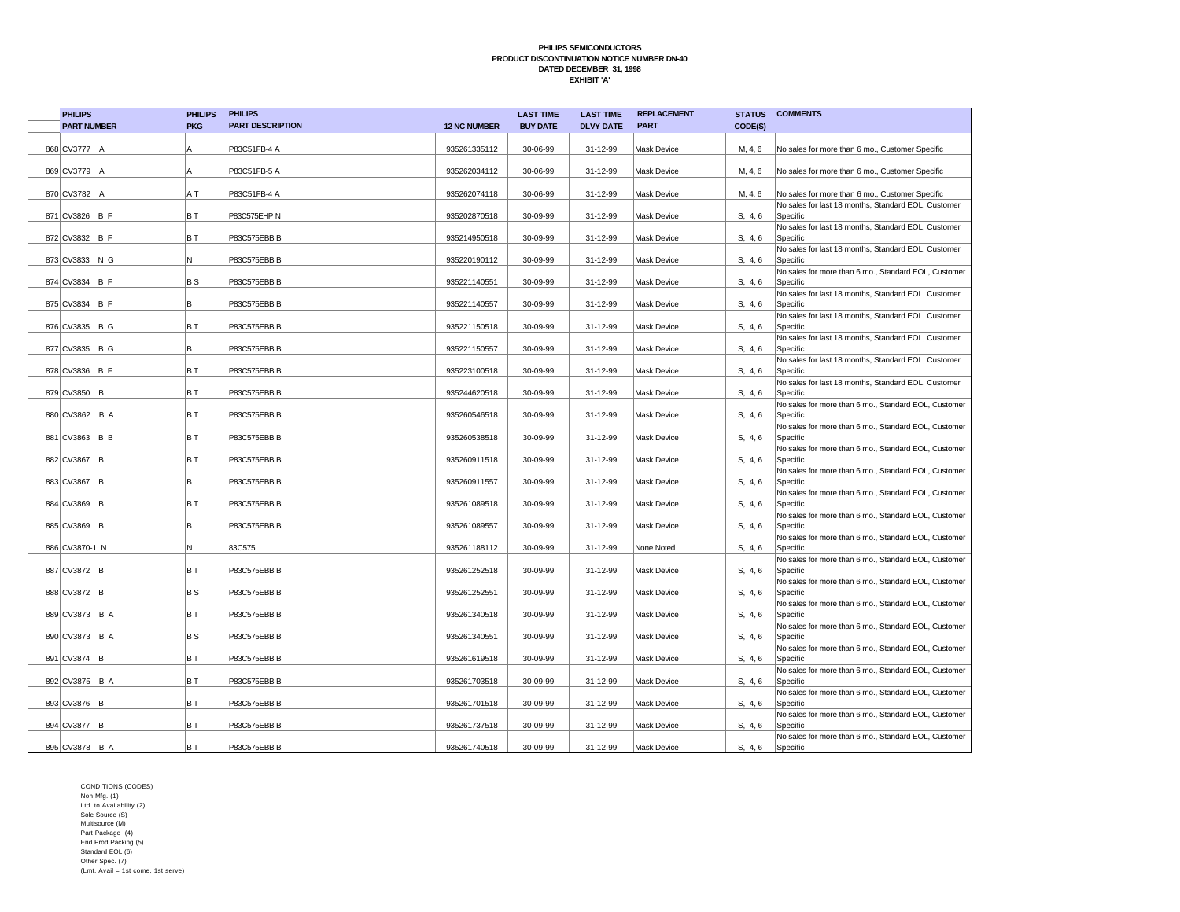| <b>PHILIPS</b>     | <b>PHILIPS</b> | <b>PHILIPS</b>          |                     | <b>LAST TIME</b> | <b>LAST TIME</b> | <b>REPLACEMENT</b> |         | <b>STATUS COMMENTS</b>                                           |
|--------------------|----------------|-------------------------|---------------------|------------------|------------------|--------------------|---------|------------------------------------------------------------------|
| <b>PART NUMBER</b> | <b>PKG</b>     | <b>PART DESCRIPTION</b> | <b>12 NC NUMBER</b> | <b>BUY DATE</b>  | <b>DLVY DATE</b> | <b>PART</b>        | CODE(S) |                                                                  |
|                    |                |                         |                     |                  |                  |                    |         |                                                                  |
| 868 CV3777 A       | A              | P83C51FB-4 A            | 935261335112        | 30-06-99         | 31-12-99         | <b>Mask Device</b> | M, 4, 6 | No sales for more than 6 mo., Customer Specific                  |
|                    |                |                         |                     |                  |                  |                    |         |                                                                  |
| 869 CV3779 A       | l A            | P83C51FB-5 A            | 935262034112        | 30-06-99         | 31-12-99         | Mask Device        | M, 4, 6 | No sales for more than 6 mo., Customer Specific                  |
| 870 CV3782 A       | A T            | P83C51FB-4 A            | 935262074118        | 30-06-99         | 31-12-99         | <b>Mask Device</b> | M, 4, 6 | No sales for more than 6 mo., Customer Specific                  |
|                    |                |                         |                     |                  |                  |                    |         | No sales for last 18 months, Standard EOL, Customer              |
| 871 CV3826 B F     | B T            | P83C575EHP N            | 935202870518        | 30-09-99         | 31-12-99         | Mask Device        | S, 4, 6 | Specific                                                         |
|                    |                |                         |                     |                  |                  |                    |         | No sales for last 18 months, Standard EOL, Customer              |
| 872 CV3832 B F     | B T            | P83C575EBB B            | 935214950518        | 30-09-99         | 31-12-99         | <b>Mask Device</b> | S, 4, 6 | Specific                                                         |
| 873 CV3833 N G     | N              | P83C575EBB B            | 935220190112        | 30-09-99         | 31-12-99         | <b>Mask Device</b> | S, 4, 6 | No sales for last 18 months, Standard EOL, Customer<br>Specific  |
|                    |                |                         |                     |                  |                  |                    |         | No sales for more than 6 mo., Standard EOL, Customer             |
| 874 CV3834 B F     | BS             | P83C575EBB B            | 935221140551        | 30-09-99         | 31-12-99         | Mask Device        | S, 4, 6 | Specific                                                         |
|                    |                |                         |                     |                  |                  |                    |         | No sales for last 18 months, Standard EOL, Customer              |
| 875 CV3834 B F     | B              | P83C575EBB B            | 935221140557        | 30-09-99         | 31-12-99         | Mask Device        | S, 4, 6 | Specific                                                         |
|                    |                |                         |                     |                  |                  |                    |         | No sales for last 18 months, Standard EOL, Customer              |
| 876 CV3835 B G     | BT             | P83C575EBB B            | 935221150518        | 30-09-99         | 31-12-99         | Mask Device        | S, 4, 6 | Specific<br>No sales for last 18 months, Standard EOL, Customer  |
| 877 CV3835 B G     | в              | P83C575EBB B            | 935221150557        | 30-09-99         | 31-12-99         | Mask Device        | S, 4, 6 | Specific                                                         |
|                    |                |                         |                     |                  |                  |                    |         | No sales for last 18 months, Standard EOL, Customer              |
| 878 CV3836 B F     | BT             | P83C575EBB B            | 935223100518        | 30-09-99         | 31-12-99         | Mask Device        | S, 4, 6 | Specific                                                         |
|                    |                |                         |                     |                  |                  |                    |         | No sales for last 18 months, Standard EOL, Customer              |
| 879 CV3850 B       | BT             | P83C575EBB B            | 935244620518        | 30-09-99         | 31-12-99         | <b>Mask Device</b> | S, 4, 6 | Specific                                                         |
|                    |                |                         |                     |                  |                  |                    |         | No sales for more than 6 mo., Standard EOL, Customer             |
| 880 CV3862 B A     | BT             | P83C575EBB B            | 935260546518        | 30-09-99         | 31-12-99         | Mask Device        | S, 4, 6 | Specific<br>No sales for more than 6 mo., Standard EOL, Customer |
| 881 CV3863 B B     | BT             | P83C575EBB B            | 935260538518        | 30-09-99         | 31-12-99         | <b>Mask Device</b> | S, 4, 6 | Specific                                                         |
|                    |                |                         |                     |                  |                  |                    |         | No sales for more than 6 mo., Standard EOL, Customer             |
| 882 CV3867 B       | BT             | P83C575EBB B            | 935260911518        | 30-09-99         | 31-12-99         | <b>Mask Device</b> | S, 4, 6 | Specific                                                         |
|                    |                |                         |                     |                  |                  |                    |         | No sales for more than 6 mo., Standard EOL, Customer             |
| 883 CV3867 B       | lB.            | P83C575EBB B            | 935260911557        | 30-09-99         | 31-12-99         | <b>Mask Device</b> | S, 4, 6 | Specific                                                         |
| 884 CV3869 B       | IB T           | P83C575EBB B            | 935261089518        | 30-09-99         | 31-12-99         | <b>Mask Device</b> | S, 4, 6 | No sales for more than 6 mo., Standard EOL, Customer<br>Specific |
|                    |                |                         |                     |                  |                  |                    |         | No sales for more than 6 mo., Standard EOL, Customer             |
| 885 CV3869 B       | l B            | P83C575EBB B            | 935261089557        | 30-09-99         | 31-12-99         | <b>Mask Device</b> | S, 4, 6 | Specific                                                         |
|                    |                |                         |                     |                  |                  |                    |         | No sales for more than 6 mo., Standard EOL, Customer             |
| 886 CV3870-1 N     | N              | 83C575                  | 935261188112        | 30-09-99         | 31-12-99         | None Noted         | S, 4, 6 | Specific                                                         |
|                    |                |                         |                     |                  |                  |                    |         | No sales for more than 6 mo., Standard EOL, Customer             |
| 887 CV3872 B       | BT             | P83C575EBB B            | 935261252518        | 30-09-99         | 31-12-99         | Mask Device        | S, 4, 6 | Specific<br>No sales for more than 6 mo., Standard EOL, Customer |
| 888 CV3872 B       | BS             | P83C575EBB B            | 935261252551        | 30-09-99         | 31-12-99         | Mask Device        | S, 4, 6 | Specific                                                         |
|                    |                |                         |                     |                  |                  |                    |         | No sales for more than 6 mo., Standard EOL, Customer             |
| 889 CV3873 B A     | BT             | P83C575EBB B            | 935261340518        | 30-09-99         | 31-12-99         | <b>Mask Device</b> | S, 4, 6 | Specific                                                         |
|                    |                |                         |                     |                  |                  |                    |         | No sales for more than 6 mo., Standard EOL, Customer             |
| 890 CV3873 B A     | BS             | P83C575EBB B            | 935261340551        | 30-09-99         | 31-12-99         | <b>Mask Device</b> | S, 4, 6 | Specific                                                         |
| 891 CV3874 B       | BT             | P83C575EBB B            | 935261619518        | 30-09-99         | 31-12-99         | Mask Device        | S, 4, 6 | No sales for more than 6 mo., Standard EOL, Customer<br>Specific |
|                    |                |                         |                     |                  |                  |                    |         | No sales for more than 6 mo., Standard EOL, Customer             |
| 892 CV3875 B A     | BT             | P83C575EBB B            | 935261703518        | 30-09-99         | 31-12-99         | <b>Mask Device</b> | S, 4, 6 | Specific                                                         |
|                    |                |                         |                     |                  |                  |                    |         | No sales for more than 6 mo., Standard EOL, Customer             |
| 893 CV3876 B       | BT             | P83C575EBB B            | 935261701518        | 30-09-99         | 31-12-99         | Mask Device        | S, 4, 6 | Specific                                                         |
|                    |                |                         |                     |                  |                  |                    |         | No sales for more than 6 mo., Standard EOL, Customer             |
| 894 CV3877 B       | B T            | P83C575EBB B            | 935261737518        | 30-09-99         | 31-12-99         | <b>Mask Device</b> | S, 4, 6 | Specific                                                         |
| 895 CV3878 B A     | BT             | P83C575EBB B            | 935261740518        | 30-09-99         | 31-12-99         | Mask Device        | S, 4, 6 | No sales for more than 6 mo., Standard EOL, Customer<br>Specific |
|                    |                |                         |                     |                  |                  |                    |         |                                                                  |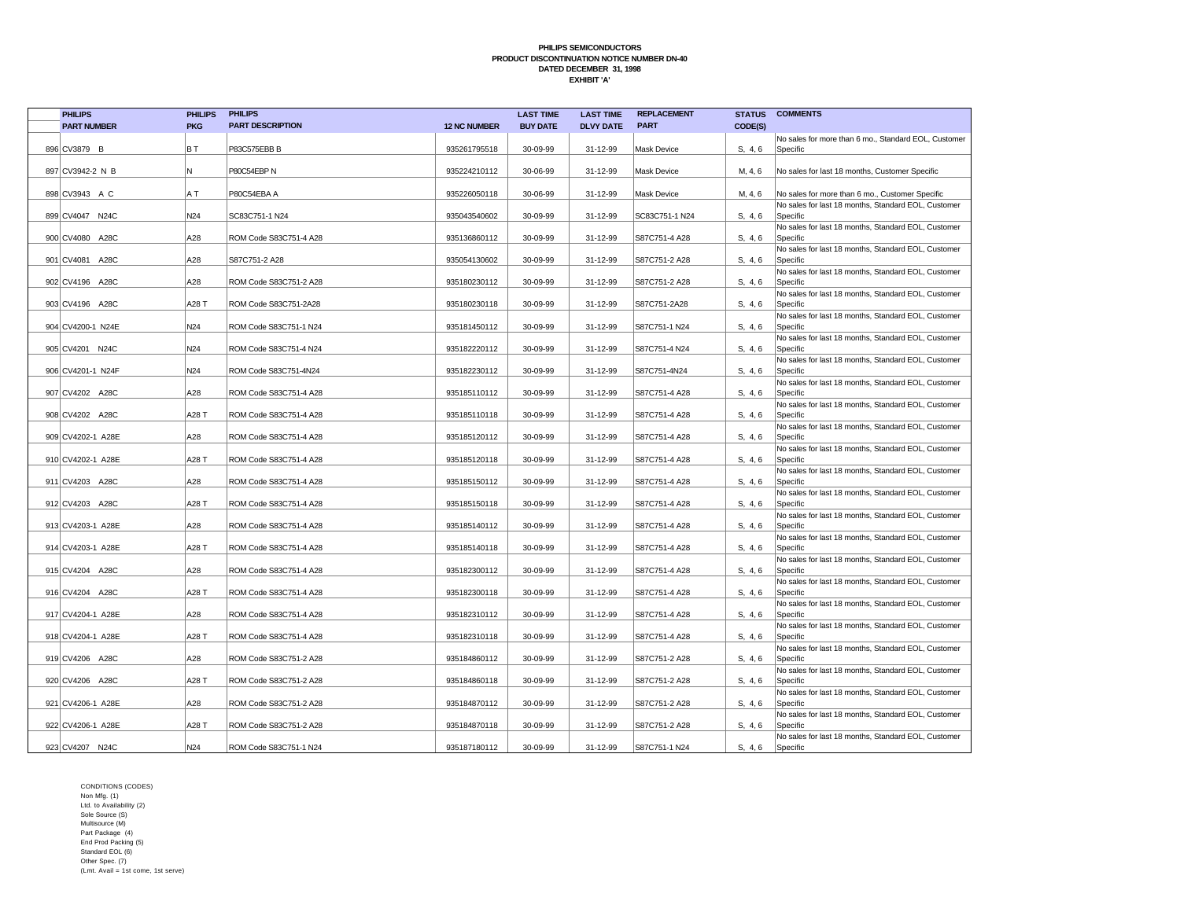| <b>PHILIPS</b>    |                    | <b>PHILIPS</b>  | <b>PHILIPS</b>          |                     | <b>LAST TIME</b> | <b>LAST TIME</b> | <b>REPLACEMENT</b> |         | <b>STATUS COMMENTS</b>                                                                                 |
|-------------------|--------------------|-----------------|-------------------------|---------------------|------------------|------------------|--------------------|---------|--------------------------------------------------------------------------------------------------------|
|                   | <b>PART NUMBER</b> | <b>PKG</b>      | <b>PART DESCRIPTION</b> | <b>12 NC NUMBER</b> | <b>BUY DATE</b>  | <b>DLVY DATE</b> | <b>PART</b>        | CODE(S) |                                                                                                        |
|                   |                    |                 |                         |                     |                  |                  |                    |         | No sales for more than 6 mo., Standard EOL, Customer                                                   |
| 896 CV3879 B      |                    | BT              | P83C575EBB B            | 935261795518        | 30-09-99         | 31-12-99         | <b>Mask Device</b> | S, 4, 6 | Specific                                                                                               |
|                   |                    |                 |                         |                     |                  |                  |                    |         |                                                                                                        |
| 897 CV3942-2 N B  |                    | N.              | P80C54EBP N             | 935224210112        | 30-06-99         | 31-12-99         | Mask Device        | M, 4, 6 | No sales for last 18 months, Customer Specific                                                         |
|                   |                    |                 |                         |                     |                  |                  |                    |         |                                                                                                        |
| 898 CV3943 A C    |                    | ΑT              | P80C54EBA A             | 935226050118        | 30-06-99         | 31-12-99         | Mask Device        | M, 4, 6 | No sales for more than 6 mo., Customer Specific<br>No sales for last 18 months, Standard EOL, Customer |
| 899 CV4047 N24C   |                    | N24             | SC83C751-1 N24          | 935043540602        | 30-09-99         | 31-12-99         | SC83C751-1 N24     | S, 4, 6 | Specific                                                                                               |
|                   |                    |                 |                         |                     |                  |                  |                    |         | No sales for last 18 months, Standard EOL, Customer                                                    |
| 900 CV4080 A28C   |                    | A28             | ROM Code S83C751-4 A28  | 935136860112        | 30-09-99         | 31-12-99         | S87C751-4 A28      | S, 4, 6 | Specific                                                                                               |
|                   |                    |                 |                         |                     |                  |                  |                    |         | No sales for last 18 months, Standard EOL, Customer                                                    |
| 901 CV4081 A28C   |                    | A28             | S87C751-2 A28           | 935054130602        | 30-09-99         | 31-12-99         | S87C751-2 A28      | S, 4, 6 | Specific                                                                                               |
|                   |                    |                 |                         |                     |                  |                  |                    |         | No sales for last 18 months, Standard EOL, Customer                                                    |
| 902 CV4196 A28C   |                    | A28             | ROM Code S83C751-2 A28  | 935180230112        | 30-09-99         | 31-12-99         | S87C751-2 A28      | S, 4, 6 | Specific                                                                                               |
| 903 CV4196 A28C   |                    | A28 T           | ROM Code S83C751-2A28   | 935180230118        | 30-09-99         | 31-12-99         | S87C751-2A28       | S, 4, 6 | No sales for last 18 months, Standard EOL, Customer<br>Specific                                        |
|                   |                    |                 |                         |                     |                  |                  |                    |         | No sales for last 18 months, Standard EOL, Customer                                                    |
| 904 CV4200-1 N24E |                    | N24             | ROM Code S83C751-1 N24  | 935181450112        | 30-09-99         | 31-12-99         | S87C751-1 N24      | S, 4, 6 | Specific                                                                                               |
|                   |                    |                 |                         |                     |                  |                  |                    |         | No sales for last 18 months, Standard EOL, Customer                                                    |
| 905 CV4201 N24C   |                    | N24             | ROM Code S83C751-4 N24  | 935182220112        | 30-09-99         | 31-12-99         | S87C751-4 N24      | S, 4, 6 | Specific                                                                                               |
|                   |                    |                 |                         |                     |                  |                  |                    |         | No sales for last 18 months, Standard EOL, Customer                                                    |
| 906 CV4201-1 N24F |                    | N24             | ROM Code S83C751-4N24   | 935182230112        | 30-09-99         | 31-12-99         | S87C751-4N24       | S, 4, 6 | Specific                                                                                               |
|                   |                    |                 |                         |                     |                  |                  |                    |         | No sales for last 18 months, Standard EOL, Customer                                                    |
| 907 CV4202 A28C   |                    | A28             | ROM Code S83C751-4 A28  | 935185110112        | 30-09-99         | 31-12-99         | S87C751-4 A28      | S, 4, 6 | Specific                                                                                               |
|                   |                    |                 |                         |                     |                  |                  |                    |         | No sales for last 18 months, Standard EOL, Customer                                                    |
| 908 CV4202 A28C   |                    | A28 T           | ROM Code S83C751-4 A28  | 935185110118        | 30-09-99         | 31-12-99         | S87C751-4 A28      | S, 4, 6 | Specific<br>No sales for last 18 months, Standard EOL, Customer                                        |
| 909 CV4202-1 A28E |                    | A28             | ROM Code S83C751-4 A28  | 935185120112        | 30-09-99         | 31-12-99         | S87C751-4 A28      | S, 4, 6 | Specific                                                                                               |
|                   |                    |                 |                         |                     |                  |                  |                    |         | No sales for last 18 months, Standard EOL, Customer                                                    |
| 910 CV4202-1 A28E |                    | A28 T           | ROM Code S83C751-4 A28  | 935185120118        | 30-09-99         | 31-12-99         | S87C751-4 A28      | S, 4, 6 | Specific                                                                                               |
|                   |                    |                 |                         |                     |                  |                  |                    |         | No sales for last 18 months, Standard EOL, Customer                                                    |
| 911 CV4203 A28C   |                    | A28             | ROM Code S83C751-4 A28  | 935185150112        | 30-09-99         | 31-12-99         | S87C751-4 A28      | S, 4, 6 | Specific                                                                                               |
|                   |                    |                 |                         |                     |                  |                  |                    |         | No sales for last 18 months, Standard EOL, Customer                                                    |
| 912 CV4203 A28C   |                    | A28 T           | ROM Code S83C751-4 A28  | 935185150118        | 30-09-99         | 31-12-99         | S87C751-4 A28      | S, 4, 6 | Specific                                                                                               |
|                   |                    |                 |                         |                     |                  |                  |                    |         | No sales for last 18 months. Standard EOL, Customer                                                    |
| 913 CV4203-1 A28E |                    | A28             | ROM Code S83C751-4 A28  | 935185140112        | 30-09-99         | 31-12-99         | S87C751-4 A28      | S, 4, 6 | Specific                                                                                               |
| 914 CV4203-1 A28E |                    | A28 T           | ROM Code S83C751-4 A28  | 935185140118        | 30-09-99         | 31-12-99         | S87C751-4 A28      | S, 4, 6 | No sales for last 18 months, Standard EOL, Customer<br>Specific                                        |
|                   |                    |                 |                         |                     |                  |                  |                    |         | No sales for last 18 months, Standard EOL, Customer                                                    |
| 915 CV4204 A28C   |                    | A28             | ROM Code S83C751-4 A28  | 935182300112        | 30-09-99         | 31-12-99         | S87C751-4 A28      | S, 4, 6 | Specific                                                                                               |
|                   |                    |                 |                         |                     |                  |                  |                    |         | No sales for last 18 months, Standard EOL, Customer                                                    |
| 916 CV4204 A28C   |                    | A28 T           | ROM Code S83C751-4 A28  | 935182300118        | 30-09-99         | 31-12-99         | S87C751-4 A28      | S, 4, 6 | Specific                                                                                               |
|                   |                    |                 |                         |                     |                  |                  |                    |         | No sales for last 18 months, Standard EOL, Customer                                                    |
| 917 CV4204-1 A28E |                    | A28             | ROM Code S83C751-4 A28  | 935182310112        | 30-09-99         | 31-12-99         | S87C751-4 A28      | S, 4, 6 | Specific                                                                                               |
|                   |                    |                 |                         |                     |                  |                  |                    |         | No sales for last 18 months, Standard EOL, Customer                                                    |
| 918 CV4204-1 A28E |                    | A28 T           | ROM Code S83C751-4 A28  | 935182310118        | 30-09-99         | 31-12-99         | S87C751-4 A28      | S, 4, 6 | Specific                                                                                               |
| 919 CV4206 A28C   |                    | A28             | ROM Code S83C751-2 A28  | 935184860112        | 30-09-99         | 31-12-99         | S87C751-2 A28      | S, 4, 6 | No sales for last 18 months, Standard EOL, Customer<br>Specific                                        |
|                   |                    |                 |                         |                     |                  |                  |                    |         | No sales for last 18 months, Standard EOL, Customer                                                    |
| 920 CV4206 A28C   |                    | A28 T           | ROM Code S83C751-2 A28  | 935184860118        | 30-09-99         | 31-12-99         | S87C751-2 A28      | S, 4, 6 | Specific                                                                                               |
|                   |                    |                 |                         |                     |                  |                  |                    |         | No sales for last 18 months, Standard EOL, Customer                                                    |
| 921 CV4206-1 A28E |                    | A28             | ROM Code S83C751-2 A28  | 935184870112        | 30-09-99         | 31-12-99         | S87C751-2 A28      | S, 4, 6 | Specific                                                                                               |
|                   |                    |                 |                         |                     |                  |                  |                    |         | No sales for last 18 months, Standard EOL, Customer                                                    |
| 922 CV4206-1 A28E |                    | A28 T           | ROM Code S83C751-2 A28  | 935184870118        | 30-09-99         | 31-12-99         | S87C751-2 A28      | S, 4, 6 | Specific                                                                                               |
|                   |                    |                 |                         |                     |                  |                  |                    |         | No sales for last 18 months, Standard EOL, Customer                                                    |
| 923 CV4207 N24C   |                    | N <sub>24</sub> | ROM Code S83C751-1 N24  | 935187180112        | 30-09-99         | 31-12-99         | S87C751-1 N24      | S, 4, 6 | Specific                                                                                               |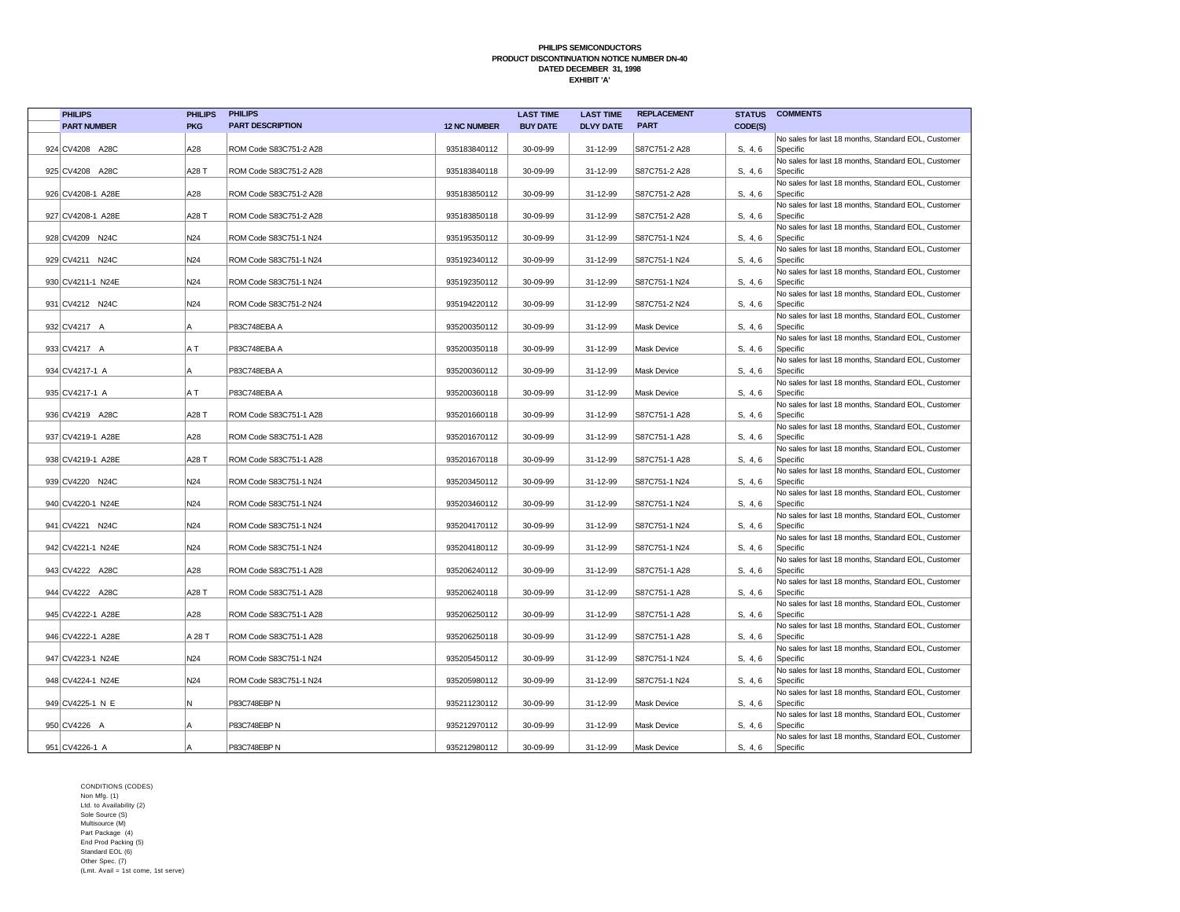| <b>PHILIPS</b>     | <b>PHILIPS</b>  | <b>PHILIPS</b>          |                     | <b>LAST TIME</b> | <b>LAST TIME</b> | <b>REPLACEMENT</b> |         | <b>STATUS COMMENTS</b>                                          |
|--------------------|-----------------|-------------------------|---------------------|------------------|------------------|--------------------|---------|-----------------------------------------------------------------|
| <b>PART NUMBER</b> | <b>PKG</b>      | <b>PART DESCRIPTION</b> | <b>12 NC NUMBER</b> | <b>BUY DATE</b>  | <b>DLVY DATE</b> | <b>PART</b>        | CODE(S) |                                                                 |
|                    |                 |                         |                     |                  |                  |                    |         | No sales for last 18 months, Standard EOL, Customer             |
| 924 CV4208 A28C    | A28             | ROM Code S83C751-2 A28  | 935183840112        | 30-09-99         | 31-12-99         | S87C751-2 A28      | S, 4, 6 | Specific                                                        |
|                    |                 |                         |                     |                  |                  |                    |         | No sales for last 18 months, Standard EOL, Customer             |
| 925 CV4208 A28C    | A28 T           | ROM Code S83C751-2 A28  | 935183840118        | 30-09-99         | 31-12-99         | S87C751-2 A28      | S, 4, 6 | Specific                                                        |
| 926 CV4208-1 A28E  | A28             | ROM Code S83C751-2 A28  | 935183850112        | 30-09-99         | 31-12-99         | S87C751-2 A28      | S, 4, 6 | No sales for last 18 months, Standard EOL, Customer<br>Specific |
|                    |                 |                         |                     |                  |                  |                    |         | No sales for last 18 months, Standard EOL, Customer             |
| 927 CV4208-1 A28E  | A28 T           | ROM Code S83C751-2 A28  | 935183850118        | 30-09-99         | 31-12-99         | S87C751-2 A28      | S, 4, 6 | Specific                                                        |
|                    |                 |                         |                     |                  |                  |                    |         | No sales for last 18 months, Standard EOL, Customer             |
| 928 CV4209 N24C    | N <sub>24</sub> | ROM Code S83C751-1 N24  | 935195350112        | 30-09-99         | 31-12-99         | S87C751-1 N24      | S, 4, 6 | Specific                                                        |
|                    |                 |                         |                     |                  |                  |                    |         | No sales for last 18 months, Standard EOL, Customer             |
| 929 CV4211 N24C    | N24             | ROM Code S83C751-1 N24  | 935192340112        | 30-09-99         | 31-12-99         | S87C751-1 N24      | S, 4, 6 | Specific                                                        |
|                    |                 |                         |                     |                  |                  |                    |         | No sales for last 18 months, Standard EOL, Customer             |
| 930 CV4211-1 N24E  | N24             | ROM Code S83C751-1 N24  | 935192350112        | 30-09-99         | 31-12-99         | S87C751-1 N24      | S, 4, 6 | Specific                                                        |
| 931 CV4212 N24C    | N24             | ROM Code S83C751-2 N24  | 935194220112        | 30-09-99         | 31-12-99         | S87C751-2 N24      | S, 4, 6 | No sales for last 18 months, Standard EOL, Customer<br>Specific |
|                    |                 |                         |                     |                  |                  |                    |         | No sales for last 18 months, Standard EOL, Customer             |
| 932 CV4217 A       | Α               | P83C748EBA A            | 935200350112        | 30-09-99         | 31-12-99         | Mask Device        | S, 4, 6 | Specific                                                        |
|                    |                 |                         |                     |                  |                  |                    |         | No sales for last 18 months, Standard EOL, Customer             |
| 933 CV4217 A       | ΑT              | P83C748EBA A            | 935200350118        | 30-09-99         | 31-12-99         | Mask Device        | S, 4, 6 | Specific                                                        |
|                    |                 |                         |                     |                  |                  |                    |         | No sales for last 18 months, Standard EOL, Customer             |
| 934 CV4217-1 A     | Α               | P83C748EBA A            | 935200360112        | 30-09-99         | 31-12-99         | Mask Device        | S, 4, 6 | Specific                                                        |
|                    |                 |                         |                     |                  |                  |                    |         | No sales for last 18 months, Standard EOL, Customer             |
| 935 CV4217-1 A     | ΑT              | P83C748EBA A            | 935200360118        | 30-09-99         | 31-12-99         | Mask Device        | S, 4, 6 | Specific                                                        |
|                    |                 |                         |                     |                  |                  |                    |         | No sales for last 18 months, Standard EOL, Customer             |
| 936 CV4219 A28C    | A28 T           | ROM Code S83C751-1 A28  | 935201660118        | 30-09-99         | 31-12-99         | S87C751-1 A28      | S, 4, 6 | Specific<br>No sales for last 18 months, Standard EOL, Customer |
| 937 CV4219-1 A28E  | A28             | ROM Code S83C751-1 A28  | 935201670112        | 30-09-99         | 31-12-99         | S87C751-1 A28      | S, 4, 6 | Specific                                                        |
|                    |                 |                         |                     |                  |                  |                    |         | No sales for last 18 months, Standard EOL, Customer             |
| 938 CV4219-1 A28E  | A28 T           | ROM Code S83C751-1 A28  | 935201670118        | 30-09-99         | 31-12-99         | S87C751-1 A28      | S, 4, 6 | Specific                                                        |
|                    |                 |                         |                     |                  |                  |                    |         | No sales for last 18 months, Standard EOL, Customer             |
| 939 CV4220 N24C    | N <sub>24</sub> | ROM Code S83C751-1 N24  | 935203450112        | 30-09-99         | 31-12-99         | S87C751-1 N24      | S, 4, 6 | Specific                                                        |
|                    |                 |                         |                     |                  |                  |                    |         | No sales for last 18 months, Standard EOL, Customer             |
| 940 CV4220-1 N24E  | N24             | ROM Code S83C751-1 N24  | 935203460112        | 30-09-99         | 31-12-99         | S87C751-1 N24      | S, 4, 6 | Specific                                                        |
|                    |                 |                         |                     |                  |                  |                    |         | No sales for last 18 months, Standard EOL, Customer             |
| 941 CV4221 N24C    | N24             | ROM Code S83C751-1 N24  | 935204170112        | 30-09-99         | 31-12-99         | S87C751-1 N24      | S, 4, 6 | Specific                                                        |
| 942 CV4221-1 N24E  | N24             | ROM Code S83C751-1 N24  | 935204180112        | 30-09-99         | 31-12-99         | S87C751-1 N24      | S, 4, 6 | No sales for last 18 months, Standard EOL, Customer<br>Specific |
|                    |                 |                         |                     |                  |                  |                    |         | No sales for last 18 months, Standard EOL, Customer             |
| 943 CV4222 A28C    | A28             | ROM Code S83C751-1 A28  | 935206240112        | 30-09-99         | 31-12-99         | S87C751-1 A28      | S, 4, 6 | Specific                                                        |
|                    |                 |                         |                     |                  |                  |                    |         | No sales for last 18 months, Standard EOL, Customer             |
| 944 CV4222 A28C    | A28 T           | ROM Code S83C751-1 A28  | 935206240118        | 30-09-99         | 31-12-99         | S87C751-1 A28      | S, 4, 6 | Specific                                                        |
|                    |                 |                         |                     |                  |                  |                    |         | No sales for last 18 months, Standard EOL, Customer             |
| 945 CV4222-1 A28E  | A28             | ROM Code S83C751-1 A28  | 935206250112        | 30-09-99         | 31-12-99         | S87C751-1 A28      | S, 4, 6 | Specific                                                        |
|                    |                 |                         |                     |                  |                  |                    |         | No sales for last 18 months, Standard EOL, Customer             |
| 946 CV4222-1 A28E  | A 28 T          | ROM Code S83C751-1 A28  | 935206250118        | 30-09-99         | 31-12-99         | S87C751-1 A28      | S, 4, 6 | Specific                                                        |
| 947 CV4223-1 N24E  | N24             | ROM Code S83C751-1 N24  | 935205450112        | 30-09-99         | 31-12-99         | S87C751-1 N24      | S, 4, 6 | No sales for last 18 months, Standard EOL, Customer<br>Specific |
|                    |                 |                         |                     |                  |                  |                    |         | No sales for last 18 months, Standard EOL, Customer             |
| 948 CV4224-1 N24E  | N <sub>24</sub> | ROM Code S83C751-1 N24  | 935205980112        | 30-09-99         | 31-12-99         | S87C751-1 N24      | S, 4, 6 | Specific                                                        |
|                    |                 |                         |                     |                  |                  |                    |         | No sales for last 18 months, Standard EOL, Customer             |
| 949 CV4225-1 N E   | Ν               | P83C748EBP N            | 935211230112        | 30-09-99         | 31-12-99         | Mask Device        | S, 4, 6 | Specific                                                        |
|                    |                 |                         |                     |                  |                  |                    |         | No sales for last 18 months, Standard EOL, Customer             |
| 950 CV4226 A       |                 | P83C748EBP N            | 935212970112        | 30-09-99         | 31-12-99         | <b>Mask Device</b> | S, 4, 6 | Specific                                                        |
|                    |                 |                         |                     |                  |                  |                    |         | No sales for last 18 months, Standard EOL, Customer             |
| 951 CV4226-1 A     |                 | P83C748EBP N            | 935212980112        | 30-09-99         | 31-12-99         | Mask Device        | S, 4, 6 | Specific                                                        |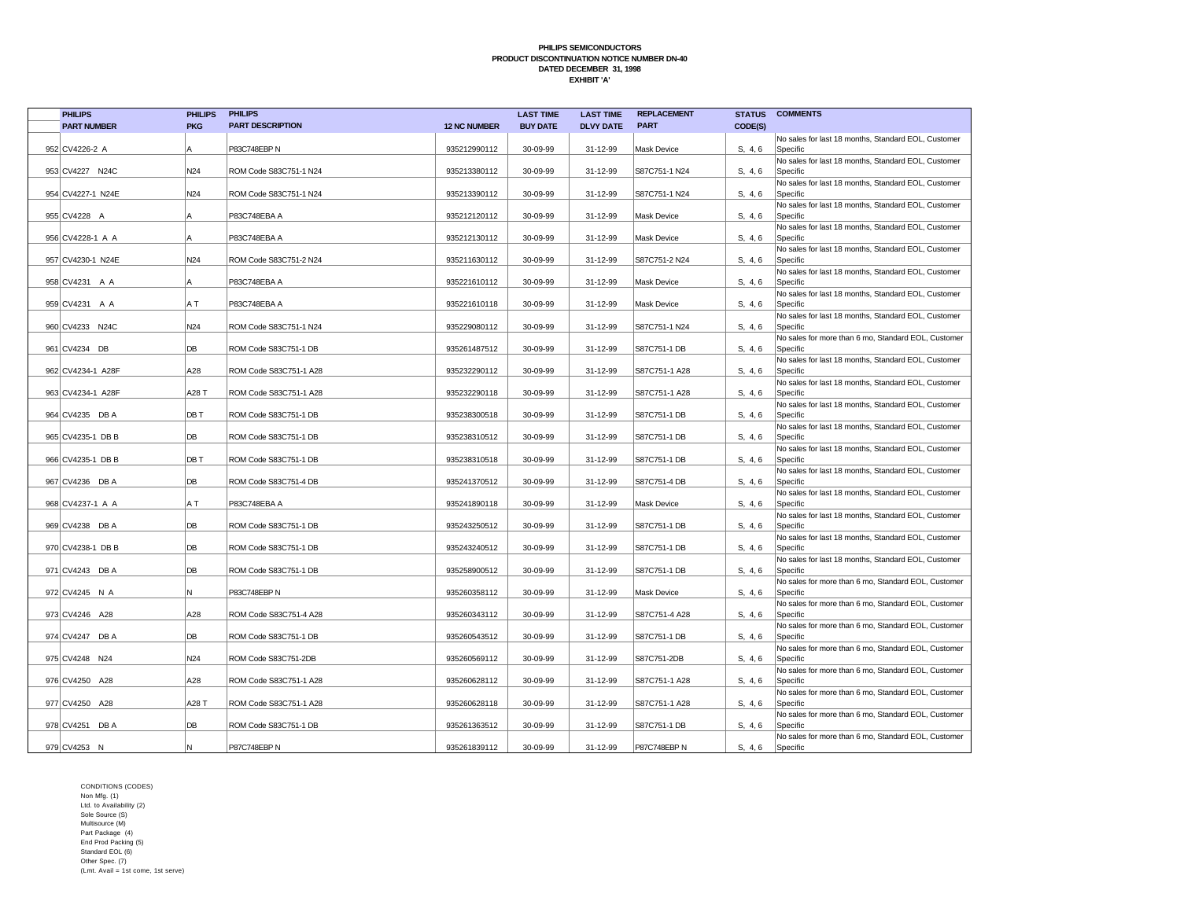| <b>PHILIPS</b>     | <b>PHILIPS</b>  | <b>PHILIPS</b>          |                     | <b>LAST TIME</b> | <b>LAST TIME</b> | <b>REPLACEMENT</b> |         | <b>STATUS COMMENTS</b>                                          |
|--------------------|-----------------|-------------------------|---------------------|------------------|------------------|--------------------|---------|-----------------------------------------------------------------|
| <b>PART NUMBER</b> | <b>PKG</b>      | <b>PART DESCRIPTION</b> | <b>12 NC NUMBER</b> | <b>BUY DATE</b>  | <b>DLVY DATE</b> | <b>PART</b>        | CODE(S) |                                                                 |
|                    |                 |                         |                     |                  |                  |                    |         | No sales for last 18 months, Standard EOL, Customer             |
| 952 CV4226-2 A     | A               | P83C748EBP N            | 935212990112        | 30-09-99         | 31-12-99         | <b>Mask Device</b> | S, 4, 6 | Specific                                                        |
|                    |                 |                         |                     |                  |                  |                    |         | No sales for last 18 months, Standard EOL, Customer             |
| 953 CV4227 N24C    | N24             | ROM Code S83C751-1 N24  | 935213380112        | 30-09-99         | 31-12-99         | S87C751-1 N24      | S, 4, 6 | Specific                                                        |
| 954 CV4227-1 N24E  | N24             | ROM Code S83C751-1 N24  | 935213390112        | 30-09-99         | 31-12-99         | S87C751-1 N24      | S, 4, 6 | No sales for last 18 months, Standard EOL, Customer<br>Specific |
|                    |                 |                         |                     |                  |                  |                    |         | No sales for last 18 months, Standard EOL, Customer             |
| 955 CV4228 A       | ΙA              | P83C748EBA A            | 935212120112        | 30-09-99         | 31-12-99         | Mask Device        | S, 4, 6 | Specific                                                        |
|                    |                 |                         |                     |                  |                  |                    |         | No sales for last 18 months, Standard EOL, Customer             |
| 956 CV4228-1 A A   | A               | P83C748EBA A            | 935212130112        | 30-09-99         | 31-12-99         | Mask Device        | S, 4, 6 | Specific                                                        |
|                    |                 |                         |                     |                  |                  |                    |         | No sales for last 18 months, Standard EOL, Customer             |
| 957 CV4230-1 N24E  | N <sub>24</sub> | ROM Code S83C751-2 N24  | 935211630112        | 30-09-99         | 31-12-99         | S87C751-2 N24      | S, 4, 6 | Specific                                                        |
|                    | A               | P83C748EBA A            | 935221610112        | 30-09-99         | 31-12-99         | Mask Device        | S, 4, 6 | No sales for last 18 months, Standard EOL, Customer<br>Specific |
| 958 CV4231 A A     |                 |                         |                     |                  |                  |                    |         | No sales for last 18 months, Standard EOL, Customer             |
| 959 CV4231 A A     | A T             | P83C748EBA A            | 935221610118        | 30-09-99         | 31-12-99         | Mask Device        | S, 4, 6 | Specific                                                        |
|                    |                 |                         |                     |                  |                  |                    |         | No sales for last 18 months, Standard EOL, Customer             |
| 960 CV4233 N24C    | N24             | ROM Code S83C751-1 N24  | 935229080112        | 30-09-99         | 31-12-99         | S87C751-1 N24      | S, 4, 6 | Specific                                                        |
|                    |                 |                         |                     |                  |                  |                    |         | No sales for more than 6 mo, Standard EOL, Customer             |
| 961 CV4234 DB      | DB              | ROM Code S83C751-1 DB   | 935261487512        | 30-09-99         | 31-12-99         | S87C751-1 DB       | S, 4, 6 | Specific                                                        |
|                    |                 |                         |                     |                  |                  |                    |         | No sales for last 18 months, Standard EOL, Customer             |
| 962 CV4234-1 A28F  | A28             | ROM Code S83C751-1 A28  | 935232290112        | 30-09-99         | 31-12-99         | S87C751-1 A28      | S, 4, 6 | Specific<br>No sales for last 18 months, Standard EOL, Customer |
| 963 CV4234-1 A28F  | A28 T           | ROM Code S83C751-1 A28  | 935232290118        | 30-09-99         | 31-12-99         | S87C751-1 A28      | S, 4, 6 | Specific                                                        |
|                    |                 |                         |                     |                  |                  |                    |         | No sales for last 18 months, Standard EOL, Customer             |
| 964 CV4235 DB A    | DB T            | ROM Code S83C751-1 DB   | 935238300518        | 30-09-99         | 31-12-99         | S87C751-1 DB       | S, 4, 6 | Specific                                                        |
|                    |                 |                         |                     |                  |                  |                    |         | No sales for last 18 months, Standard EOL, Customer             |
| 965 CV4235-1 DB B  | DB              | ROM Code S83C751-1 DB   | 935238310512        | 30-09-99         | 31-12-99         | S87C751-1 DB       | S, 4, 6 | Specific                                                        |
|                    |                 |                         |                     |                  |                  |                    |         | No sales for last 18 months, Standard EOL, Customer             |
| 966 CV4235-1 DB B  | DB T            | ROM Code S83C751-1 DB   | 935238310518        | 30-09-99         | 31-12-99         | S87C751-1 DB       | S, 4, 6 | Specific<br>No sales for last 18 months, Standard EOL, Customer |
| 967 CV4236 DB A    | <b>DB</b>       | ROM Code S83C751-4 DB   | 935241370512        | 30-09-99         | 31-12-99         | S87C751-4 DB       | S, 4, 6 | Specific                                                        |
|                    |                 |                         |                     |                  |                  |                    |         | No sales for last 18 months, Standard EOL, Customer             |
| 968 CV4237-1 A A   | A T             | P83C748EBA A            | 935241890118        | 30-09-99         | 31-12-99         | Mask Device        | S, 4, 6 | Specific                                                        |
|                    |                 |                         |                     |                  |                  |                    |         | No sales for last 18 months, Standard EOL, Customer             |
| 969 CV4238 DB A    | DB              | ROM Code S83C751-1 DB   | 935243250512        | 30-09-99         | 31-12-99         | S87C751-1 DB       | S, 4, 6 | Specific                                                        |
|                    |                 |                         |                     |                  |                  |                    |         | No sales for last 18 months, Standard EOL, Customer             |
| 970 CV4238-1 DB B  | DB              | ROM Code S83C751-1 DB   | 935243240512        | 30-09-99         | 31-12-99         | S87C751-1 DB       | S, 4, 6 | Specific<br>No sales for last 18 months, Standard EOL, Customer |
| 971 CV4243 DB A    | DB              | ROM Code S83C751-1 DB   | 935258900512        | 30-09-99         | 31-12-99         | S87C751-1 DB       | S, 4, 6 | Specific                                                        |
|                    |                 |                         |                     |                  |                  |                    |         | No sales for more than 6 mo, Standard EOL, Customer             |
| 972 CV4245 N A     | N               | P83C748EBP N            | 935260358112        | 30-09-99         | 31-12-99         | <b>Mask Device</b> | S, 4, 6 | Specific                                                        |
|                    |                 |                         |                     |                  |                  |                    |         | No sales for more than 6 mo, Standard EOL, Customer             |
| 973 CV4246 A28     | A28             | ROM Code S83C751-4 A28  | 935260343112        | 30-09-99         | 31-12-99         | S87C751-4 A28      | S, 4, 6 | Specific                                                        |
|                    |                 |                         |                     |                  |                  |                    |         | No sales for more than 6 mo, Standard EOL, Customer             |
| 974 CV4247 DB A    | DB              | ROM Code S83C751-1 DB   | 935260543512        | 30-09-99         | 31-12-99         | S87C751-1 DB       | S, 4, 6 | Specific<br>No sales for more than 6 mo, Standard EOL, Customer |
| 975 CV4248 N24     | N <sub>24</sub> | ROM Code S83C751-2DB    | 935260569112        | 30-09-99         | 31-12-99         | S87C751-2DB        | S, 4, 6 | Specific                                                        |
|                    |                 |                         |                     |                  |                  |                    |         | No sales for more than 6 mo, Standard EOL, Customer             |
| 976 CV4250 A28     | A28             | ROM Code S83C751-1 A28  | 935260628112        | 30-09-99         | 31-12-99         | S87C751-1 A28      | S, 4, 6 | Specific                                                        |
|                    |                 |                         |                     |                  |                  |                    |         | No sales for more than 6 mo, Standard EOL, Customer             |
| 977 CV4250 A28     | A28 T           | ROM Code S83C751-1 A28  | 935260628118        | 30-09-99         | 31-12-99         | S87C751-1 A28      | S, 4, 6 | Specific                                                        |
|                    |                 |                         |                     |                  |                  |                    |         | No sales for more than 6 mo, Standard EOL, Customer             |
| 978 CV4251 DB A    | DB              | ROM Code S83C751-1 DB   | 935261363512        | 30-09-99         | 31-12-99         | S87C751-1 DB       | S, 4, 6 | Specific                                                        |
| 979 CV4253 N       | ΙN              | P87C748EBP N            | 935261839112        | 30-09-99         | 31-12-99         | P87C748EBP N       | S, 4, 6 | No sales for more than 6 mo, Standard EOL, Customer<br>Specific |
|                    |                 |                         |                     |                  |                  |                    |         |                                                                 |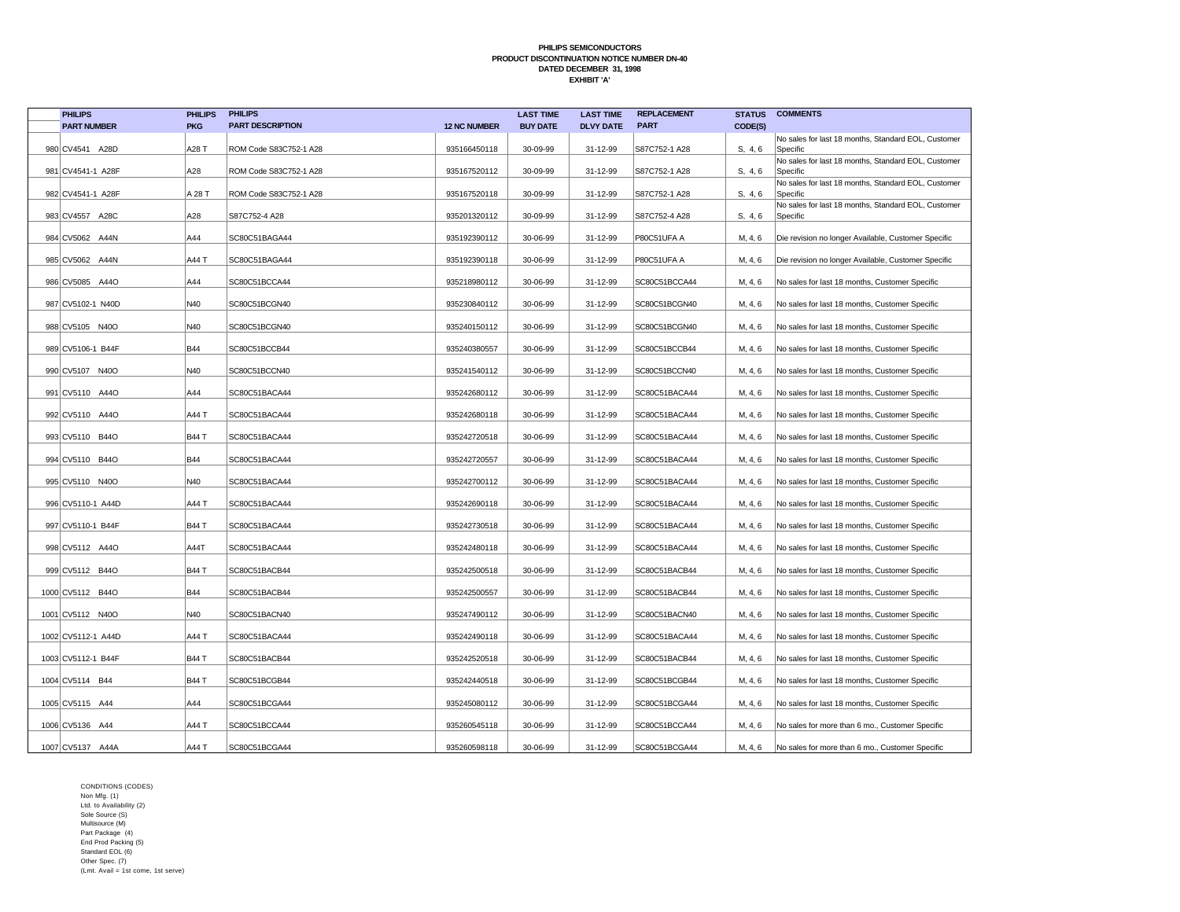| <b>PHILIPS</b>     | <b>PHILIPS</b> | <b>PHILIPS</b>          |                     | <b>LAST TIME</b> | <b>LAST TIME</b> | <b>REPLACEMENT</b> | <b>STATUS</b> | <b>COMMENTS</b>                                                 |
|--------------------|----------------|-------------------------|---------------------|------------------|------------------|--------------------|---------------|-----------------------------------------------------------------|
| <b>PART NUMBER</b> | <b>PKG</b>     | <b>PART DESCRIPTION</b> | <b>12 NC NUMBER</b> | <b>BUY DATE</b>  | <b>DLVY DATE</b> | <b>PART</b>        | CODE(S)       |                                                                 |
| 980 CV4541 A28D    | A28 T          | ROM Code S83C752-1 A28  | 935166450118        | 30-09-99         | 31-12-99         | S87C752-1 A28      | S. 4.6        | No sales for last 18 months, Standard EOL, Customer<br>Specific |
|                    |                |                         |                     |                  |                  |                    |               | No sales for last 18 months, Standard EOL, Customer             |
| 981 CV4541-1 A28F  | A28            | ROM Code S83C752-1 A28  | 935167520112        | 30-09-99         | 31-12-99         | S87C752-1 A28      | S. 4.6        | Specific<br>No sales for last 18 months, Standard EOL, Customer |
| 982 CV4541-1 A28F  | A 28 T         | ROM Code S83C752-1 A28  | 935167520118        | 30-09-99         | 31-12-99         | S87C752-1 A28      | S, 4, 6       | Specific                                                        |
| 983 CV4557 A28C    | A28            | S87C752-4 A28           | 935201320112        | 30-09-99         | 31-12-99         | S87C752-4 A28      | S, 4, 6       | No sales for last 18 months, Standard EOL, Customer<br>Specific |
|                    |                |                         |                     |                  |                  |                    |               |                                                                 |
| 984 CV5062 A44N    | A44            | SC80C51BAGA44           | 935192390112        | 30-06-99         | 31-12-99         | P80C51UFA A        | M, 4, 6       | Die revision no longer Available, Customer Specific             |
| 985 CV5062 A44N    | A44 T          | SC80C51BAGA44           | 935192390118        | 30-06-99         | 31-12-99         | P80C51UFA A        | M, 4, 6       | Die revision no longer Available, Customer Specific             |
| 986 CV5085 A44O    | A44            | SC80C51BCCA44           | 935218980112        | 30-06-99         | 31-12-99         | SC80C51BCCA44      | M, 4, 6       | No sales for last 18 months, Customer Specific                  |
|                    |                |                         |                     |                  |                  |                    |               |                                                                 |
| 987 CV5102-1 N40D  | N40            | SC80C51BCGN40           | 935230840112        | 30-06-99         | 31-12-99         | SC80C51BCGN40      | M, 4, 6       | No sales for last 18 months, Customer Specific                  |
| 988 CV5105 N40O    | N40            | SC80C51BCGN40           | 935240150112        | 30-06-99         | 31-12-99         | SC80C51BCGN40      | M, 4, 6       | No sales for last 18 months, Customer Specific                  |
|                    |                |                         |                     |                  |                  |                    |               |                                                                 |
| 989 CV5106-1 B44F  | <b>B44</b>     | SC80C51BCCB44           | 935240380557        | 30-06-99         | 31-12-99         | SC80C51BCCB44      | M, 4, 6       | No sales for last 18 months, Customer Specific                  |
| 990 CV5107 N40O    | N40            | SC80C51BCCN40           | 935241540112        | 30-06-99         | 31-12-99         | SC80C51BCCN40      | M, 4, 6       | No sales for last 18 months, Customer Specific                  |
| 991 CV5110 A44O    | A44            | SC80C51BACA44           | 935242680112        | 30-06-99         | 31-12-99         | SC80C51BACA44      | M, 4, 6       | No sales for last 18 months, Customer Specific                  |
| 992 CV5110 A44O    | A44 T          | SC80C51BACA44           | 935242680118        | 30-06-99         | 31-12-99         | SC80C51BACA44      | M, 4, 6       | No sales for last 18 months, Customer Specific                  |
|                    |                |                         |                     |                  |                  |                    |               |                                                                 |
| 993 CV5110 B44O    | <b>B44 T</b>   | SC80C51BACA44           | 935242720518        | 30-06-99         | 31-12-99         | SC80C51BACA44      | M, 4, 6       | No sales for last 18 months, Customer Specific                  |
| 994 CV5110 B44O    | <b>B44</b>     | SC80C51BACA44           | 935242720557        | 30-06-99         | 31-12-99         | SC80C51BACA44      | M, 4, 6       | No sales for last 18 months, Customer Specific                  |
| 995 CV5110 N40O    | N40            | SC80C51BACA44           | 935242700112        | 30-06-99         | 31-12-99         | SC80C51BACA44      | M, 4, 6       | No sales for last 18 months, Customer Specific                  |
|                    |                |                         |                     |                  |                  |                    |               |                                                                 |
| 996 CV5110-1 A44D  | A44 T          | SC80C51BACA44           | 935242690118        | 30-06-99         | 31-12-99         | SC80C51BACA44      | M, 4, 6       | No sales for last 18 months, Customer Specific                  |
| 997 CV5110-1 B44F  | <b>B44 T</b>   | SC80C51BACA44           | 935242730518        | 30-06-99         | 31-12-99         | SC80C51BACA44      | M, 4, 6       | No sales for last 18 months, Customer Specific                  |
| 998 CV5112 A440    | A44T           | SC80C51BACA44           | 935242480118        | 30-06-99         | 31-12-99         | SC80C51BACA44      | M, 4, 6       | No sales for last 18 months, Customer Specific                  |
|                    |                |                         |                     |                  |                  |                    |               |                                                                 |
| 999 CV5112 B44O    | <b>B44 T</b>   | SC80C51BACB44           | 935242500518        | 30-06-99         | 31-12-99         | SC80C51BACB44      | M, 4, 6       | No sales for last 18 months, Customer Specific                  |
| 1000 CV5112 B44O   | <b>B44</b>     | SC80C51BACB44           | 935242500557        | 30-06-99         | 31-12-99         | SC80C51BACB44      | M, 4, 6       | No sales for last 18 months, Customer Specific                  |
| 1001 CV5112 N40O   | N40            | SC80C51BACN40           | 935247490112        | 30-06-99         | 31-12-99         | SC80C51BACN40      | M, 4, 6       | No sales for last 18 months, Customer Specific                  |
|                    |                |                         |                     |                  |                  |                    |               |                                                                 |
| 1002 CV5112-1 A44D | A44 T          | SC80C51BACA44           | 935242490118        | 30-06-99         | 31-12-99         | SC80C51BACA44      | M, 4, 6       | No sales for last 18 months, Customer Specific                  |
| 1003 CV5112-1 B44F | <b>B44 T</b>   | SC80C51BACB44           | 935242520518        | 30-06-99         | 31-12-99         | SC80C51BACB44      | M, 4, 6       | No sales for last 18 months, Customer Specific                  |
| 1004 CV5114 B44    | <b>B44 T</b>   | SC80C51BCGB44           | 935242440518        | 30-06-99         | 31-12-99         | SC80C51BCGB44      | M, 4, 6       | No sales for last 18 months, Customer Specific                  |
|                    |                |                         |                     |                  |                  |                    |               |                                                                 |
| 1005 CV5115 A44    | A44            | SC80C51BCGA44           | 935245080112        | 30-06-99         | 31-12-99         | SC80C51BCGA44      | M, 4, 6       | No sales for last 18 months, Customer Specific                  |
| 1006 CV5136 A44    | A44 T          | SC80C51BCCA44           | 935260545118        | 30-06-99         | 31-12-99         | SC80C51BCCA44      | M, 4, 6       | No sales for more than 6 mo., Customer Specific                 |
| 1007 CV5137 A44A   | A44 T          | SC80C51BCGA44           | 935260598118        | 30-06-99         | 31-12-99         | SC80C51BCGA44      | M, 4, 6       | No sales for more than 6 mo., Customer Specific                 |
|                    |                |                         |                     |                  |                  |                    |               |                                                                 |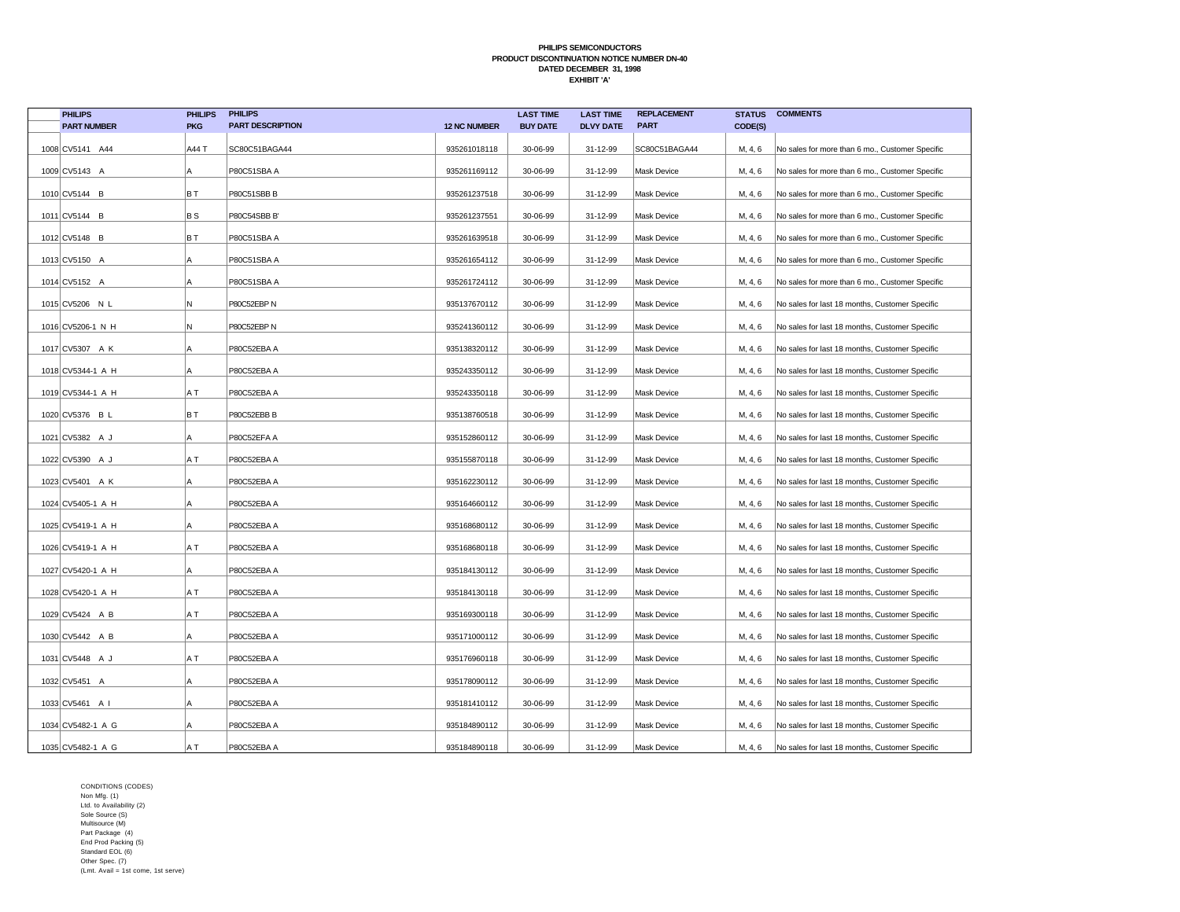| <b>PHILIPS</b>     | <b>PHILIPS</b> | <b>PHILIPS</b>          |                     | <b>LAST TIME</b> | <b>LAST TIME</b> | <b>REPLACEMENT</b> | <b>STATUS</b> | <b>COMMENTS</b>                                 |
|--------------------|----------------|-------------------------|---------------------|------------------|------------------|--------------------|---------------|-------------------------------------------------|
| <b>PART NUMBER</b> | <b>PKG</b>     | <b>PART DESCRIPTION</b> | <b>12 NC NUMBER</b> | <b>BUY DATE</b>  | <b>DLVY DATE</b> | <b>PART</b>        | CODE(S)       |                                                 |
| 1008 CV5141 A44    | A44 T          | SC80C51BAGA44           | 935261018118        | 30-06-99         | 31-12-99         | SC80C51BAGA44      | M, 4, 6       | No sales for more than 6 mo., Customer Specific |
| 1009 CV5143 A      | A              | P80C51SBA A             | 935261169112        | 30-06-99         | 31-12-99         | <b>Mask Device</b> | M, 4, 6       | No sales for more than 6 mo., Customer Specific |
| 1010 CV5144 B      | ΒT             | P80C51SBB B             | 935261237518        | 30-06-99         | 31-12-99         | <b>Mask Device</b> | M, 4, 6       | No sales for more than 6 mo., Customer Specific |
| 1011 CV5144 B      | BS             | P80C54SBB B'            | 935261237551        | 30-06-99         | 31-12-99         | <b>Mask Device</b> | M, 4, 6       | No sales for more than 6 mo., Customer Specific |
| 1012 CV5148 B      | BT             | P80C51SBA A             | 935261639518        | 30-06-99         | 31-12-99         | Mask Device        | M, 4, 6       | No sales for more than 6 mo., Customer Specific |
| 1013 CV5150 A      | Α              | P80C51SBA A             | 935261654112        | 30-06-99         | 31-12-99         | <b>Mask Device</b> | M, 4, 6       | No sales for more than 6 mo., Customer Specific |
| 1014 CV5152 A      | A              | P80C51SBA A             | 935261724112        | 30-06-99         | 31-12-99         | Mask Device        | M, 4, 6       | No sales for more than 6 mo., Customer Specific |
| 1015 CV5206 N L    | Ν              | P80C52EBP N             | 935137670112        | 30-06-99         | 31-12-99         | <b>Mask Device</b> | M, 4, 6       | No sales for last 18 months, Customer Specific  |
| 1016 CV5206-1 N H  | Ν              | P80C52EBP N             | 935241360112        | 30-06-99         | 31-12-99         | <b>Mask Device</b> | M, 4, 6       | No sales for last 18 months, Customer Specific  |
| 1017 CV5307 A K    | Α              | P80C52EBA A             | 935138320112        | 30-06-99         | 31-12-99         | Mask Device        | M, 4, 6       | No sales for last 18 months, Customer Specific  |
| 1018 CV5344-1 A H  | Α              | P80C52EBA A             | 935243350112        | 30-06-99         | 31-12-99         | Mask Device        | M, 4, 6       | No sales for last 18 months, Customer Specific  |
| 1019 CV5344-1 A H  | ΑT             | P80C52EBA A             | 935243350118        | 30-06-99         | 31-12-99         | <b>Mask Device</b> | M, 4, 6       | No sales for last 18 months, Customer Specific  |
| 1020 CV5376 B L    | BT             | P80C52EBB B             | 935138760518        | 30-06-99         | 31-12-99         | Mask Device        | M, 4, 6       | No sales for last 18 months, Customer Specific  |
| 1021 CV5382 A J    | A              | P80C52EFA A             | 935152860112        | 30-06-99         | 31-12-99         | <b>Mask Device</b> | M, 4, 6       | No sales for last 18 months, Customer Specific  |
| 1022 CV5390 A J    | A T            | P80C52EBA A             | 935155870118        | 30-06-99         | 31-12-99         | Mask Device        | M, 4, 6       | No sales for last 18 months, Customer Specific  |
| 1023 CV5401 A K    | Α              | P80C52EBA A             | 935162230112        | 30-06-99         | 31-12-99         | Mask Device        | M, 4, 6       | No sales for last 18 months, Customer Specific  |
| 1024 CV5405-1 A H  | А              | P80C52EBA A             | 935164660112        | 30-06-99         | 31-12-99         | <b>Mask Device</b> | M, 4, 6       | No sales for last 18 months, Customer Specific  |
| 1025 CV5419-1 A H  | Α              | P80C52EBA A             | 935168680112        | 30-06-99         | 31-12-99         | <b>Mask Device</b> | M, 4, 6       | No sales for last 18 months, Customer Specific  |
| 1026 CV5419-1 A H  | A T            | P80C52EBA A             | 935168680118        | 30-06-99         | 31-12-99         | <b>Mask Device</b> | M, 4, 6       | No sales for last 18 months, Customer Specific  |
| 1027 CV5420-1 A H  | А              | P80C52EBA A             | 935184130112        | 30-06-99         | 31-12-99         | <b>Mask Device</b> | M, 4, 6       | No sales for last 18 months, Customer Specific  |
| 1028 CV5420-1 A H  | A T            | P80C52EBA A             | 935184130118        | 30-06-99         | 31-12-99         | Mask Device        | M, 4, 6       | No sales for last 18 months, Customer Specific  |
| 1029 CV5424 A B    | A T            | P80C52EBA A             | 935169300118        | 30-06-99         | 31-12-99         | <b>Mask Device</b> | M, 4, 6       | No sales for last 18 months, Customer Specific  |
| 1030 CV5442 A B    | A              | P80C52EBA A             | 935171000112        | 30-06-99         | 31-12-99         | <b>Mask Device</b> | M, 4, 6       | No sales for last 18 months, Customer Specific  |
| 1031 CV5448 A J    | A T            | P80C52EBA A             | 935176960118        | 30-06-99         | 31-12-99         | Mask Device        | M, 4, 6       | No sales for last 18 months, Customer Specific  |
| 1032 CV5451 A      | A              | P80C52EBA A             | 935178090112        | 30-06-99         | 31-12-99         | <b>Mask Device</b> | M, 4, 6       | No sales for last 18 months, Customer Specific  |
| 1033 CV5461 A I    | A              | P80C52EBA A             | 935181410112        | 30-06-99         | 31-12-99         | Mask Device        | M, 4, 6       | No sales for last 18 months, Customer Specific  |
| 1034 CV5482-1 A G  | ΙA             | P80C52EBA A             | 935184890112        | 30-06-99         | 31-12-99         | <b>Mask Device</b> | M, 4, 6       | No sales for last 18 months, Customer Specific  |
| 1035 CV5482-1 A G  | A T            | P80C52EBA A             | 935184890118        | 30-06-99         | 31-12-99         | Mask Device        | M, 4, 6       | No sales for last 18 months, Customer Specific  |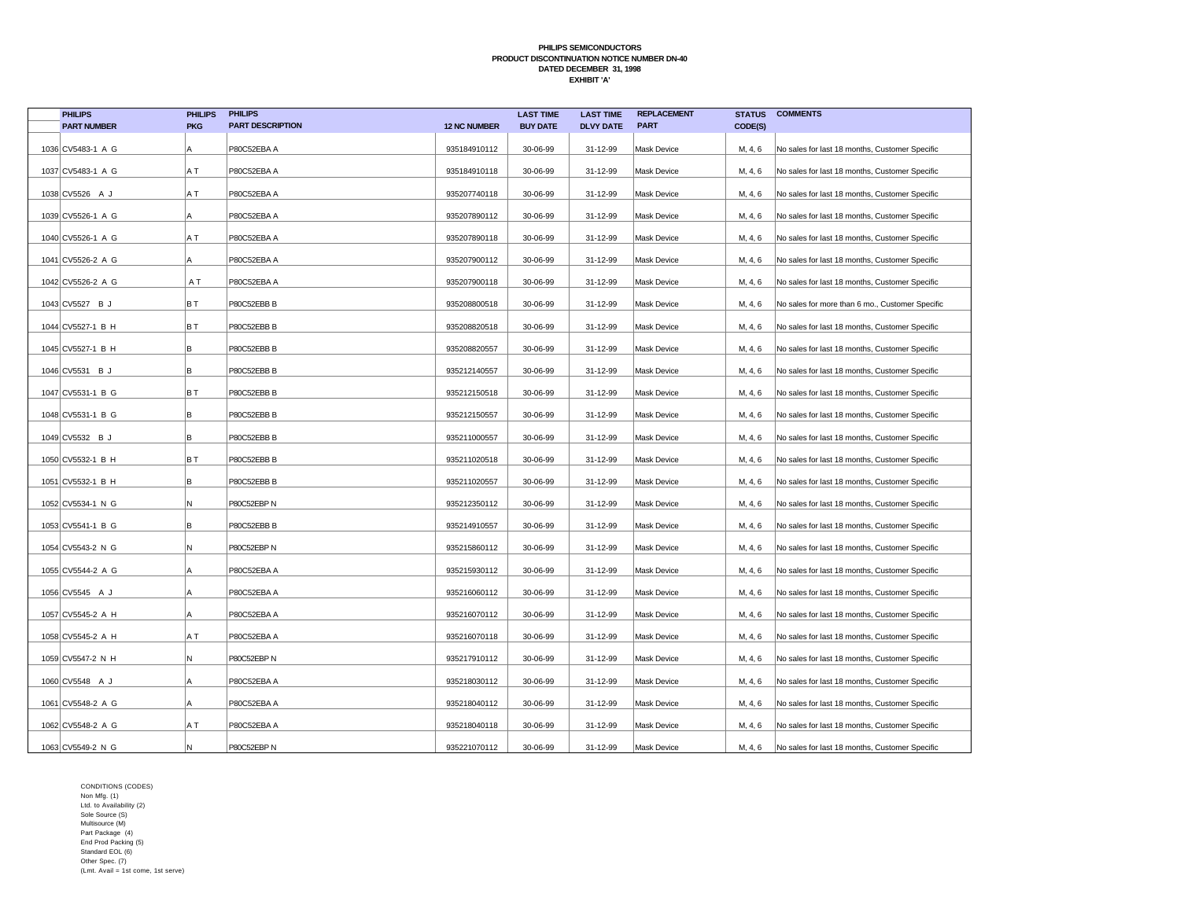| <b>PHILIPS</b>     | <b>PHILIPS</b> | <b>PHILIPS</b>          |                     | <b>LAST TIME</b> | <b>LAST TIME</b> | <b>REPLACEMENT</b> | <b>STATUS</b> | <b>COMMENTS</b>                                 |
|--------------------|----------------|-------------------------|---------------------|------------------|------------------|--------------------|---------------|-------------------------------------------------|
| <b>PART NUMBER</b> | <b>PKG</b>     | <b>PART DESCRIPTION</b> | <b>12 NC NUMBER</b> | <b>BUY DATE</b>  | <b>DLVY DATE</b> | <b>PART</b>        | CODE(S)       |                                                 |
| 1036 CV5483-1 A G  | A              | P80C52EBA A             | 935184910112        | 30-06-99         | 31-12-99         | Mask Device        | M, 4, 6       | No sales for last 18 months, Customer Specific  |
| 1037 CV5483-1 A G  | A T            | P80C52EBA A             | 935184910118        | 30-06-99         | 31-12-99         | Mask Device        | M, 4, 6       | No sales for last 18 months, Customer Specific  |
| 1038 CV5526 A J    | A T            | P80C52EBA A             | 935207740118        | 30-06-99         | 31-12-99         | Mask Device        | M, 4, 6       | No sales for last 18 months, Customer Specific  |
| 1039 CV5526-1 A G  | A              | P80C52EBA A             | 935207890112        | 30-06-99         | 31-12-99         | <b>Mask Device</b> | M, 4, 6       | No sales for last 18 months, Customer Specific  |
| 1040 CV5526-1 A G  | A T            | P80C52EBA A             | 935207890118        | 30-06-99         | 31-12-99         | <b>Mask Device</b> | M, 4, 6       | No sales for last 18 months, Customer Specific  |
| 1041 CV5526-2 A G  | Α              | P80C52EBA A             | 935207900112        | 30-06-99         | 31-12-99         | Mask Device        | M, 4, 6       | No sales for last 18 months, Customer Specific  |
| 1042 CV5526-2 A G  | A T            | P80C52EBA A             | 935207900118        | 30-06-99         | 31-12-99         | Mask Device        | M, 4, 6       | No sales for last 18 months, Customer Specific  |
| 1043 CV5527 B J    | BT             | P80C52EBB B             | 935208800518        | 30-06-99         | 31-12-99         | Mask Device        | M, 4, 6       | No sales for more than 6 mo., Customer Specific |
| 1044 CV5527-1 B H  | BT             | P80C52EBB B             | 935208820518        | 30-06-99         | 31-12-99         | Mask Device        | M, 4, 6       | No sales for last 18 months, Customer Specific  |
| 1045 CV5527-1 B H  | B              | P80C52EBB B             | 935208820557        | 30-06-99         | 31-12-99         | <b>Mask Device</b> | M, 4, 6       | No sales for last 18 months, Customer Specific  |
| 1046 CV5531 B J    | B              | P80C52EBB B             | 935212140557        | 30-06-99         | 31-12-99         | Mask Device        | M, 4, 6       | No sales for last 18 months, Customer Specific  |
| 1047 CV5531-1 B G  | B T            | P80C52EBB B             | 935212150518        | 30-06-99         | 31-12-99         | <b>Mask Device</b> | M, 4, 6       | No sales for last 18 months, Customer Specific  |
| 1048 CV5531-1 B G  | B              | P80C52EBB B             | 935212150557        | 30-06-99         | 31-12-99         | Mask Device        | M, 4, 6       | No sales for last 18 months, Customer Specific  |
| 1049 CV5532 B J    | B              | P80C52EBB B             | 935211000557        | 30-06-99         | 31-12-99         | Mask Device        | M, 4, 6       | No sales for last 18 months, Customer Specific  |
| 1050 CV5532-1 B H  | BT             | P80C52EBB B             | 935211020518        | 30-06-99         | 31-12-99         | <b>Mask Device</b> | M, 4, 6       | No sales for last 18 months, Customer Specific  |
| 1051 CV5532-1 B H  | B              | P80C52EBB B             | 935211020557        | 30-06-99         | 31-12-99         | Mask Device        | M, 4, 6       | No sales for last 18 months, Customer Specific  |
| 1052 CV5534-1 N G  | N              | P80C52EBP N             | 935212350112        | 30-06-99         | 31-12-99         | <b>Mask Device</b> | M, 4, 6       | No sales for last 18 months, Customer Specific  |
| 1053 CV5541-1 B G  | lв             | P80C52EBB B             | 935214910557        | 30-06-99         | 31-12-99         | <b>Mask Device</b> | M, 4, 6       | No sales for last 18 months, Customer Specific  |
| 1054 CV5543-2 N G  | N              | P80C52EBP N             | 935215860112        | 30-06-99         | 31-12-99         | <b>Mask Device</b> | M, 4, 6       | No sales for last 18 months, Customer Specific  |
| 1055 CV5544-2 A G  | Α              | P80C52EBA A             | 935215930112        | 30-06-99         | 31-12-99         | Mask Device        | M, 4, 6       | No sales for last 18 months, Customer Specific  |
| 1056 CV5545 A J    | Α              | P80C52EBA A             | 935216060112        | 30-06-99         | 31-12-99         | <b>Mask Device</b> | M, 4, 6       | No sales for last 18 months, Customer Specific  |
| 1057 CV5545-2 A H  | Α              | P80C52EBA A             | 935216070112        | 30-06-99         | 31-12-99         | Mask Device        | M, 4, 6       | No sales for last 18 months, Customer Specific  |
| 1058 CV5545-2 A H  | ΑT             | P80C52EBA A             | 935216070118        | 30-06-99         | 31-12-99         | <b>Mask Device</b> | M, 4, 6       | No sales for last 18 months, Customer Specific  |
| 1059 CV5547-2 N H  | N              | P80C52EBP N             | 935217910112        | 30-06-99         | 31-12-99         | Mask Device        | M, 4, 6       | No sales for last 18 months, Customer Specific  |
| 1060 CV5548 A J    | A              | P80C52EBA A             | 935218030112        | 30-06-99         | 31-12-99         | Mask Device        | M, 4, 6       | No sales for last 18 months, Customer Specific  |
| 1061 CV5548-2 A G  | A              | P80C52EBA A             | 935218040112        | 30-06-99         | 31-12-99         | <b>Mask Device</b> | M, 4, 6       | No sales for last 18 months, Customer Specific  |
| 1062 CV5548-2 A G  | A T            | P80C52EBA A             | 935218040118        | 30-06-99         | 31-12-99         | Mask Device        | M, 4, 6       | No sales for last 18 months, Customer Specific  |
| 1063 CV5549-2 N G  | ΙN.            | P80C52EBP N             | 935221070112        | 30-06-99         | 31-12-99         | Mask Device        | M, 4, 6       | No sales for last 18 months, Customer Specific  |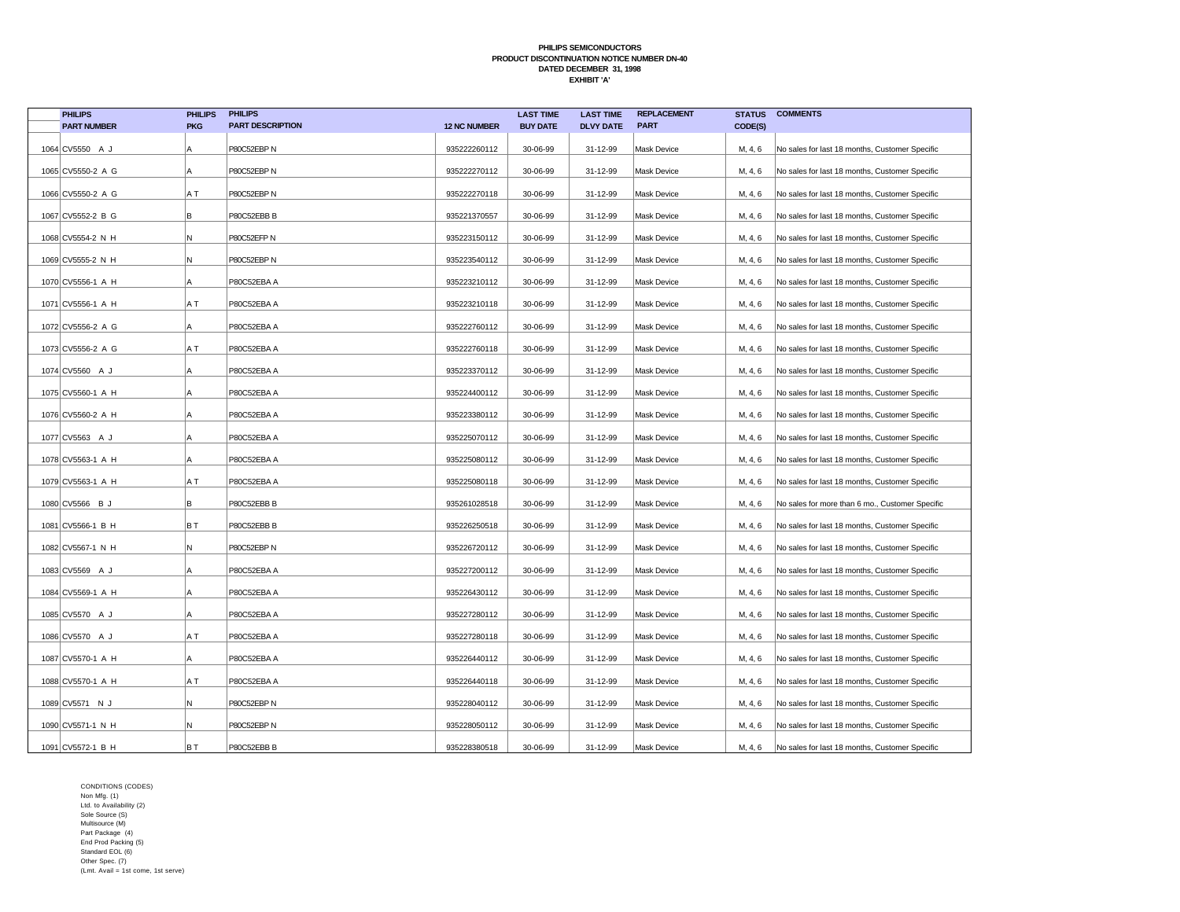| <b>PHILIPS</b>     | <b>PHILIPS</b> | <b>PHILIPS</b>          |                     | <b>LAST TIME</b> | <b>LAST TIME</b> | <b>REPLACEMENT</b> | <b>STATUS</b> | <b>COMMENTS</b>                                 |
|--------------------|----------------|-------------------------|---------------------|------------------|------------------|--------------------|---------------|-------------------------------------------------|
| <b>PART NUMBER</b> | <b>PKG</b>     | <b>PART DESCRIPTION</b> | <b>12 NC NUMBER</b> | <b>BUY DATE</b>  | <b>DLVY DATE</b> | <b>PART</b>        | CODE(S)       |                                                 |
| 1064 CV5550 A J    | Α              | P80C52EBP N             | 935222260112        | 30-06-99         | 31-12-99         | Mask Device        | M, 4, 6       | No sales for last 18 months, Customer Specific  |
| 1065 CV5550-2 A G  | A              | P80C52EBP N             | 935222270112        | 30-06-99         | 31-12-99         | Mask Device        | M, 4, 6       | No sales for last 18 months, Customer Specific  |
| 1066 CV5550-2 A G  | A T            | P80C52EBP N             | 935222270118        | 30-06-99         | 31-12-99         | Mask Device        | M, 4, 6       | No sales for last 18 months, Customer Specific  |
| 1067 CV5552-2 B G  | B              | P80C52EBB B             | 935221370557        | 30-06-99         | 31-12-99         | <b>Mask Device</b> | M, 4, 6       | No sales for last 18 months, Customer Specific  |
| 1068 CV5554-2 N H  | N              | P80C52EFP N             | 935223150112        | 30-06-99         | 31-12-99         | <b>Mask Device</b> | M, 4, 6       | No sales for last 18 months, Customer Specific  |
| 1069 CV5555-2 N H  | N              | P80C52EBP N             | 935223540112        | 30-06-99         | 31-12-99         | Mask Device        | M, 4, 6       | No sales for last 18 months, Customer Specific  |
| 1070 CV5556-1 A H  | А              | P80C52EBA A             | 935223210112        | 30-06-99         | 31-12-99         | Mask Device        | M, 4, 6       | No sales for last 18 months, Customer Specific  |
| 1071 CV5556-1 A H  | A T            | P80C52EBA A             | 935223210118        | 30-06-99         | 31-12-99         | Mask Device        | M, 4, 6       | No sales for last 18 months, Customer Specific  |
| 1072 CV5556-2 A G  | Α              | P80C52EBA A             | 935222760112        | 30-06-99         | 31-12-99         | Mask Device        | M, 4, 6       | No sales for last 18 months, Customer Specific  |
| 1073 CV5556-2 A G  | A T            | P80C52EBA A             | 935222760118        | 30-06-99         | 31-12-99         | <b>Mask Device</b> | M, 4, 6       | No sales for last 18 months, Customer Specific  |
| 1074 CV5560 A J    | Α              | P80C52EBA A             | 935223370112        | 30-06-99         | 31-12-99         | Mask Device        | M, 4, 6       | No sales for last 18 months, Customer Specific  |
| 1075 CV5560-1 A H  | Α              | P80C52EBA A             | 935224400112        | 30-06-99         | 31-12-99         | <b>Mask Device</b> | M, 4, 6       | No sales for last 18 months, Customer Specific  |
| 1076 CV5560-2 A H  | ΙA             | P80C52EBA A             | 935223380112        | 30-06-99         | 31-12-99         | Mask Device        | M, 4, 6       | No sales for last 18 months, Customer Specific  |
| 1077 CV5563 A J    | Α              | P80C52EBA A             | 935225070112        | 30-06-99         | 31-12-99         | Mask Device        | M, 4, 6       | No sales for last 18 months, Customer Specific  |
| 1078 CV5563-1 A H  | A              | P80C52EBA A             | 935225080112        | 30-06-99         | 31-12-99         | <b>Mask Device</b> | M, 4, 6       | No sales for last 18 months, Customer Specific  |
| 1079 CV5563-1 A H  | A T            | P80C52EBA A             | 935225080118        | 30-06-99         | 31-12-99         | Mask Device        | M, 4, 6       | No sales for last 18 months, Customer Specific  |
| 1080 CV5566 B J    | B              | P80C52EBB B             | 935261028518        | 30-06-99         | 31-12-99         | <b>Mask Device</b> | M, 4, 6       | No sales for more than 6 mo., Customer Specific |
| 1081 CV5566-1 B H  | BT             | P80C52EBB B             | 935226250518        | 30-06-99         | 31-12-99         | <b>Mask Device</b> | M, 4, 6       | No sales for last 18 months, Customer Specific  |
| 1082 CV5567-1 N H  | N              | P80C52EBP N             | 935226720112        | 30-06-99         | 31-12-99         | <b>Mask Device</b> | M, 4, 6       | No sales for last 18 months, Customer Specific  |
| 1083 CV5569 A J    | Α              | P80C52EBA A             | 935227200112        | 30-06-99         | 31-12-99         | Mask Device        | M, 4, 6       | No sales for last 18 months, Customer Specific  |
| 1084 CV5569-1 A H  | Α              | P80C52EBA A             | 935226430112        | 30-06-99         | 31-12-99         | <b>Mask Device</b> | M, 4, 6       | No sales for last 18 months, Customer Specific  |
| 1085 CV5570 A J    | Α              | P80C52EBA A             | 935227280112        | 30-06-99         | 31-12-99         | Mask Device        | M, 4, 6       | No sales for last 18 months, Customer Specific  |
| 1086 CV5570 A J    | ΑT             | P80C52EBA A             | 935227280118        | 30-06-99         | 31-12-99         | <b>Mask Device</b> | M, 4, 6       | No sales for last 18 months, Customer Specific  |
| 1087 CV5570-1 A H  | A              | P80C52EBA A             | 935226440112        | 30-06-99         | 31-12-99         | Mask Device        | M, 4, 6       | No sales for last 18 months, Customer Specific  |
| 1088 CV5570-1 A H  | A T            | P80C52EBA A             | 935226440118        | 30-06-99         | 31-12-99         | Mask Device        | M, 4, 6       | No sales for last 18 months, Customer Specific  |
| 1089 CV5571 N J    | N              | P80C52EBP N             | 935228040112        | 30-06-99         | 31-12-99         | <b>Mask Device</b> | M, 4, 6       | No sales for last 18 months, Customer Specific  |
| 1090 CV5571-1 N H  | N              | P80C52EBP N             | 935228050112        | 30-06-99         | 31-12-99         | <b>Mask Device</b> | M, 4, 6       | No sales for last 18 months, Customer Specific  |
| 1091 CV5572-1 B H  | BT             | P80C52EBB B             | 935228380518        | 30-06-99         | 31-12-99         | Mask Device        | M, 4, 6       | No sales for last 18 months, Customer Specific  |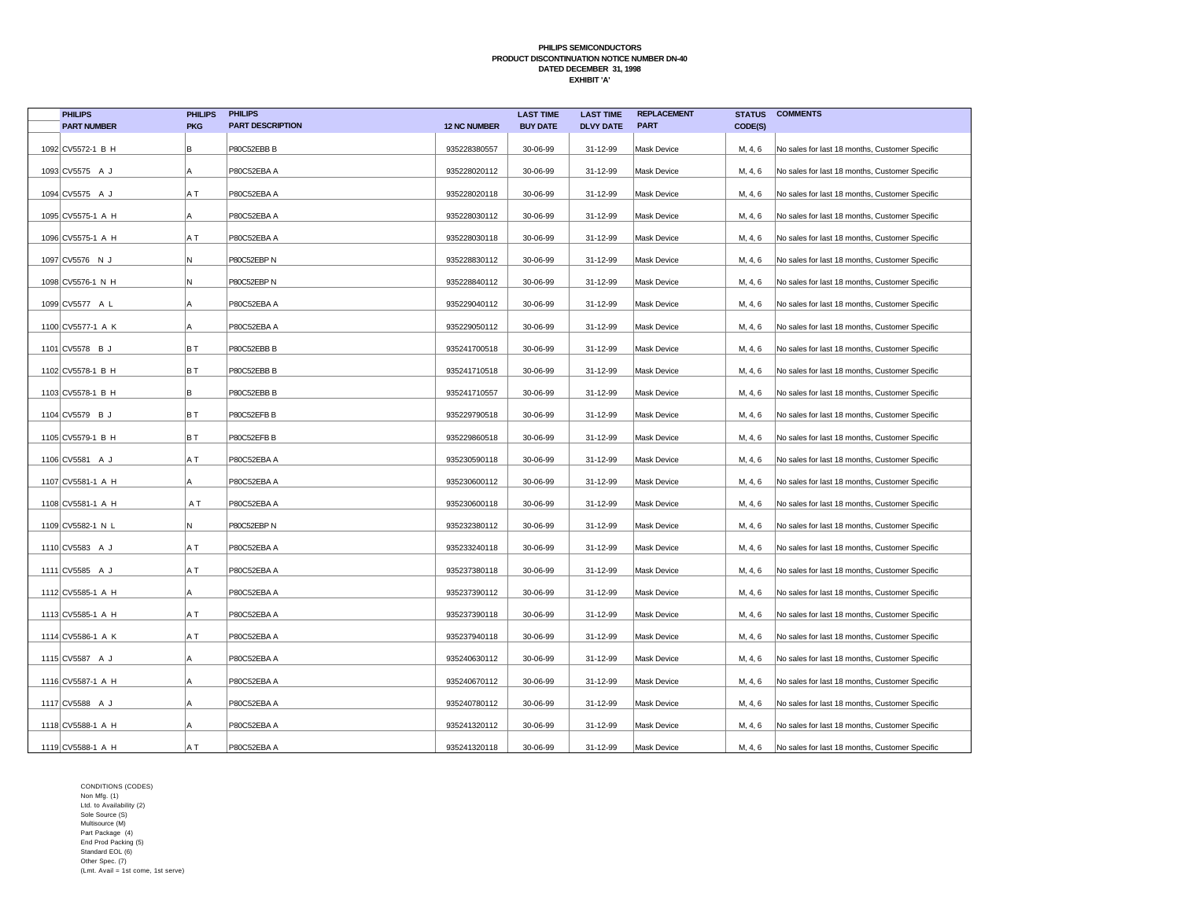| <b>PHILIPS</b>     | <b>PHILIPS</b> | <b>PHILIPS</b>          |                     | <b>LAST TIME</b> | <b>LAST TIME</b> | <b>REPLACEMENT</b> | <b>STATUS</b> | <b>COMMENTS</b>                                |
|--------------------|----------------|-------------------------|---------------------|------------------|------------------|--------------------|---------------|------------------------------------------------|
| <b>PART NUMBER</b> | <b>PKG</b>     | <b>PART DESCRIPTION</b> | <b>12 NC NUMBER</b> | <b>BUY DATE</b>  | <b>DLVY DATE</b> | <b>PART</b>        | CODE(S)       |                                                |
| 1092 CV5572-1 B H  | B              | P80C52EBB B             | 935228380557        | 30-06-99         | 31-12-99         | Mask Device        | M, 4, 6       | No sales for last 18 months, Customer Specific |
| 1093 CV5575 A J    | A              | P80C52EBA A             | 935228020112        | 30-06-99         | 31-12-99         | Mask Device        | M, 4, 6       | No sales for last 18 months, Customer Specific |
| 1094 CV5575 A J    | A T            | P80C52EBA A             | 935228020118        | 30-06-99         | 31-12-99         | Mask Device        | M, 4, 6       | No sales for last 18 months, Customer Specific |
| 1095 CV5575-1 A H  | A              | P80C52EBA A             | 935228030112        | 30-06-99         | 31-12-99         | Mask Device        | M, 4, 6       | No sales for last 18 months, Customer Specific |
| 1096 CV5575-1 A H  | A T            | P80C52EBA A             | 935228030118        | 30-06-99         | 31-12-99         | Mask Device        | M, 4, 6       | No sales for last 18 months, Customer Specific |
| 1097 CV5576 N J    | N              | P80C52EBP N             | 935228830112        | 30-06-99         | 31-12-99         | Mask Device        | M, 4, 6       | No sales for last 18 months, Customer Specific |
| 1098 CV5576-1 N H  | N              | P80C52EBP N             | 935228840112        | 30-06-99         | 31-12-99         | Mask Device        | M, 4, 6       | No sales for last 18 months, Customer Specific |
| 1099 CV5577 A L    | Α              | P80C52EBA A             | 935229040112        | 30-06-99         | 31-12-99         | <b>Mask Device</b> | M, 4, 6       | No sales for last 18 months, Customer Specific |
| 1100 CV5577-1 A K  | Α              | P80C52EBA A             | 935229050112        | 30-06-99         | 31-12-99         | Mask Device        | M, 4, 6       | No sales for last 18 months, Customer Specific |
| 1101 CV5578 B J    | BT             | P80C52EBB B             | 935241700518        | 30-06-99         | 31-12-99         | Mask Device        | M, 4, 6       | No sales for last 18 months, Customer Specific |
| 1102 CV5578-1 B H  | BT             | P80C52EBB B             | 935241710518        | 30-06-99         | 31-12-99         | Mask Device        | M, 4, 6       | No sales for last 18 months, Customer Specific |
| 1103 CV5578-1 B H  | B              | P80C52EBB B             | 935241710557        | 30-06-99         | 31-12-99         | <b>Mask Device</b> | M, 4, 6       | No sales for last 18 months, Customer Specific |
| 1104 CV5579 B J    | BT             | P80C52EFB B             | 935229790518        | 30-06-99         | 31-12-99         | Mask Device        | M, 4, 6       | No sales for last 18 months, Customer Specific |
| 1105 CV5579-1 B H  | BT             | P80C52EFB B             | 935229860518        | 30-06-99         | 31-12-99         | Mask Device        | M, 4, 6       | No sales for last 18 months, Customer Specific |
| 1106 CV5581 A J    | A T            | P80C52EBA A             | 935230590118        | 30-06-99         | 31-12-99         | Mask Device        | M, 4, 6       | No sales for last 18 months, Customer Specific |
| 1107 CV5581-1 A H  | Α              | P80C52EBA A             | 935230600112        | 30-06-99         | 31-12-99         | Mask Device        | M, 4, 6       | No sales for last 18 months, Customer Specific |
| 1108 CV5581-1 A H  | A T            | P80C52EBA A             | 935230600118        | 30-06-99         | 31-12-99         | Mask Device        | M, 4, 6       | No sales for last 18 months, Customer Specific |
| 1109 CV5582-1 N L  | N              | P80C52EBP N             | 935232380112        | 30-06-99         | 31-12-99         | Mask Device        | M, 4, 6       | No sales for last 18 months, Customer Specific |
| 1110 CV5583 A J    | A T            | P80C52EBA A             | 935233240118        | 30-06-99         | 31-12-99         | Mask Device        | M, 4, 6       | No sales for last 18 months, Customer Specific |
| 1111 CV5585 A J    | A T            | P80C52EBA A             | 935237380118        | 30-06-99         | 31-12-99         | Mask Device        | M, 4, 6       | No sales for last 18 months, Customer Specific |
| 1112 CV5585-1 A H  | A              | P80C52EBA A             | 935237390112        | 30-06-99         | 31-12-99         | Mask Device        | M, 4, 6       | No sales for last 18 months, Customer Specific |
| 1113 CV5585-1 A H  | A T            | P80C52EBA A             | 935237390118        | 30-06-99         | 31-12-99         | Mask Device        | M, 4, 6       | No sales for last 18 months, Customer Specific |
| 1114 CV5586-1 A K  | ΑT             | P80C52EBA A             | 935237940118        | 30-06-99         | 31-12-99         | Mask Device        | M, 4, 6       | No sales for last 18 months, Customer Specific |
| 1115 CV5587 A J    | A              | P80C52EBA A             | 935240630112        | 30-06-99         | 31-12-99         | Mask Device        | M, 4, 6       | No sales for last 18 months, Customer Specific |
| 1116 CV5587-1 A H  | Α              | P80C52EBA A             | 935240670112        | 30-06-99         | 31-12-99         | Mask Device        | M, 4, 6       | No sales for last 18 months, Customer Specific |
| 1117 CV5588 A J    | A              | P80C52EBA A             | 935240780112        | 30-06-99         | 31-12-99         | Mask Device        | M, 4, 6       | No sales for last 18 months, Customer Specific |
| 1118 CV5588-1 A H  | A              | P80C52EBA A             | 935241320112        | 30-06-99         | 31-12-99         | Mask Device        | M, 4, 6       | No sales for last 18 months, Customer Specific |
| 1119 CV5588-1 A H  | A T            | P80C52EBA A             | 935241320118        | 30-06-99         | 31-12-99         | Mask Device        | M, 4, 6       | No sales for last 18 months, Customer Specific |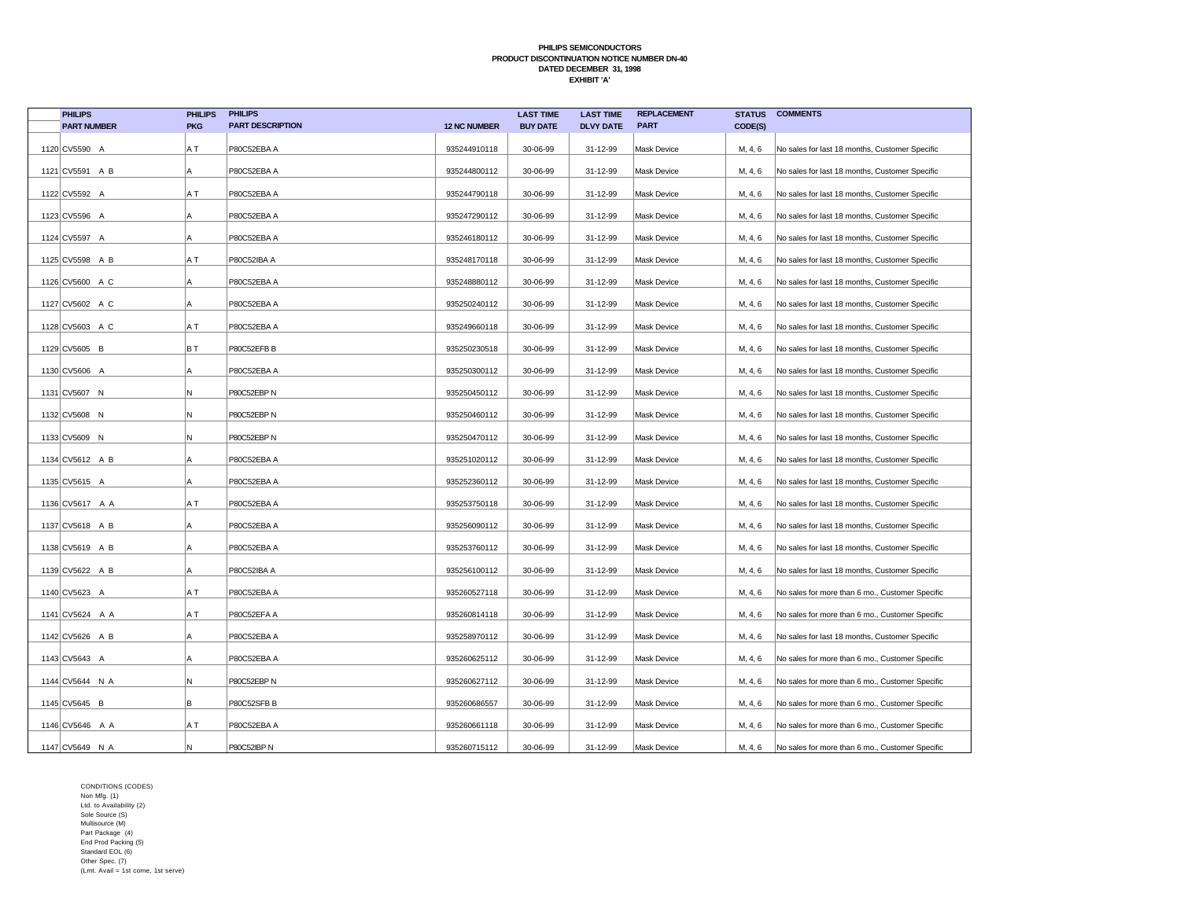| <b>PHILIPS</b>     | <b>PHILIPS</b> | <b>PHILIPS</b>          |                     | <b>LAST TIME</b> | <b>LAST TIME</b> | <b>REPLACEMENT</b> | <b>STATUS</b> | <b>COMMENTS</b>                                 |
|--------------------|----------------|-------------------------|---------------------|------------------|------------------|--------------------|---------------|-------------------------------------------------|
| <b>PART NUMBER</b> | <b>PKG</b>     | <b>PART DESCRIPTION</b> | <b>12 NC NUMBER</b> | <b>BUY DATE</b>  | <b>DLVY DATE</b> | <b>PART</b>        | CODE(S)       |                                                 |
| 1120 CV5590 A      | A T            | P80C52EBA A             | 935244910118        | 30-06-99         | 31-12-99         | <b>Mask Device</b> | M, 4, 6       | No sales for last 18 months, Customer Specific  |
| 1121 CV5591 A B    | A              | P80C52EBA A             | 935244800112        | 30-06-99         | 31-12-99         | <b>Mask Device</b> | M, 4, 6       | No sales for last 18 months, Customer Specific  |
| 1122 CV5592 A      | A T            | P80C52EBA A             | 935244790118        | 30-06-99         | 31-12-99         | <b>Mask Device</b> | M, 4, 6       | No sales for last 18 months, Customer Specific  |
| 1123 CV5596 A      | A              | P80C52EBA A             | 935247290112        | 30-06-99         | 31-12-99         | <b>Mask Device</b> | M, 4, 6       | No sales for last 18 months, Customer Specific  |
| 1124 CV5597 A      | Α              | P80C52EBA A             | 935246180112        | 30-06-99         | 31-12-99         | Mask Device        | M, 4, 6       | No sales for last 18 months, Customer Specific  |
| 1125 CV5598 A B    | A T            | P80C52IBA A             | 935248170118        | 30-06-99         | 31-12-99         | <b>Mask Device</b> | M, 4, 6       | No sales for last 18 months, Customer Specific  |
| 1126 CV5600 A C    | A              | P80C52EBA A             | 935248880112        | 30-06-99         | 31-12-99         | Mask Device        | M, 4, 6       | No sales for last 18 months, Customer Specific  |
| 1127 CV5602 A C    | Α              | P80C52EBA A             | 935250240112        | 30-06-99         | 31-12-99         | <b>Mask Device</b> | M, 4, 6       | No sales for last 18 months, Customer Specific  |
| 1128 CV5603 A C    | ΑT             | P80C52EBA A             | 935249660118        | 30-06-99         | 31-12-99         | <b>Mask Device</b> | M, 4, 6       | No sales for last 18 months, Customer Specific  |
| 1129 CV5605 B      | BT             | P80C52EFB B             | 935250230518        | 30-06-99         | 31-12-99         | Mask Device        | M, 4, 6       | No sales for last 18 months, Customer Specific  |
| 1130 CV5606 A      | Α              | P80C52EBA A             | 935250300112        | 30-06-99         | 31-12-99         | <b>Mask Device</b> | M, 4, 6       | No sales for last 18 months, Customer Specific  |
| 1131 CV5607 N      | N              | P80C52EBP N             | 935250450112        | 30-06-99         | 31-12-99         | <b>Mask Device</b> | M, 4, 6       | No sales for last 18 months, Customer Specific  |
| 1132 CV5608 N      | N              | P80C52EBP N             | 935250460112        | 30-06-99         | 31-12-99         | <b>Mask Device</b> | M, 4, 6       | No sales for last 18 months, Customer Specific  |
| 1133 CV5609 N      | N              | P80C52EBP N             | 935250470112        | 30-06-99         | 31-12-99         | <b>Mask Device</b> | M, 4, 6       | No sales for last 18 months, Customer Specific  |
| 1134 CV5612 A B    | ΙA             | P80C52EBA A             | 935251020112        | 30-06-99         | 31-12-99         | Mask Device        | M, 4, 6       | No sales for last 18 months, Customer Specific  |
| 1135 CV5615 A      | A              | P80C52EBA A             | 935252360112        | 30-06-99         | 31-12-99         | Mask Device        | M, 4, 6       | No sales for last 18 months, Customer Specific  |
| 1136 CV5617 A A    | A T            | P80C52EBA A             | 935253750118        | 30-06-99         | 31-12-99         | <b>Mask Device</b> | M, 4, 6       | No sales for last 18 months, Customer Specific  |
| 1137 CV5618 A B    | А              | P80C52EBA A             | 935256090112        | 30-06-99         | 31-12-99         | <b>Mask Device</b> | M, 4, 6       | No sales for last 18 months, Customer Specific  |
| 1138 CV5619 A B    |                | P80C52EBA A             | 935253760112        | 30-06-99         | 31-12-99         | <b>Mask Device</b> | M, 4, 6       | No sales for last 18 months, Customer Specific  |
| 1139 CV5622 A B    | Α              | P80C52IBA A             | 935256100112        | 30-06-99         | 31-12-99         | <b>Mask Device</b> | M, 4, 6       | No sales for last 18 months, Customer Specific  |
| 1140 CV5623 A      | A T            | P80C52EBA A             | 935260527118        | 30-06-99         | 31-12-99         | <b>Mask Device</b> | M, 4, 6       | No sales for more than 6 mo., Customer Specific |
| 1141 CV5624 A A    | ΑT             | P80C52EFA A             | 935260814118        | 30-06-99         | 31-12-99         | <b>Mask Device</b> | M, 4, 6       | No sales for more than 6 mo., Customer Specific |
| 1142 CV5626 A B    | A              | P80C52EBA A             | 935258970112        | 30-06-99         | 31-12-99         | <b>Mask Device</b> | M, 4, 6       | No sales for last 18 months, Customer Specific  |
| 1143 CV5643 A      | ΙA             | P80C52EBA A             | 935260625112        | 30-06-99         | 31-12-99         | <b>Mask Device</b> | M, 4, 6       | No sales for more than 6 mo., Customer Specific |
| 1144 CV5644 N A    | N              | P80C52EBP N             | 935260627112        | 30-06-99         | 31-12-99         | <b>Mask Device</b> | M, 4, 6       | No sales for more than 6 mo., Customer Specific |
| 1145 CV5645 B      | lв             | P80C52SFB B             | 935260686557        | 30-06-99         | 31-12-99         | <b>Mask Device</b> | M, 4, 6       | No sales for more than 6 mo., Customer Specific |
| 1146 CV5646 A A    | A T            | P80C52EBA A             | 935260661118        | 30-06-99         | 31-12-99         | Mask Device        | M, 4, 6       | No sales for more than 6 mo., Customer Specific |
| 1147 CV5649 N A    | N              | P80C52IBP N             | 935260715112        | 30-06-99         | 31-12-99         | <b>Mask Device</b> | M, 4, 6       | No sales for more than 6 mo., Customer Specific |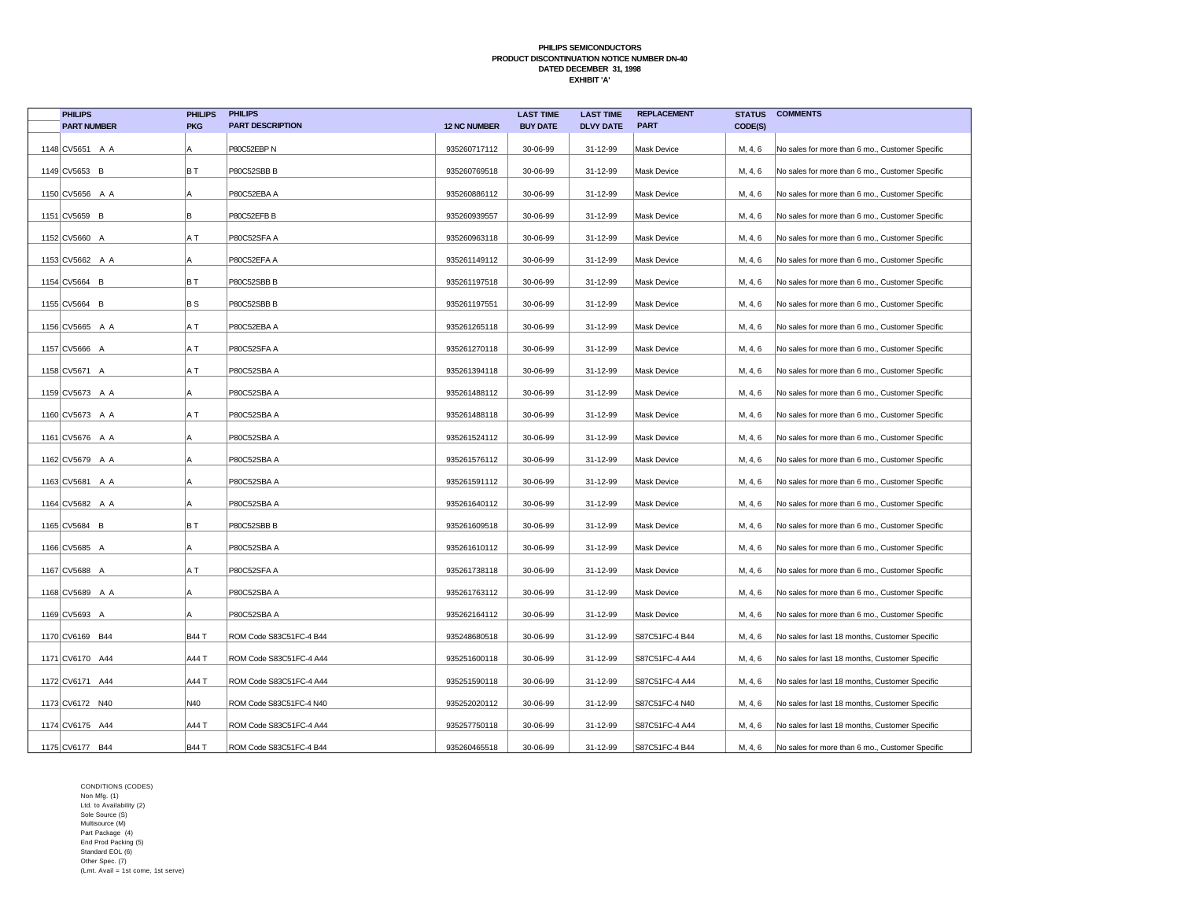| <b>PHILIPS</b>     | <b>PHILIPS</b> | <b>PHILIPS</b>          |                     | <b>LAST TIME</b> | <b>LAST TIME</b> | <b>REPLACEMENT</b> | <b>STATUS</b> | <b>COMMENTS</b>                                 |
|--------------------|----------------|-------------------------|---------------------|------------------|------------------|--------------------|---------------|-------------------------------------------------|
| <b>PART NUMBER</b> | <b>PKG</b>     | <b>PART DESCRIPTION</b> | <b>12 NC NUMBER</b> | <b>BUY DATE</b>  | <b>DLVY DATE</b> | <b>PART</b>        | CODE(S)       |                                                 |
| 1148 CV5651 A A    | Α              | P80C52EBP N             | 935260717112        | 30-06-99         | 31-12-99         | <b>Mask Device</b> | M, 4, 6       | No sales for more than 6 mo., Customer Specific |
| 1149 CV5653 B      | BT             | P80C52SBB B             | 935260769518        | 30-06-99         | 31-12-99         | <b>Mask Device</b> | M, 4, 6       | No sales for more than 6 mo., Customer Specific |
| 1150 CV5656 A A    | A              | P80C52EBA A             | 935260886112        | 30-06-99         | 31-12-99         | <b>Mask Device</b> | M, 4, 6       | No sales for more than 6 mo., Customer Specific |
| 1151 CV5659 B      | B              | P80C52EFB B             | 935260939557        | 30-06-99         | 31-12-99         | <b>Mask Device</b> | M, 4, 6       | No sales for more than 6 mo., Customer Specific |
| 1152 CV5660 A      | A T            | P80C52SFA A             | 935260963118        | 30-06-99         | 31-12-99         | <b>Mask Device</b> | M, 4, 6       | No sales for more than 6 mo., Customer Specific |
| 1153 CV5662 A A    | A              | P80C52EFA A             | 935261149112        | 30-06-99         | 31-12-99         | <b>Mask Device</b> | M, 4, 6       | No sales for more than 6 mo., Customer Specific |
| 1154 CV5664 B      | BT             | P80C52SBB B             | 935261197518        | 30-06-99         | 31-12-99         | <b>Mask Device</b> | M, 4, 6       | No sales for more than 6 mo., Customer Specific |
| 1155 CV5664 B      | BS             | P80C52SBB B             | 935261197551        | 30-06-99         | 31-12-99         | <b>Mask Device</b> | M, 4, 6       | No sales for more than 6 mo., Customer Specific |
|                    |                |                         |                     |                  |                  |                    |               |                                                 |
| 1156 CV5665 A A    | ΑT             | P80C52EBA A             | 935261265118        | 30-06-99         | 31-12-99         | Mask Device        | M, 4, 6       | No sales for more than 6 mo., Customer Specific |
| 1157 CV5666 A      | A T            | P80C52SFA A             | 935261270118        | 30-06-99         | 31-12-99         | <b>Mask Device</b> | M, 4, 6       | No sales for more than 6 mo., Customer Specific |
| 1158 CV5671 A      | A T            | P80C52SBA A             | 935261394118        | 30-06-99         | 31-12-99         | <b>Mask Device</b> | M, 4, 6       | No sales for more than 6 mo., Customer Specific |
| 1159 CV5673 A A    | А              | P80C52SBA A             | 935261488112        | 30-06-99         | 31-12-99         | <b>Mask Device</b> | M, 4, 6       | No sales for more than 6 mo., Customer Specific |
| 1160 CV5673 A A    | ΑT             | P80C52SBA A             | 935261488118        | 30-06-99         | 31-12-99         | <b>Mask Device</b> | M, 4, 6       | No sales for more than 6 mo., Customer Specific |
| 1161 CV5676 A A    | Α              | P80C52SBA A             | 935261524112        | 30-06-99         | 31-12-99         | Mask Device        | M, 4, 6       | No sales for more than 6 mo., Customer Specific |
| 1162 CV5679 A A    | A              | P80C52SBA A             | 935261576112        | 30-06-99         | 31-12-99         | <b>Mask Device</b> | M, 4, 6       | No sales for more than 6 mo., Customer Specific |
| 1163 CV5681 A A    | А              | P80C52SBA A             | 935261591112        | 30-06-99         | 31-12-99         | <b>Mask Device</b> | M, 4, 6       | No sales for more than 6 mo., Customer Specific |
| 1164 CV5682 A A    | A              | P80C52SBA A             | 935261640112        | 30-06-99         | 31-12-99         | <b>Mask Device</b> | M, 4, 6       | No sales for more than 6 mo., Customer Specific |
| 1165 CV5684 B      | BT             | P80C52SBB B             | 935261609518        | 30-06-99         | 31-12-99         | <b>Mask Device</b> | M, 4, 6       | No sales for more than 6 mo., Customer Specific |
| 1166 CV5685 A      | А              | P80C52SBA A             | 935261610112        | 30-06-99         | 31-12-99         | <b>Mask Device</b> | M, 4, 6       | No sales for more than 6 mo., Customer Specific |
| 1167 CV5688 A      | ΑT             | P80C52SFA A             | 935261738118        | 30-06-99         | 31-12-99         | Mask Device        | M, 4, 6       | No sales for more than 6 mo., Customer Specific |
| 1168 CV5689 A A    | А              | P80C52SBA A             | 935261763112        | 30-06-99         | 31-12-99         | <b>Mask Device</b> | M, 4, 6       | No sales for more than 6 mo., Customer Specific |
| 1169 CV5693 A      | Α              | P80C52SBA A             | 935262164112        | 30-06-99         | 31-12-99         | <b>Mask Device</b> | M, 4, 6       | No sales for more than 6 mo., Customer Specific |
| 1170 CV6169 B44    | <b>B44 T</b>   | ROM Code S83C51FC-4 B44 | 935248680518        | 30-06-99         | 31-12-99         | S87C51FC-4 B44     | M, 4, 6       | No sales for last 18 months, Customer Specific  |
| 1171 CV6170 A44    | A44 T          | ROM Code S83C51FC-4 A44 | 935251600118        | 30-06-99         | 31-12-99         | S87C51FC-4 A44     | M, 4, 6       | No sales for last 18 months, Customer Specific  |
| 1172 CV6171 A44    | A44 T          | ROM Code S83C51FC-4 A44 | 935251590118        | 30-06-99         | 31-12-99         | S87C51FC-4 A44     | M, 4, 6       | No sales for last 18 months, Customer Specific  |
| 1173 CV6172 N40    | N40            | ROM Code S83C51FC-4 N40 | 935252020112        | 30-06-99         | 31-12-99         | S87C51FC-4 N40     | M, 4, 6       | No sales for last 18 months, Customer Specific  |
| 1174 CV6175 A44    | A44 T          | ROM Code S83C51FC-4 A44 | 935257750118        | 30-06-99         | 31-12-99         | S87C51FC-4 A44     | M, 4, 6       | No sales for last 18 months, Customer Specific  |
|                    |                |                         |                     |                  |                  |                    |               |                                                 |
| 1175 CV6177 B44    | <b>B44 T</b>   | ROM Code S83C51FC-4 B44 | 935260465518        | 30-06-99         | 31-12-99         | S87C51FC-4 B44     | M, 4, 6       | No sales for more than 6 mo., Customer Specific |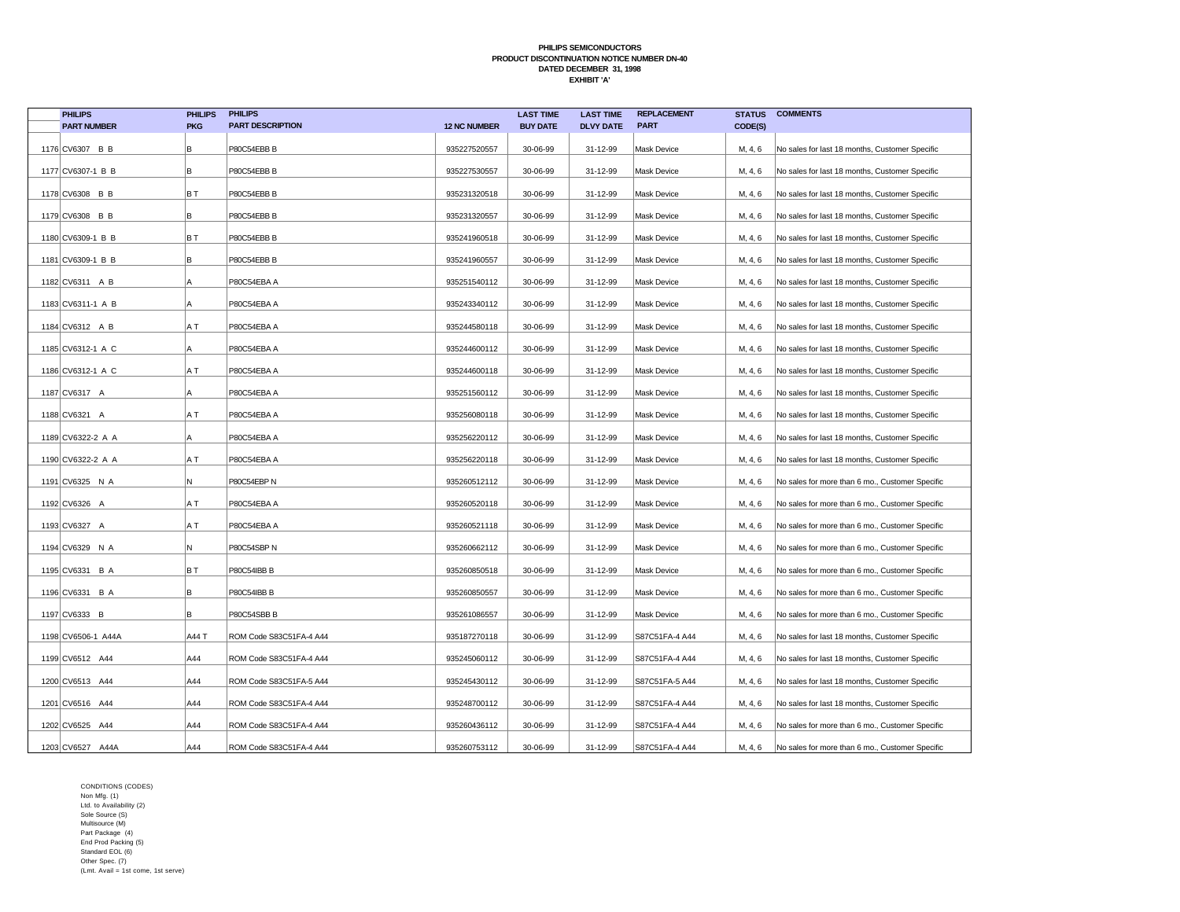| <b>PHILIPS</b>     | <b>PHILIPS</b> | <b>PHILIPS</b>          |                     | <b>LAST TIME</b> | <b>LAST TIME</b> | <b>REPLACEMENT</b> | <b>STATUS</b> | <b>COMMENTS</b>                                 |
|--------------------|----------------|-------------------------|---------------------|------------------|------------------|--------------------|---------------|-------------------------------------------------|
| <b>PART NUMBER</b> | <b>PKG</b>     | <b>PART DESCRIPTION</b> | <b>12 NC NUMBER</b> | <b>BUY DATE</b>  | <b>DLVY DATE</b> | <b>PART</b>        | CODE(S)       |                                                 |
| 1176 CV6307 B B    | B              | P80C54EBB B             | 935227520557        | 30-06-99         | 31-12-99         | Mask Device        | M, 4, 6       | No sales for last 18 months, Customer Specific  |
| 1177 CV6307-1 B B  | B              | P80C54EBB B             | 935227530557        | 30-06-99         | 31-12-99         | Mask Device        | M, 4, 6       | No sales for last 18 months, Customer Specific  |
| 1178 CV6308 B B    | ΒT             | P80C54EBB B             | 935231320518        | 30-06-99         | 31-12-99         | Mask Device        | M, 4, 6       | No sales for last 18 months, Customer Specific  |
| 1179 CV6308 B B    | B              | P80C54EBB B             | 935231320557        | 30-06-99         | 31-12-99         | Mask Device        | M, 4, 6       | No sales for last 18 months, Customer Specific  |
| 1180 CV6309-1 B B  | BT             | P80C54EBB B             | 935241960518        | 30-06-99         | 31-12-99         | Mask Device        | M, 4, 6       | No sales for last 18 months, Customer Specific  |
| 1181 CV6309-1 B B  | B              | P80C54EBB B             | 935241960557        | 30-06-99         | 31-12-99         | Mask Device        | M, 4, 6       | No sales for last 18 months, Customer Specific  |
| 1182 CV6311 A B    | A              | P80C54EBA A             | 935251540112        | 30-06-99         | 31-12-99         | <b>Mask Device</b> | M, 4, 6       | No sales for last 18 months, Customer Specific  |
| 1183 CV6311-1 A B  | A              | P80C54EBA A             | 935243340112        | 30-06-99         | 31-12-99         | <b>Mask Device</b> | M, 4, 6       | No sales for last 18 months, Customer Specific  |
| 1184 CV6312 A B    | A T            | P80C54EBA A             | 935244580118        | 30-06-99         | 31-12-99         | Mask Device        | M, 4, 6       | No sales for last 18 months, Customer Specific  |
| 1185 CV6312-1 A C  | A              | P80C54EBA A             | 935244600112        | 30-06-99         | 31-12-99         | Mask Device        | M, 4, 6       | No sales for last 18 months, Customer Specific  |
| 1186 CV6312-1 A C  | A T            | P80C54EBA A             | 935244600118        | 30-06-99         | 31-12-99         | Mask Device        | M, 4, 6       | No sales for last 18 months, Customer Specific  |
| 1187 CV6317 A      | A              | P80C54EBA A             | 935251560112        | 30-06-99         | 31-12-99         | Mask Device        | M, 4, 6       | No sales for last 18 months, Customer Specific  |
| 1188 CV6321 A      | A T            | P80C54EBA A             | 935256080118        | 30-06-99         | 31-12-99         | Mask Device        | M, 4, 6       | No sales for last 18 months, Customer Specific  |
| 1189 CV6322-2 A A  | A              | P80C54EBA A             | 935256220112        | 30-06-99         | 31-12-99         | Mask Device        | M, 4, 6       | No sales for last 18 months, Customer Specific  |
| 1190 CV6322-2 A A  | A T            | P80C54EBA A             | 935256220118        | 30-06-99         | 31-12-99         | Mask Device        | M, 4, 6       | No sales for last 18 months, Customer Specific  |
| 1191 CV6325 N A    | N              | P80C54EBP N             | 935260512112        | 30-06-99         | 31-12-99         | Mask Device        | M, 4, 6       | No sales for more than 6 mo., Customer Specific |
| 1192 CV6326 A      | A T            | P80C54EBA A             | 935260520118        | 30-06-99         | 31-12-99         | Mask Device        | M, 4, 6       | No sales for more than 6 mo., Customer Specific |
| 1193 CV6327 A      | A T            | P80C54EBA A             | 935260521118        | 30-06-99         | 31-12-99         | Mask Device        | M, 4, 6       | No sales for more than 6 mo., Customer Specific |
| 1194 CV6329 N A    | N              | P80C54SBP N             | 935260662112        | 30-06-99         | 31-12-99         | Mask Device        | M, 4, 6       | No sales for more than 6 mo., Customer Specific |
| 1195 CV6331 B A    | BT             | P80C54IBB B             | 935260850518        | 30-06-99         | 31-12-99         | Mask Device        | M, 4, 6       | No sales for more than 6 mo., Customer Specific |
| 1196 CV6331 B A    | B              | P80C54IBB B             | 935260850557        | 30-06-99         | 31-12-99         | Mask Device        | M, 4, 6       | No sales for more than 6 mo., Customer Specific |
| 1197 CV6333 B      | B              | P80C54SBB B             | 935261086557        | 30-06-99         | 31-12-99         | Mask Device        | M, 4, 6       | No sales for more than 6 mo., Customer Specific |
| 1198 CV6506-1 A44A | A44 T          | ROM Code S83C51FA-4 A44 | 935187270118        | 30-06-99         | 31-12-99         | S87C51FA-4 A44     | M, 4, 6       | No sales for last 18 months, Customer Specific  |
| 1199 CV6512 A44    | A44            | ROM Code S83C51FA-4 A44 | 935245060112        | 30-06-99         | 31-12-99         | S87C51FA-4 A44     | M, 4, 6       | No sales for last 18 months, Customer Specific  |
| 1200 CV6513 A44    | A44            | ROM Code S83C51FA-5 A44 | 935245430112        | 30-06-99         | 31-12-99         | S87C51FA-5 A44     | M, 4, 6       | No sales for last 18 months, Customer Specific  |
| 1201 CV6516 A44    | A44            | ROM Code S83C51FA-4 A44 | 935248700112        | 30-06-99         | 31-12-99         | S87C51FA-4 A44     | M, 4, 6       | No sales for last 18 months, Customer Specific  |
| 1202 CV6525 A44    | A44            | ROM Code S83C51FA-4 A44 | 935260436112        | 30-06-99         | 31-12-99         | S87C51FA-4 A44     | M, 4, 6       | No sales for more than 6 mo., Customer Specific |
| 1203 CV6527 A44A   | A44            | ROM Code S83C51FA-4 A44 | 935260753112        | 30-06-99         | 31-12-99         | S87C51FA-4 A44     | M, 4, 6       | No sales for more than 6 mo., Customer Specific |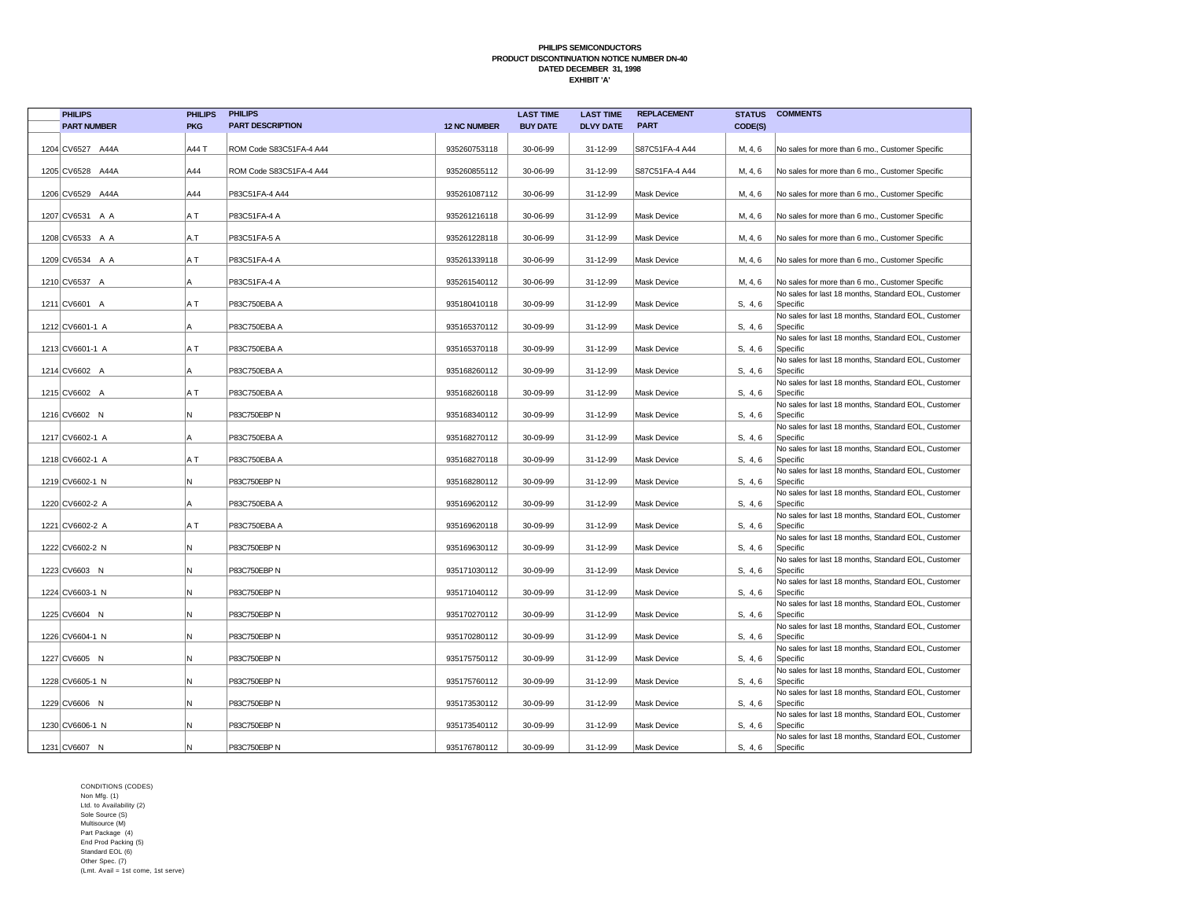| <b>PHILIPS</b>     | <b>PHILIPS</b> | <b>PHILIPS</b>          |                     | <b>LAST TIME</b> | <b>LAST TIME</b> | <b>REPLACEMENT</b> | <b>STATUS</b> | <b>COMMENTS</b>                                                 |
|--------------------|----------------|-------------------------|---------------------|------------------|------------------|--------------------|---------------|-----------------------------------------------------------------|
| <b>PART NUMBER</b> | <b>PKG</b>     | <b>PART DESCRIPTION</b> | <b>12 NC NUMBER</b> | <b>BUY DATE</b>  | <b>DLVY DATE</b> | <b>PART</b>        | CODE(S)       |                                                                 |
|                    |                |                         |                     |                  |                  |                    |               |                                                                 |
| 1204 CV6527 A44A   | A44 T          | ROM Code S83C51FA-4 A44 | 935260753118        | 30-06-99         | 31-12-99         | S87C51FA-4 A44     | M, 4, 6       | No sales for more than 6 mo., Customer Specific                 |
|                    |                |                         |                     |                  |                  |                    |               |                                                                 |
| 1205 CV6528 A44A   | A44            | ROM Code S83C51FA-4 A44 | 935260855112        | 30-06-99         | 31-12-99         | S87C51FA-4 A44     | M, 4, 6       | No sales for more than 6 mo., Customer Specific                 |
|                    |                |                         |                     |                  |                  |                    |               |                                                                 |
| 1206 CV6529 A44A   | A44            | P83C51FA-4 A44          | 935261087112        | 30-06-99         | 31-12-99         | Mask Device        | M, 4, 6       | No sales for more than 6 mo., Customer Specific                 |
| 1207 CV6531 A A    | A T            | P83C51FA-4 A            | 935261216118        | 30-06-99         | 31-12-99         | <b>Mask Device</b> | M, 4, 6       | No sales for more than 6 mo., Customer Specific                 |
|                    |                |                         |                     |                  |                  |                    |               |                                                                 |
| 1208 CV6533 A A    | A.T            | P83C51FA-5 A            | 935261228118        | 30-06-99         | 31-12-99         | Mask Device        | M, 4, 6       | No sales for more than 6 mo., Customer Specific                 |
|                    |                |                         |                     |                  |                  |                    |               |                                                                 |
| 1209 CV6534 A A    | A T            | P83C51FA-4 A            | 935261339118        | 30-06-99         | 31-12-99         | <b>Mask Device</b> | M, 4, 6       | No sales for more than 6 mo., Customer Specific                 |
|                    |                |                         |                     |                  |                  |                    |               |                                                                 |
| 1210 CV6537 A      | А              | P83C51FA-4 A            | 935261540112        | 30-06-99         | 31-12-99         | Mask Device        | M, 4, 6       | No sales for more than 6 mo., Customer Specific                 |
| 1211 CV6601 A      | A T            | P83C750EBA A            | 935180410118        | 30-09-99         | 31-12-99         | Mask Device        | S, 4, 6       | No sales for last 18 months, Standard EOL, Customer<br>Specific |
|                    |                |                         |                     |                  |                  |                    |               | No sales for last 18 months, Standard EOL, Customer             |
| 1212 CV6601-1 A    | Α              | P83C750EBA A            | 935165370112        | 30-09-99         | 31-12-99         | Mask Device        | S, 4, 6       | Specific                                                        |
|                    |                |                         |                     |                  |                  |                    |               | No sales for last 18 months, Standard EOL, Customer             |
| 1213 CV6601-1 A    | A T            | P83C750EBA A            | 935165370118        | 30-09-99         | 31-12-99         | <b>Mask Device</b> | S. 4.6        | Specific                                                        |
|                    |                |                         |                     |                  |                  |                    |               | No sales for last 18 months, Standard EOL, Customer             |
| 1214 CV6602 A      | A              | P83C750EBA A            | 935168260112        | 30-09-99         | 31-12-99         | <b>Mask Device</b> | S. 4.6        | Specific                                                        |
|                    |                |                         |                     |                  |                  |                    |               | No sales for last 18 months, Standard EOL, Customer             |
| 1215 CV6602 A      | A T            | P83C750EBA A            | 935168260118        | 30-09-99         | 31-12-99         | <b>Mask Device</b> | S, 4, 6       | Specific                                                        |
| 1216 CV6602 N      | N              | P83C750EBP N            | 935168340112        | 30-09-99         | 31-12-99         | <b>Mask Device</b> |               | No sales for last 18 months, Standard EOL, Customer<br>Specific |
|                    |                |                         |                     |                  |                  |                    | S, 4, 6       | No sales for last 18 months, Standard EOL, Customer             |
| 1217 CV6602-1 A    | A              | P83C750EBA A            | 935168270112        | 30-09-99         | 31-12-99         | Mask Device        | S. 4.6        | Specific                                                        |
|                    |                |                         |                     |                  |                  |                    |               | No sales for last 18 months, Standard EOL, Customer             |
| 1218 CV6602-1 A    | A T            | P83C750EBA A            | 935168270118        | 30-09-99         | 31-12-99         | Mask Device        | S, 4, 6       | Specific                                                        |
|                    |                |                         |                     |                  |                  |                    |               | No sales for last 18 months, Standard EOL, Customer             |
| 1219 CV6602-1 N    | N              | P83C750EBP N            | 935168280112        | 30-09-99         | 31-12-99         | Mask Device        | S, 4, 6       | Specific                                                        |
|                    |                |                         |                     |                  |                  |                    |               | No sales for last 18 months, Standard EOL, Customer             |
| 1220 CV6602-2 A    | А              | P83C750EBA A            | 935169620112        | 30-09-99         | 31-12-99         | Mask Device        | S, 4, 6       | Specific                                                        |
| 1221 CV6602-2 A    | A T            | P83C750EBA A            | 935169620118        | 30-09-99         | 31-12-99         | Mask Device        | S, 4, 6       | No sales for last 18 months, Standard EOL, Customer<br>Specific |
|                    |                |                         |                     |                  |                  |                    |               | No sales for last 18 months, Standard EOL, Customer             |
| 1222 CV6602-2 N    | N              | P83C750EBP N            | 935169630112        | 30-09-99         | 31-12-99         | Mask Device        | S, 4, 6       | Specific                                                        |
|                    |                |                         |                     |                  |                  |                    |               | No sales for last 18 months, Standard EOL, Customer             |
| 1223 CV6603 N      | Ν              | P83C750EBP N            | 935171030112        | 30-09-99         | 31-12-99         | Mask Device        | S, 4, 6       | Specific                                                        |
|                    |                |                         |                     |                  |                  |                    |               | No sales for last 18 months, Standard EOL, Customer             |
| 1224 CV6603-1 N    | N              | P83C750EBP N            | 935171040112        | 30-09-99         | 31-12-99         | <b>Mask Device</b> | S, 4, 6       | Specific                                                        |
| 1225 CV6604 N      | N              | P83C750EBP N            | 935170270112        | 30-09-99         | 31-12-99         | <b>Mask Device</b> | S. 4.6        | No sales for last 18 months, Standard EOL, Customer<br>Specific |
|                    |                |                         |                     |                  |                  |                    |               | No sales for last 18 months, Standard EOL, Customer             |
| 1226 CV6604-1 N    | N              | P83C750EBP N            | 935170280112        | 30-09-99         | 31-12-99         | <b>Mask Device</b> | S, 4, 6       | Specific                                                        |
|                    |                |                         |                     |                  |                  |                    |               | No sales for last 18 months, Standard EOL, Customer             |
| 1227 CV6605 N      | N              | P83C750EBP N            | 935175750112        | 30-09-99         | 31-12-99         | Mask Device        | S, 4, 6       | Specific                                                        |
|                    |                |                         |                     |                  |                  |                    |               | No sales for last 18 months, Standard EOL, Customer             |
| 1228 CV6605-1 N    | N              | P83C750EBP N            | 935175760112        | 30-09-99         | 31-12-99         | <b>Mask Device</b> | S, 4, 6       | Specific                                                        |
|                    |                |                         |                     |                  |                  |                    |               | No sales for last 18 months, Standard EOL, Customer             |
| 1229 CV6606 N      | N              | P83C750EBP N            | 935173530112        | 30-09-99         | 31-12-99         | <b>Mask Device</b> | S, 4, 6       | Specific                                                        |
| 1230 CV6606-1 N    | N              | P83C750EBP N            | 935173540112        | 30-09-99         | 31-12-99         | <b>Mask Device</b> | S, 4, 6       | No sales for last 18 months, Standard EOL, Customer<br>Specific |
|                    |                |                         |                     |                  |                  |                    |               | No sales for last 18 months, Standard EOL, Customer             |
| 1231 CV6607 N      | N.             | P83C750EBP N            | 935176780112        | 30-09-99         | 31-12-99         | <b>Mask Device</b> | S, 4, 6       | Specific                                                        |
|                    |                |                         |                     |                  |                  |                    |               |                                                                 |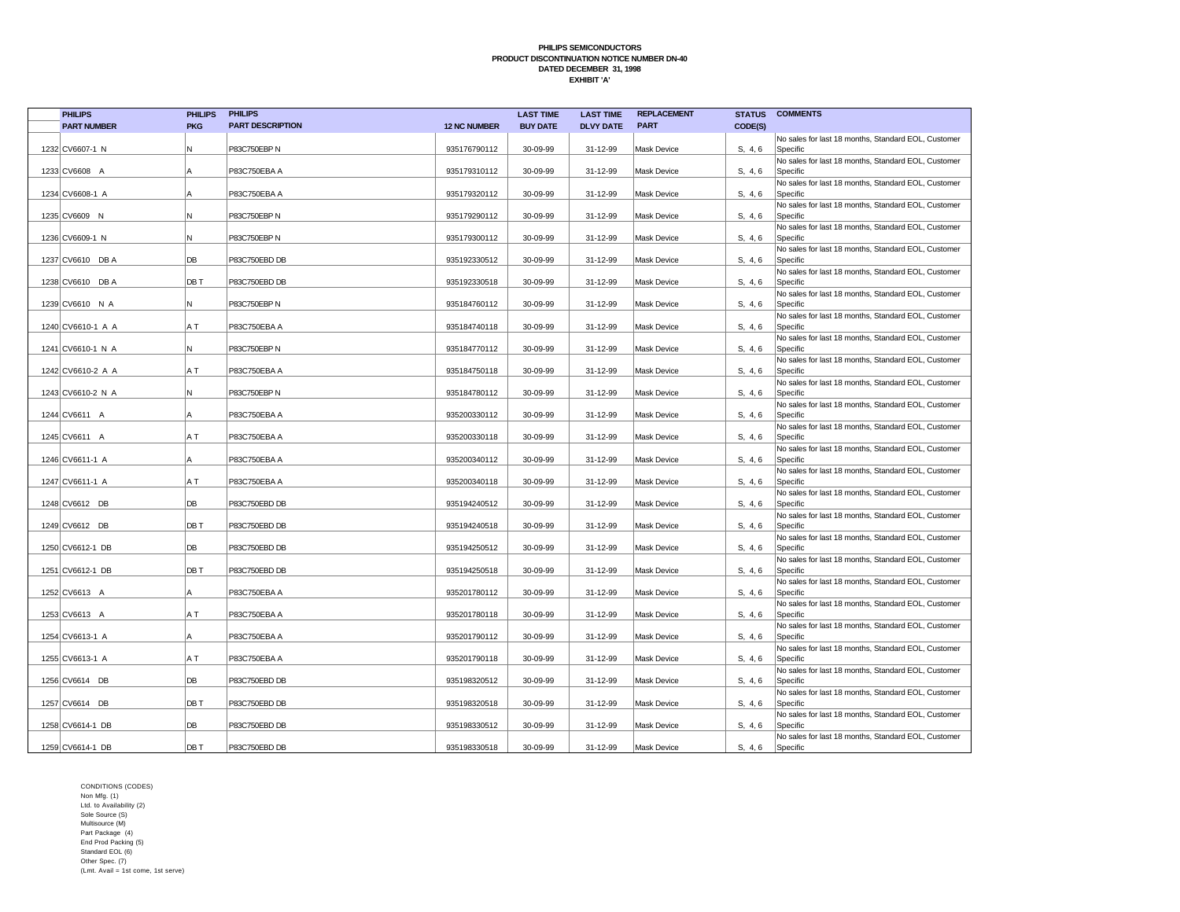| <b>PHILIPS</b>     | <b>PHILIPS</b> | <b>PHILIPS</b>          |                     | <b>LAST TIME</b> | <b>LAST TIME</b> | <b>REPLACEMENT</b> |         | <b>STATUS COMMENTS</b>                                          |
|--------------------|----------------|-------------------------|---------------------|------------------|------------------|--------------------|---------|-----------------------------------------------------------------|
| <b>PART NUMBER</b> | <b>PKG</b>     | <b>PART DESCRIPTION</b> | <b>12 NC NUMBER</b> | <b>BUY DATE</b>  | <b>DLVY DATE</b> | <b>PART</b>        | CODE(S) |                                                                 |
|                    |                |                         |                     |                  |                  |                    |         | No sales for last 18 months, Standard EOL, Customer             |
| 1232 CV6607-1 N    | N              | P83C750EBP N            | 935176790112        | 30-09-99         | 31-12-99         | <b>Mask Device</b> | S. 4.6  | Specific                                                        |
|                    |                |                         |                     |                  |                  |                    |         | No sales for last 18 months, Standard EOL, Customer             |
| 1233 CV6608 A      | A              | P83C750EBA A            | 935179310112        | 30-09-99         | 31-12-99         | <b>Mask Device</b> | S. 4.6  | Specific                                                        |
|                    |                |                         |                     |                  |                  |                    |         | No sales for last 18 months, Standard EOL, Customer             |
| 1234 CV6608-1 A    |                | P83C750EBA A            | 935179320112        | 30-09-99         | 31-12-99         | Mask Device        | S, 4, 6 | Specific<br>No sales for last 18 months, Standard EOL, Customer |
| 1235 CV6609 N      | N              | P83C750EBP N            | 935179290112        | 30-09-99         | 31-12-99         | <b>Mask Device</b> | S, 4, 6 | Specific                                                        |
|                    |                |                         |                     |                  |                  |                    |         | No sales for last 18 months, Standard EOL, Customer             |
| 1236 CV6609-1 N    | N              | P83C750EBP N            | 935179300112        | 30-09-99         | 31-12-99         | Mask Device        | S, 4, 6 | Specific                                                        |
|                    |                |                         |                     |                  |                  |                    |         | No sales for last 18 months, Standard EOL, Customer             |
| 1237 CV6610 DB A   | DB             | P83C750EBD DB           | 935192330512        | 30-09-99         | 31-12-99         | <b>Mask Device</b> | S, 4, 6 | Specific                                                        |
|                    |                |                         |                     |                  |                  |                    |         | No sales for last 18 months, Standard EOL, Customer             |
| 1238 CV6610 DB A   | DB T           | P83C750EBD DB           | 935192330518        | 30-09-99         | 31-12-99         | Mask Device        | S, 4, 6 | Specific                                                        |
| 1239 CV6610 N A    | N              | P83C750EBP N            | 935184760112        | 30-09-99         | 31-12-99         | Mask Device        | S, 4, 6 | No sales for last 18 months, Standard EOL, Customer<br>Specific |
|                    |                |                         |                     |                  |                  |                    |         | No sales for last 18 months, Standard EOL, Customer             |
| 1240 CV6610-1 A A  | A T            | P83C750EBA A            | 935184740118        | 30-09-99         | 31-12-99         | Mask Device        | S, 4, 6 | Specific                                                        |
|                    |                |                         |                     |                  |                  |                    |         | No sales for last 18 months, Standard EOL, Customer             |
| 1241 CV6610-1 N A  | N              | P83C750EBP N            | 935184770112        | 30-09-99         | 31-12-99         | <b>Mask Device</b> | S. 4.6  | Specific                                                        |
|                    |                |                         |                     |                  |                  |                    |         | No sales for last 18 months, Standard EOL, Customer             |
| 1242 CV6610-2 A A  | A T            | P83C750EBA A            | 935184750118        | 30-09-99         | 31-12-99         | <b>Mask Device</b> | S, 4, 6 | Specific                                                        |
|                    |                |                         |                     |                  |                  |                    |         | No sales for last 18 months, Standard EOL, Customer             |
| 1243 CV6610-2 N A  | N              | P83C750EBP N            | 935184780112        | 30-09-99         | 31-12-99         | <b>Mask Device</b> | S, 4, 6 | Specific                                                        |
| 1244 CV6611 A      | A              | P83C750EBA A            | 935200330112        | 30-09-99         | 31-12-99         | <b>Mask Device</b> | S, 4, 6 | No sales for last 18 months, Standard EOL, Customer<br>Specific |
|                    |                |                         |                     |                  |                  |                    |         | No sales for last 18 months, Standard EOL, Customer             |
| 1245 CV6611 A      | A T            | P83C750EBA A            | 935200330118        | 30-09-99         | 31-12-99         | Mask Device        | S. 4.6  | Specific                                                        |
|                    |                |                         |                     |                  |                  |                    |         | No sales for last 18 months, Standard EOL, Customer             |
| 1246 CV6611-1 A    | A              | P83C750EBA A            | 935200340112        | 30-09-99         | 31-12-99         | <b>Mask Device</b> | S. 4.6  | Specific                                                        |
|                    |                |                         |                     |                  |                  |                    |         | No sales for last 18 months, Standard EOL, Customer             |
| 1247 CV6611-1 A    | A T            | P83C750EBA A            | 935200340118        | 30-09-99         | 31-12-99         | Mask Device        | S, 4, 6 | Specific                                                        |
|                    | DB             | P83C750EBD DB           |                     |                  |                  | <b>Mask Device</b> |         | No sales for last 18 months, Standard EOL, Customer             |
| 1248 CV6612 DB     |                |                         | 935194240512        | 30-09-99         | 31-12-99         |                    | S. 4.6  | Specific<br>No sales for last 18 months, Standard EOL, Customer |
| 1249 CV6612 DB     | DB T           | P83C750EBD DB           | 935194240518        | 30-09-99         | 31-12-99         | <b>Mask Device</b> | S, 4, 6 | Specific                                                        |
|                    |                |                         |                     |                  |                  |                    |         | No sales for last 18 months, Standard EOL, Customer             |
| 1250 CV6612-1 DB   | DB             | P83C750EBD DB           | 935194250512        | 30-09-99         | 31-12-99         | Mask Device        | S, 4, 6 | Specific                                                        |
|                    |                |                         |                     |                  |                  |                    |         | No sales for last 18 months, Standard EOL, Customer             |
| 1251 CV6612-1 DB   | DB T           | P83C750EBD DB           | 935194250518        | 30-09-99         | 31-12-99         | <b>Mask Device</b> | S. 4.6  | Specific                                                        |
|                    |                |                         |                     |                  |                  |                    |         | No sales for last 18 months, Standard EOL, Customer             |
| 1252 CV6613 A      | A              | P83C750EBA A            | 935201780112        | 30-09-99         | 31-12-99         | <b>Mask Device</b> | S. 4.6  | Specific                                                        |
| 1253 CV6613 A      | ΑT             | P83C750EBA A            | 935201780118        | 30-09-99         | 31-12-99         | <b>Mask Device</b> | S. 4.6  | No sales for last 18 months, Standard EOL, Customer<br>Specific |
|                    |                |                         |                     |                  |                  |                    |         | No sales for last 18 months, Standard EOL, Customer             |
| 1254 CV6613-1 A    | A              | P83C750EBA A            | 935201790112        | 30-09-99         | 31-12-99         | Mask Device        | S, 4, 6 | Specific                                                        |
|                    |                |                         |                     |                  |                  |                    |         | No sales for last 18 months, Standard EOL, Customer             |
| 1255 CV6613-1 A    | A T            | P83C750EBA A            | 935201790118        | 30-09-99         | 31-12-99         | <b>Mask Device</b> | S, 4, 6 | Specific                                                        |
|                    |                |                         |                     |                  |                  |                    |         | No sales for last 18 months, Standard EOL, Customer             |
| 1256 CV6614 DB     | DB             | P83C750EBD DB           | 935198320512        | 30-09-99         | 31-12-99         | Mask Device        | S, 4, 6 | Specific                                                        |
|                    | DB T           | P83C750EBD DB           | 935198320518        | 30-09-99         |                  | <b>Mask Device</b> |         | No sales for last 18 months, Standard EOL, Customer<br>Specific |
| 1257 CV6614 DB     |                |                         |                     |                  | 31-12-99         |                    | S, 4, 6 | No sales for last 18 months, Standard EOL, Customer             |
| 1258 CV6614-1 DB   | DB             | P83C750EBD DB           | 935198330512        | 30-09-99         | 31-12-99         | Mask Device        | S, 4, 6 | Specific                                                        |
|                    |                |                         |                     |                  |                  |                    |         | No sales for last 18 months, Standard EOL, Customer             |
| 1259 CV6614-1 DB   | DB T           | P83C750EBD DB           | 935198330518        | 30-09-99         | 31-12-99         | <b>Mask Device</b> | S, 4, 6 | Specific                                                        |
|                    |                |                         |                     |                  |                  |                    |         |                                                                 |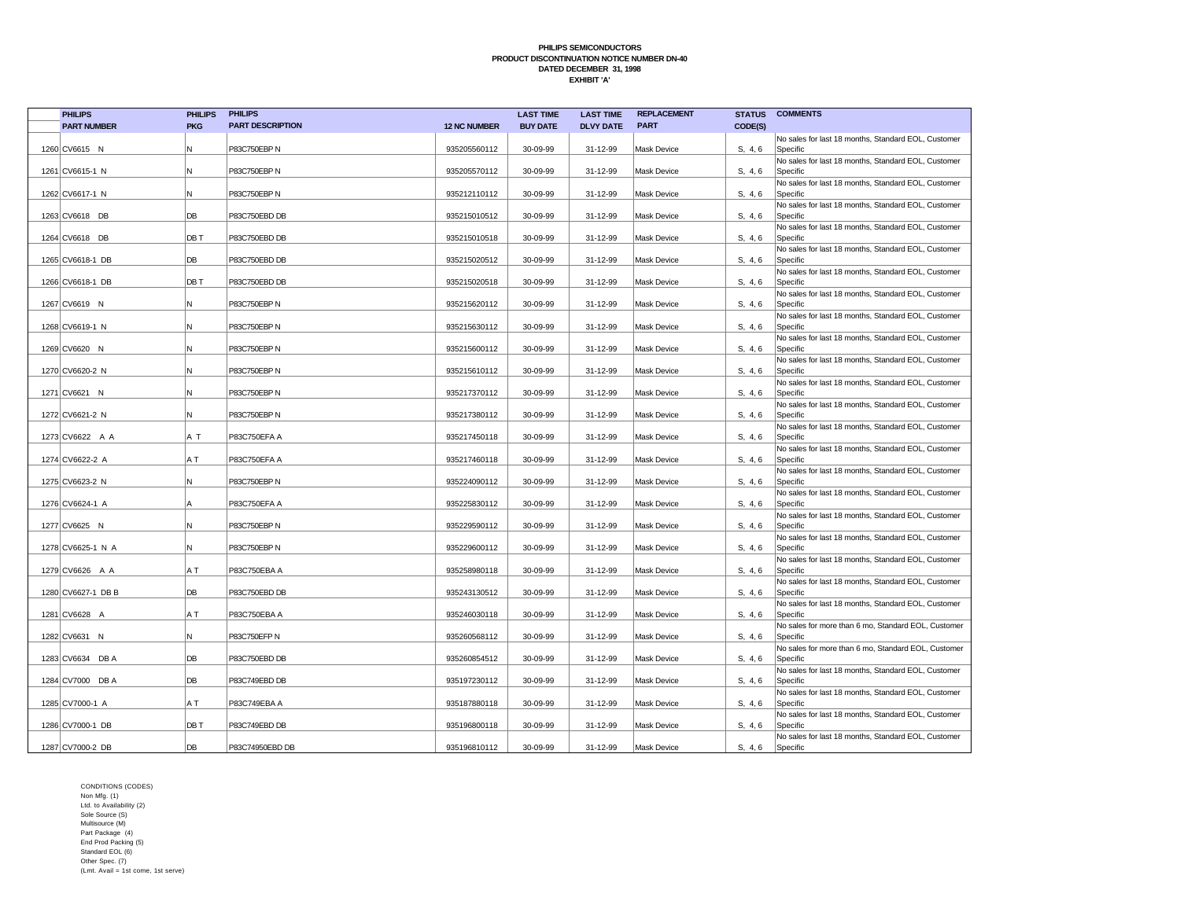| <b>PHILIPS</b>     | <b>PHILIPS</b> | <b>PHILIPS</b>          |                     | <b>LAST TIME</b> | <b>LAST TIME</b> | <b>REPLACEMENT</b> |         | <b>STATUS COMMENTS</b>                                          |
|--------------------|----------------|-------------------------|---------------------|------------------|------------------|--------------------|---------|-----------------------------------------------------------------|
| <b>PART NUMBER</b> | <b>PKG</b>     | <b>PART DESCRIPTION</b> | <b>12 NC NUMBER</b> | <b>BUY DATE</b>  | <b>DLVY DATE</b> | <b>PART</b>        | CODE(S) |                                                                 |
|                    |                |                         |                     |                  |                  |                    |         | No sales for last 18 months, Standard EOL, Customer             |
| 1260 CV6615 N      | N              | P83C750EBP N            | 935205560112        | 30-09-99         | 31-12-99         | <b>Mask Device</b> | S. 4.6  | Specific                                                        |
|                    |                |                         |                     |                  |                  |                    |         | No sales for last 18 months, Standard EOL, Customer             |
| 1261 CV6615-1 N    | N              | P83C750EBP N            | 935205570112        | 30-09-99         | 31-12-99         | <b>Mask Device</b> | S. 4.6  | Specific                                                        |
|                    |                |                         |                     |                  |                  |                    |         | No sales for last 18 months, Standard EOL, Customer             |
| 1262 CV6617-1 N    | N              | P83C750EBP N            | 935212110112        | 30-09-99         | 31-12-99         | <b>Mask Device</b> | S, 4, 6 | Specific                                                        |
|                    |                |                         |                     |                  |                  |                    |         | No sales for last 18 months, Standard EOL, Customer             |
| 1263 CV6618 DB     | DB             | P83C750EBD DB           | 935215010512        | 30-09-99         | 31-12-99         | <b>Mask Device</b> | S, 4, 6 | Specific                                                        |
|                    | DB T           | P83C750EBD DB           |                     | 30-09-99         |                  | <b>Mask Device</b> |         | No sales for last 18 months, Standard EOL, Customer             |
| 1264 CV6618 DB     |                |                         | 935215010518        |                  | 31-12-99         |                    | S, 4, 6 | Specific<br>No sales for last 18 months, Standard EOL, Customer |
| 1265 CV6618-1 DB   | DB             | P83C750EBD DB           | 935215020512        | 30-09-99         | 31-12-99         | <b>Mask Device</b> | S, 4, 6 | Specific                                                        |
|                    |                |                         |                     |                  |                  |                    |         | No sales for last 18 months, Standard EOL, Customer             |
| 1266 CV6618-1 DB   | DB T           | P83C750EBD DB           | 935215020518        | 30-09-99         | 31-12-99         | <b>Mask Device</b> | S, 4, 6 | Specific                                                        |
|                    |                |                         |                     |                  |                  |                    |         | No sales for last 18 months, Standard EOL, Customer             |
| 1267 CV6619 N      | N              | P83C750EBP N            | 935215620112        | 30-09-99         | 31-12-99         | <b>Mask Device</b> | S, 4, 6 | Specific                                                        |
|                    |                |                         |                     |                  |                  |                    |         | No sales for last 18 months, Standard EOL, Customer             |
| 1268 CV6619-1 N    | N              | P83C750EBP N            | 935215630112        | 30-09-99         | 31-12-99         | Mask Device        | S, 4, 6 | Specific                                                        |
|                    |                |                         |                     |                  |                  |                    |         | No sales for last 18 months, Standard EOL, Customer             |
| 1269 CV6620 N      | N              | P83C750EBP N            | 935215600112        | 30-09-99         | 31-12-99         | <b>Mask Device</b> | S. 4.6  | Specific                                                        |
|                    |                |                         |                     |                  |                  |                    |         | No sales for last 18 months, Standard EOL, Customer             |
| 1270 CV6620-2 N    | N              | P83C750EBP N            | 935215610112        | 30-09-99         | 31-12-99         | <b>Mask Device</b> | S, 4, 6 | Specific                                                        |
|                    |                |                         |                     |                  |                  |                    |         | No sales for last 18 months, Standard EOL, Customer             |
| 1271 CV6621 N      | N              | P83C750EBP N            | 935217370112        | 30-09-99         | 31-12-99         | <b>Mask Device</b> | S, 4, 6 | Specific                                                        |
| 1272 CV6621-2 N    | N              | P83C750EBP N            | 935217380112        | 30-09-99         | 31-12-99         | <b>Mask Device</b> | S, 4, 6 | No sales for last 18 months, Standard EOL, Customer             |
|                    |                |                         |                     |                  |                  |                    |         | Specific<br>No sales for last 18 months, Standard EOL, Customer |
| 1273 CV6622 A A    | A T            | P83C750EFA A            | 935217450118        | 30-09-99         | 31-12-99         | Mask Device        | S. 4.6  | Specific                                                        |
|                    |                |                         |                     |                  |                  |                    |         | No sales for last 18 months, Standard EOL, Customer             |
| 1274 CV6622-2 A    | A T            | P83C750EFA A            | 935217460118        | 30-09-99         | 31-12-99         | <b>Mask Device</b> | S. 4.6  | Specific                                                        |
|                    |                |                         |                     |                  |                  |                    |         | No sales for last 18 months, Standard EOL, Customer             |
| 1275 CV6623-2 N    | N              | P83C750EBP N            | 935224090112        | 30-09-99         | 31-12-99         | Mask Device        | S, 4, 6 | Specific                                                        |
|                    |                |                         |                     |                  |                  |                    |         | No sales for last 18 months, Standard EOL, Customer             |
| 1276 CV6624-1 A    | l A            | P83C750EFA A            | 935225830112        | 30-09-99         | 31-12-99         | <b>Mask Device</b> | S, 4, 6 | Specific                                                        |
|                    |                |                         |                     |                  |                  |                    |         | No sales for last 18 months, Standard EOL, Customer             |
| 1277 CV6625 N      | N              | P83C750EBP N            | 935229590112        | 30-09-99         | 31-12-99         | <b>Mask Device</b> | S, 4, 6 | Specific                                                        |
|                    |                |                         |                     |                  |                  |                    |         | No sales for last 18 months, Standard EOL, Customer             |
| 1278 CV6625-1 N A  | N              | P83C750EBP N            | 935229600112        | 30-09-99         | 31-12-99         | Mask Device        | S, 4, 6 | Specific<br>No sales for last 18 months, Standard EOL, Customer |
| 1279 CV6626 A A    | A T            | P83C750EBA A            | 935258980118        | 30-09-99         | 31-12-99         | <b>Mask Device</b> | S. 4.6  | Specific                                                        |
|                    |                |                         |                     |                  |                  |                    |         | No sales for last 18 months, Standard EOL, Customer             |
| 1280 CV6627-1 DB B | DB             | P83C750EBD DB           | 935243130512        | 30-09-99         | 31-12-99         | <b>Mask Device</b> | S. 4.6  | Specific                                                        |
|                    |                |                         |                     |                  |                  |                    |         | No sales for last 18 months, Standard EOL, Customer             |
| 1281 CV6628 A      | A T            | P83C750EBA A            | 935246030118        | 30-09-99         | 31-12-99         | <b>Mask Device</b> | S. 4.6  | Specific                                                        |
|                    |                |                         |                     |                  |                  |                    |         | No sales for more than 6 mo, Standard EOL, Customer             |
| 1282 CV6631 N      | N              | P83C750EFP N            | 935260568112        | 30-09-99         | 31-12-99         | Mask Device        | S, 4, 6 | Specific                                                        |
|                    |                |                         |                     |                  |                  |                    |         | No sales for more than 6 mo, Standard EOL, Customer             |
| 1283 CV6634 DB A   | DB             | P83C750EBD DB           | 935260854512        | 30-09-99         | 31-12-99         | <b>Mask Device</b> | S, 4, 6 | Specific                                                        |
|                    |                |                         |                     |                  |                  |                    |         | No sales for last 18 months, Standard EOL, Customer             |
| 1284 CV7000 DB A   | DB             | P83C749EBD DB           | 935197230112        | 30-09-99         | 31-12-99         | Mask Device        | S, 4, 6 | Specific                                                        |
| 1285 CV7000-1 A    | A T            | P83C749EBA A            | 935187880118        | 30-09-99         |                  | <b>Mask Device</b> |         | No sales for last 18 months, Standard EOL, Customer<br>Specific |
|                    |                |                         |                     |                  | 31-12-99         |                    | S, 4, 6 | No sales for last 18 months, Standard EOL, Customer             |
| 1286 CV7000-1 DB   | DB T           | P83C749EBD DB           | 935196800118        | 30-09-99         | 31-12-99         | Mask Device        | S, 4, 6 | Specific                                                        |
|                    |                |                         |                     |                  |                  |                    |         | No sales for last 18 months, Standard EOL, Customer             |
| 1287 CV7000-2 DB   | DB             | P83C74950EBD DB         | 935196810112        | 30-09-99         | 31-12-99         | <b>Mask Device</b> | S, 4, 6 | Specific                                                        |
|                    |                |                         |                     |                  |                  |                    |         |                                                                 |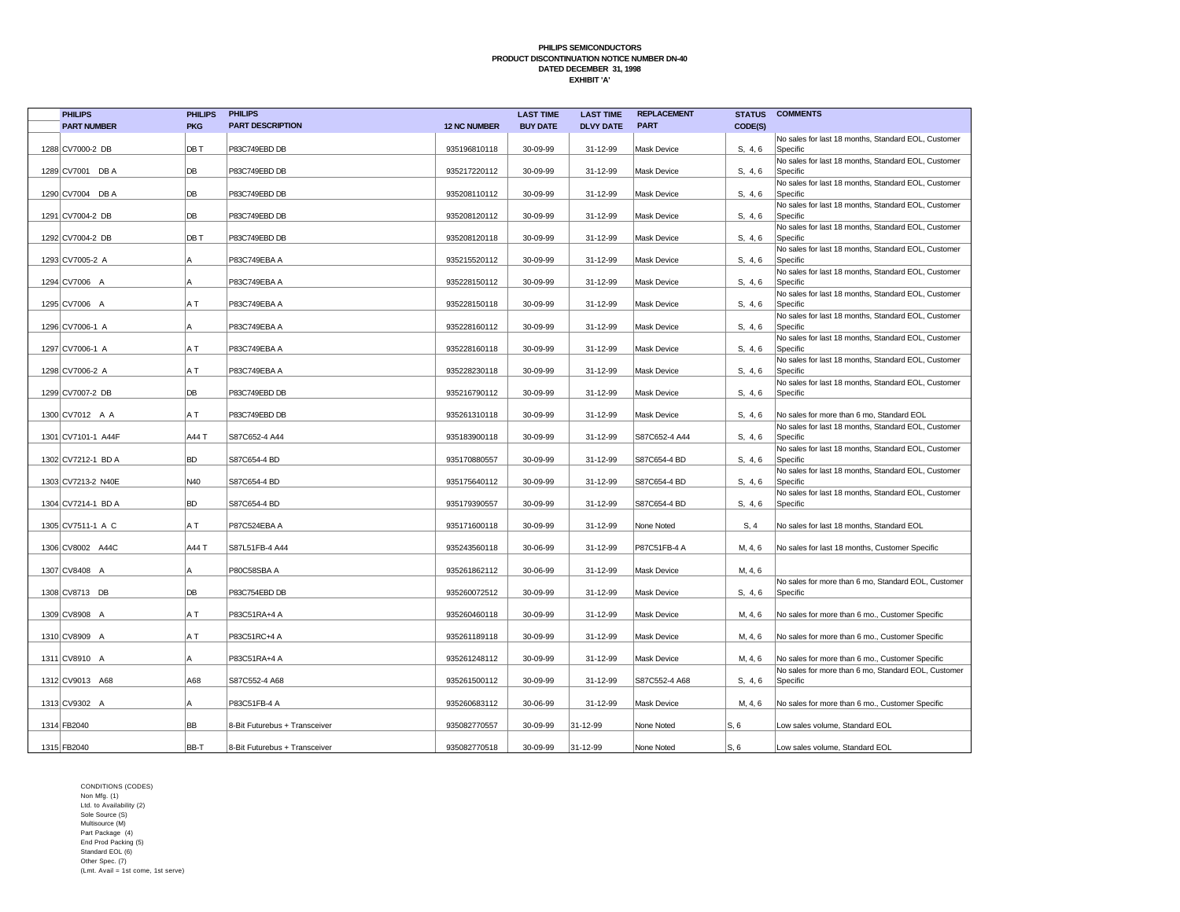| <b>PHILIPS</b>     | <b>PHILIPS</b> | <b>PHILIPS</b>                |                     | <b>LAST TIME</b> | <b>LAST TIME</b> | <b>REPLACEMENT</b> |         | <b>STATUS COMMENTS</b>                                          |
|--------------------|----------------|-------------------------------|---------------------|------------------|------------------|--------------------|---------|-----------------------------------------------------------------|
| <b>PART NUMBER</b> | <b>PKG</b>     | <b>PART DESCRIPTION</b>       | <b>12 NC NUMBER</b> | <b>BUY DATE</b>  | <b>DLVY DATE</b> | <b>PART</b>        | CODE(S) |                                                                 |
|                    |                |                               |                     |                  |                  |                    |         | No sales for last 18 months, Standard EOL, Customer             |
| 1288 CV7000-2 DB   | DB T           | P83C749EBD DB                 | 935196810118        | 30-09-99         | 31-12-99         | <b>Mask Device</b> | S, 4, 6 | Specific                                                        |
| 1289 CV7001 DB A   | DB             | P83C749EBD DB                 | 935217220112        | 30-09-99         | 31-12-99         | <b>Mask Device</b> | S. 4.6  | No sales for last 18 months, Standard EOL, Customer<br>Specific |
|                    |                |                               |                     |                  |                  |                    |         | No sales for last 18 months, Standard EOL, Customer             |
| 1290 CV7004 DB A   | DB             | P83C749EBD DB                 | 935208110112        | 30-09-99         | 31-12-99         | <b>Mask Device</b> | S, 4, 6 | Specific                                                        |
|                    |                |                               |                     |                  |                  |                    |         | No sales for last 18 months, Standard EOL, Customer             |
| 1291 CV7004-2 DB   | DB             | P83C749EBD DB                 | 935208120112        | 30-09-99         | 31-12-99         | <b>Mask Device</b> | S, 4, 6 | Specific                                                        |
|                    |                |                               |                     |                  |                  |                    |         | No sales for last 18 months, Standard EOL, Customer             |
| 1292 CV7004-2 DB   | DB T           | P83C749EBD DB                 | 935208120118        | 30-09-99         | 31-12-99         | <b>Mask Device</b> | S, 4, 6 | Specific                                                        |
| 1293 CV7005-2 A    | A              | P83C749EBA A                  | 935215520112        | 30-09-99         | 31-12-99         | <b>Mask Device</b> | S, 4, 6 | No sales for last 18 months, Standard EOL, Customer<br>Specific |
|                    |                |                               |                     |                  |                  |                    |         | No sales for last 18 months, Standard EOL, Customer             |
| 1294 CV7006 A      | А              | P83C749EBA A                  | 935228150112        | 30-09-99         | 31-12-99         | <b>Mask Device</b> | S, 4, 6 | Specific                                                        |
|                    |                |                               |                     |                  |                  |                    |         | No sales for last 18 months, Standard EOL, Customer             |
| 1295 CV7006 A      | A T            | P83C749EBA A                  | 935228150118        | 30-09-99         | 31-12-99         | <b>Mask Device</b> | S, 4, 6 | Specific                                                        |
| 1296 CV7006-1 A    | Α              | P83C749EBA A                  | 935228160112        | 30-09-99         | 31-12-99         | Mask Device        | S, 4, 6 | No sales for last 18 months, Standard EOL, Customer<br>Specific |
|                    |                |                               |                     |                  |                  |                    |         | No sales for last 18 months, Standard EOL, Customer             |
| 1297 CV7006-1 A    | A T            | P83C749EBA A                  | 935228160118        | 30-09-99         | 31-12-99         | <b>Mask Device</b> | S. 4.6  | Specific                                                        |
|                    |                |                               |                     |                  |                  |                    |         | No sales for last 18 months, Standard EOL, Customer             |
| 1298 CV7006-2 A    | A T            | P83C749EBA A                  | 935228230118        | 30-09-99         | 31-12-99         | <b>Mask Device</b> | S, 4, 6 | Specific                                                        |
|                    |                |                               |                     |                  |                  |                    |         | No sales for last 18 months, Standard EOL, Customer             |
| 1299 CV7007-2 DB   | DB             | P83C749EBD DB                 | 935216790112        | 30-09-99         | 31-12-99         | Mask Device        | S, 4, 6 | Specific                                                        |
| 1300 CV7012 A A    | A T            | P83C749EBD DB                 | 935261310118        | 30-09-99         | 31-12-99         | <b>Mask Device</b> | S, 4, 6 | No sales for more than 6 mo, Standard EOL                       |
|                    |                |                               |                     |                  |                  |                    |         | No sales for last 18 months, Standard EOL, Customer             |
| 1301 CV7101-1 A44F | A44 T          | S87C652-4 A44                 | 935183900118        | 30-09-99         | 31-12-99         | S87C652-4 A44      | S. 4.6  | Specific                                                        |
|                    |                |                               |                     |                  |                  |                    |         | No sales for last 18 months, Standard EOL, Customer             |
| 1302 CV7212-1 BD A | <b>BD</b>      | S87C654-4 BD                  | 935170880557        | 30-09-99         | 31-12-99         | S87C654-4 BD       | S. 4.6  | Specific                                                        |
|                    | N40            |                               |                     |                  |                  |                    |         | No sales for last 18 months, Standard EOL, Customer             |
| 1303 CV7213-2 N40E |                | S87C654-4 BD                  | 935175640112        | 30-09-99         | 31-12-99         | S87C654-4 BD       | S, 4, 6 | Specific<br>No sales for last 18 months, Standard EOL, Customer |
| 1304 CV7214-1 BD A | <b>BD</b>      | S87C654-4 BD                  | 935179390557        | 30-09-99         | 31-12-99         | S87C654-4 BD       | S, 4, 6 | Specific                                                        |
|                    |                |                               |                     |                  |                  |                    |         |                                                                 |
| 1305 CV7511-1 A C  | A T            | P87C524EBA A                  | 935171600118        | 30-09-99         | 31-12-99         | None Noted         | S, 4    | No sales for last 18 months, Standard EOL                       |
|                    |                |                               |                     |                  |                  |                    |         |                                                                 |
| 1306 CV8002 A44C   | A44 T          | S87L51FB-4 A44                | 935243560118        | 30-06-99         | 31-12-99         | P87C51FB-4 A       | M, 4, 6 | No sales for last 18 months, Customer Specific                  |
| 1307 CV8408 A      | A              | P80C58SBA A                   | 935261862112        | 30-06-99         | 31-12-99         | Mask Device        | M, 4, 6 |                                                                 |
|                    |                |                               |                     |                  |                  |                    |         | No sales for more than 6 mo, Standard EOL, Customer             |
| 1308 CV8713 DB     | DB             | P83C754EBD DB                 | 935260072512        | 30-09-99         | 31-12-99         | <b>Mask Device</b> | S, 4, 6 | Specific                                                        |
|                    |                |                               |                     |                  |                  |                    |         |                                                                 |
| 1309 CV8908 A      | A T            | P83C51RA+4 A                  | 935260460118        | 30-09-99         | 31-12-99         | <b>Mask Device</b> | M, 4, 6 | No sales for more than 6 mo., Customer Specific                 |
| 1310 CV8909 A      | A T            | P83C51RC+4 A                  | 935261189118        | 30-09-99         | 31-12-99         | Mask Device        | M, 4, 6 |                                                                 |
|                    |                |                               |                     |                  |                  |                    |         | No sales for more than 6 mo., Customer Specific                 |
| 1311 CV8910 A      | A              | P83C51RA+4 A                  | 935261248112        | 30-09-99         | 31-12-99         | <b>Mask Device</b> | M, 4, 6 | No sales for more than 6 mo., Customer Specific                 |
|                    |                |                               |                     |                  |                  |                    |         | No sales for more than 6 mo, Standard EOL, Customer             |
| 1312 CV9013 A68    | A68            | S87C552-4 A68                 | 935261500112        | 30-09-99         | 31-12-99         | S87C552-4 A68      | S, 4, 6 | Specific                                                        |
|                    |                |                               |                     |                  |                  |                    |         |                                                                 |
| 1313 CV9302 A      | A              | P83C51FB-4 A                  | 935260683112        | 30-06-99         | 31-12-99         | <b>Mask Device</b> | M, 4, 6 | No sales for more than 6 mo., Customer Specific                 |
| 1314 FB2040        | <b>BB</b>      | 8-Bit Futurebus + Transceiver | 935082770557        | 30-09-99         | 31-12-99         | None Noted         | S, 6    | Low sales volume, Standard EOL                                  |
|                    |                |                               |                     |                  |                  |                    |         |                                                                 |
| 1315 FB2040        | BB-T           | 8-Bit Futurebus + Transceiver | 935082770518        | 30-09-99         | 31-12-99         | None Noted         | S, 6    | Low sales volume, Standard EOL                                  |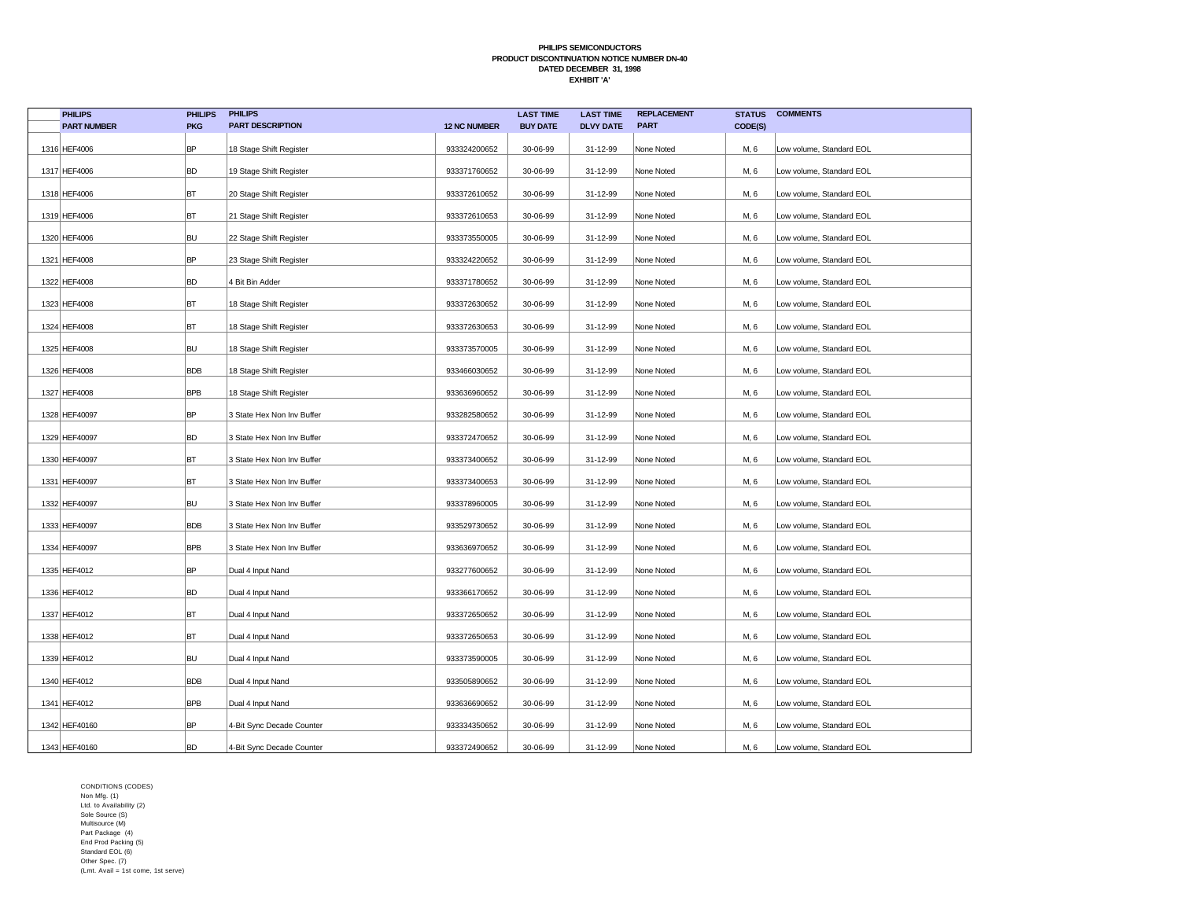| <b>PHILIPS</b>     | <b>PHILIPS</b> | <b>PHILIPS</b>             |                     | <b>LAST TIME</b> | <b>LAST TIME</b> | <b>REPLACEMENT</b> | <b>STATUS</b> | <b>COMMENTS</b>          |
|--------------------|----------------|----------------------------|---------------------|------------------|------------------|--------------------|---------------|--------------------------|
| <b>PART NUMBER</b> | <b>PKG</b>     | <b>PART DESCRIPTION</b>    | <b>12 NC NUMBER</b> | <b>BUY DATE</b>  | <b>DLVY DATE</b> | <b>PART</b>        | CODE(S)       |                          |
| 1316 HEF4006       | <b>BP</b>      | 18 Stage Shift Register    | 933324200652        | 30-06-99         | 31-12-99         | None Noted         | M, 6          | Low volume, Standard EOL |
| 1317 HEF4006       | <b>BD</b>      | 19 Stage Shift Register    | 933371760652        | 30-06-99         | 31-12-99         | None Noted         | M, 6          | Low volume, Standard EOL |
| 1318 HEF4006       | BT             | 20 Stage Shift Register    | 933372610652        | 30-06-99         | 31-12-99         | None Noted         | M, 6          | Low volume, Standard EOL |
| 1319 HEF4006       | BT             | 21 Stage Shift Register    | 933372610653        | 30-06-99         | 31-12-99         | None Noted         | M, 6          | Low volume, Standard EOL |
| 1320 HEF4006       | <b>BU</b>      | 22 Stage Shift Register    | 933373550005        | 30-06-99         | 31-12-99         | None Noted         | M, 6          | Low volume, Standard EOL |
| 1321 HEF4008       | <b>BP</b>      | 23 Stage Shift Register    | 933324220652        | 30-06-99         | 31-12-99         | None Noted         | M, 6          | Low volume, Standard EOL |
| 1322 HEF4008       | <b>BD</b>      | 4 Bit Bin Adder            | 933371780652        | 30-06-99         | 31-12-99         | None Noted         | M, 6          | Low volume, Standard EOL |
| 1323 HEF4008       | BT             | 18 Stage Shift Register    | 933372630652        | 30-06-99         | 31-12-99         | None Noted         | M, 6          | Low volume, Standard EOL |
| 1324 HEF4008       | BT             | 18 Stage Shift Register    | 933372630653        | 30-06-99         | 31-12-99         | None Noted         | M, 6          | Low volume, Standard EOL |
| 1325 HEF4008       | <b>BU</b>      | 18 Stage Shift Register    | 933373570005        | 30-06-99         | 31-12-99         | None Noted         | M, 6          | Low volume, Standard EOL |
| 1326 HEF4008       | <b>BDB</b>     | 18 Stage Shift Register    | 933466030652        | 30-06-99         | 31-12-99         | None Noted         | M, 6          | Low volume, Standard EOL |
| 1327 HEF4008       | <b>BPB</b>     | 18 Stage Shift Register    | 933636960652        | 30-06-99         | 31-12-99         | None Noted         | M, 6          | Low volume, Standard EOL |
| 1328 HEF40097      | <b>BP</b>      | 3 State Hex Non Inv Buffer | 933282580652        | 30-06-99         | 31-12-99         | None Noted         | M, 6          | Low volume, Standard EOL |
| 1329 HEF40097      | <b>BD</b>      | 3 State Hex Non Inv Buffer | 933372470652        | 30-06-99         | 31-12-99         | None Noted         | M, 6          | Low volume, Standard EOL |
| 1330 HEF40097      | BT             | 3 State Hex Non Inv Buffer | 933373400652        | 30-06-99         | 31-12-99         | None Noted         | M, 6          | Low volume, Standard EOL |
| 1331 HEF40097      | BT             | 3 State Hex Non Inv Buffer | 933373400653        | 30-06-99         | 31-12-99         | None Noted         | M, 6          | Low volume, Standard EOL |
| 1332 HEF40097      | <b>BU</b>      | 3 State Hex Non Inv Buffer | 933378960005        | 30-06-99         | 31-12-99         | None Noted         | M, 6          | Low volume, Standard EOL |
| 1333 HEF40097      | <b>BDB</b>     | 3 State Hex Non Inv Buffer | 933529730652        | 30-06-99         | 31-12-99         | None Noted         | M, 6          | Low volume, Standard EOL |
| 1334 HEF40097      | <b>BPB</b>     | 3 State Hex Non Inv Buffer | 933636970652        | 30-06-99         | 31-12-99         | None Noted         | M, 6          | Low volume, Standard EOL |
| 1335 HEF4012       | <b>BP</b>      | Dual 4 Input Nand          | 933277600652        | 30-06-99         | 31-12-99         | None Noted         | M, 6          | Low volume, Standard EOL |
| 1336 HEF4012       | <b>BD</b>      | Dual 4 Input Nand          | 933366170652        | 30-06-99         | 31-12-99         | None Noted         | M, 6          | Low volume, Standard EOL |
| 1337 HEF4012       | BT             | Dual 4 Input Nand          | 933372650652        | 30-06-99         | 31-12-99         | None Noted         | M, 6          | Low volume, Standard EOL |
| 1338 HEF4012       | BT             | Dual 4 Input Nand          | 933372650653        | 30-06-99         | 31-12-99         | None Noted         | M, 6          | Low volume, Standard EOL |
| 1339 HEF4012       | <b>BU</b>      | Dual 4 Input Nand          | 933373590005        | 30-06-99         | 31-12-99         | None Noted         | M, 6          | Low volume, Standard EOL |
| 1340 HEF4012       | <b>BDB</b>     | Dual 4 Input Nand          | 933505890652        | 30-06-99         | 31-12-99         | None Noted         | M, 6          | Low volume, Standard EOL |
| 1341 HEF4012       | <b>BPB</b>     | Dual 4 Input Nand          | 933636690652        | 30-06-99         | 31-12-99         | None Noted         | M, 6          | Low volume, Standard EOL |
| 1342 HEF40160      | <b>BP</b>      | 4-Bit Sync Decade Counter  | 933334350652        | 30-06-99         | 31-12-99         | None Noted         | M, 6          | Low volume, Standard EOL |
| 1343 HEF40160      | <b>BD</b>      | 4-Bit Sync Decade Counter  | 933372490652        | 30-06-99         | 31-12-99         | None Noted         | M, 6          | Low volume, Standard EOL |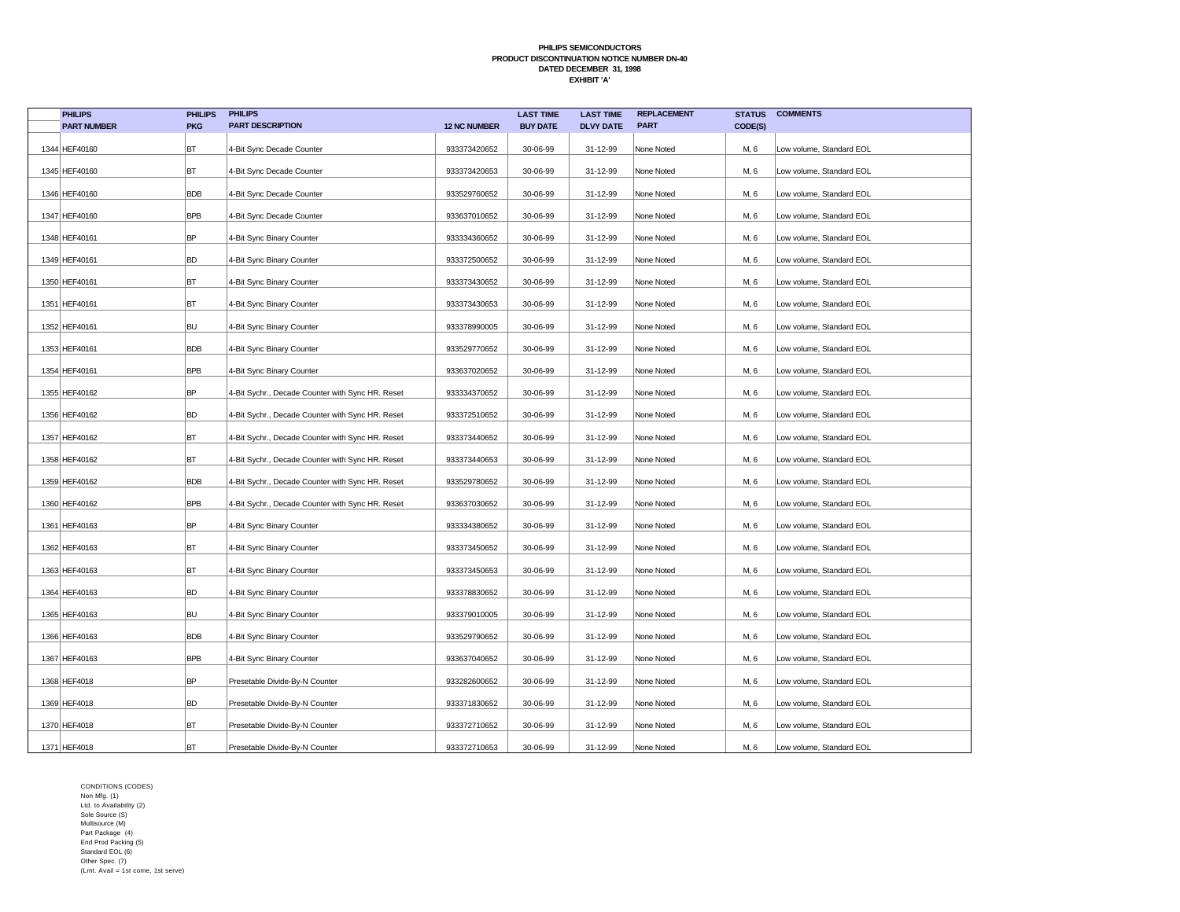| <b>PHILIPS</b>     | <b>PHILIPS</b> | <b>PHILIPS</b>                                   |                     | <b>LAST TIME</b> | <b>LAST TIME</b> | <b>REPLACEMENT</b> | <b>STATUS</b> | <b>COMMENTS</b>          |
|--------------------|----------------|--------------------------------------------------|---------------------|------------------|------------------|--------------------|---------------|--------------------------|
| <b>PART NUMBER</b> | <b>PKG</b>     | <b>PART DESCRIPTION</b>                          | <b>12 NC NUMBER</b> | <b>BUY DATE</b>  | <b>DLVY DATE</b> | <b>PART</b>        | CODE(S)       |                          |
| 1344 HEF40160      | BT             | 4-Bit Sync Decade Counter                        | 933373420652        | 30-06-99         | 31-12-99         | None Noted         | M, 6          | Low volume, Standard EOL |
| 1345 HEF40160      | BT             | 4-Bit Sync Decade Counter                        | 933373420653        | 30-06-99         | 31-12-99         | None Noted         | M, 6          | Low volume, Standard EOL |
| 1346 HEF40160      | <b>BDB</b>     | 4-Bit Sync Decade Counter                        | 933529760652        | 30-06-99         | 31-12-99         | None Noted         | M, 6          | Low volume, Standard EOL |
| 1347 HEF40160      | <b>BPB</b>     | 4-Bit Sync Decade Counter                        | 933637010652        | 30-06-99         | 31-12-99         | None Noted         | M, 6          | Low volume, Standard EOL |
| 1348 HEF40161      | BP             | 4-Bit Sync Binary Counter                        | 933334360652        | 30-06-99         | 31-12-99         | None Noted         | M, 6          | Low volume, Standard EOL |
| 1349 HEF40161      | <b>BD</b>      | 4-Bit Sync Binary Counter                        | 933372500652        | 30-06-99         | 31-12-99         | None Noted         | M, 6          | Low volume, Standard EOL |
| 1350 HEF40161      | BT             | 4-Bit Sync Binary Counter                        | 933373430652        | 30-06-99         | 31-12-99         | None Noted         | M, 6          | Low volume, Standard EOL |
| 1351 HEF40161      | BT             | 4-Bit Sync Binary Counter                        | 933373430653        | 30-06-99         | 31-12-99         | None Noted         | M, 6          | Low volume, Standard EOL |
| 1352 HEF40161      | <b>BU</b>      | 4-Bit Sync Binary Counter                        | 933378990005        | 30-06-99         | 31-12-99         | None Noted         | M, 6          | Low volume, Standard EOL |
| 1353 HEF40161      | <b>BDB</b>     | 4-Bit Sync Binary Counter                        | 933529770652        | 30-06-99         | 31-12-99         | None Noted         | M, 6          | Low volume, Standard EOL |
| 1354 HEF40161      | <b>BPB</b>     | 4-Bit Sync Binary Counter                        | 933637020652        | 30-06-99         | 31-12-99         | None Noted         | M, 6          | Low volume, Standard EOL |
| 1355 HEF40162      | <b>BP</b>      | 4-Bit Sychr., Decade Counter with Sync HR. Reset | 933334370652        | 30-06-99         | 31-12-99         | None Noted         | M, 6          | Low volume, Standard EOL |
| 1356 HEF40162      | <b>BD</b>      | 4-Bit Sychr., Decade Counter with Sync HR. Reset | 933372510652        | 30-06-99         | 31-12-99         | None Noted         | M, 6          | Low volume, Standard EOL |
| 1357 HEF40162      | BT             | 4-Bit Sychr., Decade Counter with Sync HR. Reset | 933373440652        | 30-06-99         | 31-12-99         | None Noted         | M, 6          | Low volume, Standard EOL |
| 1358 HEF40162      | BT             | 4-Bit Sychr., Decade Counter with Sync HR. Reset | 933373440653        | 30-06-99         | 31-12-99         | None Noted         | M, 6          | Low volume, Standard EOL |
| 1359 HEF40162      | <b>BDB</b>     | 4-Bit Sychr., Decade Counter with Sync HR. Reset | 933529780652        | 30-06-99         | 31-12-99         | None Noted         | M, 6          | Low volume, Standard EOL |
| 1360 HEF40162      | <b>BPB</b>     | 4-Bit Sychr., Decade Counter with Sync HR. Reset | 933637030652        | 30-06-99         | 31-12-99         | None Noted         | M, 6          | Low volume, Standard EOL |
| 1361 HEF40163      | <b>BP</b>      | 4-Bit Sync Binary Counter                        | 933334380652        | 30-06-99         | 31-12-99         | None Noted         | M, 6          | Low volume, Standard EOL |
| 1362 HEF40163      | BT             | 4-Bit Sync Binary Counter                        | 933373450652        | 30-06-99         | 31-12-99         | None Noted         | M, 6          | Low volume, Standard EOL |
| 1363 HEF40163      | BT             | 4-Bit Sync Binary Counter                        | 933373450653        | 30-06-99         | 31-12-99         | None Noted         | M, 6          | Low volume, Standard EOL |
| 1364 HEF40163      | <b>BD</b>      | 4-Bit Sync Binary Counter                        | 933378830652        | 30-06-99         | 31-12-99         | None Noted         | M, 6          | Low volume, Standard EOL |
| 1365 HEF40163      | <b>BU</b>      | 4-Bit Sync Binary Counter                        | 933379010005        | 30-06-99         | 31-12-99         | None Noted         | M, 6          | Low volume, Standard EOL |
| 1366 HEF40163      | <b>BDB</b>     | 4-Bit Sync Binary Counter                        | 933529790652        | 30-06-99         | 31-12-99         | None Noted         | M, 6          | Low volume, Standard EOL |
| 1367 HEF40163      | <b>BPB</b>     | 4-Bit Sync Binary Counter                        | 933637040652        | 30-06-99         | 31-12-99         | None Noted         | M, 6          | Low volume, Standard EOL |
| 1368 HEF4018       | BP             | Presetable Divide-By-N Counter                   | 933282600652        | 30-06-99         | 31-12-99         | None Noted         | M, 6          | Low volume, Standard EOL |
| 1369 HEF4018       | <b>BD</b>      | Presetable Divide-By-N Counter                   | 933371830652        | 30-06-99         | 31-12-99         | None Noted         | M, 6          | Low volume, Standard EOL |
| 1370 HEF4018       | BT             | Presetable Divide-By-N Counter                   | 933372710652        | 30-06-99         | 31-12-99         | None Noted         | M, 6          | Low volume, Standard EOL |
| 1371 HEF4018       | BT             | Presetable Divide-By-N Counter                   | 933372710653        | 30-06-99         | 31-12-99         | None Noted         | M, 6          | Low volume, Standard EOL |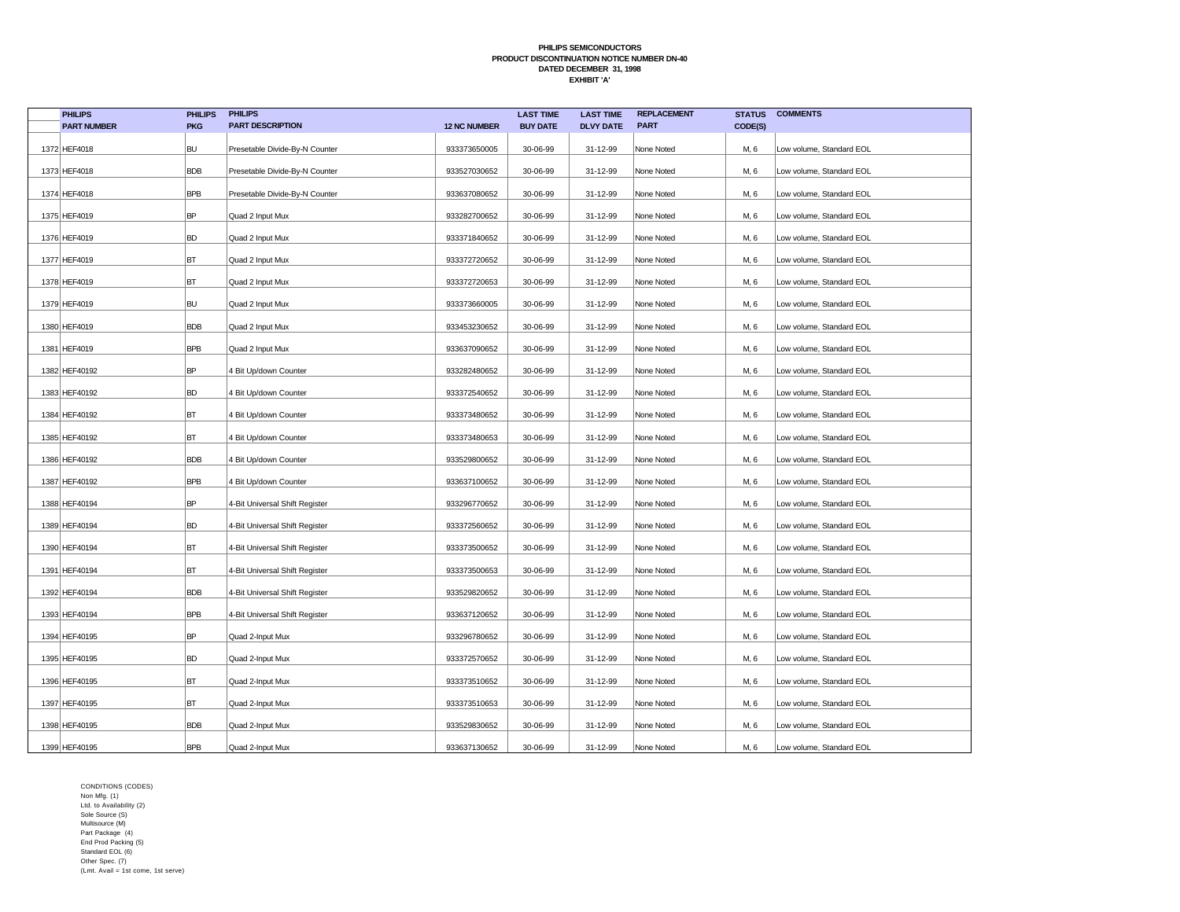| <b>PHILIPS</b>     | <b>PHILIPS</b> | <b>PHILIPS</b>                 |                     | <b>LAST TIME</b> | <b>LAST TIME</b> | <b>REPLACEMENT</b> | <b>STATUS</b> | <b>COMMENTS</b>          |
|--------------------|----------------|--------------------------------|---------------------|------------------|------------------|--------------------|---------------|--------------------------|
| <b>PART NUMBER</b> | <b>PKG</b>     | <b>PART DESCRIPTION</b>        | <b>12 NC NUMBER</b> | <b>BUY DATE</b>  | <b>DLVY DATE</b> | <b>PART</b>        | CODE(S)       |                          |
| 1372 HEF4018       | <b>BU</b>      | Presetable Divide-By-N Counter | 933373650005        | 30-06-99         | 31-12-99         | None Noted         | M, 6          | Low volume, Standard EOL |
| 1373 HEF4018       | <b>BDB</b>     | Presetable Divide-By-N Counter | 933527030652        | 30-06-99         | 31-12-99         | None Noted         | M, 6          | Low volume, Standard EOL |
| 1374 HEF4018       | <b>BPB</b>     | Presetable Divide-By-N Counter | 933637080652        | 30-06-99         | 31-12-99         | None Noted         | M, 6          | Low volume, Standard EOL |
| 1375 HEF4019       | <b>BP</b>      | Quad 2 Input Mux               | 933282700652        | 30-06-99         | 31-12-99         | None Noted         | M, 6          | Low volume, Standard EOL |
| 1376 HEF4019       | <b>BD</b>      | Quad 2 Input Mux               | 933371840652        | 30-06-99         | 31-12-99         | None Noted         | M, 6          | Low volume, Standard EOL |
| 1377 HEF4019       | BT             | Quad 2 Input Mux               | 933372720652        | 30-06-99         | 31-12-99         | None Noted         | M, 6          | Low volume, Standard EOL |
| 1378 HEF4019       | BT             | Quad 2 Input Mux               | 933372720653        | 30-06-99         | 31-12-99         | None Noted         | M, 6          | Low volume, Standard EOL |
| 1379 HEF4019       | <b>BU</b>      | Quad 2 Input Mux               | 933373660005        | 30-06-99         | 31-12-99         | None Noted         | M, 6          | Low volume, Standard EOL |
| 1380 HEF4019       | <b>BDB</b>     | Quad 2 Input Mux               | 933453230652        | 30-06-99         | 31-12-99         | None Noted         | M, 6          | Low volume, Standard EOL |
| 1381 HEF4019       | <b>BPB</b>     | Quad 2 Input Mux               | 933637090652        | 30-06-99         | 31-12-99         | None Noted         | M, 6          | Low volume, Standard EOL |
| 1382 HEF40192      | <b>BP</b>      | 4 Bit Up/down Counter          | 933282480652        | 30-06-99         | 31-12-99         | None Noted         | M, 6          | Low volume, Standard EOL |
| 1383 HEF40192      | <b>BD</b>      | 4 Bit Up/down Counter          | 933372540652        | 30-06-99         | 31-12-99         | None Noted         | M, 6          | Low volume, Standard EOL |
| 1384 HEF40192      | BT             | 4 Bit Up/down Counter          | 933373480652        | 30-06-99         | 31-12-99         | None Noted         | M, 6          | Low volume, Standard EOL |
| 1385 HEF40192      | BT             | 4 Bit Up/down Counter          | 933373480653        | 30-06-99         | 31-12-99         | None Noted         | M, 6          | Low volume, Standard EOL |
| 1386 HEF40192      | <b>BDB</b>     | 4 Bit Up/down Counter          | 933529800652        | 30-06-99         | 31-12-99         | None Noted         | M, 6          | Low volume, Standard EOL |
| 1387 HEF40192      | <b>BPB</b>     | 4 Bit Up/down Counter          | 933637100652        | 30-06-99         | 31-12-99         | None Noted         | M, 6          | Low volume, Standard EOL |
| 1388 HEF40194      | <b>BP</b>      | 4-Bit Universal Shift Register | 933296770652        | 30-06-99         | 31-12-99         | None Noted         | M, 6          | Low volume, Standard EOL |
| 1389 HEF40194      | <b>BD</b>      | 4-Bit Universal Shift Register | 933372560652        | 30-06-99         | 31-12-99         | None Noted         | M, 6          | Low volume, Standard EOL |
| 1390 HEF40194      | BT             | 4-Bit Universal Shift Register | 933373500652        | 30-06-99         | 31-12-99         | None Noted         | M, 6          | Low volume, Standard EOL |
| 1391 HEF40194      | BT             | 4-Bit Universal Shift Register | 933373500653        | 30-06-99         | 31-12-99         | None Noted         | M, 6          | Low volume, Standard EOL |
| 1392 HEF40194      | <b>BDB</b>     | 4-Bit Universal Shift Register | 933529820652        | 30-06-99         | 31-12-99         | None Noted         | M, 6          | Low volume, Standard EOL |
| 1393 HEF40194      | <b>BPB</b>     | 4-Bit Universal Shift Register | 933637120652        | 30-06-99         | 31-12-99         | None Noted         | M, 6          | Low volume, Standard EOL |
| 1394 HEF40195      | <b>BP</b>      | Quad 2-Input Mux               | 933296780652        | 30-06-99         | 31-12-99         | None Noted         | M, 6          | Low volume, Standard EOL |
| 1395 HEF40195      | <b>BD</b>      | Quad 2-Input Mux               | 933372570652        | 30-06-99         | 31-12-99         | None Noted         | M, 6          | Low volume, Standard EOL |
| 1396 HEF40195      | BT             | Quad 2-Input Mux               | 933373510652        | 30-06-99         | 31-12-99         | None Noted         | M, 6          | Low volume, Standard EOL |
| 1397 HEF40195      | BT             | Quad 2-Input Mux               | 933373510653        | 30-06-99         | 31-12-99         | None Noted         | M, 6          | Low volume, Standard EOL |
| 1398 HEF40195      | <b>BDB</b>     | Quad 2-Input Mux               | 933529830652        | 30-06-99         | 31-12-99         | None Noted         | M, 6          | Low volume, Standard EOL |
| 1399 HEF40195      | <b>BPB</b>     | Quad 2-Input Mux               | 933637130652        | 30-06-99         | 31-12-99         | None Noted         | M, 6          | Low volume, Standard EOL |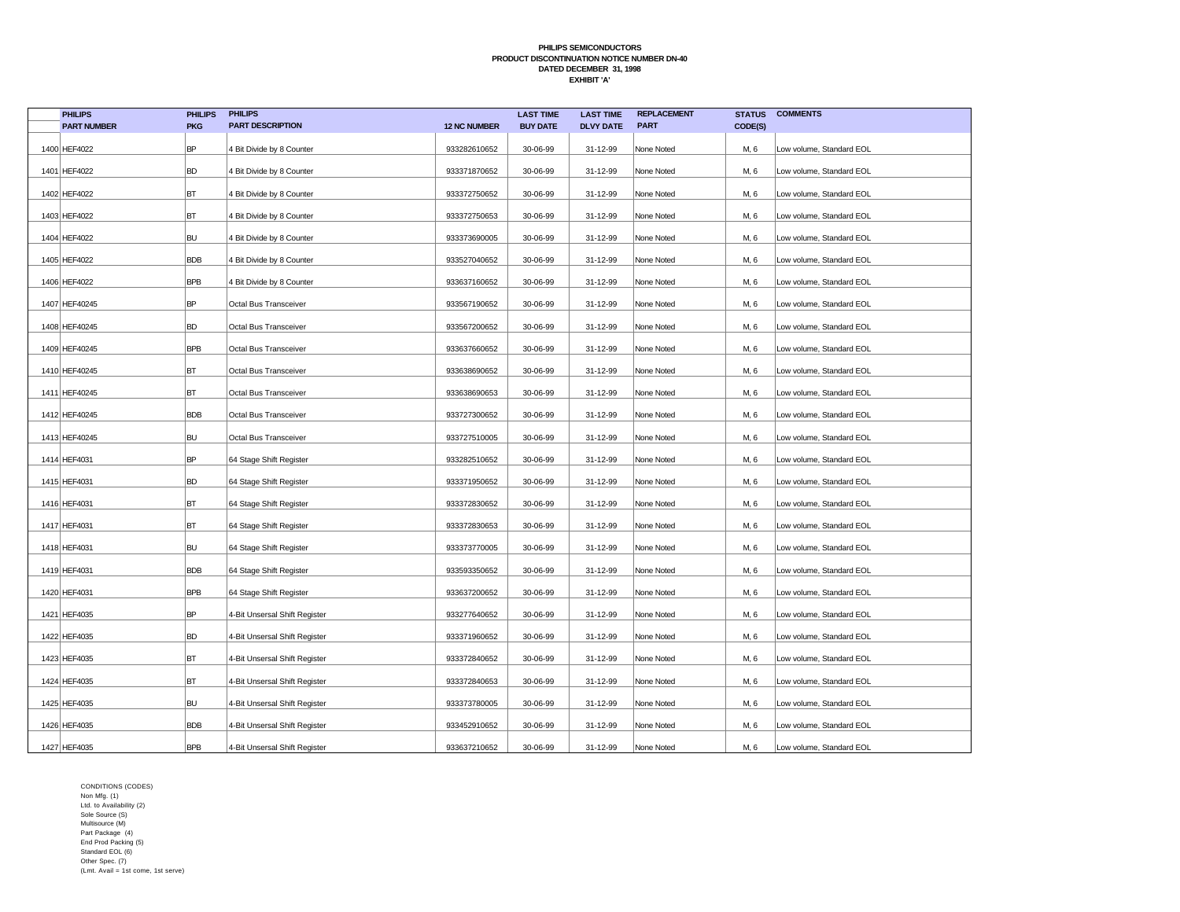| <b>PHILIPS</b>     | <b>PHILIPS</b> | <b>PHILIPS</b>                |                     | <b>LAST TIME</b> | <b>LAST TIME</b> | <b>REPLACEMENT</b> | <b>STATUS</b> | <b>COMMENTS</b>          |
|--------------------|----------------|-------------------------------|---------------------|------------------|------------------|--------------------|---------------|--------------------------|
| <b>PART NUMBER</b> | <b>PKG</b>     | <b>PART DESCRIPTION</b>       | <b>12 NC NUMBER</b> | <b>BUY DATE</b>  | <b>DLVY DATE</b> | <b>PART</b>        | CODE(S)       |                          |
| 1400 HEF4022       | <b>BP</b>      | 4 Bit Divide by 8 Counter     | 933282610652        | 30-06-99         | 31-12-99         | None Noted         | M, 6          | Low volume, Standard EOL |
| 1401 HEF4022       | <b>BD</b>      | 4 Bit Divide by 8 Counter     | 933371870652        | 30-06-99         | 31-12-99         | None Noted         | M, 6          | Low volume, Standard EOL |
| 1402 HEF4022       | BT             | 4 Bit Divide by 8 Counter     | 933372750652        | 30-06-99         | 31-12-99         | None Noted         | M, 6          | Low volume, Standard EOL |
| 1403 HEF4022       | BT             | 4 Bit Divide by 8 Counter     | 933372750653        | 30-06-99         | 31-12-99         | None Noted         | M, 6          | Low volume, Standard EOL |
| 1404 HEF4022       | <b>BU</b>      | 4 Bit Divide by 8 Counter     | 933373690005        | 30-06-99         | 31-12-99         | None Noted         | M, 6          | Low volume, Standard EOL |
| 1405 HEF4022       | <b>BDB</b>     | 4 Bit Divide by 8 Counter     | 933527040652        | 30-06-99         | 31-12-99         | None Noted         | M, 6          | Low volume, Standard EOL |
| 1406 HEF4022       | <b>BPB</b>     | 4 Bit Divide by 8 Counter     | 933637160652        | 30-06-99         | 31-12-99         | None Noted         | M, 6          | Low volume, Standard EOL |
| 1407 HEF40245      | <b>BP</b>      | Octal Bus Transceiver         | 933567190652        | 30-06-99         | 31-12-99         | None Noted         | M, 6          | Low volume, Standard EOL |
| 1408 HEF40245      | BD             | Octal Bus Transceiver         | 933567200652        | 30-06-99         | 31-12-99         | None Noted         | M, 6          | Low volume, Standard EOL |
| 1409 HEF40245      | <b>BPB</b>     | Octal Bus Transceiver         | 933637660652        | 30-06-99         | 31-12-99         | None Noted         | M, 6          | Low volume, Standard EOL |
| 1410 HEF40245      | BT             | Octal Bus Transceiver         | 933638690652        | 30-06-99         | 31-12-99         | None Noted         | M, 6          | Low volume, Standard EOL |
| 1411 HEF40245      | BT             | Octal Bus Transceiver         | 933638690653        | 30-06-99         | 31-12-99         | None Noted         | M, 6          | Low volume, Standard EOL |
| 1412 HEF40245      | <b>BDB</b>     | Octal Bus Transceiver         | 933727300652        | 30-06-99         | 31-12-99         | None Noted         | M, 6          | Low volume, Standard EOL |
| 1413 HEF40245      | <b>BU</b>      | Octal Bus Transceiver         | 933727510005        | 30-06-99         | 31-12-99         | None Noted         | M, 6          | Low volume, Standard EOL |
| 1414 HEF4031       | <b>BP</b>      | 64 Stage Shift Register       | 933282510652        | 30-06-99         | 31-12-99         | None Noted         | M, 6          | Low volume, Standard EOL |
| 1415 HEF4031       | <b>BD</b>      | 64 Stage Shift Register       | 933371950652        | 30-06-99         | 31-12-99         | None Noted         | M, 6          | Low volume, Standard EOL |
| 1416 HEF4031       | BT             | 64 Stage Shift Register       | 933372830652        | 30-06-99         | 31-12-99         | None Noted         | M, 6          | Low volume, Standard EOL |
| 1417 HEF4031       | BT             | 64 Stage Shift Register       | 933372830653        | 30-06-99         | 31-12-99         | None Noted         | M, 6          | Low volume, Standard EOL |
| 1418 HEF4031       | <b>BU</b>      | 64 Stage Shift Register       | 933373770005        | 30-06-99         | 31-12-99         | None Noted         | M, 6          | Low volume, Standard EOL |
| 1419 HEF4031       | <b>BDB</b>     | 64 Stage Shift Register       | 933593350652        | 30-06-99         | 31-12-99         | None Noted         | M, 6          | Low volume, Standard EOL |
| 1420 HEF4031       | <b>BPB</b>     | 64 Stage Shift Register       | 933637200652        | 30-06-99         | 31-12-99         | None Noted         | M, 6          | Low volume, Standard EOL |
| 1421 HEF4035       | <b>BP</b>      | 4-Bit Unsersal Shift Register | 933277640652        | 30-06-99         | 31-12-99         | None Noted         | M, 6          | Low volume, Standard EOL |
| 1422 HEF4035       | <b>BD</b>      | 4-Bit Unsersal Shift Register | 933371960652        | 30-06-99         | 31-12-99         | None Noted         | M, 6          | Low volume, Standard EOL |
| 1423 HEF4035       | BT             | 4-Bit Unsersal Shift Register | 933372840652        | 30-06-99         | 31-12-99         | None Noted         | M, 6          | Low volume, Standard EOL |
| 1424 HEF4035       | BT             | 4-Bit Unsersal Shift Register | 933372840653        | 30-06-99         | 31-12-99         | None Noted         | M, 6          | Low volume, Standard EOL |
| 1425 HEF4035       | <b>BU</b>      | 4-Bit Unsersal Shift Register | 933373780005        | 30-06-99         | 31-12-99         | None Noted         | M, 6          | Low volume, Standard EOL |
| 1426 HEF4035       | <b>BDB</b>     | 4-Bit Unsersal Shift Register | 933452910652        | 30-06-99         | 31-12-99         | None Noted         | M, 6          | Low volume, Standard EOL |
| 1427 HEF4035       | <b>BPB</b>     | 4-Bit Unsersal Shift Register | 933637210652        | 30-06-99         | 31-12-99         | None Noted         | M, 6          | Low volume, Standard EOL |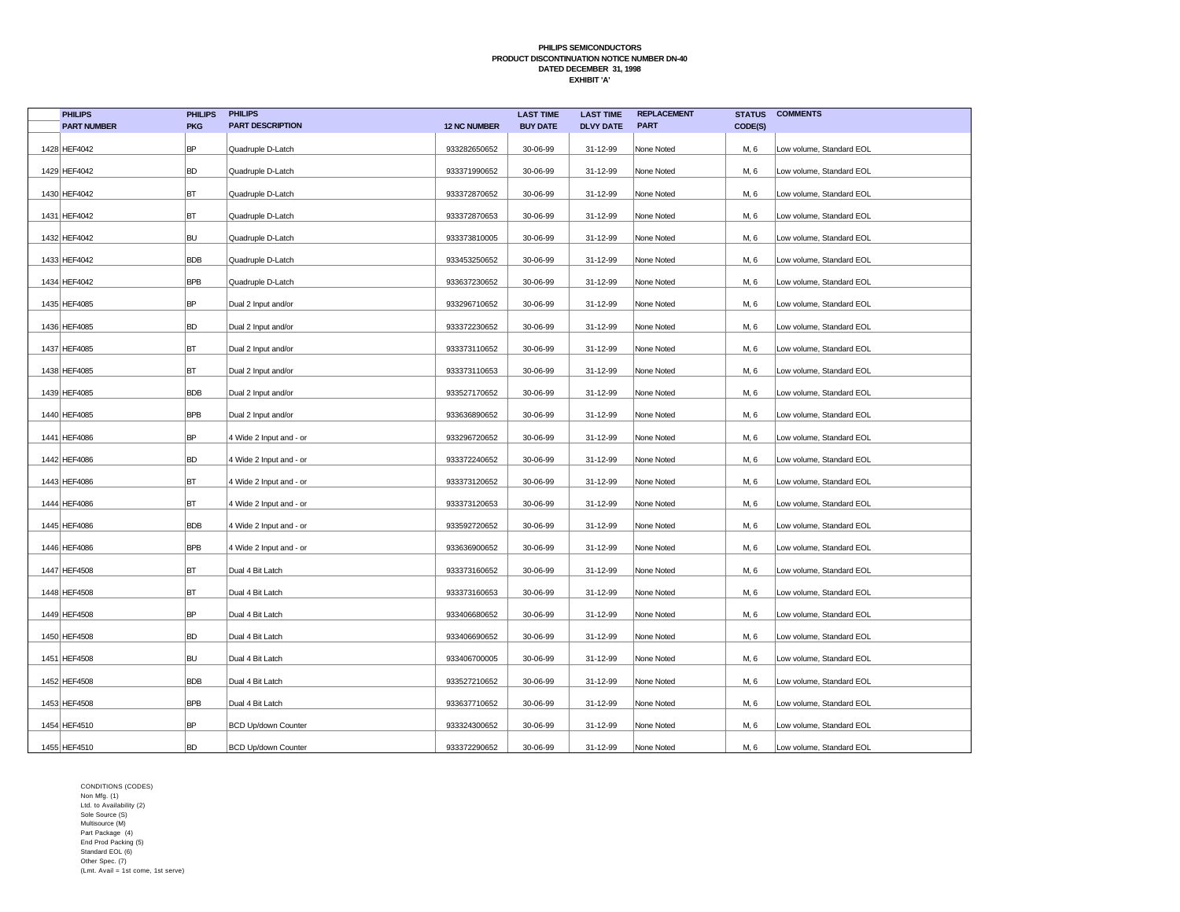| <b>PHILIPS</b>     | <b>PHILIPS</b> | <b>PHILIPS</b>             |                     | <b>LAST TIME</b> | <b>LAST TIME</b> | <b>REPLACEMENT</b> | <b>STATUS</b> | <b>COMMENTS</b>          |
|--------------------|----------------|----------------------------|---------------------|------------------|------------------|--------------------|---------------|--------------------------|
| <b>PART NUMBER</b> | <b>PKG</b>     | <b>PART DESCRIPTION</b>    | <b>12 NC NUMBER</b> | <b>BUY DATE</b>  | <b>DLVY DATE</b> | <b>PART</b>        | CODE(S)       |                          |
| 1428 HEF4042       | BP             | Quadruple D-Latch          | 933282650652        | 30-06-99         | 31-12-99         | None Noted         | M, 6          | Low volume, Standard EOL |
| 1429 HEF4042       | BD             | Quadruple D-Latch          | 933371990652        | 30-06-99         | 31-12-99         | None Noted         | M, 6          | Low volume, Standard EOL |
| 1430 HEF4042       | BT             | Quadruple D-Latch          | 933372870652        | 30-06-99         | 31-12-99         | None Noted         | M, 6          | Low volume, Standard EOL |
| 1431 HEF4042       | BT             | Quadruple D-Latch          | 933372870653        | 30-06-99         | 31-12-99         | None Noted         | M, 6          | Low volume, Standard EOL |
| 1432 HEF4042       | BU             | Quadruple D-Latch          | 933373810005        | 30-06-99         | 31-12-99         | None Noted         | M, 6          | Low volume, Standard EOL |
| 1433 HEF4042       | <b>BDB</b>     | Quadruple D-Latch          | 933453250652        | 30-06-99         | 31-12-99         | None Noted         | M, 6          | Low volume, Standard EOL |
| 1434 HEF4042       | <b>BPB</b>     | Quadruple D-Latch          | 933637230652        | 30-06-99         | 31-12-99         | None Noted         | M, 6          | Low volume, Standard EOL |
| 1435 HEF4085       | BP             | Dual 2 Input and/or        | 933296710652        | 30-06-99         | 31-12-99         | None Noted         | M, 6          | Low volume, Standard EOL |
| 1436 HEF4085       | BD             | Dual 2 Input and/or        | 933372230652        | 30-06-99         | 31-12-99         | None Noted         | M, 6          | Low volume, Standard EOL |
| 1437 HEF4085       | BT             | Dual 2 Input and/or        | 933373110652        | 30-06-99         | 31-12-99         | None Noted         | M, 6          | Low volume, Standard EOL |
| 1438 HEF4085       | BT             | Dual 2 Input and/or        | 933373110653        | 30-06-99         | 31-12-99         | None Noted         | M, 6          | Low volume, Standard EOL |
| 1439 HEF4085       | <b>BDB</b>     | Dual 2 Input and/or        | 933527170652        | 30-06-99         | 31-12-99         | None Noted         | M, 6          | Low volume, Standard EOL |
| 1440 HEF4085       | <b>BPB</b>     | Dual 2 Input and/or        | 933636890652        | 30-06-99         | 31-12-99         | None Noted         | M, 6          | Low volume, Standard EOL |
| 1441 HEF4086       | BP             | 4 Wide 2 Input and - or    | 933296720652        | 30-06-99         | 31-12-99         | None Noted         | M, 6          | Low volume, Standard EOL |
| 1442 HEF4086       | BD             | 4 Wide 2 Input and - or    | 933372240652        | 30-06-99         | 31-12-99         | None Noted         | M, 6          | Low volume, Standard EOL |
| 1443 HEF4086       | BT             | 4 Wide 2 Input and - or    | 933373120652        | 30-06-99         | 31-12-99         | None Noted         | M, 6          | Low volume, Standard EOL |
| 1444 HEF4086       | BT             | 4 Wide 2 Input and - or    | 933373120653        | 30-06-99         | 31-12-99         | None Noted         | M, 6          | Low volume, Standard EOL |
| 1445 HEF4086       | <b>BDB</b>     | 4 Wide 2 Input and - or    | 933592720652        | 30-06-99         | 31-12-99         | None Noted         | M, 6          | Low volume, Standard EOL |
| 1446 HEF4086       | <b>BPB</b>     | 4 Wide 2 Input and - or    | 933636900652        | 30-06-99         | 31-12-99         | None Noted         | M, 6          | Low volume, Standard EOL |
| 1447 HEF4508       | BT             | Dual 4 Bit Latch           | 933373160652        | 30-06-99         | 31-12-99         | None Noted         | M, 6          | Low volume, Standard EOL |
| 1448 HEF4508       | BT             | Dual 4 Bit Latch           | 933373160653        | 30-06-99         | 31-12-99         | None Noted         | M, 6          | Low volume, Standard EOL |
| 1449 HEF4508       | BP             | Dual 4 Bit Latch           | 933406680652        | 30-06-99         | 31-12-99         | None Noted         | M, 6          | Low volume, Standard EOL |
| 1450 HEF4508       | BD             | Dual 4 Bit Latch           | 933406690652        | 30-06-99         | 31-12-99         | None Noted         | M, 6          | Low volume, Standard EOL |
| 1451 HEF4508       | BU             | Dual 4 Bit Latch           | 933406700005        | 30-06-99         | 31-12-99         | None Noted         | M, 6          | Low volume, Standard EOL |
| 1452 HEF4508       | <b>BDB</b>     | Dual 4 Bit Latch           | 933527210652        | 30-06-99         | 31-12-99         | None Noted         | M, 6          | Low volume, Standard EOL |
| 1453 HEF4508       | <b>BPB</b>     | Dual 4 Bit Latch           | 933637710652        | 30-06-99         | 31-12-99         | None Noted         | M, 6          | Low volume, Standard EOL |
| 1454 HEF4510       | BP             | <b>BCD Up/down Counter</b> | 933324300652        | 30-06-99         | 31-12-99         | None Noted         | M, 6          | Low volume, Standard EOL |
| 1455 HEF4510       | BD             | <b>BCD Up/down Counter</b> | 933372290652        | 30-06-99         | 31-12-99         | None Noted         | M, 6          | Low volume, Standard EOL |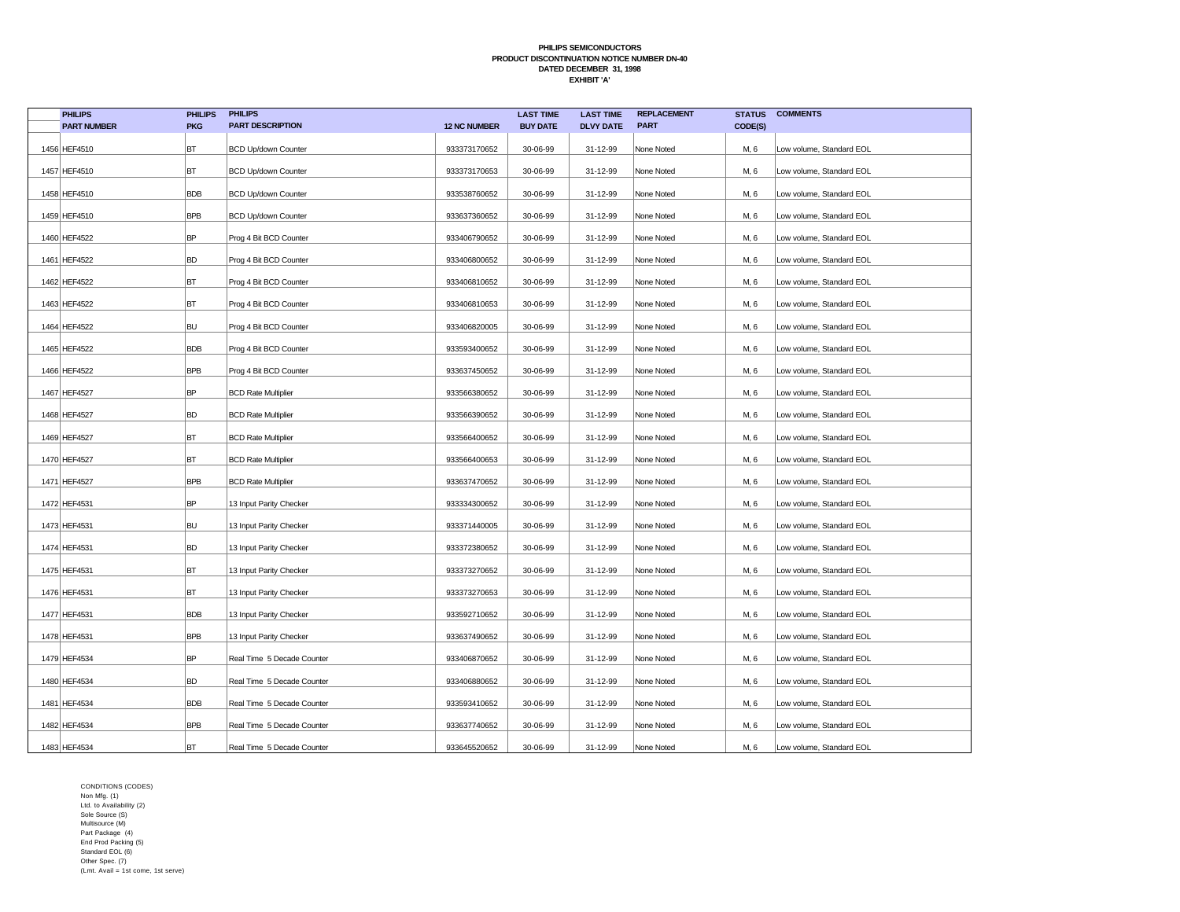| <b>PHILIPS</b>     | <b>PHILIPS</b> | <b>PHILIPS</b>             |                     | <b>LAST TIME</b> | <b>LAST TIME</b> | <b>REPLACEMENT</b> | <b>STATUS</b> | <b>COMMENTS</b>          |
|--------------------|----------------|----------------------------|---------------------|------------------|------------------|--------------------|---------------|--------------------------|
| <b>PART NUMBER</b> | <b>PKG</b>     | <b>PART DESCRIPTION</b>    | <b>12 NC NUMBER</b> | <b>BUY DATE</b>  | <b>DLVY DATE</b> | <b>PART</b>        | CODE(S)       |                          |
| 1456 HEF4510       | BT             | <b>BCD Up/down Counter</b> | 933373170652        | 30-06-99         | 31-12-99         | None Noted         | M, 6          | Low volume, Standard EOL |
| 1457 HEF4510       | BT             | <b>BCD Up/down Counter</b> | 933373170653        | 30-06-99         | 31-12-99         | None Noted         | M, 6          | Low volume, Standard EOL |
| 1458 HEF4510       | <b>BDB</b>     | <b>BCD Up/down Counter</b> | 933538760652        | 30-06-99         | 31-12-99         | None Noted         | M, 6          | Low volume, Standard EOL |
| 1459 HEF4510       | <b>BPB</b>     | <b>BCD Up/down Counter</b> | 933637360652        | 30-06-99         | 31-12-99         | None Noted         | M, 6          | Low volume, Standard EOL |
| 1460 HEF4522       | <b>BP</b>      | Prog 4 Bit BCD Counter     | 933406790652        | 30-06-99         | 31-12-99         | None Noted         | M, 6          | Low volume, Standard EOL |
| 1461 HEF4522       | <b>BD</b>      | Prog 4 Bit BCD Counter     | 933406800652        | 30-06-99         | 31-12-99         | None Noted         | M, 6          | Low volume, Standard EOL |
| 1462 HEF4522       | BT             | Prog 4 Bit BCD Counter     | 933406810652        | 30-06-99         | 31-12-99         | None Noted         | M, 6          | Low volume, Standard EOL |
| 1463 HEF4522       | BT             | Prog 4 Bit BCD Counter     | 933406810653        | 30-06-99         | 31-12-99         | None Noted         | M, 6          | Low volume, Standard EOL |
| 1464 HEF4522       | <b>BU</b>      | Prog 4 Bit BCD Counter     | 933406820005        | 30-06-99         | 31-12-99         | None Noted         | M, 6          | Low volume, Standard EOL |
| 1465 HEF4522       | <b>BDB</b>     | Prog 4 Bit BCD Counter     | 933593400652        | 30-06-99         | 31-12-99         | None Noted         | M, 6          | Low volume, Standard EOL |
| 1466 HEF4522       | <b>BPB</b>     | Prog 4 Bit BCD Counter     | 933637450652        | 30-06-99         | 31-12-99         | None Noted         | M, 6          | Low volume, Standard EOL |
| 1467 HEF4527       | <b>BP</b>      | <b>BCD Rate Multiplier</b> | 933566380652        | 30-06-99         | 31-12-99         | None Noted         | M, 6          | Low volume, Standard EOL |
| 1468 HEF4527       | <b>BD</b>      | <b>BCD Rate Multiplier</b> | 933566390652        | 30-06-99         | 31-12-99         | None Noted         | M, 6          | Low volume, Standard EOL |
| 1469 HEF4527       | BT             | <b>BCD Rate Multiplier</b> | 933566400652        | 30-06-99         | 31-12-99         | None Noted         | M, 6          | Low volume, Standard EOL |
| 1470 HEF4527       | BT             | <b>BCD Rate Multiplier</b> | 933566400653        | 30-06-99         | 31-12-99         | None Noted         | M, 6          | Low volume, Standard EOL |
| 1471 HEF4527       | <b>BPB</b>     | <b>BCD Rate Multiplier</b> | 933637470652        | 30-06-99         | 31-12-99         | None Noted         | M, 6          | Low volume, Standard EOL |
| 1472 HEF4531       | <b>BP</b>      | 13 Input Parity Checker    | 933334300652        | 30-06-99         | 31-12-99         | None Noted         | M, 6          | Low volume, Standard EOL |
| 1473 HEF4531       | <b>BU</b>      | 13 Input Parity Checker    | 933371440005        | 30-06-99         | 31-12-99         | None Noted         | M, 6          | Low volume, Standard EOL |
| 1474 HEF4531       | <b>BD</b>      | 13 Input Parity Checker    | 933372380652        | 30-06-99         | 31-12-99         | None Noted         | M, 6          | Low volume, Standard EOL |
| 1475 HEF4531       | BT             | 13 Input Parity Checker    | 933373270652        | 30-06-99         | 31-12-99         | None Noted         | M, 6          | Low volume, Standard EOL |
| 1476 HEF4531       | BT             | 13 Input Parity Checker    | 933373270653        | 30-06-99         | 31-12-99         | None Noted         | M, 6          | Low volume, Standard EOL |
| 1477 HEF4531       | <b>BDB</b>     | 13 Input Parity Checker    | 933592710652        | 30-06-99         | 31-12-99         | None Noted         | M, 6          | Low volume, Standard EOL |
| 1478 HEF4531       | BPB            | 13 Input Parity Checker    | 933637490652        | 30-06-99         | 31-12-99         | None Noted         | M, 6          | Low volume, Standard EOL |
| 1479 HEF4534       | <b>BP</b>      | Real Time 5 Decade Counter | 933406870652        | 30-06-99         | 31-12-99         | None Noted         | M, 6          | Low volume, Standard EOL |
| 1480 HEF4534       | <b>BD</b>      | Real Time 5 Decade Counter | 933406880652        | 30-06-99         | 31-12-99         | None Noted         | M, 6          | Low volume, Standard EOL |
| 1481 HEF4534       | <b>BDB</b>     | Real Time 5 Decade Counter | 933593410652        | 30-06-99         | 31-12-99         | None Noted         | M, 6          | Low volume, Standard EOL |
| 1482 HEF4534       | <b>BPB</b>     | Real Time 5 Decade Counter | 933637740652        | 30-06-99         | 31-12-99         | None Noted         | M, 6          | Low volume, Standard EOL |
| 1483 HEF4534       | BT             | Real Time 5 Decade Counter | 933645520652        | 30-06-99         | 31-12-99         | None Noted         | M, 6          | Low volume, Standard EOL |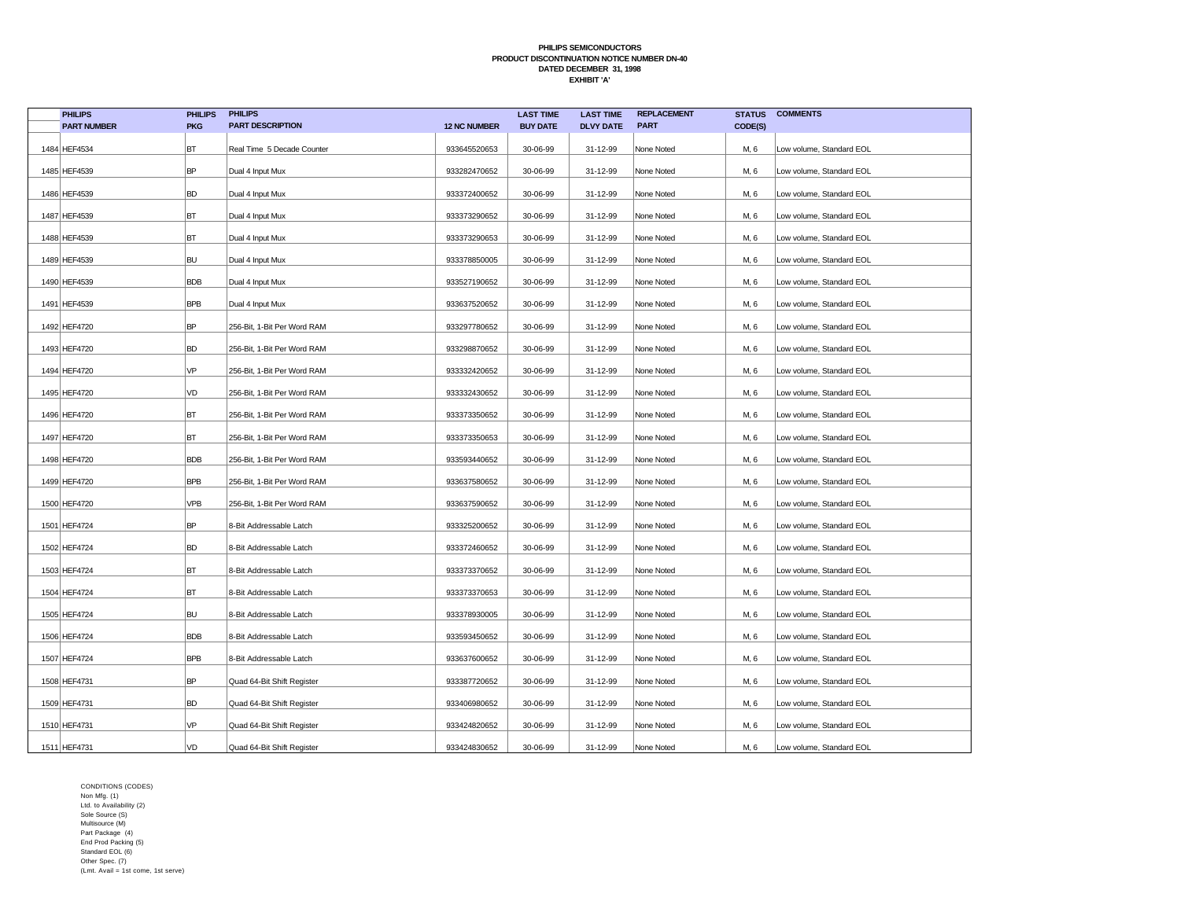| <b>PHILIPS</b>     | <b>PHILIPS</b> | <b>PHILIPS</b>              |                     | <b>LAST TIME</b> | <b>LAST TIME</b> | <b>REPLACEMENT</b> | <b>STATUS</b> | <b>COMMENTS</b>          |
|--------------------|----------------|-----------------------------|---------------------|------------------|------------------|--------------------|---------------|--------------------------|
| <b>PART NUMBER</b> | <b>PKG</b>     | <b>PART DESCRIPTION</b>     | <b>12 NC NUMBER</b> | <b>BUY DATE</b>  | <b>DLVY DATE</b> | <b>PART</b>        | CODE(S)       |                          |
| 1484 HEF4534       | BT             | Real Time 5 Decade Counter  | 933645520653        | 30-06-99         | 31-12-99         | None Noted         | M, 6          | Low volume, Standard EOL |
| 1485 HEF4539       | <b>BP</b>      | Dual 4 Input Mux            | 933282470652        | 30-06-99         | 31-12-99         | None Noted         | M, 6          | Low volume, Standard EOL |
| 1486 HEF4539       | <b>BD</b>      | Dual 4 Input Mux            | 933372400652        | 30-06-99         | 31-12-99         | None Noted         | M, 6          | Low volume, Standard EOL |
| 1487 HEF4539       | BT             | Dual 4 Input Mux            | 933373290652        | 30-06-99         | 31-12-99         | None Noted         | M, 6          | Low volume, Standard EOL |
| 1488 HEF4539       | BT             | Dual 4 Input Mux            | 933373290653        | 30-06-99         | 31-12-99         | None Noted         | M, 6          | Low volume, Standard EOL |
| 1489 HEF4539       | <b>BU</b>      | Dual 4 Input Mux            | 933378850005        | 30-06-99         | 31-12-99         | None Noted         | M, 6          | Low volume, Standard EOL |
| 1490 HEF4539       | <b>BDB</b>     | Dual 4 Input Mux            | 933527190652        | 30-06-99         | 31-12-99         | None Noted         | M, 6          | Low volume, Standard EOL |
| 1491 HEF4539       | <b>BPB</b>     | Dual 4 Input Mux            | 933637520652        | 30-06-99         | 31-12-99         | None Noted         | M, 6          | Low volume, Standard EOL |
| 1492 HEF4720       | <b>BP</b>      | 256-Bit, 1-Bit Per Word RAM | 933297780652        | 30-06-99         | 31-12-99         | None Noted         | M, 6          | Low volume, Standard EOL |
| 1493 HEF4720       | <b>BD</b>      | 256-Bit, 1-Bit Per Word RAM | 933298870652        | 30-06-99         | 31-12-99         | None Noted         | M, 6          | Low volume, Standard EOL |
| 1494 HEF4720       | VP             | 256-Bit, 1-Bit Per Word RAM | 933332420652        | 30-06-99         | 31-12-99         | None Noted         | M, 6          | Low volume, Standard EOL |
| 1495 HEF4720       | VD             | 256-Bit, 1-Bit Per Word RAM | 933332430652        | 30-06-99         | 31-12-99         | None Noted         | M, 6          | Low volume, Standard EOL |
| 1496 HEF4720       | BT             | 256-Bit, 1-Bit Per Word RAM | 933373350652        | 30-06-99         | 31-12-99         | None Noted         | M, 6          | Low volume, Standard EOL |
| 1497 HEF4720       | BT             | 256-Bit, 1-Bit Per Word RAM | 933373350653        | 30-06-99         | 31-12-99         | None Noted         | M, 6          | Low volume, Standard EOL |
| 1498 HEF4720       | <b>BDB</b>     | 256-Bit, 1-Bit Per Word RAM | 933593440652        | 30-06-99         | 31-12-99         | None Noted         | M, 6          | Low volume, Standard EOL |
| 1499 HEF4720       | <b>BPB</b>     | 256-Bit, 1-Bit Per Word RAM | 933637580652        | 30-06-99         | 31-12-99         | None Noted         | M, 6          | Low volume, Standard EOL |
| 1500 HEF4720       | VPB            | 256-Bit, 1-Bit Per Word RAM | 933637590652        | 30-06-99         | 31-12-99         | None Noted         | M, 6          | Low volume, Standard EOL |
| 1501 HEF4724       | <b>BP</b>      | 8-Bit Addressable Latch     | 933325200652        | 30-06-99         | 31-12-99         | None Noted         | M, 6          | Low volume, Standard EOL |
| 1502 HEF4724       | <b>BD</b>      | 8-Bit Addressable Latch     | 933372460652        | 30-06-99         | 31-12-99         | None Noted         | M, 6          | Low volume, Standard EOL |
| 1503 HEF4724       | BT             | 8-Bit Addressable Latch     | 933373370652        | 30-06-99         | 31-12-99         | None Noted         | M, 6          | Low volume, Standard EOL |
| 1504 HEF4724       | BT             | 8-Bit Addressable Latch     | 933373370653        | 30-06-99         | 31-12-99         | None Noted         | M, 6          | Low volume, Standard EOL |
| 1505 HEF4724       | <b>BU</b>      | 8-Bit Addressable Latch     | 933378930005        | 30-06-99         | 31-12-99         | None Noted         | M, 6          | Low volume, Standard EOL |
| 1506 HEF4724       | <b>BDB</b>     | 8-Bit Addressable Latch     | 933593450652        | 30-06-99         | 31-12-99         | None Noted         | M, 6          | Low volume, Standard EOL |
| 1507 HEF4724       | <b>BPB</b>     | 8-Bit Addressable Latch     | 933637600652        | 30-06-99         | 31-12-99         | None Noted         | M, 6          | Low volume, Standard EOL |
| 1508 HEF4731       | <b>BP</b>      | Quad 64-Bit Shift Register  | 933387720652        | 30-06-99         | 31-12-99         | None Noted         | M, 6          | Low volume, Standard EOL |
| 1509 HEF4731       | <b>BD</b>      | Quad 64-Bit Shift Register  | 933406980652        | 30-06-99         | 31-12-99         | None Noted         | M, 6          | Low volume, Standard EOL |
| 1510 HEF4731       | VP             | Quad 64-Bit Shift Register  | 933424820652        | 30-06-99         | 31-12-99         | None Noted         | M, 6          | Low volume, Standard EOL |
| 1511 HEF4731       | VD             | Quad 64-Bit Shift Register  | 933424830652        | 30-06-99         | 31-12-99         | None Noted         | M, 6          | Low volume, Standard EOL |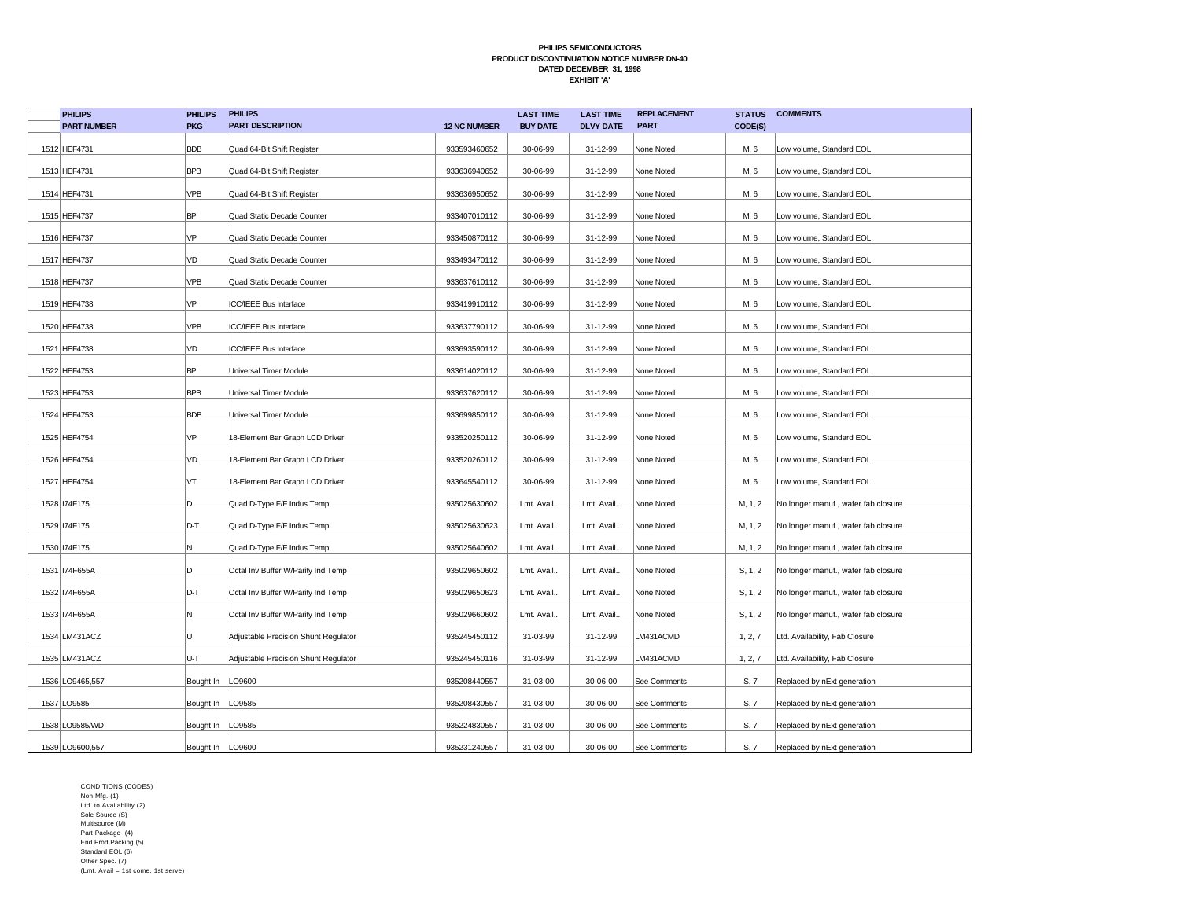| <b>PHILIPS</b>     | <b>PHILIPS</b>     | <b>PHILIPS</b>                       |                     | <b>LAST TIME</b> | <b>LAST TIME</b> | <b>REPLACEMENT</b> | <b>STATUS</b> | <b>COMMENTS</b>                     |
|--------------------|--------------------|--------------------------------------|---------------------|------------------|------------------|--------------------|---------------|-------------------------------------|
| <b>PART NUMBER</b> | <b>PKG</b>         | <b>PART DESCRIPTION</b>              | <b>12 NC NUMBER</b> | <b>BUY DATE</b>  | <b>DLVY DATE</b> | <b>PART</b>        | CODE(S)       |                                     |
| 1512 HEF4731       | <b>BDB</b>         | Quad 64-Bit Shift Register           | 933593460652        | 30-06-99         | 31-12-99         | None Noted         | M, 6          | Low volume, Standard EOL            |
| 1513 HEF4731       | <b>BPB</b>         | Quad 64-Bit Shift Register           | 933636940652        | 30-06-99         | 31-12-99         | None Noted         | M, 6          | Low volume, Standard EOL            |
| 1514 HEF4731       | <b>VPB</b>         | Quad 64-Bit Shift Register           | 933636950652        | 30-06-99         | 31-12-99         | None Noted         | M, 6          | Low volume, Standard EOL            |
| 1515 HEF4737       | <b>BP</b>          | Quad Static Decade Counter           | 933407010112        | 30-06-99         | 31-12-99         | None Noted         | M, 6          | Low volume, Standard EOL            |
| 1516 HEF4737       | VP                 | Quad Static Decade Counter           | 933450870112        | 30-06-99         | 31-12-99         | None Noted         | M, 6          | Low volume, Standard EOL            |
| 1517 HEF4737       | VD                 | Quad Static Decade Counter           | 933493470112        | 30-06-99         | 31-12-99         | None Noted         | M, 6          | Low volume, Standard EOL            |
| 1518 HEF4737       | VPB                | Quad Static Decade Counter           | 933637610112        | 30-06-99         | 31-12-99         | None Noted         | M, 6          | Low volume, Standard EOL            |
| 1519 HEF4738       | VP                 | ICC/IEEE Bus Interface               | 933419910112        | 30-06-99         | 31-12-99         | None Noted         | M, 6          | Low volume, Standard EOL            |
| 1520 HEF4738       | VPB                | ICC/IEEE Bus Interface               | 933637790112        | 30-06-99         | 31-12-99         | None Noted         | M, 6          | Low volume, Standard EOL            |
| 1521 HEF4738       | VD                 | ICC/IEEE Bus Interface               | 933693590112        | 30-06-99         | 31-12-99         | None Noted         | M, 6          | Low volume, Standard EOL            |
| 1522 HEF4753       | <b>BP</b>          | Universal Timer Module               | 933614020112        | 30-06-99         | 31-12-99         | None Noted         | M, 6          | Low volume, Standard EOL            |
| 1523 HEF4753       | <b>BPB</b>         | Universal Timer Module               | 933637620112        | 30-06-99         | 31-12-99         | None Noted         | M, 6          | Low volume, Standard EOL            |
| 1524 HEF4753       | <b>BDB</b>         | Universal Timer Module               | 933699850112        | 30-06-99         | 31-12-99         | None Noted         | M, 6          | Low volume, Standard EOL            |
| 1525 HEF4754       | VP                 | 18-Element Bar Graph LCD Driver      | 933520250112        | 30-06-99         | 31-12-99         | None Noted         | M, 6          | Low volume, Standard EOL            |
| 1526 HEF4754       | VD                 | 18-Element Bar Graph LCD Driver      | 933520260112        | 30-06-99         | 31-12-99         | None Noted         | M, 6          | Low volume, Standard EOL            |
| 1527 HEF4754       | VT                 | 18-Element Bar Graph LCD Driver      | 933645540112        | 30-06-99         | 31-12-99         | None Noted         | M, 6          | Low volume, Standard EOL            |
| 1528   I74F175     | D                  | Quad D-Type F/F Indus Temp           | 935025630602        | Lmt. Avail.      | Lmt. Avail.      | None Noted         | M, 1, 2       | No longer manuf., wafer fab closure |
| 1529 174F175       | D-T                | Quad D-Type F/F Indus Temp           | 935025630623        | Lmt. Avail.      | Lmt. Avail.      | None Noted         | M, 1, 2       | No longer manuf., wafer fab closure |
| 1530   I74F175     | N                  | Quad D-Type F/F Indus Temp           | 935025640602        | Lmt. Avail.      | Lmt. Avail.      | None Noted         | M, 1, 2       | No longer manuf., wafer fab closure |
| 1531   I74F655A    | D                  | Octal Inv Buffer W/Parity Ind Temp   | 935029650602        | Lmt. Avail.      | Lmt. Avail.      | None Noted         | S, 1, 2       | No longer manuf., wafer fab closure |
| 1532 174F655A      | D-T                | Octal Inv Buffer W/Parity Ind Temp   | 935029650623        | Lmt. Avail.      | Lmt. Avail.      | None Noted         | S, 1, 2       | No longer manuf., wafer fab closure |
| 1533 174F655A      | N                  | Octal Inv Buffer W/Parity Ind Temp   | 935029660602        | Lmt. Avail       | Lmt. Avail.      | None Noted         | S, 1, 2       | No longer manuf., wafer fab closure |
| 1534 LM431ACZ      | U                  | Adjustable Precision Shunt Regulator | 935245450112        | 31-03-99         | 31-12-99         | LM431ACMD          | 1, 2, 7       | Ltd. Availability, Fab Closure      |
| 1535 LM431ACZ      | U-T                | Adjustable Precision Shunt Regulator | 935245450116        | 31-03-99         | 31-12-99         | LM431ACMD          | 1, 2, 7       | Ltd. Availability, Fab Closure      |
| 1536 LO9465,557    | Bought-In          | LO9600                               | 935208440557        | 31-03-00         | 30-06-00         | See Comments       | S, 7          | Replaced by nExt generation         |
| 1537 LO9585        | Bought-In   LO9585 |                                      | 935208430557        | 31-03-00         | 30-06-00         | See Comments       | S, 7          | Replaced by nExt generation         |
| 1538 LO9585/WD     | Bought-In          | LO9585                               | 935224830557        | 31-03-00         | 30-06-00         | See Comments       | S, 7          | Replaced by nExt generation         |
| 1539 LO9600,557    | Bought-In   LO9600 |                                      | 935231240557        | 31-03-00         | 30-06-00         | See Comments       | S, 7          | Replaced by nExt generation         |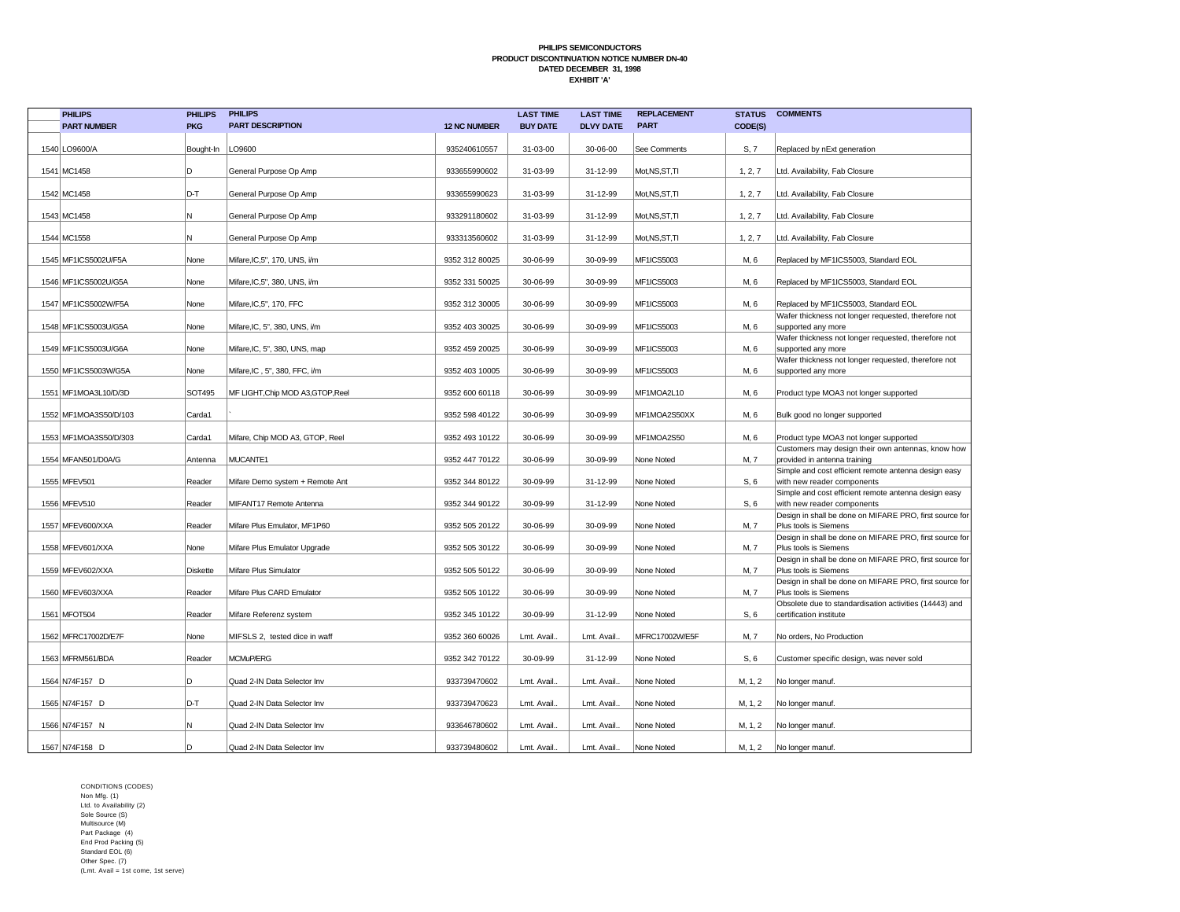| <b>PHILIPS</b>        | <b>PHILIPS</b>  | <b>PHILIPS</b>                    |                     | <b>LAST TIME</b> | <b>LAST TIME</b> | <b>REPLACEMENT</b> |         | <b>STATUS COMMENTS</b>                                                             |
|-----------------------|-----------------|-----------------------------------|---------------------|------------------|------------------|--------------------|---------|------------------------------------------------------------------------------------|
| <b>PART NUMBER</b>    | <b>PKG</b>      | <b>PART DESCRIPTION</b>           | <b>12 NC NUMBER</b> | <b>BUY DATE</b>  | <b>DLVY DATE</b> | <b>PART</b>        | CODE(S) |                                                                                    |
| 1540 LO9600/A         | Bought-In       | LO9600                            | 935240610557        | 31-03-00         | 30-06-00         | See Comments       | S, 7    | Replaced by nExt generation                                                        |
| 1541 MC1458           | lD.             | General Purpose Op Amp            | 933655990602        | 31-03-99         | 31-12-99         | Mot, NS, ST, TI    | 1, 2, 7 | Ltd. Availability, Fab Closure                                                     |
| 1542 MC1458           | D-T             | General Purpose Op Amp            | 933655990623        | 31-03-99         | 31-12-99         | Mot, NS, ST, TI    | 1, 2, 7 | Ltd. Availability, Fab Closure                                                     |
| 1543 MC1458           | İN.             | General Purpose Op Amp            | 933291180602        | 31-03-99         | 31-12-99         | Mot, NS, ST, TI    | 1, 2, 7 | Ltd. Availability, Fab Closure                                                     |
| 1544 MC1558           | N.              | General Purpose Op Amp            | 933313560602        | 31-03-99         | 31-12-99         | Mot, NS, ST, TI    | 1, 2, 7 | Ltd. Availability, Fab Closure                                                     |
| 1545 MF1ICS5002U/F5A  | None            | Mifare, IC, 5", 170, UNS, i/m     | 9352 312 80025      | 30-06-99         | 30-09-99         | <b>MF1ICS5003</b>  | M, 6    | Replaced by MF1ICS5003, Standard EOL                                               |
| 1546 MF1ICS5002U/G5A  | None            | Mifare, IC, 5", 380, UNS, i/m     | 9352 331 50025      | 30-06-99         | 30-09-99         | MF1ICS5003         | M, 6    | Replaced by MF1ICS5003, Standard EOL                                               |
| 1547 MF1ICS5002W/F5A  | None            | Mifare, IC, 5", 170, FFC          | 9352 312 30005      | 30-06-99         | 30-09-99         | MF1ICS5003         | M, 6    | Replaced by MF1ICS5003, Standard EOL                                               |
| 1548 MF1ICS5003U/G5A  | None            | Mifare, IC, 5", 380, UNS, i/m     | 9352 403 30025      | 30-06-99         | 30-09-99         | MF1ICS5003         | M, 6    | Wafer thickness not longer requested, therefore not<br>supported any more          |
| 1549 MF1ICS5003U/G6A  | None            | Mifare, IC, 5", 380, UNS, map     | 9352 459 20025      | 30-06-99         | 30-09-99         | MF1ICS5003         | M, 6    | Wafer thickness not longer requested, therefore not<br>supported any more          |
| 1550 MF1ICS5003W/G5A  | None            | Mifare,IC, 5", 380, FFC, i/m      | 9352 403 10005      | 30-06-99         | 30-09-99         | MF1ICS5003         | M, 6    | Wafer thickness not longer requested, therefore not<br>supported any more          |
| 1551 MF1MOA3L10/D/3D  | <b>SOT495</b>   | MF LIGHT, Chip MOD A3, GTOP, Reel | 9352 600 60118      | 30-06-99         | 30-09-99         | MF1MOA2L10         | M, 6    | Product type MOA3 not longer supported                                             |
| 1552 MF1MOA3S50/D/103 | Carda1          |                                   | 9352 598 40122      | 30-06-99         | 30-09-99         | MF1MOA2S50XX       | M, 6    | Bulk good no longer supported                                                      |
| 1553 MF1MOA3S50/D/303 | Carda1          | Mifare, Chip MOD A3, GTOP, Reel   | 9352 493 10122      | 30-06-99         | 30-09-99         | MF1MOA2S50         | M, 6    | Product type MOA3 not longer supported                                             |
| 1554 MFAN501/D0A/G    | Antenna         | MUCANTE1                          | 9352 447 70122      | 30-06-99         | 30-09-99         | None Noted         | M, 7    | Customers may design their own antennas, know how<br>provided in antenna training  |
| 1555 MFEV501          | Reader          | Mifare Demo system + Remote Ant   | 9352 344 80122      | 30-09-99         | 31-12-99         | None Noted         | S, 6    | Simple and cost efficient remote antenna design easy<br>with new reader components |
| 1556 MFEV510          | Reader          | MIFANT17 Remote Antenna           | 9352 344 90122      | 30-09-99         | 31-12-99         | None Noted         | S, 6    | Simple and cost efficient remote antenna design easy<br>with new reader components |
| 1557 MFEV600/XXA      | Reader          | Mifare Plus Emulator, MF1P60      | 9352 505 20122      | 30-06-99         | 30-09-99         | None Noted         | M, 7    | Design in shall be done on MIFARE PRO, first source for<br>Plus tools is Siemens   |
| 1558 MFEV601/XXA      | None            | Mifare Plus Emulator Upgrade      | 9352 505 30122      | 30-06-99         | 30-09-99         | None Noted         | M, 7    | Design in shall be done on MIFARE PRO, first source for<br>Plus tools is Siemens   |
| 1559 MFEV602/XXA      | <b>Diskette</b> | Mifare Plus Simulator             | 9352 505 50122      | 30-06-99         | 30-09-99         | None Noted         | M, 7    | Design in shall be done on MIFARE PRO, first source for<br>Plus tools is Siemens   |
| 1560 MFEV603/XXA      | Reader          | Mifare Plus CARD Emulator         | 9352 505 10122      | 30-06-99         | 30-09-99         | None Noted         | M, 7    | Design in shall be done on MIFARE PRO, first source for<br>Plus tools is Siemens   |
| 1561 MFOT504          | Reader          | Mifare Referenz system            | 9352 345 10122      | 30-09-99         | 31-12-99         | None Noted         | S, 6    | Obsolete due to standardisation activities (14443) and<br>certification institute  |
| 1562 MFRC17002D/E7F   | None            | MIFSLS 2, tested dice in waff     | 9352 360 60026      | Lmt. Avail.      | Lmt. Avail.      | MFRC17002W/E5F     | M, 7    | No orders, No Production                                                           |
| 1563 MFRM561/BDA      | Reader          | MCMuP/ERG                         | 9352 342 70122      | 30-09-99         | 31-12-99         | None Noted         | S, 6    | Customer specific design, was never sold                                           |
| 1564 N74F157 D        | D               | Quad 2-IN Data Selector Inv       | 933739470602        | Lmt. Avail.      | Lmt. Avail.      | None Noted         | M, 1, 2 | No longer manuf.                                                                   |
| 1565 N74F157 D        | D-T             | Quad 2-IN Data Selector Inv       | 933739470623        | Lmt. Avail.      | Lmt. Avail.      | None Noted         | M, 1, 2 | No longer manuf.                                                                   |
| 1566 N74F157 N        | N.              | Quad 2-IN Data Selector Inv       | 933646780602        | Lmt. Avail.      | Lmt. Avail.      | None Noted         | M, 1, 2 | No longer manuf.                                                                   |
| 1567 N74F158 D        | İD              | Quad 2-IN Data Selector Inv       | 933739480602        | Lmt. Avail.      | Lmt. Avail.      | None Noted         | M, 1, 2 | No longer manuf                                                                    |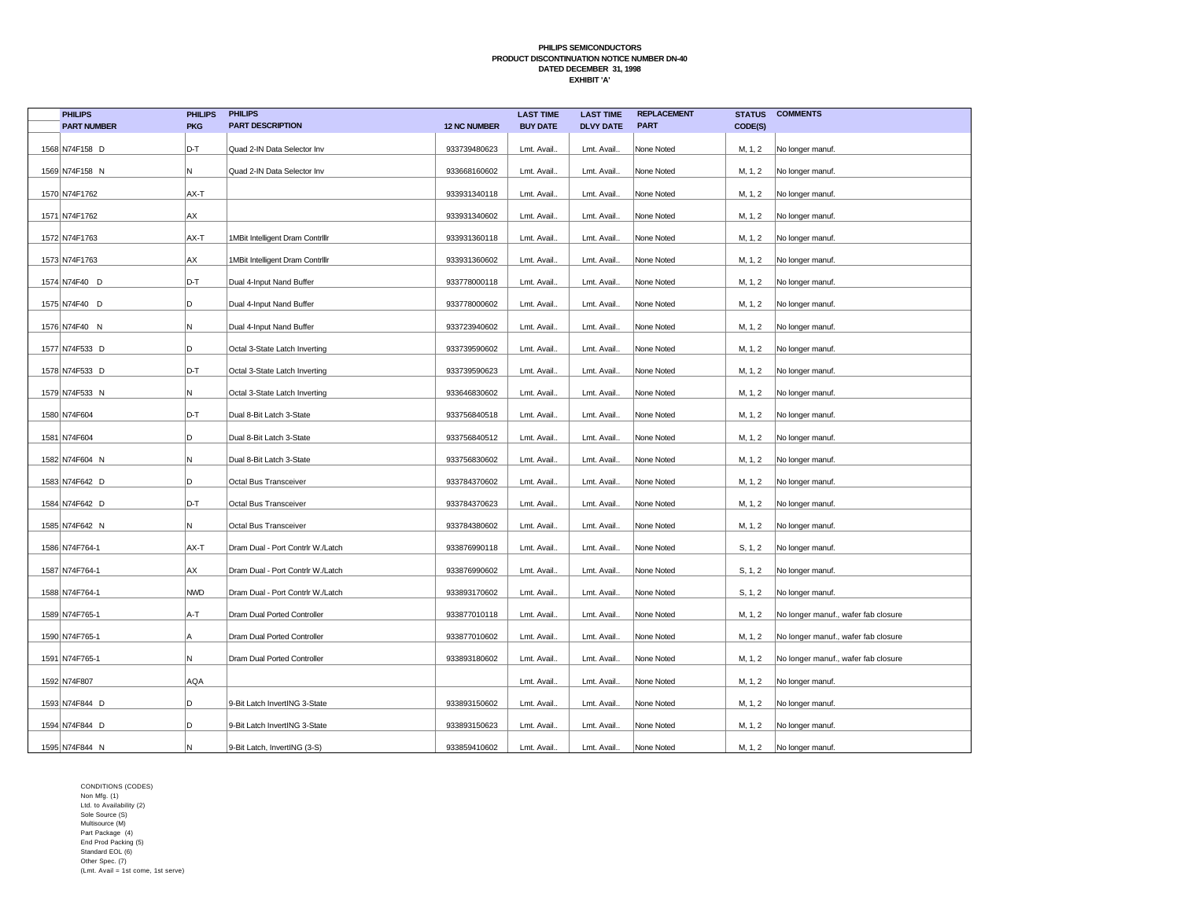| <b>PHILIPS</b>     | <b>PHILIPS</b> | <b>PHILIPS</b>                    |                     | <b>LAST TIME</b> | <b>LAST TIME</b> | <b>REPLACEMENT</b> | <b>STATUS</b> | <b>COMMENTS</b>                     |
|--------------------|----------------|-----------------------------------|---------------------|------------------|------------------|--------------------|---------------|-------------------------------------|
| <b>PART NUMBER</b> | <b>PKG</b>     | <b>PART DESCRIPTION</b>           | <b>12 NC NUMBER</b> | <b>BUY DATE</b>  | <b>DLVY DATE</b> | <b>PART</b>        | CODE(S)       |                                     |
| 1568 N74F158 D     | D-T            | Quad 2-IN Data Selector Inv       | 933739480623        | Lmt. Avail.      | Lmt. Avail       | None Noted         | M, 1, 2       | No longer manuf.                    |
| 1569 N74F158 N     | N              | Quad 2-IN Data Selector Inv       | 933668160602        | Lmt. Avail.      | Lmt. Avail.      | None Noted         | M, 1, 2       | No longer manuf.                    |
| 1570 N74F1762      | AX-T           |                                   | 933931340118        | Lmt. Avail.      | Lmt. Avail.      | None Noted         | M, 1, 2       | No longer manuf.                    |
| 1571 N74F1762      | AX             |                                   | 933931340602        | Lmt. Avail.      | Lmt. Avail       | None Noted         | M, 1, 2       | No longer manuf.                    |
| 1572 N74F1763      | AX-T           | 1MBit Intelligent Dram Contrillr  | 933931360118        | Lmt. Avail.      | Lmt. Avail.      | None Noted         | M, 1, 2       | No longer manuf.                    |
| 1573 N74F1763      | AX             | 1MBit Intelligent Dram Contrillr  | 933931360602        | Lmt. Avail.      | Lmt. Avail.      | None Noted         | M, 1, 2       | No longer manuf.                    |
| 1574 N74F40 D      | D-T            | Dual 4-Input Nand Buffer          | 933778000118        | Lmt. Avail.      | Lmt. Avail.      | None Noted         | M, 1, 2       | No longer manuf.                    |
| 1575 N74F40 D      | D              | Dual 4-Input Nand Buffer          | 933778000602        | Lmt. Avail.      | Lmt. Avail.      | None Noted         | M, 1, 2       | No longer manuf.                    |
| 1576 N74F40 N      | N              | Dual 4-Input Nand Buffer          | 933723940602        | Lmt. Avail.      | Lmt. Avail.      | None Noted         | M, 1, 2       | No longer manuf.                    |
| 1577 N74F533 D     | D              | Octal 3-State Latch Inverting     | 933739590602        | Lmt. Avail.      | Lmt. Avail.      | None Noted         | M, 1, 2       | No longer manuf.                    |
| 1578 N74F533 D     | D-T            | Octal 3-State Latch Inverting     | 933739590623        | Lmt. Avail.      | Lmt. Avail       | None Noted         | M, 1, 2       | No longer manuf.                    |
| 1579 N74F533 N     | N              | Octal 3-State Latch Inverting     | 933646830602        | Lmt. Avail.      | Lmt. Avail.      | None Noted         | M, 1, 2       | No longer manuf.                    |
| 1580 N74F604       | D-T            | Dual 8-Bit Latch 3-State          | 933756840518        | Lmt. Avail.      | Lmt. Avail.      | None Noted         | M, 1, 2       | No longer manuf.                    |
| 1581 N74F604       | D              | Dual 8-Bit Latch 3-State          | 933756840512        | Lmt. Avail.      | Lmt. Avail.      | None Noted         | M, 1, 2       | No longer manuf.                    |
| 1582 N74F604 N     | N              | Dual 8-Bit Latch 3-State          | 933756830602        | Lmt. Avail.      | Lmt. Avail       | None Noted         | M, 1, 2       | No longer manuf.                    |
| 1583 N74F642 D     | D              | Octal Bus Transceiver             | 933784370602        | Lmt. Avail.      | Lmt. Avail.      | None Noted         | M, 1, 2       | No longer manuf.                    |
| 1584 N74F642 D     | D-T            | Octal Bus Transceiver             | 933784370623        | Lmt. Avail.      | Lmt. Avail.      | None Noted         | M, 1, 2       | No longer manuf.                    |
| 1585 N74F642 N     | N              | Octal Bus Transceiver             | 933784380602        | Lmt. Avail.      | Lmt. Avail.      | None Noted         | M, 1, 2       | No longer manuf.                    |
| 1586 N74F764-1     | AX-T           | Dram Dual - Port Contrlr W./Latch | 933876990118        | Lmt. Avail.      | Lmt. Avail.      | None Noted         | S, 1, 2       | No longer manuf.                    |
| 1587 N74F764-1     | AX             | Dram Dual - Port Contrlr W./Latch | 933876990602        | Lmt. Avail.      | Lmt. Avail.      | None Noted         | S, 1, 2       | No longer manuf.                    |
| 1588 N74F764-1     | <b>NWD</b>     | Dram Dual - Port Contrlr W./Latch | 933893170602        | Lmt. Avail.      | Lmt. Avail       | None Noted         | S, 1, 2       | No longer manuf.                    |
| 1589 N74F765-1     | A-T            | Dram Dual Ported Controller       | 933877010118        | Lmt. Avail.      | Lmt. Avail       | None Noted         | M, 1, 2       | No longer manuf., wafer fab closure |
| 1590 N74F765-1     | A              | Dram Dual Ported Controller       | 933877010602        | Lmt. Avail.      | Lmt. Avail.      | None Noted         | M, 1, 2       | No longer manuf., wafer fab closure |
| 1591 N74F765-1     | N              | Dram Dual Ported Controller       | 933893180602        | Lmt. Avail.      | Lmt. Avail       | None Noted         | M, 1, 2       | No longer manuf., wafer fab closure |
| 1592 N74F807       | AQA            |                                   |                     | Lmt. Avail.      | Lmt. Avail.      | None Noted         | M, 1, 2       | No longer manuf.                    |
| 1593 N74F844 D     | D.             | 9-Bit Latch InvertING 3-State     | 933893150602        | Lmt. Avail.      | Lmt. Avail.      | None Noted         | M, 1, 2       | No longer manuf.                    |
| 1594 N74F844 D     | D              | 9-Bit Latch InvertING 3-State     | 933893150623        | Lmt. Avail.      | Lmt. Avail.      | None Noted         | M, 1, 2       | No longer manuf.                    |
| 1595 N74F844 N     | N              | 9-Bit Latch, InvertING (3-S)      | 933859410602        | Lmt. Avail.      | Lmt. Avail.      | None Noted         | M, 1, 2       | No longer manuf.                    |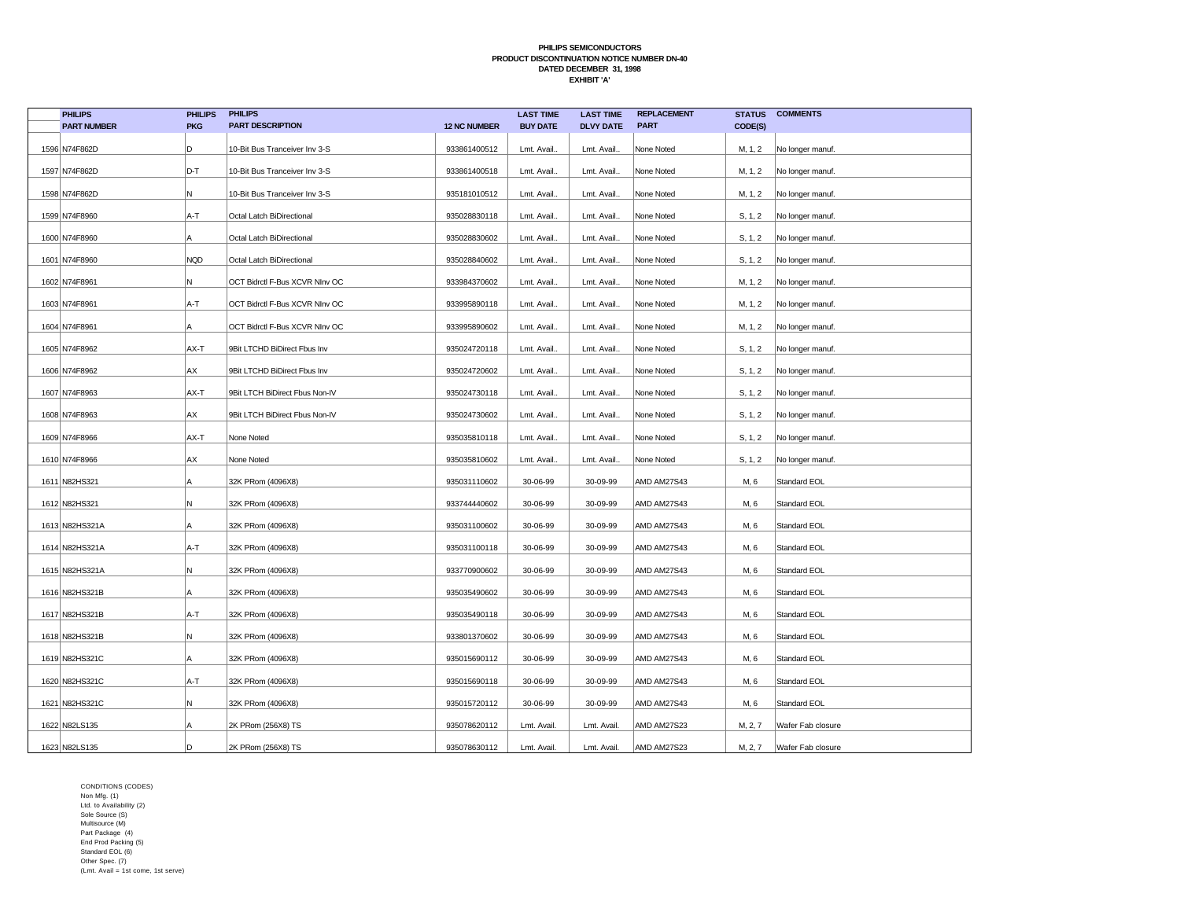| <b>PHILIPS</b>     | <b>PHILIPS</b> | <b>PHILIPS</b>                 |                     | <b>LAST TIME</b> | <b>LAST TIME</b> | <b>REPLACEMENT</b> | <b>STATUS</b> | <b>COMMENTS</b>   |
|--------------------|----------------|--------------------------------|---------------------|------------------|------------------|--------------------|---------------|-------------------|
| <b>PART NUMBER</b> | <b>PKG</b>     | <b>PART DESCRIPTION</b>        | <b>12 NC NUMBER</b> | <b>BUY DATE</b>  | <b>DLVY DATE</b> | <b>PART</b>        | CODE(S)       |                   |
| 1596 N74F862D      | D              | 10-Bit Bus Tranceiver Inv 3-S  | 933861400512        | Lmt. Avail.      | Lmt. Avail.      | None Noted         | M, 1, 2       | No longer manuf.  |
| 1597 N74F862D      | D-T            | 10-Bit Bus Tranceiver Inv 3-S  | 933861400518        | Lmt. Avail.      | Lmt. Avail.      | None Noted         | M, 1, 2       | No longer manuf.  |
| 1598 N74F862D      | Ν              | 10-Bit Bus Tranceiver Inv 3-S  | 935181010512        | Lmt. Avail.      | Lmt. Avail.      | None Noted         | M, 1, 2       | No longer manuf.  |
|                    |                |                                |                     |                  |                  |                    |               |                   |
| 1599 N74F8960      | A-T            | Octal Latch BiDirectional      | 935028830118        | Lmt. Avail.      | Lmt. Avail.      | None Noted         | S, 1, 2       | No longer manuf.  |
| 1600 N74F8960      | Α              | Octal Latch BiDirectional      | 935028830602        | Lmt. Avail.      | Lmt. Avail.      | None Noted         | S, 1, 2       | No longer manuf.  |
| 1601 N74F8960      | <b>NQD</b>     | Octal Latch BiDirectional      | 935028840602        | Lmt. Avail.      | Lmt. Avail.      | None Noted         | S, 1, 2       | No longer manuf.  |
| 1602 N74F8961      | Ν              | OCT Bidrctl F-Bus XCVR NInv OC | 933984370602        | Lmt. Avail.      | Lmt. Avail.      | None Noted         | M, 1, 2       | No longer manuf.  |
| 1603 N74F8961      | A-T            | OCT Bidrctl F-Bus XCVR NInv OC | 933995890118        | Lmt. Avail.      | Lmt. Avail.      | None Noted         | M, 1, 2       | No longer manuf.  |
| 1604 N74F8961      | Α              | OCT Bidrctl F-Bus XCVR NInv OC | 933995890602        | Lmt. Avail.      | Lmt. Avail.      | None Noted         | M, 1, 2       | No longer manuf.  |
| 1605 N74F8962      | AX-T           | 9Bit LTCHD BiDirect Fbus Inv   | 935024720118        | Lmt. Avail.      | Lmt. Avail.      | None Noted         | S, 1, 2       | No longer manuf.  |
| 1606 N74F8962      | АX             | 9Bit LTCHD BiDirect Fbus Inv   | 935024720602        | Lmt. Avail.      | Lmt. Avail.      | None Noted         | S, 1, 2       | No longer manuf.  |
| 1607 N74F8963      | AX-T           | 9Bit LTCH BiDirect Fbus Non-IV | 935024730118        | Lmt. Avail.      | Lmt. Avail.      | None Noted         | S, 1, 2       | No longer manuf.  |
| 1608 N74F8963      | AX             | 9Bit LTCH BiDirect Fbus Non-IV | 935024730602        | Lmt. Avail.      | Lmt. Avail.      | None Noted         | S, 1, 2       | No longer manuf.  |
| 1609 N74F8966      | AX-T           | None Noted                     | 935035810118        | Lmt. Avail.      | Lmt. Avail.      | None Noted         | S, 1, 2       | No longer manuf.  |
| 1610 N74F8966      | АX             | None Noted                     | 935035810602        | Lmt. Avail.      | Lmt. Avail.      | None Noted         | S, 1, 2       | No longer manuf.  |
| 1611 N82HS321      | А              | 32K PRom (4096X8)              | 935031110602        | 30-06-99         | 30-09-99         | AMD AM27S43        | M, 6          | Standard EOL      |
| 1612 N82HS321      | N              | 32K PRom (4096X8)              | 933744440602        | 30-06-99         | 30-09-99         | AMD AM27S43        | M, 6          | Standard EOL      |
| 1613 N82HS321A     | А              | 32K PRom (4096X8)              | 935031100602        | 30-06-99         | 30-09-99         | AMD AM27S43        | M, 6          | Standard EOL      |
| 1614 N82HS321A     | A-T            | 32K PRom (4096X8)              | 935031100118        | 30-06-99         | 30-09-99         | AMD AM27S43        | M, 6          | Standard EOL      |
| 1615 N82HS321A     | Ν              | 32K PRom (4096X8)              | 933770900602        | 30-06-99         | 30-09-99         | AMD AM27S43        | M, 6          | Standard EOL      |
| 1616 N82HS321B     | Α              | 32K PRom (4096X8)              | 935035490602        | 30-06-99         | 30-09-99         | AMD AM27S43        | M, 6          | Standard EOL      |
| 1617 N82HS321B     | A-T            | 32K PRom (4096X8)              | 935035490118        | 30-06-99         | 30-09-99         | AMD AM27S43        | M, 6          | Standard EOL      |
| 1618 N82HS321B     | Ν              | 32K PRom (4096X8)              | 933801370602        | 30-06-99         | 30-09-99         | AMD AM27S43        | M, 6          | Standard EOL      |
| 1619 N82HS321C     | Α              | 32K PRom (4096X8)              | 935015690112        | 30-06-99         | 30-09-99         | AMD AM27S43        | M, 6          | Standard EOL      |
| 1620 N82HS321C     | A-T            | 32K PRom (4096X8)              | 935015690118        | 30-06-99         | 30-09-99         | AMD AM27S43        | M, 6          | Standard EOL      |
| 1621 N82HS321C     | N              | 32K PRom (4096X8)              | 935015720112        | 30-06-99         | 30-09-99         | AMD AM27S43        | M, 6          | Standard EOL      |
| 1622 N82LS135      | Α              | 2K PRom (256X8) TS             | 935078620112        | Lmt. Avail       | Lmt. Avail       | AMD AM27S23        | M, 2, 7       | Wafer Fab closure |
| 1623 N82LS135      | ID.            | 2K PRom (256X8) TS             | 935078630112        | Lmt. Avail       | Lmt. Avail       | AMD AM27S23        | M, 2, 7       | Wafer Fab closure |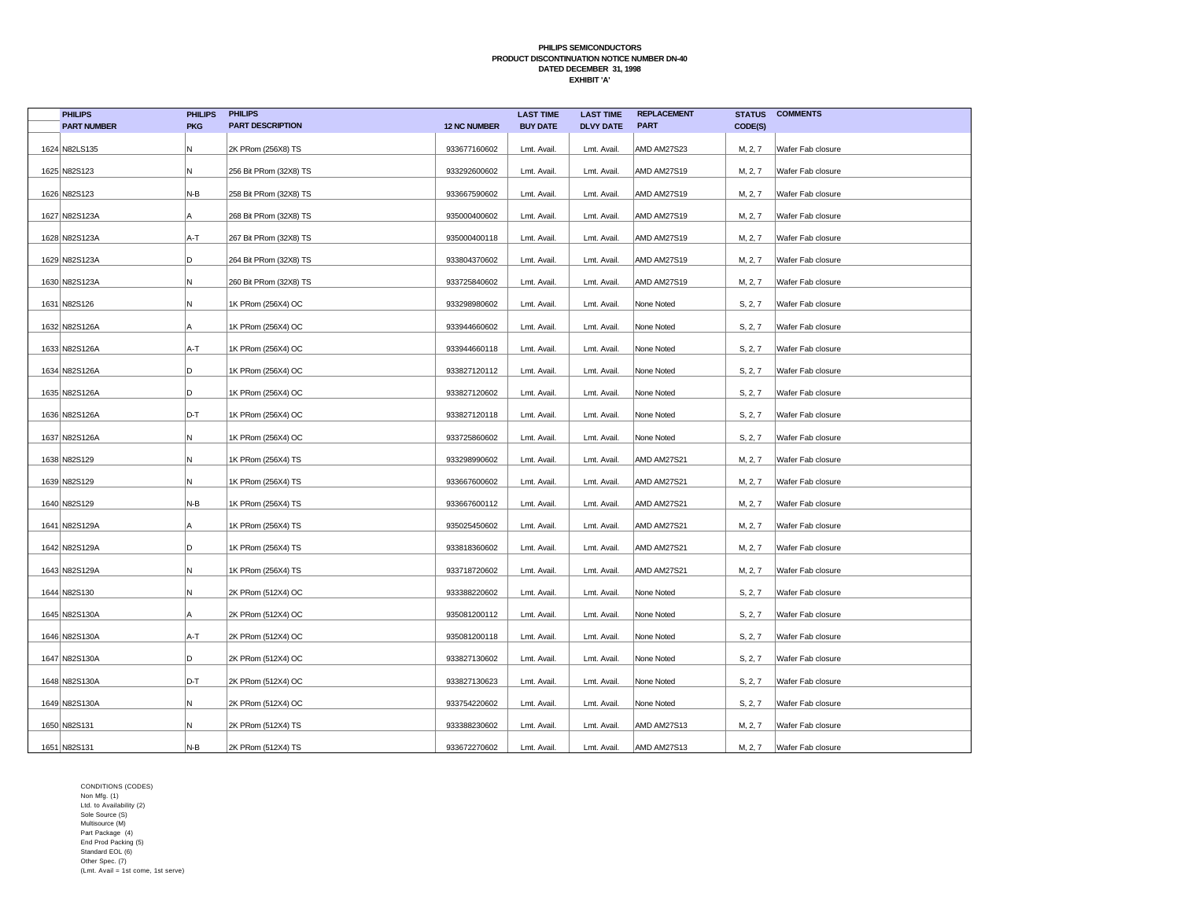| <b>PHILIPS</b>     | <b>PHILIPS</b> | <b>PHILIPS</b>          |                     | <b>LAST TIME</b> | <b>LAST TIME</b> | <b>REPLACEMENT</b> | <b>STATUS</b> | <b>COMMENTS</b>   |
|--------------------|----------------|-------------------------|---------------------|------------------|------------------|--------------------|---------------|-------------------|
| <b>PART NUMBER</b> | <b>PKG</b>     | <b>PART DESCRIPTION</b> | <b>12 NC NUMBER</b> | <b>BUY DATE</b>  | <b>DLVY DATE</b> | <b>PART</b>        | CODE(S)       |                   |
| 1624 N82LS135      | N              | 2K PRom (256X8) TS      | 933677160602        | Lmt. Avail.      | Lmt. Avail.      | AMD AM27S23        | M, 2, 7       | Wafer Fab closure |
| 1625 N82S123       | N.             | 256 Bit PRom (32X8) TS  | 933292600602        | Lmt. Avail.      | Lmt. Avail.      | AMD AM27S19        | M, 2, 7       | Wafer Fab closure |
| 1626 N82S123       | N-B            | 258 Bit PRom (32X8) TS  | 933667590602        | Lmt. Avail       | Lmt. Avail.      | AMD AM27S19        | M, 2, 7       | Wafer Fab closure |
| 1627 N82S123A      | А              | 268 Bit PRom (32X8) TS  | 935000400602        | Lmt. Avail.      | Lmt. Avail.      | AMD AM27S19        | M, 2, 7       | Wafer Fab closure |
| 1628 N82S123A      | A-T            | 267 Bit PRom (32X8) TS  | 935000400118        | Lmt. Avail.      | Lmt. Avail.      | AMD AM27S19        | M, 2, 7       | Wafer Fab closure |
| 1629 N82S123A      | D              | 264 Bit PRom (32X8) TS  | 933804370602        | Lmt. Avail       | Lmt. Avail.      | <b>AMD AM27S19</b> | M, 2, 7       | Wafer Fab closure |
| 1630 N82S123A      | N              | 260 Bit PRom (32X8) TS  | 933725840602        | Lmt. Avail.      | Lmt. Avail.      | AMD AM27S19        | M, 2, 7       | Wafer Fab closure |
| 1631 N82S126       | N              | 1K PRom (256X4) OC      | 933298980602        | Lmt. Avail.      | Lmt. Avail.      | None Noted         | S, 2, 7       | Wafer Fab closure |
| 1632 N82S126A      | Α              | 1K PRom (256X4) OC      | 933944660602        | Lmt. Avail.      | Lmt. Avail.      | None Noted         | S, 2, 7       | Wafer Fab closure |
| 1633 N82S126A      | A-T            | 1K PRom (256X4) OC      | 933944660118        | Lmt. Avail       | Lmt. Avail       | None Noted         | S, 2, 7       | Wafer Fab closure |
| 1634 N82S126A      | D              | 1K PRom (256X4) OC      | 933827120112        | Lmt. Avail.      | Lmt. Avail.      | None Noted         | S, 2, 7       | Wafer Fab closure |
| 1635 N82S126A      | D              | 1K PRom (256X4) OC      | 933827120602        | Lmt. Avail.      | Lmt. Avail.      | None Noted         | S, 2, 7       | Wafer Fab closure |
| 1636 N82S126A      | D-T            | 1K PRom (256X4) OC      | 933827120118        | Lmt. Avail       | Lmt. Avail.      | None Noted         | S, 2, 7       | Wafer Fab closure |
| 1637 N82S126A      | N.             | 1K PRom (256X4) OC      | 933725860602        | Lmt. Avail.      | Lmt. Avail.      | None Noted         | S, 2, 7       | Wafer Fab closure |
| 1638 N82S129       | N              | 1K PRom (256X4) TS      | 933298990602        | Lmt. Avail.      | Lmt. Avail.      | AMD AM27S21        | M, 2, 7       | Wafer Fab closure |
| 1639 N82S129       | N              | 1K PRom (256X4) TS      | 933667600602        | Lmt. Avail       | Lmt. Avail       | AMD AM27S21        | M, 2, 7       | Wafer Fab closure |
| 1640 N82S129       | N-B            | 1K PRom (256X4) TS      | 933667600112        | Lmt. Avail       | Lmt. Avail.      | AMD AM27S21        | M, 2, 7       | Wafer Fab closure |
| 1641 N82S129A      | A              | 1K PRom (256X4) TS      | 935025450602        | Lmt. Avail.      | Lmt. Avail.      | AMD AM27S21        | M, 2, 7       | Wafer Fab closure |
| 1642 N82S129A      | D              | 1K PRom (256X4) TS      | 933818360602        | Lmt. Avail.      | Lmt. Avail.      | AMD AM27S21        | M, 2, 7       | Wafer Fab closure |
| 1643 N82S129A      | Ν              | 1K PRom (256X4) TS      | 933718720602        | Lmt. Avail       | Lmt. Avail.      | AMD AM27S21        | M, 2, 7       | Wafer Fab closure |
| 1644 N82S130       | N              | 2K PRom (512X4) OC      | 933388220602        | Lmt. Avail.      | Lmt. Avail.      | None Noted         | S, 2, 7       | Wafer Fab closure |
| 1645 N82S130A      | Α              | 2K PRom (512X4) OC      | 935081200112        | Lmt. Avail.      | Lmt. Avail.      | None Noted         | S, 2, 7       | Wafer Fab closure |
| 1646 N82S130A      | A-T            | 2K PRom (512X4) OC      | 935081200118        | Lmt. Avail       | Lmt. Avail       | None Noted         | S, 2, 7       | Wafer Fab closure |
| 1647 N82S130A      | D              | 2K PRom (512X4) OC      | 933827130602        | Lmt. Avail.      | Lmt. Avail.      | None Noted         | S, 2, 7       | Wafer Fab closure |
| 1648 N82S130A      | D-T            | 2K PRom (512X4) OC      | 933827130623        | Lmt. Avail.      | Lmt. Avail.      | None Noted         | S, 2, 7       | Wafer Fab closure |
| 1649 N82S130A      | N.             | 2K PRom (512X4) OC      | 933754220602        | Lmt. Avail.      | Lmt. Avail.      | None Noted         | S, 2, 7       | Wafer Fab closure |
| 1650 N82S131       | N              | 2K PRom (512X4) TS      | 933388230602        | Lmt. Avail       | Lmt. Avail       | AMD AM27S13        | M, 2, 7       | Wafer Fab closure |
| 1651 N82S131       | $N-B$          | 2K PRom (512X4) TS      | 933672270602        | Lmt. Avail       | Lmt. Avail.      | AMD AM27S13        | M, 2, 7       | Wafer Fab closure |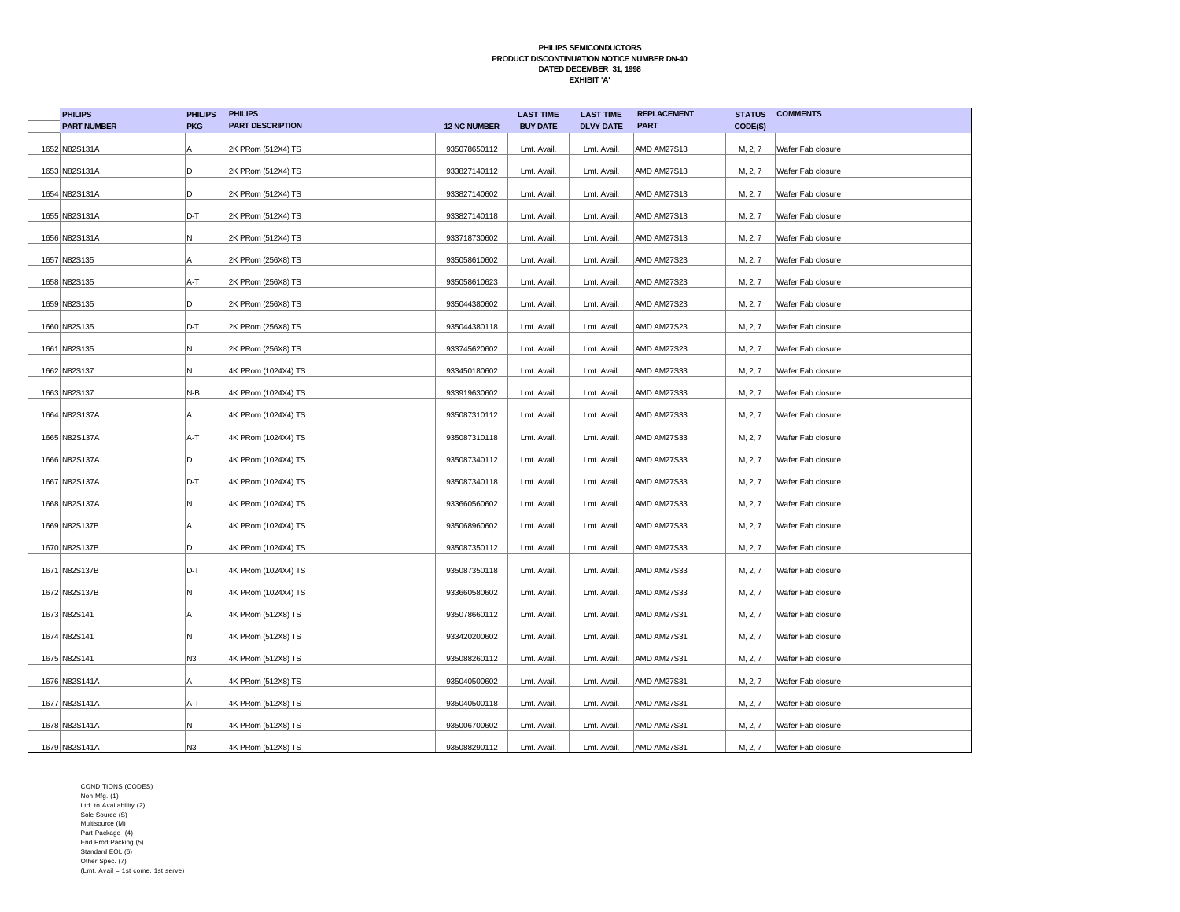| <b>PHILIPS</b>     | <b>PHILIPS</b> | <b>PHILIPS</b>          |                     | <b>LAST TIME</b> | <b>LAST TIME</b> | <b>REPLACEMENT</b> | <b>STATUS</b> | <b>COMMENTS</b>   |
|--------------------|----------------|-------------------------|---------------------|------------------|------------------|--------------------|---------------|-------------------|
| <b>PART NUMBER</b> | <b>PKG</b>     | <b>PART DESCRIPTION</b> | <b>12 NC NUMBER</b> | <b>BUY DATE</b>  | <b>DLVY DATE</b> | <b>PART</b>        | CODE(S)       |                   |
| 1652 N82S131A      | А              | 2K PRom (512X4) TS      | 935078650112        | Lmt. Avail.      | Lmt. Avail.      | <b>AMD AM27S13</b> | M, 2, 7       | Wafer Fab closure |
| 1653 N82S131A      | D              | 2K PRom (512X4) TS      | 933827140112        | Lmt. Avail       | Lmt. Avail.      | AMD AM27S13        | M, 2, 7       | Wafer Fab closure |
| 1654 N82S131A      | D              | 2K PRom (512X4) TS      | 933827140602        | Lmt. Avail       | Lmt. Avail.      | AMD AM27S13        | M, 2, 7       | Wafer Fab closure |
| 1655 N82S131A      | D-T            | 2K PRom (512X4) TS      | 933827140118        | Lmt. Avail.      | Lmt. Avail.      | AMD AM27S13        | M, 2, 7       | Wafer Fab closure |
| 1656 N82S131A      | N              | 2K PRom (512X4) TS      | 933718730602        | Lmt. Avail.      | Lmt. Avail       | AMD AM27S13        | M, 2, 7       | Wafer Fab closure |
| 1657 N82S135       | Α              | 2K PRom (256X8) TS      | 935058610602        | Lmt. Avail       | Lmt. Avail.      | AMD AM27S23        | M, 2, 7       | Wafer Fab closure |
| 1658 N82S135       | A-T            | 2K PRom (256X8) TS      | 935058610623        | Lmt. Avail.      | Lmt. Avail       | AMD AM27S23        | M, 2, 7       | Wafer Fab closure |
| 1659 N82S135       | D              | 2K PRom (256X8) TS      | 935044380602        | Lmt. Avail.      | Lmt. Avail.      | AMD AM27S23        | M, 2, 7       | Wafer Fab closure |
| 1660 N82S135       | D-T            | 2K PRom (256X8) TS      | 935044380118        | Lmt. Avail.      | Lmt. Avail.      | AMD AM27S23        | M, 2, 7       | Wafer Fab closure |
| 1661 N82S135       | N              | 2K PRom (256X8) TS      | 933745620602        | Lmt. Avail       | Lmt. Avail       | AMD AM27S23        | M, 2, 7       | Wafer Fab closure |
| 1662 N82S137       | N              | 4K PRom (1024X4) TS     | 933450180602        | Lmt. Avail.      | Lmt. Avail.      | AMD AM27S33        | M, 2, 7       | Wafer Fab closure |
| 1663 N82S137       | N-B            | 4K PRom (1024X4) TS     | 933919630602        | Lmt. Avail.      | Lmt. Avail.      | AMD AM27S33        | M, 2, 7       | Wafer Fab closure |
| 1664 N82S137A      | A              | 4K PRom (1024X4) TS     | 935087310112        | Lmt. Avail       | Lmt. Avail.      | AMD AM27S33        | M, 2, 7       | Wafer Fab closure |
| 1665 N82S137A      | A-T            | 4K PRom (1024X4) TS     | 935087310118        | Lmt. Avail.      | Lmt. Avail.      | AMD AM27S33        | M, 2, 7       | Wafer Fab closure |
| 1666 N82S137A      | D              | 4K PRom (1024X4) TS     | 935087340112        | Lmt. Avail.      | Lmt. Avail.      | AMD AM27S33        | M, 2, 7       | Wafer Fab closure |
| 1667 N82S137A      | D-T            | 4K PRom (1024X4) TS     | 935087340118        | Lmt. Avail       | Lmt. Avail       | AMD AM27S33        | M, 2, 7       | Wafer Fab closure |
| 1668 N82S137A      | N              | 4K PRom (1024X4) TS     | 933660560602        | Lmt. Avail       | Lmt. Avail.      | AMD AM27S33        | M, 2, 7       | Wafer Fab closure |
| 1669 N82S137B      | А              | 4K PRom (1024X4) TS     | 935068960602        | Lmt. Avail.      | Lmt. Avail.      | AMD AM27S33        | M, 2, 7       | Wafer Fab closure |
| 1670 N82S137B      | D              | 4K PRom (1024X4) TS     | 935087350112        | Lmt. Avail.      | Lmt. Avail.      | AMD AM27S33        | M, 2, 7       | Wafer Fab closure |
| 1671 N82S137B      | D-T            | 4K PRom (1024X4) TS     | 935087350118        | Lmt. Avail       | Lmt. Avail       | AMD AM27S33        | M, 2, 7       | Wafer Fab closure |
| 1672 N82S137B      | Ν              | 4K PRom (1024X4) TS     | 933660580602        | Lmt. Avail.      | Lmt. Avail.      | AMD AM27S33        | M, 2, 7       | Wafer Fab closure |
| 1673 N82S141       | Α              | 4K PRom (512X8) TS      | 935078660112        | Lmt. Avail       | Lmt. Avail.      | AMD AM27S31        | M, 2, 7       | Wafer Fab closure |
| 1674 N82S141       | N              | 4K PRom (512X8) TS      | 933420200602        | Lmt. Avail       | Lmt. Avail       | AMD AM27S31        | M, 2, 7       | Wafer Fab closure |
| 1675 N82S141       | N3             | 4K PRom (512X8) TS      | 935088260112        | Lmt. Avail       | Lmt. Avail.      | AMD AM27S31        | M, 2, 7       | Wafer Fab closure |
| 1676 N82S141A      | A              | 4K PRom (512X8) TS      | 935040500602        | Lmt. Avail       | Lmt. Avail.      | AMD AM27S31        | M, 2, 7       | Wafer Fab closure |
| 1677 N82S141A      | A-T            | 4K PRom (512X8) TS      | 935040500118        | Lmt. Avail       | Lmt. Avail.      | AMD AM27S31        | M, 2, 7       | Wafer Fab closure |
| 1678 N82S141A      | N              | 4K PRom (512X8) TS      | 935006700602        | Lmt. Avail       | Lmt. Avail       | AMD AM27S31        | M, 2, 7       | Wafer Fab closure |
| 1679 N82S141A      | N <sub>3</sub> | 4K PRom (512X8) TS      | 935088290112        | Lmt. Avail       | Lmt. Avail.      | AMD AM27S31        | M, 2, 7       | Wafer Fab closure |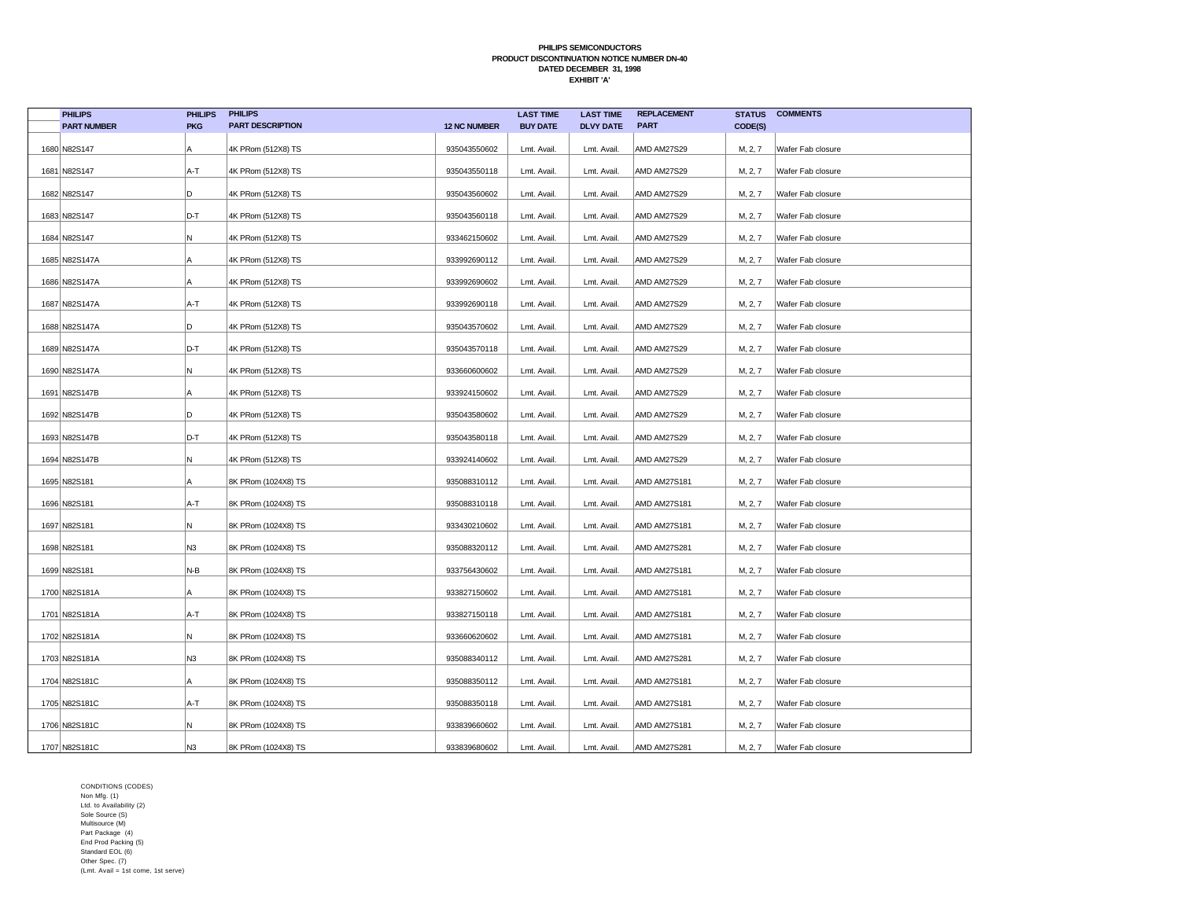| <b>PHILIPS</b>     | <b>PHILIPS</b> | <b>PHILIPS</b>          |                     | <b>LAST TIME</b> | <b>LAST TIME</b> | <b>REPLACEMENT</b>  | <b>STATUS</b> | <b>COMMENTS</b>   |
|--------------------|----------------|-------------------------|---------------------|------------------|------------------|---------------------|---------------|-------------------|
| <b>PART NUMBER</b> | <b>PKG</b>     | <b>PART DESCRIPTION</b> | <b>12 NC NUMBER</b> | <b>BUY DATE</b>  | <b>DLVY DATE</b> | <b>PART</b>         | CODE(S)       |                   |
| 1680 N82S147       | А              | 4K PRom (512X8) TS      | 935043550602        | Lmt. Avail.      | Lmt. Avail.      | <b>AMD AM27S29</b>  | M, 2, 7       | Wafer Fab closure |
| 1681 N82S147       | A-T            | 4K PRom (512X8) TS      | 935043550118        | Lmt. Avail       | Lmt. Avail.      | AMD AM27S29         | M, 2, 7       | Wafer Fab closure |
| 1682 N82S147       | D              | 4K PRom (512X8) TS      | 935043560602        | Lmt. Avail       | Lmt. Avail.      | AMD AM27S29         | M, 2, 7       | Wafer Fab closure |
| 1683 N82S147       | D-T            | 4K PRom (512X8) TS      | 935043560118        | Lmt. Avail.      | Lmt. Avail.      | <b>AMD AM27S29</b>  | M, 2, 7       | Wafer Fab closure |
| 1684 N82S147       | N              | 4K PRom (512X8) TS      | 933462150602        | Lmt. Avail.      | Lmt. Avail       | AMD AM27S29         | M, 2, 7       | Wafer Fab closure |
| 1685 N82S147A      | А              | 4K PRom (512X8) TS      | 933992690112        | Lmt. Avail       | Lmt. Avail.      | AMD AM27S29         | M, 2, 7       | Wafer Fab closure |
| 1686 N82S147A      | Α              | 4K PRom (512X8) TS      | 933992690602        | Lmt. Avail.      | Lmt. Avail       | AMD AM27S29         | M, 2, 7       | Wafer Fab closure |
| 1687 N82S147A      | A-T            | 4K PRom (512X8) TS      | 933992690118        | Lmt. Avail.      | Lmt. Avail.      | <b>AMD AM27S29</b>  | M, 2, 7       | Wafer Fab closure |
| 1688 N82S147A      | D              | 4K PRom (512X8) TS      | 935043570602        | Lmt. Avail.      | Lmt. Avail.      | AMD AM27S29         | M, 2, 7       | Wafer Fab closure |
| 1689 N82S147A      | D-T            | 4K PRom (512X8) TS      | 935043570118        | Lmt. Avail       | Lmt. Avail       | AMD AM27S29         | M, 2, 7       | Wafer Fab closure |
| 1690 N82S147A      | N              | 4K PRom (512X8) TS      | 933660600602        | Lmt. Avail.      | Lmt. Avail.      | AMD AM27S29         | M, 2, 7       | Wafer Fab closure |
| 1691 N82S147B      | Α              | 4K PRom (512X8) TS      | 933924150602        | Lmt. Avail.      | Lmt. Avail.      | AMD AM27S29         | M, 2, 7       | Wafer Fab closure |
| 1692 N82S147B      | D              | 4K PRom (512X8) TS      | 935043580602        | Lmt. Avail       | Lmt. Avail.      | AMD AM27S29         | M, 2, 7       | Wafer Fab closure |
| 1693 N82S147B      | D-T            | 4K PRom (512X8) TS      | 935043580118        | Lmt. Avail.      | Lmt. Avail.      | AMD AM27S29         | M, 2, 7       | Wafer Fab closure |
| 1694 N82S147B      | N.             | 4K PRom (512X8) TS      | 933924140602        | Lmt. Avail.      | Lmt. Avail.      | <b>AMD AM27S29</b>  | M, 2, 7       | Wafer Fab closure |
| 1695 N82S181       | А              | 8K PRom (1024X8) TS     | 935088310112        | Lmt. Avail       | Lmt. Avail       | AMD AM27S181        | M, 2, 7       | Wafer Fab closure |
| 1696 N82S181       | A-T            | 8K PRom (1024X8) TS     | 935088310118        | Lmt. Avail       | Lmt. Avail.      | AMD AM27S181        | M, 2, 7       | Wafer Fab closure |
| 1697 N82S181       | N              | 8K PRom (1024X8) TS     | 933430210602        | Lmt. Avail.      | Lmt. Avail.      | AMD AM27S181        | M, 2, 7       | Wafer Fab closure |
| 1698 N82S181       | N <sub>3</sub> | 8K PRom (1024X8) TS     | 935088320112        | Lmt. Avail.      | Lmt. Avail.      | AMD AM27S281        | M, 2, 7       | Wafer Fab closure |
| 1699 N82S181       | N-B            | 8K PRom (1024X8) TS     | 933756430602        | Lmt. Avail       | Lmt. Avail       | <b>AMD AM27S181</b> | M, 2, 7       | Wafer Fab closure |
| 1700 N82S181A      | Α              | 8K PRom (1024X8) TS     | 933827150602        | Lmt. Avail.      | Lmt. Avail.      | <b>AMD AM27S181</b> | M, 2, 7       | Wafer Fab closure |
| 1701 N82S181A      | A-T            | 8K PRom (1024X8) TS     | 933827150118        | Lmt. Avail       | Lmt. Avail.      | AMD AM27S181        | M, 2, 7       | Wafer Fab closure |
| 1702 N82S181A      | N              | 8K PRom (1024X8) TS     | 933660620602        | Lmt. Avail       | Lmt. Avail       | <b>AMD AM27S181</b> | M, 2, 7       | Wafer Fab closure |
| 1703 N82S181A      | N3             | 8K PRom (1024X8) TS     | 935088340112        | Lmt. Avail       | Lmt. Avail.      | <b>AMD AM27S281</b> | M, 2, 7       | Wafer Fab closure |
| 1704 N82S181C      | A              | 8K PRom (1024X8) TS     | 935088350112        | Lmt. Avail       | Lmt. Avail.      | <b>AMD AM27S181</b> | M, 2, 7       | Wafer Fab closure |
| 1705 N82S181C      | A-T            | 8K PRom (1024X8) TS     | 935088350118        | Lmt. Avail       | Lmt. Avail.      | <b>AMD AM27S181</b> | M, 2, 7       | Wafer Fab closure |
| 1706 N82S181C      | N              | 8K PRom (1024X8) TS     | 933839660602        | Lmt. Avail       | Lmt. Avail       | <b>AMD AM27S181</b> | M, 2, 7       | Wafer Fab closure |
| 1707 N82S181C      | N <sub>3</sub> | 8K PRom (1024X8) TS     | 933839680602        | Lmt. Avail       | Lmt. Avail.      | <b>AMD AM27S281</b> | M, 2, 7       | Wafer Fab closure |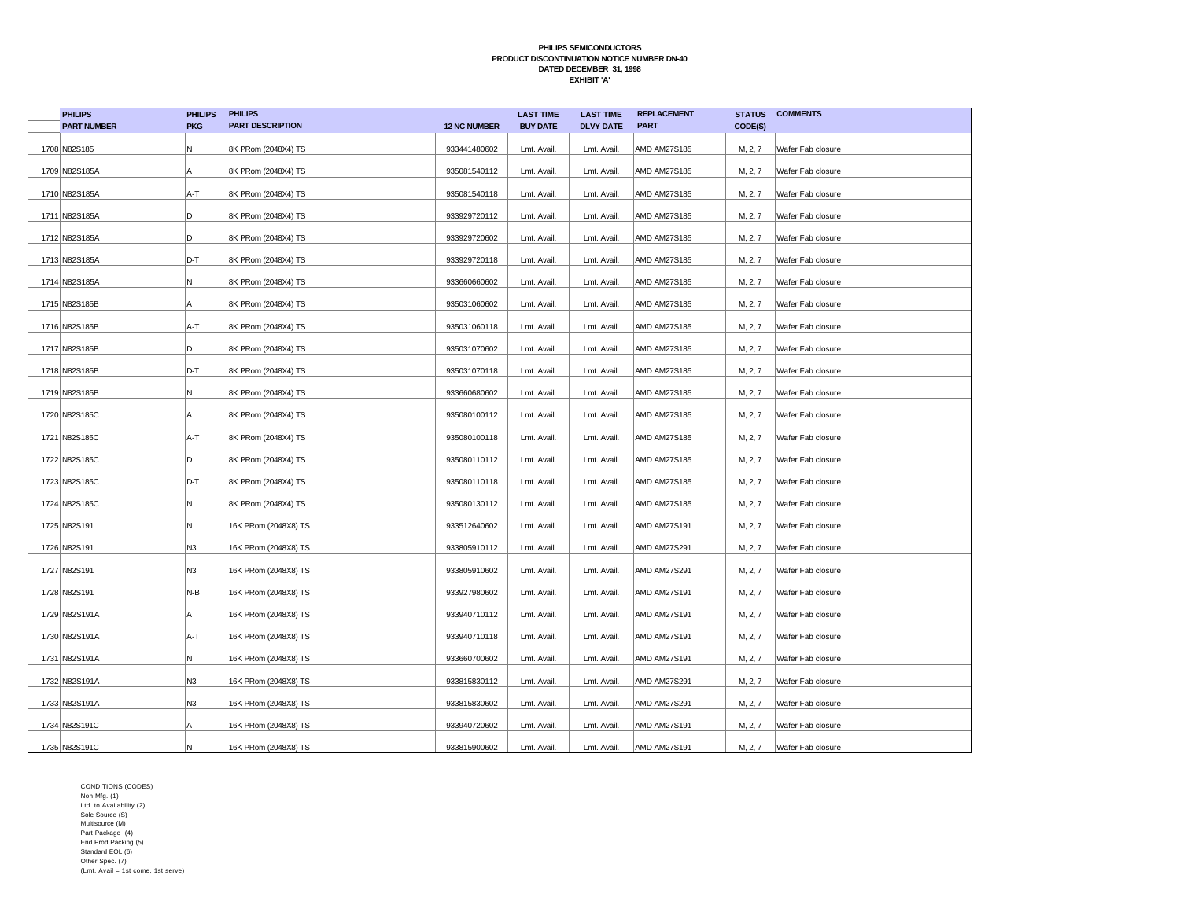| <b>PHILIPS</b>     | <b>PHILIPS</b> | <b>PHILIPS</b>          |                     | <b>LAST TIME</b> | <b>LAST TIME</b> | <b>REPLACEMENT</b>  | <b>STATUS</b> | <b>COMMENTS</b>   |
|--------------------|----------------|-------------------------|---------------------|------------------|------------------|---------------------|---------------|-------------------|
| <b>PART NUMBER</b> | <b>PKG</b>     | <b>PART DESCRIPTION</b> | <b>12 NC NUMBER</b> | <b>BUY DATE</b>  | <b>DLVY DATE</b> | <b>PART</b>         | CODE(S)       |                   |
| 1708 N82S185       | N              | 8K PRom (2048X4) TS     | 933441480602        | Lmt. Avail.      | Lmt. Avail.      | <b>AMD AM27S185</b> | M, 2, 7       | Wafer Fab closure |
| 1709 N82S185A      | A              | 8K PRom (2048X4) TS     | 935081540112        | Lmt. Avail.      | Lmt. Avail.      | AMD AM27S185        | M, 2, 7       | Wafer Fab closure |
| 1710 N82S185A      | A-T            | 8K PRom (2048X4) TS     | 935081540118        | Lmt. Avail.      | Lmt. Avail.      | AMD AM27S185        | M, 2, 7       | Wafer Fab closure |
| 1711 N82S185A      | D              | 8K PRom (2048X4) TS     | 933929720112        | Lmt. Avail.      | Lmt. Avail.      | AMD AM27S185        | M, 2, 7       | Wafer Fab closure |
| 1712 N82S185A      | D              | 8K PRom (2048X4) TS     | 933929720602        | Lmt. Avail.      | Lmt. Avail.      | <b>AMD AM27S185</b> | M, 2, 7       | Wafer Fab closure |
| 1713 N82S185A      | D-T            | 8K PRom (2048X4) TS     | 933929720118        | Lmt. Avail.      | Lmt. Avail.      | AMD AM27S185        | M, 2, 7       | Wafer Fab closure |
| 1714 N82S185A      | N              | 8K PRom (2048X4) TS     | 933660660602        | Lmt. Avail.      | Lmt. Avail.      | <b>AMD AM27S185</b> | M, 2, 7       | Wafer Fab closure |
| 1715 N82S185B      | Α              | 8K PRom (2048X4) TS     | 935031060602        | Lmt. Avail.      | Lmt. Avail.      | <b>AMD AM27S185</b> | M, 2, 7       | Wafer Fab closure |
| 1716 N82S185B      | A-T            | 8K PRom (2048X4) TS     | 935031060118        | Lmt. Avail.      | Lmt. Avail.      | AMD AM27S185        | M, 2, 7       | Wafer Fab closure |
| 1717 N82S185B      | D              | 8K PRom (2048X4) TS     | 935031070602        | Lmt. Avail.      | Lmt. Avail.      | AMD AM27S185        | M, 2, 7       | Wafer Fab closure |
| 1718 N82S185B      | D-T            | 8K PRom (2048X4) TS     | 935031070118        | Lmt. Avail.      | Lmt. Avail.      | AMD AM27S185        | M, 2, 7       | Wafer Fab closure |
| 1719 N82S185B      | N              | 8K PRom (2048X4) TS     | 933660680602        | Lmt. Avail.      | Lmt. Avail.      | AMD AM27S185        | M, 2, 7       | Wafer Fab closure |
| 1720 N82S185C      | A              | 8K PRom (2048X4) TS     | 935080100112        | Lmt. Avail.      | Lmt. Avail.      | AMD AM27S185        | M, 2, 7       | Wafer Fab closure |
| 1721 N82S185C      | A-T            | 8K PRom (2048X4) TS     | 935080100118        | Lmt. Avail.      | Lmt. Avail.      | <b>AMD AM27S185</b> | M, 2, 7       | Wafer Fab closure |
| 1722 N82S185C      | D              | 8K PRom (2048X4) TS     | 935080110112        | Lmt. Avail.      | Lmt. Avail.      | AMD AM27S185        | M, 2, 7       | Wafer Fab closure |
| 1723 N82S185C      | D-T            | 8K PRom (2048X4) TS     | 935080110118        | Lmt. Avail.      | Lmt. Avail       | <b>AMD AM27S185</b> | M, 2, 7       | Wafer Fab closure |
| 1724 N82S185C      | N              | 8K PRom (2048X4) TS     | 935080130112        | Lmt. Avail.      | Lmt. Avail.      | <b>AMD AM27S185</b> | M, 2, 7       | Wafer Fab closure |
| 1725 N82S191       | N              | 16K PRom (2048X8) TS    | 933512640602        | Lmt. Avail.      | Lmt. Avail.      | <b>AMD AM27S191</b> | M, 2, 7       | Wafer Fab closure |
| 1726 N82S191       | N3             | 16K PRom (2048X8) TS    | 933805910112        | Lmt. Avail.      | Lmt. Avail.      | <b>AMD AM27S291</b> | M, 2, 7       | Wafer Fab closure |
| 1727 N82S191       | N3             | 16K PRom (2048X8) TS    | 933805910602        | Lmt. Avail.      | Lmt. Avail.      | <b>AMD AM27S291</b> | M, 2, 7       | Wafer Fab closure |
| 1728 N82S191       | N-B            | 16K PRom (2048X8) TS    | 933927980602        | Lmt. Avail.      | Lmt. Avail.      | AMD AM27S191        | M, 2, 7       | Wafer Fab closure |
| 1729 N82S191A      | A              | 16K PRom (2048X8) TS    | 933940710112        | Lmt. Avail.      | Lmt. Avail.      | AMD AM27S191        | M, 2, 7       | Wafer Fab closure |
| 1730 N82S191A      | A-T            | 16K PRom (2048X8) TS    | 933940710118        | Lmt. Avail.      | Lmt. Avail.      | <b>AMD AM27S191</b> | M, 2, 7       | Wafer Fab closure |
| 1731 N82S191A      | N              | 16K PRom (2048X8) TS    | 933660700602        | Lmt. Avail.      | Lmt. Avail.      | <b>AMD AM27S191</b> | M, 2, 7       | Wafer Fab closure |
| 1732 N82S191A      | N3             | 16K PRom (2048X8) TS    | 933815830112        | Lmt. Avail.      | Lmt. Avail.      | AMD AM27S291        | M, 2, 7       | Wafer Fab closure |
| 1733 N82S191A      | N3             | 16K PRom (2048X8) TS    | 933815830602        | Lmt. Avail.      | Lmt. Avail.      | AMD AM27S291        | M, 2, 7       | Wafer Fab closure |
| 1734 N82S191C      | Α              | 16K PRom (2048X8) TS    | 933940720602        | Lmt. Avail.      | Lmt. Avail.      | <b>AMD AM27S191</b> | M, 2, 7       | Wafer Fab closure |
| 1735 N82S191C      | N              | 16K PRom (2048X8) TS    | 933815900602        | Lmt. Avail.      | Lmt. Avail.      | AMD AM27S191        | M, 2, 7       | Wafer Fab closure |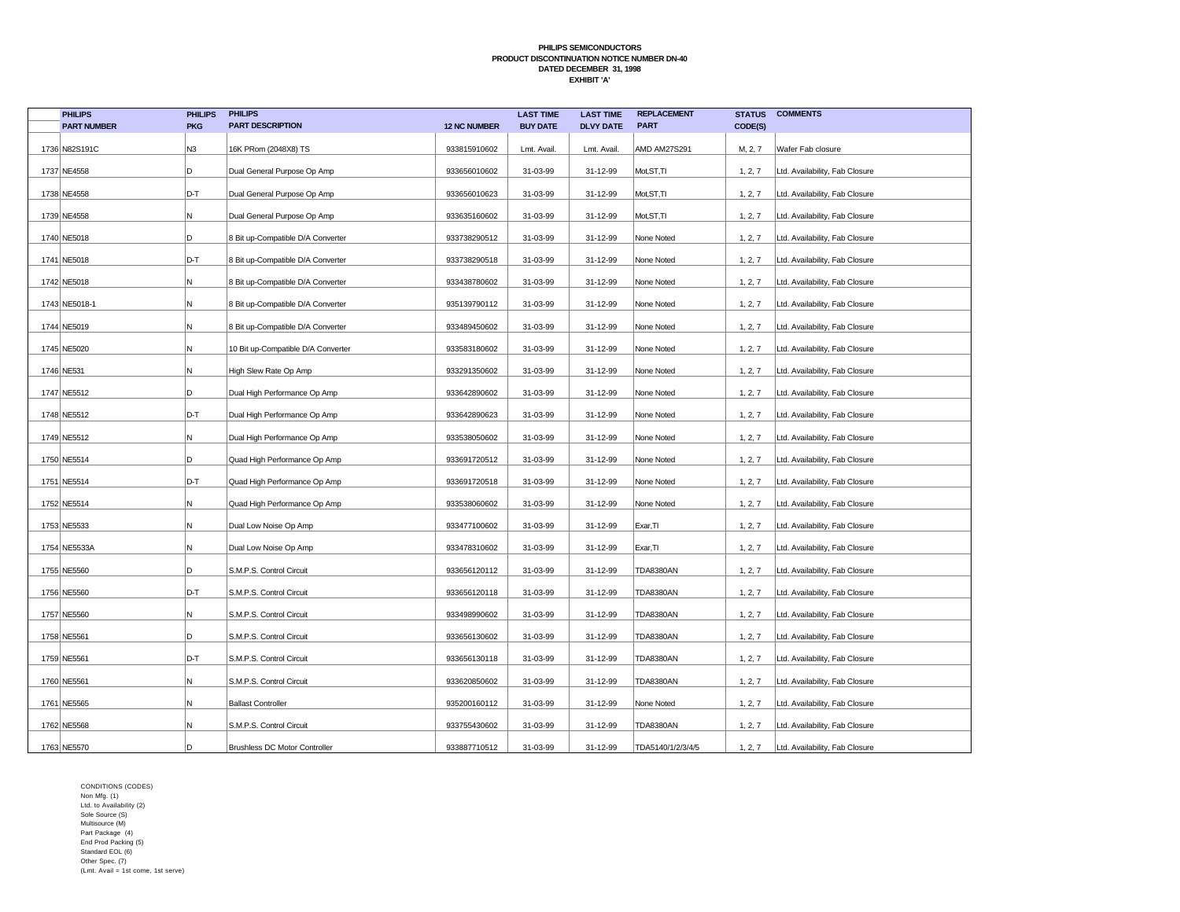| <b>PHILIPS</b>     | <b>PHILIPS</b> | <b>PHILIPS</b>                       |                     | <b>LAST TIME</b> | <b>LAST TIME</b> | <b>REPLACEMENT</b> | <b>STATUS</b> | <b>COMMENTS</b>                |
|--------------------|----------------|--------------------------------------|---------------------|------------------|------------------|--------------------|---------------|--------------------------------|
| <b>PART NUMBER</b> | <b>PKG</b>     | <b>PART DESCRIPTION</b>              | <b>12 NC NUMBER</b> | <b>BUY DATE</b>  | <b>DLVY DATE</b> | <b>PART</b>        | CODE(S)       |                                |
| 1736 N82S191C      | N3             | 16K PRom (2048X8) TS                 | 933815910602        | Lmt. Avail.      | Lmt. Avail       | AMD AM27S291       | M, 2, 7       | Wafer Fab closure              |
| 1737 NE4558        | D              | Dual General Purpose Op Amp          | 933656010602        | 31-03-99         | 31-12-99         | Mot, ST, TI        | 1, 2, 7       | Ltd. Availability, Fab Closure |
| 1738 NE4558        | D-T            | Dual General Purpose Op Amp          | 933656010623        | 31-03-99         | 31-12-99         | Mot, ST, TI        | 1, 2, 7       | Ltd. Availability, Fab Closure |
| 1739 NE4558        | N              | Dual General Purpose Op Amp          | 933635160602        | 31-03-99         | 31-12-99         | Mot, ST, TI        | 1, 2, 7       | Ltd. Availability, Fab Closure |
| 1740 NE5018        | D              | 8 Bit up-Compatible D/A Converter    | 933738290512        | 31-03-99         | 31-12-99         | None Noted         | 1, 2, 7       | Ltd. Availability, Fab Closure |
| 1741 NE5018        | D-T            | 8 Bit up-Compatible D/A Converter    | 933738290518        | 31-03-99         | 31-12-99         | None Noted         | 1, 2, 7       | Ltd. Availability, Fab Closure |
| 1742 NE5018        | N              | 8 Bit up-Compatible D/A Converter    | 933438780602        | 31-03-99         | 31-12-99         | None Noted         | 1, 2, 7       | Ltd. Availability, Fab Closure |
| 1743 NE5018-1      | N              | 8 Bit up-Compatible D/A Converter    | 935139790112        | 31-03-99         | 31-12-99         | None Noted         | 1, 2, 7       | Ltd. Availability, Fab Closure |
| 1744 NE5019        | N              | 8 Bit up-Compatible D/A Converter    | 933489450602        | 31-03-99         | 31-12-99         | None Noted         | 1, 2, 7       | Ltd. Availability, Fab Closure |
| 1745 NE5020        | N              | 10 Bit up-Compatible D/A Converter   | 933583180602        | 31-03-99         | 31-12-99         | None Noted         | 1, 2, 7       | Ltd. Availability, Fab Closure |
| 1746 NE531         | N              | High Slew Rate Op Amp                | 933291350602        | 31-03-99         | 31-12-99         | None Noted         | 1, 2, 7       | Ltd. Availability, Fab Closure |
| 1747 NE5512        | D              | Dual High Performance Op Amp         | 933642890602        | 31-03-99         | 31-12-99         | None Noted         | 1, 2, 7       | Ltd. Availability, Fab Closure |
| 1748 NE5512        | D-T            | Dual High Performance Op Amp         | 933642890623        | 31-03-99         | 31-12-99         | None Noted         | 1, 2, 7       | Ltd. Availability, Fab Closure |
| 1749 NE5512        | N              | Dual High Performance Op Amp         | 933538050602        | 31-03-99         | 31-12-99         | None Noted         | 1, 2, 7       | Ltd. Availability, Fab Closure |
| 1750 NE5514        | D              | Quad High Performance Op Amp         | 933691720512        | 31-03-99         | 31-12-99         | None Noted         | 1, 2, 7       | Ltd. Availability, Fab Closure |
| 1751 NE5514        | D-T            | Quad High Performance Op Amp         | 933691720518        | 31-03-99         | 31-12-99         | None Noted         | 1, 2, 7       | Ltd. Availability, Fab Closure |
| 1752 NE5514        | N              | Quad High Performance Op Amp         | 933538060602        | 31-03-99         | 31-12-99         | None Noted         | 1, 2, 7       | Ltd. Availability, Fab Closure |
| 1753 NE5533        | N              | Dual Low Noise Op Amp                | 933477100602        | 31-03-99         | 31-12-99         | Exar, TI           | 1, 2, 7       | Ltd. Availability, Fab Closure |
| 1754 NE5533A       | N              | Dual Low Noise Op Amp                | 933478310602        | 31-03-99         | 31-12-99         | Exar, TI           | 1, 2, 7       | Ltd. Availability, Fab Closure |
| 1755 NE5560        | D              | S.M.P.S. Control Circuit             | 933656120112        | 31-03-99         | 31-12-99         | <b>TDA8380AN</b>   | 1, 2, 7       | Ltd. Availability, Fab Closure |
| 1756 NE5560        | D-T            | S.M.P.S. Control Circuit             | 933656120118        | 31-03-99         | 31-12-99         | <b>TDA8380AN</b>   | 1, 2, 7       | Ltd. Availability, Fab Closure |
| 1757 NE5560        | N              | S.M.P.S. Control Circuit             | 933498990602        | 31-03-99         | 31-12-99         | <b>TDA8380AN</b>   | 1, 2, 7       | Ltd. Availability, Fab Closure |
| 1758 NE5561        | D              | S.M.P.S. Control Circuit             | 933656130602        | 31-03-99         | 31-12-99         | <b>TDA8380AN</b>   | 1, 2, 7       | Ltd. Availability, Fab Closure |
| 1759 NE5561        | D-T            | S.M.P.S. Control Circuit             | 933656130118        | 31-03-99         | 31-12-99         | <b>TDA8380AN</b>   | 1, 2, 7       | Ltd. Availability, Fab Closure |
| 1760 NE5561        | N              | S.M.P.S. Control Circuit             | 933620850602        | 31-03-99         | 31-12-99         | <b>TDA8380AN</b>   | 1, 2, 7       | Ltd. Availability, Fab Closure |
| 1761 NE5565        | N              | <b>Ballast Controller</b>            | 935200160112        | 31-03-99         | 31-12-99         | None Noted         | 1, 2, 7       | Ltd. Availability, Fab Closure |
| 1762 NE5568        | N              | S.M.P.S. Control Circuit             | 933755430602        | 31-03-99         | 31-12-99         | <b>TDA8380AN</b>   | 1, 2, 7       | Ltd. Availability, Fab Closure |
| 1763 NE5570        | D              | <b>Brushless DC Motor Controller</b> | 933887710512        | 31-03-99         | 31-12-99         | TDA5140/1/2/3/4/5  | 1, 2, 7       | Ltd. Availability, Fab Closure |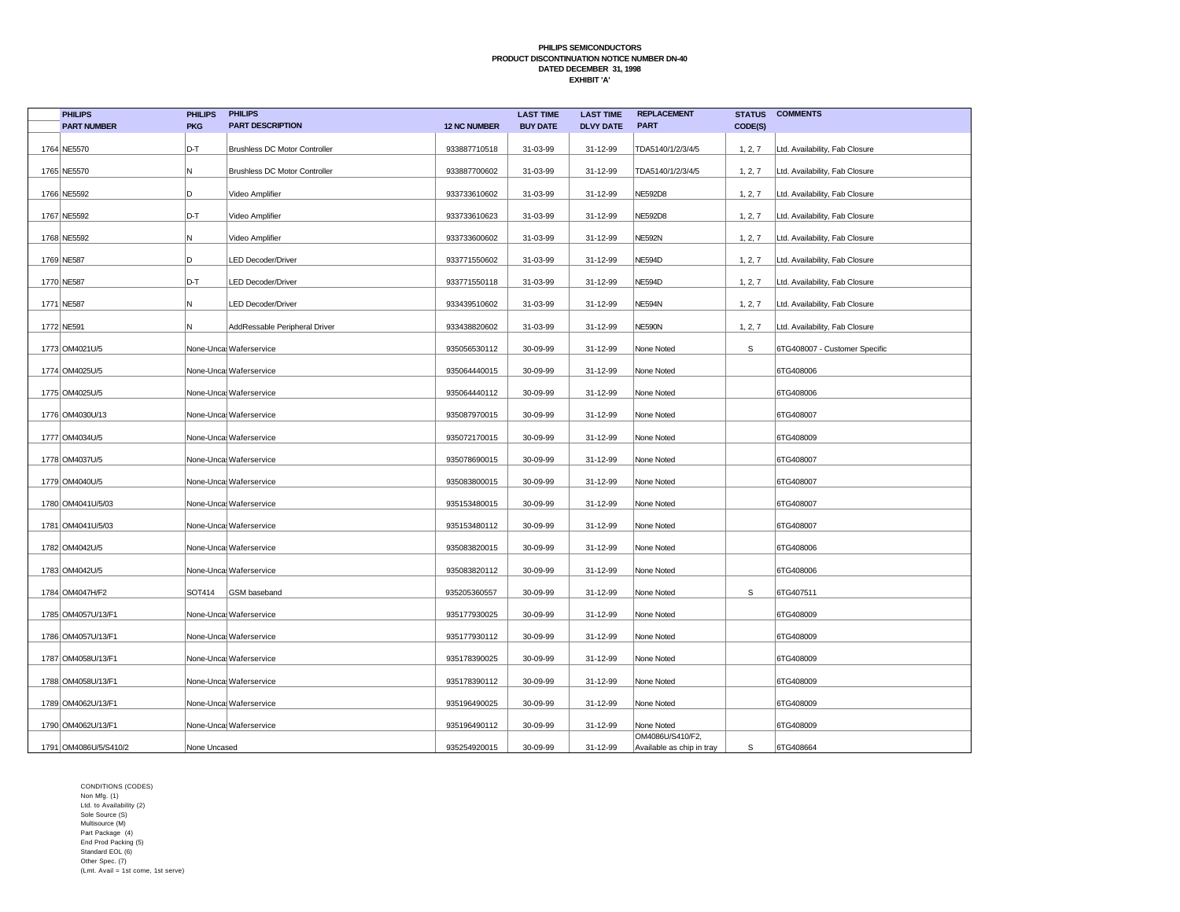| <b>PHILIPS</b>          | <b>PHILIPS</b> | <b>PHILIPS</b>                       |                     | <b>LAST TIME</b> | <b>LAST TIME</b> | <b>REPLACEMENT</b>                            | <b>STATUS</b> | <b>COMMENTS</b>                |
|-------------------------|----------------|--------------------------------------|---------------------|------------------|------------------|-----------------------------------------------|---------------|--------------------------------|
| <b>PART NUMBER</b>      | <b>PKG</b>     | <b>PART DESCRIPTION</b>              | <b>12 NC NUMBER</b> | <b>BUY DATE</b>  | <b>DLVY DATE</b> | <b>PART</b>                                   | CODE(S)       |                                |
| 1764 NE5570             | D-T            | <b>Brushless DC Motor Controller</b> | 933887710518        | 31-03-99         | 31-12-99         | TDA5140/1/2/3/4/5                             | 1, 2, 7       | Ltd. Availability, Fab Closure |
| 1765 NE5570             | N              | <b>Brushless DC Motor Controller</b> | 933887700602        | 31-03-99         | 31-12-99         | TDA5140/1/2/3/4/5                             | 1, 2, 7       | Ltd. Availability, Fab Closure |
| 1766 NE5592             | D              | Video Amplifier                      | 933733610602        | 31-03-99         | 31-12-99         | <b>NE592D8</b>                                | 1, 2, 7       | Ltd. Availability, Fab Closure |
| 1767 NE5592             | D-T            | Video Amplifier                      | 933733610623        | 31-03-99         | 31-12-99         | <b>NE592D8</b>                                | 1, 2, 7       | Ltd. Availability, Fab Closure |
| 1768 NE5592             | N              | Video Amplifier                      | 933733600602        | 31-03-99         | 31-12-99         | <b>NE592N</b>                                 | 1, 2, 7       | Ltd. Availability, Fab Closure |
| 1769 NE587              | D              | <b>LED Decoder/Driver</b>            | 933771550602        | 31-03-99         | 31-12-99         | <b>NE594D</b>                                 | 1, 2, 7       | Ltd. Availability, Fab Closure |
| 1770 NE587              | D-T            | <b>LED Decoder/Driver</b>            | 933771550118        | 31-03-99         | 31-12-99         | <b>NE594D</b>                                 | 1, 2, 7       | Ltd. Availability, Fab Closure |
| 1771 NE587              | N              | <b>LED Decoder/Driver</b>            | 933439510602        | 31-03-99         | 31-12-99         | NE594N                                        | 1, 2, 7       | Ltd. Availability, Fab Closure |
| 1772 NE591              | N              | AddRessable Peripheral Driver        | 933438820602        | 31-03-99         | 31-12-99         | <b>NE590N</b>                                 | 1, 2, 7       | Ltd. Availability, Fab Closure |
| 1773 OM4021U/5          |                | None-Unca Waferservice               | 935056530112        | 30-09-99         | 31-12-99         | None Noted                                    | S             | 6TG408007 - Customer Specific  |
| 1774 OM4025U/5          |                | None-Unca Waferservice               | 935064440015        | 30-09-99         | 31-12-99         | None Noted                                    |               | 6TG408006                      |
| 1775 OM4025U/5          |                | None-Unca Waferservice               | 935064440112        | 30-09-99         | 31-12-99         | None Noted                                    |               | 6TG408006                      |
| 1776 OM4030U/13         |                | None-Unca Waferservice               | 935087970015        | 30-09-99         | 31-12-99         | None Noted                                    |               | 6TG408007                      |
| 1777 OM4034U/5          |                | None-Unca Waferservice               | 935072170015        | 30-09-99         | 31-12-99         | None Noted                                    |               | 6TG408009                      |
| 1778 OM4037U/5          |                | None-Unca Waferservice               | 935078690015        | 30-09-99         | 31-12-99         | None Noted                                    |               | 6TG408007                      |
| 1779 OM4040U/5          |                | None-Unca Waferservice               | 935083800015        | 30-09-99         | 31-12-99         | None Noted                                    |               | 6TG408007                      |
| 1780 OM4041U/5/03       |                | None-Unca Waferservice               | 935153480015        | 30-09-99         | 31-12-99         | None Noted                                    |               | 6TG408007                      |
| 1781   OM4041U/5/03     |                | None-Unca Waferservice               | 935153480112        | 30-09-99         | 31-12-99         | None Noted                                    |               | 6TG408007                      |
| 1782 OM4042U/5          |                | None-Unca Waferservice               | 935083820015        | 30-09-99         | 31-12-99         | None Noted                                    |               | 6TG408006                      |
| 1783 OM4042U/5          |                | None-Unca Waferservice               | 935083820112        | 30-09-99         | 31-12-99         | None Noted                                    |               | 6TG408006                      |
| 1784 OM4047H/F2         | SOT414         | GSM baseband                         | 935205360557        | 30-09-99         | 31-12-99         | None Noted                                    | $\mathbb S$   | 6TG407511                      |
| 1785 OM4057U/13/F1      |                | None-Unca Waferservice               | 935177930025        | 30-09-99         | 31-12-99         | None Noted                                    |               | 6TG408009                      |
| 1786 OM4057U/13/F1      |                | None-Unca Waferservice               | 935177930112        | 30-09-99         | 31-12-99         | None Noted                                    |               | 6TG408009                      |
| 1787 OM4058U/13/F1      |                | None-Unca Waferservice               | 935178390025        | 30-09-99         | 31-12-99         | None Noted                                    |               | 6TG408009                      |
| 1788 OM4058U/13/F1      |                | None-Unca Waferservice               | 935178390112        | 30-09-99         | 31-12-99         | None Noted                                    |               | 6TG408009                      |
| 1789 OM4062U/13/F1      |                | None-Unca Waferservice               | 935196490025        | 30-09-99         | 31-12-99         | None Noted                                    |               | 6TG408009                      |
| 1790 OM4062U/13/F1      |                | None-Unca Waferservice               | 935196490112        | 30-09-99         | 31-12-99         | None Noted                                    |               | 6TG408009                      |
| 1791   OM4086U/5/S410/2 | None Uncased   |                                      | 935254920015        | 30-09-99         | 31-12-99         | OM4086U/S410/F2,<br>Available as chip in tray | s             | 6TG408664                      |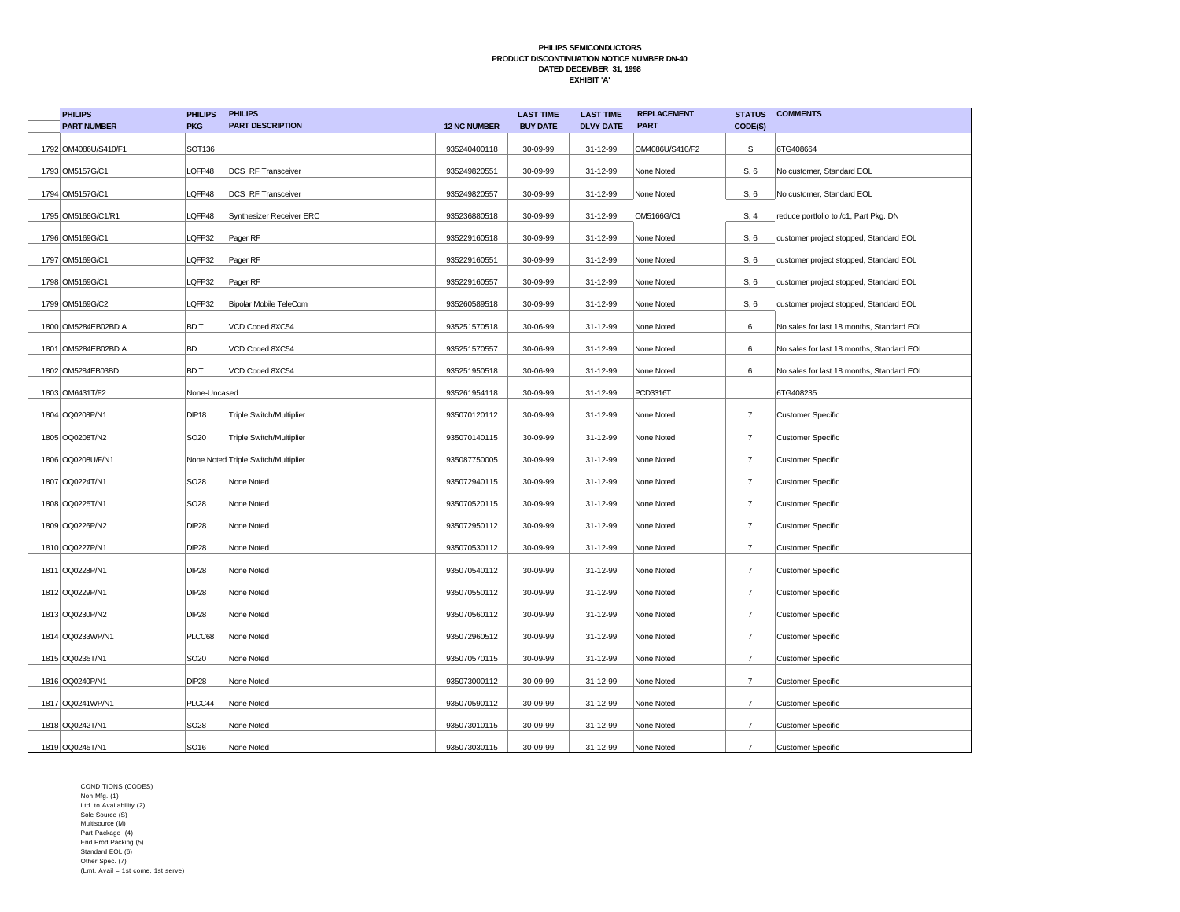| <b>PHILIPS</b>       | <b>PHILIPS</b>    | <b>PHILIPS</b>                      |                     | <b>LAST TIME</b> | <b>LAST TIME</b> | <b>REPLACEMENT</b> | <b>STATUS</b>  | <b>COMMENTS</b>                           |
|----------------------|-------------------|-------------------------------------|---------------------|------------------|------------------|--------------------|----------------|-------------------------------------------|
| <b>PART NUMBER</b>   | <b>PKG</b>        | <b>PART DESCRIPTION</b>             | <b>12 NC NUMBER</b> | <b>BUY DATE</b>  | <b>DLVY DATE</b> | <b>PART</b>        | CODE(S)        |                                           |
| 1792 OM4086U/S410/F1 | SOT136            |                                     | 935240400118        | 30-09-99         | 31-12-99         | OM4086U/S410/F2    | S              | 6TG408664                                 |
| 1793 OM5157G/C1      | LQFP48            | DCS RF Transceiver                  | 935249820551        | 30-09-99         | 31-12-99         | None Noted         | S, 6           | No customer, Standard EOL                 |
| 1794 OM5157G/C1      | LQFP48            | <b>DCS RF Transceiver</b>           | 935249820557        | 30-09-99         | 31-12-99         | None Noted         | S, 6           | No customer, Standard EOL                 |
| 1795 OM5166G/C1/R1   | LQFP48            | Synthesizer Receiver ERC            | 935236880518        | 30-09-99         | 31-12-99         | OM5166G/C1         | S, 4           | reduce portfolio to /c1, Part Pkg. DN     |
| 1796 OM5169G/C1      | LQFP32            | Pager RF                            | 935229160518        | 30-09-99         | 31-12-99         | None Noted         | S, 6           | customer project stopped, Standard EOL    |
| 1797 OM5169G/C1      | LQFP32            | Pager RF                            | 935229160551        | 30-09-99         | 31-12-99         | None Noted         | S, 6           | customer project stopped, Standard EOL    |
| 1798 OM5169G/C1      | LQFP32            | Pager RF                            | 935229160557        | 30-09-99         | 31-12-99         | None Noted         | S, 6           | customer project stopped, Standard EOL    |
| 1799 OM5169G/C2      | LQFP32            | Bipolar Mobile TeleCom              | 935260589518        | 30-09-99         | 31-12-99         | None Noted         | S, 6           | customer project stopped, Standard EOL    |
| 1800 OM5284EB02BD A  | BD T              | VCD Coded 8XC54                     | 935251570518        | 30-06-99         | 31-12-99         | None Noted         | 6              | No sales for last 18 months, Standard EOL |
| 1801 OM5284EB02BD A  | <b>BD</b>         | VCD Coded 8XC54                     | 935251570557        | 30-06-99         | 31-12-99         | None Noted         | 6              | No sales for last 18 months, Standard EOL |
| 1802 OM5284EB03BD    | <b>BDT</b>        | VCD Coded 8XC54                     | 935251950518        | 30-06-99         | 31-12-99         | None Noted         | 6              | No sales for last 18 months, Standard EOL |
| 1803 OM6431T/F2      | None-Uncased      |                                     | 935261954118        | 30-09-99         | 31-12-99         | PCD3316T           |                | 6TG408235                                 |
| 1804 OQ0208P/N1      | DIP <sub>18</sub> | Triple Switch/Multiplier            | 935070120112        | 30-09-99         | 31-12-99         | None Noted         | $\overline{7}$ | <b>Customer Specific</b>                  |
| 1805 OQ0208T/N2      | SO <sub>20</sub>  | <b>Triple Switch/Multiplier</b>     | 935070140115        | 30-09-99         | 31-12-99         | None Noted         | $\overline{7}$ | <b>Customer Specific</b>                  |
| 1806 OQ0208U/F/N1    |                   | None Noted Triple Switch/Multiplier | 935087750005        | 30-09-99         | 31-12-99         | None Noted         | $\overline{7}$ | <b>Customer Specific</b>                  |
| 1807   OQ0224T/N1    | SO <sub>28</sub>  | None Noted                          | 935072940115        | 30-09-99         | 31-12-99         | None Noted         | $\overline{7}$ | <b>Customer Specific</b>                  |
| 1808 OQ0225T/N1      | <b>SO28</b>       | None Noted                          | 935070520115        | 30-09-99         | 31-12-99         | None Noted         | $\overline{7}$ | <b>Customer Specific</b>                  |
| 1809 OQ0226P/N2      | <b>DIP28</b>      | None Noted                          | 935072950112        | 30-09-99         | 31-12-99         | None Noted         | $\overline{7}$ | <b>Customer Specific</b>                  |
| 1810 OQ0227P/N1      | DIP <sub>28</sub> | None Noted                          | 935070530112        | 30-09-99         | 31-12-99         | None Noted         | $\overline{7}$ | Customer Specific                         |
| 1811 0Q0228P/N1      | <b>DIP28</b>      | None Noted                          | 935070540112        | 30-09-99         | 31-12-99         | None Noted         | $\overline{7}$ | <b>Customer Specific</b>                  |
| 1812 OQ0229P/N1      | <b>DIP28</b>      | None Noted                          | 935070550112        | 30-09-99         | 31-12-99         | None Noted         | $\overline{7}$ | <b>Customer Specific</b>                  |
| 1813 OQ0230P/N2      | <b>DIP28</b>      | None Noted                          | 935070560112        | 30-09-99         | 31-12-99         | None Noted         | $\overline{7}$ | <b>Customer Specific</b>                  |
| 1814 OQ0233WP/N1     | PLCC68            | None Noted                          | 935072960512        | 30-09-99         | 31-12-99         | None Noted         | $\overline{7}$ | <b>Customer Specific</b>                  |
| 1815 OQ0235T/N1      | SO <sub>20</sub>  | None Noted                          | 935070570115        | 30-09-99         | 31-12-99         | None Noted         | $\overline{7}$ | <b>Customer Specific</b>                  |
| 1816 OQ0240P/N1      | <b>DIP28</b>      | None Noted                          | 935073000112        | 30-09-99         | 31-12-99         | None Noted         | $\overline{7}$ | Customer Specific                         |
| 1817   OQ0241WP/N1   | PLCC44            | None Noted                          | 935070590112        | 30-09-99         | 31-12-99         | None Noted         | $\overline{7}$ | <b>Customer Specific</b>                  |
| 1818 OQ0242T/N1      | SO <sub>28</sub>  | None Noted                          | 935073010115        | 30-09-99         | 31-12-99         | None Noted         | $\overline{7}$ | <b>Customer Specific</b>                  |
| 1819 0Q0245T/N1      | SO <sub>16</sub>  | None Noted                          | 935073030115        | 30-09-99         | 31-12-99         | None Noted         | $\overline{7}$ | <b>Customer Specific</b>                  |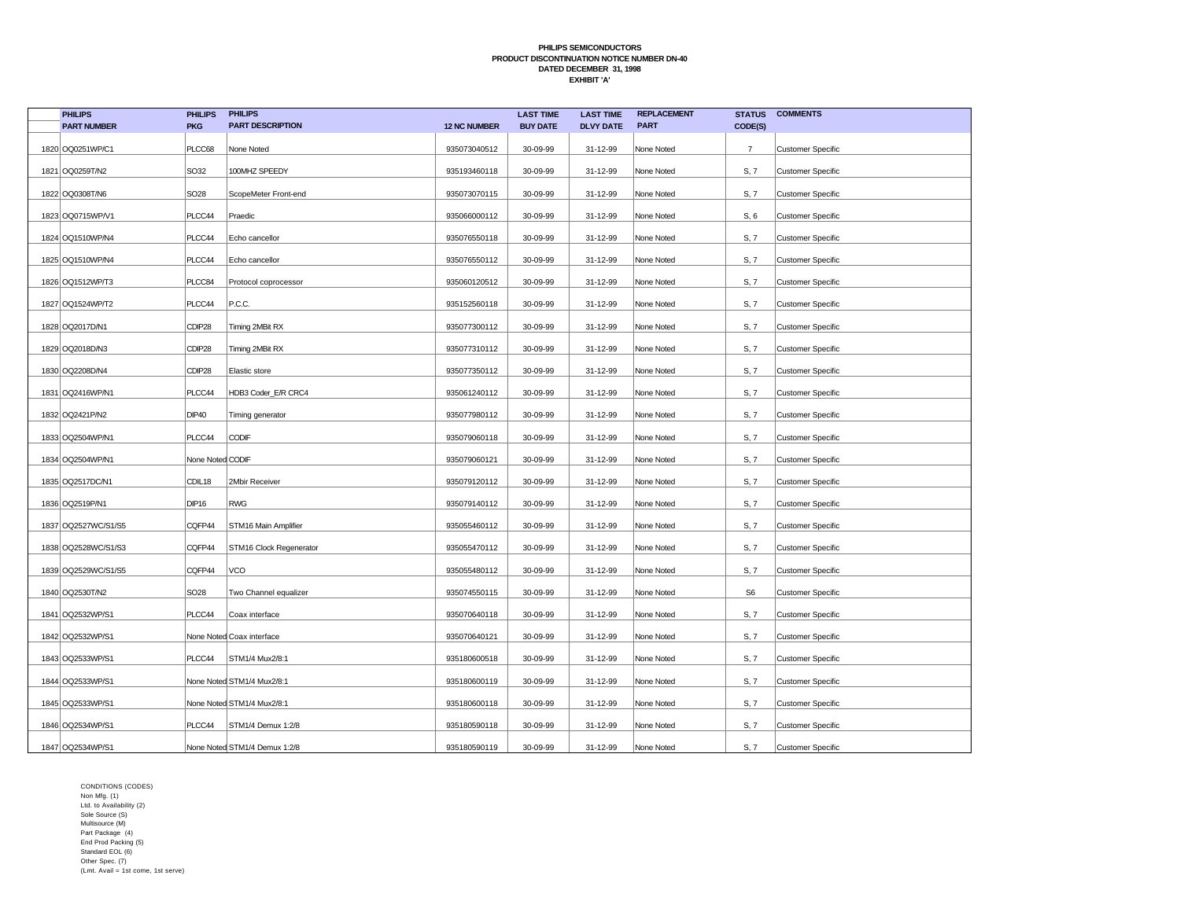| <b>PHILIPS</b>      | <b>PHILIPS</b>    | <b>PHILIPS</b>                |                     | <b>LAST TIME</b> | <b>LAST TIME</b> | <b>REPLACEMENT</b> | <b>STATUS</b>  | <b>COMMENTS</b>          |
|---------------------|-------------------|-------------------------------|---------------------|------------------|------------------|--------------------|----------------|--------------------------|
| <b>PART NUMBER</b>  | <b>PKG</b>        | <b>PART DESCRIPTION</b>       | <b>12 NC NUMBER</b> | <b>BUY DATE</b>  | <b>DLVY DATE</b> | <b>PART</b>        | CODE(S)        |                          |
| 1820 OQ0251WP/C1    | PLCC68            | None Noted                    | 935073040512        | 30-09-99         | 31-12-99         | None Noted         | $\overline{7}$ | <b>Customer Specific</b> |
| 1821   OQ0259T/N2   | SO32              | 100MHZ SPEEDY                 | 935193460118        | 30-09-99         | 31-12-99         | None Noted         | S, 7           | <b>Customer Specific</b> |
| 1822 OQ0308T/N6     | SO <sub>28</sub>  | ScopeMeter Front-end          | 935073070115        | 30-09-99         | 31-12-99         | None Noted         | S, 7           | <b>Customer Specific</b> |
| 1823 OQ0715WP/V1    | PLCC44            | Praedic                       | 935066000112        | 30-09-99         | 31-12-99         | None Noted         | S, 6           | <b>Customer Specific</b> |
| 1824 OQ1510WP/N4    | PLCC44            | Echo cancellor                | 935076550118        | 30-09-99         | 31-12-99         | None Noted         | S, 7           | <b>Customer Specific</b> |
| 1825 OQ1510WP/N4    | PLCC44            | Echo cancellor                | 935076550112        | 30-09-99         | 31-12-99         | None Noted         | S, 7           | <b>Customer Specific</b> |
| 1826 OQ1512WP/T3    | PLCC84            | Protocol coprocessor          | 935060120512        | 30-09-99         | 31-12-99         | None Noted         | S, 7           | <b>Customer Specific</b> |
| 1827 OQ1524WP/T2    | PLCC44            | P.C.C.                        | 935152560118        | 30-09-99         | 31-12-99         | None Noted         | S, 7           | <b>Customer Specific</b> |
| 1828 OQ2017D/N1     | CDIP28            | Timing 2MBit RX               | 935077300112        | 30-09-99         | 31-12-99         | None Noted         | S, 7           | <b>Customer Specific</b> |
| 1829 OQ2018D/N3     | CDIP28            | Timing 2MBit RX               | 935077310112        | 30-09-99         | 31-12-99         | None Noted         | S, 7           | <b>Customer Specific</b> |
| 1830 OQ2208D/N4     | CDIP28            | Elastic store                 | 935077350112        | 30-09-99         | 31-12-99         | None Noted         | S, 7           | <b>Customer Specific</b> |
| 1831 OQ2416WP/N1    | PLCC44            | HDB3 Coder_E/R CRC4           | 935061240112        | 30-09-99         | 31-12-99         | None Noted         | S, 7           | <b>Customer Specific</b> |
| 1832 OQ2421P/N2     | <b>DIP40</b>      | Timing generator              | 935077980112        | 30-09-99         | 31-12-99         | None Noted         | S, 7           | <b>Customer Specific</b> |
| 1833 OQ2504WP/N1    | PLCC44            | CODIF                         | 935079060118        | 30-09-99         | 31-12-99         | None Noted         | S, 7           | <b>Customer Specific</b> |
| 1834 OQ2504WP/N1    | None Noted CODIF  |                               | 935079060121        | 30-09-99         | 31-12-99         | None Noted         | S, 7           | <b>Customer Specific</b> |
| 1835 OQ2517DC/N1    | CDIL18            | 2Mbir Receiver                | 935079120112        | 30-09-99         | 31-12-99         | None Noted         | S, 7           | <b>Customer Specific</b> |
| 1836 OQ2519P/N1     | DIP <sub>16</sub> | <b>RWG</b>                    | 935079140112        | 30-09-99         | 31-12-99         | None Noted         | S, 7           | <b>Customer Specific</b> |
| 1837 OQ2527WC/S1/S5 | CQFP44            | STM16 Main Amplifier          | 935055460112        | 30-09-99         | 31-12-99         | None Noted         | S, 7           | <b>Customer Specific</b> |
| 1838 OQ2528WC/S1/S3 | CQFP44            | STM16 Clock Regenerator       | 935055470112        | 30-09-99         | 31-12-99         | None Noted         | S, 7           | Customer Specific        |
| 1839 OQ2529WC/S1/S5 | CQFP44            | VCO                           | 935055480112        | 30-09-99         | 31-12-99         | None Noted         | S, 7           | <b>Customer Specific</b> |
| 1840 OQ2530T/N2     | SO <sub>28</sub>  | Two Channel equalizer         | 935074550115        | 30-09-99         | 31-12-99         | None Noted         | S <sub>6</sub> | <b>Customer Specific</b> |
| 1841   OQ2532WP/S1  | PLCC44            | Coax interface                | 935070640118        | 30-09-99         | 31-12-99         | None Noted         | S, 7           | <b>Customer Specific</b> |
| 1842 OQ2532WP/S1    |                   | None Noted Coax interface     | 935070640121        | 30-09-99         | 31-12-99         | None Noted         | S, 7           | <b>Customer Specific</b> |
| 1843 OQ2533WP/S1    | PLCC44            | STM1/4 Mux2/8:1               | 935180600518        | 30-09-99         | 31-12-99         | None Noted         | S, 7           | <b>Customer Specific</b> |
| 1844 OQ2533WP/S1    |                   | None Noted STM1/4 Mux2/8:1    | 935180600119        | 30-09-99         | 31-12-99         | None Noted         | S, 7           | Customer Specific        |
| 1845 OQ2533WP/S1    |                   | None Noted STM1/4 Mux2/8:1    | 935180600118        | 30-09-99         | 31-12-99         | None Noted         | S, 7           | <b>Customer Specific</b> |
| 1846 OQ2534WP/S1    | PLCC44            | STM1/4 Demux 1:2/8            | 935180590118        | 30-09-99         | 31-12-99         | None Noted         | S, 7           | <b>Customer Specific</b> |
| 1847   OQ2534WP/S1  |                   | None Noted STM1/4 Demux 1:2/8 | 935180590119        | 30-09-99         | 31-12-99         | None Noted         | S, 7           | <b>Customer Specific</b> |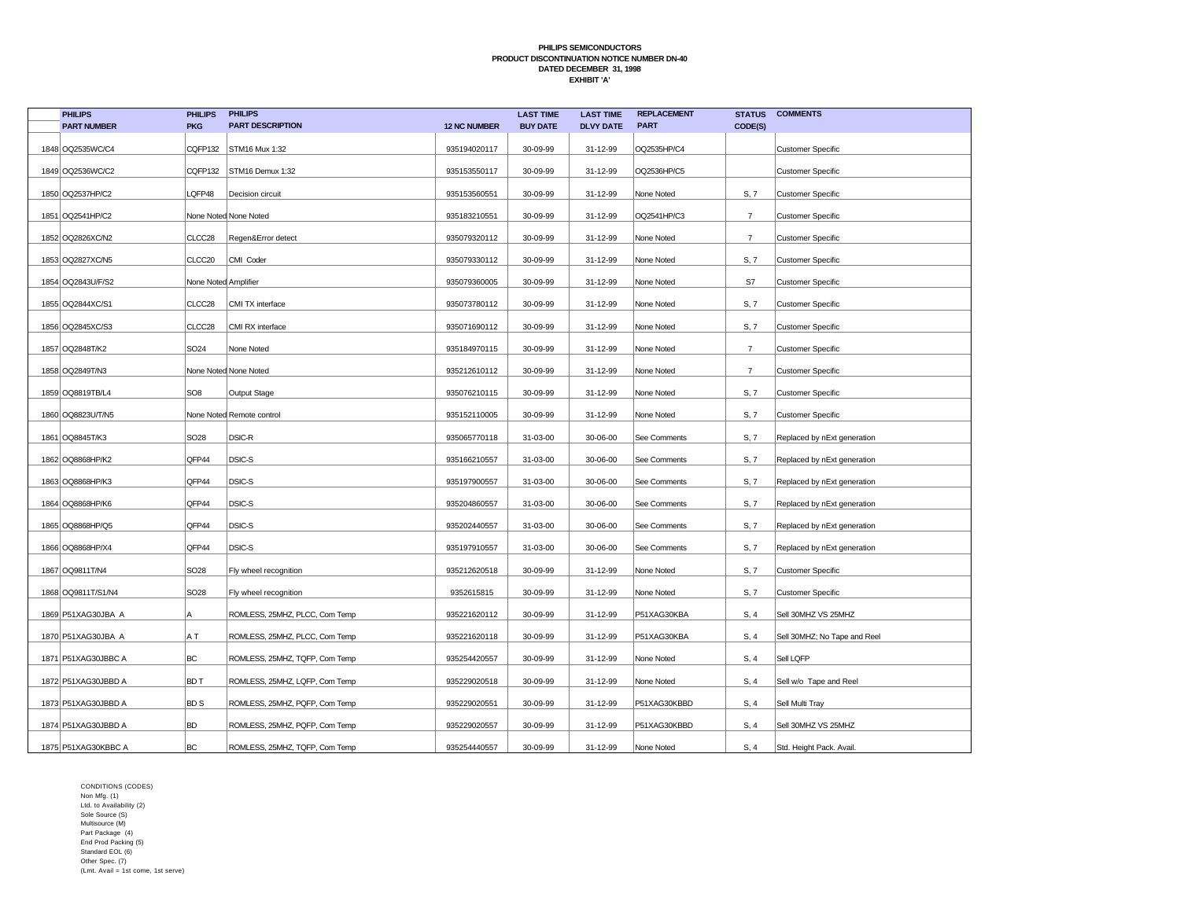| <b>PHILIPS</b>       | <b>PHILIPS</b>       | <b>PHILIPS</b>                 |                     | <b>LAST TIME</b> | <b>LAST TIME</b> | <b>REPLACEMENT</b> | <b>STATUS</b>  | <b>COMMENTS</b>              |
|----------------------|----------------------|--------------------------------|---------------------|------------------|------------------|--------------------|----------------|------------------------------|
| <b>PART NUMBER</b>   | <b>PKG</b>           | <b>PART DESCRIPTION</b>        | <b>12 NC NUMBER</b> | <b>BUY DATE</b>  | <b>DLVY DATE</b> | <b>PART</b>        | CODE(S)        |                              |
| 1848 OQ2535WC/C4     | CQFP132              | STM16 Mux 1:32                 | 935194020117        | 30-09-99         | 31-12-99         | OQ2535HP/C4        |                | <b>Customer Specific</b>     |
| 1849 0Q2536WC/C2     | CQFP132              | STM16 Demux 1:32               | 935153550117        | 30-09-99         | 31-12-99         | OQ2536HP/C5        |                | <b>Customer Specific</b>     |
| 1850 OQ2537HP/C2     | LQFP48               | Decision circuit               | 935153560551        | 30-09-99         | 31-12-99         | None Noted         | S, 7           | <b>Customer Specific</b>     |
| 1851 OQ2541HP/C2     |                      | None Noted None Noted          | 935183210551        | 30-09-99         | 31-12-99         | OQ2541HP/C3        | $\overline{7}$ | <b>Customer Specific</b>     |
| 1852 OQ2826XC/N2     | CLCC28               | Regen&Error detect             | 935079320112        | 30-09-99         | 31-12-99         | None Noted         | $\overline{7}$ | <b>Customer Specific</b>     |
| 1853 OQ2827XC/N5     | CLCC20               | CMI Coder                      | 935079330112        | 30-09-99         | 31-12-99         | None Noted         | S, 7           | <b>Customer Specific</b>     |
| 1854 OQ2843U/F/S2    | None Noted Amplifier |                                | 935079360005        | 30-09-99         | 31-12-99         | None Noted         | S7             | <b>Customer Specific</b>     |
| 1855   OQ2844XC/S1   | CLCC28               | CMI TX interface               | 935073780112        | 30-09-99         | 31-12-99         | None Noted         | S, 7           | <b>Customer Specific</b>     |
| 1856 OQ2845XC/S3     | CLCC28               | CMI RX interface               | 935071690112        | 30-09-99         | 31-12-99         | None Noted         | S, 7           | Customer Specific            |
| 1857 OQ2848T/K2      | SO <sub>24</sub>     | None Noted                     | 935184970115        | 30-09-99         | 31-12-99         | None Noted         | $\overline{7}$ | <b>Customer Specific</b>     |
| 1858 OQ2849T/N3      |                      | None Noted None Noted          | 935212610112        | 30-09-99         | 31-12-99         | None Noted         | $\overline{7}$ | <b>Customer Specific</b>     |
| 1859 OQ8819TB/L4     | SO <sub>8</sub>      | Output Stage                   | 935076210115        | 30-09-99         | 31-12-99         | None Noted         | S, 7           | <b>Customer Specific</b>     |
| 1860 OQ8823U/T/N5    |                      | None Noted Remote control      | 935152110005        | 30-09-99         | 31-12-99         | None Noted         | S, 7           | <b>Customer Specific</b>     |
| 1861   OQ8845T/K3    | SO <sub>28</sub>     | DSIC-R                         | 935065770118        | 31-03-00         | 30-06-00         | See Comments       | S, 7           | Replaced by nExt generation  |
| 1862 OQ8868HP/K2     | QFP44                | DSIC-S                         | 935166210557        | 31-03-00         | 30-06-00         | See Comments       | S, 7           | Replaced by nExt generation  |
| 1863 OQ8868HP/K3     | QFP44                | DSIC-S                         | 935197900557        | 31-03-00         | 30-06-00         | See Comments       | S, 7           | Replaced by nExt generation  |
| 1864 OQ8868HP/K6     | QFP44                | DSIC-S                         | 935204860557        | 31-03-00         | 30-06-00         | See Comments       | S, 7           | Replaced by nExt generation  |
| 1865   OQ8868HP/Q5   | QFP44                | DSIC-S                         | 935202440557        | 31-03-00         | 30-06-00         | See Comments       | S, 7           | Replaced by nExt generation  |
| 1866 OQ8868HP/X4     | QFP44                | DSIC-S                         | 935197910557        | 31-03-00         | 30-06-00         | See Comments       | S, 7           | Replaced by nExt generation  |
| 1867 0Q9811T/N4      | SO <sub>28</sub>     | Fly wheel recognition          | 935212620518        | 30-09-99         | 31-12-99         | None Noted         | S, 7           | <b>Customer Specific</b>     |
| 1868   OQ9811T/S1/N4 | SO <sub>28</sub>     | Fly wheel recognition          | 9352615815          | 30-09-99         | 31-12-99         | None Noted         | S, 7           | <b>Customer Specific</b>     |
| 1869 P51XAG30JBA A   | A                    | ROMLESS, 25MHZ, PLCC, Com Temp | 935221620112        | 30-09-99         | 31-12-99         | P51XAG30KBA        | S, 4           | Sell 30MHZ VS 25MHZ          |
| 1870 P51XAG30JBA A   | A T                  | ROMLESS, 25MHZ, PLCC, Com Temp | 935221620118        | 30-09-99         | 31-12-99         | P51XAG30KBA        | S, 4           | Sell 30MHZ; No Tape and Reel |
| 1871 P51XAG30JBBC A  | BC                   | ROMLESS, 25MHZ, TQFP, Com Temp | 935254420557        | 30-09-99         | 31-12-99         | None Noted         | S, 4           | Sell LQFP                    |
| 1872 P51XAG30JBBD A  | <b>BDT</b>           | ROMLESS, 25MHZ, LQFP, Com Temp | 935229020518        | 30-09-99         | 31-12-99         | None Noted         | S, 4           | Sell w/o Tape and Reel       |
| 1873 P51XAG30JBBD A  | BD S                 | ROMLESS, 25MHZ, PQFP, Com Temp | 935229020551        | 30-09-99         | 31-12-99         | P51XAG30KBBD       | S, 4           | Sell Multi Tray              |
| 1874 P51XAG30JBBD A  | <b>BD</b>            | ROMLESS, 25MHZ, PQFP, Com Temp | 935229020557        | 30-09-99         | 31-12-99         | P51XAG30KBBD       | S, 4           | Sell 30MHZ VS 25MHZ          |
| 1875 P51XAG30KBBC A  | BC                   | ROMLESS, 25MHZ, TQFP, Com Temp | 935254440557        | 30-09-99         | 31-12-99         | None Noted         | S, 4           | Std. Height Pack. Avail.     |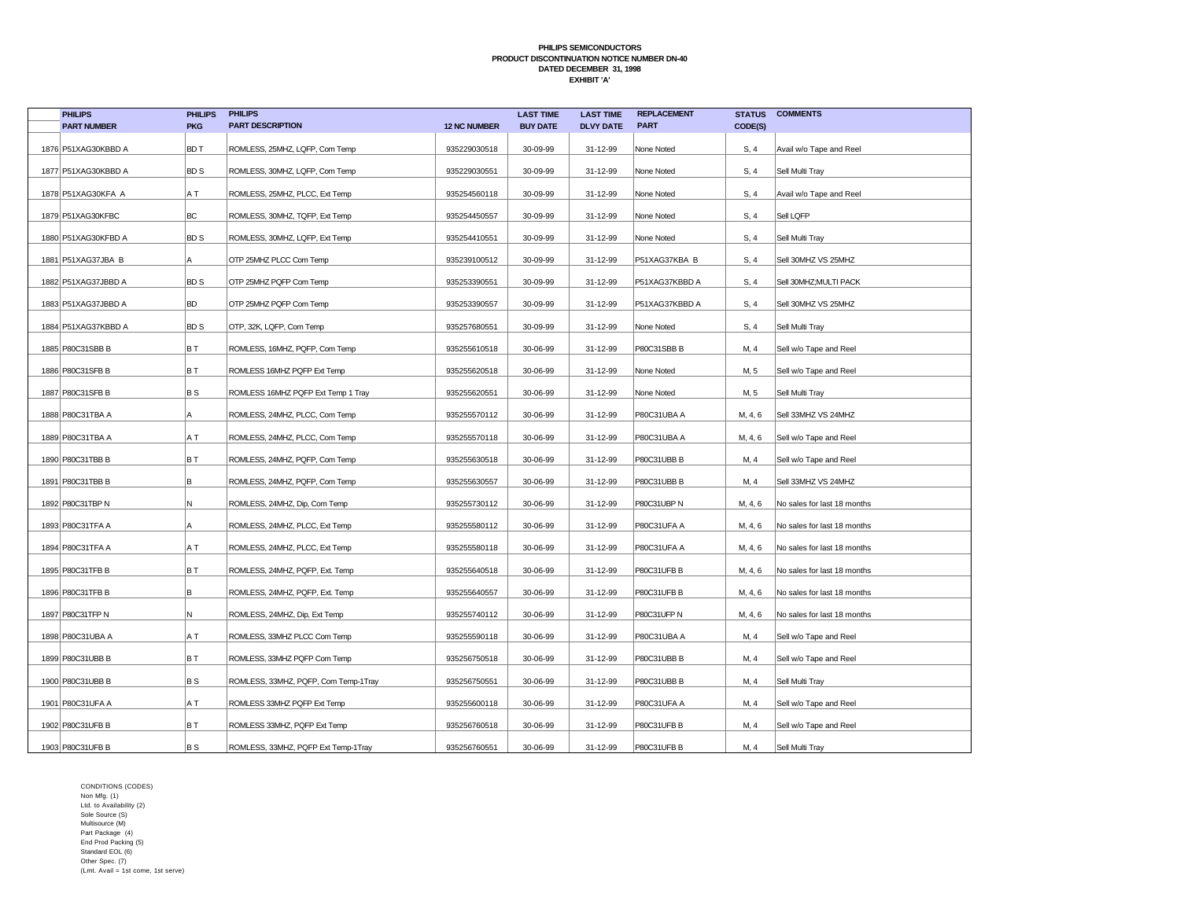| <b>PHILIPS</b>      | <b>PHILIPS</b> | <b>PHILIPS</b>                       |                     | <b>LAST TIME</b> | <b>LAST TIME</b> | <b>REPLACEMENT</b> | <b>STATUS</b> | <b>COMMENTS</b>             |
|---------------------|----------------|--------------------------------------|---------------------|------------------|------------------|--------------------|---------------|-----------------------------|
| <b>PART NUMBER</b>  | <b>PKG</b>     | <b>PART DESCRIPTION</b>              | <b>12 NC NUMBER</b> | <b>BUY DATE</b>  | <b>DLVY DATE</b> | <b>PART</b>        | CODE(S)       |                             |
| 1876 P51XAG30KBBD A | <b>BDT</b>     | ROMLESS, 25MHZ, LQFP, Com Temp       | 935229030518        | 30-09-99         | 31-12-99         | None Noted         | S, 4          | Avail w/o Tape and Reel     |
| 1877 P51XAG30KBBD A | <b>BDS</b>     | ROMLESS, 30MHZ, LQFP, Com Temp       | 935229030551        | 30-09-99         | 31-12-99         | None Noted         | S, 4          | Sell Multi Tray             |
| 1878 P51XAG30KFA A  | A T            | ROMLESS, 25MHZ, PLCC, Ext Temp       | 935254560118        | 30-09-99         | 31-12-99         | None Noted         | S, 4          | Avail w/o Tape and Reel     |
| 1879 P51XAG30KFBC   | BC             | ROMLESS, 30MHZ, TQFP, Ext Temp       | 935254450557        | 30-09-99         | 31-12-99         | None Noted         | S, 4          | Sell LQFP                   |
| 1880 P51XAG30KFBD A | <b>BDS</b>     | ROMLESS, 30MHZ, LQFP, Ext Temp       | 935254410551        | 30-09-99         | 31-12-99         | None Noted         | S, 4          | Sell Multi Tray             |
| 1881 P51XAG37JBA B  | A              | OTP 25MHZ PLCC Com Temp              | 935239100512        | 30-09-99         | 31-12-99         | P51XAG37KBA B      | S, 4          | Sell 30MHZ VS 25MHZ         |
| 1882 P51XAG37JBBD A | <b>BDS</b>     | OTP 25MHZ PQFP Com Temp              | 935253390551        | 30-09-99         | 31-12-99         | P51XAG37KBBD A     | S, 4          | Sell 30MHZ;MULTI PACK       |
| 1883 P51XAG37JBBD A | <b>BD</b>      | OTP 25MHZ PQFP Com Temp              | 935253390557        | 30-09-99         | 31-12-99         | P51XAG37KBBD A     | S, 4          | Sell 30MHZ VS 25MHZ         |
| 1884 P51XAG37KBBD A | <b>BDS</b>     | OTP, 32K, LQFP, Com Temp             | 935257680551        | 30-09-99         | 31-12-99         | None Noted         | S, 4          | Sell Multi Tray             |
| 1885 P80C31SBB B    | BT             | ROMLESS, 16MHZ, PQFP, Com Temp       | 935255610518        | 30-06-99         | 31-12-99         | P80C31SBB B        | M, 4          | Sell w/o Tape and Reel      |
| 1886 P80C31SFB B    | BT             | ROMLESS 16MHZ PQFP Ext Temp          | 935255620518        | 30-06-99         | 31-12-99         | None Noted         | M, 5          | Sell w/o Tape and Reel      |
| 1887 P80C31SFB B    | B S            | ROMLESS 16MHZ PQFP Ext Temp 1 Tray   | 935255620551        | 30-06-99         | 31-12-99         | None Noted         | M, 5          | Sell Multi Tray             |
| 1888 P80C31TBA A    | A              | ROMLESS, 24MHZ, PLCC, Com Temp       | 935255570112        | 30-06-99         | 31-12-99         | P80C31UBA A        | M, 4, 6       | Sell 33MHZ VS 24MHZ         |
| 1889 P80C31TBA A    | A T            | ROMLESS, 24MHZ, PLCC, Com Temp       | 935255570118        | 30-06-99         | 31-12-99         | P80C31UBA A        | M, 4, 6       | Sell w/o Tape and Reel      |
| 1890 P80C31TBB B    | BT             | ROMLESS, 24MHZ, PQFP, Com Temp       | 935255630518        | 30-06-99         | 31-12-99         | P80C31UBB B        | M, 4          | Sell w/o Tape and Reel      |
| 1891 P80C31TBB B    | B              | ROMLESS, 24MHZ, PQFP, Com Temp       | 935255630557        | 30-06-99         | 31-12-99         | P80C31UBB B        | M, 4          | Sell 33MHZ VS 24MHZ         |
| 1892 P80C31TBP N    | N              | ROMLESS, 24MHZ, Dip, Com Temp        | 935255730112        | 30-06-99         | 31-12-99         | P80C31UBP N        | M, 4, 6       | No sales for last 18 months |
| 1893 P80C31TFA A    | А              | ROMLESS, 24MHZ, PLCC, Ext Temp       | 935255580112        | 30-06-99         | 31-12-99         | P80C31UFA A        | M, 4, 6       | No sales for last 18 months |
| 1894 P80C31TFA A    | A T            | ROMLESS, 24MHZ, PLCC, Ext Temp       | 935255580118        | 30-06-99         | 31-12-99         | P80C31UFA A        | M, 4, 6       | No sales for last 18 months |
| 1895 P80C31TFB B    | BT             | ROMLESS, 24MHZ, PQFP, Ext. Temp      | 935255640518        | 30-06-99         | 31-12-99         | P80C31UFB B        | M, 4, 6       | No sales for last 18 months |
| 1896 P80C31TFB B    | B              | ROMLESS, 24MHZ, PQFP, Ext. Temp      | 935255640557        | 30-06-99         | 31-12-99         | P80C31UFB B        | M, 4, 6       | No sales for last 18 months |
| 1897 P80C31TFP N    | N              | ROMLESS, 24MHZ, Dip, Ext Temp        | 935255740112        | 30-06-99         | 31-12-99         | P80C31UFP N        | M, 4, 6       | No sales for last 18 months |
| 1898 P80C31UBA A    | A T            | ROMLESS, 33MHZ PLCC Com Temp         | 935255590118        | 30-06-99         | 31-12-99         | P80C31UBA A        | M, 4          | Sell w/o Tape and Reel      |
| 1899 P80C31UBB B    | BT             | ROMLESS, 33MHZ PQFP Com Temp         | 935256750518        | 30-06-99         | 31-12-99         | P80C31UBB B        | M, 4          | Sell w/o Tape and Reel      |
| 1900 P80C31UBB B    | <b>BS</b>      | ROMLESS, 33MHZ, PQFP, Com Temp-1Tray | 935256750551        | 30-06-99         | 31-12-99         | P80C31UBB B        | M, 4          | Sell Multi Tray             |
| 1901 P80C31UFA A    | A T            | ROMLESS 33MHZ PQFP Ext Temp          | 935255600118        | 30-06-99         | 31-12-99         | P80C31UFA A        | M, 4          | Sell w/o Tape and Reel      |
| 1902 P80C31UFB B    | B T            | ROMLESS 33MHZ, PQFP Ext Temp         | 935256760518        | 30-06-99         | 31-12-99         | P80C31UFB B        | M, 4          | Sell w/o Tape and Reel      |
| 1903 P80C31UFB B    | B S            | ROMLESS, 33MHZ, PQFP Ext Temp-1Tray  | 935256760551        | 30-06-99         | 31-12-99         | P80C31UFB B        | M, 4          | Sell Multi Tray             |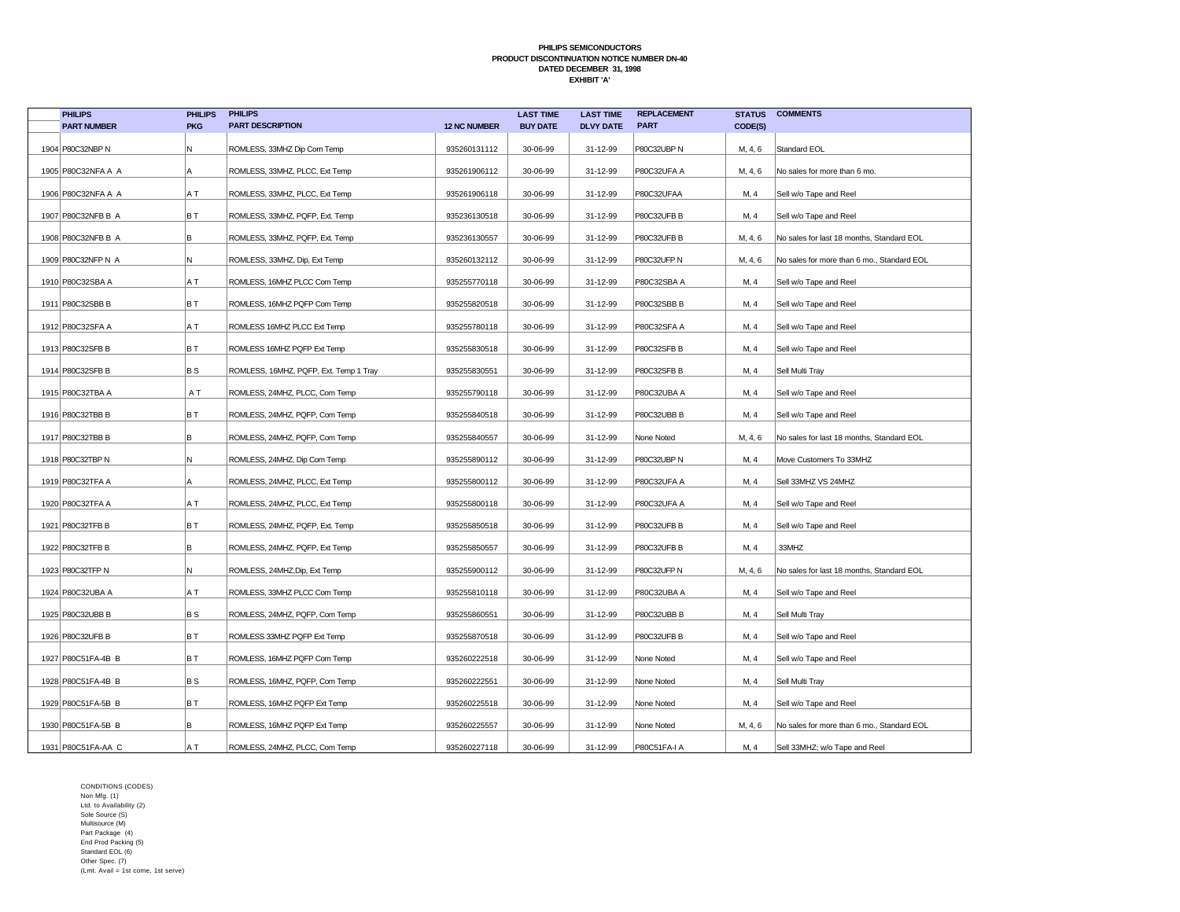| <b>PHILIPS</b>       | <b>PHILIPS</b> | <b>PHILIPS</b>                         |                     | <b>LAST TIME</b> | <b>LAST TIME</b> | <b>REPLACEMENT</b> | <b>STATUS</b> | <b>COMMENTS</b>                            |
|----------------------|----------------|----------------------------------------|---------------------|------------------|------------------|--------------------|---------------|--------------------------------------------|
| <b>PART NUMBER</b>   | <b>PKG</b>     | <b>PART DESCRIPTION</b>                | <b>12 NC NUMBER</b> | <b>BUY DATE</b>  | <b>DLVY DATE</b> | <b>PART</b>        | CODE(S)       |                                            |
| 1904 P80C32NBP N     | N              | ROMLESS, 33MHZ Dip Com Temp            | 935260131112        | 30-06-99         | 31-12-99         | P80C32UBP N        | M, 4, 6       | Standard EOL                               |
| 1905 P80C32NFA A A   | l A            | ROMLESS, 33MHZ, PLCC, Ext Temp         | 935261906112        | 30-06-99         | 31-12-99         | P80C32UFA A        | M, 4, 6       | No sales for more than 6 mo.               |
| 1906 P80C32NFA A A   | A T            | ROMLESS, 33MHZ, PLCC, Ext Temp         | 935261906118        | 30-06-99         | 31-12-99         | P80C32UFAA         | M, 4          | Sell w/o Tape and Reel                     |
| 1907 P80C32NFB B A   | BT             | ROMLESS, 33MHZ, PQFP, Ext. Temp        | 935236130518        | 30-06-99         | 31-12-99         | P80C32UFB B        | M, 4          | Sell w/o Tape and Reel                     |
| 1908 P80C32NFB B A   | B              | ROMLESS, 33MHZ, PQFP, Ext. Temp        | 935236130557        | 30-06-99         | 31-12-99         | P80C32UFB B        | M, 4, 6       | No sales for last 18 months, Standard EOL  |
| 1909 P80C32NFP N A   | N.             | ROMLESS, 33MHZ, Dip, Ext Temp          | 935260132112        | 30-06-99         | 31-12-99         | P80C32UFP N        | M, 4, 6       | No sales for more than 6 mo., Standard EOL |
| 1910 P80C32SBA A     | A T            | ROMLESS, 16MHZ PLCC Com Temp           | 935255770118        | 30-06-99         | 31-12-99         | P80C32SBA A        | M, 4          | Sell w/o Tape and Reel                     |
| 1911   P80C32SBB B   | BT             | ROMLESS, 16MHZ PQFP Com Temp           | 935255820518        | 30-06-99         | 31-12-99         | P80C32SBB B        | M, 4          | Sell w/o Tape and Reel                     |
| 1912 P80C32SFA A     | A T            | ROMLESS 16MHZ PLCC Ext Temp            | 935255780118        | 30-06-99         | 31-12-99         | P80C32SFA A        | M, 4          | Sell w/o Tape and Reel                     |
| 1913 P80C32SFB B     | B T            | ROMLESS 16MHZ PQFP Ext Temp            | 935255830518        | 30-06-99         | 31-12-99         | P80C32SFB B        | M, 4          | Sell w/o Tape and Reel                     |
| 1914 P80C32SFB B     | B S            | ROMLESS, 16MHZ, PQFP, Ext. Temp 1 Tray | 935255830551        | 30-06-99         | 31-12-99         | P80C32SFB B        | M, 4          | Sell Multi Tray                            |
| 1915 P80C32TBA A     | ΑT             | ROMLESS, 24MHZ, PLCC, Com Temp         | 935255790118        | 30-06-99         | 31-12-99         | P80C32UBA A        | M, 4          | Sell w/o Tape and Reel                     |
| 1916 P80C32TBB B     | BT             | ROMLESS, 24MHZ, PQFP, Com Temp         | 935255840518        | 30-06-99         | 31-12-99         | P80C32UBB B        | M, 4          | Sell w/o Tape and Reel                     |
| 1917 P80C32TBB B     | B              | ROMLESS, 24MHZ, PQFP, Com Temp         | 935255840557        | 30-06-99         | 31-12-99         | None Noted         | M, 4, 6       | No sales for last 18 months, Standard EOL  |
| 1918 P80C32TBP N     | N.             | ROMLESS, 24MHZ, Dip Com Temp           | 935255890112        | 30-06-99         | 31-12-99         | P80C32UBP N        | M, 4          | Move Customers To 33MHZ                    |
| 1919 P80C32TFA A     | A              | ROMLESS, 24MHZ, PLCC, Ext Temp         | 935255800112        | 30-06-99         | 31-12-99         | P80C32UFA A        | M, 4          | Sell 33MHZ VS 24MHZ                        |
| 1920 P80C32TFA A     | A T            | ROMLESS, 24MHZ, PLCC, Ext Temp         | 935255800118        | 30-06-99         | 31-12-99         | P80C32UFA A        | M, 4          | Sell w/o Tape and Reel                     |
| 1921   P80C32TFB B   | BT             | ROMLESS, 24MHZ, PQFP, Ext. Temp        | 935255850518        | 30-06-99         | 31-12-99         | P80C32UFB B        | M, 4          | Sell w/o Tape and Reel                     |
| 1922 P80C32TFB B     | B              | ROMLESS, 24MHZ, PQFP, Ext Temp         | 935255850557        | 30-06-99         | 31-12-99         | P80C32UFB B        | M, 4          | 33MHZ                                      |
| 1923 P80C32TFP N     | Ν              | ROMLESS, 24MHZ, Dip, Ext Temp          | 935255900112        | 30-06-99         | 31-12-99         | P80C32UFP N        | M, 4, 6       | No sales for last 18 months, Standard EOL  |
| 1924 P80C32UBA A     | A T            | ROMLESS, 33MHZ PLCC Com Temp           | 935255810118        | 30-06-99         | 31-12-99         | P80C32UBA A        | M, 4          | Sell w/o Tape and Reel                     |
| 1925 P80C32UBB B     | B S            | ROMLESS, 24MHZ, PQFP, Com Temp         | 935255860551        | 30-06-99         | 31-12-99         | P80C32UBB B        | M, 4          | Sell Multi Tray                            |
| 1926 P80C32UFB B     | BT             | ROMLESS 33MHZ PQFP Ext Temp            | 935255870518        | 30-06-99         | 31-12-99         | P80C32UFB B        | M, 4          | Sell w/o Tape and Reel                     |
| 1927 P80C51FA-4B B   | BT             | ROMLESS, 16MHZ PQFP Com Temp           | 935260222518        | 30-06-99         | 31-12-99         | None Noted         | M, 4          | Sell w/o Tape and Reel                     |
| 1928 P80C51FA-4B B   | B S            | ROMLESS, 16MHZ, PQFP, Com Temp         | 935260222551        | 30-06-99         | 31-12-99         | None Noted         | M, 4          | Sell Multi Tray                            |
| 1929 P80C51FA-5B B   | BT             | ROMLESS, 16MHZ PQFP Ext Temp           | 935260225518        | 30-06-99         | 31-12-99         | None Noted         | M, 4          | Sell w/o Tape and Reel                     |
| 1930 P80C51FA-5B B   | B              | ROMLESS, 16MHZ PQFP Ext Temp           | 935260225557        | 30-06-99         | 31-12-99         | None Noted         | M, 4, 6       | No sales for more than 6 mo., Standard EOL |
| 1931   P80C51FA-AA C | A T            | ROMLESS, 24MHZ, PLCC, Com Temp         | 935260227118        | 30-06-99         | 31-12-99         | P80C51FA-I A       | M, 4          | Sell 33MHZ; w/o Tape and Reel              |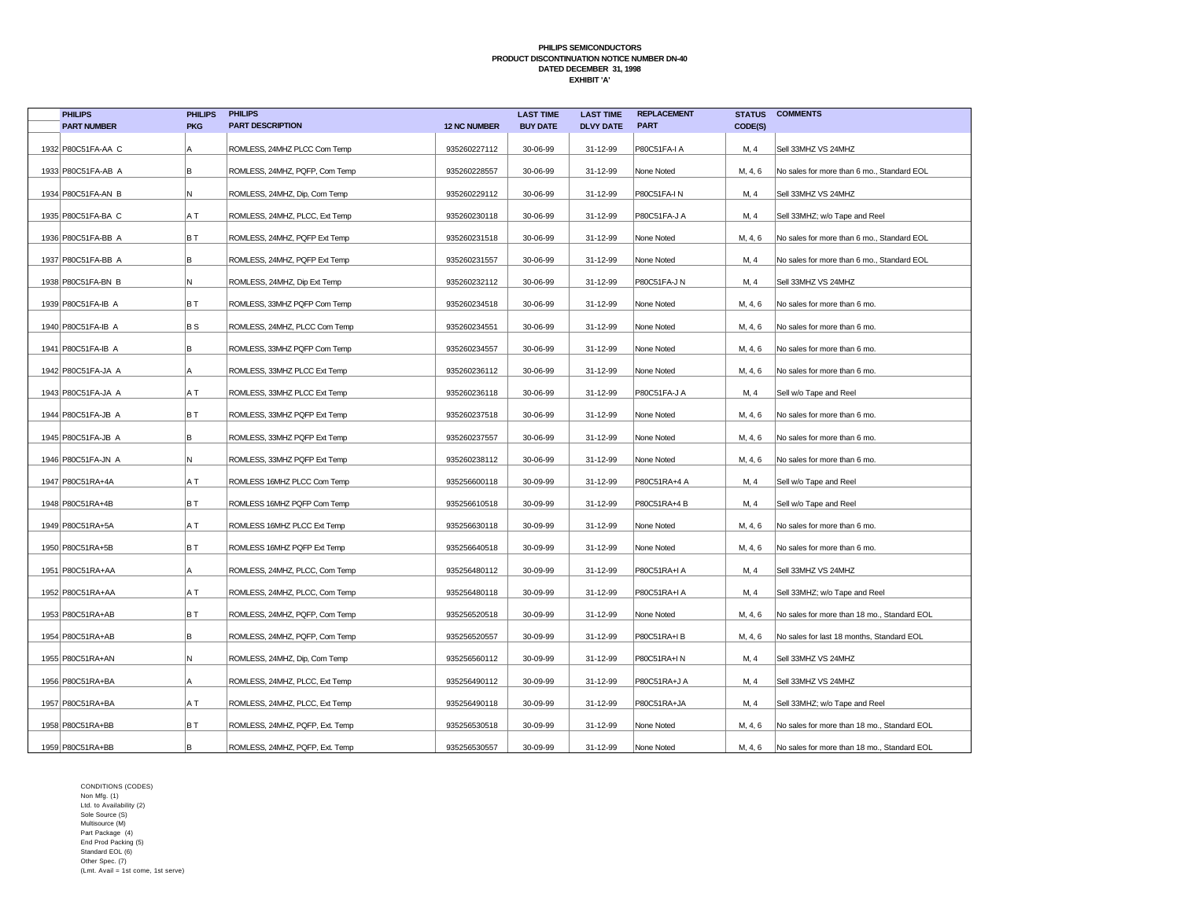| <b>PHILIPS</b>        | <b>PHILIPS</b> | <b>PHILIPS</b>                  |                     | <b>LAST TIME</b> | <b>LAST TIME</b> | <b>REPLACEMENT</b> |         | <b>STATUS COMMENTS</b>                      |
|-----------------------|----------------|---------------------------------|---------------------|------------------|------------------|--------------------|---------|---------------------------------------------|
| <b>PART NUMBER</b>    | <b>PKG</b>     | <b>PART DESCRIPTION</b>         | <b>12 NC NUMBER</b> | <b>BUY DATE</b>  | <b>DLVY DATE</b> | <b>PART</b>        | CODE(S) |                                             |
| 1932 P80C51FA-AA C    | Α              | ROMLESS, 24MHZ PLCC Com Temp    | 935260227112        | 30-06-99         | 31-12-99         | P80C51FA-I A       | M, 4    | Sell 33MHZ VS 24MHZ                         |
| 1933 P80C51FA-AB A    | B              | ROMLESS, 24MHZ, PQFP, Com Temp  | 935260228557        | 30-06-99         | 31-12-99         | None Noted         | M, 4, 6 | No sales for more than 6 mo., Standard EOL  |
| 1934 P80C51FA-AN B    | N.             | ROMLESS, 24MHZ, Dip, Com Temp   | 935260229112        | 30-06-99         | 31-12-99         | P80C51FA-IN        | M, 4    | Sell 33MHZ VS 24MHZ                         |
| 1935 P80C51 FA-BA C   | A T            | ROMLESS, 24MHZ, PLCC, Ext Temp  | 935260230118        | 30-06-99         | 31-12-99         | P80C51FA-J A       | M, 4    | Sell 33MHZ; w/o Tape and Reel               |
| 1936 P80C51FA-BB A    | BT             | ROMLESS, 24MHZ, PQFP Ext Temp   | 935260231518        | 30-06-99         | 31-12-99         | None Noted         | M, 4, 6 | No sales for more than 6 mo., Standard EOL  |
| 1937 P80C51FA-BB A    | lB.            | ROMLESS, 24MHZ, PQFP Ext Temp   | 935260231557        | 30-06-99         | 31-12-99         | None Noted         | M, 4    | No sales for more than 6 mo., Standard EOL  |
| 1938 P80C51FA-BN B    | N              | ROMLESS, 24MHZ, Dip Ext Temp    | 935260232112        | 30-06-99         | 31-12-99         | P80C51FA-J N       | M, 4    | Sell 33MHZ VS 24MHZ                         |
| 1939 P80C51FA-IB A    | BT.            | ROMLESS, 33MHZ PQFP Com Temp    | 935260234518        | 30-06-99         | 31-12-99         | None Noted         | M, 4, 6 | No sales for more than 6 mo.                |
| 1940 P80C51 FA-IB A   | B S            | ROMLESS, 24MHZ, PLCC Com Temp   | 935260234551        | 30-06-99         | 31-12-99         | None Noted         | M, 4, 6 | No sales for more than 6 mo.                |
| 1941   P80C51FA-IB A  | lB.            | ROMLESS, 33MHZ PQFP Com Temp    | 935260234557        | 30-06-99         | 31-12-99         | None Noted         | M, 4, 6 | No sales for more than 6 mo.                |
| 1942   P80C51 FA-JA A | A              | ROMLESS, 33MHZ PLCC Ext Temp    | 935260236112        | 30-06-99         | 31-12-99         | None Noted         | M, 4, 6 | No sales for more than 6 mo.                |
| 1943 P80C51FA-JA A    | IA T           | ROMLESS, 33MHZ PLCC Ext Temp    | 935260236118        | 30-06-99         | 31-12-99         | P80C51FA-J A       | M, 4    | Sell w/o Tape and Reel                      |
| 1944 P80C51 FA-JB A   | BT             | ROMLESS, 33MHZ PQFP Ext Temp    | 935260237518        | 30-06-99         | 31-12-99         | None Noted         | M, 4, 6 | No sales for more than 6 mo.                |
| 1945   P80C51 FA-JB A | B              | ROMLESS, 33MHZ PQFP Ext Temp    | 935260237557        | 30-06-99         | 31-12-99         | None Noted         | M, 4, 6 | No sales for more than 6 mo.                |
| 1946 P80C51FA-JN A    | N.             | ROMLESS, 33MHZ PQFP Ext Temp    | 935260238112        | 30-06-99         | 31-12-99         | None Noted         | M, 4, 6 | No sales for more than 6 mo.                |
| 1947   P80C51RA+4A    | A T            | ROMLESS 16MHZ PLCC Com Temp     | 935256600118        | 30-09-99         | 31-12-99         | P80C51RA+4 A       | M, 4    | Sell w/o Tape and Reel                      |
| 1948 P80C51RA+4B      | BT             | ROMLESS 16MHZ PQFP Com Temp     | 935256610518        | 30-09-99         | 31-12-99         | P80C51RA+4 B       | M, 4    | Sell w/o Tape and Reel                      |
| 1949 P80C51RA+5A      | A T            | ROMLESS 16MHZ PLCC Ext Temp     | 935256630118        | 30-09-99         | 31-12-99         | None Noted         | M, 4, 6 | No sales for more than 6 mo.                |
| 1950 P80C51RA+5B      | BT             | ROMLESS 16MHZ PQFP Ext Temp     | 935256640518        | 30-09-99         | 31-12-99         | None Noted         | M, 4, 6 | No sales for more than 6 mo.                |
| 1951   P80C51RA+AA    | Α              | ROMLESS, 24MHZ, PLCC, Com Temp  | 935256480112        | 30-09-99         | 31-12-99         | P80C51RA+I A       | M, 4    | Sell 33MHZ VS 24MHZ                         |
| 1952 P80C51RA+AA      | A T            | ROMLESS, 24MHZ, PLCC, Com Temp  | 935256480118        | 30-09-99         | 31-12-99         | P80C51RA+I A       | M, 4    | Sell 33MHZ; w/o Tape and Reel               |
| 1953 P80C51RA+AB      | BT             | ROMLESS, 24MHZ, PQFP, Com Temp  | 935256520518        | 30-09-99         | 31-12-99         | None Noted         | M, 4, 6 | No sales for more than 18 mo., Standard EOL |
| 1954   P80C51RA+AB    | В              | ROMLESS, 24MHZ, PQFP, Com Temp  | 935256520557        | 30-09-99         | 31-12-99         | P80C51RA+IB        | M, 4, 6 | No sales for last 18 months, Standard EOL   |
| 1955   P80C51RA+AN    | N.             | ROMLESS, 24MHZ, Dip, Com Temp   | 935256560112        | 30-09-99         | 31-12-99         | P80C51RA+IN        | M, 4    | Sell 33MHZ VS 24MHZ                         |
| 1956 P80C51RA+BA      | Α              | ROMLESS, 24MHZ, PLCC, Ext Temp  | 935256490112        | 30-09-99         | 31-12-99         | P80C51RA+J A       | M, 4    | Sell 33MHZ VS 24MHZ                         |
| 1957   P80C51RA+BA    | A T            | ROMLESS, 24MHZ, PLCC, Ext Temp  | 935256490118        | 30-09-99         | 31-12-99         | P80C51RA+JA        | M, 4    | Sell 33MHZ; w/o Tape and Reel               |
| 1958 P80C51RA+BB      | BT             | ROMLESS, 24MHZ, PQFP, Ext. Temp | 935256530518        | 30-09-99         | 31-12-99         | None Noted         | M, 4, 6 | No sales for more than 18 mo., Standard EOL |
| 1959 P80C51RA+BB      | B              | ROMLESS, 24MHZ, PQFP, Ext. Temp | 935256530557        | 30-09-99         | 31-12-99         | None Noted         | M, 4, 6 | No sales for more than 18 mo., Standard EOL |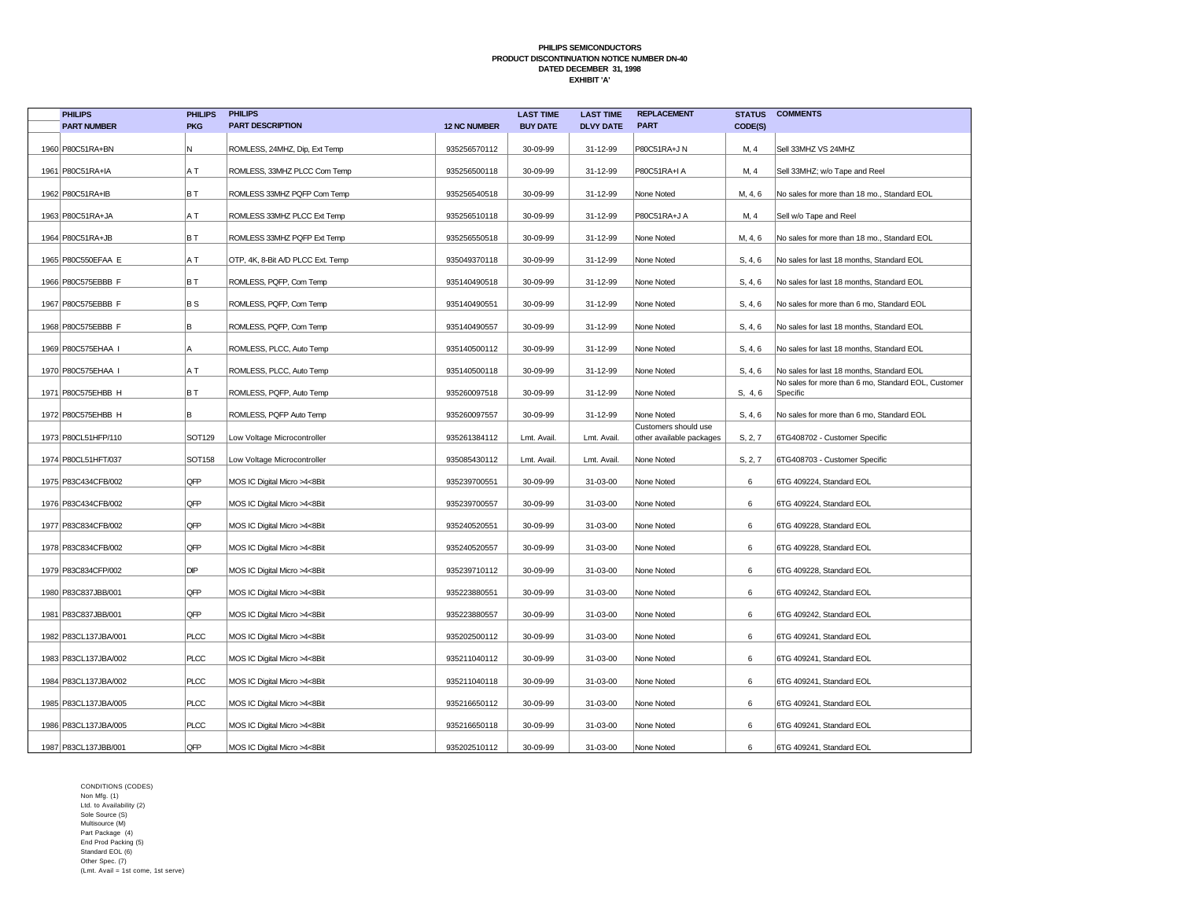| <b>PHILIPS</b>         | <b>PHILIPS</b>              | <b>PHILIPS</b>                    |                     | <b>LAST TIME</b> | <b>LAST TIME</b> | <b>REPLACEMENT</b>                               | <b>STATUS</b> | <b>COMMENTS</b>                                                 |
|------------------------|-----------------------------|-----------------------------------|---------------------|------------------|------------------|--------------------------------------------------|---------------|-----------------------------------------------------------------|
| <b>PART NUMBER</b>     | <b>PKG</b>                  | <b>PART DESCRIPTION</b>           | <b>12 NC NUMBER</b> | <b>BUY DATE</b>  | <b>DLVY DATE</b> | <b>PART</b>                                      | CODE(S)       |                                                                 |
| 1960 P80C51RA+BN       | N                           | ROMLESS, 24MHZ, Dip, Ext Temp     | 935256570112        | 30-09-99         | 31-12-99         | P80C51RA+J N                                     | M, 4          | Sell 33MHZ VS 24MHZ                                             |
| 1961   P80C51RA+IA     | A T                         | ROMLESS, 33MHZ PLCC Com Temp      | 935256500118        | 30-09-99         | 31-12-99         | P80C51RA+I A                                     | M, 4          | Sell 33MHZ; w/o Tape and Reel                                   |
| 1962 P80C51RA+IB       | BT                          | ROMLESS 33MHZ PQFP Com Temp       | 935256540518        | 30-09-99         | 31-12-99         | None Noted                                       | M, 4, 6       | No sales for more than 18 mo., Standard EOL                     |
| 1963 P80C51RA+JA       | A T                         | ROMLESS 33MHZ PLCC Ext Temp       | 935256510118        | 30-09-99         | 31-12-99         | P80C51RA+J A                                     | M, 4          | Sell w/o Tape and Reel                                          |
| 1964 P80C51RA+JB       | BT                          | ROMLESS 33MHZ PQFP Ext Temp       | 935256550518        | 30-09-99         | 31-12-99         | None Noted                                       | M, 4, 6       | No sales for more than 18 mo., Standard EOL                     |
| 1965 P80C550EFAA E     | A T                         | OTP, 4K, 8-Bit A/D PLCC Ext. Temp | 935049370118        | 30-09-99         | 31-12-99         | None Noted                                       | S, 4, 6       | No sales for last 18 months, Standard EOL                       |
| 1966 P80C575EBBB F     | BT                          | ROMLESS, PQFP, Com Temp           | 935140490518        | 30-09-99         | 31-12-99         | None Noted                                       | S, 4, 6       | No sales for last 18 months, Standard EOL                       |
| 1967 P80C575EBBB F     | <b>BS</b>                   | ROMLESS, PQFP, Com Temp           | 935140490551        | 30-09-99         | 31-12-99         | None Noted                                       | S, 4, 6       | No sales for more than 6 mo, Standard EOL                       |
| 1968 P80C575EBBB F     | B                           | ROMLESS, PQFP, Com Temp           | 935140490557        | 30-09-99         | 31-12-99         | None Noted                                       | S, 4, 6       | No sales for last 18 months, Standard EOL                       |
| 1969 P80C575EHAA I     | A                           | ROMLESS, PLCC, Auto Temp          | 935140500112        | 30-09-99         | 31-12-99         | None Noted                                       | S, 4, 6       | No sales for last 18 months, Standard EOL                       |
| 1970 P80C575EHAA I     | A T                         | ROMLESS, PLCC, Auto Temp          | 935140500118        | 30-09-99         | 31-12-99         | None Noted                                       | S, 4, 6       | No sales for last 18 months, Standard EOL                       |
| 1971   P80C575EHBB H   | BT                          | ROMLESS, PQFP, Auto Temp          | 935260097518        | 30-09-99         | 31-12-99         | None Noted                                       | S, 4, 6       | No sales for more than 6 mo, Standard EOL, Customer<br>Specific |
| 1972 P80C575EHBB H     | B                           | ROMLESS, PQFP Auto Temp           | 935260097557        | 30-09-99         | 31-12-99         | None Noted                                       | S, 4, 6       | No sales for more than 6 mo, Standard EOL                       |
| 1973 P80CL51HFP/110    | SOT129                      | Low Voltage Microcontroller       | 935261384112        | Lmt. Avail.      | Lmt. Avail.      | Customers should use<br>other available packages | S, 2, 7       | 6TG408702 - Customer Specific                                   |
| 1974 P80CL51HFT/037    | <b>SOT158</b>               | Low Voltage Microcontroller       | 935085430112        | Lmt. Avail.      | Lmt. Avail.      | None Noted                                       | S, 2, 7       | 6TG408703 - Customer Specific                                   |
| 1975   P83C434CFB/002  | QFP                         | MOS IC Digital Micro >4<8Bit      | 935239700551        | 30-09-99         | 31-03-00         | None Noted                                       | 6             | 6TG 409224, Standard EOL                                        |
| 1976 P83C434CFB/002    | QFP                         | MOS IC Digital Micro >4<8Bit      | 935239700557        | 30-09-99         | 31-03-00         | None Noted                                       | 6             | 6TG 409224, Standard EOL                                        |
| 1977   P83C834CFB/002  | QFP                         | MOS IC Digital Micro >4<8Bit      | 935240520551        | 30-09-99         | 31-03-00         | None Noted                                       | 6             | 6TG 409228, Standard EOL                                        |
| 1978 P83C834CFB/002    | QFP                         | MOS IC Digital Micro >4<8Bit      | 935240520557        | 30-09-99         | 31-03-00         | None Noted                                       | 6             | 6TG 409228, Standard EOL                                        |
| 1979 P83C834CFP/002    | $\ensuremath{\mathsf{DIP}}$ | MOS IC Digital Micro >4<8Bit      | 935239710112        | 30-09-99         | 31-03-00         | None Noted                                       | 6             | 6TG 409228, Standard EOL                                        |
| 1980 P83C837JBB/001    | QFP                         | MOS IC Digital Micro >4<8Bit      | 935223880551        | 30-09-99         | 31-03-00         | None Noted                                       | 6             | 6TG 409242, Standard EOL                                        |
| 1981   P83C837JBB/001  | QFP                         | MOS IC Digital Micro >4<8Bit      | 935223880557        | 30-09-99         | 31-03-00         | None Noted                                       | 6             | 6TG 409242, Standard EOL                                        |
| 1982 P83CL137JBA/001   | <b>PLCC</b>                 | MOS IC Digital Micro >4<8Bit      | 935202500112        | 30-09-99         | 31-03-00         | None Noted                                       | 6             | 6TG 409241, Standard EOL                                        |
| 1983 P83CL137JBA/002   | <b>PLCC</b>                 | MOS IC Digital Micro >4<8Bit      | 935211040112        | 30-09-99         | 31-03-00         | None Noted                                       | 6             | 6TG 409241, Standard EOL                                        |
| 1984   P83CL137JBA/002 | <b>PLCC</b>                 | MOS IC Digital Micro >4<8Bit      | 935211040118        | 30-09-99         | 31-03-00         | None Noted                                       | 6             | 6TG 409241, Standard EOL                                        |
| 1985   P83CL137JBA/005 | <b>PLCC</b>                 | MOS IC Digital Micro >4<8Bit      | 935216650112        | 30-09-99         | 31-03-00         | None Noted                                       | 6             | 6TG 409241, Standard EOL                                        |
| 1986 P83CL137JBA/005   | <b>PLCC</b>                 | MOS IC Digital Micro >4<8Bit      | 935216650118        | 30-09-99         | 31-03-00         | None Noted                                       | 6             | 6TG 409241, Standard EOL                                        |
| 1987 P83CL137JBB/001   | QFP                         | MOS IC Digital Micro >4<8Bit      | 935202510112        | 30-09-99         | 31-03-00         | None Noted                                       | 6             | 6TG 409241, Standard EOL                                        |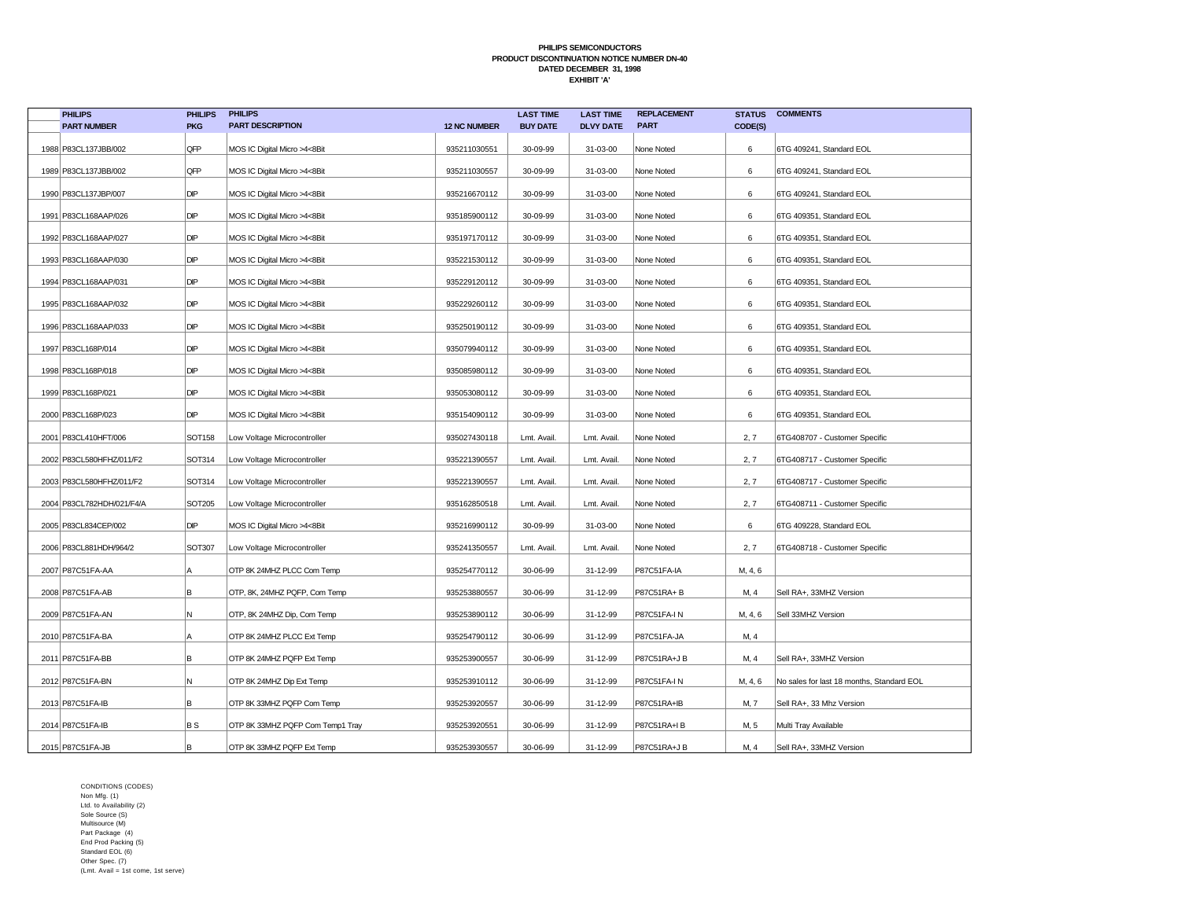| <b>PHILIPS</b>              | <b>PHILIPS</b> | <b>PHILIPS</b>                   |                     | <b>LAST TIME</b> | <b>LAST TIME</b> | <b>REPLACEMENT</b> | <b>STATUS</b> | <b>COMMENTS</b>                           |
|-----------------------------|----------------|----------------------------------|---------------------|------------------|------------------|--------------------|---------------|-------------------------------------------|
| <b>PART NUMBER</b>          | <b>PKG</b>     | <b>PART DESCRIPTION</b>          | <b>12 NC NUMBER</b> | <b>BUY DATE</b>  | <b>DLVY DATE</b> | <b>PART</b>        | CODE(S)       |                                           |
| 1988 P83CL137JBB/002        | QFP            | MOS IC Digital Micro >4<8Bit     | 935211030551        | 30-09-99         | 31-03-00         | None Noted         | 6             | 6TG 409241, Standard EOL                  |
| 1989 P83CL137JBB/002        | QFP            | MOS IC Digital Micro >4<8Bit     | 935211030557        | 30-09-99         | 31-03-00         | None Noted         | 6             | 6TG 409241, Standard EOL                  |
| 1990 P83CL137JBP/007        | DIP            | MOS IC Digital Micro >4<8Bit     | 935216670112        | 30-09-99         | 31-03-00         | None Noted         | 6             | 6TG 409241, Standard EOL                  |
| 1991   P83CL168AAP/026      | DIP            | MOS IC Digital Micro >4<8Bit     | 935185900112        | 30-09-99         | 31-03-00         | None Noted         | 6             | 6TG 409351, Standard EOL                  |
| 1992   P83CL168AAP/027      | DIP            | MOS IC Digital Micro >4<8Bit     | 935197170112        | 30-09-99         | 31-03-00         | None Noted         | 6             | 6TG 409351, Standard EOL                  |
| 1993   P83CL168AAP/030      | DIP            | MOS IC Digital Micro >4<8Bit     | 935221530112        | 30-09-99         | 31-03-00         | None Noted         | 6             | 6TG 409351, Standard EOL                  |
| 1994 P83CL168AAP/031        | DIP            | MOS IC Digital Micro >4<8Bit     | 935229120112        | 30-09-99         | 31-03-00         | None Noted         | 6             | 6TG 409351, Standard EOL                  |
| 1995   P83CL168AAP/032      | DIP            | MOS IC Digital Micro >4<8Bit     | 935229260112        | 30-09-99         | 31-03-00         | None Noted         | 6             | 6TG 409351, Standard EOL                  |
| 1996 P83CL168AAP/033        | DIP            | MOS IC Digital Micro >4<8Bit     | 935250190112        | 30-09-99         | 31-03-00         | None Noted         | 6             | 6TG 409351, Standard EOL                  |
| 1997   P83CL168P/014        | DIP            | MOS IC Digital Micro >4<8Bit     | 935079940112        | 30-09-99         | 31-03-00         | None Noted         | 6             | 6TG 409351, Standard EOL                  |
| 1998   P83CL168P/018        | DIP            | MOS IC Digital Micro >4<8Bit     | 935085980112        | 30-09-99         | 31-03-00         | None Noted         | 6             | 6TG 409351, Standard EOL                  |
| 1999 P83CL168P/021          | DIP            | MOS IC Digital Micro >4<8Bit     | 935053080112        | 30-09-99         | 31-03-00         | None Noted         | 6             | 6TG 409351, Standard EOL                  |
| 2000   P83CL168P/023        | DIP            | MOS IC Digital Micro >4<8Bit     | 935154090112        | 30-09-99         | 31-03-00         | None Noted         | 6             | 6TG 409351, Standard EOL                  |
| 2001   P83CL410HFT/006      | SOT158         | Low Voltage Microcontroller      | 935027430118        | Lmt. Avail.      | Lmt. Avail       | None Noted         | 2, 7          | 6TG408707 - Customer Specific             |
| 2002 P83CL580HFHZ/011/F2    | SOT314         | Low Voltage Microcontroller      | 935221390557        | Lmt. Avail.      | Lmt. Avail       | None Noted         | 2, 7          | 6TG408717 - Customer Specific             |
| 2003 P83CL580HFHZ/011/F2    | SOT314         | Low Voltage Microcontroller      | 935221390557        | Lmt. Avail.      | Lmt. Avail       | None Noted         | 2, 7          | 6TG408717 - Customer Specific             |
| 2004   P83CL782HDH/021/F4/A | SOT205         | Low Voltage Microcontroller      | 935162850518        | Lmt. Avail.      | Lmt. Avail       | None Noted         | 2, 7          | 6TG408711 - Customer Specific             |
| 2005   P83CL834CEP/002      | DIP            | MOS IC Digital Micro >4<8Bit     | 935216990112        | 30-09-99         | 31-03-00         | None Noted         | 6             | 6TG 409228, Standard EOL                  |
| 2006   P83CL881HDH/964/2    | SOT307         | Low Voltage Microcontroller      | 935241350557        | Lmt. Avail.      | Lmt. Avail       | None Noted         | 2, 7          | 6TG408718 - Customer Specific             |
| 2007 P87C51FA-AA            | Α              | OTP 8K 24MHZ PLCC Com Temp       | 935254770112        | 30-06-99         | 31-12-99         | P87C51FA-IA        | M, 4, 6       |                                           |
| 2008 P87C51FA-AB            | B              | OTP, 8K, 24MHZ PQFP, Com Temp    | 935253880557        | 30-06-99         | 31-12-99         | P87C51RA+B         | M, 4          | Sell RA+, 33MHZ Version                   |
| 2009 P87C51FA-AN            | N              | OTP, 8K 24MHZ Dip, Com Temp      | 935253890112        | 30-06-99         | 31-12-99         | P87C51FA-IN        | M, 4, 6       | Sell 33MHZ Version                        |
| 2010 P87C51FA-BA            | Α              | OTP 8K 24MHZ PLCC Ext Temp       | 935254790112        | 30-06-99         | 31-12-99         | P87C51FA-JA        | M, 4          |                                           |
| 2011   P87C51 FA-BB         | B              | OTP 8K 24MHZ PQFP Ext Temp       | 935253900557        | 30-06-99         | 31-12-99         | P87C51RA+J B       | M, 4          | Sell RA+, 33MHZ Version                   |
| 2012 P87C51FA-BN            | N              | OTP 8K 24MHZ Dip Ext Temp        | 935253910112        | 30-06-99         | 31-12-99         | P87C51FA-IN        | M, 4, 6       | No sales for last 18 months, Standard EOL |
| 2013 P87C51FA-IB            | B              | OTP 8K 33MHZ PQFP Com Temp       | 935253920557        | 30-06-99         | 31-12-99         | P87C51RA+IB        | M, 7          | Sell RA+, 33 Mhz Version                  |
| 2014 P87C51FA-IB            | B S            | OTP 8K 33MHZ PQFP Com Temp1 Tray | 935253920551        | 30-06-99         | 31-12-99         | P87C51RA+IB        | M, 5          | Multi Tray Available                      |
| 2015 P87C51FA-JB            | B              | OTP 8K 33MHZ PQFP Ext Temp       | 935253930557        | 30-06-99         | 31-12-99         | P87C51RA+J B       | M, 4          | Sell RA+, 33MHZ Version                   |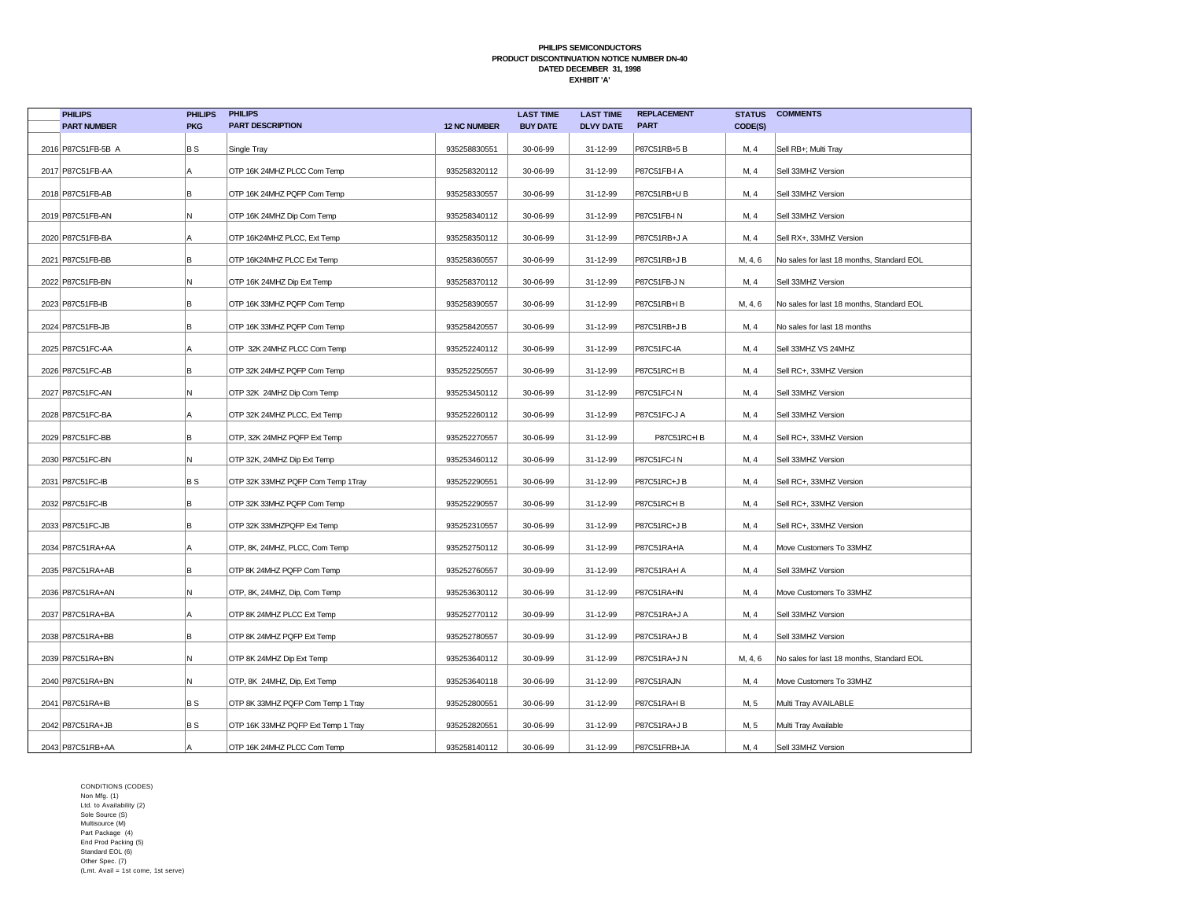| <b>PHILIPS</b>      | <b>PHILIPS</b> | <b>PHILIPS</b>                     |                     | <b>LAST TIME</b> | <b>LAST TIME</b> | <b>REPLACEMENT</b> | <b>STATUS</b> | <b>COMMENTS</b>                           |
|---------------------|----------------|------------------------------------|---------------------|------------------|------------------|--------------------|---------------|-------------------------------------------|
| <b>PART NUMBER</b>  | <b>PKG</b>     | <b>PART DESCRIPTION</b>            | <b>12 NC NUMBER</b> | <b>BUY DATE</b>  | <b>DLVY DATE</b> | <b>PART</b>        | CODE(S)       |                                           |
| 2016 P87C51FB-5B A  | BS             | Single Tray                        | 935258830551        | 30-06-99         | 31-12-99         | P87C51RB+5B        | M, 4          | Sell RB+; Multi Tray                      |
| 2017 P87C51FB-AA    | A              | OTP 16K 24MHZ PLCC Com Temp        | 935258320112        | 30-06-99         | 31-12-99         | P87C51FB-I A       | M, 4          | Sell 33MHZ Version                        |
| 2018 P87C51FB-AB    | В              | OTP 16K 24MHZ PQFP Com Temp        | 935258330557        | 30-06-99         | 31-12-99         | P87C51RB+U B       | M, 4          | Sell 33MHZ Version                        |
| 2019 P87C51FB-AN    | M.             | OTP 16K 24MHZ Dip Com Temp         | 935258340112        | 30-06-99         | 31-12-99         | <b>P87C51FB-IN</b> | M, 4          | Sell 33MHZ Version                        |
| 2020 P87C51 FB-BA   | Α              | OTP 16K24MHZ PLCC, Ext Temp        | 935258350112        | 30-06-99         | 31-12-99         | P87C51RB+J A       | M, 4          | Sell RX+, 33MHZ Version                   |
| 2021   P87C51 FB-BB | lB.            | OTP 16K24MHZ PLCC Ext Temp         | 935258360557        | 30-06-99         | 31-12-99         | P87C51RB+J B       | M, 4, 6       | No sales for last 18 months, Standard EOL |
| 2022 P87C51FB-BN    | N              | OTP 16K 24MHZ Dip Ext Temp         | 935258370112        | 30-06-99         | 31-12-99         | P87C51FB-J N       | M, 4          | Sell 33MHZ Version                        |
| 2023 P87C51FB-IB    | B              | OTP 16K 33MHZ PQFP Com Temp        | 935258390557        | 30-06-99         | 31-12-99         | P87C51RB+IB        | M, 4, 6       | No sales for last 18 months, Standard EOL |
| 2024 P87C51FB-JB    | B              | OTP 16K 33MHZ PQFP Com Temp        | 935258420557        | 30-06-99         | 31-12-99         | P87C51RB+J B       | M, 4          | No sales for last 18 months               |
| 2025 P87C51FC-AA    | Α              | OTP 32K 24MHZ PLCC Com Temp        | 935252240112        | 30-06-99         | 31-12-99         | P87C51FC-IA        | M, 4          | Sell 33MHZ VS 24MHZ                       |
| 2026 P87C51FC-AB    | в              | OTP 32K 24MHZ PQFP Com Temp        | 935252250557        | 30-06-99         | 31-12-99         | P87C51RC+IB        | M, 4          | Sell RC+, 33MHZ Version                   |
| 2027 P87C51FC-AN    | N              | OTP 32K 24MHZ Dip Com Temp         | 935253450112        | 30-06-99         | 31-12-99         | P87C51FC-IN        | M, 4          | Sell 33MHZ Version                        |
| 2028 P87C51FC-BA    | Α              | OTP 32K 24MHZ PLCC, Ext Temp       | 935252260112        | 30-06-99         | 31-12-99         | P87C51FC-J A       | M, 4          | Sell 33MHZ Version                        |
| 2029 P87C51FC-BB    | в              | OTP, 32K 24MHZ PQFP Ext Temp       | 935252270557        | 30-06-99         | 31-12-99         | P87C51RC+IB        | M, 4          | Sell RC+, 33MHZ Version                   |
| 2030 P87C51FC-BN    | N.             | OTP 32K, 24MHZ Dip Ext Temp        | 935253460112        | 30-06-99         | 31-12-99         | P87C51FC-IN        | M, 4          | Sell 33MHZ Version                        |
| 2031 P87C51FC-IB    | B S            | OTP 32K 33MHZ PQFP Com Temp 1Tray  | 935252290551        | 30-06-99         | 31-12-99         | P87C51RC+J B       | M, 4          | Sell RC+, 33MHZ Version                   |
| 2032 P87C51FC-IB    | lB.            | OTP 32K 33MHZ PQFP Com Temp        | 935252290557        | 30-06-99         | 31-12-99         | P87C51RC+IB        | M, 4          | Sell RC+, 33MHZ Version                   |
| 2033 P87C51FC-JB    | B              | OTP 32K 33MHZPQFP Ext Temp         | 935252310557        | 30-06-99         | 31-12-99         | P87C51RC+JB        | M, 4          | Sell RC+, 33MHZ Version                   |
| 2034 P87C51RA+AA    | А              | OTP, 8K, 24MHZ, PLCC, Com Temp     | 935252750112        | 30-06-99         | 31-12-99         | P87C51RA+IA        | M, 4          | Move Customers To 33MHZ                   |
| 2035 P87C51RA+AB    | B              | OTP 8K 24MHZ PQFP Com Temp         | 935252760557        | 30-09-99         | 31-12-99         | P87C51RA+I A       | M, 4          | Sell 33MHZ Version                        |
| 2036 P87C51RA+AN    | Ν              | OTP, 8K, 24MHZ, Dip, Com Temp      | 935253630112        | 30-06-99         | 31-12-99         | P87C51RA+IN        | M, 4          | Move Customers To 33MHZ                   |
| 2037 P87C51RA+BA    | Α              | OTP 8K 24MHZ PLCC Ext Temp         | 935252770112        | 30-09-99         | 31-12-99         | P87C51RA+J A       | M, 4          | Sell 33MHZ Version                        |
| 2038 P87C51RA+BB    | в              | OTP 8K 24MHZ PQFP Ext Temp         | 935252780557        | 30-09-99         | 31-12-99         | P87C51RA+J B       | M, 4          | Sell 33MHZ Version                        |
| 2039 P87C51RA+BN    | N              | OTP 8K 24MHZ Dip Ext Temp          | 935253640112        | 30-09-99         | 31-12-99         | P87C51RA+J N       | M, 4, 6       | No sales for last 18 months, Standard EOL |
| 2040 P87C51RA+BN    | N              | OTP, 8K 24MHZ, Dip, Ext Temp       | 935253640118        | 30-06-99         | 31-12-99         | P87C51RAJN         | M, 4          | Move Customers To 33MHZ                   |
| 2041   P87C51RA+IB  | B S            | OTP 8K 33MHZ PQFP Com Temp 1 Tray  | 935252800551        | 30-06-99         | 31-12-99         | P87C51RA+IB        | M, 5          | Multi Tray AVAILABLE                      |
| 2042 P87C51RA+JB    | B S            | OTP 16K 33MHZ PQFP Ext Temp 1 Tray | 935252820551        | 30-06-99         | 31-12-99         | P87C51RA+J B       | M, 5          | Multi Tray Available                      |
| 2043 P87C51RB+AA    |                | OTP 16K 24MHZ PLCC Com Temp        | 935258140112        | 30-06-99         | 31-12-99         | P87C51FRB+JA       | M, 4          | Sell 33MHZ Version                        |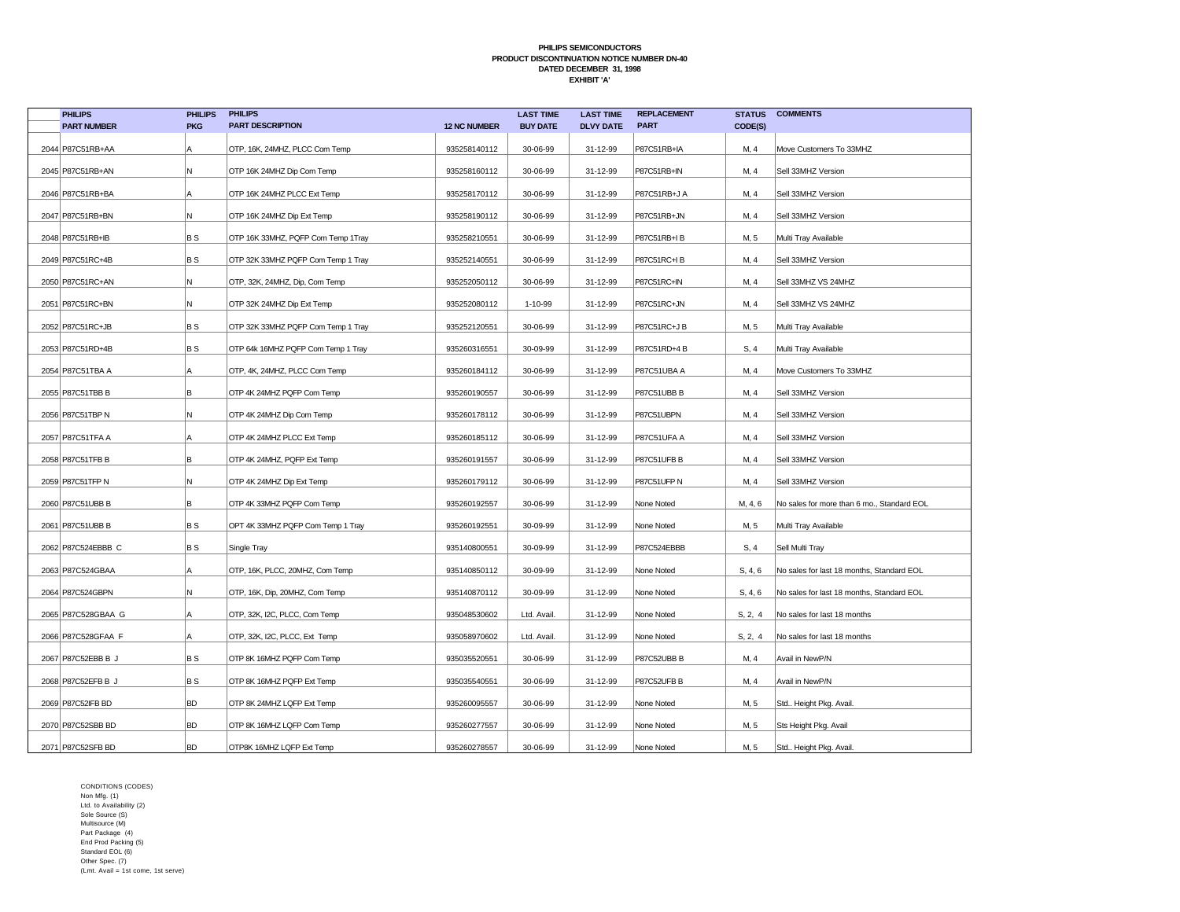| <b>PHILIPS</b>      | <b>PHILIPS</b> | <b>PHILIPS</b>                     |                     | <b>LAST TIME</b> | <b>LAST TIME</b> | <b>REPLACEMENT</b> | <b>STATUS</b> | <b>COMMENTS</b>                            |
|---------------------|----------------|------------------------------------|---------------------|------------------|------------------|--------------------|---------------|--------------------------------------------|
| <b>PART NUMBER</b>  | <b>PKG</b>     | <b>PART DESCRIPTION</b>            | <b>12 NC NUMBER</b> | <b>BUY DATE</b>  | <b>DLVY DATE</b> | <b>PART</b>        | CODE(S)       |                                            |
| 2044 P87C51RB+AA    | Α              | OTP, 16K, 24MHZ, PLCC Com Temp     | 935258140112        | 30-06-99         | 31-12-99         | P87C51RB+IA        | M, 4          | Move Customers To 33MHZ                    |
| 2045   P87C51RB+AN  | N              | OTP 16K 24MHZ Dip Com Temp         | 935258160112        | 30-06-99         | 31-12-99         | P87C51RB+IN        | M, 4          | Sell 33MHZ Version                         |
| 2046 P87C51RB+BA    | A              | OTP 16K 24MHZ PLCC Ext Temp        | 935258170112        | 30-06-99         | 31-12-99         | P87C51RB+J A       | M, 4          | Sell 33MHZ Version                         |
| 2047 P87C51RB+BN    | N              | OTP 16K 24MHZ Dip Ext Temp         | 935258190112        | 30-06-99         | 31-12-99         | P87C51RB+JN        | M, 4          | Sell 33MHZ Version                         |
| 2048 P87C51RB+IB    | BS             | OTP 16K 33MHZ, PQFP Com Temp 1Tray | 935258210551        | 30-06-99         | 31-12-99         | P87C51RB+IB        | M, 5          | Multi Tray Available                       |
| 2049 P87C51RC+4B    | B S            | OTP 32K 33MHZ PQFP Com Temp 1 Tray | 935252140551        | 30-06-99         | 31-12-99         | P87C51RC+IB        | M, 4          | Sell 33MHZ Version                         |
| 2050 P87C51RC+AN    | Ν              | OTP, 32K, 24MHZ, Dip, Com Temp     | 935252050112        | 30-06-99         | 31-12-99         | P87C51RC+IN        | M, 4          | Sell 33MHZ VS 24MHZ                        |
| 2051 P87C51RC+BN    | N              | OTP 32K 24MHZ Dip Ext Temp         | 935252080112        | 1-10-99          | 31-12-99         | P87C51RC+JN        | M, 4          | Sell 33MHZ VS 24MHZ                        |
| 2052 P87C51RC+JB    | B S            | OTP 32K 33MHZ PQFP Com Temp 1 Tray | 935252120551        | 30-06-99         | 31-12-99         | P87C51RC+JB        | M, 5          | Multi Tray Available                       |
| 2053 P87C51RD+4B    | <b>BS</b>      | OTP 64k 16MHZ PQFP Com Temp 1 Tray | 935260316551        | 30-09-99         | 31-12-99         | P87C51RD+4 B       | S, 4          | Multi Tray Available                       |
| 2054 P87C51TBA A    | Α              | OTP, 4K, 24MHZ, PLCC Com Temp      | 935260184112        | 30-06-99         | 31-12-99         | P87C51UBA A        | M, 4          | Move Customers To 33MHZ                    |
| 2055 P87C51TBB B    | B              | OTP 4K 24MHZ PQFP Com Temp         | 935260190557        | 30-06-99         | 31-12-99         | P87C51UBB B        | M, 4          | Sell 33MHZ Version                         |
| 2056 P87C51TBP N    | N              | OTP 4K 24MHZ Dip Com Temp          | 935260178112        | 30-06-99         | 31-12-99         | P87C51UBPN         | M, 4          | Sell 33MHZ Version                         |
| 2057 P87C51TFA A    | A              | OTP 4K 24MHZ PLCC Ext Temp         | 935260185112        | 30-06-99         | 31-12-99         | P87C51UFA A        | M, 4          | Sell 33MHZ Version                         |
| 2058 P87C51TFB B    | B              | OTP 4K 24MHZ, PQFP Ext Temp        | 935260191557        | 30-06-99         | 31-12-99         | P87C51UFB B        | M, 4          | Sell 33MHZ Version                         |
| 2059 P87C51TFP N    | N              | OTP 4K 24MHZ Dip Ext Temp          | 935260179112        | 30-06-99         | 31-12-99         | P87C51UFP N        | M, 4          | Sell 33MHZ Version                         |
| 2060 P87C51UBB B    | lB.            | OTP 4K 33MHZ PQFP Com Temp         | 935260192557        | 30-06-99         | 31-12-99         | None Noted         | M, 4, 6       | No sales for more than 6 mo., Standard EOL |
| 2061 P87C51UBB B    | <b>BS</b>      | OPT 4K 33MHZ PQFP Com Temp 1 Tray  | 935260192551        | 30-09-99         | 31-12-99         | None Noted         | M, 5          | Multi Tray Available                       |
| 2062 P87C524EBBB C  | <b>BS</b>      | Single Tray                        | 935140800551        | 30-09-99         | 31-12-99         | P87C524EBBB        | S, 4          | Sell Multi Tray                            |
| 2063 P87C524GBAA    | Α              | OTP, 16K, PLCC, 20MHZ, Com Temp    | 935140850112        | 30-09-99         | 31-12-99         | None Noted         | S, 4, 6       | No sales for last 18 months, Standard EOL  |
| 2064 P87C524GBPN    | Ν              | OTP, 16K, Dip, 20MHZ, Com Temp     | 935140870112        | 30-09-99         | 31-12-99         | None Noted         | S, 4, 6       | No sales for last 18 months, Standard EOL  |
| 2065 P87C528GBAA G  | А              | OTP, 32K, I2C, PLCC, Com Temp      | 935048530602        | Ltd. Avail.      | 31-12-99         | None Noted         | S, 2, 4       | No sales for last 18 months                |
| 2066 P87C528GFAA F  | A              | OTP, 32K, I2C, PLCC, Ext Temp      | 935058970602        | Ltd. Avail.      | 31-12-99         | None Noted         | S, 2, 4       | No sales for last 18 months                |
| 2067 P87C52EBB B J  | B S            | OTP 8K 16MHZ PQFP Com Temp         | 935035520551        | 30-06-99         | 31-12-99         | P87C52UBB B        | M, 4          | Avail in NewP/N                            |
| 2068 P87C52EFB B J  | B S            | OTP 8K 16MHZ PQFP Ext Temp         | 935035540551        | 30-06-99         | 31-12-99         | P87C52UFB B        | M, 4          | Avail in NewP/N                            |
| 2069 P87C52IFB BD   | <b>BD</b>      | OTP 8K 24MHZ LQFP Ext Temp         | 935260095557        | 30-06-99         | 31-12-99         | None Noted         | M, 5          | Std Height Pkg. Avail.                     |
| 2070 P87C52SBB BD   | <b>BD</b>      | OTP 8K 16MHZ LQFP Com Temp         | 935260277557        | 30-06-99         | 31-12-99         | None Noted         | M, 5          | Sts Height Pkg. Avail                      |
| 2071   P87C52SFB BD | <b>BD</b>      | OTP8K 16MHZ LQFP Ext Temp          | 935260278557        | 30-06-99         | 31-12-99         | None Noted         | M, 5          | Std Height Pkg. Avail.                     |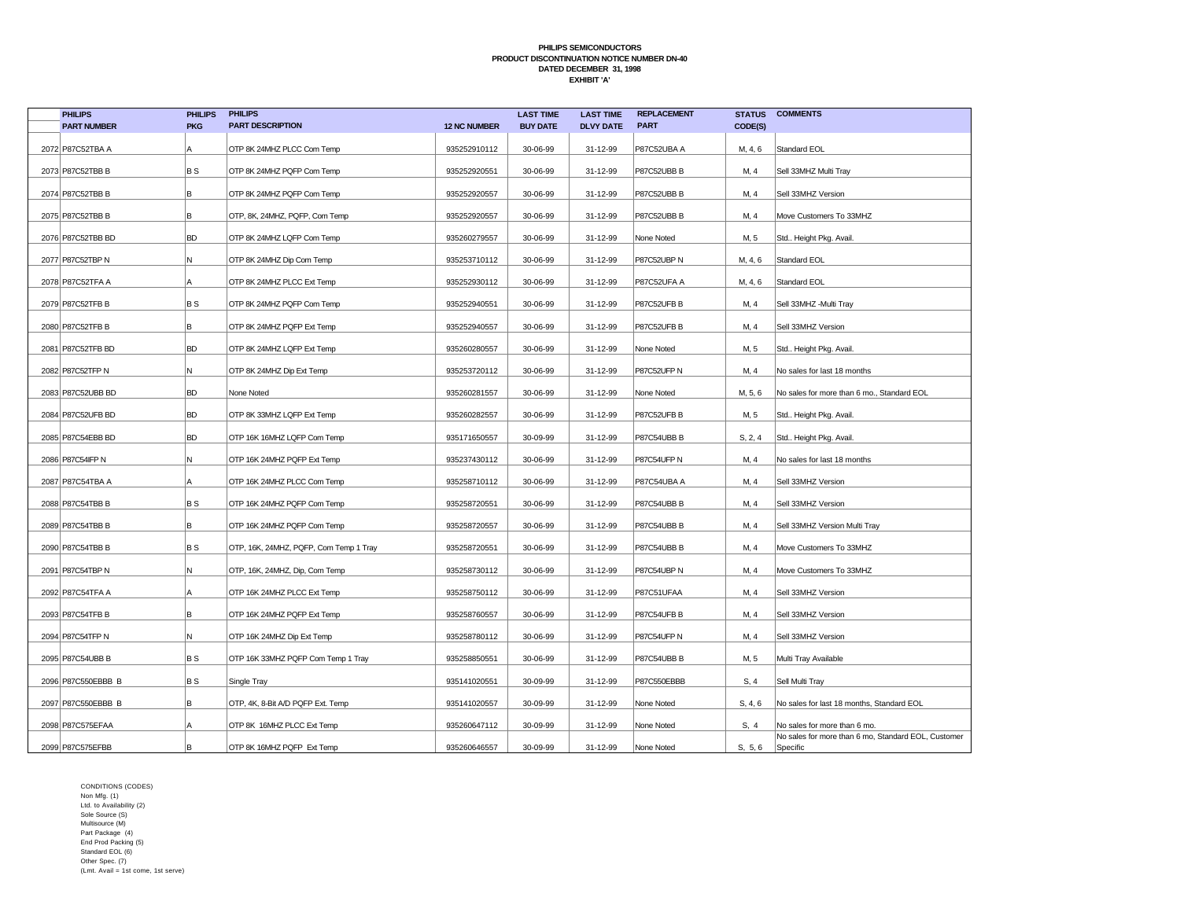| <b>PHILIPS</b>      | <b>PHILIPS</b> | <b>PHILIPS</b>                         |                     | <b>LAST TIME</b> | <b>LAST TIME</b> | <b>REPLACEMENT</b> |         | <b>STATUS COMMENTS</b>                                          |
|---------------------|----------------|----------------------------------------|---------------------|------------------|------------------|--------------------|---------|-----------------------------------------------------------------|
| <b>PART NUMBER</b>  | <b>PKG</b>     | <b>PART DESCRIPTION</b>                | <b>12 NC NUMBER</b> | <b>BUY DATE</b>  | <b>DLVY DATE</b> | <b>PART</b>        | CODE(S) |                                                                 |
| 2072 P87C52TBA A    | Α              | OTP 8K 24MHZ PLCC Com Temp             | 935252910112        | 30-06-99         | 31-12-99         | P87C52UBA A        | M, 4, 6 | Standard EOL                                                    |
| 2073 P87C52TBB B    | BS             | OTP 8K 24MHZ PQFP Com Temp             | 935252920551        | 30-06-99         | 31-12-99         | P87C52UBB B        | M, 4    | Sell 33MHZ Multi Tray                                           |
| 2074 P87C52TBB B    | B              | OTP 8K 24MHZ PQFP Com Temp             | 935252920557        | 30-06-99         | 31-12-99         | P87C52UBB B        | M, 4    | Sell 33MHZ Version                                              |
| 2075 P87C52TBB B    | lB.            | OTP, 8K, 24MHZ, PQFP, Com Temp         | 935252920557        | 30-06-99         | 31-12-99         | P87C52UBB B        | M, 4    | Move Customers To 33MHZ                                         |
| 2076 P87C52TBB BD   | BD             | OTP 8K 24MHZ LQFP Com Temp             | 935260279557        | 30-06-99         | 31-12-99         | None Noted         | M, 5    | Std Height Pkg. Avail.                                          |
| 2077 P87C52TBP N    | N              | OTP 8K 24MHZ Dip Com Temp              | 935253710112        | 30-06-99         | 31-12-99         | P87C52UBP N        | M, 4, 6 | Standard EOL                                                    |
| 2078 P87C52TFA A    | А              | OTP 8K 24MHZ PLCC Ext Temp             | 935252930112        | 30-06-99         | 31-12-99         | P87C52UFA A        | M, 4, 6 | Standard EOL                                                    |
| 2079 P87C52TFB B    | BS             | OTP 8K 24MHZ PQFP Com Temp             | 935252940551        | 30-06-99         | 31-12-99         | P87C52UFB B        | M, 4    | Sell 33MHZ -Multi Tray                                          |
| 2080 P87C52TFB B    | B.             | OTP 8K 24MHZ PQFP Ext Temp             | 935252940557        | 30-06-99         | 31-12-99         | P87C52UFB B        | M, 4    | Sell 33MHZ Version                                              |
| 2081   P87C52TFB BD | BD             | OTP 8K 24MHZ LQFP Ext Temp             | 935260280557        | 30-06-99         | 31-12-99         | None Noted         | M, 5    | Std Height Pkg. Avail.                                          |
| 2082 P87C52TFP N    | N.             | OTP 8K 24MHZ Dip Ext Temp              | 935253720112        | 30-06-99         | 31-12-99         | P87C52UFP N        | M, 4    | No sales for last 18 months                                     |
| 2083 P87C52UBB BD   | <b>BD</b>      | None Noted                             | 935260281557        | 30-06-99         | 31-12-99         | None Noted         | M, 5, 6 | No sales for more than 6 mo., Standard EOL                      |
| 2084 P87C52UFB BD   | BD             | OTP 8K 33MHZ LQFP Ext Temp             | 935260282557        | 30-06-99         | 31-12-99         | P87C52UFB B        | M, 5    | Std Height Pkg. Avail.                                          |
| 2085 P87C54EBB BD   | BD             | OTP 16K 16MHZ LQFP Com Temp            | 935171650557        | 30-09-99         | 31-12-99         | P87C54UBB B        | S, 2, 4 | Std Height Pkg. Avail.                                          |
| 2086 P87C54IFP N    | N.             | OTP 16K 24MHZ PQFP Ext Temp            | 935237430112        | 30-06-99         | 31-12-99         | P87C54UFP N        | M, 4    | No sales for last 18 months                                     |
| 2087 P87C54TBA A    | А              | OTP 16K 24MHZ PLCC Com Temp            | 935258710112        | 30-06-99         | 31-12-99         | P87C54UBA A        | M, 4    | Sell 33MHZ Version                                              |
| 2088 P87C54TBB B    | B S            | OTP 16K 24MHZ PQFP Com Temp            | 935258720551        | 30-06-99         | 31-12-99         | P87C54UBB B        | M, 4    | Sell 33MHZ Version                                              |
| 2089 P87C54TBB B    | B              | OTP 16K 24MHZ PQFP Com Temp            | 935258720557        | 30-06-99         | 31-12-99         | P87C54UBB B        | M, 4    | Sell 33MHZ Version Multi Tray                                   |
| 2090 P87C54TBB B    | BS             | OTP, 16K, 24MHZ, PQFP, Com Temp 1 Tray | 935258720551        | 30-06-99         | 31-12-99         | P87C54UBB B        | M, 4    | Move Customers To 33MHZ                                         |
| 2091 P87C54TBP N    | N              | OTP, 16K, 24MHZ, Dip, Com Temp         | 935258730112        | 30-06-99         | 31-12-99         | P87C54UBP N        | M, 4    | Move Customers To 33MHZ                                         |
| 2092 P87C54TFA A    | Α              | OTP 16K 24MHZ PLCC Ext Temp            | 935258750112        | 30-06-99         | 31-12-99         | P87C51UFAA         | M, 4    | Sell 33MHZ Version                                              |
| 2093 P87C54TFB B    | в              | OTP 16K 24MHZ PQFP Ext Temp            | 935258760557        | 30-06-99         | 31-12-99         | P87C54UFB B        | M, 4    | Sell 33MHZ Version                                              |
| 2094 P87C54TFP N    | N.             | OTP 16K 24MHZ Dip Ext Temp             | 935258780112        | 30-06-99         | 31-12-99         | P87C54UFP N        | M, 4    | Sell 33MHZ Version                                              |
| 2095 P87C54UBB B    | BS             | OTP 16K 33MHZ PQFP Com Temp 1 Tray     | 935258850551        | 30-06-99         | 31-12-99         | P87C54UBB B        | M, 5    | Multi Tray Available                                            |
| 2096 P87C550EBBB B  | BS             | Single Tray                            | 935141020551        | 30-09-99         | 31-12-99         | P87C550EBBB        | S, 4    | Sell Multi Tray                                                 |
| 2097 P87C550EBBB B  | B              | OTP, 4K, 8-Bit A/D PQFP Ext. Temp      | 935141020557        | 30-09-99         | 31-12-99         | None Noted         | S, 4, 6 | No sales for last 18 months, Standard EOL                       |
| 2098 P87C575EFAA    | Α              | OTP 8K 16MHZ PLCC Ext Temp             | 935260647112        | 30-09-99         | 31-12-99         | None Noted         | S, 4    | No sales for more than 6 mo.                                    |
| 2099 P87C575EFBB    | lB.            | OTP 8K 16MHZ PQFP Ext Temp             | 935260646557        | 30-09-99         | 31-12-99         | None Noted         | S, 5, 6 | No sales for more than 6 mo, Standard EOL, Customer<br>Specific |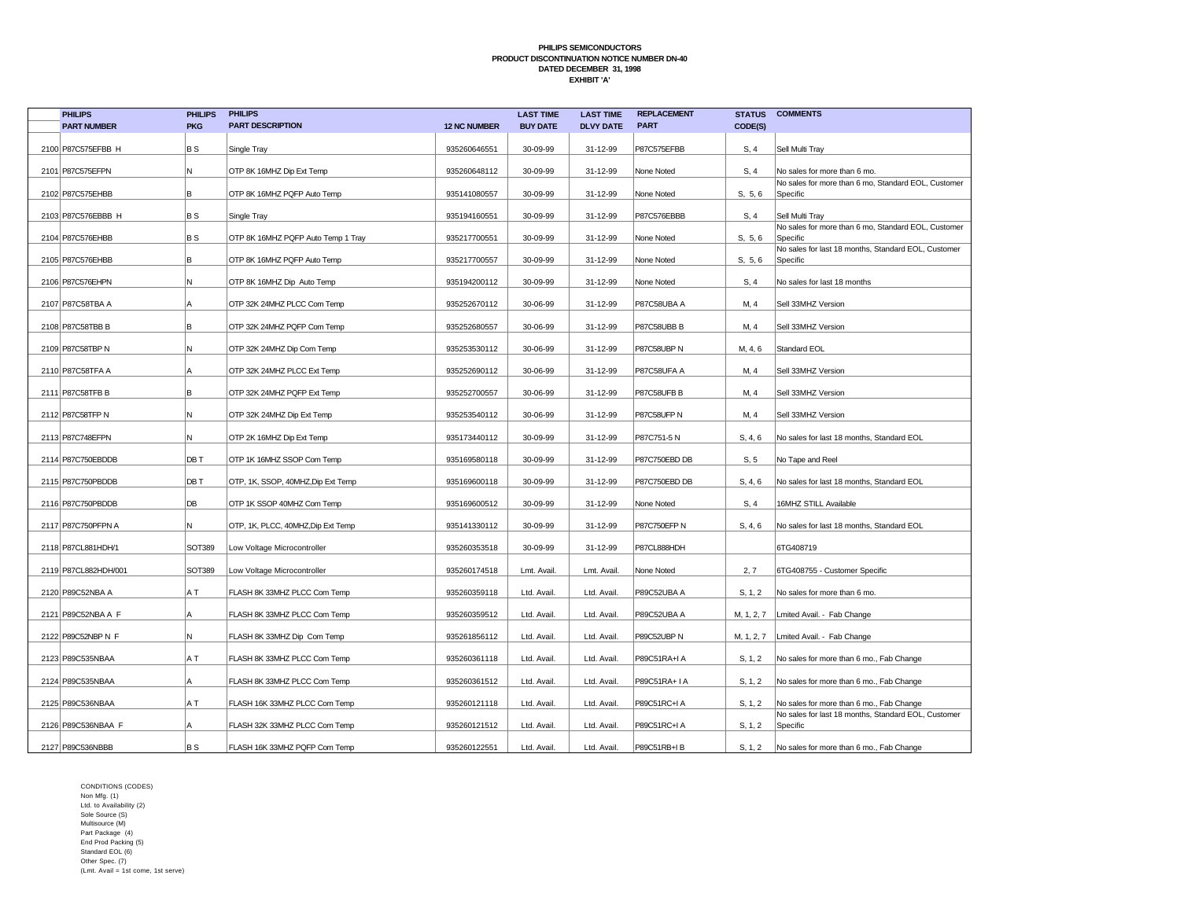| <b>PHILIPS</b>       | <b>PHILIPS</b> | <b>PHILIPS</b>                     |                     | <b>LAST TIME</b> | <b>LAST TIME</b> | <b>REPLACEMENT</b> |            | <b>STATUS COMMENTS</b>                                          |
|----------------------|----------------|------------------------------------|---------------------|------------------|------------------|--------------------|------------|-----------------------------------------------------------------|
| <b>PART NUMBER</b>   | <b>PKG</b>     | <b>PART DESCRIPTION</b>            | <b>12 NC NUMBER</b> | <b>BUY DATE</b>  | <b>DLVY DATE</b> | <b>PART</b>        | CODE(S)    |                                                                 |
| 2100 P87C575EFBB H   | BS             | Single Tray                        | 935260646551        | 30-09-99         | 31-12-99         | P87C575EFBB        | S, 4       | Sell Multi Tray                                                 |
| 2101 P87C575EFPN     | N              | OTP 8K 16MHZ Dip Ext Temp          | 935260648112        | 30-09-99         | 31-12-99         | None Noted         | S, 4       | No sales for more than 6 mo.                                    |
| 2102 P87C575EHBB     | B              | OTP 8K 16MHZ PQFP Auto Temp        | 935141080557        | 30-09-99         | 31-12-99         | None Noted         | S, 5, 6    | No sales for more than 6 mo, Standard EOL, Customer<br>Specific |
| 2103 P87C576EBBB H   | B S            | Single Tray                        | 935194160551        | 30-09-99         | 31-12-99         | P87C576EBBB        | S, 4       | Sell Multi Tray                                                 |
| 2104 P87C576EHBB     | <b>BS</b>      | OTP 8K 16MHZ PQFP Auto Temp 1 Tray | 935217700551        | 30-09-99         | 31-12-99         | None Noted         | S, 5, 6    | No sales for more than 6 mo, Standard EOL, Customer<br>Specific |
| 2105 P87C576EHBB     | lв             | OTP 8K 16MHZ PQFP Auto Temp        | 935217700557        | 30-09-99         | 31-12-99         | None Noted         | S, 5, 6    | No sales for last 18 months, Standard EOL, Customer<br>Specific |
| 2106 P87C576EHPN     | N              | OTP 8K 16MHZ Dip Auto Temp         | 935194200112        | 30-09-99         | 31-12-99         | None Noted         | S, 4       | No sales for last 18 months                                     |
| 2107 P87C58TBA A     | ΙA             | OTP 32K 24MHZ PLCC Com Temp        | 935252670112        | 30-06-99         | 31-12-99         | P87C58UBA A        | M, 4       | Sell 33MHZ Version                                              |
| 2108 P87C58TBB B     | B              | OTP 32K 24MHZ PQFP Com Temp        | 935252680557        | 30-06-99         | 31-12-99         | P87C58UBB B        | M, 4       | Sell 33MHZ Version                                              |
| 2109 P87C58TBP N     | N              | OTP 32K 24MHZ Dip Com Temp         | 935253530112        | 30-06-99         | 31-12-99         | P87C58UBP N        | M, 4, 6    | <b>Standard EOL</b>                                             |
| 2110 P87C58TFA A     |                | OTP 32K 24MHZ PLCC Ext Temp        | 935252690112        | 30-06-99         | 31-12-99         | P87C58UFA A        | M, 4       | Sell 33MHZ Version                                              |
| 2111 P87C58TFB B     | B              | OTP 32K 24MHZ PQFP Ext Temp        | 935252700557        | 30-06-99         | 31-12-99         | P87C58UFB B        | M, 4       | Sell 33MHZ Version                                              |
| 2112 P87C58TFP N     | N              | OTP 32K 24MHZ Dip Ext Temp         | 935253540112        | 30-06-99         | 31-12-99         | P87C58UFP N        | M, 4       | Sell 33MHZ Version                                              |
| 2113 P87C748EFPN     | N              | OTP 2K 16MHZ Dip Ext Temp          | 935173440112        | 30-09-99         | 31-12-99         | P87C751-5N         | S, 4, 6    | No sales for last 18 months, Standard EOL                       |
| 2114 P87C750EBDDB    | DB T           | OTP 1K 16MHZ SSOP Com Temp         | 935169580118        | 30-09-99         | 31-12-99         | P87C750EBD DB      | S, 5       | No Tape and Reel                                                |
| 2115 P87C750PBDDB    | DB T           | OTP, 1K, SSOP, 40MHZ, Dip Ext Temp | 935169600118        | 30-09-99         | 31-12-99         | P87C750EBD DB      | S, 4, 6    | No sales for last 18 months, Standard EOL                       |
| 2116 P87C750PBDDB    | DB             | OTP 1K SSOP 40MHZ Com Temp         | 935169600512        | 30-09-99         | 31-12-99         | None Noted         | S, 4       | 16MHZ STILL Available                                           |
| 2117 P87C750PFPN A   | N              | OTP, 1K, PLCC, 40MHZ, Dip Ext Temp | 935141330112        | 30-09-99         | 31-12-99         | P87C750EFP N       | S, 4, 6    | No sales for last 18 months, Standard EOL                       |
| 2118 P87CL881HDH/1   | <b>SOT389</b>  | Low Voltage Microcontroller        | 935260353518        | 30-09-99         | 31-12-99         | P87CL888HDH        |            | 6TG408719                                                       |
| 2119 P87CL882HDH/001 | <b>SOT389</b>  | Low Voltage Microcontroller        | 935260174518        | Lmt. Avail.      | Lmt. Avail.      | None Noted         | 2, 7       | 6TG408755 - Customer Specific                                   |
| 2120 P89C52NBA A     | A T            | FLASH 8K 33MHZ PLCC Com Temp       | 935260359118        | Ltd. Avail       | Ltd. Avail       | P89C52UBA A        | S, 1, 2    | No sales for more than 6 mo.                                    |
| 2121 P89C52NBA A F   | A              | FLASH 8K 33MHZ PLCC Com Temp       | 935260359512        | Ltd. Avail       | Ltd. Avail       | P89C52UBA A        | M, 1, 2, 7 | Lmited Avail. - Fab Change                                      |
| 2122 P89C52NBP N F   | N              | FLASH 8K 33MHZ Dip Com Temp        | 935261856112        | Ltd. Avail       | Ltd. Avail       | P89C52UBP N        | M, 1, 2, 7 | Lmited Avail. - Fab Change                                      |
| 2123 P89C535NBAA     | A T            | FLASH 8K 33MHZ PLCC Com Temp       | 935260361118        | Ltd. Avail       | Ltd. Avail.      | P89C51RA+I A       | S, 1, 2    | No sales for more than 6 mo., Fab Change                        |
| 2124 P89C535NBAA     | A              | FLASH 8K 33MHZ PLCC Com Temp       | 935260361512        | Ltd. Avail       | Ltd. Avail       | P89C51RA+ I A      | S, 1, 2    | No sales for more than 6 mo., Fab Change                        |
| 2125 P89C536NBAA     | A T            | FLASH 16K 33MHZ PLCC Com Temp      | 935260121118        | Ltd. Avail       | Ltd. Avail.      | P89C51RC+I A       | S, 1, 2    | No sales for more than 6 mo., Fab Change                        |
| 2126 P89C536NBAA F   | A              | FLASH 32K 33MHZ PLCC Com Temp      | 935260121512        | Ltd. Avail       | Ltd. Avail       | P89C51RC+I A       | S, 1, 2    | No sales for last 18 months, Standard EOL, Customer<br>Specific |
| 2127 P89C536NBBB     | B S            | FLASH 16K 33MHZ PQFP Com Temp      | 935260122551        | Ltd. Avail       | Ltd. Avail.      | P89C51RB+IB        | S, 1, 2    | No sales for more than 6 mo., Fab Change                        |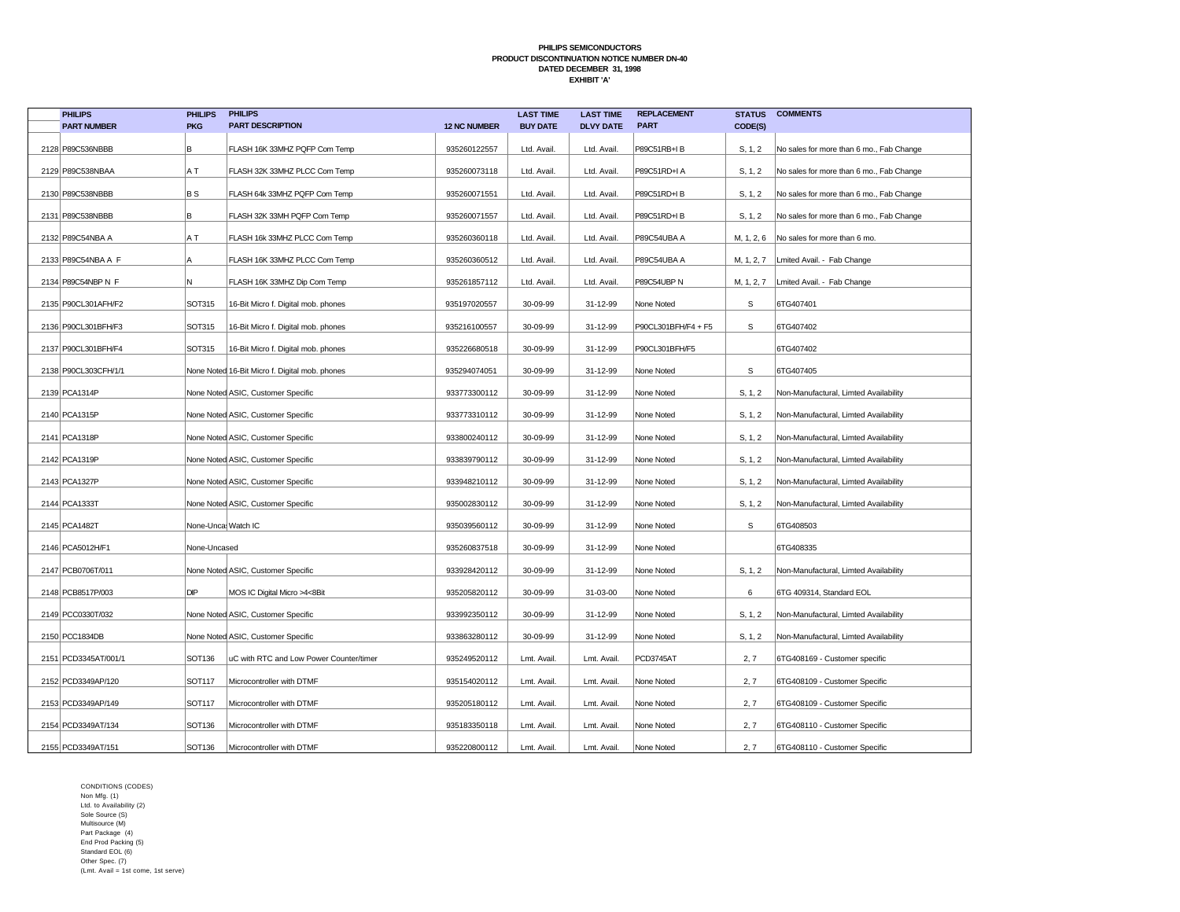| <b>PHILIPS</b>       | <b>PHILIPS</b>     | <b>PHILIPS</b>                                 |                     | <b>LAST TIME</b> | <b>LAST TIME</b> | <b>REPLACEMENT</b>  | <b>STATUS</b> | <b>COMMENTS</b>                                    |
|----------------------|--------------------|------------------------------------------------|---------------------|------------------|------------------|---------------------|---------------|----------------------------------------------------|
| <b>PART NUMBER</b>   | <b>PKG</b>         | <b>PART DESCRIPTION</b>                        | <b>12 NC NUMBER</b> | <b>BUY DATE</b>  | <b>DLVY DATE</b> | <b>PART</b>         | CODE(S)       |                                                    |
| 2128 P89C536NBBB     | В                  | FLASH 16K 33MHZ PQFP Com Temp                  | 935260122557        | Ltd. Avail.      | Ltd. Avail.      | P89C51RB+IB         | S, 1, 2       | No sales for more than 6 mo., Fab Change           |
| 2129 P89C538NBAA     | A T                | FLASH 32K 33MHZ PLCC Com Temp                  | 935260073118        | Ltd. Avail.      | Ltd. Avail.      | P89C51RD+I A        | S, 1, 2       | No sales for more than 6 mo., Fab Change           |
| 2130 P89C538NBBB     | <b>BS</b>          | FLASH 64k 33MHZ PQFP Com Temp                  | 935260071551        | Ltd. Avail.      | Ltd. Avail.      | P89C51RD+IB         | S, 1, 2       | No sales for more than 6 mo., Fab Change           |
| 2131 P89C538NBBB     | lB.                | FLASH 32K 33MH PQFP Com Temp                   | 935260071557        | Ltd. Avail.      | Ltd. Avail.      | P89C51RD+IB         | S, 1, 2       | No sales for more than 6 mo., Fab Change           |
| 2132 P89C54NBA A     | A T                | FLASH 16k 33MHZ PLCC Com Temp                  | 935260360118        | Ltd. Avail.      | Ltd. Avail.      | P89C54UBA A         |               | M, 1, 2, 6 $\sqrt{ }$ No sales for more than 6 mo. |
| 2133 P89C54NBA A F   | Α                  | FLASH 16K 33MHZ PLCC Com Temp                  | 935260360512        | Ltd. Avail.      | Ltd. Avail.      | P89C54UBA A         |               | M, 1, 2, 7   Lmited Avail. - Fab Change            |
| 2134 P89C54NBP N F   | N                  | FLASH 16K 33MHZ Dip Com Temp                   | 935261857112        | Ltd. Avail.      | Ltd. Avail.      | P89C54UBP N         |               | M, 1, 2, 7   Lmited Avail. - Fab Change            |
| 2135 P90CL301AFH/F2  | SOT315             | 16-Bit Micro f. Digital mob. phones            | 935197020557        | 30-09-99         | 31-12-99         | None Noted          | $\mathbb S$   | 6TG407401                                          |
| 2136 P90CL301BFH/F3  | SOT315             | 16-Bit Micro f. Digital mob. phones            | 935216100557        | 30-09-99         | 31-12-99         | P90CL301BFH/F4 + F5 | s             | 6TG407402                                          |
| 2137 P90CL301BFH/F4  | SOT315             | 16-Bit Micro f. Digital mob. phones            | 935226680518        | 30-09-99         | 31-12-99         | P90CL301BFH/F5      |               | 6TG407402                                          |
| 2138 P90CL303CFH/1/1 |                    | None Noted 16-Bit Micro f. Digital mob. phones | 935294074051        | 30-09-99         | 31-12-99         | None Noted          | S             | 6TG407405                                          |
| 2139 PCA1314P        |                    | None Noted ASIC, Customer Specific             | 933773300112        | 30-09-99         | 31-12-99         | None Noted          | S, 1, 2       | Non-Manufactural, Limted Availability              |
| 2140 PCA1315P        |                    | None Noted ASIC, Customer Specific             | 933773310112        | 30-09-99         | 31-12-99         | None Noted          | S, 1, 2       | Non-Manufactural, Limted Availability              |
| 2141 PCA1318P        |                    | None Noted ASIC, Customer Specific             | 933800240112        | 30-09-99         | 31-12-99         | None Noted          | S, 1, 2       | Non-Manufactural, Limted Availability              |
| 2142 PCA1319P        |                    | None Noted ASIC, Customer Specific             | 933839790112        | 30-09-99         | 31-12-99         | None Noted          | S, 1, 2       | Non-Manufactural, Limted Availability              |
| 2143 PCA1327P        |                    | None Noted ASIC, Customer Specific             | 933948210112        | 30-09-99         | 31-12-99         | None Noted          | S, 1, 2       | Non-Manufactural, Limted Availability              |
| 2144 PCA1333T        |                    | None Noted ASIC, Customer Specific             | 935002830112        | 30-09-99         | 31-12-99         | None Noted          | S, 1, 2       | Non-Manufactural, Limted Availability              |
| 2145 PCA1482T        | None-Unca Watch IC |                                                | 935039560112        | 30-09-99         | 31-12-99         | None Noted          | S             | 6TG408503                                          |
| 2146 PCA5012H/F1     | None-Uncased       |                                                | 935260837518        | 30-09-99         | 31-12-99         | None Noted          |               | 6TG408335                                          |
| 2147 PCB0706T/011    |                    | None Noted ASIC, Customer Specific             | 933928420112        | 30-09-99         | 31-12-99         | None Noted          | S, 1, 2       | Non-Manufactural, Limted Availability              |
| 2148 PCB8517P/003    | DIP                | MOS IC Digital Micro >4<8Bit                   | 935205820112        | 30-09-99         | 31-03-00         | None Noted          | 6             | 6TG 409314, Standard EOL                           |
| 2149 PCC0330T/032    |                    | None Noted ASIC, Customer Specific             | 933992350112        | 30-09-99         | 31-12-99         | None Noted          | S, 1, 2       | Non-Manufactural, Limted Availability              |
| 2150 PCC1834DB       |                    | None Noted ASIC, Customer Specific             | 933863280112        | 30-09-99         | 31-12-99         | None Noted          | S, 1, 2       | Non-Manufactural, Limted Availability              |
| 2151 PCD3345AT/001/1 | SOT136             | uC with RTC and Low Power Counter/timer        | 935249520112        | Lmt. Avail.      | Lmt. Avail.      | PCD3745AT           | 2, 7          | 6TG408169 - Customer specific                      |
| 2152 PCD3349AP/120   | SOT117             | Microcontroller with DTMF                      | 935154020112        | Lmt. Avail.      | Lmt. Avail.      | None Noted          | 2, 7          | 6TG408109 - Customer Specific                      |
| 2153 PCD3349AP/149   | SOT117             | Microcontroller with DTMF                      | 935205180112        | Lmt. Avail.      | Lmt. Avail.      | None Noted          | 2, 7          | 6TG408109 - Customer Specific                      |
| 2154 PCD3349AT/134   | SOT136             | Microcontroller with DTMF                      | 935183350118        | Lmt. Avail.      | Lmt. Avail.      | None Noted          | 2, 7          | 6TG408110 - Customer Specific                      |
| 2155 PCD3349AT/151   | SOT136             | Microcontroller with DTMF                      | 935220800112        | Lmt. Avail.      | Lmt. Avail.      | None Noted          | 2, 7          | 6TG408110 - Customer Specific                      |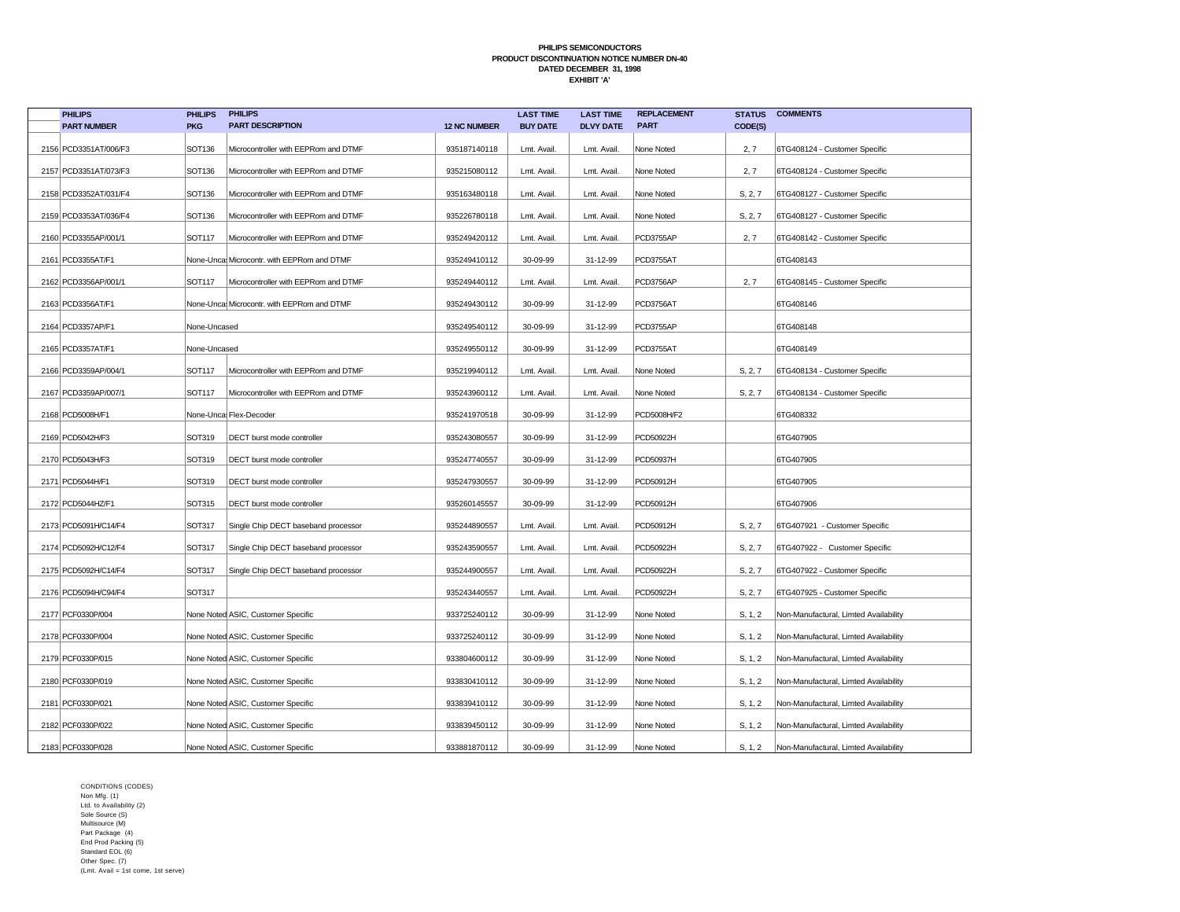| <b>PHILIPS</b>        | <b>PHILIPS</b> | <b>PHILIPS</b>                             |                     | <b>LAST TIME</b> | <b>LAST TIME</b> | <b>REPLACEMENT</b> | <b>STATUS</b> | <b>COMMENTS</b>                       |
|-----------------------|----------------|--------------------------------------------|---------------------|------------------|------------------|--------------------|---------------|---------------------------------------|
| <b>PART NUMBER</b>    | <b>PKG</b>     | <b>PART DESCRIPTION</b>                    | <b>12 NC NUMBER</b> | <b>BUY DATE</b>  | <b>DLVY DATE</b> | <b>PART</b>        | CODE(S)       |                                       |
| 2156 PCD3351AT/006/F3 | SOT136         | Microcontroller with EEPRom and DTMF       | 935187140118        | Lmt. Avail.      | Lmt. Avail.      | None Noted         | 2, 7          | 6TG408124 - Customer Specific         |
| 2157 PCD3351AT/073/F3 | SOT136         | Microcontroller with EEPRom and DTMF       | 935215080112        | Lmt. Avail.      | Lmt. Avail.      | None Noted         | 2, 7          | 6TG408124 - Customer Specific         |
| 2158 PCD3352AT/031/F4 | <b>SOT136</b>  | Microcontroller with EEPRom and DTMF       | 935163480118        | Lmt. Avail.      | Lmt. Avail.      | None Noted         | S, 2, 7       | 6TG408127 - Customer Specific         |
| 2159 PCD3353AT/036/F4 | SOT136         | Microcontroller with EEPRom and DTMF       | 935226780118        | Lmt. Avail.      | Lmt. Avail.      | None Noted         | S, 2, 7       | 6TG408127 - Customer Specific         |
| 2160 PCD3355AP/001/1  | SOT117         | Microcontroller with EEPRom and DTMF       | 935249420112        | Lmt. Avail.      | Lmt. Avail.      | PCD3755AP          | 2, 7          | 6TG408142 - Customer Specific         |
| 2161   PCD3355AT/F1   |                | None-Unca Microcontr. with EEPRom and DTMF | 935249410112        | 30-09-99         | 31-12-99         | PCD3755AT          |               | 6TG408143                             |
| 2162 PCD3356AP/001/1  | <b>SOT117</b>  | Microcontroller with EEPRom and DTMF       | 935249440112        | Lmt. Avail.      | Lmt. Avail.      | PCD3756AP          | 2, 7          | 6TG408145 - Customer Specific         |
| 2163 PCD3356AT/F1     |                | None-Unca Microcontr. with EEPRom and DTMF | 935249430112        | 30-09-99         | 31-12-99         | PCD3756AT          |               | 6TG408146                             |
| 2164 PCD3357AP/F1     | None-Uncased   |                                            | 935249540112        | 30-09-99         | 31-12-99         | PCD3755AP          |               | 6TG408148                             |
| 2165 PCD3357AT/F1     | None-Uncased   |                                            | 935249550112        | 30-09-99         | 31-12-99         | PCD3755AT          |               | 6TG408149                             |
| 2166 PCD3359AP/004/1  | SOT117         | Microcontroller with EEPRom and DTMF       | 935219940112        | Lmt. Avail.      | Lmt. Avail.      | None Noted         | S, 2, 7       | 6TG408134 - Customer Specific         |
| 2167 PCD3359AP/007/1  | SOT117         | Microcontroller with EEPRom and DTMF       | 935243960112        | Lmt. Avail.      | Lmt. Avail.      | None Noted         | S, 2, 7       | 6TG408134 - Customer Specific         |
| 2168 PCD5008H/F1      |                | None-Unca Flex-Decoder                     | 935241970518        | 30-09-99         | 31-12-99         | PCD5008H/F2        |               | 6TG408332                             |
| 2169 PCD5042H/F3      | SOT319         | DECT burst mode controller                 | 935243080557        | 30-09-99         | 31-12-99         | PCD50922H          |               | 6TG407905                             |
| 2170 PCD5043H/F3      | SOT319         | DECT burst mode controller                 | 935247740557        | 30-09-99         | 31-12-99         | PCD50937H          |               | 6TG407905                             |
| 2171   PCD5044H/F1    | SOT319         | DECT burst mode controller                 | 935247930557        | 30-09-99         | 31-12-99         | PCD50912H          |               | 6TG407905                             |
| 2172 PCD5044HZ/F1     | <b>SOT315</b>  | DECT burst mode controller                 | 935260145557        | 30-09-99         | 31-12-99         | PCD50912H          |               | 6TG407906                             |
| 2173 PCD5091H/C14/F4  | SOT317         | Single Chip DECT baseband processor        | 935244890557        | Lmt. Avail.      | Lmt. Avail.      | PCD50912H          | S, 2, 7       | 6TG407921 - Customer Specific         |
| 2174 PCD5092H/C12/F4  | SOT317         | Single Chip DECT baseband processor        | 935243590557        | Lmt. Avail.      | Lmt. Avail.      | PCD50922H          | S, 2, 7       | 6TG407922 - Customer Specific         |
| 2175 PCD5092H/C14/F4  | SOT317         | Single Chip DECT baseband processor        | 935244900557        | Lmt. Avail.      | Lmt. Avail.      | PCD50922H          | S, 2, 7       | 6TG407922 - Customer Specific         |
| 2176 PCD5094H/C94/F4  | SOT317         |                                            | 935243440557        | Lmt. Avail.      | Lmt. Avail.      | PCD50922H          | S, 2, 7       | 6TG407925 - Customer Specific         |
| 2177 PCF0330P/004     |                | None Noted ASIC, Customer Specific         | 933725240112        | 30-09-99         | 31-12-99         | None Noted         | S, 1, 2       | Non-Manufactural, Limted Availability |
| 2178 PCF0330P/004     |                | None Noted ASIC, Customer Specific         | 933725240112        | 30-09-99         | 31-12-99         | None Noted         | S, 1, 2       | Non-Manufactural, Limted Availability |
| 2179 PCF0330P/015     |                | None Noted ASIC, Customer Specific         | 933804600112        | 30-09-99         | 31-12-99         | None Noted         | S, 1, 2       | Non-Manufactural, Limted Availability |
| 2180 PCF0330P/019     |                | None Noted ASIC, Customer Specific         | 933830410112        | 30-09-99         | 31-12-99         | None Noted         | S, 1, 2       | Non-Manufactural, Limted Availability |
| 2181 PCF0330P/021     |                | None Noted ASIC, Customer Specific         | 933839410112        | 30-09-99         | 31-12-99         | None Noted         | S, 1, 2       | Non-Manufactural, Limted Availability |
| 2182 PCF0330P/022     |                | None Noted ASIC, Customer Specific         | 933839450112        | 30-09-99         | 31-12-99         | None Noted         | S, 1, 2       | Non-Manufactural, Limted Availability |
| 2183 PCF0330P/028     |                | None Noted ASIC, Customer Specific         | 933881870112        | 30-09-99         | 31-12-99         | None Noted         | S, 1, 2       | Non-Manufactural, Limted Availability |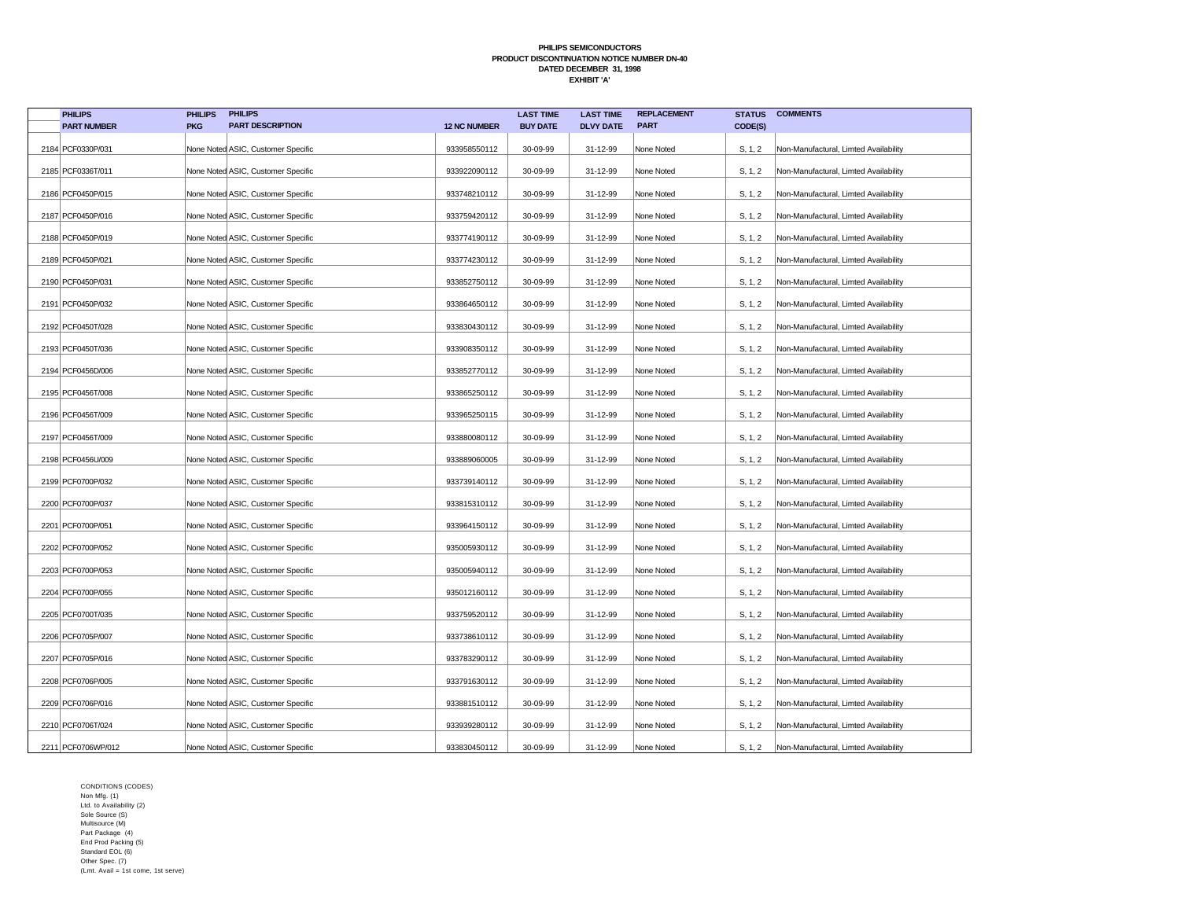| <b>PHILIPS</b>      | <b>PHILIPS</b> | <b>PHILIPS</b>                     |                     | <b>LAST TIME</b> | <b>LAST TIME</b> | <b>REPLACEMENT</b> | <b>STATUS</b> | <b>COMMENTS</b>                       |
|---------------------|----------------|------------------------------------|---------------------|------------------|------------------|--------------------|---------------|---------------------------------------|
| <b>PART NUMBER</b>  | <b>PKG</b>     | <b>PART DESCRIPTION</b>            | <b>12 NC NUMBER</b> | <b>BUY DATE</b>  | <b>DLVY DATE</b> | <b>PART</b>        | CODE(S)       |                                       |
| 2184 PCF0330P/031   |                | None Noted ASIC, Customer Specific | 933958550112        | 30-09-99         | 31-12-99         | None Noted         | S, 1, 2       | Non-Manufactural, Limted Availability |
| 2185 PCF0336T/011   |                | None Noted ASIC, Customer Specific | 933922090112        | 30-09-99         | 31-12-99         | None Noted         | S, 1, 2       | Non-Manufactural, Limted Availability |
| 2186 PCF0450P/015   |                | None Noted ASIC, Customer Specific | 933748210112        | 30-09-99         | 31-12-99         | None Noted         | S, 1, 2       | Non-Manufactural, Limted Availability |
| 2187 PCF0450P/016   |                | None Noted ASIC, Customer Specific | 933759420112        | 30-09-99         | 31-12-99         | None Noted         | S, 1, 2       | Non-Manufactural, Limted Availability |
| 2188 PCF0450P/019   |                | None Noted ASIC, Customer Specific | 933774190112        | 30-09-99         | 31-12-99         | None Noted         | S, 1, 2       | Non-Manufactural, Limted Availability |
| 2189 PCF0450P/021   |                | None Noted ASIC, Customer Specific | 933774230112        | 30-09-99         | 31-12-99         | None Noted         | S, 1, 2       | Non-Manufactural, Limted Availability |
| 2190 PCF0450P/031   |                | None Noted ASIC, Customer Specific | 933852750112        | 30-09-99         | 31-12-99         | None Noted         | S, 1, 2       | Non-Manufactural, Limted Availability |
| 2191   PCF0450P/032 |                | None Noted ASIC, Customer Specific | 933864650112        | 30-09-99         | 31-12-99         | None Noted         | S, 1, 2       | Non-Manufactural, Limted Availability |
| 2192 PCF0450T/028   |                | None Noted ASIC, Customer Specific | 933830430112        | 30-09-99         | 31-12-99         | None Noted         | S, 1, 2       | Non-Manufactural, Limted Availability |
| 2193 PCF0450T/036   |                | None Noted ASIC, Customer Specific | 933908350112        | 30-09-99         | 31-12-99         | None Noted         | S, 1, 2       | Non-Manufactural, Limted Availability |
| 2194 PCF0456D/006   |                | None Noted ASIC, Customer Specific | 933852770112        | 30-09-99         | 31-12-99         | None Noted         | S, 1, 2       | Non-Manufactural, Limted Availability |
| 2195 PCF0456T/008   |                | None Noted ASIC, Customer Specific | 933865250112        | 30-09-99         | 31-12-99         | None Noted         | S, 1, 2       | Non-Manufactural, Limted Availability |
| 2196 PCF0456T/009   |                | None Noted ASIC, Customer Specific | 933965250115        | 30-09-99         | 31-12-99         | None Noted         | S, 1, 2       | Non-Manufactural, Limted Availability |
| 2197 PCF0456T/009   |                | None Noted ASIC, Customer Specific | 933880080112        | 30-09-99         | 31-12-99         | None Noted         | S, 1, 2       | Non-Manufactural, Limted Availability |
| 2198   PCF0456U/009 |                | None Noted ASIC, Customer Specific | 933889060005        | 30-09-99         | 31-12-99         | None Noted         | S, 1, 2       | Non-Manufactural, Limted Availability |
| 2199 PCF0700P/032   |                | None Noted ASIC, Customer Specific | 933739140112        | 30-09-99         | 31-12-99         | None Noted         | S, 1, 2       | Non-Manufactural, Limted Availability |
| 2200 PCF0700P/037   |                | None Noted ASIC, Customer Specific | 933815310112        | 30-09-99         | 31-12-99         | None Noted         | S, 1, 2       | Non-Manufactural, Limted Availability |
| 2201 PCF0700P/051   |                | None Noted ASIC, Customer Specific | 933964150112        | 30-09-99         | 31-12-99         | None Noted         | S, 1, 2       | Non-Manufactural, Limted Availability |
| 2202   PCF0700P/052 |                | None Noted ASIC, Customer Specific | 935005930112        | 30-09-99         | 31-12-99         | None Noted         | S, 1, 2       | Non-Manufactural, Limted Availability |
| 2203 PCF0700P/053   |                | None Noted ASIC, Customer Specific | 935005940112        | 30-09-99         | 31-12-99         | None Noted         | S, 1, 2       | Non-Manufactural, Limted Availability |
| 2204 PCF0700P/055   |                | None Noted ASIC, Customer Specific | 935012160112        | 30-09-99         | 31-12-99         | None Noted         | S, 1, 2       | Non-Manufactural, Limted Availability |
| 2205   PCF0700T/035 |                | None Noted ASIC, Customer Specific | 933759520112        | 30-09-99         | 31-12-99         | None Noted         | S, 1, 2       | Non-Manufactural, Limted Availability |
| 2206 PCF0705P/007   |                | None Noted ASIC, Customer Specific | 933738610112        | 30-09-99         | 31-12-99         | None Noted         | S, 1, 2       | Non-Manufactural, Limted Availability |
| 2207 PCF0705P/016   |                | None Noted ASIC, Customer Specific | 933783290112        | 30-09-99         | 31-12-99         | None Noted         | S, 1, 2       | Non-Manufactural, Limted Availability |
| 2208 PCF0706P/005   |                | None Noted ASIC, Customer Specific | 933791630112        | 30-09-99         | 31-12-99         | None Noted         | S, 1, 2       | Non-Manufactural, Limted Availability |
| 2209 PCF0706P/016   |                | None Noted ASIC, Customer Specific | 933881510112        | 30-09-99         | 31-12-99         | None Noted         | S, 1, 2       | Non-Manufactural, Limted Availability |
| 2210 PCF0706T/024   |                | None Noted ASIC, Customer Specific | 933939280112        | 30-09-99         | 31-12-99         | None Noted         | S, 1, 2       | Non-Manufactural, Limted Availability |
| 2211 PCF0706WP/012  |                | None Noted ASIC, Customer Specific | 933830450112        | 30-09-99         | 31-12-99         | None Noted         | S, 1, 2       | Non-Manufactural, Limted Availability |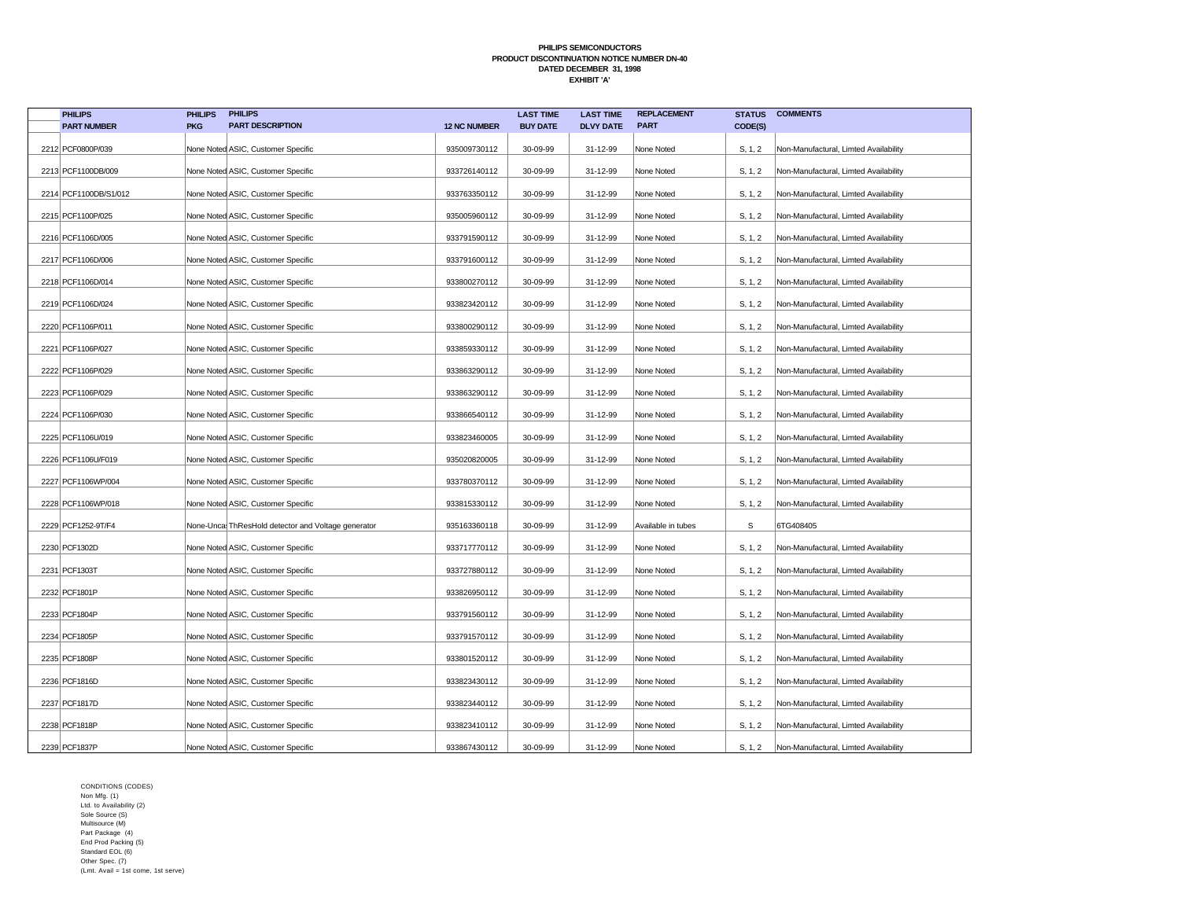| <b>PHILIPS</b>        | <b>PHILIPS</b> | <b>PHILIPS</b>                                     |                     | <b>LAST TIME</b> | <b>LAST TIME</b> | <b>REPLACEMENT</b> | <b>STATUS</b> | <b>COMMENTS</b>                       |
|-----------------------|----------------|----------------------------------------------------|---------------------|------------------|------------------|--------------------|---------------|---------------------------------------|
| <b>PART NUMBER</b>    | <b>PKG</b>     | <b>PART DESCRIPTION</b>                            | <b>12 NC NUMBER</b> | <b>BUY DATE</b>  | <b>DLVY DATE</b> | <b>PART</b>        | CODE(S)       |                                       |
| 2212 PCF0800P/039     |                | None Noted ASIC, Customer Specific                 | 935009730112        | 30-09-99         | 31-12-99         | None Noted         | S, 1, 2       | Non-Manufactural, Limted Availability |
| 2213 PCF1100DB/009    |                | None Noted ASIC, Customer Specific                 | 933726140112        | 30-09-99         | 31-12-99         | None Noted         | S, 1, 2       | Non-Manufactural, Limted Availability |
| 2214 PCF1100DB/S1/012 |                | None Noted ASIC, Customer Specific                 | 933763350112        | 30-09-99         | 31-12-99         | None Noted         | S, 1, 2       | Non-Manufactural, Limted Availability |
| 2215 PCF1100P/025     |                | None Noted ASIC, Customer Specific                 | 935005960112        | 30-09-99         | 31-12-99         | None Noted         | S, 1, 2       | Non-Manufactural, Limted Availability |
| 2216 PCF1106D/005     |                | None Noted ASIC, Customer Specific                 | 933791590112        | 30-09-99         | 31-12-99         | None Noted         | S, 1, 2       | Non-Manufactural, Limted Availability |
| 2217 PCF1106D/006     |                | None Noted ASIC, Customer Specific                 | 933791600112        | 30-09-99         | 31-12-99         | None Noted         | S, 1, 2       | Non-Manufactural, Limted Availability |
| 2218 PCF1106D/014     |                | None Noted ASIC, Customer Specific                 | 933800270112        | 30-09-99         | 31-12-99         | None Noted         | S, 1, 2       | Non-Manufactural, Limted Availability |
| 2219 PCF1106D/024     |                | None Noted ASIC, Customer Specific                 | 933823420112        | 30-09-99         | 31-12-99         | None Noted         | S, 1, 2       | Non-Manufactural, Limted Availability |
| 2220 PCF1106P/011     |                | None Noted ASIC, Customer Specific                 | 933800290112        | 30-09-99         | 31-12-99         | None Noted         | S, 1, 2       | Non-Manufactural, Limted Availability |
| 2221   PCF1106P/027   |                | None Noted ASIC, Customer Specific                 | 933859330112        | 30-09-99         | 31-12-99         | None Noted         | S, 1, 2       | Non-Manufactural, Limted Availability |
| 2222 PCF1106P/029     |                | None Noted ASIC, Customer Specific                 | 933863290112        | 30-09-99         | 31-12-99         | None Noted         | S, 1, 2       | Non-Manufactural, Limted Availability |
| 2223 PCF1106P/029     |                | None Noted ASIC, Customer Specific                 | 933863290112        | 30-09-99         | 31-12-99         | None Noted         | S, 1, 2       | Non-Manufactural, Limted Availability |
| 2224 PCF1106P/030     |                | None Noted ASIC, Customer Specific                 | 933866540112        | 30-09-99         | 31-12-99         | None Noted         | S, 1, 2       | Non-Manufactural, Limted Availability |
| 2225 PCF1106U/019     |                | None Noted ASIC, Customer Specific                 | 933823460005        | 30-09-99         | 31-12-99         | None Noted         | S, 1, 2       | Non-Manufactural, Limted Availability |
| 2226 PCF1106U/F019    |                | None Noted ASIC, Customer Specific                 | 935020820005        | 30-09-99         | 31-12-99         | None Noted         | S, 1, 2       | Non-Manufactural, Limted Availability |
| 2227 PCF1106WP/004    |                | None Noted ASIC, Customer Specific                 | 933780370112        | 30-09-99         | 31-12-99         | None Noted         | S, 1, 2       | Non-Manufactural, Limted Availability |
| 2228 PCF1106WP/018    |                | None Noted ASIC, Customer Specific                 | 933815330112        | 30-09-99         | 31-12-99         | None Noted         | S, 1, 2       | Non-Manufactural, Limted Availability |
| 2229 PCF1252-9T/F4    |                | None-Unca ThResHold detector and Voltage generator | 935163360118        | 30-09-99         | 31-12-99         | Available in tubes | S             | 6TG408405                             |
| 2230 PCF1302D         |                | None Noted ASIC, Customer Specific                 | 933717770112        | 30-09-99         | 31-12-99         | None Noted         | S, 1, 2       | Non-Manufactural, Limted Availability |
| 2231 PCF1303T         |                | None Noted ASIC, Customer Specific                 | 933727880112        | 30-09-99         | 31-12-99         | None Noted         | S, 1, 2       | Non-Manufactural, Limted Availability |
| 2232 PCF1801P         |                | None Noted ASIC, Customer Specific                 | 933826950112        | 30-09-99         | 31-12-99         | None Noted         | S, 1, 2       | Non-Manufactural, Limted Availability |
| 2233 PCF1804P         |                | None Noted ASIC, Customer Specific                 | 933791560112        | 30-09-99         | 31-12-99         | None Noted         | S, 1, 2       | Non-Manufactural, Limted Availability |
| 2234 PCF1805P         |                | None Noted ASIC, Customer Specific                 | 933791570112        | 30-09-99         | 31-12-99         | None Noted         | S, 1, 2       | Non-Manufactural, Limted Availability |
| 2235 PCF1808P         |                | None Noted ASIC, Customer Specific                 | 933801520112        | 30-09-99         | 31-12-99         | None Noted         | S, 1, 2       | Non-Manufactural, Limted Availability |
| 2236 PCF1816D         |                | None Noted ASIC, Customer Specific                 | 933823430112        | 30-09-99         | 31-12-99         | None Noted         | S, 1, 2       | Non-Manufactural, Limted Availability |
| 2237 PCF1817D         |                | None Noted ASIC, Customer Specific                 | 933823440112        | 30-09-99         | 31-12-99         | None Noted         | S, 1, 2       | Non-Manufactural, Limted Availability |
| 2238 PCF1818P         |                | None Noted ASIC, Customer Specific                 | 933823410112        | 30-09-99         | 31-12-99         | None Noted         | S, 1, 2       | Non-Manufactural, Limted Availability |
| 2239 PCF1837P         |                | None Noted ASIC, Customer Specific                 | 933867430112        | 30-09-99         | 31-12-99         | None Noted         | S, 1, 2       | Non-Manufactural, Limted Availability |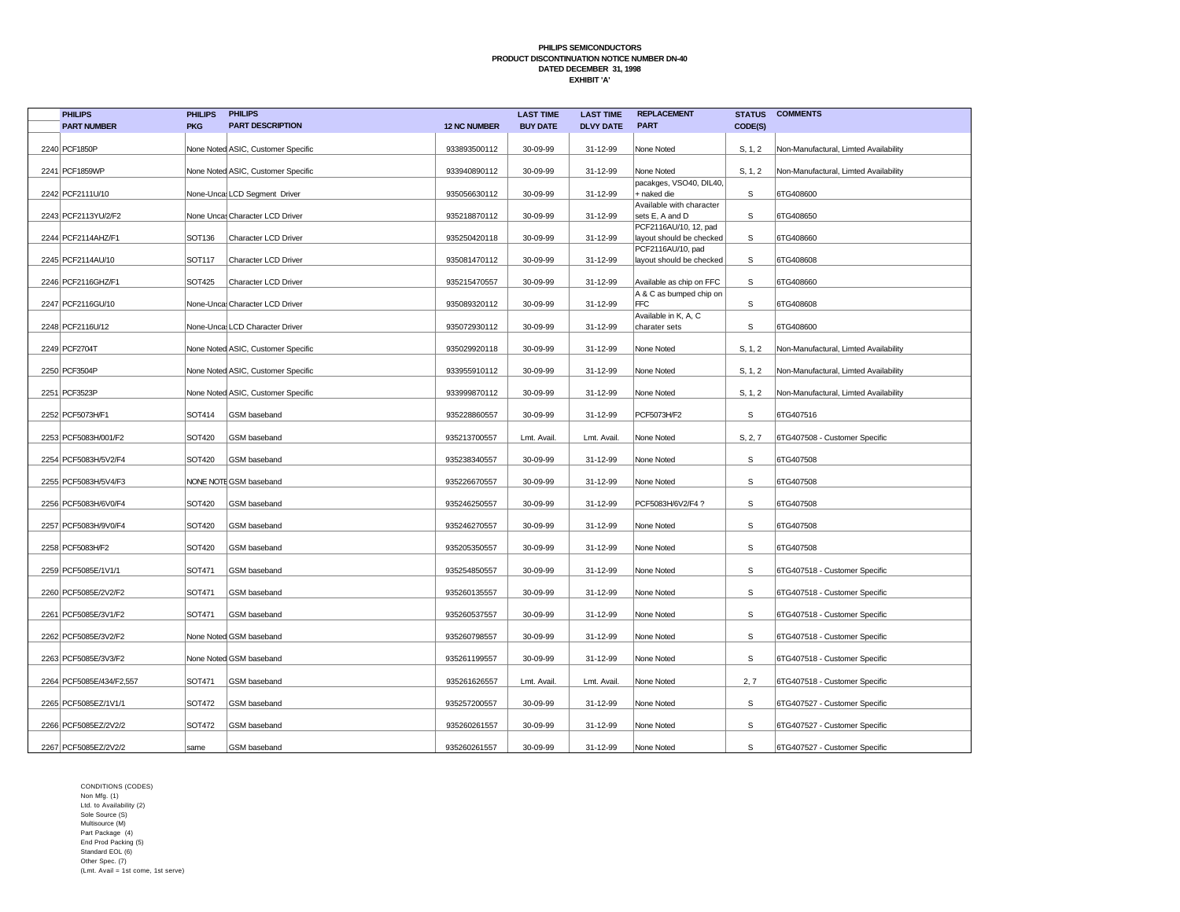| <b>PHILIPS</b>           | <b>PHILIPS</b> | <b>PHILIPS</b>                     |                     | <b>LAST TIME</b> | <b>LAST TIME</b> | <b>REPLACEMENT</b>                     | <b>STATUS</b> | <b>COMMENTS</b>                       |
|--------------------------|----------------|------------------------------------|---------------------|------------------|------------------|----------------------------------------|---------------|---------------------------------------|
| <b>PART NUMBER</b>       | <b>PKG</b>     | <b>PART DESCRIPTION</b>            | <b>12 NC NUMBER</b> | <b>BUY DATE</b>  | <b>DLVY DATE</b> | <b>PART</b>                            | CODE(S)       |                                       |
| 2240 PCF1850P            |                | None Noted ASIC, Customer Specific | 933893500112        | 30-09-99         | 31-12-99         | None Noted                             | S, 1, 2       | Non-Manufactural, Limted Availability |
|                          |                |                                    |                     |                  |                  |                                        |               |                                       |
| 2241 PCF1859WP           |                | None Noted ASIC, Customer Specific | 933940890112        | 30-09-99         | 31-12-99         | None Noted                             | S, 1, 2       | Non-Manufactural, Limted Availability |
| 2242 PCF2111U/10         |                | None-Unca LCD Segment Driver       | 935056630112        | 30-09-99         | 31-12-99         | pacakges, VSO40, DIL40,<br>+ naked die | S             | 6TG408600                             |
|                          |                |                                    |                     |                  |                  | Available with character               |               |                                       |
| 2243 PCF2113YU/2/F2      |                | None Unca Character LCD Driver     | 935218870112        | 30-09-99         | 31-12-99         | sets E, A and D                        | S             | 6TG408650                             |
|                          |                |                                    |                     |                  |                  | PCF2116AU/10, 12, pad                  |               |                                       |
| 2244 PCF2114AHZ/F1       | SOT136         | Character LCD Driver               | 935250420118        | 30-09-99         | 31-12-99         | layout should be checked               | S             | 6TG408660                             |
|                          |                |                                    |                     |                  |                  | PCF2116AU/10, pad                      |               |                                       |
| 2245 PCF2114AU/10        | SOT117         | Character LCD Driver               | 935081470112        | 30-09-99         | 31-12-99         | layout should be checked               | S             | 6TG408608                             |
| 2246 PCF2116GHZ/F1       | <b>SOT425</b>  | Character LCD Driver               | 935215470557        | 30-09-99         | 31-12-99         | Available as chip on FFC               | S             | 6TG408660                             |
|                          |                |                                    |                     |                  |                  | A & C as bumped chip on                |               |                                       |
| 2247 PCF2116GU/10        |                | None-Uncal Character LCD Driver    | 935089320112        | 30-09-99         | 31-12-99         | <b>FFC</b>                             | S             | 6TG408608                             |
|                          |                |                                    |                     |                  |                  | Available in K, A, C                   |               |                                       |
| 2248 PCF2116U/12         |                | None-Unca LCD Character Driver     | 935072930112        | 30-09-99         | 31-12-99         | charater sets                          | S             | 6TG408600                             |
| 2249 PCF2704T            |                | None Noted ASIC, Customer Specific | 935029920118        | 30-09-99         | 31-12-99         | None Noted                             | S, 1, 2       | Non-Manufactural, Limted Availability |
|                          |                |                                    |                     |                  |                  |                                        |               |                                       |
| 2250 PCF3504P            |                | None Noted ASIC, Customer Specific | 933955910112        | 30-09-99         | 31-12-99         | None Noted                             | S, 1, 2       | Non-Manufactural, Limted Availability |
| 2251 PCF3523P            |                | None Noted ASIC, Customer Specific | 933999870112        | 30-09-99         | 31-12-99         | None Noted                             | S, 1, 2       | Non-Manufactural, Limted Availability |
|                          |                |                                    |                     |                  |                  |                                        |               |                                       |
| 2252 PCF5073H/F1         | SOT414         | GSM baseband                       | 935228860557        | 30-09-99         | 31-12-99         | PCF5073H/F2                            | S             | 6TG407516                             |
| 2253 PCF5083H/001/F2     | <b>SOT420</b>  | GSM baseband                       | 935213700557        | Lmt. Avail       | Lmt. Avail.      | None Noted                             | S, 2, 7       | 6TG407508 - Customer Specific         |
|                          |                |                                    |                     |                  |                  |                                        |               |                                       |
| 2254 PCF5083H/5V2/F4     | SOT420         | GSM baseband                       | 935238340557        | 30-09-99         | 31-12-99         | None Noted                             | S             | 6TG407508                             |
| 2255 PCF5083H/5V4/F3     |                | NONE NOTE GSM baseband             | 935226670557        | 30-09-99         | 31-12-99         | None Noted                             | S             | 6TG407508                             |
|                          |                |                                    |                     |                  |                  |                                        |               |                                       |
| 2256 PCF5083H/6V0/F4     | <b>SOT420</b>  | GSM baseband                       | 935246250557        | 30-09-99         | 31-12-99         | PCF5083H/6V2/F4?                       | S             | 6TG407508                             |
| 2257 PCF5083H/9V0/F4     | <b>SOT420</b>  | GSM baseband                       | 935246270557        | 30-09-99         | 31-12-99         | None Noted                             | S             | 6TG407508                             |
|                          |                |                                    |                     |                  |                  |                                        |               |                                       |
| 2258 PCF5083H/F2         | <b>SOT420</b>  | GSM baseband                       | 935205350557        | 30-09-99         | 31-12-99         | None Noted                             | S             | 6TG407508                             |
| 2259 PCF5085E/1V1/1      | SOT471         | GSM baseband                       | 935254850557        | 30-09-99         | 31-12-99         | None Noted                             | S             | 6TG407518 - Customer Specific         |
|                          |                |                                    |                     |                  |                  |                                        |               |                                       |
| 2260 PCF5085E/2V2/F2     | SOT471         | GSM baseband                       | 935260135557        | 30-09-99         | 31-12-99         | None Noted                             | $\mathsf s$   | 6TG407518 - Customer Specific         |
| 2261 PCF5085E/3V1/F2     | SOT471         | GSM baseband                       | 935260537557        | 30-09-99         | 31-12-99         | None Noted                             | $\mathsf s$   | 6TG407518 - Customer Specific         |
|                          |                |                                    |                     |                  |                  |                                        |               |                                       |
| 2262 PCF5085E/3V2/F2     |                | None Noted GSM baseband            | 935260798557        | 30-09-99         | 31-12-99         | None Noted                             | S             | 6TG407518 - Customer Specific         |
| 2263 PCF5085E/3V3/F2     |                | None Noted GSM baseband            | 935261199557        | 30-09-99         | 31-12-99         | None Noted                             | S             | 6TG407518 - Customer Specific         |
| 2264 PCF5085E/434/F2,557 | SOT471         | GSM baseband                       | 935261626557        | Lmt. Avail       | Lmt. Avail.      | None Noted                             | 2, 7          | 6TG407518 - Customer Specific         |
|                          |                |                                    |                     |                  |                  |                                        |               |                                       |
| 2265 PCF5085EZ/1V1/1     | SOT472         | GSM baseband                       | 935257200557        | 30-09-99         | 31-12-99         | None Noted                             | $\mathbb S$   | 6TG407527 - Customer Specific         |
| 2266 PCF5085EZ/2V2/2     | SOT472         | GSM baseband                       | 935260261557        | 30-09-99         | 31-12-99         | None Noted                             | S             | 6TG407527 - Customer Specific         |
| 2267 PCF5085EZ/2V2/2     | same           | GSM baseband                       | 935260261557        | 30-09-99         | 31-12-99         | None Noted                             | S             | 6TG407527 - Customer Specific         |
|                          |                |                                    |                     |                  |                  |                                        |               |                                       |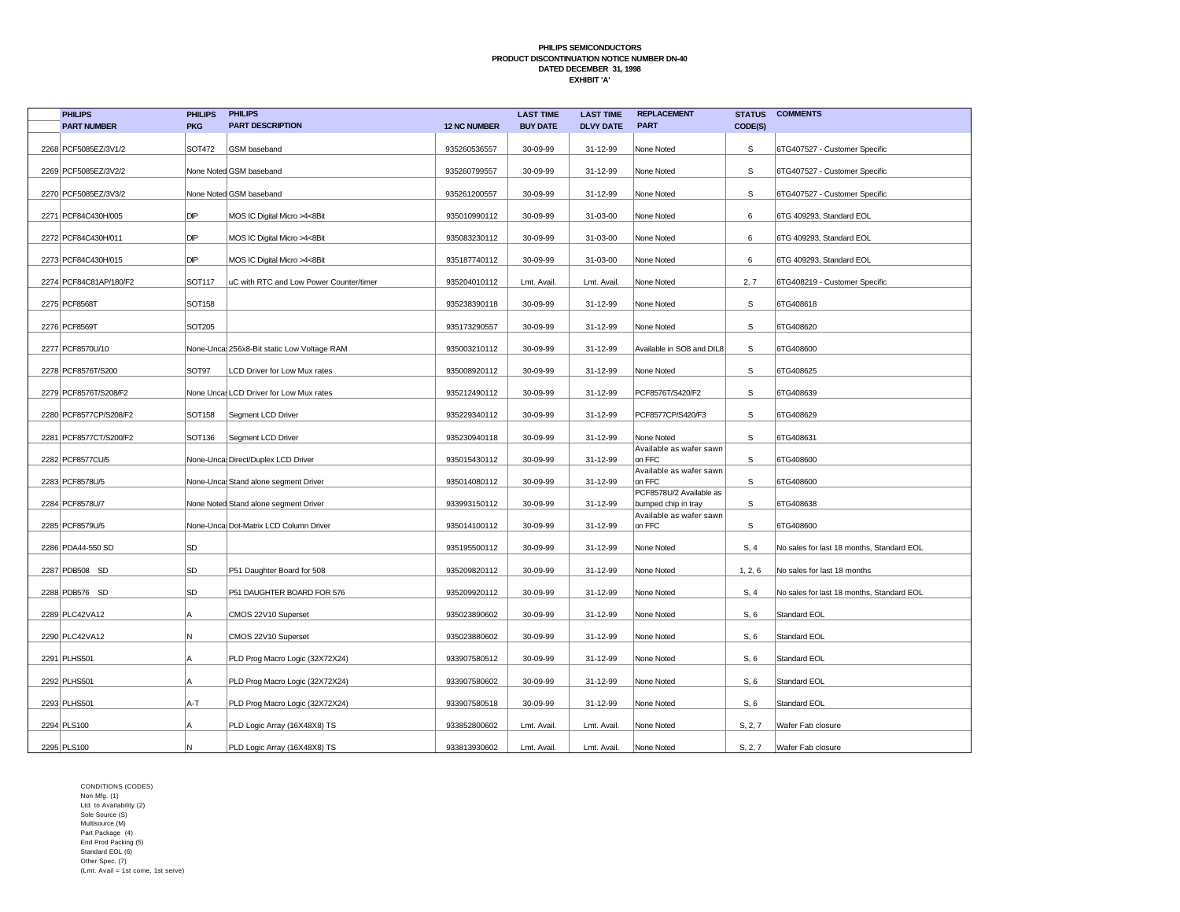| <b>PHILIPS</b>         | <b>PHILIPS</b> | <b>PHILIPS</b>                             |                     | <b>LAST TIME</b> | <b>LAST TIME</b> | <b>REPLACEMENT</b>                             | <b>STATUS</b> | <b>COMMENTS</b>                           |
|------------------------|----------------|--------------------------------------------|---------------------|------------------|------------------|------------------------------------------------|---------------|-------------------------------------------|
| <b>PART NUMBER</b>     | <b>PKG</b>     | <b>PART DESCRIPTION</b>                    | <b>12 NC NUMBER</b> | <b>BUY DATE</b>  | <b>DLVY DATE</b> | <b>PART</b>                                    | CODE(S)       |                                           |
| 2268 PCF5085EZ/3V1/2   | SOT472         | GSM baseband                               | 935260536557        | 30-09-99         | 31-12-99         | None Noted                                     | S             | 6TG407527 - Customer Specific             |
| 2269 PCF5085EZ/3V2/2   |                | None Noted GSM baseband                    | 935260799557        | 30-09-99         | 31-12-99         | None Noted                                     | S             | 6TG407527 - Customer Specific             |
| 2270 PCF5085EZ/3V3/2   |                | None Noted GSM baseband                    | 935261200557        | 30-09-99         | 31-12-99         | None Noted                                     | $\mathbb S$   | 6TG407527 - Customer Specific             |
| 2271 PCF84C430H/005    | DIP            | MOS IC Digital Micro >4<8Bit               | 935010990112        | 30-09-99         | 31-03-00         | None Noted                                     | 6             | 6TG 409293, Standard EOL                  |
| 2272 PCF84C430H/011    | DIP            | MOS IC Digital Micro >4<8Bit               | 935083230112        | 30-09-99         | 31-03-00         | None Noted                                     | 6             | 6TG 409293, Standard EOL                  |
| 2273 PCF84C430H/015    | DIP            | MOS IC Digital Micro >4<8Bit               | 935187740112        | 30-09-99         | 31-03-00         | None Noted                                     | 6             | 6TG 409293, Standard EOL                  |
| 2274 PCF84C81AP/180/F2 | SOT117         | uC with RTC and Low Power Counter/timer    | 935204010112        | Lmt. Avail.      | Lmt. Avail.      | None Noted                                     | 2, 7          | 6TG408219 - Customer Specific             |
| 2275 PCF8568T          | SOT158         |                                            | 935238390118        | 30-09-99         | 31-12-99         | None Noted                                     | S             | 6TG408618                                 |
| 2276 PCF8569T          | SOT205         |                                            | 935173290557        | 30-09-99         | 31-12-99         | None Noted                                     | S             | 6TG408620                                 |
| 2277 PCF8570U/10       |                | None-Unca 256x8-Bit static Low Voltage RAM | 935003210112        | 30-09-99         | 31-12-99         | Available in SO8 and DIL8                      | S             | 6TG408600                                 |
| 2278 PCF8576T/S200     | SOT97          | LCD Driver for Low Mux rates               | 935008920112        | 30-09-99         | 31-12-99         | None Noted                                     | S             | 6TG408625                                 |
| 2279 PCF8576T/S208/F2  |                | None Unca: LCD Driver for Low Mux rates    | 935212490112        | 30-09-99         | 31-12-99         | PCF8576T/S420/F2                               | S             | 6TG408639                                 |
| 2280 PCF8577CP/S208/F2 | <b>SOT158</b>  | Segment LCD Driver                         | 935229340112        | 30-09-99         | 31-12-99         | PCF8577CP/S420/F3                              | S             | 6TG408629                                 |
| 2281 PCF8577CT/S200/F2 | SOT136         | Segment LCD Driver                         | 935230940118        | 30-09-99         | 31-12-99         | None Noted                                     | S             | 6TG408631                                 |
| 2282 PCF8577CU/5       |                | None-Uncal Direct/Duplex LCD Driver        | 935015430112        | 30-09-99         | 31-12-99         | Available as wafer sawn<br>on FFC              | S             | 6TG408600                                 |
| 2283 PCF8578U/5        |                | None-Unca Stand alone segment Driver       | 935014080112        | 30-09-99         | 31-12-99         | Available as wafer sawn<br>on FFC              | S             | 6TG408600                                 |
| 2284 PCF8578U/7        |                | None Noted Stand alone segment Driver      | 933993150112        | 30-09-99         | 31-12-99         | PCF8578U/2 Available as<br>bumped chip in tray | S             | 6TG408638                                 |
| 2285 PCF8579U/5        |                | None-Unca Dot-Matrix LCD Column Driver     | 935014100112        | 30-09-99         | 31-12-99         | Available as wafer sawn<br>on FFC              | S             | 6TG408600                                 |
| 2286 PDA44-550 SD      | <b>SD</b>      |                                            | 935195500112        | 30-09-99         | 31-12-99         | None Noted                                     | S, 4          | No sales for last 18 months, Standard EOL |
| 2287 PDB508 SD         | <b>SD</b>      | P51 Daughter Board for 508                 | 935209820112        | 30-09-99         | 31-12-99         | None Noted                                     | 1, 2, 6       | No sales for last 18 months               |
| 2288 PDB576 SD         | <b>SD</b>      | P51 DAUGHTER BOARD FOR 576                 | 935209920112        | 30-09-99         | 31-12-99         | None Noted                                     | S, 4          | No sales for last 18 months, Standard EOL |
| 2289 PLC42VA12         | А              | CMOS 22V10 Superset                        | 935023890602        | 30-09-99         | 31-12-99         | None Noted                                     | S, 6          | Standard EOL                              |
| 2290 PLC42VA12         | Ν              | CMOS 22V10 Superset                        | 935023880602        | 30-09-99         | 31-12-99         | None Noted                                     | S, 6          | Standard EOL                              |
| 2291 PLHS501           | Α              | PLD Prog Macro Logic (32X72X24)            | 933907580512        | 30-09-99         | 31-12-99         | None Noted                                     | S, 6          | Standard EOL                              |
| 2292 PLHS501           | Α              | PLD Prog Macro Logic (32X72X24)            | 933907580602        | 30-09-99         | 31-12-99         | None Noted                                     | S, 6          | Standard EOL                              |
| 2293 PLHS501           | A-T            | PLD Prog Macro Logic (32X72X24)            | 933907580518        | 30-09-99         | 31-12-99         | None Noted                                     | S, 6          | Standard EOL                              |
| 2294 PLS100            | Α              | PLD Logic Array (16X48X8) TS               | 933852800602        | Lmt. Avail.      | Lmt. Avail.      | None Noted                                     | S, 2, 7       | Wafer Fab closure                         |
| 2295 PLS100            | lN.            | PLD Logic Array (16X48X8) TS               | 933813930602        | Lmt. Avail.      | Lmt. Avail.      | None Noted                                     | S, 2, 7       | Wafer Fab closure                         |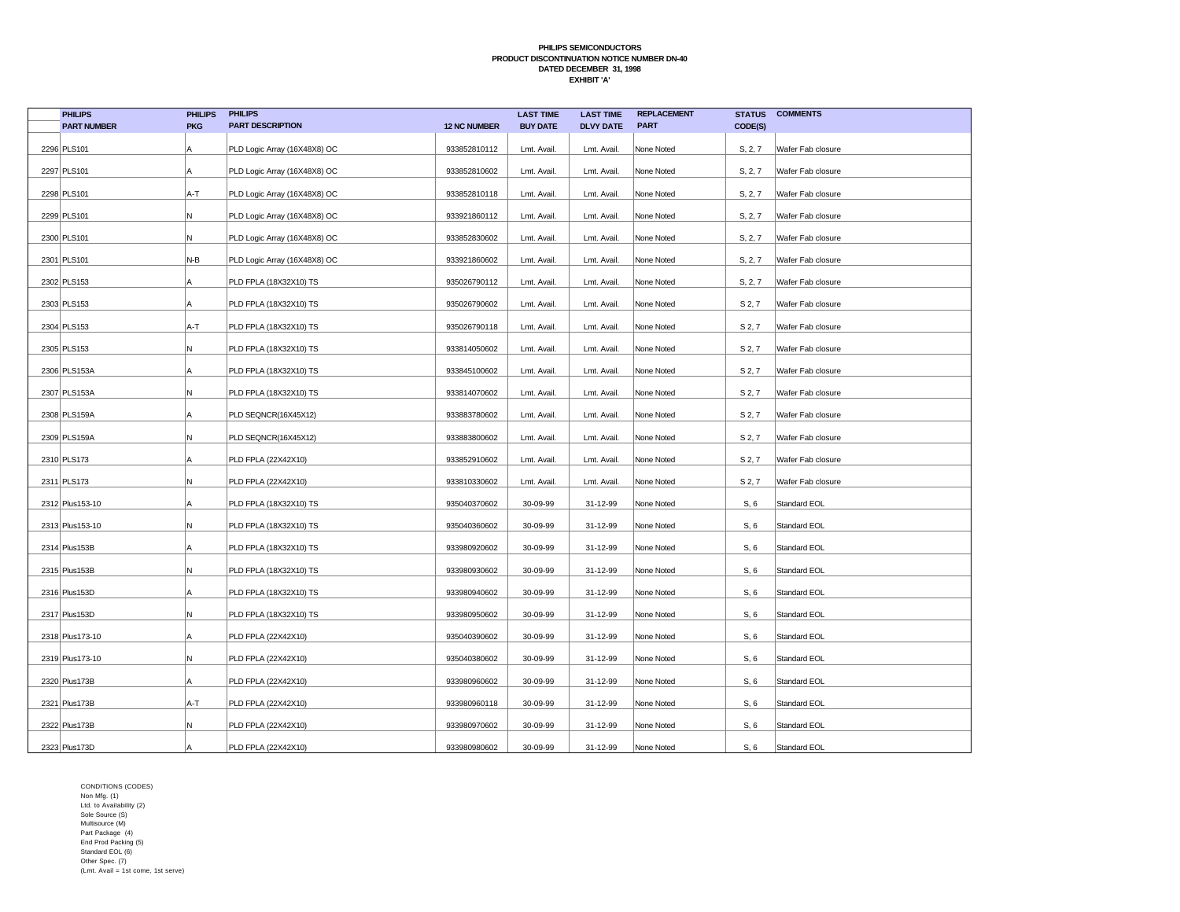| <b>PHILIPS</b>     | <b>PHILIPS</b> | <b>PHILIPS</b>               |                     | <b>LAST TIME</b> | <b>LAST TIME</b> | <b>REPLACEMENT</b> | <b>STATUS</b>      | <b>COMMENTS</b>   |
|--------------------|----------------|------------------------------|---------------------|------------------|------------------|--------------------|--------------------|-------------------|
| <b>PART NUMBER</b> | <b>PKG</b>     | <b>PART DESCRIPTION</b>      | <b>12 NC NUMBER</b> | <b>BUY DATE</b>  | <b>DLVY DATE</b> | <b>PART</b>        | CODE(S)            |                   |
| 2296 PLS101        | A              | PLD Logic Array (16X48X8) OC | 933852810112        | Lmt. Avail.      | Lmt. Avail.      | None Noted         | S, 2, 7            | Wafer Fab closure |
| 2297 PLS101        | A              | PLD Logic Array (16X48X8) OC | 933852810602        | Lmt. Avail.      | Lmt. Avail.      | None Noted         | S, 2, 7            | Wafer Fab closure |
| 2298 PLS101        | A-T            | PLD Logic Array (16X48X8) OC | 933852810118        | Lmt. Avail.      | Lmt. Avail.      | None Noted         | S, 2, 7            | Wafer Fab closure |
| 2299 PLS101        | N              | PLD Logic Array (16X48X8) OC | 933921860112        | Lmt. Avail.      | Lmt. Avail.      | None Noted         | S, 2, 7            | Wafer Fab closure |
| 2300 PLS101        | N              | PLD Logic Array (16X48X8) OC | 933852830602        | Lmt. Avail.      | Lmt. Avail.      | None Noted         | S, 2, 7            | Wafer Fab closure |
| 2301 PLS101        | N-B            | PLD Logic Array (16X48X8) OC | 933921860602        | Lmt. Avail.      | Lmt. Avail.      | None Noted         | S, 2, 7            | Wafer Fab closure |
| 2302 PLS153        | A              | PLD FPLA (18X32X10) TS       | 935026790112        | Lmt. Avail.      | Lmt. Avail.      | None Noted         | S, 2, 7            | Wafer Fab closure |
| 2303 PLS153        | Α              | PLD FPLA (18X32X10) TS       | 935026790602        | Lmt. Avail.      | Lmt. Avail.      | None Noted         | S 2, 7             | Wafer Fab closure |
| 2304 PLS153        | A-T            | PLD FPLA (18X32X10) TS       | 935026790118        | Lmt. Avail.      | Lmt. Avail.      | None Noted         | S 2, 7             | Wafer Fab closure |
| 2305 PLS153        | N              | PLD FPLA (18X32X10) TS       | 933814050602        | Lmt. Avail.      | Lmt. Avail.      | None Noted         | S 2, 7             | Wafer Fab closure |
| 2306 PLS153A       | Α              | PLD FPLA (18X32X10) TS       | 933845100602        | Lmt. Avail.      | Lmt. Avail.      | None Noted         | S 2, 7             | Wafer Fab closure |
| 2307 PLS153A       | N              | PLD FPLA (18X32X10) TS       | 933814070602        | Lmt. Avail.      | Lmt. Avail.      | None Noted         | S 2, 7             | Wafer Fab closure |
| 2308 PLS159A       | A              | PLD SEQNCR(16X45X12)         | 933883780602        | Lmt. Avail.      | Lmt. Avail.      | None Noted         | S <sub>2</sub> , 7 | Wafer Fab closure |
| 2309 PLS159A       | N              | PLD SEQNCR(16X45X12)         | 933883800602        | Lmt. Avail.      | Lmt. Avail.      | None Noted         | S <sub>2</sub> , 7 | Wafer Fab closure |
| 2310 PLS173        | A              | PLD FPLA (22X42X10)          | 933852910602        | Lmt. Avail.      | Lmt. Avail.      | None Noted         | S <sub>2</sub> , 7 | Wafer Fab closure |
| 2311 PLS173        | N              | PLD FPLA (22X42X10)          | 933810330602        | Lmt. Avail.      | Lmt. Avail.      | None Noted         | S <sub>2</sub> , 7 | Wafer Fab closure |
| 2312 Plus153-10    | l A            | PLD FPLA (18X32X10) TS       | 935040370602        | 30-09-99         | 31-12-99         | None Noted         | S, 6               | Standard EOL      |
| 2313 Plus153-10    | N              | PLD FPLA (18X32X10) TS       | 935040360602        | 30-09-99         | 31-12-99         | None Noted         | S, 6               | Standard EOL      |
| 2314 Plus153B      | Α              | PLD FPLA (18X32X10) TS       | 933980920602        | 30-09-99         | 31-12-99         | None Noted         | S, 6               | Standard EOL      |
| 2315 Plus153B      | N              | PLD FPLA (18X32X10) TS       | 933980930602        | 30-09-99         | 31-12-99         | None Noted         | S, 6               | Standard EOL      |
| 2316 Plus153D      | Α              | PLD FPLA (18X32X10) TS       | 933980940602        | 30-09-99         | 31-12-99         | None Noted         | S, 6               | Standard EOL      |
| 2317 Plus153D      | N              | PLD FPLA (18X32X10) TS       | 933980950602        | 30-09-99         | 31-12-99         | None Noted         | S, 6               | Standard EOL      |
| 2318 Plus173-10    | A              | PLD FPLA (22X42X10)          | 935040390602        | 30-09-99         | 31-12-99         | None Noted         | S, 6               | Standard EOL      |
| 2319 Plus173-10    | N              | PLD FPLA (22X42X10)          | 935040380602        | 30-09-99         | 31-12-99         | None Noted         | S, 6               | Standard EOL      |
| 2320 Plus173B      | A              | PLD FPLA (22X42X10)          | 933980960602        | 30-09-99         | 31-12-99         | None Noted         | S, 6               | Standard EOL      |
| 2321 Plus173B      | A-T            | PLD FPLA (22X42X10)          | 933980960118        | 30-09-99         | 31-12-99         | None Noted         | S, 6               | Standard EOL      |
| 2322 Plus173B      | N              | PLD FPLA (22X42X10)          | 933980970602        | 30-09-99         | 31-12-99         | None Noted         | S, 6               | Standard EOL      |
| 2323 Plus173D      |                | PLD FPLA (22X42X10)          | 933980980602        | 30-09-99         | 31-12-99         | None Noted         | S, 6               | Standard EOL      |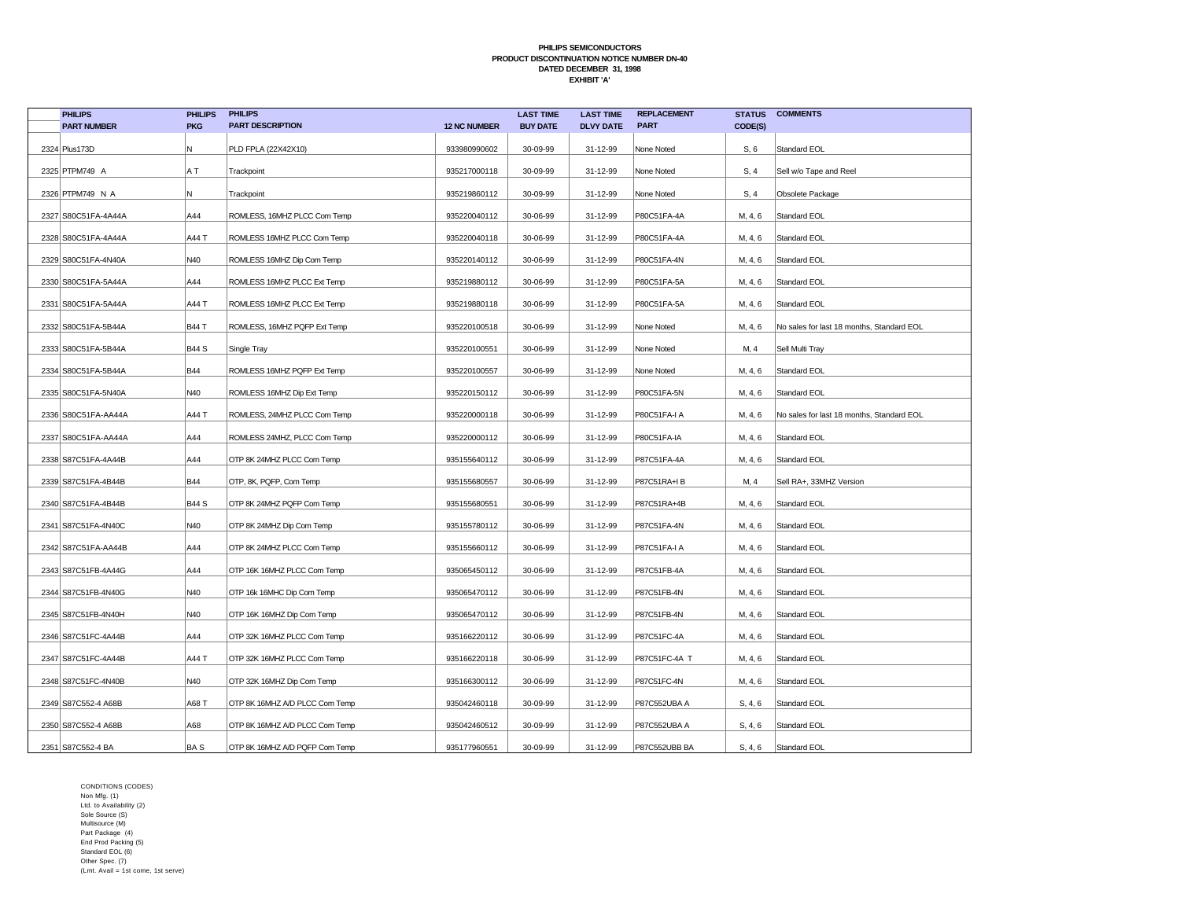| <b>PHILIPS</b>      | <b>PHILIPS</b> | <b>PHILIPS</b>                 |                     | <b>LAST TIME</b> | <b>LAST TIME</b> | <b>REPLACEMENT</b> | <b>STATUS</b> | <b>COMMENTS</b>                           |
|---------------------|----------------|--------------------------------|---------------------|------------------|------------------|--------------------|---------------|-------------------------------------------|
| <b>PART NUMBER</b>  | <b>PKG</b>     | <b>PART DESCRIPTION</b>        | <b>12 NC NUMBER</b> | <b>BUY DATE</b>  | <b>DLVY DATE</b> | <b>PART</b>        | CODE(S)       |                                           |
| 2324 Plus173D       | N              | PLD FPLA (22X42X10)            | 933980990602        | 30-09-99         | 31-12-99         | None Noted         | S, 6          | Standard EOL                              |
| 2325 PTPM749 A      | A T            | Trackpoint                     | 935217000118        | 30-09-99         | 31-12-99         | None Noted         | S, 4          | Sell w/o Tape and Reel                    |
| 2326 PTPM749 N A    | N              | Trackpoint                     | 935219860112        | 30-09-99         | 31-12-99         | None Noted         | S, 4          | Obsolete Package                          |
| 2327 S80C51FA-4A44A | A44            | ROMLESS, 16MHZ PLCC Com Temp   | 935220040112        | 30-06-99         | 31-12-99         | P80C51FA-4A        | M, 4, 6       | Standard EOL                              |
| 2328 S80C51FA-4A44A | A44 T          | ROMLESS 16MHZ PLCC Com Temp    | 935220040118        | 30-06-99         | 31-12-99         | P80C51FA-4A        | M, 4, 6       | Standard EOL                              |
| 2329 S80C51FA-4N40A | N40            | ROMLESS 16MHZ Dip Com Temp     | 935220140112        | 30-06-99         | 31-12-99         | P80C51FA-4N        | M, 4, 6       | Standard EOL                              |
| 2330 S80C51FA-5A44A | A44            | ROMLESS 16MHZ PLCC Ext Temp    | 935219880112        | 30-06-99         | 31-12-99         | P80C51FA-5A        | M, 4, 6       | Standard EOL                              |
| 2331 S80C51FA-5A44A | A44 T          | ROMLESS 16MHZ PLCC Ext Temp    | 935219880118        | 30-06-99         | 31-12-99         | P80C51FA-5A        | M, 4, 6       | Standard EOL                              |
| 2332 S80C51FA-5B44A | B44 T          | ROMLESS, 16MHZ PQFP Ext Temp   | 935220100518        | 30-06-99         | 31-12-99         | None Noted         | M, 4, 6       | No sales for last 18 months, Standard EOL |
| 2333 S80C51FA-5B44A | <b>B44 S</b>   | Single Tray                    | 935220100551        | 30-06-99         | 31-12-99         | None Noted         | M, 4          | Sell Multi Tray                           |
| 2334 S80C51FA-5B44A | <b>B44</b>     | ROMLESS 16MHZ PQFP Ext Temp    | 935220100557        | 30-06-99         | 31-12-99         | None Noted         | M, 4, 6       | Standard EOL                              |
| 2335 S80C51FA-5N40A | N40            | ROMLESS 16MHZ Dip Ext Temp     | 935220150112        | 30-06-99         | 31-12-99         | P80C51FA-5N        | M, 4, 6       | Standard EOL                              |
| 2336 S80C51FA-AA44A | A44 T          | ROMLESS, 24MHZ PLCC Com Temp   | 935220000118        | 30-06-99         | 31-12-99         | P80C51FA-I A       | M, 4, 6       | No sales for last 18 months, Standard EOL |
| 2337 S80C51FA-AA44A | A44            | ROMLESS 24MHZ, PLCC Com Temp   | 935220000112        | 30-06-99         | 31-12-99         | P80C51FA-IA        | M, 4, 6       | Standard EOL                              |
| 2338 S87C51FA-4A44B | A44            | OTP 8K 24MHZ PLCC Com Temp     | 935155640112        | 30-06-99         | 31-12-99         | P87C51FA-4A        | M, 4, 6       | Standard EOL                              |
| 2339 S87C51FA-4B44B | <b>B44</b>     | OTP, 8K, PQFP, Com Temp        | 935155680557        | 30-06-99         | 31-12-99         | P87C51RA+IB        | M, 4          | Sell RA+, 33MHZ Version                   |
| 2340 S87C51FA-4B44B | <b>B44 S</b>   | OTP 8K 24MHZ PQFP Com Temp     | 935155680551        | 30-06-99         | 31-12-99         | P87C51RA+4B        | M, 4, 6       | Standard EOL                              |
| 2341 S87C51FA-4N40C | N40            | OTP 8K 24MHZ Dip Com Temp      | 935155780112        | 30-06-99         | 31-12-99         | P87C51FA-4N        | M, 4, 6       | Standard EOL                              |
| 2342 S87C51FA-AA44B | A44            | OTP 8K 24MHZ PLCC Com Temp     | 935155660112        | 30-06-99         | 31-12-99         | P87C51FA-I A       | M, 4, 6       | Standard EOL                              |
| 2343 S87C51FB-4A44G | A44            | OTP 16K 16MHZ PLCC Com Temp    | 935065450112        | 30-06-99         | 31-12-99         | P87C51FB-4A        | M, 4, 6       | Standard EOL                              |
| 2344 S87C51FB-4N40G | N40            | OTP 16k 16MHC Dip Com Temp     | 935065470112        | 30-06-99         | 31-12-99         | P87C51FB-4N        | M, 4, 6       | Standard EOL                              |
| 2345 S87C51FB-4N40H | N40            | OTP 16K 16MHZ Dip Com Temp     | 935065470112        | 30-06-99         | 31-12-99         | P87C51FB-4N        | M, 4, 6       | Standard EOL                              |
| 2346 S87C51FC-4A44B | A44            | OTP 32K 16MHZ PLCC Com Temp    | 935166220112        | 30-06-99         | 31-12-99         | P87C51FC-4A        | M, 4, 6       | Standard EOL                              |
| 2347 S87C51FC-4A44B | A44 T          | OTP 32K 16MHZ PLCC Com Temp    | 935166220118        | 30-06-99         | 31-12-99         | P87C51FC-4A T      | M, 4, 6       | Standard EOL                              |
| 2348 S87C51FC-4N40B | N40            | OTP 32K 16MHZ Dip Com Temp     | 935166300112        | 30-06-99         | 31-12-99         | P87C51FC-4N        | M, 4, 6       | Standard EOL                              |
| 2349 S87C552-4 A68B | A68 T          | OTP 8K 16MHZ A/D PLCC Com Temp | 935042460118        | 30-09-99         | 31-12-99         | P87C552UBA A       | S, 4, 6       | Standard EOL                              |
| 2350 S87C552-4 A68B | A68            | OTP 8K 16MHZ A/D PLCC Com Temp | 935042460512        | 30-09-99         | 31-12-99         | P87C552UBA A       | S, 4, 6       | Standard EOL                              |
| 2351 S87C552-4 BA   | BA S           | OTP 8K 16MHZ A/D PQFP Com Temp | 935177960551        | 30-09-99         | 31-12-99         | P87C552UBB BA      | S, 4, 6       | Standard EOL                              |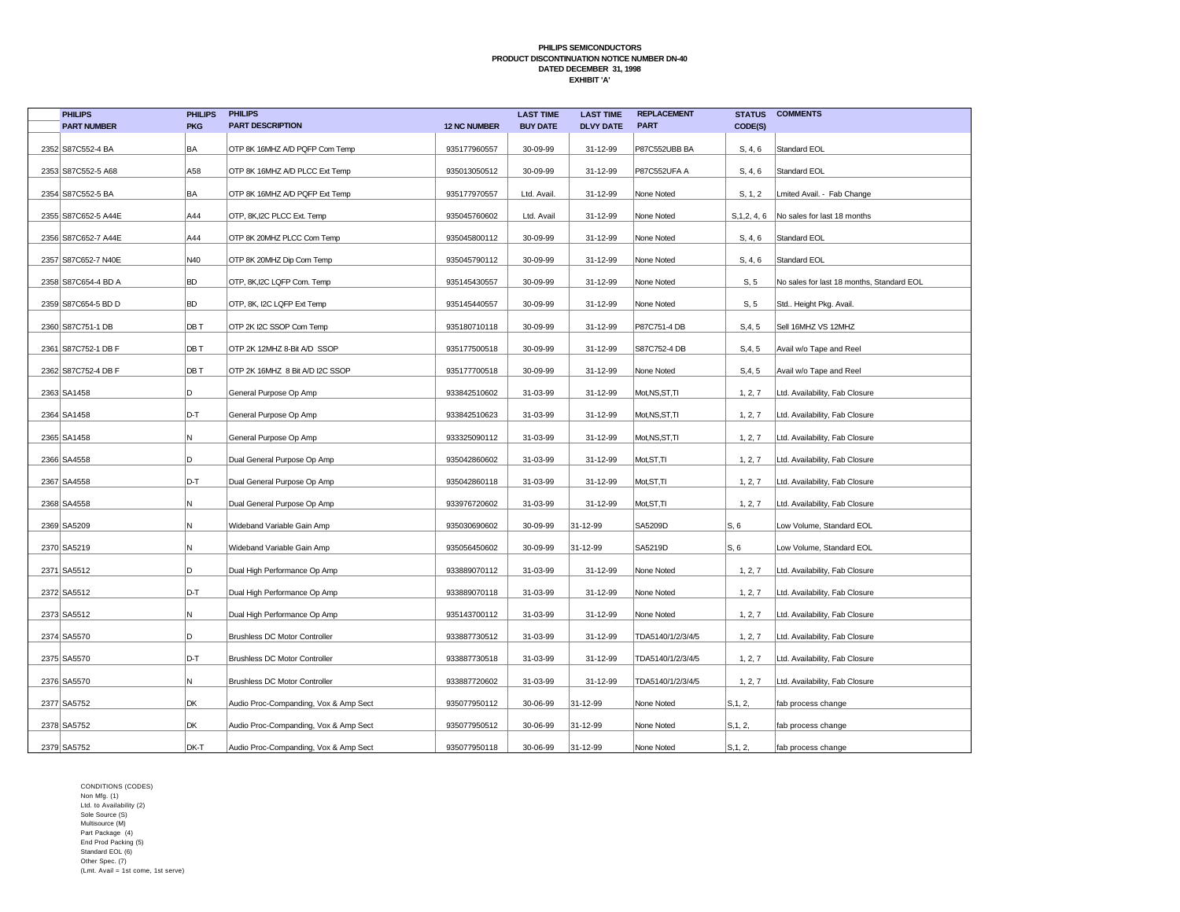| <b>PHILIPS</b>      | <b>PHILIPS</b> | <b>PHILIPS</b>                        |                     | <b>LAST TIME</b> | <b>LAST TIME</b> | <b>REPLACEMENT</b>  | <b>STATUS</b> | <b>COMMENTS</b>                           |
|---------------------|----------------|---------------------------------------|---------------------|------------------|------------------|---------------------|---------------|-------------------------------------------|
| <b>PART NUMBER</b>  | <b>PKG</b>     | <b>PART DESCRIPTION</b>               | <b>12 NC NUMBER</b> | <b>BUY DATE</b>  | <b>DLVY DATE</b> | <b>PART</b>         | CODE(S)       |                                           |
| 2352 S87C552-4 BA   | BA             | OTP 8K 16MHZ A/D PQFP Com Temp        | 935177960557        | 30-09-99         | 31-12-99         | P87C552UBB BA       | S, 4, 6       | Standard EOL                              |
| 2353 S87C552-5 A68  | A58            | OTP 8K 16MHZ A/D PLCC Ext Temp        | 935013050512        | 30-09-99         | 31-12-99         | <b>P87C552UFA A</b> | S, 4, 6       | Standard EOL                              |
| 2354 S87C552-5 BA   | BA             | OTP 8K 16MHZ A/D PQFP Ext Temp        | 935177970557        | Ltd. Avail.      | 31-12-99         | None Noted          | S, 1, 2       | Lmited Avail. - Fab Change                |
| 2355 S87C652-5 A44E | A44            | OTP, 8K, I2C PLCC Ext. Temp           | 935045760602        | Ltd. Avail       | 31-12-99         | None Noted          | S, 1, 2, 4, 6 | No sales for last 18 months               |
| 2356 S87C652-7 A44E | A44            | OTP 8K 20MHZ PLCC Com Temp            | 935045800112        | 30-09-99         | 31-12-99         | None Noted          | S, 4, 6       | Standard EOL                              |
| 2357 S87C652-7 N40E | N40            | OTP 8K 20MHZ Dip Com Temp             | 935045790112        | 30-09-99         | 31-12-99         | None Noted          | S, 4, 6       | Standard EOL                              |
| 2358 S87C654-4 BD A | BD             | OTP, 8K, I2C LQFP Com. Temp           | 935145430557        | 30-09-99         | 31-12-99         | None Noted          | S, 5          | No sales for last 18 months, Standard EOL |
| 2359 S87C654-5 BD D | <b>BD</b>      | OTP, 8K, I2C LQFP Ext Temp            | 935145440557        | 30-09-99         | 31-12-99         | None Noted          | S, 5          | Std Height Pkg. Avail.                    |
| 2360 S87C751-1 DB   | DB T           | OTP 2K I2C SSOP Com Temp              | 935180710118        | 30-09-99         | 31-12-99         | P87C751-4 DB        | S, 4, 5       | Sell 16MHZ VS 12MHZ                       |
| 2361 S87C752-1 DB F | DB T           | OTP 2K 12MHZ 8-Bit A/D SSOP           | 935177500518        | 30-09-99         | 31-12-99         | S87C752-4 DB        | S, 4, 5       | Avail w/o Tape and Reel                   |
| 2362 S87C752-4 DB F | DB T           | OTP 2K 16MHZ 8 Bit A/D I2C SSOP       | 935177700518        | 30-09-99         | 31-12-99         | None Noted          | S, 4, 5       | Avail w/o Tape and Reel                   |
| 2363 SA1458         | D              | General Purpose Op Amp                | 933842510602        | 31-03-99         | 31-12-99         | Mot, NS, ST, TI     | 1, 2, 7       | Ltd. Availability, Fab Closure            |
| 2364 SA1458         | D-T            | General Purpose Op Amp                | 933842510623        | 31-03-99         | 31-12-99         | Mot, NS, ST, TI     | 1, 2, 7       | Ltd. Availability, Fab Closure            |
| 2365 SA1458         | N              | General Purpose Op Amp                | 933325090112        | 31-03-99         | 31-12-99         | Mot, NS, ST, TI     | 1, 2, 7       | Ltd. Availability, Fab Closure            |
| 2366 SA4558         | D              | Dual General Purpose Op Amp           | 935042860602        | 31-03-99         | 31-12-99         | Mot, ST, TI         | 1, 2, 7       | Ltd. Availability, Fab Closure            |
| 2367 SA4558         | D-T            | Dual General Purpose Op Amp           | 935042860118        | 31-03-99         | 31-12-99         | Mot, ST, TI         | 1, 2, 7       | Ltd. Availability, Fab Closure            |
| 2368 SA4558         | N              | Dual General Purpose Op Amp           | 933976720602        | 31-03-99         | 31-12-99         | Mot, ST, TI         | 1, 2, 7       | Ltd. Availability, Fab Closure            |
| 2369 SA5209         | N              | Wideband Variable Gain Amp            | 935030690602        | 30-09-99         | 31-12-99         | SA5209D             | S, 6          | Low Volume, Standard EOL                  |
| 2370 SA5219         | N              | Wideband Variable Gain Amp            | 935056450602        | 30-09-99         | 31-12-99         | SA5219D             | S, 6          | Low Volume, Standard EOL                  |
| 2371 SA5512         | D              | Dual High Performance Op Amp          | 933889070112        | 31-03-99         | 31-12-99         | None Noted          | 1, 2, 7       | Ltd. Availability, Fab Closure            |
| 2372 SA5512         | D-T            | Dual High Performance Op Amp          | 933889070118        | 31-03-99         | 31-12-99         | None Noted          | 1, 2, 7       | Ltd. Availability, Fab Closure            |
| 2373 SA5512         | N              | Dual High Performance Op Amp          | 935143700112        | 31-03-99         | 31-12-99         | None Noted          | 1, 2, 7       | Ltd. Availability, Fab Closure            |
| 2374 SA5570         | D              | <b>Brushless DC Motor Controller</b>  | 933887730512        | 31-03-99         | 31-12-99         | TDA5140/1/2/3/4/5   | 1, 2, 7       | Ltd. Availability, Fab Closure            |
| 2375 SA5570         | D-T            | Brushless DC Motor Controller         | 933887730518        | 31-03-99         | 31-12-99         | TDA5140/1/2/3/4/5   | 1, 2, 7       | Ltd. Availability, Fab Closure            |
| 2376 SA5570         | N              | <b>Brushless DC Motor Controller</b>  | 933887720602        | 31-03-99         | 31-12-99         | TDA5140/1/2/3/4/5   | 1, 2, 7       | Ltd. Availability, Fab Closure            |
| 2377 SA5752         | DK             | Audio Proc-Companding, Vox & Amp Sect | 935077950112        | 30-06-99         | 31-12-99         | None Noted          | S, 1, 2,      | fab process change                        |
| 2378 SA5752         | DK             | Audio Proc-Companding, Vox & Amp Sect | 935077950512        | 30-06-99         | 31-12-99         | None Noted          | S, 1, 2,      | fab process change                        |
| 2379 SA5752         | DK-T           | Audio Proc-Companding, Vox & Amp Sect | 935077950118        | 30-06-99         | 31-12-99         | None Noted          | S, 1, 2,      | fab process change                        |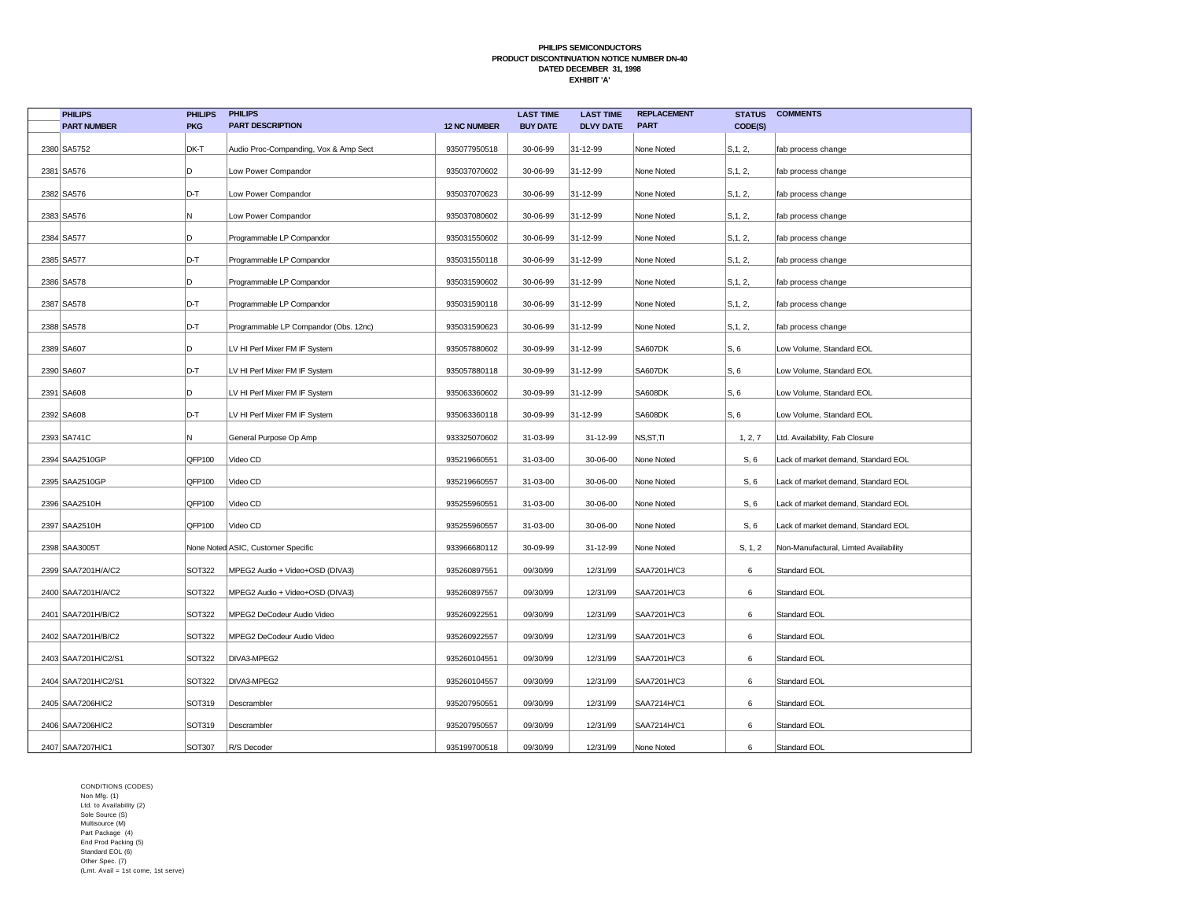| <b>PHILIPS</b>      | <b>PHILIPS</b> | <b>PHILIPS</b>                        |                     | <b>LAST TIME</b> | <b>LAST TIME</b> | <b>REPLACEMENT</b> | <b>STATUS</b> | <b>COMMENTS</b>                       |
|---------------------|----------------|---------------------------------------|---------------------|------------------|------------------|--------------------|---------------|---------------------------------------|
| <b>PART NUMBER</b>  | <b>PKG</b>     | <b>PART DESCRIPTION</b>               | <b>12 NC NUMBER</b> | <b>BUY DATE</b>  | <b>DLVY DATE</b> | <b>PART</b>        | CODE(S)       |                                       |
| 2380 SA5752         | DK-T           | Audio Proc-Companding, Vox & Amp Sect | 935077950518        | 30-06-99         | 31-12-99         | None Noted         | S, 1, 2,      | fab process change                    |
| 2381 SA576          | D              | Low Power Compandor                   | 935037070602        | 30-06-99         | 31-12-99         | None Noted         | S, 1, 2,      | fab process change                    |
| 2382 SA576          | D-T            | Low Power Compandor                   | 935037070623        | 30-06-99         | 31-12-99         | None Noted         | S, 1, 2,      | fab process change                    |
| 2383 SA576          | N              | Low Power Compandor                   | 935037080602        | 30-06-99         | 31-12-99         | None Noted         | S, 1, 2,      | fab process change                    |
| 2384 SA577          | D              | Programmable LP Compandor             | 935031550602        | 30-06-99         | 31-12-99         | None Noted         | S, 1, 2,      | fab process change                    |
| 2385 SA577          | D-T            | Programmable LP Compandor             | 935031550118        | 30-06-99         | 31-12-99         | None Noted         | S, 1, 2,      | fab process change                    |
| 2386 SA578          | D              | Programmable LP Compandor             | 935031590602        | 30-06-99         | 31-12-99         | None Noted         | S, 1, 2,      | fab process change                    |
| 2387 SA578          | D-T            | Programmable LP Compandor             | 935031590118        | 30-06-99         | 31-12-99         | None Noted         | S, 1, 2,      | fab process change                    |
| 2388 SA578          | D-T            | Programmable LP Compandor (Obs. 12nc) | 935031590623        | 30-06-99         | 31-12-99         | None Noted         | S, 1, 2,      | fab process change                    |
| 2389 SA607          | D              | LV HI Perf Mixer FM IF System         | 935057880602        | 30-09-99         | 31-12-99         | SA607DK            | S, 6          | Low Volume, Standard EOL              |
| 2390 SA607          | D-T            | LV HI Perf Mixer FM IF System         | 935057880118        | 30-09-99         | 31-12-99         | SA607DK            | S, 6          | Low Volume, Standard EOL              |
| 2391 SA608          | D              | LV HI Perf Mixer FM IF System         | 935063360602        | 30-09-99         | 31-12-99         | SA608DK            | S, 6          | Low Volume, Standard EOL              |
| 2392 SA608          | D-T            | LV HI Perf Mixer FM IF System         | 935063360118        | 30-09-99         | 31-12-99         | SA608DK            | S, 6          | Low Volume, Standard EOL              |
| 2393 SA741C         | N              | General Purpose Op Amp                | 933325070602        | 31-03-99         | 31-12-99         | NS, ST, TI         | 1, 2, 7       | Ltd. Availability, Fab Closure        |
| 2394 SAA2510GP      | QFP100         | Video CD                              | 935219660551        | 31-03-00         | 30-06-00         | None Noted         | S, 6          | Lack of market demand, Standard EOL   |
| 2395 SAA2510GP      | QFP100         | Video CD                              | 935219660557        | 31-03-00         | 30-06-00         | None Noted         | S, 6          | Lack of market demand, Standard EOL   |
| 2396 SAA2510H       | QFP100         | Video CD                              | 935255960551        | 31-03-00         | 30-06-00         | None Noted         | S, 6          | Lack of market demand, Standard EOL   |
| 2397 SAA2510H       | QFP100         | Video CD                              | 935255960557        | 31-03-00         | 30-06-00         | None Noted         | S, 6          | Lack of market demand, Standard EOL   |
| 2398 SAA3005T       |                | None Noted ASIC, Customer Specific    | 933966680112        | 30-09-99         | 31-12-99         | None Noted         | S, 1, 2       | Non-Manufactural, Limted Availability |
| 2399 SAA7201H/A/C2  | SOT322         | MPEG2 Audio + Video+OSD (DIVA3)       | 935260897551        | 09/30/99         | 12/31/99         | SAA7201H/C3        | 6             | Standard EOL                          |
| 2400 SAA7201H/A/C2  | SOT322         | MPEG2 Audio + Video+OSD (DIVA3)       | 935260897557        | 09/30/99         | 12/31/99         | SAA7201H/C3        | 6             | Standard EOL                          |
| 2401 SAA7201H/B/C2  | <b>SOT322</b>  | MPEG2 DeCodeur Audio Video            | 935260922551        | 09/30/99         | 12/31/99         | SAA7201H/C3        | 6             | Standard EOL                          |
| 2402 SAA7201H/B/C2  | SOT322         | MPEG2 DeCodeur Audio Video            | 935260922557        | 09/30/99         | 12/31/99         | SAA7201H/C3        | 6             | Standard EOL                          |
| 2403 SAA7201H/C2/S1 | SOT322         | DIVA3-MPEG2                           | 935260104551        | 09/30/99         | 12/31/99         | SAA7201H/C3        | 6             | Standard EOL                          |
| 2404 SAA7201H/C2/S1 | SOT322         | DIVA3-MPEG2                           | 935260104557        | 09/30/99         | 12/31/99         | SAA7201H/C3        | 6             | Standard EOL                          |
| 2405 SAA7206H/C2    | SOT319         | Descrambler                           | 935207950551        | 09/30/99         | 12/31/99         | SAA7214H/C1        | 6             | Standard EOL                          |
| 2406 SAA7206H/C2    | SOT319         | Descrambler                           | 935207950557        | 09/30/99         | 12/31/99         | SAA7214H/C1        | 6             | Standard EOL                          |
| 2407 SAA7207H/C1    | SOT307         | R/S Decoder                           | 935199700518        | 09/30/99         | 12/31/99         | None Noted         | 6             | Standard EOL                          |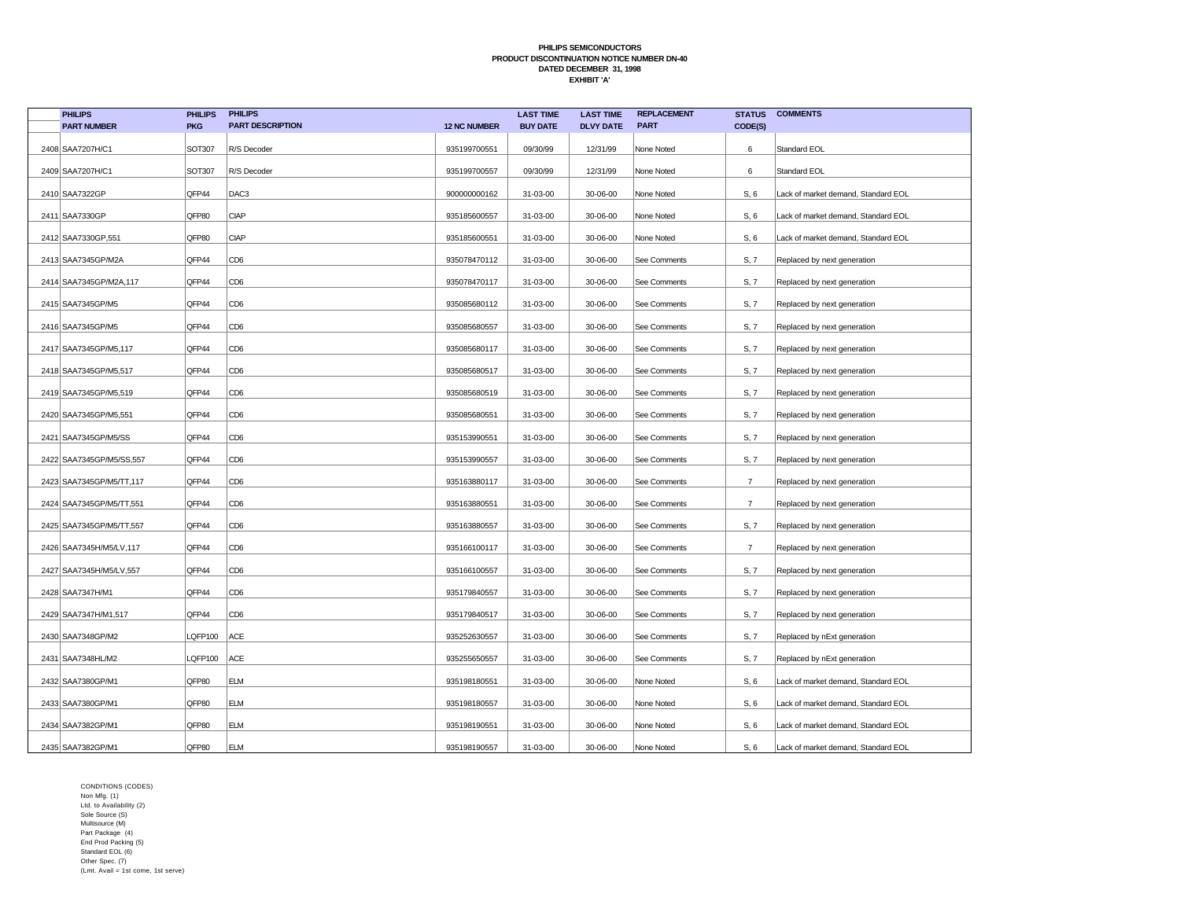| <b>PHILIPS</b>           | <b>PHILIPS</b> | <b>PHILIPS</b>          |                     | <b>LAST TIME</b> | <b>LAST TIME</b> | <b>REPLACEMENT</b> | <b>STATUS</b>  | <b>COMMENTS</b>                     |
|--------------------------|----------------|-------------------------|---------------------|------------------|------------------|--------------------|----------------|-------------------------------------|
| <b>PART NUMBER</b>       | <b>PKG</b>     | <b>PART DESCRIPTION</b> | <b>12 NC NUMBER</b> | <b>BUY DATE</b>  | <b>DLVY DATE</b> | <b>PART</b>        | CODE(S)        |                                     |
| 2408 SAA7207H/C1         | SOT307         | R/S Decoder             | 935199700551        | 09/30/99         | 12/31/99         | None Noted         | 6              | Standard EOL                        |
| 2409 SAA7207H/C1         | <b>SOT307</b>  | R/S Decoder             | 935199700557        | 09/30/99         | 12/31/99         | None Noted         | 6              | Standard EOL                        |
| 2410 SAA7322GP           | QFP44          | DAC <sub>3</sub>        | 900000000162        | 31-03-00         | 30-06-00         | None Noted         | S, 6           | Lack of market demand, Standard EOL |
| 2411 SAA7330GP           | QFP80          | <b>CIAP</b>             | 935185600557        | 31-03-00         | 30-06-00         | None Noted         | S, 6           | Lack of market demand, Standard EOL |
| 2412 SAA7330GP,551       | QFP80          | <b>CIAP</b>             | 935185600551        | 31-03-00         | 30-06-00         | None Noted         | S, 6           | Lack of market demand, Standard EOL |
| 2413 SAA7345GP/M2A       | QFP44          | CD <sub>6</sub>         | 935078470112        | 31-03-00         | 30-06-00         | See Comments       | S, 7           | Replaced by next generation         |
| 2414 SAA7345GP/M2A, 117  | QFP44          | CD <sub>6</sub>         | 935078470117        | 31-03-00         | 30-06-00         | See Comments       | S, 7           | Replaced by next generation         |
| 2415 SAA7345GP/M5        | QFP44          | CD <sub>6</sub>         | 935085680112        | 31-03-00         | 30-06-00         | See Comments       | S, 7           | Replaced by next generation         |
| 2416 SAA7345GP/M5        | QFP44          | CD <sub>6</sub>         | 935085680557        | 31-03-00         | 30-06-00         | See Comments       | S, 7           | Replaced by next generation         |
| 2417 SAA7345GP/M5,117    | QFP44          | CD <sub>6</sub>         | 935085680117        | 31-03-00         | 30-06-00         | See Comments       | S, 7           | Replaced by next generation         |
| 2418 SAA7345GP/M5,517    | QFP44          | CD <sub>6</sub>         | 935085680517        | 31-03-00         | 30-06-00         | See Comments       | S, 7           | Replaced by next generation         |
| 2419 SAA7345GP/M5,519    | QFP44          | CD <sub>6</sub>         | 935085680519        | 31-03-00         | 30-06-00         | See Comments       | S, 7           | Replaced by next generation         |
| 2420 SAA7345GP/M5,551    | QFP44          | CD <sub>6</sub>         | 935085680551        | 31-03-00         | 30-06-00         | See Comments       | S, 7           | Replaced by next generation         |
| 2421   SAA7345GP/M5/SS   | QFP44          | CD <sub>6</sub>         | 935153990551        | 31-03-00         | 30-06-00         | See Comments       | S, 7           | Replaced by next generation         |
| 2422 SAA7345GP/M5/SS,557 | QFP44          | CD <sub>6</sub>         | 935153990557        | 31-03-00         | 30-06-00         | See Comments       | S, 7           | Replaced by next generation         |
| 2423 SAA7345GP/M5/TT,117 | QFP44          | CD <sub>6</sub>         | 935163880117        | 31-03-00         | 30-06-00         | See Comments       | $\overline{7}$ | Replaced by next generation         |
| 2424 SAA7345GP/M5/TT,551 | QFP44          | CD <sub>6</sub>         | 935163880551        | 31-03-00         | 30-06-00         | See Comments       | $\overline{7}$ | Replaced by next generation         |
| 2425 SAA7345GP/M5/TT,557 | QFP44          | CD <sub>6</sub>         | 935163880557        | 31-03-00         | 30-06-00         | See Comments       | S, 7           | Replaced by next generation         |
| 2426 SAA7345H/M5/LV,117  | QFP44          | CD <sub>6</sub>         | 935166100117        | 31-03-00         | 30-06-00         | See Comments       | $\overline{7}$ | Replaced by next generation         |
| 2427 SAA7345H/M5/LV,557  | QFP44          | CD <sub>6</sub>         | 935166100557        | 31-03-00         | 30-06-00         | See Comments       | S, 7           | Replaced by next generation         |
| 2428 SAA7347H/M1         | QFP44          | CD <sub>6</sub>         | 935179840557        | 31-03-00         | 30-06-00         | See Comments       | S, 7           | Replaced by next generation         |
| 2429 SAA7347H/M1,517     | QFP44          | CD <sub>6</sub>         | 935179840517        | 31-03-00         | 30-06-00         | See Comments       | S, 7           | Replaced by next generation         |
| 2430 SAA7348GP/M2        | LQFP100        | ACE                     | 935252630557        | 31-03-00         | 30-06-00         | See Comments       | S, 7           | Replaced by nExt generation         |
| 2431 SAA7348HL/M2        | LQFP100        | ACE                     | 935255650557        | 31-03-00         | 30-06-00         | See Comments       | S, 7           | Replaced by nExt generation         |
| 2432 SAA7380GP/M1        | QFP80          | <b>ELM</b>              | 935198180551        | 31-03-00         | 30-06-00         | None Noted         | S, 6           | Lack of market demand, Standard EOL |
| 2433 SAA7380GP/M1        | QFP80          | <b>ELM</b>              | 935198180557        | 31-03-00         | 30-06-00         | None Noted         | S, 6           | Lack of market demand, Standard EOL |
| 2434 SAA7382GP/M1        | QFP80          | <b>ELM</b>              | 935198190551        | 31-03-00         | 30-06-00         | None Noted         | S, 6           | Lack of market demand, Standard EOL |
| 2435 SAA7382GP/M1        | QFP80          | ELM                     | 935198190557        | 31-03-00         | 30-06-00         | None Noted         | S, 6           | Lack of market demand, Standard EOL |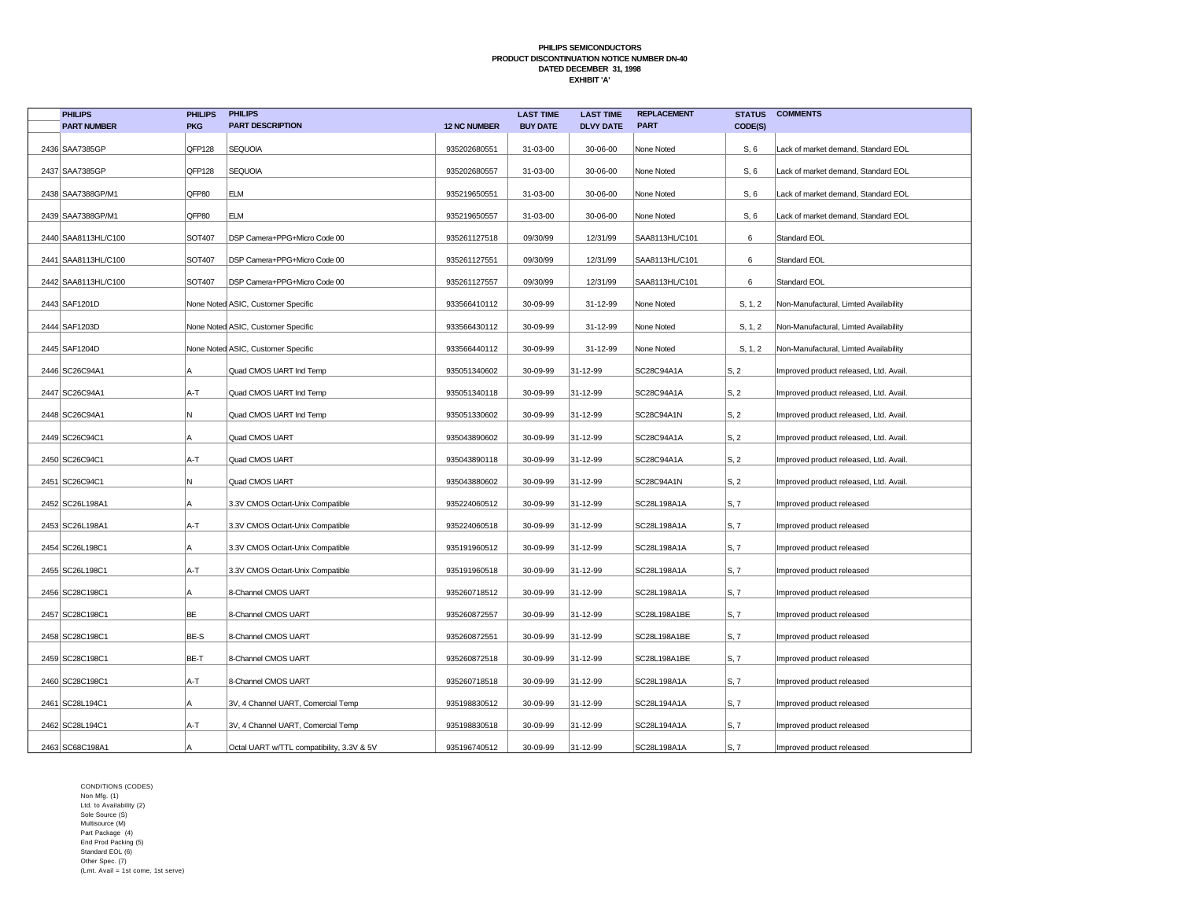| <b>PHILIPS</b>      | <b>PHILIPS</b> | <b>PHILIPS</b>                            |                     | <b>LAST TIME</b> | <b>LAST TIME</b> | <b>REPLACEMENT</b> | <b>STATUS</b>            | <b>COMMENTS</b>                        |
|---------------------|----------------|-------------------------------------------|---------------------|------------------|------------------|--------------------|--------------------------|----------------------------------------|
| <b>PART NUMBER</b>  | <b>PKG</b>     | <b>PART DESCRIPTION</b>                   | <b>12 NC NUMBER</b> | <b>BUY DATE</b>  | <b>DLVY DATE</b> | <b>PART</b>        | CODE(S)                  |                                        |
| 2436 SAA7385GP      | QFP128         | <b>SEQUOIA</b>                            | 935202680551        | 31-03-00         | 30-06-00         | None Noted         | S, 6                     | Lack of market demand, Standard EOL    |
| 2437 SAA7385GP      | QFP128         | <b>SEQUOIA</b>                            | 935202680557        | 31-03-00         | 30-06-00         | None Noted         | S, 6                     | Lack of market demand, Standard EOL    |
| 2438 SAA7388GP/M1   | QFP80          | <b>ELM</b>                                | 935219650551        | 31-03-00         | 30-06-00         | None Noted         | S, 6                     | Lack of market demand, Standard EOL    |
| 2439 SAA7388GP/M1   | QFP80          | <b>ELM</b>                                | 935219650557        | 31-03-00         | 30-06-00         | None Noted         | S, 6                     | Lack of market demand, Standard EOL    |
| 2440 SAA8113HL/C100 | SOT407         | DSP Camera+PPG+Micro Code 00              | 935261127518        | 09/30/99         | 12/31/99         | SAA8113HL/C101     | 6                        | Standard EOL                           |
| 2441 SAA8113HL/C100 | SOT407         | DSP Camera+PPG+Micro Code 00              | 935261127551        | 09/30/99         | 12/31/99         | SAA8113HL/C101     | 6                        | Standard EOL                           |
| 2442 SAA8113HL/C100 | SOT407         | DSP Camera+PPG+Micro Code 00              | 935261127557        | 09/30/99         | 12/31/99         | SAA8113HL/C101     | 6                        | Standard EOL                           |
| 2443 SAF1201D       |                | None Noted ASIC, Customer Specific        | 933566410112        | 30-09-99         | 31-12-99         | None Noted         | S, 1, 2                  | Non-Manufactural, Limted Availability  |
| 2444 SAF1203D       |                | None Noted ASIC, Customer Specific        | 933566430112        | 30-09-99         | 31-12-99         | None Noted         | S, 1, 2                  | Non-Manufactural, Limted Availability  |
| 2445 SAF1204D       |                | None Noted ASIC, Customer Specific        | 933566440112        | 30-09-99         | 31-12-99         | None Noted         | S, 1, 2                  | Non-Manufactural, Limted Availability  |
| 2446 SC26C94A1      | A              | Quad CMOS UART Ind Temp                   | 935051340602        | 30-09-99         | 31-12-99         | SC28C94A1A         | S, 2                     | Improved product released, Ltd. Avail. |
| 2447 SC26C94A1      | A-T            | Quad CMOS UART Ind Temp                   | 935051340118        | 30-09-99         | 31-12-99         | SC28C94A1A         | S, 2                     | Improved product released, Ltd. Avail. |
| 2448 SC26C94A1      | N              | Quad CMOS UART Ind Temp                   | 935051330602        | 30-09-99         | 31-12-99         | SC28C94A1N         | $\mathsf{S}, 2$          | Improved product released, Ltd. Avail. |
| 2449 SC26C94C1      | A              | Quad CMOS UART                            | 935043890602        | 30-09-99         | 31-12-99         | SC28C94A1A         | $\mathsf{S}, 2$          | Improved product released, Ltd. Avail. |
| 2450 SC26C94C1      | A-T            | Quad CMOS UART                            | 935043890118        | 30-09-99         | 31-12-99         | SC28C94A1A         | $\mathsf{S}, 2$          | Improved product released, Ltd. Avail. |
| 2451 SC26C94C1      | N              | Quad CMOS UART                            | 935043880602        | 30-09-99         | 31-12-99         | SC28C94A1N         | $\mathsf{S}, 2$          | Improved product released, Ltd. Avail. |
| 2452 SC26L198A1     | A              | 3.3V CMOS Octart-Unix Compatible          | 935224060512        | 30-09-99         | 31-12-99         | SC28L198A1A        | $\mathsf{S}, \mathsf{7}$ | Improved product released              |
| 2453 SC26L198A1     | A-T            | 3.3V CMOS Octart-Unix Compatible          | 935224060518        | 30-09-99         | 31-12-99         | SC28L198A1A        | S, 7                     | Improved product released              |
| 2454 SC26L198C1     | Α              | 3.3V CMOS Octart-Unix Compatible          | 935191960512        | 30-09-99         | 31-12-99         | SC28L198A1A        | $\mathsf{S}, \mathsf{7}$ | Improved product released              |
| 2455 SC26L198C1     | A-T            | 3.3V CMOS Octart-Unix Compatible          | 935191960518        | 30-09-99         | 31-12-99         | SC28L198A1A        | S, 7                     | Improved product released              |
| 2456 SC28C198C1     | Α              | 8-Channel CMOS UART                       | 935260718512        | 30-09-99         | 31-12-99         | SC28L198A1A        | S, 7                     | Improved product released              |
| 2457 SC28C198C1     | BE             | 8-Channel CMOS UART                       | 935260872557        | 30-09-99         | 31-12-99         | SC28L198A1BE       | S, 7                     | Improved product released              |
| 2458 SC28C198C1     | BE-S           | 8-Channel CMOS UART                       | 935260872551        | 30-09-99         | 31-12-99         | SC28L198A1BE       | S, 7                     | Improved product released              |
| 2459 SC28C198C1     | BE-T           | 8-Channel CMOS UART                       | 935260872518        | 30-09-99         | 31-12-99         | SC28L198A1BE       | S, 7                     | Improved product released              |
| 2460 SC28C198C1     | A-T            | 8-Channel CMOS UART                       | 935260718518        | 30-09-99         | 31-12-99         | SC28L198A1A        | S, 7                     | Improved product released              |
| 2461 SC28L194C1     | A              | 3V, 4 Channel UART, Comercial Temp        | 935198830512        | 30-09-99         | 31-12-99         | SC28L194A1A        | S, 7                     | Improved product released              |
| 2462 SC28L194C1     | A-T            | 3V, 4 Channel UART, Comercial Temp        | 935198830518        | 30-09-99         | 31-12-99         | SC28L194A1A        | S, 7                     | Improved product released              |
| 2463 SC68C198A1     |                | Octal UART w/TTL compatibility, 3.3V & 5V | 935196740512        | 30-09-99         | 31-12-99         | SC28L198A1A        | S, 7                     | Improved product released              |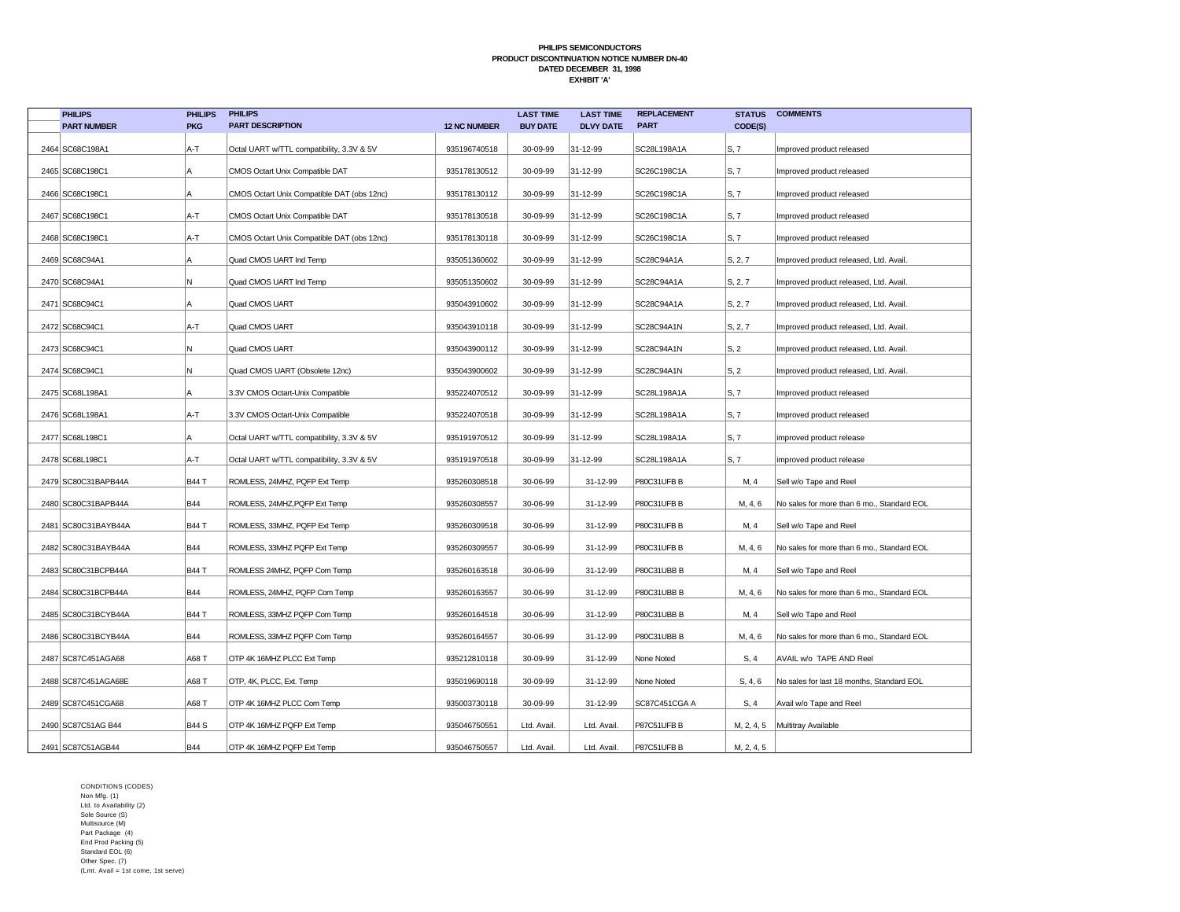| <b>PHILIPS</b>      | <b>PHILIPS</b> | <b>PHILIPS</b>                             |                     | <b>LAST TIME</b> | <b>LAST TIME</b> | <b>REPLACEMENT</b> | <b>STATUS</b> | <b>COMMENTS</b>                            |
|---------------------|----------------|--------------------------------------------|---------------------|------------------|------------------|--------------------|---------------|--------------------------------------------|
| <b>PART NUMBER</b>  | <b>PKG</b>     | <b>PART DESCRIPTION</b>                    | <b>12 NC NUMBER</b> | <b>BUY DATE</b>  | <b>DLVY DATE</b> | <b>PART</b>        | CODE(S)       |                                            |
| 2464 SC68C198A1     | A-T            | Octal UART w/TTL compatibility, 3.3V & 5V  | 935196740518        | 30-09-99         | 31-12-99         | SC28L198A1A        | S, 7          | Improved product released                  |
| 2465 SC68C198C1     | ΙA             | CMOS Octart Unix Compatible DAT            | 935178130512        | 30-09-99         | 31-12-99         | SC26C198C1A        | S, 7          | Improved product released                  |
| 2466 SC68C198C1     | Α              | CMOS Octart Unix Compatible DAT (obs 12nc) | 935178130112        | 30-09-99         | 31-12-99         | SC26C198C1A        | S, 7          | Improved product released                  |
| 2467 SC68C198C1     | A-T            | CMOS Octart Unix Compatible DAT            | 935178130518        | 30-09-99         | 31-12-99         | SC26C198C1A        | S, 7          | Improved product released                  |
| 2468 SC68C198C1     | A-T            | CMOS Octart Unix Compatible DAT (obs 12nc) | 935178130118        | 30-09-99         | 31-12-99         | SC26C198C1A        | S, 7          | Improved product released                  |
| 2469 SC68C94A1      | А              | Quad CMOS UART Ind Temp                    | 935051360602        | 30-09-99         | 31-12-99         | SC28C94A1A         | S, 2, 7       | Improved product released, Ltd. Avail.     |
| 2470 SC68C94A1      | N              | Quad CMOS UART Ind Temp                    | 935051350602        | 30-09-99         | 31-12-99         | SC28C94A1A         | S, 2, 7       | Improved product released, Ltd. Avail.     |
| 2471 SC68C94C1      | A              | Quad CMOS UART                             | 935043910602        | 30-09-99         | 31-12-99         | SC28C94A1A         | S, 2, 7       | Improved product released, Ltd. Avail.     |
| 2472 SC68C94C1      | A-T            | Quad CMOS UART                             | 935043910118        | 30-09-99         | 31-12-99         | SC28C94A1N         | S, 2, 7       | Improved product released, Ltd. Avail.     |
| 2473 SC68C94C1      | N              | Quad CMOS UART                             | 935043900112        | 30-09-99         | 31-12-99         | SC28C94A1N         | S, 2          | Improved product released, Ltd. Avail.     |
| 2474 SC68C94C1      | N              | Quad CMOS UART (Obsolete 12nc)             | 935043900602        | 30-09-99         | 31-12-99         | SC28C94A1N         | S, 2          | Improved product released, Ltd. Avail.     |
| 2475 SC68L198A1     | Α              | 3.3V CMOS Octart-Unix Compatible           | 935224070512        | 30-09-99         | 31-12-99         | SC28L198A1A        | S, 7          | Improved product released                  |
| 2476 SC68L198A1     | A-T            | 3.3V CMOS Octart-Unix Compatible           | 935224070518        | 30-09-99         | 31-12-99         | SC28L198A1A        | S, 7          | Improved product released                  |
| 2477 SC68L198C1     | Α              | Octal UART w/TTL compatibility, 3.3V & 5V  | 935191970512        | 30-09-99         | 31-12-99         | SC28L198A1A        | S, 7          | improved product release                   |
| 2478 SC68L198C1     | A-T            | Octal UART w/TTL compatibility, 3.3V & 5V  | 935191970518        | 30-09-99         | 31-12-99         | SC28L198A1A        | S, 7          | improved product release                   |
| 2479 SC80C31BAPB44A | <b>B44 T</b>   | ROMLESS, 24MHZ, PQFP Ext Temp              | 935260308518        | 30-06-99         | 31-12-99         | P80C31UFB B        | M, 4          | Sell w/o Tape and Reel                     |
| 2480 SC80C31BAPB44A | <b>B44</b>     | ROMLESS, 24MHZ, PQFP Ext Temp              | 935260308557        | 30-06-99         | 31-12-99         | P80C31UFB B        | M, 4, 6       | No sales for more than 6 mo., Standard EOL |
| 2481 SC80C31BAYB44A | <b>B44 T</b>   | ROMLESS, 33MHZ, PQFP Ext Temp              | 935260309518        | 30-06-99         | 31-12-99         | P80C31UFB B        | M, 4          | Sell w/o Tape and Reel                     |
| 2482 SC80C31BAYB44A | <b>B44</b>     | ROMLESS, 33MHZ PQFP Ext Temp               | 935260309557        | 30-06-99         | 31-12-99         | P80C31UFB B        | M, 4, 6       | No sales for more than 6 mo., Standard EOL |
| 2483 SC80C31BCPB44A | <b>B44 T</b>   | ROMLESS 24MHZ, PQFP Com Temp               | 935260163518        | 30-06-99         | 31-12-99         | P80C31UBB B        | M, 4          | Sell w/o Tape and Reel                     |
| 2484 SC80C31BCPB44A | <b>B44</b>     | ROMLESS, 24MHZ, PQFP Com Temp              | 935260163557        | 30-06-99         | 31-12-99         | P80C31UBB B        | M, 4, 6       | No sales for more than 6 mo., Standard EOL |
| 2485 SC80C31BCYB44A | <b>B44 T</b>   | ROMLESS, 33MHZ PQFP Com Temp               | 935260164518        | 30-06-99         | 31-12-99         | P80C31UBB B        | M, 4          | Sell w/o Tape and Reel                     |
| 2486 SC80C31BCYB44A | <b>B44</b>     | ROMLESS, 33MHZ PQFP Com Temp               | 935260164557        | 30-06-99         | 31-12-99         | P80C31UBB B        | M, 4, 6       | No sales for more than 6 mo., Standard EOL |
| 2487 SC87C451AGA68  | A68 T          | OTP 4K 16MHZ PLCC Ext Temp                 | 935212810118        | 30-09-99         | 31-12-99         | None Noted         | S, 4          | AVAIL w/o TAPE AND Reel                    |
| 2488 SC87C451AGA68E | A68 T          | OTP, 4K, PLCC, Ext. Temp                   | 935019690118        | 30-09-99         | 31-12-99         | None Noted         | S, 4, 6       | No sales for last 18 months, Standard EOL  |
| 2489 SC87C451CGA68  | A68 T          | OTP 4K 16MHZ PLCC Com Temp                 | 935003730118        | 30-09-99         | 31-12-99         | SC87C451CGA A      | S, 4          | Avail w/o Tape and Reel                    |
| 2490 SC87C51AG B44  | <b>B44 S</b>   | OTP 4K 16MHZ PQFP Ext Temp                 | 935046750551        | Ltd. Avail       | Ltd. Avail.      | P87C51UFB B        | M, 2, 4, 5    | Multitray Available                        |
| 2491 SC87C51AGB44   | <b>B44</b>     | OTP 4K 16MHZ PQFP Ext Temp                 | 935046750557        | Ltd. Avail       | Ltd. Avail.      | P87C51UFB B        | M, 2, 4, 5    |                                            |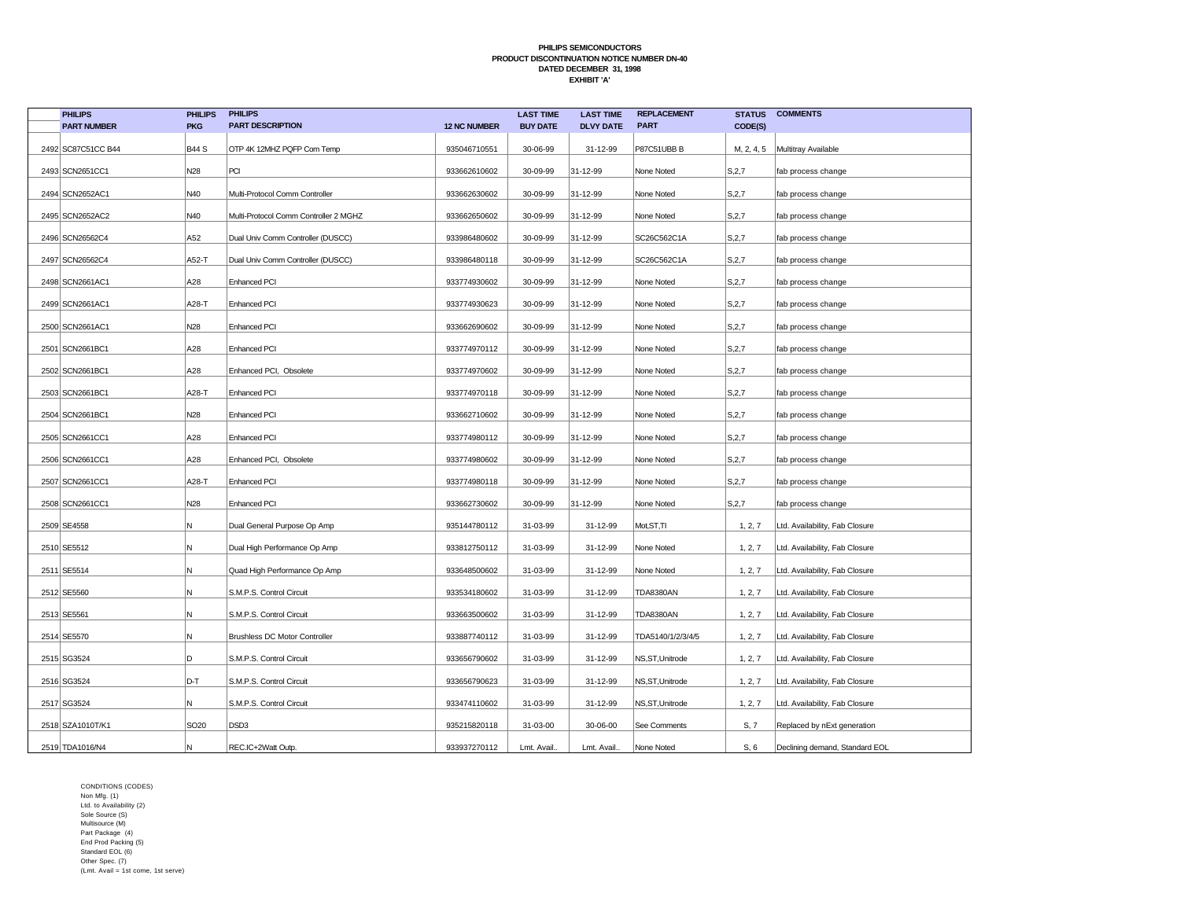| <b>PHILIPS</b>     | <b>PHILIPS</b>   | <b>PHILIPS</b>                        |                     | <b>LAST TIME</b> | <b>LAST TIME</b> | <b>REPLACEMENT</b> | <b>STATUS</b> | <b>COMMENTS</b>                |
|--------------------|------------------|---------------------------------------|---------------------|------------------|------------------|--------------------|---------------|--------------------------------|
| <b>PART NUMBER</b> | <b>PKG</b>       | <b>PART DESCRIPTION</b>               | <b>12 NC NUMBER</b> | <b>BUY DATE</b>  | <b>DLVY DATE</b> | <b>PART</b>        | CODE(S)       |                                |
| 2492 SC87C51CC B44 | <b>B44 S</b>     | OTP 4K 12MHZ PQFP Com Temp            | 935046710551        | 30-06-99         | 31-12-99         | P87C51UBB B        | M, 2, 4, 5    | Multitray Available            |
| 2493 SCN2651CC1    | N28              | PCI                                   | 933662610602        | 30-09-99         | 31-12-99         | None Noted         | S, 2, 7       | fab process change             |
| 2494 SCN2652AC1    | N40              | Multi-Protocol Comm Controller        | 933662630602        | 30-09-99         | 31-12-99         | None Noted         | S, 2, 7       | fab process change             |
| 2495 SCN2652AC2    | N40              | Multi-Protocol Comm Controller 2 MGHZ | 933662650602        | 30-09-99         | 31-12-99         | None Noted         | S, 2, 7       | fab process change             |
| 2496 SCN26562C4    | A52              | Dual Univ Comm Controller (DUSCC)     | 933986480602        | 30-09-99         | 31-12-99         | SC26C562C1A        | S, 2, 7       | fab process change             |
| 2497 SCN26562C4    | A52-T            | Dual Univ Comm Controller (DUSCC)     | 933986480118        | 30-09-99         | 31-12-99         | SC26C562C1A        | S, 2, 7       | fab process change             |
| 2498 SCN2661AC1    | A28              | <b>Enhanced PCI</b>                   | 933774930602        | 30-09-99         | 31-12-99         | None Noted         | S, 2, 7       | fab process change             |
| 2499 SCN2661AC1    | A28-T            | <b>Enhanced PCI</b>                   | 933774930623        | 30-09-99         | 31-12-99         | None Noted         | S, 2, 7       | fab process change             |
| 2500 SCN2661AC1    | N28              | <b>Enhanced PCI</b>                   | 933662690602        | 30-09-99         | 31-12-99         | None Noted         | S, 2, 7       | fab process change             |
| 2501 SCN2661BC1    | A28              | <b>Enhanced PCI</b>                   | 933774970112        | 30-09-99         | 31-12-99         | None Noted         | S, 2, 7       | fab process change             |
| 2502 SCN2661BC1    | A28              | Enhanced PCI, Obsolete                | 933774970602        | 30-09-99         | 31-12-99         | None Noted         | S, 2, 7       | fab process change             |
| 2503 SCN2661BC1    | A28-T            | <b>Enhanced PCI</b>                   | 933774970118        | 30-09-99         | 31-12-99         | None Noted         | S, 2, 7       | fab process change             |
| 2504 SCN2661BC1    | N28              | <b>Enhanced PCI</b>                   | 933662710602        | 30-09-99         | 31-12-99         | None Noted         | S, 2, 7       | fab process change             |
| 2505 SCN2661CC1    | A28              | <b>Enhanced PCI</b>                   | 933774980112        | 30-09-99         | 31-12-99         | None Noted         | S, 2, 7       | fab process change             |
| 2506 SCN2661CC1    | A28              | Enhanced PCI, Obsolete                | 933774980602        | 30-09-99         | 31-12-99         | None Noted         | S, 2, 7       | fab process change             |
| 2507 SCN2661CC1    | A28-T            | Enhanced PCI                          | 933774980118        | 30-09-99         | 31-12-99         | None Noted         | S, 2, 7       | fab process change             |
| 2508 SCN2661CC1    | N28              | <b>Enhanced PCI</b>                   | 933662730602        | 30-09-99         | 31-12-99         | None Noted         | S, 2, 7       | fab process change             |
| 2509 SE4558        | Ν                | Dual General Purpose Op Amp           | 935144780112        | 31-03-99         | 31-12-99         | Mot, ST, TI        | 1, 2, 7       | Ltd. Availability, Fab Closure |
| 2510 SE5512        | Ν                | Dual High Performance Op Amp          | 933812750112        | 31-03-99         | 31-12-99         | None Noted         | 1, 2, 7       | Ltd. Availability, Fab Closure |
| 2511 SE5514        | Ν                | Quad High Performance Op Amp          | 933648500602        | 31-03-99         | 31-12-99         | None Noted         | 1, 2, 7       | Ltd. Availability, Fab Closure |
| 2512 SE5560        | И                | S.M.P.S. Control Circuit              | 933534180602        | 31-03-99         | 31-12-99         | <b>TDA8380AN</b>   | 1, 2, 7       | Ltd. Availability, Fab Closure |
| 2513 SE5561        | И                | S.M.P.S. Control Circuit              | 933663500602        | 31-03-99         | 31-12-99         | <b>TDA8380AN</b>   | 1, 2, 7       | Ltd. Availability, Fab Closure |
| 2514 SE5570        | Ν                | <b>Brushless DC Motor Controller</b>  | 933887740112        | 31-03-99         | 31-12-99         | TDA5140/1/2/3/4/5  | 1, 2, 7       | Ltd. Availability, Fab Closure |
| 2515 SG3524        | D                | S.M.P.S. Control Circuit              | 933656790602        | 31-03-99         | 31-12-99         | NS, ST, Unitrode   | 1, 2, 7       | Ltd. Availability, Fab Closure |
| 2516 SG3524        | D-T              | S.M.P.S. Control Circuit              | 933656790623        | 31-03-99         | 31-12-99         | NS,ST,Unitrode     | 1, 2, 7       | Ltd. Availability, Fab Closure |
| 2517 SG3524        | N                | S.M.P.S. Control Circuit              | 933474110602        | 31-03-99         | 31-12-99         | NS, ST, Unitrode   | 1, 2, 7       | Ltd. Availability, Fab Closure |
| 2518 SZA1010T/K1   | SO <sub>20</sub> | DSD <sub>3</sub>                      | 935215820118        | 31-03-00         | 30-06-00         | See Comments       | S, 7          | Replaced by nExt generation    |
| 2519 TDA1016/N4    | N                | REC.IC+2Watt Outp.                    | 933937270112        | Lmt. Avail.      | Lmt. Avail.      | None Noted         | S, 6          | Declining demand, Standard EOL |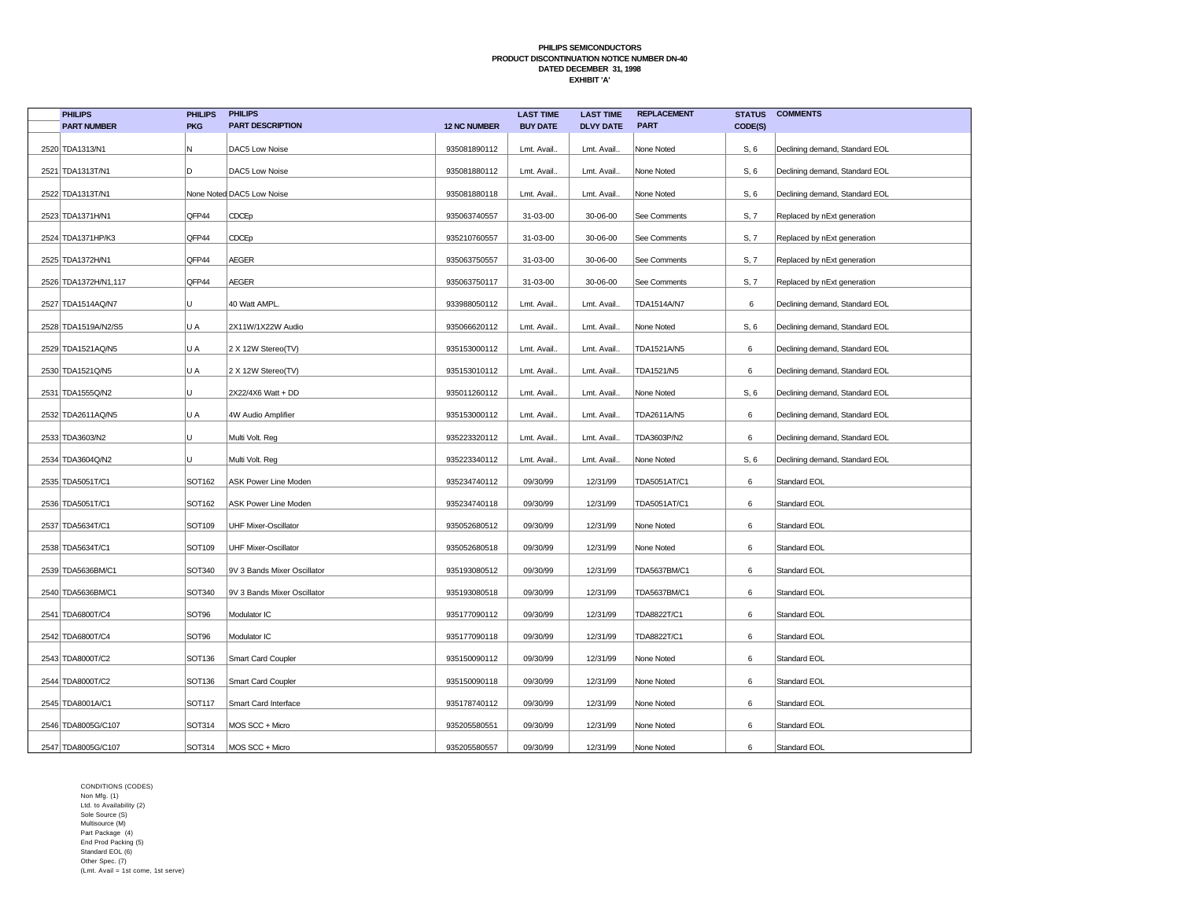| <b>PHILIPS</b>       | <b>PHILIPS</b> | <b>PHILIPS</b>              |                     | <b>LAST TIME</b> | <b>LAST TIME</b> | <b>REPLACEMENT</b> | <b>STATUS</b> | <b>COMMENTS</b>                |
|----------------------|----------------|-----------------------------|---------------------|------------------|------------------|--------------------|---------------|--------------------------------|
| <b>PART NUMBER</b>   | <b>PKG</b>     | <b>PART DESCRIPTION</b>     | <b>12 NC NUMBER</b> | <b>BUY DATE</b>  | <b>DLVY DATE</b> | <b>PART</b>        | CODE(S)       |                                |
| 2520 TDA1313/N1      | N              | DAC5 Low Noise              | 935081890112        | Lmt. Avail.      | Lmt. Avail       | None Noted         | S, 6          | Declining demand, Standard EOL |
| 2521 TDA1313T/N1     | D              | DAC5 Low Noise              | 935081880112        | Lmt. Avail.      | Lmt. Avail       | None Noted         | S, 6          | Declining demand, Standard EOL |
| 2522 TDA1313T/N1     |                | None Noted DAC5 Low Noise   | 935081880118        | Lmt. Avail.      | Lmt. Avail.      | None Noted         | S, 6          | Declining demand, Standard EOL |
| 2523 TDA1371H/N1     | QFP44          | CDCEp                       | 935063740557        | 31-03-00         | 30-06-00         | See Comments       | S, 7          | Replaced by nExt generation    |
| 2524 TDA1371HP/K3    | QFP44          | CDCEp                       | 935210760557        | 31-03-00         | 30-06-00         | See Comments       | S, 7          | Replaced by nExt generation    |
| 2525 TDA1372H/N1     | QFP44          | <b>AEGER</b>                | 935063750557        | 31-03-00         | 30-06-00         | See Comments       | S, 7          | Replaced by nExt generation    |
| 2526 TDA1372H/N1,117 | QFP44          | <b>AEGER</b>                | 935063750117        | 31-03-00         | 30-06-00         | See Comments       | S, 7          | Replaced by nExt generation    |
| 2527 TDA1514AQ/N7    | U              | 40 Watt AMPL.               | 933988050112        | Lmt. Avail.      | Lmt. Avail.      | TDA1514A/N7        | 6             | Declining demand, Standard EOL |
| 2528 TDA1519A/N2/S5  | U A            | 2X11W/1X22W Audio           | 935066620112        | Lmt. Avail.      | Lmt. Avail.      | None Noted         | S, 6          | Declining demand, Standard EOL |
| 2529 TDA1521AQ/N5    | U A            | 2 X 12W Stereo(TV)          | 935153000112        | Lmt. Avail.      | Lmt. Avail.      | TDA1521A/N5        | 6             | Declining demand, Standard EOL |
| 2530 TDA1521Q/N5     | U A            | 2 X 12W Stereo(TV)          | 935153010112        | Lmt. Avail.      | Lmt. Avail       | TDA1521/N5         | 6             | Declining demand, Standard EOL |
| 2531 TDA1555Q/N2     | U              | 2X22/4X6 Watt + DD          | 935011260112        | Lmt. Avail.      | Lmt. Avail       | None Noted         | S, 6          | Declining demand, Standard EOL |
| 2532 TDA2611AQ/N5    | U A            | 4W Audio Amplifier          | 935153000112        | Lmt. Avail.      | Lmt. Avail.      | TDA2611A/N5        | 6             | Declining demand, Standard EOL |
| 2533 TDA3603/N2      | U              | Multi Volt. Reg             | 935223320112        | Lmt. Avail.      | Lmt. Avail       | TDA3603P/N2        | 6             | Declining demand, Standard EOL |
| 2534 TDA3604Q/N2     | U              | Multi Volt. Reg             | 935223340112        | Lmt. Avail.      | Lmt. Avail       | None Noted         | S, 6          | Declining demand, Standard EOL |
| 2535 TDA5051T/C1     | SOT162         | ASK Power Line Moden        | 935234740112        | 09/30/99         | 12/31/99         | TDA5051AT/C1       | 6             | Standard EOL                   |
| 2536 TDA5051T/C1     | <b>SOT162</b>  | ASK Power Line Moden        | 935234740118        | 09/30/99         | 12/31/99         | TDA5051AT/C1       | 6             | Standard EOL                   |
| 2537 TDA5634T/C1     | SOT109         | <b>UHF Mixer-Oscillator</b> | 935052680512        | 09/30/99         | 12/31/99         | None Noted         | 6             | Standard EOL                   |
| 2538 TDA5634T/C1     | SOT109         | <b>UHF Mixer-Oscillator</b> | 935052680518        | 09/30/99         | 12/31/99         | None Noted         | 6             | Standard EOL                   |
| 2539 TDA5636BM/C1    | SOT340         | 9V 3 Bands Mixer Oscillator | 935193080512        | 09/30/99         | 12/31/99         | TDA5637BM/C1       | 6             | Standard EOL                   |
| 2540 TDA5636BM/C1    | SOT340         | 9V 3 Bands Mixer Oscillator | 935193080518        | 09/30/99         | 12/31/99         | TDA5637BM/C1       | 6             | Standard EOL                   |
| 2541 TDA6800T/C4     | SOT96          | Modulator IC                | 935177090112        | 09/30/99         | 12/31/99         | TDA8822T/C1        | 6             | Standard EOL                   |
| 2542 TDA6800T/C4     | SOT96          | Modulator IC                | 935177090118        | 09/30/99         | 12/31/99         | TDA8822T/C1        | 6             | Standard EOL                   |
| 2543 TDA8000T/C2     | SOT136         | Smart Card Coupler          | 935150090112        | 09/30/99         | 12/31/99         | None Noted         | 6             | Standard EOL                   |
| 2544 TDA8000T/C2     | SOT136         | Smart Card Coupler          | 935150090118        | 09/30/99         | 12/31/99         | None Noted         | 6             | Standard EOL                   |
| 2545 TDA8001A/C1     | SOT117         | Smart Card Interface        | 935178740112        | 09/30/99         | 12/31/99         | None Noted         | 6             | Standard EOL                   |
| 2546 TDA8005G/C107   | SOT314         | MOS SCC + Micro             | 935205580551        | 09/30/99         | 12/31/99         | None Noted         | 6             | Standard EOL                   |
| 2547 TDA8005G/C107   | SOT314         | MOS SCC + Micro             | 935205580557        | 09/30/99         | 12/31/99         | None Noted         | 6             | Standard EOL                   |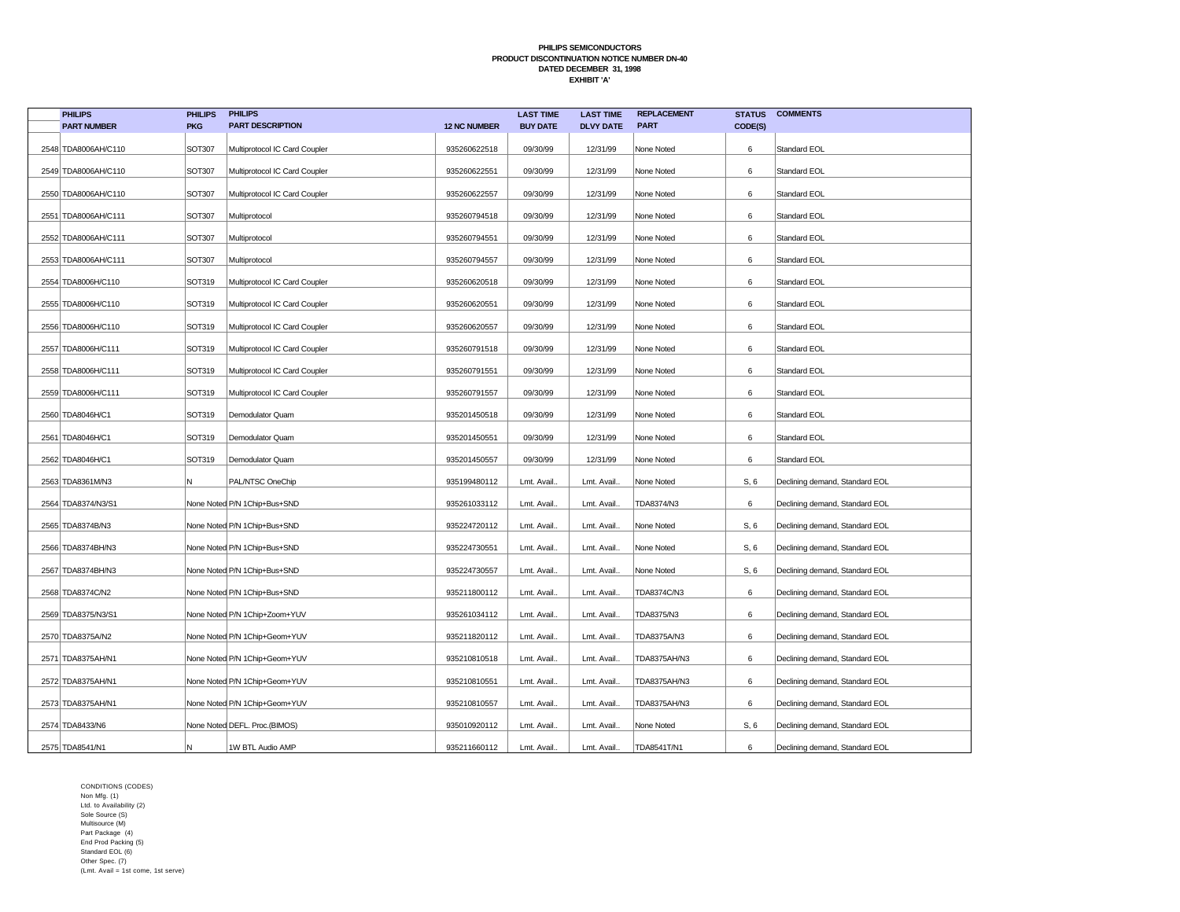| <b>PHILIPS</b>       | <b>PHILIPS</b> | <b>PHILIPS</b>                |                     | <b>LAST TIME</b> | <b>LAST TIME</b> | <b>REPLACEMENT</b> | <b>STATUS</b> | <b>COMMENTS</b>                |
|----------------------|----------------|-------------------------------|---------------------|------------------|------------------|--------------------|---------------|--------------------------------|
| <b>PART NUMBER</b>   | <b>PKG</b>     | <b>PART DESCRIPTION</b>       | <b>12 NC NUMBER</b> | <b>BUY DATE</b>  | <b>DLVY DATE</b> | <b>PART</b>        | CODE(S)       |                                |
| 2548 TDA8006AH/C110  | SOT307         | Multiprotocol IC Card Coupler | 935260622518        | 09/30/99         | 12/31/99         | None Noted         | 6             | Standard EOL                   |
| 2549 TDA8006AH/C110  | SOT307         | Multiprotocol IC Card Coupler | 935260622551        | 09/30/99         | 12/31/99         | None Noted         | 6             | Standard EOL                   |
| 2550 TDA8006AH/C110  | SOT307         | Multiprotocol IC Card Coupler | 935260622557        | 09/30/99         | 12/31/99         | None Noted         | 6             | Standard EOL                   |
| 2551 TDA8006AH/C111  | <b>SOT307</b>  | Multiprotocol                 | 935260794518        | 09/30/99         | 12/31/99         | None Noted         | 6             | Standard EOL                   |
| 2552 TDA8006AH/C111  | SOT307         | Multiprotocol                 | 935260794551        | 09/30/99         | 12/31/99         | None Noted         | 6             | Standard EOL                   |
| 2553 TDA8006AH/C111  | <b>SOT307</b>  | Multiprotocol                 | 935260794557        | 09/30/99         | 12/31/99         | None Noted         | 6             | Standard EOL                   |
| 2554 TDA8006H/C110   | SOT319         | Multiprotocol IC Card Coupler | 935260620518        | 09/30/99         | 12/31/99         | None Noted         | 6             | Standard EOL                   |
| 2555   TDA8006H/C110 | SOT319         | Multiprotocol IC Card Coupler | 935260620551        | 09/30/99         | 12/31/99         | None Noted         | 6             | Standard EOL                   |
| 2556 TDA8006H/C110   | <b>SOT319</b>  | Multiprotocol IC Card Coupler | 935260620557        | 09/30/99         | 12/31/99         | None Noted         | 6             | Standard EOL                   |
| 2557 TDA8006H/C111   | SOT319         | Multiprotocol IC Card Coupler | 935260791518        | 09/30/99         | 12/31/99         | None Noted         | 6             | Standard EOL                   |
| 2558 TDA8006H/C111   | <b>SOT319</b>  | Multiprotocol IC Card Coupler | 935260791551        | 09/30/99         | 12/31/99         | None Noted         | 6             | Standard EOL                   |
| 2559 TDA8006H/C111   | SOT319         | Multiprotocol IC Card Coupler | 935260791557        | 09/30/99         | 12/31/99         | None Noted         | 6             | Standard EOL                   |
| 2560 TDA8046H/C1     | SOT319         | Demodulator Quam              | 935201450518        | 09/30/99         | 12/31/99         | None Noted         | 6             | Standard EOL                   |
| 2561 TDA8046H/C1     | SOT319         | Demodulator Quam              | 935201450551        | 09/30/99         | 12/31/99         | None Noted         | 6             | Standard EOL                   |
| 2562 TDA8046H/C1     | SOT319         | Demodulator Quam              | 935201450557        | 09/30/99         | 12/31/99         | None Noted         | 6             | Standard EOL                   |
| 2563 TDA8361M/N3     | Ν              | PAL/NTSC OneChip              | 935199480112        | Lmt. Avail       | Lmt. Avail.      | None Noted         | S, 6          | Declining demand, Standard EOL |
| 2564 TDA8374/N3/S1   |                | None Noted P/N 1Chip+Bus+SND  | 935261033112        | Lmt. Avail.      | Lmt. Avail.      | TDA8374/N3         | 6             | Declining demand, Standard EOL |
| 2565 TDA8374B/N3     |                | None Noted P/N 1Chip+Bus+SND  | 935224720112        | Lmt. Avail.      | Lmt. Avail.      | None Noted         | S, 6          | Declining demand, Standard EOL |
| 2566 TDA8374BH/N3    |                | None Noted P/N 1Chip+Bus+SND  | 935224730551        | Lmt. Avail       | Lmt. Avail.      | None Noted         | S, 6          | Declining demand, Standard EOL |
| 2567 TDA8374BH/N3    |                | None Noted P/N 1Chip+Bus+SND  | 935224730557        | Lmt. Avail.      | Lmt. Avail.      | None Noted         | S, 6          | Declining demand, Standard EOL |
| 2568 TDA8374C/N2     |                | None Noted P/N 1Chip+Bus+SND  | 935211800112        | Lmt. Avail.      | Lmt. Avail.      | TDA8374C/N3        | 6             | Declining demand, Standard EOL |
| 2569 TDA8375/N3/S1   |                | None Noted P/N 1Chip+Zoom+YUV | 935261034112        | Lmt. Avail       | Lmt. Avail.      | TDA8375/N3         | 6             | Declining demand, Standard EOL |
| 2570 TDA8375A/N2     |                | None Noted P/N 1Chip+Geom+YUV | 935211820112        | Lmt. Avail.      | Lmt. Avail.      | TDA8375A/N3        | 6             | Declining demand, Standard EOL |
| 2571 TDA8375AH/N1    |                | None Noted P/N 1Chip+Geom+YUV | 935210810518        | Lmt. Avail       | Lmt. Avail.      | TDA8375AH/N3       | 6             | Declining demand, Standard EOL |
| 2572 TDA8375AH/N1    |                | None Noted P/N 1Chip+Geom+YUV | 935210810551        | Lmt. Avail.      | Lmt. Avail.      | TDA8375AH/N3       | 6             | Declining demand, Standard EOL |
| 2573 TDA8375AH/N1    |                | None Noted P/N 1Chip+Geom+YUV | 935210810557        | Lmt. Avail       | Lmt. Avail.      | TDA8375AH/N3       | 6             | Declining demand, Standard EOL |
| 2574 TDA8433/N6      |                | None Noted DEFL. Proc.(BIMOS) | 935010920112        | Lmt. Avail       | Lmt. Avail.      | None Noted         | S, 6          | Declining demand, Standard EOL |
| 2575 TDA8541/N1      | N              | 1W BTL Audio AMP              | 935211660112        | Lmt. Avail.      | Lmt. Avail.      | TDA8541T/N1        | 6             | Declining demand, Standard EOL |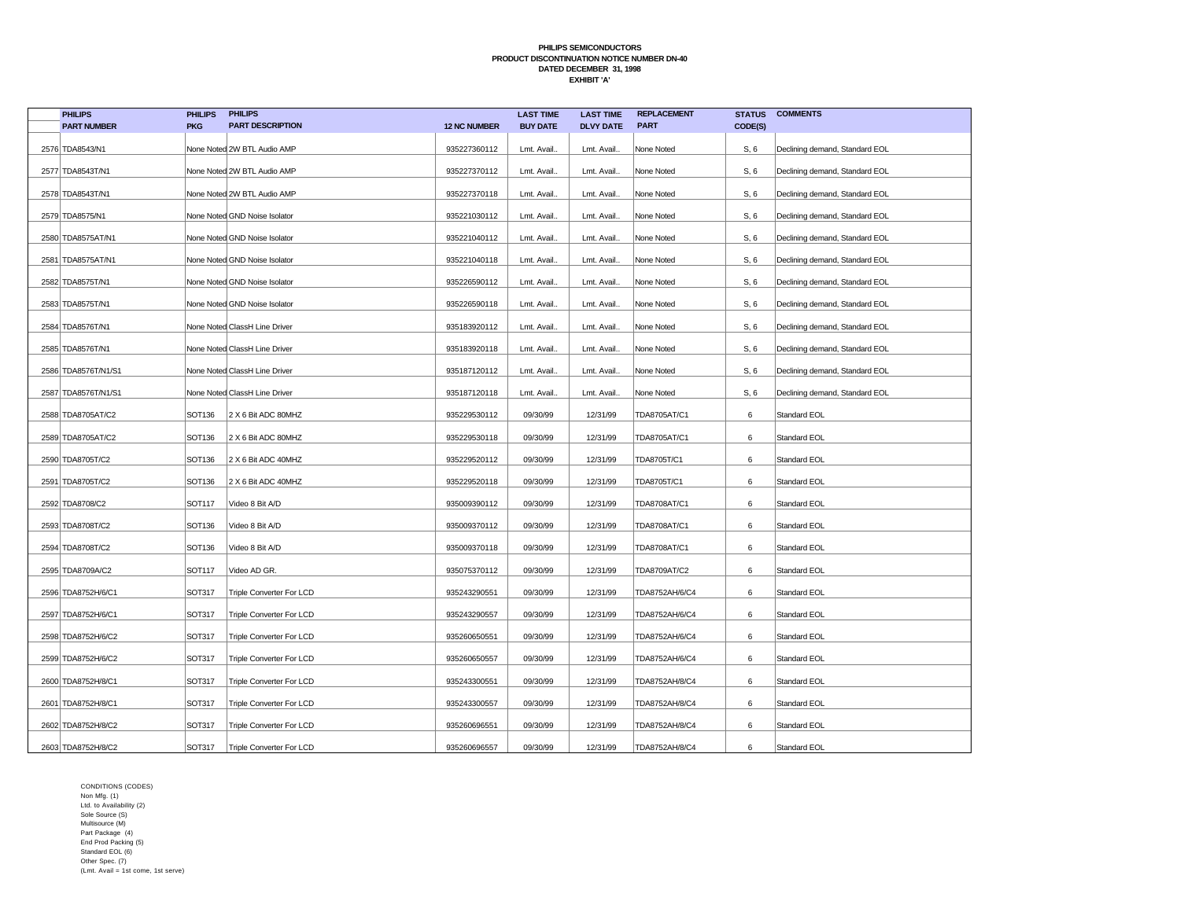| <b>PHILIPS</b>      | <b>PHILIPS</b> | <b>PHILIPS</b>                |                     | <b>LAST TIME</b> | <b>LAST TIME</b> | <b>REPLACEMENT</b> | <b>STATUS</b> | <b>COMMENTS</b>                |
|---------------------|----------------|-------------------------------|---------------------|------------------|------------------|--------------------|---------------|--------------------------------|
| <b>PART NUMBER</b>  | <b>PKG</b>     | <b>PART DESCRIPTION</b>       | <b>12 NC NUMBER</b> | <b>BUY DATE</b>  | <b>DLVY DATE</b> | <b>PART</b>        | CODE(S)       |                                |
| 2576 TDA8543/N1     |                | None Noted 2W BTL Audio AMP   | 935227360112        | Lmt. Avail.      | Lmt. Avail       | None Noted         | S, 6          | Declining demand, Standard EOL |
| 2577 TDA8543T/N1    |                | None Noted 2W BTL Audio AMP   | 935227370112        | Lmt. Avail.      | Lmt. Avail       | None Noted         | S, 6          | Declining demand, Standard EOL |
| 2578 TDA8543T/N1    |                | None Noted 2W BTL Audio AMP   | 935227370118        | Lmt. Avail.      | Lmt. Avail.      | None Noted         | S, 6          | Declining demand, Standard EOL |
| 2579 TDA8575/N1     |                | None Noted GND Noise Isolator | 935221030112        | Lmt. Avail.      | Lmt. Avail       | None Noted         | S, 6          | Declining demand, Standard EOL |
| 2580 TDA8575AT/N1   |                | None Noted GND Noise Isolator | 935221040112        | Lmt. Avail.      | Lmt. Avail       | None Noted         | S, 6          | Declining demand, Standard EOL |
| 2581 TDA8575AT/N1   |                | None Noted GND Noise Isolator | 935221040118        | Lmt. Avail.      | Lmt. Avail       | None Noted         | S, 6          | Declining demand, Standard EOL |
| 2582 TDA8575T/N1    |                | None Noted GND Noise Isolator | 935226590112        | Lmt. Avail.      | Lmt. Avail.      | None Noted         | S, 6          | Declining demand, Standard EOL |
| 2583 TDA8575T/N1    |                | None Noted GND Noise Isolator | 935226590118        | Lmt. Avail.      | Lmt. Avail       | None Noted         | S, 6          | Declining demand, Standard EOL |
| 2584 TDA8576T/N1    |                | None Noted ClassH Line Driver | 935183920112        | Lmt. Avail.      | Lmt. Avail       | None Noted         | S, 6          | Declining demand, Standard EOL |
| 2585 TDA8576T/N1    |                | None Noted ClassH Line Driver | 935183920118        | Lmt. Avail.      | Lmt. Avail.      | None Noted         | S, 6          | Declining demand, Standard EOL |
| 2586 TDA8576T/N1/S1 |                | None Noted ClassH Line Driver | 935187120112        | Lmt. Avail.      | Lmt. Avail       | None Noted         | S, 6          | Declining demand, Standard EOL |
| 2587 TDA8576T/N1/S1 |                | None Noted ClassH Line Driver | 935187120118        | Lmt. Avail.      | Lmt. Avail.      | None Noted         | S, 6          | Declining demand, Standard EOL |
| 2588 TDA8705AT/C2   | SOT136         | 2 X 6 Bit ADC 80MHZ           | 935229530112        | 09/30/99         | 12/31/99         | TDA8705AT/C1       | 6             | Standard EOL                   |
| 2589 TDA8705AT/C2   | SOT136         | 2 X 6 Bit ADC 80MHZ           | 935229530118        | 09/30/99         | 12/31/99         | TDA8705AT/C1       | 6             | Standard EOL                   |
| 2590 TDA8705T/C2    | SOT136         | 2 X 6 Bit ADC 40MHZ           | 935229520112        | 09/30/99         | 12/31/99         | TDA8705T/C1        | 6             | Standard EOL                   |
| 2591 TDA8705T/C2    | SOT136         | 2 X 6 Bit ADC 40MHZ           | 935229520118        | 09/30/99         | 12/31/99         | TDA8705T/C1        | 6             | Standard EOL                   |
| 2592 TDA8708/C2     | <b>SOT117</b>  | Video 8 Bit A/D               | 935009390112        | 09/30/99         | 12/31/99         | TDA8708AT/C1       | 6             | Standard EOL                   |
| 2593 TDA8708T/C2    | SOT136         | Video 8 Bit A/D               | 935009370112        | 09/30/99         | 12/31/99         | TDA8708AT/C1       | 6             | Standard EOL                   |
| 2594 TDA8708T/C2    | SOT136         | Video 8 Bit A/D               | 935009370118        | 09/30/99         | 12/31/99         | TDA8708AT/C1       | 6             | Standard EOL                   |
| 2595 TDA8709A/C2    | SOT117         | Video AD GR.                  | 935075370112        | 09/30/99         | 12/31/99         | TDA8709AT/C2       | 6             | Standard EOL                   |
| 2596 TDA8752H/6/C1  | SOT317         | Triple Converter For LCD      | 935243290551        | 09/30/99         | 12/31/99         | TDA8752AH/6/C4     | 6             | Standard EOL                   |
| 2597 TDA8752H/6/C1  | SOT317         | Triple Converter For LCD      | 935243290557        | 09/30/99         | 12/31/99         | TDA8752AH/6/C4     | 6             | Standard EOL                   |
| 2598 TDA8752H/6/C2  | SOT317         | Triple Converter For LCD      | 935260650551        | 09/30/99         | 12/31/99         | TDA8752AH/6/C4     | 6             | Standard EOL                   |
| 2599 TDA8752H/6/C2  | SOT317         | Triple Converter For LCD      | 935260650557        | 09/30/99         | 12/31/99         | TDA8752AH/6/C4     | 6             | Standard EOL                   |
| 2600 TDA8752H/8/C1  | SOT317         | Triple Converter For LCD      | 935243300551        | 09/30/99         | 12/31/99         | TDA8752AH/8/C4     | 6             | Standard EOL                   |
| 2601 TDA8752H/8/C1  | SOT317         | Triple Converter For LCD      | 935243300557        | 09/30/99         | 12/31/99         | TDA8752AH/8/C4     | 6             | Standard EOL                   |
| 2602 TDA8752H/8/C2  | SOT317         | Triple Converter For LCD      | 935260696551        | 09/30/99         | 12/31/99         | TDA8752AH/8/C4     | 6             | Standard EOL                   |
| 2603 TDA8752H/8/C2  | SOT317         | Triple Converter For LCD      | 935260696557        | 09/30/99         | 12/31/99         | TDA8752AH/8/C4     | 6             | Standard EOL                   |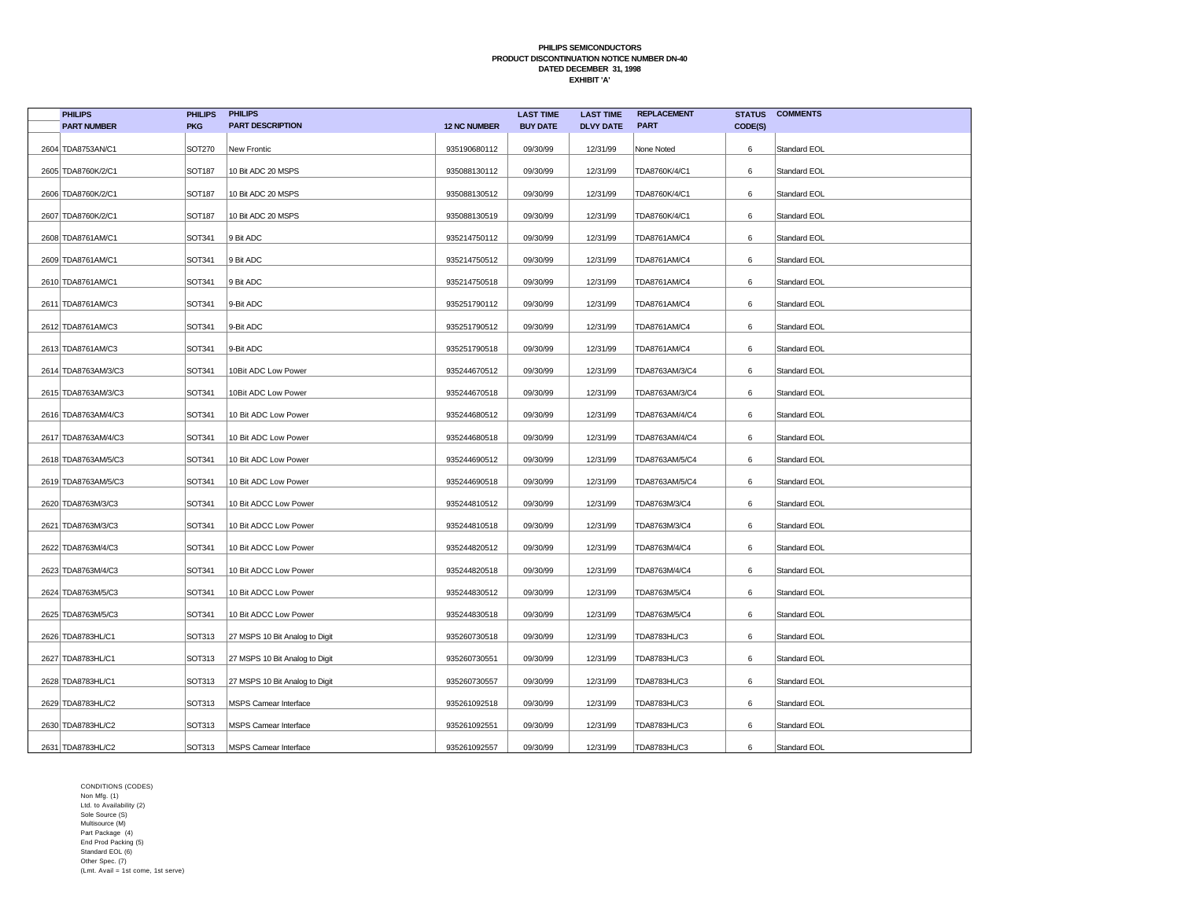| <b>PHILIPS</b>       | <b>PHILIPS</b> | <b>PHILIPS</b>                 |                     | <b>LAST TIME</b> | <b>LAST TIME</b> | <b>REPLACEMENT</b> | <b>STATUS</b> | <b>COMMENTS</b>     |
|----------------------|----------------|--------------------------------|---------------------|------------------|------------------|--------------------|---------------|---------------------|
| <b>PART NUMBER</b>   | <b>PKG</b>     | <b>PART DESCRIPTION</b>        | <b>12 NC NUMBER</b> | <b>BUY DATE</b>  | <b>DLVY DATE</b> | <b>PART</b>        | CODE(S)       |                     |
| 2604 TDA8753AN/C1    | SOT270         | New Frontic                    | 935190680112        | 09/30/99         | 12/31/99         | None Noted         | 6             | Standard EOL        |
| 2605 TDA8760K/2/C1   | <b>SOT187</b>  | 10 Bit ADC 20 MSPS             | 935088130112        | 09/30/99         | 12/31/99         | TDA8760K/4/C1      | 6             | Standard EOL        |
| 2606 TDA8760K/2/C1   | <b>SOT187</b>  | 10 Bit ADC 20 MSPS             | 935088130512        | 09/30/99         | 12/31/99         | TDA8760K/4/C1      | 6             | Standard EOL        |
| 2607 TDA8760K/2/C1   | <b>SOT187</b>  | 10 Bit ADC 20 MSPS             | 935088130519        | 09/30/99         | 12/31/99         | TDA8760K/4/C1      | 6             | <b>Standard EOL</b> |
| 2608 TDA8761AM/C1    | SOT341         | 9 Bit ADC                      | 935214750112        | 09/30/99         | 12/31/99         | TDA8761AM/C4       | 6             | Standard EOL        |
| 2609 TDA8761AM/C1    | SOT341         | 9 Bit ADC                      | 935214750512        | 09/30/99         | 12/31/99         | TDA8761AM/C4       | 6             | Standard EOL        |
| 2610 TDA8761AM/C1    | SOT341         | 9 Bit ADC                      | 935214750518        | 09/30/99         | 12/31/99         | TDA8761AM/C4       | 6             | Standard EOL        |
| 2611 TDA8761AM/C3    | SOT341         | 9-Bit ADC                      | 935251790112        | 09/30/99         | 12/31/99         | TDA8761AM/C4       | 6             | Standard EOL        |
| 2612 TDA8761AM/C3    | SOT341         | 9-Bit ADC                      | 935251790512        | 09/30/99         | 12/31/99         | TDA8761AM/C4       | 6             | Standard EOL        |
| 2613 TDA8761AM/C3    | SOT341         | 9-Bit ADC                      | 935251790518        | 09/30/99         | 12/31/99         | TDA8761AM/C4       | 6             | Standard EOL        |
| 2614 TDA8763AM/3/C3  | SOT341         | 10Bit ADC Low Power            | 935244670512        | 09/30/99         | 12/31/99         | TDA8763AM/3/C4     | 6             | Standard EOL        |
| 2615 TDA8763AM/3/C3  | SOT341         | 10Bit ADC Low Power            | 935244670518        | 09/30/99         | 12/31/99         | TDA8763AM/3/C4     | 6             | Standard EOL        |
| 2616 TDA8763AM/4/C3  | SOT341         | 10 Bit ADC Low Power           | 935244680512        | 09/30/99         | 12/31/99         | TDA8763AM/4/C4     | 6             | Standard EOL        |
| 2617 TDA8763AM/4/C3  | <b>SOT341</b>  | 10 Bit ADC Low Power           | 935244680518        | 09/30/99         | 12/31/99         | TDA8763AM/4/C4     | 6             | Standard EOL        |
| 2618 TDA8763AM/5/C3  | SOT341         | 10 Bit ADC Low Power           | 935244690512        | 09/30/99         | 12/31/99         | TDA8763AM/5/C4     | 6             | Standard EOL        |
| 2619 TDA8763AM/5/C3  | SOT341         | 10 Bit ADC Low Power           | 935244690518        | 09/30/99         | 12/31/99         | TDA8763AM/5/C4     | 6             | Standard EOL        |
| 2620 TDA8763M/3/C3   | <b>SOT341</b>  | 10 Bit ADCC Low Power          | 935244810512        | 09/30/99         | 12/31/99         | TDA8763M/3/C4      | 6             | Standard EOL        |
| 2621   TDA8763M/3/C3 | SOT341         | 10 Bit ADCC Low Power          | 935244810518        | 09/30/99         | 12/31/99         | TDA8763M/3/C4      | 6             | Standard EOL        |
| 2622 TDA8763M/4/C3   | SOT341         | 10 Bit ADCC Low Power          | 935244820512        | 09/30/99         | 12/31/99         | TDA8763M/4/C4      | 6             | Standard EOL        |
| 2623 TDA8763M/4/C3   | SOT341         | 10 Bit ADCC Low Power          | 935244820518        | 09/30/99         | 12/31/99         | TDA8763M/4/C4      | 6             | Standard EOL        |
| 2624 TDA8763M/5/C3   | SOT341         | 10 Bit ADCC Low Power          | 935244830512        | 09/30/99         | 12/31/99         | TDA8763M/5/C4      | 6             | Standard EOL        |
| 2625 TDA8763M/5/C3   | SOT341         | 10 Bit ADCC Low Power          | 935244830518        | 09/30/99         | 12/31/99         | TDA8763M/5/C4      | 6             | Standard EOL        |
| 2626 TDA8783HL/C1    | SOT313         | 27 MSPS 10 Bit Analog to Digit | 935260730518        | 09/30/99         | 12/31/99         | TDA8783HL/C3       | 6             | Standard EOL        |
| 2627 TDA8783HL/C1    | SOT313         | 27 MSPS 10 Bit Analog to Digit | 935260730551        | 09/30/99         | 12/31/99         | TDA8783HL/C3       | 6             | Standard EOL        |
| 2628 TDA8783HL/C1    | SOT313         | 27 MSPS 10 Bit Analog to Digit | 935260730557        | 09/30/99         | 12/31/99         | TDA8783HL/C3       | 6             | Standard EOL        |
| 2629 TDA8783HL/C2    | SOT313         | MSPS Camear Interface          | 935261092518        | 09/30/99         | 12/31/99         | TDA8783HL/C3       | 6             | Standard EOL        |
| 2630 TDA8783HL/C2    | SOT313         | MSPS Camear Interface          | 935261092551        | 09/30/99         | 12/31/99         | TDA8783HL/C3       | 6             | Standard EOL        |
| 2631 TDA8783HL/C2    | SOT313         | MSPS Camear Interface          | 935261092557        | 09/30/99         | 12/31/99         | TDA8783HL/C3       | 6             | Standard EOL        |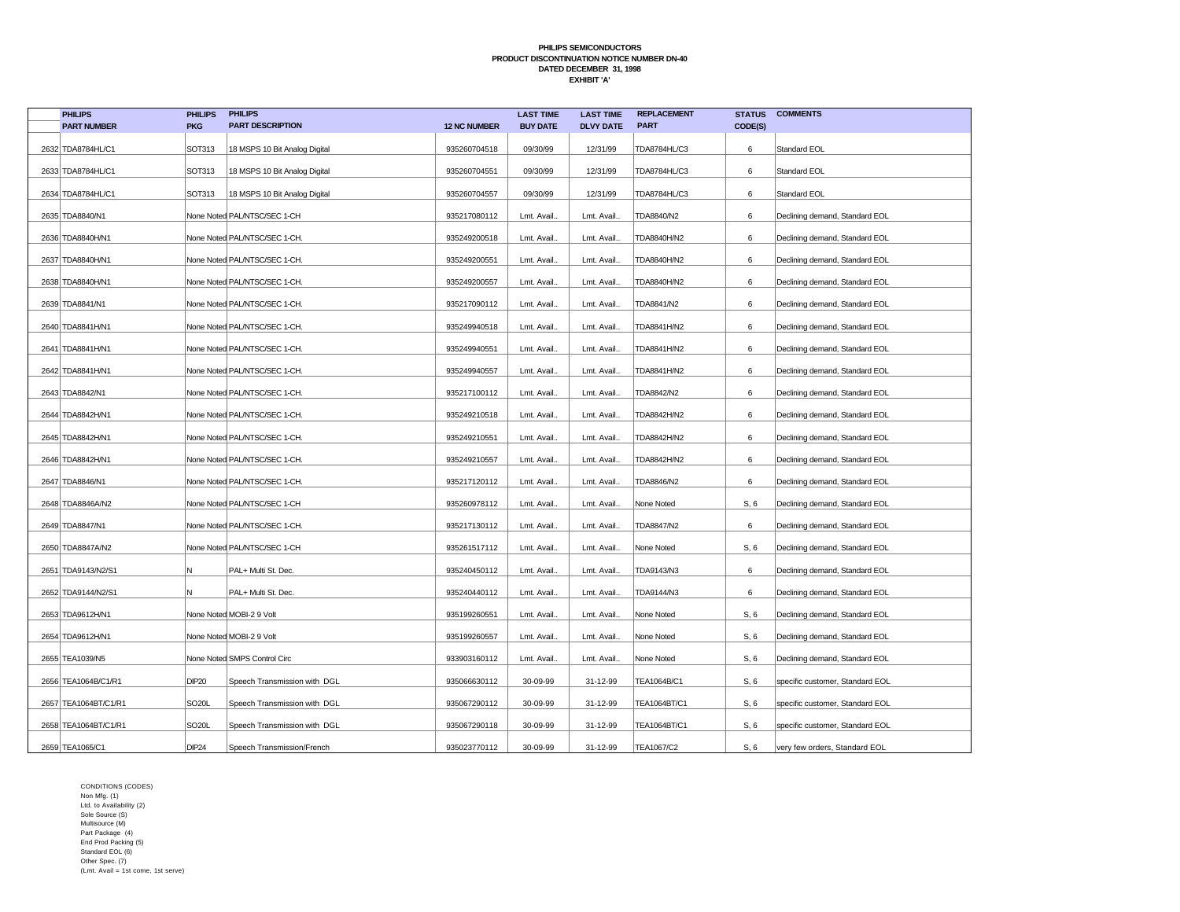| <b>PHILIPS</b>       | <b>PHILIPS</b>     | <b>PHILIPS</b>                |                     | <b>LAST TIME</b> | <b>LAST TIME</b> | <b>REPLACEMENT</b> | <b>STATUS</b> | <b>COMMENTS</b>                 |
|----------------------|--------------------|-------------------------------|---------------------|------------------|------------------|--------------------|---------------|---------------------------------|
| <b>PART NUMBER</b>   | <b>PKG</b>         | <b>PART DESCRIPTION</b>       | <b>12 NC NUMBER</b> | <b>BUY DATE</b>  | <b>DLVY DATE</b> | <b>PART</b>        | CODE(S)       |                                 |
| 2632 TDA8784HL/C1    | SOT313             | 18 MSPS 10 Bit Analog Digital | 935260704518        | 09/30/99         | 12/31/99         | TDA8784HL/C3       | 6             | Standard EOL                    |
| 2633 TDA8784HL/C1    | SOT313             | 18 MSPS 10 Bit Analog Digital | 935260704551        | 09/30/99         | 12/31/99         | TDA8784HL/C3       | 6             | Standard EOL                    |
| 2634 TDA8784HL/C1    | SOT313             | 18 MSPS 10 Bit Analog Digital | 935260704557        | 09/30/99         | 12/31/99         | TDA8784HL/C3       | 6             | Standard EOL                    |
| 2635 TDA8840/N1      |                    | None Noted PAL/NTSC/SEC 1-CH  | 935217080112        | Lmt. Avail       | Lmt. Avail.      | TDA8840/N2         | 6             | Declining demand, Standard EOL  |
| 2636 TDA8840H/N1     |                    | None Noted PAL/NTSC/SEC 1-CH. | 935249200518        | Lmt. Avail       | Lmt. Avail.      | TDA8840H/N2        | 6             | Declining demand, Standard EOL  |
| 2637 TDA8840H/N1     |                    | None Noted PAL/NTSC/SEC 1-CH. | 935249200551        | Lmt. Avail.      | Lmt. Avail.      | TDA8840H/N2        | 6             | Declining demand, Standard EOL  |
| 2638 TDA8840H/N1     |                    | None Noted PAL/NTSC/SEC 1-CH. | 935249200557        | Lmt. Avail.      | Lmt. Avail.      | TDA8840H/N2        | 6             | Declining demand, Standard EOL  |
| 2639 TDA8841/N1      |                    | None Noted PAL/NTSC/SEC 1-CH. | 935217090112        | Lmt. Avail       | Lmt. Avail.      | TDA8841/N2         | 6             | Declining demand, Standard EOL  |
| 2640 TDA8841H/N1     |                    | None Noted PAL/NTSC/SEC 1-CH. | 935249940518        | Lmt. Avail       | Lmt. Avail.      | TDA8841H/N2        | 6             | Declining demand, Standard EOL  |
| 2641 TDA8841H/N1     |                    | None Noted PAL/NTSC/SEC 1-CH. | 935249940551        | Lmt. Avail.      | Lmt. Avail.      | TDA8841H/N2        | 6             | Declining demand, Standard EOL  |
| 2642 TDA8841H/N1     |                    | None Noted PAL/NTSC/SEC 1-CH. | 935249940557        | Lmt. Avail.      | Lmt. Avail.      | TDA8841H/N2        | 6             | Declining demand, Standard EOL  |
| 2643 TDA8842/N1      |                    | None Noted PAL/NTSC/SEC 1-CH. | 935217100112        | Lmt. Avail       | Lmt. Avail.      | TDA8842/N2         | 6             | Declining demand, Standard EOL  |
| 2644 TDA8842H/N1     |                    | None Noted PAL/NTSC/SEC 1-CH. | 935249210518        | Lmt. Avail       | Lmt. Avail.      | TDA8842H/N2        | 6             | Declining demand, Standard EOL  |
| 2645 TDA8842H/N1     |                    | None Noted PAL/NTSC/SEC 1-CH. | 935249210551        | Lmt. Avail       | Lmt. Avail.      | TDA8842H/N2        | 6             | Declining demand, Standard EOL  |
| 2646 TDA8842H/N1     |                    | None Noted PAL/NTSC/SEC 1-CH. | 935249210557        | Lmt. Avail.      | Lmt. Avail.      | TDA8842H/N2        | 6             | Declining demand, Standard EOL  |
| 2647 TDA8846/N1      |                    | None Noted PAL/NTSC/SEC 1-CH. | 935217120112        | Lmt. Avail       | Lmt. Avail.      | TDA8846/N2         | 6             | Declining demand, Standard EOL  |
| 2648 TDA8846A/N2     |                    | None Noted PAL/NTSC/SEC 1-CH  | 935260978112        | Lmt. Avail.      | Lmt. Avail.      | None Noted         | S, 6          | Declining demand, Standard EOL  |
| 2649 TDA8847/N1      |                    | None Noted PAL/NTSC/SEC 1-CH. | 935217130112        | Lmt. Avail.      | Lmt. Avail.      | TDA8847/N2         | 6             | Declining demand, Standard EOL  |
| 2650 TDA8847A/N2     |                    | None Noted PAL/NTSC/SEC 1-CH  | 935261517112        | Lmt. Avail       | Lmt. Avail.      | None Noted         | S, 6          | Declining demand, Standard EOL  |
| 2651 TDA9143/N2/S1   | Ν                  | PAL+ Multi St. Dec.           | 935240450112        | Lmt. Avail.      | Lmt. Avail.      | TDA9143/N3         | 6             | Declining demand, Standard EOL  |
| 2652 TDA9144/N2/S1   | N                  | PAL+ Multi St. Dec.           | 935240440112        | Lmt. Avail       | Lmt. Avail.      | TDA9144/N3         | 6             | Declining demand, Standard EOL  |
| 2653 TDA9612H/N1     |                    | None Noted MOBI-2 9 Volt      | 935199260551        | Lmt. Avail       | Lmt. Avail.      | None Noted         | S, 6          | Declining demand, Standard EOL  |
| 2654 TDA9612H/N1     |                    | None Noted MOBI-2 9 Volt      | 935199260557        | Lmt. Avail.      | Lmt. Avail.      | None Noted         | S, 6          | Declining demand, Standard EOL  |
| 2655 TEA1039/N5      |                    | None Noted SMPS Control Circ  | 933903160112        | Lmt. Avail       | Lmt. Avail.      | None Noted         | S, 6          | Declining demand, Standard EOL  |
| 2656 TEA1064B/C1/R1  | <b>DIP20</b>       | Speech Transmission with DGL  | 935066630112        | 30-09-99         | 31-12-99         | TEA1064B/C1        | S, 6          | specific customer, Standard EOL |
| 2657 TEA1064BT/C1/R1 | SO <sub>20</sub> L | Speech Transmission with DGL  | 935067290112        | 30-09-99         | 31-12-99         | TEA1064BT/C1       | S, 6          | specific customer, Standard EOL |
| 2658 TEA1064BT/C1/R1 | <b>SO20L</b>       | Speech Transmission with DGL  | 935067290118        | 30-09-99         | 31-12-99         | TEA1064BT/C1       | S, 6          | specific customer, Standard EOL |
| 2659 TEA1065/C1      | <b>DIP24</b>       | Speech Transmission/French    | 935023770112        | 30-09-99         | 31-12-99         | TEA1067/C2         | S, 6          | very few orders, Standard EOL   |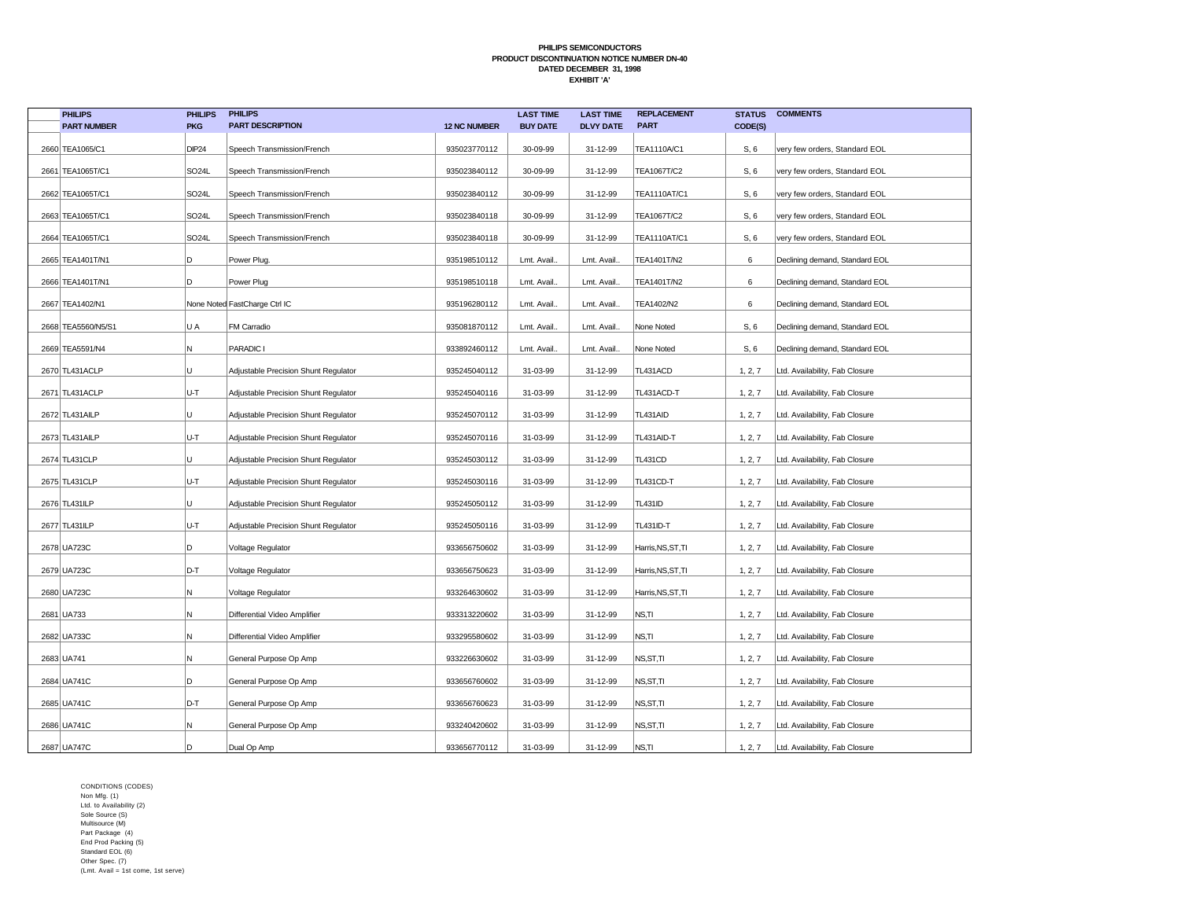| <b>PHILIPS</b>     | <b>PHILIPS</b>     | <b>PHILIPS</b>                       |                     | <b>LAST TIME</b> | <b>LAST TIME</b> | <b>REPLACEMENT</b> | <b>STATUS</b> | <b>COMMENTS</b>                |
|--------------------|--------------------|--------------------------------------|---------------------|------------------|------------------|--------------------|---------------|--------------------------------|
| <b>PART NUMBER</b> | <b>PKG</b>         | <b>PART DESCRIPTION</b>              | <b>12 NC NUMBER</b> | <b>BUY DATE</b>  | <b>DLVY DATE</b> | <b>PART</b>        | CODE(S)       |                                |
| 2660 TEA1065/C1    | <b>DIP24</b>       | Speech Transmission/French           | 935023770112        | 30-09-99         | 31-12-99         | TEA1110A/C1        | S, 6          | very few orders, Standard EOL  |
| 2661 TEA1065T/C1   | SO <sub>24</sub> L | Speech Transmission/French           | 935023840112        | 30-09-99         | 31-12-99         | TEA1067T/C2        | S, 6          | very few orders, Standard EOL  |
| 2662 TEA1065T/C1   | SO <sub>24</sub> L | Speech Transmission/French           | 935023840112        | 30-09-99         | 31-12-99         | TEA1110AT/C1       | S, 6          | very few orders, Standard EOL  |
| 2663 TEA1065T/C1   | SO <sub>24</sub> L | Speech Transmission/French           | 935023840118        | 30-09-99         | 31-12-99         | TEA1067T/C2        | S, 6          | very few orders, Standard EOL  |
| 2664 TEA1065T/C1   | SO <sub>24</sub> L | Speech Transmission/French           | 935023840118        | 30-09-99         | 31-12-99         | TEA1110AT/C1       | S, 6          | very few orders, Standard EOL  |
| 2665 TEA1401T/N1   | D                  | Power Plug.                          | 935198510112        | Lmt. Avail.      | Lmt. Avail.      | TEA1401T/N2        | 6             | Declining demand, Standard EOL |
| 2666 TEA1401T/N1   | D                  | Power Plug                           | 935198510118        | Lmt. Avail.      | Lmt. Avail.      | TEA1401T/N2        | 6             | Declining demand, Standard EOL |
| 2667 TEA1402/N1    |                    | None Noted FastCharge Ctrl IC        | 935196280112        | Lmt. Avail       | Lmt. Avail.      | TEA1402/N2         | 6             | Declining demand, Standard EOL |
| 2668 TEA5560/N5/S1 | U A                | FM Carradio                          | 935081870112        | Lmt. Avail       | Lmt. Avail.      | None Noted         | S, 6          | Declining demand, Standard EOL |
| 2669 TEA5591/N4    | N                  | PARADIC I                            | 933892460112        | Lmt. Avail.      | Lmt. Avail.      | None Noted         | S, 6          | Declining demand, Standard EOL |
| 2670 TL431ACLP     | U                  | Adjustable Precision Shunt Regulator | 935245040112        | 31-03-99         | 31-12-99         | TL431ACD           | 1, 2, 7       | Ltd. Availability, Fab Closure |
| 2671 TL431ACLP     | U-T                | Adjustable Precision Shunt Regulator | 935245040116        | 31-03-99         | 31-12-99         | TL431ACD-T         | 1, 2, 7       | Ltd. Availability, Fab Closure |
| 2672 TL431AILP     | U                  | Adjustable Precision Shunt Regulator | 935245070112        | 31-03-99         | 31-12-99         | TL431AID           | 1, 2, 7       | Ltd. Availability, Fab Closure |
| 2673 TL431AILP     | U-T                | Adjustable Precision Shunt Regulator | 935245070116        | 31-03-99         | 31-12-99         | TL431AID-T         | 1, 2, 7       | Ltd. Availability, Fab Closure |
| 2674 TL431CLP      | lu.                | Adjustable Precision Shunt Regulator | 935245030112        | 31-03-99         | 31-12-99         | <b>TL431CD</b>     | 1, 2, 7       | Ltd. Availability, Fab Closure |
| 2675 TL431CLP      | U-T                | Adjustable Precision Shunt Regulator | 935245030116        | 31-03-99         | 31-12-99         | TL431CD-T          | 1, 2, 7       | Ltd. Availability, Fab Closure |
| 2676 TL431ILP      | U                  | Adjustable Precision Shunt Regulator | 935245050112        | 31-03-99         | 31-12-99         | <b>TL431ID</b>     | 1, 2, 7       | Ltd. Availability, Fab Closure |
| 2677 TL431ILP      | U-T                | Adjustable Precision Shunt Regulator | 935245050116        | 31-03-99         | 31-12-99         | TL431ID-T          | 1, 2, 7       | Ltd. Availability, Fab Closure |
| 2678 UA723C        | D                  | Voltage Regulator                    | 933656750602        | 31-03-99         | 31-12-99         | Harris, NS, ST, TI | 1, 2, 7       | Ltd. Availability, Fab Closure |
| 2679 UA723C        | D-T                | Voltage Regulator                    | 933656750623        | 31-03-99         | 31-12-99         | Harris, NS, ST, TI | 1, 2, 7       | Ltd. Availability, Fab Closure |
| 2680 UA723C        | N                  | Voltage Regulator                    | 933264630602        | 31-03-99         | 31-12-99         | Harris, NS, ST, TI | 1, 2, 7       | Ltd. Availability, Fab Closure |
| 2681 UA733         | N                  | Differential Video Amplifier         | 933313220602        | 31-03-99         | 31-12-99         | NS,TI              | 1, 2, 7       | Ltd. Availability, Fab Closure |
| 2682 UA733C        | N                  | Differential Video Amplifier         | 933295580602        | 31-03-99         | 31-12-99         | NS,TI              | 1, 2, 7       | Ltd. Availability, Fab Closure |
| 2683 UA741         | N.                 | General Purpose Op Amp               | 933226630602        | 31-03-99         | 31-12-99         | NS, ST, TI         | 1, 2, 7       | Ltd. Availability, Fab Closure |
| 2684 UA741C        | D.                 | General Purpose Op Amp               | 933656760602        | 31-03-99         | 31-12-99         | NS, ST, TI         | 1, 2, 7       | Ltd. Availability, Fab Closure |
| 2685 UA741C        | D-T                | General Purpose Op Amp               | 933656760623        | 31-03-99         | 31-12-99         | NS, ST, TI         | 1, 2, 7       | Ltd. Availability, Fab Closure |
| 2686 UA741C        | N.                 | General Purpose Op Amp               | 933240420602        | 31-03-99         | 31-12-99         | NS,ST,TI           | 1, 2, 7       | Ltd. Availability, Fab Closure |
| 2687 UA747C        | D                  | Dual Op Amp                          | 933656770112        | 31-03-99         | 31-12-99         | NS,TI              | 1, 2, 7       | Ltd. Availability, Fab Closure |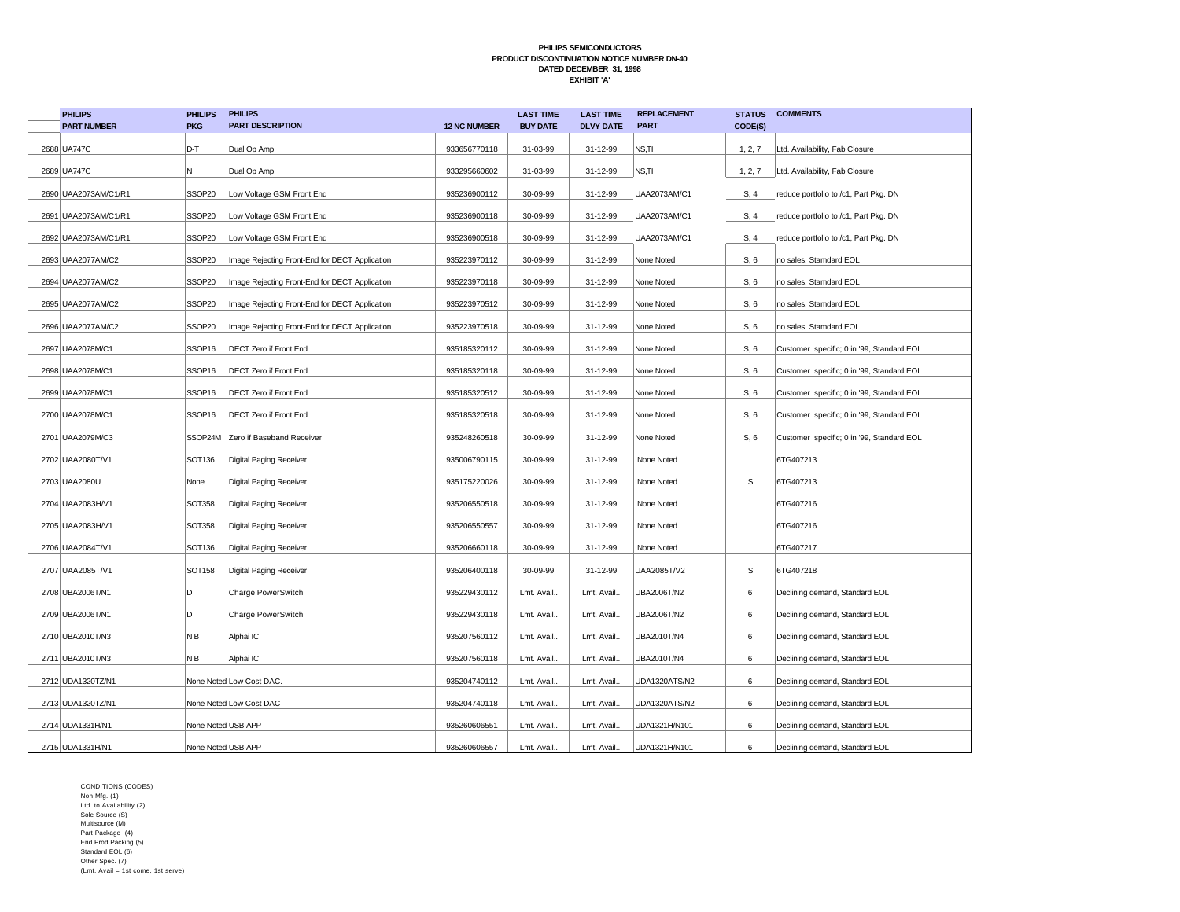| <b>PHILIPS</b>       | <b>PHILIPS</b>     | <b>PHILIPS</b>                                 |                     | <b>LAST TIME</b> | <b>LAST TIME</b> | <b>REPLACEMENT</b> | <b>STATUS</b> | <b>COMMENTS</b>                           |
|----------------------|--------------------|------------------------------------------------|---------------------|------------------|------------------|--------------------|---------------|-------------------------------------------|
| <b>PART NUMBER</b>   | <b>PKG</b>         | <b>PART DESCRIPTION</b>                        | <b>12 NC NUMBER</b> | <b>BUY DATE</b>  | <b>DLVY DATE</b> | <b>PART</b>        | CODE(S)       |                                           |
| 2688 UA747C          | D-T                | Dual Op Amp                                    | 933656770118        | 31-03-99         | 31-12-99         | NS,TI              | 1, 2, 7       | Ltd. Availability, Fab Closure            |
| 2689 UA747C          | N                  | Dual Op Amp                                    | 933295660602        | 31-03-99         | 31-12-99         | NS.TI              | 1, 2, 7       | Ltd. Availability, Fab Closure            |
| 2690 UAA2073AM/C1/R1 | SSOP <sub>20</sub> | Low Voltage GSM Front End                      | 935236900112        | 30-09-99         | 31-12-99         | UAA2073AM/C1       | S, 4          | reduce portfolio to /c1, Part Pkg. DN     |
| 2691 UAA2073AM/C1/R1 | SSOP20             | Low Voltage GSM Front End                      | 935236900118        | 30-09-99         | 31-12-99         | UAA2073AM/C1       | S, 4          | reduce portfolio to /c1, Part Pkg. DN     |
| 2692 UAA2073AM/C1/R1 | SSOP20             | Low Voltage GSM Front End                      | 935236900518        | 30-09-99         | 31-12-99         | UAA2073AM/C1       | S, 4          | reduce portfolio to /c1, Part Pkg. DN     |
| 2693 UAA2077AM/C2    | SSOP20             | Image Rejecting Front-End for DECT Application | 935223970112        | 30-09-99         | 31-12-99         | None Noted         | S, 6          | no sales, Stamdard EOL                    |
| 2694   UAA2077AM/C2  | SSOP20             | Image Rejecting Front-End for DECT Application | 935223970118        | 30-09-99         | 31-12-99         | None Noted         | S, 6          | no sales, Stamdard EOL                    |
| 2695 UAA2077AM/C2    | SSOP20             | Image Rejecting Front-End for DECT Application | 935223970512        | 30-09-99         | 31-12-99         | None Noted         | S, 6          | no sales, Stamdard EOL                    |
| 2696 UAA2077AM/C2    | SSOP20             | Image Rejecting Front-End for DECT Application | 935223970518        | 30-09-99         | 31-12-99         | None Noted         | S, 6          | no sales, Stamdard EOL                    |
| 2697 UAA2078M/C1     | SSOP16             | DECT Zero if Front End                         | 935185320112        | 30-09-99         | 31-12-99         | None Noted         | S, 6          | Customer specific; 0 in '99, Standard EOL |
| 2698 UAA2078M/C1     | SSOP16             | DECT Zero if Front End                         | 935185320118        | 30-09-99         | 31-12-99         | None Noted         | S, 6          | Customer specific; 0 in '99, Standard EOL |
| 2699 UAA2078M/C1     | SSOP16             | DECT Zero if Front End                         | 935185320512        | 30-09-99         | 31-12-99         | None Noted         | S, 6          | Customer specific; 0 in '99, Standard EOL |
| 2700 UAA2078M/C1     | SSOP <sub>16</sub> | <b>DECT Zero if Front End</b>                  | 935185320518        | 30-09-99         | 31-12-99         | None Noted         | S, 6          | Customer specific; 0 in '99, Standard EOL |
| 2701 UAA2079M/C3     |                    | SSOP24M Zero if Baseband Receiver              | 935248260518        | 30-09-99         | 31-12-99         | None Noted         | S, 6          | Customer specific; 0 in '99, Standard EOL |
| 2702 UAA2080T/V1     | SOT136             | Digital Paging Receiver                        | 935006790115        | 30-09-99         | 31-12-99         | None Noted         |               | 6TG407213                                 |
| 2703 UAA2080U        | None               | Digital Paging Receiver                        | 935175220026        | 30-09-99         | 31-12-99         | None Noted         | $\mathsf S$   | 6TG407213                                 |
| 2704 UAA2083H/V1     | <b>SOT358</b>      | Digital Paging Receiver                        | 935206550518        | 30-09-99         | 31-12-99         | None Noted         |               | 6TG407216                                 |
| 2705 UAA2083H/V1     | <b>SOT358</b>      | Digital Paging Receiver                        | 935206550557        | 30-09-99         | 31-12-99         | None Noted         |               | 6TG407216                                 |
| 2706 UAA2084T/V1     | SOT136             | Digital Paging Receiver                        | 935206660118        | 30-09-99         | 31-12-99         | None Noted         |               | 6TG407217                                 |
| 2707 UAA2085T/V1     | SOT158             | Digital Paging Receiver                        | 935206400118        | 30-09-99         | 31-12-99         | UAA2085T/V2        | $\mathsf{s}$  | 6TG407218                                 |
| 2708 UBA2006T/N1     | D                  | Charge PowerSwitch                             | 935229430112        | Lmt. Avail.      | Lmt. Avail.      | UBA2006T/N2        | 6             | Declining demand, Standard EOL            |
| 2709 UBA2006T/N1     | D                  | Charge PowerSwitch                             | 935229430118        | Lmt. Avail.      | Lmt. Avail.      | UBA2006T/N2        | 6             | Declining demand, Standard EOL            |
| 2710 UBA2010T/N3     | NВ                 | Alphai IC                                      | 935207560112        | Lmt. Avail.      | Lmt. Avail.      | UBA2010T/N4        | 6             | Declining demand, Standard EOL            |
| 2711 UBA2010T/N3     | ΝB                 | Alphai IC                                      | 935207560118        | Lmt. Avail.      | Lmt. Avail.      | UBA2010T/N4        | 6             | Declining demand, Standard EOL            |
| 2712 UDA1320TZ/N1    |                    | None Noted Low Cost DAC.                       | 935204740112        | Lmt. Avail.      | Lmt. Avail.      | UDA1320ATS/N2      | 6             | Declining demand, Standard EOL            |
| 2713 UDA1320TZ/N1    |                    | None Noted Low Cost DAC                        | 935204740118        | Lmt. Avail.      | Lmt. Avail.      | UDA1320ATS/N2      | 6             | Declining demand, Standard EOL            |
| 2714 UDA1331H/N1     | None Noted USB-APP |                                                | 935260606551        | Lmt. Avail.      | Lmt. Avail.      | UDA1321H/N101      | 6             | Declining demand, Standard EOL            |
| 2715 UDA1331H/N1     | None Noted USB-APP |                                                | 935260606557        | Lmt. Avail.      | Lmt. Avail.      | UDA1321H/N101      | 6             | Declining demand, Standard EOL            |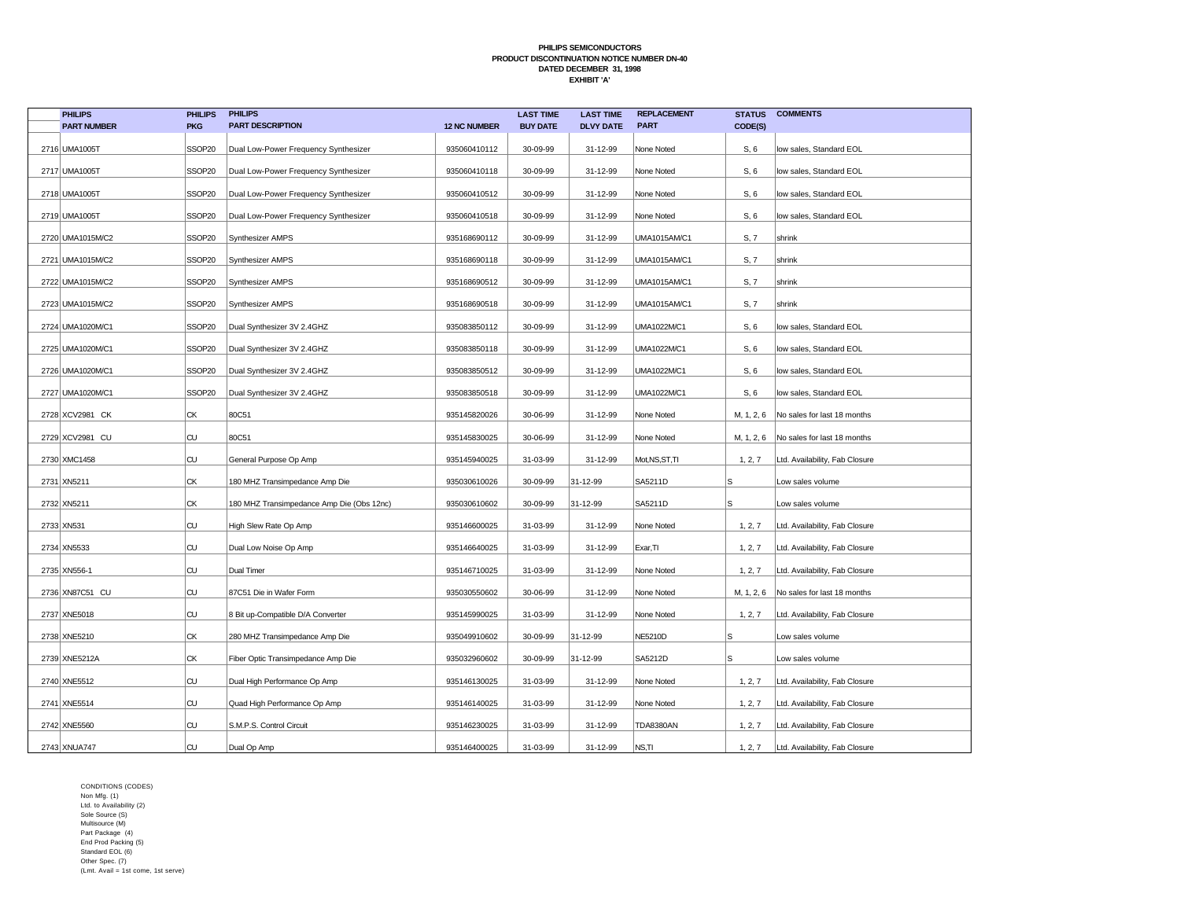| <b>PHILIPS</b>     | <b>PHILIPS</b> | <b>PHILIPS</b>                            |                     | <b>LAST TIME</b> | <b>LAST TIME</b> | <b>REPLACEMENT</b>  | <b>STATUS</b> | <b>COMMENTS</b>                |
|--------------------|----------------|-------------------------------------------|---------------------|------------------|------------------|---------------------|---------------|--------------------------------|
| <b>PART NUMBER</b> | <b>PKG</b>     | <b>PART DESCRIPTION</b>                   | <b>12 NC NUMBER</b> | <b>BUY DATE</b>  | <b>DLVY DATE</b> | <b>PART</b>         | CODE(S)       |                                |
| 2716 UMA1005T      | SSOP20         | Dual Low-Power Frequency Synthesizer      | 935060410112        | 30-09-99         | 31-12-99         | None Noted          | S, 6          | low sales, Standard EOL        |
| 2717 UMA1005T      | SSOP20         | Dual Low-Power Frequency Synthesizer      | 935060410118        | 30-09-99         | 31-12-99         | None Noted          | S, 6          | low sales, Standard EOL        |
| 2718 UMA1005T      | SSOP20         | Dual Low-Power Frequency Synthesizer      | 935060410512        | 30-09-99         | 31-12-99         | None Noted          | S, 6          | low sales, Standard EOL        |
| 2719 UMA1005T      | SSOP20         | Dual Low-Power Frequency Synthesizer      | 935060410518        | 30-09-99         | 31-12-99         | None Noted          | S, 6          | low sales, Standard EOL        |
| 2720 UMA1015M/C2   | SSOP20         | Synthesizer AMPS                          | 935168690112        | 30-09-99         | 31-12-99         | <b>UMA1015AM/C1</b> | S, 7          | shrink                         |
| 2721 UMA1015M/C2   | SSOP20         | Synthesizer AMPS                          | 935168690118        | 30-09-99         | 31-12-99         | <b>UMA1015AM/C1</b> | S, 7          | shrink                         |
| 2722 UMA1015M/C2   | SSOP20         | Synthesizer AMPS                          | 935168690512        | 30-09-99         | 31-12-99         | UMA1015AM/C1        | S, 7          | shrink                         |
| 2723 UMA1015M/C2   | SSOP20         | <b>Synthesizer AMPS</b>                   | 935168690518        | 30-09-99         | 31-12-99         | <b>UMA1015AM/C1</b> | S, 7          | shrink                         |
| 2724 UMA1020M/C1   | SSOP20         | Dual Synthesizer 3V 2.4GHZ                | 935083850112        | 30-09-99         | 31-12-99         | UMA1022M/C1         | S, 6          | low sales, Standard EOL        |
| 2725 UMA1020M/C1   | SSOP20         | Dual Synthesizer 3V 2.4GHZ                | 935083850118        | 30-09-99         | 31-12-99         | UMA1022M/C1         | S, 6          | low sales, Standard EOL        |
| 2726 UMA1020M/C1   | SSOP20         | Dual Synthesizer 3V 2.4GHZ                | 935083850512        | 30-09-99         | 31-12-99         | UMA1022M/C1         | S, 6          | low sales, Standard EOL        |
| 2727 UMA1020M/C1   | SSOP20         | Dual Synthesizer 3V 2.4GHZ                | 935083850518        | 30-09-99         | 31-12-99         | UMA1022M/C1         | S, 6          | low sales, Standard EOL        |
| 2728 XCV2981 CK    | CK             | 80C51                                     | 935145820026        | 30-06-99         | 31-12-99         | None Noted          | M, 1, 2, 6    | No sales for last 18 months    |
| 2729 XCV2981 CU    | <b>CU</b>      | 80C51                                     | 935145830025        | 30-06-99         | 31-12-99         | None Noted          | M, 1, 2, 6    | No sales for last 18 months    |
| 2730 XMC1458       | <b>CU</b>      | General Purpose Op Amp                    | 935145940025        | 31-03-99         | 31-12-99         | Mot, NS, ST, TI     | 1, 2, 7       | Ltd. Availability, Fab Closure |
| 2731 XN5211        | CK             | 180 MHZ Transimpedance Amp Die            | 935030610026        | 30-09-99         | 31-12-99         | SA5211D             | S             | Low sales volume               |
| 2732 XN5211        | CK             | 180 MHZ Transimpedance Amp Die (Obs 12nc) | 935030610602        | 30-09-99         | 31-12-99         | SA5211D             | s             | Low sales volume               |
| 2733 XN531         | <b>CU</b>      | High Slew Rate Op Amp                     | 935146600025        | 31-03-99         | 31-12-99         | None Noted          | 1, 2, 7       | Ltd. Availability, Fab Closure |
| 2734 XN5533        | <b>CU</b>      | Dual Low Noise Op Amp                     | 935146640025        | 31-03-99         | 31-12-99         | Exar, TI            | 1, 2, 7       | Ltd. Availability, Fab Closure |
| 2735 XN556-1       | lCU            | Dual Timer                                | 935146710025        | 31-03-99         | 31-12-99         | None Noted          | 1, 2, 7       | Ltd. Availability, Fab Closure |
| 2736 XN87C51 CU    | <b>CU</b>      | 87C51 Die in Wafer Form                   | 935030550602        | 30-06-99         | 31-12-99         | None Noted          | M, 1, 2, 6    | No sales for last 18 months    |
| 2737 XNE5018       | <b>CU</b>      | 8 Bit up-Compatible D/A Converter         | 935145990025        | 31-03-99         | 31-12-99         | None Noted          | 1, 2, 7       | Ltd. Availability, Fab Closure |
| 2738 XNE5210       | <b>CK</b>      | 280 MHZ Transimpedance Amp Die            | 935049910602        | 30-09-99         | 31-12-99         | <b>NE5210D</b>      | S             | Low sales volume               |
| 2739 XNE5212A      | CK             | Fiber Optic Transimpedance Amp Die        | 935032960602        | 30-09-99         | 31-12-99         | SA5212D             | s             | Low sales volume               |
| 2740 XNE5512       | <b>CU</b>      | Dual High Performance Op Amp              | 935146130025        | 31-03-99         | 31-12-99         | None Noted          | 1, 2, 7       | Ltd. Availability, Fab Closure |
| 2741 XNE5514       | <b>CU</b>      | Quad High Performance Op Amp              | 935146140025        | 31-03-99         | 31-12-99         | None Noted          | 1, 2, 7       | Ltd. Availability, Fab Closure |
| 2742 XNE5560       | <b>CU</b>      | S.M.P.S. Control Circuit                  | 935146230025        | 31-03-99         | 31-12-99         | <b>TDA8380AN</b>    | 1, 2, 7       | Ltd. Availability, Fab Closure |
| 2743 XNUA747       | <b>CU</b>      | Dual Op Amp                               | 935146400025        | 31-03-99         | 31-12-99         | NS,TI               | 1, 2, 7       | Ltd. Availability, Fab Closure |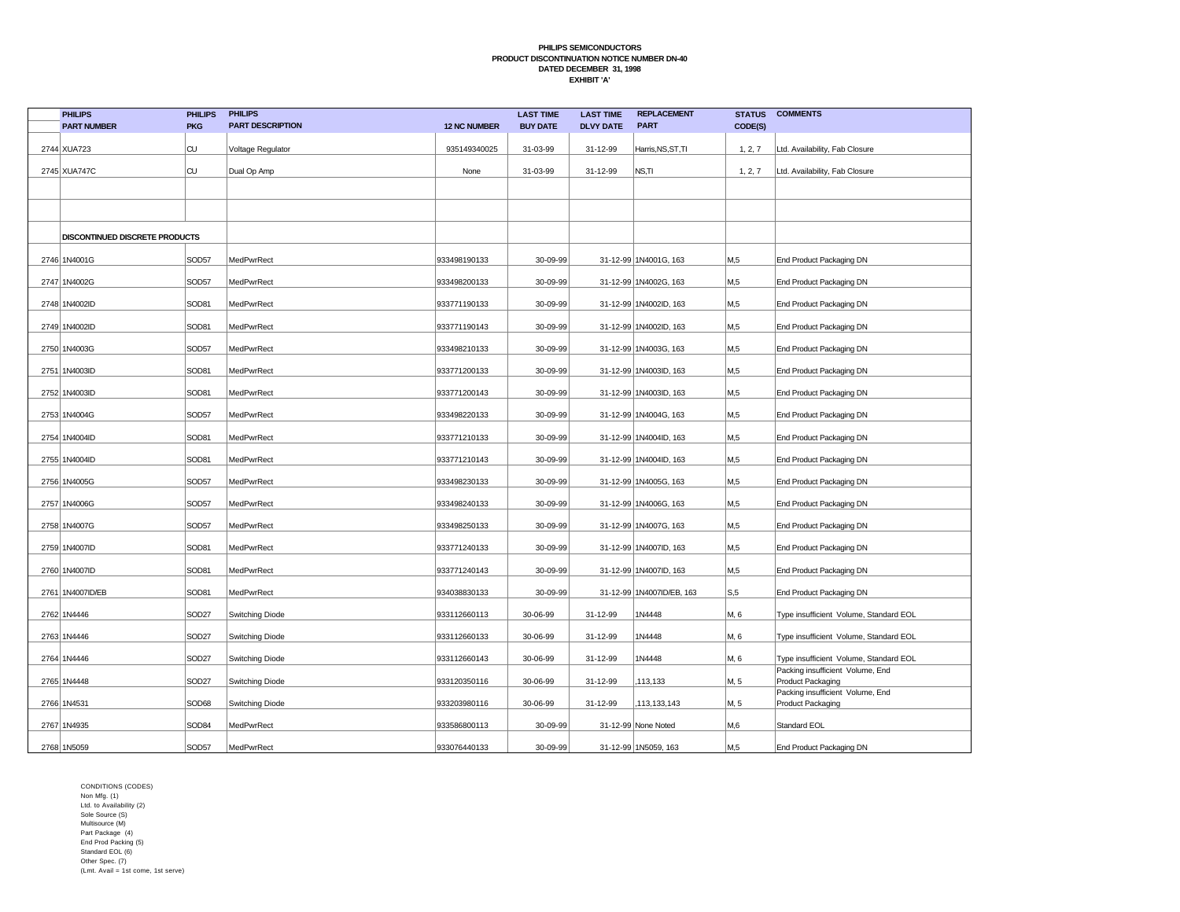| <b>PHILIPS</b>                 | <b>PHILIPS</b>    | <b>PHILIPS</b>          |                     | <b>LAST TIME</b> | <b>LAST TIME</b> | <b>REPLACEMENT</b>        | <b>STATUS</b>    | <b>COMMENTS</b>                                       |
|--------------------------------|-------------------|-------------------------|---------------------|------------------|------------------|---------------------------|------------------|-------------------------------------------------------|
| <b>PART NUMBER</b>             | <b>PKG</b>        | <b>PART DESCRIPTION</b> | <b>12 NC NUMBER</b> | <b>BUY DATE</b>  | <b>DLVY DATE</b> | <b>PART</b>               | CODE(S)          |                                                       |
| 2744 XUA723                    | CU                | Voltage Regulator       | 935149340025        | 31-03-99         | 31-12-99         | Harris, NS, ST, TI        | 1, 2, 7          | Ltd. Availability, Fab Closure                        |
| 2745 XUA747C                   | CU                | Dual Op Amp             | None                | 31-03-99         | 31-12-99         | NS,TI                     | 1, 2, 7          | Ltd. Availability, Fab Closure                        |
|                                |                   |                         |                     |                  |                  |                           |                  |                                                       |
|                                |                   |                         |                     |                  |                  |                           |                  |                                                       |
| DISCONTINUED DISCRETE PRODUCTS |                   |                         |                     |                  |                  |                           |                  |                                                       |
| 2746 1N4001G                   | SOD57             | MedPwrRect              | 933498190133        | 30-09-99         |                  | 31-12-99 1N4001G, 163     | M,5              | End Product Packaging DN                              |
| 2747 1N4002G                   | SOD57             | MedPwrRect              | 933498200133        | 30-09-99         |                  | 31-12-99 1N4002G, 163     | M,5              | End Product Packaging DN                              |
| 2748 1N4002ID                  | SOD81             | MedPwrRect              | 933771190133        | 30-09-99         |                  | 31-12-99 1N4002ID, 163    | M,5              | End Product Packaging DN                              |
| 2749 1N4002ID                  | SOD81             | MedPwrRect              | 933771190143        | 30-09-99         |                  | 31-12-99 1N4002ID, 163    | M,5              | End Product Packaging DN                              |
| 2750 1N4003G                   | SOD57             | MedPwrRect              | 933498210133        | 30-09-99         |                  | 31-12-99 1N4003G, 163     | M,5              | End Product Packaging DN                              |
| 2751 1N4003ID                  | SOD81             | MedPwrRect              | 933771200133        | 30-09-99         |                  | 31-12-99 1N4003ID, 163    | M,5              | End Product Packaging DN                              |
| 2752 1N4003ID                  | SOD81             | MedPwrRect              | 933771200143        | 30-09-99         |                  | 31-12-99 1N4003ID, 163    | M,5              | End Product Packaging DN                              |
| 2753 1N4004G                   | SOD57             | MedPwrRect              | 933498220133        | 30-09-99         |                  | 31-12-99 1N4004G, 163     | M,5              | End Product Packaging DN                              |
| 2754 1N4004ID                  | SOD81             | MedPwrRect              | 933771210133        | 30-09-99         |                  | 31-12-99 1N4004ID, 163    | M,5              | End Product Packaging DN                              |
| 2755 1N4004ID                  | SOD81             | MedPwrRect              | 933771210143        | 30-09-99         |                  | 31-12-99 1N4004ID, 163    | M,5              | End Product Packaging DN                              |
| 2756 1N4005G                   | SOD57             | MedPwrRect              | 933498230133        | 30-09-99         |                  | 31-12-99 1N4005G, 163     | M <sub>0.5</sub> | End Product Packaging DN                              |
| 2757 1N4006G                   | SOD57             | MedPwrRect              | 933498240133        | 30-09-99         |                  | 31-12-99 1N4006G, 163     | M <sub>0.5</sub> | End Product Packaging DN                              |
| 2758 1N4007G                   | SOD57             | MedPwrRect              | 933498250133        | 30-09-99         |                  | 31-12-99 1N4007G, 163     | M,5              | End Product Packaging DN                              |
| 2759 1N4007ID                  | SOD81             | MedPwrRect              | 933771240133        | 30-09-99         |                  | 31-12-99 1N4007ID, 163    | M,5              | End Product Packaging DN                              |
| 2760 1N4007ID                  | SOD81             | MedPwrRect              | 933771240143        | 30-09-99         |                  | 31-12-99 1N4007ID, 163    | M,5              | End Product Packaging DN                              |
| 2761 1N4007ID/EB               | SOD81             | MedPwrRect              | 934038830133        | 30-09-99         |                  | 31-12-99 1N4007ID/EB, 163 | S, 5             | End Product Packaging DN                              |
| 2762 1N4446                    | SOD27             | Switching Diode         | 933112660113        | 30-06-99         | 31-12-99         | 1N4448                    | M, 6             | Type insufficient Volume, Standard EOL                |
| 2763 1N4446                    | <b>SOD27</b>      | Switching Diode         | 933112660133        | 30-06-99         | 31-12-99         | 1N4448                    | M, 6             | Type insufficient Volume, Standard EOL                |
| 2764 1N4446                    | SOD27             | Switching Diode         | 933112660143        | 30-06-99         | 31-12-99         | 1N4448                    | M, 6             | Type insufficient Volume, Standard EOL                |
| 2765 1N4448                    | SOD <sub>27</sub> | Switching Diode         | 933120350116        | 30-06-99         | 31-12-99         | 113,133                   | M, 5             | Packing insufficient Volume, End<br>Product Packaging |
| 2766 1N4531                    | SOD68             | Switching Diode         | 933203980116        | 30-06-99         | 31-12-99         | ,113,133,143              | M, 5             | Packing insufficient Volume, End<br>Product Packaging |
| 2767 1N4935                    | SOD84             | MedPwrRect              | 933586800113        | 30-09-99         |                  | 31-12-99 None Noted       | M,6              | Standard EOL                                          |
| 2768 1N5059                    | SOD57             | MedPwrRect              | 933076440133        | 30-09-99         |                  | 31-12-99 1N5059, 163      | M <sub>0.5</sub> | End Product Packaging DN                              |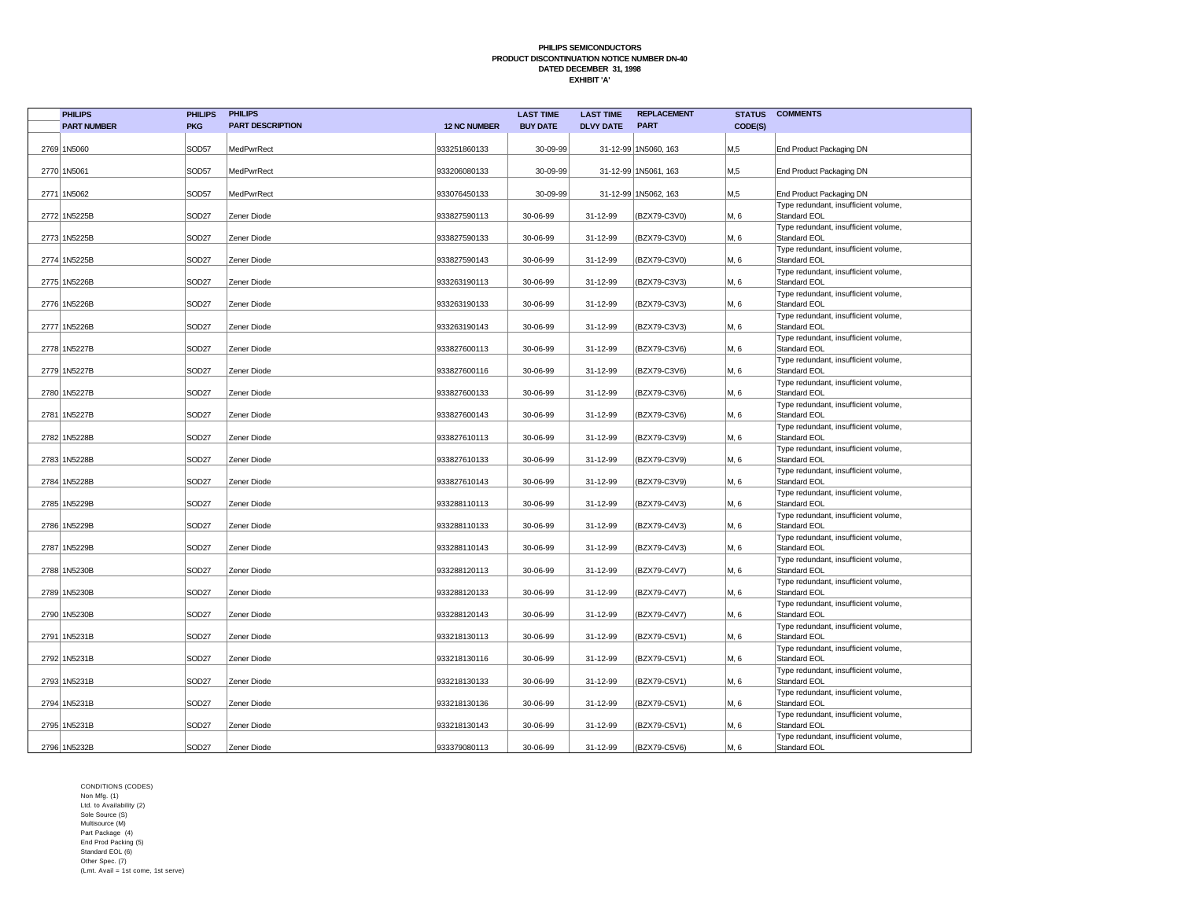| <b>PHILIPS</b>     | <b>PHILIPS</b>    | <b>PHILIPS</b>          |                     | <b>LAST TIME</b> | <b>LAST TIME</b> | <b>REPLACEMENT</b>   | <b>STATUS</b>    | <b>COMMENTS</b>                                      |
|--------------------|-------------------|-------------------------|---------------------|------------------|------------------|----------------------|------------------|------------------------------------------------------|
| <b>PART NUMBER</b> | <b>PKG</b>        | <b>PART DESCRIPTION</b> | <b>12 NC NUMBER</b> | <b>BUY DATE</b>  | <b>DLVY DATE</b> | <b>PART</b>          | CODE(S)          |                                                      |
| 2769 1N5060        | SOD57             | MedPwrRect              | 933251860133        | 30-09-99         |                  | 31-12-99 1N5060, 163 | M <sub>15</sub>  | End Product Packaging DN                             |
| 2770 1N5061        | SOD57             | MedPwrRect              | 933206080133        | 30-09-99         |                  | 31-12-99 1N5061, 163 | M <sub>0.5</sub> | End Product Packaging DN                             |
| 2771 1N5062        | SOD57             | <b>MedPwrRect</b>       | 933076450133        | 30-09-99         |                  | 31-12-99 1N5062, 163 | M <sub>15</sub>  | End Product Packaging DN                             |
|                    |                   |                         |                     |                  |                  |                      |                  | Type redundant, insufficient volume,                 |
| 2772 1N5225B       | SOD <sub>27</sub> | Zener Diode             | 933827590113        | 30-06-99         | 31-12-99         | (BZX79-C3V0)         | M, 6             | Standard EOL                                         |
| 2773 1N5225B       | SOD <sub>27</sub> | Zener Diode             | 933827590133        | 30-06-99         | 31-12-99         | (BZX79-C3V0)         | M, 6             | Type redundant, insufficient volume,<br>Standard EOL |
| 2774 1N5225B       | SOD <sub>27</sub> | Zener Diode             | 933827590143        | 30-06-99         | 31-12-99         | (BZX79-C3V0)         | M, 6             | Type redundant, insufficient volume,<br>Standard EOL |
| 2775 1N5226B       | SOD <sub>27</sub> | Zener Diode             | 933263190113        | 30-06-99         | 31-12-99         | (BZX79-C3V3)         | M, 6             | Type redundant, insufficient volume,<br>Standard EOL |
| 2776 1N5226B       | SOD <sub>27</sub> | Zener Diode             | 933263190133        | 30-06-99         | 31-12-99         | (BZX79-C3V3)         | M, 6             | Type redundant, insufficient volume,<br>Standard EOL |
| 2777 1N5226B       | SOD <sub>27</sub> | Zener Diode             | 933263190143        | 30-06-99         | 31-12-99         | (BZX79-C3V3)         | M, 6             | Type redundant, insufficient volume,<br>Standard EOL |
| 2778 1N5227B       | SOD <sub>27</sub> | Zener Diode             | 933827600113        | 30-06-99         | 31-12-99         | (BZX79-C3V6)         | M, 6             | Type redundant, insufficient volume,<br>Standard EOL |
| 2779 1N5227B       | SOD <sub>27</sub> | Zener Diode             | 933827600116        | 30-06-99         | 31-12-99         | (BZX79-C3V6)         | M, 6             | Type redundant, insufficient volume,<br>Standard EOL |
| 2780 1N5227B       | SOD <sub>27</sub> | Zener Diode             | 933827600133        | 30-06-99         | 31-12-99         | (BZX79-C3V6)         | M, 6             | Type redundant, insufficient volume,<br>Standard EOL |
| 2781 1N5227B       | SOD <sub>27</sub> | Zener Diode             | 933827600143        | 30-06-99         | 31-12-99         | (BZX79-C3V6)         | M, 6             | Type redundant, insufficient volume,<br>Standard EOL |
| 2782 1N5228B       | SOD <sub>27</sub> | Zener Diode             | 933827610113        | 30-06-99         | 31-12-99         | (BZX79-C3V9)         | M, 6             | Type redundant, insufficient volume,<br>Standard EOL |
| 2783 1N5228B       | SOD <sub>27</sub> | Zener Diode             | 933827610133        | 30-06-99         | 31-12-99         | (BZX79-C3V9)         | M, 6             | Type redundant, insufficient volume,<br>Standard EOL |
| 2784 1N5228B       | SOD <sub>27</sub> | Zener Diode             | 933827610143        | 30-06-99         | 31-12-99         | (BZX79-C3V9)         | M, 6             | Type redundant, insufficient volume,<br>Standard EOL |
| 2785 1N5229B       | SOD <sub>27</sub> | Zener Diode             | 933288110113        | 30-06-99         | 31-12-99         | (BZX79-C4V3)         | M, 6             | Type redundant, insufficient volume,<br>Standard EOL |
| 2786 1N5229B       | SOD <sub>27</sub> | Zener Diode             | 933288110133        | 30-06-99         | 31-12-99         | (BZX79-C4V3)         | M, 6             | Type redundant, insufficient volume,<br>Standard EOL |
| 2787 1N5229B       | SOD <sub>27</sub> | Zener Diode             | 933288110143        | 30-06-99         | 31-12-99         | (BZX79-C4V3)         | M, 6             | Type redundant, insufficient volume,<br>Standard EOL |
| 2788 1N5230B       | SOD <sub>27</sub> | Zener Diode             | 933288120113        | 30-06-99         | 31-12-99         | (BZX79-C4V7)         | M, 6             | Type redundant, insufficient volume,<br>Standard EOL |
| 2789 1N5230B       | SOD <sub>27</sub> | Zener Diode             | 933288120133        | 30-06-99         | 31-12-99         | (BZX79-C4V7)         | M, 6             | Type redundant, insufficient volume,<br>Standard EOL |
| 2790 1N5230B       | SOD <sub>27</sub> | Zener Diode             | 933288120143        | 30-06-99         | 31-12-99         | (BZX79-C4V7)         | M, 6             | Type redundant, insufficient volume,<br>Standard EOL |
| 2791 1N5231B       | SOD <sub>27</sub> | Zener Diode             | 933218130113        | 30-06-99         | 31-12-99         | (BZX79-C5V1)         | M, 6             | Type redundant, insufficient volume,<br>Standard EOL |
| 2792 1N5231B       | SOD <sub>27</sub> | Zener Diode             | 933218130116        | 30-06-99         | 31-12-99         | (BZX79-C5V1)         | M, 6             | Type redundant, insufficient volume,<br>Standard EOL |
| 2793 1N5231B       | SOD <sub>27</sub> | Zener Diode             | 933218130133        | 30-06-99         | 31-12-99         | (BZX79-C5V1)         | M, 6             | Type redundant, insufficient volume,<br>Standard EOL |
| 2794 1N5231B       | SOD <sub>27</sub> | Zener Diode             | 933218130136        | 30-06-99         | 31-12-99         | (BZX79-C5V1)         | M, 6             | Type redundant, insufficient volume,<br>Standard EOL |
| 2795 1N5231B       | SOD <sub>27</sub> | Zener Diode             | 933218130143        | 30-06-99         | 31-12-99         | (BZX79-C5V1)         | M, 6             | Type redundant, insufficient volume,<br>Standard EOL |
| 2796 1N5232B       | SOD <sub>27</sub> | Zener Diode             | 933379080113        | 30-06-99         | 31-12-99         | (BZX79-C5V6)         | M, 6             | Type redundant, insufficient volume,<br>Standard EOL |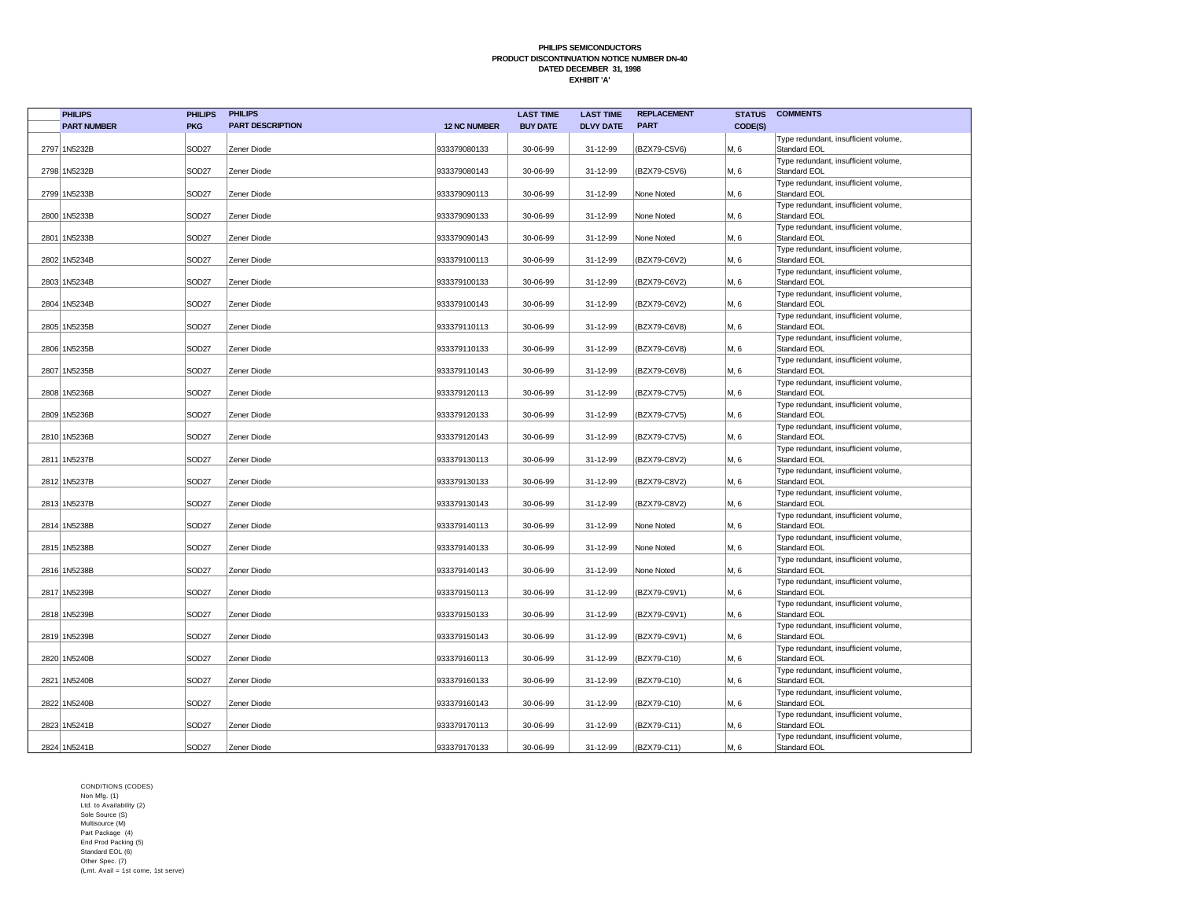| <b>PHILIPS</b>     | <b>PHILIPS</b>    | <b>PHILIPS</b>          |                     | <b>LAST TIME</b> | <b>LAST TIME</b> | <b>REPLACEMENT</b> | <b>STATUS</b> | <b>COMMENTS</b>                                      |
|--------------------|-------------------|-------------------------|---------------------|------------------|------------------|--------------------|---------------|------------------------------------------------------|
| <b>PART NUMBER</b> | <b>PKG</b>        | <b>PART DESCRIPTION</b> | <b>12 NC NUMBER</b> | <b>BUY DATE</b>  | <b>DLVY DATE</b> | <b>PART</b>        | CODE(S)       |                                                      |
| 2797 1N5232B       | SOD27             | Zener Diode             | 933379080133        | 30-06-99         | 31-12-99         | (BZX79-C5V6)       | M, 6          | Type redundant, insufficient volume,<br>Standard EOL |
| 2798 1N5232B       | SOD <sub>27</sub> | Zener Diode             | 933379080143        | 30-06-99         | 31-12-99         | (BZX79-C5V6)       | M, 6          | Type redundant, insufficient volume,<br>Standard EOL |
| 2799 1N5233B       | SOD27             | Zener Diode             | 933379090113        | 30-06-99         | 31-12-99         | None Noted         | M, 6          | Type redundant, insufficient volume,<br>Standard EOL |
| 2800 1N5233B       | SOD <sub>27</sub> | Zener Diode             | 933379090133        | 30-06-99         | 31-12-99         | None Noted         | M, 6          | Type redundant, insufficient volume,<br>Standard EOL |
| 2801 1N5233B       | SOD <sub>27</sub> | Zener Diode             | 933379090143        | 30-06-99         | 31-12-99         | None Noted         | M, 6          | Type redundant, insufficient volume,<br>Standard EOL |
| 2802 1N5234B       | SOD27             | Zener Diode             | 933379100113        | 30-06-99         | 31-12-99         | (BZX79-C6V2)       | M, 6          | Type redundant, insufficient volume,<br>Standard EOL |
| 2803 1N5234B       | SOD <sub>27</sub> | Zener Diode             | 933379100133        | 30-06-99         | 31-12-99         | (BZX79-C6V2)       | M, 6          | Type redundant, insufficient volume,<br>Standard EOL |
| 2804 1N5234B       | SOD27             | Zener Diode             | 933379100143        | 30-06-99         | 31-12-99         | (BZX79-C6V2)       | M, 6          | Type redundant, insufficient volume,<br>Standard EOL |
| 2805 1N5235B       | SOD27             | Zener Diode             | 933379110113        | 30-06-99         | 31-12-99         | (BZX79-C6V8)       | M, 6          | Type redundant, insufficient volume,<br>Standard EOL |
| 2806 1N5235B       | SOD <sub>27</sub> | Zener Diode             | 933379110133        | 30-06-99         | 31-12-99         | (BZX79-C6V8)       | M, 6          | Type redundant, insufficient volume,<br>Standard EOL |
| 2807 1N5235B       | SOD <sub>27</sub> | Zener Diode             | 933379110143        | 30-06-99         | 31-12-99         | (BZX79-C6V8)       | M, 6          | Type redundant, insufficient volume,<br>Standard EOL |
| 2808 1N5236B       | SOD <sub>27</sub> | Zener Diode             | 933379120113        | 30-06-99         | 31-12-99         | (BZX79-C7V5)       | M, 6          | Type redundant, insufficient volume,<br>Standard EOL |
| 2809 1N5236B       | SOD <sub>27</sub> | Zener Diode             | 933379120133        | 30-06-99         | 31-12-99         | (BZX79-C7V5)       | M, 6          | Type redundant, insufficient volume,<br>Standard EOL |
| 2810 1N5236B       | SOD27             | Zener Diode             | 933379120143        | 30-06-99         | 31-12-99         | (BZX79-C7V5)       | M, 6          | Type redundant, insufficient volume,<br>Standard EOL |
| 2811 1N5237B       | SOD <sub>27</sub> | Zener Diode             | 933379130113        | 30-06-99         | 31-12-99         | (BZX79-C8V2)       | M, 6          | Type redundant, insufficient volume,<br>Standard EOL |
| 2812 1N5237B       | SOD <sub>27</sub> | Zener Diode             | 933379130133        | 30-06-99         | 31-12-99         | (BZX79-C8V2)       | M, 6          | Type redundant, insufficient volume,<br>Standard EOL |
| 2813 1N5237B       | SOD27             | Zener Diode             | 933379130143        | 30-06-99         | 31-12-99         | (BZX79-C8V2)       | M, 6          | Type redundant, insufficient volume,<br>Standard EOL |
| 2814 1N5238B       | SOD27             | Zener Diode             | 933379140113        | 30-06-99         | 31-12-99         | None Noted         | M, 6          | Type redundant, insufficient volume,<br>Standard EOL |
| 2815 1N5238B       | SOD <sub>27</sub> | Zener Diode             | 933379140133        | 30-06-99         | 31-12-99         | None Noted         | M, 6          | Type redundant, insufficient volume,<br>Standard EOL |
| 2816 1N5238B       | SOD <sub>27</sub> | Zener Diode             | 933379140143        | 30-06-99         | 31-12-99         | None Noted         | M, 6          | Type redundant, insufficient volume,<br>Standard EOL |
| 2817 1N5239B       | SOD <sub>27</sub> | Zener Diode             | 933379150113        | 30-06-99         | 31-12-99         | (BZX79-C9V1)       | M, 6          | Type redundant, insufficient volume,<br>Standard EOL |
| 2818 1N5239B       | SOD <sub>27</sub> | Zener Diode             | 933379150133        | 30-06-99         | 31-12-99         | (BZX79-C9V1)       | M, 6          | Type redundant, insufficient volume,<br>Standard EOL |
| 2819 1N5239B       | SOD27             | Zener Diode             | 933379150143        | 30-06-99         | 31-12-99         | (BZX79-C9V1)       | M, 6          | Type redundant, insufficient volume,<br>Standard EOL |
| 2820 1N5240B       | SOD <sub>27</sub> | Zener Diode             | 933379160113        | 30-06-99         | 31-12-99         | (BZX79-C10)        | M, 6          | Type redundant, insufficient volume,<br>Standard EOL |
| 2821 1N5240B       | SOD <sub>27</sub> | Zener Diode             | 933379160133        | 30-06-99         | 31-12-99         | (BZX79-C10)        | M, 6          | Type redundant, insufficient volume,<br>Standard EOL |
| 2822 1N5240B       | SOD <sub>27</sub> | Zener Diode             | 933379160143        | 30-06-99         | 31-12-99         | (BZX79-C10)        | M, 6          | Type redundant, insufficient volume,<br>Standard EOL |
| 2823 1N5241B       | SOD <sub>27</sub> | Zener Diode             | 933379170113        | 30-06-99         | 31-12-99         | (BZX79-C11)        | M, 6          | Type redundant, insufficient volume,<br>Standard EOL |
| 2824 1N5241B       | SOD27             | Zener Diode             | 933379170133        | 30-06-99         | 31-12-99         | (BZX79-C11)        | M, 6          | Type redundant, insufficient volume,<br>Standard EOL |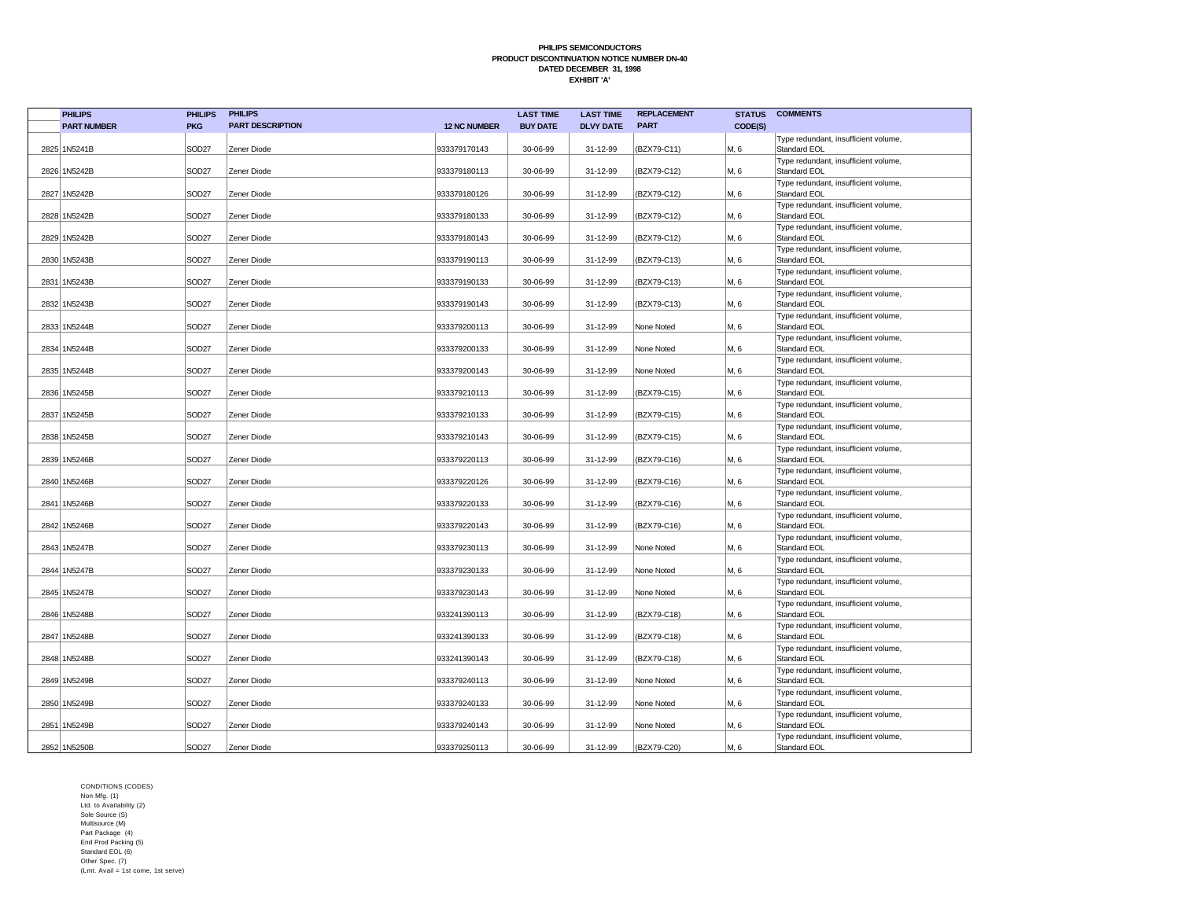| <b>PHILIPS</b>     | <b>PHILIPS</b>    | <b>PHILIPS</b>          |                     | <b>LAST TIME</b> | <b>LAST TIME</b> | <b>REPLACEMENT</b> | <b>STATUS</b> | <b>COMMENTS</b>                                      |
|--------------------|-------------------|-------------------------|---------------------|------------------|------------------|--------------------|---------------|------------------------------------------------------|
| <b>PART NUMBER</b> | <b>PKG</b>        | <b>PART DESCRIPTION</b> | <b>12 NC NUMBER</b> | <b>BUY DATE</b>  | <b>DLVY DATE</b> | <b>PART</b>        | CODE(S)       |                                                      |
| 2825 1N5241B       | SOD27             | Zener Diode             | 933379170143        | 30-06-99         | 31-12-99         | (BZX79-C11)        | M, 6          | Type redundant, insufficient volume,<br>Standard EOL |
| 2826 1N5242B       | SOD <sub>27</sub> | Zener Diode             | 933379180113        | 30-06-99         | 31-12-99         | (BZX79-C12)        | M, 6          | Type redundant, insufficient volume,<br>Standard EOL |
| 2827 1N5242B       | SOD27             | Zener Diode             | 933379180126        | 30-06-99         | 31-12-99         | (BZX79-C12)        | M, 6          | Type redundant, insufficient volume,<br>Standard EOL |
| 2828 1N5242B       | SOD27             | Zener Diode             | 933379180133        | 30-06-99         | 31-12-99         | (BZX79-C12)        | M, 6          | Type redundant, insufficient volume,<br>Standard EOL |
| 2829 1N5242B       | SOD27             | Zener Diode             | 933379180143        | 30-06-99         | 31-12-99         | (BZX79-C12)        | M, 6          | Type redundant, insufficient volume,<br>Standard EOL |
| 2830 1N5243B       | SOD <sub>27</sub> | Zener Diode             | 933379190113        | 30-06-99         | 31-12-99         | (BZX79-C13)        | M, 6          | Type redundant, insufficient volume,<br>Standard EOL |
| 2831 1N5243B       | SOD <sub>27</sub> | Zener Diode             | 933379190133        | 30-06-99         | 31-12-99         | (BZX79-C13)        | M, 6          | Type redundant, insufficient volume,<br>Standard EOL |
| 2832 1N5243B       | SOD27             | Zener Diode             | 933379190143        | 30-06-99         | 31-12-99         | (BZX79-C13)        | M, 6          | Type redundant, insufficient volume,<br>Standard EOL |
| 2833 1N5244B       | SOD <sub>27</sub> | Zener Diode             | 933379200113        | 30-06-99         | 31-12-99         | None Noted         | M, 6          | Type redundant, insufficient volume,<br>Standard EOL |
| 2834 1N5244B       | SOD27             | Zener Diode             | 933379200133        | 30-06-99         | 31-12-99         | None Noted         | M, 6          | Type redundant, insufficient volume,<br>Standard EOL |
| 2835 1N5244B       | SOD27             | Zener Diode             | 933379200143        | 30-06-99         | 31-12-99         | None Noted         | M, 6          | Type redundant, insufficient volume,<br>Standard EOL |
| 2836 1N5245B       | SOD27             | Zener Diode             | 933379210113        | 30-06-99         | 31-12-99         | (BZX79-C15)        | M, 6          | Type redundant, insufficient volume,<br>Standard EOL |
| 2837 1N5245B       | SOD27             | Zener Diode             | 933379210133        | 30-06-99         | 31-12-99         | (BZX79-C15)        | M, 6          | Type redundant, insufficient volume,<br>Standard EOL |
| 2838 1N5245B       | SOD27             | Zener Diode             | 933379210143        | 30-06-99         | 31-12-99         | (BZX79-C15)        | M, 6          | Type redundant, insufficient volume,<br>Standard EOL |
| 2839 1N5246B       | SOD27             | Zener Diode             | 933379220113        | 30-06-99         | 31-12-99         | (BZX79-C16)        | M, 6          | Type redundant, insufficient volume,<br>Standard EOL |
| 2840 1N5246B       | SOD <sub>27</sub> | Zener Diode             | 933379220126        | 30-06-99         | 31-12-99         | (BZX79-C16)        | M, 6          | Type redundant, insufficient volume,<br>Standard EOL |
| 2841 1N5246B       | SOD27             | Zener Diode             | 933379220133        | 30-06-99         | 31-12-99         | (BZX79-C16)        | M, 6          | Type redundant, insufficient volume,<br>Standard EOL |
| 2842 1N5246B       | SOD27             | Zener Diode             | 933379220143        | 30-06-99         | 31-12-99         | (BZX79-C16)        | M, 6          | Type redundant, insufficient volume,<br>Standard EOL |
| 2843 1N5247B       | SOD27             | Zener Diode             | 933379230113        | 30-06-99         | 31-12-99         | None Noted         | M, 6          | Type redundant, insufficient volume,<br>Standard EOL |
| 2844 1N5247B       | SOD27             | Zener Diode             | 933379230133        | 30-06-99         | 31-12-99         | None Noted         | M, 6          | Type redundant, insufficient volume,<br>Standard EOL |
| 2845 1N5247B       | SOD27             | Zener Diode             | 933379230143        | 30-06-99         | 31-12-99         | None Noted         | M, 6          | Type redundant, insufficient volume,<br>Standard EOL |
| 2846 1N5248B       | SOD <sub>27</sub> | Zener Diode             | 933241390113        | 30-06-99         | 31-12-99         | (BZX79-C18)        | M, 6          | Type redundant, insufficient volume,<br>Standard EOL |
| 2847 1N5248B       | SOD27             | Zener Diode             | 933241390133        | 30-06-99         | 31-12-99         | (BZX79-C18)        | M, 6          | Type redundant, insufficient volume,<br>Standard EOL |
| 2848 1N5248B       | SOD27             | Zener Diode             | 933241390143        | 30-06-99         | 31-12-99         | (BZX79-C18)        | M, 6          | Type redundant, insufficient volume,<br>Standard EOL |
| 2849 1N5249B       | SOD <sub>27</sub> | Zener Diode             | 933379240113        | 30-06-99         | 31-12-99         | None Noted         | M, 6          | Type redundant, insufficient volume,<br>Standard EOL |
| 2850 1N5249B       | SOD <sub>27</sub> | Zener Diode             | 933379240133        | 30-06-99         | 31-12-99         | None Noted         | M, 6          | Type redundant, insufficient volume,<br>Standard EOL |
| 2851   1N5249B     | SOD <sub>27</sub> | Zener Diode             | 933379240143        | 30-06-99         | 31-12-99         | None Noted         | M, 6          | Type redundant, insufficient volume,<br>Standard EOL |
| 2852 1N5250B       | SOD <sub>27</sub> | Zener Diode             | 933379250113        | 30-06-99         | 31-12-99         | (BZX79-C20)        | M, 6          | Type redundant, insufficient volume,<br>Standard EOL |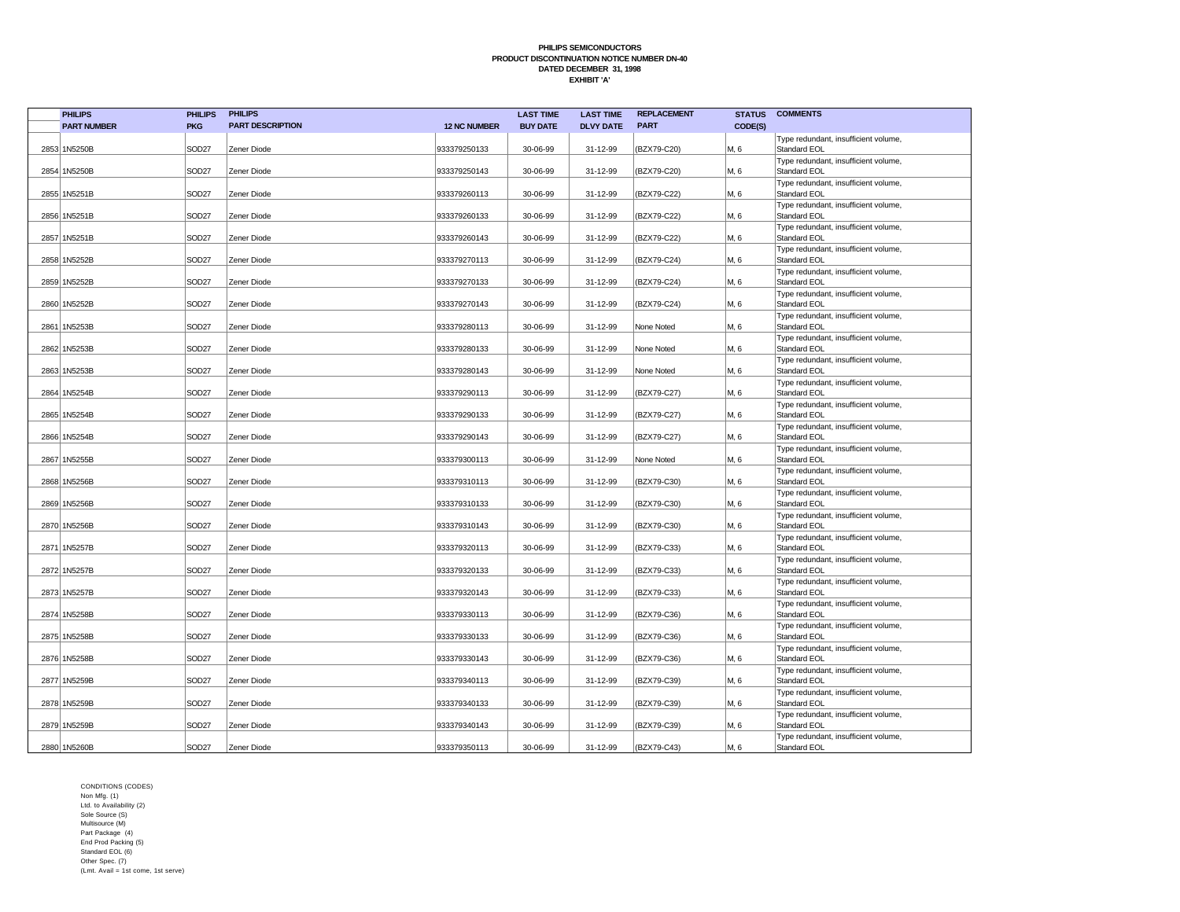| <b>PHILIPS</b>     | <b>PHILIPS</b>    | <b>PHILIPS</b>          |                     | <b>LAST TIME</b> | <b>LAST TIME</b> | <b>REPLACEMENT</b> | <b>STATUS</b> | <b>COMMENTS</b>                                      |
|--------------------|-------------------|-------------------------|---------------------|------------------|------------------|--------------------|---------------|------------------------------------------------------|
| <b>PART NUMBER</b> | <b>PKG</b>        | <b>PART DESCRIPTION</b> | <b>12 NC NUMBER</b> | <b>BUY DATE</b>  | <b>DLVY DATE</b> | <b>PART</b>        | CODE(S)       |                                                      |
| 2853 1N5250B       | SOD <sub>27</sub> | Zener Diode             | 933379250133        | 30-06-99         | 31-12-99         | (BZX79-C20)        | M, 6          | Type redundant, insufficient volume,<br>Standard EOL |
| 2854 1N5250B       | SOD <sub>27</sub> | Zener Diode             | 933379250143        | 30-06-99         | 31-12-99         | (BZX79-C20)        | M, 6          | Type redundant, insufficient volume,<br>Standard EOL |
| 2855 1N5251B       | SOD <sub>27</sub> | Zener Diode             | 933379260113        | 30-06-99         | 31-12-99         | (BZX79-C22)        | M, 6          | Type redundant, insufficient volume,<br>Standard EOL |
| 2856 1N5251B       | SOD <sub>27</sub> | Zener Diode             | 933379260133        | 30-06-99         | 31-12-99         | (BZX79-C22)        | M, 6          | Type redundant, insufficient volume,<br>Standard EOL |
| 2857 1N5251B       | SOD <sub>27</sub> | Zener Diode             | 933379260143        | 30-06-99         | 31-12-99         | (BZX79-C22)        | M, 6          | Type redundant, insufficient volume,<br>Standard EOL |
| 2858 1N5252B       | SOD <sub>27</sub> | Zener Diode             | 933379270113        | 30-06-99         | 31-12-99         | (BZX79-C24)        | M, 6          | Type redundant, insufficient volume,<br>Standard EOL |
| 2859 1N5252B       | SOD <sub>27</sub> | Zener Diode             | 933379270133        | 30-06-99         | 31-12-99         | (BZX79-C24)        | M, 6          | Type redundant, insufficient volume,<br>Standard EOL |
| 2860 1N5252B       | SOD <sub>27</sub> | Zener Diode             | 933379270143        | 30-06-99         | 31-12-99         | (BZX79-C24)        | M, 6          | Type redundant, insufficient volume,<br>Standard EOL |
| 2861 1N5253B       | SOD27             | Zener Diode             | 933379280113        | 30-06-99         | 31-12-99         | None Noted         | M, 6          | Type redundant, insufficient volume,<br>Standard EOL |
| 2862 1N5253B       | SOD <sub>27</sub> | Zener Diode             | 933379280133        | 30-06-99         | 31-12-99         | None Noted         | M, 6          | Type redundant, insufficient volume,<br>Standard EOL |
| 2863 1N5253B       | SOD <sub>27</sub> | Zener Diode             | 933379280143        | 30-06-99         | 31-12-99         | None Noted         | M, 6          | Type redundant, insufficient volume,<br>Standard EOL |
| 2864 1N5254B       | SOD <sub>27</sub> | Zener Diode             | 933379290113        | 30-06-99         | 31-12-99         | (BZX79-C27)        | M, 6          | Type redundant, insufficient volume,<br>Standard EOL |
| 2865 1N5254B       | SOD <sub>27</sub> | Zener Diode             | 933379290133        | 30-06-99         | 31-12-99         | (BZX79-C27)        | M, 6          | Type redundant, insufficient volume,<br>Standard EOL |
| 2866 1N5254B       | SOD27             | Zener Diode             | 933379290143        | 30-06-99         | 31-12-99         | (BZX79-C27)        | M, 6          | Type redundant, insufficient volume,<br>Standard EOL |
| 2867 1N5255B       | SOD <sub>27</sub> | Zener Diode             | 933379300113        | 30-06-99         | 31-12-99         | None Noted         | M, 6          | Type redundant, insufficient volume,<br>Standard EOL |
| 2868 1N5256B       | SOD <sub>27</sub> | Zener Diode             | 933379310113        | 30-06-99         | 31-12-99         | (BZX79-C30)        | M, 6          | Type redundant, insufficient volume,<br>Standard EOL |
| 2869 1N5256B       | SOD <sub>27</sub> | Zener Diode             | 933379310133        | 30-06-99         | 31-12-99         | (BZX79-C30)        | M, 6          | Type redundant, insufficient volume,<br>Standard EOL |
| 2870 1N5256B       | SOD27             | Zener Diode             | 933379310143        | 30-06-99         | 31-12-99         | (BZX79-C30)        | M, 6          | Type redundant, insufficient volume,<br>Standard EOL |
| 2871 1N5257B       | SOD <sub>27</sub> | Zener Diode             | 933379320113        | 30-06-99         | 31-12-99         | (BZX79-C33)        | M, 6          | Type redundant, insufficient volume,<br>Standard EOL |
| 2872 1N5257B       | SOD <sub>27</sub> | Zener Diode             | 933379320133        | 30-06-99         | 31-12-99         | (BZX79-C33)        | M, 6          | Type redundant, insufficient volume,<br>Standard EOL |
| 2873 1N5257B       | SOD <sub>27</sub> | Zener Diode             | 933379320143        | 30-06-99         | 31-12-99         | (BZX79-C33)        | M, 6          | Type redundant, insufficient volume,<br>Standard EOL |
| 2874 1N5258B       | SOD <sub>27</sub> | Zener Diode             | 933379330113        | 30-06-99         | 31-12-99         | (BZX79-C36)        | M, 6          | Type redundant, insufficient volume,<br>Standard EOL |
| 2875 1N5258B       | SOD27             | Zener Diode             | 933379330133        | 30-06-99         | 31-12-99         | (BZX79-C36)        | M, 6          | Type redundant, insufficient volume,<br>Standard EOL |
| 2876 1N5258B       | SOD <sub>27</sub> | Zener Diode             | 933379330143        | 30-06-99         | 31-12-99         | (BZX79-C36)        | M, 6          | Type redundant, insufficient volume,<br>Standard EOL |
| 2877 1N5259B       | SOD <sub>27</sub> | Zener Diode             | 933379340113        | 30-06-99         | 31-12-99         | (BZX79-C39)        | M, 6          | Type redundant, insufficient volume,<br>Standard EOL |
| 2878 1N5259B       | SOD <sub>27</sub> | Zener Diode             | 933379340133        | 30-06-99         | 31-12-99         | (BZX79-C39)        | M, 6          | Type redundant, insufficient volume,<br>Standard EOL |
| 2879 1N5259B       | SOD <sub>27</sub> | Zener Diode             | 933379340143        | 30-06-99         | 31-12-99         | (BZX79-C39)        | M, 6          | Type redundant, insufficient volume,<br>Standard EOL |
| 2880 1N5260B       | SOD <sub>27</sub> | Zener Diode             | 933379350113        | 30-06-99         | 31-12-99         | (BZX79-C43)        | M, 6          | Type redundant, insufficient volume,<br>Standard EOL |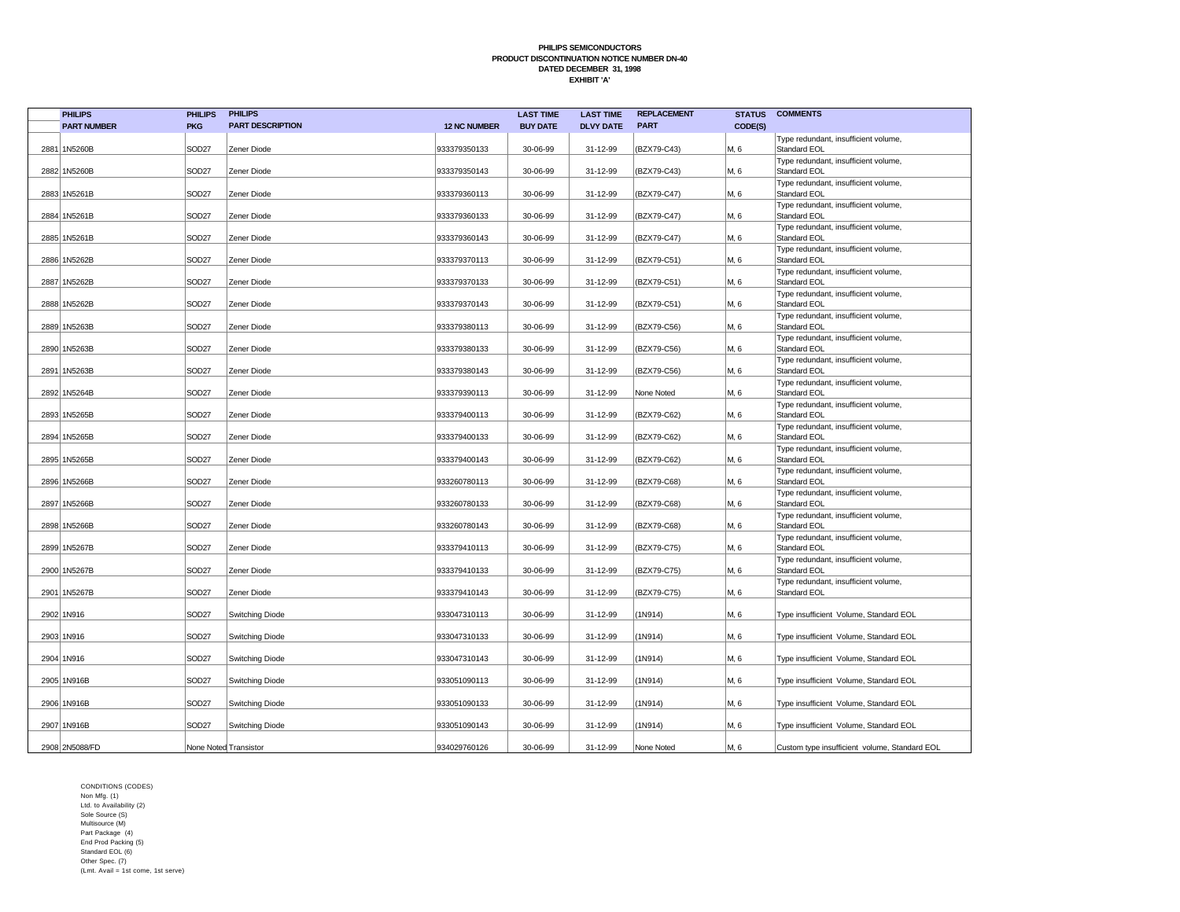| <b>PHILIPS</b>     | <b>PHILIPS</b>    | <b>PHILIPS</b>          |                     | <b>LAST TIME</b> | <b>LAST TIME</b> | <b>REPLACEMENT</b> | <b>STATUS</b> | <b>COMMENTS</b>                                      |
|--------------------|-------------------|-------------------------|---------------------|------------------|------------------|--------------------|---------------|------------------------------------------------------|
| <b>PART NUMBER</b> | <b>PKG</b>        | <b>PART DESCRIPTION</b> | <b>12 NC NUMBER</b> | <b>BUY DATE</b>  | <b>DLVY DATE</b> | <b>PART</b>        | CODE(S)       |                                                      |
| 2881 1N5260B       | SOD <sub>27</sub> | Zener Diode             | 933379350133        | 30-06-99         | 31-12-99         | (BZX79-C43)        | M, 6          | Type redundant, insufficient volume,<br>Standard EOL |
| 2882 1N5260B       | SOD <sub>27</sub> | Zener Diode             | 933379350143        | 30-06-99         | 31-12-99         | (BZX79-C43)        | M, 6          | Type redundant, insufficient volume,<br>Standard EOL |
| 2883 1N5261B       | SOD <sub>27</sub> | Zener Diode             | 933379360113        | 30-06-99         | 31-12-99         | (BZX79-C47)        | M, 6          | Type redundant, insufficient volume,<br>Standard EOL |
| 2884 1N5261B       | SOD <sub>27</sub> | Zener Diode             | 933379360133        | 30-06-99         | 31-12-99         | (BZX79-C47)        | M, 6          | Type redundant, insufficient volume,<br>Standard EOL |
| 2885 1N5261B       | SOD <sub>27</sub> | Zener Diode             | 933379360143        | 30-06-99         | 31-12-99         | (BZX79-C47)        | M, 6          | Type redundant, insufficient volume,<br>Standard EOL |
| 2886 1N5262B       | SOD <sub>27</sub> | Zener Diode             | 933379370113        | 30-06-99         | 31-12-99         | (BZX79-C51)        | M, 6          | Type redundant, insufficient volume,<br>Standard EOL |
| 2887 1N5262B       | SOD <sub>27</sub> | Zener Diode             | 933379370133        | 30-06-99         | 31-12-99         | (BZX79-C51)        | M, 6          | Type redundant, insufficient volume,<br>Standard EOL |
| 2888 1N5262B       | SOD <sub>27</sub> | Zener Diode             | 933379370143        | 30-06-99         | 31-12-99         | (BZX79-C51)        | M, 6          | Type redundant, insufficient volume,<br>Standard EOL |
| 2889 1N5263B       | SOD <sub>27</sub> | Zener Diode             | 933379380113        | 30-06-99         | 31-12-99         | (BZX79-C56)        | M, 6          | Type redundant, insufficient volume,<br>Standard EOL |
| 2890 1N5263B       | SOD <sub>27</sub> | Zener Diode             | 933379380133        | 30-06-99         | 31-12-99         | (BZX79-C56)        | M, 6          | Type redundant, insufficient volume,<br>Standard EOL |
| 2891 1N5263B       | SOD <sub>27</sub> | Zener Diode             | 933379380143        | 30-06-99         | 31-12-99         | (BZX79-C56)        | M, 6          | Type redundant, insufficient volume,<br>Standard EOL |
| 2892 1N5264B       | SOD <sub>27</sub> | Zener Diode             | 933379390113        | 30-06-99         | 31-12-99         | None Noted         | M, 6          | Type redundant, insufficient volume,<br>Standard EOL |
| 2893 1N5265B       | SOD <sub>27</sub> | Zener Diode             | 933379400113        | 30-06-99         | 31-12-99         | (BZX79-C62)        | M, 6          | Type redundant, insufficient volume,<br>Standard EOL |
| 2894 1N5265B       | SOD <sub>27</sub> | Zener Diode             | 933379400133        | 30-06-99         | 31-12-99         | (BZX79-C62)        | M, 6          | Type redundant, insufficient volume,<br>Standard EOL |
| 2895 1N5265B       | SOD <sub>27</sub> | Zener Diode             | 933379400143        | 30-06-99         | 31-12-99         | (BZX79-C62)        | M, 6          | Type redundant, insufficient volume,<br>Standard EOL |
| 2896 1N5266B       | SOD <sub>27</sub> | Zener Diode             | 933260780113        | 30-06-99         | 31-12-99         | (BZX79-C68)        | M, 6          | Type redundant, insufficient volume,<br>Standard EOL |
| 2897 1N5266B       | SOD <sub>27</sub> | Zener Diode             | 933260780133        | 30-06-99         | 31-12-99         | (BZX79-C68)        | M, 6          | Type redundant, insufficient volume,<br>Standard EOL |
| 2898 1N5266B       | SOD <sub>27</sub> | Zener Diode             | 933260780143        | 30-06-99         | 31-12-99         | (BZX79-C68)        | M, 6          | Type redundant, insufficient volume,<br>Standard EOL |
| 2899 1N5267B       | SOD <sub>27</sub> | Zener Diode             | 933379410113        | 30-06-99         | 31-12-99         | (BZX79-C75)        | M, 6          | Type redundant, insufficient volume,<br>Standard EOL |
| 2900 1N5267B       | SOD <sub>27</sub> | Zener Diode             | 933379410133        | 30-06-99         | 31-12-99         | (BZX79-C75)        | M, 6          | Type redundant, insufficient volume,<br>Standard EOL |
| 2901   1N5267B     | SOD <sub>27</sub> | Zener Diode             | 933379410143        | 30-06-99         | 31-12-99         | (BZX79-C75)        | M, 6          | Type redundant, insufficient volume,<br>Standard EOL |
| 2902 1N916         | SOD <sub>27</sub> | Switching Diode         | 933047310113        | 30-06-99         | 31-12-99         | (1N914)            | M, 6          | Type insufficient Volume, Standard EOL               |
| 2903 1N916         | SOD <sub>27</sub> | Switching Diode         | 933047310133        | 30-06-99         | 31-12-99         | (1N914)            | M, 6          | Type insufficient Volume, Standard EOL               |
| 2904 1N916         | SOD <sub>27</sub> | Switching Diode         | 933047310143        | 30-06-99         | 31-12-99         | (1N914)            | M, 6          | Type insufficient Volume, Standard EOL               |
| 2905 1N916B        | SOD <sub>27</sub> | Switching Diode         | 933051090113        | 30-06-99         | 31-12-99         | (1N914)            | M, 6          | Type insufficient Volume, Standard EOL               |
| 2906 1N916B        | SOD <sub>27</sub> | Switching Diode         | 933051090133        | 30-06-99         | 31-12-99         | (1N914)            | M, 6          | Type insufficient Volume, Standard EOL               |
| 2907 1N916B        | SOD <sub>27</sub> | Switching Diode         | 933051090143        | 30-06-99         | 31-12-99         | (1N914)            | M, 6          | Type insufficient Volume, Standard EOL               |
| 2908 2N5088/FD     |                   | None Noted Transistor   | 934029760126        | 30-06-99         | 31-12-99         | None Noted         | M, 6          | Custom type insufficient volume, Standard EOL        |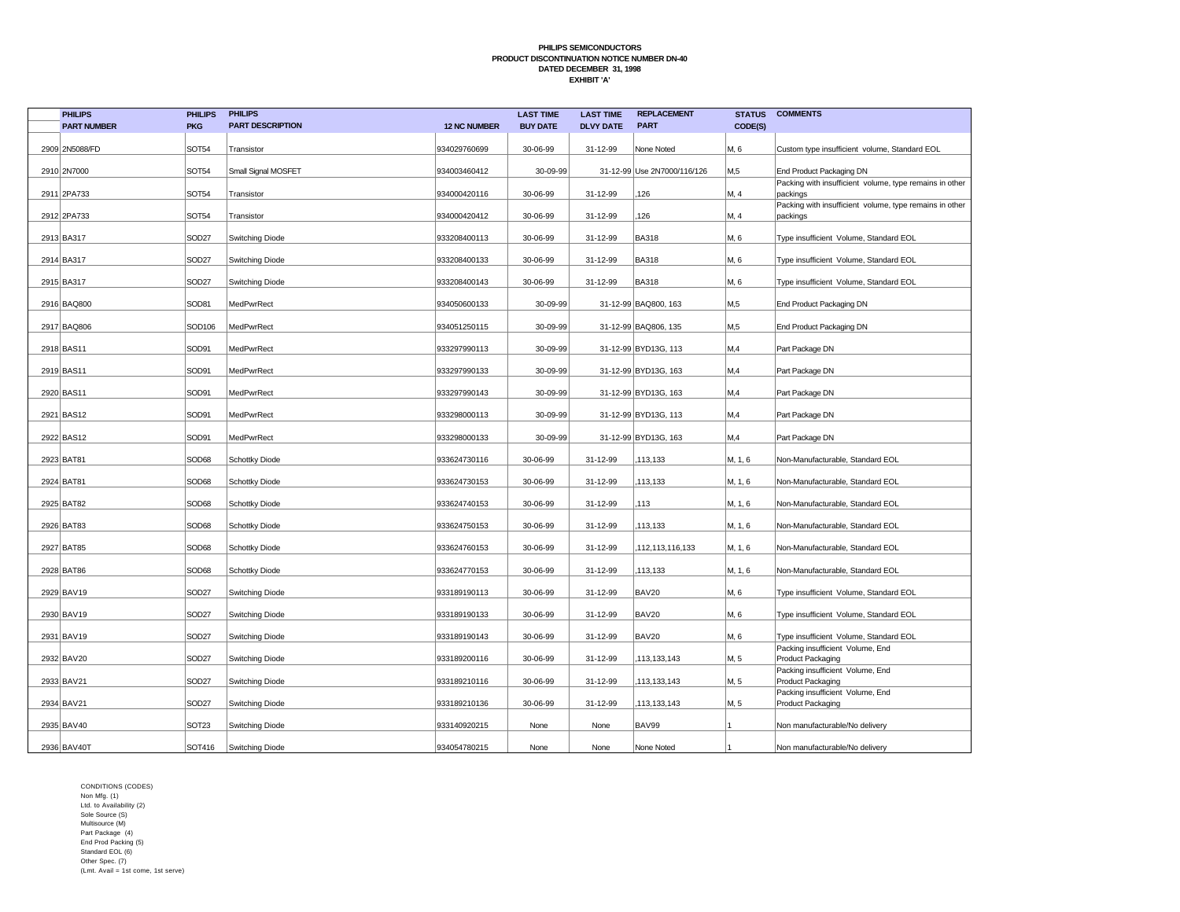| <b>PHILIPS</b>     | <b>PHILIPS</b>    | <b>PHILIPS</b>          |                     | <b>LAST TIME</b> | <b>LAST TIME</b> | <b>REPLACEMENT</b>          | <b>STATUS</b> | <b>COMMENTS</b>                                                     |
|--------------------|-------------------|-------------------------|---------------------|------------------|------------------|-----------------------------|---------------|---------------------------------------------------------------------|
| <b>PART NUMBER</b> | <b>PKG</b>        | <b>PART DESCRIPTION</b> | <b>12 NC NUMBER</b> | <b>BUY DATE</b>  | <b>DLVY DATE</b> | <b>PART</b>                 | CODE(S)       |                                                                     |
| 2909 2N5088/FD     | SOT54             | Transistor              | 934029760699        | 30-06-99         | 31-12-99         | None Noted                  | M, 6          | Custom type insufficient volume, Standard EOL                       |
| 2910 2N7000        | SOT54             | Small Signal MOSFET     | 934003460412        | 30-09-99         |                  | 31-12-99 Use 2N7000/116/126 | M,5           | End Product Packaging DN                                            |
| 2911 2PA733        | SOT54             | Transistor              | 934000420116        | 30-06-99         | 31-12-99         | 126                         | M, 4          | Packing with insufficient volume, type remains in other<br>packings |
|                    |                   |                         |                     |                  |                  |                             |               | Packing with insufficient volume, type remains in other             |
| 2912 2PA733        | SOT54             | Transistor              | 934000420412        | 30-06-99         | 31-12-99         | 126                         | M, 4          | packings                                                            |
| 2913 BA317         | SOD <sub>27</sub> | <b>Switching Diode</b>  | 933208400113        | 30-06-99         | 31-12-99         | <b>BA318</b>                | M, 6          | Type insufficient Volume, Standard EOL                              |
| 2914 BA317         | SOD <sub>27</sub> | <b>Switching Diode</b>  | 933208400133        | 30-06-99         | 31-12-99         | <b>BA318</b>                | M, 6          | Type insufficient Volume, Standard EOL                              |
| 2915 BA317         | SOD <sub>27</sub> | <b>Switching Diode</b>  | 933208400143        | 30-06-99         | 31-12-99         | <b>BA318</b>                | M, 6          | Type insufficient Volume, Standard EOL                              |
| 2916 BAQ800        | SOD81             | MedPwrRect              | 934050600133        | 30-09-99         |                  | 31-12-99 BAQ800, 163        | M,5           | End Product Packaging DN                                            |
| 2917 BAQ806        | SOD106            | MedPwrRect              | 934051250115        | 30-09-99         |                  | 31-12-99 BAQ806, 135        | M,5           | End Product Packaging DN                                            |
| 2918 BAS11         | SOD91             | MedPwrRect              | 933297990113        | 30-09-99         |                  | 31-12-99 BYD13G, 113        | M,4           | Part Package DN                                                     |
| 2919 BAS11         | SOD91             | MedPwrRect              | 933297990133        | 30-09-99         |                  | 31-12-99 BYD13G, 163        | M,4           | Part Package DN                                                     |
| 2920 BAS11         | SOD91             | MedPwrRect              | 933297990143        | 30-09-99         |                  | 31-12-99 BYD13G, 163        | M,4           | Part Package DN                                                     |
| 2921 BAS12         | SOD91             | MedPwrRect              | 933298000113        | 30-09-99         |                  | 31-12-99 BYD13G, 113        | M,4           | Part Package DN                                                     |
| 2922 BAS12         | SOD91             | MedPwrRect              | 933298000133        | 30-09-99         |                  | 31-12-99 BYD13G, 163        | M,4           | Part Package DN                                                     |
| 2923 BAT81         | SOD68             | <b>Schottky Diode</b>   | 933624730116        | 30-06-99         | 31-12-99         | ,113,133                    | M, 1, 6       | Non-Manufacturable, Standard EOL                                    |
| 2924 BAT81         | SOD68             | <b>Schottky Diode</b>   | 933624730153        | 30-06-99         | 31-12-99         | 113,133                     | M, 1, 6       | Non-Manufacturable, Standard EOL                                    |
| 2925 BAT82         | SOD68             | <b>Schottky Diode</b>   | 933624740153        | 30-06-99         | 31-12-99         | 113                         | M, 1, 6       | Non-Manufacturable, Standard EOL                                    |
| 2926 BAT83         | SOD68             | <b>Schottky Diode</b>   | 933624750153        | 30-06-99         | 31-12-99         | 113,133                     | M, 1, 6       | Non-Manufacturable, Standard EOL                                    |
| 2927 BAT85         | SOD68             | <b>Schottky Diode</b>   | 933624760153        | 30-06-99         | 31-12-99         | 112,113,116,133             | M, 1, 6       | Non-Manufacturable, Standard EOL                                    |
| 2928 BAT86         | SOD68             | <b>Schottky Diode</b>   | 933624770153        | 30-06-99         | 31-12-99         | 113,133                     | M, 1, 6       | Non-Manufacturable, Standard EOL                                    |
| 2929 BAV19         | SOD <sub>27</sub> | <b>Switching Diode</b>  | 933189190113        | 30-06-99         | 31-12-99         | <b>BAV20</b>                | M, 6          | Type insufficient Volume, Standard EOL                              |
| 2930 BAV19         | SOD <sub>27</sub> | <b>Switching Diode</b>  | 933189190133        | 30-06-99         | 31-12-99         | <b>BAV20</b>                | M, 6          | Type insufficient Volume, Standard EOL                              |
| 2931 BAV19         | SOD <sub>27</sub> | <b>Switching Diode</b>  | 933189190143        | 30-06-99         | 31-12-99         | <b>BAV20</b>                | M, 6          | Type insufficient Volume, Standard EOL                              |
| 2932 BAV20         | SOD <sub>27</sub> | <b>Switching Diode</b>  | 933189200116        | 30-06-99         | 31-12-99         | 113,133,143                 | M, 5          | Packing insufficient Volume, End<br>Product Packaging               |
| 2933 BAV21         | SOD <sub>27</sub> | <b>Switching Diode</b>  | 933189210116        | 30-06-99         | 31-12-99         | 113,133,143                 | M, 5          | Packing insufficient Volume, End<br>Product Packaging               |
| 2934 BAV21         | SOD <sub>27</sub> | <b>Switching Diode</b>  | 933189210136        | 30-06-99         | 31-12-99         | 113,133,143                 | M, 5          | Packing insufficient Volume, End<br>Product Packaging               |
| 2935 BAV40         | SOT <sub>23</sub> | <b>Switching Diode</b>  | 933140920215        | None             | None             | BAV99                       |               | Non manufacturable/No delivery                                      |
| 2936 BAV40T        | SOT416            | Switching Diode         | 934054780215        | None             | None             | None Noted                  |               | Non manufacturable/No delivery                                      |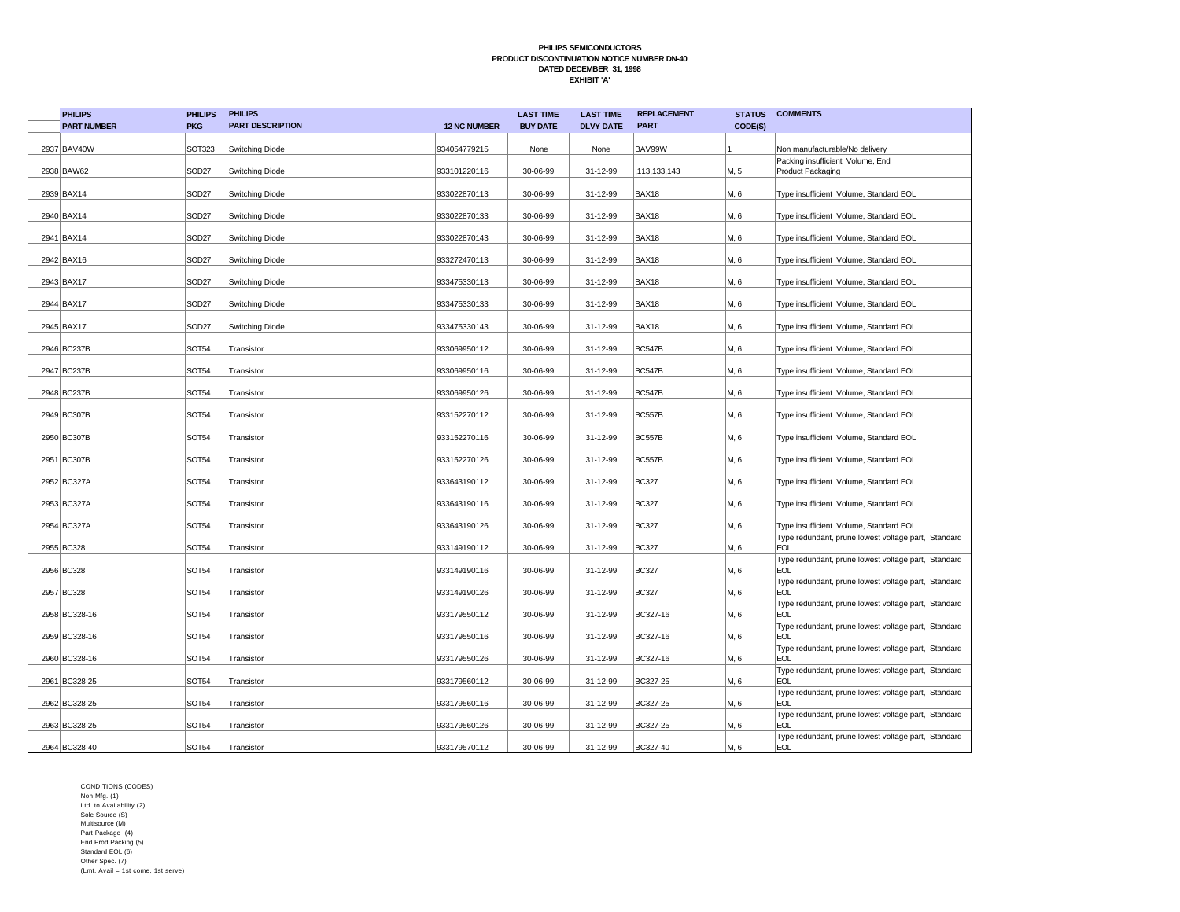| <b>PHILIPS</b>     | <b>PHILIPS</b>    | <b>PHILIPS</b>          |                     | <b>LAST TIME</b> | <b>LAST TIME</b> | <b>REPLACEMENT</b> | <b>STATUS</b> | <b>COMMENTS</b>                                                                                                          |
|--------------------|-------------------|-------------------------|---------------------|------------------|------------------|--------------------|---------------|--------------------------------------------------------------------------------------------------------------------------|
| <b>PART NUMBER</b> | <b>PKG</b>        | <b>PART DESCRIPTION</b> | <b>12 NC NUMBER</b> | <b>BUY DATE</b>  | <b>DLVY DATE</b> | <b>PART</b>        | CODE(S)       |                                                                                                                          |
| 2937 BAV40W        | SOT323            | Switching Diode         | 934054779215        | None             | None             | BAV99W             |               | Non manufacturable/No delivery                                                                                           |
| 2938 BAW62         | SOD <sub>27</sub> | Switching Diode         | 933101220116        | 30-06-99         | 31-12-99         | ,113,133,143       | M, 5          | Packing insufficient Volume, End<br>Product Packaging                                                                    |
| 2939 BAX14         | SOD <sub>27</sub> | Switching Diode         | 933022870113        | 30-06-99         | 31-12-99         | BAX18              | M, 6          | Type insufficient Volume, Standard EOL                                                                                   |
| 2940 BAX14         | <b>SOD27</b>      | Switching Diode         | 933022870133        | 30-06-99         | 31-12-99         | BAX18              | M, 6          | Type insufficient Volume, Standard EOL                                                                                   |
| 2941 BAX14         | <b>SOD27</b>      | <b>Switching Diode</b>  | 933022870143        | 30-06-99         | 31-12-99         | BAX18              | M, 6          | Type insufficient Volume, Standard EOL                                                                                   |
| 2942 BAX16         | SOD <sub>27</sub> | Switching Diode         | 933272470113        | 30-06-99         | 31-12-99         | BAX18              | M, 6          | Type insufficient Volume, Standard EOL                                                                                   |
| 2943 BAX17         | SOD <sub>27</sub> | Switching Diode         | 933475330113        | 30-06-99         | 31-12-99         | BAX18              | M, 6          | Type insufficient Volume, Standard EOL                                                                                   |
| 2944 BAX17         | SOD <sub>27</sub> | Switching Diode         | 933475330133        | 30-06-99         | 31-12-99         | BAX18              | M, 6          | Type insufficient Volume, Standard EOL                                                                                   |
| 2945 BAX17         | SOD <sub>27</sub> | Switching Diode         | 933475330143        | 30-06-99         | 31-12-99         | BAX18              | M, 6          | Type insufficient Volume, Standard EOL                                                                                   |
| 2946 BC237B        | SOT54             | Transistor              | 933069950112        | 30-06-99         | 31-12-99         | <b>BC547B</b>      | M, 6          | Type insufficient Volume, Standard EOL                                                                                   |
| 2947 BC237B        | SOT54             | Transistor              | 933069950116        | 30-06-99         | 31-12-99         | <b>BC547B</b>      | M, 6          | Type insufficient Volume, Standard EOL                                                                                   |
| 2948 BC237B        | <b>SOT54</b>      | Transistor              | 933069950126        | 30-06-99         | 31-12-99         | <b>BC547B</b>      | M, 6          | Type insufficient Volume, Standard EOL                                                                                   |
| 2949 BC307B        | SOT54             | Transistor              | 933152270112        | 30-06-99         | 31-12-99         | <b>BC557B</b>      | M, 6          | Type insufficient Volume, Standard EOL                                                                                   |
| 2950 BC307B        | SOT54             | Transistor              | 933152270116        | 30-06-99         | 31-12-99         | <b>BC557B</b>      | M, 6          | Type insufficient Volume, Standard EOL                                                                                   |
| 2951 BC307B        | SOT54             | Transistor              | 933152270126        | 30-06-99         | 31-12-99         | <b>BC557B</b>      | M, 6          | Type insufficient Volume, Standard EOL                                                                                   |
| 2952 BC327A        | SOT54             | Transistor              | 933643190112        | 30-06-99         | 31-12-99         | <b>BC327</b>       | M, 6          | Type insufficient Volume, Standard EOL                                                                                   |
| 2953 BC327A        | SOT54             | Transistor              | 933643190116        | 30-06-99         | 31-12-99         | <b>BC327</b>       | M, 6          | Type insufficient Volume, Standard EOL                                                                                   |
| 2954 BC327A        | SOT54             | Transistor              | 933643190126        | 30-06-99         | 31-12-99         | <b>BC327</b>       | M, 6          | Type insufficient Volume, Standard EOL                                                                                   |
| 2955 BC328         | SOT54             | Transistor              | 933149190112        | 30-06-99         | 31-12-99         | <b>BC327</b>       | M, 6          | Type redundant, prune lowest voltage part, Standard<br>EOL                                                               |
| 2956 BC328         | SOT54             | Transistor              | 933149190116        | 30-06-99         | 31-12-99         | <b>BC327</b>       | M, 6          | Type redundant, prune lowest voltage part, Standard<br>EOL                                                               |
| 2957 BC328         | <b>SOT54</b>      | Transistor              | 933149190126        | 30-06-99         | 31-12-99         | <b>BC327</b>       | M, 6          | Type redundant, prune lowest voltage part, Standard<br>EOL                                                               |
| 2958 BC328-16      | <b>SOT54</b>      | Transistor              | 933179550112        | 30-06-99         | 31-12-99         | BC327-16           | M, 6          | Type redundant, prune lowest voltage part, Standard<br>EOL                                                               |
| 2959 BC328-16      | <b>SOT54</b>      | Transistor              | 933179550116        | 30-06-99         | 31-12-99         | BC327-16           | M, 6          | Type redundant, prune lowest voltage part, Standard<br><b>EOL</b>                                                        |
| 2960 BC328-16      | SOT54             | Transistor              | 933179550126        | 30-06-99         | 31-12-99         | BC327-16           | M, 6          | Type redundant, prune lowest voltage part, Standard<br><b>EOL</b>                                                        |
| 2961 BC328-25      | SOT54             | Transistor              | 933179560112        | 30-06-99         | 31-12-99         | BC327-25           | M, 6          | Type redundant, prune lowest voltage part, Standard<br><b>EOL</b><br>Type redundant, prune lowest voltage part, Standard |
| 2962 BC328-25      | SOT54             | Transistor              | 933179560116        | 30-06-99         | 31-12-99         | BC327-25           | M, 6          | <b>EOL</b>                                                                                                               |
| 2963 BC328-25      | SOT54             | Transistor              | 933179560126        | 30-06-99         | 31-12-99         | BC327-25           | M, 6          | Type redundant, prune lowest voltage part, Standard<br><b>EOL</b>                                                        |
| 2964 BC328-40      | <b>SOT54</b>      | Transistor              | 933179570112        | 30-06-99         | 31-12-99         | BC327-40           | M, 6          | Type redundant, prune lowest voltage part, Standard<br><b>EOL</b>                                                        |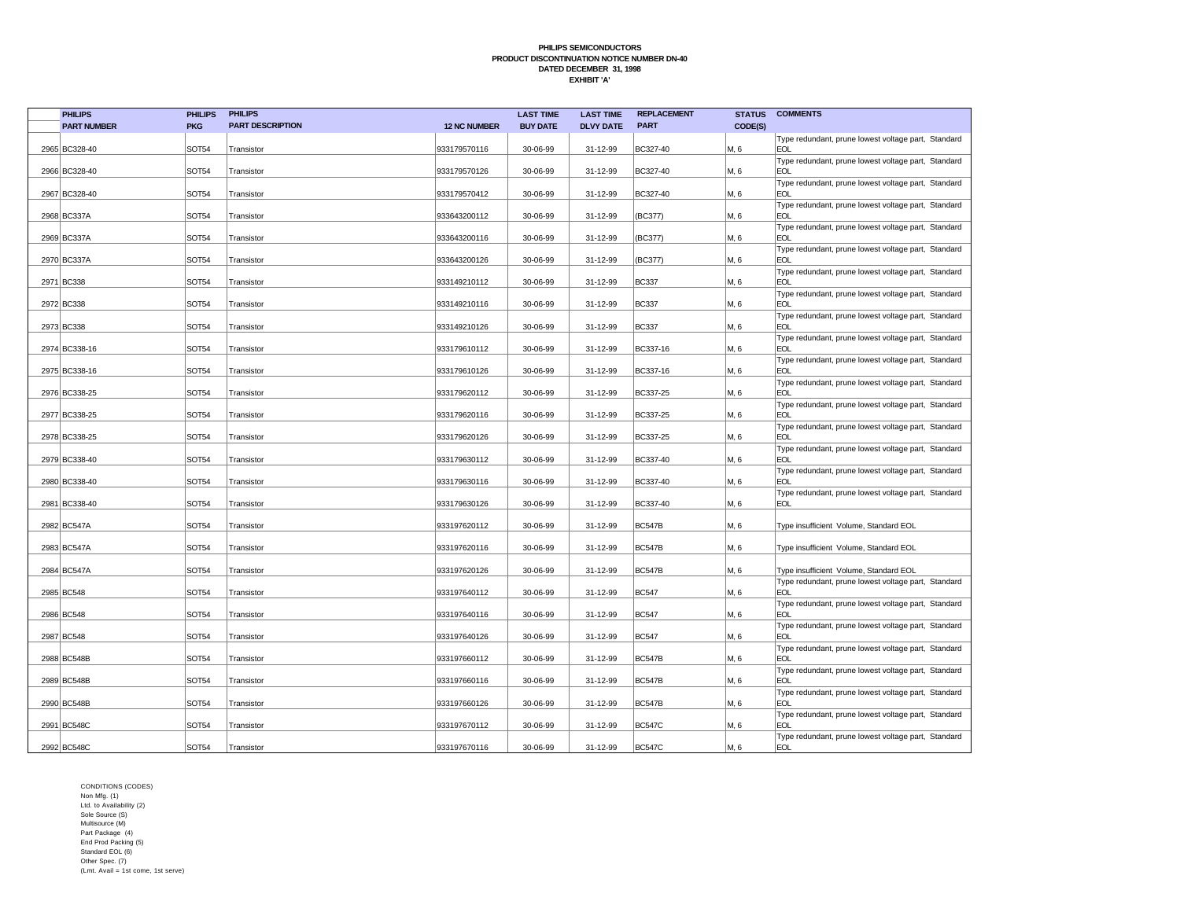| <b>PHILIPS</b>     | <b>PHILIPS</b> | <b>PHILIPS</b>          |                     | <b>LAST TIME</b> | <b>LAST TIME</b> | <b>REPLACEMENT</b> | <b>STATUS</b> | <b>COMMENTS</b>                                                   |
|--------------------|----------------|-------------------------|---------------------|------------------|------------------|--------------------|---------------|-------------------------------------------------------------------|
| <b>PART NUMBER</b> | <b>PKG</b>     | <b>PART DESCRIPTION</b> | <b>12 NC NUMBER</b> | <b>BUY DATE</b>  | <b>DLVY DATE</b> | <b>PART</b>        | CODE(S)       |                                                                   |
| 2965 BC328-40      | SOT54          | Transistor              | 933179570116        | 30-06-99         | 31-12-99         | BC327-40           | M, 6          | Type redundant, prune lowest voltage part, Standard<br><b>EOL</b> |
| 2966 BC328-40      | <b>SOT54</b>   | Transistor              | 933179570126        | 30-06-99         | 31-12-99         | BC327-40           | M, 6          | Type redundant, prune lowest voltage part, Standard<br><b>EOL</b> |
| 2967 BC328-40      | SOT54          | Transistor              | 933179570412        | 30-06-99         | 31-12-99         | BC327-40           | M, 6          | Type redundant, prune lowest voltage part, Standard<br><b>EOL</b> |
| 2968 BC337A        | <b>SOT54</b>   | Transistor              | 933643200112        | 30-06-99         | 31-12-99         | (BC377)            | M, 6          | Type redundant, prune lowest voltage part, Standard<br><b>EOL</b> |
| 2969 BC337A        | <b>SOT54</b>   | Transistor              | 933643200116        | 30-06-99         | 31-12-99         | (BC377)            | M, 6          | Type redundant, prune lowest voltage part, Standard<br><b>EOL</b> |
| 2970 BC337A        | SOT54          | Transistor              | 933643200126        | 30-06-99         | 31-12-99         | (BC377)            | M, 6          | Type redundant, prune lowest voltage part, Standard<br><b>EOL</b> |
| 2971 BC338         | SOT54          | Transistor              | 933149210112        | 30-06-99         | 31-12-99         | <b>BC337</b>       | M, 6          | Type redundant, prune lowest voltage part, Standard<br><b>EOL</b> |
| 2972 BC338         | SOT54          | Transistor              | 933149210116        | 30-06-99         | 31-12-99         | <b>BC337</b>       | M, 6          | Type redundant, prune lowest voltage part, Standard<br><b>EOL</b> |
| 2973 BC338         | SOT54          | Transistor              | 933149210126        | 30-06-99         | 31-12-99         | <b>BC337</b>       | M, 6          | Type redundant, prune lowest voltage part, Standard<br><b>EOL</b> |
| 2974 BC338-16      | SOT54          | Transistor              | 933179610112        | 30-06-99         | 31-12-99         | BC337-16           | M, 6          | Type redundant, prune lowest voltage part, Standard<br><b>EOL</b> |
| 2975 BC338-16      | SOT54          | Transistor              | 933179610126        | 30-06-99         | 31-12-99         | BC337-16           | M, 6          | Type redundant, prune lowest voltage part, Standard<br><b>EOL</b> |
| 2976 BC338-25      | <b>SOT54</b>   | Transistor              | 933179620112        | 30-06-99         | 31-12-99         | BC337-25           | M, 6          | Type redundant, prune lowest voltage part, Standard<br><b>EOL</b> |
| 2977 BC338-25      | SOT54          | Transistor              | 933179620116        | 30-06-99         | 31-12-99         | BC337-25           | M, 6          | Type redundant, prune lowest voltage part, Standard<br><b>EOL</b> |
| 2978 BC338-25      | <b>SOT54</b>   | Transistor              | 933179620126        | 30-06-99         | 31-12-99         | BC337-25           | M, 6          | Type redundant, prune lowest voltage part, Standard<br><b>EOL</b> |
| 2979 BC338-40      | SOT54          | Transistor              | 933179630112        | 30-06-99         | 31-12-99         | BC337-40           | M, 6          | Type redundant, prune lowest voltage part, Standard<br><b>EOL</b> |
| 2980 BC338-40      | <b>SOT54</b>   | Transistor              | 933179630116        | 30-06-99         | 31-12-99         | BC337-40           | M, 6          | Type redundant, prune lowest voltage part, Standard<br><b>EOL</b> |
| 2981 BC338-40      | <b>SOT54</b>   | Transistor              | 933179630126        | 30-06-99         | 31-12-99         | BC337-40           | M, 6          | Type redundant, prune lowest voltage part, Standard<br><b>EOL</b> |
| 2982 BC547A        | <b>SOT54</b>   | Transistor              | 933197620112        | 30-06-99         | 31-12-99         | <b>BC547B</b>      | M, 6          | Type insufficient Volume, Standard EOL                            |
| 2983 BC547A        | SOT54          | Transistor              | 933197620116        | 30-06-99         | 31-12-99         | <b>BC547B</b>      | M, 6          | Type insufficient Volume, Standard EOL                            |
| 2984 BC547A        | <b>SOT54</b>   | Transistor              | 933197620126        | 30-06-99         | 31-12-99         | <b>BC547B</b>      | M, 6          | Type insufficient Volume, Standard EOL                            |
| 2985 BC548         | SOT54          | Transistor              | 933197640112        | 30-06-99         | 31-12-99         | <b>BC547</b>       | M, 6          | Type redundant, prune lowest voltage part, Standard<br><b>EOL</b> |
| 2986 BC548         | SOT54          | Transistor              | 933197640116        | 30-06-99         | 31-12-99         | <b>BC547</b>       | M, 6          | Type redundant, prune lowest voltage part, Standard<br><b>EOL</b> |
| 2987 BC548         | SOT54          | Transistor              | 933197640126        | 30-06-99         | 31-12-99         | <b>BC547</b>       | M, 6          | Type redundant, prune lowest voltage part, Standard<br><b>EOL</b> |
| 2988 BC548B        | SOT54          | Transistor              | 933197660112        | 30-06-99         | 31-12-99         | <b>BC547B</b>      | M, 6          | Type redundant, prune lowest voltage part, Standard<br><b>EOL</b> |
| 2989 BC548B        | <b>SOT54</b>   | Transistor              | 933197660116        | 30-06-99         | 31-12-99         | <b>BC547B</b>      | M, 6          | Type redundant, prune lowest voltage part, Standard<br><b>EOL</b> |
| 2990 BC548B        | <b>SOT54</b>   | Transistor              | 933197660126        | 30-06-99         | 31-12-99         | <b>BC547B</b>      | M, 6          | Type redundant, prune lowest voltage part, Standard<br><b>EOL</b> |
| 2991 BC548C        | <b>SOT54</b>   | Transistor              | 933197670112        | 30-06-99         | 31-12-99         | <b>BC547C</b>      | M, 6          | Type redundant, prune lowest voltage part, Standard<br><b>EOL</b> |
| 2992 BC548C        | <b>SOT54</b>   | Transistor              | 933197670116        | 30-06-99         | 31-12-99         | <b>BC547C</b>      | M, 6          | Type redundant, prune lowest voltage part, Standard<br><b>EOL</b> |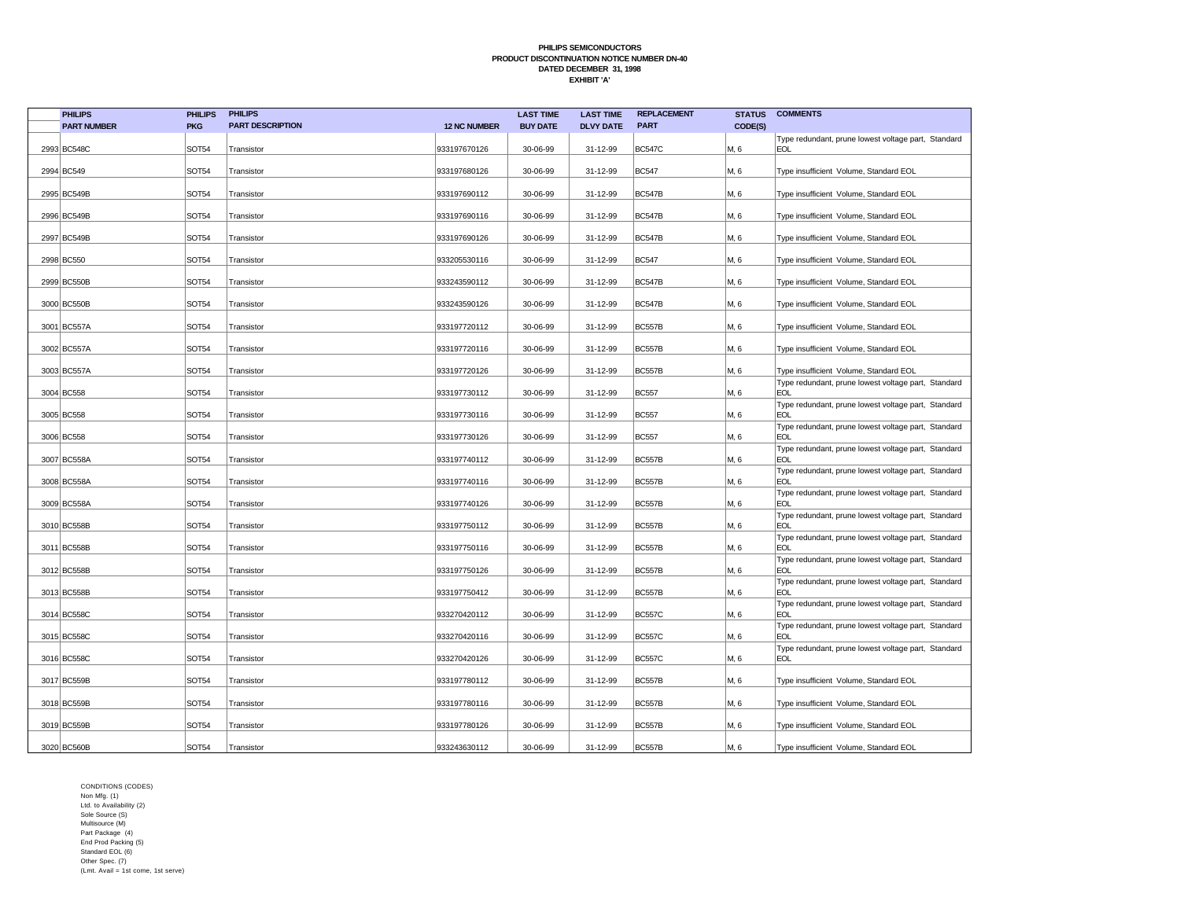| <b>PHILIPS</b>     | <b>PHILIPS</b> | <b>PHILIPS</b>          |                     | <b>LAST TIME</b> | <b>LAST TIME</b> | <b>REPLACEMENT</b> | <b>STATUS</b> | <b>COMMENTS</b>                                                   |
|--------------------|----------------|-------------------------|---------------------|------------------|------------------|--------------------|---------------|-------------------------------------------------------------------|
| <b>PART NUMBER</b> | <b>PKG</b>     | <b>PART DESCRIPTION</b> | <b>12 NC NUMBER</b> | <b>BUY DATE</b>  | <b>DLVY DATE</b> | <b>PART</b>        | CODE(S)       |                                                                   |
|                    |                |                         |                     |                  |                  |                    |               | Type redundant, prune lowest voltage part, Standard               |
| 2993 BC548C        | SOT54          | Transistor              | 933197670126        | 30-06-99         | 31-12-99         | <b>BC547C</b>      | M, 6          | <b>EOL</b>                                                        |
| 2994 BC549         | SOT54          | Transistor              | 933197680126        | 30-06-99         | 31-12-99         | <b>BC547</b>       | M, 6          | Type insufficient Volume, Standard EOL                            |
|                    |                |                         |                     |                  |                  |                    |               |                                                                   |
| 2995 BC549B        | <b>SOT54</b>   | Transistor              | 933197690112        | 30-06-99         | 31-12-99         | <b>BC547B</b>      | M, 6          | Type insufficient Volume, Standard EOL                            |
|                    |                |                         |                     |                  |                  |                    |               |                                                                   |
| 2996 BC549B        | SOT54          | Transistor              | 933197690116        | 30-06-99         | 31-12-99         | <b>BC547B</b>      | M, 6          | Type insufficient Volume, Standard EOL                            |
| 2997 BC549B        | <b>SOT54</b>   | Transistor              | 933197690126        | 30-06-99         | 31-12-99         | <b>BC547B</b>      | M, 6          | Type insufficient Volume, Standard EOL                            |
|                    |                |                         |                     |                  |                  |                    |               |                                                                   |
| 2998 BC550         | SOT54          | Transistor              | 933205530116        | 30-06-99         | 31-12-99         | <b>BC547</b>       | M, 6          | Type insufficient Volume, Standard EOL                            |
|                    |                |                         |                     |                  |                  |                    |               |                                                                   |
| 2999 BC550B        | SOT54          | Transistor              | 933243590112        | 30-06-99         | 31-12-99         | <b>BC547B</b>      | M, 6          | Type insufficient Volume, Standard EOL                            |
| 3000 BC550B        | SOT54          | Transistor              | 933243590126        | 30-06-99         | 31-12-99         | <b>BC547B</b>      | M, 6          | Type insufficient Volume, Standard EOL                            |
|                    |                |                         |                     |                  |                  |                    |               |                                                                   |
| 3001 BC557A        | SOT54          | Transistor              | 933197720112        | 30-06-99         | 31-12-99         | <b>BC557B</b>      | M, 6          | Type insufficient Volume, Standard EOL                            |
|                    |                |                         |                     |                  |                  |                    |               |                                                                   |
| 3002 BC557A        | <b>SOT54</b>   | Transistor              | 933197720116        | 30-06-99         | 31-12-99         | <b>BC557B</b>      | M, 6          | Type insufficient Volume, Standard EOL                            |
| 3003 BC557A        | SOT54          | Transistor              | 933197720126        | 30-06-99         | 31-12-99         | <b>BC557B</b>      | M, 6          | Type insufficient Volume, Standard EOL                            |
|                    |                |                         |                     |                  |                  |                    |               | Type redundant, prune lowest voltage part, Standard               |
| 3004 BC558         | SOT54          | Transistor              | 933197730112        | 30-06-99         | 31-12-99         | <b>BC557</b>       | M, 6          | <b>EOL</b>                                                        |
|                    |                |                         |                     |                  |                  |                    |               | Type redundant, prune lowest voltage part, Standard               |
| 3005 BC558         | SOT54          | Transistor              | 933197730116        | 30-06-99         | 31-12-99         | <b>BC557</b>       | M, 6          | <b>EOL</b>                                                        |
| 3006 BC558         | <b>SOT54</b>   | Transistor              | 933197730126        | 30-06-99         | 31-12-99         | <b>BC557</b>       | M, 6          | Type redundant, prune lowest voltage part, Standard<br><b>EOL</b> |
|                    |                |                         |                     |                  |                  |                    |               | Type redundant, prune lowest voltage part, Standard               |
| 3007 BC558A        | SOT54          | Transistor              | 933197740112        | 30-06-99         | 31-12-99         | <b>BC557B</b>      | M, 6          | <b>EOL</b>                                                        |
|                    |                |                         |                     |                  |                  |                    |               | Type redundant, prune lowest voltage part, Standard               |
| 3008 BC558A        | <b>SOT54</b>   | Transistor              | 933197740116        | 30-06-99         | 31-12-99         | <b>BC557B</b>      | M, 6          | <b>EOL</b>                                                        |
| 3009 BC558A        | <b>SOT54</b>   | Transistor              | 933197740126        | 30-06-99         | 31-12-99         | <b>BC557B</b>      | M. 6          | Type redundant, prune lowest voltage part, Standard<br><b>EOL</b> |
|                    |                |                         |                     |                  |                  |                    |               | Type redundant, prune lowest voltage part, Standard               |
| 3010 BC558B        | <b>SOT54</b>   | Transistor              | 933197750112        | 30-06-99         | 31-12-99         | <b>BC557B</b>      | M, 6          | <b>EOL</b>                                                        |
|                    |                |                         |                     |                  |                  |                    |               | Type redundant, prune lowest voltage part, Standard               |
| 3011 BC558B        | <b>SOT54</b>   | Transistor              | 933197750116        | 30-06-99         | 31-12-99         | <b>BC557B</b>      | M, 6          | <b>EOL</b>                                                        |
| 3012 BC558B        | <b>SOT54</b>   | Transistor              | 933197750126        | 30-06-99         | 31-12-99         | <b>BC557B</b>      | M, 6          | Type redundant, prune lowest voltage part, Standard<br><b>EOL</b> |
|                    |                |                         |                     |                  |                  |                    |               | Type redundant, prune lowest voltage part, Standard               |
| 3013 BC558B        | SOT54          | Transistor              | 933197750412        | 30-06-99         | 31-12-99         | <b>BC557B</b>      | M, 6          | <b>EOL</b>                                                        |
|                    |                |                         |                     |                  |                  |                    |               | Type redundant, prune lowest voltage part, Standard               |
| 3014 BC558C        | SOT54          | Transistor              | 933270420112        | 30-06-99         | 31-12-99         | <b>BC557C</b>      | M, 6          | <b>EOL</b>                                                        |
| 3015 BC558C        | <b>SOT54</b>   | Transistor              | 933270420116        | 30-06-99         | 31-12-99         | <b>BC557C</b>      | M, 6          | Type redundant, prune lowest voltage part, Standard<br><b>EOL</b> |
|                    |                |                         |                     |                  |                  |                    |               | Type redundant, prune lowest voltage part, Standard               |
| 3016 BC558C        | SOT54          | Transistor              | 933270420126        | 30-06-99         | 31-12-99         | <b>BC557C</b>      | M, 6          | <b>EOL</b>                                                        |
|                    |                |                         |                     |                  |                  |                    |               |                                                                   |
| 3017 BC559B        | SOT54          | Transistor              | 933197780112        | 30-06-99         | 31-12-99         | <b>BC557B</b>      | M, 6          | Type insufficient Volume, Standard EOL                            |
| 3018 BC559B        | SOT54          | Transistor              | 933197780116        | 30-06-99         | 31-12-99         | <b>BC557B</b>      | M, 6          | Type insufficient Volume, Standard EOL                            |
|                    |                |                         |                     |                  |                  |                    |               |                                                                   |
| 3019 BC559B        | <b>SOT54</b>   | Transistor              | 933197780126        | 30-06-99         | 31-12-99         | <b>BC557B</b>      | M, 6          | Type insufficient Volume, Standard EOL                            |
|                    |                |                         |                     |                  |                  |                    |               |                                                                   |
| 3020 BC560B        | <b>SOT54</b>   | Transistor              | 933243630112        | 30-06-99         | 31-12-99         | <b>BC557B</b>      | M, 6          | Type insufficient Volume, Standard EOL                            |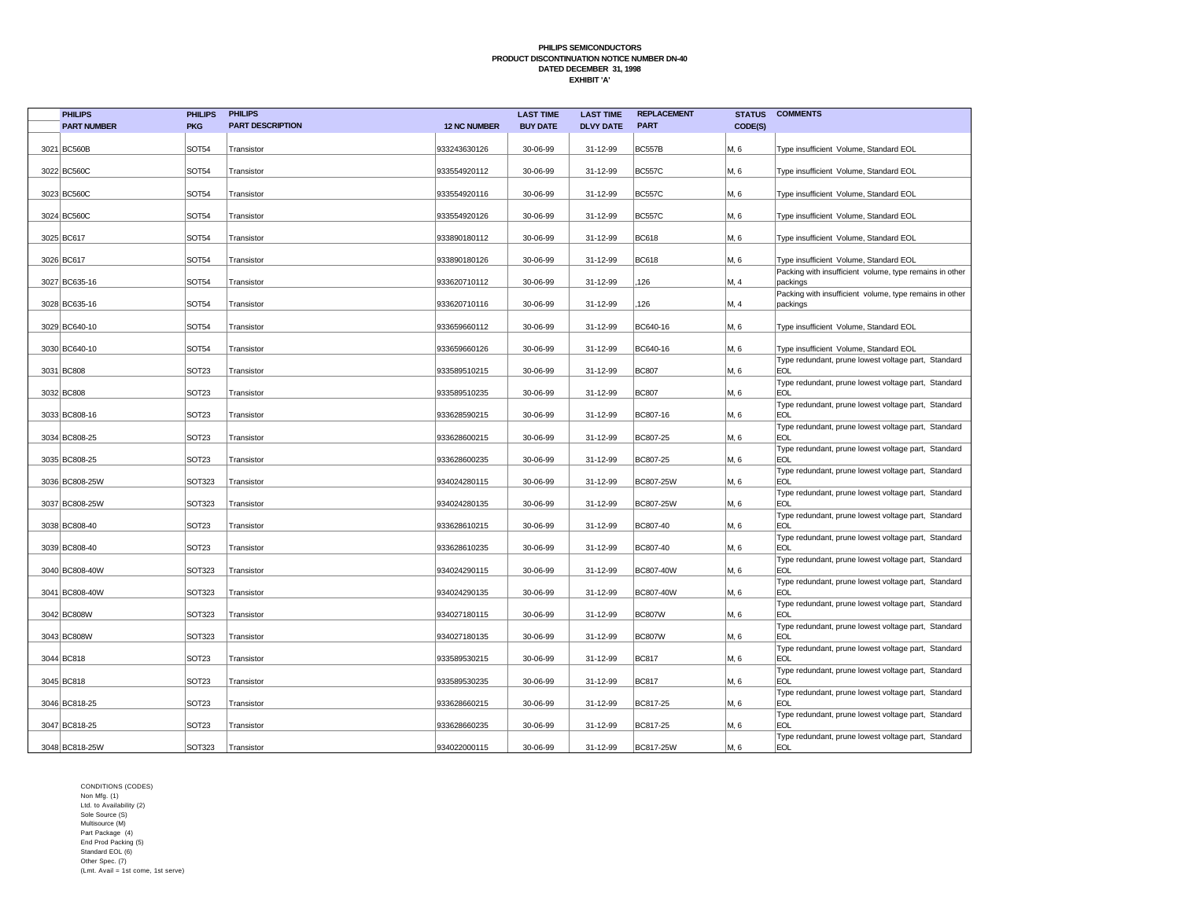| <b>PHILIPS</b>     | <b>PHILIPS</b>    | <b>PHILIPS</b>          |                     | <b>LAST TIME</b> | <b>LAST TIME</b> | <b>REPLACEMENT</b> | <b>STATUS</b> | <b>COMMENTS</b>                                                     |
|--------------------|-------------------|-------------------------|---------------------|------------------|------------------|--------------------|---------------|---------------------------------------------------------------------|
| <b>PART NUMBER</b> | <b>PKG</b>        | <b>PART DESCRIPTION</b> | <b>12 NC NUMBER</b> | <b>BUY DATE</b>  | <b>DLVY DATE</b> | <b>PART</b>        | CODE(S)       |                                                                     |
| 3021 BC560B        | <b>SOT54</b>      | Transistor              | 933243630126        | 30-06-99         | 31-12-99         | <b>BC557B</b>      | M, 6          | Type insufficient Volume, Standard EOL                              |
| 3022 BC560C        | <b>SOT54</b>      | Transistor              | 933554920112        | 30-06-99         | 31-12-99         | <b>BC557C</b>      | M, 6          | Type insufficient Volume, Standard EOL                              |
|                    |                   |                         |                     |                  |                  |                    |               |                                                                     |
| 3023 BC560C        | <b>SOT54</b>      | Transistor              | 933554920116        | 30-06-99         | 31-12-99         | <b>BC557C</b>      | M, 6          | Type insufficient Volume, Standard EOL                              |
| 3024 BC560C        | <b>SOT54</b>      | Transistor              | 933554920126        | 30-06-99         | 31-12-99         | <b>BC557C</b>      | M, 6          | Type insufficient Volume, Standard EOL                              |
| 3025 BC617         | <b>SOT54</b>      | Transistor              | 933890180112        | 30-06-99         | 31-12-99         | <b>BC618</b>       | M, 6          | Type insufficient Volume, Standard EOL                              |
| 3026 BC617         | <b>SOT54</b>      | Transistor              | 933890180126        | 30-06-99         | 31-12-99         | <b>BC618</b>       | M, 6          | Type insufficient Volume, Standard EOL                              |
| 3027 BC635-16      | SOT54             | Transistor              | 933620710112        | 30-06-99         | 31-12-99         | 126                | M, 4          | Packing with insufficient volume, type remains in other<br>packings |
| 3028 BC635-16      | <b>SOT54</b>      | Transistor              | 933620710116        | 30-06-99         | 31-12-99         | 126                | M, 4          | Packing with insufficient volume, type remains in other<br>packings |
| 3029 BC640-10      | SOT54             | Transistor              | 933659660112        | 30-06-99         | 31-12-99         | BC640-16           | M, 6          | Type insufficient Volume, Standard EOL                              |
| 3030 BC640-10      | <b>SOT54</b>      | Transistor              | 933659660126        | 30-06-99         | 31-12-99         | BC640-16           | M, 6          | Type insufficient Volume, Standard EOL                              |
| 3031 BC808         | SOT <sub>23</sub> | Transistor              | 933589510215        | 30-06-99         | 31-12-99         | <b>BC807</b>       | M, 6          | Type redundant, prune lowest voltage part, Standard<br><b>EOL</b>   |
| 3032 BC808         | SOT <sub>23</sub> | Transistor              | 933589510235        | 30-06-99         | 31-12-99         | <b>BC807</b>       | M, 6          | Type redundant, prune lowest voltage part, Standard<br><b>EOL</b>   |
| 3033 BC808-16      | SOT <sub>23</sub> | Transistor              | 933628590215        | 30-06-99         | 31-12-99         | BC807-16           | M, 6          | Type redundant, prune lowest voltage part, Standard<br><b>EOL</b>   |
| 3034 BC808-25      | SOT <sub>23</sub> | Transistor              | 933628600215        | 30-06-99         | 31-12-99         | BC807-25           | M, 6          | Type redundant, prune lowest voltage part, Standard<br><b>EOL</b>   |
| 3035 BC808-25      | SOT <sub>23</sub> | Transistor              | 933628600235        | 30-06-99         | 31-12-99         | BC807-25           | M, 6          | Type redundant, prune lowest voltage part, Standard<br><b>EOL</b>   |
| 3036 BC808-25W     | SOT323            | Transistor              | 934024280115        | 30-06-99         | 31-12-99         | BC807-25W          | M, 6          | Type redundant, prune lowest voltage part, Standard<br><b>EOL</b>   |
| 3037 BC808-25W     | <b>SOT323</b>     | Transistor              | 934024280135        | 30-06-99         | 31-12-99         | BC807-25W          | M, 6          | Type redundant, prune lowest voltage part, Standard<br><b>EOL</b>   |
| 3038 BC808-40      | <b>SOT23</b>      | Transistor              | 933628610215        | 30-06-99         | 31-12-99         | BC807-40           | M, 6          | Type redundant, prune lowest voltage part, Standard<br><b>EOL</b>   |
| 3039 BC808-40      | SOT <sub>23</sub> | Transistor              | 933628610235        | 30-06-99         | 31-12-99         | BC807-40           | M, 6          | Type redundant, prune lowest voltage part, Standard<br><b>EOL</b>   |
| 3040 BC808-40W     | SOT323            | Transistor              | 934024290115        | 30-06-99         | 31-12-99         | BC807-40W          | M, 6          | Type redundant, prune lowest voltage part, Standard<br><b>EOL</b>   |
| 3041 BC808-40W     | SOT323            | Transistor              | 934024290135        | 30-06-99         | 31-12-99         | BC807-40W          | M, 6          | Type redundant, prune lowest voltage part, Standard<br><b>EOL</b>   |
| 3042 BC808W        | <b>SOT323</b>     | Transistor              | 934027180115        | 30-06-99         | 31-12-99         | <b>BC807W</b>      | M, 6          | Type redundant, prune lowest voltage part, Standard<br><b>EOL</b>   |
| 3043 BC808W        | SOT323            | Transistor              | 934027180135        | 30-06-99         | 31-12-99         | <b>BC807W</b>      | M, 6          | Type redundant, prune lowest voltage part, Standard<br><b>EOL</b>   |
| 3044 BC818         | SOT <sub>23</sub> | Transistor              | 933589530215        | 30-06-99         | 31-12-99         | <b>BC817</b>       | M, 6          | Type redundant, prune lowest voltage part, Standard<br><b>EOL</b>   |
| 3045 BC818         | SOT <sub>23</sub> | Transistor              | 933589530235        | 30-06-99         | 31-12-99         | <b>BC817</b>       | M, 6          | Type redundant, prune lowest voltage part, Standard<br><b>EOL</b>   |
| 3046 BC818-25      | SOT <sub>23</sub> | Transistor              | 933628660215        | 30-06-99         | 31-12-99         | BC817-25           | M, 6          | Type redundant, prune lowest voltage part, Standard<br><b>EOL</b>   |
| 3047 BC818-25      | SOT <sub>23</sub> | Transistor              | 933628660235        | 30-06-99         | 31-12-99         | BC817-25           | M, 6          | Type redundant, prune lowest voltage part, Standard<br><b>EOL</b>   |
| 3048 BC818-25W     | SOT323            | Transistor              | 934022000115        | 30-06-99         | 31-12-99         | BC817-25W          | M, 6          | Type redundant, prune lowest voltage part, Standard<br><b>EOL</b>   |
|                    |                   |                         |                     |                  |                  |                    |               |                                                                     |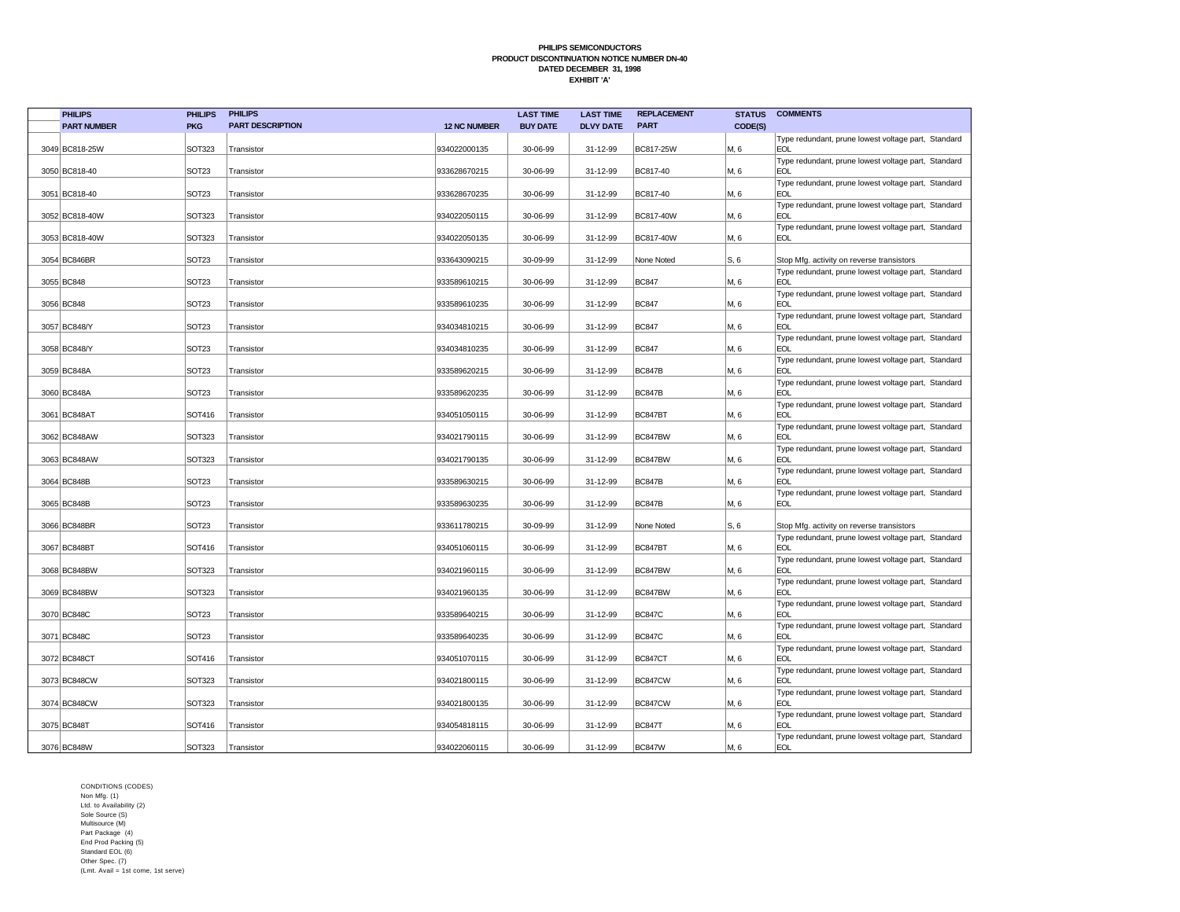| <b>PHILIPS</b>     | <b>PHILIPS</b>    | <b>PHILIPS</b>          |                     | <b>LAST TIME</b> | <b>LAST TIME</b> | <b>REPLACEMENT</b> | <b>STATUS</b> | <b>COMMENTS</b>                                                   |
|--------------------|-------------------|-------------------------|---------------------|------------------|------------------|--------------------|---------------|-------------------------------------------------------------------|
| <b>PART NUMBER</b> | <b>PKG</b>        | <b>PART DESCRIPTION</b> | <b>12 NC NUMBER</b> | <b>BUY DATE</b>  | <b>DLVY DATE</b> | <b>PART</b>        | CODE(S)       |                                                                   |
| 3049 BC818-25W     | SOT323            | Transistor              | 934022000135        | 30-06-99         | 31-12-99         | BC817-25W          | M, 6          | Type redundant, prune lowest voltage part, Standard<br><b>EOL</b> |
| 3050 BC818-40      | SOT <sub>23</sub> | Transistor              | 933628670215        | 30-06-99         | 31-12-99         | BC817-40           | M, 6          | Type redundant, prune lowest voltage part, Standard<br><b>EOL</b> |
| 3051 BC818-40      | SOT <sub>23</sub> | Transistor              | 933628670235        | 30-06-99         | 31-12-99         | BC817-40           | M, 6          | Type redundant, prune lowest voltage part, Standard<br><b>EOL</b> |
| 3052 BC818-40W     | SOT323            | Transistor              | 934022050115        | 30-06-99         | 31-12-99         | BC817-40W          | M, 6          | Type redundant, prune lowest voltage part, Standard<br><b>EOL</b> |
| 3053 BC818-40W     | SOT323            | Transistor              | 934022050135        | 30-06-99         | 31-12-99         | BC817-40W          | M, 6          | Type redundant, prune lowest voltage part, Standard<br><b>EOL</b> |
| 3054 BC846BR       | SOT <sub>23</sub> | Transistor              | 933643090215        | 30-09-99         | 31-12-99         | None Noted         | IS, 6         | Stop Mfg. activity on reverse transistors                         |
| 3055 BC848         | SOT <sub>23</sub> | Transistor              | 933589610215        | 30-06-99         | 31-12-99         | <b>BC847</b>       | M, 6          | Type redundant, prune lowest voltage part, Standard<br><b>EOL</b> |
| 3056 BC848         | SOT <sub>23</sub> | Transistor              | 933589610235        | 30-06-99         | 31-12-99         | <b>BC847</b>       | M, 6          | Type redundant, prune lowest voltage part, Standard<br><b>EOL</b> |
| 3057 BC848/Y       | SOT <sub>23</sub> | Transistor              | 934034810215        | 30-06-99         | 31-12-99         | <b>BC847</b>       | M, 6          | Type redundant, prune lowest voltage part, Standard<br><b>EOL</b> |
| 3058 BC848/Y       | SOT <sub>23</sub> | Transistor              | 934034810235        | 30-06-99         | 31-12-99         | <b>BC847</b>       | M, 6          | Type redundant, prune lowest voltage part, Standard<br><b>EOL</b> |
| 3059 BC848A        | SOT <sub>23</sub> | Transistor              | 933589620215        | 30-06-99         | 31-12-99         | <b>BC847B</b>      | M, 6          | Type redundant, prune lowest voltage part, Standard<br><b>EOL</b> |
| 3060 BC848A        | <b>SOT23</b>      | Transistor              | 933589620235        | 30-06-99         | 31-12-99         | <b>BC847B</b>      | M, 6          | Type redundant, prune lowest voltage part, Standard<br><b>EOL</b> |
| 3061 BC848AT       | SOT416            | Transistor              | 934051050115        | 30-06-99         | 31-12-99         | BC847BT            | M, 6          | Type redundant, prune lowest voltage part, Standard<br><b>EOL</b> |
| 3062 BC848AW       | <b>SOT323</b>     | Transistor              | 934021790115        | 30-06-99         | 31-12-99         | BC847BW            | M, 6          | Type redundant, prune lowest voltage part, Standard<br><b>EOL</b> |
| 3063 BC848AW       | SOT323            | Transistor              | 934021790135        | 30-06-99         | 31-12-99         | BC847BW            | M, 6          | Type redundant, prune lowest voltage part, Standard<br><b>EOL</b> |
| 3064 BC848B        | SOT <sub>23</sub> | Transistor              | 933589630215        | 30-06-99         | 31-12-99         | <b>BC847B</b>      | M, 6          | Type redundant, prune lowest voltage part, Standard<br><b>EOL</b> |
| 3065 BC848B        | <b>SOT23</b>      | Transistor              | 933589630235        | 30-06-99         | 31-12-99         | <b>BC847B</b>      | M, 6          | Type redundant, prune lowest voltage part, Standard<br><b>EOL</b> |
| 3066 BC848BR       | <b>SOT23</b>      | Transistor              | 933611780215        | 30-09-99         | 31-12-99         | None Noted         | S, 6          | Stop Mfg. activity on reverse transistors                         |
| 3067 BC848BT       | SOT416            | Transistor              | 934051060115        | 30-06-99         | 31-12-99         | BC847BT            | M, 6          | Type redundant, prune lowest voltage part, Standard<br><b>EOL</b> |
| 3068 BC848BW       | SOT323            | Transistor              | 934021960115        | 30-06-99         | 31-12-99         | BC847BW            | M, 6          | Type redundant, prune lowest voltage part, Standard<br><b>EOL</b> |
| 3069 BC848BW       | SOT323            | Transistor              | 934021960135        | 30-06-99         | 31-12-99         | BC847BW            | M, 6          | Type redundant, prune lowest voltage part, Standard<br><b>EOL</b> |
| 3070 BC848C        | SOT <sub>23</sub> | Transistor              | 933589640215        | 30-06-99         | 31-12-99         | <b>BC847C</b>      | M, 6          | Type redundant, prune lowest voltage part, Standard<br><b>EOL</b> |
| 3071 BC848C        | SOT <sub>23</sub> | Transistor              | 933589640235        | 30-06-99         | 31-12-99         | <b>BC847C</b>      | M, 6          | Type redundant, prune lowest voltage part, Standard<br><b>EOL</b> |
| 3072 BC848CT       | SOT416            | Transistor              | 934051070115        | 30-06-99         | 31-12-99         | BC847CT            | M, 6          | Type redundant, prune lowest voltage part, Standard<br><b>EOL</b> |
| 3073 BC848CW       | <b>SOT323</b>     | Transistor              | 934021800115        | 30-06-99         | 31-12-99         | BC847CW            | M, 6          | Type redundant, prune lowest voltage part, Standard<br><b>EOL</b> |
| 3074 BC848CW       | <b>SOT323</b>     | Transistor              | 934021800135        | 30-06-99         | 31-12-99         | BC847CW            | M, 6          | Type redundant, prune lowest voltage part, Standard<br><b>EOL</b> |
| 3075 BC848T        | SOT416            | Transistor              | 934054818115        | 30-06-99         | 31-12-99         | <b>BC847T</b>      | M, 6          | Type redundant, prune lowest voltage part, Standard<br><b>EOL</b> |
| 3076 BC848W        | SOT323            | Transistor              | 934022060115        | 30-06-99         | 31-12-99         | <b>BC847W</b>      | M, 6          | Type redundant, prune lowest voltage part, Standard<br><b>EOL</b> |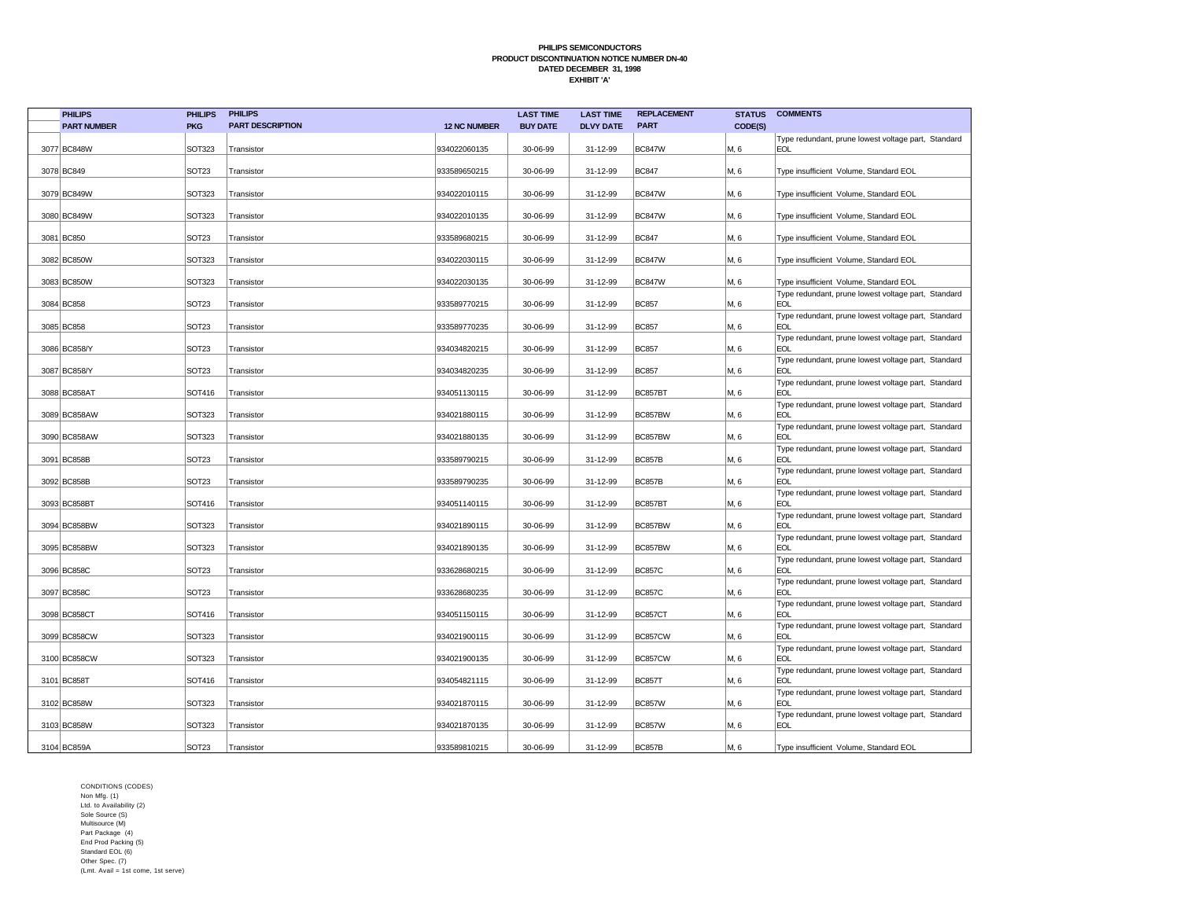| <b>PHILIPS</b>     | <b>PHILIPS</b>    | <b>PHILIPS</b>          |                     | <b>LAST TIME</b> | <b>LAST TIME</b> | <b>REPLACEMENT</b> | <b>STATUS</b> | <b>COMMENTS</b>                                                   |
|--------------------|-------------------|-------------------------|---------------------|------------------|------------------|--------------------|---------------|-------------------------------------------------------------------|
| <b>PART NUMBER</b> | <b>PKG</b>        | <b>PART DESCRIPTION</b> | <b>12 NC NUMBER</b> | <b>BUY DATE</b>  | <b>DLVY DATE</b> | <b>PART</b>        | CODE(S)       |                                                                   |
|                    |                   |                         |                     |                  |                  |                    |               | Type redundant, prune lowest voltage part, Standard               |
| 3077 BC848W        | SOT323            | Transistor              | 934022060135        | 30-06-99         | 31-12-99         | <b>BC847W</b>      | M, 6          | <b>EOL</b>                                                        |
| 3078 BC849         | SOT <sub>23</sub> | Transistor              | 933589650215        | 30-06-99         | 31-12-99         | <b>BC847</b>       | M, 6          | Type insufficient Volume, Standard EOL                            |
|                    |                   |                         |                     |                  |                  |                    |               |                                                                   |
| 3079 BC849W        | <b>SOT323</b>     | Transistor              | 934022010115        | 30-06-99         | 31-12-99         | <b>BC847W</b>      | M, 6          | Type insufficient Volume, Standard EOL                            |
|                    |                   |                         |                     |                  |                  |                    |               |                                                                   |
| 3080 BC849W        | SOT323            | Transistor              | 934022010135        | 30-06-99         | 31-12-99         | <b>BC847W</b>      | M, 6          | Type insufficient Volume, Standard EOL                            |
| 3081 BC850         | SOT <sub>23</sub> | Transistor              | 933589680215        | 30-06-99         | 31-12-99         | <b>BC847</b>       | M, 6          | Type insufficient Volume, Standard EOL                            |
|                    |                   |                         |                     |                  |                  |                    |               |                                                                   |
| 3082 BC850W        | SOT323            | Transistor              | 934022030115        | 30-06-99         | 31-12-99         | <b>BC847W</b>      | M, 6          | Type insufficient Volume, Standard EOL                            |
|                    |                   |                         |                     |                  |                  |                    |               |                                                                   |
| 3083 BC850W        | SOT323            | Transistor              | 934022030135        | 30-06-99         | 31-12-99         | <b>BC847W</b>      | M, 6          | Type insufficient Volume, Standard EOL                            |
| 3084 BC858         | SOT <sub>23</sub> | Transistor              | 933589770215        | 30-06-99         | 31-12-99         | <b>BC857</b>       | M, 6          | Type redundant, prune lowest voltage part, Standard<br><b>EOL</b> |
|                    |                   |                         |                     |                  |                  |                    |               | Type redundant, prune lowest voltage part, Standard               |
| 3085 BC858         | SOT <sub>23</sub> | Transistor              | 933589770235        | 30-06-99         | 31-12-99         | <b>BC857</b>       | M, 6          | <b>EOL</b>                                                        |
|                    |                   |                         |                     |                  |                  |                    |               | Type redundant, prune lowest voltage part, Standard               |
| 3086 BC858/Y       | SOT <sub>23</sub> | Transistor              | 934034820215        | 30-06-99         | 31-12-99         | <b>BC857</b>       | M, 6          | <b>EOL</b>                                                        |
| 3087 BC858/Y       | SOT <sub>23</sub> |                         | 934034820235        | 30-06-99         | 31-12-99         | <b>BC857</b>       | M, 6          | Type redundant, prune lowest voltage part, Standard<br><b>EOL</b> |
|                    |                   | Transistor              |                     |                  |                  |                    |               | Type redundant, prune lowest voltage part, Standard               |
| 3088 BC858AT       | SOT416            | Transistor              | 934051130115        | 30-06-99         | 31-12-99         | BC857BT            | M, 6          | <b>EOL</b>                                                        |
|                    |                   |                         |                     |                  |                  |                    |               | Type redundant, prune lowest voltage part, Standard               |
| 3089 BC858AW       | SOT323            | Transistor              | 934021880115        | 30-06-99         | 31-12-99         | BC857BW            | M, 6          | <b>EOL</b>                                                        |
| 3090 BC858AW       | <b>SOT323</b>     | Transistor              | 934021880135        | 30-06-99         | 31-12-99         | BC857BW            | M, 6          | Type redundant, prune lowest voltage part, Standard<br><b>EOL</b> |
|                    |                   |                         |                     |                  |                  |                    |               | Type redundant, prune lowest voltage part, Standard               |
| 3091 BC858B        | SOT <sub>23</sub> | Transistor              | 933589790215        | 30-06-99         | 31-12-99         | <b>BC857B</b>      | M, 6          | EOL                                                               |
|                    |                   |                         |                     |                  |                  |                    |               | Type redundant, prune lowest voltage part, Standard               |
| 3092 BC858B        | SOT <sub>23</sub> | Transistor              | 933589790235        | 30-06-99         | 31-12-99         | <b>BC857B</b>      | M, 6          | <b>EOL</b>                                                        |
|                    |                   |                         |                     |                  |                  |                    |               | Type redundant, prune lowest voltage part, Standard               |
| 3093 BC858BT       | SOT416            | Transistor              | 934051140115        | 30-06-99         | 31-12-99         | BC857BT            | M, 6          | <b>EOL</b><br>Type redundant, prune lowest voltage part, Standard |
| 3094 BC858BW       | SOT323            | Transistor              | 934021890115        | 30-06-99         | 31-12-99         | BC857BW            | M, 6          | <b>EOL</b>                                                        |
|                    |                   |                         |                     |                  |                  |                    |               | Type redundant, prune lowest voltage part, Standard               |
| 3095 BC858BW       | SOT323            | Transistor              | 934021890135        | 30-06-99         | 31-12-99         | BC857BW            | M, 6          | EOL                                                               |
| 3096 BC858C        | SOT <sub>23</sub> |                         | 933628680215        | 30-06-99         | 31-12-99         | <b>BC857C</b>      |               | Type redundant, prune lowest voltage part, Standard<br><b>EOL</b> |
|                    |                   | Transistor              |                     |                  |                  |                    | M, 6          | Type redundant, prune lowest voltage part, Standard               |
| 3097 BC858C        | SOT <sub>23</sub> | Transistor              | 933628680235        | 30-06-99         | 31-12-99         | <b>BC857C</b>      | M, 6          | <b>EOL</b>                                                        |
|                    |                   |                         |                     |                  |                  |                    |               | Type redundant, prune lowest voltage part, Standard               |
| 3098 BC858CT       | SOT416            | Transistor              | 934051150115        | 30-06-99         | 31-12-99         | BC857CT            | M, 6          | <b>EOL</b>                                                        |
| 3099 BC858CW       | SOT323            | Transistor              | 934021900115        | 30-06-99         | 31-12-99         | BC857CW            | M, 6          | Type redundant, prune lowest voltage part, Standard<br><b>EOL</b> |
|                    |                   |                         |                     |                  |                  |                    |               | Type redundant, prune lowest voltage part, Standard               |
| 3100 BC858CW       | SOT323            | Transistor              | 934021900135        | 30-06-99         | 31-12-99         | BC857CW            | M, 6          | <b>EOL</b>                                                        |
|                    |                   |                         |                     |                  |                  |                    |               | Type redundant, prune lowest voltage part, Standard               |
| 3101 BC858T        | SOT416            | Transistor              | 934054821115        | 30-06-99         | 31-12-99         | <b>BC857T</b>      | M, 6          | <b>EOL</b>                                                        |
| 3102 BC858W        | <b>SOT323</b>     | Transistor              | 934021870115        | 30-06-99         | 31-12-99         | <b>BC857W</b>      | M, 6          | Type redundant, prune lowest voltage part, Standard<br><b>EOL</b> |
|                    |                   |                         |                     |                  |                  |                    |               | Type redundant, prune lowest voltage part, Standard               |
| 3103 BC858W        | <b>SOT323</b>     | Transistor              | 934021870135        | 30-06-99         | 31-12-99         | <b>BC857W</b>      | M, 6          | <b>EOL</b>                                                        |
|                    |                   |                         |                     |                  |                  |                    |               |                                                                   |
| 3104 BC859A        | SOT <sub>23</sub> | Transistor              | 933589810215        | 30-06-99         | 31-12-99         | <b>BC857B</b>      | M, 6          | Type insufficient Volume, Standard EOL                            |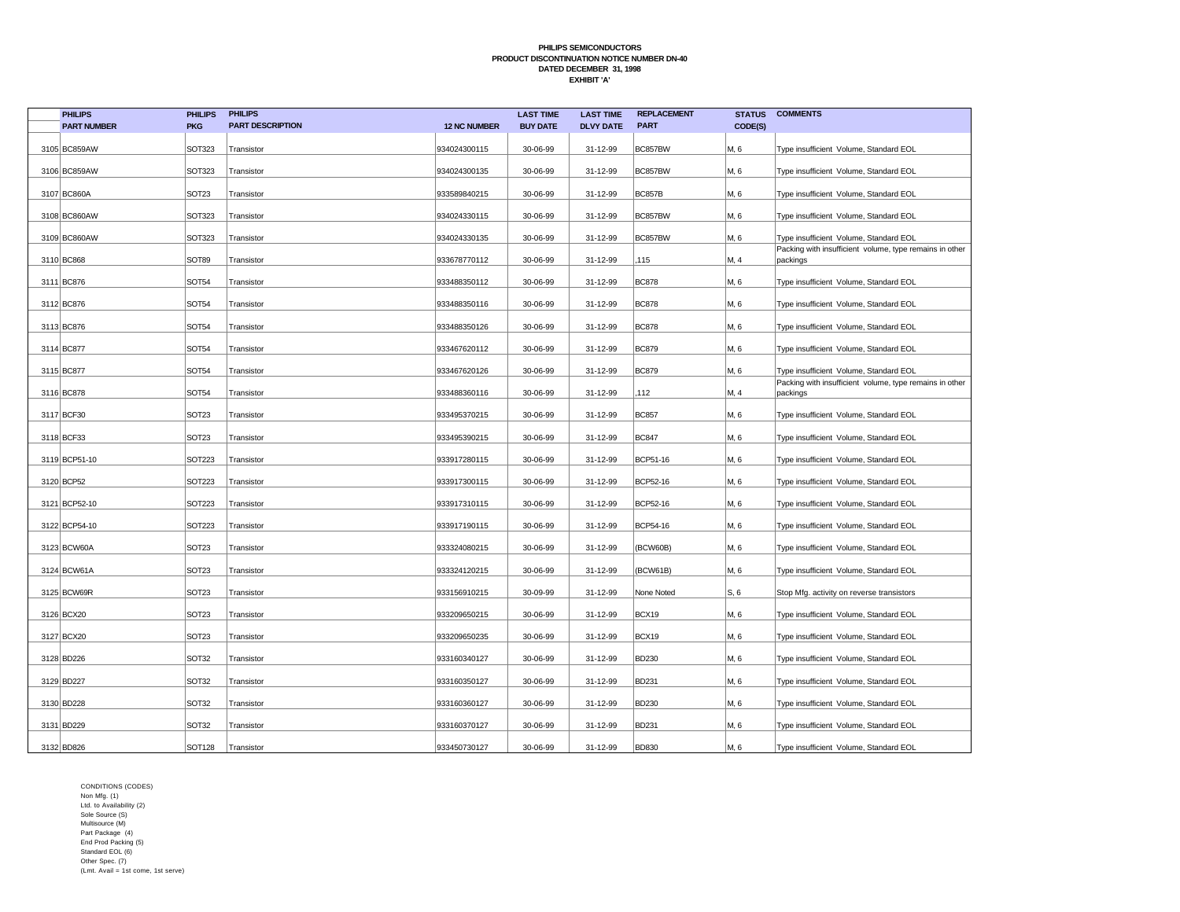| <b>PHILIPS</b>     | <b>PHILIPS</b>    | <b>PHILIPS</b>          |                     | <b>LAST TIME</b> | <b>LAST TIME</b> | <b>REPLACEMENT</b> | <b>STATUS</b> | <b>COMMENTS</b>                                                     |
|--------------------|-------------------|-------------------------|---------------------|------------------|------------------|--------------------|---------------|---------------------------------------------------------------------|
| <b>PART NUMBER</b> | <b>PKG</b>        | <b>PART DESCRIPTION</b> | <b>12 NC NUMBER</b> | <b>BUY DATE</b>  | <b>DLVY DATE</b> | <b>PART</b>        | CODE(S)       |                                                                     |
| 3105 BC859AW       | <b>SOT323</b>     | Transistor              | 934024300115        | 30-06-99         | 31-12-99         | BC857BW            | M, 6          | Type insufficient Volume, Standard EOL                              |
| 3106 BC859AW       | SOT323            | Transistor              | 934024300135        | 30-06-99         | 31-12-99         | BC857BW            | M, 6          | Type insufficient Volume, Standard EOL                              |
| 3107 BC860A        | SOT <sub>23</sub> | Transistor              | 933589840215        | 30-06-99         | 31-12-99         | <b>BC857B</b>      | M, 6          | Type insufficient Volume, Standard EOL                              |
| 3108 BC860AW       | <b>SOT323</b>     | Transistor              | 934024330115        | 30-06-99         | 31-12-99         | BC857BW            | M, 6          | Type insufficient Volume, Standard EOL                              |
| 3109 BC860AW       | <b>SOT323</b>     | Transistor              | 934024330135        | 30-06-99         | 31-12-99         | BC857BW            | M, 6          | Type insufficient Volume, Standard EOL                              |
| 3110 BC868         | SOT89             | Transistor              | 933678770112        | 30-06-99         | 31-12-99         | 115                | M, 4          | Packing with insufficient volume, type remains in other<br>packings |
| 3111 BC876         | SOT54             | Transistor              | 933488350112        | 30-06-99         | 31-12-99         | <b>BC878</b>       | M, 6          | Type insufficient Volume, Standard EOL                              |
| 3112 BC876         | <b>SOT54</b>      | Transistor              | 933488350116        | 30-06-99         | 31-12-99         | <b>BC878</b>       | M, 6          | Type insufficient Volume, Standard EOL                              |
| 3113 BC876         | <b>SOT54</b>      | Transistor              | 933488350126        | 30-06-99         | 31-12-99         | <b>BC878</b>       | M, 6          | Type insufficient Volume, Standard EOL                              |
| 3114 BC877         | <b>SOT54</b>      | Transistor              | 933467620112        | 30-06-99         | 31-12-99         | <b>BC879</b>       | M, 6          | Type insufficient Volume, Standard EOL                              |
| 3115 BC877         | <b>SOT54</b>      | Transistor              | 933467620126        | 30-06-99         | 31-12-99         | <b>BC879</b>       | M, 6          | Type insufficient Volume, Standard EOL                              |
| 3116 BC878         | <b>SOT54</b>      | Transistor              | 933488360116        | 30-06-99         | 31-12-99         | 112                | M, 4          | Packing with insufficient volume, type remains in other<br>packings |
| 3117 BCF30         | SOT <sub>23</sub> | Transistor              | 933495370215        | 30-06-99         | 31-12-99         | <b>BC857</b>       | M, 6          | Type insufficient Volume, Standard EOL                              |
| 3118 BCF33         | SOT <sub>23</sub> | Transistor              | 933495390215        | 30-06-99         | 31-12-99         | <b>BC847</b>       | M, 6          | Type insufficient Volume, Standard EOL                              |
| 3119 BCP51-10      | <b>SOT223</b>     | Transistor              | 933917280115        | 30-06-99         | 31-12-99         | BCP51-16           | M, 6          | Type insufficient Volume, Standard EOL                              |
| 3120 BCP52         | <b>SOT223</b>     | Transistor              | 933917300115        | 30-06-99         | 31-12-99         | BCP52-16           | M, 6          | Type insufficient Volume, Standard EOL                              |
| 3121 BCP52-10      | <b>SOT223</b>     | Transistor              | 933917310115        | 30-06-99         | 31-12-99         | BCP52-16           | M, 6          | Type insufficient Volume, Standard EOL                              |
| 3122 BCP54-10      | <b>SOT223</b>     | Transistor              | 933917190115        | 30-06-99         | 31-12-99         | BCP54-16           | M, 6          | Type insufficient Volume, Standard EOL                              |
| 3123 BCW60A        | SOT <sub>23</sub> | Transistor              | 933324080215        | 30-06-99         | 31-12-99         | (BCW60B)           | M, 6          | Type insufficient Volume, Standard EOL                              |
| 3124 BCW61A        | SOT <sub>23</sub> | Transistor              | 933324120215        | 30-06-99         | 31-12-99         | (BCW61B)           | M, 6          | Type insufficient Volume, Standard EOL                              |
| 3125 BCW69R        | SOT <sub>23</sub> | Transistor              | 933156910215        | 30-09-99         | 31-12-99         | None Noted         | S, 6          | Stop Mfg. activity on reverse transistors                           |
| 3126 BCX20         | SOT <sub>23</sub> | Transistor              | 933209650215        | 30-06-99         | 31-12-99         | BCX19              | M, 6          | Type insufficient Volume, Standard EOL                              |
| 3127 BCX20         | SOT <sub>23</sub> | Transistor              | 933209650235        | 30-06-99         | 31-12-99         | BCX19              | M, 6          | Type insufficient Volume, Standard EOL                              |
| 3128 BD226         | SOT32             | Transistor              | 933160340127        | 30-06-99         | 31-12-99         | BD230              | M, 6          | Type insufficient Volume, Standard EOL                              |
| 3129 BD227         | SOT32             | Transistor              | 933160350127        | 30-06-99         | 31-12-99         | BD231              | M, 6          | Type insufficient Volume, Standard EOL                              |
| 3130 BD228         | SOT32             | Transistor              | 933160360127        | 30-06-99         | 31-12-99         | <b>BD230</b>       | M, 6          | Type insufficient Volume, Standard EOL                              |
| 3131 BD229         | SOT32             | Transistor              | 933160370127        | 30-06-99         | 31-12-99         | BD231              | M, 6          | Type insufficient Volume, Standard EOL                              |
| 3132 BD826         | <b>SOT128</b>     | Transistor              | 933450730127        | 30-06-99         | 31-12-99         | <b>BD830</b>       | M, 6          | Type insufficient Volume, Standard EOL                              |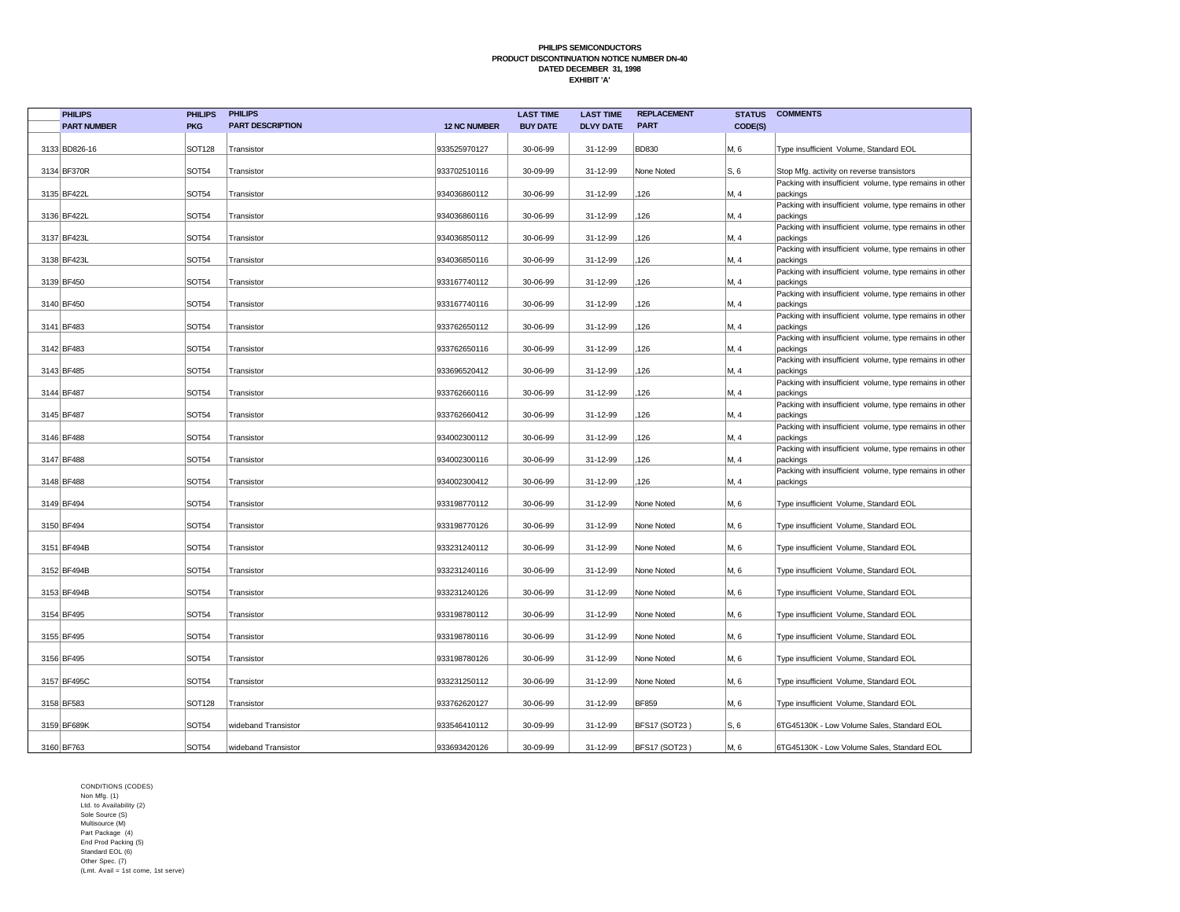| <b>PART DESCRIPTION</b><br><b>PART</b><br><b>PART NUMBER</b><br><b>PKG</b><br><b>12 NC NUMBER</b><br><b>BUY DATE</b><br><b>DLVY DATE</b><br>CODE(S)<br><b>SOT128</b><br>31-12-99<br><b>BD830</b><br>3133 BD826-16<br>Transistor<br>933525970127<br>30-06-99<br>M, 6<br>Type insufficient Volume, Standard EOL<br>SOT54<br>3134 BF370R<br>Transistor<br>933702510116<br>30-09-99<br>31-12-99<br>None Noted<br>IS, 6<br>Stop Mfg. activity on reverse transistors<br>Packing with insufficient volume, type remains in other<br>3135 BF422L<br>SOT54<br>126<br>M, 4<br>Transistor<br>934036860112<br>30-06-99<br>31-12-99<br>packings<br><b>SOT54</b><br>126<br>3136 BF422L<br>934036860116<br>30-06-99<br>31-12-99<br>M, 4<br>Transistor<br>packings<br>Packing with insufficient volume, type remains in other<br>SOT54<br>126<br>M, 4<br>3137 BF423L<br>934036850112<br>30-06-99<br>31-12-99<br>Transistor<br>packings<br>Packing with insufficient volume, type remains in other<br>SOT54<br>3138 BF423L<br>Transistor<br>934036850116<br>30-06-99<br>31-12-99<br>126<br>M, 4<br>packings<br>SOT54<br>126<br>3139 BF450<br>Transistor<br>933167740112<br>30-06-99<br>31-12-99<br>M, 4<br>packings<br>Packing with insufficient volume, type remains in other<br><b>SOT54</b><br>3140 BF450<br>Transistor<br>933167740116<br>30-06-99<br>31-12-99<br>126<br>M, 4<br>packings<br>Packing with insufficient volume, type remains in other<br>3141 BF483<br>SOT54<br>933762650112<br>30-06-99<br>126<br>M, 4<br>31-12-99<br>Transistor<br>packings<br><b>SOT54</b><br>3142 BF483<br>30-06-99<br>31-12-99<br>126<br>M, 4<br>Transistor<br>933762650116<br>packings<br>Packing with insufficient volume, type remains in other<br>SOT54<br>126<br>3143 BF485<br>933696520412<br>30-06-99<br>31-12-99<br>M, 4<br>Transistor<br>packings<br><b>SOT54</b><br>3144 BF487<br>Transistor<br>933762660116<br>30-06-99<br>31-12-99<br>126<br>M, 4<br>packings<br>Packing with insufficient volume, type remains in other<br>SOT54<br>31-12-99<br>126<br>3145 BF487<br>Transistor<br>933762660412<br>30-06-99<br>M, 4<br>packings<br>Packing with insufficient volume, type remains in other<br><b>SOT54</b><br>126<br>M, 4<br>3146 BF488<br>Transistor<br>934002300112<br>30-06-99<br>31-12-99<br>packings<br>3147 BF488<br>SOT54<br>934002300116<br>30-06-99<br>31-12-99<br>126<br>M, 4<br>Transistor<br>packings<br>Packing with insufficient volume, type remains in other<br><b>SOT54</b><br>934002300412<br>126<br>M, 4<br>3148 BF488<br>30-06-99<br>31-12-99<br>Transistor<br>packings<br>SOT54<br>3149 BF494<br>Transistor<br>933198770112<br>30-06-99<br>31-12-99<br>None Noted<br>M, 6<br>Type insufficient Volume, Standard EOL<br><b>SOT54</b><br>3150 BF494<br>Transistor<br>933198770126<br>30-06-99<br>31-12-99<br>None Noted<br>M, 6<br>Type insufficient Volume, Standard EOL<br><b>SOT54</b><br>31-12-99<br>3151 BF494B<br>Transistor<br>933231240112<br>30-06-99<br>None Noted<br>M, 6<br>Type insufficient Volume, Standard EOL<br><b>SOT54</b><br>933231240116<br>30-06-99<br>31-12-99<br>M, 6<br>3152 BF494B<br>Transistor<br>None Noted<br>Type insufficient Volume, Standard EOL<br>3153 BF494B<br>SOT54<br>933231240126<br>30-06-99<br>31-12-99<br>M, 6<br>Transistor<br>None Noted<br>Type insufficient Volume, Standard EOL<br><b>SOT54</b><br>M, 6<br>3154 BF495<br>933198780112<br>30-06-99<br>31-12-99<br>None Noted<br>Type insufficient Volume, Standard EOL<br>Transistor<br><b>SOT54</b><br>3155 BF495<br>Transistor<br>933198780116<br>30-06-99<br>31-12-99<br>None Noted<br>M, 6<br>Type insufficient Volume, Standard EOL<br>SOT54<br>3156 BF495<br>Transistor<br>933198780126<br>30-06-99<br>31-12-99<br>None Noted<br>M, 6<br>Type insufficient Volume, Standard EOL<br>3157 BF495C<br><b>SOT54</b><br>M, 6<br>Transistor<br>933231250112<br>30-06-99<br>31-12-99<br>None Noted<br>Type insufficient Volume, Standard EOL<br>3158 BF583<br><b>SOT128</b><br>933762620127<br>30-06-99<br>31-12-99<br><b>BF859</b><br>M, 6<br>Transistor<br>Type insufficient Volume, Standard EOL<br>3159 BF689K<br><b>SOT54</b><br>933546410112<br>30-09-99<br>31-12-99<br><b>BFS17 (SOT23)</b><br> S, 6 <br>6TG45130K - Low Volume Sales, Standard EOL<br>wideband Transistor<br>3160 BF763<br><b>SOT54</b><br>933693420126<br>30-09-99<br>31-12-99<br><b>BFS17 (SOT23)</b><br>M, 6<br>wideband Transistor<br>6TG45130K - Low Volume Sales, Standard EOL | <b>PHILIPS</b> | <b>PHILIPS</b> | <b>PHILIPS</b> | <b>LAST TIME</b> | <b>LAST TIME</b> | <b>REPLACEMENT</b> | <b>STATUS</b> | <b>COMMENTS</b>                                         |
|---------------------------------------------------------------------------------------------------------------------------------------------------------------------------------------------------------------------------------------------------------------------------------------------------------------------------------------------------------------------------------------------------------------------------------------------------------------------------------------------------------------------------------------------------------------------------------------------------------------------------------------------------------------------------------------------------------------------------------------------------------------------------------------------------------------------------------------------------------------------------------------------------------------------------------------------------------------------------------------------------------------------------------------------------------------------------------------------------------------------------------------------------------------------------------------------------------------------------------------------------------------------------------------------------------------------------------------------------------------------------------------------------------------------------------------------------------------------------------------------------------------------------------------------------------------------------------------------------------------------------------------------------------------------------------------------------------------------------------------------------------------------------------------------------------------------------------------------------------------------------------------------------------------------------------------------------------------------------------------------------------------------------------------------------------------------------------------------------------------------------------------------------------------------------------------------------------------------------------------------------------------------------------------------------------------------------------------------------------------------------------------------------------------------------------------------------------------------------------------------------------------------------------------------------------------------------------------------------------------------------------------------------------------------------------------------------------------------------------------------------------------------------------------------------------------------------------------------------------------------------------------------------------------------------------------------------------------------------------------------------------------------------------------------------------------------------------------------------------------------------------------------------------------------------------------------------------------------------------------------------------------------------------------------------------------------------------------------------------------------------------------------------------------------------------------------------------------------------------------------------------------------------------------------------------------------------------------------------------------------------------------------------------------------------------------------------------------------------------------------------------------------------------------------------------------------------------------------------------------------------------------------------------------------------------------------------------------------------------------------------------------------------------------------------------------------------------------------------------------------------------------------------------------------------------------------------------------------------------------------------------------------------------------------------------------------------------------------------------------------------------------------------------------------------------------------------------------------|----------------|----------------|----------------|------------------|------------------|--------------------|---------------|---------------------------------------------------------|
|                                                                                                                                                                                                                                                                                                                                                                                                                                                                                                                                                                                                                                                                                                                                                                                                                                                                                                                                                                                                                                                                                                                                                                                                                                                                                                                                                                                                                                                                                                                                                                                                                                                                                                                                                                                                                                                                                                                                                                                                                                                                                                                                                                                                                                                                                                                                                                                                                                                                                                                                                                                                                                                                                                                                                                                                                                                                                                                                                                                                                                                                                                                                                                                                                                                                                                                                                                                                                                                                                                                                                                                                                                                                                                                                                                                                                                                                                                                                                                                                                                                                                                                                                                                                                                                                                                                                                                                                                                                                     |                |                |                |                  |                  |                    |               |                                                         |
|                                                                                                                                                                                                                                                                                                                                                                                                                                                                                                                                                                                                                                                                                                                                                                                                                                                                                                                                                                                                                                                                                                                                                                                                                                                                                                                                                                                                                                                                                                                                                                                                                                                                                                                                                                                                                                                                                                                                                                                                                                                                                                                                                                                                                                                                                                                                                                                                                                                                                                                                                                                                                                                                                                                                                                                                                                                                                                                                                                                                                                                                                                                                                                                                                                                                                                                                                                                                                                                                                                                                                                                                                                                                                                                                                                                                                                                                                                                                                                                                                                                                                                                                                                                                                                                                                                                                                                                                                                                                     |                |                |                |                  |                  |                    |               |                                                         |
|                                                                                                                                                                                                                                                                                                                                                                                                                                                                                                                                                                                                                                                                                                                                                                                                                                                                                                                                                                                                                                                                                                                                                                                                                                                                                                                                                                                                                                                                                                                                                                                                                                                                                                                                                                                                                                                                                                                                                                                                                                                                                                                                                                                                                                                                                                                                                                                                                                                                                                                                                                                                                                                                                                                                                                                                                                                                                                                                                                                                                                                                                                                                                                                                                                                                                                                                                                                                                                                                                                                                                                                                                                                                                                                                                                                                                                                                                                                                                                                                                                                                                                                                                                                                                                                                                                                                                                                                                                                                     |                |                |                |                  |                  |                    |               |                                                         |
|                                                                                                                                                                                                                                                                                                                                                                                                                                                                                                                                                                                                                                                                                                                                                                                                                                                                                                                                                                                                                                                                                                                                                                                                                                                                                                                                                                                                                                                                                                                                                                                                                                                                                                                                                                                                                                                                                                                                                                                                                                                                                                                                                                                                                                                                                                                                                                                                                                                                                                                                                                                                                                                                                                                                                                                                                                                                                                                                                                                                                                                                                                                                                                                                                                                                                                                                                                                                                                                                                                                                                                                                                                                                                                                                                                                                                                                                                                                                                                                                                                                                                                                                                                                                                                                                                                                                                                                                                                                                     |                |                |                |                  |                  |                    |               |                                                         |
|                                                                                                                                                                                                                                                                                                                                                                                                                                                                                                                                                                                                                                                                                                                                                                                                                                                                                                                                                                                                                                                                                                                                                                                                                                                                                                                                                                                                                                                                                                                                                                                                                                                                                                                                                                                                                                                                                                                                                                                                                                                                                                                                                                                                                                                                                                                                                                                                                                                                                                                                                                                                                                                                                                                                                                                                                                                                                                                                                                                                                                                                                                                                                                                                                                                                                                                                                                                                                                                                                                                                                                                                                                                                                                                                                                                                                                                                                                                                                                                                                                                                                                                                                                                                                                                                                                                                                                                                                                                                     |                |                |                |                  |                  |                    |               | Packing with insufficient volume, type remains in other |
|                                                                                                                                                                                                                                                                                                                                                                                                                                                                                                                                                                                                                                                                                                                                                                                                                                                                                                                                                                                                                                                                                                                                                                                                                                                                                                                                                                                                                                                                                                                                                                                                                                                                                                                                                                                                                                                                                                                                                                                                                                                                                                                                                                                                                                                                                                                                                                                                                                                                                                                                                                                                                                                                                                                                                                                                                                                                                                                                                                                                                                                                                                                                                                                                                                                                                                                                                                                                                                                                                                                                                                                                                                                                                                                                                                                                                                                                                                                                                                                                                                                                                                                                                                                                                                                                                                                                                                                                                                                                     |                |                |                |                  |                  |                    |               |                                                         |
|                                                                                                                                                                                                                                                                                                                                                                                                                                                                                                                                                                                                                                                                                                                                                                                                                                                                                                                                                                                                                                                                                                                                                                                                                                                                                                                                                                                                                                                                                                                                                                                                                                                                                                                                                                                                                                                                                                                                                                                                                                                                                                                                                                                                                                                                                                                                                                                                                                                                                                                                                                                                                                                                                                                                                                                                                                                                                                                                                                                                                                                                                                                                                                                                                                                                                                                                                                                                                                                                                                                                                                                                                                                                                                                                                                                                                                                                                                                                                                                                                                                                                                                                                                                                                                                                                                                                                                                                                                                                     |                |                |                |                  |                  |                    |               |                                                         |
|                                                                                                                                                                                                                                                                                                                                                                                                                                                                                                                                                                                                                                                                                                                                                                                                                                                                                                                                                                                                                                                                                                                                                                                                                                                                                                                                                                                                                                                                                                                                                                                                                                                                                                                                                                                                                                                                                                                                                                                                                                                                                                                                                                                                                                                                                                                                                                                                                                                                                                                                                                                                                                                                                                                                                                                                                                                                                                                                                                                                                                                                                                                                                                                                                                                                                                                                                                                                                                                                                                                                                                                                                                                                                                                                                                                                                                                                                                                                                                                                                                                                                                                                                                                                                                                                                                                                                                                                                                                                     |                |                |                |                  |                  |                    |               |                                                         |
|                                                                                                                                                                                                                                                                                                                                                                                                                                                                                                                                                                                                                                                                                                                                                                                                                                                                                                                                                                                                                                                                                                                                                                                                                                                                                                                                                                                                                                                                                                                                                                                                                                                                                                                                                                                                                                                                                                                                                                                                                                                                                                                                                                                                                                                                                                                                                                                                                                                                                                                                                                                                                                                                                                                                                                                                                                                                                                                                                                                                                                                                                                                                                                                                                                                                                                                                                                                                                                                                                                                                                                                                                                                                                                                                                                                                                                                                                                                                                                                                                                                                                                                                                                                                                                                                                                                                                                                                                                                                     |                |                |                |                  |                  |                    |               | Packing with insufficient volume, type remains in other |
|                                                                                                                                                                                                                                                                                                                                                                                                                                                                                                                                                                                                                                                                                                                                                                                                                                                                                                                                                                                                                                                                                                                                                                                                                                                                                                                                                                                                                                                                                                                                                                                                                                                                                                                                                                                                                                                                                                                                                                                                                                                                                                                                                                                                                                                                                                                                                                                                                                                                                                                                                                                                                                                                                                                                                                                                                                                                                                                                                                                                                                                                                                                                                                                                                                                                                                                                                                                                                                                                                                                                                                                                                                                                                                                                                                                                                                                                                                                                                                                                                                                                                                                                                                                                                                                                                                                                                                                                                                                                     |                |                |                |                  |                  |                    |               |                                                         |
|                                                                                                                                                                                                                                                                                                                                                                                                                                                                                                                                                                                                                                                                                                                                                                                                                                                                                                                                                                                                                                                                                                                                                                                                                                                                                                                                                                                                                                                                                                                                                                                                                                                                                                                                                                                                                                                                                                                                                                                                                                                                                                                                                                                                                                                                                                                                                                                                                                                                                                                                                                                                                                                                                                                                                                                                                                                                                                                                                                                                                                                                                                                                                                                                                                                                                                                                                                                                                                                                                                                                                                                                                                                                                                                                                                                                                                                                                                                                                                                                                                                                                                                                                                                                                                                                                                                                                                                                                                                                     |                |                |                |                  |                  |                    |               |                                                         |
|                                                                                                                                                                                                                                                                                                                                                                                                                                                                                                                                                                                                                                                                                                                                                                                                                                                                                                                                                                                                                                                                                                                                                                                                                                                                                                                                                                                                                                                                                                                                                                                                                                                                                                                                                                                                                                                                                                                                                                                                                                                                                                                                                                                                                                                                                                                                                                                                                                                                                                                                                                                                                                                                                                                                                                                                                                                                                                                                                                                                                                                                                                                                                                                                                                                                                                                                                                                                                                                                                                                                                                                                                                                                                                                                                                                                                                                                                                                                                                                                                                                                                                                                                                                                                                                                                                                                                                                                                                                                     |                |                |                |                  |                  |                    |               |                                                         |
|                                                                                                                                                                                                                                                                                                                                                                                                                                                                                                                                                                                                                                                                                                                                                                                                                                                                                                                                                                                                                                                                                                                                                                                                                                                                                                                                                                                                                                                                                                                                                                                                                                                                                                                                                                                                                                                                                                                                                                                                                                                                                                                                                                                                                                                                                                                                                                                                                                                                                                                                                                                                                                                                                                                                                                                                                                                                                                                                                                                                                                                                                                                                                                                                                                                                                                                                                                                                                                                                                                                                                                                                                                                                                                                                                                                                                                                                                                                                                                                                                                                                                                                                                                                                                                                                                                                                                                                                                                                                     |                |                |                |                  |                  |                    |               | Packing with insufficient volume, type remains in other |
|                                                                                                                                                                                                                                                                                                                                                                                                                                                                                                                                                                                                                                                                                                                                                                                                                                                                                                                                                                                                                                                                                                                                                                                                                                                                                                                                                                                                                                                                                                                                                                                                                                                                                                                                                                                                                                                                                                                                                                                                                                                                                                                                                                                                                                                                                                                                                                                                                                                                                                                                                                                                                                                                                                                                                                                                                                                                                                                                                                                                                                                                                                                                                                                                                                                                                                                                                                                                                                                                                                                                                                                                                                                                                                                                                                                                                                                                                                                                                                                                                                                                                                                                                                                                                                                                                                                                                                                                                                                                     |                |                |                |                  |                  |                    |               |                                                         |
|                                                                                                                                                                                                                                                                                                                                                                                                                                                                                                                                                                                                                                                                                                                                                                                                                                                                                                                                                                                                                                                                                                                                                                                                                                                                                                                                                                                                                                                                                                                                                                                                                                                                                                                                                                                                                                                                                                                                                                                                                                                                                                                                                                                                                                                                                                                                                                                                                                                                                                                                                                                                                                                                                                                                                                                                                                                                                                                                                                                                                                                                                                                                                                                                                                                                                                                                                                                                                                                                                                                                                                                                                                                                                                                                                                                                                                                                                                                                                                                                                                                                                                                                                                                                                                                                                                                                                                                                                                                                     |                |                |                |                  |                  |                    |               |                                                         |
|                                                                                                                                                                                                                                                                                                                                                                                                                                                                                                                                                                                                                                                                                                                                                                                                                                                                                                                                                                                                                                                                                                                                                                                                                                                                                                                                                                                                                                                                                                                                                                                                                                                                                                                                                                                                                                                                                                                                                                                                                                                                                                                                                                                                                                                                                                                                                                                                                                                                                                                                                                                                                                                                                                                                                                                                                                                                                                                                                                                                                                                                                                                                                                                                                                                                                                                                                                                                                                                                                                                                                                                                                                                                                                                                                                                                                                                                                                                                                                                                                                                                                                                                                                                                                                                                                                                                                                                                                                                                     |                |                |                |                  |                  |                    |               | Packing with insufficient volume, type remains in other |
|                                                                                                                                                                                                                                                                                                                                                                                                                                                                                                                                                                                                                                                                                                                                                                                                                                                                                                                                                                                                                                                                                                                                                                                                                                                                                                                                                                                                                                                                                                                                                                                                                                                                                                                                                                                                                                                                                                                                                                                                                                                                                                                                                                                                                                                                                                                                                                                                                                                                                                                                                                                                                                                                                                                                                                                                                                                                                                                                                                                                                                                                                                                                                                                                                                                                                                                                                                                                                                                                                                                                                                                                                                                                                                                                                                                                                                                                                                                                                                                                                                                                                                                                                                                                                                                                                                                                                                                                                                                                     |                |                |                |                  |                  |                    |               |                                                         |
|                                                                                                                                                                                                                                                                                                                                                                                                                                                                                                                                                                                                                                                                                                                                                                                                                                                                                                                                                                                                                                                                                                                                                                                                                                                                                                                                                                                                                                                                                                                                                                                                                                                                                                                                                                                                                                                                                                                                                                                                                                                                                                                                                                                                                                                                                                                                                                                                                                                                                                                                                                                                                                                                                                                                                                                                                                                                                                                                                                                                                                                                                                                                                                                                                                                                                                                                                                                                                                                                                                                                                                                                                                                                                                                                                                                                                                                                                                                                                                                                                                                                                                                                                                                                                                                                                                                                                                                                                                                                     |                |                |                |                  |                  |                    |               |                                                         |
|                                                                                                                                                                                                                                                                                                                                                                                                                                                                                                                                                                                                                                                                                                                                                                                                                                                                                                                                                                                                                                                                                                                                                                                                                                                                                                                                                                                                                                                                                                                                                                                                                                                                                                                                                                                                                                                                                                                                                                                                                                                                                                                                                                                                                                                                                                                                                                                                                                                                                                                                                                                                                                                                                                                                                                                                                                                                                                                                                                                                                                                                                                                                                                                                                                                                                                                                                                                                                                                                                                                                                                                                                                                                                                                                                                                                                                                                                                                                                                                                                                                                                                                                                                                                                                                                                                                                                                                                                                                                     |                |                |                |                  |                  |                    |               |                                                         |
|                                                                                                                                                                                                                                                                                                                                                                                                                                                                                                                                                                                                                                                                                                                                                                                                                                                                                                                                                                                                                                                                                                                                                                                                                                                                                                                                                                                                                                                                                                                                                                                                                                                                                                                                                                                                                                                                                                                                                                                                                                                                                                                                                                                                                                                                                                                                                                                                                                                                                                                                                                                                                                                                                                                                                                                                                                                                                                                                                                                                                                                                                                                                                                                                                                                                                                                                                                                                                                                                                                                                                                                                                                                                                                                                                                                                                                                                                                                                                                                                                                                                                                                                                                                                                                                                                                                                                                                                                                                                     |                |                |                |                  |                  |                    |               | Packing with insufficient volume, type remains in other |
|                                                                                                                                                                                                                                                                                                                                                                                                                                                                                                                                                                                                                                                                                                                                                                                                                                                                                                                                                                                                                                                                                                                                                                                                                                                                                                                                                                                                                                                                                                                                                                                                                                                                                                                                                                                                                                                                                                                                                                                                                                                                                                                                                                                                                                                                                                                                                                                                                                                                                                                                                                                                                                                                                                                                                                                                                                                                                                                                                                                                                                                                                                                                                                                                                                                                                                                                                                                                                                                                                                                                                                                                                                                                                                                                                                                                                                                                                                                                                                                                                                                                                                                                                                                                                                                                                                                                                                                                                                                                     |                |                |                |                  |                  |                    |               |                                                         |
|                                                                                                                                                                                                                                                                                                                                                                                                                                                                                                                                                                                                                                                                                                                                                                                                                                                                                                                                                                                                                                                                                                                                                                                                                                                                                                                                                                                                                                                                                                                                                                                                                                                                                                                                                                                                                                                                                                                                                                                                                                                                                                                                                                                                                                                                                                                                                                                                                                                                                                                                                                                                                                                                                                                                                                                                                                                                                                                                                                                                                                                                                                                                                                                                                                                                                                                                                                                                                                                                                                                                                                                                                                                                                                                                                                                                                                                                                                                                                                                                                                                                                                                                                                                                                                                                                                                                                                                                                                                                     |                |                |                |                  |                  |                    |               |                                                         |
|                                                                                                                                                                                                                                                                                                                                                                                                                                                                                                                                                                                                                                                                                                                                                                                                                                                                                                                                                                                                                                                                                                                                                                                                                                                                                                                                                                                                                                                                                                                                                                                                                                                                                                                                                                                                                                                                                                                                                                                                                                                                                                                                                                                                                                                                                                                                                                                                                                                                                                                                                                                                                                                                                                                                                                                                                                                                                                                                                                                                                                                                                                                                                                                                                                                                                                                                                                                                                                                                                                                                                                                                                                                                                                                                                                                                                                                                                                                                                                                                                                                                                                                                                                                                                                                                                                                                                                                                                                                                     |                |                |                |                  |                  |                    |               |                                                         |
|                                                                                                                                                                                                                                                                                                                                                                                                                                                                                                                                                                                                                                                                                                                                                                                                                                                                                                                                                                                                                                                                                                                                                                                                                                                                                                                                                                                                                                                                                                                                                                                                                                                                                                                                                                                                                                                                                                                                                                                                                                                                                                                                                                                                                                                                                                                                                                                                                                                                                                                                                                                                                                                                                                                                                                                                                                                                                                                                                                                                                                                                                                                                                                                                                                                                                                                                                                                                                                                                                                                                                                                                                                                                                                                                                                                                                                                                                                                                                                                                                                                                                                                                                                                                                                                                                                                                                                                                                                                                     |                |                |                |                  |                  |                    |               |                                                         |
|                                                                                                                                                                                                                                                                                                                                                                                                                                                                                                                                                                                                                                                                                                                                                                                                                                                                                                                                                                                                                                                                                                                                                                                                                                                                                                                                                                                                                                                                                                                                                                                                                                                                                                                                                                                                                                                                                                                                                                                                                                                                                                                                                                                                                                                                                                                                                                                                                                                                                                                                                                                                                                                                                                                                                                                                                                                                                                                                                                                                                                                                                                                                                                                                                                                                                                                                                                                                                                                                                                                                                                                                                                                                                                                                                                                                                                                                                                                                                                                                                                                                                                                                                                                                                                                                                                                                                                                                                                                                     |                |                |                |                  |                  |                    |               |                                                         |
|                                                                                                                                                                                                                                                                                                                                                                                                                                                                                                                                                                                                                                                                                                                                                                                                                                                                                                                                                                                                                                                                                                                                                                                                                                                                                                                                                                                                                                                                                                                                                                                                                                                                                                                                                                                                                                                                                                                                                                                                                                                                                                                                                                                                                                                                                                                                                                                                                                                                                                                                                                                                                                                                                                                                                                                                                                                                                                                                                                                                                                                                                                                                                                                                                                                                                                                                                                                                                                                                                                                                                                                                                                                                                                                                                                                                                                                                                                                                                                                                                                                                                                                                                                                                                                                                                                                                                                                                                                                                     |                |                |                |                  |                  |                    |               |                                                         |
|                                                                                                                                                                                                                                                                                                                                                                                                                                                                                                                                                                                                                                                                                                                                                                                                                                                                                                                                                                                                                                                                                                                                                                                                                                                                                                                                                                                                                                                                                                                                                                                                                                                                                                                                                                                                                                                                                                                                                                                                                                                                                                                                                                                                                                                                                                                                                                                                                                                                                                                                                                                                                                                                                                                                                                                                                                                                                                                                                                                                                                                                                                                                                                                                                                                                                                                                                                                                                                                                                                                                                                                                                                                                                                                                                                                                                                                                                                                                                                                                                                                                                                                                                                                                                                                                                                                                                                                                                                                                     |                |                |                |                  |                  |                    |               |                                                         |
|                                                                                                                                                                                                                                                                                                                                                                                                                                                                                                                                                                                                                                                                                                                                                                                                                                                                                                                                                                                                                                                                                                                                                                                                                                                                                                                                                                                                                                                                                                                                                                                                                                                                                                                                                                                                                                                                                                                                                                                                                                                                                                                                                                                                                                                                                                                                                                                                                                                                                                                                                                                                                                                                                                                                                                                                                                                                                                                                                                                                                                                                                                                                                                                                                                                                                                                                                                                                                                                                                                                                                                                                                                                                                                                                                                                                                                                                                                                                                                                                                                                                                                                                                                                                                                                                                                                                                                                                                                                                     |                |                |                |                  |                  |                    |               |                                                         |
|                                                                                                                                                                                                                                                                                                                                                                                                                                                                                                                                                                                                                                                                                                                                                                                                                                                                                                                                                                                                                                                                                                                                                                                                                                                                                                                                                                                                                                                                                                                                                                                                                                                                                                                                                                                                                                                                                                                                                                                                                                                                                                                                                                                                                                                                                                                                                                                                                                                                                                                                                                                                                                                                                                                                                                                                                                                                                                                                                                                                                                                                                                                                                                                                                                                                                                                                                                                                                                                                                                                                                                                                                                                                                                                                                                                                                                                                                                                                                                                                                                                                                                                                                                                                                                                                                                                                                                                                                                                                     |                |                |                |                  |                  |                    |               |                                                         |
|                                                                                                                                                                                                                                                                                                                                                                                                                                                                                                                                                                                                                                                                                                                                                                                                                                                                                                                                                                                                                                                                                                                                                                                                                                                                                                                                                                                                                                                                                                                                                                                                                                                                                                                                                                                                                                                                                                                                                                                                                                                                                                                                                                                                                                                                                                                                                                                                                                                                                                                                                                                                                                                                                                                                                                                                                                                                                                                                                                                                                                                                                                                                                                                                                                                                                                                                                                                                                                                                                                                                                                                                                                                                                                                                                                                                                                                                                                                                                                                                                                                                                                                                                                                                                                                                                                                                                                                                                                                                     |                |                |                |                  |                  |                    |               |                                                         |
|                                                                                                                                                                                                                                                                                                                                                                                                                                                                                                                                                                                                                                                                                                                                                                                                                                                                                                                                                                                                                                                                                                                                                                                                                                                                                                                                                                                                                                                                                                                                                                                                                                                                                                                                                                                                                                                                                                                                                                                                                                                                                                                                                                                                                                                                                                                                                                                                                                                                                                                                                                                                                                                                                                                                                                                                                                                                                                                                                                                                                                                                                                                                                                                                                                                                                                                                                                                                                                                                                                                                                                                                                                                                                                                                                                                                                                                                                                                                                                                                                                                                                                                                                                                                                                                                                                                                                                                                                                                                     |                |                |                |                  |                  |                    |               |                                                         |
|                                                                                                                                                                                                                                                                                                                                                                                                                                                                                                                                                                                                                                                                                                                                                                                                                                                                                                                                                                                                                                                                                                                                                                                                                                                                                                                                                                                                                                                                                                                                                                                                                                                                                                                                                                                                                                                                                                                                                                                                                                                                                                                                                                                                                                                                                                                                                                                                                                                                                                                                                                                                                                                                                                                                                                                                                                                                                                                                                                                                                                                                                                                                                                                                                                                                                                                                                                                                                                                                                                                                                                                                                                                                                                                                                                                                                                                                                                                                                                                                                                                                                                                                                                                                                                                                                                                                                                                                                                                                     |                |                |                |                  |                  |                    |               |                                                         |
|                                                                                                                                                                                                                                                                                                                                                                                                                                                                                                                                                                                                                                                                                                                                                                                                                                                                                                                                                                                                                                                                                                                                                                                                                                                                                                                                                                                                                                                                                                                                                                                                                                                                                                                                                                                                                                                                                                                                                                                                                                                                                                                                                                                                                                                                                                                                                                                                                                                                                                                                                                                                                                                                                                                                                                                                                                                                                                                                                                                                                                                                                                                                                                                                                                                                                                                                                                                                                                                                                                                                                                                                                                                                                                                                                                                                                                                                                                                                                                                                                                                                                                                                                                                                                                                                                                                                                                                                                                                                     |                |                |                |                  |                  |                    |               |                                                         |
|                                                                                                                                                                                                                                                                                                                                                                                                                                                                                                                                                                                                                                                                                                                                                                                                                                                                                                                                                                                                                                                                                                                                                                                                                                                                                                                                                                                                                                                                                                                                                                                                                                                                                                                                                                                                                                                                                                                                                                                                                                                                                                                                                                                                                                                                                                                                                                                                                                                                                                                                                                                                                                                                                                                                                                                                                                                                                                                                                                                                                                                                                                                                                                                                                                                                                                                                                                                                                                                                                                                                                                                                                                                                                                                                                                                                                                                                                                                                                                                                                                                                                                                                                                                                                                                                                                                                                                                                                                                                     |                |                |                |                  |                  |                    |               |                                                         |
|                                                                                                                                                                                                                                                                                                                                                                                                                                                                                                                                                                                                                                                                                                                                                                                                                                                                                                                                                                                                                                                                                                                                                                                                                                                                                                                                                                                                                                                                                                                                                                                                                                                                                                                                                                                                                                                                                                                                                                                                                                                                                                                                                                                                                                                                                                                                                                                                                                                                                                                                                                                                                                                                                                                                                                                                                                                                                                                                                                                                                                                                                                                                                                                                                                                                                                                                                                                                                                                                                                                                                                                                                                                                                                                                                                                                                                                                                                                                                                                                                                                                                                                                                                                                                                                                                                                                                                                                                                                                     |                |                |                |                  |                  |                    |               |                                                         |
|                                                                                                                                                                                                                                                                                                                                                                                                                                                                                                                                                                                                                                                                                                                                                                                                                                                                                                                                                                                                                                                                                                                                                                                                                                                                                                                                                                                                                                                                                                                                                                                                                                                                                                                                                                                                                                                                                                                                                                                                                                                                                                                                                                                                                                                                                                                                                                                                                                                                                                                                                                                                                                                                                                                                                                                                                                                                                                                                                                                                                                                                                                                                                                                                                                                                                                                                                                                                                                                                                                                                                                                                                                                                                                                                                                                                                                                                                                                                                                                                                                                                                                                                                                                                                                                                                                                                                                                                                                                                     |                |                |                |                  |                  |                    |               |                                                         |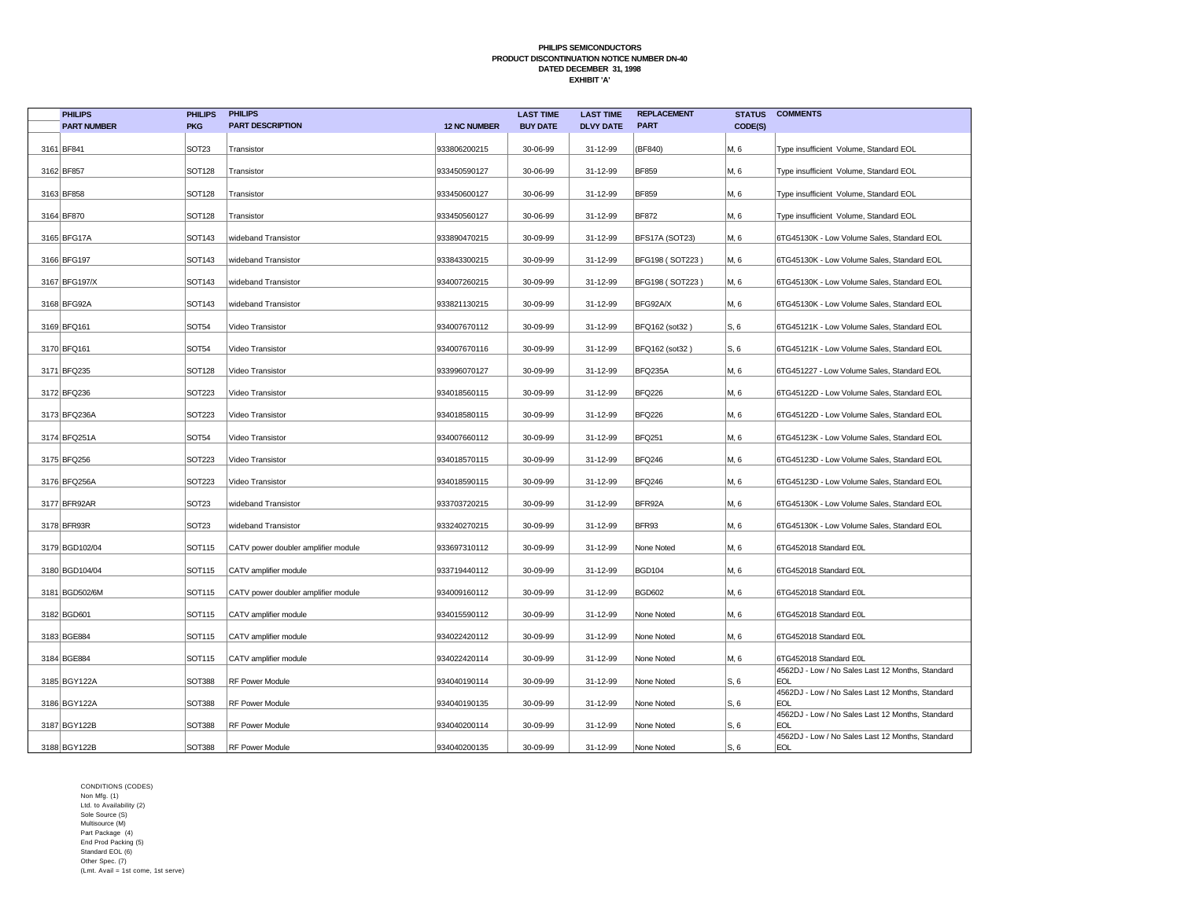| <b>PHILIPS</b>     | <b>PHILIPS</b>    | <b>PHILIPS</b>                      |                     | <b>LAST TIME</b> | <b>LAST TIME</b> | <b>REPLACEMENT</b> | <b>STATUS</b> | <b>COMMENTS</b>                                                |
|--------------------|-------------------|-------------------------------------|---------------------|------------------|------------------|--------------------|---------------|----------------------------------------------------------------|
| <b>PART NUMBER</b> | <b>PKG</b>        | <b>PART DESCRIPTION</b>             | <b>12 NC NUMBER</b> | <b>BUY DATE</b>  | <b>DLVY DATE</b> | <b>PART</b>        | CODE(S)       |                                                                |
| 3161 BF841         | SOT <sub>23</sub> | Transistor                          | 933806200215        | 30-06-99         | 31-12-99         | (BF840)            | M, 6          | Type insufficient Volume, Standard EOL                         |
| 3162 BF857         | <b>SOT128</b>     | Transistor                          | 933450590127        | 30-06-99         | 31-12-99         | <b>BF859</b>       | M, 6          | Type insufficient Volume, Standard EOL                         |
| 3163 BF858         | <b>SOT128</b>     | Transistor                          | 933450600127        | 30-06-99         | 31-12-99         | <b>BF859</b>       | M, 6          | Type insufficient Volume, Standard EOL                         |
| 3164 BF870         | <b>SOT128</b>     | Transistor                          | 933450560127        | 30-06-99         | 31-12-99         | <b>BF872</b>       | M, 6          | Type insufficient Volume, Standard EOL                         |
| 3165 BFG17A        | SOT143            | wideband Transistor                 | 933890470215        | 30-09-99         | 31-12-99         | BFS17A (SOT23)     | M, 6          | 6TG45130K - Low Volume Sales, Standard EOL                     |
| 3166 BFG197        | SOT143            | wideband Transistor                 | 933843300215        | 30-09-99         | 31-12-99         | BFG198 (SOT223)    | M, 6          | 6TG45130K - Low Volume Sales, Standard EOL                     |
| 3167 BFG197/X      | SOT143            | wideband Transistor                 | 934007260215        | 30-09-99         | 31-12-99         | BFG198 (SOT223)    | M, 6          | 6TG45130K - Low Volume Sales, Standard EOL                     |
| 3168 BFG92A        | SOT143            | wideband Transistor                 | 933821130215        | 30-09-99         | 31-12-99         | BFG92A/X           | M, 6          | 6TG45130K - Low Volume Sales, Standard EOL                     |
| 3169 BFQ161        | SOT54             | Video Transistor                    | 934007670112        | 30-09-99         | 31-12-99         | BFQ162 (sot32)     | S, 6          | 6TG45121K - Low Volume Sales, Standard EOL                     |
| 3170 BFQ161        | SOT54             | Video Transistor                    | 934007670116        | 30-09-99         | 31-12-99         | BFQ162 (sot32)     | S, 6          | 6TG45121K - Low Volume Sales, Standard EOL                     |
| 3171 BFQ235        | <b>SOT128</b>     | Video Transistor                    | 933996070127        | 30-09-99         | 31-12-99         | BFQ235A            | M, 6          | 6TG451227 - Low Volume Sales, Standard EOL                     |
| 3172 BFQ236        | SOT223            | Video Transistor                    | 934018560115        | 30-09-99         | 31-12-99         | <b>BFQ226</b>      | M, 6          | 6TG45122D - Low Volume Sales, Standard EOL                     |
| 3173 BFQ236A       | <b>SOT223</b>     | Video Transistor                    | 934018580115        | 30-09-99         | 31-12-99         | <b>BFQ226</b>      | M, 6          | 6TG45122D - Low Volume Sales, Standard EOL                     |
| 3174 BFQ251A       | <b>SOT54</b>      | Video Transistor                    | 934007660112        | 30-09-99         | 31-12-99         | <b>BFQ251</b>      | M, 6          | 6TG45123K - Low Volume Sales, Standard EOL                     |
| 3175 BFQ256        | <b>SOT223</b>     | Video Transistor                    | 934018570115        | 30-09-99         | 31-12-99         | <b>BFQ246</b>      | M, 6          | 6TG45123D - Low Volume Sales, Standard EOL                     |
| 3176 BFQ256A       | <b>SOT223</b>     | Video Transistor                    | 934018590115        | 30-09-99         | 31-12-99         | <b>BFQ246</b>      | M, 6          | 6TG45123D - Low Volume Sales, Standard EOL                     |
| 3177 BFR92AR       | <b>SOT23</b>      | wideband Transistor                 | 933703720215        | 30-09-99         | 31-12-99         | BFR92A             | M, 6          | 6TG45130K - Low Volume Sales, Standard EOL                     |
| 3178 BFR93R        | <b>SOT23</b>      | wideband Transistor                 | 933240270215        | 30-09-99         | 31-12-99         | BFR93              | M, 6          | 6TG45130K - Low Volume Sales, Standard EOL                     |
| 3179 BGD102/04     | SOT115            | CATV power doubler amplifier module | 933697310112        | 30-09-99         | 31-12-99         | None Noted         | M, 6          | 6TG452018 Standard E0L                                         |
| 3180 BGD104/04     | SOT115            | CATV amplifier module               | 933719440112        | 30-09-99         | 31-12-99         | <b>BGD104</b>      | M, 6          | 6TG452018 Standard E0L                                         |
| 3181 BGD502/6M     | SOT115            | CATV power doubler amplifier module | 934009160112        | 30-09-99         | 31-12-99         | <b>BGD602</b>      | M, 6          | 6TG452018 Standard E0L                                         |
| 3182 BGD601        | <b>SOT115</b>     | CATV amplifier module               | 934015590112        | 30-09-99         | 31-12-99         | None Noted         | M, 6          | 6TG452018 Standard E0L                                         |
| 3183 BGE884        | SOT115            | CATV amplifier module               | 934022420112        | 30-09-99         | 31-12-99         | None Noted         | M, 6          | 6TG452018 Standard E0L                                         |
| 3184 BGE884        | SOT115            | CATV amplifier module               | 934022420114        | 30-09-99         | 31-12-99         | None Noted         | M, 6          | 6TG452018 Standard E0L                                         |
| 3185 BGY122A       | <b>SOT388</b>     | RF Power Module                     | 934040190114        | 30-09-99         | 31-12-99         | None Noted         | S, 6          | 4562DJ - Low / No Sales Last 12 Months, Standard<br><b>EOL</b> |
| 3186 BGY122A       | <b>SOT388</b>     | <b>RF Power Module</b>              | 934040190135        | 30-09-99         | 31-12-99         | None Noted         | S, 6          | 4562DJ - Low / No Sales Last 12 Months, Standard<br><b>EOL</b> |
| 3187 BGY122B       | <b>SOT388</b>     | RF Power Module                     | 934040200114        | 30-09-99         | 31-12-99         | None Noted         | S, 6          | 4562DJ - Low / No Sales Last 12 Months, Standard<br><b>EOL</b> |
| 3188 BGY122B       | <b>SOT388</b>     | <b>RF Power Module</b>              | 934040200135        | 30-09-99         | 31-12-99         | None Noted         | S, 6          | 4562DJ - Low / No Sales Last 12 Months, Standard<br><b>EOL</b> |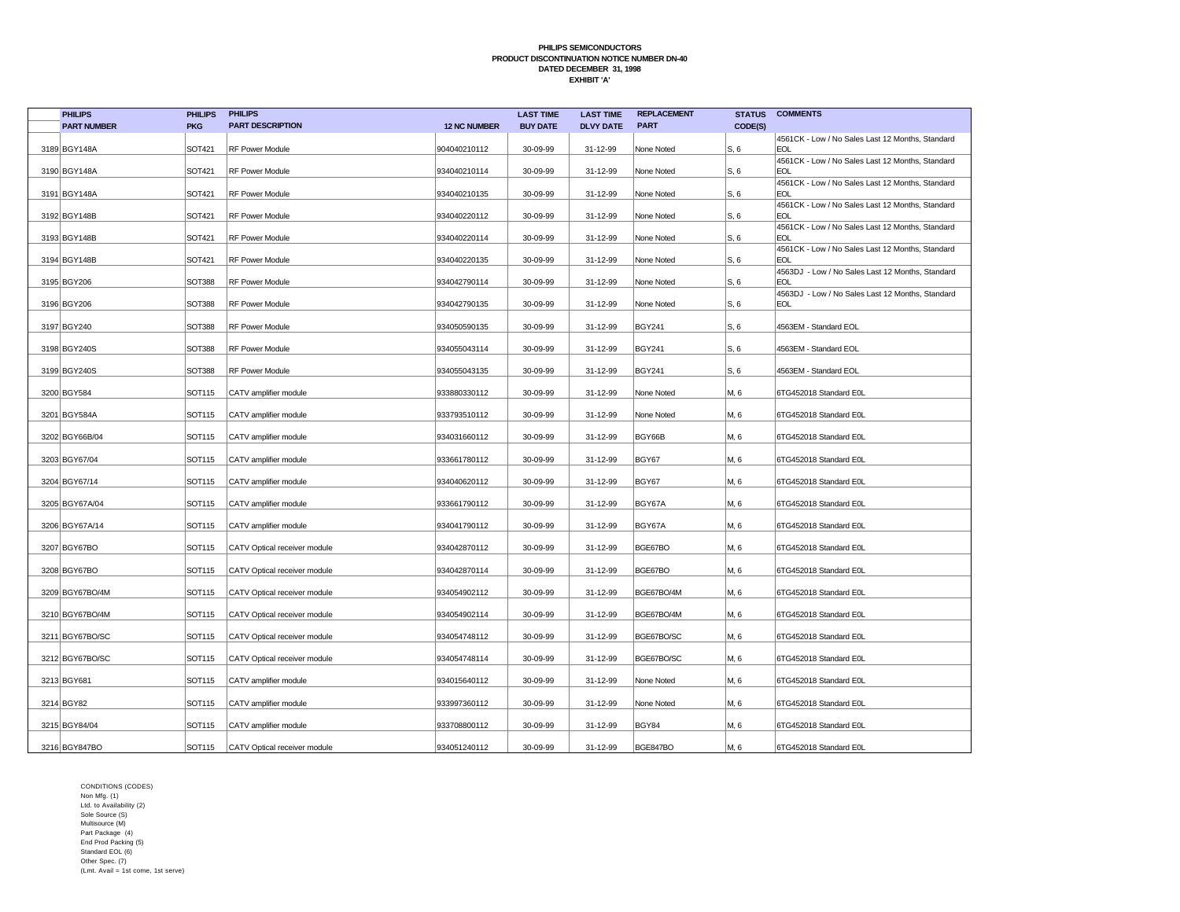|             |                    |               | <b>PHILIPS</b>               |                     | <b>LAST TIME</b> | <b>LAST TIME</b> | <b>REPLACEMENT</b> | <b>STATUS</b> | <b>COMMENTS</b>                                                |
|-------------|--------------------|---------------|------------------------------|---------------------|------------------|------------------|--------------------|---------------|----------------------------------------------------------------|
|             | <b>PART NUMBER</b> | <b>PKG</b>    | <b>PART DESCRIPTION</b>      | <b>12 NC NUMBER</b> | <b>BUY DATE</b>  | <b>DLVY DATE</b> | <b>PART</b>        | CODE(S)       |                                                                |
|             | 3189 BGY148A       | SOT421        | <b>RF Power Module</b>       | 904040210112        | 30-09-99         | 31-12-99         | None Noted         | S, 6          | 4561CK - Low / No Sales Last 12 Months, Standard<br><b>EOL</b> |
|             |                    |               |                              |                     |                  |                  |                    |               | 4561CK - Low / No Sales Last 12 Months, Standard               |
|             | 3190 BGY148A       | SOT421        | <b>RF Power Module</b>       | 934040210114        | 30-09-99         | 31-12-99         | None Noted         | S, 6          | <b>EOL</b>                                                     |
|             | 3191 BGY148A       | SOT421        | RF Power Module              | 934040210135        | 30-09-99         | 31-12-99         | None Noted         | S, 6          | 4561CK - Low / No Sales Last 12 Months, Standard<br><b>EOL</b> |
|             |                    |               |                              |                     |                  |                  |                    |               | 4561CK - Low / No Sales Last 12 Months, Standard               |
|             | 3192 BGY148B       | SOT421        | <b>RF Power Module</b>       | 934040220112        | 30-09-99         | 31-12-99         | None Noted         | S, 6          | <b>EOL</b>                                                     |
|             | 3193 BGY148B       | SOT421        | RF Power Module              | 934040220114        | 30-09-99         | 31-12-99         | None Noted         | S, 6          | 4561CK - Low / No Sales Last 12 Months, Standard<br><b>EOL</b> |
|             | 3194 BGY148B       | SOT421        | <b>RF Power Module</b>       | 934040220135        | 30-09-99         | 31-12-99         | None Noted         | S, 6          | 4561CK - Low / No Sales Last 12 Months, Standard<br><b>EOL</b> |
|             |                    |               |                              |                     |                  |                  |                    |               | 4563DJ - Low / No Sales Last 12 Months, Standard               |
|             | 3195 BGY206        | <b>SOT388</b> | RF Power Module              | 934042790114        | 30-09-99         | 31-12-99         | None Noted         | S, 6          | <b>EOL</b>                                                     |
|             | 3196 BGY206        | <b>SOT388</b> | <b>RF Power Module</b>       | 934042790135        | 30-09-99         | 31-12-99         | None Noted         | S, 6          | 4563DJ - Low / No Sales Last 12 Months, Standard<br><b>EOL</b> |
|             |                    |               |                              |                     |                  |                  |                    |               |                                                                |
|             | 3197 BGY240        | <b>SOT388</b> | RF Power Module              | 934050590135        | 30-09-99         | 31-12-99         | <b>BGY241</b>      | S, 6          | 4563EM - Standard EOL                                          |
|             | 3198 BGY240S       | <b>SOT388</b> | RF Power Module              | 934055043114        | 30-09-99         | 31-12-99         | <b>BGY241</b>      | S, 6          | 4563EM - Standard EOL                                          |
|             | 3199 BGY240S       | <b>SOT388</b> | RF Power Module              | 934055043135        | 30-09-99         | 31-12-99         | <b>BGY241</b>      | S, 6          | 4563EM - Standard EOL                                          |
|             | 3200 BGY584        | SOT115        | CATV amplifier module        | 933880330112        | 30-09-99         | 31-12-99         | None Noted         | M, 6          | 6TG452018 Standard E0L                                         |
|             | 3201 BGY584A       | SOT115        | CATV amplifier module        | 933793510112        | 30-09-99         | 31-12-99         | None Noted         | M, 6          | 6TG452018 Standard E0L                                         |
|             | 3202 BGY66B/04     | SOT115        | CATV amplifier module        | 934031660112        | 30-09-99         | 31-12-99         | BGY66B             | M, 6          | 6TG452018 Standard E0L                                         |
|             | 3203 BGY67/04      | SOT115        | CATV amplifier module        | 933661780112        | 30-09-99         | 31-12-99         | BGY67              | M, 6          | 6TG452018 Standard E0L                                         |
|             | 3204 BGY67/14      | SOT115        | CATV amplifier module        | 934040620112        | 30-09-99         | 31-12-99         | BGY67              | M, 6          | 6TG452018 Standard E0L                                         |
|             |                    |               |                              |                     |                  |                  |                    |               |                                                                |
|             | 3205 BGY67A/04     | SOT115        | CATV amplifier module        | 933661790112        | 30-09-99         | 31-12-99         | BGY67A             | M, 6          | 6TG452018 Standard E0L                                         |
|             | 3206 BGY67A/14     | SOT115        | CATV amplifier module        | 934041790112        | 30-09-99         | 31-12-99         | BGY67A             | M, 6          | 6TG452018 Standard E0L                                         |
|             | 3207 BGY67BO       | SOT115        | CATV Optical receiver module | 934042870112        | 30-09-99         | 31-12-99         | BGE67BO            | M, 6          | 6TG452018 Standard E0L                                         |
|             | 3208 BGY67BO       | SOT115        | CATV Optical receiver module | 934042870114        | 30-09-99         | 31-12-99         | BGE67BO            | M, 6          | 6TG452018 Standard E0L                                         |
|             |                    | SOT115        |                              |                     | 30-09-99         | 31-12-99         | BGE67BO/4M         | M, 6          |                                                                |
|             | 3209 BGY67BO/4M    |               | CATV Optical receiver module | 934054902112        |                  |                  |                    |               | 6TG452018 Standard E0L                                         |
|             | 3210 BGY67BO/4M    | SOT115        | CATV Optical receiver module | 934054902114        | 30-09-99         | 31-12-99         | BGE67BO/4M         | M, 6          | 6TG452018 Standard E0L                                         |
|             | 3211 BGY67BO/SC    | SOT115        | CATV Optical receiver module | 934054748112        | 30-09-99         | 31-12-99         | BGE67BO/SC         | M, 6          | 6TG452018 Standard E0L                                         |
|             | 3212 BGY67BO/SC    | SOT115        | CATV Optical receiver module | 934054748114        | 30-09-99         | 31-12-99         | BGE67BO/SC         | M, 6          | 6TG452018 Standard E0L                                         |
| 3213 BGY681 |                    | SOT115        | CATV amplifier module        | 934015640112        | 30-09-99         | 31-12-99         | None Noted         | M, 6          | 6TG452018 Standard E0L                                         |
| 3214 BGY82  |                    | SOT115        | CATV amplifier module        | 933997360112        | 30-09-99         | 31-12-99         | None Noted         | M, 6          | 6TG452018 Standard E0L                                         |
|             | 3215 BGY84/04      | SOT115        | CATV amplifier module        | 933708800112        | 30-09-99         | 31-12-99         | BGY84              | M, 6          | 6TG452018 Standard E0L                                         |
|             | 3216 BGY847BO      | SOT115        | CATV Optical receiver module | 934051240112        | 30-09-99         | 31-12-99         | BGE847BO           | M, 6          | 6TG452018 Standard E0L                                         |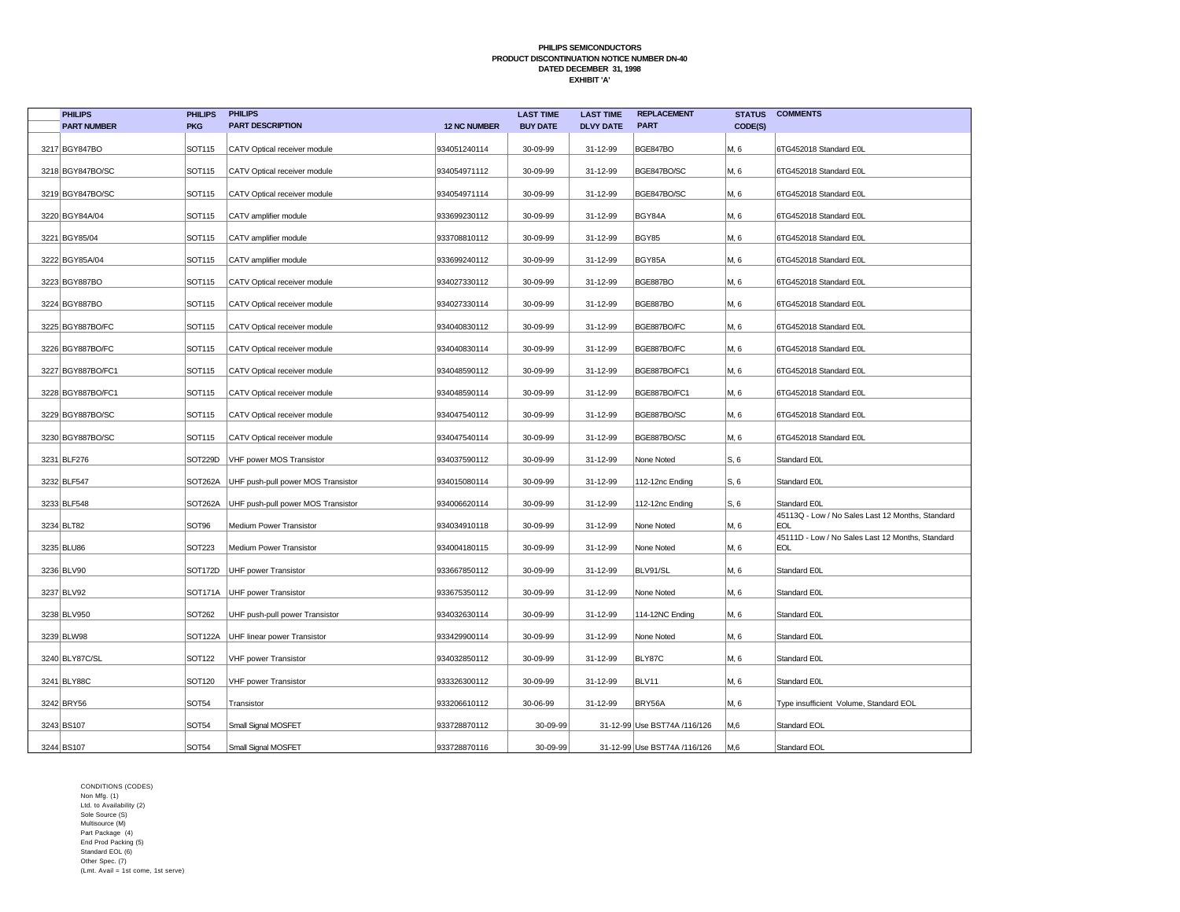| <b>PHILIPS</b>     | <b>PHILIPS</b> | <b>PHILIPS</b>                      |                     | <b>LAST TIME</b> | <b>LAST TIME</b> | <b>REPLACEMENT</b>           | <b>STATUS</b> | <b>COMMENTS</b>                                         |
|--------------------|----------------|-------------------------------------|---------------------|------------------|------------------|------------------------------|---------------|---------------------------------------------------------|
| <b>PART NUMBER</b> | <b>PKG</b>     | <b>PART DESCRIPTION</b>             | <b>12 NC NUMBER</b> | <b>BUY DATE</b>  | <b>DLVY DATE</b> | <b>PART</b>                  | CODE(S)       |                                                         |
| 3217 BGY847BO      | SOT115         | CATV Optical receiver module        | 934051240114        | 30-09-99         | 31-12-99         | BGE847BO                     | M, 6          | 6TG452018 Standard E0L                                  |
| 3218 BGY847BO/SC   | SOT115         | CATV Optical receiver module        | 934054971112        | 30-09-99         | 31-12-99         | BGE847BO/SC                  | M, 6          | 6TG452018 Standard E0L                                  |
| 3219 BGY847BO/SC   | SOT115         | CATV Optical receiver module        | 934054971114        | 30-09-99         | 31-12-99         | BGE847BO/SC                  | M, 6          | 6TG452018 Standard E0L                                  |
| 3220 BGY84A/04     | SOT115         | CATV amplifier module               | 933699230112        | 30-09-99         | 31-12-99         | BGY84A                       | M, 6          | 6TG452018 Standard E0L                                  |
| 3221 BGY85/04      | SOT115         | CATV amplifier module               | 933708810112        | 30-09-99         | 31-12-99         | BGY85                        | M, 6          | 6TG452018 Standard E0L                                  |
| 3222 BGY85A/04     | SOT115         | CATV amplifier module               | 933699240112        | 30-09-99         | 31-12-99         | BGY85A                       | M, 6          | 6TG452018 Standard E0L                                  |
| 3223 BGY887BO      | SOT115         | CATV Optical receiver module        | 934027330112        | 30-09-99         | 31-12-99         | BGE887BO                     | M, 6          | 6TG452018 Standard E0L                                  |
| 3224 BGY887BO      | SOT115         | CATV Optical receiver module        | 934027330114        | 30-09-99         | 31-12-99         | BGE887BO                     | M, 6          | 6TG452018 Standard E0L                                  |
| 3225 BGY887BO/FC   | SOT115         | CATV Optical receiver module        | 934040830112        | 30-09-99         | 31-12-99         | BGE887BO/FC                  | M, 6          | 6TG452018 Standard E0L                                  |
| 3226 BGY887BO/FC   | SOT115         | CATV Optical receiver module        | 934040830114        | 30-09-99         | 31-12-99         | BGE887BO/FC                  | M. 6          | 6TG452018 Standard E0L                                  |
| 3227 BGY887BO/FC1  | SOT115         | CATV Optical receiver module        | 934048590112        | 30-09-99         | 31-12-99         | BGE887BO/FC1                 | M, 6          | 6TG452018 Standard E0L                                  |
| 3228 BGY887BO/FC1  | SOT115         | CATV Optical receiver module        | 934048590114        | 30-09-99         | 31-12-99         | BGE887BO/FC1                 | M, 6          | 6TG452018 Standard E0L                                  |
| 3229 BGY887BO/SC   | SOT115         | CATV Optical receiver module        | 934047540112        | 30-09-99         | 31-12-99         | BGE887BO/SC                  | M, 6          | 6TG452018 Standard E0L                                  |
| 3230 BGY887BO/SC   | SOT115         | CATV Optical receiver module        | 934047540114        | 30-09-99         | 31-12-99         | BGE887BO/SC                  | M, 6          | 6TG452018 Standard E0L                                  |
| 3231 BLF276        | SOT229D        | VHF power MOS Transistor            | 934037590112        | 30-09-99         | 31-12-99         | None Noted                   | S, 6          | Standard E0L                                            |
| 3232 BLF547        | SOT262A        | UHF push-pull power MOS Transistor  | 934015080114        | 30-09-99         | 31-12-99         | 112-12nc Ending              | S, 6          | Standard E0L                                            |
| 3233 BLF548        | SOT262A        | UHF push-pull power MOS Transistor  | 934006620114        | 30-09-99         | 31-12-99         | 112-12nc Ending              | S, 6          | Standard E0L                                            |
| 3234 BLT82         | SOT96          | Medium Power Transistor             | 934034910118        | 30-09-99         | 31-12-99         | None Noted                   | M, 6          | 45113Q - Low / No Sales Last 12 Months, Standard<br>EOL |
| 3235 BLU86         | SOT223         | Medium Power Transistor             | 934004180115        | 30-09-99         | 31-12-99         | None Noted                   | M, 6          | 45111D - Low / No Sales Last 12 Months, Standard<br>EOL |
| 3236 BLV90         | SOT172D        | UHF power Transistor                | 933667850112        | 30-09-99         | 31-12-99         | BLV91/SL                     | M, 6          | Standard E0L                                            |
| 3237 BLV92         |                | SOT171A   UHF power Transistor      | 933675350112        | 30-09-99         | 31-12-99         | None Noted                   | M, 6          | Standard E0L                                            |
| 3238 BLV950        | SOT262         | UHF push-pull power Transistor      | 934032630114        | 30-09-99         | 31-12-99         | 114-12NC Ending              | M, 6          | Standard E0L                                            |
| 3239 BLW98         |                | SOT122A UHF linear power Transistor | 933429900114        | 30-09-99         | 31-12-99         | None Noted                   | M, 6          | Standard E0L                                            |
| 3240 BLY87C/SL     | SOT122         | VHF power Transistor                | 934032850112        | 30-09-99         | 31-12-99         | BLY87C                       | M, 6          | Standard E0L                                            |
| 3241 BLY88C        | SOT120         | VHF power Transistor                | 933326300112        | 30-09-99         | 31-12-99         | BLV11                        | M, 6          | Standard E0L                                            |
| 3242 BRY56         | <b>SOT54</b>   | Transistor                          | 933206610112        | 30-06-99         | 31-12-99         | BRY56A                       | M, 6          | Type insufficient Volume, Standard EOL                  |
| 3243 BS107         | <b>SOT54</b>   | Small Signal MOSFET                 | 933728870112        | 30-09-99         |                  | 31-12-99 Use BST74A /116/126 | M,6           | Standard EOL                                            |
| 3244 BS107         | <b>SOT54</b>   | Small Signal MOSFET                 | 933728870116        | 30-09-99         |                  | 31-12-99 Use BST74A /116/126 | M,6           | Standard EOL                                            |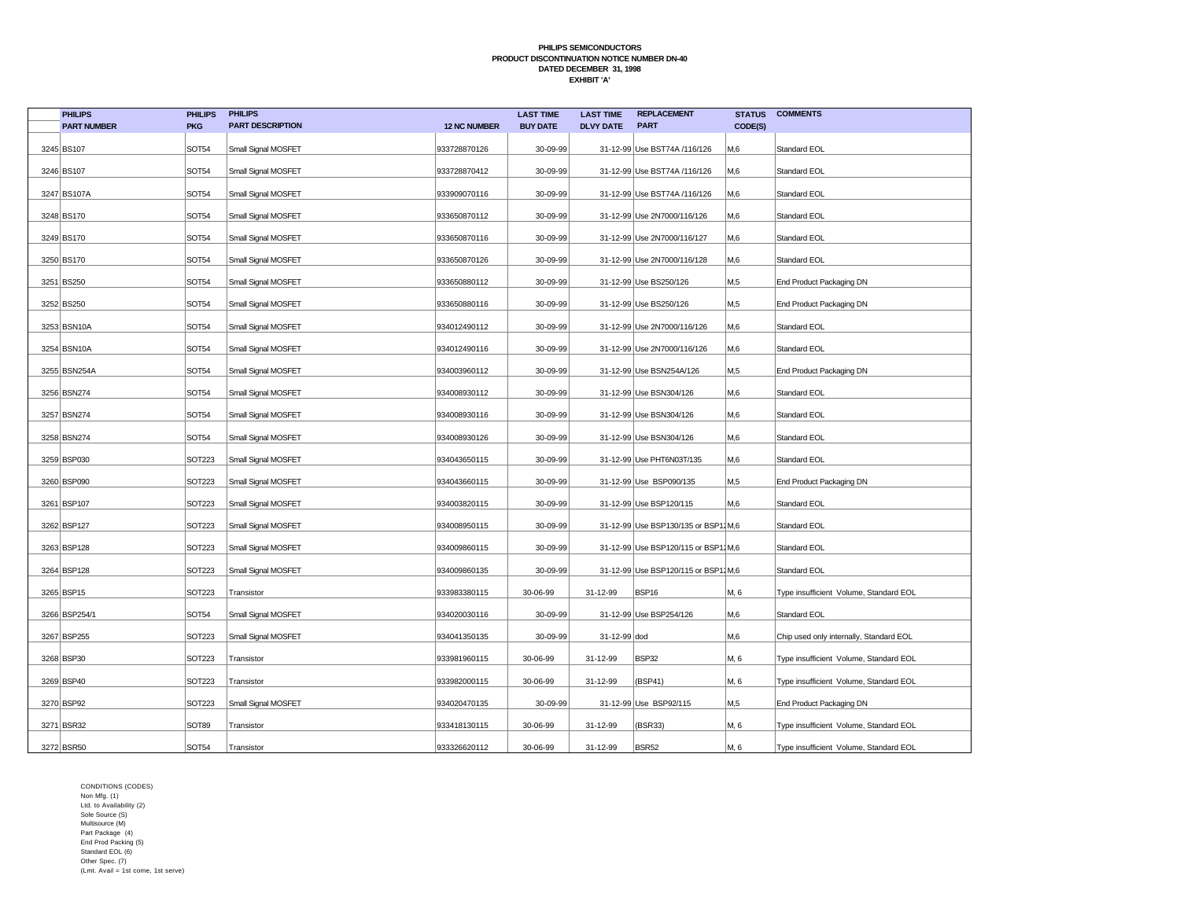| <b>PHILIPS</b>     | <b>PHILIPS</b> | <b>PHILIPS</b>          |                     | <b>LAST TIME</b> | <b>LAST TIME</b> | <b>REPLACEMENT</b>                  | <b>STATUS</b> | <b>COMMENTS</b>                         |
|--------------------|----------------|-------------------------|---------------------|------------------|------------------|-------------------------------------|---------------|-----------------------------------------|
| <b>PART NUMBER</b> | <b>PKG</b>     | <b>PART DESCRIPTION</b> | <b>12 NC NUMBER</b> | <b>BUY DATE</b>  | <b>DLVY DATE</b> | <b>PART</b>                         | CODE(S)       |                                         |
| 3245 BS107         | <b>SOT54</b>   | Small Signal MOSFET     | 933728870126        | 30-09-99         |                  | 31-12-99 Use BST74A /116/126        | M,6           | Standard EOL                            |
| 3246 BS107         | <b>SOT54</b>   | Small Signal MOSFET     | 933728870412        | 30-09-99         |                  | 31-12-99 Use BST74A /116/126        | M,6           | Standard EOL                            |
| 3247 BS107A        | <b>SOT54</b>   | Small Signal MOSFET     | 933909070116        | 30-09-99         |                  | 31-12-99 Use BST74A /116/126        | M,6           | Standard EOL                            |
| 3248 BS170         | <b>SOT54</b>   | Small Signal MOSFET     | 933650870112        | 30-09-99         |                  | 31-12-99 Use 2N7000/116/126         | M,6           | Standard EOL                            |
| 3249 BS170         | <b>SOT54</b>   | Small Signal MOSFET     | 933650870116        | 30-09-99         |                  | 31-12-99 Use 2N7000/116/127         | M,6           | Standard EOL                            |
| 3250 BS170         | SOT54          | Small Signal MOSFET     | 933650870126        | 30-09-99         |                  | 31-12-99 Use 2N7000/116/128         | M.6           | Standard EOL                            |
| 3251 BS250         | SOT54          | Small Signal MOSFET     | 933650880112        | 30-09-99         |                  | 31-12-99 Use BS250/126              | M,5           | End Product Packaging DN                |
| 3252 BS250         | SOT54          | Small Signal MOSFET     | 933650880116        | 30-09-99         |                  | 31-12-99 Use BS250/126              | M,5           | End Product Packaging DN                |
| 3253 BSN10A        | <b>SOT54</b>   | Small Signal MOSFET     | 934012490112        | 30-09-99         |                  | 31-12-99 Use 2N7000/116/126         | M,6           | Standard EOL                            |
| 3254 BSN10A        | SOT54          | Small Signal MOSFET     | 934012490116        | 30-09-99         |                  | 31-12-99 Use 2N7000/116/126         | M,6           | Standard EOL                            |
| 3255 BSN254A       | <b>SOT54</b>   | Small Signal MOSFET     | 934003960112        | 30-09-99         |                  | 31-12-99 Use BSN254A/126            | M,5           | End Product Packaging DN                |
| 3256 BSN274        | <b>SOT54</b>   | Small Signal MOSFET     | 934008930112        | 30-09-99         |                  | 31-12-99 Use BSN304/126             | M,6           | Standard EOL                            |
| 3257 BSN274        | <b>SOT54</b>   | Small Signal MOSFET     | 934008930116        | 30-09-99         |                  | 31-12-99 Use BSN304/126             | M,6           | Standard EOL                            |
| 3258 BSN274        | <b>SOT54</b>   | Small Signal MOSFET     | 934008930126        | 30-09-99         |                  | 31-12-99 Use BSN304/126             | M,6           | Standard EOL                            |
| 3259 BSP030        | <b>SOT223</b>  | Small Signal MOSFET     | 934043650115        | 30-09-99         |                  | 31-12-99 Use PHT6N03T/135           | M,6           | Standard EOL                            |
| 3260 BSP090        | <b>SOT223</b>  | Small Signal MOSFET     | 934043660115        | 30-09-99         |                  | 31-12-99 Use BSP090/135             | M,5           | End Product Packaging DN                |
| 3261 BSP107        | <b>SOT223</b>  | Small Signal MOSFET     | 934003820115        | 30-09-99         |                  | 31-12-99 Use BSP120/115             | M,6           | Standard EOL                            |
| 3262 BSP127        | <b>SOT223</b>  | Small Signal MOSFET     | 934008950115        | 30-09-99         |                  | 31-12-99 Use BSP130/135 or BSP11M,6 |               | Standard EOL                            |
| 3263 BSP128        | <b>SOT223</b>  | Small Signal MOSFET     | 934009860115        | 30-09-99         |                  | 31-12-99 Use BSP120/115 or BSP11M,6 |               | Standard EOL                            |
| 3264 BSP128        | <b>SOT223</b>  | Small Signal MOSFET     | 934009860135        | 30-09-99         |                  | 31-12-99 Use BSP120/115 or BSP11M,6 |               | Standard EOL                            |
| 3265 BSP15         | <b>SOT223</b>  | Transistor              | 933983380115        | 30-06-99         | 31-12-99         | BSP <sub>16</sub>                   | M, 6          | Type insufficient Volume, Standard EOL  |
| 3266 BSP254/1      | <b>SOT54</b>   | Small Signal MOSFET     | 934020030116        | 30-09-99         |                  | 31-12-99 Use BSP254/126             | M,6           | Standard EOL                            |
| 3267 BSP255        | <b>SOT223</b>  | Small Signal MOSFET     | 934041350135        | 30-09-99         | 31-12-99 dod     |                                     | M,6           | Chip used only internally, Standard EOL |
| 3268 BSP30         | <b>SOT223</b>  | Transistor              | 933981960115        | 30-06-99         | 31-12-99         | BSP32                               | M, 6          | Type insufficient Volume, Standard EOL  |
| 3269 BSP40         | <b>SOT223</b>  | Transistor              | 933982000115        | 30-06-99         | 31-12-99         | (BSP41)                             | M, 6          | Type insufficient Volume, Standard EOL  |
| 3270 BSP92         | <b>SOT223</b>  | Small Signal MOSFET     | 934020470135        | 30-09-99         |                  | 31-12-99 Use BSP92/115              | M,5           | End Product Packaging DN                |
| 3271 BSR32         | SOT89          | Transistor              | 933418130115        | 30-06-99         | 31-12-99         | (BSR33)                             | M, 6          | Type insufficient Volume, Standard EOL  |
| 3272 BSR50         | <b>SOT54</b>   | Transistor              | 933326620112        | 30-06-99         | 31-12-99         | BSR <sub>52</sub>                   | M, 6          | Type insufficient Volume, Standard EOL  |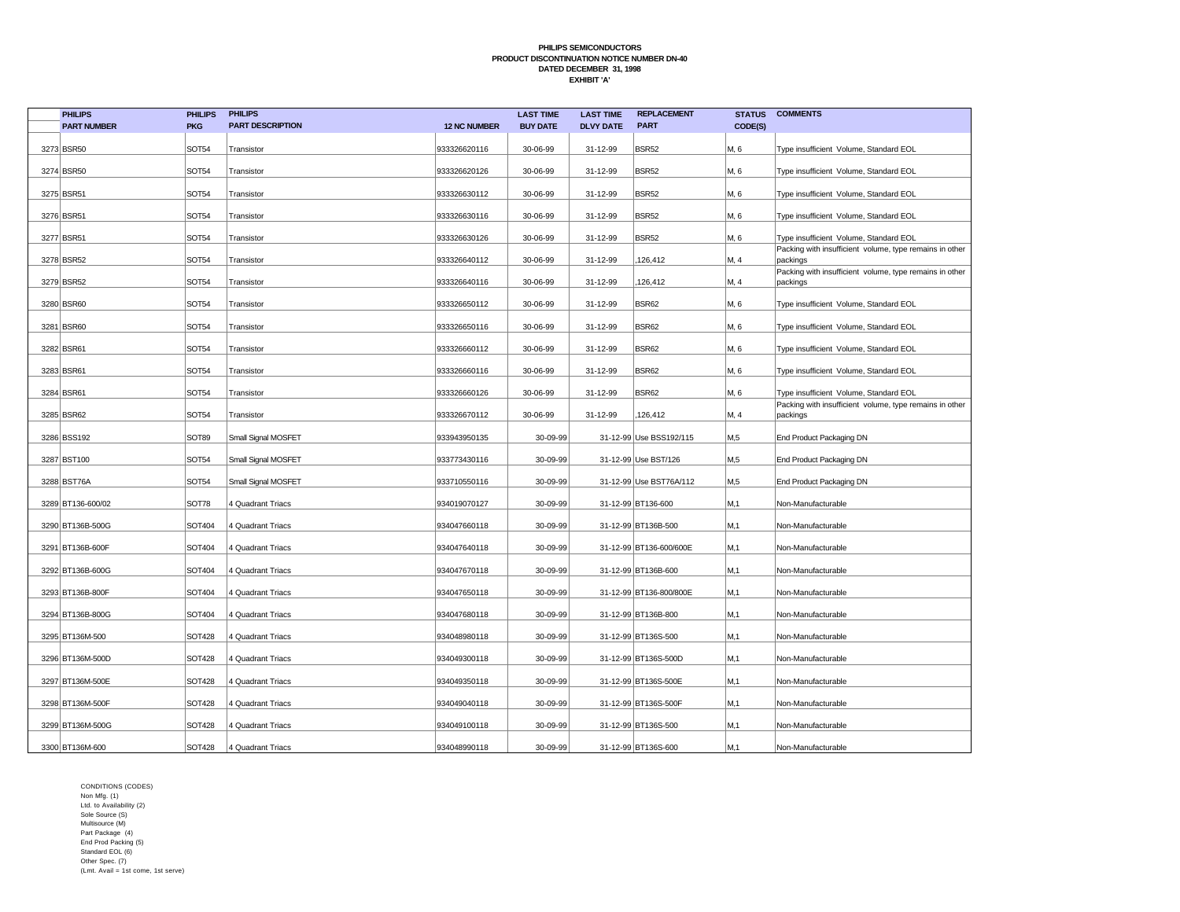| <b>PHILIPS</b>     | <b>PHILIPS</b> | <b>PHILIPS</b>          |                     | <b>LAST TIME</b> | <b>LAST TIME</b> | <b>REPLACEMENT</b>      | <b>STATUS</b> | <b>COMMENTS</b>                                                     |
|--------------------|----------------|-------------------------|---------------------|------------------|------------------|-------------------------|---------------|---------------------------------------------------------------------|
| <b>PART NUMBER</b> | <b>PKG</b>     | <b>PART DESCRIPTION</b> | <b>12 NC NUMBER</b> | <b>BUY DATE</b>  | <b>DLVY DATE</b> | <b>PART</b>             | CODE(S)       |                                                                     |
| 3273 BSR50         | <b>SOT54</b>   | Transistor              | 933326620116        | 30-06-99         | 31-12-99         | <b>BSR52</b>            | M, 6          | Type insufficient Volume, Standard EOL                              |
| 3274 BSR50         | <b>SOT54</b>   | Transistor              | 933326620126        | 30-06-99         | 31-12-99         | <b>BSR52</b>            | M, 6          | Type insufficient Volume, Standard EOL                              |
| 3275 BSR51         | <b>SOT54</b>   | Transistor              | 933326630112        | 30-06-99         | 31-12-99         | <b>BSR52</b>            | M, 6          | Type insufficient Volume, Standard EOL                              |
| 3276 BSR51         | <b>SOT54</b>   | Transistor              | 933326630116        | 30-06-99         | 31-12-99         | <b>BSR52</b>            | M, 6          | Type insufficient Volume, Standard EOL                              |
| 3277 BSR51         | <b>SOT54</b>   | Transistor              | 933326630126        | 30-06-99         | 31-12-99         | <b>BSR52</b>            | M, 6          | Type insufficient Volume, Standard EOL                              |
| 3278 BSR52         | <b>SOT54</b>   | Transistor              | 933326640112        | 30-06-99         | 31-12-99         | 126,412                 | M, 4          | Packing with insufficient volume, type remains in other<br>packings |
| 3279 BSR52         | <b>SOT54</b>   | Transistor              | 933326640116        | 30-06-99         | 31-12-99         | 126,412                 | M, 4          | Packing with insufficient volume, type remains in other<br>packings |
| 3280 BSR60         | <b>SOT54</b>   | Transistor              | 933326650112        | 30-06-99         | 31-12-99         | <b>BSR62</b>            | M, 6          | Type insufficient Volume, Standard EOL                              |
| 3281 BSR60         | <b>SOT54</b>   | Transistor              | 933326650116        | 30-06-99         | 31-12-99         | <b>BSR62</b>            | M, 6          | Type insufficient Volume, Standard EOL                              |
| 3282 BSR61         | <b>SOT54</b>   | Transistor              | 933326660112        | 30-06-99         | 31-12-99         | <b>BSR62</b>            | M, 6          | Type insufficient Volume, Standard EOL                              |
| 3283 BSR61         | <b>SOT54</b>   | Transistor              | 933326660116        | 30-06-99         | 31-12-99         | <b>BSR62</b>            | M, 6          | Type insufficient Volume, Standard EOL                              |
| 3284 BSR61         | <b>SOT54</b>   | Transistor              | 933326660126        | 30-06-99         | 31-12-99         | <b>BSR62</b>            | M, 6          | Type insufficient Volume, Standard EOL                              |
| 3285 BSR62         | <b>SOT54</b>   | Transistor              | 933326670112        | 30-06-99         | 31-12-99         | 126,412                 | M, 4          | Packing with insufficient volume, type remains in other<br>packings |
| 3286 BSS192        | SOT89          | Small Signal MOSFET     | 933943950135        | 30-09-99         |                  | 31-12-99 Use BSS192/115 | M,5           | End Product Packaging DN                                            |
| 3287 BST100        | <b>SOT54</b>   | Small Signal MOSFET     | 933773430116        | 30-09-99         |                  | 31-12-99 Use BST/126    | M,5           | End Product Packaging DN                                            |
| 3288 BST76A        | <b>SOT54</b>   | Small Signal MOSFET     | 933710550116        | 30-09-99         |                  | 31-12-99 Use BST76A/112 | M,5           | End Product Packaging DN                                            |
| 3289 BT136-600/02  | SOT78          | 4 Quadrant Triacs       | 934019070127        | 30-09-99         |                  | 31-12-99 BT136-600      | M,1           | Non-Manufacturable                                                  |
| 3290 BT136B-500G   | SOT404         | 4 Quadrant Triacs       | 934047660118        | 30-09-99         |                  | 31-12-99 BT136B-500     | M,1           | Non-Manufacturable                                                  |
| 3291 BT136B-600F   | SOT404         | 4 Quadrant Triacs       | 934047640118        | 30-09-99         |                  | 31-12-99 BT136-600/600E | M,1           | Non-Manufacturable                                                  |
| 3292 BT136B-600G   | SOT404         | 4 Quadrant Triacs       | 934047670118        | 30-09-99         |                  | 31-12-99 BT136B-600     | M,1           | Non-Manufacturable                                                  |
| 3293 BT136B-800F   | SOT404         | 4 Quadrant Triacs       | 934047650118        | 30-09-99         |                  | 31-12-99 BT136-800/800E | M,1           | Non-Manufacturable                                                  |
| 3294 BT136B-800G   | SOT404         | 4 Quadrant Triacs       | 934047680118        | 30-09-99         |                  | 31-12-99 BT136B-800     | M,1           | Non-Manufacturable                                                  |
| 3295 BT136M-500    | <b>SOT428</b>  | 4 Quadrant Triacs       | 934048980118        | 30-09-99         |                  | 31-12-99 BT136S-500     | M,1           | Non-Manufacturable                                                  |
| 3296 BT136M-500D   | <b>SOT428</b>  | 4 Quadrant Triacs       | 934049300118        | 30-09-99         |                  | 31-12-99 BT136S-500D    | M,1           | Non-Manufacturable                                                  |
| 3297 BT136M-500E   | <b>SOT428</b>  | 4 Quadrant Triacs       | 934049350118        | 30-09-99         |                  | 31-12-99 BT136S-500E    | M,1           | Non-Manufacturable                                                  |
| 3298 BT136M-500F   | <b>SOT428</b>  | 4 Quadrant Triacs       | 934049040118        | 30-09-99         |                  | 31-12-99 BT136S-500F    | M,1           | Non-Manufacturable                                                  |
| 3299 BT136M-500G   | <b>SOT428</b>  | 4 Quadrant Triacs       | 934049100118        | 30-09-99         |                  | 31-12-99 BT136S-500     | M, 1          | Non-Manufacturable                                                  |
| 3300 BT136M-600    | <b>SOT428</b>  | 4 Quadrant Triacs       | 934048990118        | 30-09-99         |                  | 31-12-99 BT136S-600     | M,1           | Non-Manufacturable                                                  |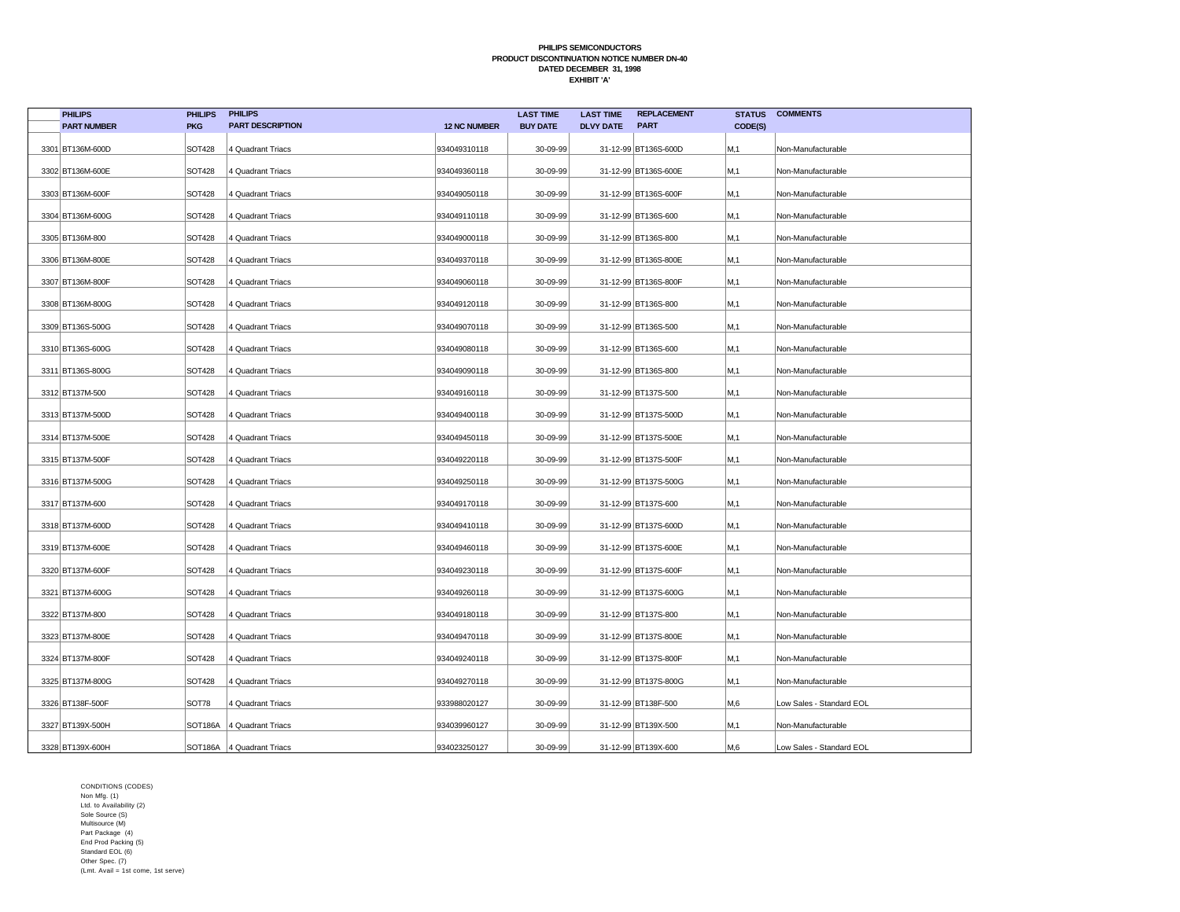| <b>PHILIPS</b>     | <b>PHILIPS</b>       | <b>PHILIPS</b>              |                     | <b>LAST TIME</b> | <b>LAST TIME</b> | <b>REPLACEMENT</b>   | <b>STATUS</b> | <b>COMMENTS</b>          |
|--------------------|----------------------|-----------------------------|---------------------|------------------|------------------|----------------------|---------------|--------------------------|
| <b>PART NUMBER</b> | <b>PKG</b>           | <b>PART DESCRIPTION</b>     | <b>12 NC NUMBER</b> | <b>BUY DATE</b>  | <b>DLVY DATE</b> | <b>PART</b>          | CODE(S)       |                          |
| 3301 BT136M-600D   | <b>SOT428</b>        | 4 Quadrant Triacs           | 934049310118        | 30-09-99         |                  | 31-12-99 BT136S-600D | M,1           | Non-Manufacturable       |
| 3302 BT136M-600E   | <b>SOT428</b>        | 4 Quadrant Triacs           | 934049360118        | 30-09-99         |                  | 31-12-99 BT136S-600E | M,1           | Non-Manufacturable       |
| 3303 BT136M-600F   | <b>SOT428</b>        | 4 Quadrant Triacs           | 934049050118        | 30-09-99         |                  | 31-12-99 BT136S-600F | M,1           | Non-Manufacturable       |
| 3304 BT136M-600G   | <b>SOT428</b>        | 4 Quadrant Triacs           | 934049110118        | 30-09-99         |                  | 31-12-99 BT136S-600  | M,1           | Non-Manufacturable       |
| 3305 BT136M-800    | <b>SOT428</b>        | 4 Quadrant Triacs           | 934049000118        | 30-09-99         |                  | 31-12-99 BT136S-800  | M,1           | Non-Manufacturable       |
| 3306 BT136M-800E   | <b>SOT428</b>        | 4 Quadrant Triacs           | 934049370118        | 30-09-99         |                  | 31-12-99 BT136S-800E | M,1           | Non-Manufacturable       |
| 3307 BT136M-800F   | <b>SOT428</b>        | 4 Quadrant Triacs           | 934049060118        | 30-09-99         |                  | 31-12-99 BT136S-800F | M,1           | Non-Manufacturable       |
| 3308 BT136M-800G   | <b>SOT428</b>        | 4 Quadrant Triacs           | 934049120118        | 30-09-99         |                  | 31-12-99 BT136S-800  | M,1           | Non-Manufacturable       |
| 3309 BT136S-500G   | <b>SOT428</b>        | 4 Quadrant Triacs           | 934049070118        | 30-09-99         |                  | 31-12-99 BT136S-500  | M,1           | Non-Manufacturable       |
| 3310 BT136S-600G   | <b>SOT428</b>        | 4 Quadrant Triacs           | 934049080118        | 30-09-99         |                  | 31-12-99 BT136S-600  | M,1           | Non-Manufacturable       |
| 3311 BT136S-800G   | <b>SOT428</b>        | 4 Quadrant Triacs           | 934049090118        | 30-09-99         |                  | 31-12-99 BT136S-800  | M,1           | Non-Manufacturable       |
| 3312 BT137M-500    | <b>SOT428</b>        | 4 Quadrant Triacs           | 934049160118        | 30-09-99         |                  | 31-12-99 BT137S-500  | M,1           | Non-Manufacturable       |
| 3313 BT137M-500D   | <b>SOT428</b>        | 4 Quadrant Triacs           | 934049400118        | 30-09-99         |                  | 31-12-99 BT137S-500D | M,1           | Non-Manufacturable       |
| 3314 BT137M-500E   | SOT428               | 4 Quadrant Triacs           | 934049450118        | 30-09-99         |                  | 31-12-99 BT137S-500E | M, 1          | Non-Manufacturable       |
| 3315 BT137M-500F   | <b>SOT428</b>        | 4 Quadrant Triacs           | 934049220118        | 30-09-99         |                  | 31-12-99 BT137S-500F | M, 1          | Non-Manufacturable       |
| 3316 BT137M-500G   | <b>SOT428</b>        | 4 Quadrant Triacs           | 934049250118        | 30-09-99         |                  | 31-12-99 BT137S-500G | M, 1          | Non-Manufacturable       |
| 3317 BT137M-600    | <b>SOT428</b>        | 4 Quadrant Triacs           | 934049170118        | 30-09-99         |                  | 31-12-99 BT137S-600  | M,1           | Non-Manufacturable       |
| 3318 BT137M-600D   | <b>SOT428</b>        | 4 Quadrant Triacs           | 934049410118        | 30-09-99         |                  | 31-12-99 BT137S-600D | M,1           | Non-Manufacturable       |
| 3319 BT137M-600E   | <b>SOT428</b>        | 4 Quadrant Triacs           | 934049460118        | 30-09-99         |                  | 31-12-99 BT137S-600E | M,1           | Non-Manufacturable       |
| 3320 BT137M-600F   | <b>SOT428</b>        | 4 Quadrant Triacs           | 934049230118        | 30-09-99         |                  | 31-12-99 BT137S-600F | M,1           | Non-Manufacturable       |
| 3321 BT137M-600G   | <b>SOT428</b>        | 4 Quadrant Triacs           | 934049260118        | 30-09-99         |                  | 31-12-99 BT137S-600G | M,1           | Non-Manufacturable       |
| 3322 BT137M-800    | SOT428               | 4 Quadrant Triacs           | 934049180118        | 30-09-99         |                  | 31-12-99 BT137S-800  | M,1           | Non-Manufacturable       |
| 3323 BT137M-800E   | SOT428               | 4 Quadrant Triacs           | 934049470118        | 30-09-99         |                  | 31-12-99 BT137S-800E | M,1           | Non-Manufacturable       |
| 3324 BT137M-800F   | <b>SOT428</b>        | 4 Quadrant Triacs           | 934049240118        | 30-09-99         |                  | 31-12-99 BT137S-800F | M,1           | Non-Manufacturable       |
| 3325 BT137M-800G   | SOT428               | 4 Quadrant Triacs           | 934049270118        | 30-09-99         |                  | 31-12-99 BT137S-800G | M, 1          | Non-Manufacturable       |
| 3326 BT138F-500F   | SOT78                | 4 Quadrant Triacs           | 933988020127        | 30-09-99         |                  | 31-12-99 BT138F-500  | M,6           | Low Sales - Standard EOL |
| 3327 BT139X-500H   | SOT <sub>186</sub> A | 4 Quadrant Triacs           | 934039960127        | 30-09-99         |                  | 31-12-99 BT139X-500  | M, 1          | Non-Manufacturable       |
| 3328 BT139X-600H   |                      | SOT186A   4 Quadrant Triacs | 934023250127        | 30-09-99         |                  | 31-12-99 BT139X-600  | M,6           | Low Sales - Standard EOL |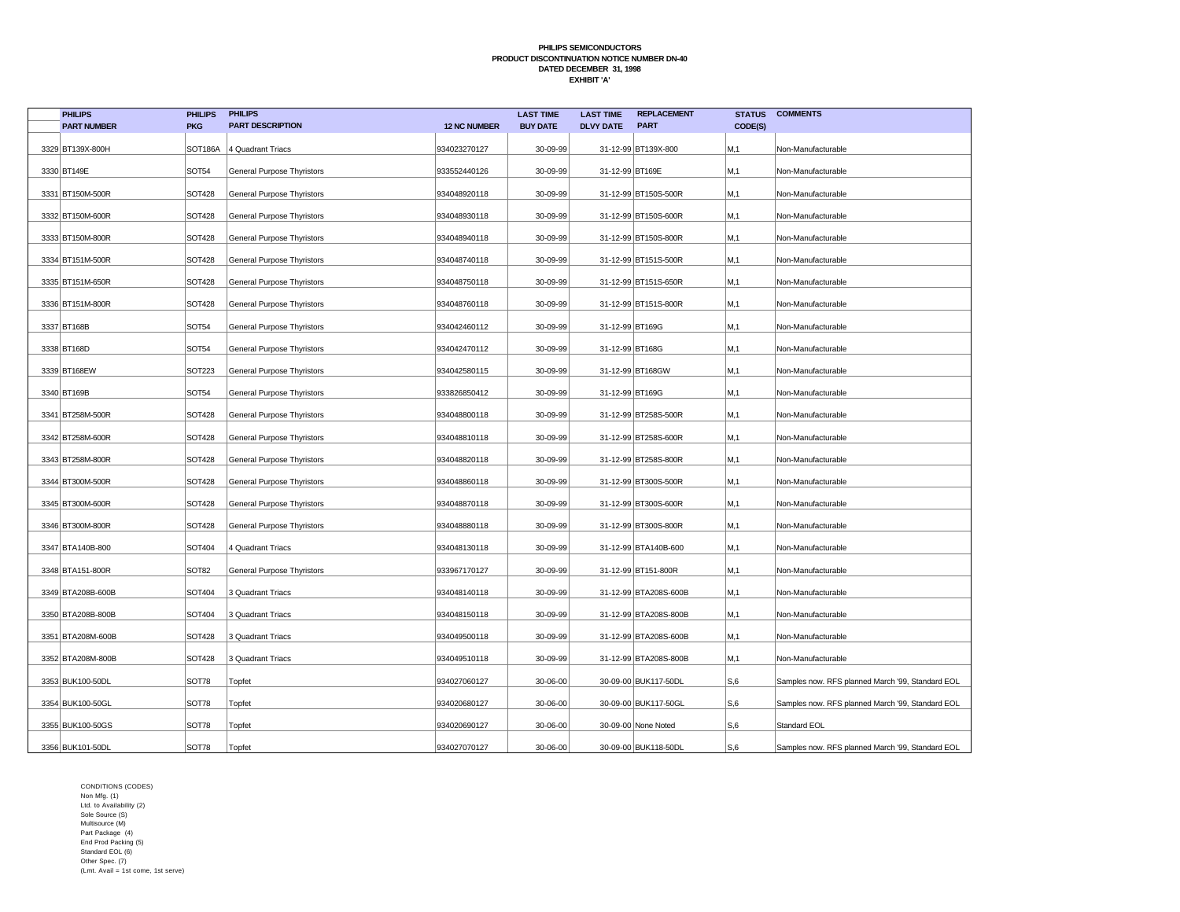| <b>PHILIPS</b>     | <b>PHILIPS</b> | <b>PHILIPS</b>             |                     | <b>LAST TIME</b> | <b>LAST TIME</b> | <b>REPLACEMENT</b>    | <b>STATUS</b> | <b>COMMENTS</b>                                  |
|--------------------|----------------|----------------------------|---------------------|------------------|------------------|-----------------------|---------------|--------------------------------------------------|
| <b>PART NUMBER</b> | <b>PKG</b>     | <b>PART DESCRIPTION</b>    | <b>12 NC NUMBER</b> | <b>BUY DATE</b>  | <b>DLVY DATE</b> | <b>PART</b>           | CODE(S)       |                                                  |
| 3329 BT139X-800H   | SOT186A        | 4 Quadrant Triacs          | 934023270127        | 30-09-99         |                  | 31-12-99 BT139X-800   | M,1           | Non-Manufacturable                               |
| 3330 BT149E        | <b>SOT54</b>   | General Purpose Thyristors | 933552440126        | 30-09-99         | 31-12-99 BT169E  |                       | M,1           | Non-Manufacturable                               |
| 3331 BT150M-500R   | <b>SOT428</b>  | General Purpose Thyristors | 934048920118        | 30-09-99         |                  | 31-12-99 BT150S-500R  | M.1           | Non-Manufacturable                               |
| 3332 BT150M-600R   | <b>SOT428</b>  | General Purpose Thyristors | 934048930118        | 30-09-99         |                  | 31-12-99 BT150S-600R  | M,1           | Non-Manufacturable                               |
| 3333 BT150M-800R   | <b>SOT428</b>  | General Purpose Thyristors | 934048940118        | 30-09-99         |                  | 31-12-99 BT150S-800R  | M, 1          | Non-Manufacturable                               |
| 3334 BT151M-500R   | <b>SOT428</b>  | General Purpose Thyristors | 934048740118        | 30-09-99         |                  | 31-12-99 BT151S-500R  | M,1           | Non-Manufacturable                               |
| 3335 BT151M-650R   | <b>SOT428</b>  | General Purpose Thyristors | 934048750118        | 30-09-99         |                  | 31-12-99 BT151S-650R  | M,1           | Non-Manufacturable                               |
| 3336 BT151M-800R   | <b>SOT428</b>  | General Purpose Thyristors | 934048760118        | 30-09-99         |                  | 31-12-99 BT151S-800R  | M,1           | Non-Manufacturable                               |
| 3337 BT168B        | SOT54          | General Purpose Thyristors | 934042460112        | 30-09-99         | 31-12-99 BT169G  |                       | M,1           | Non-Manufacturable                               |
| 3338 BT168D        | SOT54          | General Purpose Thyristors | 934042470112        | 30-09-99         | 31-12-99 BT168G  |                       | M,1           | Non-Manufacturable                               |
| 3339 BT168EW       | SOT223         | General Purpose Thyristors | 934042580115        | 30-09-99         |                  | 31-12-99 BT168GW      | M,1           | Non-Manufacturable                               |
| 3340 BT169B        | SOT54          | General Purpose Thyristors | 933826850412        | 30-09-99         | 31-12-99 BT169G  |                       | M, 1          | Non-Manufacturable                               |
| 3341 BT258M-500R   | <b>SOT428</b>  | General Purpose Thyristors | 934048800118        | 30-09-99         |                  | 31-12-99 BT258S-500R  | M,1           | Non-Manufacturable                               |
| 3342 BT258M-600R   | <b>SOT428</b>  | General Purpose Thyristors | 934048810118        | 30-09-99         |                  | 31-12-99 BT258S-600R  | M, 1          | Non-Manufacturable                               |
| 3343 BT258M-800R   | SOT428         | General Purpose Thyristors | 934048820118        | 30-09-99         |                  | 31-12-99 BT258S-800R  | M,1           | Non-Manufacturable                               |
| 3344 BT300M-500R   | <b>SOT428</b>  | General Purpose Thyristors | 934048860118        | 30-09-99         |                  | 31-12-99 BT300S-500R  | M, 1          | Non-Manufacturable                               |
| 3345 BT300M-600R   | <b>SOT428</b>  | General Purpose Thyristors | 934048870118        | 30-09-99         |                  | 31-12-99 BT300S-600R  | M.1           | Non-Manufacturable                               |
| 3346 BT300M-800R   | <b>SOT428</b>  | General Purpose Thyristors | 934048880118        | 30-09-99         |                  | 31-12-99 BT300S-800R  | M,1           | Non-Manufacturable                               |
| 3347 BTA140B-800   | SOT404         | 4 Quadrant Triacs          | 934048130118        | 30-09-99         |                  | 31-12-99 BTA140B-600  | M,1           | Non-Manufacturable                               |
| 3348 BTA151-800R   | <b>SOT82</b>   | General Purpose Thyristors | 933967170127        | 30-09-99         |                  | 31-12-99 BT151-800R   | M,1           | Non-Manufacturable                               |
| 3349 BTA208B-600B  | <b>SOT404</b>  | 3 Quadrant Triacs          | 934048140118        | 30-09-99         |                  | 31-12-99 BTA208S-600B | M.1           | Non-Manufacturable                               |
| 3350 BTA208B-800B  | SOT404         | 3 Quadrant Triacs          | 934048150118        | 30-09-99         |                  | 31-12-99 BTA208S-800B | M,1           | Non-Manufacturable                               |
| 3351 BTA208M-600B  | <b>SOT428</b>  | 3 Quadrant Triacs          | 934049500118        | 30-09-99         |                  | 31-12-99 BTA208S-600B | M,1           | Non-Manufacturable                               |
| 3352 BTA208M-800B  | <b>SOT428</b>  | 3 Quadrant Triacs          | 934049510118        | 30-09-99         |                  | 31-12-99 BTA208S-800B | M,1           | Non-Manufacturable                               |
| 3353 BUK100-50DL   | SOT78          | Topfet                     | 934027060127        | 30-06-00         |                  | 30-09-00 BUK117-50DL  | S,6           | Samples now. RFS planned March '99, Standard EOL |
| 3354 BUK100-50GL   | SOT78          | Topfet                     | 934020680127        | 30-06-00         |                  | 30-09-00 BUK117-50GL  | S,6           | Samples now. RFS planned March '99, Standard EOL |
| 3355 BUK100-50GS   | SOT78          | Topfet                     | 934020690127        | 30-06-00         |                  | 30-09-00 None Noted   | S,6           | Standard EOL                                     |
| 3356 BUK101-50DL   | SOT78          | Topfet                     | 934027070127        | 30-06-00         |                  | 30-09-00 BUK118-50DL  | S,6           | Samples now. RFS planned March '99, Standard EOL |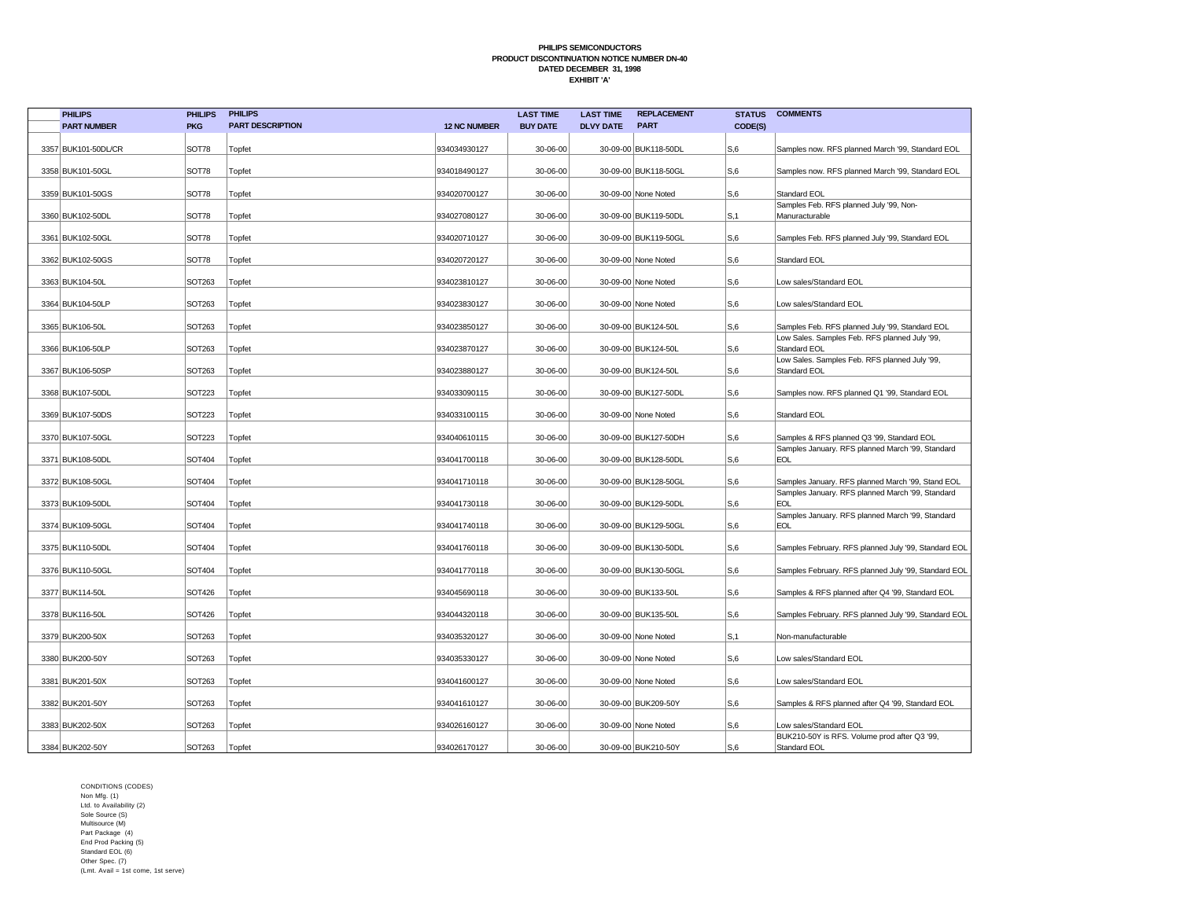| <b>PHILIPS</b>      | <b>PHILIPS</b> | <b>PHILIPS</b>          |                     | <b>LAST TIME</b> | <b>LAST TIME</b> | <b>REPLACEMENT</b>   | <b>STATUS</b>  | <b>COMMENTS</b>                                                                                       |
|---------------------|----------------|-------------------------|---------------------|------------------|------------------|----------------------|----------------|-------------------------------------------------------------------------------------------------------|
| <b>PART NUMBER</b>  | <b>PKG</b>     | <b>PART DESCRIPTION</b> | <b>12 NC NUMBER</b> | <b>BUY DATE</b>  | <b>DLVY DATE</b> | <b>PART</b>          | CODE(S)        |                                                                                                       |
| 3357 BUK101-50DL/CR | <b>SOT78</b>   | Topfet                  | 934034930127        | 30-06-00         |                  | 30-09-00 BUK118-50DL | S,6            | Samples now. RFS planned March '99, Standard EOL                                                      |
| 3358 BUK101-50GL    | <b>SOT78</b>   | Topfet                  | 934018490127        | 30-06-00         |                  | 30-09-00 BUK118-50GL | S,6            | Samples now. RFS planned March '99, Standard EOL                                                      |
|                     |                |                         |                     |                  |                  |                      |                |                                                                                                       |
| 3359 BUK101-50GS    | SOT78          | Topfet                  | 934020700127        | 30-06-00         |                  | 30-09-00 None Noted  | S,6            | Standard EOL<br>Samples Feb. RFS planned July '99, Non-                                               |
| 3360 BUK102-50DL    | <b>SOT78</b>   | Topfet                  | 934027080127        | 30-06-00         |                  | 30-09-00 BUK119-50DL | S, 1           | Manuracturable                                                                                        |
| 3361 BUK102-50GL    | SOT78          | Topfet                  | 934020710127        | 30-06-00         |                  | 30-09-00 BUK119-50GL | S <sub>6</sub> | Samples Feb. RFS planned July '99, Standard EOL                                                       |
| 3362 BUK102-50GS    | <b>SOT78</b>   | Topfet                  | 934020720127        | 30-06-00         |                  | 30-09-00 None Noted  | S,6            | <b>Standard EOL</b>                                                                                   |
| 3363 BUK104-50L     | <b>SOT263</b>  | Topfet                  | 934023810127        | 30-06-00         |                  | 30-09-00 None Noted  | S,6            | Low sales/Standard EOL                                                                                |
| 3364 BUK104-50LP    | SOT263         | Topfet                  | 934023830127        | 30-06-00         |                  | 30-09-00 None Noted  | S,6            | Low sales/Standard EOL                                                                                |
| 3365 BUK106-50L     | SOT263         | Topfet                  | 934023850127        | 30-06-00         |                  | 30-09-00 BUK124-50L  | S,6            | Samples Feb. RFS planned July '99, Standard EOL                                                       |
| 3366 BUK106-50LP    | SOT263         | Topfet                  | 934023870127        | 30-06-00         |                  | 30-09-00 BUK124-50L  | S <sub>6</sub> | Low Sales. Samples Feb. RFS planned July '99,<br>Standard EOL                                         |
| 3367 BUK106-50SP    | SOT263         | Topfet                  | 934023880127        | 30-06-00         |                  | 30-09-00 BUK124-50L  | S,6            | Low Sales. Samples Feb. RFS planned July '99,<br>Standard EOL                                         |
| 3368   BUK107-50DL  | <b>SOT223</b>  | Topfet                  | 934033090115        | 30-06-00         |                  | 30-09-00 BUK127-50DL | S,6            | Samples now. RFS planned Q1 '99, Standard EOL                                                         |
| 3369 BUK107-50DS    | SOT223         | Topfet                  | 934033100115        | 30-06-00         |                  | 30-09-00 None Noted  | S,6            | <b>Standard EOL</b>                                                                                   |
| 3370 BUK107-50GL    | SOT223         | Topfet                  | 934040610115        | 30-06-00         |                  | 30-09-00 BUK127-50DH | S,6            | Samples & RFS planned Q3 '99, Standard EOL                                                            |
| 3371 BUK108-50DL    | SOT404         | Topfet                  | 934041700118        | 30-06-00         |                  | 30-09-00 BUK128-50DL | S,6            | Samples January. RFS planned March '99, Standard<br><b>EOL</b>                                        |
|                     |                |                         |                     |                  |                  |                      |                |                                                                                                       |
| 3372 BUK108-50GL    | SOT404         | Topfet                  | 934041710118        | 30-06-00         |                  | 30-09-00 BUK128-50GL | S,6            | Samples January. RFS planned March '99, Stand EOL<br>Samples January. RFS planned March '99, Standard |
| 3373 BUK109-50DL    | SOT404         | Topfet                  | 934041730118        | 30-06-00         |                  | 30-09-00 BUK129-50DL | S,6            | <b>EOL</b>                                                                                            |
| 3374 BUK109-50GL    | SOT404         | Topfet                  | 934041740118        | 30-06-00         |                  | 30-09-00 BUK129-50GL | S,6            | Samples January. RFS planned March '99, Standard<br><b>EOL</b>                                        |
| 3375 BUK110-50DL    | SOT404         | Topfet                  | 934041760118        | 30-06-00         |                  | 30-09-00 BUK130-50DL | S,6            | Samples February. RFS planned July '99, Standard EOL                                                  |
| 3376 BUK110-50GL    | SOT404         | Topfet                  | 934041770118        | 30-06-00         |                  | 30-09-00 BUK130-50GL | S,6            | Samples February. RFS planned July '99, Standard EOL                                                  |
| 3377 BUK114-50L     | <b>SOT426</b>  | Topfet                  | 934045690118        | 30-06-00         |                  | 30-09-00 BUK133-50L  | S,6            | Samples & RFS planned after Q4 '99, Standard EOL                                                      |
| 3378 BUK116-50L     | <b>SOT426</b>  | Topfet                  | 934044320118        | 30-06-00         |                  | 30-09-00 BUK135-50L  | S,6            | Samples February. RFS planned July '99, Standard EOL                                                  |
| 3379 BUK200-50X     | SOT263         | Topfet                  | 934035320127        | 30-06-00         |                  | 30-09-00 None Noted  | S, 1           | Non-manufacturable                                                                                    |
| 3380 BUK200-50Y     | SOT263         | Topfet                  | 934035330127        | 30-06-00         |                  | 30-09-00 None Noted  | S,6            | Low sales/Standard EOL                                                                                |
| 3381 BUK201-50X     | SOT263         | Topfet                  | 934041600127        | 30-06-00         |                  | 30-09-00 None Noted  | S <sub>6</sub> | Low sales/Standard EOL                                                                                |
| 3382 BUK201-50Y     | SOT263         | Topfet                  | 934041610127        | 30-06-00         |                  | 30-09-00 BUK209-50Y  | S,6            | Samples & RFS planned after Q4 '99, Standard EOL                                                      |
| 3383 BUK202-50X     | SOT263         | Topfet                  | 934026160127        | 30-06-00         |                  | 30-09-00 None Noted  | S,6            | Low sales/Standard EOL                                                                                |
| 3384 BUK202-50Y     | SOT263         | Topfet                  | 934026170127        | 30-06-00         |                  | 30-09-00 BUK210-50Y  | S,6            | BUK210-50Y is RFS. Volume prod after Q3 '99,<br>Standard EOL                                          |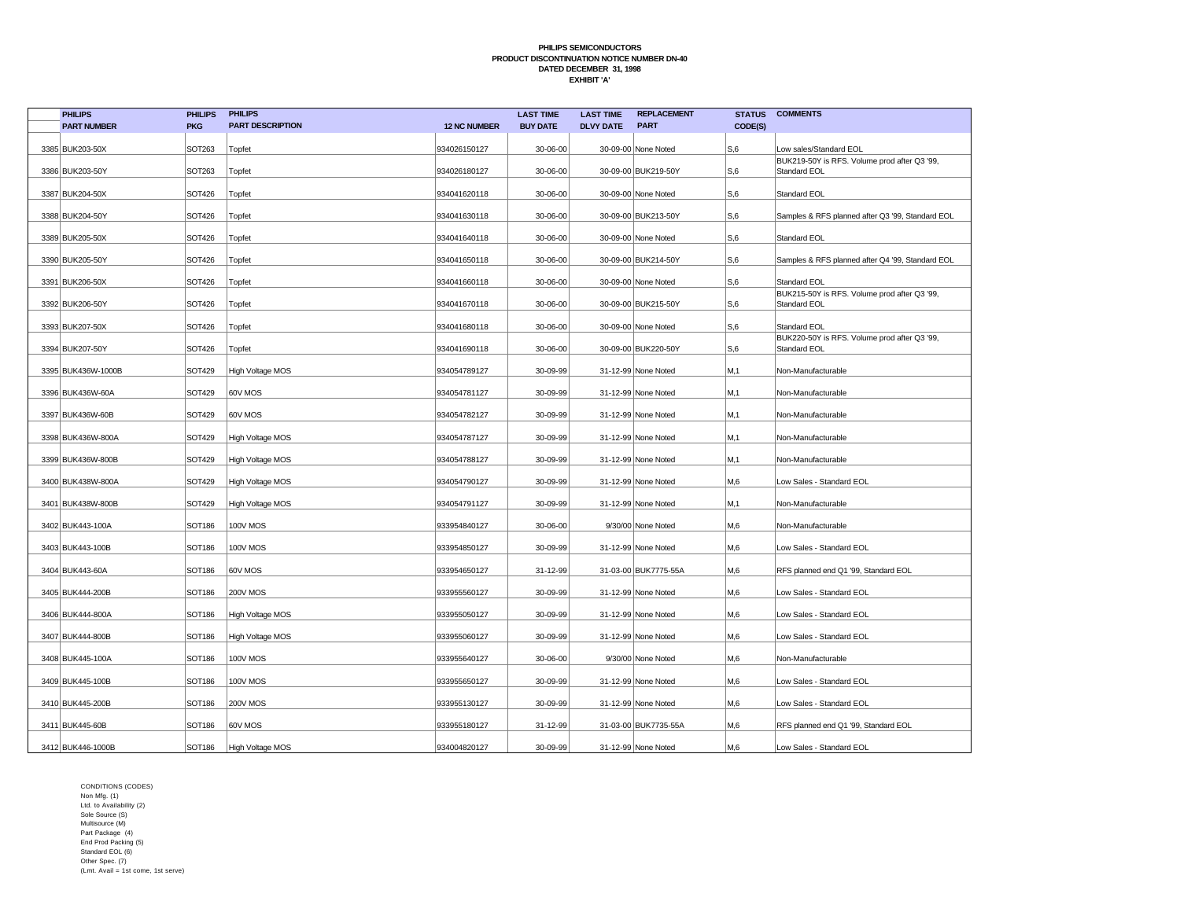| <b>PHILIPS</b>     | <b>PHILIPS</b> | <b>PHILIPS</b>          |                     | <b>LAST TIME</b> | <b>LAST TIME</b> | <b>REPLACEMENT</b>   | <b>STATUS</b> | <b>COMMENTS</b>                                              |
|--------------------|----------------|-------------------------|---------------------|------------------|------------------|----------------------|---------------|--------------------------------------------------------------|
| <b>PART NUMBER</b> | <b>PKG</b>     | <b>PART DESCRIPTION</b> | <b>12 NC NUMBER</b> | <b>BUY DATE</b>  | <b>DLVY DATE</b> | <b>PART</b>          | CODE(S)       |                                                              |
| 3385 BUK203-50X    | <b>SOT263</b>  | Topfet                  | 934026150127        | 30-06-00         |                  | 30-09-00 None Noted  | S,6           | Low sales/Standard EOL                                       |
| 3386 BUK203-50Y    | SOT263         | Topfet                  | 934026180127        | 30-06-00         |                  | 30-09-00 BUK219-50Y  | S,6           | BUK219-50Y is RFS. Volume prod after Q3 '99,<br>Standard EOL |
| 3387 BUK204-50X    | SOT426         | Topfet                  | 934041620118        | 30-06-00         |                  | 30-09-00 None Noted  | S,6           | <b>Standard EOL</b>                                          |
|                    |                |                         |                     |                  |                  |                      |               |                                                              |
| 3388 BUK204-50Y    | <b>SOT426</b>  | Topfet                  | 934041630118        | 30-06-00         |                  | 30-09-00 BUK213-50Y  | S,6           | Samples & RFS planned after Q3 '99, Standard EOL             |
| 3389 BUK205-50X    | SOT426         | Topfet                  | 934041640118        | 30-06-00         |                  | 30-09-00 None Noted  | S,6           | Standard EOL                                                 |
| 3390 BUK205-50Y    | <b>SOT426</b>  | Topfet                  | 934041650118        | 30-06-00         |                  | 30-09-00 BUK214-50Y  | S,6           | Samples & RFS planned after Q4 '99, Standard EOL             |
| 3391 BUK206-50X    | SOT426         | Topfet                  | 934041660118        | 30-06-00         |                  | 30-09-00 None Noted  | S,6           | <b>Standard EOL</b>                                          |
| 3392 BUK206-50Y    | <b>SOT426</b>  | Topfet                  | 934041670118        | 30-06-00         |                  | 30-09-00 BUK215-50Y  | S,6           | BUK215-50Y is RFS. Volume prod after Q3 '99,<br>Standard EOL |
| 3393 BUK207-50X    | <b>SOT426</b>  | Topfet                  | 934041680118        | 30-06-00         |                  | 30-09-00 None Noted  | S,6           | <b>Standard EOL</b>                                          |
|                    |                |                         |                     |                  |                  |                      |               | BUK220-50Y is RFS. Volume prod after Q3 '99,                 |
| 3394 BUK207-50Y    | <b>SOT426</b>  | Topfet                  | 934041690118        | 30-06-00         |                  | 30-09-00 BUK220-50Y  | S,6           | Standard EOL                                                 |
| 3395 BUK436W-1000B | <b>SOT429</b>  | <b>High Voltage MOS</b> | 934054789127        | 30-09-99         |                  | 31-12-99 None Noted  | M,1           | Non-Manufacturable                                           |
| 3396 BUK436W-60A   | <b>SOT429</b>  | 60V MOS                 | 934054781127        | 30-09-99         |                  | 31-12-99 None Noted  | M,1           | Non-Manufacturable                                           |
| 3397 BUK436W-60B   | <b>SOT429</b>  | 60V MOS                 | 934054782127        | 30-09-99         |                  | 31-12-99 None Noted  | M,1           | Non-Manufacturable                                           |
| 3398 BUK436W-800A  | <b>SOT429</b>  | <b>High Voltage MOS</b> | 934054787127        | 30-09-99         |                  | 31-12-99 None Noted  | M,1           | Non-Manufacturable                                           |
| 3399 BUK436W-800B  | <b>SOT429</b>  | High Voltage MOS        | 934054788127        | 30-09-99         |                  | 31-12-99 None Noted  | M,1           | Non-Manufacturable                                           |
| 3400 BUK438W-800A  | <b>SOT429</b>  | High Voltage MOS        | 934054790127        | 30-09-99         |                  | 31-12-99 None Noted  | M,6           | Low Sales - Standard EOL                                     |
| 3401 BUK438W-800B  | <b>SOT429</b>  | High Voltage MOS        | 934054791127        | 30-09-99         |                  | 31-12-99 None Noted  | M,1           | Non-Manufacturable                                           |
| 3402 BUK443-100A   | <b>SOT186</b>  | <b>100V MOS</b>         | 933954840127        | 30-06-00         |                  | 9/30/00 None Noted   | M,6           | Non-Manufacturable                                           |
| 3403 BUK443-100B   | <b>SOT186</b>  | 100V MOS                | 933954850127        | 30-09-99         |                  | 31-12-99 None Noted  | M,6           | Low Sales - Standard EOL                                     |
| 3404 BUK443-60A    | <b>SOT186</b>  | 60V MOS                 | 933954650127        | 31-12-99         |                  | 31-03-00 BUK7775-55A | M,6           | RFS planned end Q1 '99, Standard EOL                         |
| 3405 BUK444-200B   | <b>SOT186</b>  | <b>200V MOS</b>         | 933955560127        | 30-09-99         |                  | 31-12-99 None Noted  | M,6           | Low Sales - Standard EOL                                     |
| 3406 BUK444-800A   | <b>SOT186</b>  | High Voltage MOS        | 933955050127        | 30-09-99         |                  | 31-12-99 None Noted  | M,6           | Low Sales - Standard EOL                                     |
| 3407 BUK444-800B   | SOT186         | High Voltage MOS        | 933955060127        | 30-09-99         |                  | 31-12-99 None Noted  | M,6           | Low Sales - Standard EOL                                     |
| 3408 BUK445-100A   | <b>SOT186</b>  | 100V MOS                | 933955640127        | 30-06-00         |                  | 9/30/00 None Noted   | M,6           | Non-Manufacturable                                           |
| 3409 BUK445-100B   | <b>SOT186</b>  | <b>100V MOS</b>         | 933955650127        | 30-09-99         |                  | 31-12-99 None Noted  | M,6           | Low Sales - Standard EOL                                     |
| 3410 BUK445-200B   | SOT186         | <b>200V MOS</b>         | 933955130127        | 30-09-99         |                  | 31-12-99 None Noted  | M,6           | Low Sales - Standard EOL                                     |
| 3411 BUK445-60B    | <b>SOT186</b>  | 60V MOS                 | 933955180127        | 31-12-99         |                  | 31-03-00 BUK7735-55A | M,6           | RFS planned end Q1 '99, Standard EOL                         |
| 3412 BUK446-1000B  | SOT186         | High Voltage MOS        | 934004820127        | 30-09-99         |                  | 31-12-99 None Noted  | M.6           | Low Sales - Standard EOL                                     |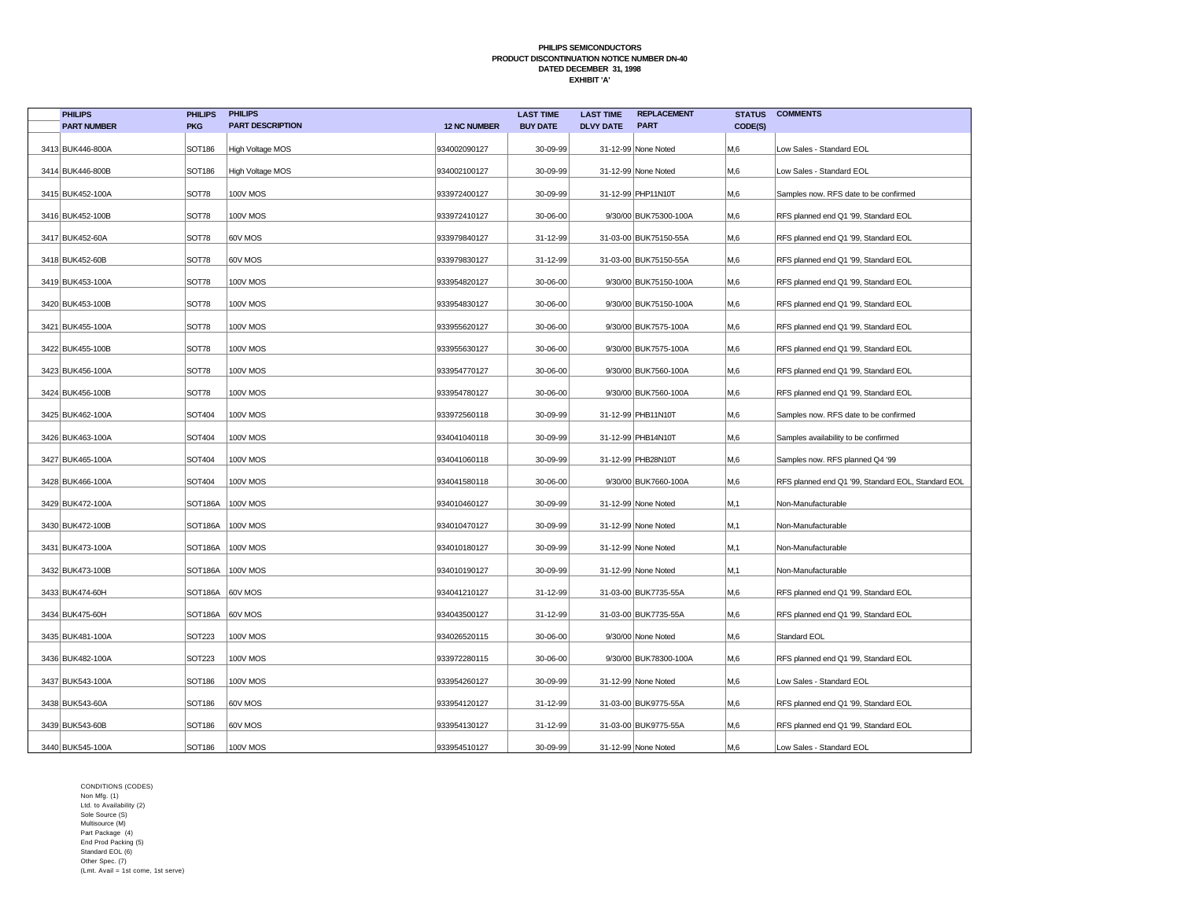| <b>PHILIPS</b>     | <b>PHILIPS</b>    | <b>PHILIPS</b>          |                     | <b>LAST TIME</b> | <b>LAST TIME</b> | <b>REPLACEMENT</b>    | <b>STATUS</b> | <b>COMMENTS</b>                                    |
|--------------------|-------------------|-------------------------|---------------------|------------------|------------------|-----------------------|---------------|----------------------------------------------------|
| <b>PART NUMBER</b> | <b>PKG</b>        | <b>PART DESCRIPTION</b> | <b>12 NC NUMBER</b> | <b>BUY DATE</b>  | <b>DLVY DATE</b> | <b>PART</b>           | CODE(S)       |                                                    |
| 3413 BUK446-800A   | SOT186            | High Voltage MOS        | 934002090127        | 30-09-99         |                  | 31-12-99 None Noted   | M,6           | Low Sales - Standard EOL                           |
| 3414 BUK446-800B   | SOT186            | High Voltage MOS        | 934002100127        | 30-09-99         |                  | 31-12-99 None Noted   | M,6           | Low Sales - Standard EOL                           |
| 3415 BUK452-100A   | <b>SOT78</b>      | 100V MOS                | 933972400127        | 30-09-99         |                  | 31-12-99 PHP11N10T    | M,6           | Samples now. RFS date to be confirmed              |
| 3416 BUK452-100B   | SOT78             | <b>100V MOS</b>         | 933972410127        | 30-06-00         |                  | 9/30/00 BUK75300-100A | M,6           | RFS planned end Q1 '99, Standard EOL               |
| 3417 BUK452-60A    | SOT78             | 60V MOS                 | 933979840127        | 31-12-99         |                  | 31-03-00 BUK75150-55A | M,6           | RFS planned end Q1 '99, Standard EOL               |
| 3418 BUK452-60B    | SOT78             | 60V MOS                 | 933979830127        | 31-12-99         |                  | 31-03-00 BUK75150-55A | M,6           | RFS planned end Q1 '99, Standard EOL               |
| 3419 BUK453-100A   | SOT78             | <b>100V MOS</b>         | 933954820127        | 30-06-00         |                  | 9/30/00 BUK75150-100A | M,6           | RFS planned end Q1 '99, Standard EOL               |
| 3420 BUK453-100B   | SOT78             | <b>100V MOS</b>         | 933954830127        | 30-06-00         |                  | 9/30/00 BUK75150-100A | M,6           | RFS planned end Q1 '99, Standard EOL               |
| 3421 BUK455-100A   | SOT78             | <b>100V MOS</b>         | 933955620127        | 30-06-00         |                  | 9/30/00 BUK7575-100A  | M,6           | RFS planned end Q1 '99, Standard EOL               |
| 3422 BUK455-100B   | SOT78             | <b>100V MOS</b>         | 933955630127        | 30-06-00         |                  | 9/30/00 BUK7575-100A  | M,6           | RFS planned end Q1 '99, Standard EOL               |
| 3423 BUK456-100A   | SOT78             | <b>100V MOS</b>         | 933954770127        | 30-06-00         |                  | 9/30/00 BUK7560-100A  | M,6           | RFS planned end Q1 '99, Standard EOL               |
| 3424 BUK456-100B   | SOT78             | <b>100V MOS</b>         | 933954780127        | 30-06-00         |                  | 9/30/00 BUK7560-100A  | M,6           | RFS planned end Q1 '99, Standard EOL               |
| 3425 BUK462-100A   | SOT404            | <b>100V MOS</b>         | 933972560118        | 30-09-99         |                  | 31-12-99 PHB11N10T    | M,6           | Samples now. RFS date to be confirmed              |
| 3426 BUK463-100A   | SOT404            | <b>100V MOS</b>         | 934041040118        | 30-09-99         |                  | 31-12-99 PHB14N10T    | M,6           | Samples availability to be confirmed               |
| 3427 BUK465-100A   | <b>SOT404</b>     | <b>100V MOS</b>         | 934041060118        | 30-09-99         |                  | 31-12-99 PHB28N10T    | M,6           | Samples now. RFS planned Q4 '99                    |
| 3428 BUK466-100A   | SOT404            | 100V MOS                | 934041580118        | 30-06-00         |                  | 9/30/00 BUK7660-100A  | M,6           | RFS planned end Q1 '99, Standard EOL, Standard EOL |
| 3429 BUK472-100A   | SOT186A           | 100V MOS                | 934010460127        | 30-09-99         |                  | 31-12-99 None Noted   | M,1           | Non-Manufacturable                                 |
| 3430 BUK472-100B   |                   | SOT186A   100V MOS      | 934010470127        | 30-09-99         |                  | 31-12-99 None Noted   | M,1           | Non-Manufacturable                                 |
| 3431 BUK473-100A   |                   | SOT186A   100V MOS      | 934010180127        | 30-09-99         |                  | 31-12-99 None Noted   | M,1           | Non-Manufacturable                                 |
| 3432 BUK473-100B   |                   | SOT186A   100V MOS      | 934010190127        | 30-09-99         |                  | 31-12-99 None Noted   | M,1           | Non-Manufacturable                                 |
| 3433 BUK474-60H    | SOT186A   60V MOS |                         | 934041210127        | 31-12-99         |                  | 31-03-00 BUK7735-55A  | M,6           | RFS planned end Q1 '99, Standard EOL               |
| 3434 BUK475-60H    | SOT186A 60V MOS   |                         | 934043500127        | 31-12-99         |                  | 31-03-00 BUK7735-55A  | M,6           | RFS planned end Q1 '99, Standard EOL               |
| 3435 BUK481-100A   | <b>SOT223</b>     | 100V MOS                | 934026520115        | 30-06-00         |                  | 9/30/00 None Noted    | M,6           | Standard EOL                                       |
| 3436 BUK482-100A   | <b>SOT223</b>     | 100V MOS                | 933972280115        | 30-06-00         |                  | 9/30/00 BUK78300-100A | M,6           | RFS planned end Q1 '99, Standard EOL               |
| 3437 BUK543-100A   | SOT186            | <b>100V MOS</b>         | 933954260127        | 30-09-99         |                  | 31-12-99 None Noted   | M,6           | Low Sales - Standard EOL                           |
| 3438 BUK543-60A    | SOT186            | 60V MOS                 | 933954120127        | 31-12-99         |                  | 31-03-00 BUK9775-55A  | M,6           | RFS planned end Q1 '99, Standard EOL               |
| 3439 BUK543-60B    | <b>SOT186</b>     | 60V MOS                 | 933954130127        | 31-12-99         |                  | 31-03-00 BUK9775-55A  | M,6           | RFS planned end Q1 '99, Standard EOL               |
| 3440 BUK545-100A   | <b>SOT186</b>     | 100V MOS                | 933954510127        | 30-09-99         |                  | 31-12-99 None Noted   | M,6           | Low Sales - Standard EOL                           |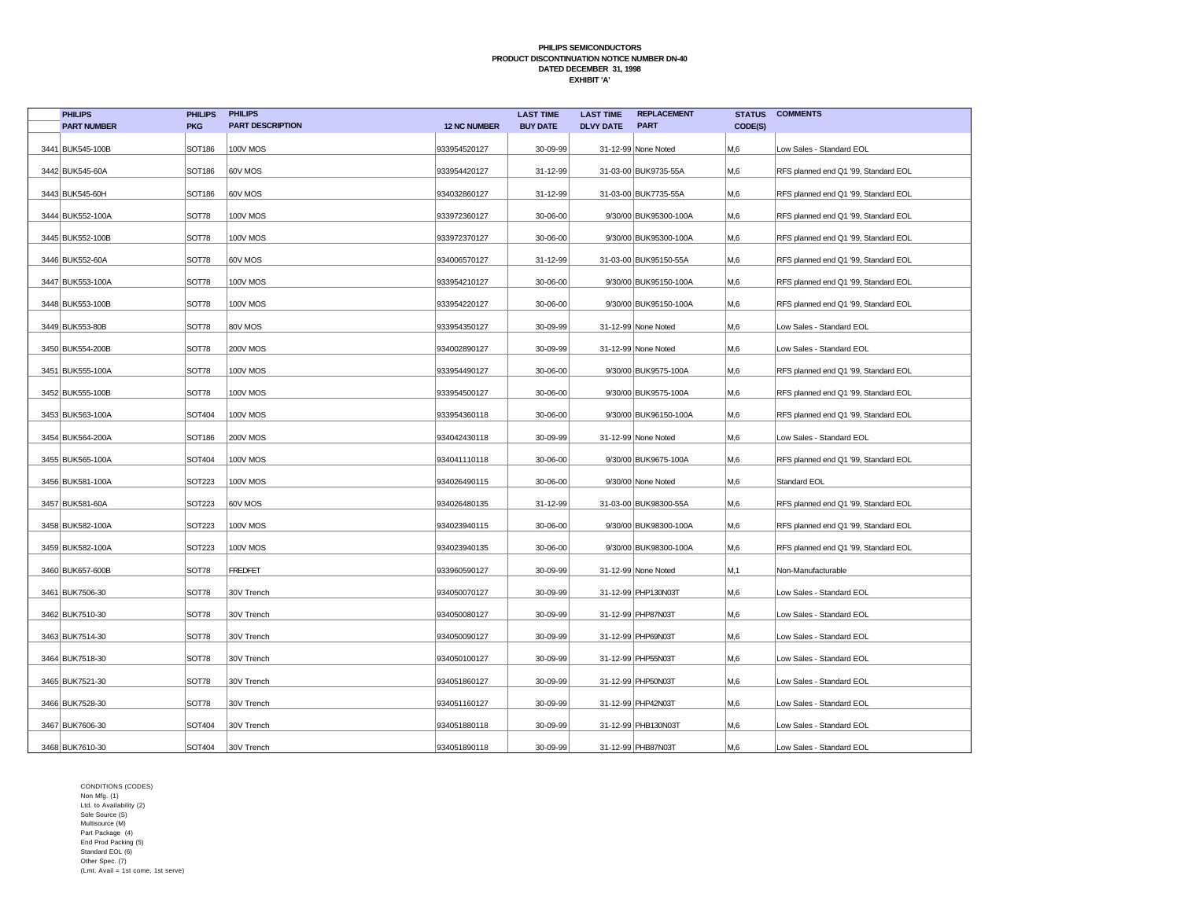| <b>PHILIPS</b>     | <b>PHILIPS</b> | <b>PHILIPS</b>          |                     | <b>LAST TIME</b> | <b>LAST TIME</b> | <b>REPLACEMENT</b>    | <b>STATUS</b>  | <b>COMMENTS</b>                      |
|--------------------|----------------|-------------------------|---------------------|------------------|------------------|-----------------------|----------------|--------------------------------------|
| <b>PART NUMBER</b> | <b>PKG</b>     | <b>PART DESCRIPTION</b> | <b>12 NC NUMBER</b> | <b>BUY DATE</b>  | <b>DLVY DATE</b> | <b>PART</b>           | CODE(S)        |                                      |
| 3441 BUK545-100B   | <b>SOT186</b>  | <b>100V MOS</b>         | 933954520127        | 30-09-99         |                  | 31-12-99 None Noted   | M,6            | Low Sales - Standard EOL             |
| 3442 BUK545-60A    | <b>SOT186</b>  | 60V MOS                 | 933954420127        | 31-12-99         |                  | 31-03-00 BUK9735-55A  | M,6            | RFS planned end Q1 '99, Standard EOL |
| 3443 BUK545-60H    | <b>SOT186</b>  | 60V MOS                 | 934032860127        | 31-12-99         |                  | 31-03-00 BUK7735-55A  | M,6            | RFS planned end Q1 '99, Standard EOL |
| 3444 BUK552-100A   | <b>SOT78</b>   | <b>100V MOS</b>         | 933972360127        | 30-06-00         |                  | 9/30/00 BUK95300-100A | M,6            | RFS planned end Q1 '99, Standard EOL |
| 3445 BUK552-100B   | SOT78          | <b>100V MOS</b>         | 933972370127        | 30-06-00         |                  | 9/30/00 BUK95300-100A | M,6            | RFS planned end Q1 '99, Standard EOL |
| 3446 BUK552-60A    | <b>SOT78</b>   | 60V MOS                 | 934006570127        | 31-12-99         |                  | 31-03-00 BUK95150-55A | M,6            | RFS planned end Q1 '99, Standard EOL |
| 3447 BUK553-100A   | SOT78          | 100V MOS                | 933954210127        | 30-06-00         |                  | 9/30/00 BUK95150-100A | M,6            | RFS planned end Q1 '99, Standard EOL |
| 3448 BUK553-100B   | SOT78          | 100V MOS                | 933954220127        | 30-06-00         |                  | 9/30/00 BUK95150-100A | M,6            | RFS planned end Q1 '99, Standard EOL |
| 3449 BUK553-80B    | SOT78          | 80V MOS                 | 933954350127        | 30-09-99         |                  | 31-12-99 None Noted   | M,6            | Low Sales - Standard EOL             |
| 3450 BUK554-200B   | <b>SOT78</b>   | <b>200V MOS</b>         | 934002890127        | 30-09-99         |                  | 31-12-99 None Noted   | M,6            | Low Sales - Standard EOL             |
| 3451 BUK555-100A   | SOT78          | 100V MOS                | 933954490127        | 30-06-00         |                  | 9/30/00 BUK9575-100A  | M,6            | RFS planned end Q1 '99, Standard EOL |
| 3452 BUK555-100B   | <b>SOT78</b>   | <b>100V MOS</b>         | 933954500127        | 30-06-00         |                  | 9/30/00 BUK9575-100A  | M,6            | RFS planned end Q1 '99, Standard EOL |
| 3453 BUK563-100A   | SOT404         | 100V MOS                | 933954360118        | 30-06-00         |                  | 9/30/00 BUK96150-100A | M,6            | RFS planned end Q1 '99, Standard EOL |
| 3454 BUK564-200A   | <b>SOT186</b>  | <b>200V MOS</b>         | 934042430118        | 30-09-99         |                  | 31-12-99 None Noted   | M,6            | Low Sales - Standard EOL             |
| 3455 BUK565-100A   | <b>SOT404</b>  | 100V MOS                | 934041110118        | 30-06-00         |                  | 9/30/00 BUK9675-100A  | M,6            | RFS planned end Q1 '99, Standard EOL |
| 3456 BUK581-100A   | SOT223         | 100V MOS                | 934026490115        | 30-06-00         |                  | 9/30/00 None Noted    | M,6            | Standard EOL                         |
| 3457 BUK581-60A    | <b>SOT223</b>  | 60V MOS                 | 934026480135        | 31-12-99         |                  | 31-03-00 BUK98300-55A | M,6            | RFS planned end Q1 '99, Standard EOL |
| 3458 BUK582-100A   | <b>SOT223</b>  | 100V MOS                | 934023940115        | 30-06-00         |                  | 9/30/00 BUK98300-100A | M,6            | RFS planned end Q1 '99, Standard EOL |
| 3459 BUK582-100A   | <b>SOT223</b>  | 100V MOS                | 934023940135        | 30-06-00         |                  | 9/30/00 BUK98300-100A | M,6            | RFS planned end Q1 '99, Standard EOL |
| 3460 BUK657-600B   | SOT78          | <b>FREDFET</b>          | 933960590127        | 30-09-99         |                  | 31-12-99 None Noted   | M,1            | Non-Manufacturable                   |
| 3461 BUK7506-30    | SOT78          | 30V Trench              | 934050070127        | 30-09-99         |                  | 31-12-99 PHP130N03T   | M,6            | Low Sales - Standard EOL             |
| 3462 BUK7510-30    | SOT78          | 30V Trench              | 934050080127        | 30-09-99         |                  | 31-12-99 PHP87N03T    | M,6            | Low Sales - Standard EOL             |
| 3463 BUK7514-30    | <b>SOT78</b>   | 30V Trench              | 934050090127        | 30-09-99         |                  | 31-12-99 PHP69N03T    | M,6            | Low Sales - Standard EOL             |
| 3464 BUK7518-30    | <b>SOT78</b>   | 30V Trench              | 934050100127        | 30-09-99         |                  | 31-12-99 PHP55N03T    | M,6            | Low Sales - Standard EOL             |
| 3465 BUK7521-30    | SOT78          | 30V Trench              | 934051860127        | 30-09-99         |                  | 31-12-99 PHP50N03T    | M,6            | Low Sales - Standard EOL             |
| 3466 BUK7528-30    | SOT78          | 30V Trench              | 934051160127        | 30-09-99         |                  | 31-12-99 PHP42N03T    | M,6            | Low Sales - Standard EOL             |
| 3467 BUK7606-30    | SOT404         | 30V Trench              | 934051880118        | 30-09-99         |                  | 31-12-99 PHB130N03T   | M,6            | Low Sales - Standard EOL             |
| 3468 BUK7610-30    | SOT404         | 30V Trench              | 934051890118        | 30-09-99         |                  | 31-12-99 PHB87N03T    | M <sub>0</sub> | Low Sales - Standard EOL             |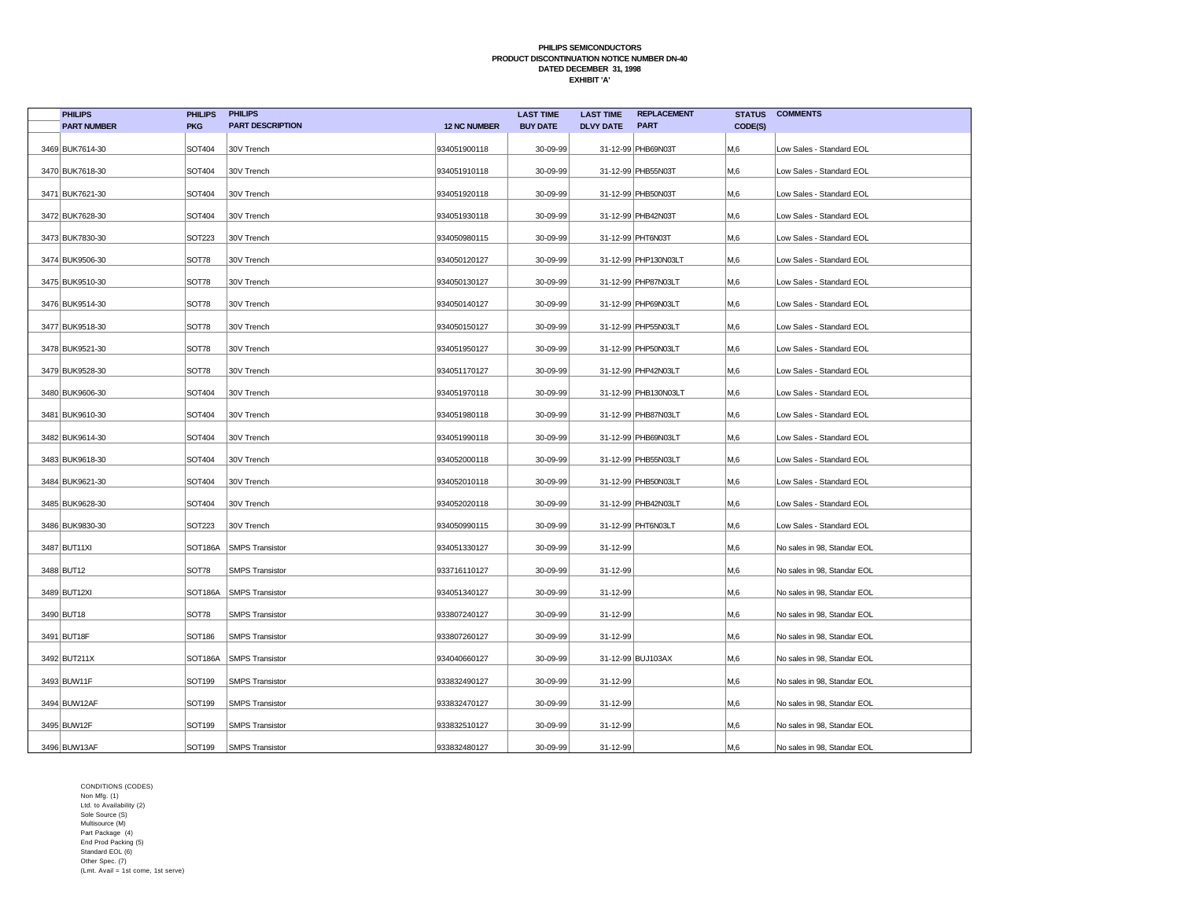| <b>PHILIPS</b>     | <b>PHILIPS</b> | <b>PHILIPS</b>          |                     | <b>LAST TIME</b> | <b>LAST TIME</b> | <b>REPLACEMENT</b>   | <b>STATUS</b> | <b>COMMENTS</b>             |
|--------------------|----------------|-------------------------|---------------------|------------------|------------------|----------------------|---------------|-----------------------------|
| <b>PART NUMBER</b> | <b>PKG</b>     | <b>PART DESCRIPTION</b> | <b>12 NC NUMBER</b> | <b>BUY DATE</b>  | <b>DLVY DATE</b> | <b>PART</b>          | CODE(S)       |                             |
| 3469 BUK7614-30    | <b>SOT404</b>  | 30V Trench              | 934051900118        | 30-09-99         |                  | 31-12-99 PHB69N03T   | M,6           | Low Sales - Standard EOL    |
| 3470 BUK7618-30    | <b>SOT404</b>  | 30V Trench              | 934051910118        | 30-09-99         |                  | 31-12-99 PHB55N03T   | M,6           | Low Sales - Standard EOL    |
| 3471 BUK7621-30    | SOT404         | 30V Trench              | 934051920118        | 30-09-99         |                  | 31-12-99 PHB50N03T   | M,6           | Low Sales - Standard EOL    |
| 3472 BUK7628-30    | <b>SOT404</b>  | 30V Trench              | 934051930118        | 30-09-99         |                  | 31-12-99 PHB42N03T   | M,6           | Low Sales - Standard EOL    |
| 3473 BUK7830-30    | SOT223         | 30V Trench              | 934050980115        | 30-09-99         |                  | 31-12-99 PHT6N03T    | M,6           | Low Sales - Standard EOL    |
| 3474 BUK9506-30    | <b>SOT78</b>   | 30V Trench              | 934050120127        | 30-09-99         |                  | 31-12-99 PHP130N03LT | M,6           | Low Sales - Standard EOL    |
| 3475 BUK9510-30    | SOT78          | 30V Trench              | 934050130127        | 30-09-99         |                  | 31-12-99 PHP87N03LT  | М,6           | Low Sales - Standard EOL    |
| 3476 BUK9514-30    | SOT78          | 30V Trench              | 934050140127        | 30-09-99         |                  | 31-12-99 PHP69N03LT  | M,6           | Low Sales - Standard EOL    |
| 3477 BUK9518-30    | SOT78          | 30V Trench              | 934050150127        | 30-09-99         |                  | 31-12-99 PHP55N03LT  | M,6           | Low Sales - Standard EOL    |
| 3478 BUK9521-30    | <b>SOT78</b>   | 30V Trench              | 934051950127        | 30-09-99         |                  | 31-12-99 PHP50N03LT  | M,6           | Low Sales - Standard EOL    |
| 3479 BUK9528-30    | SOT78          | 30V Trench              | 934051170127        | 30-09-99         |                  | 31-12-99 PHP42N03LT  | M,6           | Low Sales - Standard EOL    |
| 3480 BUK9606-30    | <b>SOT404</b>  | 30V Trench              | 934051970118        | 30-09-99         |                  | 31-12-99 PHB130N03LT | М,6           | Low Sales - Standard EOL    |
| 3481 BUK9610-30    | <b>SOT404</b>  | 30V Trench              | 934051980118        | 30-09-99         |                  | 31-12-99 PHB87N03LT  | M,6           | Low Sales - Standard EOL    |
| 3482 BUK9614-30    | <b>SOT404</b>  | 30V Trench              | 934051990118        | 30-09-99         |                  | 31-12-99 PHB69N03LT  | M,6           | Low Sales - Standard EOL    |
| 3483 BUK9618-30    | <b>SOT404</b>  | 30V Trench              | 934052000118        | 30-09-99         |                  | 31-12-99 PHB55N03LT  | M,6           | Low Sales - Standard EOL    |
| 3484 BUK9621-30    | SOT404         | 30V Trench              | 934052010118        | 30-09-99         |                  | 31-12-99 PHB50N03LT  | M.6           | Low Sales - Standard EOL    |
| 3485 BUK9628-30    | <b>SOT404</b>  | 30V Trench              | 934052020118        | 30-09-99         |                  | 31-12-99 PHB42N03LT  | M.6           | Low Sales - Standard EOL    |
| 3486 BUK9830-30    | SOT223         | 30V Trench              | 934050990115        | 30-09-99         |                  | 31-12-99 PHT6N03LT   | M,6           | Low Sales - Standard EOL    |
| 3487 BUT11XI       |                | SOT186A SMPS Transistor | 934051330127        | 30-09-99         | 31-12-99         |                      | M,6           | No sales in 98, Standar EOL |
| 3488 BUT12         | SOT78          | <b>SMPS Transistor</b>  | 933716110127        | 30-09-99         | 31-12-99         |                      | M,6           | No sales in 98, Standar EOL |
| 3489 BUT12XI       | SOT186A        | <b>SMPS Transistor</b>  | 934051340127        | 30-09-99         | 31-12-99         |                      | M,6           | No sales in 98, Standar EOL |
| 3490 BUT18         | SOT78          | <b>SMPS Transistor</b>  | 933807240127        | 30-09-99         | 31-12-99         |                      | M,6           | No sales in 98, Standar EOL |
| 3491 BUT18F        | SOT186         | <b>SMPS Transistor</b>  | 933807260127        | 30-09-99         | 31-12-99         |                      | M,6           | No sales in 98, Standar EOL |
| 3492 BUT211X       | SOT186A        | <b>SMPS Transistor</b>  | 934040660127        | 30-09-99         |                  | 31-12-99 BUJ103AX    | M,6           | No sales in 98, Standar EOL |
| 3493 BUW11F        | SOT199         | <b>SMPS Transistor</b>  | 933832490127        | 30-09-99         | 31-12-99         |                      | M,6           | No sales in 98, Standar EOL |
| 3494 BUW12AF       | SOT199         | <b>SMPS Transistor</b>  | 933832470127        | 30-09-99         | 31-12-99         |                      | M,6           | No sales in 98, Standar EOL |
| 3495 BUW12F        | SOT199         | <b>SMPS Transistor</b>  | 933832510127        | 30-09-99         | 31-12-99         |                      | M,6           | No sales in 98, Standar EOL |
| 3496 BUW13AF       | <b>SOT199</b>  | <b>SMPS Transistor</b>  | 933832480127        | 30-09-99         | 31-12-99         |                      | M.6           | No sales in 98, Standar EOL |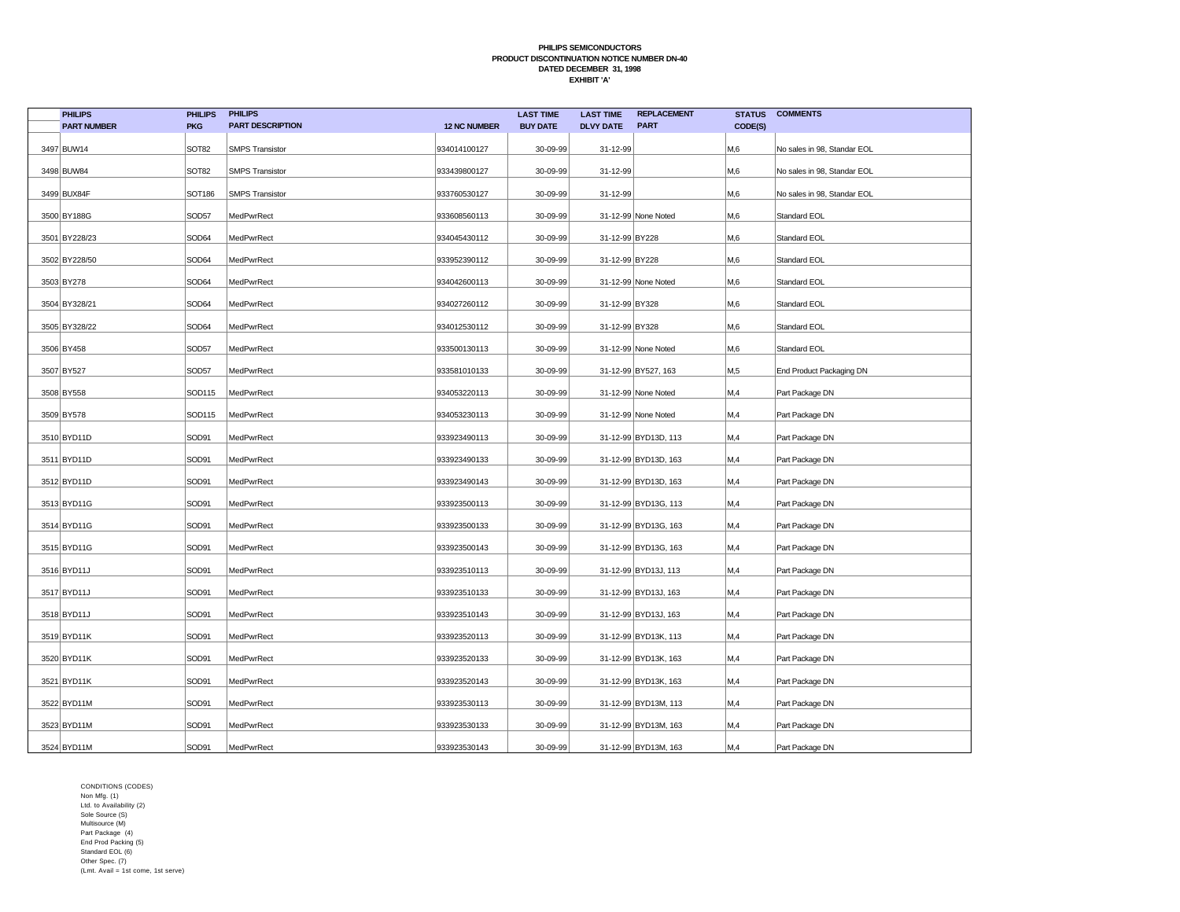| <b>PHILIPS</b>     | <b>PHILIPS</b>    | <b>PHILIPS</b>          |                     | <b>LAST TIME</b> | <b>LAST TIME</b> | <b>REPLACEMENT</b>   | <b>STATUS</b> | <b>COMMENTS</b>             |
|--------------------|-------------------|-------------------------|---------------------|------------------|------------------|----------------------|---------------|-----------------------------|
| <b>PART NUMBER</b> | <b>PKG</b>        | <b>PART DESCRIPTION</b> | <b>12 NC NUMBER</b> | <b>BUY DATE</b>  | <b>DLVY DATE</b> | <b>PART</b>          | CODE(S)       |                             |
| 3497 BUW14         | SOT82             | <b>SMPS Transistor</b>  | 934014100127        | 30-09-99         | 31-12-99         |                      | M,6           | No sales in 98, Standar EOL |
| 3498 BUW84         | SOT <sub>82</sub> | <b>SMPS Transistor</b>  | 933439800127        | 30-09-99         | 31-12-99         |                      | M,6           | No sales in 98, Standar EOL |
| 3499 BUX84F        | <b>SOT186</b>     | <b>SMPS Transistor</b>  | 933760530127        | 30-09-99         | 31-12-99         |                      | M,6           | No sales in 98, Standar EOL |
| 3500 BY188G        | SOD57             | MedPwrRect              | 933608560113        | 30-09-99         |                  | 31-12-99 None Noted  | M,6           | Standard EOL                |
| 3501 BY228/23      | SOD64             | MedPwrRect              | 934045430112        | 30-09-99         | 31-12-99 BY228   |                      | M,6           | Standard EOL                |
| 3502 BY228/50      | SOD64             | MedPwrRect              | 933952390112        | 30-09-99         | 31-12-99 BY228   |                      | M,6           | Standard EOL                |
| 3503 BY278         | SOD64             | MedPwrRect              | 934042600113        | 30-09-99         |                  | 31-12-99 None Noted  | M,6           | Standard EOL                |
| 3504 BY328/21      | SOD64             | MedPwrRect              | 934027260112        | 30-09-99         | 31-12-99 BY328   |                      | M,6           | Standard EOL                |
| 3505 BY328/22      | SOD64             | MedPwrRect              | 934012530112        | 30-09-99         | 31-12-99 BY328   |                      | M,6           | Standard EOL                |
| 3506 BY458         | SOD57             | MedPwrRect              | 933500130113        | 30-09-99         |                  | 31-12-99 None Noted  | M,6           | Standard EOL                |
| 3507 BY527         | SOD57             | MedPwrRect              | 933581010133        | 30-09-99         |                  | 31-12-99 BY527, 163  | M,5           | End Product Packaging DN    |
| 3508 BY558         | SOD115            | MedPwrRect              | 934053220113        | 30-09-99         |                  | 31-12-99 None Noted  | M,4           | Part Package DN             |
| 3509 BY578         | SOD115            | MedPwrRect              | 934053230113        | 30-09-99         |                  | 31-12-99 None Noted  | M,4           | Part Package DN             |
| 3510 BYD11D        | SOD91             | MedPwrRect              | 933923490113        | 30-09-99         |                  | 31-12-99 BYD13D, 113 | M,4           | Part Package DN             |
| 3511 BYD11D        | SOD91             | MedPwrRect              | 933923490133        | 30-09-99         |                  | 31-12-99 BYD13D, 163 | M,4           | Part Package DN             |
| 3512 BYD11D        | SOD91             | MedPwrRect              | 933923490143        | 30-09-99         |                  | 31-12-99 BYD13D, 163 | M,4           | Part Package DN             |
| 3513 BYD11G        | SOD91             | MedPwrRect              | 933923500113        | 30-09-99         |                  | 31-12-99 BYD13G, 113 | M,4           | Part Package DN             |
| 3514 BYD11G        | SOD91             | MedPwrRect              | 933923500133        | 30-09-99         |                  | 31-12-99 BYD13G, 163 | M,4           | Part Package DN             |
| 3515 BYD11G        | SOD91             | MedPwrRect              | 933923500143        | 30-09-99         |                  | 31-12-99 BYD13G, 163 | M,4           | Part Package DN             |
| 3516 BYD11J        | SOD91             | MedPwrRect              | 933923510113        | 30-09-99         |                  | 31-12-99 BYD13J, 113 | M,4           | Part Package DN             |
| 3517 BYD11J        | SOD91             | MedPwrRect              | 933923510133        | 30-09-99         |                  | 31-12-99 BYD13J, 163 | M,4           | Part Package DN             |
| 3518 BYD11J        | SOD91             | MedPwrRect              | 933923510143        | 30-09-99         |                  | 31-12-99 BYD13J, 163 | M,4           | Part Package DN             |
| 3519 BYD11K        | SOD91             | MedPwrRect              | 933923520113        | 30-09-99         |                  | 31-12-99 BYD13K, 113 | M,4           | Part Package DN             |
| 3520 BYD11K        | SOD91             | MedPwrRect              | 933923520133        | 30-09-99         |                  | 31-12-99 BYD13K, 163 | M,4           | Part Package DN             |
| 3521 BYD11K        | SOD91             | MedPwrRect              | 933923520143        | 30-09-99         |                  | 31-12-99 BYD13K, 163 | M,4           | Part Package DN             |
| 3522 BYD11M        | SOD91             | MedPwrRect              | 933923530113        | 30-09-99         |                  | 31-12-99 BYD13M, 113 | M,4           | Part Package DN             |
| 3523 BYD11M        | SOD91             | MedPwrRect              | 933923530133        | 30-09-99         |                  | 31-12-99 BYD13M, 163 | M,4           | Part Package DN             |
| 3524 BYD11M        | SOD91             | MedPwrRect              | 933923530143        | 30-09-99         |                  | 31-12-99 BYD13M, 163 | M,4           | Part Package DN             |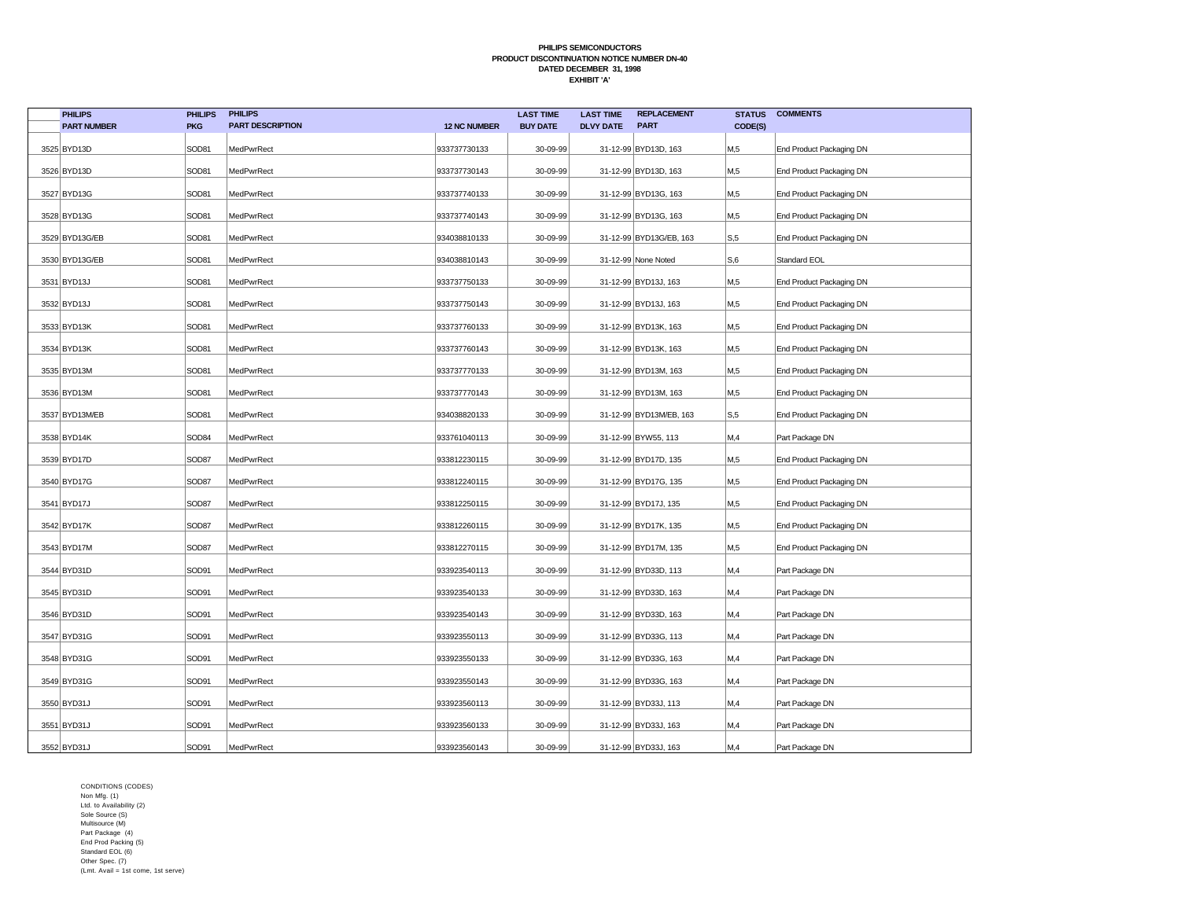| <b>PHILIPS</b>     | <b>PHILIPS</b>    | <b>PHILIPS</b>          |                     | <b>LAST TIME</b> | <b>LAST TIME</b> | <b>REPLACEMENT</b>      | <b>STATUS</b> | <b>COMMENTS</b>          |
|--------------------|-------------------|-------------------------|---------------------|------------------|------------------|-------------------------|---------------|--------------------------|
| <b>PART NUMBER</b> | <b>PKG</b>        | <b>PART DESCRIPTION</b> | <b>12 NC NUMBER</b> | <b>BUY DATE</b>  | <b>DLVY DATE</b> | <b>PART</b>             | CODE(S)       |                          |
| 3525 BYD13D        | SOD81             | MedPwrRect              | 933737730133        | 30-09-99         |                  | 31-12-99 BYD13D, 163    | M,5           | End Product Packaging DN |
| 3526 BYD13D        | SOD81             | MedPwrRect              | 933737730143        | 30-09-99         |                  | 31-12-99 BYD13D, 163    | M,5           | End Product Packaging DN |
| 3527 BYD13G        | SOD81             | MedPwrRect              | 933737740133        | 30-09-99         |                  | 31-12-99 BYD13G, 163    | M,5           | End Product Packaging DN |
| 3528 BYD13G        | SOD81             | MedPwrRect              | 933737740143        | 30-09-99         |                  | 31-12-99 BYD13G, 163    | M,5           | End Product Packaging DN |
| 3529 BYD13G/EB     | SOD81             | MedPwrRect              | 934038810133        | 30-09-99         |                  | 31-12-99 BYD13G/EB, 163 | S, 5          | End Product Packaging DN |
| 3530 BYD13G/EB     | SOD81             | MedPwrRect              | 934038810143        | 30-09-99         |                  | 31-12-99 None Noted     | S,6           | Standard EOL             |
| 3531 BYD13J        | SOD81             | MedPwrRect              | 933737750133        | 30-09-99         |                  | 31-12-99 BYD13J, 163    | M,5           | End Product Packaging DN |
| 3532 BYD13J        | SOD81             | MedPwrRect              | 933737750143        | 30-09-99         |                  | 31-12-99 BYD13J, 163    | M,5           | End Product Packaging DN |
| 3533 BYD13K        | SOD81             | MedPwrRect              | 933737760133        | 30-09-99         |                  | 31-12-99 BYD13K, 163    | M,5           | End Product Packaging DN |
| 3534 BYD13K        | SOD81             | MedPwrRect              | 933737760143        | 30-09-99         |                  | 31-12-99 BYD13K, 163    | M,5           | End Product Packaging DN |
| 3535 BYD13M        | SOD81             | MedPwrRect              | 933737770133        | 30-09-99         |                  | 31-12-99 BYD13M, 163    | M,5           | End Product Packaging DN |
| 3536 BYD13M        | SOD81             | MedPwrRect              | 933737770143        | 30-09-99         |                  | 31-12-99 BYD13M, 163    | M,5           | End Product Packaging DN |
| 3537 BYD13M/EB     | SOD81             | MedPwrRect              | 934038820133        | 30-09-99         |                  | 31-12-99 BYD13M/EB, 163 | S, 5          | End Product Packaging DN |
| 3538 BYD14K        | SOD <sub>84</sub> | MedPwrRect              | 933761040113        | 30-09-99         |                  | 31-12-99 BYW55, 113     | M,4           | Part Package DN          |
| 3539 BYD17D        | SOD87             | MedPwrRect              | 933812230115        | 30-09-99         |                  | 31-12-99 BYD17D, 135    | M,5           | End Product Packaging DN |
| 3540 BYD17G        | SOD87             | MedPwrRect              | 933812240115        | 30-09-99         |                  | 31-12-99 BYD17G, 135    | M,5           | End Product Packaging DN |
| 3541 BYD17J        | SOD87             | MedPwrRect              | 933812250115        | 30-09-99         |                  | 31-12-99 BYD17J, 135    | M,5           | End Product Packaging DN |
| 3542 BYD17K        | SOD87             | MedPwrRect              | 933812260115        | 30-09-99         |                  | 31-12-99 BYD17K, 135    | M,5           | End Product Packaging DN |
| 3543 BYD17M        | SOD87             | MedPwrRect              | 933812270115        | 30-09-99         |                  | 31-12-99 BYD17M, 135    | M,5           | End Product Packaging DN |
| 3544 BYD31D        | SOD91             | MedPwrRect              | 933923540113        | 30-09-99         |                  | 31-12-99 BYD33D, 113    | M,4           | Part Package DN          |
| 3545 BYD31D        | SOD91             | MedPwrRect              | 933923540133        | 30-09-99         |                  | 31-12-99 BYD33D, 163    | M,4           | Part Package DN          |
| 3546 BYD31D        | SOD91             | MedPwrRect              | 933923540143        | 30-09-99         |                  | 31-12-99 BYD33D, 163    | M,4           | Part Package DN          |
| 3547 BYD31G        | SOD91             | MedPwrRect              | 933923550113        | 30-09-99         |                  | 31-12-99 BYD33G, 113    | M,4           | Part Package DN          |
| 3548 BYD31G        | SOD91             | MedPwrRect              | 933923550133        | 30-09-99         |                  | 31-12-99 BYD33G, 163    | M,4           | Part Package DN          |
| 3549 BYD31G        | SOD91             | MedPwrRect              | 933923550143        | 30-09-99         |                  | 31-12-99 BYD33G, 163    | M,4           | Part Package DN          |
| 3550 BYD31J        | SOD91             | MedPwrRect              | 933923560113        | 30-09-99         |                  | 31-12-99 BYD33J, 113    | M,4           | Part Package DN          |
| 3551 BYD31J        | SOD91             | MedPwrRect              | 933923560133        | 30-09-99         |                  | 31-12-99 BYD33J, 163    | M,4           | Part Package DN          |
| 3552 BYD31J        | SOD91             | MedPwrRect              | 933923560143        | 30-09-99         |                  | 31-12-99 BYD33J, 163    | M,4           | Part Package DN          |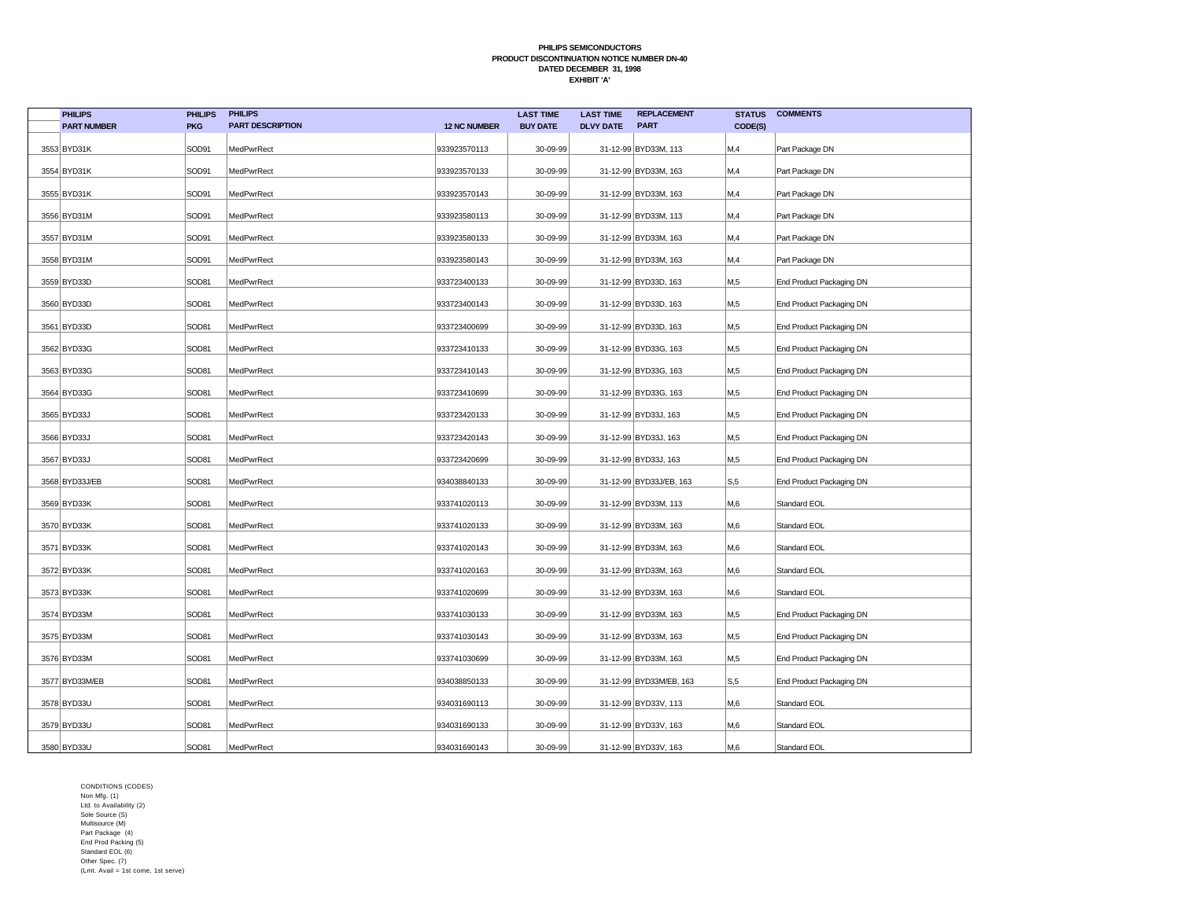| <b>PHILIPS</b>     | <b>PHILIPS</b> | <b>PHILIPS</b>          |                     | <b>LAST TIME</b> | <b>LAST TIME</b> | <b>REPLACEMENT</b>      | <b>STATUS</b>  | <b>COMMENTS</b>          |
|--------------------|----------------|-------------------------|---------------------|------------------|------------------|-------------------------|----------------|--------------------------|
| <b>PART NUMBER</b> | <b>PKG</b>     | <b>PART DESCRIPTION</b> | <b>12 NC NUMBER</b> | <b>BUY DATE</b>  | <b>DLVY DATE</b> | <b>PART</b>             | CODE(S)        |                          |
| 3553 BYD31K        | SOD91          | MedPwrRect              | 933923570113        | 30-09-99         |                  | 31-12-99 BYD33M, 113    | M,4            | Part Package DN          |
| 3554 BYD31K        | SOD91          | MedPwrRect              | 933923570133        | 30-09-99         |                  | 31-12-99 BYD33M, 163    | M,4            | Part Package DN          |
| 3555 BYD31K        | SOD91          | MedPwrRect              | 933923570143        | 30-09-99         |                  | 31-12-99 BYD33M, 163    | M,4            | Part Package DN          |
| 3556 BYD31M        | SOD91          | MedPwrRect              | 933923580113        | 30-09-99         |                  | 31-12-99 BYD33M, 113    | M,4            | Part Package DN          |
| 3557 BYD31M        | SOD91          | MedPwrRect              | 933923580133        | 30-09-99         |                  | 31-12-99 BYD33M, 163    | M,4            | Part Package DN          |
| 3558 BYD31M        | SOD91          | MedPwrRect              | 933923580143        | 30-09-99         |                  | 31-12-99 BYD33M, 163    | M,4            | Part Package DN          |
| 3559 BYD33D        | SOD81          | MedPwrRect              | 933723400133        | 30-09-99         |                  | 31-12-99 BYD33D, 163    | M,5            | End Product Packaging DN |
| 3560 BYD33D        | SOD81          | MedPwrRect              | 933723400143        | 30-09-99         |                  | 31-12-99 BYD33D, 163    | M,5            | End Product Packaging DN |
| 3561 BYD33D        | SOD81          | MedPwrRect              | 933723400699        | 30-09-99         |                  | 31-12-99 BYD33D, 163    | M,5            | End Product Packaging DN |
| 3562 BYD33G        | SOD81          | MedPwrRect              | 933723410133        | 30-09-99         |                  | 31-12-99 BYD33G, 163    | M,5            | End Product Packaging DN |
| 3563 BYD33G        | SOD81          | MedPwrRect              | 933723410143        | 30-09-99         |                  | 31-12-99 BYD33G, 163    | M,5            | End Product Packaging DN |
| 3564 BYD33G        | SOD81          | MedPwrRect              | 933723410699        | 30-09-99         |                  | 31-12-99 BYD33G, 163    | M,5            | End Product Packaging DN |
| 3565 BYD33J        | SOD81          | MedPwrRect              | 933723420133        | 30-09-99         |                  | 31-12-99 BYD33J, 163    | M,5            | End Product Packaging DN |
| 3566 BYD33J        | SOD81          | MedPwrRect              | 933723420143        | 30-09-99         |                  | 31-12-99 BYD33J, 163    | M,5            | End Product Packaging DN |
| 3567 BYD33J        | SOD81          | MedPwrRect              | 933723420699        | 30-09-99         |                  | 31-12-99 BYD33J, 163    | M,5            | End Product Packaging DN |
| 3568 BYD33J/EB     | SOD81          | MedPwrRect              | 934038840133        | 30-09-99         |                  | 31-12-99 BYD33J/EB, 163 | S, 5           | End Product Packaging DN |
| 3569 BYD33K        | SOD81          | MedPwrRect              | 933741020113        | 30-09-99         |                  | 31-12-99 BYD33M, 113    | M,6            | Standard EOL             |
| 3570 BYD33K        | SOD81          | MedPwrRect              | 933741020133        | 30-09-99         |                  | 31-12-99 BYD33M, 163    | M,6            | Standard EOL             |
| 3571 BYD33K        | SOD81          | MedPwrRect              | 933741020143        | 30-09-99         |                  | 31-12-99 BYD33M, 163    | M,6            | Standard EOL             |
| 3572 BYD33K        | SOD81          | MedPwrRect              | 933741020163        | 30-09-99         |                  | 31-12-99 BYD33M, 163    | M,6            | Standard EOL             |
| 3573 BYD33K        | SOD81          | MedPwrRect              | 933741020699        | 30-09-99         |                  | 31-12-99 BYD33M, 163    | M,6            | Standard EOL             |
| 3574 BYD33M        | SOD81          | MedPwrRect              | 933741030133        | 30-09-99         |                  | 31-12-99 BYD33M, 163    | M,5            | End Product Packaging DN |
| 3575 BYD33M        | SOD81          | MedPwrRect              | 933741030143        | 30-09-99         |                  | 31-12-99 BYD33M, 163    | M,5            | End Product Packaging DN |
| 3576 BYD33M        | SOD81          | MedPwrRect              | 933741030699        | 30-09-99         |                  | 31-12-99 BYD33M, 163    | M,5            | End Product Packaging DN |
| 3577 BYD33M/EB     | SOD81          | MedPwrRect              | 934038850133        | 30-09-99         |                  | 31-12-99 BYD33M/EB, 163 | S, 5           | End Product Packaging DN |
| 3578 BYD33U        | SOD81          | MedPwrRect              | 934031690113        | 30-09-99         |                  | 31-12-99 BYD33V, 113    | M,6            | Standard EOL             |
| 3579 BYD33U        | SOD81          | MedPwrRect              | 934031690133        | 30-09-99         |                  | 31-12-99 BYD33V, 163    | M,6            | Standard EOL             |
| 3580 BYD33U        | SOD81          | MedPwrRect              | 934031690143        | 30-09-99         |                  | 31-12-99 BYD33V, 163    | M <sub>0</sub> | Standard EOL             |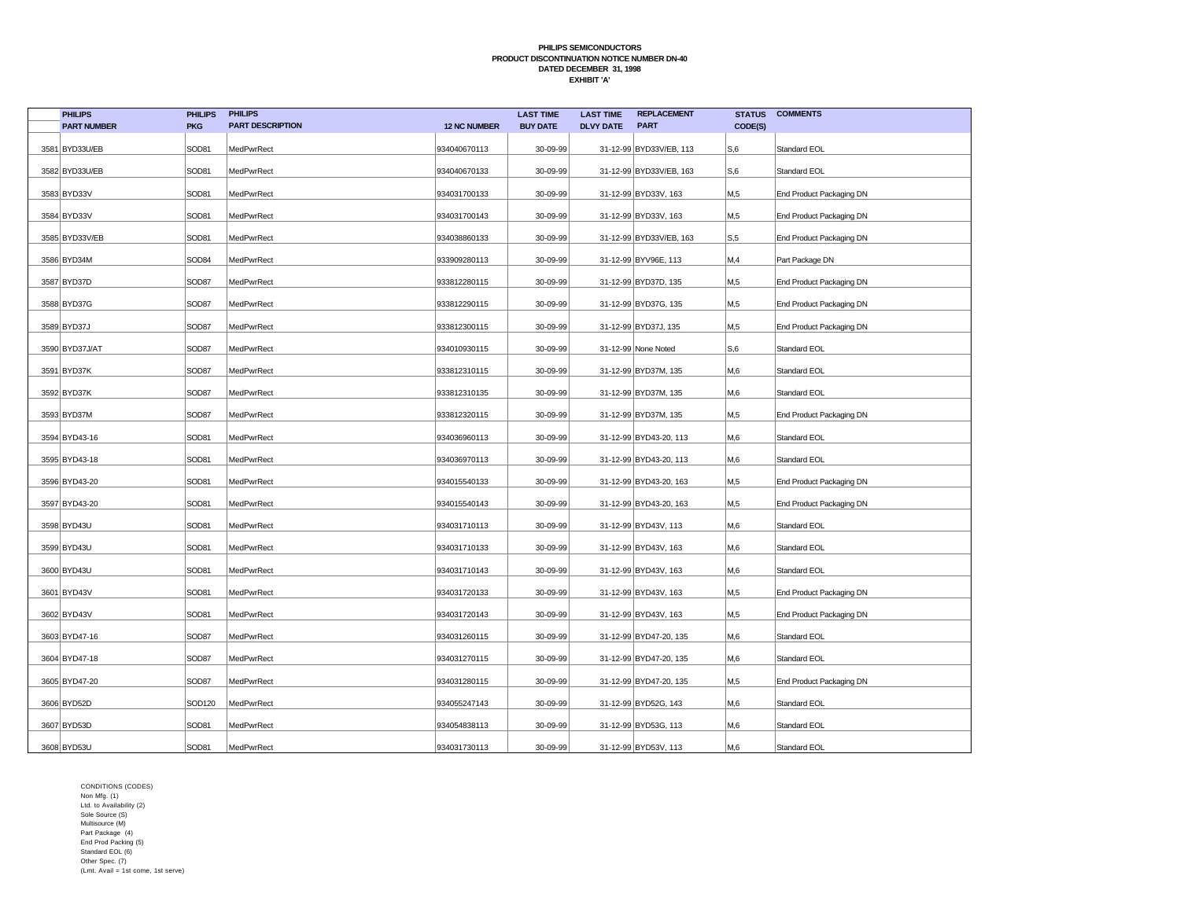| <b>PHILIPS</b>     | <b>PHILIPS</b> | <b>PHILIPS</b>          |                     | <b>LAST TIME</b> | <b>LAST TIME</b> | <b>REPLACEMENT</b>      | <b>STATUS</b> | <b>COMMENTS</b>          |
|--------------------|----------------|-------------------------|---------------------|------------------|------------------|-------------------------|---------------|--------------------------|
| <b>PART NUMBER</b> | <b>PKG</b>     | <b>PART DESCRIPTION</b> | <b>12 NC NUMBER</b> | <b>BUY DATE</b>  | <b>DLVY DATE</b> | <b>PART</b>             | CODE(S)       |                          |
| 3581 BYD33U/EB     | SOD81          | MedPwrRect              | 934040670113        | 30-09-99         |                  | 31-12-99 BYD33V/EB, 113 | S,6           | Standard EOL             |
| 3582 BYD33U/EB     | SOD81          | MedPwrRect              | 934040670133        | 30-09-99         |                  | 31-12-99 BYD33V/EB, 163 | S,6           | Standard EOL             |
| 3583 BYD33V        | SOD81          | MedPwrRect              | 934031700133        | 30-09-99         |                  | 31-12-99 BYD33V, 163    | M,5           | End Product Packaging DN |
| 3584 BYD33V        | SOD81          | MedPwrRect              | 934031700143        | 30-09-99         |                  | 31-12-99 BYD33V, 163    | M,5           | End Product Packaging DN |
| 3585 BYD33V/EB     | SOD81          | MedPwrRect              | 934038860133        | 30-09-99         |                  | 31-12-99 BYD33V/EB, 163 | S, 5          | End Product Packaging DN |
| 3586 BYD34M        | SOD84          | MedPwrRect              | 933909280113        | 30-09-99         |                  | 31-12-99 BYV96E, 113    | M,4           | Part Package DN          |
| 3587 BYD37D        | SOD87          | MedPwrRect              | 933812280115        | 30-09-99         |                  | 31-12-99 BYD37D, 135    | M,5           | End Product Packaging DN |
| 3588 BYD37G        | SOD87          | MedPwrRect              | 933812290115        | 30-09-99         |                  | 31-12-99 BYD37G, 135    | M,5           | End Product Packaging DN |
| 3589 BYD37J        | SOD87          | MedPwrRect              | 933812300115        | 30-09-99         |                  | 31-12-99 BYD37J, 135    | M,5           | End Product Packaging DN |
| 3590 BYD37J/AT     | SOD87          | MedPwrRect              | 934010930115        | 30-09-99         |                  | 31-12-99 None Noted     | S,6           | Standard EOL             |
| 3591 BYD37K        | SOD87          | MedPwrRect              | 933812310115        | 30-09-99         |                  | 31-12-99 BYD37M, 135    | M,6           | Standard EOL             |
| 3592 BYD37K        | SOD87          | MedPwrRect              | 933812310135        | 30-09-99         |                  | 31-12-99 BYD37M, 135    | M,6           | Standard EOL             |
| 3593 BYD37M        | SOD87          | MedPwrRect              | 933812320115        | 30-09-99         |                  | 31-12-99 BYD37M, 135    | M,5           | End Product Packaging DN |
| 3594 BYD43-16      | SOD81          | MedPwrRect              | 934036960113        | 30-09-99         |                  | 31-12-99 BYD43-20, 113  | M,6           | Standard EOL             |
| 3595 BYD43-18      | SOD81          | MedPwrRect              | 934036970113        | 30-09-99         |                  | 31-12-99 BYD43-20, 113  | M,6           | Standard EOL             |
| 3596 BYD43-20      | SOD81          | MedPwrRect              | 934015540133        | 30-09-99         |                  | 31-12-99 BYD43-20, 163  | M,5           | End Product Packaging DN |
| 3597 BYD43-20      | SOD81          | MedPwrRect              | 934015540143        | 30-09-99         |                  | 31-12-99 BYD43-20, 163  | M,5           | End Product Packaging DN |
| 3598 BYD43U        | SOD81          | MedPwrRect              | 934031710113        | 30-09-99         |                  | 31-12-99 BYD43V, 113    | M,6           | Standard EOL             |
| 3599 BYD43U        | SOD81          | MedPwrRect              | 934031710133        | 30-09-99         |                  | 31-12-99 BYD43V, 163    | M,6           | Standard EOL             |
| 3600 BYD43U        | SOD81          | MedPwrRect              | 934031710143        | 30-09-99         |                  | 31-12-99 BYD43V, 163    | M,6           | Standard EOL             |
| 3601 BYD43V        | SOD81          | MedPwrRect              | 934031720133        | 30-09-99         |                  | 31-12-99 BYD43V, 163    | M,5           | End Product Packaging DN |
| 3602 BYD43V        | SOD81          | MedPwrRect              | 934031720143        | 30-09-99         |                  | 31-12-99 BYD43V, 163    | M,5           | End Product Packaging DN |
| 3603 BYD47-16      | SOD87          | MedPwrRect              | 934031260115        | 30-09-99         |                  | 31-12-99 BYD47-20, 135  | M,6           | Standard EOL             |
| 3604 BYD47-18      | SOD87          | MedPwrRect              | 934031270115        | 30-09-99         |                  | 31-12-99 BYD47-20, 135  | M,6           | Standard EOL             |
| 3605 BYD47-20      | SOD87          | MedPwrRect              | 934031280115        | 30-09-99         |                  | 31-12-99 BYD47-20, 135  | M,5           | End Product Packaging DN |
| 3606 BYD52D        | SOD120         | MedPwrRect              | 934055247143        | 30-09-99         |                  | 31-12-99 BYD52G, 143    | M,6           | Standard EOL             |
| 3607 BYD53D        | SOD81          | MedPwrRect              | 934054838113        | 30-09-99         |                  | 31-12-99 BYD53G, 113    | M,6           | Standard EOL             |
| 3608 BYD53U        | SOD81          | MedPwrRect              | 934031730113        | 30-09-99         |                  | 31-12-99 BYD53V, 113    | M,6           | Standard EOL             |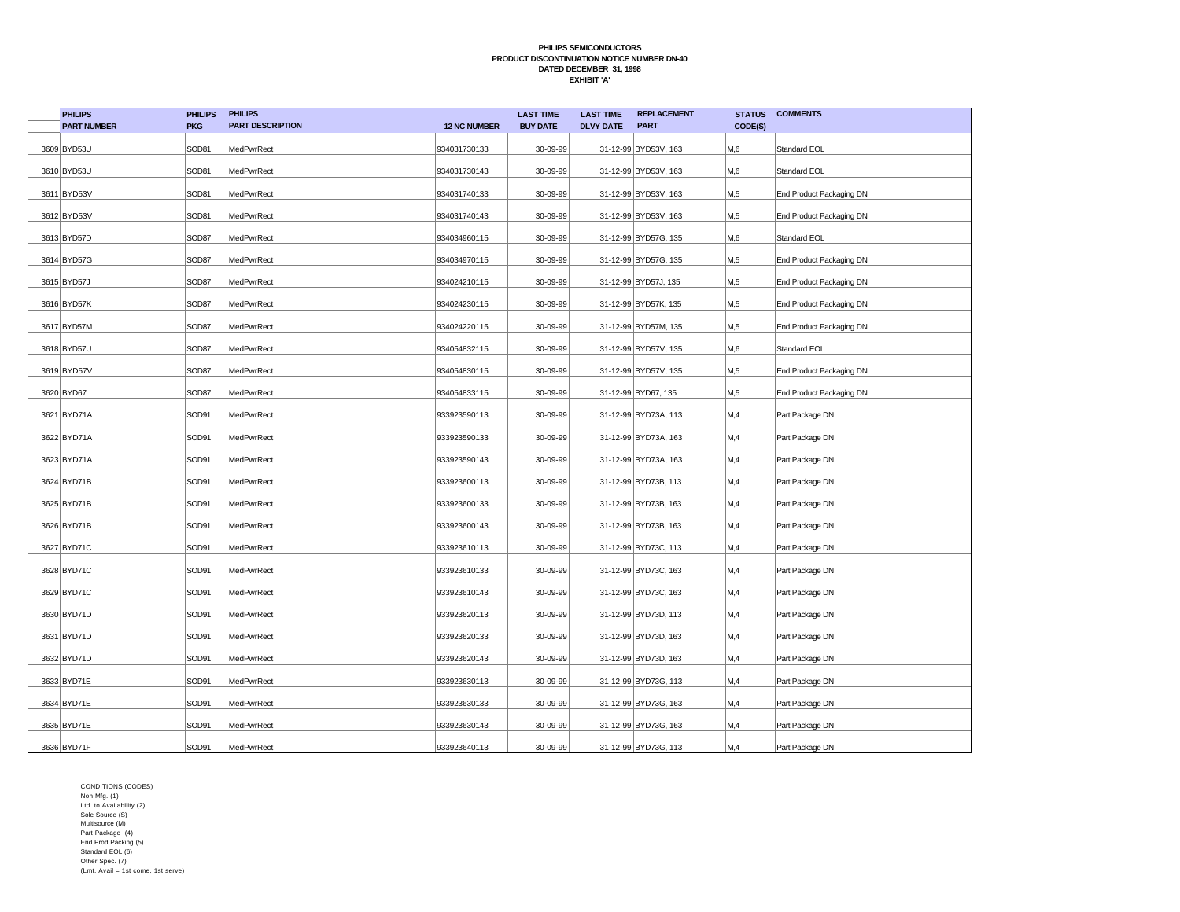| <b>PHILIPS</b>     | <b>PHILIPS</b> | <b>PHILIPS</b>          |                     | <b>LAST TIME</b> | <b>LAST TIME</b> | <b>REPLACEMENT</b>   | <b>STATUS</b>    | <b>COMMENTS</b>          |
|--------------------|----------------|-------------------------|---------------------|------------------|------------------|----------------------|------------------|--------------------------|
| <b>PART NUMBER</b> | <b>PKG</b>     | <b>PART DESCRIPTION</b> | <b>12 NC NUMBER</b> | <b>BUY DATE</b>  | <b>DLVY DATE</b> | <b>PART</b>          | CODE(S)          |                          |
| 3609 BYD53U        | SOD81          | MedPwrRect              | 934031730133        | 30-09-99         |                  | 31-12-99 BYD53V, 163 | M,6              | Standard EOL             |
| 3610 BYD53U        | SOD81          | MedPwrRect              | 934031730143        | 30-09-99         |                  | 31-12-99 BYD53V, 163 | M,6              | Standard EOL             |
| 3611 BYD53V        | SOD81          | MedPwrRect              | 934031740133        | 30-09-99         |                  | 31-12-99 BYD53V, 163 | M <sub>0.5</sub> | End Product Packaging DN |
| 3612 BYD53V        | SOD81          | MedPwrRect              | 934031740143        | 30-09-99         |                  | 31-12-99 BYD53V, 163 | M <sub>0.5</sub> | End Product Packaging DN |
| 3613 BYD57D        | SOD87          | MedPwrRect              | 934034960115        | 30-09-99         |                  | 31-12-99 BYD57G, 135 | M <sub>0</sub>   | Standard EOL             |
| 3614 BYD57G        | SOD87          | MedPwrRect              | 934034970115        | 30-09-99         |                  | 31-12-99 BYD57G, 135 | M,5              | End Product Packaging DN |
| 3615 BYD57J        | SOD87          | MedPwrRect              | 934024210115        | 30-09-99         |                  | 31-12-99 BYD57J, 135 | M,5              | End Product Packaging DN |
| 3616 BYD57K        | SOD87          | MedPwrRect              | 934024230115        | 30-09-99         |                  | 31-12-99 BYD57K, 135 | M,5              | End Product Packaging DN |
| 3617 BYD57M        | SOD87          | MedPwrRect              | 934024220115        | 30-09-99         |                  | 31-12-99 BYD57M, 135 | M,5              | End Product Packaging DN |
| 3618 BYD57U        | SOD87          | MedPwrRect              | 934054832115        | 30-09-99         |                  | 31-12-99 BYD57V, 135 | M,6              | Standard EOL             |
| 3619 BYD57V        | SOD87          | MedPwrRect              | 934054830115        | 30-09-99         |                  | 31-12-99 BYD57V, 135 | M,5              | End Product Packaging DN |
| 3620 BYD67         | SOD87          | MedPwrRect              | 934054833115        | 30-09-99         |                  | 31-12-99 BYD67, 135  | M,5              | End Product Packaging DN |
| 3621 BYD71A        | SOD91          | MedPwrRect              | 933923590113        | 30-09-99         |                  | 31-12-99 BYD73A, 113 | M,4              | Part Package DN          |
| 3622 BYD71A        | SOD91          | MedPwrRect              | 933923590133        | 30-09-99         |                  | 31-12-99 BYD73A, 163 | M,4              | Part Package DN          |
| 3623 BYD71A        | SOD91          | MedPwrRect              | 933923590143        | 30-09-99         |                  | 31-12-99 BYD73A, 163 | M,4              | Part Package DN          |
| 3624 BYD71B        | SOD91          | MedPwrRect              | 933923600113        | 30-09-99         |                  | 31-12-99 BYD73B, 113 | M,4              | Part Package DN          |
| 3625 BYD71B        | SOD91          | MedPwrRect              | 933923600133        | 30-09-99         |                  | 31-12-99 BYD73B, 163 | M,4              | Part Package DN          |
| 3626 BYD71B        | SOD91          | MedPwrRect              | 933923600143        | 30-09-99         |                  | 31-12-99 BYD73B, 163 | M,4              | Part Package DN          |
| 3627 BYD71C        | SOD91          | MedPwrRect              | 933923610113        | 30-09-99         |                  | 31-12-99 BYD73C, 113 | M,4              | Part Package DN          |
| 3628 BYD71C        | SOD91          | MedPwrRect              | 933923610133        | 30-09-99         |                  | 31-12-99 BYD73C, 163 | M,4              | Part Package DN          |
| 3629 BYD71C        | SOD91          | MedPwrRect              | 933923610143        | 30-09-99         |                  | 31-12-99 BYD73C, 163 | M,4              | Part Package DN          |
| 3630 BYD71D        | SOD91          | MedPwrRect              | 933923620113        | 30-09-99         |                  | 31-12-99 BYD73D, 113 | M,4              | Part Package DN          |
| 3631 BYD71D        | SOD91          | MedPwrRect              | 933923620133        | 30-09-99         |                  | 31-12-99 BYD73D, 163 | M,4              | Part Package DN          |
| 3632 BYD71D        | SOD91          | MedPwrRect              | 933923620143        | 30-09-99         |                  | 31-12-99 BYD73D, 163 | M,4              | Part Package DN          |
| 3633 BYD71E        | SOD91          | MedPwrRect              | 933923630113        | 30-09-99         |                  | 31-12-99 BYD73G, 113 | M,4              | Part Package DN          |
| 3634 BYD71E        | SOD91          | MedPwrRect              | 933923630133        | 30-09-99         |                  | 31-12-99 BYD73G, 163 | M,4              | Part Package DN          |
| 3635 BYD71E        | SOD91          | MedPwrRect              | 933923630143        | 30-09-99         |                  | 31-12-99 BYD73G, 163 | M,4              | Part Package DN          |
| 3636 BYD71F        | SOD91          | MedPwrRect              | 933923640113        | 30-09-99         |                  | 31-12-99 BYD73G, 113 | M,4              | Part Package DN          |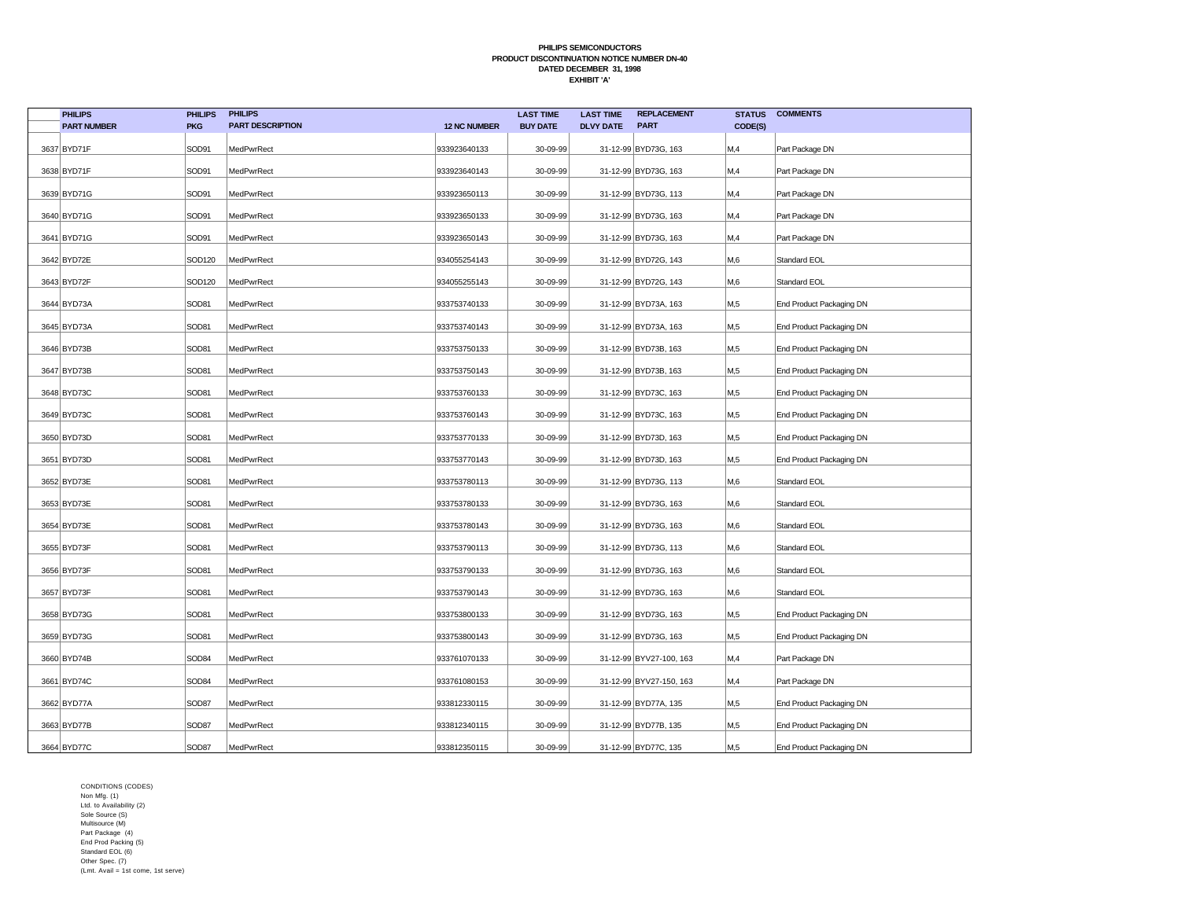| <b>PHILIPS</b>     | <b>PHILIPS</b>    | <b>PHILIPS</b>          |                     | <b>LAST TIME</b> | <b>LAST TIME</b> | <b>REPLACEMENT</b>      | <b>STATUS</b> | <b>COMMENTS</b>          |
|--------------------|-------------------|-------------------------|---------------------|------------------|------------------|-------------------------|---------------|--------------------------|
| <b>PART NUMBER</b> | <b>PKG</b>        | <b>PART DESCRIPTION</b> | <b>12 NC NUMBER</b> | <b>BUY DATE</b>  | <b>DLVY DATE</b> | <b>PART</b>             | CODE(S)       |                          |
| 3637 BYD71F        | SOD91             | MedPwrRect              | 933923640133        | 30-09-99         |                  | 31-12-99 BYD73G, 163    | M,4           | Part Package DN          |
| 3638 BYD71F        | SOD91             | MedPwrRect              | 933923640143        | 30-09-99         |                  | 31-12-99 BYD73G, 163    | M,4           | Part Package DN          |
| 3639 BYD71G        | SOD91             | MedPwrRect              | 933923650113        | 30-09-99         |                  | 31-12-99 BYD73G, 113    | M,4           | Part Package DN          |
| 3640 BYD71G        | SOD91             | MedPwrRect              | 933923650133        | 30-09-99         |                  | 31-12-99 BYD73G, 163    | M,4           | Part Package DN          |
| 3641 BYD71G        | SOD91             | MedPwrRect              | 933923650143        | 30-09-99         |                  | 31-12-99 BYD73G, 163    | M,4           | Part Package DN          |
| 3642 BYD72E        | SOD120            | MedPwrRect              | 934055254143        | 30-09-99         |                  | 31-12-99 BYD72G, 143    | M,6           | Standard EOL             |
| 3643 BYD72F        | SOD120            | MedPwrRect              | 934055255143        | 30-09-99         |                  | 31-12-99 BYD72G, 143    | M,6           | Standard EOL             |
| 3644 BYD73A        | SOD81             | MedPwrRect              | 933753740133        | 30-09-99         |                  | 31-12-99 BYD73A, 163    | M,5           | End Product Packaging DN |
| 3645 BYD73A        | SOD81             | MedPwrRect              | 933753740143        | 30-09-99         |                  | 31-12-99 BYD73A, 163    | M,5           | End Product Packaging DN |
| 3646 BYD73B        | SOD81             | MedPwrRect              | 933753750133        | 30-09-99         |                  | 31-12-99 BYD73B, 163    | M,5           | End Product Packaging DN |
| 3647 BYD73B        | SOD81             | MedPwrRect              | 933753750143        | 30-09-99         |                  | 31-12-99 BYD73B, 163    | M,5           | End Product Packaging DN |
| 3648 BYD73C        | SOD81             | MedPwrRect              | 933753760133        | 30-09-99         |                  | 31-12-99 BYD73C, 163    | M,5           | End Product Packaging DN |
| 3649 BYD73C        | SOD81             | MedPwrRect              | 933753760143        | 30-09-99         |                  | 31-12-99 BYD73C, 163    | M,5           | End Product Packaging DN |
| 3650 BYD73D        | SOD81             | MedPwrRect              | 933753770133        | 30-09-99         |                  | 31-12-99 BYD73D, 163    | M,5           | End Product Packaging DN |
| 3651 BYD73D        | SOD81             | MedPwrRect              | 933753770143        | 30-09-99         |                  | 31-12-99 BYD73D, 163    | M,5           | End Product Packaging DN |
| 3652 BYD73E        | SOD81             | MedPwrRect              | 933753780113        | 30-09-99         |                  | 31-12-99 BYD73G, 113    | M,6           | Standard EOL             |
| 3653 BYD73E        | SOD81             | MedPwrRect              | 933753780133        | 30-09-99         |                  | 31-12-99 BYD73G, 163    | M,6           | Standard EOL             |
| 3654 BYD73E        | SOD81             | MedPwrRect              | 933753780143        | 30-09-99         |                  | 31-12-99 BYD73G, 163    | M,6           | Standard EOL             |
| 3655 BYD73F        | SOD81             | MedPwrRect              | 933753790113        | 30-09-99         |                  | 31-12-99 BYD73G, 113    | M,6           | Standard EOL             |
| 3656 BYD73F        | SOD81             | MedPwrRect              | 933753790133        | 30-09-99         |                  | 31-12-99 BYD73G, 163    | M,6           | Standard EOL             |
| 3657 BYD73F        | SOD81             | MedPwrRect              | 933753790143        | 30-09-99         |                  | 31-12-99 BYD73G, 163    | M,6           | Standard EOL             |
| 3658 BYD73G        | SOD81             | MedPwrRect              | 933753800133        | 30-09-99         |                  | 31-12-99 BYD73G, 163    | M,5           | End Product Packaging DN |
| 3659 BYD73G        | SOD81             | MedPwrRect              | 933753800143        | 30-09-99         |                  | 31-12-99 BYD73G, 163    | M,5           | End Product Packaging DN |
| 3660 BYD74B        | SOD84             | MedPwrRect              | 933761070133        | 30-09-99         |                  | 31-12-99 BYV27-100, 163 | M,4           | Part Package DN          |
| 3661 BYD74C        | SOD <sub>84</sub> | MedPwrRect              | 933761080153        | 30-09-99         |                  | 31-12-99 BYV27-150, 163 | M,4           | Part Package DN          |
| 3662 BYD77A        | SOD87             | MedPwrRect              | 933812330115        | 30-09-99         |                  | 31-12-99 BYD77A, 135    | M,5           | End Product Packaging DN |
| 3663 BYD77B        | SOD87             | MedPwrRect              | 933812340115        | 30-09-99         |                  | 31-12-99 BYD77B, 135    | M,5           | End Product Packaging DN |
| 3664 BYD77C        | SOD87             | MedPwrRect              | 933812350115        | 30-09-99         |                  | 31-12-99 BYD77C, 135    | M,5           | End Product Packaging DN |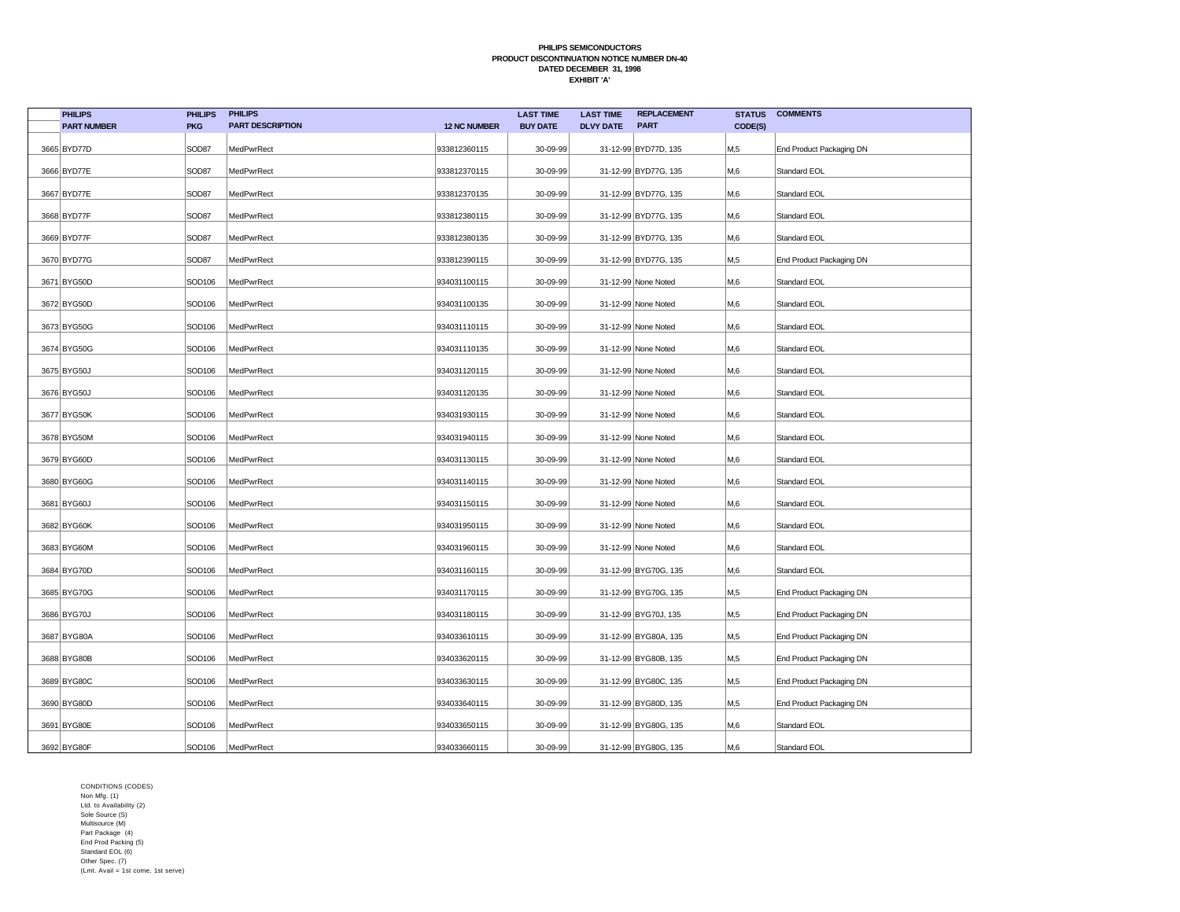| <b>PHILIPS</b>     | <b>PHILIPS</b> | <b>PHILIPS</b>          |                     | <b>LAST TIME</b> | <b>LAST TIME</b> | <b>REPLACEMENT</b>   | <b>STATUS</b> | <b>COMMENTS</b>          |
|--------------------|----------------|-------------------------|---------------------|------------------|------------------|----------------------|---------------|--------------------------|
| <b>PART NUMBER</b> | <b>PKG</b>     | <b>PART DESCRIPTION</b> | <b>12 NC NUMBER</b> | <b>BUY DATE</b>  | <b>DLVY DATE</b> | <b>PART</b>          | CODE(S)       |                          |
| 3665 BYD77D        | SOD87          | MedPwrRect              | 933812360115        | 30-09-99         |                  | 31-12-99 BYD77D, 135 | M,5           | End Product Packaging DN |
| 3666 BYD77E        | SOD87          | MedPwrRect              | 933812370115        | 30-09-99         |                  | 31-12-99 BYD77G, 135 | M,6           | Standard EOL             |
| 3667 BYD77E        | SOD87          | MedPwrRect              | 933812370135        | 30-09-99         |                  | 31-12-99 BYD77G, 135 | M,6           | Standard EOL             |
| 3668 BYD77F        | SOD87          | MedPwrRect              | 933812380115        | 30-09-99         |                  | 31-12-99 BYD77G, 135 | M,6           | Standard EOL             |
| 3669 BYD77F        | SOD87          | MedPwrRect              | 933812380135        | 30-09-99         |                  | 31-12-99 BYD77G, 135 | M,6           | Standard EOL             |
| 3670 BYD77G        | SOD87          | MedPwrRect              | 933812390115        | 30-09-99         |                  | 31-12-99 BYD77G, 135 | M,5           | End Product Packaging DN |
| 3671 BYG50D        | SOD106         | MedPwrRect              | 934031100115        | 30-09-99         |                  | 31-12-99 None Noted  | M,6           | Standard EOL             |
| 3672 BYG50D        | SOD106         | MedPwrRect              | 934031100135        | 30-09-99         |                  | 31-12-99 None Noted  | M,6           | Standard EOL             |
| 3673 BYG50G        | SOD106         | MedPwrRect              | 934031110115        | 30-09-99         |                  | 31-12-99 None Noted  | M,6           | Standard EOL             |
| 3674 BYG50G        | SOD106         | MedPwrRect              | 934031110135        | 30-09-99         |                  | 31-12-99 None Noted  | M,6           | Standard EOL             |
| 3675 BYG50J        | SOD106         | MedPwrRect              | 934031120115        | 30-09-99         |                  | 31-12-99 None Noted  | M,6           | Standard EOL             |
| 3676 BYG50J        | SOD106         | MedPwrRect              | 934031120135        | 30-09-99         |                  | 31-12-99 None Noted  | M,6           | Standard EOL             |
| 3677 BYG50K        | SOD106         | MedPwrRect              | 934031930115        | 30-09-99         |                  | 31-12-99 None Noted  | M,6           | Standard EOL             |
| 3678 BYG50M        | SOD106         | MedPwrRect              | 934031940115        | 30-09-99         |                  | 31-12-99 None Noted  | M,6           | Standard EOL             |
| 3679 BYG60D        | SOD106         | MedPwrRect              | 934031130115        | 30-09-99         |                  | 31-12-99 None Noted  | M,6           | Standard EOL             |
| 3680 BYG60G        | SOD106         | MedPwrRect              | 934031140115        | 30-09-99         |                  | 31-12-99 None Noted  | M,6           | Standard EOL             |
| 3681 BYG60J        | SOD106         | MedPwrRect              | 934031150115        | 30-09-99         |                  | 31-12-99 None Noted  | M,6           | Standard EOL             |
| 3682 BYG60K        | SOD106         | MedPwrRect              | 934031950115        | 30-09-99         |                  | 31-12-99 None Noted  | M,6           | Standard EOL             |
| 3683 BYG60M        | SOD106         | MedPwrRect              | 934031960115        | 30-09-99         |                  | 31-12-99 None Noted  | M,6           | Standard EOL             |
| 3684 BYG70D        | SOD106         | MedPwrRect              | 934031160115        | 30-09-99         |                  | 31-12-99 BYG70G, 135 | M,6           | Standard EOL             |
| 3685 BYG70G        | SOD106         | MedPwrRect              | 934031170115        | 30-09-99         |                  | 31-12-99 BYG70G, 135 | M,5           | End Product Packaging DN |
| 3686 BYG70J        | SOD106         | MedPwrRect              | 934031180115        | 30-09-99         |                  | 31-12-99 BYG70J, 135 | M,5           | End Product Packaging DN |
| 3687 BYG80A        | SOD106         | MedPwrRect              | 934033610115        | 30-09-99         |                  | 31-12-99 BYG80A, 135 | M,5           | End Product Packaging DN |
| 3688 BYG80B        | SOD106         | MedPwrRect              | 934033620115        | 30-09-99         |                  | 31-12-99 BYG80B, 135 | M,5           | End Product Packaging DN |
| 3689 BYG80C        | SOD106         | MedPwrRect              | 934033630115        | 30-09-99         |                  | 31-12-99 BYG80C, 135 | M,5           | End Product Packaging DN |
| 3690 BYG80D        | SOD106         | MedPwrRect              | 934033640115        | 30-09-99         |                  | 31-12-99 BYG80D, 135 | M,5           | End Product Packaging DN |
| 3691 BYG80E        | SOD106         | MedPwrRect              | 934033650115        | 30-09-99         |                  | 31-12-99 BYG80G, 135 | M,6           | Standard EOL             |
| 3692 BYG80F        | SOD106         | MedPwrRect              | 934033660115        | 30-09-99         |                  | 31-12-99 BYG80G, 135 | M,6           | Standard EOL             |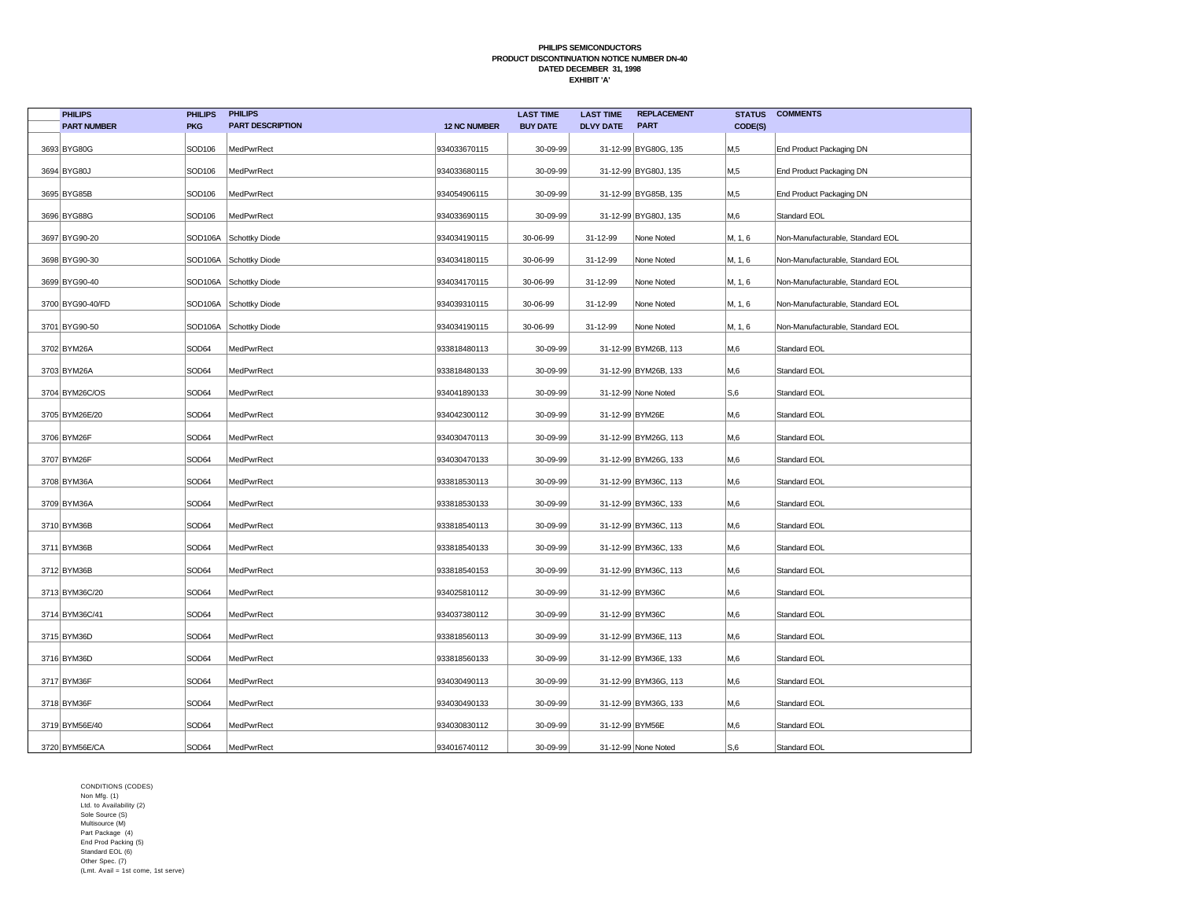| <b>PHILIPS</b>     | <b>PHILIPS</b> | <b>PHILIPS</b>          |                     | <b>LAST TIME</b> | <b>LAST TIME</b> | <b>REPLACEMENT</b>   | <b>STATUS</b> | <b>COMMENTS</b>                  |
|--------------------|----------------|-------------------------|---------------------|------------------|------------------|----------------------|---------------|----------------------------------|
| <b>PART NUMBER</b> | <b>PKG</b>     | <b>PART DESCRIPTION</b> | <b>12 NC NUMBER</b> | <b>BUY DATE</b>  | <b>DLVY DATE</b> | <b>PART</b>          | CODE(S)       |                                  |
| 3693 BYG80G        | SOD106         | MedPwrRect              | 934033670115        | 30-09-99         |                  | 31-12-99 BYG80G, 135 | M,5           | End Product Packaging DN         |
| 3694 BYG80J        | SOD106         | MedPwrRect              | 934033680115        | 30-09-99         |                  | 31-12-99 BYG80J, 135 | M,5           | End Product Packaging DN         |
| 3695 BYG85B        | SOD106         | MedPwrRect              | 934054906115        | 30-09-99         |                  | 31-12-99 BYG85B, 135 | M,5           | End Product Packaging DN         |
| 3696 BYG88G        | SOD106         | MedPwrRect              | 934033690115        | 30-09-99         |                  | 31-12-99 BYG80J, 135 | M,6           | Standard EOL                     |
| 3697 BYG90-20      | SOD106A        | Schottky Diode          | 934034190115        | 30-06-99         | 31-12-99         | None Noted           | M, 1, 6       | Non-Manufacturable, Standard EOL |
| 3698 BYG90-30      |                | SOD106A Schottky Diode  | 934034180115        | 30-06-99         | 31-12-99         | None Noted           | M, 1, 6       | Non-Manufacturable, Standard EOL |
| 3699 BYG90-40      |                | SOD106A Schottky Diode  | 934034170115        | 30-06-99         | 31-12-99         | None Noted           | M, 1, 6       | Non-Manufacturable, Standard EOL |
| 3700 BYG90-40/FD   |                | SOD106A Schottky Diode  | 934039310115        | 30-06-99         | 31-12-99         | None Noted           | M, 1, 6       | Non-Manufacturable, Standard EOL |
| 3701 BYG90-50      |                | SOD106A Schottky Diode  | 934034190115        | 30-06-99         | 31-12-99         | None Noted           | M, 1, 6       | Non-Manufacturable, Standard EOL |
| 3702 BYM26A        | SOD64          | MedPwrRect              | 933818480113        | 30-09-99         |                  | 31-12-99 BYM26B, 113 | M,6           | Standard EOL                     |
| 3703 BYM26A        | SOD64          | MedPwrRect              | 933818480133        | 30-09-99         |                  | 31-12-99 BYM26B, 133 | M,6           | Standard EOL                     |
| 3704 BYM26C/OS     | SOD64          | MedPwrRect              | 934041890133        | 30-09-99         |                  | 31-12-99 None Noted  | S,6           | Standard EOL                     |
| 3705 BYM26E/20     | SOD64          | MedPwrRect              | 934042300112        | 30-09-99         | 31-12-99 BYM26E  |                      | M,6           | Standard EOL                     |
| 3706 BYM26F        | SOD64          | MedPwrRect              | 934030470113        | 30-09-99         |                  | 31-12-99 BYM26G, 113 | M,6           | Standard EOL                     |
| 3707 BYM26F        | SOD64          | MedPwrRect              | 934030470133        | 30-09-99         |                  | 31-12-99 BYM26G, 133 | M,6           | Standard EOL                     |
| 3708 BYM36A        | SOD64          | MedPwrRect              | 933818530113        | 30-09-99         |                  | 31-12-99 BYM36C, 113 | M,6           | Standard EOL                     |
| 3709 BYM36A        | SOD64          | MedPwrRect              | 933818530133        | 30-09-99         |                  | 31-12-99 BYM36C, 133 | M,6           | Standard EOL                     |
| 3710 BYM36B        | SOD64          | MedPwrRect              | 933818540113        | 30-09-99         |                  | 31-12-99 BYM36C, 113 | M,6           | Standard EOL                     |
| 3711 BYM36B        | SOD64          | MedPwrRect              | 933818540133        | 30-09-99         |                  | 31-12-99 BYM36C, 133 | M,6           | Standard EOL                     |
| 3712 BYM36B        | SOD64          | MedPwrRect              | 933818540153        | 30-09-99         |                  | 31-12-99 BYM36C, 113 | M,6           | Standard EOL                     |
| 3713 BYM36C/20     | SOD64          | MedPwrRect              | 934025810112        | 30-09-99         | 31-12-99 BYM36C  |                      | M,6           | Standard EOL                     |
| 3714 BYM36C/41     | SOD64          | MedPwrRect              | 934037380112        | 30-09-99         | 31-12-99 BYM36C  |                      | M,6           | Standard EOL                     |
| 3715 BYM36D        | SOD64          | MedPwrRect              | 933818560113        | 30-09-99         |                  | 31-12-99 BYM36E, 113 | M,6           | Standard EOL                     |
| 3716 BYM36D        | SOD64          | MedPwrRect              | 933818560133        | 30-09-99         |                  | 31-12-99 BYM36E, 133 | M,6           | Standard EOL                     |
| 3717 BYM36F        | SOD64          | MedPwrRect              | 934030490113        | 30-09-99         |                  | 31-12-99 BYM36G, 113 | M,6           | Standard EOL                     |
| 3718 BYM36F        | SOD64          | MedPwrRect              | 934030490133        | 30-09-99         |                  | 31-12-99 BYM36G, 133 | M,6           | Standard EOL                     |
| 3719 BYM56E/40     | SOD64          | MedPwrRect              | 934030830112        | 30-09-99         | 31-12-99 BYM56E  |                      | M,6           | Standard EOL                     |
| 3720 BYM56E/CA     | SOD64          | MedPwrRect              | 934016740112        | 30-09-99         |                  | 31-12-99 None Noted  | S,6           | Standard EOL                     |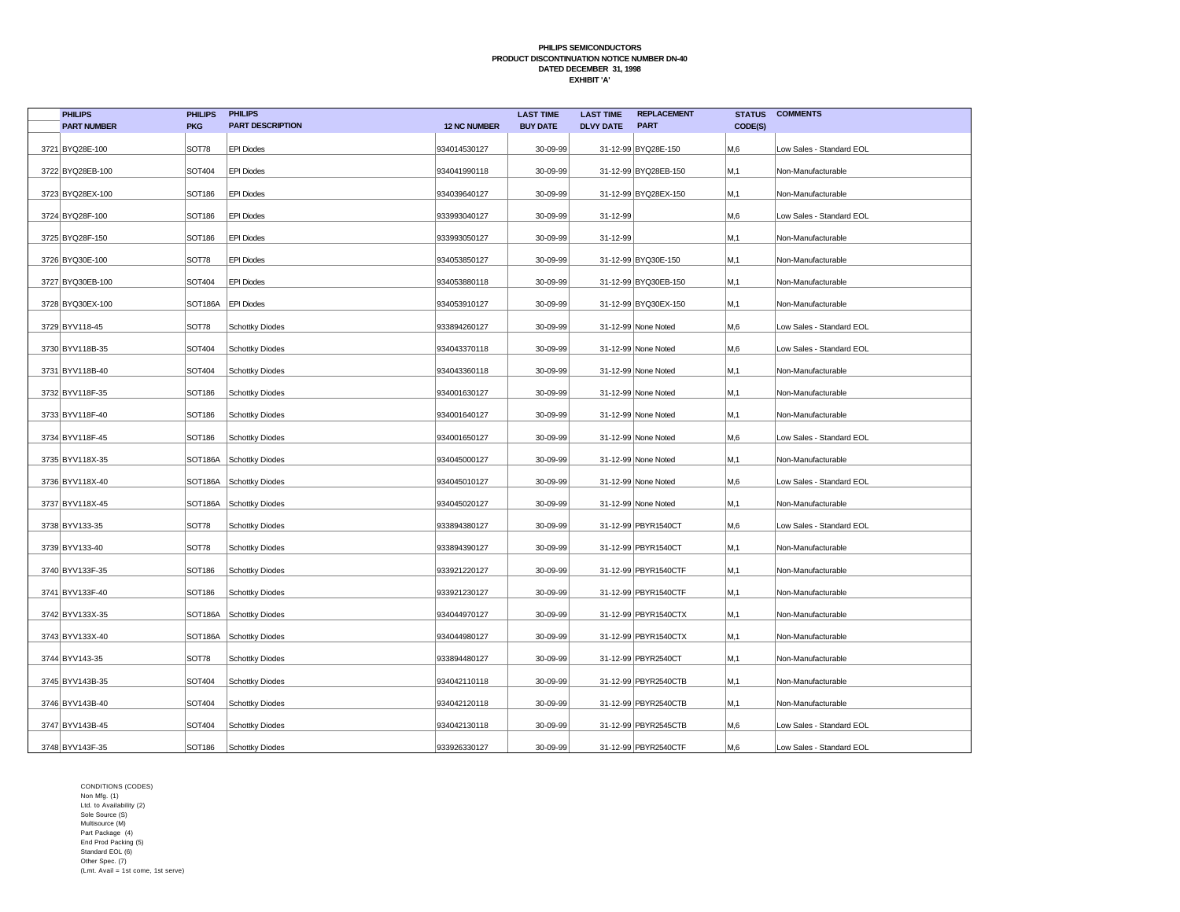| <b>PHILIPS</b>     | <b>PHILIPS</b> | <b>PHILIPS</b>          |                     | <b>LAST TIME</b> | <b>LAST TIME</b> | <b>REPLACEMENT</b>   | <b>STATUS</b> | <b>COMMENTS</b>          |
|--------------------|----------------|-------------------------|---------------------|------------------|------------------|----------------------|---------------|--------------------------|
| <b>PART NUMBER</b> | <b>PKG</b>     | <b>PART DESCRIPTION</b> | <b>12 NC NUMBER</b> | <b>BUY DATE</b>  | <b>DLVY DATE</b> | <b>PART</b>          | CODE(S)       |                          |
| 3721 BYQ28E-100    | SOT78          | <b>EPI Diodes</b>       | 934014530127        | 30-09-99         |                  | 31-12-99 BYQ28E-150  | M,6           | Low Sales - Standard EOL |
| 3722 BYQ28EB-100   | <b>SOT404</b>  | <b>EPI Diodes</b>       | 934041990118        | 30-09-99         |                  | 31-12-99 BYQ28EB-150 | M,1           | Non-Manufacturable       |
| 3723 BYQ28EX-100   | <b>SOT186</b>  | <b>EPI Diodes</b>       | 934039640127        | 30-09-99         |                  | 31-12-99 BYQ28EX-150 | M, 1          | Non-Manufacturable       |
| 3724 BYQ28F-100    | <b>SOT186</b>  | <b>EPI Diodes</b>       | 933993040127        | 30-09-99         | 31-12-99         |                      | M,6           | Low Sales - Standard EOL |
| 3725 BYQ28F-150    | <b>SOT186</b>  | <b>EPI Diodes</b>       | 933993050127        | 30-09-99         | 31-12-99         |                      | M.1           | Non-Manufacturable       |
| 3726 BYQ30E-100    | SOT78          | <b>EPI Diodes</b>       | 934053850127        | 30-09-99         |                  | 31-12-99 BYQ30E-150  | M,1           | Non-Manufacturable       |
| 3727 BYQ30EB-100   | SOT404         | <b>EPI Diodes</b>       | 934053880118        | 30-09-99         |                  | 31-12-99 BYQ30EB-150 | M,1           | Non-Manufacturable       |
| 3728 BYQ30EX-100   | SOT186A        | <b>EPI Diodes</b>       | 934053910127        | 30-09-99         |                  | 31-12-99 BYQ30EX-150 | M,1           | Non-Manufacturable       |
| 3729 BYV118-45     | SOT78          | <b>Schottky Diodes</b>  | 933894260127        | 30-09-99         |                  | 31-12-99 None Noted  | M,6           | Low Sales - Standard EOL |
| 3730 BYV118B-35    | SOT404         | <b>Schottky Diodes</b>  | 934043370118        | 30-09-99         |                  | 31-12-99 None Noted  | M,6           | Low Sales - Standard EOL |
| 3731 BYV118B-40    | SOT404         | <b>Schottky Diodes</b>  | 934043360118        | 30-09-99         |                  | 31-12-99 None Noted  | M,1           | Non-Manufacturable       |
| 3732 BYV118F-35    | <b>SOT186</b>  | <b>Schottky Diodes</b>  | 934001630127        | 30-09-99         |                  | 31-12-99 None Noted  | M,1           | Non-Manufacturable       |
| 3733 BYV118F-40    | <b>SOT186</b>  | <b>Schottky Diodes</b>  | 934001640127        | 30-09-99         |                  | 31-12-99 None Noted  | M,1           | Non-Manufacturable       |
| 3734 BYV118F-45    | <b>SOT186</b>  | <b>Schottky Diodes</b>  | 934001650127        | 30-09-99         |                  | 31-12-99 None Noted  | M,6           | Low Sales - Standard EOL |
| 3735 BYV118X-35    |                | SOT186A Schottky Diodes | 934045000127        | 30-09-99         |                  | 31-12-99 None Noted  | M, 1          | Non-Manufacturable       |
| 3736 BYV118X-40    | SOT186A        | Schottky Diodes         | 934045010127        | 30-09-99         |                  | 31-12-99 None Noted  | M,6           | Low Sales - Standard EOL |
| 3737 BYV118X-45    |                | SOT186A Schottky Diodes | 934045020127        | 30-09-99         |                  | 31-12-99 None Noted  | M,1           | Non-Manufacturable       |
| 3738 BYV133-35     | SOT78          | <b>Schottky Diodes</b>  | 933894380127        | 30-09-99         |                  | 31-12-99 PBYR1540CT  | M,6           | Low Sales - Standard EOL |
| 3739 BYV133-40     | SOT78          | <b>Schottky Diodes</b>  | 933894390127        | 30-09-99         |                  | 31-12-99 PBYR1540CT  | M,1           | Non-Manufacturable       |
| 3740 BYV133F-35    | <b>SOT186</b>  | <b>Schottky Diodes</b>  | 933921220127        | 30-09-99         |                  | 31-12-99 PBYR1540CTF | M,1           | Non-Manufacturable       |
| 3741 BYV133F-40    | <b>SOT186</b>  | <b>Schottky Diodes</b>  | 933921230127        | 30-09-99         |                  | 31-12-99 PBYR1540CTF | M, 1          | Non-Manufacturable       |
| 3742 BYV133X-35    |                | SOT186A Schottky Diodes | 934044970127        | 30-09-99         |                  | 31-12-99 PBYR1540CTX | M,1           | Non-Manufacturable       |
| 3743 BYV133X-40    |                | SOT186A Schottky Diodes | 934044980127        | 30-09-99         |                  | 31-12-99 PBYR1540CTX | M,1           | Non-Manufacturable       |
| 3744 BYV143-35     | SOT78          | <b>Schottky Diodes</b>  | 933894480127        | 30-09-99         |                  | 31-12-99 PBYR2540CT  | M,1           | Non-Manufacturable       |
| 3745 BYV143B-35    | SOT404         | <b>Schottky Diodes</b>  | 934042110118        | 30-09-99         |                  | 31-12-99 PBYR2540CTB | M, 1          | Non-Manufacturable       |
| 3746 BYV143B-40    | <b>SOT404</b>  | <b>Schottky Diodes</b>  | 934042120118        | 30-09-99         |                  | 31-12-99 PBYR2540CTB | M, 1          | Non-Manufacturable       |
| 3747 BYV143B-45    | SOT404         | <b>Schottky Diodes</b>  | 934042130118        | 30-09-99         |                  | 31-12-99 PBYR2545CTB | M,6           | Low Sales - Standard EOL |
| 3748 BYV143F-35    | SOT186         | Schottky Diodes         | 933926330127        | 30-09-99         |                  | 31-12-99 PBYR2540CTF | M,6           | Low Sales - Standard EOL |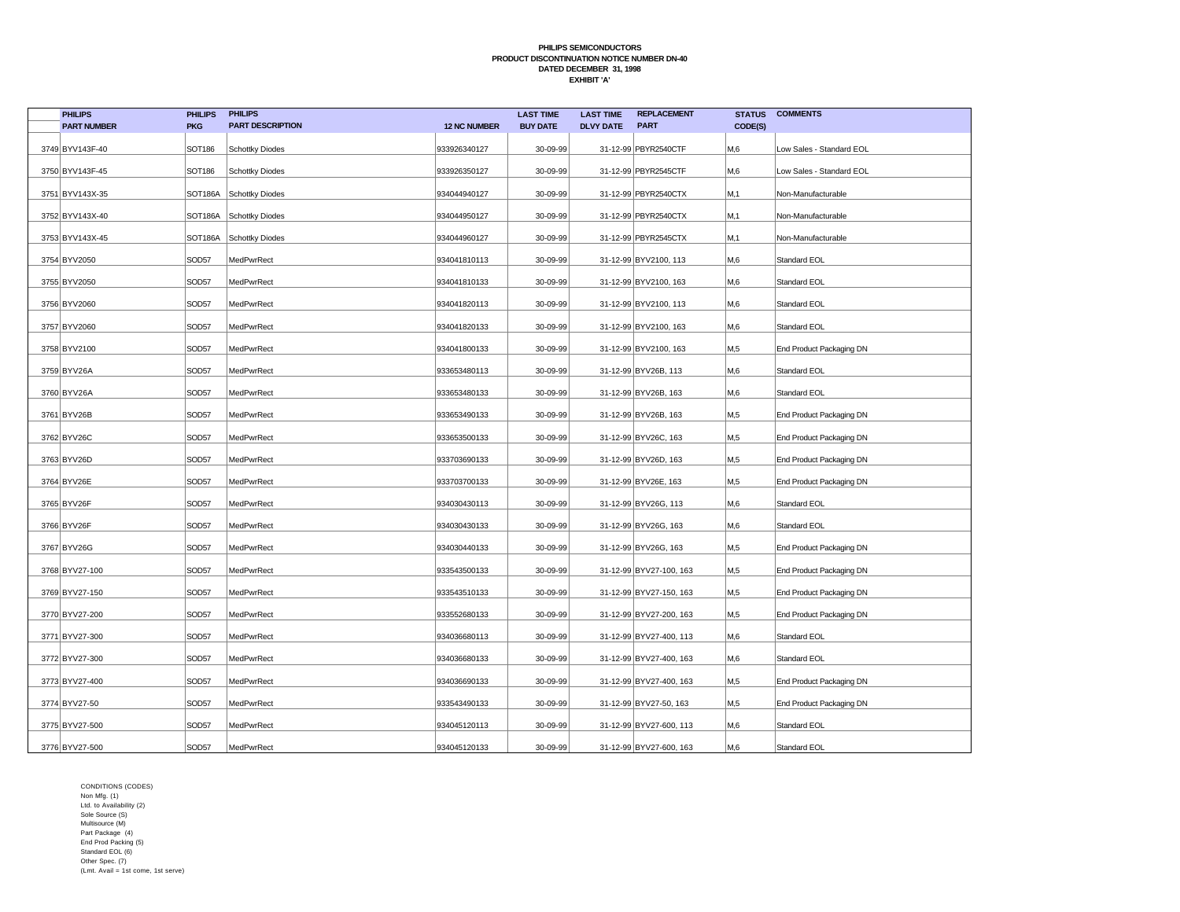| <b>PHILIPS</b>     | <b>PHILIPS</b> | <b>PHILIPS</b>          |                     | <b>LAST TIME</b> | <b>LAST TIME</b> | <b>REPLACEMENT</b>      | <b>STATUS</b> | <b>COMMENTS</b>          |
|--------------------|----------------|-------------------------|---------------------|------------------|------------------|-------------------------|---------------|--------------------------|
| <b>PART NUMBER</b> | <b>PKG</b>     | <b>PART DESCRIPTION</b> | <b>12 NC NUMBER</b> | <b>BUY DATE</b>  | <b>DLVY DATE</b> | <b>PART</b>             | CODE(S)       |                          |
| 3749 BYV143F-40    | <b>SOT186</b>  | <b>Schottky Diodes</b>  | 933926340127        | 30-09-99         |                  | 31-12-99 PBYR2540CTF    | M,6           | Low Sales - Standard EOL |
| 3750 BYV143F-45    | <b>SOT186</b>  | <b>Schottky Diodes</b>  | 933926350127        | 30-09-99         |                  | 31-12-99 PBYR2545CTF    | M,6           | Low Sales - Standard EOL |
| 3751 BYV143X-35    | SOT186A        | Schottky Diodes         | 934044940127        | 30-09-99         |                  | 31-12-99 PBYR2540CTX    | M,1           | Non-Manufacturable       |
| 3752 BYV143X-40    |                | SOT186A Schottky Diodes | 934044950127        | 30-09-99         |                  | 31-12-99 PBYR2540CTX    | M,1           | Non-Manufacturable       |
| 3753 BYV143X-45    | SOT186A        | Schottky Diodes         | 934044960127        | 30-09-99         |                  | 31-12-99 PBYR2545CTX    | M, 1          | Non-Manufacturable       |
| 3754 BYV2050       | SOD57          | MedPwrRect              | 934041810113        | 30-09-99         |                  | 31-12-99 BYV2100, 113   | M,6           | Standard EOL             |
| 3755 BYV2050       | SOD57          | MedPwrRect              | 934041810133        | 30-09-99         |                  | 31-12-99 BYV2100, 163   | M,6           | Standard EOL             |
| 3756 BYV2060       | SOD57          | MedPwrRect              | 934041820113        | 30-09-99         |                  | 31-12-99 BYV2100, 113   | M,6           | Standard EOL             |
| 3757 BYV2060       | SOD57          | MedPwrRect              | 934041820133        | 30-09-99         |                  | 31-12-99 BYV2100, 163   | M,6           | Standard EOL             |
| 3758 BYV2100       | SOD57          | MedPwrRect              | 934041800133        | 30-09-99         |                  | 31-12-99 BYV2100, 163   | M,5           | End Product Packaging DN |
| 3759 BYV26A        | SOD57          | MedPwrRect              | 933653480113        | 30-09-99         |                  | 31-12-99 BYV26B, 113    | M,6           | Standard EOL             |
| 3760 BYV26A        | SOD57          | MedPwrRect              | 933653480133        | 30-09-99         |                  | 31-12-99 BYV26B, 163    | M,6           | Standard EOL             |
| 3761 BYV26B        | SOD57          | MedPwrRect              | 933653490133        | 30-09-99         |                  | 31-12-99 BYV26B, 163    | M,5           | End Product Packaging DN |
| 3762 BYV26C        | SOD57          | MedPwrRect              | 933653500133        | 30-09-99         |                  | 31-12-99 BYV26C, 163    | M,5           | End Product Packaging DN |
| 3763 BYV26D        | SOD57          | MedPwrRect              | 933703690133        | 30-09-99         |                  | 31-12-99 BYV26D, 163    | M,5           | End Product Packaging DN |
| 3764 BYV26E        | SOD57          | MedPwrRect              | 933703700133        | 30-09-99         |                  | 31-12-99 BYV26E, 163    | M,5           | End Product Packaging DN |
| 3765 BYV26F        | SOD57          | MedPwrRect              | 934030430113        | 30-09-99         |                  | 31-12-99 BYV26G, 113    | M,6           | Standard EOL             |
| 3766 BYV26F        | SOD57          | MedPwrRect              | 934030430133        | 30-09-99         |                  | 31-12-99 BYV26G, 163    | M,6           | Standard EOL             |
| 3767 BYV26G        | SOD57          | MedPwrRect              | 934030440133        | 30-09-99         |                  | 31-12-99 BYV26G, 163    | M,5           | End Product Packaging DN |
| 3768 BYV27-100     | SOD57          | MedPwrRect              | 933543500133        | 30-09-99         |                  | 31-12-99 BYV27-100, 163 | M,5           | End Product Packaging DN |
| 3769 BYV27-150     | SOD57          | MedPwrRect              | 933543510133        | 30-09-99         |                  | 31-12-99 BYV27-150, 163 | M,5           | End Product Packaging DN |
| 3770 BYV27-200     | SOD57          | MedPwrRect              | 933552680133        | 30-09-99         |                  | 31-12-99 BYV27-200, 163 | M,5           | End Product Packaging DN |
| 3771 BYV27-300     | SOD57          | MedPwrRect              | 934036680113        | 30-09-99         |                  | 31-12-99 BYV27-400, 113 | M,6           | Standard EOL             |
| 3772 BYV27-300     | SOD57          | MedPwrRect              | 934036680133        | 30-09-99         |                  | 31-12-99 BYV27-400, 163 | M,6           | Standard EOL             |
| 3773 BYV27-400     | SOD57          | MedPwrRect              | 934036690133        | 30-09-99         |                  | 31-12-99 BYV27-400, 163 | M,5           | End Product Packaging DN |
| 3774 BYV27-50      | SOD57          | MedPwrRect              | 933543490133        | 30-09-99         |                  | 31-12-99 BYV27-50, 163  | M,5           | End Product Packaging DN |
| 3775 BYV27-500     | SOD57          | MedPwrRect              | 934045120113        | 30-09-99         |                  | 31-12-99 BYV27-600, 113 | M,6           | Standard EOL             |
| 3776 BYV27-500     | SOD57          | MedPwrRect              | 934045120133        | 30-09-99         |                  | 31-12-99 BYV27-600, 163 | M,6           | Standard EOL             |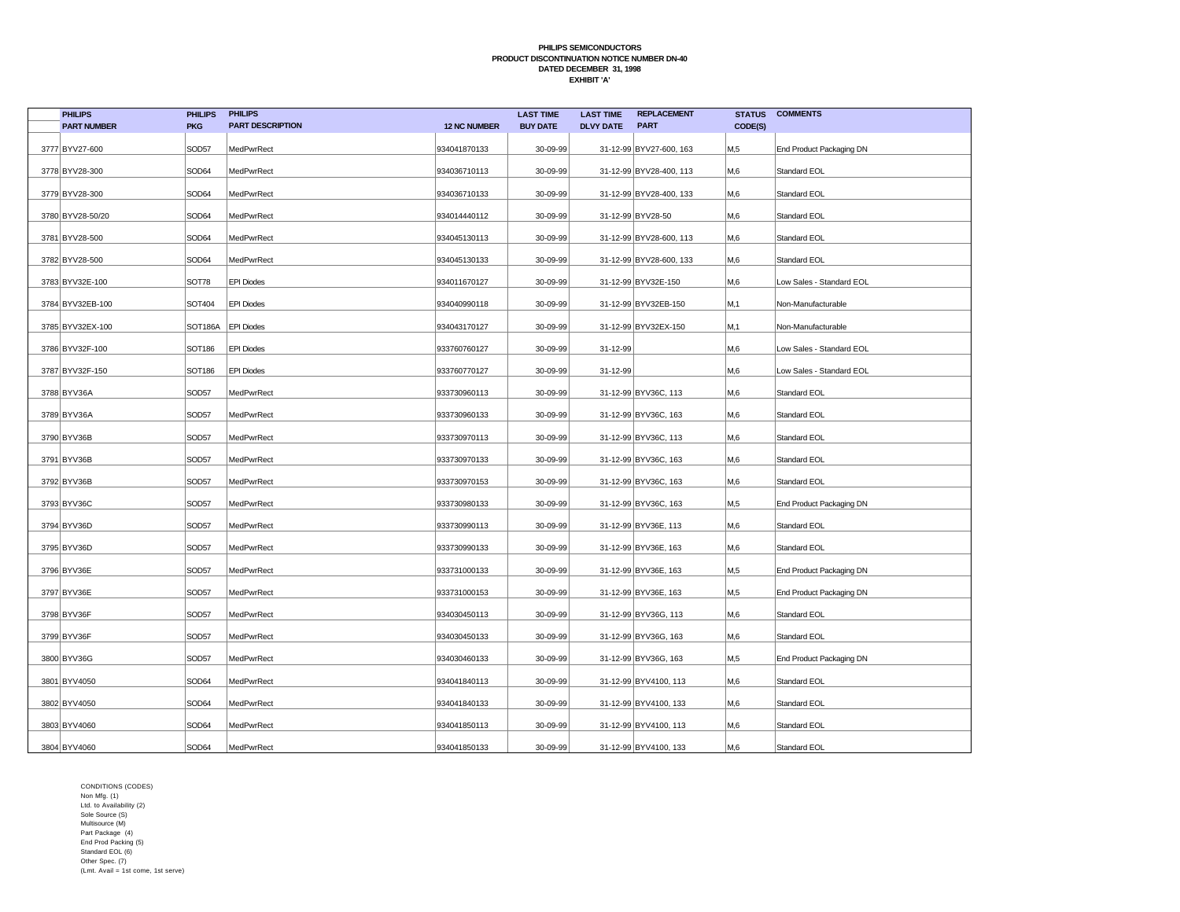| <b>PHILIPS</b>     | <b>PHILIPS</b> | <b>PHILIPS</b>          |                     | <b>LAST TIME</b> | <b>LAST TIME</b> | <b>REPLACEMENT</b>      | <b>STATUS</b> | <b>COMMENTS</b>          |
|--------------------|----------------|-------------------------|---------------------|------------------|------------------|-------------------------|---------------|--------------------------|
| <b>PART NUMBER</b> | <b>PKG</b>     | <b>PART DESCRIPTION</b> | <b>12 NC NUMBER</b> | <b>BUY DATE</b>  | <b>DLVY DATE</b> | <b>PART</b>             | CODE(S)       |                          |
| 3777 BYV27-600     | SOD57          | MedPwrRect              | 934041870133        | 30-09-99         |                  | 31-12-99 BYV27-600, 163 | M,5           | End Product Packaging DN |
| 3778 BYV28-300     | SOD64          | MedPwrRect              | 934036710113        | 30-09-99         |                  | 31-12-99 BYV28-400, 113 | M,6           | Standard EOL             |
| 3779 BYV28-300     | SOD64          | MedPwrRect              | 934036710133        | 30-09-99         |                  | 31-12-99 BYV28-400, 133 | M,6           | Standard EOL             |
| 3780 BYV28-50/20   | SOD64          | MedPwrRect              | 934014440112        | 30-09-99         |                  | 31-12-99 BYV28-50       | M,6           | Standard EOL             |
| 3781 BYV28-500     | SOD64          | MedPwrRect              | 934045130113        | 30-09-99         |                  | 31-12-99 BYV28-600, 113 | M,6           | Standard EOL             |
| 3782 BYV28-500     | SOD64          | MedPwrRect              | 934045130133        | 30-09-99         |                  | 31-12-99 BYV28-600, 133 | M,6           | Standard EOL             |
| 3783 BYV32E-100    | SOT78          | <b>EPI Diodes</b>       | 934011670127        | 30-09-99         |                  | 31-12-99 BYV32E-150     | M,6           | Low Sales - Standard EOL |
| 3784 BYV32EB-100   | SOT404         | <b>EPI Diodes</b>       | 934040990118        | 30-09-99         |                  | 31-12-99 BYV32EB-150    | M,1           | Non-Manufacturable       |
| 3785 BYV32EX-100   | SOT186A        | <b>EPI Diodes</b>       | 934043170127        | 30-09-99         |                  | 31-12-99 BYV32EX-150    | M, 1          | Non-Manufacturable       |
| 3786 BYV32F-100    | SOT186         | <b>EPI Diodes</b>       | 933760760127        | 30-09-99         | $31 - 12 - 99$   |                         | M,6           | Low Sales - Standard EOL |
| 3787 BYV32F-150    | SOT186         | <b>EPI Diodes</b>       | 933760770127        | 30-09-99         | $31 - 12 - 99$   |                         | M,6           | Low Sales - Standard EOL |
| 3788 BYV36A        | SOD57          | MedPwrRect              | 933730960113        | 30-09-99         |                  | 31-12-99 BYV36C, 113    | M,6           | Standard EOL             |
| 3789 BYV36A        | SOD57          | MedPwrRect              | 933730960133        | 30-09-99         |                  | 31-12-99 BYV36C, 163    | M,6           | Standard EOL             |
| 3790 BYV36B        | SOD57          | MedPwrRect              | 933730970113        | 30-09-99         |                  | 31-12-99 BYV36C, 113    | M,6           | Standard EOL             |
| 3791 BYV36B        | SOD57          | MedPwrRect              | 933730970133        | 30-09-99         |                  | 31-12-99 BYV36C, 163    | M,6           | Standard EOL             |
| 3792 BYV36B        | SOD57          | MedPwrRect              | 933730970153        | 30-09-99         |                  | 31-12-99 BYV36C, 163    | M,6           | Standard EOL             |
| 3793 BYV36C        | SOD57          | MedPwrRect              | 933730980133        | 30-09-99         |                  | 31-12-99 BYV36C, 163    | M,5           | End Product Packaging DN |
| 3794 BYV36D        | SOD57          | MedPwrRect              | 933730990113        | 30-09-99         |                  | 31-12-99 BYV36E, 113    | M,6           | Standard EOL             |
| 3795 BYV36D        | SOD57          | MedPwrRect              | 933730990133        | 30-09-99         |                  | 31-12-99 BYV36E, 163    | M,6           | Standard EOL             |
| 3796 BYV36E        | SOD57          | MedPwrRect              | 933731000133        | 30-09-99         |                  | 31-12-99 BYV36E, 163    | M,5           | End Product Packaging DN |
| 3797 BYV36E        | SOD57          | MedPwrRect              | 933731000153        | 30-09-99         |                  | 31-12-99 BYV36E, 163    | M,5           | End Product Packaging DN |
| 3798 BYV36F        | SOD57          | MedPwrRect              | 934030450113        | 30-09-99         |                  | 31-12-99 BYV36G, 113    | M,6           | Standard EOL             |
| 3799 BYV36F        | SOD57          | MedPwrRect              | 934030450133        | 30-09-99         |                  | 31-12-99 BYV36G, 163    | M,6           | Standard EOL             |
| 3800 BYV36G        | SOD57          | MedPwrRect              | 934030460133        | 30-09-99         |                  | 31-12-99 BYV36G, 163    | M,5           | End Product Packaging DN |
| 3801 BYV4050       | SOD64          | MedPwrRect              | 934041840113        | 30-09-99         |                  | 31-12-99 BYV4100, 113   | M,6           | Standard EOL             |
| 3802 BYV4050       | SOD64          | MedPwrRect              | 934041840133        | 30-09-99         |                  | 31-12-99 BYV4100, 133   | M,6           | Standard EOL             |
| 3803 BYV4060       | SOD64          | MedPwrRect              | 934041850113        | 30-09-99         |                  | 31-12-99 BYV4100, 113   | M,6           | Standard EOL             |
| 3804 BYV4060       | SOD64          | MedPwrRect              | 934041850133        | 30-09-99         |                  | 31-12-99 BYV4100, 133   | M,6           | Standard EOL             |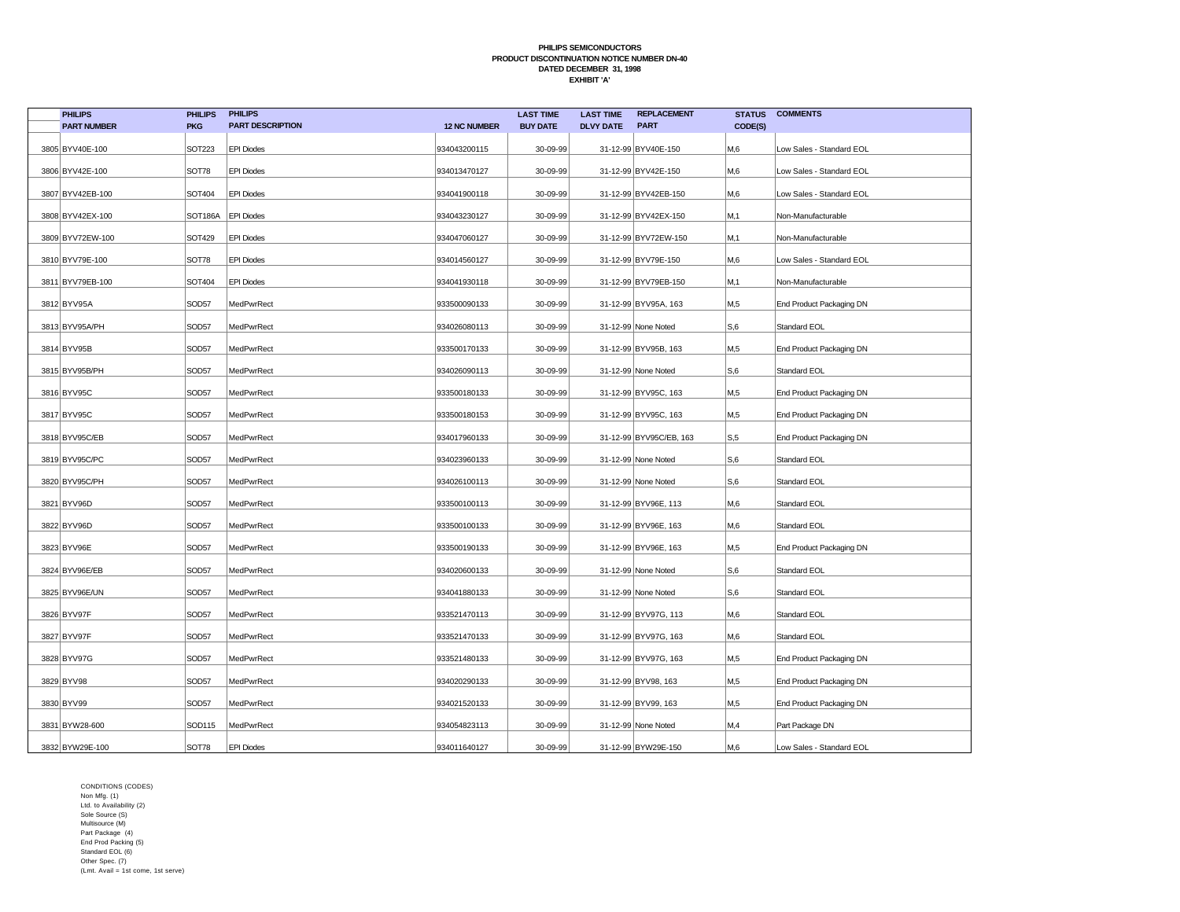| <b>PHILIPS</b>     | <b>PHILIPS</b> | <b>PHILIPS</b>          |                     | <b>LAST TIME</b> | <b>LAST TIME</b> | <b>REPLACEMENT</b>      | <b>STATUS</b> | <b>COMMENTS</b>          |
|--------------------|----------------|-------------------------|---------------------|------------------|------------------|-------------------------|---------------|--------------------------|
| <b>PART NUMBER</b> | <b>PKG</b>     | <b>PART DESCRIPTION</b> | <b>12 NC NUMBER</b> | <b>BUY DATE</b>  | <b>DLVY DATE</b> | <b>PART</b>             | CODE(S)       |                          |
| 3805 BYV40E-100    | SOT223         | <b>EPI Diodes</b>       | 934043200115        | 30-09-99         |                  | 31-12-99 BYV40E-150     | M,6           | Low Sales - Standard EOL |
| 3806 BYV42E-100    | SOT78          | <b>EPI Diodes</b>       | 934013470127        | 30-09-99         |                  | 31-12-99 BYV42E-150     | M,6           | Low Sales - Standard EOL |
| 3807 BYV42EB-100   | SOT404         | <b>EPI Diodes</b>       | 934041900118        | 30-09-99         |                  | 31-12-99 BYV42EB-150    | M,6           | Low Sales - Standard EOL |
| 3808 BYV42EX-100   | <b>SOT186A</b> | <b>EPI Diodes</b>       | 934043230127        | 30-09-99         |                  | 31-12-99 BYV42EX-150    | M,1           | Non-Manufacturable       |
| 3809 BYV72EW-100   | <b>SOT429</b>  | <b>EPI Diodes</b>       | 934047060127        | 30-09-99         |                  | 31-12-99 BYV72EW-150    | M,1           | Non-Manufacturable       |
| 3810 BYV79E-100    | <b>SOT78</b>   | <b>EPI Diodes</b>       | 934014560127        | 30-09-99         |                  | 31-12-99 BYV79E-150     | M,6           | Low Sales - Standard EOL |
| 3811 BYV79EB-100   | SOT404         | <b>EPI Diodes</b>       | 934041930118        | 30-09-99         |                  | 31-12-99 BYV79EB-150    | M,1           | Non-Manufacturable       |
| 3812 BYV95A        | SOD57          | MedPwrRect              | 933500090133        | 30-09-99         |                  | 31-12-99 BYV95A, 163    | M,5           | End Product Packaging DN |
| 3813 BYV95A/PH     | SOD57          | MedPwrRect              | 934026080113        | 30-09-99         |                  | 31-12-99 None Noted     | S,6           | Standard EOL             |
| 3814 BYV95B        | SOD57          | MedPwrRect              | 933500170133        | 30-09-99         |                  | 31-12-99 BYV95B, 163    | M,5           | End Product Packaging DN |
| 3815 BYV95B/PH     | SOD57          | MedPwrRect              | 934026090113        | 30-09-99         |                  | 31-12-99 None Noted     | S,6           | Standard EOL             |
| 3816 BYV95C        | SOD57          | MedPwrRect              | 933500180133        | 30-09-99         |                  | 31-12-99 BYV95C, 163    | M,5           | End Product Packaging DN |
| 3817 BYV95C        | SOD57          | MedPwrRect              | 933500180153        | 30-09-99         |                  | 31-12-99 BYV95C, 163    | M,5           | End Product Packaging DN |
| 3818 BYV95C/EB     | SOD57          | MedPwrRect              | 934017960133        | 30-09-99         |                  | 31-12-99 BYV95C/EB, 163 | S, 5          | End Product Packaging DN |
| 3819 BYV95C/PC     | SOD57          | MedPwrRect              | 934023960133        | 30-09-99         |                  | 31-12-99 None Noted     | S,6           | Standard EOL             |
| 3820 BYV95C/PH     | SOD57          | MedPwrRect              | 934026100113        | 30-09-99         |                  | 31-12-99 None Noted     | S,6           | Standard EOL             |
| 3821 BYV96D        | SOD57          | MedPwrRect              | 933500100113        | 30-09-99         |                  | 31-12-99 BYV96E, 113    | M,6           | Standard EOL             |
| 3822 BYV96D        | SOD57          | MedPwrRect              | 933500100133        | 30-09-99         |                  | 31-12-99 BYV96E, 163    | M,6           | Standard EOL             |
| 3823 BYV96E        | SOD57          | MedPwrRect              | 933500190133        | 30-09-99         |                  | 31-12-99 BYV96E, 163    | M,5           | End Product Packaging DN |
| 3824 BYV96E/EB     | SOD57          | MedPwrRect              | 934020600133        | 30-09-99         |                  | 31-12-99 None Noted     | S,6           | Standard EOL             |
| 3825 BYV96E/UN     | SOD57          | MedPwrRect              | 934041880133        | 30-09-99         |                  | 31-12-99 None Noted     | S,6           | Standard EOL             |
| 3826 BYV97F        | SOD57          | MedPwrRect              | 933521470113        | 30-09-99         |                  | 31-12-99 BYV97G, 113    | M,6           | Standard EOL             |
| 3827 BYV97F        | SOD57          | MedPwrRect              | 933521470133        | 30-09-99         |                  | 31-12-99 BYV97G, 163    | M,6           | Standard EOL             |
| 3828 BYV97G        | SOD57          | MedPwrRect              | 933521480133        | 30-09-99         |                  | 31-12-99 BYV97G, 163    | M,5           | End Product Packaging DN |
| 3829 BYV98         | SOD57          | MedPwrRect              | 934020290133        | 30-09-99         |                  | 31-12-99 BYV98, 163     | M,5           | End Product Packaging DN |
| 3830 BYV99         | SOD57          | MedPwrRect              | 934021520133        | 30-09-99         |                  | 31-12-99 BYV99, 163     | M,5           | End Product Packaging DN |
| 3831 BYW28-600     | SOD115         | MedPwrRect              | 934054823113        | 30-09-99         |                  | 31-12-99 None Noted     | M,4           | Part Package DN          |
| 3832 BYW29E-100    | SOT78          | <b>EPI Diodes</b>       | 934011640127        | 30-09-99         |                  | 31-12-99 BYW29E-150     | M,6           | Low Sales - Standard EOL |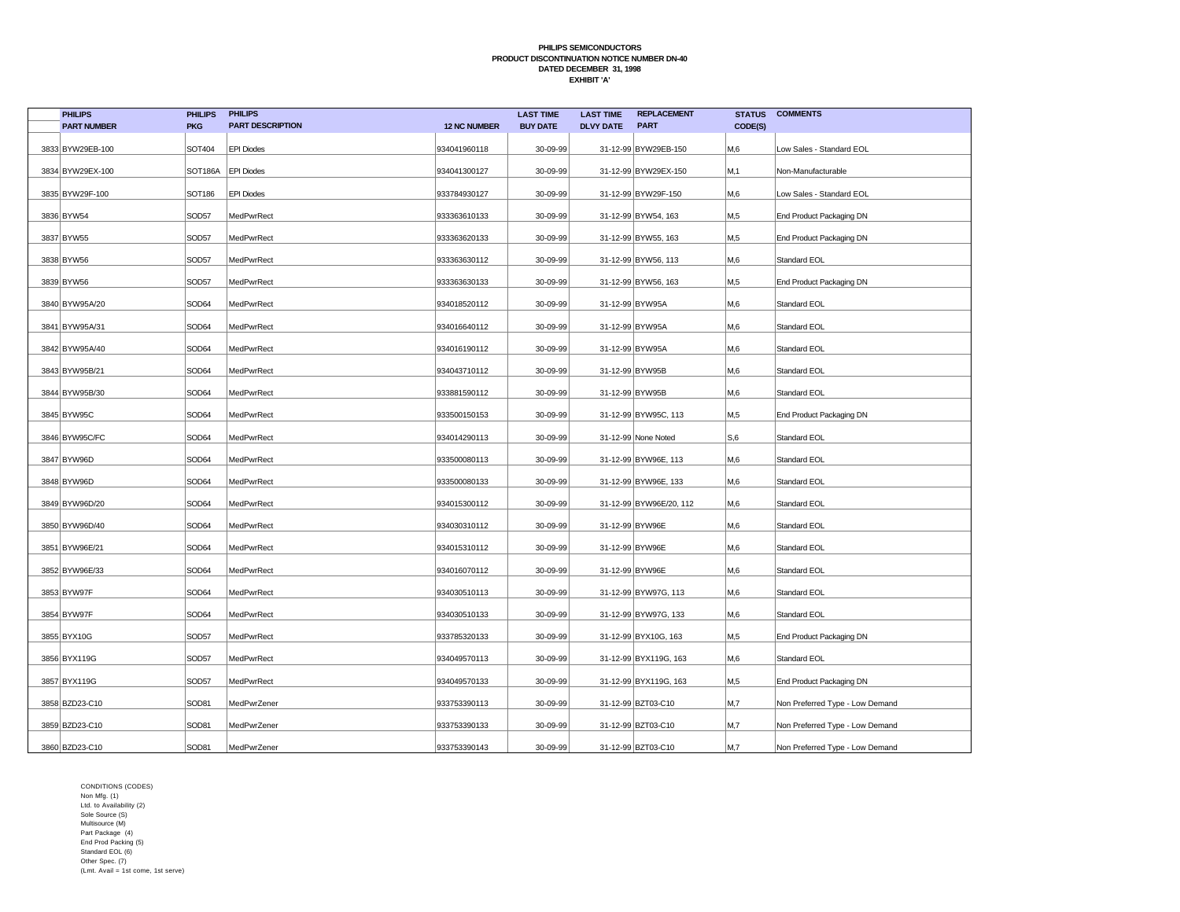| <b>PHILIPS</b>     | <b>PHILIPS</b> | <b>PHILIPS</b>          |                     | <b>LAST TIME</b> | <b>LAST TIME</b> | <b>REPLACEMENT</b>      | <b>STATUS</b> | <b>COMMENTS</b>                 |
|--------------------|----------------|-------------------------|---------------------|------------------|------------------|-------------------------|---------------|---------------------------------|
| <b>PART NUMBER</b> | <b>PKG</b>     | <b>PART DESCRIPTION</b> | <b>12 NC NUMBER</b> | <b>BUY DATE</b>  | <b>DLVY DATE</b> | <b>PART</b>             | CODE(S)       |                                 |
| 3833 BYW29EB-100   | SOT404         | <b>EPI Diodes</b>       | 934041960118        | 30-09-99         |                  | 31-12-99 BYW29EB-150    | M,6           | Low Sales - Standard EOL        |
| 3834 BYW29EX-100   | SOT186A        | <b>EPI Diodes</b>       | 934041300127        | 30-09-99         |                  | 31-12-99 BYW29EX-150    | M,1           | Non-Manufacturable              |
| 3835 BYW29F-100    | <b>SOT186</b>  | <b>EPI Diodes</b>       | 933784930127        | 30-09-99         |                  | 31-12-99 BYW29F-150     | M,6           | Low Sales - Standard EOL        |
| 3836 BYW54         | SOD57          | MedPwrRect              | 933363610133        | 30-09-99         |                  | 31-12-99 BYW54, 163     | M,5           | End Product Packaging DN        |
| 3837 BYW55         | SOD57          | MedPwrRect              | 933363620133        | 30-09-99         |                  | 31-12-99 BYW55, 163     | M,5           | End Product Packaging DN        |
| 3838 BYW56         | SOD57          | MedPwrRect              | 933363630112        | 30-09-99         |                  | 31-12-99 BYW56, 113     | M,6           | Standard EOL                    |
| 3839 BYW56         | SOD57          | MedPwrRect              | 933363630133        | 30-09-99         |                  | 31-12-99 BYW56, 163     | M,5           | End Product Packaging DN        |
| 3840 BYW95A/20     | SOD64          | MedPwrRect              | 934018520112        | 30-09-99         | 31-12-99 BYW95A  |                         | M,6           | Standard EOL                    |
| 3841 BYW95A/31     | SOD64          | MedPwrRect              | 934016640112        | 30-09-99         | 31-12-99 BYW95A  |                         | M,6           | Standard EOL                    |
| 3842 BYW95A/40     | SOD64          | MedPwrRect              | 934016190112        | 30-09-99         | 31-12-99 BYW95A  |                         | M,6           | Standard EOL                    |
| 3843 BYW95B/21     | SOD64          | MedPwrRect              | 934043710112        | 30-09-99         | 31-12-99 BYW95B  |                         | M,6           | Standard EOL                    |
| 3844 BYW95B/30     | SOD64          | MedPwrRect              | 933881590112        | 30-09-99         | 31-12-99 BYW95B  |                         | M,6           | Standard EOL                    |
| 3845 BYW95C        | SOD64          | MedPwrRect              | 933500150153        | 30-09-99         |                  | 31-12-99 BYW95C, 113    | M,5           | End Product Packaging DN        |
| 3846 BYW95C/FC     | SOD64          | MedPwrRect              | 934014290113        | 30-09-99         |                  | 31-12-99 None Noted     | S,6           | Standard EOL                    |
| 3847 BYW96D        | SOD64          | MedPwrRect              | 933500080113        | 30-09-99         |                  | 31-12-99 BYW96E, 113    | M,6           | Standard EOL                    |
| 3848 BYW96D        | SOD64          | MedPwrRect              | 933500080133        | 30-09-99         |                  | 31-12-99 BYW96E, 133    | M,6           | Standard EOL                    |
| 3849 BYW96D/20     | SOD64          | MedPwrRect              | 934015300112        | 30-09-99         |                  | 31-12-99 BYW96E/20, 112 | M,6           | Standard EOL                    |
| 3850 BYW96D/40     | SOD64          | MedPwrRect              | 934030310112        | 30-09-99         | 31-12-99 BYW96E  |                         | M,6           | Standard EOL                    |
| 3851 BYW96E/21     | SOD64          | MedPwrRect              | 934015310112        | 30-09-99         | 31-12-99 BYW96E  |                         | M,6           | Standard EOL                    |
| 3852 BYW96E/33     | SOD64          | MedPwrRect              | 934016070112        | 30-09-99         | 31-12-99 BYW96E  |                         | M,6           | Standard EOL                    |
| 3853 BYW97F        | SOD64          | MedPwrRect              | 934030510113        | 30-09-99         |                  | 31-12-99 BYW97G, 113    | M,6           | Standard EOL                    |
| 3854 BYW97F        | SOD64          | MedPwrRect              | 934030510133        | 30-09-99         |                  | 31-12-99 BYW97G, 133    | M,6           | Standard EOL                    |
| 3855 BYX10G        | SOD57          | MedPwrRect              | 933785320133        | 30-09-99         |                  | 31-12-99 BYX10G, 163    | M,5           | End Product Packaging DN        |
| 3856 BYX119G       | SOD57          | MedPwrRect              | 934049570113        | 30-09-99         |                  | 31-12-99 BYX119G, 163   | M,6           | Standard EOL                    |
| 3857 BYX119G       | SOD57          | MedPwrRect              | 934049570133        | 30-09-99         |                  | 31-12-99 BYX119G, 163   | M,5           | End Product Packaging DN        |
| 3858 BZD23-C10     | SOD81          | MedPwrZener             | 933753390113        | 30-09-99         |                  | 31-12-99 BZT03-C10      | M,7           | Non Preferred Type - Low Demand |
| 3859 BZD23-C10     | SOD81          | MedPwrZener             | 933753390133        | 30-09-99         |                  | 31-12-99 BZT03-C10      | M,7           | Non Preferred Type - Low Demand |
| 3860 BZD23-C10     | SOD81          | MedPwrZener             | 933753390143        | 30-09-99         |                  | 31-12-99 BZT03-C10      | M,7           | Non Preferred Type - Low Demand |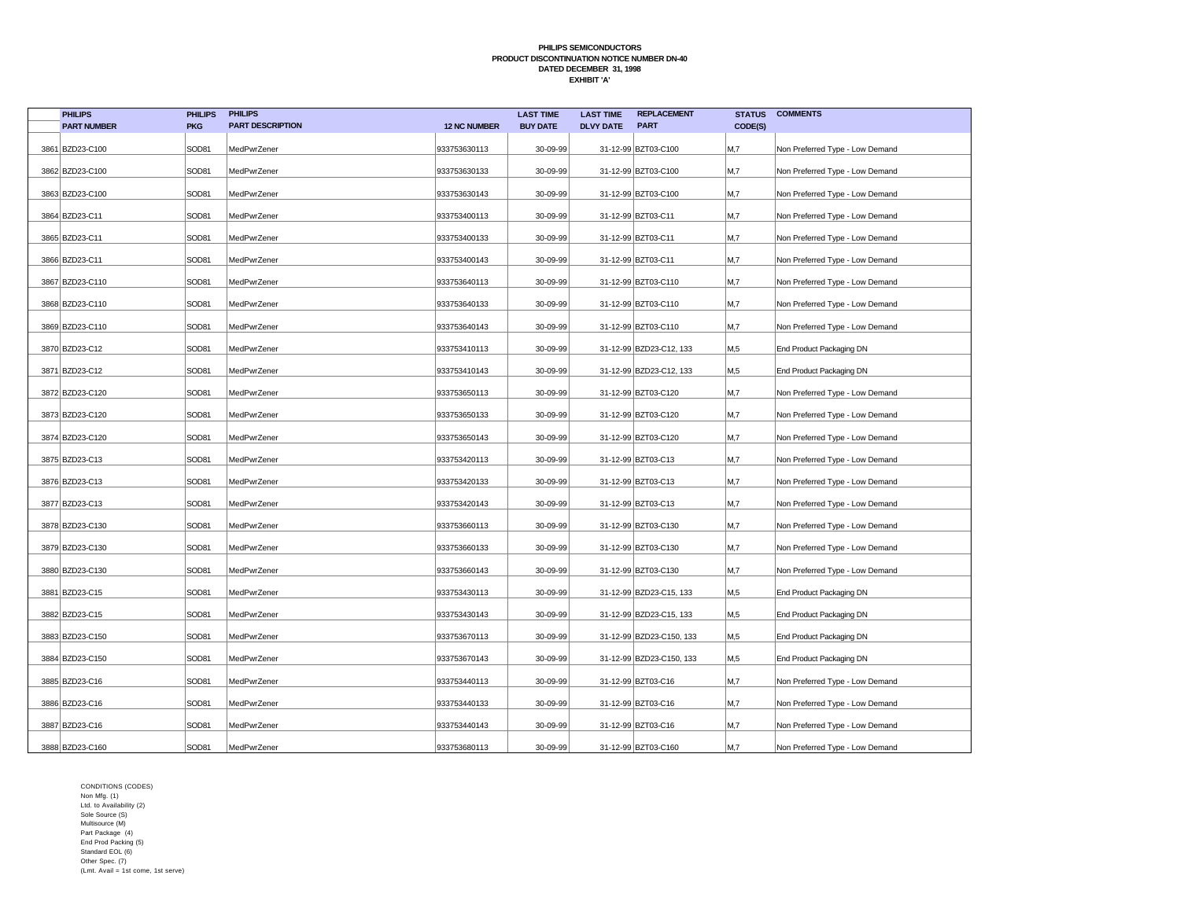| <b>PHILIPS</b>     | <b>PHILIPS</b> | <b>PHILIPS</b>          |                     | <b>LAST TIME</b> | <b>LAST TIME</b> | <b>REPLACEMENT</b>       | <b>STATUS</b>  | <b>COMMENTS</b>                 |
|--------------------|----------------|-------------------------|---------------------|------------------|------------------|--------------------------|----------------|---------------------------------|
| <b>PART NUMBER</b> | <b>PKG</b>     | <b>PART DESCRIPTION</b> | <b>12 NC NUMBER</b> | <b>BUY DATE</b>  | <b>DLVY DATE</b> | <b>PART</b>              | CODE(S)        |                                 |
| 3861 BZD23-C100    | SOD81          | MedPwrZener             | 933753630113        | 30-09-99         |                  | 31-12-99 BZT03-C100      | M,7            | Non Preferred Type - Low Demand |
| 3862 BZD23-C100    | SOD81          | MedPwrZener             | 933753630133        | 30-09-99         |                  | 31-12-99 BZT03-C100      | M,7            | Non Preferred Type - Low Demand |
| 3863 BZD23-C100    | SOD81          | MedPwrZener             | 933753630143        | 30-09-99         |                  | 31-12-99 BZT03-C100      | M,7            | Non Preferred Type - Low Demand |
| 3864 BZD23-C11     | SOD81          | MedPwrZener             | 933753400113        | 30-09-99         |                  | 31-12-99 BZT03-C11       | M,7            | Non Preferred Type - Low Demand |
| 3865 BZD23-C11     | SOD81          | MedPwrZener             | 933753400133        | 30-09-99         |                  | 31-12-99 BZT03-C11       | M,7            | Non Preferred Type - Low Demand |
| 3866 BZD23-C11     | SOD81          | MedPwrZener             | 933753400143        | 30-09-99         |                  | 31-12-99 BZT03-C11       | M <sub>1</sub> | Non Preferred Type - Low Demand |
| 3867 BZD23-C110    | SOD81          | MedPwrZener             | 933753640113        | 30-09-99         |                  | 31-12-99 BZT03-C110      | M,7            | Non Preferred Type - Low Demand |
| 3868 BZD23-C110    | SOD81          | MedPwrZener             | 933753640133        | 30-09-99         |                  | 31-12-99 BZT03-C110      | M,7            | Non Preferred Type - Low Demand |
| 3869 BZD23-C110    | SOD81          | MedPwrZener             | 933753640143        | 30-09-99         |                  | 31-12-99 BZT03-C110      | M,7            | Non Preferred Type - Low Demand |
| 3870 BZD23-C12     | SOD81          | MedPwrZener             | 933753410113        | 30-09-99         |                  | 31-12-99 BZD23-C12, 133  | M,5            | End Product Packaging DN        |
| 3871 BZD23-C12     | SOD81          | MedPwrZener             | 933753410143        | 30-09-99         |                  | 31-12-99 BZD23-C12, 133  | M,5            | End Product Packaging DN        |
| 3872 BZD23-C120    | SOD81          | MedPwrZener             | 933753650113        | 30-09-99         |                  | 31-12-99 BZT03-C120      | M,7            | Non Preferred Type - Low Demand |
| 3873 BZD23-C120    | SOD81          | MedPwrZener             | 933753650133        | 30-09-99         |                  | 31-12-99 BZT03-C120      | M,7            | Non Preferred Type - Low Demand |
| 3874 BZD23-C120    | SOD81          | MedPwrZener             | 933753650143        | 30-09-99         |                  | 31-12-99 BZT03-C120      | M,7            | Non Preferred Type - Low Demand |
| 3875 BZD23-C13     | SOD81          | MedPwrZener             | 933753420113        | 30-09-99         |                  | 31-12-99 BZT03-C13       | M,7            | Non Preferred Type - Low Demand |
| 3876 BZD23-C13     | SOD81          | MedPwrZener             | 933753420133        | 30-09-99         |                  | 31-12-99 BZT03-C13       | M,7            | Non Preferred Type - Low Demand |
| 3877 BZD23-C13     | SOD81          | MedPwrZener             | 933753420143        | 30-09-99         |                  | 31-12-99 BZT03-C13       | M,7            | Non Preferred Type - Low Demand |
| 3878 BZD23-C130    | SOD81          | MedPwrZener             | 933753660113        | 30-09-99         |                  | 31-12-99 BZT03-C130      | M,7            | Non Preferred Type - Low Demand |
| 3879 BZD23-C130    | SOD81          | MedPwrZener             | 933753660133        | 30-09-99         |                  | 31-12-99 BZT03-C130      | M,7            | Non Preferred Type - Low Demand |
| 3880 BZD23-C130    | SOD81          | MedPwrZener             | 933753660143        | 30-09-99         |                  | 31-12-99 BZT03-C130      | M,7            | Non Preferred Type - Low Demand |
| 3881 BZD23-C15     | SOD81          | MedPwrZener             | 933753430113        | 30-09-99         |                  | 31-12-99 BZD23-C15, 133  | M,5            | End Product Packaging DN        |
| 3882 BZD23-C15     | SOD81          | MedPwrZener             | 933753430143        | 30-09-99         |                  | 31-12-99 BZD23-C15, 133  | M,5            | End Product Packaging DN        |
| 3883 BZD23-C150    | SOD81          | MedPwrZener             | 933753670113        | 30-09-99         |                  | 31-12-99 BZD23-C150, 133 | M,5            | End Product Packaging DN        |
| 3884 BZD23-C150    | SOD81          | MedPwrZener             | 933753670143        | 30-09-99         |                  | 31-12-99 BZD23-C150, 133 | M,5            | End Product Packaging DN        |
| 3885 BZD23-C16     | SOD81          | MedPwrZener             | 933753440113        | 30-09-99         |                  | 31-12-99 BZT03-C16       | M,7            | Non Preferred Type - Low Demand |
| 3886 BZD23-C16     | SOD81          | MedPwrZener             | 933753440133        | 30-09-99         |                  | 31-12-99 BZT03-C16       | M,7            | Non Preferred Type - Low Demand |
| 3887 BZD23-C16     | SOD81          | MedPwrZener             | 933753440143        | 30-09-99         |                  | 31-12-99 BZT03-C16       | M,7            | Non Preferred Type - Low Demand |
| 3888 BZD23-C160    | SOD81          | MedPwrZener             | 933753680113        | 30-09-99         |                  | 31-12-99 BZT03-C160      | M,7            | Non Preferred Type - Low Demand |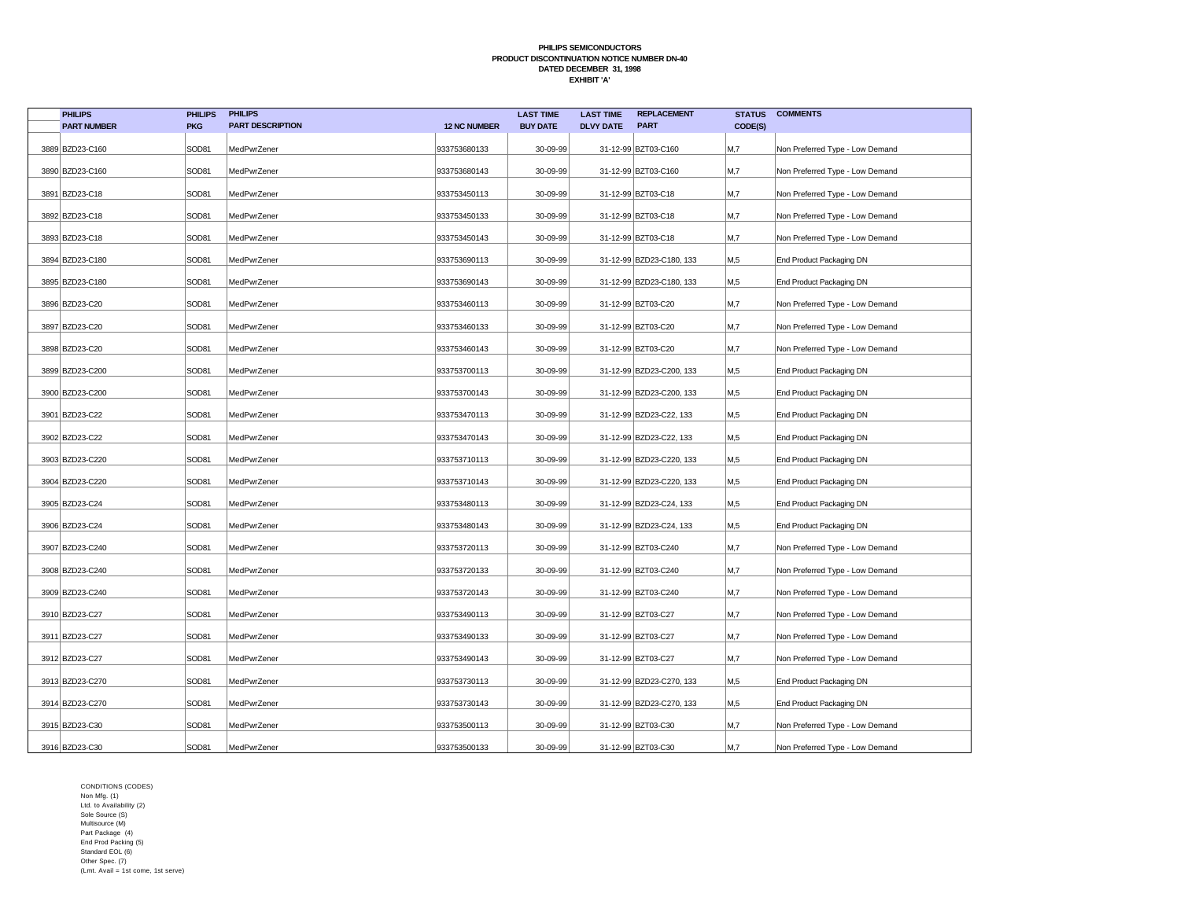| <b>PHILIPS</b>     | <b>PHILIPS</b> | <b>PHILIPS</b>          |                     | <b>LAST TIME</b> | <b>LAST TIME</b> | <b>REPLACEMENT</b>       | <b>STATUS</b>  | <b>COMMENTS</b>                 |
|--------------------|----------------|-------------------------|---------------------|------------------|------------------|--------------------------|----------------|---------------------------------|
| <b>PART NUMBER</b> | <b>PKG</b>     | <b>PART DESCRIPTION</b> | <b>12 NC NUMBER</b> | <b>BUY DATE</b>  | <b>DLVY DATE</b> | <b>PART</b>              | CODE(S)        |                                 |
| 3889 BZD23-C160    | SOD81          | MedPwrZener             | 933753680133        | 30-09-99         |                  | 31-12-99 BZT03-C160      | M,7            | Non Preferred Type - Low Demand |
| 3890 BZD23-C160    | SOD81          | MedPwrZener             | 933753680143        | 30-09-99         |                  | 31-12-99 BZT03-C160      | M,7            | Non Preferred Type - Low Demand |
| 3891 BZD23-C18     | SOD81          | MedPwrZener             | 933753450113        | 30-09-99         |                  | 31-12-99 BZT03-C18       | M <sub>1</sub> | Non Preferred Type - Low Demand |
| 3892 BZD23-C18     | SOD81          | MedPwrZener             | 933753450133        | 30-09-99         |                  | 31-12-99 BZT03-C18       | M,7            | Non Preferred Type - Low Demand |
| 3893 BZD23-C18     | SOD81          | MedPwrZener             | 933753450143        | 30-09-99         |                  | 31-12-99 BZT03-C18       | M <sub>1</sub> | Non Preferred Type - Low Demand |
| 3894 BZD23-C180    | SOD81          | MedPwrZener             | 933753690113        | 30-09-99         |                  | 31-12-99 BZD23-C180, 133 | M,5            | End Product Packaging DN        |
| 3895 BZD23-C180    | SOD81          | MedPwrZener             | 933753690143        | 30-09-99         |                  | 31-12-99 BZD23-C180, 133 | M,5            | End Product Packaging DN        |
| 3896 BZD23-C20     | SOD81          | MedPwrZener             | 933753460113        | 30-09-99         |                  | 31-12-99 BZT03-C20       | M,7            | Non Preferred Type - Low Demand |
| 3897 BZD23-C20     | SOD81          | MedPwrZener             | 933753460133        | 30-09-99         |                  | 31-12-99 BZT03-C20       | M,7            | Non Preferred Type - Low Demand |
| 3898 BZD23-C20     | SOD81          | MedPwrZener             | 933753460143        | 30-09-99         |                  | 31-12-99 BZT03-C20       | M <sub>1</sub> | Non Preferred Type - Low Demand |
| 3899 BZD23-C200    | SOD81          | MedPwrZener             | 933753700113        | 30-09-99         |                  | 31-12-99 BZD23-C200, 133 | M,5            | End Product Packaging DN        |
| 3900 BZD23-C200    | SOD81          | MedPwrZener             | 933753700143        | 30-09-99         |                  | 31-12-99 BZD23-C200, 133 | M,5            | End Product Packaging DN        |
| 3901 BZD23-C22     | SOD81          | MedPwrZener             | 933753470113        | 30-09-99         |                  | 31-12-99 BZD23-C22, 133  | M,5            | End Product Packaging DN        |
| 3902 BZD23-C22     | SOD81          | MedPwrZener             | 933753470143        | 30-09-99         |                  | 31-12-99 BZD23-C22, 133  | M,5            | End Product Packaging DN        |
| 3903 BZD23-C220    | SOD81          | MedPwrZener             | 933753710113        | 30-09-99         |                  | 31-12-99 BZD23-C220, 133 | M,5            | End Product Packaging DN        |
| 3904 BZD23-C220    | SOD81          | MedPwrZener             | 933753710143        | 30-09-99         |                  | 31-12-99 BZD23-C220, 133 | M,5            | End Product Packaging DN        |
| 3905 BZD23-C24     | SOD81          | MedPwrZener             | 933753480113        | 30-09-99         |                  | 31-12-99 BZD23-C24, 133  | M,5            | End Product Packaging DN        |
| 3906 BZD23-C24     | SOD81          | MedPwrZener             | 933753480143        | 30-09-99         |                  | 31-12-99 BZD23-C24, 133  | M,5            | End Product Packaging DN        |
| 3907 BZD23-C240    | SOD81          | MedPwrZener             | 933753720113        | 30-09-99         |                  | 31-12-99 BZT03-C240      | M,7            | Non Preferred Type - Low Demand |
| 3908 BZD23-C240    | SOD81          | MedPwrZener             | 933753720133        | 30-09-99         |                  | 31-12-99 BZT03-C240      | M,7            | Non Preferred Type - Low Demand |
| 3909 BZD23-C240    | SOD81          | MedPwrZener             | 933753720143        | 30-09-99         |                  | 31-12-99 BZT03-C240      | M,7            | Non Preferred Type - Low Demand |
| 3910 BZD23-C27     | SOD81          | MedPwrZener             | 933753490113        | 30-09-99         |                  | 31-12-99 BZT03-C27       | M,7            | Non Preferred Type - Low Demand |
| 3911 BZD23-C27     | SOD81          | MedPwrZener             | 933753490133        | 30-09-99         |                  | 31-12-99 BZT03-C27       | M,7            | Non Preferred Type - Low Demand |
| 3912 BZD23-C27     | SOD81          | MedPwrZener             | 933753490143        | 30-09-99         |                  | 31-12-99 BZT03-C27       | M,7            | Non Preferred Type - Low Demand |
| 3913 BZD23-C270    | SOD81          | MedPwrZener             | 933753730113        | 30-09-99         |                  | 31-12-99 BZD23-C270, 133 | M,5            | End Product Packaging DN        |
| 3914 BZD23-C270    | SOD81          | MedPwrZener             | 933753730143        | 30-09-99         |                  | 31-12-99 BZD23-C270, 133 | M,5            | End Product Packaging DN        |
| 3915 BZD23-C30     | SOD81          | MedPwrZener             | 933753500113        | 30-09-99         |                  | 31-12-99 BZT03-C30       | M,7            | Non Preferred Type - Low Demand |
| 3916 BZD23-C30     | SOD81          | MedPwrZener             | 933753500133        | 30-09-99         |                  | 31-12-99 BZT03-C30       | M,7            | Non Preferred Type - Low Demand |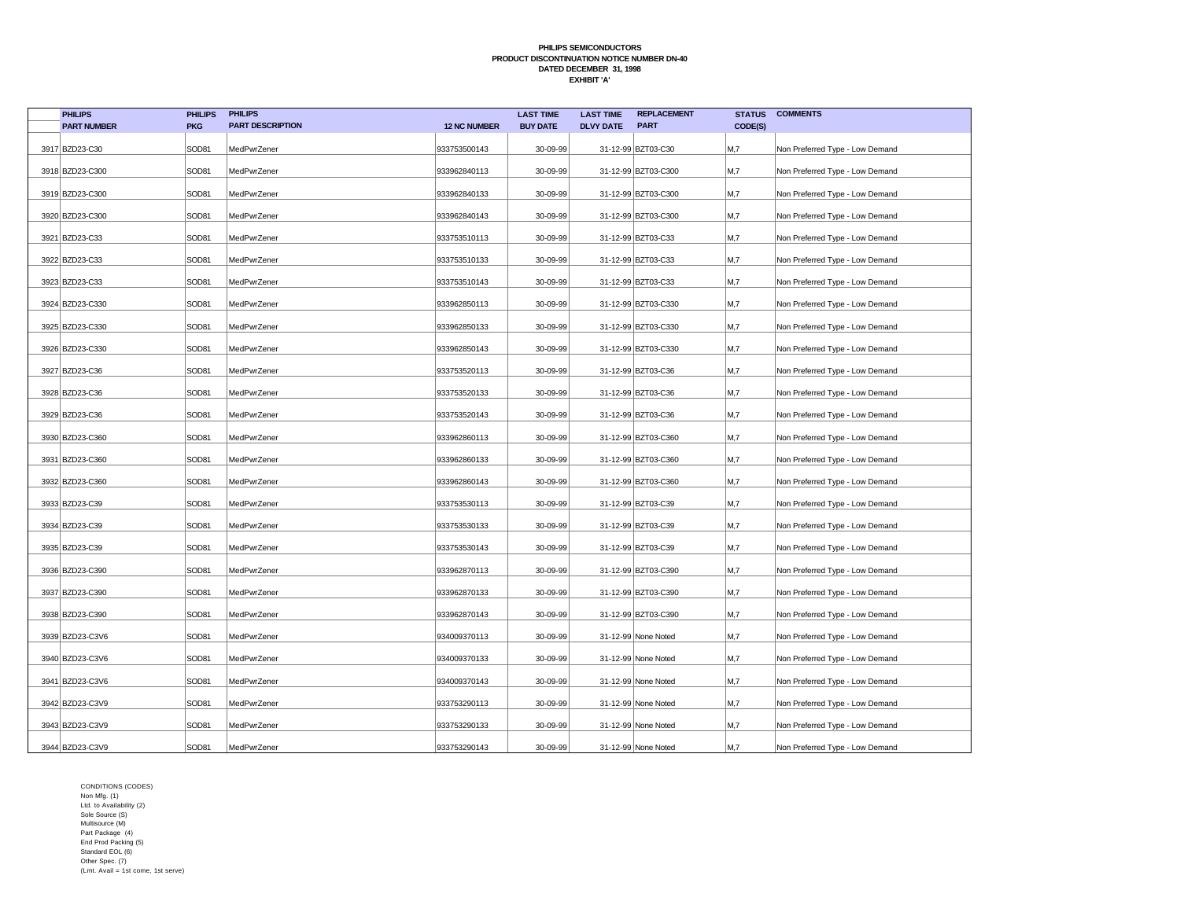| <b>PHILIPS</b>     | <b>PHILIPS</b> | <b>PHILIPS</b>          |                     | <b>LAST TIME</b> | <b>LAST TIME</b> | <b>REPLACEMENT</b>  | <b>STATUS</b> | <b>COMMENTS</b>                 |
|--------------------|----------------|-------------------------|---------------------|------------------|------------------|---------------------|---------------|---------------------------------|
| <b>PART NUMBER</b> | <b>PKG</b>     | <b>PART DESCRIPTION</b> | <b>12 NC NUMBER</b> | <b>BUY DATE</b>  | <b>DLVY DATE</b> | <b>PART</b>         | CODE(S)       |                                 |
| 3917 BZD23-C30     | SOD81          | MedPwrZener             | 933753500143        | 30-09-99         |                  | 31-12-99 BZT03-C30  | M,7           | Non Preferred Type - Low Demand |
| 3918 BZD23-C300    | SOD81          | MedPwrZener             | 933962840113        | 30-09-99         |                  | 31-12-99 BZT03-C300 | M,7           | Non Preferred Type - Low Demand |
| 3919 BZD23-C300    | SOD81          | MedPwrZener             | 933962840133        | 30-09-99         |                  | 31-12-99 BZT03-C300 | M,7           | Non Preferred Type - Low Demand |
| 3920 BZD23-C300    | SOD81          | MedPwrZener             | 933962840143        | 30-09-99         |                  | 31-12-99 BZT03-C300 | M,7           | Non Preferred Type - Low Demand |
| 3921 BZD23-C33     | SOD81          | MedPwrZener             | 933753510113        | 30-09-99         |                  | 31-12-99 BZT03-C33  | M,7           | Non Preferred Type - Low Demand |
| 3922 BZD23-C33     | SOD81          | MedPwrZener             | 933753510133        | 30-09-99         |                  | 31-12-99 BZT03-C33  | M,7           | Non Preferred Type - Low Demand |
| 3923 BZD23-C33     | SOD81          | MedPwrZener             | 933753510143        | 30-09-99         |                  | 31-12-99 BZT03-C33  | M,7           | Non Preferred Type - Low Demand |
| 3924 BZD23-C330    | SOD81          | MedPwrZener             | 933962850113        | 30-09-99         |                  | 31-12-99 BZT03-C330 | M,7           | Non Preferred Type - Low Demand |
| 3925 BZD23-C330    | SOD81          | MedPwrZener             | 933962850133        | 30-09-99         |                  | 31-12-99 BZT03-C330 | M,7           | Non Preferred Type - Low Demand |
| 3926 BZD23-C330    | SOD81          | MedPwrZener             | 933962850143        | 30-09-99         |                  | 31-12-99 BZT03-C330 | M,7           | Non Preferred Type - Low Demand |
| 3927 BZD23-C36     | SOD81          | MedPwrZener             | 933753520113        | 30-09-99         |                  | 31-12-99 BZT03-C36  | M,7           | Non Preferred Type - Low Demand |
| 3928 BZD23-C36     | SOD81          | MedPwrZener             | 933753520133        | 30-09-99         |                  | 31-12-99 BZT03-C36  | M,7           | Non Preferred Type - Low Demand |
| 3929 BZD23-C36     | SOD81          | MedPwrZener             | 933753520143        | 30-09-99         |                  | 31-12-99 BZT03-C36  | M,7           | Non Preferred Type - Low Demand |
| 3930 BZD23-C360    | SOD81          | MedPwrZener             | 933962860113        | 30-09-99         |                  | 31-12-99 BZT03-C360 | M,7           | Non Preferred Type - Low Demand |
| 3931 BZD23-C360    | SOD81          | MedPwrZener             | 933962860133        | 30-09-99         |                  | 31-12-99 BZT03-C360 | M,7           | Non Preferred Type - Low Demand |
| 3932 BZD23-C360    | SOD81          | MedPwrZener             | 933962860143        | 30-09-99         |                  | 31-12-99 BZT03-C360 | M,7           | Non Preferred Type - Low Demand |
| 3933 BZD23-C39     | SOD81          | MedPwrZener             | 933753530113        | 30-09-99         |                  | 31-12-99 BZT03-C39  | M,7           | Non Preferred Type - Low Demand |
| 3934 BZD23-C39     | SOD81          | MedPwrZener             | 933753530133        | 30-09-99         |                  | 31-12-99 BZT03-C39  | M,7           | Non Preferred Type - Low Demand |
| 3935 BZD23-C39     | SOD81          | MedPwrZener             | 933753530143        | 30-09-99         |                  | 31-12-99 BZT03-C39  | M,7           | Non Preferred Type - Low Demand |
| 3936 BZD23-C390    | SOD81          | MedPwrZener             | 933962870113        | 30-09-99         |                  | 31-12-99 BZT03-C390 | M,7           | Non Preferred Type - Low Demand |
| 3937 BZD23-C390    | SOD81          | MedPwrZener             | 933962870133        | 30-09-99         |                  | 31-12-99 BZT03-C390 | M,7           | Non Preferred Type - Low Demand |
| 3938 BZD23-C390    | SOD81          | MedPwrZener             | 933962870143        | 30-09-99         |                  | 31-12-99 BZT03-C390 | M,7           | Non Preferred Type - Low Demand |
| 3939 BZD23-C3V6    | SOD81          | MedPwrZener             | 934009370113        | 30-09-99         |                  | 31-12-99 None Noted | M,7           | Non Preferred Type - Low Demand |
| 3940 BZD23-C3V6    | SOD81          | MedPwrZener             | 934009370133        | 30-09-99         |                  | 31-12-99 None Noted | M,7           | Non Preferred Type - Low Demand |
| 3941 BZD23-C3V6    | SOD81          | MedPwrZener             | 934009370143        | 30-09-99         |                  | 31-12-99 None Noted | M,7           | Non Preferred Type - Low Demand |
| 3942 BZD23-C3V9    | SOD81          | MedPwrZener             | 933753290113        | 30-09-99         |                  | 31-12-99 None Noted | M,7           | Non Preferred Type - Low Demand |
| 3943 BZD23-C3V9    | SOD81          | MedPwrZener             | 933753290133        | 30-09-99         |                  | 31-12-99 None Noted | M,7           | Non Preferred Type - Low Demand |
| 3944 BZD23-C3V9    | SOD81          | MedPwrZener             | 933753290143        | 30-09-99         |                  | 31-12-99 None Noted | M,7           | Non Preferred Type - Low Demand |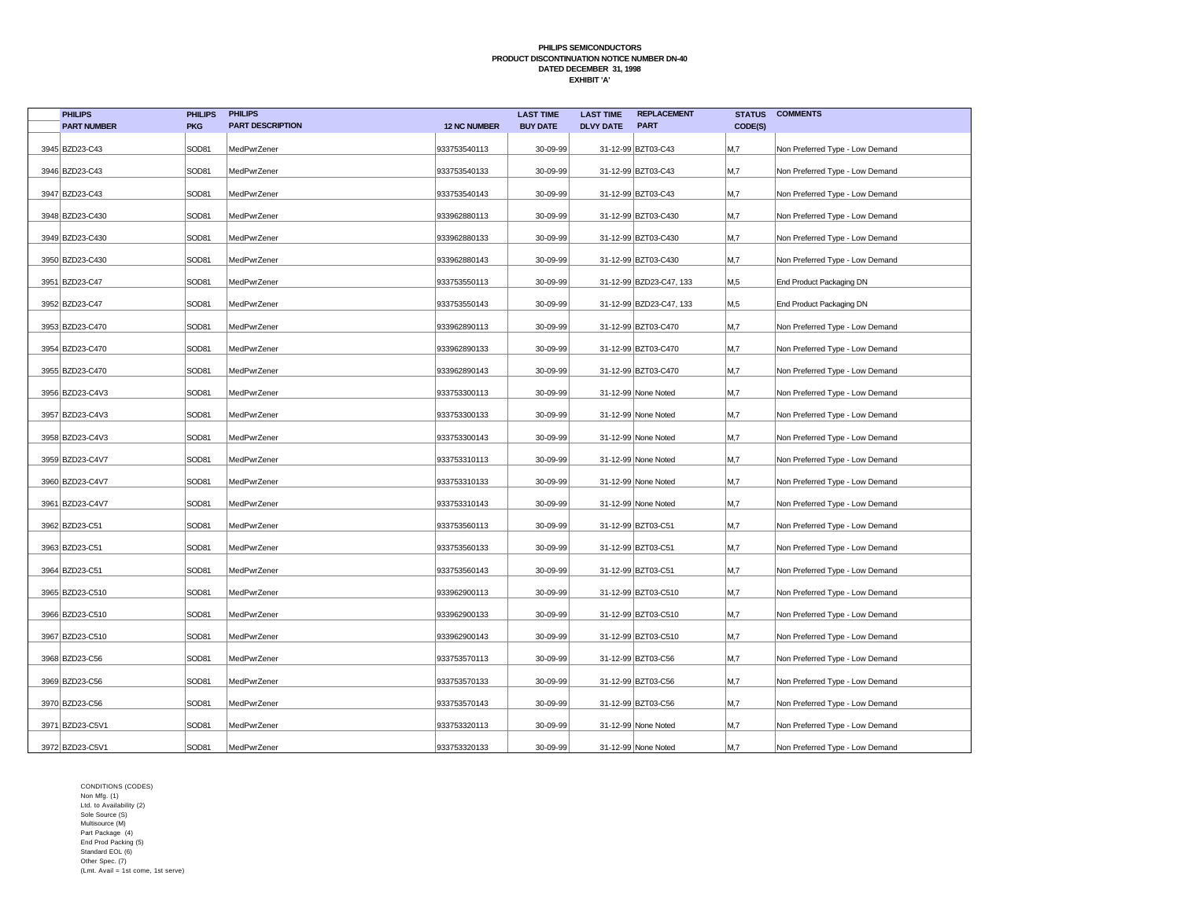| <b>PHILIPS</b>     | <b>PHILIPS</b> | <b>PHILIPS</b>          |                     | <b>LAST TIME</b> | <b>LAST TIME</b> | <b>REPLACEMENT</b>      | <b>STATUS</b>  | <b>COMMENTS</b>                 |
|--------------------|----------------|-------------------------|---------------------|------------------|------------------|-------------------------|----------------|---------------------------------|
| <b>PART NUMBER</b> | <b>PKG</b>     | <b>PART DESCRIPTION</b> | <b>12 NC NUMBER</b> | <b>BUY DATE</b>  | <b>DLVY DATE</b> | <b>PART</b>             | CODE(S)        |                                 |
| 3945 BZD23-C43     | SOD81          | MedPwrZener             | 933753540113        | 30-09-99         |                  | 31-12-99 BZT03-C43      | M,7            | Non Preferred Type - Low Demand |
| 3946 BZD23-C43     | SOD81          | MedPwrZener             | 933753540133        | 30-09-99         |                  | 31-12-99 BZT03-C43      | M,7            | Non Preferred Type - Low Demand |
| 3947 BZD23-C43     | SOD81          | MedPwrZener             | 933753540143        | 30-09-99         |                  | 31-12-99 BZT03-C43      | M,7            | Non Preferred Type - Low Demand |
| 3948 BZD23-C430    | SOD81          | MedPwrZener             | 933962880113        | 30-09-99         |                  | 31-12-99 BZT03-C430     | M,7            | Non Preferred Type - Low Demand |
| 3949 BZD23-C430    | SOD81          | MedPwrZener             | 933962880133        | 30-09-99         |                  | 31-12-99 BZT03-C430     | M,7            | Non Preferred Type - Low Demand |
| 3950 BZD23-C430    | SOD81          | MedPwrZener             | 933962880143        | 30-09-99         |                  | 31-12-99 BZT03-C430     | M <sub>1</sub> | Non Preferred Type - Low Demand |
| 3951 BZD23-C47     | SOD81          | MedPwrZener             | 933753550113        | 30-09-99         |                  | 31-12-99 BZD23-C47, 133 | M,5            | End Product Packaging DN        |
| 3952 BZD23-C47     | SOD81          | MedPwrZener             | 933753550143        | 30-09-99         |                  | 31-12-99 BZD23-C47, 133 | M,5            | End Product Packaging DN        |
| 3953 BZD23-C470    | SOD81          | MedPwrZener             | 933962890113        | 30-09-99         |                  | 31-12-99 BZT03-C470     | M,7            | Non Preferred Type - Low Demand |
| 3954 BZD23-C470    | SOD81          | MedPwrZener             | 933962890133        | 30-09-99         |                  | 31-12-99 BZT03-C470     | M,7            | Non Preferred Type - Low Demand |
| 3955 BZD23-C470    | SOD81          | MedPwrZener             | 933962890143        | 30-09-99         |                  | 31-12-99 BZT03-C470     | M,7            | Non Preferred Type - Low Demand |
| 3956 BZD23-C4V3    | SOD81          | MedPwrZener             | 933753300113        | 30-09-99         |                  | 31-12-99 None Noted     | M,7            | Non Preferred Type - Low Demand |
| 3957 BZD23-C4V3    | SOD81          | MedPwrZener             | 933753300133        | 30-09-99         |                  | 31-12-99 None Noted     | M,7            | Non Preferred Type - Low Demand |
| 3958 BZD23-C4V3    | SOD81          | MedPwrZener             | 933753300143        | 30-09-99         |                  | 31-12-99 None Noted     | M,7            | Non Preferred Type - Low Demand |
| 3959 BZD23-C4V7    | SOD81          | MedPwrZener             | 933753310113        | 30-09-99         |                  | 31-12-99 None Noted     | M,7            | Non Preferred Type - Low Demand |
| 3960 BZD23-C4V7    | SOD81          | MedPwrZener             | 933753310133        | 30-09-99         |                  | 31-12-99 None Noted     | M,7            | Non Preferred Type - Low Demand |
| 3961 BZD23-C4V7    | SOD81          | MedPwrZener             | 933753310143        | 30-09-99         |                  | 31-12-99 None Noted     | M <sub>1</sub> | Non Preferred Type - Low Demand |
| 3962 BZD23-C51     | SOD81          | MedPwrZener             | 933753560113        | 30-09-99         |                  | 31-12-99 BZT03-C51      | M,7            | Non Preferred Type - Low Demand |
| 3963 BZD23-C51     | SOD81          | MedPwrZener             | 933753560133        | 30-09-99         |                  | 31-12-99 BZT03-C51      | M,7            | Non Preferred Type - Low Demand |
| 3964 BZD23-C51     | SOD81          | MedPwrZener             | 933753560143        | 30-09-99         |                  | 31-12-99 BZT03-C51      | M,7            | Non Preferred Type - Low Demand |
| 3965 BZD23-C510    | SOD81          | MedPwrZener             | 933962900113        | 30-09-99         |                  | 31-12-99 BZT03-C510     | M,7            | Non Preferred Type - Low Demand |
| 3966 BZD23-C510    | SOD81          | MedPwrZener             | 933962900133        | 30-09-99         |                  | 31-12-99 BZT03-C510     | M,7            | Non Preferred Type - Low Demand |
| 3967 BZD23-C510    | SOD81          | MedPwrZener             | 933962900143        | 30-09-99         |                  | 31-12-99 BZT03-C510     | M,7            | Non Preferred Type - Low Demand |
| 3968 BZD23-C56     | SOD81          | MedPwrZener             | 933753570113        | 30-09-99         |                  | 31-12-99 BZT03-C56      | M,7            | Non Preferred Type - Low Demand |
| 3969 BZD23-C56     | SOD81          | MedPwrZener             | 933753570133        | 30-09-99         |                  | 31-12-99 BZT03-C56      | M,7            | Non Preferred Type - Low Demand |
| 3970 BZD23-C56     | SOD81          | MedPwrZener             | 933753570143        | 30-09-99         |                  | 31-12-99 BZT03-C56      | M,7            | Non Preferred Type - Low Demand |
| 3971 BZD23-C5V1    | SOD81          | MedPwrZener             | 933753320113        | 30-09-99         |                  | 31-12-99 None Noted     | M,7            | Non Preferred Type - Low Demand |
| 3972 BZD23-C5V1    | SOD81          | MedPwrZener             | 933753320133        | 30-09-99         |                  | 31-12-99 None Noted     | M,7            | Non Preferred Type - Low Demand |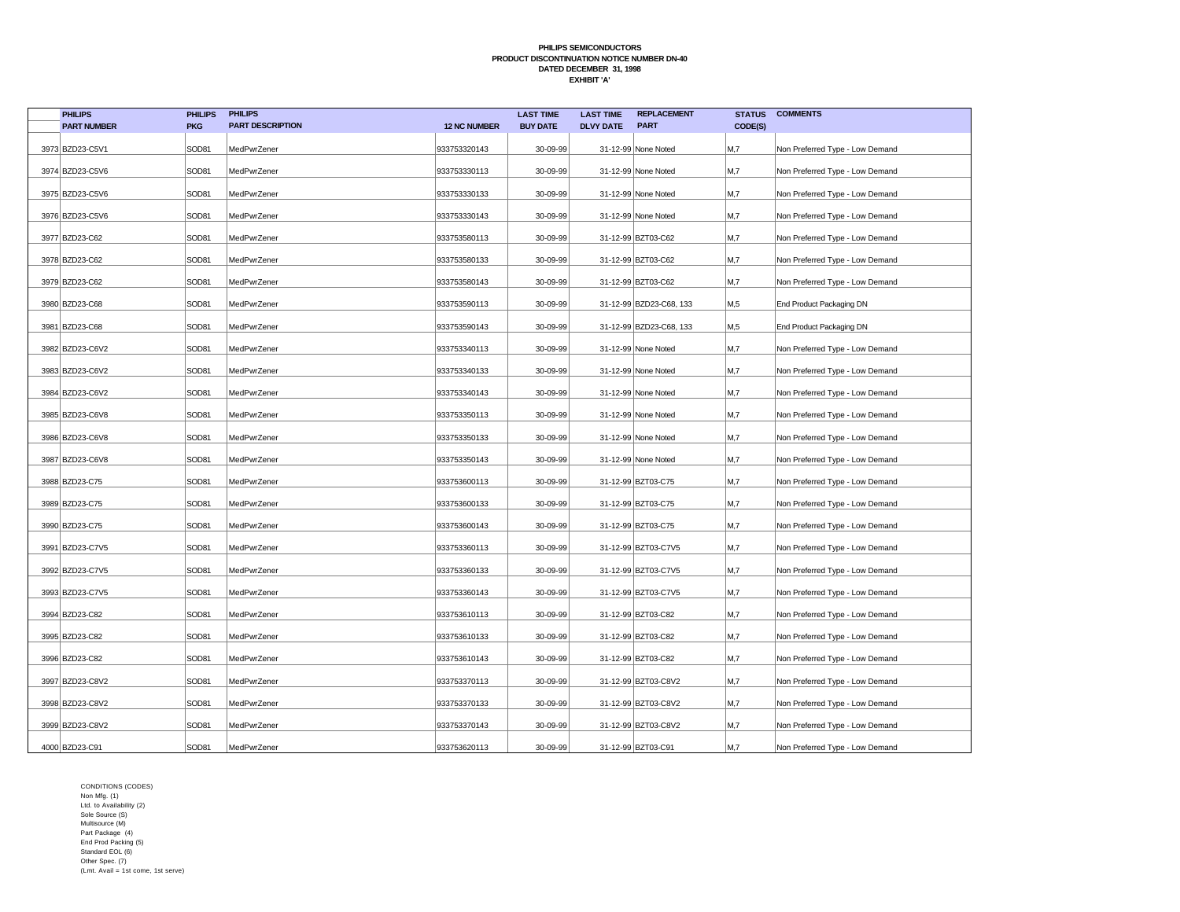| <b>PHILIPS</b>     | <b>PHILIPS</b> | <b>PHILIPS</b>          |                     | <b>LAST TIME</b> | <b>LAST TIME</b> | <b>REPLACEMENT</b>      | <b>STATUS</b> | <b>COMMENTS</b>                 |
|--------------------|----------------|-------------------------|---------------------|------------------|------------------|-------------------------|---------------|---------------------------------|
| <b>PART NUMBER</b> | <b>PKG</b>     | <b>PART DESCRIPTION</b> | <b>12 NC NUMBER</b> | <b>BUY DATE</b>  | <b>DLVY DATE</b> | <b>PART</b>             | CODE(S)       |                                 |
| 3973 BZD23-C5V1    | SOD81          | MedPwrZener             | 933753320143        | 30-09-99         |                  | 31-12-99 None Noted     | M,7           | Non Preferred Type - Low Demand |
| 3974 BZD23-C5V6    | SOD81          | MedPwrZener             | 933753330113        | 30-09-99         |                  | 31-12-99 None Noted     | M,7           | Non Preferred Type - Low Demand |
| 3975 BZD23-C5V6    | SOD81          | MedPwrZener             | 933753330133        | 30-09-99         |                  | 31-12-99 None Noted     | M,7           | Non Preferred Type - Low Demand |
| 3976 BZD23-C5V6    | SOD81          | MedPwrZener             | 933753330143        | 30-09-99         |                  | 31-12-99 None Noted     | M,7           | Non Preferred Type - Low Demand |
| 3977 BZD23-C62     | SOD81          | MedPwrZener             | 933753580113        | 30-09-99         |                  | 31-12-99 BZT03-C62      | M,7           | Non Preferred Type - Low Demand |
| 3978 BZD23-C62     | SOD81          | MedPwrZener             | 933753580133        | 30-09-99         |                  | 31-12-99 BZT03-C62      | M,7           | Non Preferred Type - Low Demand |
| 3979 BZD23-C62     | SOD81          | MedPwrZener             | 933753580143        | 30-09-99         |                  | 31-12-99 BZT03-C62      | M,7           | Non Preferred Type - Low Demand |
| 3980 BZD23-C68     | SOD81          | MedPwrZener             | 933753590113        | 30-09-99         |                  | 31-12-99 BZD23-C68, 133 | M,5           | End Product Packaging DN        |
| 3981 BZD23-C68     | SOD81          | MedPwrZener             | 933753590143        | 30-09-99         |                  | 31-12-99 BZD23-C68, 133 | M,5           | End Product Packaging DN        |
| 3982 BZD23-C6V2    | SOD81          | MedPwrZener             | 933753340113        | 30-09-99         |                  | 31-12-99 None Noted     | M,7           | Non Preferred Type - Low Demand |
| 3983 BZD23-C6V2    | SOD81          | MedPwrZener             | 933753340133        | 30-09-99         |                  | 31-12-99 None Noted     | M,7           | Non Preferred Type - Low Demand |
| 3984 BZD23-C6V2    | SOD81          | MedPwrZener             | 933753340143        | 30-09-99         |                  | 31-12-99 None Noted     | M,7           | Non Preferred Type - Low Demand |
| 3985 BZD23-C6V8    | SOD81          | MedPwrZener             | 933753350113        | 30-09-99         |                  | 31-12-99 None Noted     | M,7           | Non Preferred Type - Low Demand |
| 3986 BZD23-C6V8    | SOD81          | MedPwrZener             | 933753350133        | 30-09-99         |                  | 31-12-99 None Noted     | M,7           | Non Preferred Type - Low Demand |
| 3987 BZD23-C6V8    | SOD81          | MedPwrZener             | 933753350143        | 30-09-99         |                  | 31-12-99 None Noted     | M,7           | Non Preferred Type - Low Demand |
| 3988 BZD23-C75     | SOD81          | MedPwrZener             | 933753600113        | 30-09-99         |                  | 31-12-99 BZT03-C75      | M,7           | Non Preferred Type - Low Demand |
| 3989 BZD23-C75     | SOD81          | MedPwrZener             | 933753600133        | 30-09-99         |                  | 31-12-99 BZT03-C75      | M,7           | Non Preferred Type - Low Demand |
| 3990 BZD23-C75     | SOD81          | MedPwrZener             | 933753600143        | 30-09-99         |                  | 31-12-99 BZT03-C75      | M,7           | Non Preferred Type - Low Demand |
| 3991 BZD23-C7V5    | SOD81          | MedPwrZener             | 933753360113        | 30-09-99         |                  | 31-12-99 BZT03-C7V5     | M,7           | Non Preferred Type - Low Demand |
| 3992 BZD23-C7V5    | SOD81          | MedPwrZener             | 933753360133        | 30-09-99         |                  | 31-12-99 BZT03-C7V5     | M,7           | Non Preferred Type - Low Demand |
| 3993 BZD23-C7V5    | SOD81          | MedPwrZener             | 933753360143        | 30-09-99         |                  | 31-12-99 BZT03-C7V5     | M,7           | Non Preferred Type - Low Demand |
| 3994 BZD23-C82     | SOD81          | MedPwrZener             | 933753610113        | 30-09-99         |                  | 31-12-99 BZT03-C82      | M,7           | Non Preferred Type - Low Demand |
| 3995 BZD23-C82     | SOD81          | MedPwrZener             | 933753610133        | 30-09-99         |                  | 31-12-99 BZT03-C82      | M,7           | Non Preferred Type - Low Demand |
| 3996 BZD23-C82     | SOD81          | MedPwrZener             | 933753610143        | 30-09-99         |                  | 31-12-99 BZT03-C82      | M,7           | Non Preferred Type - Low Demand |
| 3997 BZD23-C8V2    | SOD81          | MedPwrZener             | 933753370113        | 30-09-99         |                  | 31-12-99 BZT03-C8V2     | M,7           | Non Preferred Type - Low Demand |
| 3998 BZD23-C8V2    | SOD81          | MedPwrZener             | 933753370133        | 30-09-99         |                  | 31-12-99 BZT03-C8V2     | M,7           | Non Preferred Type - Low Demand |
| 3999 BZD23-C8V2    | SOD81          | MedPwrZener             | 933753370143        | 30-09-99         |                  | 31-12-99 BZT03-C8V2     | M,7           | Non Preferred Type - Low Demand |
| 4000 BZD23-C91     | SOD81          | MedPwrZener             | 933753620113        | 30-09-99         |                  | 31-12-99 BZT03-C91      | M,7           | Non Preferred Type - Low Demand |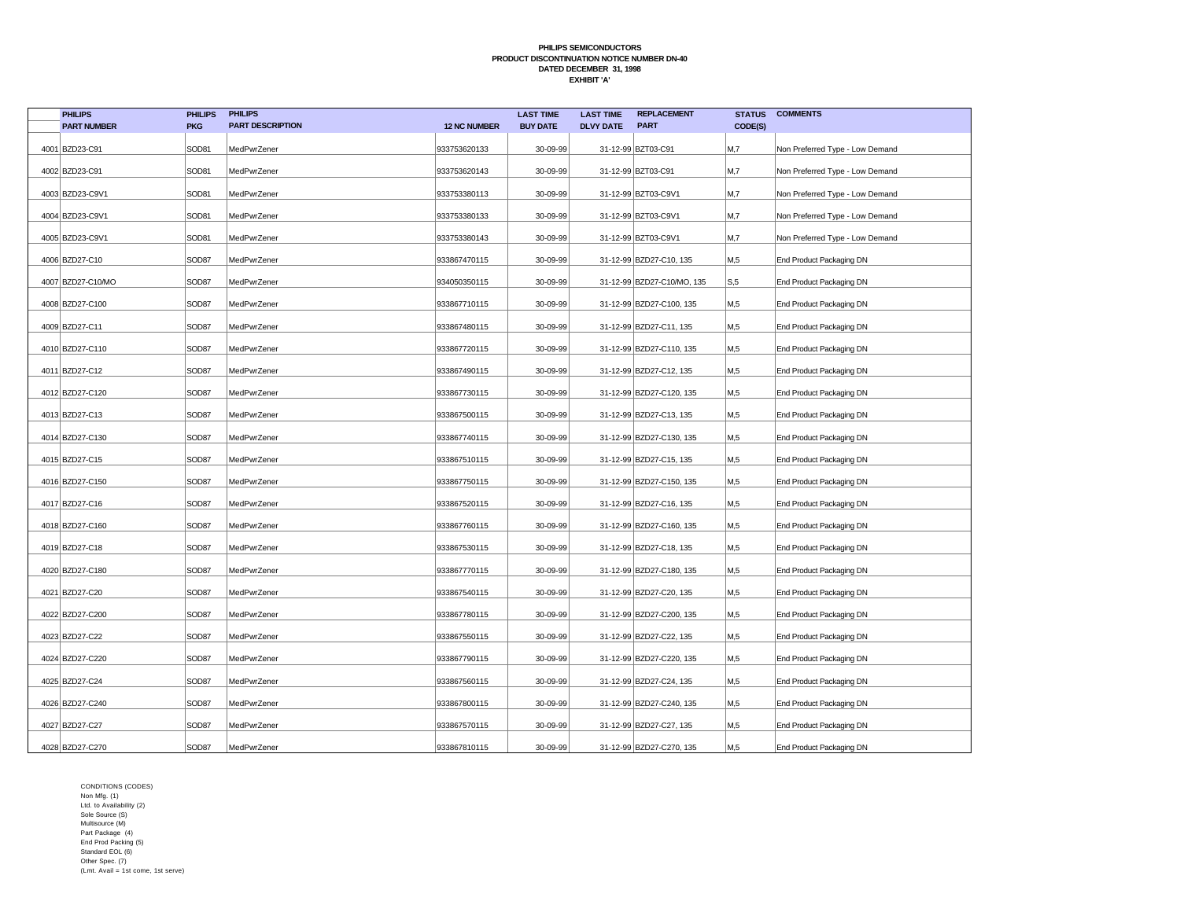| <b>PHILIPS</b>     | <b>PHILIPS</b> | <b>PHILIPS</b>          |                     | <b>LAST TIME</b> | <b>LAST TIME</b> | <b>REPLACEMENT</b>         | <b>STATUS</b>  | <b>COMMENTS</b>                 |
|--------------------|----------------|-------------------------|---------------------|------------------|------------------|----------------------------|----------------|---------------------------------|
| <b>PART NUMBER</b> | <b>PKG</b>     | <b>PART DESCRIPTION</b> | <b>12 NC NUMBER</b> | <b>BUY DATE</b>  | <b>DLVY DATE</b> | <b>PART</b>                | CODE(S)        |                                 |
| 4001 BZD23-C91     | SOD81          | MedPwrZener             | 933753620133        | 30-09-99         |                  | 31-12-99 BZT03-C91         | M,7            | Non Preferred Type - Low Demand |
| 4002 BZD23-C91     | SOD81          | MedPwrZener             | 933753620143        | 30-09-99         |                  | 31-12-99 BZT03-C91         | M,7            | Non Preferred Type - Low Demand |
| 4003 BZD23-C9V1    | SOD81          | MedPwrZener             | 933753380113        | 30-09-99         |                  | 31-12-99 BZT03-C9V1        | M,7            | Non Preferred Type - Low Demand |
| 4004 BZD23-C9V1    | SOD81          | MedPwrZener             | 933753380133        | 30-09-99         |                  | 31-12-99 BZT03-C9V1        | M <sub>1</sub> | Non Preferred Type - Low Demand |
| 4005 BZD23-C9V1    | SOD81          | MedPwrZener             | 933753380143        | 30-09-99         |                  | 31-12-99 BZT03-C9V1        | M <sub>1</sub> | Non Preferred Type - Low Demand |
| 4006 BZD27-C10     | SOD87          | MedPwrZener             | 933867470115        | 30-09-99         |                  | 31-12-99 BZD27-C10, 135    | M,5            | End Product Packaging DN        |
| 4007 BZD27-C10/MO  | SOD87          | MedPwrZener             | 934050350115        | 30-09-99         |                  | 31-12-99 BZD27-C10/MO, 135 | S, 5           | End Product Packaging DN        |
| 4008 BZD27-C100    | SOD87          | MedPwrZener             | 933867710115        | 30-09-99         |                  | 31-12-99 BZD27-C100, 135   | M,5            | End Product Packaging DN        |
| 4009 BZD27-C11     | SOD87          | MedPwrZener             | 933867480115        | 30-09-99         |                  | 31-12-99 BZD27-C11, 135    | M,5            | End Product Packaging DN        |
| 4010 BZD27-C110    | SOD87          | MedPwrZener             | 933867720115        | 30-09-99         |                  | 31-12-99 BZD27-C110, 135   | M,5            | End Product Packaging DN        |
| 4011 BZD27-C12     | SOD87          | MedPwrZener             | 933867490115        | 30-09-99         |                  | 31-12-99 BZD27-C12, 135    | M,5            | End Product Packaging DN        |
| 4012 BZD27-C120    | SOD87          | MedPwrZener             | 933867730115        | 30-09-99         |                  | 31-12-99 BZD27-C120, 135   | M,5            | End Product Packaging DN        |
| 4013 BZD27-C13     | SOD87          | MedPwrZener             | 933867500115        | 30-09-99         |                  | 31-12-99 BZD27-C13, 135    | M,5            | End Product Packaging DN        |
| 4014 BZD27-C130    | SOD87          | MedPwrZener             | 933867740115        | 30-09-99         |                  | 31-12-99 BZD27-C130, 135   | M,5            | End Product Packaging DN        |
| 4015 BZD27-C15     | SOD87          | MedPwrZener             | 933867510115        | 30-09-99         |                  | 31-12-99 BZD27-C15, 135    | M,5            | End Product Packaging DN        |
| 4016 BZD27-C150    | SOD87          | MedPwrZener             | 933867750115        | 30-09-99         |                  | 31-12-99 BZD27-C150, 135   | M,5            | End Product Packaging DN        |
| 4017 BZD27-C16     | SOD87          | MedPwrZener             | 933867520115        | 30-09-99         |                  | 31-12-99 BZD27-C16, 135    | M,5            | End Product Packaging DN        |
| 4018 BZD27-C160    | SOD87          | MedPwrZener             | 933867760115        | 30-09-99         |                  | 31-12-99 BZD27-C160, 135   | M,5            | End Product Packaging DN        |
| 4019 BZD27-C18     | SOD87          | MedPwrZener             | 933867530115        | 30-09-99         |                  | 31-12-99 BZD27-C18, 135    | M,5            | End Product Packaging DN        |
| 4020 BZD27-C180    | SOD87          | MedPwrZener             | 933867770115        | 30-09-99         |                  | 31-12-99 BZD27-C180, 135   | M,5            | End Product Packaging DN        |
| 4021 BZD27-C20     | SOD87          | MedPwrZener             | 933867540115        | 30-09-99         |                  | 31-12-99 BZD27-C20, 135    | M,5            | End Product Packaging DN        |
| 4022 BZD27-C200    | SOD87          | MedPwrZener             | 933867780115        | 30-09-99         |                  | 31-12-99 BZD27-C200, 135   | M,5            | End Product Packaging DN        |
| 4023 BZD27-C22     | SOD87          | MedPwrZener             | 933867550115        | 30-09-99         |                  | 31-12-99 BZD27-C22, 135    | M,5            | End Product Packaging DN        |
| 4024 BZD27-C220    | SOD87          | MedPwrZener             | 933867790115        | 30-09-99         |                  | 31-12-99 BZD27-C220, 135   | M,5            | End Product Packaging DN        |
| 4025 BZD27-C24     | SOD87          | MedPwrZener             | 933867560115        | 30-09-99         |                  | 31-12-99 BZD27-C24, 135    | M,5            | End Product Packaging DN        |
| 4026 BZD27-C240    | SOD87          | MedPwrZener             | 933867800115        | 30-09-99         |                  | 31-12-99 BZD27-C240, 135   | M,5            | End Product Packaging DN        |
| 4027 BZD27-C27     | SOD87          | MedPwrZener             | 933867570115        | 30-09-99         |                  | 31-12-99 BZD27-C27, 135    | M,5            | End Product Packaging DN        |
| 4028 BZD27-C270    | SOD87          | MedPwrZener             | 933867810115        | 30-09-99         |                  | 31-12-99 BZD27-C270, 135   | M,5            | End Product Packaging DN        |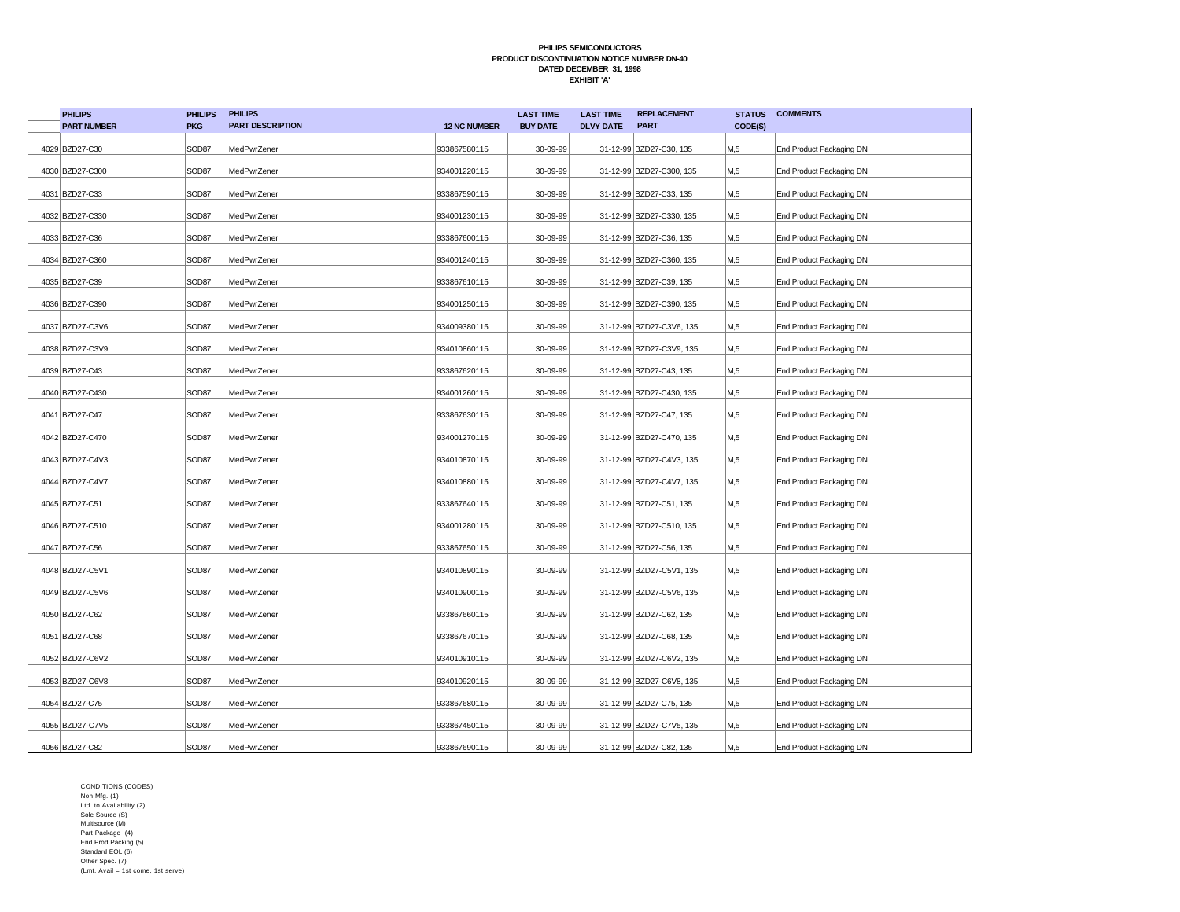| <b>PHILIPS</b>     | <b>PHILIPS</b> | <b>PHILIPS</b>          |                     | <b>LAST TIME</b> | <b>LAST TIME</b> | <b>REPLACEMENT</b>       | <b>STATUS</b>    | <b>COMMENTS</b>          |
|--------------------|----------------|-------------------------|---------------------|------------------|------------------|--------------------------|------------------|--------------------------|
| <b>PART NUMBER</b> | <b>PKG</b>     | <b>PART DESCRIPTION</b> | <b>12 NC NUMBER</b> | <b>BUY DATE</b>  | <b>DLVY DATE</b> | <b>PART</b>              | CODE(S)          |                          |
| 4029 BZD27-C30     | SOD87          | MedPwrZener             | 933867580115        | 30-09-99         |                  | 31-12-99 BZD27-C30, 135  | M,5              | End Product Packaging DN |
| 4030 BZD27-C300    | SOD87          | MedPwrZener             | 934001220115        | 30-09-99         |                  | 31-12-99 BZD27-C300, 135 | M,5              | End Product Packaging DN |
| 4031 BZD27-C33     | SOD87          | MedPwrZener             | 933867590115        | 30-09-99         |                  | 31-12-99 BZD27-C33, 135  | M,5              | End Product Packaging DN |
| 4032 BZD27-C330    | SOD87          | MedPwrZener             | 934001230115        | 30-09-99         |                  | 31-12-99 BZD27-C330, 135 | M,5              | End Product Packaging DN |
| 4033 BZD27-C36     | SOD87          | MedPwrZener             | 933867600115        | 30-09-99         |                  | 31-12-99 BZD27-C36, 135  | M,5              | End Product Packaging DN |
| 4034 BZD27-C360    | SOD87          | MedPwrZener             | 934001240115        | 30-09-99         |                  | 31-12-99 BZD27-C360, 135 | M,5              | End Product Packaging DN |
| 4035 BZD27-C39     | SOD87          | MedPwrZener             | 933867610115        | 30-09-99         |                  | 31-12-99 BZD27-C39, 135  | M,5              | End Product Packaging DN |
| 4036 BZD27-C390    | SOD87          | MedPwrZener             | 934001250115        | 30-09-99         |                  | 31-12-99 BZD27-C390, 135 | M,5              | End Product Packaging DN |
| 4037 BZD27-C3V6    | SOD87          | MedPwrZener             | 934009380115        | 30-09-99         |                  | 31-12-99 BZD27-C3V6, 135 | M,5              | End Product Packaging DN |
| 4038 BZD27-C3V9    | SOD87          | MedPwrZener             | 934010860115        | 30-09-99         |                  | 31-12-99 BZD27-C3V9, 135 | M,5              | End Product Packaging DN |
| 4039 BZD27-C43     | SOD87          | MedPwrZener             | 933867620115        | 30-09-99         |                  | 31-12-99 BZD27-C43, 135  | M,5              | End Product Packaging DN |
| 4040 BZD27-C430    | SOD87          | MedPwrZener             | 934001260115        | 30-09-99         |                  | 31-12-99 BZD27-C430, 135 | M,5              | End Product Packaging DN |
| 4041 BZD27-C47     | SOD87          | MedPwrZener             | 933867630115        | 30-09-99         |                  | 31-12-99 BZD27-C47, 135  | M,5              | End Product Packaging DN |
| 4042 BZD27-C470    | SOD87          | MedPwrZener             | 934001270115        | 30-09-99         |                  | 31-12-99 BZD27-C470, 135 | M,5              | End Product Packaging DN |
| 4043 BZD27-C4V3    | SOD87          | MedPwrZener             | 934010870115        | 30-09-99         |                  | 31-12-99 BZD27-C4V3, 135 | M,5              | End Product Packaging DN |
| 4044 BZD27-C4V7    | SOD87          | MedPwrZener             | 934010880115        | 30-09-99         |                  | 31-12-99 BZD27-C4V7, 135 | M,5              | End Product Packaging DN |
| 4045 BZD27-C51     | SOD87          | MedPwrZener             | 933867640115        | 30-09-99         |                  | 31-12-99 BZD27-C51, 135  | M,5              | End Product Packaging DN |
| 4046 BZD27-C510    | SOD87          | MedPwrZener             | 934001280115        | 30-09-99         |                  | 31-12-99 BZD27-C510, 135 | M,5              | End Product Packaging DN |
| 4047 BZD27-C56     | SOD87          | MedPwrZener             | 933867650115        | 30-09-99         |                  | 31-12-99 BZD27-C56, 135  | M,5              | End Product Packaging DN |
| 4048 BZD27-C5V1    | SOD87          | MedPwrZener             | 934010890115        | 30-09-99         |                  | 31-12-99 BZD27-C5V1, 135 | M,5              | End Product Packaging DN |
| 4049 BZD27-C5V6    | SOD87          | MedPwrZener             | 934010900115        | 30-09-99         |                  | 31-12-99 BZD27-C5V6, 135 | M,5              | End Product Packaging DN |
| 4050 BZD27-C62     | SOD87          | MedPwrZener             | 933867660115        | 30-09-99         |                  | 31-12-99 BZD27-C62, 135  | M,5              | End Product Packaging DN |
| 4051 BZD27-C68     | SOD87          | MedPwrZener             | 933867670115        | 30-09-99         |                  | 31-12-99 BZD27-C68, 135  | M,5              | End Product Packaging DN |
| 4052 BZD27-C6V2    | SOD87          | MedPwrZener             | 934010910115        | 30-09-99         |                  | 31-12-99 BZD27-C6V2, 135 | M,5              | End Product Packaging DN |
| 4053 BZD27-C6V8    | SOD87          | MedPwrZener             | 934010920115        | 30-09-99         |                  | 31-12-99 BZD27-C6V8, 135 | M,5              | End Product Packaging DN |
| 4054 BZD27-C75     | SOD87          | MedPwrZener             | 933867680115        | 30-09-99         |                  | 31-12-99 BZD27-C75, 135  | М,5              | End Product Packaging DN |
| 4055 BZD27-C7V5    | SOD87          | MedPwrZener             | 933867450115        | 30-09-99         |                  | 31-12-99 BZD27-C7V5, 135 | M,5              | End Product Packaging DN |
| 4056 BZD27-C82     | SOD87          | MedPwrZener             | 933867690115        | 30-09-99         |                  | 31-12-99 BZD27-C82, 135  | M <sub>0.5</sub> | End Product Packaging DN |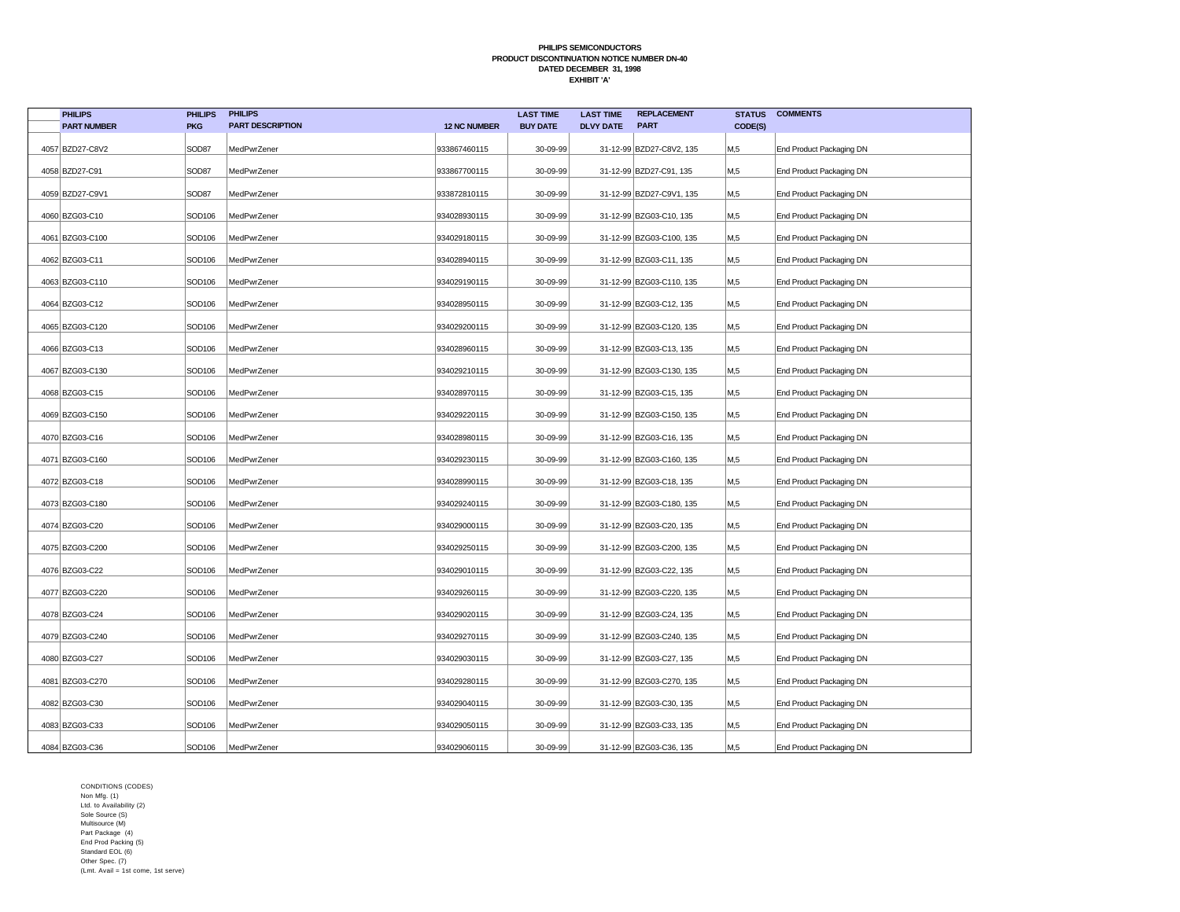| <b>PHILIPS</b>     | <b>PHILIPS</b> | <b>PHILIPS</b>          |                     | <b>LAST TIME</b> | <b>LAST TIME</b> | <b>REPLACEMENT</b>       | <b>STATUS</b> | <b>COMMENTS</b>          |
|--------------------|----------------|-------------------------|---------------------|------------------|------------------|--------------------------|---------------|--------------------------|
| <b>PART NUMBER</b> | <b>PKG</b>     | <b>PART DESCRIPTION</b> | <b>12 NC NUMBER</b> | <b>BUY DATE</b>  | <b>DLVY DATE</b> | <b>PART</b>              | CODE(S)       |                          |
| 4057 BZD27-C8V2    | SOD87          | MedPwrZener             | 933867460115        | 30-09-99         |                  | 31-12-99 BZD27-C8V2, 135 | M,5           | End Product Packaging DN |
| 4058 BZD27-C91     | SOD87          | MedPwrZener             | 933867700115        | 30-09-99         |                  | 31-12-99 BZD27-C91, 135  | M,5           | End Product Packaging DN |
| 4059 BZD27-C9V1    | SOD87          | MedPwrZener             | 933872810115        | 30-09-99         |                  | 31-12-99 BZD27-C9V1, 135 | M,5           | End Product Packaging DN |
| 4060 BZG03-C10     | SOD106         | MedPwrZener             | 934028930115        | 30-09-99         |                  | 31-12-99 BZG03-C10, 135  | M,5           | End Product Packaging DN |
| 4061 BZG03-C100    | SOD106         | MedPwrZener             | 934029180115        | 30-09-99         |                  | 31-12-99 BZG03-C100, 135 | M,5           | End Product Packaging DN |
| 4062 BZG03-C11     | SOD106         | MedPwrZener             | 934028940115        | 30-09-99         |                  | 31-12-99 BZG03-C11, 135  | M,5           | End Product Packaging DN |
| 4063 BZG03-C110    | SOD106         | MedPwrZener             | 934029190115        | 30-09-99         |                  | 31-12-99 BZG03-C110, 135 | M,5           | End Product Packaging DN |
| 4064 BZG03-C12     | SOD106         | MedPwrZener             | 934028950115        | 30-09-99         |                  | 31-12-99 BZG03-C12, 135  | M,5           | End Product Packaging DN |
| 4065 BZG03-C120    | SOD106         | MedPwrZener             | 934029200115        | 30-09-99         |                  | 31-12-99 BZG03-C120, 135 | M,5           | End Product Packaging DN |
| 4066 BZG03-C13     | SOD106         | MedPwrZener             | 934028960115        | 30-09-99         |                  | 31-12-99 BZG03-C13, 135  | M,5           | End Product Packaging DN |
| 4067 BZG03-C130    | SOD106         | MedPwrZener             | 934029210115        | 30-09-99         |                  | 31-12-99 BZG03-C130, 135 | M,5           | End Product Packaging DN |
| 4068 BZG03-C15     | SOD106         | MedPwrZener             | 934028970115        | 30-09-99         |                  | 31-12-99 BZG03-C15, 135  | M,5           | End Product Packaging DN |
| 4069 BZG03-C150    | SOD106         | MedPwrZener             | 934029220115        | 30-09-99         |                  | 31-12-99 BZG03-C150, 135 | M,5           | End Product Packaging DN |
| 4070 BZG03-C16     | SOD106         | MedPwrZener             | 934028980115        | 30-09-99         |                  | 31-12-99 BZG03-C16, 135  | M,5           | End Product Packaging DN |
| 4071 BZG03-C160    | SOD106         | MedPwrZener             | 934029230115        | 30-09-99         |                  | 31-12-99 BZG03-C160, 135 | М,5           | End Product Packaging DN |
| 4072 BZG03-C18     | SOD106         | MedPwrZener             | 934028990115        | 30-09-99         |                  | 31-12-99 BZG03-C18, 135  | M,5           | End Product Packaging DN |
| 4073 BZG03-C180    | SOD106         | MedPwrZener             | 934029240115        | 30-09-99         |                  | 31-12-99 BZG03-C180, 135 | M,5           | End Product Packaging DN |
| 4074 BZG03-C20     | SOD106         | MedPwrZener             | 934029000115        | 30-09-99         |                  | 31-12-99 BZG03-C20, 135  | M,5           | End Product Packaging DN |
| 4075 BZG03-C200    | SOD106         | MedPwrZener             | 934029250115        | 30-09-99         |                  | 31-12-99 BZG03-C200, 135 | M,5           | End Product Packaging DN |
| 4076 BZG03-C22     | SOD106         | MedPwrZener             | 934029010115        | 30-09-99         |                  | 31-12-99 BZG03-C22, 135  | M,5           | End Product Packaging DN |
| 4077 BZG03-C220    | SOD106         | MedPwrZener             | 934029260115        | 30-09-99         |                  | 31-12-99 BZG03-C220, 135 | M,5           | End Product Packaging DN |
| 4078 BZG03-C24     | SOD106         | MedPwrZener             | 934029020115        | 30-09-99         |                  | 31-12-99 BZG03-C24, 135  | M,5           | End Product Packaging DN |
| 4079 BZG03-C240    | SOD106         | MedPwrZener             | 934029270115        | 30-09-99         |                  | 31-12-99 BZG03-C240, 135 | M,5           | End Product Packaging DN |
| 4080 BZG03-C27     | SOD106         | MedPwrZener             | 934029030115        | 30-09-99         |                  | 31-12-99 BZG03-C27, 135  | M,5           | End Product Packaging DN |
| 4081 BZG03-C270    | SOD106         | MedPwrZener             | 934029280115        | 30-09-99         |                  | 31-12-99 BZG03-C270, 135 | M,5           | End Product Packaging DN |
| 4082 BZG03-C30     | SOD106         | MedPwrZener             | 934029040115        | 30-09-99         |                  | 31-12-99 BZG03-C30, 135  | M,5           | End Product Packaging DN |
| 4083 BZG03-C33     | SOD106         | MedPwrZener             | 934029050115        | 30-09-99         |                  | 31-12-99 BZG03-C33, 135  | M,5           | End Product Packaging DN |
| 4084 BZG03-C36     | SOD106         | MedPwrZener             | 934029060115        | 30-09-99         |                  | 31-12-99 BZG03-C36, 135  | M,5           | End Product Packaging DN |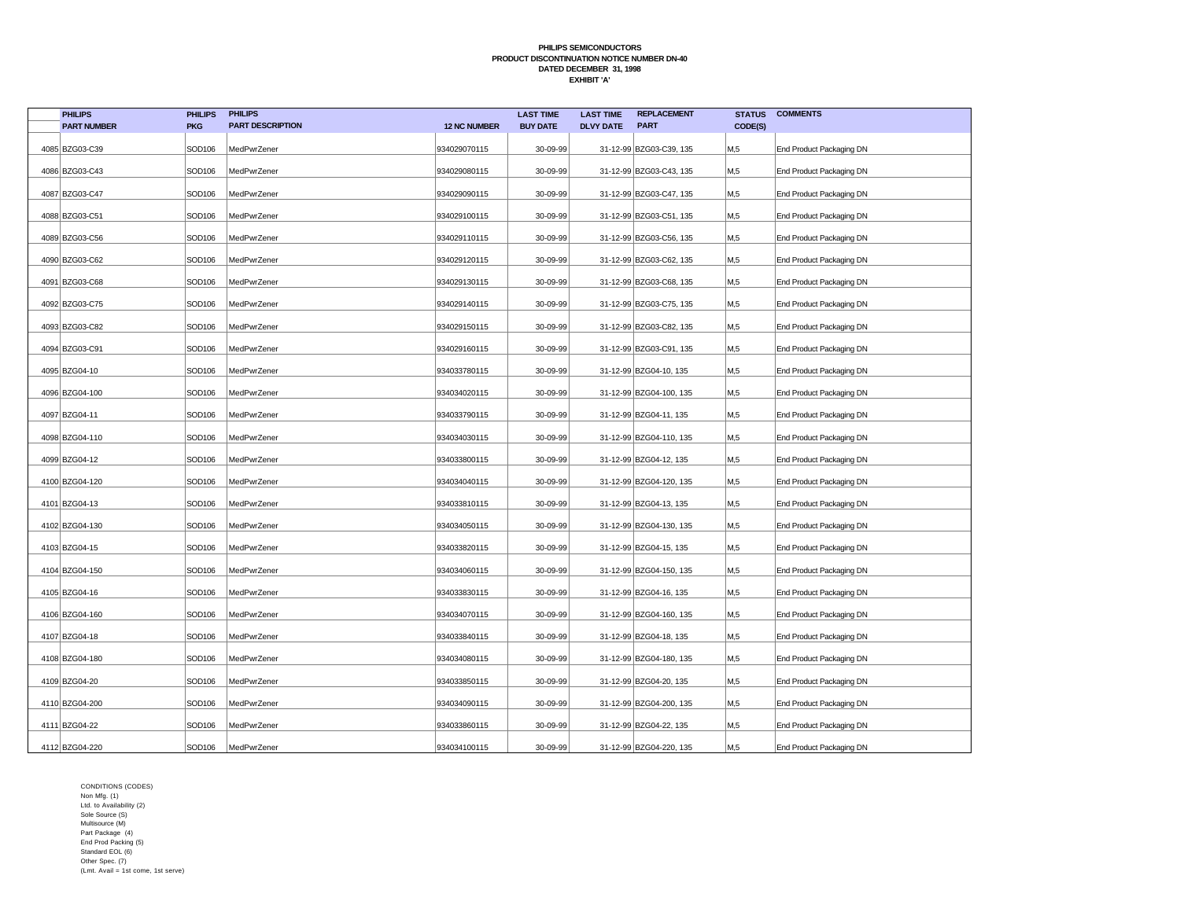| <b>PHILIPS</b>     | <b>PHILIPS</b>     | <b>PHILIPS</b>          |                     | <b>LAST TIME</b> | <b>LAST TIME</b> | <b>REPLACEMENT</b>      | <b>STATUS</b> | <b>COMMENTS</b>          |
|--------------------|--------------------|-------------------------|---------------------|------------------|------------------|-------------------------|---------------|--------------------------|
| <b>PART NUMBER</b> | <b>PKG</b>         | <b>PART DESCRIPTION</b> | <b>12 NC NUMBER</b> | <b>BUY DATE</b>  | <b>DLVY DATE</b> | <b>PART</b>             | CODE(S)       |                          |
| 4085 BZG03-C39     | SOD106             | MedPwrZener             | 934029070115        | 30-09-99         |                  | 31-12-99 BZG03-C39, 135 | M,5           | End Product Packaging DN |
| 4086 BZG03-C43     | SOD106             | MedPwrZener             | 934029080115        | 30-09-99         |                  | 31-12-99 BZG03-C43, 135 | M,5           | End Product Packaging DN |
| 4087 BZG03-C47     | SOD106             | MedPwrZener             | 934029090115        | 30-09-99         |                  | 31-12-99 BZG03-C47, 135 | M,5           | End Product Packaging DN |
| 4088 BZG03-C51     | SOD <sub>106</sub> | MedPwrZener             | 934029100115        | 30-09-99         |                  | 31-12-99 BZG03-C51, 135 | M,5           | End Product Packaging DN |
| 4089 BZG03-C56     | SOD106             | MedPwrZener             | 934029110115        | 30-09-99         |                  | 31-12-99 BZG03-C56, 135 | M,5           | End Product Packaging DN |
| 4090 BZG03-C62     | SOD106             | MedPwrZener             | 934029120115        | 30-09-99         |                  | 31-12-99 BZG03-C62, 135 | M,5           | End Product Packaging DN |
| 4091 BZG03-C68     | SOD106             | MedPwrZener             | 934029130115        | 30-09-99         |                  | 31-12-99 BZG03-C68, 135 | M,5           | End Product Packaging DN |
| 4092 BZG03-C75     | SOD106             | MedPwrZener             | 934029140115        | 30-09-99         |                  | 31-12-99 BZG03-C75, 135 | M,5           | End Product Packaging DN |
| 4093 BZG03-C82     | SOD106             | MedPwrZener             | 934029150115        | 30-09-99         |                  | 31-12-99 BZG03-C82, 135 | M,5           | End Product Packaging DN |
| 4094 BZG03-C91     | SOD106             | MedPwrZener             | 934029160115        | 30-09-99         |                  | 31-12-99 BZG03-C91, 135 | M,5           | End Product Packaging DN |
| 4095 BZG04-10      | SOD106             | MedPwrZener             | 934033780115        | 30-09-99         |                  | 31-12-99 BZG04-10, 135  | M,5           | End Product Packaging DN |
| 4096 BZG04-100     | SOD106             | MedPwrZener             | 934034020115        | 30-09-99         |                  | 31-12-99 BZG04-100, 135 | M,5           | End Product Packaging DN |
| 4097 BZG04-11      | SOD106             | MedPwrZener             | 934033790115        | 30-09-99         |                  | 31-12-99 BZG04-11, 135  | M,5           | End Product Packaging DN |
| 4098 BZG04-110     | SOD106             | MedPwrZener             | 934034030115        | 30-09-99         |                  | 31-12-99 BZG04-110, 135 | М,5           | End Product Packaging DN |
| 4099 BZG04-12      | SOD106             | MedPwrZener             | 934033800115        | 30-09-99         |                  | 31-12-99 BZG04-12, 135  | М,5           | End Product Packaging DN |
| 4100 BZG04-120     | SOD106             | MedPwrZener             | 934034040115        | 30-09-99         |                  | 31-12-99 BZG04-120, 135 | M,5           | End Product Packaging DN |
| 4101 BZG04-13      | SOD106             | MedPwrZener             | 934033810115        | 30-09-99         |                  | 31-12-99 BZG04-13, 135  | M,5           | End Product Packaging DN |
| 4102 BZG04-130     | SOD106             | MedPwrZener             | 934034050115        | 30-09-99         |                  | 31-12-99 BZG04-130, 135 | M,5           | End Product Packaging DN |
| 4103 BZG04-15      | SOD106             | MedPwrZener             | 934033820115        | 30-09-99         |                  | 31-12-99 BZG04-15, 135  | M,5           | End Product Packaging DN |
| 4104 BZG04-150     | SOD106             | MedPwrZener             | 934034060115        | 30-09-99         |                  | 31-12-99 BZG04-150, 135 | M,5           | End Product Packaging DN |
| 4105 BZG04-16      | SOD106             | MedPwrZener             | 934033830115        | 30-09-99         |                  | 31-12-99 BZG04-16, 135  | M,5           | End Product Packaging DN |
| 4106 BZG04-160     | SOD106             | MedPwrZener             | 934034070115        | 30-09-99         |                  | 31-12-99 BZG04-160, 135 | M,5           | End Product Packaging DN |
| 4107 BZG04-18      | SOD106             | MedPwrZener             | 934033840115        | 30-09-99         |                  | 31-12-99 BZG04-18, 135  | M,5           | End Product Packaging DN |
| 4108 BZG04-180     | SOD106             | MedPwrZener             | 934034080115        | 30-09-99         |                  | 31-12-99 BZG04-180, 135 | M,5           | End Product Packaging DN |
| 4109 BZG04-20      | SOD106             | MedPwrZener             | 934033850115        | 30-09-99         |                  | 31-12-99 BZG04-20, 135  | M,5           | End Product Packaging DN |
| 4110 BZG04-200     | SOD106             | MedPwrZener             | 934034090115        | 30-09-99         |                  | 31-12-99 BZG04-200, 135 | M,5           | End Product Packaging DN |
| 4111 BZG04-22      | SOD106             | MedPwrZener             | 934033860115        | 30-09-99         |                  | 31-12-99 BZG04-22, 135  | M,5           | End Product Packaging DN |
| 4112 BZG04-220     | SOD106             | MedPwrZener             | 934034100115        | 30-09-99         |                  | 31-12-99 BZG04-220, 135 | M,5           | End Product Packaging DN |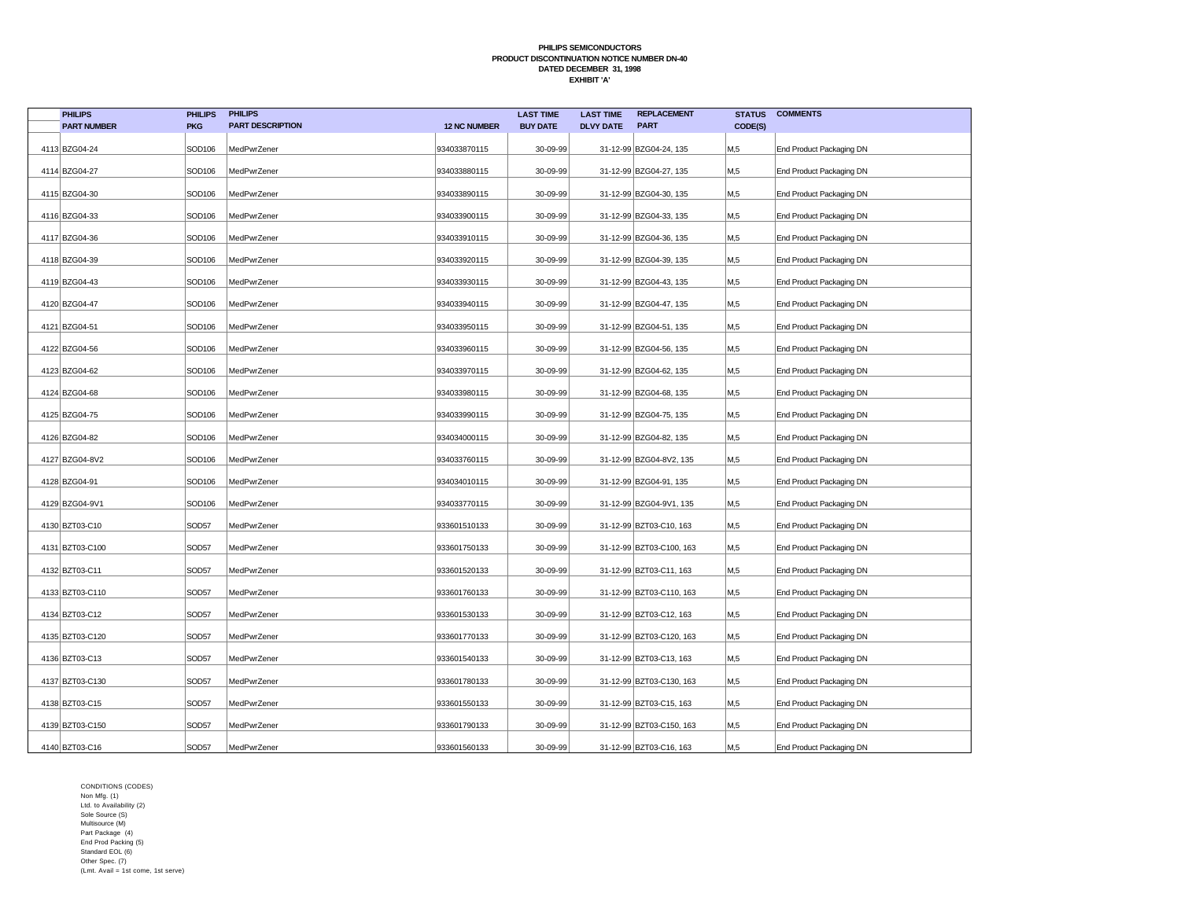| <b>PHILIPS</b>     | <b>PHILIPS</b>     | <b>PHILIPS</b>          |                     | <b>LAST TIME</b> | <b>LAST TIME</b> | <b>REPLACEMENT</b>       | <b>STATUS</b>  | <b>COMMENTS</b>          |
|--------------------|--------------------|-------------------------|---------------------|------------------|------------------|--------------------------|----------------|--------------------------|
| <b>PART NUMBER</b> | <b>PKG</b>         | <b>PART DESCRIPTION</b> | <b>12 NC NUMBER</b> | <b>BUY DATE</b>  | <b>DLVY DATE</b> | <b>PART</b>              | CODE(S)        |                          |
| 4113 BZG04-24      | SOD106             | MedPwrZener             | 934033870115        | 30-09-99         |                  | 31-12-99 BZG04-24, 135   | M,5            | End Product Packaging DN |
| 4114 BZG04-27      | SOD106             | MedPwrZener             | 934033880115        | 30-09-99         |                  | 31-12-99 BZG04-27, 135   | M,5            | End Product Packaging DN |
| 4115 BZG04-30      | SOD106             | MedPwrZener             | 934033890115        | 30-09-99         |                  | 31-12-99 BZG04-30, 135   | M,5            | End Product Packaging DN |
| 4116 BZG04-33      | SOD106             | MedPwrZener             | 934033900115        | 30-09-99         |                  | 31-12-99 BZG04-33, 135   | M,5            | End Product Packaging DN |
| 4117 BZG04-36      | SOD106             | MedPwrZener             | 934033910115        | 30-09-99         |                  | 31-12-99 BZG04-36, 135   | M,5            | End Product Packaging DN |
| 4118 BZG04-39      | SOD106             | MedPwrZener             | 934033920115        | 30-09-99         |                  | 31-12-99 BZG04-39, 135   | M <sub>5</sub> | End Product Packaging DN |
| 4119 BZG04-43      | SOD106             | MedPwrZener             | 934033930115        | 30-09-99         |                  | 31-12-99 BZG04-43, 135   | M,5            | End Product Packaging DN |
| 4120 BZG04-47      | SOD106             | MedPwrZener             | 934033940115        | 30-09-99         |                  | 31-12-99 BZG04-47, 135   | M,5            | End Product Packaging DN |
| 4121 BZG04-51      | SOD106             | MedPwrZener             | 934033950115        | 30-09-99         |                  | 31-12-99 BZG04-51, 135   | M,5            | End Product Packaging DN |
| 4122 BZG04-56      | SOD106             | MedPwrZener             | 934033960115        | 30-09-99         |                  | 31-12-99 BZG04-56, 135   | M.5            | End Product Packaging DN |
| 4123 BZG04-62      | SOD106             | MedPwrZener             | 934033970115        | 30-09-99         |                  | 31-12-99 BZG04-62, 135   | M,5            | End Product Packaging DN |
| 4124 BZG04-68      | SOD106             | MedPwrZener             | 934033980115        | 30-09-99         |                  | 31-12-99 BZG04-68, 135   | M,5            | End Product Packaging DN |
| 4125 BZG04-75      | SOD <sub>106</sub> | MedPwrZener             | 934033990115        | 30-09-99         |                  | 31-12-99 BZG04-75, 135   | M,5            | End Product Packaging DN |
| 4126 BZG04-82      | SOD <sub>106</sub> | MedPwrZener             | 934034000115        | 30-09-99         |                  | 31-12-99 BZG04-82, 135   | M,5            | End Product Packaging DN |
| 4127 BZG04-8V2     | SOD <sub>106</sub> | MedPwrZener             | 934033760115        | 30-09-99         |                  | 31-12-99 BZG04-8V2, 135  | M,5            | End Product Packaging DN |
| 4128 BZG04-91      | SOD106             | MedPwrZener             | 934034010115        | 30-09-99         |                  | 31-12-99 BZG04-91, 135   | M,5            | End Product Packaging DN |
| 4129 BZG04-9V1     | SOD106             | MedPwrZener             | 934033770115        | 30-09-99         |                  | 31-12-99 BZG04-9V1, 135  | M,5            | End Product Packaging DN |
| 4130 BZT03-C10     | SOD57              | MedPwrZener             | 933601510133        | 30-09-99         |                  | 31-12-99 BZT03-C10, 163  | M,5            | End Product Packaging DN |
| 4131 BZT03-C100    | SOD57              | MedPwrZener             | 933601750133        | 30-09-99         |                  | 31-12-99 BZT03-C100, 163 | M,5            | End Product Packaging DN |
| 4132 BZT03-C11     | SOD57              | MedPwrZener             | 933601520133        | 30-09-99         |                  | 31-12-99 BZT03-C11, 163  | M,5            | End Product Packaging DN |
| 4133 BZT03-C110    | SOD57              | MedPwrZener             | 933601760133        | 30-09-99         |                  | 31-12-99 BZT03-C110, 163 | M,5            | End Product Packaging DN |
| 4134 BZT03-C12     | SOD57              | MedPwrZener             | 933601530133        | 30-09-99         |                  | 31-12-99 BZT03-C12, 163  | M,5            | End Product Packaging DN |
| 4135 BZT03-C120    | SOD57              | MedPwrZener             | 933601770133        | 30-09-99         |                  | 31-12-99 BZT03-C120, 163 | M,5            | End Product Packaging DN |
| 4136 BZT03-C13     | SOD57              | MedPwrZener             | 933601540133        | 30-09-99         |                  | 31-12-99 BZT03-C13, 163  | M,5            | End Product Packaging DN |
| 4137 BZT03-C130    | SOD57              | MedPwrZener             | 933601780133        | 30-09-99         |                  | 31-12-99 BZT03-C130, 163 | M,5            | End Product Packaging DN |
| 4138 BZT03-C15     | SOD57              | MedPwrZener             | 933601550133        | 30-09-99         |                  | 31-12-99 BZT03-C15, 163  | M,5            | End Product Packaging DN |
| 4139 BZT03-C150    | SOD57              | MedPwrZener             | 933601790133        | 30-09-99         |                  | 31-12-99 BZT03-C150, 163 | M,5            | End Product Packaging DN |
| 4140 BZT03-C16     | SOD57              | MedPwrZener             | 933601560133        | 30-09-99         |                  | 31-12-99 BZT03-C16, 163  | M,5            | End Product Packaging DN |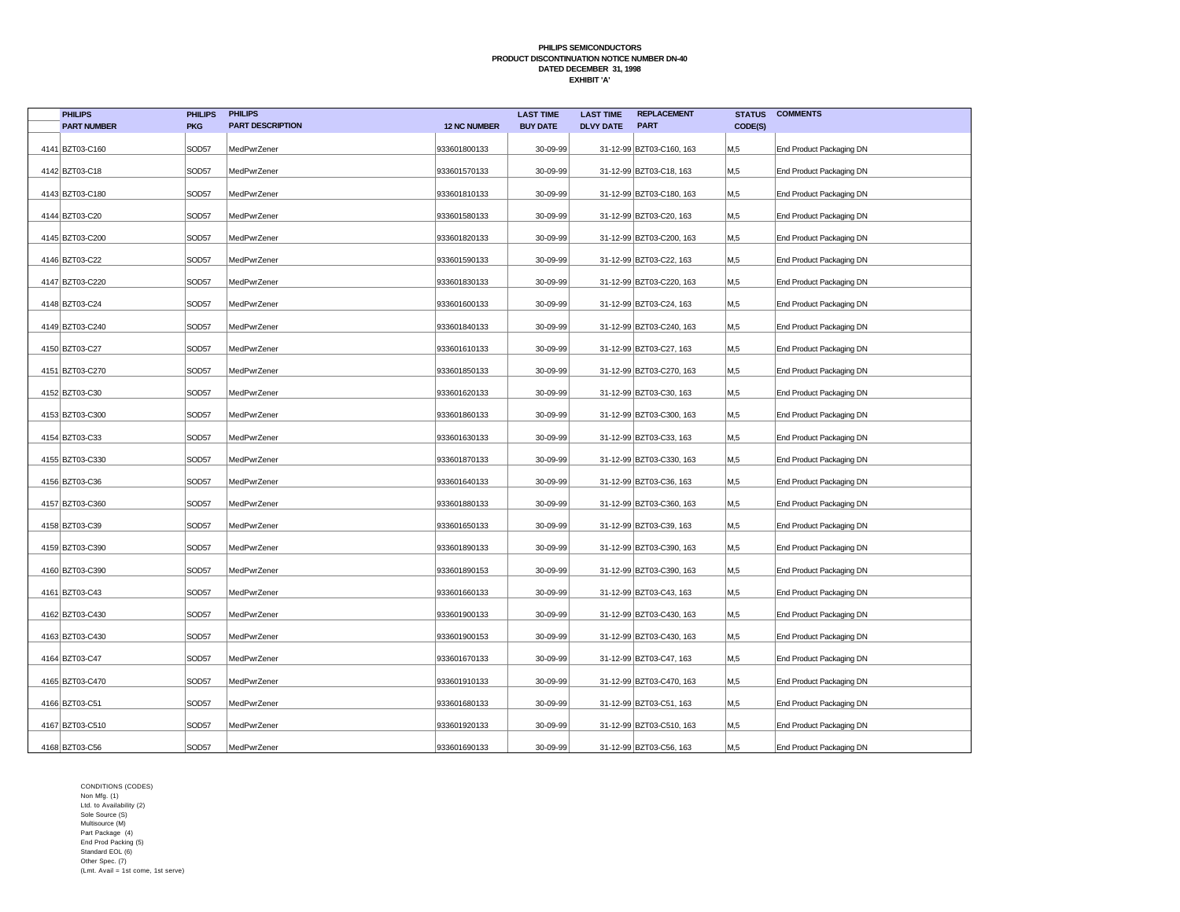| <b>PHILIPS</b>     | <b>PHILIPS</b>    | <b>PHILIPS</b>          |                     | <b>LAST TIME</b> | <b>LAST TIME</b> | <b>REPLACEMENT</b>       | <b>STATUS</b>   | <b>COMMENTS</b>          |
|--------------------|-------------------|-------------------------|---------------------|------------------|------------------|--------------------------|-----------------|--------------------------|
| <b>PART NUMBER</b> | <b>PKG</b>        | <b>PART DESCRIPTION</b> | <b>12 NC NUMBER</b> | <b>BUY DATE</b>  | <b>DLVY DATE</b> | <b>PART</b>              | CODE(S)         |                          |
| 4141 BZT03-C160    | SOD <sub>57</sub> | MedPwrZener             | 933601800133        | 30-09-99         |                  | 31-12-99 BZT03-C160, 163 | M,5             | End Product Packaging DN |
| 4142 BZT03-C18     | SOD57             | MedPwrZener             | 933601570133        | 30-09-99         |                  | 31-12-99 BZT03-C18, 163  | M,5             | End Product Packaging DN |
| 4143 BZT03-C180    | SOD57             | MedPwrZener             | 933601810133        | 30-09-99         |                  | 31-12-99 BZT03-C180, 163 | M,5             | End Product Packaging DN |
| 4144 BZT03-C20     | SOD57             | MedPwrZener             | 933601580133        | 30-09-99         |                  | 31-12-99 BZT03-C20, 163  | M,5             | End Product Packaging DN |
| 4145 BZT03-C200    | SOD57             | MedPwrZener             | 933601820133        | 30-09-99         |                  | 31-12-99 BZT03-C200, 163 | M,5             | End Product Packaging DN |
| 4146 BZT03-C22     | SOD57             | MedPwrZener             | 933601590133        | 30-09-99         |                  | 31-12-99 BZT03-C22, 163  | M <sub>5</sub>  | End Product Packaging DN |
| 4147 BZT03-C220    | SOD57             | MedPwrZener             | 933601830133        | 30-09-99         |                  | 31-12-99 BZT03-C220, 163 | M,5             | End Product Packaging DN |
| 4148 BZT03-C24     | SOD57             | MedPwrZener             | 933601600133        | 30-09-99         |                  | 31-12-99 BZT03-C24, 163  | M,5             | End Product Packaging DN |
| 4149 BZT03-C240    | SOD57             | MedPwrZener             | 933601840133        | 30-09-99         |                  | 31-12-99 BZT03-C240, 163 | M,5             | End Product Packaging DN |
| 4150 BZT03-C27     | SOD57             | MedPwrZener             | 933601610133        | 30-09-99         |                  | 31-12-99 BZT03-C27, 163  | M <sub>15</sub> | End Product Packaging DN |
| 4151 BZT03-C270    | SOD57             | MedPwrZener             | 933601850133        | 30-09-99         |                  | 31-12-99 BZT03-C270, 163 | M,5             | End Product Packaging DN |
| 4152 BZT03-C30     | SOD57             | MedPwrZener             | 933601620133        | 30-09-99         |                  | 31-12-99 BZT03-C30, 163  | M,5             | End Product Packaging DN |
| 4153 BZT03-C300    | SOD57             | MedPwrZener             | 933601860133        | 30-09-99         |                  | 31-12-99 BZT03-C300, 163 | M,5             | End Product Packaging DN |
| 4154 BZT03-C33     | SOD <sub>57</sub> | MedPwrZener             | 933601630133        | 30-09-99         |                  | 31-12-99 BZT03-C33, 163  | M,5             | End Product Packaging DN |
| 4155 BZT03-C330    | SOD57             | MedPwrZener             | 933601870133        | 30-09-99         |                  | 31-12-99 BZT03-C330, 163 | M,5             | End Product Packaging DN |
| 4156 BZT03-C36     | SOD57             | MedPwrZener             | 933601640133        | 30-09-99         |                  | 31-12-99 BZT03-C36, 163  | M,5             | End Product Packaging DN |
| 4157 BZT03-C360    | SOD57             | MedPwrZener             | 933601880133        | 30-09-99         |                  | 31-12-99 BZT03-C360, 163 | M,5             | End Product Packaging DN |
| 4158 BZT03-C39     | SOD57             | MedPwrZener             | 933601650133        | 30-09-99         |                  | 31-12-99 BZT03-C39, 163  | M,5             | End Product Packaging DN |
| 4159 BZT03-C390    | SOD <sub>57</sub> | MedPwrZener             | 933601890133        | 30-09-99         |                  | 31-12-99 BZT03-C390, 163 | M,5             | End Product Packaging DN |
| 4160 BZT03-C390    | SOD57             | MedPwrZener             | 933601890153        | 30-09-99         |                  | 31-12-99 BZT03-C390, 163 | M,5             | End Product Packaging DN |
| 4161 BZT03-C43     | SOD57             | MedPwrZener             | 933601660133        | 30-09-99         |                  | 31-12-99 BZT03-C43, 163  | M,5             | End Product Packaging DN |
| 4162 BZT03-C430    | SOD57             | MedPwrZener             | 933601900133        | 30-09-99         |                  | 31-12-99 BZT03-C430, 163 | M,5             | End Product Packaging DN |
| 4163 BZT03-C430    | SOD57             | MedPwrZener             | 933601900153        | 30-09-99         |                  | 31-12-99 BZT03-C430, 163 | M,5             | End Product Packaging DN |
| 4164 BZT03-C47     | SOD57             | MedPwrZener             | 933601670133        | 30-09-99         |                  | 31-12-99 BZT03-C47, 163  | M,5             | End Product Packaging DN |
| 4165 BZT03-C470    | SOD57             | MedPwrZener             | 933601910133        | 30-09-99         |                  | 31-12-99 BZT03-C470, 163 | M,5             | End Product Packaging DN |
| 4166 BZT03-C51     | SOD57             | MedPwrZener             | 933601680133        | 30-09-99         |                  | 31-12-99 BZT03-C51, 163  | M,5             | End Product Packaging DN |
| 4167 BZT03-C510    | SOD57             | MedPwrZener             | 933601920133        | 30-09-99         |                  | 31-12-99 BZT03-C510, 163 | M,5             | End Product Packaging DN |
| 4168 BZT03-C56     | SOD57             | MedPwrZener             | 933601690133        | 30-09-99         |                  | 31-12-99 BZT03-C56, 163  | M,5             | End Product Packaging DN |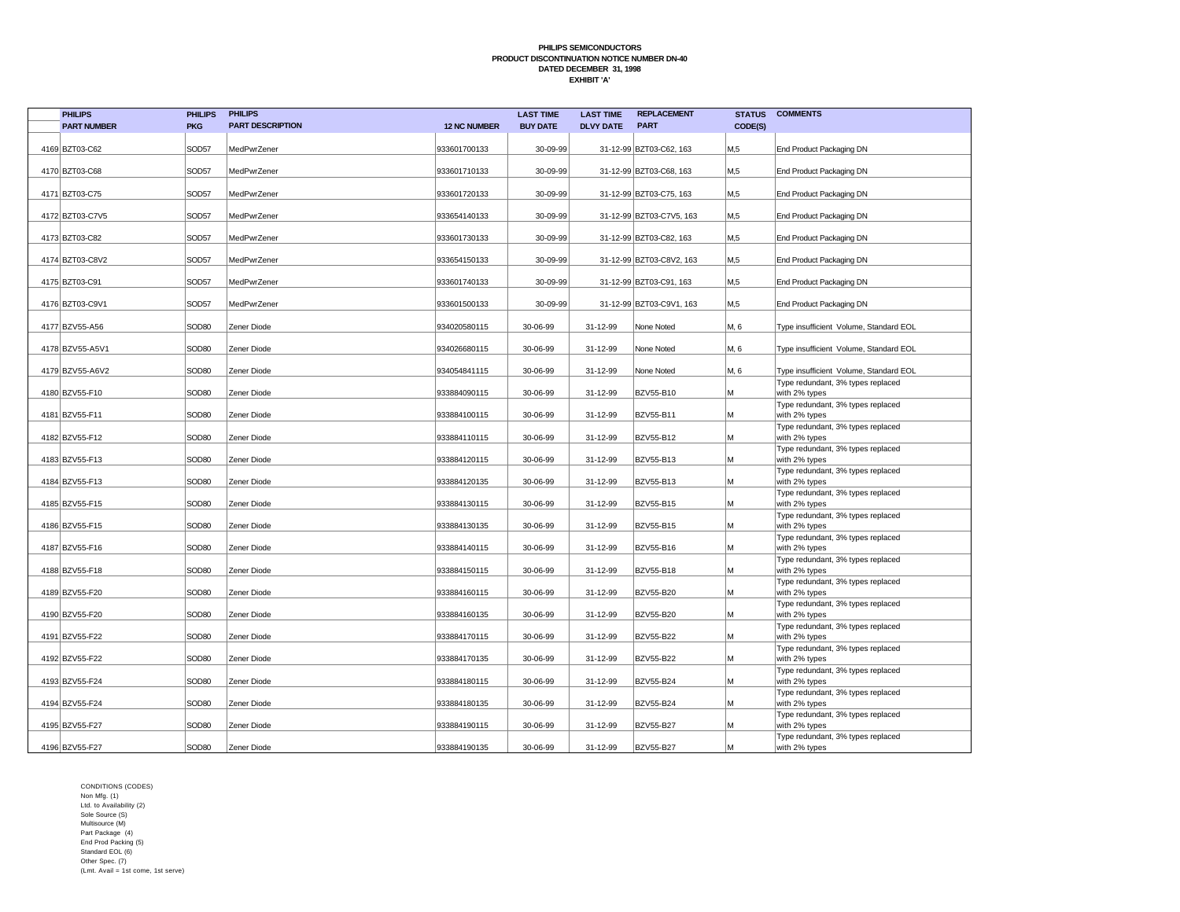| <b>PHILIPS</b>     | <b>PHILIPS</b>    | <b>PHILIPS</b>          |                     | <b>LAST TIME</b> | <b>LAST TIME</b> | <b>REPLACEMENT</b>       | <b>STATUS</b>    | <b>COMMENTS</b>                                    |
|--------------------|-------------------|-------------------------|---------------------|------------------|------------------|--------------------------|------------------|----------------------------------------------------|
| <b>PART NUMBER</b> | <b>PKG</b>        | <b>PART DESCRIPTION</b> | <b>12 NC NUMBER</b> | <b>BUY DATE</b>  | <b>DLVY DATE</b> | <b>PART</b>              | CODE(S)          |                                                    |
| 4169 BZT03-C62     | SOD57             | MedPwrZener             | 933601700133        | 30-09-99         |                  | 31-12-99 BZT03-C62, 163  | M <sub>15</sub>  | End Product Packaging DN                           |
| 4170 BZT03-C68     | SOD57             | MedPwrZener             | 933601710133        | 30-09-99         |                  | 31-12-99 BZT03-C68, 163  | M <sub>0.5</sub> | End Product Packaging DN                           |
| 4171 BZT03-C75     | SOD57             | MedPwrZener             | 933601720133        | 30-09-99         |                  | 31-12-99 BZT03-C75, 163  | M <sub>15</sub>  | End Product Packaging DN                           |
| 4172 BZT03-C7V5    | SOD57             | MedPwrZener             | 933654140133        | 30-09-99         |                  | 31-12-99 BZT03-C7V5, 163 | M,5              | End Product Packaging DN                           |
| 4173 BZT03-C82     | SOD57             | MedPwrZener             | 933601730133        | 30-09-99         |                  | 31-12-99 BZT03-C82, 163  | M <sub>0.5</sub> | End Product Packaging DN                           |
| 4174 BZT03-C8V2    | SOD57             | MedPwrZener             | 933654150133        | 30-09-99         |                  | 31-12-99 BZT03-C8V2, 163 | M <sub>5</sub>   | End Product Packaging DN                           |
| 4175 BZT03-C91     | SOD57             | MedPwrZener             | 933601740133        | 30-09-99         |                  | 31-12-99 BZT03-C91, 163  | M <sub>15</sub>  | End Product Packaging DN                           |
| 4176 BZT03-C9V1    | SOD57             | MedPwrZener             | 933601500133        | 30-09-99         |                  | 31-12-99 BZT03-C9V1, 163 | M <sub>0.5</sub> | End Product Packaging DN                           |
| 4177 BZV55-A56     | SOD <sub>80</sub> | Zener Diode             | 934020580115        | 30-06-99         | 31-12-99         | None Noted               | M, 6             | Type insufficient Volume, Standard EOL             |
| 4178 BZV55-A5V1    | SOD80             | Zener Diode             | 934026680115        | 30-06-99         | 31-12-99         | None Noted               | M, 6             | Type insufficient Volume, Standard EOL             |
| 4179 BZV55-A6V2    | SOD80             | Zener Diode             | 934054841115        | 30-06-99         | 31-12-99         | None Noted               | M, 6             | Type insufficient Volume, Standard EOL             |
| 4180 BZV55-F10     | SOD80             | Zener Diode             | 933884090115        | 30-06-99         | 31-12-99         | <b>BZV55-B10</b>         | M                | Type redundant, 3% types replaced<br>with 2% types |
| 4181 BZV55-F11     | SOD80             | Zener Diode             | 933884100115        | 30-06-99         | 31-12-99         | <b>BZV55-B11</b>         | M                | Type redundant, 3% types replaced<br>with 2% types |
| 4182 BZV55-F12     | SOD80             | Zener Diode             | 933884110115        | 30-06-99         | 31-12-99         | <b>BZV55-B12</b>         | M                | Type redundant, 3% types replaced<br>with 2% types |
| 4183 BZV55-F13     | SOD <sub>80</sub> | Zener Diode             | 933884120115        | 30-06-99         | 31-12-99         | <b>BZV55-B13</b>         | M                | Type redundant, 3% types replaced<br>with 2% types |
| 4184 BZV55-F13     | SOD <sub>80</sub> | Zener Diode             | 933884120135        | 30-06-99         | 31-12-99         | <b>BZV55-B13</b>         | М                | Type redundant, 3% types replaced<br>with 2% types |
| 4185 BZV55-F15     | SOD <sub>80</sub> | Zener Diode             | 933884130115        | 30-06-99         | 31-12-99         | <b>BZV55-B15</b>         | M                | Type redundant, 3% types replaced<br>with 2% types |
| 4186 BZV55-F15     | SOD <sub>80</sub> | Zener Diode             | 933884130135        | 30-06-99         | 31-12-99         | <b>BZV55-B15</b>         | M                | Type redundant, 3% types replaced<br>with 2% types |
| 4187 BZV55-F16     | SOD <sub>80</sub> | Zener Diode             | 933884140115        | 30-06-99         | 31-12-99         | <b>BZV55-B16</b>         | M                | Type redundant, 3% types replaced<br>with 2% types |
| 4188 BZV55-F18     | SOD80             | Zener Diode             | 933884150115        | 30-06-99         | 31-12-99         | <b>BZV55-B18</b>         | М                | Type redundant, 3% types replaced<br>with 2% types |
| 4189 BZV55-F20     | SOD <sub>80</sub> | Zener Diode             | 933884160115        | 30-06-99         | 31-12-99         | <b>BZV55-B20</b>         | М                | Type redundant, 3% types replaced<br>with 2% types |
| 4190 BZV55-F20     | SOD80             | Zener Diode             | 933884160135        | 30-06-99         | 31-12-99         | <b>BZV55-B20</b>         | М                | Type redundant, 3% types replaced<br>with 2% types |
| 4191 BZV55-F22     | SOD80             | Zener Diode             | 933884170115        | 30-06-99         | 31-12-99         | <b>BZV55-B22</b>         | М                | Type redundant, 3% types replaced<br>with 2% types |
| 4192 BZV55-F22     | SOD <sub>80</sub> | Zener Diode             | 933884170135        | 30-06-99         | 31-12-99         | <b>BZV55-B22</b>         | M                | Type redundant, 3% types replaced<br>with 2% types |
| 4193 BZV55-F24     | SOD80             | Zener Diode             | 933884180115        | 30-06-99         | 31-12-99         | <b>BZV55-B24</b>         | M                | Type redundant, 3% types replaced<br>with 2% types |
| 4194 BZV55-F24     | SOD <sub>80</sub> | Zener Diode             | 933884180135        | 30-06-99         | 31-12-99         | <b>BZV55-B24</b>         | M                | Type redundant, 3% types replaced<br>with 2% types |
| 4195 BZV55-F27     | SOD <sub>80</sub> | Zener Diode             | 933884190115        | 30-06-99         | 31-12-99         | <b>BZV55-B27</b>         | М                | Type redundant, 3% types replaced<br>with 2% types |
| 4196 BZV55-F27     | SOD80             | Zener Diode             | 933884190135        | 30-06-99         | 31-12-99         | <b>BZV55-B27</b>         | M                | Type redundant, 3% types replaced<br>with 2% types |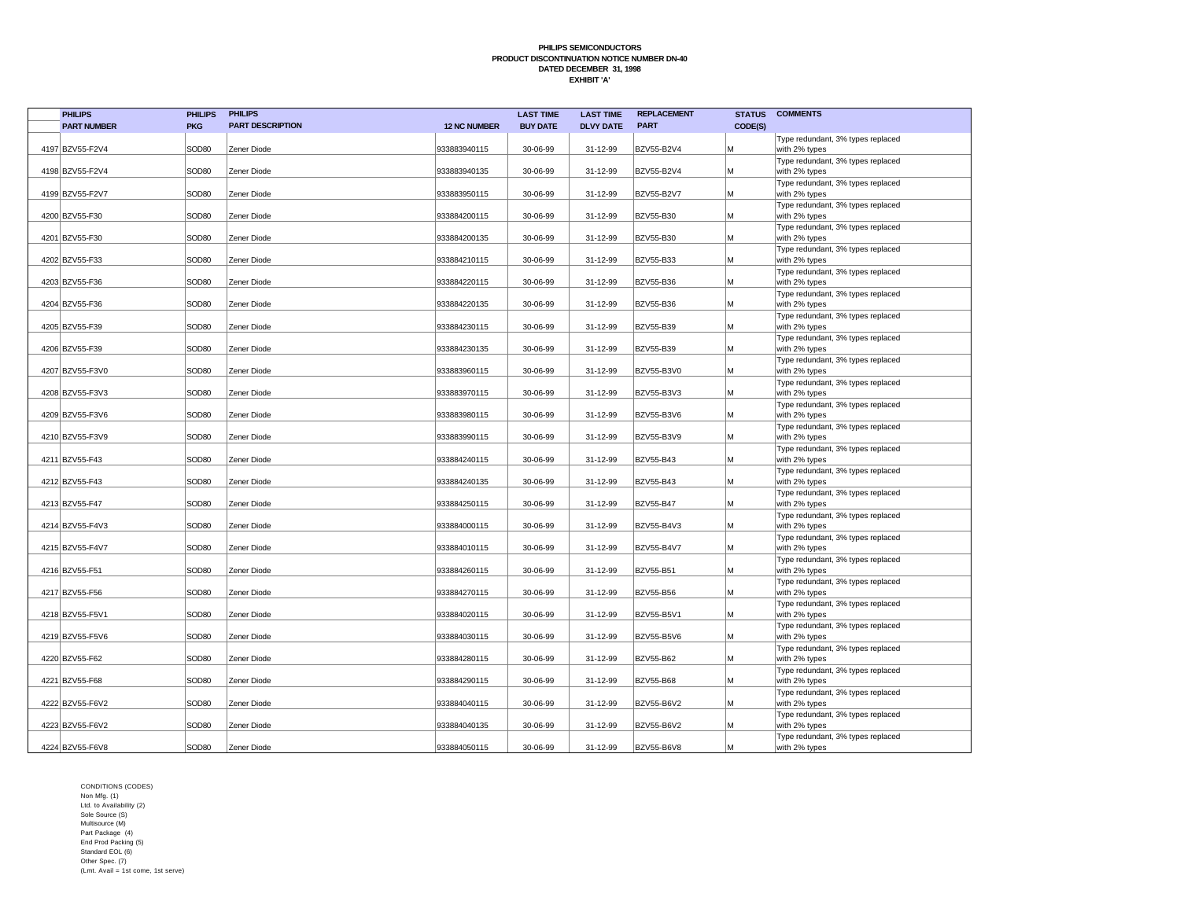| <b>PHILIPS</b>     | <b>PHILIPS</b>    | <b>PHILIPS</b>          |                     | <b>LAST TIME</b> | <b>LAST TIME</b> | <b>REPLACEMENT</b> | <b>STATUS</b> | <b>COMMENTS</b>                                    |
|--------------------|-------------------|-------------------------|---------------------|------------------|------------------|--------------------|---------------|----------------------------------------------------|
| <b>PART NUMBER</b> | <b>PKG</b>        | <b>PART DESCRIPTION</b> | <b>12 NC NUMBER</b> | <b>BUY DATE</b>  | <b>DLVY DATE</b> | <b>PART</b>        | CODE(S)       |                                                    |
| 4197 BZV55-F2V4    | SOD80             | Zener Diode             | 933883940115        | 30-06-99         | 31-12-99         | BZV55-B2V4         | M             | Type redundant, 3% types replaced<br>with 2% types |
|                    |                   |                         |                     |                  |                  |                    |               | Type redundant, 3% types replaced                  |
| 4198 BZV55-F2V4    | SOD <sub>80</sub> | Zener Diode             | 933883940135        | 30-06-99         | 31-12-99         | <b>BZV55-B2V4</b>  | M             | with 2% types                                      |
|                    |                   |                         |                     |                  |                  |                    |               | Type redundant, 3% types replaced                  |
| 4199 BZV55-F2V7    | SOD <sub>80</sub> | Zener Diode             | 933883950115        | 30-06-99         | 31-12-99         | BZV55-B2V7         | M             | with 2% types                                      |
| 4200 BZV55-F30     | SOD <sub>80</sub> | Zener Diode             | 933884200115        | 30-06-99         | 31-12-99         | <b>BZV55-B30</b>   | M             | Type redundant, 3% types replaced<br>with 2% types |
|                    |                   |                         |                     |                  |                  |                    |               | Type redundant, 3% types replaced                  |
| 4201 BZV55-F30     | SOD <sub>80</sub> | Zener Diode             | 933884200135        | 30-06-99         | 31-12-99         | BZV55-B30          | M             | with 2% types                                      |
|                    |                   |                         |                     |                  |                  |                    |               | Type redundant, 3% types replaced                  |
| 4202 BZV55-F33     | SOD <sub>80</sub> | Zener Diode             | 933884210115        | 30-06-99         | 31-12-99         | <b>BZV55-B33</b>   | M             | with 2% types                                      |
| 4203 BZV55-F36     | SOD <sub>80</sub> | Zener Diode             | 933884220115        | 30-06-99         | 31-12-99         | BZV55-B36          | M             | Type redundant, 3% types replaced<br>with 2% types |
|                    |                   |                         |                     |                  |                  |                    |               | Type redundant, 3% types replaced                  |
| 4204 BZV55-F36     | SOD <sub>80</sub> | Zener Diode             | 933884220135        | 30-06-99         | 31-12-99         | BZV55-B36          | M             | with 2% types                                      |
|                    |                   |                         |                     |                  |                  |                    |               | Type redundant, 3% types replaced                  |
| 4205 BZV55-F39     | SOD80             | Zener Diode             | 933884230115        | 30-06-99         | 31-12-99         | BZV55-B39          | M             | with 2% types                                      |
|                    |                   |                         |                     |                  |                  |                    |               | Type redundant, 3% types replaced                  |
| 4206 BZV55-F39     | SOD <sub>80</sub> | Zener Diode             | 933884230135        | 30-06-99         | 31-12-99         | BZV55-B39          | M             | with 2% types                                      |
|                    |                   |                         |                     |                  |                  |                    |               | Type redundant, 3% types replaced                  |
| 4207 BZV55-F3V0    | SOD80             | Zener Diode             | 933883960115        | 30-06-99         | 31-12-99         | BZV55-B3V0         | M             | with 2% types<br>Type redundant, 3% types replaced |
| 4208 BZV55-F3V3    | SOD80             | Zener Diode             | 933883970115        | 30-06-99         | 31-12-99         | <b>BZV55-B3V3</b>  | M             | with 2% types                                      |
|                    |                   |                         |                     |                  |                  |                    |               | Type redundant, 3% types replaced                  |
| 4209 BZV55-F3V6    | SOD80             | Zener Diode             | 933883980115        | 30-06-99         | 31-12-99         | BZV55-B3V6         | M             | with 2% types                                      |
|                    |                   |                         |                     |                  |                  |                    |               | Type redundant, 3% types replaced                  |
| 4210 BZV55-F3V9    | SOD <sub>80</sub> | Zener Diode             | 933883990115        | 30-06-99         | 31-12-99         | BZV55-B3V9         | M             | with 2% types                                      |
|                    |                   |                         |                     |                  |                  |                    |               | Type redundant, 3% types replaced                  |
| 4211 BZV55-F43     | SOD <sub>80</sub> | Zener Diode             | 933884240115        | 30-06-99         | 31-12-99         | BZV55-B43          | M             | with 2% types                                      |
| 4212 BZV55-F43     | SOD <sub>80</sub> | Zener Diode             | 933884240135        | 30-06-99         | 31-12-99         | BZV55-B43          | M             | Type redundant, 3% types replaced                  |
|                    |                   |                         |                     |                  |                  |                    |               | with 2% types<br>Type redundant, 3% types replaced |
| 4213 BZV55-F47     | SOD <sub>80</sub> | Zener Diode             | 933884250115        | 30-06-99         | 31-12-99         | <b>BZV55-B47</b>   | M             | with 2% types                                      |
|                    |                   |                         |                     |                  |                  |                    |               | Type redundant, 3% types replaced                  |
| 4214 BZV55-F4V3    | SOD <sub>80</sub> | Zener Diode             | 933884000115        | 30-06-99         | 31-12-99         | BZV55-B4V3         | M             | with 2% types                                      |
|                    |                   |                         |                     |                  |                  |                    |               | Type redundant, 3% types replaced                  |
| 4215 BZV55-F4V7    | SOD80             | Zener Diode             | 933884010115        | 30-06-99         | 31-12-99         | BZV55-B4V7         | M             | with 2% types                                      |
|                    |                   |                         |                     |                  |                  |                    |               | Type redundant, 3% types replaced                  |
| 4216 BZV55-F51     | SOD <sub>80</sub> | Zener Diode             | 933884260115        | 30-06-99         | 31-12-99         | BZV55-B51          | M             | with 2% types<br>Type redundant, 3% types replaced |
| 4217 BZV55-F56     | SOD <sub>80</sub> | Zener Diode             | 933884270115        | 30-06-99         | 31-12-99         | BZV55-B56          | M             | with 2% types                                      |
|                    |                   |                         |                     |                  |                  |                    |               | Type redundant, 3% types replaced                  |
| 4218 BZV55-F5V1    | SOD <sub>80</sub> | Zener Diode             | 933884020115        | 30-06-99         | 31-12-99         | BZV55-B5V1         | M             | with 2% types                                      |
|                    |                   |                         |                     |                  |                  |                    |               | Type redundant, 3% types replaced                  |
| 4219 BZV55-F5V6    | SOD80             | Zener Diode             | 933884030115        | 30-06-99         | 31-12-99         | <b>BZV55-B5V6</b>  | M             | with 2% types                                      |
|                    |                   |                         |                     |                  |                  |                    |               | Type redundant, 3% types replaced                  |
| 4220 BZV55-F62     | SOD80             | Zener Diode             | 933884280115        | 30-06-99         | 31-12-99         | BZV55-B62          | M             | with 2% types                                      |
| 4221 BZV55-F68     | SOD <sub>80</sub> | Zener Diode             | 933884290115        | 30-06-99         | 31-12-99         | BZV55-B68          | M             | Type redundant, 3% types replaced<br>with 2% types |
|                    |                   |                         |                     |                  |                  |                    |               | Type redundant, 3% types replaced                  |
| 4222 BZV55-F6V2    | SOD <sub>80</sub> | Zener Diode             | 933884040115        | 30-06-99         | 31-12-99         | <b>BZV55-B6V2</b>  | M             | with 2% types                                      |
|                    |                   |                         |                     |                  |                  |                    |               | Type redundant, 3% types replaced                  |
| 4223 BZV55-F6V2    | SOD <sub>80</sub> | Zener Diode             | 933884040135        | 30-06-99         | 31-12-99         | BZV55-B6V2         | M             | with 2% types                                      |
|                    |                   |                         |                     |                  |                  |                    |               | Type redundant, 3% types replaced                  |
| 4224 BZV55-F6V8    | SOD <sub>80</sub> | Zener Diode             | 933884050115        | 30-06-99         | 31-12-99         | <b>BZV55-B6V8</b>  | M             | with 2% types                                      |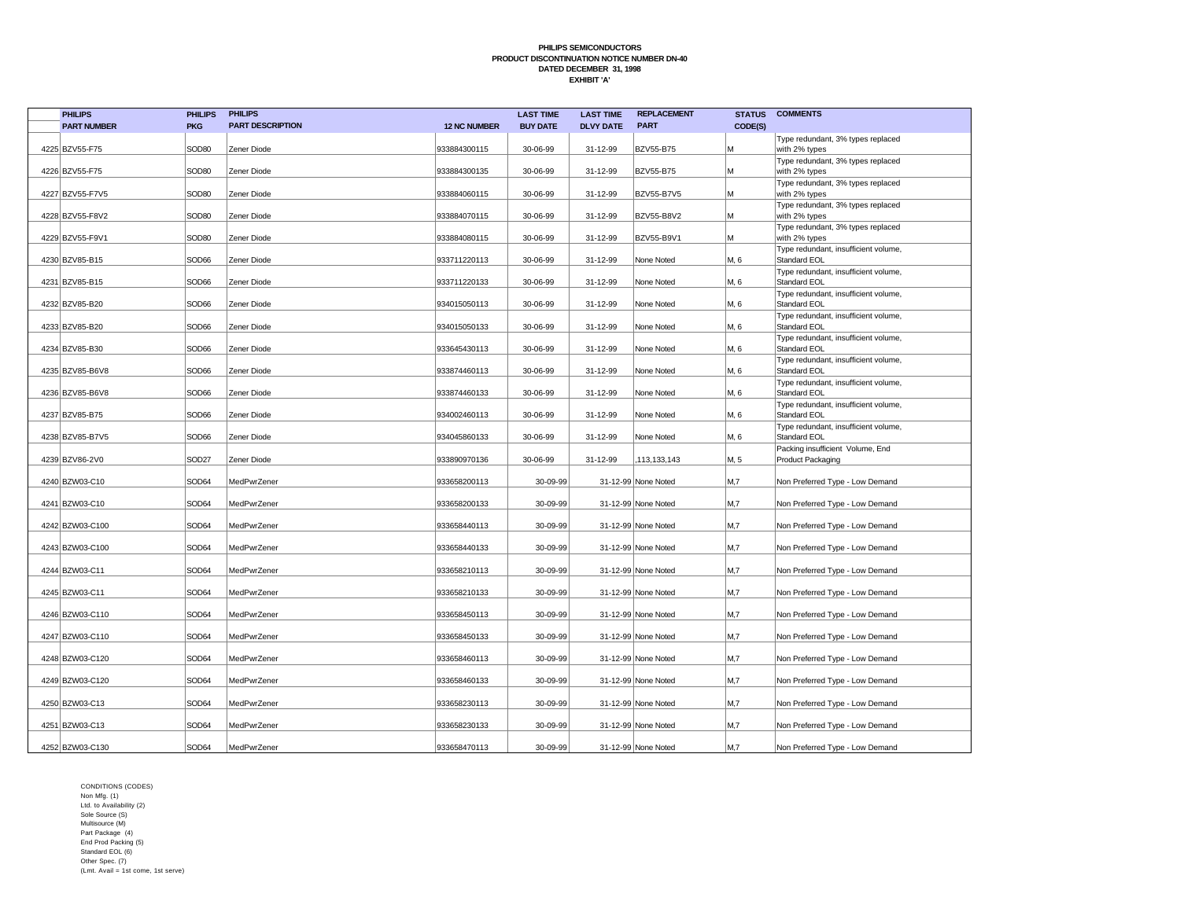| <b>PHILIPS</b>     | <b>PHILIPS</b>    | <b>PHILIPS</b>          |                     | <b>LAST TIME</b> | <b>LAST TIME</b> | <b>REPLACEMENT</b>  | <b>STATUS</b>  | <b>COMMENTS</b>                                       |
|--------------------|-------------------|-------------------------|---------------------|------------------|------------------|---------------------|----------------|-------------------------------------------------------|
| <b>PART NUMBER</b> | <b>PKG</b>        | <b>PART DESCRIPTION</b> | <b>12 NC NUMBER</b> | <b>BUY DATE</b>  | <b>DLVY DATE</b> | <b>PART</b>         | CODE(S)        |                                                       |
| 4225 BZV55-F75     | SOD <sub>80</sub> | Zener Diode             | 933884300115        | 30-06-99         | 31-12-99         | <b>BZV55-B75</b>    | М              | Type redundant, 3% types replaced<br>with 2% types    |
| 4226 BZV55-F75     | SOD <sub>80</sub> | Zener Diode             | 933884300135        | 30-06-99         | 31-12-99         | <b>BZV55-B75</b>    | М              | Type redundant, 3% types replaced<br>with 2% types    |
| 4227 BZV55-F7V5    | SOD <sub>80</sub> | Zener Diode             | 933884060115        | 30-06-99         | 31-12-99         | <b>BZV55-B7V5</b>   | М              | Type redundant, 3% types replaced<br>with 2% types    |
| 4228 BZV55-F8V2    | SOD80             | Zener Diode             | 933884070115        | 30-06-99         | 31-12-99         | <b>BZV55-B8V2</b>   | М              | Type redundant, 3% types replaced<br>with 2% types    |
| 4229 BZV55-F9V1    | SOD <sub>80</sub> | Zener Diode             | 933884080115        | 30-06-99         | 31-12-99         | <b>BZV55-B9V1</b>   | М              | Type redundant, 3% types replaced<br>with 2% types    |
| 4230 BZV85-B15     | SOD66             | Zener Diode             | 933711220113        | 30-06-99         | 31-12-99         | None Noted          | M, 6           | Type redundant, insufficient volume,<br>Standard EOL  |
| 4231 BZV85-B15     | SOD66             | Zener Diode             | 933711220133        | 30-06-99         | 31-12-99         | None Noted          | M, 6           | Type redundant, insufficient volume,<br>Standard EOL  |
| 4232 BZV85-B20     | SOD66             | Zener Diode             | 934015050113        | 30-06-99         | 31-12-99         | None Noted          | M, 6           | Type redundant, insufficient volume,<br>Standard EOL  |
| 4233 BZV85-B20     | SOD66             | Zener Diode             | 934015050133        | 30-06-99         | 31-12-99         | None Noted          | M, 6           | Type redundant, insufficient volume,<br>Standard EOL  |
| 4234 BZV85-B30     | SOD66             | Zener Diode             | 933645430113        | 30-06-99         | 31-12-99         | None Noted          | M, 6           | Type redundant, insufficient volume,<br>Standard EOL  |
| 4235 BZV85-B6V8    | SOD66             | Zener Diode             | 933874460113        | 30-06-99         | 31-12-99         | None Noted          | M, 6           | Type redundant, insufficient volume,<br>Standard EOL  |
| 4236 BZV85-B6V8    | SOD66             | Zener Diode             | 933874460133        | 30-06-99         | 31-12-99         | None Noted          | M, 6           | Type redundant, insufficient volume,<br>Standard EOL  |
| 4237 BZV85-B75     | SOD66             | Zener Diode             | 934002460113        | 30-06-99         | 31-12-99         | None Noted          | M, 6           | Type redundant, insufficient volume,<br>Standard EOL  |
| 4238 BZV85-B7V5    | SOD66             | Zener Diode             | 934045860133        | 30-06-99         | 31-12-99         | None Noted          | M, 6           | Type redundant, insufficient volume,<br>Standard EOL  |
| 4239 BZV86-2V0     | SOD <sub>27</sub> | Zener Diode             | 933890970136        | 30-06-99         | 31-12-99         | ,113,133,143        | M, 5           | Packing insufficient Volume, End<br>Product Packaging |
| 4240 BZW03-C10     | SOD64             | MedPwrZener             | 933658200113        | 30-09-99         |                  | 31-12-99 None Noted | M,7            | Non Preferred Type - Low Demand                       |
| 4241 BZW03-C10     | SOD64             | MedPwrZener             | 933658200133        | 30-09-99         |                  | 31-12-99 None Noted | M <sub>1</sub> | Non Preferred Type - Low Demand                       |
| 4242 BZW03-C100    | SOD64             | MedPwrZener             | 933658440113        | 30-09-99         |                  | 31-12-99 None Noted | M,7            | Non Preferred Type - Low Demand                       |
| 4243 BZW03-C100    | SOD64             | MedPwrZener             | 933658440133        | 30-09-99         |                  | 31-12-99 None Noted | M,7            | Non Preferred Type - Low Demand                       |
| 4244 BZW03-C11     | SOD64             | MedPwrZener             | 933658210113        | 30-09-99         |                  | 31-12-99 None Noted | M,7            | Non Preferred Type - Low Demand                       |
| 4245 BZW03-C11     | SOD64             | MedPwrZener             | 933658210133        | 30-09-99         |                  | 31-12-99 None Noted | M,7            | Non Preferred Type - Low Demand                       |
| 4246 BZW03-C110    | SOD64             | MedPwrZener             | 933658450113        | 30-09-99         |                  | 31-12-99 None Noted | M,7            | Non Preferred Type - Low Demand                       |
| 4247 BZW03-C110    | SOD64             | MedPwrZener             | 933658450133        | 30-09-99         |                  | 31-12-99 None Noted | M <sub>1</sub> | Non Preferred Type - Low Demand                       |
| 4248 BZW03-C120    | SOD64             | MedPwrZener             | 933658460113        | 30-09-99         |                  | 31-12-99 None Noted | M,7            | Non Preferred Type - Low Demand                       |
| 4249 BZW03-C120    | SOD64             | MedPwrZener             | 933658460133        | 30-09-99         |                  | 31-12-99 None Noted | M <sub>1</sub> | Non Preferred Type - Low Demand                       |
| 4250 BZW03-C13     | SOD64             | MedPwrZener             | 933658230113        | 30-09-99         |                  | 31-12-99 None Noted | M,7            | Non Preferred Type - Low Demand                       |
| 4251 BZW03-C13     | SOD64             | MedPwrZener             | 933658230133        | 30-09-99         |                  | 31-12-99 None Noted | M,7            | Non Preferred Type - Low Demand                       |
| 4252 BZW03-C130    | SOD64             | MedPwrZener             | 933658470113        | 30-09-99         |                  | 31-12-99 None Noted | M,7            | Non Preferred Type - Low Demand                       |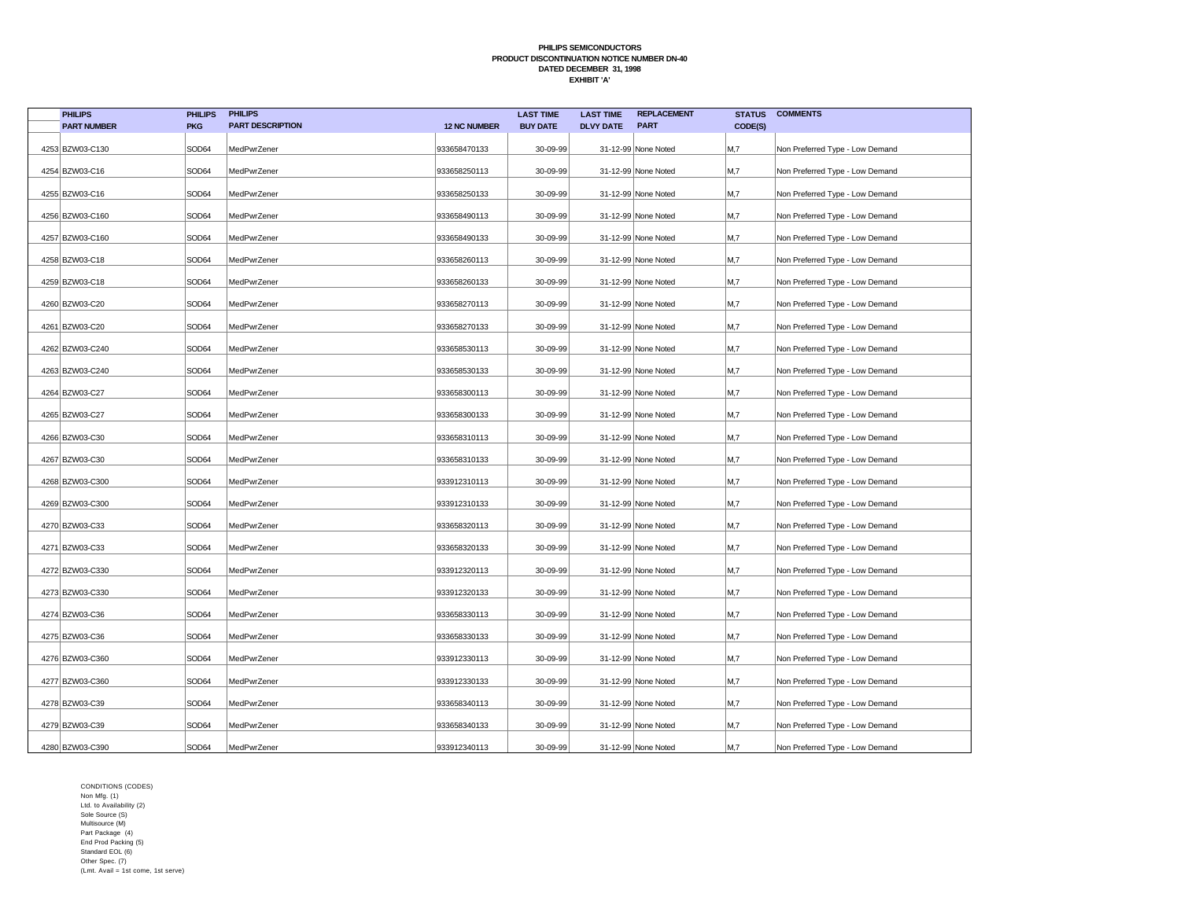| <b>PHILIPS</b>     | <b>PHILIPS</b> | <b>PHILIPS</b>          |                     | <b>LAST TIME</b> | <b>LAST TIME</b> | <b>REPLACEMENT</b>  | <b>STATUS</b> | <b>COMMENTS</b>                 |
|--------------------|----------------|-------------------------|---------------------|------------------|------------------|---------------------|---------------|---------------------------------|
| <b>PART NUMBER</b> | <b>PKG</b>     | <b>PART DESCRIPTION</b> | <b>12 NC NUMBER</b> | <b>BUY DATE</b>  | <b>DLVY DATE</b> | <b>PART</b>         | CODE(S)       |                                 |
| 4253 BZW03-C130    | SOD64          | MedPwrZener             | 933658470133        | 30-09-99         |                  | 31-12-99 None Noted | M,7           | Non Preferred Type - Low Demand |
| 4254 BZW03-C16     | SOD64          | MedPwrZener             | 933658250113        | 30-09-99         |                  | 31-12-99 None Noted | M,7           | Non Preferred Type - Low Demand |
| 4255 BZW03-C16     | SOD64          | MedPwrZener             | 933658250133        | 30-09-99         |                  | 31-12-99 None Noted | M,7           | Non Preferred Type - Low Demand |
| 4256 BZW03-C160    | SOD64          | MedPwrZener             | 933658490113        | 30-09-99         |                  | 31-12-99 None Noted | M,7           | Non Preferred Type - Low Demand |
| 4257 BZW03-C160    | SOD64          | MedPwrZener             | 933658490133        | 30-09-99         |                  | 31-12-99 None Noted | M,7           | Non Preferred Type - Low Demand |
| 4258 BZW03-C18     | SOD64          | MedPwrZener             | 933658260113        | 30-09-99         |                  | 31-12-99 None Noted | M,7           | Non Preferred Type - Low Demand |
| 4259 BZW03-C18     | SOD64          | MedPwrZener             | 933658260133        | 30-09-99         |                  | 31-12-99 None Noted | M,7           | Non Preferred Type - Low Demand |
| 4260 BZW03-C20     | SOD64          | MedPwrZener             | 933658270113        | 30-09-99         |                  | 31-12-99 None Noted | M,7           | Non Preferred Type - Low Demand |
| 4261 BZW03-C20     | SOD64          | MedPwrZener             | 933658270133        | 30-09-99         |                  | 31-12-99 None Noted | M,7           | Non Preferred Type - Low Demand |
| 4262 BZW03-C240    | SOD64          | MedPwrZener             | 933658530113        | 30-09-99         |                  | 31-12-99 None Noted | M,7           | Non Preferred Type - Low Demand |
| 4263 BZW03-C240    | SOD64          | MedPwrZener             | 933658530133        | 30-09-99         |                  | 31-12-99 None Noted | M,7           | Non Preferred Type - Low Demand |
| 4264 BZW03-C27     | SOD64          | MedPwrZener             | 933658300113        | 30-09-99         |                  | 31-12-99 None Noted | M,7           | Non Preferred Type - Low Demand |
| 4265 BZW03-C27     | SOD64          | MedPwrZener             | 933658300133        | 30-09-99         |                  | 31-12-99 None Noted | M,7           | Non Preferred Type - Low Demand |
| 4266 BZW03-C30     | SOD64          | MedPwrZener             | 933658310113        | 30-09-99         |                  | 31-12-99 None Noted | M,7           | Non Preferred Type - Low Demand |
| 4267 BZW03-C30     | SOD64          | MedPwrZener             | 933658310133        | 30-09-99         |                  | 31-12-99 None Noted | M,7           | Non Preferred Type - Low Demand |
| 4268 BZW03-C300    | SOD64          | MedPwrZener             | 933912310113        | 30-09-99         |                  | 31-12-99 None Noted | M,7           | Non Preferred Type - Low Demand |
| 4269 BZW03-C300    | SOD64          | MedPwrZener             | 933912310133        | 30-09-99         |                  | 31-12-99 None Noted | M,7           | Non Preferred Type - Low Demand |
| 4270 BZW03-C33     | SOD64          | MedPwrZener             | 933658320113        | 30-09-99         |                  | 31-12-99 None Noted | M,7           | Non Preferred Type - Low Demand |
| 4271 BZW03-C33     | SOD64          | MedPwrZener             | 933658320133        | 30-09-99         |                  | 31-12-99 None Noted | M,7           | Non Preferred Type - Low Demand |
| 4272 BZW03-C330    | SOD64          | MedPwrZener             | 933912320113        | 30-09-99         |                  | 31-12-99 None Noted | M,7           | Non Preferred Type - Low Demand |
| 4273 BZW03-C330    | SOD64          | MedPwrZener             | 933912320133        | 30-09-99         |                  | 31-12-99 None Noted | M,7           | Non Preferred Type - Low Demand |
| 4274 BZW03-C36     | SOD64          | MedPwrZener             | 933658330113        | 30-09-99         |                  | 31-12-99 None Noted | M,7           | Non Preferred Type - Low Demand |
| 4275 BZW03-C36     | SOD64          | MedPwrZener             | 933658330133        | 30-09-99         |                  | 31-12-99 None Noted | M,7           | Non Preferred Type - Low Demand |
| 4276 BZW03-C360    | SOD64          | MedPwrZener             | 933912330113        | 30-09-99         |                  | 31-12-99 None Noted | M,7           | Non Preferred Type - Low Demand |
| 4277 BZW03-C360    | SOD64          | MedPwrZener             | 933912330133        | 30-09-99         |                  | 31-12-99 None Noted | M,7           | Non Preferred Type - Low Demand |
| 4278 BZW03-C39     | SOD64          | MedPwrZener             | 933658340113        | 30-09-99         |                  | 31-12-99 None Noted | M,7           | Non Preferred Type - Low Demand |
| 4279 BZW03-C39     | SOD64          | MedPwrZener             | 933658340133        | 30-09-99         |                  | 31-12-99 None Noted | M,7           | Non Preferred Type - Low Demand |
| 4280 BZW03-C390    | SOD64          | MedPwrZener             | 933912340113        | 30-09-99         |                  | 31-12-99 None Noted | M,7           | Non Preferred Type - Low Demand |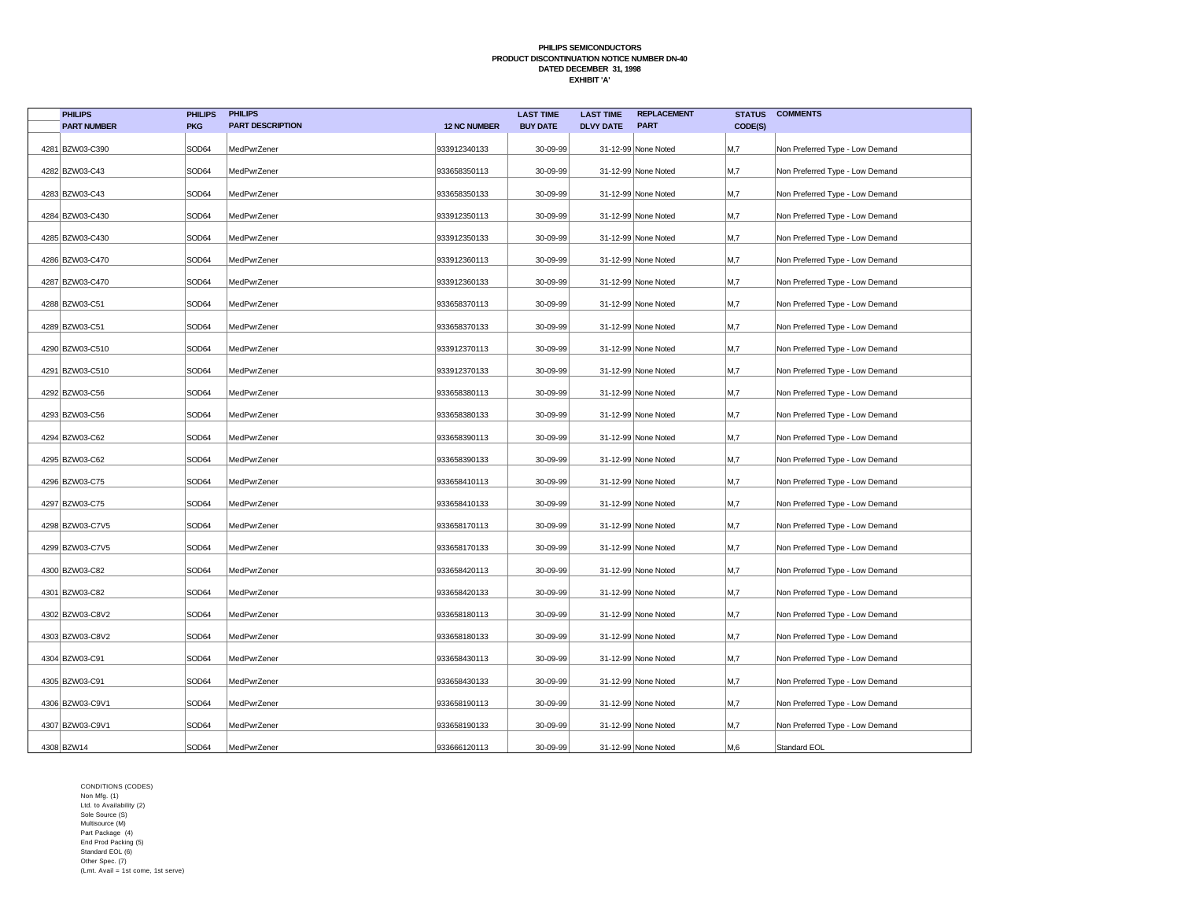| <b>PHILIPS</b>     | <b>PHILIPS</b> | <b>PHILIPS</b>          |                     | <b>LAST TIME</b> | <b>LAST TIME</b> | <b>REPLACEMENT</b>  | <b>STATUS</b>  | <b>COMMENTS</b>                 |
|--------------------|----------------|-------------------------|---------------------|------------------|------------------|---------------------|----------------|---------------------------------|
| <b>PART NUMBER</b> | <b>PKG</b>     | <b>PART DESCRIPTION</b> | <b>12 NC NUMBER</b> | <b>BUY DATE</b>  | <b>DLVY DATE</b> | <b>PART</b>         | CODE(S)        |                                 |
| 4281 BZW03-C390    | SOD64          | MedPwrZener             | 933912340133        | 30-09-99         |                  | 31-12-99 None Noted | M,7            | Non Preferred Type - Low Demand |
| 4282 BZW03-C43     | SOD64          | MedPwrZener             | 933658350113        | 30-09-99         |                  | 31-12-99 None Noted | M,7            | Non Preferred Type - Low Demand |
| 4283 BZW03-C43     | SOD64          | MedPwrZener             | 933658350133        | 30-09-99         |                  | 31-12-99 None Noted | M,7            | Non Preferred Type - Low Demand |
| 4284 BZW03-C430    | SOD64          | MedPwrZener             | 933912350113        | 30-09-99         |                  | 31-12-99 None Noted | M,7            | Non Preferred Type - Low Demand |
| 4285 BZW03-C430    | SOD64          | MedPwrZener             | 933912350133        | 30-09-99         |                  | 31-12-99 None Noted | M,7            | Non Preferred Type - Low Demand |
| 4286 BZW03-C470    | SOD64          | MedPwrZener             | 933912360113        | 30-09-99         |                  | 31-12-99 None Noted | M <sub>1</sub> | Non Preferred Type - Low Demand |
| 4287 BZW03-C470    | SOD64          | MedPwrZener             | 933912360133        | 30-09-99         |                  | 31-12-99 None Noted | M,7            | Non Preferred Type - Low Demand |
| 4288 BZW03-C51     | SOD64          | MedPwrZener             | 933658370113        | 30-09-99         |                  | 31-12-99 None Noted | M,7            | Non Preferred Type - Low Demand |
| 4289 BZW03-C51     | SOD64          | MedPwrZener             | 933658370133        | 30-09-99         |                  | 31-12-99 None Noted | M,7            | Non Preferred Type - Low Demand |
| 4290 BZW03-C510    | SOD64          | MedPwrZener             | 933912370113        | 30-09-99         |                  | 31-12-99 None Noted | M,7            | Non Preferred Type - Low Demand |
| 4291 BZW03-C510    | SOD64          | MedPwrZener             | 933912370133        | 30-09-99         |                  | 31-12-99 None Noted | M,7            | Non Preferred Type - Low Demand |
| 4292 BZW03-C56     | SOD64          | MedPwrZener             | 933658380113        | 30-09-99         |                  | 31-12-99 None Noted | M,7            | Non Preferred Type - Low Demand |
| 4293 BZW03-C56     | SOD64          | MedPwrZener             | 933658380133        | 30-09-99         |                  | 31-12-99 None Noted | M,7            | Non Preferred Type - Low Demand |
| 4294 BZW03-C62     | SOD64          | MedPwrZener             | 933658390113        | 30-09-99         |                  | 31-12-99 None Noted | M,7            | Non Preferred Type - Low Demand |
| 4295 BZW03-C62     | SOD64          | MedPwrZener             | 933658390133        | 30-09-99         |                  | 31-12-99 None Noted | M,7            | Non Preferred Type - Low Demand |
| 4296 BZW03-C75     | SOD64          | MedPwrZener             | 933658410113        | 30-09-99         |                  | 31-12-99 None Noted | M,7            | Non Preferred Type - Low Demand |
| 4297 BZW03-C75     | SOD64          | MedPwrZener             | 933658410133        | 30-09-99         |                  | 31-12-99 None Noted | M,7            | Non Preferred Type - Low Demand |
| 4298 BZW03-C7V5    | SOD64          | MedPwrZener             | 933658170113        | 30-09-99         |                  | 31-12-99 None Noted | M,7            | Non Preferred Type - Low Demand |
| 4299 BZW03-C7V5    | SOD64          | MedPwrZener             | 933658170133        | 30-09-99         |                  | 31-12-99 None Noted | M,7            | Non Preferred Type - Low Demand |
| 4300 BZW03-C82     | SOD64          | MedPwrZener             | 933658420113        | 30-09-99         |                  | 31-12-99 None Noted | M,7            | Non Preferred Type - Low Demand |
| 4301 BZW03-C82     | SOD64          | MedPwrZener             | 933658420133        | 30-09-99         |                  | 31-12-99 None Noted | M,7            | Non Preferred Type - Low Demand |
| 4302 BZW03-C8V2    | SOD64          | MedPwrZener             | 933658180113        | 30-09-99         |                  | 31-12-99 None Noted | M,7            | Non Preferred Type - Low Demand |
| 4303 BZW03-C8V2    | SOD64          | MedPwrZener             | 933658180133        | 30-09-99         |                  | 31-12-99 None Noted | M,7            | Non Preferred Type - Low Demand |
| 4304 BZW03-C91     | SOD64          | MedPwrZener             | 933658430113        | 30-09-99         |                  | 31-12-99 None Noted | M,7            | Non Preferred Type - Low Demand |
| 4305 BZW03-C91     | SOD64          | MedPwrZener             | 933658430133        | 30-09-99         |                  | 31-12-99 None Noted | M,7            | Non Preferred Type - Low Demand |
| 4306 BZW03-C9V1    | SOD64          | MedPwrZener             | 933658190113        | 30-09-99         |                  | 31-12-99 None Noted | M,7            | Non Preferred Type - Low Demand |
| 4307 BZW03-C9V1    | SOD64          | MedPwrZener             | 933658190133        | 30-09-99         |                  | 31-12-99 None Noted | M,7            | Non Preferred Type - Low Demand |
| 4308 BZW14         | SOD64          | MedPwrZener             | 933666120113        | 30-09-99         |                  | 31-12-99 None Noted | M,6            | Standard EOL                    |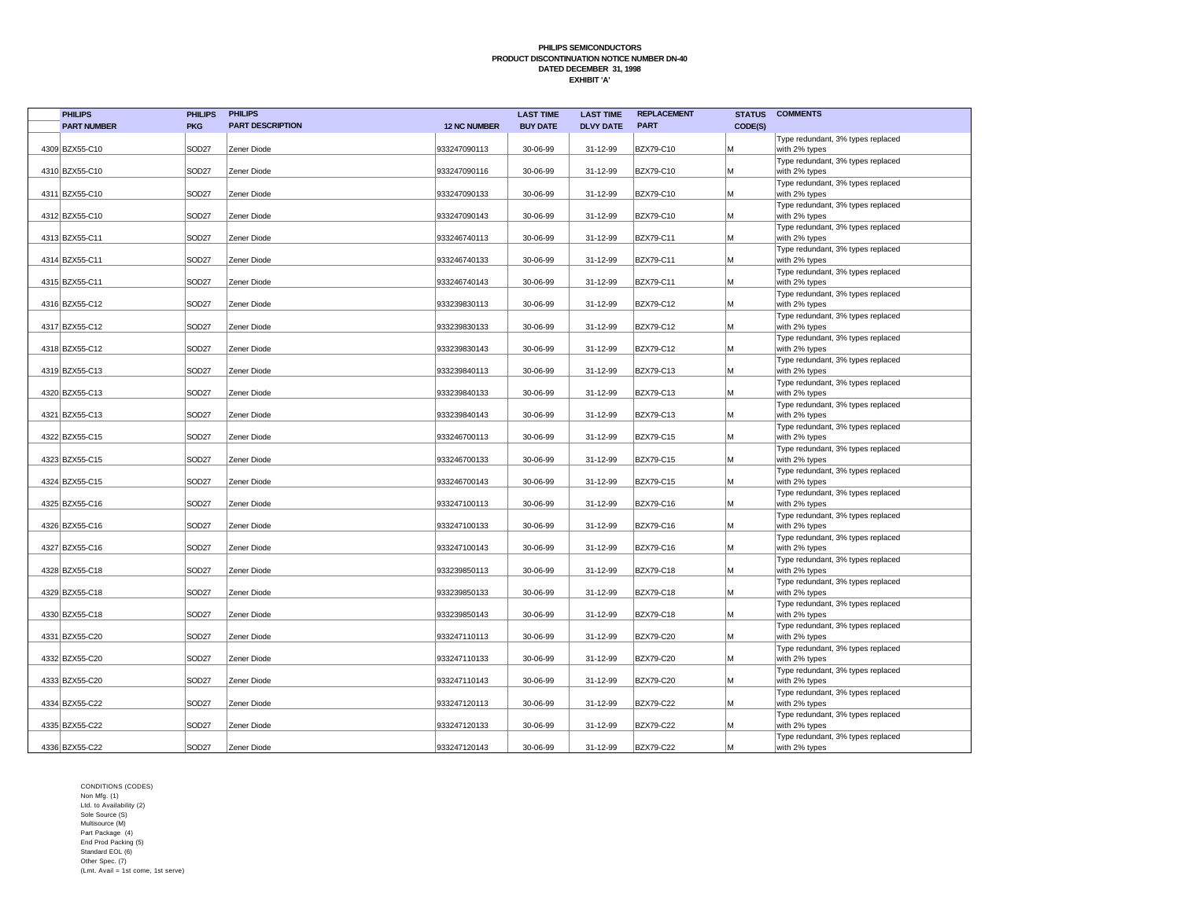| <b>PHILIPS</b>     | <b>PHILIPS</b>    | <b>PHILIPS</b>          |                     | <b>LAST TIME</b> | <b>LAST TIME</b> | <b>REPLACEMENT</b> | <b>STATUS</b> | <b>COMMENTS</b>                                    |
|--------------------|-------------------|-------------------------|---------------------|------------------|------------------|--------------------|---------------|----------------------------------------------------|
| <b>PART NUMBER</b> | <b>PKG</b>        | <b>PART DESCRIPTION</b> | <b>12 NC NUMBER</b> | <b>BUY DATE</b>  | <b>DLVY DATE</b> | <b>PART</b>        | CODE(S)       |                                                    |
|                    |                   |                         |                     |                  |                  |                    |               | Type redundant, 3% types replaced                  |
| 4309 BZX55-C10     | SOD <sub>27</sub> | Zener Diode             | 933247090113        | 30-06-99         | 31-12-99         | BZX79-C10          | M             | with 2% types                                      |
|                    |                   |                         |                     |                  |                  |                    |               | Type redundant, 3% types replaced                  |
| 4310 BZX55-C10     | SOD <sub>27</sub> | Zener Diode             | 933247090116        | 30-06-99         | 31-12-99         | BZX79-C10          | M             | with 2% types                                      |
| 4311 BZX55-C10     | SOD <sub>27</sub> | Zener Diode             | 933247090133        | 30-06-99         | 31-12-99         | BZX79-C10          | M             | Type redundant, 3% types replaced<br>with 2% types |
|                    |                   |                         |                     |                  |                  |                    |               | Type redundant, 3% types replaced                  |
| 4312 BZX55-C10     | SOD <sub>27</sub> | Zener Diode             | 933247090143        | 30-06-99         | 31-12-99         | <b>BZX79-C10</b>   | M             | with 2% types                                      |
|                    |                   |                         |                     |                  |                  |                    |               | Type redundant, 3% types replaced                  |
| 4313 BZX55-C11     | SOD <sub>27</sub> | Zener Diode             | 933246740113        | 30-06-99         | 31-12-99         | <b>BZX79-C11</b>   | M             | with 2% types                                      |
|                    |                   |                         |                     |                  |                  |                    |               | Type redundant, 3% types replaced                  |
| 4314 BZX55-C11     | SOD <sub>27</sub> | Zener Diode             | 933246740133        | 30-06-99         | 31-12-99         | <b>BZX79-C11</b>   | M             | with 2% types                                      |
| 4315 BZX55-C11     | SOD <sub>27</sub> | Zener Diode             | 933246740143        | 30-06-99         | 31-12-99         | BZX79-C11          | M             | Type redundant, 3% types replaced<br>with 2% types |
|                    |                   |                         |                     |                  |                  |                    |               | Type redundant, 3% types replaced                  |
| 4316 BZX55-C12     | SOD <sub>27</sub> | Zener Diode             | 933239830113        | 30-06-99         | 31-12-99         | BZX79-C12          | M             | with 2% types                                      |
|                    |                   |                         |                     |                  |                  |                    |               | Type redundant, 3% types replaced                  |
| 4317 BZX55-C12     | SOD <sub>27</sub> | Zener Diode             | 933239830133        | 30-06-99         | 31-12-99         | BZX79-C12          | M             | with 2% types                                      |
|                    |                   |                         |                     |                  |                  |                    |               | Type redundant, 3% types replaced                  |
| 4318 BZX55-C12     | SOD27             | Zener Diode             | 933239830143        | 30-06-99         | 31-12-99         | <b>BZX79-C12</b>   | M             | with 2% types<br>Type redundant, 3% types replaced |
| 4319 BZX55-C13     | SOD <sub>27</sub> | Zener Diode             | 933239840113        | 30-06-99         | 31-12-99         | BZX79-C13          | M             | with 2% types                                      |
|                    |                   |                         |                     |                  |                  |                    |               | Type redundant, 3% types replaced                  |
| 4320 BZX55-C13     | SOD <sub>27</sub> | Zener Diode             | 933239840133        | 30-06-99         | 31-12-99         | <b>BZX79-C13</b>   | M             | with 2% types                                      |
|                    |                   |                         |                     |                  |                  |                    |               | Type redundant, 3% types replaced                  |
| 4321 BZX55-C13     | SOD <sub>27</sub> | Zener Diode             | 933239840143        | 30-06-99         | 31-12-99         | BZX79-C13          | M             | with 2% types                                      |
| 4322 BZX55-C15     | SOD27             | Zener Diode             | 933246700113        | 30-06-99         | 31-12-99         | <b>BZX79-C15</b>   | M             | Type redundant, 3% types replaced<br>with 2% types |
|                    |                   |                         |                     |                  |                  |                    |               | Type redundant, 3% types replaced                  |
| 4323 BZX55-C15     | SOD <sub>27</sub> | Zener Diode             | 933246700133        | 30-06-99         | 31-12-99         | <b>BZX79-C15</b>   | M             | with 2% types                                      |
|                    |                   |                         |                     |                  |                  |                    |               | Type redundant, 3% types replaced                  |
| 4324 BZX55-C15     | SOD <sub>27</sub> | Zener Diode             | 933246700143        | 30-06-99         | 31-12-99         | <b>BZX79-C15</b>   | M             | with 2% types                                      |
|                    |                   |                         |                     |                  |                  |                    |               | Type redundant, 3% types replaced                  |
| 4325 BZX55-C16     | SOD <sub>27</sub> | Zener Diode             | 933247100113        | 30-06-99         | 31-12-99         | <b>BZX79-C16</b>   | M             | with 2% types<br>Type redundant, 3% types replaced |
| 4326 BZX55-C16     | SOD27             | Zener Diode             | 933247100133        | 30-06-99         | 31-12-99         | <b>BZX79-C16</b>   | M             | with 2% types                                      |
|                    |                   |                         |                     |                  |                  |                    |               | Type redundant, 3% types replaced                  |
| 4327 BZX55-C16     | SOD27             | Zener Diode             | 933247100143        | 30-06-99         | 31-12-99         | <b>BZX79-C16</b>   | M             | with 2% types                                      |
|                    |                   |                         |                     |                  |                  |                    |               | Type redundant, 3% types replaced                  |
| 4328 BZX55-C18     | SOD27             | Zener Diode             | 933239850113        | 30-06-99         | 31-12-99         | <b>BZX79-C18</b>   | M             | with 2% types                                      |
| 4329 BZX55-C18     | SOD <sub>27</sub> | Zener Diode             | 933239850133        | 30-06-99         | 31-12-99         | <b>BZX79-C18</b>   | M             | Type redundant, 3% types replaced<br>with 2% types |
|                    |                   |                         |                     |                  |                  |                    |               | Type redundant, 3% types replaced                  |
| 4330 BZX55-C18     | SOD <sub>27</sub> | Zener Diode             | 933239850143        | 30-06-99         | 31-12-99         | <b>BZX79-C18</b>   | M             | with 2% types                                      |
|                    |                   |                         |                     |                  |                  |                    |               | Type redundant, 3% types replaced                  |
| 4331 BZX55-C20     | SOD27             | Zener Diode             | 933247110113        | 30-06-99         | 31-12-99         | <b>BZX79-C20</b>   | M             | with 2% types                                      |
| 4332 BZX55-C20     | SOD27             | Zener Diode             | 933247110133        | 30-06-99         | 31-12-99         | <b>BZX79-C20</b>   | M             | Type redundant, 3% types replaced<br>with 2% types |
|                    |                   |                         |                     |                  |                  |                    |               | Type redundant, 3% types replaced                  |
| 4333 BZX55-C20     | SOD27             | Zener Diode             | 933247110143        | 30-06-99         | 31-12-99         | <b>BZX79-C20</b>   | M             | with 2% types                                      |
|                    |                   |                         |                     |                  |                  |                    |               | Type redundant, 3% types replaced                  |
| 4334 BZX55-C22     | SOD <sub>27</sub> | Zener Diode             | 933247120113        | 30-06-99         | 31-12-99         | <b>BZX79-C22</b>   | M             | with 2% types                                      |
| 4335 BZX55-C22     | SOD <sub>27</sub> | Zener Diode             | 933247120133        | 30-06-99         | 31-12-99         | <b>BZX79-C22</b>   | M             | Type redundant, 3% types replaced                  |
|                    |                   |                         |                     |                  |                  |                    |               | with 2% types<br>Type redundant, 3% types replaced |
| 4336 BZX55-C22     | SOD <sub>27</sub> | Zener Diode             | 933247120143        | 30-06-99         | 31-12-99         | <b>BZX79-C22</b>   | M             | with 2% types                                      |
|                    |                   |                         |                     |                  |                  |                    |               |                                                    |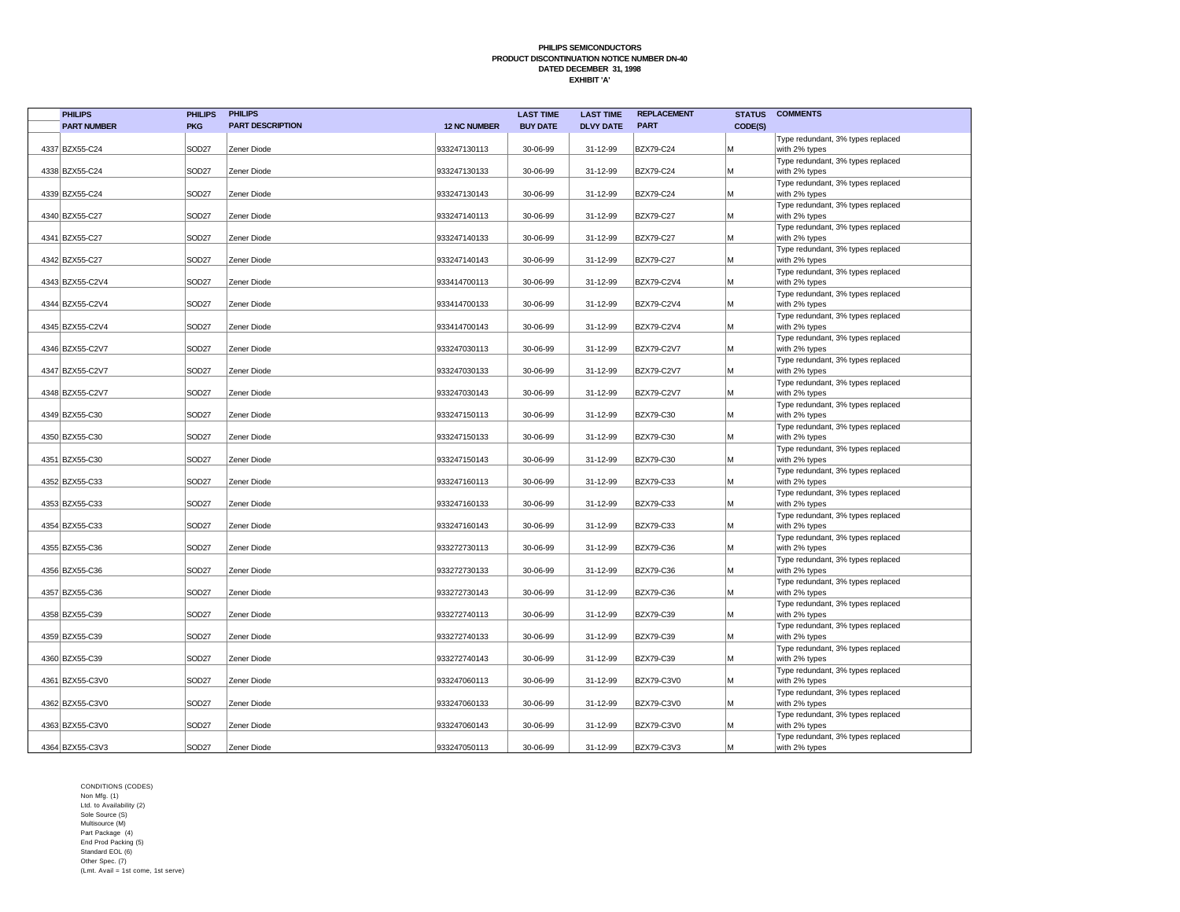| <b>PHILIPS</b>     | <b>PHILIPS</b>    | <b>PHILIPS</b>          |                     | <b>LAST TIME</b> | <b>LAST TIME</b> | <b>REPLACEMENT</b> | <b>STATUS</b> | <b>COMMENTS</b>                                    |
|--------------------|-------------------|-------------------------|---------------------|------------------|------------------|--------------------|---------------|----------------------------------------------------|
| <b>PART NUMBER</b> | <b>PKG</b>        | <b>PART DESCRIPTION</b> | <b>12 NC NUMBER</b> | <b>BUY DATE</b>  | <b>DLVY DATE</b> | <b>PART</b>        | CODE(S)       |                                                    |
| 4337 BZX55-C24     | SOD <sub>27</sub> | Zener Diode             | 933247130113        | 30-06-99         | 31-12-99         | BZX79-C24          | M             | Type redundant, 3% types replaced                  |
|                    |                   |                         |                     |                  |                  |                    |               | with 2% types<br>Type redundant, 3% types replaced |
| 4338 BZX55-C24     | SOD <sub>27</sub> | Zener Diode             | 933247130133        | 30-06-99         | 31-12-99         | BZX79-C24          | M             | with 2% types                                      |
|                    |                   |                         |                     |                  |                  |                    |               | Type redundant, 3% types replaced                  |
| 4339 BZX55-C24     | SOD <sub>27</sub> | Zener Diode             | 933247130143        | 30-06-99         | 31-12-99         | BZX79-C24          | M             | with 2% types                                      |
|                    |                   |                         |                     |                  |                  |                    |               | Type redundant, 3% types replaced                  |
| 4340 BZX55-C27     | SOD <sub>27</sub> | Zener Diode             | 933247140113        | 30-06-99         | 31-12-99         | <b>BZX79-C27</b>   | M             | with 2% types                                      |
| 4341 BZX55-C27     | SOD <sub>27</sub> | Zener Diode             | 933247140133        | 30-06-99         | 31-12-99         | <b>BZX79-C27</b>   | M             | Type redundant, 3% types replaced<br>with 2% types |
|                    |                   |                         |                     |                  |                  |                    |               | Type redundant, 3% types replaced                  |
| 4342 BZX55-C27     | SOD <sub>27</sub> | Zener Diode             | 933247140143        | 30-06-99         | 31-12-99         | <b>BZX79-C27</b>   | M             | with 2% types                                      |
|                    |                   |                         |                     |                  |                  |                    |               | Type redundant, 3% types replaced                  |
| 4343 BZX55-C2V4    | SOD <sub>27</sub> | Zener Diode             | 933414700113        | 30-06-99         | 31-12-99         | BZX79-C2V4         | M             | with 2% types                                      |
|                    |                   |                         |                     |                  |                  |                    |               | Type redundant, 3% types replaced                  |
| 4344 BZX55-C2V4    | SOD <sub>27</sub> | Zener Diode             | 933414700133        | 30-06-99         | 31-12-99         | BZX79-C2V4         | M             | with 2% types                                      |
| 4345 BZX55-C2V4    | SOD <sub>27</sub> | Zener Diode             | 933414700143        | 30-06-99         | 31-12-99         | BZX79-C2V4         | M             | Type redundant, 3% types replaced<br>with 2% types |
|                    |                   |                         |                     |                  |                  |                    |               | Type redundant, 3% types replaced                  |
| 4346 BZX55-C2V7    | SOD <sub>27</sub> | Zener Diode             | 933247030113        | 30-06-99         | 31-12-99         | BZX79-C2V7         | M             | with 2% types                                      |
|                    |                   |                         |                     |                  |                  |                    |               | Type redundant, 3% types replaced                  |
| 4347 BZX55-C2V7    | SOD <sub>27</sub> | Zener Diode             | 933247030133        | 30-06-99         | 31-12-99         | BZX79-C2V7         | M             | with 2% types                                      |
|                    |                   |                         |                     |                  |                  |                    |               | Type redundant, 3% types replaced                  |
| 4348 BZX55-C2V7    | SOD <sub>27</sub> | Zener Diode             | 933247030143        | 30-06-99         | 31-12-99         | BZX79-C2V7         | M             | with 2% types                                      |
|                    |                   |                         |                     |                  |                  |                    |               | Type redundant, 3% types replaced                  |
| 4349 BZX55-C30     | SOD <sub>27</sub> | Zener Diode             | 933247150113        | 30-06-99         | 31-12-99         | BZX79-C30          | M             | with 2% types<br>Type redundant, 3% types replaced |
| 4350 BZX55-C30     | SOD <sub>27</sub> | Zener Diode             | 933247150133        | 30-06-99         | 31-12-99         | BZX79-C30          | M             | with 2% types                                      |
|                    |                   |                         |                     |                  |                  |                    |               | Type redundant, 3% types replaced                  |
| 4351 BZX55-C30     | SOD <sub>27</sub> | Zener Diode             | 933247150143        | 30-06-99         | 31-12-99         | BZX79-C30          | M             | with 2% types                                      |
|                    |                   |                         |                     |                  |                  |                    |               | Type redundant, 3% types replaced                  |
| 4352 BZX55-C33     | SOD <sub>27</sub> | Zener Diode             | 933247160113        | 30-06-99         | 31-12-99         | BZX79-C33          | M             | with 2% types                                      |
|                    |                   |                         |                     |                  |                  |                    |               | Type redundant, 3% types replaced                  |
| 4353 BZX55-C33     | SOD <sub>27</sub> | Zener Diode             | 933247160133        | 30-06-99         | 31-12-99         | <b>BZX79-C33</b>   | M             | with 2% types                                      |
| 4354 BZX55-C33     | SOD <sub>27</sub> | Zener Diode             | 933247160143        | 30-06-99         | 31-12-99         | BZX79-C33          | M             | Type redundant, 3% types replaced<br>with 2% types |
|                    |                   |                         |                     |                  |                  |                    |               | Type redundant, 3% types replaced                  |
| 4355 BZX55-C36     | SOD <sub>27</sub> | Zener Diode             | 933272730113        | 30-06-99         | 31-12-99         | BZX79-C36          | M             | with 2% types                                      |
|                    |                   |                         |                     |                  |                  |                    |               | Type redundant, 3% types replaced                  |
| 4356 BZX55-C36     | SOD <sub>27</sub> | Zener Diode             | 933272730133        | 30-06-99         | 31-12-99         | BZX79-C36          | M             | with 2% types                                      |
|                    |                   |                         |                     |                  |                  |                    |               | Type redundant, 3% types replaced                  |
| 4357 BZX55-C36     | SOD <sub>27</sub> | Zener Diode             | 933272730143        | 30-06-99         | 31-12-99         | BZX79-C36          | M             | with 2% types                                      |
|                    |                   |                         |                     |                  |                  |                    |               | Type redundant, 3% types replaced                  |
| 4358 BZX55-C39     | SOD <sub>27</sub> | Zener Diode             | 933272740113        | 30-06-99         | 31-12-99         | BZX79-C39          | M             | with 2% types<br>Type redundant, 3% types replaced |
| 4359 BZX55-C39     | SOD <sub>27</sub> | Zener Diode             | 933272740133        | 30-06-99         | 31-12-99         | BZX79-C39          | M             | with 2% types                                      |
|                    |                   |                         |                     |                  |                  |                    |               | Type redundant, 3% types replaced                  |
| 4360 BZX55-C39     | SOD <sub>27</sub> | Zener Diode             | 933272740143        | 30-06-99         | 31-12-99         | BZX79-C39          | M             | with 2% types                                      |
|                    |                   |                         |                     |                  |                  |                    |               | Type redundant, 3% types replaced                  |
| 4361 BZX55-C3V0    | SOD <sub>27</sub> | Zener Diode             | 933247060113        | 30-06-99         | 31-12-99         | BZX79-C3V0         | M             | with 2% types                                      |
|                    |                   |                         |                     |                  |                  |                    |               | Type redundant, 3% types replaced                  |
| 4362 BZX55-C3V0    | SOD <sub>27</sub> | Zener Diode             | 933247060133        | 30-06-99         | 31-12-99         | <b>BZX79-C3V0</b>  | M             | with 2% types                                      |
| 4363 BZX55-C3V0    | SOD <sub>27</sub> | Zener Diode             | 933247060143        | 30-06-99         | 31-12-99         | BZX79-C3V0         | M             | Type redundant, 3% types replaced<br>with 2% types |
|                    |                   |                         |                     |                  |                  |                    |               | Type redundant, 3% types replaced                  |
| 4364 BZX55-C3V3    | SOD <sub>27</sub> | Zener Diode             | 933247050113        | 30-06-99         | 31-12-99         | <b>BZX79-C3V3</b>  | M             | with 2% types                                      |
|                    |                   |                         |                     |                  |                  |                    |               |                                                    |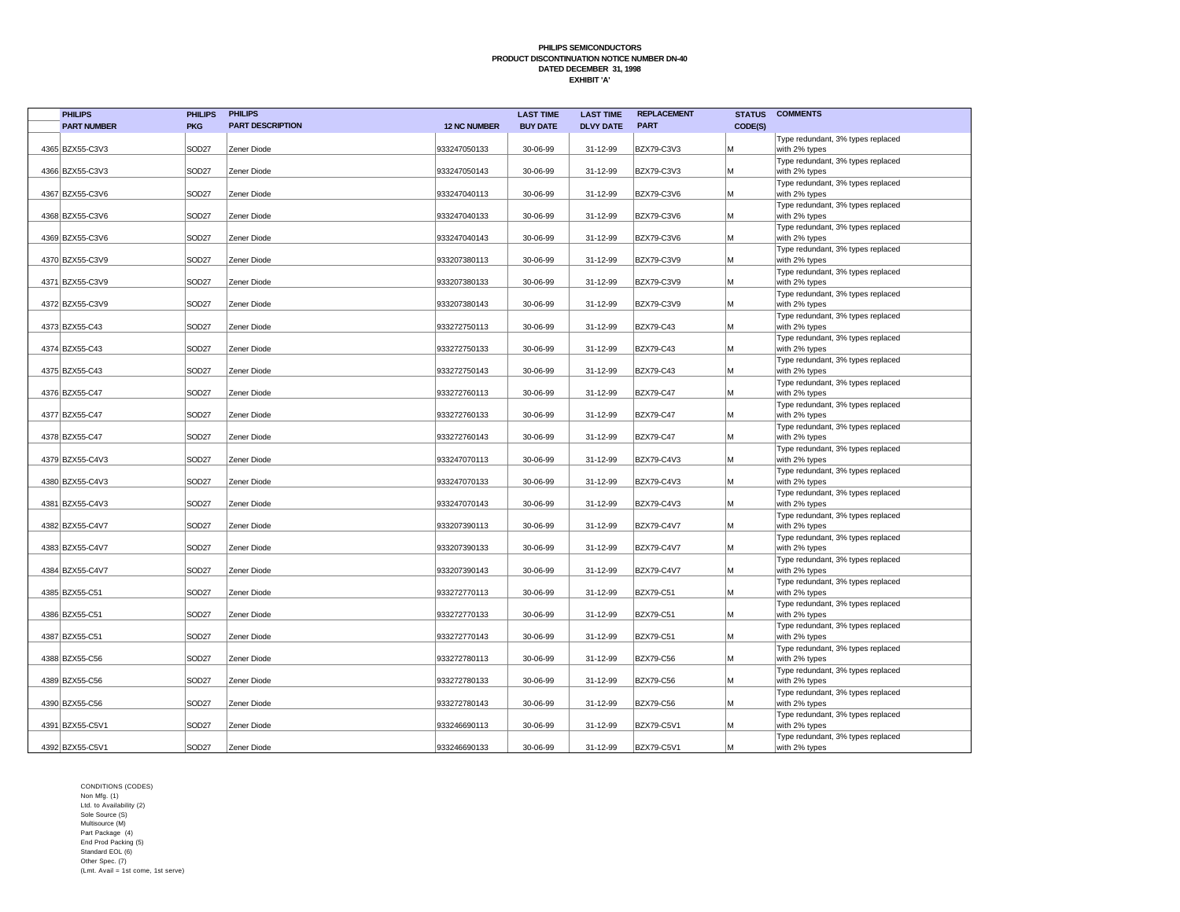| <b>PHILIPS</b>     | <b>PHILIPS</b>    | <b>PHILIPS</b>          |                     | <b>LAST TIME</b> | <b>LAST TIME</b> | <b>REPLACEMENT</b> | <b>STATUS</b> | <b>COMMENTS</b>                                    |
|--------------------|-------------------|-------------------------|---------------------|------------------|------------------|--------------------|---------------|----------------------------------------------------|
| <b>PART NUMBER</b> | <b>PKG</b>        | <b>PART DESCRIPTION</b> | <b>12 NC NUMBER</b> | <b>BUY DATE</b>  | <b>DLVY DATE</b> | <b>PART</b>        | CODE(S)       |                                                    |
| 4365 BZX55-C3V3    | SOD <sub>27</sub> | Zener Diode             | 933247050133        | 30-06-99         | 31-12-99         | BZX79-C3V3         | M             | Type redundant, 3% types replaced<br>with 2% types |
|                    |                   |                         |                     |                  |                  |                    |               | Type redundant, 3% types replaced                  |
| 4366 BZX55-C3V3    | SOD <sub>27</sub> | Zener Diode             | 933247050143        | 30-06-99         | 31-12-99         | BZX79-C3V3         | M             | with 2% types                                      |
|                    |                   |                         |                     |                  |                  |                    |               | Type redundant, 3% types replaced                  |
| 4367 BZX55-C3V6    | SOD <sub>27</sub> | Zener Diode             | 933247040113        | 30-06-99         | 31-12-99         | BZX79-C3V6         | M             | with 2% types                                      |
| 4368 BZX55-C3V6    | SOD <sub>27</sub> | Zener Diode             | 933247040133        | 30-06-99         | 31-12-99         | BZX79-C3V6         | M             | Type redundant, 3% types replaced<br>with 2% types |
|                    |                   |                         |                     |                  |                  |                    |               | Type redundant, 3% types replaced                  |
| 4369 BZX55-C3V6    | SOD <sub>27</sub> | Zener Diode             | 933247040143        | 30-06-99         | 31-12-99         | BZX79-C3V6         | M             | with 2% types                                      |
|                    |                   |                         |                     |                  |                  |                    |               | Type redundant, 3% types replaced                  |
| 4370 BZX55-C3V9    | SOD <sub>27</sub> | Zener Diode             | 933207380113        | 30-06-99         | 31-12-99         | BZX79-C3V9         | M             | with 2% types<br>Type redundant, 3% types replaced |
| 4371 BZX55-C3V9    | SOD <sub>27</sub> | Zener Diode             | 933207380133        | 30-06-99         | 31-12-99         | BZX79-C3V9         | M             | with 2% types                                      |
|                    |                   |                         |                     |                  |                  |                    |               | Type redundant, 3% types replaced                  |
| 4372 BZX55-C3V9    | SOD <sub>27</sub> | Zener Diode             | 933207380143        | 30-06-99         | 31-12-99         | BZX79-C3V9         | M             | with 2% types                                      |
|                    |                   |                         |                     |                  |                  |                    |               | Type redundant, 3% types replaced                  |
| 4373 BZX55-C43     | SOD <sub>27</sub> | Zener Diode             | 933272750113        | 30-06-99         | 31-12-99         | BZX79-C43          | M             | with 2% types<br>Type redundant, 3% types replaced |
| 4374 BZX55-C43     | SOD <sub>27</sub> | Zener Diode             | 933272750133        | 30-06-99         | 31-12-99         | BZX79-C43          | M             | with 2% types                                      |
|                    |                   |                         |                     |                  |                  |                    |               | Type redundant, 3% types replaced                  |
| 4375 BZX55-C43     | SOD <sub>27</sub> | Zener Diode             | 933272750143        | 30-06-99         | 31-12-99         | BZX79-C43          | M             | with 2% types                                      |
|                    |                   |                         |                     |                  |                  |                    |               | Type redundant, 3% types replaced                  |
| 4376 BZX55-C47     | SOD <sub>27</sub> | Zener Diode             | 933272760113        | 30-06-99         | 31-12-99         | <b>BZX79-C47</b>   | M             | with 2% types<br>Type redundant, 3% types replaced |
| 4377 BZX55-C47     | SOD <sub>27</sub> | Zener Diode             | 933272760133        | 30-06-99         | 31-12-99         | <b>BZX79-C47</b>   | M             | with 2% types                                      |
|                    |                   |                         |                     |                  |                  |                    |               | Type redundant, 3% types replaced                  |
| 4378 BZX55-C47     | SOD <sub>27</sub> | Zener Diode             | 933272760143        | 30-06-99         | 31-12-99         | <b>BZX79-C47</b>   | M             | with 2% types                                      |
|                    |                   |                         |                     |                  |                  |                    |               | Type redundant, 3% types replaced                  |
| 4379 BZX55-C4V3    | SOD <sub>27</sub> | Zener Diode             | 933247070113        | 30-06-99         | 31-12-99         | BZX79-C4V3         | M             | with 2% types<br>Type redundant, 3% types replaced |
| 4380 BZX55-C4V3    | SOD <sub>27</sub> | Zener Diode             | 933247070133        | 30-06-99         | 31-12-99         | BZX79-C4V3         | M             | with 2% types                                      |
|                    |                   |                         |                     |                  |                  |                    |               | Type redundant, 3% types replaced                  |
| 4381 BZX55-C4V3    | SOD <sub>27</sub> | Zener Diode             | 933247070143        | 30-06-99         | 31-12-99         | BZX79-C4V3         | M             | with 2% types                                      |
|                    |                   |                         |                     |                  |                  |                    |               | Type redundant, 3% types replaced                  |
| 4382 BZX55-C4V7    | SOD <sub>27</sub> | Zener Diode             | 933207390113        | 30-06-99         | 31-12-99         | <b>BZX79-C4V7</b>  | M             | with 2% types<br>Type redundant, 3% types replaced |
| 4383 BZX55-C4V7    | SOD <sub>27</sub> | Zener Diode             | 933207390133        | 30-06-99         | 31-12-99         | BZX79-C4V7         | M             | with 2% types                                      |
|                    |                   |                         |                     |                  |                  |                    |               | Type redundant, 3% types replaced                  |
| 4384 BZX55-C4V7    | SOD <sub>27</sub> | Zener Diode             | 933207390143        | 30-06-99         | 31-12-99         | BZX79-C4V7         | M             | with 2% types                                      |
| 4385 BZX55-C51     | SOD <sub>27</sub> | Zener Diode             | 933272770113        | 30-06-99         | 31-12-99         | BZX79-C51          | M             | Type redundant, 3% types replaced                  |
|                    |                   |                         |                     |                  |                  |                    |               | with 2% types<br>Type redundant, 3% types replaced |
| 4386 BZX55-C51     | SOD <sub>27</sub> | Zener Diode             | 933272770133        | 30-06-99         | 31-12-99         | <b>BZX79-C51</b>   | M             | with 2% types                                      |
|                    |                   |                         |                     |                  |                  |                    |               | Type redundant, 3% types replaced                  |
| 4387 BZX55-C51     | SOD <sub>27</sub> | Zener Diode             | 933272770143        | 30-06-99         | 31-12-99         | <b>BZX79-C51</b>   | M             | with 2% types                                      |
| 4388 BZX55-C56     | SOD <sub>27</sub> | Zener Diode             | 933272780113        | 30-06-99         | 31-12-99         | <b>BZX79-C56</b>   |               | Type redundant, 3% types replaced                  |
|                    |                   |                         |                     |                  |                  |                    | M             | with 2% types<br>Type redundant, 3% types replaced |
| 4389 BZX55-C56     | SOD <sub>27</sub> | Zener Diode             | 933272780133        | 30-06-99         | 31-12-99         | <b>BZX79-C56</b>   | M             | with 2% types                                      |
|                    |                   |                         |                     |                  |                  |                    |               | Type redundant, 3% types replaced                  |
| 4390 BZX55-C56     | SOD <sub>27</sub> | Zener Diode             | 933272780143        | 30-06-99         | 31-12-99         | <b>BZX79-C56</b>   | M             | with 2% types                                      |
| 4391 BZX55-C5V1    | SOD <sub>27</sub> | Zener Diode             | 933246690113        | 30-06-99         | 31-12-99         | BZX79-C5V1         | M             | Type redundant, 3% types replaced<br>with 2% types |
|                    |                   |                         |                     |                  |                  |                    |               | Type redundant, 3% types replaced                  |
| 4392 BZX55-C5V1    | SOD <sub>27</sub> | Zener Diode             | 933246690133        | 30-06-99         | 31-12-99         | <b>BZX79-C5V1</b>  | M             | with 2% types                                      |
|                    |                   |                         |                     |                  |                  |                    |               |                                                    |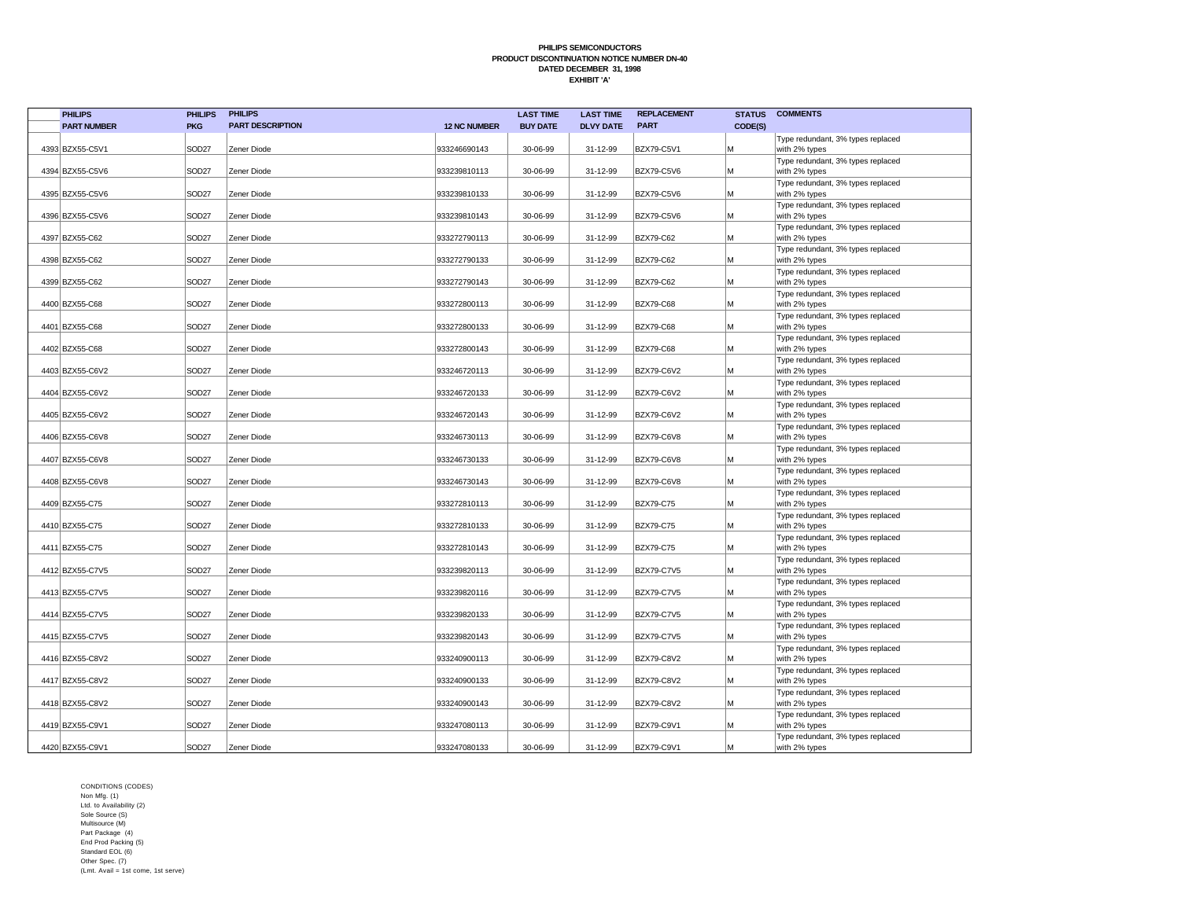| <b>PHILIPS</b>     | <b>PHILIPS</b>    | <b>PHILIPS</b>          |                     | <b>LAST TIME</b> | <b>LAST TIME</b> | <b>REPLACEMENT</b> | <b>STATUS</b> | <b>COMMENTS</b>                                    |
|--------------------|-------------------|-------------------------|---------------------|------------------|------------------|--------------------|---------------|----------------------------------------------------|
| <b>PART NUMBER</b> | <b>PKG</b>        | <b>PART DESCRIPTION</b> | <b>12 NC NUMBER</b> | <b>BUY DATE</b>  | <b>DLVY DATE</b> | <b>PART</b>        | CODE(S)       |                                                    |
| 4393 BZX55-C5V1    | SOD <sub>27</sub> | Zener Diode             | 933246690143        | 30-06-99         | 31-12-99         | BZX79-C5V1         | M             | Type redundant, 3% types replaced<br>with 2% types |
|                    |                   |                         |                     |                  |                  |                    |               | Type redundant, 3% types replaced                  |
| 4394 BZX55-C5V6    | SOD <sub>27</sub> | Zener Diode             | 933239810113        | 30-06-99         | 31-12-99         | BZX79-C5V6         | M             | with 2% types<br>Type redundant, 3% types replaced |
| 4395 BZX55-C5V6    | SOD <sub>27</sub> | Zener Diode             | 933239810133        | 30-06-99         | 31-12-99         | BZX79-C5V6         | M             | with 2% types                                      |
|                    |                   |                         |                     |                  |                  |                    |               | Type redundant, 3% types replaced                  |
| 4396 BZX55-C5V6    | SOD <sub>27</sub> | Zener Diode             | 933239810143        | 30-06-99         | 31-12-99         | <b>BZX79-C5V6</b>  | M             | with 2% types<br>Type redundant, 3% types replaced |
| 4397 BZX55-C62     | SOD <sub>27</sub> | Zener Diode             | 933272790113        | 30-06-99         | 31-12-99         | BZX79-C62          | M             | with 2% types                                      |
| 4398 BZX55-C62     | SOD <sub>27</sub> | Zener Diode             | 933272790133        | 30-06-99         | 31-12-99         | <b>BZX79-C62</b>   | M             | Type redundant, 3% types replaced<br>with 2% types |
|                    |                   |                         |                     |                  |                  |                    |               | Type redundant, 3% types replaced                  |
| 4399 BZX55-C62     | SOD <sub>27</sub> | Zener Diode             | 933272790143        | 30-06-99         | 31-12-99         | BZX79-C62          | M             | with 2% types                                      |
| 4400 BZX55-C68     | SOD <sub>27</sub> | Zener Diode             | 933272800113        | 30-06-99         | 31-12-99         | <b>BZX79-C68</b>   | M             | Type redundant, 3% types replaced<br>with 2% types |
|                    |                   |                         |                     |                  |                  |                    |               | Type redundant, 3% types replaced                  |
| 4401 BZX55-C68     | SOD <sub>27</sub> | Zener Diode             | 933272800133        | 30-06-99         | 31-12-99         | <b>BZX79-C68</b>   | M             | with 2% types                                      |
| 4402 BZX55-C68     | SOD <sub>27</sub> | Zener Diode             | 933272800143        | 30-06-99         | 31-12-99         | <b>BZX79-C68</b>   | M             | Type redundant, 3% types replaced<br>with 2% types |
|                    |                   |                         |                     |                  |                  |                    |               | Type redundant, 3% types replaced                  |
| 4403 BZX55-C6V2    | SOD <sub>27</sub> | Zener Diode             | 933246720113        | 30-06-99         | 31-12-99         | BZX79-C6V2         | M             | with 2% types<br>Type redundant, 3% types replaced |
| 4404 BZX55-C6V2    | SOD <sub>27</sub> | Zener Diode             | 933246720133        | 30-06-99         | 31-12-99         | BZX79-C6V2         | M             | with 2% types                                      |
| 4405 BZX55-C6V2    | SOD <sub>27</sub> | Zener Diode             | 933246720143        | 30-06-99         | 31-12-99         | BZX79-C6V2         | M             | Type redundant, 3% types replaced<br>with 2% types |
|                    |                   |                         |                     |                  |                  |                    |               | Type redundant, 3% types replaced                  |
| 4406 BZX55-C6V8    | SOD <sub>27</sub> | Zener Diode             | 933246730113        | 30-06-99         | 31-12-99         | <b>BZX79-C6V8</b>  | M             | with 2% types                                      |
| 4407 BZX55-C6V8    | SOD <sub>27</sub> | Zener Diode             | 933246730133        | 30-06-99         | 31-12-99         | <b>BZX79-C6V8</b>  | M             | Type redundant, 3% types replaced<br>with 2% types |
|                    |                   |                         |                     |                  |                  |                    |               | Type redundant, 3% types replaced                  |
| 4408 BZX55-C6V8    | SOD <sub>27</sub> | Zener Diode             | 933246730143        | 30-06-99         | 31-12-99         | <b>BZX79-C6V8</b>  | M             | with 2% types<br>Type redundant, 3% types replaced |
| 4409 BZX55-C75     | SOD <sub>27</sub> | Zener Diode             | 933272810113        | 30-06-99         | 31-12-99         | <b>BZX79-C75</b>   | M             | with 2% types                                      |
|                    |                   |                         |                     |                  |                  |                    |               | Type redundant, 3% types replaced                  |
| 4410 BZX55-C75     | SOD <sub>27</sub> | Zener Diode             | 933272810133        | 30-06-99         | 31-12-99         | <b>BZX79-C75</b>   | M             | with 2% types<br>Type redundant, 3% types replaced |
| 4411 BZX55-C75     | SOD <sub>27</sub> | Zener Diode             | 933272810143        | 30-06-99         | 31-12-99         | <b>BZX79-C75</b>   | M             | with 2% types                                      |
| 4412 BZX55-C7V5    | SOD <sub>27</sub> | Zener Diode             | 933239820113        | 30-06-99         | 31-12-99         | BZX79-C7V5         | M             | Type redundant, 3% types replaced<br>with 2% types |
|                    |                   |                         |                     |                  |                  |                    |               | Type redundant, 3% types replaced                  |
| 4413 BZX55-C7V5    | SOD <sub>27</sub> | Zener Diode             | 933239820116        | 30-06-99         | 31-12-99         | BZX79-C7V5         | M             | with 2% types                                      |
| 4414 BZX55-C7V5    | SOD <sub>27</sub> | Zener Diode             | 933239820133        | 30-06-99         | 31-12-99         | <b>BZX79-C7V5</b>  | M             | Type redundant, 3% types replaced<br>with 2% types |
|                    |                   |                         |                     |                  |                  |                    |               | Type redundant, 3% types replaced                  |
| 4415 BZX55-C7V5    | SOD <sub>27</sub> | Zener Diode             | 933239820143        | 30-06-99         | 31-12-99         | <b>BZX79-C7V5</b>  | M             | with 2% types                                      |
| 4416 BZX55-C8V2    | SOD <sub>27</sub> | Zener Diode             | 933240900113        | 30-06-99         | 31-12-99         | BZX79-C8V2         | M             | Type redundant, 3% types replaced<br>with 2% types |
|                    |                   |                         |                     |                  |                  |                    |               | Type redundant, 3% types replaced                  |
| 4417 BZX55-C8V2    | SOD <sub>27</sub> | Zener Diode             | 933240900133        | 30-06-99         | 31-12-99         | BZX79-C8V2         | M             | with 2% types<br>Type redundant, 3% types replaced |
| 4418 BZX55-C8V2    | SOD <sub>27</sub> | Zener Diode             | 933240900143        | 30-06-99         | 31-12-99         | <b>BZX79-C8V2</b>  | M             | with 2% types                                      |
| 4419 BZX55-C9V1    | SOD <sub>27</sub> | Zener Diode             | 933247080113        | 30-06-99         | 31-12-99         | BZX79-C9V1         | M             | Type redundant, 3% types replaced<br>with 2% types |
|                    |                   |                         |                     |                  |                  |                    |               | Type redundant, 3% types replaced                  |
| 4420 BZX55-C9V1    | SOD <sub>27</sub> | Zener Diode             | 933247080133        | 30-06-99         | 31-12-99         | <b>BZX79-C9V1</b>  | M             | with 2% types                                      |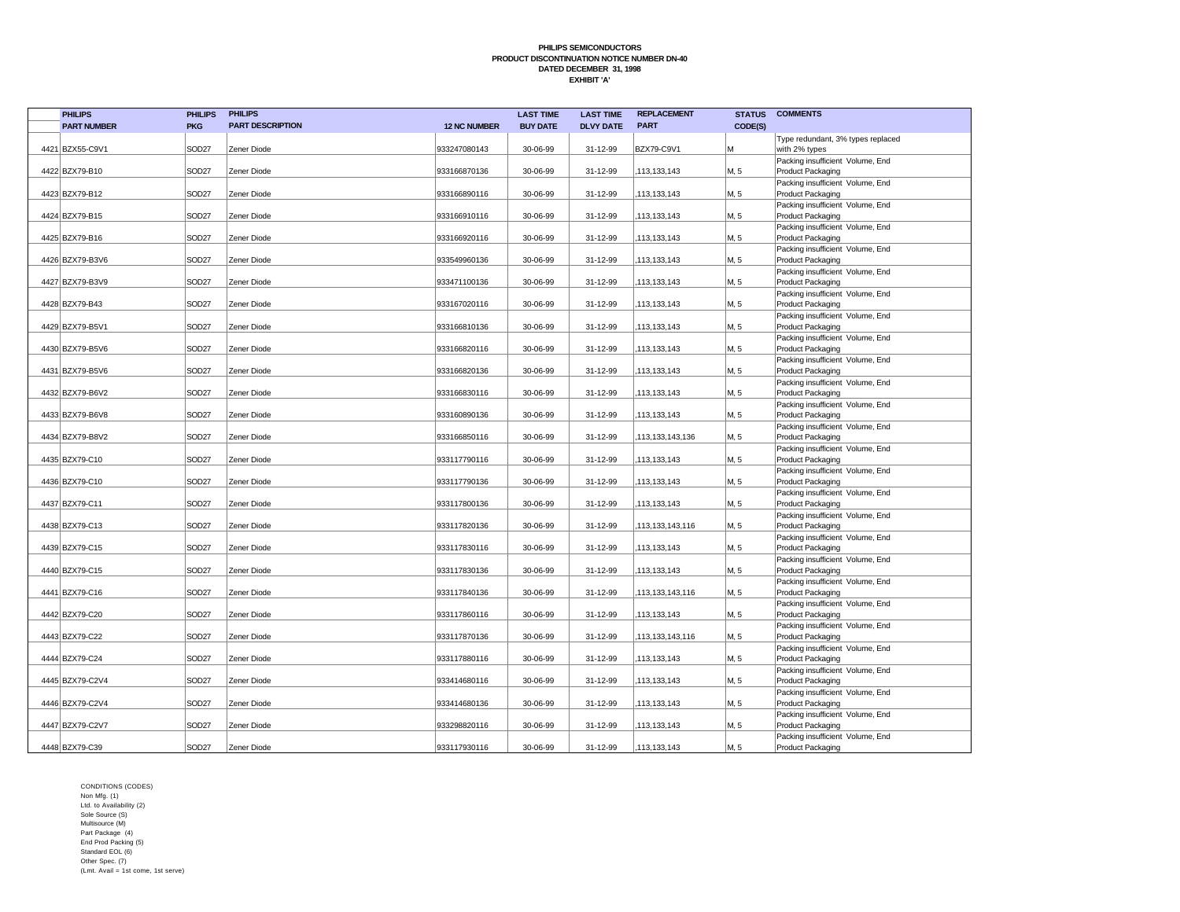| <b>PHILIPS</b>     | <b>PHILIPS</b>    | <b>PHILIPS</b>          |                     | <b>LAST TIME</b> | <b>LAST TIME</b> | <b>REPLACEMENT</b> | <b>STATUS</b> | <b>COMMENTS</b>                                       |
|--------------------|-------------------|-------------------------|---------------------|------------------|------------------|--------------------|---------------|-------------------------------------------------------|
| <b>PART NUMBER</b> | <b>PKG</b>        | <b>PART DESCRIPTION</b> | <b>12 NC NUMBER</b> | <b>BUY DATE</b>  | <b>DLVY DATE</b> | <b>PART</b>        | CODE(S)       |                                                       |
|                    |                   |                         |                     |                  |                  |                    |               | Type redundant, 3% types replaced                     |
| 4421 BZX55-C9V1    | SOD <sub>27</sub> | Zener Diode             | 933247080143        | 30-06-99         | 31-12-99         | <b>BZX79-C9V1</b>  | M             | with 2% types                                         |
|                    |                   |                         |                     |                  |                  |                    |               | Packing insufficient Volume, End                      |
| 4422 BZX79-B10     | SOD <sub>27</sub> | Zener Diode             | 933166870136        | 30-06-99         | 31-12-99         | 113,133,143        | M, 5          | Product Packaging                                     |
| 4423 BZX79-B12     | SOD <sub>27</sub> | Zener Diode             | 933166890116        | 30-06-99         | 31-12-99         | 113,133,143        | M, 5          | Packing insufficient Volume, End<br>Product Packaging |
|                    |                   |                         |                     |                  |                  |                    |               | Packing insufficient Volume, End                      |
| 4424 BZX79-B15     | SOD <sub>27</sub> | Zener Diode             | 933166910116        | 30-06-99         | 31-12-99         | 113,133,143        | M, 5          | Product Packaging                                     |
|                    |                   |                         |                     |                  |                  |                    |               | Packing insufficient Volume, End                      |
| 4425 BZX79-B16     | SOD <sub>27</sub> | Zener Diode             | 933166920116        | 30-06-99         | 31-12-99         | 113,133,143        | M, 5          | Product Packaging                                     |
|                    |                   |                         |                     |                  |                  |                    |               | Packing insufficient Volume, End                      |
| 4426 BZX79-B3V6    | SOD <sub>27</sub> | Zener Diode             | 933549960136        | 30-06-99         | 31-12-99         | 113.133.143        | M, 5          | Product Packaging                                     |
| 4427 BZX79-B3V9    | SOD <sub>27</sub> |                         | 933471100136        | 30-06-99         |                  | 113,133,143        | M, 5          | Packing insufficient Volume, End                      |
|                    |                   | Zener Diode             |                     |                  | 31-12-99         |                    |               | Product Packaging<br>Packing insufficient Volume, End |
| 4428 BZX79-B43     | SOD <sub>27</sub> | Zener Diode             | 933167020116        | 30-06-99         | 31-12-99         | 113,133,143        | M, 5          | Product Packaging                                     |
|                    |                   |                         |                     |                  |                  |                    |               | Packing insufficient Volume, End                      |
| 4429 BZX79-B5V1    | SOD <sub>27</sub> | Zener Diode             | 933166810136        | 30-06-99         | 31-12-99         | 113,133,143        | M, 5          | Product Packaging                                     |
|                    |                   |                         |                     |                  |                  |                    |               | Packing insufficient Volume, End                      |
| 4430 BZX79-B5V6    | SOD <sub>27</sub> | Zener Diode             | 933166820116        | 30-06-99         | 31-12-99         | 113,133,143        | M, 5          | Product Packaging                                     |
|                    |                   |                         |                     |                  |                  |                    |               | Packing insufficient Volume, End                      |
| 4431 BZX79-B5V6    | SOD <sub>27</sub> | Zener Diode             | 933166820136        | 30-06-99         | 31-12-99         | 113,133,143        | M, 5          | Product Packaging                                     |
| 4432 BZX79-B6V2    | SOD27             | Zener Diode             | 933166830116        | 30-06-99         | 31-12-99         | 113,133,143        | M, 5          | Packing insufficient Volume, End<br>Product Packaging |
|                    |                   |                         |                     |                  |                  |                    |               | Packing insufficient Volume, End                      |
| 4433 BZX79-B6V8    | SOD <sub>27</sub> | Zener Diode             | 933160890136        | 30-06-99         | 31-12-99         | 113,133,143        | M, 5          | Product Packaging                                     |
|                    |                   |                         |                     |                  |                  |                    |               | Packing insufficient Volume, End                      |
| 4434 BZX79-B8V2    | SOD <sub>27</sub> | Zener Diode             | 933166850116        | 30-06-99         | 31-12-99         | 113,133,143,136    | M, 5          | Product Packaging                                     |
|                    |                   |                         |                     |                  |                  |                    |               | Packing insufficient Volume, End                      |
| 4435 BZX79-C10     | SOD <sub>27</sub> | Zener Diode             | 933117790116        | 30-06-99         | 31-12-99         | 113,133,143        | M, 5          | Product Packaging                                     |
| 4436 BZX79-C10     | SOD <sub>27</sub> | Zener Diode             | 933117790136        | 30-06-99         | 31-12-99         | 113,133,143        | M, 5          | Packing insufficient Volume, End<br>Product Packaging |
|                    |                   |                         |                     |                  |                  |                    |               | Packing insufficient Volume, End                      |
| 4437 BZX79-C11     | SOD <sub>27</sub> | Zener Diode             | 933117800136        | 30-06-99         | 31-12-99         | 113,133,143        | M, 5          | Product Packaging                                     |
|                    |                   |                         |                     |                  |                  |                    |               | Packing insufficient Volume, End                      |
| 4438 BZX79-C13     | SOD <sub>27</sub> | Zener Diode             | 933117820136        | 30-06-99         | 31-12-99         | 113,133,143,116    | M, 5          | Product Packaging                                     |
|                    |                   |                         |                     |                  |                  |                    |               | Packing insufficient Volume, End                      |
| 4439 BZX79-C15     | SOD <sub>27</sub> | Zener Diode             | 933117830116        | 30-06-99         | 31-12-99         | 113,133,143        | M, 5          | Product Packaging<br>Packing insufficient Volume, End |
| 4440 BZX79-C15     | SOD27             | Zener Diode             | 933117830136        | 30-06-99         | 31-12-99         | 113,133,143        | M, 5          | Product Packaging                                     |
|                    |                   |                         |                     |                  |                  |                    |               | Packing insufficient Volume, End                      |
| 4441 BZX79-C16     | SOD27             | Zener Diode             | 933117840136        | 30-06-99         | 31-12-99         | ,113,133,143,116   | M, 5          | Product Packaging                                     |
|                    |                   |                         |                     |                  |                  |                    |               | Packing insufficient Volume, End                      |
| 4442 BZX79-C20     | SOD <sub>27</sub> | Zener Diode             | 933117860116        | 30-06-99         | 31-12-99         | ,113,133,143       | M, 5          | Product Packaging                                     |
|                    |                   |                         |                     |                  |                  |                    |               | Packing insufficient Volume, End                      |
| 4443 BZX79-C22     | SOD <sub>27</sub> | Zener Diode             | 933117870136        | 30-06-99         | 31-12-99         | 113,133,143,116    | M, 5          | Product Packaging<br>Packing insufficient Volume, End |
| 4444 BZX79-C24     | SOD <sub>27</sub> | Zener Diode             | 933117880116        | 30-06-99         | 31-12-99         | 113,133,143        | M, 5          | Product Packaging                                     |
|                    |                   |                         |                     |                  |                  |                    |               | Packing insufficient Volume, End                      |
| 4445 BZX79-C2V4    | SOD <sub>27</sub> | Zener Diode             | 933414680116        | 30-06-99         | 31-12-99         | 113,133,143        | M, 5          | Product Packaging                                     |
|                    |                   |                         |                     |                  |                  |                    |               | Packing insufficient Volume, End                      |
| 4446 BZX79-C2V4    | SOD <sub>27</sub> | Zener Diode             | 933414680136        | 30-06-99         | 31-12-99         | 113,133,143        | M, 5          | Product Packaging                                     |
|                    | SOD <sub>27</sub> |                         |                     |                  |                  |                    |               | Packing insufficient Volume, End                      |
| 4447 BZX79-C2V7    |                   | Zener Diode             | 933298820116        | 30-06-99         | 31-12-99         | 113,133,143        | M, 5          | Product Packaging<br>Packing insufficient Volume, End |
| 4448 BZX79-C39     | SOD <sub>27</sub> | Zener Diode             | 933117930116        | 30-06-99         | 31-12-99         | 113,133,143        | M, 5          | Product Packaging                                     |
|                    |                   |                         |                     |                  |                  |                    |               |                                                       |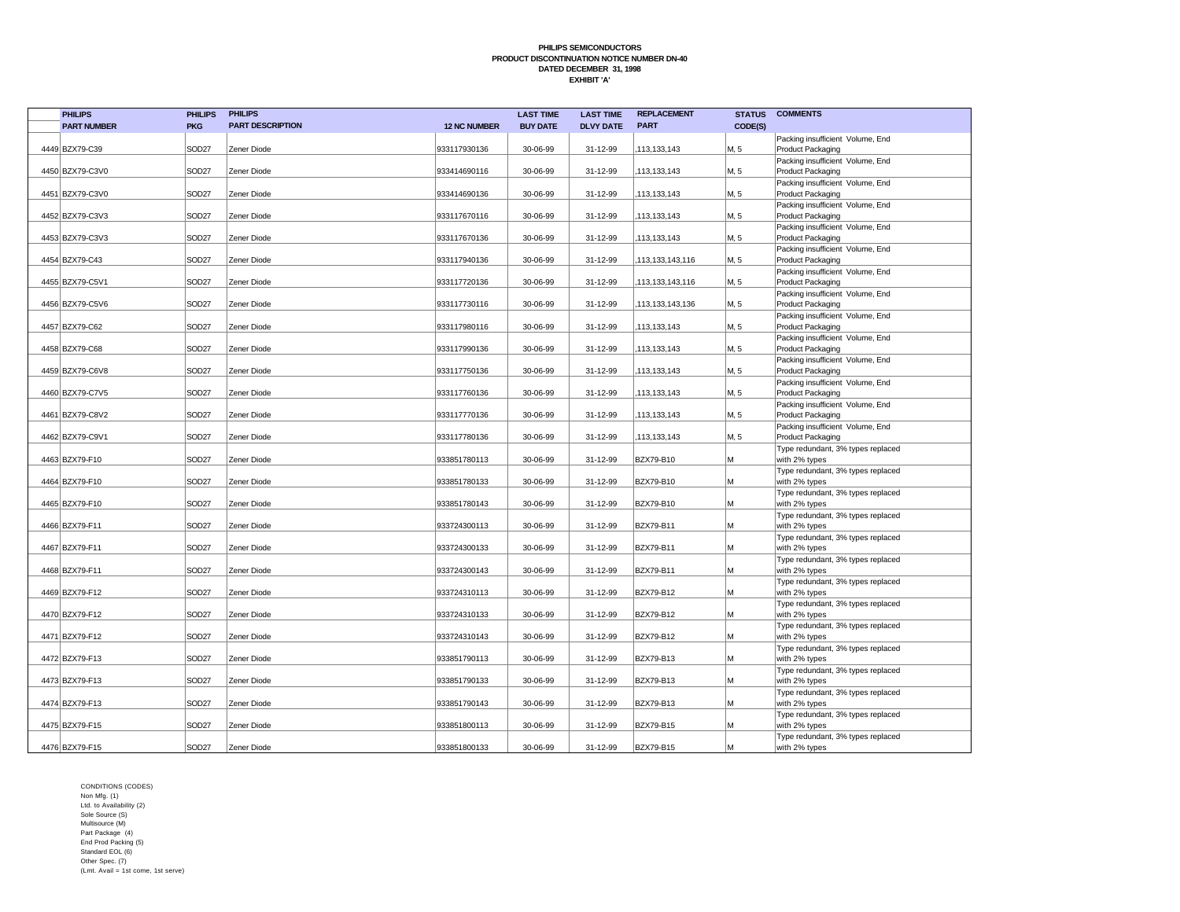| <b>PHILIPS</b>     | <b>PHILIPS</b>    | <b>PHILIPS</b>          |                     | <b>LAST TIME</b> | <b>LAST TIME</b> | <b>REPLACEMENT</b> | <b>STATUS</b> | <b>COMMENTS</b>                                       |
|--------------------|-------------------|-------------------------|---------------------|------------------|------------------|--------------------|---------------|-------------------------------------------------------|
| <b>PART NUMBER</b> | <b>PKG</b>        | <b>PART DESCRIPTION</b> | <b>12 NC NUMBER</b> | <b>BUY DATE</b>  | <b>DLVY DATE</b> | <b>PART</b>        | CODE(S)       |                                                       |
|                    |                   |                         |                     |                  |                  |                    |               | Packing insufficient Volume, End                      |
| 4449 BZX79-C39     | SOD <sub>27</sub> | Zener Diode             | 933117930136        | 30-06-99         | 31-12-99         | 113,133,143        | M, 5          | Product Packaging                                     |
|                    |                   |                         |                     |                  |                  |                    |               | Packing insufficient Volume, End                      |
| 4450 BZX79-C3V0    | SOD <sub>27</sub> | Zener Diode             | 933414690116        | 30-06-99         | 31-12-99         | 113,133,143        | M, 5          | Product Packaging                                     |
| 4451 BZX79-C3V0    | SOD <sub>27</sub> | Zener Diode             | 933414690136        | 30-06-99         | 31-12-99         | 113,133,143        | M, 5          | Packing insufficient Volume, End<br>Product Packaging |
|                    |                   |                         |                     |                  |                  |                    |               | Packing insufficient Volume, End                      |
| 4452 BZX79-C3V3    | SOD <sub>27</sub> | Zener Diode             | 933117670116        | 30-06-99         | 31-12-99         | 113,133,143        | M, 5          | Product Packaging                                     |
|                    |                   |                         |                     |                  |                  |                    |               | Packing insufficient Volume, End                      |
| 4453 BZX79-C3V3    | SOD <sub>27</sub> | Zener Diode             | 933117670136        | 30-06-99         | 31-12-99         | 113,133,143        | M, 5          | Product Packaging                                     |
|                    |                   |                         |                     |                  |                  |                    |               | Packing insufficient Volume, End                      |
| 4454 BZX79-C43     | SOD <sub>27</sub> | Zener Diode             | 933117940136        | 30-06-99         | 31-12-99         | 113,133,143,116    | M, 5          | Product Packaging                                     |
| 4455 BZX79-C5V1    |                   | Zener Diode             | 933117720136        | 30-06-99         | 31-12-99         | 113,133,143,116    |               | Packing insufficient Volume, End                      |
|                    | SOD <sub>27</sub> |                         |                     |                  |                  |                    | M, 5          | Product Packaging<br>Packing insufficient Volume, End |
| 4456 BZX79-C5V6    | SOD27             | Zener Diode             | 933117730116        | 30-06-99         | 31-12-99         | 113,133,143,136    | M, 5          | Product Packaging                                     |
|                    |                   |                         |                     |                  |                  |                    |               | Packing insufficient Volume, End                      |
| 4457 BZX79-C62     | SOD <sub>27</sub> | Zener Diode             | 933117980116        | 30-06-99         | 31-12-99         | 113,133,143        | M, 5          | Product Packaging                                     |
|                    |                   |                         |                     |                  |                  |                    |               | Packing insufficient Volume, End                      |
| 4458 BZX79-C68     | SOD <sub>27</sub> | Zener Diode             | 933117990136        | 30-06-99         | 31-12-99         | 113,133,143        | M, 5          | Product Packaging                                     |
|                    |                   |                         |                     |                  |                  |                    |               | Packing insufficient Volume, End                      |
| 4459 BZX79-C6V8    | SOD27             | Zener Diode             | 933117750136        | 30-06-99         | 31-12-99         | 113,133,143        | M, 5          | Product Packaging<br>Packing insufficient Volume, End |
| 4460 BZX79-C7V5    | SOD27             | Zener Diode             | 933117760136        | 30-06-99         | 31-12-99         | 113,133,143        | M, 5          | Product Packaging                                     |
|                    |                   |                         |                     |                  |                  |                    |               | Packing insufficient Volume, End                      |
| 4461 BZX79-C8V2    | SOD27             | Zener Diode             | 933117770136        | 30-06-99         | 31-12-99         | ,113,133,143       | M, 5          | Product Packaging                                     |
|                    |                   |                         |                     |                  |                  |                    |               | Packing insufficient Volume, End                      |
| 4462 BZX79-C9V1    | SOD27             | Zener Diode             | 933117780136        | 30-06-99         | 31-12-99         | 113,133,143        | M, 5          | Product Packaging                                     |
|                    |                   |                         |                     |                  |                  |                    |               | Type redundant, 3% types replaced                     |
| 4463 BZX79-F10     | SOD <sub>27</sub> | Zener Diode             | 933851780113        | 30-06-99         | 31-12-99         | <b>BZX79-B10</b>   | M             | with 2% types<br>Type redundant, 3% types replaced    |
| 4464 BZX79-F10     | SOD <sub>27</sub> | Zener Diode             | 933851780133        | 30-06-99         | 31-12-99         | <b>BZX79-B10</b>   | M             | with 2% types                                         |
|                    |                   |                         |                     |                  |                  |                    |               | Type redundant, 3% types replaced                     |
| 4465 BZX79-F10     | SOD <sub>27</sub> | Zener Diode             | 933851780143        | 30-06-99         | 31-12-99         | <b>BZX79-B10</b>   | M             | with 2% types                                         |
|                    |                   |                         |                     |                  |                  |                    |               | Type redundant, 3% types replaced                     |
| 4466 BZX79-F11     | SOD <sub>27</sub> | Zener Diode             | 933724300113        | 30-06-99         | 31-12-99         | BZX79-B11          | M             | with 2% types                                         |
|                    |                   |                         |                     |                  |                  |                    |               | Type redundant, 3% types replaced                     |
| 4467 BZX79-F11     | SOD <sub>27</sub> | Zener Diode             | 933724300133        | 30-06-99         | 31-12-99         | BZX79-B11          | M             | with 2% types<br>Type redundant, 3% types replaced    |
| 4468 BZX79-F11     | SOD <sub>27</sub> | Zener Diode             | 933724300143        | 30-06-99         | 31-12-99         | BZX79-B11          | M             | with 2% types                                         |
|                    |                   |                         |                     |                  |                  |                    |               | Type redundant, 3% types replaced                     |
| 4469 BZX79-F12     | SOD <sub>27</sub> | Zener Diode             | 933724310113        | 30-06-99         | 31-12-99         | <b>BZX79-B12</b>   | M             | with 2% types                                         |
|                    |                   |                         |                     |                  |                  |                    |               | Type redundant, 3% types replaced                     |
| 4470 BZX79-F12     | SOD <sub>27</sub> | Zener Diode             | 933724310133        | 30-06-99         | 31-12-99         | <b>BZX79-B12</b>   | M             | with 2% types                                         |
|                    |                   |                         |                     |                  |                  |                    | M             | Type redundant, 3% types replaced                     |
| 4471 BZX79-F12     | SOD <sub>27</sub> | Zener Diode             | 933724310143        | 30-06-99         | 31-12-99         | <b>BZX79-B12</b>   |               | with 2% types<br>Type redundant, 3% types replaced    |
| 4472 BZX79-F13     | SOD27             | Zener Diode             | 933851790113        | 30-06-99         | 31-12-99         | BZX79-B13          | M             | with 2% types                                         |
|                    |                   |                         |                     |                  |                  |                    |               | Type redundant, 3% types replaced                     |
| 4473 BZX79-F13     | SOD <sub>27</sub> | Zener Diode             | 933851790133        | 30-06-99         | 31-12-99         | BZX79-B13          | M             | with 2% types                                         |
|                    |                   |                         |                     |                  |                  |                    |               | Type redundant, 3% types replaced                     |
| 4474 BZX79-F13     | SOD <sub>27</sub> | Zener Diode             | 933851790143        | 30-06-99         | 31-12-99         | BZX79-B13          | M             | with 2% types                                         |
|                    | SOD <sub>27</sub> |                         |                     |                  |                  | <b>BZX79-B15</b>   | M             | Type redundant, 3% types replaced                     |
| 4475 BZX79-F15     |                   | Zener Diode             | 933851800113        | 30-06-99         | 31-12-99         |                    |               | with 2% types<br>Type redundant, 3% types replaced    |
| 4476 BZX79-F15     | SOD <sub>27</sub> | Zener Diode             | 933851800133        | 30-06-99         | 31-12-99         | <b>BZX79-B15</b>   | M             | with 2% types                                         |
|                    |                   |                         |                     |                  |                  |                    |               |                                                       |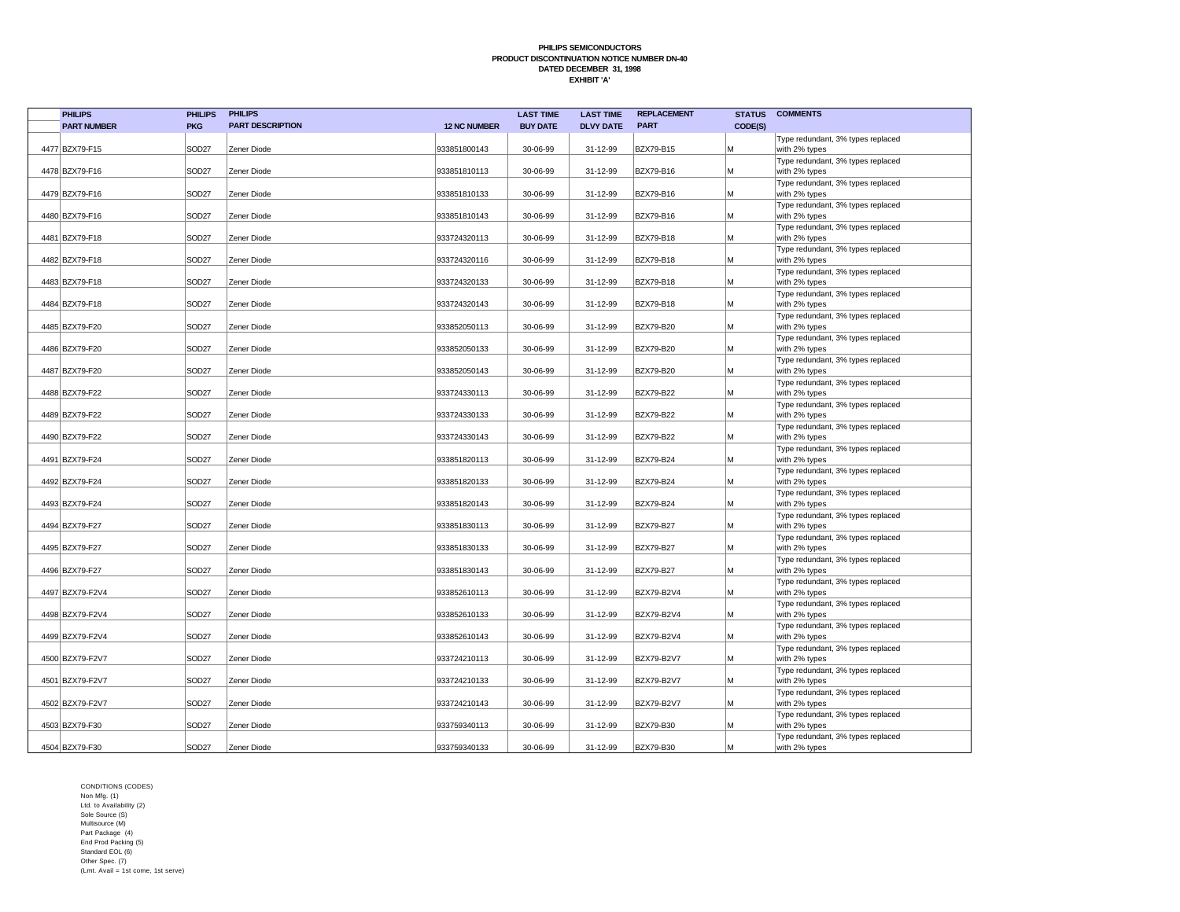| <b>PHILIPS</b>     | <b>PHILIPS</b>    | <b>PHILIPS</b>          |                     | <b>LAST TIME</b> | <b>LAST TIME</b> | <b>REPLACEMENT</b> | <b>STATUS</b> | <b>COMMENTS</b>                                    |
|--------------------|-------------------|-------------------------|---------------------|------------------|------------------|--------------------|---------------|----------------------------------------------------|
| <b>PART NUMBER</b> | <b>PKG</b>        | <b>PART DESCRIPTION</b> | <b>12 NC NUMBER</b> | <b>BUY DATE</b>  | <b>DLVY DATE</b> | <b>PART</b>        | CODE(S)       |                                                    |
|                    |                   |                         |                     |                  |                  |                    |               | Type redundant, 3% types replaced                  |
| 4477 BZX79-F15     | SOD <sub>27</sub> | Zener Diode             | 933851800143        | 30-06-99         | 31-12-99         | BZX79-B15          | M             | with 2% types<br>Type redundant, 3% types replaced |
| 4478 BZX79-F16     | SOD <sub>27</sub> | Zener Diode             | 933851810113        | 30-06-99         | 31-12-99         | BZX79-B16          | M             | with 2% types                                      |
|                    |                   |                         |                     |                  |                  |                    |               | Type redundant, 3% types replaced                  |
| 4479 BZX79-F16     | SOD <sub>27</sub> | Zener Diode             | 933851810133        | 30-06-99         | 31-12-99         | BZX79-B16          | M             | with 2% types                                      |
|                    |                   |                         |                     |                  |                  |                    |               | Type redundant, 3% types replaced                  |
| 4480 BZX79-F16     | SOD <sub>27</sub> | Zener Diode             | 933851810143        | 30-06-99         | 31-12-99         | <b>BZX79-B16</b>   | M             | with 2% types                                      |
| 4481 BZX79-F18     | SOD <sub>27</sub> | Zener Diode             | 933724320113        | 30-06-99         | 31-12-99         | BZX79-B18          | M             | Type redundant, 3% types replaced<br>with 2% types |
|                    |                   |                         |                     |                  |                  |                    |               | Type redundant, 3% types replaced                  |
| 4482 BZX79-F18     | SOD <sub>27</sub> | Zener Diode             | 933724320116        | 30-06-99         | 31-12-99         | BZX79-B18          | M             | with 2% types                                      |
|                    |                   |                         |                     |                  |                  |                    |               | Type redundant, 3% types replaced                  |
| 4483 BZX79-F18     | SOD <sub>27</sub> | Zener Diode             | 933724320133        | 30-06-99         | 31-12-99         | BZX79-B18          | M             | with 2% types                                      |
|                    |                   |                         |                     |                  |                  |                    |               | Type redundant, 3% types replaced                  |
| 4484 BZX79-F18     | SOD <sub>27</sub> | Zener Diode             | 933724320143        | 30-06-99         | 31-12-99         | BZX79-B18          | M             | with 2% types                                      |
| 4485 BZX79-F20     | SOD <sub>27</sub> | Zener Diode             | 933852050113        | 30-06-99         | 31-12-99         | BZX79-B20          | M             | Type redundant, 3% types replaced                  |
|                    |                   |                         |                     |                  |                  |                    |               | with 2% types<br>Type redundant, 3% types replaced |
| 4486 BZX79-F20     | SOD <sub>27</sub> | Zener Diode             | 933852050133        | 30-06-99         | 31-12-99         | BZX79-B20          | M             | with 2% types                                      |
|                    |                   |                         |                     |                  |                  |                    |               | Type redundant, 3% types replaced                  |
| 4487 BZX79-F20     | SOD <sub>27</sub> | Zener Diode             | 933852050143        | 30-06-99         | 31-12-99         | BZX79-B20          | M             | with 2% types                                      |
|                    |                   |                         |                     |                  |                  |                    |               | Type redundant, 3% types replaced                  |
| 4488 BZX79-F22     | SOD <sub>27</sub> | Zener Diode             | 933724330113        | 30-06-99         | 31-12-99         | BZX79-B22          | M             | with 2% types                                      |
|                    | SOD <sub>27</sub> | Zener Diode             |                     | 30-06-99         |                  |                    |               | Type redundant, 3% types replaced                  |
| 4489 BZX79-F22     |                   |                         | 933724330133        |                  | 31-12-99         | BZX79-B22          | M             | with 2% types<br>Type redundant, 3% types replaced |
| 4490 BZX79-F22     | SOD <sub>27</sub> | Zener Diode             | 933724330143        | 30-06-99         | 31-12-99         | BZX79-B22          | M             | with 2% types                                      |
|                    |                   |                         |                     |                  |                  |                    |               | Type redundant, 3% types replaced                  |
| 4491 BZX79-F24     | SOD <sub>27</sub> | Zener Diode             | 933851820113        | 30-06-99         | 31-12-99         | BZX79-B24          | M             | with 2% types                                      |
|                    |                   |                         |                     |                  |                  |                    |               | Type redundant, 3% types replaced                  |
| 4492 BZX79-F24     | SOD <sub>27</sub> | Zener Diode             | 933851820133        | 30-06-99         | 31-12-99         | BZX79-B24          | M             | with 2% types                                      |
| 4493 BZX79-F24     | SOD <sub>27</sub> | Zener Diode             | 933851820143        | 30-06-99         | 31-12-99         | BZX79-B24          | M             | Type redundant, 3% types replaced<br>with 2% types |
|                    |                   |                         |                     |                  |                  |                    |               | Type redundant, 3% types replaced                  |
| 4494 BZX79-F27     | SOD <sub>27</sub> | Zener Diode             | 933851830113        | 30-06-99         | 31-12-99         | BZX79-B27          | M             | with 2% types                                      |
|                    |                   |                         |                     |                  |                  |                    |               | Type redundant, 3% types replaced                  |
| 4495 BZX79-F27     | SOD <sub>27</sub> | Zener Diode             | 933851830133        | 30-06-99         | 31-12-99         | BZX79-B27          | M             | with 2% types                                      |
|                    |                   |                         |                     |                  |                  |                    |               | Type redundant, 3% types replaced                  |
| 4496 BZX79-F27     | SOD <sub>27</sub> | Zener Diode             | 933851830143        | 30-06-99         | 31-12-99         | BZX79-B27          | M             | with 2% types<br>Type redundant, 3% types replaced |
| 4497 BZX79-F2V4    | SOD <sub>27</sub> | Zener Diode             | 933852610113        | 30-06-99         | 31-12-99         | BZX79-B2V4         | M             | with 2% types                                      |
|                    |                   |                         |                     |                  |                  |                    |               | Type redundant, 3% types replaced                  |
| 4498 BZX79-F2V4    | SOD <sub>27</sub> | Zener Diode             | 933852610133        | 30-06-99         | 31-12-99         | BZX79-B2V4         | M             | with 2% types                                      |
|                    |                   |                         |                     |                  |                  |                    |               | Type redundant, 3% types replaced                  |
| 4499 BZX79-F2V4    | SOD <sub>27</sub> | Zener Diode             | 933852610143        | 30-06-99         | 31-12-99         | BZX79-B2V4         | M             | with 2% types                                      |
| 4500 BZX79-F2V7    | SOD <sub>27</sub> | Zener Diode             | 933724210113        | 30-06-99         | 31-12-99         | <b>BZX79-B2V7</b>  | M             | Type redundant, 3% types replaced                  |
|                    |                   |                         |                     |                  |                  |                    |               | with 2% types<br>Type redundant, 3% types replaced |
| 4501 BZX79-F2V7    | SOD <sub>27</sub> | Zener Diode             | 933724210133        | 30-06-99         | 31-12-99         | <b>BZX79-B2V7</b>  | M             | with 2% types                                      |
|                    |                   |                         |                     |                  |                  |                    |               | Type redundant, 3% types replaced                  |
| 4502 BZX79-F2V7    | SOD <sub>27</sub> | Zener Diode             | 933724210143        | 30-06-99         | 31-12-99         | <b>BZX79-B2V7</b>  | M             | with 2% types                                      |
|                    |                   |                         |                     |                  |                  |                    |               | Type redundant, 3% types replaced                  |
| 4503 BZX79-F30     | SOD <sub>27</sub> | Zener Diode             | 933759340113        | 30-06-99         | 31-12-99         | BZX79-B30          | M             | with 2% types                                      |
| 4504 BZX79-F30     | SOD <sub>27</sub> | Zener Diode             | 933759340133        | 30-06-99         | 31-12-99         | <b>BZX79-B30</b>   | M             | Type redundant, 3% types replaced<br>with 2% types |
|                    |                   |                         |                     |                  |                  |                    |               |                                                    |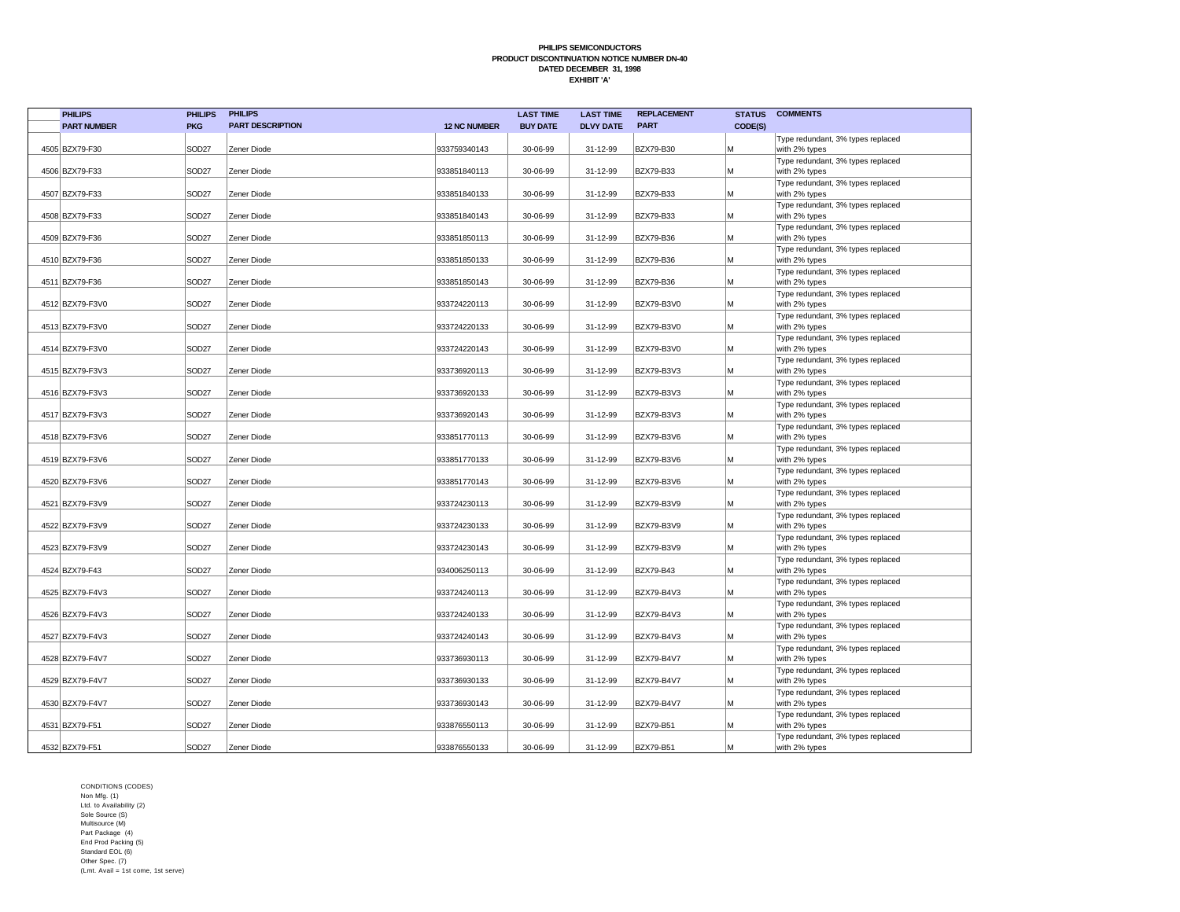| <b>PHILIPS</b>     | <b>PHILIPS</b>    | <b>PHILIPS</b>          |                     | <b>LAST TIME</b> | <b>LAST TIME</b> | <b>REPLACEMENT</b> | <b>STATUS</b> | <b>COMMENTS</b>                                    |
|--------------------|-------------------|-------------------------|---------------------|------------------|------------------|--------------------|---------------|----------------------------------------------------|
| <b>PART NUMBER</b> | <b>PKG</b>        | <b>PART DESCRIPTION</b> | <b>12 NC NUMBER</b> | <b>BUY DATE</b>  | <b>DLVY DATE</b> | <b>PART</b>        | CODE(S)       |                                                    |
|                    |                   |                         |                     |                  |                  |                    |               | Type redundant, 3% types replaced                  |
| 4505 BZX79-F30     | SOD <sub>27</sub> | Zener Diode             | 933759340143        | 30-06-99         | 31-12-99         | BZX79-B30          | M             | with 2% types                                      |
| 4506 BZX79-F33     | SOD <sub>27</sub> | Zener Diode             | 933851840113        | 30-06-99         | 31-12-99         | BZX79-B33          | M             | Type redundant, 3% types replaced<br>with 2% types |
|                    |                   |                         |                     |                  |                  |                    |               | Type redundant, 3% types replaced                  |
| 4507 BZX79-F33     | SOD <sub>27</sub> | Zener Diode             | 933851840133        | 30-06-99         | 31-12-99         | BZX79-B33          | M             | with 2% types                                      |
|                    |                   |                         |                     |                  |                  |                    |               | Type redundant, 3% types replaced                  |
| 4508 BZX79-F33     | SOD <sub>27</sub> | Zener Diode             | 933851840143        | 30-06-99         | 31-12-99         | <b>BZX79-B33</b>   | M             | with 2% types                                      |
|                    |                   |                         |                     |                  |                  |                    |               | Type redundant, 3% types replaced                  |
| 4509 BZX79-F36     | SOD <sub>27</sub> | Zener Diode             | 933851850113        | 30-06-99         | 31-12-99         | BZX79-B36          | M             | with 2% types                                      |
| 4510 BZX79-F36     | SOD <sub>27</sub> | Zener Diode             | 933851850133        | 30-06-99         | 31-12-99         | BZX79-B36          | M             | Type redundant, 3% types replaced<br>with 2% types |
|                    |                   |                         |                     |                  |                  |                    |               | Type redundant, 3% types replaced                  |
| 4511 BZX79-F36     | SOD <sub>27</sub> | Zener Diode             | 933851850143        | 30-06-99         | 31-12-99         | BZX79-B36          | M             | with 2% types                                      |
|                    |                   |                         |                     |                  |                  |                    |               | Type redundant, 3% types replaced                  |
| 4512 BZX79-F3V0    | SOD <sub>27</sub> | Zener Diode             | 933724220113        | 30-06-99         | 31-12-99         | BZX79-B3V0         | M             | with 2% types                                      |
|                    |                   |                         |                     |                  |                  |                    |               | Type redundant, 3% types replaced                  |
| 4513 BZX79-F3V0    | SOD <sub>27</sub> | Zener Diode             | 933724220133        | 30-06-99         | 31-12-99         | BZX79-B3V0         | M             | with 2% types                                      |
| 4514 BZX79-F3V0    | SOD <sub>27</sub> | Zener Diode             | 933724220143        | 30-06-99         | 31-12-99         | BZX79-B3V0         | M             | Type redundant, 3% types replaced<br>with 2% types |
|                    |                   |                         |                     |                  |                  |                    |               | Type redundant, 3% types replaced                  |
| 4515 BZX79-F3V3    | SOD <sub>27</sub> | Zener Diode             | 933736920113        | 30-06-99         | 31-12-99         | BZX79-B3V3         | M             | with 2% types                                      |
|                    |                   |                         |                     |                  |                  |                    |               | Type redundant, 3% types replaced                  |
| 4516 BZX79-F3V3    | SOD <sub>27</sub> | Zener Diode             | 933736920133        | 30-06-99         | 31-12-99         | BZX79-B3V3         | M             | with 2% types                                      |
|                    |                   |                         |                     |                  |                  |                    |               | Type redundant, 3% types replaced                  |
| 4517 BZX79-F3V3    | SOD <sub>27</sub> | Zener Diode             | 933736920143        | 30-06-99         | 31-12-99         | BZX79-B3V3         | M             | with 2% types                                      |
| 4518 BZX79-F3V6    | SOD <sub>27</sub> | Zener Diode             | 933851770113        | 30-06-99         | 31-12-99         | BZX79-B3V6         | M             | Type redundant, 3% types replaced<br>with 2% types |
|                    |                   |                         |                     |                  |                  |                    |               | Type redundant, 3% types replaced                  |
| 4519 BZX79-F3V6    | SOD <sub>27</sub> | Zener Diode             | 933851770133        | 30-06-99         | 31-12-99         | BZX79-B3V6         | M             | with 2% types                                      |
|                    |                   |                         |                     |                  |                  |                    |               | Type redundant, 3% types replaced                  |
| 4520 BZX79-F3V6    | SOD <sub>27</sub> | Zener Diode             | 933851770143        | 30-06-99         | 31-12-99         | BZX79-B3V6         | M             | with 2% types                                      |
|                    |                   |                         |                     |                  |                  |                    |               | Type redundant, 3% types replaced                  |
| 4521 BZX79-F3V9    | SOD <sub>27</sub> | Zener Diode             | 933724230113        | 30-06-99         | 31-12-99         | BZX79-B3V9         | M             | with 2% types<br>Type redundant, 3% types replaced |
| 4522 BZX79-F3V9    | SOD <sub>27</sub> | Zener Diode             | 933724230133        | 30-06-99         | 31-12-99         | BZX79-B3V9         | M             | with 2% types                                      |
|                    |                   |                         |                     |                  |                  |                    |               | Type redundant, 3% types replaced                  |
| 4523 BZX79-F3V9    | SOD <sub>27</sub> | Zener Diode             | 933724230143        | 30-06-99         | 31-12-99         | BZX79-B3V9         | M             | with 2% types                                      |
|                    |                   |                         |                     |                  |                  |                    |               | Type redundant, 3% types replaced                  |
| 4524 BZX79-F43     | SOD <sub>27</sub> | Zener Diode             | 934006250113        | 30-06-99         | 31-12-99         | BZX79-B43          | M             | with 2% types                                      |
| 4525 BZX79-F4V3    | SOD <sub>27</sub> | Zener Diode             | 933724240113        | 30-06-99         | 31-12-99         | BZX79-B4V3         | M             | Type redundant, 3% types replaced                  |
|                    |                   |                         |                     |                  |                  |                    |               | with 2% types<br>Type redundant, 3% types replaced |
| 4526 BZX79-F4V3    | SOD <sub>27</sub> | Zener Diode             | 933724240133        | 30-06-99         | 31-12-99         | BZX79-B4V3         | M             | with 2% types                                      |
|                    |                   |                         |                     |                  |                  |                    |               | Type redundant, 3% types replaced                  |
| 4527 BZX79-F4V3    | SOD <sub>27</sub> | Zener Diode             | 933724240143        | 30-06-99         | 31-12-99         | BZX79-B4V3         | M             | with 2% types                                      |
|                    |                   |                         |                     |                  |                  |                    |               | Type redundant, 3% types replaced                  |
| 4528 BZX79-F4V7    | SOD <sub>27</sub> | Zener Diode             | 933736930113        | 30-06-99         | 31-12-99         | BZX79-B4V7         | M             | with 2% types                                      |
| 4529 BZX79-F4V7    | SOD <sub>27</sub> | Zener Diode             | 933736930133        | 30-06-99         | 31-12-99         | BZX79-B4V7         | M             | Type redundant, 3% types replaced                  |
|                    |                   |                         |                     |                  |                  |                    |               | with 2% types<br>Type redundant, 3% types replaced |
| 4530 BZX79-F4V7    | SOD <sub>27</sub> | Zener Diode             | 933736930143        | 30-06-99         | 31-12-99         | <b>BZX79-B4V7</b>  | M             | with 2% types                                      |
|                    |                   |                         |                     |                  |                  |                    |               | Type redundant, 3% types replaced                  |
| 4531 BZX79-F51     | SOD <sub>27</sub> | Zener Diode             | 933876550113        | 30-06-99         | 31-12-99         | BZX79-B51          | M             | with 2% types                                      |
|                    |                   |                         |                     |                  |                  |                    |               | Type redundant, 3% types replaced                  |
| 4532 BZX79-F51     | SOD <sub>27</sub> | Zener Diode             | 933876550133        | 30-06-99         | 31-12-99         | <b>BZX79-B51</b>   | M             | with 2% types                                      |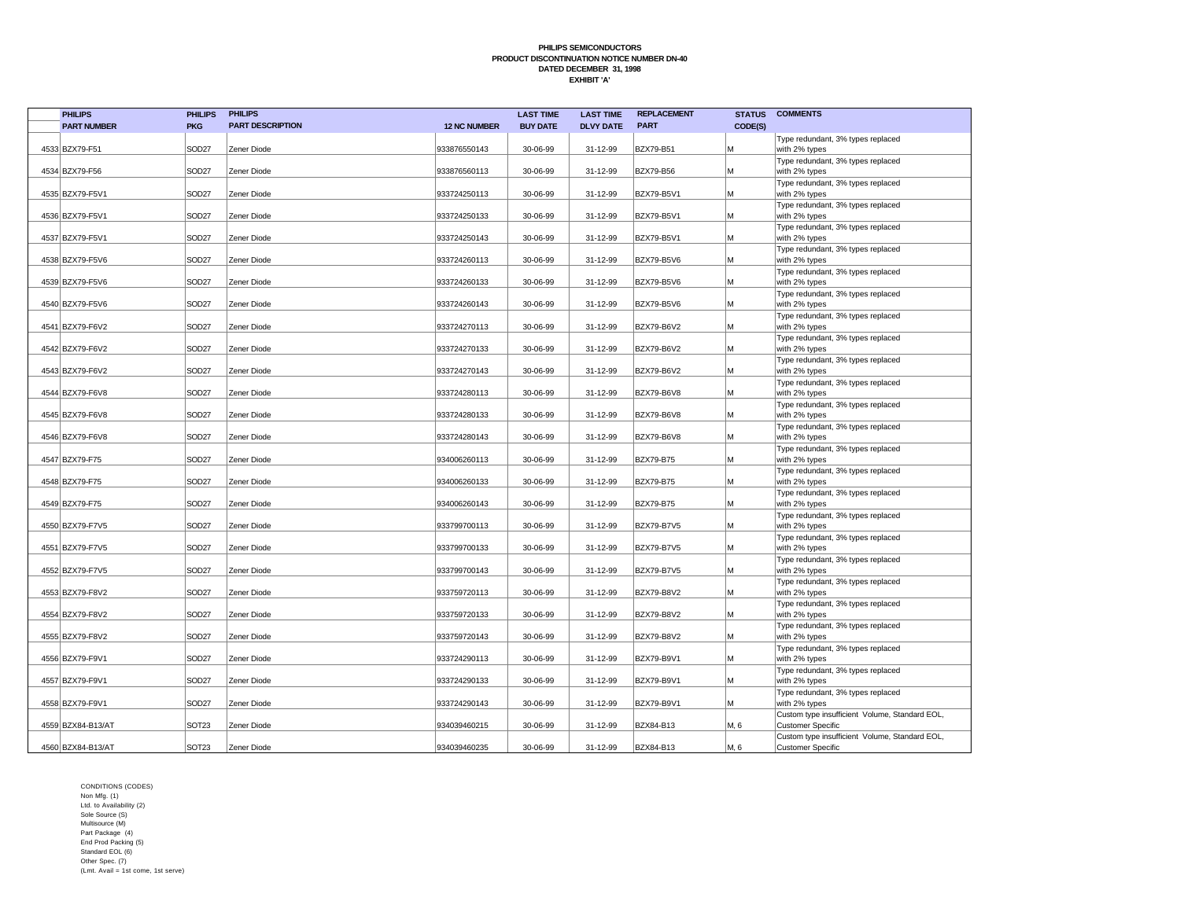| <b>PHILIPS</b>     | <b>PHILIPS</b>    | <b>PHILIPS</b>          |                     | <b>LAST TIME</b> | <b>LAST TIME</b> | <b>REPLACEMENT</b> | <b>STATUS</b> | <b>COMMENTS</b>                                                            |
|--------------------|-------------------|-------------------------|---------------------|------------------|------------------|--------------------|---------------|----------------------------------------------------------------------------|
| <b>PART NUMBER</b> | <b>PKG</b>        | <b>PART DESCRIPTION</b> | <b>12 NC NUMBER</b> | <b>BUY DATE</b>  | <b>DLVY DATE</b> | <b>PART</b>        | CODE(S)       |                                                                            |
| 4533 BZX79-F51     | SOD <sub>27</sub> | Zener Diode             | 933876550143        | 30-06-99         | 31-12-99         | BZX79-B51          | M             | Type redundant, 3% types replaced<br>with 2% types                         |
|                    |                   |                         |                     |                  |                  |                    |               | Type redundant, 3% types replaced                                          |
| 4534 BZX79-F56     | SOD <sub>27</sub> | Zener Diode             | 933876560113        | 30-06-99         | 31-12-99         | <b>BZX79-B56</b>   | M             | with 2% types                                                              |
|                    |                   |                         |                     |                  |                  |                    |               | Type redundant, 3% types replaced                                          |
| 4535 BZX79-F5V1    | SOD <sub>27</sub> | Zener Diode             | 933724250113        | 30-06-99         | 31-12-99         | BZX79-B5V1         | M             | with 2% types                                                              |
| 4536 BZX79-F5V1    | SOD <sub>27</sub> | Zener Diode             | 933724250133        | 30-06-99         | 31-12-99         | <b>BZX79-B5V1</b>  | M             | Type redundant, 3% types replaced<br>with 2% types                         |
|                    |                   |                         |                     |                  |                  |                    |               | Type redundant, 3% types replaced                                          |
| 4537 BZX79-F5V1    | SOD <sub>27</sub> | Zener Diode             | 933724250143        | 30-06-99         | 31-12-99         | BZX79-B5V1         | M             | with 2% types                                                              |
|                    |                   |                         |                     |                  |                  |                    |               | Type redundant, 3% types replaced                                          |
| 4538 BZX79-F5V6    | SOD <sub>27</sub> | Zener Diode             | 933724260113        | 30-06-99         | 31-12-99         | <b>BZX79-B5V6</b>  | M             | with 2% types                                                              |
| 4539 BZX79-F5V6    | SOD <sub>27</sub> | Zener Diode             | 933724260133        | 30-06-99         | 31-12-99         | BZX79-B5V6         | M             | Type redundant, 3% types replaced<br>with 2% types                         |
|                    |                   |                         |                     |                  |                  |                    |               | Type redundant, 3% types replaced                                          |
| 4540 BZX79-F5V6    | SOD <sub>27</sub> | Zener Diode             | 933724260143        | 30-06-99         | 31-12-99         | BZX79-B5V6         | M             | with 2% types                                                              |
|                    |                   |                         |                     |                  |                  |                    |               | Type redundant, 3% types replaced                                          |
| 4541 BZX79-F6V2    | SOD <sub>27</sub> | Zener Diode             | 933724270113        | 30-06-99         | 31-12-99         | BZX79-B6V2         | M             | with 2% types                                                              |
|                    |                   |                         |                     |                  |                  |                    |               | Type redundant, 3% types replaced                                          |
| 4542 BZX79-F6V2    | SOD <sub>27</sub> | Zener Diode             | 933724270133        | 30-06-99         | 31-12-99         | BZX79-B6V2         | M             | with 2% types                                                              |
|                    |                   |                         |                     |                  |                  |                    |               | Type redundant, 3% types replaced                                          |
| 4543 BZX79-F6V2    | SOD <sub>27</sub> | Zener Diode             | 933724270143        | 30-06-99         | 31-12-99         | BZX79-B6V2         | M             | with 2% types                                                              |
|                    |                   |                         |                     |                  |                  |                    |               | Type redundant, 3% types replaced                                          |
| 4544 BZX79-F6V8    | SOD <sub>27</sub> | Zener Diode             | 933724280113        | 30-06-99         | 31-12-99         | BZX79-B6V8         | M             | with 2% types                                                              |
| 4545 BZX79-F6V8    | SOD <sub>27</sub> | Zener Diode             | 933724280133        | 30-06-99         | 31-12-99         | BZX79-B6V8         | M             | Type redundant, 3% types replaced<br>with 2% types                         |
|                    |                   |                         |                     |                  |                  |                    |               | Type redundant, 3% types replaced                                          |
| 4546 BZX79-F6V8    | SOD <sub>27</sub> | Zener Diode             | 933724280143        | 30-06-99         | 31-12-99         | BZX79-B6V8         | M             | with 2% types                                                              |
|                    |                   |                         |                     |                  |                  |                    |               | Type redundant, 3% types replaced                                          |
| 4547 BZX79-F75     | SOD <sub>27</sub> | Zener Diode             | 934006260113        | 30-06-99         | 31-12-99         | <b>BZX79-B75</b>   | M             | with 2% types                                                              |
|                    |                   |                         |                     |                  |                  |                    |               | Type redundant, 3% types replaced                                          |
| 4548 BZX79-F75     | SOD <sub>27</sub> | Zener Diode             | 934006260133        | 30-06-99         | 31-12-99         | <b>BZX79-B75</b>   | M             | with 2% types                                                              |
|                    |                   |                         |                     |                  |                  |                    |               | Type redundant, 3% types replaced                                          |
| 4549 BZX79-F75     | SOD <sub>27</sub> | Zener Diode             | 934006260143        | 30-06-99         | 31-12-99         | BZX79-B75          | M             | with 2% types                                                              |
| 4550 BZX79-F7V5    | SOD <sub>27</sub> | Zener Diode             | 933799700113        | 30-06-99         | 31-12-99         | BZX79-B7V5         | M             | Type redundant, 3% types replaced<br>with 2% types                         |
|                    |                   |                         |                     |                  |                  |                    |               | Type redundant, 3% types replaced                                          |
| 4551 BZX79-F7V5    | SOD <sub>27</sub> | Zener Diode             | 933799700133        | 30-06-99         | 31-12-99         | <b>BZX79-B7V5</b>  | M             | with 2% types                                                              |
|                    |                   |                         |                     |                  |                  |                    |               | Type redundant, 3% types replaced                                          |
| 4552 BZX79-F7V5    | SOD <sub>27</sub> | Zener Diode             | 933799700143        | 30-06-99         | 31-12-99         | BZX79-B7V5         | M             | with 2% types                                                              |
|                    |                   |                         |                     |                  |                  |                    |               | Type redundant, 3% types replaced                                          |
| 4553 BZX79-F8V2    | SOD <sub>27</sub> | Zener Diode             | 933759720113        | 30-06-99         | 31-12-99         | BZX79-B8V2         | M             | with 2% types                                                              |
|                    |                   |                         |                     |                  |                  |                    |               | Type redundant, 3% types replaced                                          |
| 4554 BZX79-F8V2    | SOD <sub>27</sub> | Zener Diode             | 933759720133        | 30-06-99         | 31-12-99         | BZX79-B8V2         | M             | with 2% types                                                              |
| 4555 BZX79-F8V2    | SOD <sub>27</sub> | Zener Diode             | 933759720143        | 30-06-99         | 31-12-99         | BZX79-B8V2         | M             | Type redundant, 3% types replaced<br>with 2% types                         |
|                    |                   |                         |                     |                  |                  |                    |               | Type redundant, 3% types replaced                                          |
| 4556 BZX79-F9V1    | SOD <sub>27</sub> | Zener Diode             | 933724290113        | 30-06-99         | 31-12-99         | BZX79-B9V1         | M             | with 2% types                                                              |
|                    |                   |                         |                     |                  |                  |                    |               | Type redundant, 3% types replaced                                          |
| 4557 BZX79-F9V1    | SOD <sub>27</sub> | Zener Diode             | 933724290133        | 30-06-99         | 31-12-99         | BZX79-B9V1         | M             | with 2% types                                                              |
|                    |                   |                         |                     |                  |                  |                    |               | Type redundant, 3% types replaced                                          |
| 4558 BZX79-F9V1    | SOD <sub>27</sub> | Zener Diode             | 933724290143        | 30-06-99         | 31-12-99         | <b>BZX79-B9V1</b>  | M             | with 2% types                                                              |
|                    |                   |                         |                     |                  |                  |                    |               | Custom type insufficient Volume, Standard EOL,                             |
| 4559 BZX84-B13/AT  | SOT <sub>23</sub> | Zener Diode             | 934039460215        | 30-06-99         | 31-12-99         | BZX84-B13          | M, 6          | <b>Customer Specific</b>                                                   |
| 4560 BZX84-B13/AT  | SOT <sub>23</sub> | Zener Diode             | 934039460235        | 30-06-99         | 31-12-99         | BZX84-B13          | M, 6          | Custom type insufficient Volume, Standard EOL,<br><b>Customer Specific</b> |
|                    |                   |                         |                     |                  |                  |                    |               |                                                                            |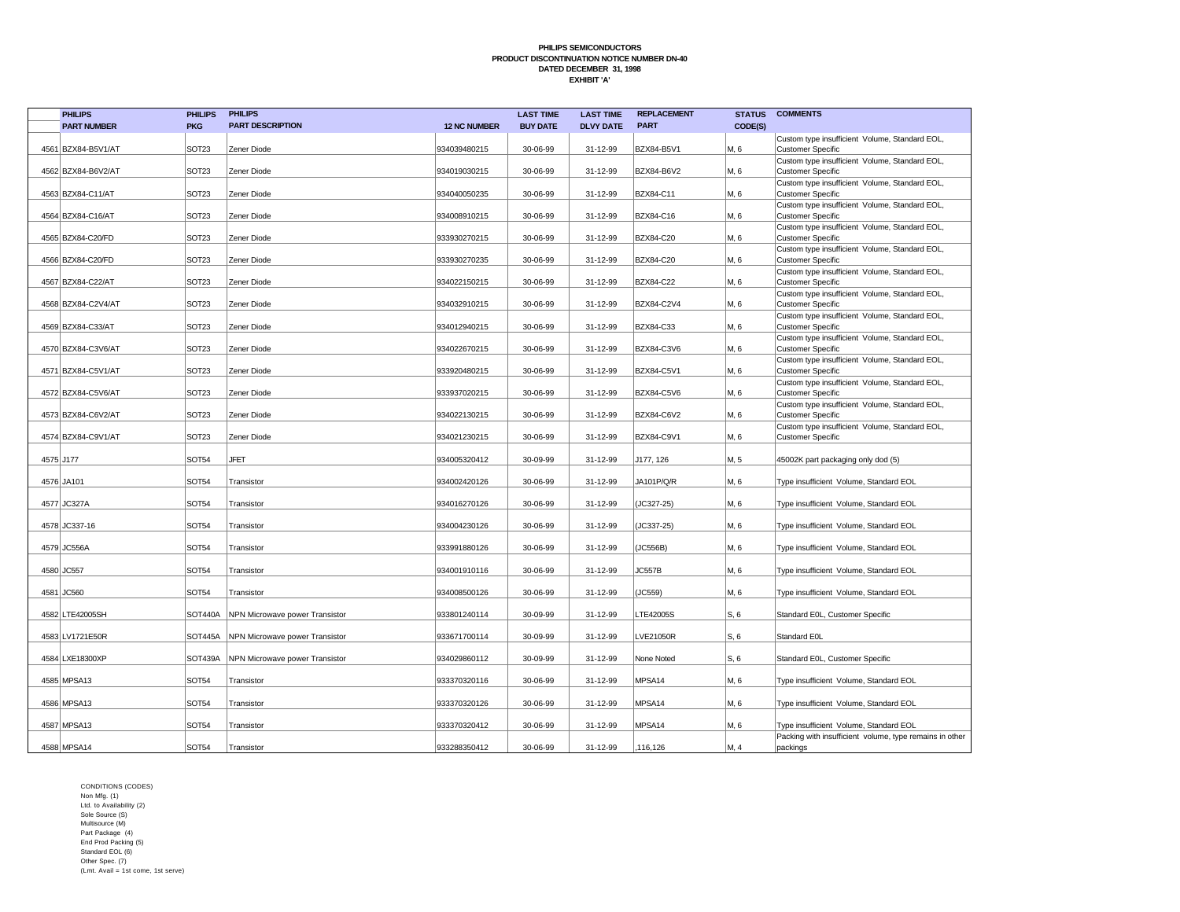|           | <b>PHILIPS</b>     | <b>PHILIPS</b>    | <b>PHILIPS</b>                 |                     | <b>LAST TIME</b> | <b>LAST TIME</b> | <b>REPLACEMENT</b> | <b>STATUS</b> | <b>COMMENTS</b>                                                                                   |
|-----------|--------------------|-------------------|--------------------------------|---------------------|------------------|------------------|--------------------|---------------|---------------------------------------------------------------------------------------------------|
|           | <b>PART NUMBER</b> | <b>PKG</b>        | <b>PART DESCRIPTION</b>        | <b>12 NC NUMBER</b> | <b>BUY DATE</b>  | <b>DLVY DATE</b> | <b>PART</b>        | CODE(S)       |                                                                                                   |
|           | 4561 BZX84-B5V1/AT | SOT <sub>23</sub> | Zener Diode                    | 934039480215        | 30-06-99         | 31-12-99         | BZX84-B5V1         | M, 6          | Custom type insufficient Volume, Standard EOL,<br><b>Customer Specific</b>                        |
|           | 4562 BZX84-B6V2/AT | SOT <sub>23</sub> | Zener Diode                    | 934019030215        | 30-06-99         | 31-12-99         | BZX84-B6V2         | M, 6          | Custom type insufficient Volume, Standard EOL,<br><b>Customer Specific</b>                        |
|           | 4563 BZX84-C11/AT  | SOT <sub>23</sub> | Zener Diode                    | 934040050235        | 30-06-99         | 31-12-99         | BZX84-C11          | M, 6          | Custom type insufficient Volume, Standard EOL,<br><b>Customer Specific</b>                        |
|           | 4564 BZX84-C16/AT  | SOT <sub>23</sub> | Zener Diode                    | 934008910215        | 30-06-99         | 31-12-99         | BZX84-C16          | M, 6          | Custom type insufficient Volume, Standard EOL,<br><b>Customer Specific</b>                        |
|           | 4565 BZX84-C20/FD  | SOT <sub>23</sub> | Zener Diode                    | 933930270215        | 30-06-99         | 31-12-99         | BZX84-C20          | M, 6          | Custom type insufficient Volume, Standard EOL,<br><b>Customer Specific</b>                        |
|           | 4566 BZX84-C20/FD  | SOT <sub>23</sub> | Zener Diode                    | 933930270235        | 30-06-99         | 31-12-99         | BZX84-C20          | M, 6          | Custom type insufficient Volume, Standard EOL,<br><b>Customer Specific</b>                        |
|           | 4567 BZX84-C22/AT  | SOT <sub>23</sub> | Zener Diode                    | 934022150215        | 30-06-99         | 31-12-99         | BZX84-C22          | M, 6          | Custom type insufficient Volume, Standard EOL,<br><b>Customer Specific</b>                        |
|           | 4568 BZX84-C2V4/AT | SOT <sub>23</sub> | Zener Diode                    | 934032910215        | 30-06-99         | 31-12-99         | BZX84-C2V4         | M, 6          | Custom type insufficient Volume, Standard EOL,<br><b>Customer Specific</b>                        |
|           | 4569 BZX84-C33/AT  | SOT <sub>23</sub> | Zener Diode                    | 934012940215        | 30-06-99         | 31-12-99         | BZX84-C33          | M, 6          | Custom type insufficient Volume, Standard EOL,<br><b>Customer Specific</b>                        |
|           | 4570 BZX84-C3V6/AT | SOT <sub>23</sub> | Zener Diode                    | 934022670215        | 30-06-99         | 31-12-99         | BZX84-C3V6         | M, 6          | Custom type insufficient Volume, Standard EOL,<br><b>Customer Specific</b>                        |
|           | 4571 BZX84-C5V1/AT | SOT <sub>23</sub> | Zener Diode                    | 933920480215        | 30-06-99         | 31-12-99         | BZX84-C5V1         | M, 6          | Custom type insufficient Volume, Standard EOL,<br><b>Customer Specific</b>                        |
|           | 4572 BZX84-C5V6/AT | SOT <sub>23</sub> | Zener Diode                    | 933937020215        | 30-06-99         | 31-12-99         | BZX84-C5V6         | M, 6          | Custom type insufficient Volume, Standard EOL,<br><b>Customer Specific</b>                        |
|           | 4573 BZX84-C6V2/AT | SOT <sub>23</sub> | Zener Diode                    | 934022130215        | 30-06-99         | 31-12-99         | BZX84-C6V2         | M, 6          | Custom type insufficient Volume, Standard EOL,<br><b>Customer Specific</b>                        |
|           | 4574 BZX84-C9V1/AT | SOT <sub>23</sub> | Zener Diode                    | 934021230215        | 30-06-99         | 31-12-99         | BZX84-C9V1         | M, 6          | Custom type insufficient Volume, Standard EOL,<br><b>Customer Specific</b>                        |
| 4575 J177 |                    | SOT54             | <b>JFET</b>                    | 934005320412        | 30-09-99         | 31-12-99         | J177, 126          | M, 5          | 45002K part packaging only dod (5)                                                                |
|           | 4576 JA101         | SOT <sub>54</sub> | Transistor                     | 934002420126        | 30-06-99         | 31-12-99         | JA101P/Q/R         | M, 6          | Type insufficient Volume, Standard EOL                                                            |
|           | 4577 JC327A        | <b>SOT54</b>      | Transistor                     | 934016270126        | 30-06-99         | 31-12-99         | (JC327-25)         | M, 6          | Type insufficient Volume, Standard EOL                                                            |
|           | 4578 JC337-16      | <b>SOT54</b>      | Transistor                     | 934004230126        | 30-06-99         | 31-12-99         | (JC337-25)         | M, 6          | Type insufficient Volume, Standard EOL                                                            |
|           | 4579 JC556A        | <b>SOT54</b>      | Transistor                     | 933991880126        | 30-06-99         | 31-12-99         | (JC556B)           | M, 6          | Type insufficient Volume, Standard EOL                                                            |
|           | 4580 JC557         | <b>SOT54</b>      | Transistor                     | 934001910116        | 30-06-99         | 31-12-99         | JC557B             | M, 6          | Type insufficient Volume, Standard EOL                                                            |
|           | 4581 JC560         | SOT54             | Transistor                     | 934008500126        | 30-06-99         | 31-12-99         | (JC559)            | M, 6          | Type insufficient Volume, Standard EOL                                                            |
|           | 4582 LTE42005SH    | <b>SOT440A</b>    | NPN Microwave power Transistor | 933801240114        | 30-09-99         | 31-12-99         | LTE42005S          | S, 6          | Standard E0L, Customer Specific                                                                   |
|           | 4583 LV1721E50R    | <b>SOT445A</b>    | NPN Microwave power Transistor | 933671700114        | 30-09-99         | 31-12-99         | LVE21050R          | S, 6          | Standard E0L                                                                                      |
|           | 4584 LXE18300XP    | <b>SOT439A</b>    | NPN Microwave power Transistor | 934029860112        | 30-09-99         | 31-12-99         | None Noted         | S, 6          | Standard E0L, Customer Specific                                                                   |
|           | 4585 MPSA13        | <b>SOT54</b>      | Transistor                     | 933370320116        | 30-06-99         | 31-12-99         | MPSA14             | M, 6          | Type insufficient Volume, Standard EOL                                                            |
|           | 4586 MPSA13        | <b>SOT54</b>      | Transistor                     | 933370320126        | 30-06-99         | 31-12-99         | MPSA14             | M, 6          | Type insufficient Volume, Standard EOL                                                            |
|           | 4587 MPSA13        | SOT <sub>54</sub> | Transistor                     | 933370320412        | 30-06-99         | 31-12-99         | MPSA14             | M, 6          | Type insufficient Volume, Standard EOL<br>Packing with insufficient volume, type remains in other |
|           | 4588 MPSA14        | <b>SOT54</b>      | Transistor                     | 933288350412        | 30-06-99         | 31-12-99         | ,116,126           | M, 4          | packings                                                                                          |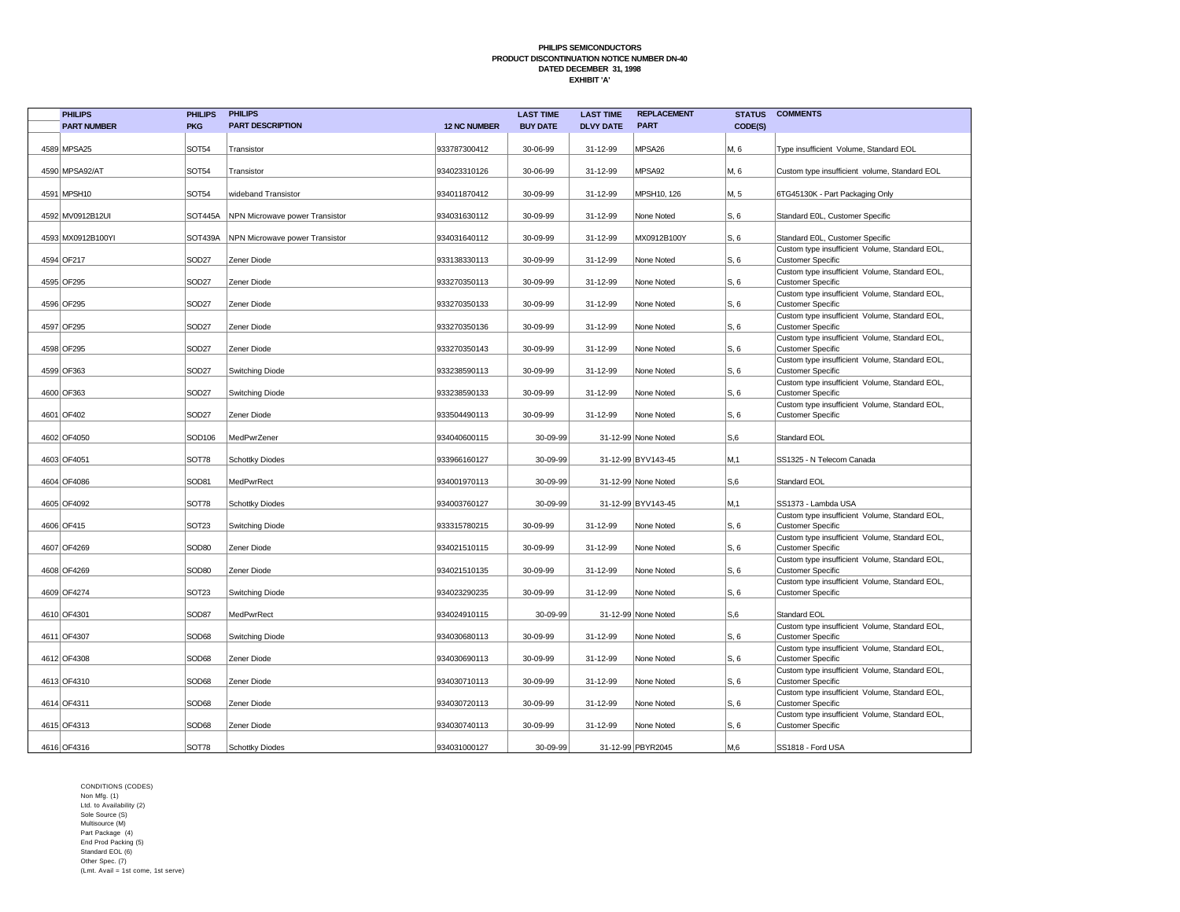| <b>PHILIPS</b>     | <b>PHILIPS</b>    | <b>PHILIPS</b>                 |                     | <b>LAST TIME</b> | <b>LAST TIME</b> | <b>REPLACEMENT</b>  | <b>STATUS</b> | <b>COMMENTS</b>                                                            |
|--------------------|-------------------|--------------------------------|---------------------|------------------|------------------|---------------------|---------------|----------------------------------------------------------------------------|
| <b>PART NUMBER</b> | <b>PKG</b>        | <b>PART DESCRIPTION</b>        | <b>12 NC NUMBER</b> | <b>BUY DATE</b>  | <b>DLVY DATE</b> | <b>PART</b>         | CODE(S)       |                                                                            |
|                    |                   |                                |                     |                  |                  |                     |               |                                                                            |
| 4589 MPSA25        | <b>SOT54</b>      | Transistor                     | 933787300412        | 30-06-99         | 31-12-99         | MPSA26              | M, 6          | Type insufficient Volume, Standard EOL                                     |
| 4590 MPSA92/AT     | <b>SOT54</b>      | Transistor                     | 934023310126        | 30-06-99         | 31-12-99         | MPSA92              | M, 6          | Custom type insufficient volume, Standard EOL                              |
|                    |                   |                                |                     |                  |                  |                     |               |                                                                            |
| 4591 MPSH10        | <b>SOT54</b>      | wideband Transistor            | 934011870412        | 30-09-99         | 31-12-99         | MPSH10, 126         | M, 5          | 6TG45130K - Part Packaging Only                                            |
|                    |                   |                                |                     |                  |                  |                     |               |                                                                            |
| 4592 MV0912B12UI   | <b>SOT445A</b>    | NPN Microwave power Transistor | 934031630112        | 30-09-99         | 31-12-99         | None Noted          | S, 6          | Standard E0L, Customer Specific                                            |
| 4593 MX0912B100YI  | <b>SOT439A</b>    | NPN Microwave power Transistor | 934031640112        | 30-09-99         | 31-12-99         | MX0912B100Y         | S, 6          | Standard E0L, Customer Specific                                            |
|                    |                   |                                |                     |                  |                  |                     |               | Custom type insufficient Volume, Standard EOL,                             |
| 4594 OF217         | SOD <sub>27</sub> | Zener Diode                    | 933138330113        | 30-09-99         | 31-12-99         | None Noted          | S, 6          | <b>Customer Specific</b>                                                   |
| 4595 OF295         | SOD <sub>27</sub> | Zener Diode                    | 933270350113        | 30-09-99         | 31-12-99         | None Noted          | S, 6          | Custom type insufficient Volume, Standard EOL,<br><b>Customer Specific</b> |
|                    |                   |                                |                     |                  |                  |                     |               | Custom type insufficient Volume, Standard EOL,                             |
| 4596 OF295         | SOD <sub>27</sub> | Zener Diode                    | 933270350133        | 30-09-99         | 31-12-99         | None Noted          | S, 6          | <b>Customer Specific</b>                                                   |
| 4597 OF295         | SOD <sub>27</sub> | Zener Diode                    | 933270350136        | 30-09-99         | 31-12-99         | None Noted          | S, 6          | Custom type insufficient Volume, Standard EOL,<br><b>Customer Specific</b> |
|                    |                   |                                |                     |                  |                  |                     |               | Custom type insufficient Volume, Standard EOL,                             |
| 4598 OF295         | SOD <sub>27</sub> | Zener Diode                    | 933270350143        | 30-09-99         | 31-12-99         | None Noted          | S, 6          | <b>Customer Specific</b>                                                   |
|                    |                   |                                |                     |                  |                  |                     |               | Custom type insufficient Volume, Standard EOL,                             |
| 4599 OF363         | SOD <sub>27</sub> | Switching Diode                | 933238590113        | 30-09-99         | 31-12-99         | None Noted          | S, 6          | <b>Customer Specific</b>                                                   |
| 4600 OF363         | SOD <sub>27</sub> | Switching Diode                | 933238590133        | 30-09-99         | 31-12-99         | None Noted          | S, 6          | Custom type insufficient Volume, Standard EOL,<br><b>Customer Specific</b> |
|                    |                   |                                |                     |                  |                  |                     |               | Custom type insufficient Volume, Standard EOL,                             |
| 4601 OF402         | SOD <sub>27</sub> | Zener Diode                    | 933504490113        | 30-09-99         | 31-12-99         | None Noted          | S, 6          | <b>Customer Specific</b>                                                   |
|                    |                   |                                |                     |                  |                  |                     |               |                                                                            |
| 4602 OF4050        | SOD106            | MedPwrZener                    | 934040600115        | 30-09-99         |                  | 31-12-99 None Noted | S,6           | Standard EOL                                                               |
| 4603 OF4051        | <b>SOT78</b>      | <b>Schottky Diodes</b>         | 933966160127        | 30-09-99         |                  | 31-12-99 BYV143-45  | M.1           | SS1325 - N Telecom Canada                                                  |
|                    |                   |                                |                     |                  |                  |                     |               |                                                                            |
| 4604 OF4086        | SOD81             | MedPwrRect                     | 934001970113        | 30-09-99         |                  | 31-12-99 None Noted | S,6           | Standard EOL                                                               |
| 4605 OF4092        | <b>SOT78</b>      | <b>Schottky Diodes</b>         | 934003760127        | 30-09-99         |                  | 31-12-99 BYV143-45  | M,1           | SS1373 - Lambda USA                                                        |
|                    |                   |                                |                     |                  |                  |                     |               | Custom type insufficient Volume, Standard EOL,                             |
| 4606 OF415         | SOT <sub>23</sub> | <b>Switching Diode</b>         | 933315780215        | 30-09-99         | 31-12-99         | None Noted          | S, 6          | <b>Customer Specific</b>                                                   |
|                    | SOD80             | Zener Diode                    |                     | 30-09-99         | 31-12-99         | None Noted          |               | Custom type insufficient Volume, Standard EOL,                             |
| 4607 OF4269        |                   |                                | 934021510115        |                  |                  |                     | S, 6          | <b>Customer Specific</b><br>Custom type insufficient Volume, Standard EOL, |
| 4608 OF4269        | SOD <sub>80</sub> | Zener Diode                    | 934021510135        | 30-09-99         | 31-12-99         | None Noted          | S, 6          | <b>Customer Specific</b>                                                   |
|                    |                   |                                |                     |                  |                  |                     |               | Custom type insufficient Volume, Standard EOL,                             |
| 4609 OF4274        | SOT <sub>23</sub> | <b>Switching Diode</b>         | 934023290235        | 30-09-99         | 31-12-99         | None Noted          | S, 6          | <b>Customer Specific</b>                                                   |
| 4610 OF4301        | SOD87             | MedPwrRect                     | 934024910115        | 30-09-99         |                  | 31-12-99 None Noted | S,6           | Standard EOL                                                               |
|                    |                   |                                |                     |                  |                  |                     |               | Custom type insufficient Volume, Standard EOL,                             |
| 4611 OF4307        | SOD68             | Switching Diode                | 934030680113        | 30-09-99         | 31-12-99         | None Noted          | S, 6          | <b>Customer Specific</b>                                                   |
| 4612 OF4308        | SOD68             | Zener Diode                    | 934030690113        | 30-09-99         | 31-12-99         | None Noted          | S, 6          | Custom type insufficient Volume, Standard EOL,<br><b>Customer Specific</b> |
|                    |                   |                                |                     |                  |                  |                     |               | Custom type insufficient Volume, Standard EOL,                             |
| 4613 OF4310        | SOD68             | Zener Diode                    | 934030710113        | 30-09-99         | 31-12-99         | None Noted          | S, 6          | <b>Customer Specific</b>                                                   |
|                    |                   |                                |                     |                  |                  |                     |               | Custom type insufficient Volume, Standard EOL,                             |
| 4614 OF4311        | SOD68             | Zener Diode                    | 934030720113        | 30-09-99         | 31-12-99         | None Noted          | S, 6          | <b>Customer Specific</b><br>Custom type insufficient Volume, Standard EOL, |
| 4615 OF4313        | SOD68             | Zener Diode                    | 934030740113        | 30-09-99         | 31-12-99         | None Noted          | S, 6          | <b>Customer Specific</b>                                                   |
|                    |                   |                                |                     |                  |                  |                     |               |                                                                            |
| 4616 OF4316        | <b>SOT78</b>      | Schottky Diodes                | 934031000127        | 30-09-99         |                  | 31-12-99 PBYR2045   | M,6           | SS1818 - Ford USA                                                          |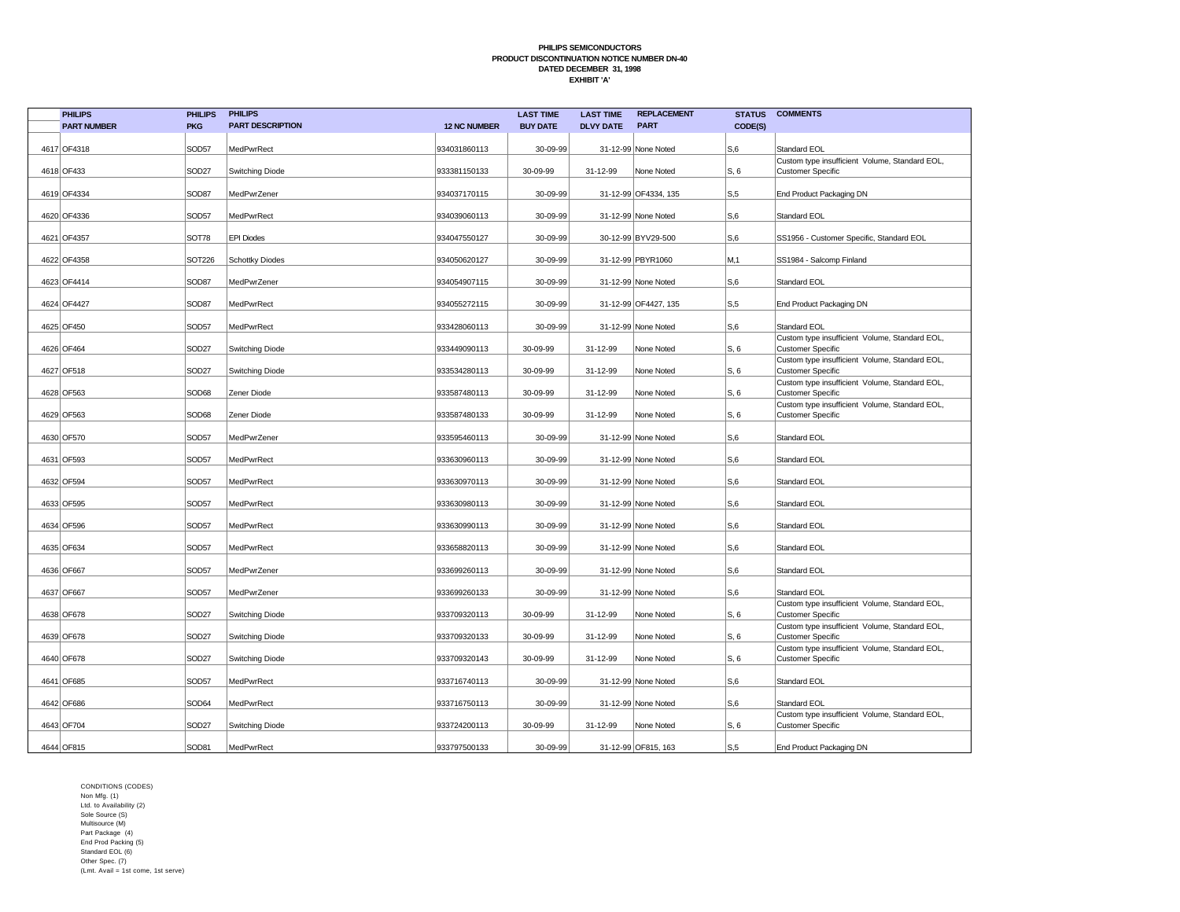| <b>PHILIPS</b>     | <b>PHILIPS</b>     | <b>PHILIPS</b>          |                     | <b>LAST TIME</b> | <b>LAST TIME</b> | <b>REPLACEMENT</b>   | <b>STATUS</b>  | <b>COMMENTS</b>                                                            |
|--------------------|--------------------|-------------------------|---------------------|------------------|------------------|----------------------|----------------|----------------------------------------------------------------------------|
| <b>PART NUMBER</b> | <b>PKG</b>         | <b>PART DESCRIPTION</b> | <b>12 NC NUMBER</b> | <b>BUY DATE</b>  | <b>DLVY DATE</b> | <b>PART</b>          | CODE(S)        |                                                                            |
| 4617 OF4318        | SOD57              | <b>MedPwrRect</b>       | 934031860113        | 30-09-99         |                  | 31-12-99 None Noted  | S,6            | Standard EOL                                                               |
|                    |                    |                         |                     |                  |                  |                      |                | Custom type insufficient Volume, Standard EOL,                             |
| 4618 OF433         | SOD <sub>27</sub>  | Switching Diode         | 933381150133        | 30-09-99         | 31-12-99         | None Noted           | S, 6           | <b>Customer Specific</b>                                                   |
| 4619 OF4334        | SOD87              | MedPwrZener             | 934037170115        | 30-09-99         |                  | 31-12-99 OF4334, 135 | $S0$ .5        | End Product Packaging DN                                                   |
| 4620 OF4336        | SOD57              | MedPwrRect              | 934039060113        | 30-09-99         |                  | 31-12-99 None Noted  | S,6            | Standard EOL                                                               |
| 4621 OF4357        | SOT78              | <b>EPI Diodes</b>       | 934047550127        | 30-09-99         |                  | 30-12-99 BYV29-500   | S, 6           | SS1956 - Customer Specific, Standard EOL                                   |
| 4622 OF4358        | SOT <sub>226</sub> | <b>Schottky Diodes</b>  | 934050620127        | 30-09-99         |                  | 31-12-99 PBYR1060    | M,1            | SS1984 - Salcomp Finland                                                   |
| 4623 OF4414        | SOD87              | MedPwrZener             | 934054907115        | 30-09-99         |                  | 31-12-99 None Noted  | S, 6           | Standard EOL                                                               |
| 4624 OF4427        | SOD87              | <b>MedPwrRect</b>       | 934055272115        | 30-09-99         |                  | 31-12-99 OF4427, 135 | S, 5           | End Product Packaging DN                                                   |
| 4625 OF450         | SOD57              | MedPwrRect              | 933428060113        | 30-09-99         |                  | 31-12-99 None Noted  | S,6            | Standard EOL                                                               |
| 4626 OF464         | SOD <sub>27</sub>  | <b>Switching Diode</b>  | 933449090113        | 30-09-99         | 31-12-99         | None Noted           | S, 6           | Custom type insufficient Volume, Standard EOL,<br><b>Customer Specific</b> |
| 4627 OF518         | SOD <sub>27</sub>  | <b>Switching Diode</b>  | 933534280113        | 30-09-99         | 31-12-99         | None Noted           | S, 6           | Custom type insufficient Volume, Standard EOL,<br><b>Customer Specific</b> |
| 4628 OF563         | SOD68              | Zener Diode             | 933587480113        | 30-09-99         | 31-12-99         | None Noted           | S, 6           | Custom type insufficient Volume, Standard EOL,<br><b>Customer Specific</b> |
| 4629 OF563         | SOD68              | Zener Diode             | 933587480133        | 30-09-99         | 31-12-99         | None Noted           | S, 6           | Custom type insufficient Volume, Standard EOL,<br><b>Customer Specific</b> |
| 4630 OF570         | SOD57              | MedPwrZener             | 933595460113        | 30-09-99         |                  | 31-12-99 None Noted  | S,6            | Standard EOL                                                               |
| 4631 OF593         | SOD57              | MedPwrRect              | 933630960113        | 30-09-99         |                  | 31-12-99 None Noted  | S,6            | Standard EOL                                                               |
| 4632 OF594         | SOD57              | MedPwrRect              | 933630970113        | 30-09-99         |                  | 31-12-99 None Noted  | S,6            | Standard EOL                                                               |
| 4633 OF595         | SOD57              | MedPwrRect              | 933630980113        | 30-09-99         |                  | 31-12-99 None Noted  | S,6            | Standard EOL                                                               |
| 4634 OF596         | SOD57              | MedPwrRect              | 933630990113        | 30-09-99         |                  | 31-12-99 None Noted  | S,6            | Standard EOL                                                               |
| 4635 OF634         | SOD57              | MedPwrRect              | 933658820113        | 30-09-99         |                  | 31-12-99 None Noted  | S,6            | Standard EOL                                                               |
| 4636 OF667         | SOD57              | MedPwrZener             | 933699260113        | 30-09-99         |                  | 31-12-99 None Noted  | S,6            | Standard EOL                                                               |
| 4637 OF667         | SOD57              | MedPwrZener             | 933699260133        | 30-09-99         |                  | 31-12-99 None Noted  | S,6            | Standard EOL                                                               |
| 4638 OF678         | SOD <sub>27</sub>  | Switching Diode         | 933709320113        | 30-09-99         | 31-12-99         | None Noted           | S, 6           | Custom type insufficient Volume, Standard EOL,<br><b>Customer Specific</b> |
| 4639 OF678         | SOD <sub>27</sub>  | Switching Diode         | 933709320133        | 30-09-99         | 31-12-99         | None Noted           | S, 6           | Custom type insufficient Volume, Standard EOL,<br><b>Customer Specific</b> |
| 4640 OF678         | SOD <sub>27</sub>  | Switching Diode         | 933709320143        | 30-09-99         | 31-12-99         | None Noted           | S, 6           | Custom type insufficient Volume, Standard EOL,<br><b>Customer Specific</b> |
| 4641 OF685         | SOD57              | MedPwrRect              | 933716740113        | 30-09-99         |                  | 31-12-99 None Noted  | S,6            | Standard EOL                                                               |
| 4642 OF686         | SOD64              | MedPwrRect              | 933716750113        | 30-09-99         |                  | 31-12-99 None Noted  | S,6            | Standard EOL                                                               |
| 4643 OF704         | SOD <sub>27</sub>  | Switching Diode         | 933724200113        | 30-09-99         | 31-12-99         | None Noted           | S, 6           | Custom type insufficient Volume, Standard EOL,<br><b>Customer Specific</b> |
| 4644 OF815         | SOD81              | MedPwrRect              | 933797500133        | 30-09-99         |                  | 31-12-99 OF815, 163  | S <sub>0</sub> | End Product Packaging DN                                                   |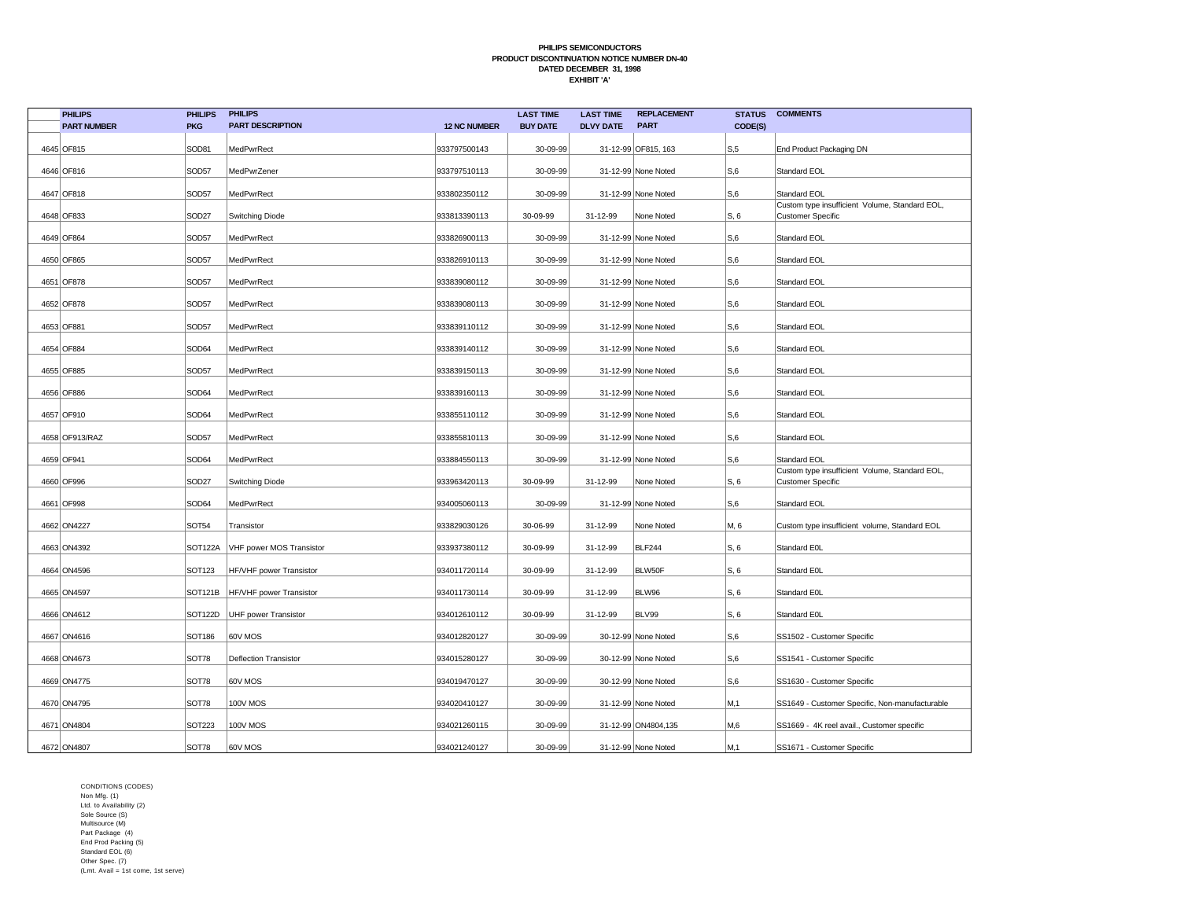| <b>PHILIPS</b>     | <b>PHILIPS</b>       | <b>PHILIPS</b>               |                     | <b>LAST TIME</b> | <b>LAST TIME</b> | <b>REPLACEMENT</b>  | <b>STATUS</b>  | <b>COMMENTS</b>                                                            |
|--------------------|----------------------|------------------------------|---------------------|------------------|------------------|---------------------|----------------|----------------------------------------------------------------------------|
| <b>PART NUMBER</b> | <b>PKG</b>           | <b>PART DESCRIPTION</b>      | <b>12 NC NUMBER</b> | <b>BUY DATE</b>  | <b>DLVY DATE</b> | <b>PART</b>         | CODE(S)        |                                                                            |
| 4645 OF815         | SOD81                | MedPwrRect                   | 933797500143        | 30-09-99         |                  | 31-12-99 OF815, 163 | S, 5           | End Product Packaging DN                                                   |
| 4646 OF816         | SOD57                | MedPwrZener                  | 933797510113        | 30-09-99         |                  | 31-12-99 None Noted | S,6            | Standard EOL                                                               |
|                    |                      |                              |                     |                  |                  |                     |                |                                                                            |
| 4647 OF818         | SOD57                | MedPwrRect                   | 933802350112        | 30-09-99         |                  | 31-12-99 None Noted | S,6            | Standard EOL<br>Custom type insufficient Volume, Standard EOL,             |
| 4648 OF833         | SOD <sub>27</sub>    | Switching Diode              | 933813390113        | 30-09-99         | 31-12-99         | None Noted          | S, 6           | <b>Customer Specific</b>                                                   |
| 4649 OF864         | SOD57                | MedPwrRect                   | 933826900113        | 30-09-99         |                  | 31-12-99 None Noted | S,6            | Standard EOL                                                               |
| 4650 OF865         | SOD57                | MedPwrRect                   | 933826910113        | 30-09-99         |                  | 31-12-99 None Noted | S,6            | Standard EOL                                                               |
| 4651 OF878         | SOD57                | MedPwrRect                   | 933839080112        | 30-09-99         |                  | 31-12-99 None Noted | S,6            | Standard EOL                                                               |
| 4652 OF878         | SOD57                | MedPwrRect                   | 933839080113        | 30-09-99         |                  | 31-12-99 None Noted | S,6            | Standard EOL                                                               |
| 4653 OF881         | SOD57                | MedPwrRect                   | 933839110112        | 30-09-99         |                  | 31-12-99 None Noted | S,6            | Standard EOL                                                               |
| 4654 OF884         | SOD64                | MedPwrRect                   | 933839140112        | 30-09-99         |                  | 31-12-99 None Noted | S,6            | Standard EOL                                                               |
| 4655 OF885         | SOD57                | MedPwrRect                   | 933839150113        | 30-09-99         |                  | 31-12-99 None Noted | S,6            | Standard EOL                                                               |
| 4656 OF886         | SOD64                | MedPwrRect                   | 933839160113        | 30-09-99         |                  | 31-12-99 None Noted | S,6            | Standard EOL                                                               |
| 4657 OF910         | SOD64                | MedPwrRect                   | 933855110112        | 30-09-99         |                  | 31-12-99 None Noted | S,6            | Standard EOL                                                               |
| 4658 OF913/RAZ     | SOD57                | MedPwrRect                   | 933855810113        | 30-09-99         |                  | 31-12-99 None Noted | S,6            | Standard EOL                                                               |
| 4659 OF941         | SOD64                | MedPwrRect                   | 933884550113        | 30-09-99         |                  | 31-12-99 None Noted | S <sub>6</sub> | Standard EOL                                                               |
| 4660 OF996         | SOD <sub>27</sub>    | Switching Diode              | 933963420113        | 30-09-99         | 31-12-99         | None Noted          | S, 6           | Custom type insufficient Volume, Standard EOL,<br><b>Customer Specific</b> |
| 4661 OF998         | SOD64                | <b>MedPwrRect</b>            | 934005060113        | 30-09-99         |                  | 31-12-99 None Noted | S.6            | Standard EOL                                                               |
| 4662 ON4227        | <b>SOT54</b>         | Transistor                   | 933829030126        | 30-06-99         | 31-12-99         | None Noted          | M, 6           | Custom type insufficient volume, Standard EOL                              |
| 4663 ON4392        | SOT <sub>122A</sub>  | VHF power MOS Transistor     | 933937380112        | 30-09-99         | 31-12-99         | BLF244              | S, 6           | Standard E0L                                                               |
| 4664 ON4596        | SOT123               | HF/VHF power Transistor      | 934011720114        | 30-09-99         | 31-12-99         | BLW50F              | S, 6           | Standard E0L                                                               |
| 4665 ON4597        | <b>SOT121B</b>       | HF/VHF power Transistor      | 934011730114        | 30-09-99         | 31-12-99         | BLW96               | S, 6           | Standard E0L                                                               |
| 4666 ON4612        | SOT <sub>122</sub> D | <b>UHF power Transistor</b>  | 934012610112        | 30-09-99         | 31-12-99         | BLV99               | S, 6           | Standard E0L                                                               |
| 4667 ON4616        | SOT186               | 60V MOS                      | 934012820127        | 30-09-99         |                  | 30-12-99 None Noted | S,6            | SS1502 - Customer Specific                                                 |
| 4668 ON4673        | SOT78                | <b>Deflection Transistor</b> | 934015280127        | 30-09-99         |                  | 30-12-99 None Noted | S,6            | SS1541 - Customer Specific                                                 |
| 4669 ON4775        | SOT78                | 60V MOS                      | 934019470127        | 30-09-99         |                  | 30-12-99 None Noted | S,6            | SS1630 - Customer Specific                                                 |
| 4670 ON4795        | SOT78                | 100V MOS                     | 934020410127        | 30-09-99         |                  | 31-12-99 None Noted | M,1            | SS1649 - Customer Specific, Non-manufacturable                             |
| 4671 ON4804        | <b>SOT223</b>        | 100V MOS                     | 934021260115        | 30-09-99         |                  | 31-12-99 ON4804,135 | M,6            | SS1669 - 4K reel avail., Customer specific                                 |
| 4672 ON4807        | SOT78                | 60V MOS                      | 934021240127        | 30-09-99         |                  | 31-12-99 None Noted | M.1            | SS1671 - Customer Specific                                                 |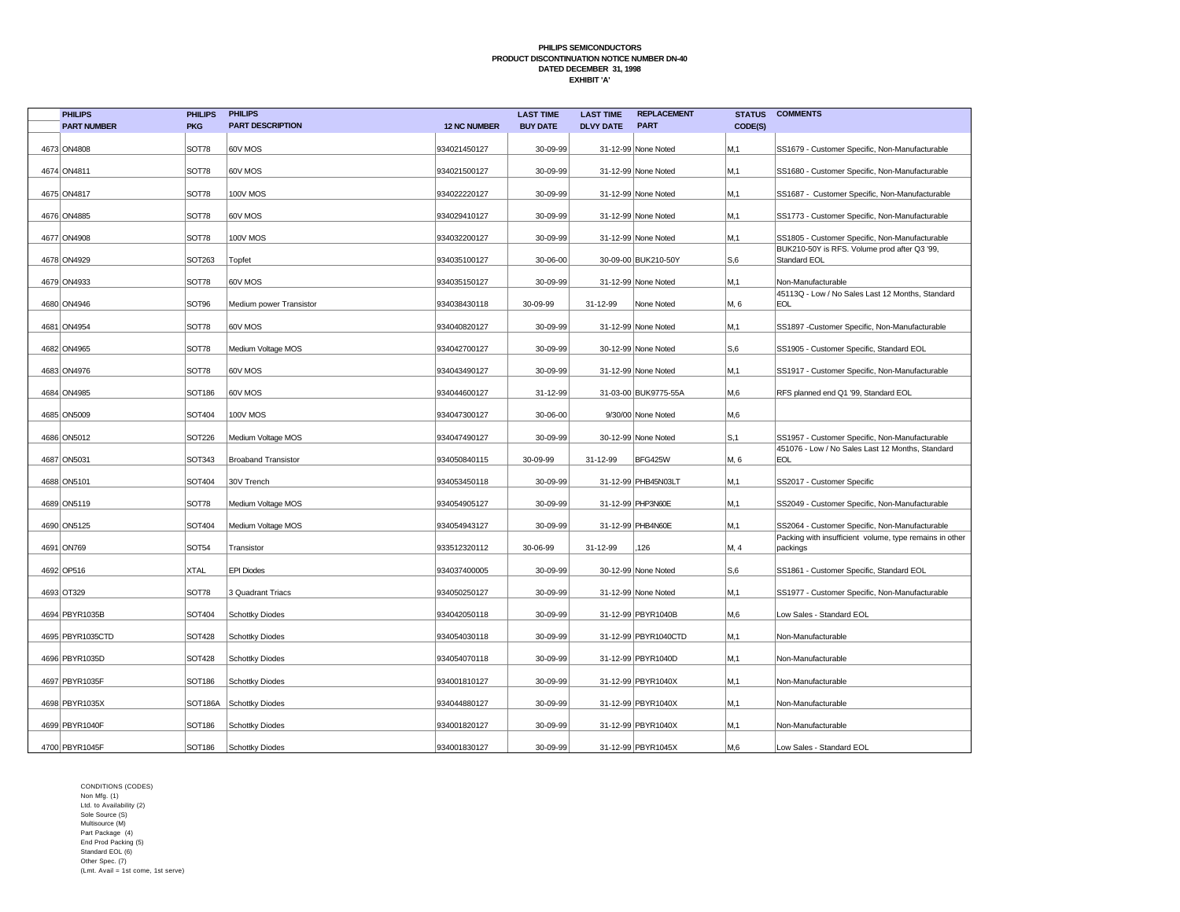| <b>PHILIPS</b>     | <b>PHILIPS</b> | <b>PHILIPS</b>             |                     | <b>LAST TIME</b> | <b>LAST TIME</b> | <b>REPLACEMENT</b>   | <b>STATUS</b> | <b>COMMENTS</b>                                                     |
|--------------------|----------------|----------------------------|---------------------|------------------|------------------|----------------------|---------------|---------------------------------------------------------------------|
| <b>PART NUMBER</b> | <b>PKG</b>     | <b>PART DESCRIPTION</b>    | <b>12 NC NUMBER</b> | <b>BUY DATE</b>  | <b>DLVY DATE</b> | <b>PART</b>          | CODE(S)       |                                                                     |
| 4673 ON4808        | <b>SOT78</b>   | 60V MOS                    | 934021450127        | 30-09-99         |                  | 31-12-99 None Noted  | M,1           | SS1679 - Customer Specific, Non-Manufacturable                      |
| 4674 ON4811        | SOT78          | 60V MOS                    | 934021500127        | 30-09-99         |                  | 31-12-99 None Noted  | M,1           | SS1680 - Customer Specific, Non-Manufacturable                      |
| 4675 ON4817        | SOT78          | 100V MOS                   | 934022220127        | 30-09-99         |                  | 31-12-99 None Noted  | M.1           | SS1687 - Customer Specific, Non-Manufacturable                      |
|                    |                |                            |                     |                  |                  |                      |               |                                                                     |
| 4676 ON4885        | <b>SOT78</b>   | 60V MOS                    | 934029410127        | 30-09-99         |                  | 31-12-99 None Noted  | M,1           | SS1773 - Customer Specific, Non-Manufacturable                      |
| 4677 ON4908        | SOT78          | 100V MOS                   | 934032200127        | 30-09-99         |                  | 31-12-99 None Noted  | M.1           | SS1805 - Customer Specific, Non-Manufacturable                      |
| 4678 ON4929        | SOT263         | Topfet                     | 934035100127        | 30-06-00         |                  | 30-09-00 BUK210-50Y  | S,6           | BUK210-50Y is RFS. Volume prod after Q3 '99,<br>Standard EOL        |
| 4679 ON4933        | SOT78          | 60V MOS                    | 934035150127        | 30-09-99         |                  | 31-12-99 None Noted  | M.1           | Non-Manufacturable                                                  |
| 4680 ON4946        | SOT96          | Medium power Transistor    | 934038430118        | 30-09-99         | 31-12-99         | None Noted           | M, 6          | 45113Q - Low / No Sales Last 12 Months, Standard<br><b>EOL</b>      |
| 4681 ON4954        | SOT78          | 60V MOS                    | 934040820127        | 30-09-99         |                  | 31-12-99 None Noted  | M,1           | SS1897 -Customer Specific, Non-Manufacturable                       |
| 4682 ON4965        | SOT78          | Medium Voltage MOS         | 934042700127        | 30-09-99         |                  | 30-12-99 None Noted  | S,6           | SS1905 - Customer Specific, Standard EOL                            |
| 4683 ON4976        | SOT78          | 60V MOS                    | 934043490127        | 30-09-99         |                  | 31-12-99 None Noted  | M, 1          | SS1917 - Customer Specific, Non-Manufacturable                      |
| 4684 ON4985        | SOT186         | <b>60V MOS</b>             | 934044600127        | 31-12-99         |                  | 31-03-00 BUK9775-55A | M,6           | RFS planned end Q1 '99, Standard EOL                                |
| 4685 ON5009        | SOT404         | <b>100V MOS</b>            | 934047300127        | 30-06-00         |                  | 9/30/00 None Noted   | M.6           |                                                                     |
| 4686 ON5012        | <b>SOT226</b>  | Medium Voltage MOS         | 934047490127        | 30-09-99         |                  | 30-12-99 None Noted  | S, 1          | SS1957 - Customer Specific, Non-Manufacturable                      |
| 4687 ON5031        | SOT343         | <b>Broaband Transistor</b> | 934050840115        | 30-09-99         | 31-12-99         | BFG425W              | M, 6          | 451076 - Low / No Sales Last 12 Months, Standard<br>EOL             |
| 4688 ON5101        | SOT404         | 30V Trench                 | 934053450118        | 30-09-99         |                  | 31-12-99 PHB45N03LT  | M.1           | SS2017 - Customer Specific                                          |
| 4689 ON5119        | <b>SOT78</b>   | Medium Voltage MOS         | 934054905127        | 30-09-99         |                  | 31-12-99 PHP3N60E    | M.1           | SS2049 - Customer Specific, Non-Manufacturable                      |
| 4690 ON5125        | <b>SOT404</b>  | Medium Voltage MOS         | 934054943127        | 30-09-99         |                  | 31-12-99 PHB4N60E    | M.1           | SS2064 - Customer Specific, Non-Manufacturable                      |
| 4691 ON769         | SOT54          | Transistor                 | 933512320112        | 30-06-99         | 31-12-99         | 126                  | M, 4          | Packing with insufficient volume, type remains in other<br>packings |
| 4692 OP516         | <b>XTAL</b>    | <b>EPI Diodes</b>          | 934037400005        | 30-09-99         |                  | 30-12-99 None Noted  | S,6           | SS1861 - Customer Specific, Standard EOL                            |
| 4693 OT329         | <b>SOT78</b>   | 3 Quadrant Triacs          | 934050250127        | 30-09-99         |                  | 31-12-99 None Noted  | M,1           | SS1977 - Customer Specific, Non-Manufacturable                      |
| 4694 PBYR1035B     | SOT404         | <b>Schottky Diodes</b>     | 934042050118        | 30-09-99         |                  | 31-12-99 PBYR1040B   | M,6           | Low Sales - Standard EOL                                            |
| 4695 PBYR1035CTD   | <b>SOT428</b>  | <b>Schottky Diodes</b>     | 934054030118        | 30-09-99         |                  | 31-12-99 PBYR1040CTD | M,1           | Non-Manufacturable                                                  |
| 4696 PBYR1035D     | <b>SOT428</b>  | <b>Schottky Diodes</b>     | 934054070118        | 30-09-99         |                  | 31-12-99 PBYR1040D   | M,1           | Non-Manufacturable                                                  |
| 4697 PBYR1035F     | SOT186         | <b>Schottky Diodes</b>     | 934001810127        | 30-09-99         |                  | 31-12-99 PBYR1040X   | M, 1          | Non-Manufacturable                                                  |
| 4698 PBYR1035X     |                | SOT186A Schottky Diodes    | 934044880127        | 30-09-99         |                  | 31-12-99 PBYR1040X   | M,1           | Non-Manufacturable                                                  |
| 4699 PBYR1040F     | SOT186         | <b>Schottky Diodes</b>     | 934001820127        | 30-09-99         |                  | 31-12-99 PBYR1040X   | M,1           | Non-Manufacturable                                                  |
| 4700 PBYR1045F     | SOT186         | Schottky Diodes            | 934001830127        | 30-09-99         |                  | 31-12-99 PBYR1045X   | M.6           | Low Sales - Standard EOL                                            |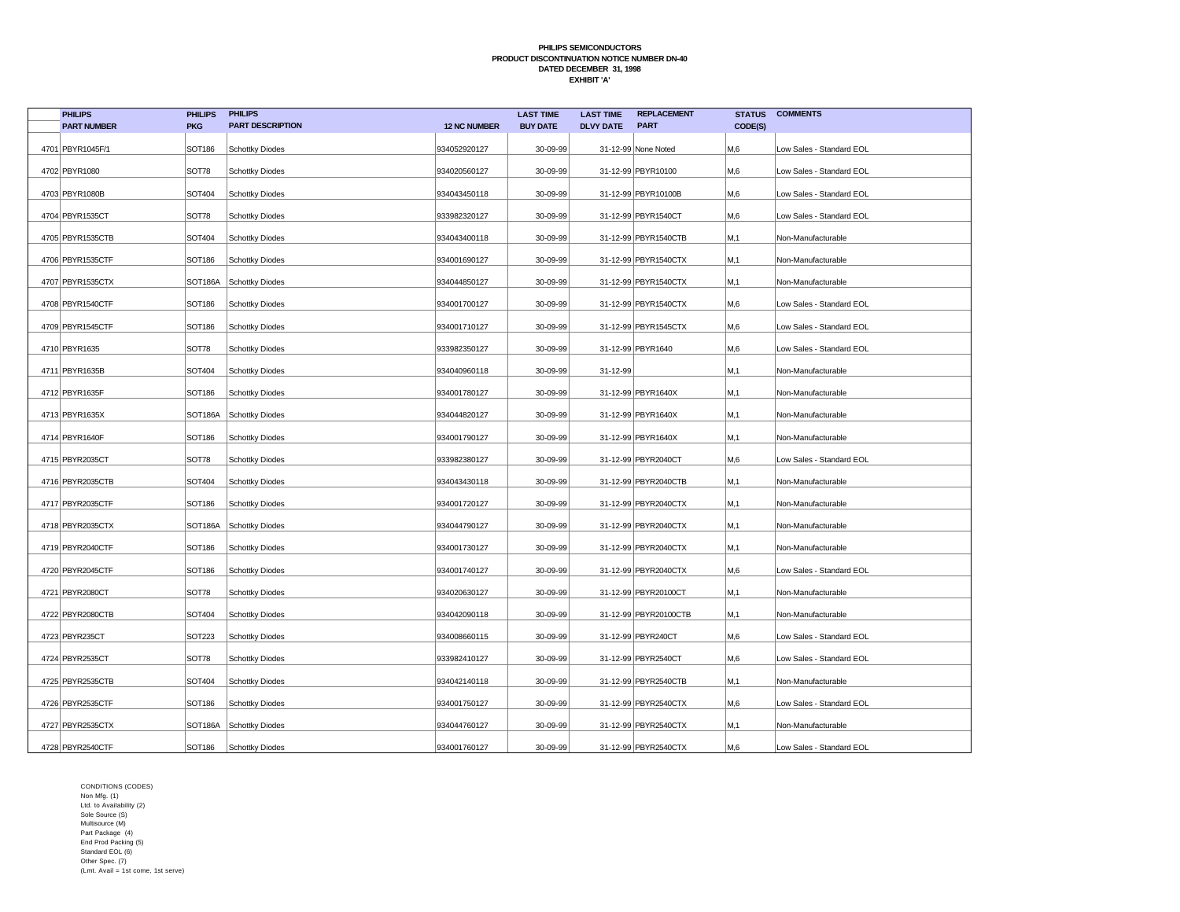| <b>PHILIPS</b>     | <b>PHILIPS</b> | <b>PHILIPS</b>          |                     | <b>LAST TIME</b> | <b>LAST TIME</b> | <b>REPLACEMENT</b>    | <b>STATUS</b> | <b>COMMENTS</b>          |
|--------------------|----------------|-------------------------|---------------------|------------------|------------------|-----------------------|---------------|--------------------------|
| <b>PART NUMBER</b> | <b>PKG</b>     | <b>PART DESCRIPTION</b> | <b>12 NC NUMBER</b> | <b>BUY DATE</b>  | <b>DLVY DATE</b> | <b>PART</b>           | CODE(S)       |                          |
| 4701 PBYR1045F/1   | <b>SOT186</b>  | <b>Schottky Diodes</b>  | 934052920127        | 30-09-99         |                  | 31-12-99 None Noted   | M,6           | Low Sales - Standard EOL |
| 4702 PBYR1080      | SOT78          | <b>Schottky Diodes</b>  | 934020560127        | 30-09-99         |                  | 31-12-99 PBYR10100    | M,6           | Low Sales - Standard EOL |
| 4703 PBYR1080B     | SOT404         | <b>Schottky Diodes</b>  | 934043450118        | 30-09-99         |                  | 31-12-99 PBYR10100B   | M.6           | Low Sales - Standard EOL |
| 4704 PBYR1535CT    | SOT78          | <b>Schottky Diodes</b>  | 933982320127        | 30-09-99         |                  | 31-12-99 PBYR1540CT   | M,6           | Low Sales - Standard EOL |
| 4705 PBYR1535CTB   | SOT404         | <b>Schottky Diodes</b>  | 934043400118        | 30-09-99         |                  | 31-12-99 PBYR1540CTB  | M,1           | Non-Manufacturable       |
| 4706 PBYR1535CTF   | <b>SOT186</b>  | <b>Schottky Diodes</b>  | 934001690127        | 30-09-99         |                  | 31-12-99 PBYR1540CTX  | M.1           | Non-Manufacturable       |
| 4707 PBYR1535CTX   | SOT186A        | <b>Schottky Diodes</b>  | 934044850127        | 30-09-99         |                  | 31-12-99 PBYR1540CTX  | M.1           | Non-Manufacturable       |
| 4708 PBYR1540CTF   | <b>SOT186</b>  | <b>Schottky Diodes</b>  | 934001700127        | 30-09-99         |                  | 31-12-99 PBYR1540CTX  | M,6           | Low Sales - Standard EOL |
| 4709 PBYR1545CTF   | <b>SOT186</b>  | <b>Schottky Diodes</b>  | 934001710127        | 30-09-99         |                  | 31-12-99 PBYR1545CTX  | M,6           | Low Sales - Standard EOL |
| 4710 PBYR1635      | SOT78          | <b>Schottky Diodes</b>  | 933982350127        | 30-09-99         |                  | 31-12-99 PBYR1640     | M.6           | Low Sales - Standard EOL |
| 4711 PBYR1635B     | SOT404         | <b>Schottky Diodes</b>  | 934040960118        | 30-09-99         | 31-12-99         |                       | M,1           | Non-Manufacturable       |
| 4712 PBYR1635F     | <b>SOT186</b>  | <b>Schottky Diodes</b>  | 934001780127        | 30-09-99         |                  | 31-12-99 PBYR1640X    | M,1           | Non-Manufacturable       |
| 4713 PBYR1635X     |                | SOT186A Schottky Diodes | 934044820127        | 30-09-99         |                  | 31-12-99 PBYR1640X    | M,1           | Non-Manufacturable       |
| 4714 PBYR1640F     | <b>SOT186</b>  | <b>Schottky Diodes</b>  | 934001790127        | 30-09-99         |                  | 31-12-99 PBYR1640X    | M,1           | Non-Manufacturable       |
| 4715 PBYR2035CT    | SOT78          | <b>Schottky Diodes</b>  | 933982380127        | 30-09-99         |                  | 31-12-99 PBYR2040CT   | М,6           | Low Sales - Standard EOL |
| 4716 PBYR2035CTB   | SOT404         | <b>Schottky Diodes</b>  | 934043430118        | 30-09-99         |                  | 31-12-99 PBYR2040CTB  | M,1           | Non-Manufacturable       |
| 4717 PBYR2035CTF   | <b>SOT186</b>  | <b>Schottky Diodes</b>  | 934001720127        | 30-09-99         |                  | 31-12-99 PBYR2040CTX  | M,1           | Non-Manufacturable       |
| 4718 PBYR2035CTX   | SOT186A        | <b>Schottky Diodes</b>  | 934044790127        | 30-09-99         |                  | 31-12-99 PBYR2040CTX  | M,1           | Non-Manufacturable       |
| 4719 PBYR2040CTF   | <b>SOT186</b>  | <b>Schottky Diodes</b>  | 934001730127        | 30-09-99         |                  | 31-12-99 PBYR2040CTX  | M,1           | Non-Manufacturable       |
| 4720 PBYR2045CTF   | SOT186         | <b>Schottky Diodes</b>  | 934001740127        | 30-09-99         |                  | 31-12-99 PBYR2040CTX  | M,6           | Low Sales - Standard EOL |
| 4721 PBYR2080CT    | SOT78          | <b>Schottky Diodes</b>  | 934020630127        | 30-09-99         |                  | 31-12-99 PBYR20100CT  | M,1           | Non-Manufacturable       |
| 4722 PBYR2080CTB   | SOT404         | <b>Schottky Diodes</b>  | 934042090118        | 30-09-99         |                  | 31-12-99 PBYR20100CTB | M,1           | Non-Manufacturable       |
| 4723 PBYR235CT     | SOT223         | <b>Schottky Diodes</b>  | 934008660115        | 30-09-99         |                  | 31-12-99 PBYR240CT    | M,6           | Low Sales - Standard EOL |
| 4724 PBYR2535CT    | SOT78          | <b>Schottky Diodes</b>  | 933982410127        | 30-09-99         |                  | 31-12-99 PBYR2540CT   | M,6           | Low Sales - Standard EOL |
| 4725 PBYR2535CTB   | SOT404         | <b>Schottky Diodes</b>  | 934042140118        | 30-09-99         |                  | 31-12-99 PBYR2540CTB  | M,1           | Non-Manufacturable       |
| 4726 PBYR2535CTF   | <b>SOT186</b>  | <b>Schottky Diodes</b>  | 934001750127        | 30-09-99         |                  | 31-12-99 PBYR2540CTX  | M,6           | Low Sales - Standard EOL |
| 4727 PBYR2535CTX   | SOT186A        | <b>Schottky Diodes</b>  | 934044760127        | 30-09-99         |                  | 31-12-99 PBYR2540CTX  | M,1           | Non-Manufacturable       |
| 4728 PBYR2540CTF   | SOT186         | <b>Schottky Diodes</b>  | 934001760127        | 30-09-99         |                  | 31-12-99 PBYR2540CTX  | M,6           | Low Sales - Standard EOL |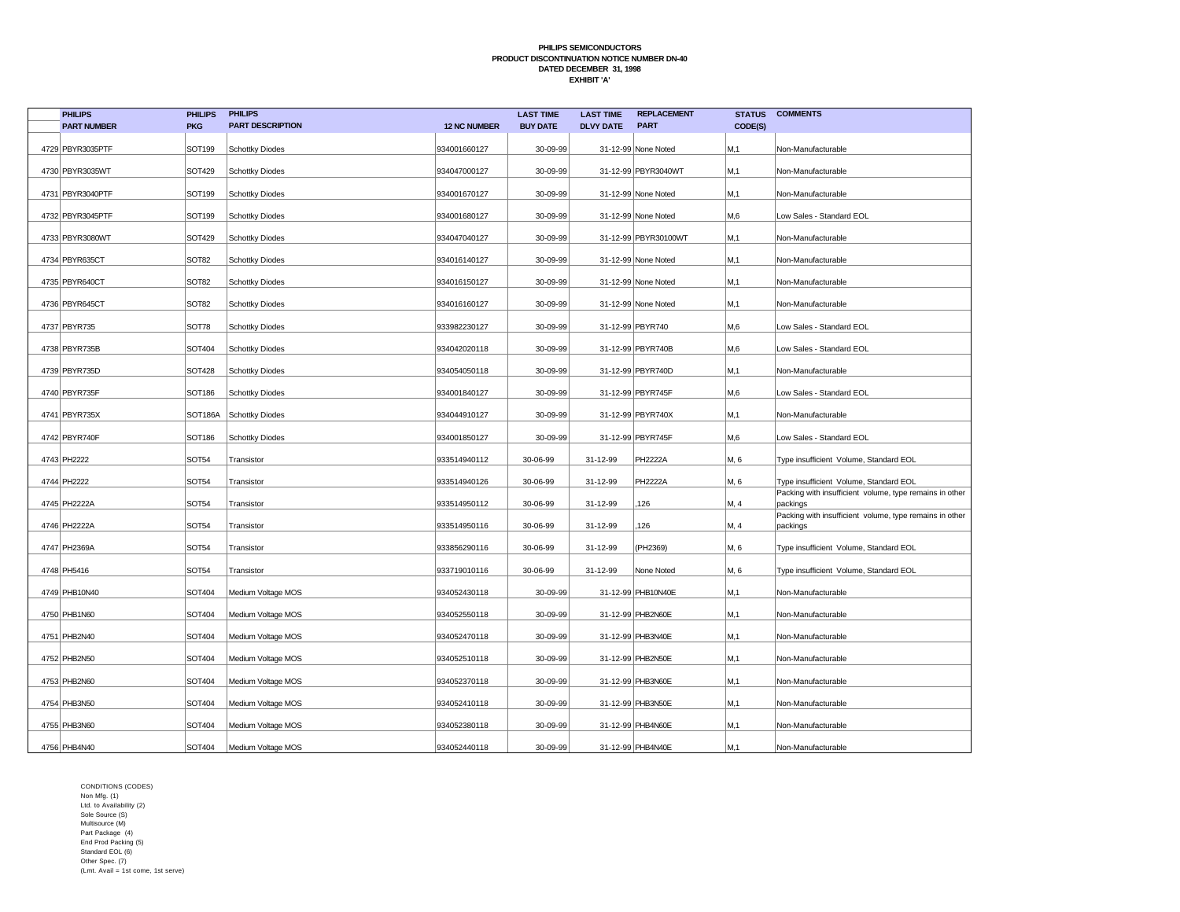| <b>PHILIPS</b>     | <b>PHILIPS</b>    | <b>PHILIPS</b>          |                     | <b>LAST TIME</b> | <b>LAST TIME</b> | <b>REPLACEMENT</b>   | <b>STATUS</b> | <b>COMMENTS</b>                                                     |
|--------------------|-------------------|-------------------------|---------------------|------------------|------------------|----------------------|---------------|---------------------------------------------------------------------|
| <b>PART NUMBER</b> | <b>PKG</b>        | <b>PART DESCRIPTION</b> | <b>12 NC NUMBER</b> | <b>BUY DATE</b>  | <b>DLVY DATE</b> | <b>PART</b>          | CODE(S)       |                                                                     |
| 4729 PBYR3035PTF   | SOT199            | Schottky Diodes         | 934001660127        | 30-09-99         |                  | 31-12-99 None Noted  | M,1           | Non-Manufacturable                                                  |
| 4730 PBYR3035WT    | SOT429            | Schottky Diodes         | 934047000127        | 30-09-99         |                  | 31-12-99 PBYR3040WT  | M,1           | Non-Manufacturable                                                  |
| 4731 PBYR3040PTF   | SOT199            | Schottky Diodes         | 934001670127        | 30-09-99         |                  | 31-12-99 None Noted  | M,1           | Non-Manufacturable                                                  |
| 4732 PBYR3045PTF   | SOT199            | Schottky Diodes         | 934001680127        | 30-09-99         |                  | 31-12-99 None Noted  | M,6           | Low Sales - Standard EOL                                            |
| 4733 PBYR3080WT    | SOT429            | <b>Schottky Diodes</b>  | 934047040127        | 30-09-99         |                  | 31-12-99 PBYR30100WT | M,1           | Non-Manufacturable                                                  |
| 4734 PBYR635CT     | SOT <sub>82</sub> | Schottky Diodes         | 934016140127        | 30-09-99         |                  | 31-12-99 None Noted  | M,1           | Non-Manufacturable                                                  |
| 4735 PBYR640CT     | SOT <sub>82</sub> | Schottky Diodes         | 934016150127        | 30-09-99         |                  | 31-12-99 None Noted  | M,1           | Non-Manufacturable                                                  |
| 4736 PBYR645CT     | SOT <sub>82</sub> | Schottky Diodes         | 934016160127        | 30-09-99         |                  | 31-12-99 None Noted  | M,1           | Non-Manufacturable                                                  |
| 4737 PBYR735       | SOT78             | Schottky Diodes         | 933982230127        | 30-09-99         |                  | 31-12-99 PBYR740     | M,6           | Low Sales - Standard EOL                                            |
| 4738 PBYR735B      | SOT404            | Schottky Diodes         | 934042020118        | 30-09-99         |                  | 31-12-99 PBYR740B    | M,6           | Low Sales - Standard EOL                                            |
| 4739 PBYR735D      | <b>SOT428</b>     | Schottky Diodes         | 934054050118        | 30-09-99         |                  | 31-12-99 PBYR740D    | M,1           | Non-Manufacturable                                                  |
| 4740 PBYR735F      | <b>SOT186</b>     | Schottky Diodes         | 934001840127        | 30-09-99         |                  | 31-12-99 PBYR745F    | M,6           | Low Sales - Standard EOL                                            |
| 4741 PBYR735X      | SOT186A           | Schottky Diodes         | 934044910127        | 30-09-99         |                  | 31-12-99 PBYR740X    | M,1           | Non-Manufacturable                                                  |
| 4742 PBYR740F      | <b>SOT186</b>     | Schottky Diodes         | 934001850127        | 30-09-99         |                  | 31-12-99 PBYR745F    | M,6           | Low Sales - Standard EOL                                            |
| 4743 PH2222        | <b>SOT54</b>      | Transistor              | 933514940112        | 30-06-99         | 31-12-99         | <b>PH2222A</b>       | M, 6          | Type insufficient Volume, Standard EOL                              |
| 4744 PH2222        | <b>SOT54</b>      | Transistor              | 933514940126        | 30-06-99         | 31-12-99         | <b>PH2222A</b>       | M, 6          | Type insufficient Volume, Standard EOL                              |
| 4745 PH2222A       | <b>SOT54</b>      | Transistor              | 933514950112        | 30-06-99         | 31-12-99         | 126                  | M, 4          | Packing with insufficient volume, type remains in other<br>packings |
| 4746 PH2222A       | <b>SOT54</b>      | Transistor              | 933514950116        | 30-06-99         | 31-12-99         | 126                  | M, 4          | Packing with insufficient volume, type remains in other<br>packings |
| 4747 PH2369A       | <b>SOT54</b>      | Transistor              | 933856290116        | 30-06-99         | 31-12-99         | (PH2369)             | M, 6          | Type insufficient Volume, Standard EOL                              |
| 4748 PH5416        | SOT54             | Transistor              | 933719010116        | 30-06-99         | 31-12-99         | None Noted           | M, 6          | Type insufficient Volume, Standard EOL                              |
| 4749 PHB10N40      | SOT404            | Medium Voltage MOS      | 934052430118        | 30-09-99         |                  | 31-12-99 PHB10N40E   | M,1           | Non-Manufacturable                                                  |
| 4750 PHB1N60       | SOT404            | Medium Voltage MOS      | 934052550118        | 30-09-99         |                  | 31-12-99 PHB2N60E    | M,1           | Non-Manufacturable                                                  |
| 4751 PHB2N40       | SOT404            | Medium Voltage MOS      | 934052470118        | 30-09-99         |                  | 31-12-99 PHB3N40E    | M,1           | Non-Manufacturable                                                  |
| 4752 PHB2N50       | SOT404            | Medium Voltage MOS      | 934052510118        | 30-09-99         |                  | 31-12-99 PHB2N50E    | M,1           | Non-Manufacturable                                                  |
| 4753 PHB2N60       | SOT404            | Medium Voltage MOS      | 934052370118        | 30-09-99         |                  | 31-12-99 PHB3N60E    | M, 1          | Non-Manufacturable                                                  |
| 4754 PHB3N50       | SOT404            | Medium Voltage MOS      | 934052410118        | 30-09-99         |                  | 31-12-99 PHB3N50E    | M,1           | Non-Manufacturable                                                  |
| 4755 PHB3N60       | SOT404            | Medium Voltage MOS      | 934052380118        | 30-09-99         |                  | 31-12-99 PHB4N60E    | M, 1          | Non-Manufacturable                                                  |
| 4756 PHB4N40       | SOT404            | Medium Voltage MOS      | 934052440118        | 30-09-99         |                  | 31-12-99 PHB4N40E    | M.1           | Non-Manufacturable                                                  |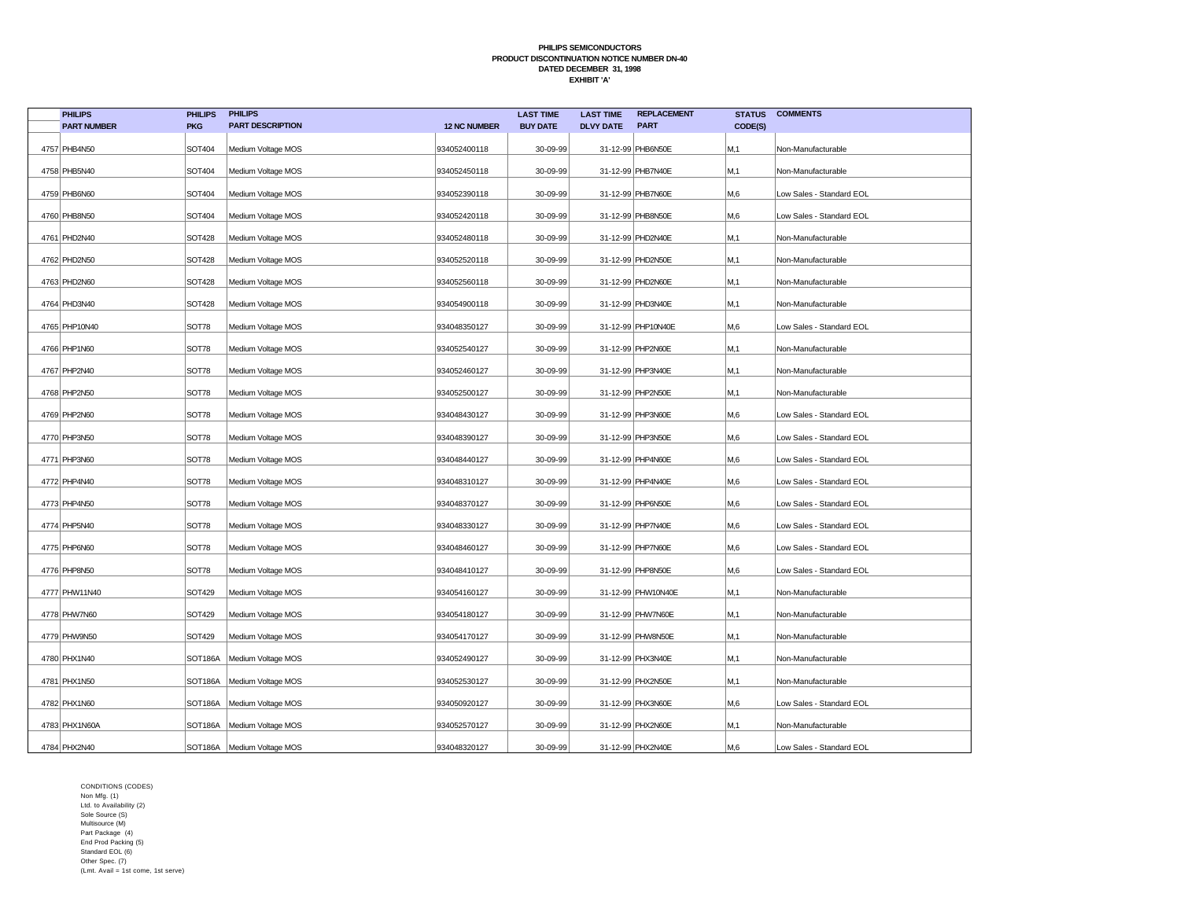| <b>PHILIPS</b>     | <b>PHILIPS</b> | <b>PHILIPS</b>               |                     | <b>LAST TIME</b> | <b>LAST TIME</b> | <b>REPLACEMENT</b> | <b>STATUS</b> | <b>COMMENTS</b>          |
|--------------------|----------------|------------------------------|---------------------|------------------|------------------|--------------------|---------------|--------------------------|
| <b>PART NUMBER</b> | <b>PKG</b>     | <b>PART DESCRIPTION</b>      | <b>12 NC NUMBER</b> | <b>BUY DATE</b>  | <b>DLVY DATE</b> | <b>PART</b>        | CODE(S)       |                          |
| 4757 PHB4N50       | SOT404         | Medium Voltage MOS           | 934052400118        | 30-09-99         |                  | 31-12-99 PHB6N50E  | M,1           | Non-Manufacturable       |
| 4758 PHB5N40       | SOT404         | Medium Voltage MOS           | 934052450118        | 30-09-99         |                  | 31-12-99 PHB7N40E  | M,1           | Non-Manufacturable       |
| 4759 PHB6N60       | SOT404         | Medium Voltage MOS           | 934052390118        | 30-09-99         |                  | 31-12-99 PHB7N60E  | M,6           | Low Sales - Standard EOL |
| 4760 PHB8N50       | SOT404         | Medium Voltage MOS           | 934052420118        | 30-09-99         |                  | 31-12-99 PHB8N50E  | M,6           | Low Sales - Standard EOL |
| 4761 PHD2N40       | <b>SOT428</b>  | Medium Voltage MOS           | 934052480118        | 30-09-99         |                  | 31-12-99 PHD2N40E  | M, 1          | Non-Manufacturable       |
| 4762 PHD2N50       | <b>SOT428</b>  | Medium Voltage MOS           | 934052520118        | 30-09-99         |                  | 31-12-99 PHD2N50E  | M, 1          | Non-Manufacturable       |
| 4763 PHD2N60       | <b>SOT428</b>  | Medium Voltage MOS           | 934052560118        | 30-09-99         |                  | 31-12-99 PHD2N60E  | M, 1          | Non-Manufacturable       |
| 4764 PHD3N40       | <b>SOT428</b>  | Medium Voltage MOS           | 934054900118        | 30-09-99         |                  | 31-12-99 PHD3N40E  | M,1           | Non-Manufacturable       |
| 4765 PHP10N40      | SOT78          | Medium Voltage MOS           | 934048350127        | 30-09-99         |                  | 31-12-99 PHP10N40E | M,6           | Low Sales - Standard EOL |
| 4766 PHP1N60       | SOT78          | Medium Voltage MOS           | 934052540127        | 30-09-99         |                  | 31-12-99 PHP2N60E  | M, 1          | Non-Manufacturable       |
| 4767 PHP2N40       | SOT78          | Medium Voltage MOS           | 934052460127        | 30-09-99         |                  | 31-12-99 PHP3N40E  | M, 1          | Non-Manufacturable       |
| 4768 PHP2N50       | SOT78          | Medium Voltage MOS           | 934052500127        | 30-09-99         |                  | 31-12-99 PHP2N50E  | M,1           | Non-Manufacturable       |
| 4769 PHP2N60       | SOT78          | Medium Voltage MOS           | 934048430127        | 30-09-99         |                  | 31-12-99 PHP3N60E  | M,6           | Low Sales - Standard EOL |
| 4770 PHP3N50       | SOT78          | Medium Voltage MOS           | 934048390127        | 30-09-99         |                  | 31-12-99 PHP3N50E  | M,6           | Low Sales - Standard EOL |
| 4771 PHP3N60       | SOT78          | Medium Voltage MOS           | 934048440127        | 30-09-99         |                  | 31-12-99 PHP4N60E  | M,6           | Low Sales - Standard EOL |
| 4772 PHP4N40       | SOT78          | Medium Voltage MOS           | 934048310127        | 30-09-99         |                  | 31-12-99 PHP4N40E  | M,6           | Low Sales - Standard EOL |
| 4773 PHP4N50       | SOT78          | Medium Voltage MOS           | 934048370127        | 30-09-99         |                  | 31-12-99 PHP6N50E  | M,6           | Low Sales - Standard EOL |
| 4774 PHP5N40       | SOT78          | Medium Voltage MOS           | 934048330127        | 30-09-99         |                  | 31-12-99 PHP7N40E  | M,6           | Low Sales - Standard EOL |
| 4775 PHP6N60       | SOT78          | Medium Voltage MOS           | 934048460127        | 30-09-99         |                  | 31-12-99 PHP7N60E  | M,6           | Low Sales - Standard EOL |
| 4776 PHP8N50       | SOT78          | Medium Voltage MOS           | 934048410127        | 30-09-99         |                  | 31-12-99 PHP8N50E  | M,6           | Low Sales - Standard EOL |
| 4777 PHW11N40      | <b>SOT429</b>  | Medium Voltage MOS           | 934054160127        | 30-09-99         |                  | 31-12-99 PHW10N40E | M, 1          | Non-Manufacturable       |
| 4778 PHW7N60       | <b>SOT429</b>  | Medium Voltage MOS           | 934054180127        | 30-09-99         |                  | 31-12-99 PHW7N60E  | M, 1          | Non-Manufacturable       |
| 4779 PHW9N50       | <b>SOT429</b>  | Medium Voltage MOS           | 934054170127        | 30-09-99         |                  | 31-12-99 PHW8N50E  | M, 1          | Non-Manufacturable       |
| 4780 PHX1N40       | SOT186A        | Medium Voltage MOS           | 934052490127        | 30-09-99         |                  | 31-12-99 PHX3N40E  | M,1           | Non-Manufacturable       |
| 4781 PHX1N50       | SOT186A        | Medium Voltage MOS           | 934052530127        | 30-09-99         |                  | 31-12-99 PHX2N50E  | M, 1          | Non-Manufacturable       |
| 4782 PHX1N60       |                | SOT186A   Medium Voltage MOS | 934050920127        | 30-09-99         |                  | 31-12-99 PHX3N60E  | M,6           | Low Sales - Standard EOL |
| 4783 PHX1N60A      | SOT186A        | Medium Voltage MOS           | 934052570127        | 30-09-99         |                  | 31-12-99 PHX2N60E  | M, 1          | Non-Manufacturable       |
| 4784 PHX2N40       |                | SOT186A   Medium Voltage MOS | 934048320127        | 30-09-99         |                  | 31-12-99 PHX2N40E  | M,6           | Low Sales - Standard EOL |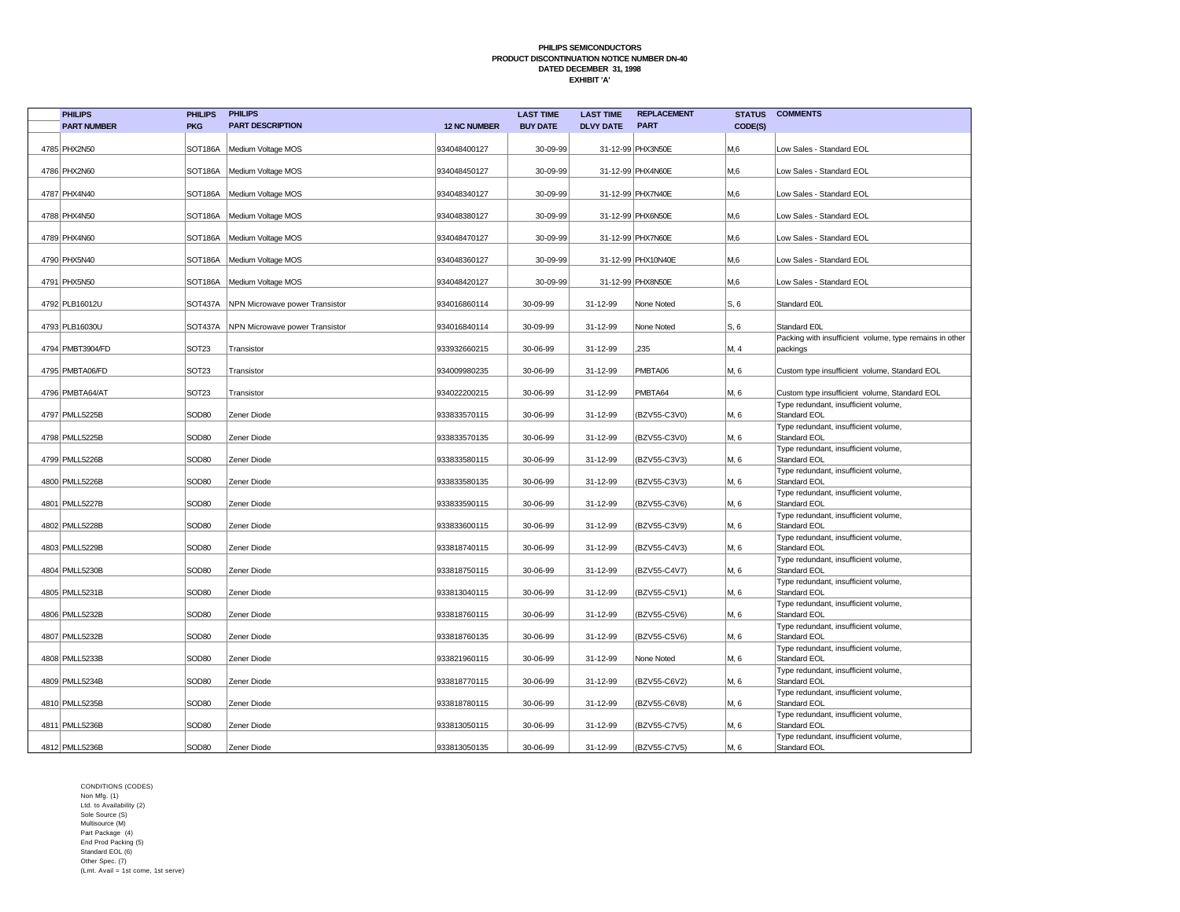| <b>PHILIPS</b>     | <b>PHILIPS</b>    | <b>PHILIPS</b>                         |                     | <b>LAST TIME</b> | <b>LAST TIME</b> | <b>REPLACEMENT</b> | <b>STATUS</b> | <b>COMMENTS</b>                                                     |
|--------------------|-------------------|----------------------------------------|---------------------|------------------|------------------|--------------------|---------------|---------------------------------------------------------------------|
| <b>PART NUMBER</b> | <b>PKG</b>        | <b>PART DESCRIPTION</b>                | <b>12 NC NUMBER</b> | <b>BUY DATE</b>  | <b>DLVY DATE</b> | <b>PART</b>        | CODE(S)       |                                                                     |
| 4785 PHX2N50       |                   | SOT186A   Medium Voltage MOS           | 934048400127        | 30-09-99         |                  | 31-12-99 PHX3N50E  | M,6           | Low Sales - Standard EOL                                            |
| 4786 PHX2N60       |                   | SOT186A   Medium Voltage MOS           | 934048450127        | 30-09-99         |                  | 31-12-99 PHX4N60E  | M,6           | Low Sales - Standard EOL                                            |
| 4787 PHX4N40       |                   | SOT186A   Medium Voltage MOS           | 934048340127        | 30-09-99         |                  | 31-12-99 PHX7N40E  | M,6           | Low Sales - Standard EOL                                            |
| 4788 PHX4N50       |                   | SOT186A   Medium Voltage MOS           | 934048380127        | 30-09-99         |                  | 31-12-99 PHX6N50E  | M,6           | Low Sales - Standard EOL                                            |
| 4789 PHX4N60       | SOT186A           | Medium Voltage MOS                     | 934048470127        | 30-09-99         |                  | 31-12-99 PHX7N60E  | M,6           | Low Sales - Standard EOL                                            |
| 4790 PHX5N40       | SOT186A           | Medium Voltage MOS                     | 934048360127        | 30-09-99         |                  | 31-12-99 PHX10N40E | M,6           | Low Sales - Standard EOL                                            |
| 4791 PHX5N50       |                   | SOT186A   Medium Voltage MOS           | 934048420127        | 30-09-99         |                  | 31-12-99 PHX8N50E  | M,6           | Low Sales - Standard EOL                                            |
| 4792 PLB16012U     |                   | SOT437A NPN Microwave power Transistor | 934016860114        | 30-09-99         | 31-12-99         | None Noted         | S, 6          | Standard E0L                                                        |
| 4793 PLB16030U     | SOT437A           | NPN Microwave power Transistor         | 934016840114        | 30-09-99         | 31-12-99         | None Noted         | S, 6          | Standard E0L                                                        |
| 4794 PMBT3904/FD   | SOT <sub>23</sub> | Transistor                             | 933932660215        | 30-06-99         | 31-12-99         | 235                | M, 4          | Packing with insufficient volume, type remains in other<br>packings |
| 4795 PMBTA06/FD    | SOT <sub>23</sub> | Transistor                             | 934009980235        | 30-06-99         | 31-12-99         | PMBTA06            | M, 6          | Custom type insufficient volume, Standard EOL                       |
| 4796 PMBTA64/AT    | SOT <sub>23</sub> | Transistor                             | 934022200215        | 30-06-99         | 31-12-99         | PMBTA64            | M, 6          | Custom type insufficient volume, Standard EOL                       |
| 4797 PMLL5225B     | SOD <sub>80</sub> | Zener Diode                            | 933833570115        | 30-06-99         | 31-12-99         | (BZV55-C3V0)       | M, 6          | Type redundant, insufficient volume,<br><b>Standard EOL</b>         |
| 4798 PMLL5225B     | SOD80             | Zener Diode                            | 933833570135        | 30-06-99         | 31-12-99         | (BZV55-C3V0)       | M, 6          | Type redundant, insufficient volume,<br>Standard EOL                |
| 4799 PMLL5226B     | SOD <sub>80</sub> | Zener Diode                            | 933833580115        | 30-06-99         | 31-12-99         | (BZV55-C3V3)       | M, 6          | Type redundant, insufficient volume,<br><b>Standard EOL</b>         |
| 4800 PMLL5226B     | SOD <sub>80</sub> | Zener Diode                            | 933833580135        | 30-06-99         | 31-12-99         | (BZV55-C3V3)       | M, 6          | Type redundant, insufficient volume,<br>Standard EOL                |
| 4801 PMLL5227B     | SOD <sub>80</sub> | Zener Diode                            | 933833590115        | 30-06-99         | 31-12-99         | BZV55-C3V6)        | M, 6          | Type redundant, insufficient volume,<br>Standard EOL                |
| 4802 PMLL5228B     | SOD <sub>80</sub> | Zener Diode                            | 933833600115        | 30-06-99         | 31-12-99         | BZV55-C3V9)        | M, 6          | Type redundant, insufficient volume,<br>Standard EOL                |
| 4803 PMLL5229B     | SOD <sub>80</sub> | Zener Diode                            | 933818740115        | 30-06-99         | 31-12-99         | (BZV55-C4V3)       | M, 6          | Type redundant, insufficient volume,<br>Standard EOL                |
| 4804 PMLL5230B     | SOD80             | Zener Diode                            | 933818750115        | 30-06-99         | 31-12-99         | (BZV55-C4V7)       | M, 6          | Type redundant, insufficient volume,<br><b>Standard EOL</b>         |
| 4805 PMLL5231B     | SOD80             | Zener Diode                            | 933813040115        | 30-06-99         | 31-12-99         | (BZV55-C5V1)       | M, 6          | Type redundant, insufficient volume,<br><b>Standard EOL</b>         |
| 4806 PMLL5232B     | SOD <sub>80</sub> | Zener Diode                            | 933818760115        | 30-06-99         | 31-12-99         | (BZV55-C5V6)       | M, 6          | Type redundant, insufficient volume,<br>Standard EOL                |
| 4807 PMLL5232B     | SOD80             | Zener Diode                            | 933818760135        | 30-06-99         | 31-12-99         | (BZV55-C5V6)       | M, 6          | Type redundant, insufficient volume,<br>Standard EOL                |
| 4808 PMLL5233B     | SOD <sub>80</sub> | Zener Diode                            | 933821960115        | 30-06-99         | 31-12-99         | None Noted         | M, 6          | Type redundant, insufficient volume,<br><b>Standard EOL</b>         |
| 4809 PMLL5234B     | SOD80             | Zener Diode                            | 933818770115        | 30-06-99         | 31-12-99         | (BZV55-C6V2)       | M, 6          | Type redundant, insufficient volume,<br>Standard EOL                |
| 4810 PMLL5235B     | SOD80             | Zener Diode                            | 933818780115        | 30-06-99         | 31-12-99         | (BZV55-C6V8)       | M, 6          | Type redundant, insufficient volume,<br><b>Standard EOL</b>         |
| 4811 PMLL5236B     | SOD80             | Zener Diode                            | 933813050115        | 30-06-99         | 31-12-99         | (BZV55-C7V5)       | M, 6          | Type redundant, insufficient volume,<br>Standard EOL                |
| 4812 PMLL5236B     | SOD <sub>80</sub> | Zener Diode                            | 933813050135        | 30-06-99         | 31-12-99         | (BZV55-C7V5)       | M, 6          | Type redundant, insufficient volume,<br><b>Standard EOL</b>         |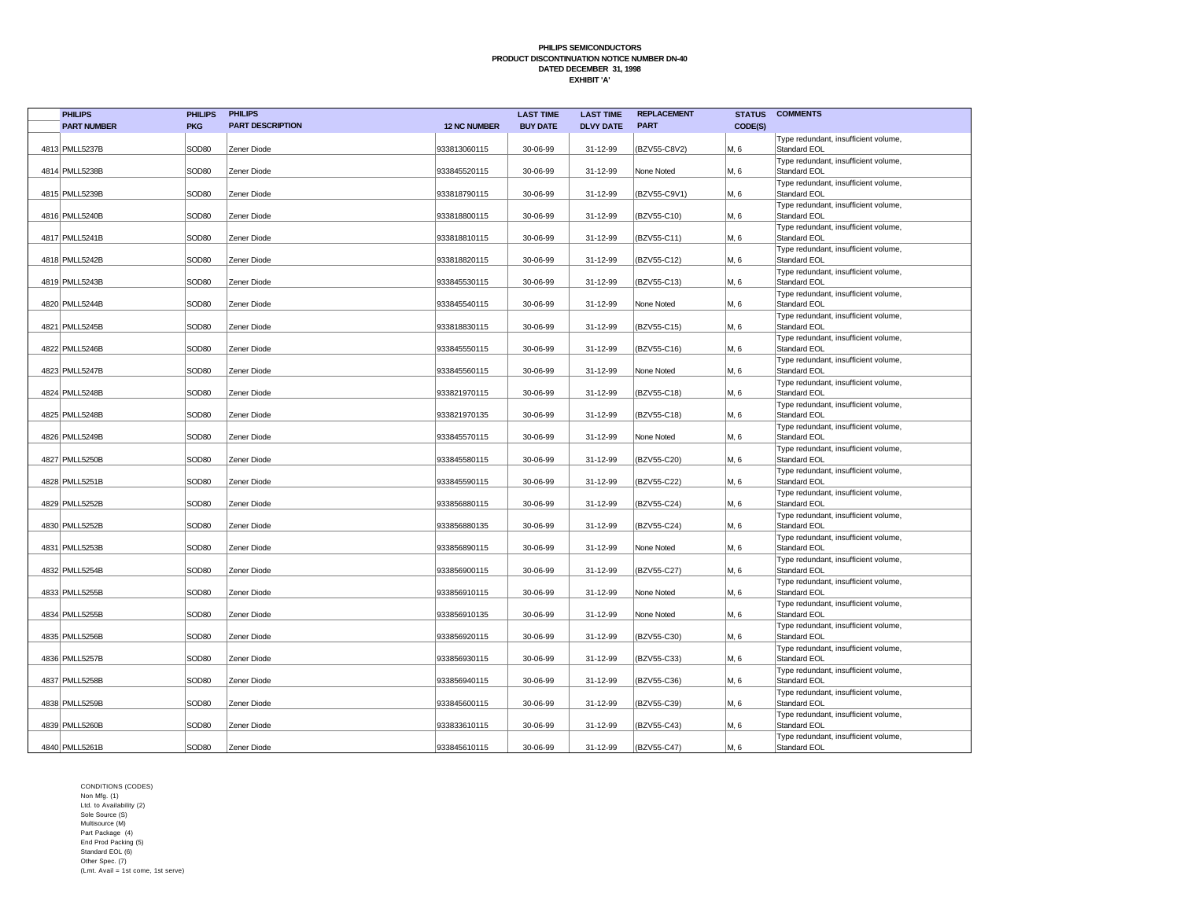| <b>PHILIPS</b>     | <b>PHILIPS</b>    | <b>PHILIPS</b>          |                     | <b>LAST TIME</b> | <b>LAST TIME</b> | <b>REPLACEMENT</b> | <b>STATUS</b> | <b>COMMENTS</b>                                      |
|--------------------|-------------------|-------------------------|---------------------|------------------|------------------|--------------------|---------------|------------------------------------------------------|
| <b>PART NUMBER</b> | <b>PKG</b>        | <b>PART DESCRIPTION</b> | <b>12 NC NUMBER</b> | <b>BUY DATE</b>  | <b>DLVY DATE</b> | <b>PART</b>        | CODE(S)       |                                                      |
| 4813 PMLL5237B     | SOD <sub>80</sub> | Zener Diode             | 933813060115        | 30-06-99         | 31-12-99         | (BZV55-C8V2)       | M, 6          | Type redundant, insufficient volume,<br>Standard EOL |
| 4814 PMLL5238B     | SOD <sub>80</sub> | Zener Diode             | 933845520115        | 30-06-99         | 31-12-99         | None Noted         | M, 6          | Type redundant, insufficient volume,<br>Standard EOL |
| 4815 PMLL5239B     | SOD80             | Zener Diode             | 933818790115        | 30-06-99         | 31-12-99         | (BZV55-C9V1)       | M, 6          | Type redundant, insufficient volume,<br>Standard EOL |
| 4816 PMLL5240B     | SOD <sub>80</sub> | Zener Diode             | 933818800115        | 30-06-99         | 31-12-99         | (BZV55-C10)        | M, 6          | Type redundant, insufficient volume,<br>Standard EOL |
| 4817 PMLL5241B     | SOD <sub>80</sub> | Zener Diode             | 933818810115        | 30-06-99         | 31-12-99         | (BZV55-C11)        | M, 6          | Type redundant, insufficient volume,<br>Standard EOL |
| 4818 PMLL5242B     | SOD <sub>80</sub> | Zener Diode             | 933818820115        | 30-06-99         | 31-12-99         | (BZV55-C12)        | M, 6          | Type redundant, insufficient volume,<br>Standard EOL |
| 4819 PMLL5243B     | SOD80             | Zener Diode             | 933845530115        | 30-06-99         | 31-12-99         | (BZV55-C13)        | M, 6          | Type redundant, insufficient volume,<br>Standard EOL |
| 4820 PMLL5244B     | SOD <sub>80</sub> | Zener Diode             | 933845540115        | 30-06-99         | 31-12-99         | None Noted         | M, 6          | Type redundant, insufficient volume,<br>Standard EOL |
| 4821 PMLL5245B     | SOD80             | Zener Diode             | 933818830115        | 30-06-99         | 31-12-99         | (BZV55-C15)        | M, 6          | Type redundant, insufficient volume,<br>Standard EOL |
| 4822 PMLL5246B     | SOD <sub>80</sub> | Zener Diode             | 933845550115        | 30-06-99         | 31-12-99         | (BZV55-C16)        | M, 6          | Type redundant, insufficient volume,<br>Standard EOL |
| 4823 PMLL5247B     | SOD <sub>80</sub> | Zener Diode             | 933845560115        | 30-06-99         | 31-12-99         | None Noted         | M, 6          | Type redundant, insufficient volume,<br>Standard EOL |
| 4824 PMLL5248B     | SOD <sub>80</sub> | Zener Diode             | 933821970115        | 30-06-99         | 31-12-99         | (BZV55-C18)        | M, 6          | Type redundant, insufficient volume,<br>Standard EOL |
| 4825 PMLL5248B     | SOD <sub>80</sub> | Zener Diode             | 933821970135        | 30-06-99         | 31-12-99         | (BZV55-C18)        | M, 6          | Type redundant, insufficient volume,<br>Standard EOL |
| 4826 PMLL5249B     | SOD80             | Zener Diode             | 933845570115        | 30-06-99         | 31-12-99         | None Noted         | M, 6          | Type redundant, insufficient volume,<br>Standard EOL |
| 4827 PMLL5250B     | SOD <sub>80</sub> | Zener Diode             | 933845580115        | 30-06-99         | 31-12-99         | (BZV55-C20)        | M, 6          | Type redundant, insufficient volume,<br>Standard EOL |
| 4828 PMLL5251B     | SOD80             | Zener Diode             | 933845590115        | 30-06-99         | 31-12-99         | (BZV55-C22)        | M, 6          | Type redundant, insufficient volume,<br>Standard EOL |
| 4829 PMLL5252B     | SOD <sub>80</sub> | Zener Diode             | 933856880115        | 30-06-99         | 31-12-99         | (BZV55-C24)        | M, 6          | Type redundant, insufficient volume,<br>Standard EOL |
| 4830 PMLL5252B     | SOD80             | Zener Diode             | 933856880135        | 30-06-99         | 31-12-99         | (BZV55-C24)        | M, 6          | Type redundant, insufficient volume,<br>Standard EOL |
| 4831   PMLL5253B   | SOD80             | Zener Diode             | 933856890115        | 30-06-99         | 31-12-99         | None Noted         | M, 6          | Type redundant, insufficient volume,<br>Standard EOL |
| 4832 PMLL5254B     | SOD <sub>80</sub> | Zener Diode             | 933856900115        | 30-06-99         | 31-12-99         | (BZV55-C27)        | M, 6          | Type redundant, insufficient volume,<br>Standard EOL |
| 4833 PMLL5255B     | SOD <sub>80</sub> | Zener Diode             | 933856910115        | 30-06-99         | 31-12-99         | None Noted         | M, 6          | Type redundant, insufficient volume,<br>Standard EOL |
| 4834 PMLL5255B     | SOD <sub>80</sub> | Zener Diode             | 933856910135        | 30-06-99         | 31-12-99         | None Noted         | M, 6          | Type redundant, insufficient volume,<br>Standard EOL |
| 4835 PMLL5256B     | SOD <sub>80</sub> | Zener Diode             | 933856920115        | 30-06-99         | 31-12-99         | (BZV55-C30)        | M, 6          | Type redundant, insufficient volume,<br>Standard EOL |
| 4836 PMLL5257B     | SOD <sub>80</sub> | Zener Diode             | 933856930115        | 30-06-99         | 31-12-99         | (BZV55-C33)        | M, 6          | Type redundant, insufficient volume,<br>Standard EOL |
| 4837 PMLL5258B     | SOD <sub>80</sub> | Zener Diode             | 933856940115        | 30-06-99         | 31-12-99         | (BZV55-C36)        | M, 6          | Type redundant, insufficient volume,<br>Standard EOL |
| 4838 PMLL5259B     | SOD <sub>80</sub> | Zener Diode             | 933845600115        | 30-06-99         | 31-12-99         | (BZV55-C39)        | M, 6          | Type redundant, insufficient volume,<br>Standard EOL |
| 4839 PMLL5260B     | SOD <sub>80</sub> | Zener Diode             | 933833610115        | 30-06-99         | 31-12-99         | (BZV55-C43)        | M, 6          | Type redundant, insufficient volume,<br>Standard EOL |
| 4840 PMLL5261B     | SOD80             | Zener Diode             | 933845610115        | 30-06-99         | 31-12-99         | (BZV55-C47)        | M, 6          | Type redundant, insufficient volume,<br>Standard EOL |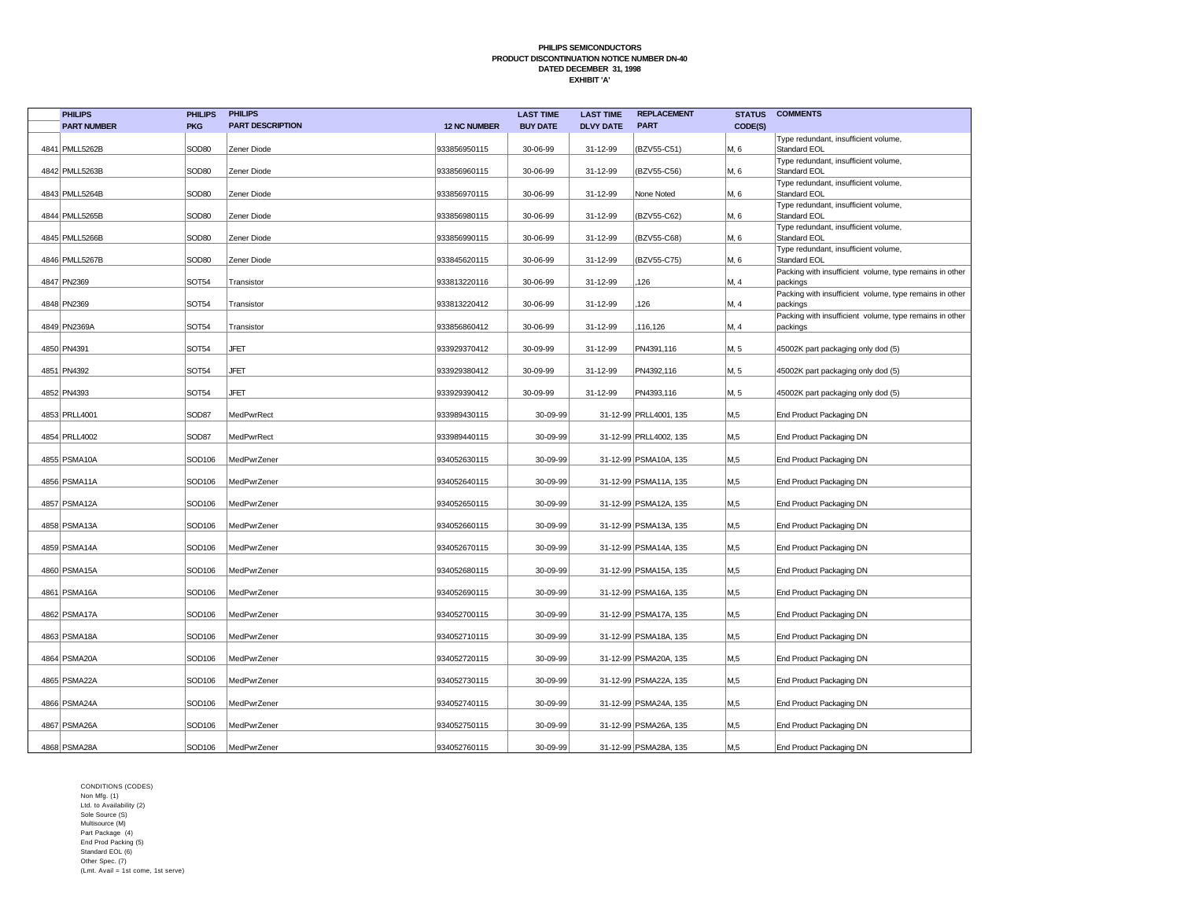| <b>PHILIPS</b>     | <b>PHILIPS</b>    | <b>PHILIPS</b>          |                     | <b>LAST TIME</b> | <b>LAST TIME</b> | <b>REPLACEMENT</b>     | <b>STATUS</b> | <b>COMMENTS</b>                                                     |
|--------------------|-------------------|-------------------------|---------------------|------------------|------------------|------------------------|---------------|---------------------------------------------------------------------|
| <b>PART NUMBER</b> | <b>PKG</b>        | <b>PART DESCRIPTION</b> | <b>12 NC NUMBER</b> | <b>BUY DATE</b>  | <b>DLVY DATE</b> | <b>PART</b>            | CODE(S)       |                                                                     |
| 4841 PMLL5262B     | SOD80             | Zener Diode             | 933856950115        | 30-06-99         | 31-12-99         | (BZV55-C51)            | M, 6          | Type redundant, insufficient volume,<br>Standard EOL                |
| 4842 PMLL5263B     | SOD <sub>80</sub> | Zener Diode             | 933856960115        | 30-06-99         | 31-12-99         | (BZV55-C56)            | M, 6          | Type redundant, insufficient volume,<br>Standard EOL                |
| 4843 PMLL5264B     | SOD <sub>80</sub> | Zener Diode             | 933856970115        | 30-06-99         | 31-12-99         | None Noted             | M, 6          | Type redundant, insufficient volume,<br>Standard EOL                |
| 4844 PMLL5265B     | SOD80             | Zener Diode             | 933856980115        | 30-06-99         | 31-12-99         | (BZV55-C62)            | M, 6          | Type redundant, insufficient volume,<br>Standard EOL                |
| 4845 PMLL5266B     | SOD <sub>80</sub> | Zener Diode             | 933856990115        | 30-06-99         | 31-12-99         | (BZV55-C68)            | M, 6          | Type redundant, insufficient volume,<br>Standard EOL                |
| 4846 PMLL5267B     | SOD <sub>80</sub> | Zener Diode             | 933845620115        | 30-06-99         | 31-12-99         | (BZV55-C75)            | M. 6          | Type redundant, insufficient volume,<br>Standard EOL                |
| 4847 PN2369        | <b>SOT54</b>      | Transistor              | 933813220116        | 30-06-99         | 31-12-99         | 126                    | M, 4          | Packing with insufficient volume, type remains in other<br>packings |
| 4848 PN2369        | SOT54             | Transistor              | 933813220412        | 30-06-99         | 31-12-99         | 126                    | M, 4          | Packing with insufficient volume, type remains in other<br>packings |
| 4849 PN2369A       | <b>SOT54</b>      | Transistor              | 933856860412        | 30-06-99         | 31-12-99         | 116,126                | M, 4          | Packing with insufficient volume, type remains in other<br>packings |
| 4850 PN4391        | <b>SOT54</b>      | <b>JFET</b>             | 933929370412        | 30-09-99         | 31-12-99         | PN4391,116             | M. 5          | 45002K part packaging only dod (5)                                  |
| 4851 PN4392        | <b>SOT54</b>      | <b>JFET</b>             | 933929380412        | 30-09-99         | 31-12-99         | PN4392,116             | M. 5          | 45002K part packaging only dod (5)                                  |
| 4852 PN4393        | <b>SOT54</b>      | <b>JFET</b>             | 933929390412        | 30-09-99         | 31-12-99         | PN4393,116             | M, 5          | 45002K part packaging only dod (5)                                  |
| 4853 PRLL4001      | SOD87             | MedPwrRect              | 933989430115        | 30-09-99         |                  | 31-12-99 PRLL4001, 135 | M,5           | End Product Packaging DN                                            |
| 4854 PRLL4002      | SOD87             | MedPwrRect              | 933989440115        | 30-09-99         |                  | 31-12-99 PRLL4002, 135 | M,5           | End Product Packaging DN                                            |
| 4855 PSMA10A       | SOD106            | MedPwrZener             | 934052630115        | 30-09-99         |                  | 31-12-99 PSMA10A, 135  | M,5           | End Product Packaging DN                                            |
| 4856 PSMA11A       | SOD106            | MedPwrZener             | 934052640115        | 30-09-99         |                  | 31-12-99 PSMA11A, 135  | M,5           | End Product Packaging DN                                            |
| 4857 PSMA12A       | SOD106            | MedPwrZener             | 934052650115        | 30-09-99         |                  | 31-12-99 PSMA12A, 135  | M,5           | End Product Packaging DN                                            |
| 4858 PSMA13A       | SOD106            | MedPwrZener             | 934052660115        | 30-09-99         |                  | 31-12-99 PSMA13A, 135  | M,5           | End Product Packaging DN                                            |
| 4859 PSMA14A       | SOD106            | MedPwrZener             | 934052670115        | 30-09-99         |                  | 31-12-99 PSMA14A, 135  | M,5           | End Product Packaging DN                                            |
| 4860 PSMA15A       | SOD106            | MedPwrZener             | 934052680115        | 30-09-99         |                  | 31-12-99 PSMA15A, 135  | M,5           | End Product Packaging DN                                            |
| 4861 PSMA16A       | SOD106            | MedPwrZener             | 934052690115        | 30-09-99         |                  | 31-12-99 PSMA16A, 135  | M,5           | End Product Packaging DN                                            |
| 4862 PSMA17A       | SOD106            | MedPwrZener             | 934052700115        | 30-09-99         |                  | 31-12-99 PSMA17A, 135  | M,5           | End Product Packaging DN                                            |
| 4863 PSMA18A       | SOD106            | MedPwrZener             | 934052710115        | 30-09-99         |                  | 31-12-99 PSMA18A, 135  | M,5           | End Product Packaging DN                                            |
| 4864   PSMA20A     | SOD106            | MedPwrZener             | 934052720115        | 30-09-99         |                  | 31-12-99 PSMA20A, 135  | M,5           | End Product Packaging DN                                            |
| 4865 PSMA22A       | SOD106            | MedPwrZener             | 934052730115        | 30-09-99         |                  | 31-12-99 PSMA22A, 135  | M,5           | End Product Packaging DN                                            |
| 4866 PSMA24A       | SOD106            | MedPwrZener             | 934052740115        | 30-09-99         |                  | 31-12-99 PSMA24A, 135  | M,5           | End Product Packaging DN                                            |
| 4867 PSMA26A       | SOD106            | MedPwrZener             | 934052750115        | 30-09-99         |                  | 31-12-99 PSMA26A, 135  | M,5           | End Product Packaging DN                                            |
| 4868 PSMA28A       | SOD106            | MedPwrZener             | 934052760115        | 30-09-99         |                  | 31-12-99 PSMA28A, 135  | M,5           | End Product Packaging DN                                            |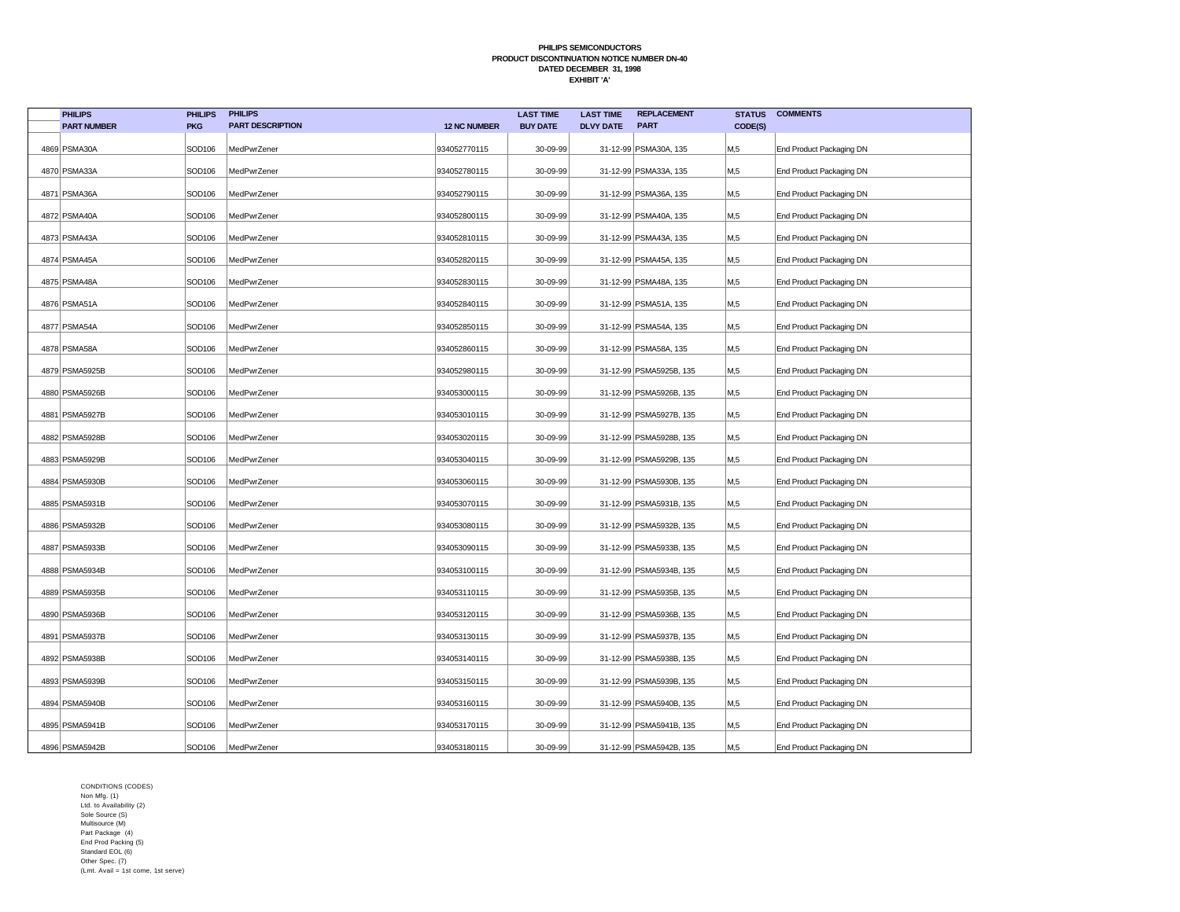| <b>PHILIPS</b>     | <b>PHILIPS</b>     | <b>PHILIPS</b>          |                     | <b>LAST TIME</b> | <b>LAST TIME</b> | <b>REPLACEMENT</b>      | <b>STATUS</b> | <b>COMMENTS</b>          |
|--------------------|--------------------|-------------------------|---------------------|------------------|------------------|-------------------------|---------------|--------------------------|
| <b>PART NUMBER</b> | <b>PKG</b>         | <b>PART DESCRIPTION</b> | <b>12 NC NUMBER</b> | <b>BUY DATE</b>  | <b>DLVY DATE</b> | <b>PART</b>             | CODE(S)       |                          |
| 4869 PSMA30A       | SOD106             | MedPwrZener             | 934052770115        | 30-09-99         |                  | 31-12-99 PSMA30A, 135   | M,5           | End Product Packaging DN |
| 4870 PSMA33A       | SOD106             | MedPwrZener             | 934052780115        | 30-09-99         |                  | 31-12-99 PSMA33A, 135   | M,5           | End Product Packaging DN |
| 4871   PSMA36A     | SOD106             | MedPwrZener             | 934052790115        | 30-09-99         |                  | 31-12-99 PSMA36A, 135   | M,5           | End Product Packaging DN |
| 4872 PSMA40A       | SOD106             | MedPwrZener             | 934052800115        | 30-09-99         |                  | 31-12-99 PSMA40A, 135   | M,5           | End Product Packaging DN |
| 4873 PSMA43A       | SOD106             | MedPwrZener             | 934052810115        | 30-09-99         |                  | 31-12-99 PSMA43A, 135   | M,5           | End Product Packaging DN |
| 4874 PSMA45A       | SOD106             | MedPwrZener             | 934052820115        | 30-09-99         |                  | 31-12-99 PSMA45A, 135   | M,5           | End Product Packaging DN |
| 4875 PSMA48A       | SOD106             | MedPwrZener             | 934052830115        | 30-09-99         |                  | 31-12-99 PSMA48A, 135   | M,5           | End Product Packaging DN |
| 4876 PSMA51A       | SOD106             | MedPwrZener             | 934052840115        | 30-09-99         |                  | 31-12-99 PSMA51A, 135   | М,5           | End Product Packaging DN |
| 4877 PSMA54A       | SOD106             | MedPwrZener             | 934052850115        | 30-09-99         |                  | 31-12-99 PSMA54A, 135   | M,5           | End Product Packaging DN |
| 4878 PSMA58A       | SOD106             | MedPwrZener             | 934052860115        | 30-09-99         |                  | 31-12-99 PSMA58A, 135   | M,5           | End Product Packaging DN |
| 4879 PSMA5925B     | SOD106             | MedPwrZener             | 934052980115        | 30-09-99         |                  | 31-12-99 PSMA5925B, 135 | M,5           | End Product Packaging DN |
| 4880 PSMA5926B     | SOD106             | MedPwrZener             | 934053000115        | 30-09-99         |                  | 31-12-99 PSMA5926B, 135 | M,5           | End Product Packaging DN |
| 4881   PSMA5927B   | SOD106             | MedPwrZener             | 934053010115        | 30-09-99         |                  | 31-12-99 PSMA5927B, 135 | M,5           | End Product Packaging DN |
| 4882 PSMA5928B     | SOD106             | MedPwrZener             | 934053020115        | 30-09-99         |                  | 31-12-99 PSMA5928B, 135 | M,5           | End Product Packaging DN |
| 4883 PSMA5929B     | SOD <sub>106</sub> | MedPwrZener             | 934053040115        | 30-09-99         |                  | 31-12-99 PSMA5929B, 135 | M,5           | End Product Packaging DN |
| 4884 PSMA5930B     | SOD106             | MedPwrZener             | 934053060115        | 30-09-99         |                  | 31-12-99 PSMA5930B, 135 | M,5           | End Product Packaging DN |
| 4885 PSMA5931B     | SOD106             | MedPwrZener             | 934053070115        | 30-09-99         |                  | 31-12-99 PSMA5931B, 135 | M,5           | End Product Packaging DN |
| 4886 PSMA5932B     | SOD106             | MedPwrZener             | 934053080115        | 30-09-99         |                  | 31-12-99 PSMA5932B, 135 | М,5           | End Product Packaging DN |
| 4887   PSMA5933B   | SOD <sub>106</sub> | MedPwrZener             | 934053090115        | 30-09-99         |                  | 31-12-99 PSMA5933B, 135 | M,5           | End Product Packaging DN |
| 4888 PSMA5934B     | SOD106             | MedPwrZener             | 934053100115        | 30-09-99         |                  | 31-12-99 PSMA5934B, 135 | M,5           | End Product Packaging DN |
| 4889 PSMA5935B     | SOD106             | MedPwrZener             | 934053110115        | 30-09-99         |                  | 31-12-99 PSMA5935B, 135 | М,5           | End Product Packaging DN |
| 4890 PSMA5936B     | SOD106             | MedPwrZener             | 934053120115        | 30-09-99         |                  | 31-12-99 PSMA5936B, 135 | M,5           | End Product Packaging DN |
| 4891   PSMA5937B   | SOD106             | MedPwrZener             | 934053130115        | 30-09-99         |                  | 31-12-99 PSMA5937B, 135 | M,5           | End Product Packaging DN |
| 4892 PSMA5938B     | SOD106             | MedPwrZener             | 934053140115        | 30-09-99         |                  | 31-12-99 PSMA5938B, 135 | M,5           | End Product Packaging DN |
| 4893 PSMA5939B     | SOD106             | MedPwrZener             | 934053150115        | 30-09-99         |                  | 31-12-99 PSMA5939B, 135 | M,5           | End Product Packaging DN |
| 4894 PSMA5940B     | SOD <sub>106</sub> | MedPwrZener             | 934053160115        | 30-09-99         |                  | 31-12-99 PSMA5940B, 135 | M,5           | End Product Packaging DN |
| 4895 PSMA5941B     | SOD106             | MedPwrZener             | 934053170115        | 30-09-99         |                  | 31-12-99 PSMA5941B, 135 | М,5           | End Product Packaging DN |
| 4896 PSMA5942B     | SOD106             | MedPwrZener             | 934053180115        | 30-09-99         |                  | 31-12-99 PSMA5942B, 135 | M,5           | End Product Packaging DN |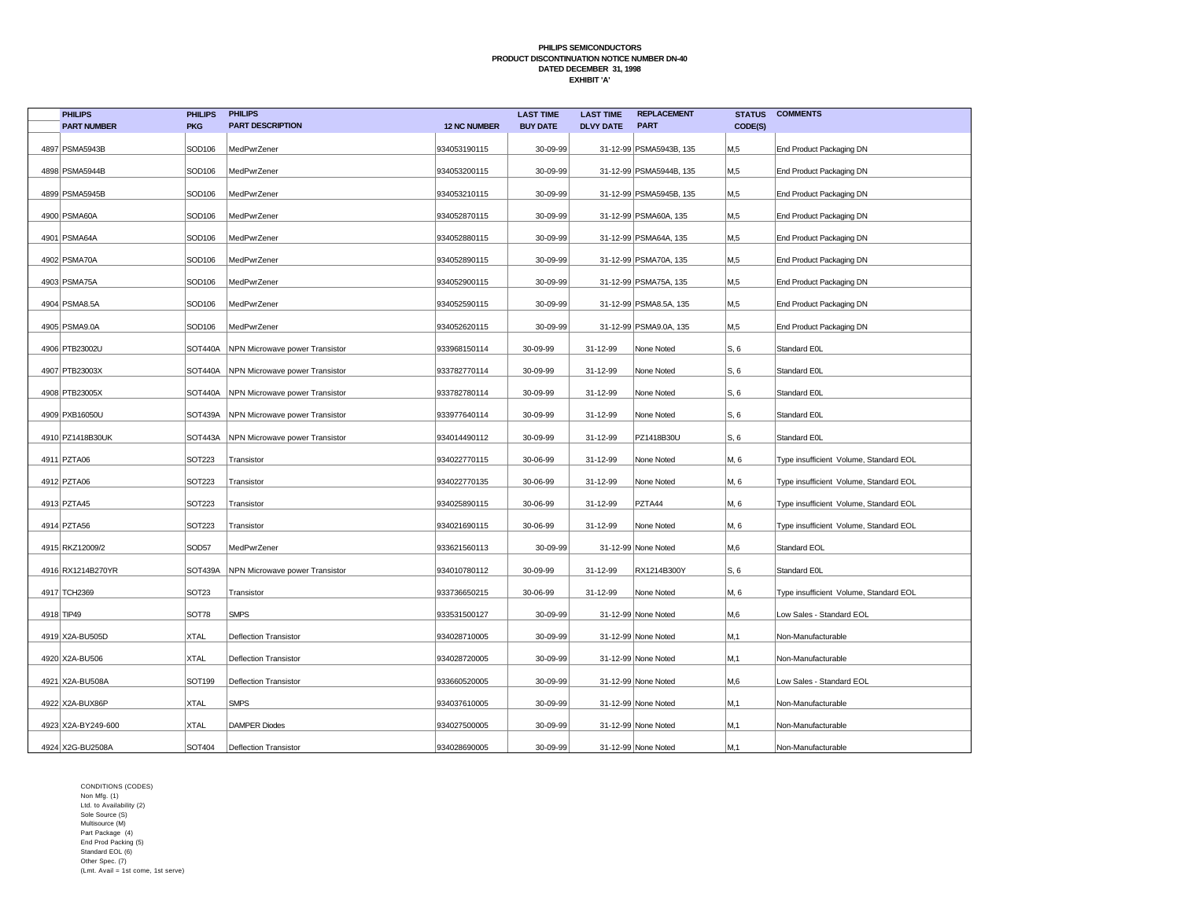| <b>PHILIPS</b>     | <b>PHILIPS</b>    | <b>PHILIPS</b>                 |                     | <b>LAST TIME</b> | <b>LAST TIME</b> | <b>REPLACEMENT</b>      | <b>STATUS</b> | <b>COMMENTS</b>                        |
|--------------------|-------------------|--------------------------------|---------------------|------------------|------------------|-------------------------|---------------|----------------------------------------|
| <b>PART NUMBER</b> | <b>PKG</b>        | <b>PART DESCRIPTION</b>        | <b>12 NC NUMBER</b> | <b>BUY DATE</b>  | <b>DLVY DATE</b> | <b>PART</b>             | CODE(S)       |                                        |
| 4897   PSMA5943B   | SOD106            | MedPwrZener                    | 934053190115        | 30-09-99         |                  | 31-12-99 PSMA5943B, 135 | M,5           | End Product Packaging DN               |
| 4898 PSMA5944B     | SOD106            | MedPwrZener                    | 934053200115        | 30-09-99         |                  | 31-12-99 PSMA5944B, 135 | M,5           | End Product Packaging DN               |
| 4899 PSMA5945B     | SOD106            | MedPwrZener                    | 934053210115        | 30-09-99         |                  | 31-12-99 PSMA5945B, 135 | M,5           | End Product Packaging DN               |
| 4900 PSMA60A       | SOD106            | MedPwrZener                    | 934052870115        | 30-09-99         |                  | 31-12-99 PSMA60A, 135   | M,5           | End Product Packaging DN               |
| 4901   PSMA64A     | SOD106            | MedPwrZener                    | 934052880115        | 30-09-99         |                  | 31-12-99 PSMA64A, 135   | M,5           | End Product Packaging DN               |
| 4902 PSMA70A       | SOD106            | MedPwrZener                    | 934052890115        | 30-09-99         |                  | 31-12-99 PSMA70A, 135   | M,5           | End Product Packaging DN               |
| 4903 PSMA75A       | SOD106            | MedPwrZener                    | 934052900115        | 30-09-99         |                  | 31-12-99 PSMA75A, 135   | M,5           | End Product Packaging DN               |
| 4904 PSMA8.5A      | SOD106            | MedPwrZener                    | 934052590115        | 30-09-99         |                  | 31-12-99 PSMA8.5A, 135  | M,5           | End Product Packaging DN               |
| 4905 PSMA9.0A      | SOD106            | MedPwrZener                    | 934052620115        | 30-09-99         |                  | 31-12-99 PSMA9.0A, 135  | M,5           | End Product Packaging DN               |
| 4906 PTB23002U     | SOT440A           | NPN Microwave power Transistor | 933968150114        | 30-09-99         | 31-12-99         | None Noted              | S, 6          | Standard E0L                           |
| 4907 PTB23003X     | SOT440A           | NPN Microwave power Transistor | 933782770114        | 30-09-99         | 31-12-99         | None Noted              | S, 6          | Standard E0L                           |
| 4908 PTB23005X     | SOT440A           | NPN Microwave power Transistor | 933782780114        | 30-09-99         | 31-12-99         | None Noted              | S, 6          | Standard E0L                           |
| 4909 PXB16050U     | SOT439A           | NPN Microwave power Transistor | 933977640114        | 30-09-99         | 31-12-99         | None Noted              | S, 6          | Standard E0L                           |
| 4910 PZ1418B30UK   | <b>SOT443A</b>    | NPN Microwave power Transistor | 934014490112        | 30-09-99         | 31-12-99         | PZ1418B30U              | S, 6          | Standard E0L                           |
| 4911 PZTA06        | <b>SOT223</b>     | Transistor                     | 934022770115        | 30-06-99         | 31-12-99         | None Noted              | M, 6          | Type insufficient Volume, Standard EOL |
| 4912 PZTA06        | SOT223            | Transistor                     | 934022770135        | 30-06-99         | 31-12-99         | None Noted              | M, 6          | Type insufficient Volume, Standard EOL |
| 4913 PZTA45        | <b>SOT223</b>     | Transistor                     | 934025890115        | 30-06-99         | 31-12-99         | PZTA44                  | M, 6          | Type insufficient Volume, Standard EOL |
| 4914 PZTA56        | <b>SOT223</b>     | Transistor                     | 934021690115        | 30-06-99         | 31-12-99         | None Noted              | M, 6          | Type insufficient Volume, Standard EOL |
| 4915 RKZ12009/2    | SOD57             | MedPwrZener                    | 933621560113        | 30-09-99         |                  | 31-12-99 None Noted     | M,6           | Standard EOL                           |
| 4916 RX1214B270YR  | SOT439A           | NPN Microwave power Transistor | 934010780112        | 30-09-99         | 31-12-99         | RX1214B300Y             | S, 6          | Standard E0L                           |
| 4917 TCH2369       | SOT <sub>23</sub> | Transistor                     | 933736650215        | 30-06-99         | 31-12-99         | None Noted              | M, 6          | Type insufficient Volume, Standard EOL |
| 4918 TIP49         | SOT78             | <b>SMPS</b>                    | 933531500127        | 30-09-99         |                  | 31-12-99 None Noted     | M,6           | Low Sales - Standard EOL               |
| 4919 X2A-BU505D    | <b>XTAL</b>       | <b>Deflection Transistor</b>   | 934028710005        | 30-09-99         |                  | 31-12-99 None Noted     | M,1           | Non-Manufacturable                     |
| 4920 X2A-BU506     | <b>XTAL</b>       | <b>Deflection Transistor</b>   | 934028720005        | 30-09-99         |                  | 31-12-99 None Noted     | M,1           | Non-Manufacturable                     |
| 4921 X2A-BU508A    | SOT199            | <b>Deflection Transistor</b>   | 933660520005        | 30-09-99         |                  | 31-12-99 None Noted     | M,6           | Low Sales - Standard EOL               |
| 4922 X2A-BUX86P    | <b>XTAL</b>       | <b>SMPS</b>                    | 934037610005        | 30-09-99         |                  | 31-12-99 None Noted     | M,1           | Non-Manufacturable                     |
| 4923 X2A-BY249-600 | <b>XTAL</b>       | <b>DAMPER Diodes</b>           | 934027500005        | 30-09-99         |                  | 31-12-99 None Noted     | M,1           | Non-Manufacturable                     |
| 4924 X2G-BU2508A   | SOT404            | <b>Deflection Transistor</b>   | 934028690005        | 30-09-99         |                  | 31-12-99 None Noted     | M, 1          | Non-Manufacturable                     |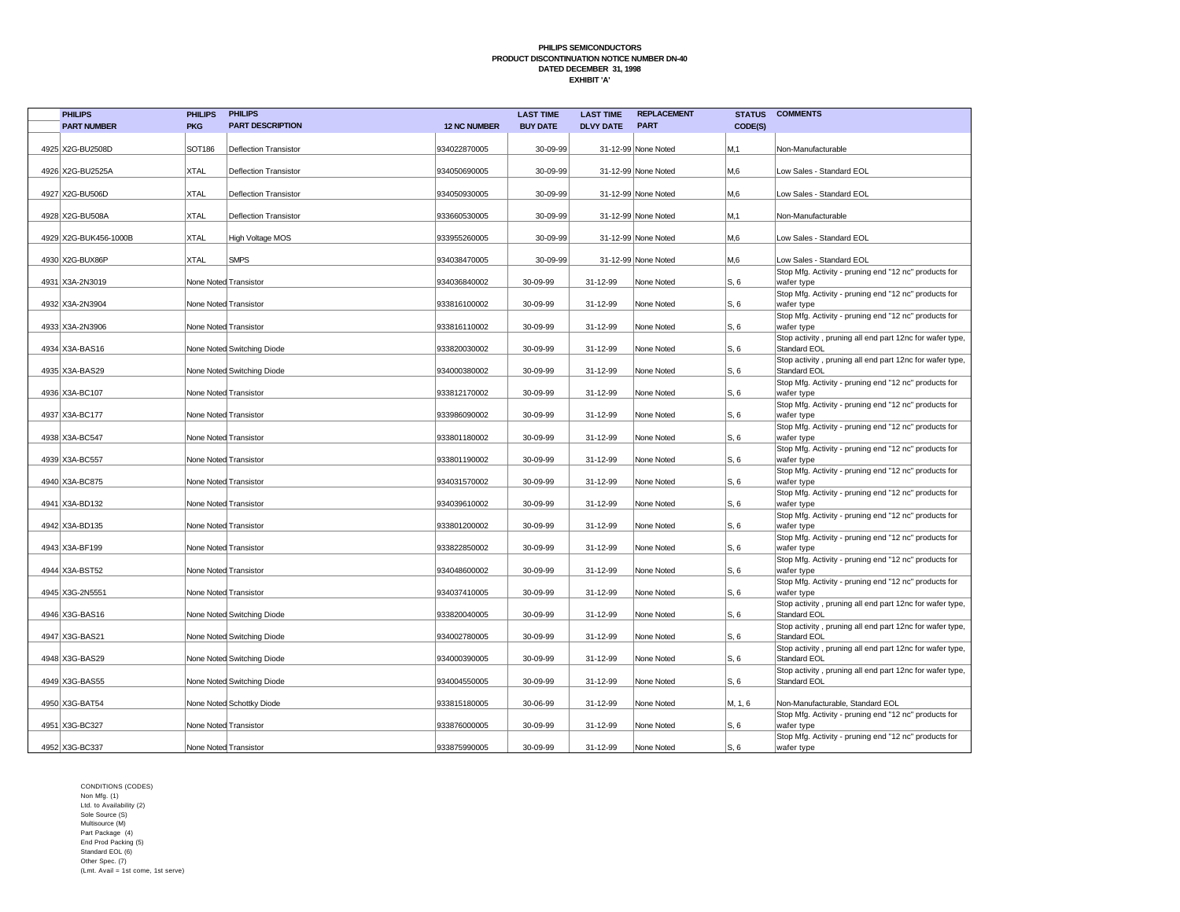| <b>PHILIPS</b>        | <b>PHILIPS</b>        | <b>PHILIPS</b>               |                     | <b>LAST TIME</b> | <b>LAST TIME</b> | <b>REPLACEMENT</b>  | <b>STATUS</b> | <b>COMMENTS</b>                                                                 |
|-----------------------|-----------------------|------------------------------|---------------------|------------------|------------------|---------------------|---------------|---------------------------------------------------------------------------------|
| <b>PART NUMBER</b>    | <b>PKG</b>            | <b>PART DESCRIPTION</b>      | <b>12 NC NUMBER</b> | <b>BUY DATE</b>  | <b>DLVY DATE</b> | <b>PART</b>         | CODE(S)       |                                                                                 |
|                       |                       |                              |                     |                  |                  |                     |               |                                                                                 |
| 4925 X2G-BU2508D      | SOT186                | <b>Deflection Transistor</b> | 934022870005        | 30-09-99         |                  | 31-12-99 None Noted | M.1           | Non-Manufacturable                                                              |
|                       |                       |                              |                     |                  |                  |                     |               |                                                                                 |
| 4926 X2G-BU2525A      | <b>XTAL</b>           | <b>Deflection Transistor</b> | 934050690005        | 30-09-99         |                  | 31-12-99 None Noted | M,6           | Low Sales - Standard EOL                                                        |
| 4927 X2G-BU506D       | <b>XTAL</b>           | <b>Deflection Transistor</b> | 934050930005        | 30-09-99         |                  | 31-12-99 None Noted | M,6           | Low Sales - Standard EOL                                                        |
|                       |                       |                              |                     |                  |                  |                     |               |                                                                                 |
| 4928 X2G-BU508A       | <b>XTAL</b>           | <b>Deflection Transistor</b> | 933660530005        | 30-09-99         |                  | 31-12-99 None Noted | M,1           | Non-Manufacturable                                                              |
|                       |                       |                              |                     |                  |                  |                     |               |                                                                                 |
| 4929 X2G-BUK456-1000B | <b>XTAL</b>           | <b>High Voltage MOS</b>      | 933955260005        | 30-09-99         |                  | 31-12-99 None Noted | M,6           | Low Sales - Standard EOL                                                        |
| 4930 X2G-BUX86P       | <b>XTAL</b>           | <b>SMPS</b>                  | 934038470005        | 30-09-99         |                  | 31-12-99 None Noted | M.6           | Low Sales - Standard EOL                                                        |
|                       |                       |                              |                     |                  |                  |                     |               | Stop Mfg. Activity - pruning end "12 nc" products for                           |
| 4931 X3A-2N3019       | None Noted Transistor |                              | 934036840002        | 30-09-99         | 31-12-99         | None Noted          | S, 6          | wafer type                                                                      |
|                       |                       |                              |                     |                  |                  |                     |               | Stop Mfg. Activity - pruning end "12 nc" products for                           |
| 4932 X3A-2N3904       | None Noted Transistor |                              | 933816100002        | 30-09-99         | 31-12-99         | None Noted          | S, 6          | wafer type                                                                      |
|                       |                       |                              |                     |                  |                  |                     |               | Stop Mfg. Activity - pruning end "12 nc" products for                           |
| 4933 X3A-2N3906       |                       | None Noted Transistor        | 933816110002        | 30-09-99         | 31-12-99         | None Noted          | S, 6          | wafer type                                                                      |
| 4934 X3A-BAS16        |                       | None Noted Switching Diode   | 933820030002        | 30-09-99         | 31-12-99         | None Noted          | S, 6          | Stop activity, pruning all end part 12nc for wafer type,<br><b>Standard EOL</b> |
|                       |                       |                              |                     |                  |                  |                     |               | Stop activity, pruning all end part 12nc for wafer type,                        |
| 4935 X3A-BAS29        |                       | None Noted Switching Diode   | 934000380002        | 30-09-99         | 31-12-99         | None Noted          | S, 6          | Standard EOL                                                                    |
|                       |                       |                              |                     |                  |                  |                     |               | Stop Mfg. Activity - pruning end "12 nc" products for                           |
| 4936 X3A-BC107        | None Noted Transistor |                              | 933812170002        | 30-09-99         | 31-12-99         | None Noted          | S, 6          | wafer type                                                                      |
|                       |                       |                              |                     |                  |                  |                     |               | Stop Mfg. Activity - pruning end "12 nc" products for                           |
| 4937 X3A-BC177        | None Noted Transistor |                              | 933986090002        | 30-09-99         | 31-12-99         | None Noted          | S, 6          | wafer type<br>Stop Mfg. Activity - pruning end "12 nc" products for             |
| 4938 X3A-BC547        | None Noted Transistor |                              | 933801180002        | 30-09-99         | 31-12-99         | None Noted          | S. 6          | wafer type                                                                      |
|                       |                       |                              |                     |                  |                  |                     |               | Stop Mfg. Activity - pruning end "12 nc" products for                           |
| 4939 X3A-BC557        | None Noted Transistor |                              | 933801190002        | 30-09-99         | 31-12-99         | None Noted          | S. 6          | wafer type                                                                      |
|                       |                       |                              |                     |                  |                  |                     |               | Stop Mfg. Activity - pruning end "12 nc" products for                           |
| 4940 X3A-BC875        | None Noted Transistor |                              | 934031570002        | 30-09-99         | 31-12-99         | None Noted          | S. 6          | wafer type                                                                      |
| 4941 X3A-BD132        | None Noted Transistor |                              | 934039610002        | 30-09-99         | 31-12-99         | None Noted          | IS, 6         | Stop Mfg. Activity - pruning end "12 nc" products for<br>wafer type             |
|                       |                       |                              |                     |                  |                  |                     |               | Stop Mfg. Activity - pruning end "12 nc" products for                           |
| 4942 X3A-BD135        |                       | None Noted Transistor        | 933801200002        | 30-09-99         | 31-12-99         | None Noted          | S, 6          | wafer type                                                                      |
|                       |                       |                              |                     |                  |                  |                     |               | Stop Mfg. Activity - pruning end "12 nc" products for                           |
| 4943 X3A-BF199        |                       | None Noted Transistor        | 933822850002        | 30-09-99         | 31-12-99         | None Noted          | S, 6          | wafer type                                                                      |
|                       |                       |                              |                     |                  |                  |                     |               | Stop Mfg. Activity - pruning end "12 nc" products for                           |
| 4944 X3A-BST52        |                       | None Noted Transistor        | 934048600002        | 30-09-99         | 31-12-99         | None Noted          | S, 6          | wafer type<br>Stop Mfg. Activity - pruning end "12 nc" products for             |
| 4945 X3G-2N5551       | None Noted Transistor |                              | 934037410005        | 30-09-99         | 31-12-99         | None Noted          | S, 6          | wafer type                                                                      |
|                       |                       |                              |                     |                  |                  |                     |               | Stop activity, pruning all end part 12nc for wafer type,                        |
| 4946 X3G-BAS16        |                       | None Noted Switching Diode   | 933820040005        | 30-09-99         | 31-12-99         | None Noted          | S, 6          | Standard EOL                                                                    |
|                       |                       |                              |                     |                  |                  |                     |               | Stop activity, pruning all end part 12nc for wafer type,                        |
| 4947 X3G-BAS21        |                       | None Noted Switching Diode   | 934002780005        | 30-09-99         | 31-12-99         | None Noted          | S, 6          | Standard EOL                                                                    |
| 4948 X3G-BAS29        |                       | None Noted Switching Diode   | 934000390005        | 30-09-99         | 31-12-99         | None Noted          | S, 6          | Stop activity, pruning all end part 12nc for wafer type,<br><b>Standard EOL</b> |
|                       |                       |                              |                     |                  |                  |                     |               | Stop activity, pruning all end part 12nc for wafer type,                        |
| 4949 X3G-BAS55        |                       | None Noted Switching Diode   | 934004550005        | 30-09-99         | 31-12-99         | None Noted          | S. 6          | Standard EOL                                                                    |
|                       |                       |                              |                     |                  |                  |                     |               |                                                                                 |
| 4950 X3G-BAT54        |                       | None Noted Schottky Diode    | 933815180005        | 30-06-99         | 31-12-99         | None Noted          | M, 1, 6       | Non-Manufacturable, Standard EOL                                                |
| 4951 X3G-BC327        | None Noted Transistor |                              | 933876000005        | 30-09-99         | 31-12-99         | None Noted          | S, 6          | Stop Mfg. Activity - pruning end "12 nc" products for                           |
|                       |                       |                              |                     |                  |                  |                     |               | wafer type<br>Stop Mfg. Activity - pruning end "12 nc" products for             |
| 4952 X3G-BC337        | None Noted Transistor |                              | 933875990005        | 30-09-99         | 31-12-99         | None Noted          | S. 6          | wafer type                                                                      |
|                       |                       |                              |                     |                  |                  |                     |               |                                                                                 |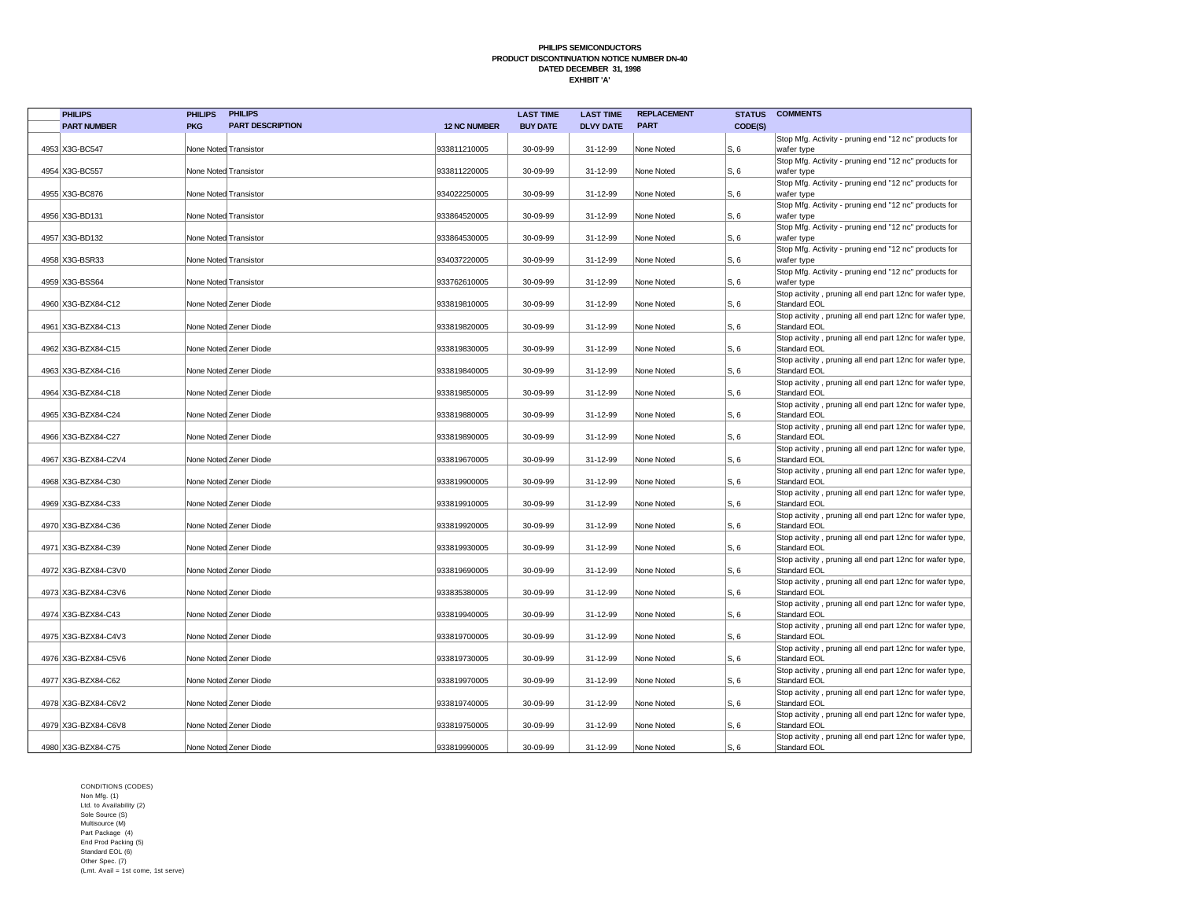| <b>PHILIPS</b>      | <b>PHILIPS</b>        | <b>PHILIPS</b>          |                     | <b>LAST TIME</b> | <b>LAST TIME</b> | <b>REPLACEMENT</b> |         | <b>STATUS COMMENTS</b>                                                          |
|---------------------|-----------------------|-------------------------|---------------------|------------------|------------------|--------------------|---------|---------------------------------------------------------------------------------|
| <b>PART NUMBER</b>  | <b>PKG</b>            | <b>PART DESCRIPTION</b> | <b>12 NC NUMBER</b> | <b>BUY DATE</b>  | <b>DLVY DATE</b> | <b>PART</b>        | CODE(S) |                                                                                 |
|                     |                       |                         |                     |                  |                  |                    |         | Stop Mfg. Activity - pruning end "12 nc" products for                           |
| 4953 X3G-BC547      | None Noted Transistor |                         | 933811210005        | 30-09-99         | 31-12-99         | None Noted         | S, 6    | wafer type                                                                      |
|                     |                       |                         |                     |                  |                  |                    |         | Stop Mfg. Activity - pruning end "12 nc" products for                           |
| 4954 X3G-BC557      | None Noted Transistor |                         | 933811220005        | 30-09-99         | 31-12-99         | None Noted         | S, 6    | wafer type                                                                      |
| 4955 X3G-BC876      | None Noted Transistor |                         | 934022250005        | 30-09-99         | 31-12-99         | None Noted         | S, 6    | Stop Mfg. Activity - pruning end "12 nc" products for<br>wafer type             |
|                     |                       |                         |                     |                  |                  |                    |         | Stop Mfg. Activity - pruning end "12 nc" products for                           |
| 4956 X3G-BD131      | None Noted Transistor |                         | 933864520005        | 30-09-99         | 31-12-99         | None Noted         | S, 6    | wafer type                                                                      |
|                     |                       |                         |                     |                  |                  |                    |         | Stop Mfg. Activity - pruning end "12 nc" products for                           |
| 4957 X3G-BD132      | None Noted Transistor |                         | 933864530005        | 30-09-99         | 31-12-99         | None Noted         | S, 6    | wafer type                                                                      |
|                     |                       |                         |                     |                  |                  |                    |         | Stop Mfg. Activity - pruning end "12 nc" products for                           |
| 4958 X3G-BSR33      | None Noted Transistor |                         | 934037220005        | 30-09-99         | 31-12-99         | None Noted         | S, 6    | wafer type                                                                      |
| 4959 X3G-BSS64      | None Noted Transistor |                         | 933762610005        | 30-09-99         | 31-12-99         | None Noted         | S, 6    | Stop Mfg. Activity - pruning end "12 nc" products for<br>wafer type             |
|                     |                       |                         |                     |                  |                  |                    |         | Stop activity, pruning all end part 12nc for wafer type,                        |
| 4960 X3G-BZX84-C12  |                       | None Noted Zener Diode  | 933819810005        | 30-09-99         | 31-12-99         | None Noted         | S, 6    | Standard EOL                                                                    |
|                     |                       |                         |                     |                  |                  |                    |         | Stop activity, pruning all end part 12nc for wafer type,                        |
| 4961 X3G-BZX84-C13  |                       | None Noted Zener Diode  | 933819820005        | 30-09-99         | 31-12-99         | None Noted         | S, 6    | Standard EOL                                                                    |
|                     |                       |                         |                     |                  |                  |                    |         | Stop activity, pruning all end part 12nc for wafer type,                        |
| 4962 X3G-BZX84-C15  |                       | None Noted Zener Diode  | 933819830005        | 30-09-99         | 31-12-99         | None Noted         | S, 6    | Standard EOL                                                                    |
|                     |                       |                         |                     |                  |                  |                    |         | Stop activity, pruning all end part 12nc for wafer type,                        |
| 4963 X3G-BZX84-C16  |                       | None Noted Zener Diode  | 933819840005        | 30-09-99         | 31-12-99         | None Noted         | S, 6    | <b>Standard EOL</b><br>Stop activity, pruning all end part 12nc for wafer type, |
| 4964 X3G-BZX84-C18  |                       | None Noted Zener Diode  | 933819850005        | 30-09-99         | 31-12-99         | None Noted         | S. 6    | Standard EOL                                                                    |
|                     |                       |                         |                     |                  |                  |                    |         | Stop activity, pruning all end part 12nc for wafer type,                        |
| 4965 X3G-BZX84-C24  |                       | None Noted Zener Diode  | 933819880005        | 30-09-99         | 31-12-99         | None Noted         | S, 6    | <b>Standard EOL</b>                                                             |
|                     |                       |                         |                     |                  |                  |                    |         | Stop activity, pruning all end part 12nc for wafer type,                        |
| 4966 X3G-BZX84-C27  |                       | None Noted Zener Diode  | 933819890005        | 30-09-99         | 31-12-99         | None Noted         | S, 6    | <b>Standard EOL</b>                                                             |
|                     |                       |                         |                     |                  |                  |                    |         | Stop activity, pruning all end part 12nc for wafer type,                        |
| 4967 X3G-BZX84-C2V4 |                       | None Noted Zener Diode  | 933819670005        | 30-09-99         | 31-12-99         | None Noted         | S, 6    | <b>Standard EOL</b>                                                             |
| 4968 X3G-BZX84-C30  |                       | None Noted Zener Diode  | 933819900005        | 30-09-99         | 31-12-99         | None Noted         | S, 6    | Stop activity, pruning all end part 12nc for wafer type,<br><b>Standard EOL</b> |
|                     |                       |                         |                     |                  |                  |                    |         | Stop activity, pruning all end part 12nc for wafer type,                        |
| 4969 X3G-BZX84-C33  |                       | None Noted Zener Diode  | 933819910005        | 30-09-99         | 31-12-99         | None Noted         | S, 6    | <b>Standard EOL</b>                                                             |
|                     |                       |                         |                     |                  |                  |                    |         | Stop activity, pruning all end part 12nc for wafer type,                        |
| 4970 X3G-BZX84-C36  |                       | None Noted Zener Diode  | 933819920005        | 30-09-99         | 31-12-99         | None Noted         | S, 6    | <b>Standard EOL</b>                                                             |
|                     |                       |                         |                     |                  |                  |                    |         | Stop activity, pruning all end part 12nc for wafer type,                        |
| 4971 X3G-BZX84-C39  |                       | None Noted Zener Diode  | 933819930005        | 30-09-99         | 31-12-99         | None Noted         | S, 6    | Standard EOL<br>Stop activity, pruning all end part 12nc for wafer type,        |
| 4972 X3G-BZX84-C3V0 |                       | None Noted Zener Diode  | 933819690005        | 30-09-99         | 31-12-99         | None Noted         | S, 6    | Standard EOL                                                                    |
|                     |                       |                         |                     |                  |                  |                    |         | Stop activity, pruning all end part 12nc for wafer type,                        |
| 4973 X3G-BZX84-C3V6 |                       | None Noted Zener Diode  | 933835380005        | 30-09-99         | 31-12-99         | None Noted         | S, 6    | Standard EOL                                                                    |
|                     |                       |                         |                     |                  |                  |                    |         | Stop activity, pruning all end part 12nc for wafer type,                        |
| 4974 X3G-BZX84-C43  |                       | None Noted Zener Diode  | 933819940005        | 30-09-99         | 31-12-99         | None Noted         | S, 6    | <b>Standard EOL</b>                                                             |
|                     |                       |                         |                     |                  |                  |                    |         | Stop activity, pruning all end part 12nc for wafer type,                        |
| 4975 X3G-BZX84-C4V3 |                       | None Noted Zener Diode  | 933819700005        | 30-09-99         | 31-12-99         | None Noted         | S. 6    | <b>Standard EOL</b>                                                             |
| 4976 X3G-BZX84-C5V6 |                       | None Noted Zener Diode  | 933819730005        | 30-09-99         | 31-12-99         | None Noted         | S, 6    | Stop activity, pruning all end part 12nc for wafer type,<br>Standard EOL        |
|                     |                       |                         |                     |                  |                  |                    |         | Stop activity, pruning all end part 12nc for wafer type,                        |
| 4977 X3G-BZX84-C62  |                       | None Noted Zener Diode  | 933819970005        | 30-09-99         | 31-12-99         | None Noted         | S, 6    | Standard EOL                                                                    |
|                     |                       |                         |                     |                  |                  |                    |         | Stop activity, pruning all end part 12nc for wafer type,                        |
| 4978 X3G-BZX84-C6V2 |                       | None Noted Zener Diode  | 933819740005        | 30-09-99         | 31-12-99         | None Noted         | S, 6    | <b>Standard EOL</b>                                                             |
|                     |                       |                         |                     |                  |                  |                    |         | Stop activity, pruning all end part 12nc for wafer type,                        |
| 4979 X3G-BZX84-C6V8 |                       | None Noted Zener Diode  | 933819750005        | 30-09-99         | 31-12-99         | None Noted         | S, 6    | <b>Standard EOL</b>                                                             |
| 4980 X3G-BZX84-C75  |                       | None Noted Zener Diode  | 933819990005        | 30-09-99         | 31-12-99         | None Noted         | S, 6    | Stop activity, pruning all end part 12nc for wafer type,<br><b>Standard EOL</b> |
|                     |                       |                         |                     |                  |                  |                    |         |                                                                                 |